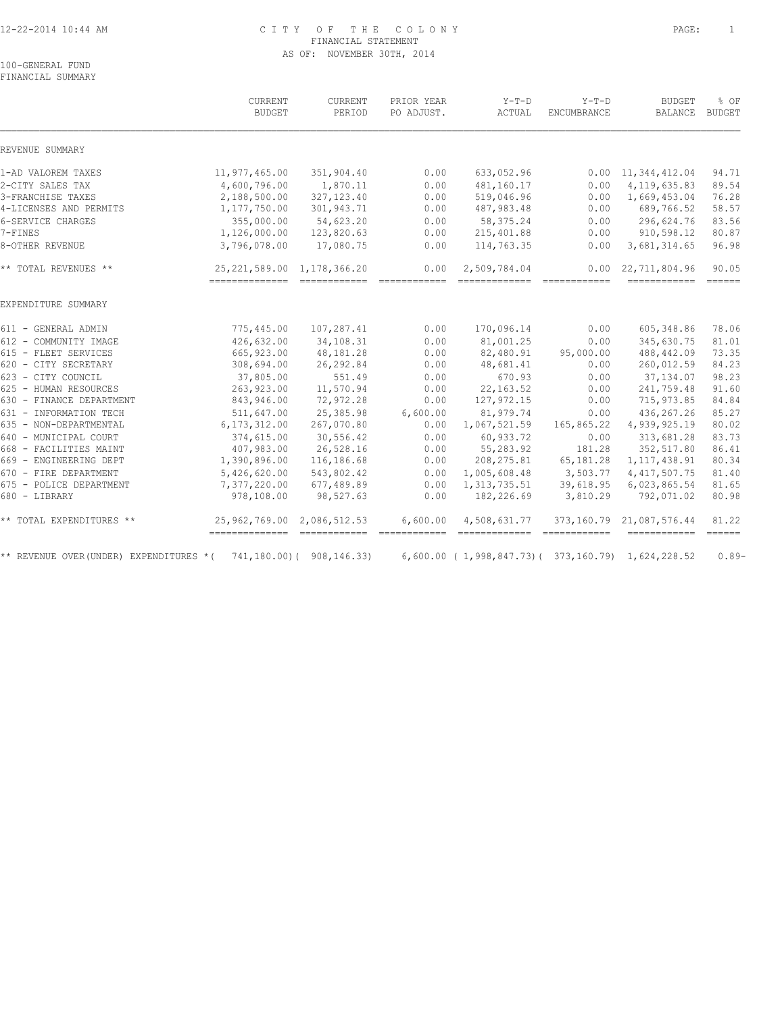### 12-22-2014 10:44 AM C I T Y O F T H E C O L O N Y PAGE: 1 FINANCIAL STATEMENT AS OF: NOVEMBER 30TH, 2014

100-GENERAL FUND FINANCIAL SUMMARY

|                                        | CURRENT<br><b>BUDGET</b>       | CURRENT<br>PERIOD         | PRIOR YEAR<br>PO ADJUST. | $Y-T-D$<br>ACTUAL                                 | $Y-T-D$<br>ENCUMBRANCE | <b>BUDGET</b><br><b>BALANCE</b>                                                                                                                                                                                                                                                                                                                                                                                                                                                                                                                        | % OF<br><b>BUDGET</b> |
|----------------------------------------|--------------------------------|---------------------------|--------------------------|---------------------------------------------------|------------------------|--------------------------------------------------------------------------------------------------------------------------------------------------------------------------------------------------------------------------------------------------------------------------------------------------------------------------------------------------------------------------------------------------------------------------------------------------------------------------------------------------------------------------------------------------------|-----------------------|
| REVENUE SUMMARY                        |                                |                           |                          |                                                   |                        |                                                                                                                                                                                                                                                                                                                                                                                                                                                                                                                                                        |                       |
| 1-AD VALOREM TAXES                     | 11,977,465.00                  | 351,904.40                | 0.00                     | 633,052.96                                        |                        | $0.00 \quad 11,344,412.04$                                                                                                                                                                                                                                                                                                                                                                                                                                                                                                                             | 94.71                 |
| 2-CITY SALES TAX                       | 4,600,796.00                   | 1,870.11                  | 0.00                     | 481,160.17                                        | 0.00                   | 4, 119, 635.83                                                                                                                                                                                                                                                                                                                                                                                                                                                                                                                                         | 89.54                 |
| 3-FRANCHISE TAXES                      | 2,188,500.00                   | 327, 123.40               | 0.00                     | 519,046.96                                        | 0.00                   | 1,669,453.04                                                                                                                                                                                                                                                                                                                                                                                                                                                                                                                                           | 76.28                 |
| 4-LICENSES AND PERMITS                 | 1,177,750.00                   | 301,943.71                | 0.00                     | 487,983.48                                        | 0.00                   | 689,766.52                                                                                                                                                                                                                                                                                                                                                                                                                                                                                                                                             | 58.57                 |
| 6-SERVICE CHARGES                      | 355,000.00                     | 54,623.20                 | 0.00                     | 58, 375.24                                        | 0.00                   | 296,624.76                                                                                                                                                                                                                                                                                                                                                                                                                                                                                                                                             | 83.56                 |
| 7-FINES                                | 1,126,000.00                   | 123,820.63                | 0.00                     | 215,401.88                                        | 0.00                   | 910,598.12                                                                                                                                                                                                                                                                                                                                                                                                                                                                                                                                             | 80.87                 |
| 8-OTHER REVENUE                        | 3,796,078.00                   | 17,080.75                 | 0.00                     | 114,763.35                                        | 0.00                   | 3,681,314.65                                                                                                                                                                                                                                                                                                                                                                                                                                                                                                                                           | 96.98                 |
| ** TOTAL REVENUES **                   | 25, 221, 589.00 1, 178, 366.20 |                           | 0.00                     | 2,509,784.04                                      |                        | $0.00 \quad 22,711,804.96$<br>$\begin{tabular}{lllllllll} \multicolumn{2}{l}{{\color{red}\textbf{a}}}&\multicolumn{2}{l}{\color{blue}\textbf{a}}&\multicolumn{2}{l}{\color{blue}\textbf{a}}&\multicolumn{2}{l}{\color{blue}\textbf{a}}&\multicolumn{2}{l}{\color{blue}\textbf{a}}&\multicolumn{2}{l}{\color{blue}\textbf{a}}&\multicolumn{2}{l}{\color{blue}\textbf{a}}&\multicolumn{2}{l}{\color{blue}\textbf{a}}&\multicolumn{2}{l}{\color{blue}\textbf{a}}&\multicolumn{2}{l}{\color{blue}\textbf{a}}&\multicolumn{2}{$                             | 90.05                 |
| EXPENDITURE SUMMARY                    |                                |                           |                          |                                                   |                        |                                                                                                                                                                                                                                                                                                                                                                                                                                                                                                                                                        |                       |
| 611 - GENERAL ADMIN                    | 775,445.00                     | 107,287.41                | 0.00                     | 170,096.14                                        | 0.00                   | 605,348.86                                                                                                                                                                                                                                                                                                                                                                                                                                                                                                                                             | 78.06                 |
| 612 - COMMUNITY IMAGE                  | 426,632.00                     | 34,108.31                 | 0.00                     | 81,001.25                                         | 0.00                   | 345,630.75                                                                                                                                                                                                                                                                                                                                                                                                                                                                                                                                             | 81.01                 |
| 615 - FLEET SERVICES                   | 665,923.00                     | 48,181.28                 | 0.00                     | 82,480.91                                         | 95,000.00              | 488, 442.09                                                                                                                                                                                                                                                                                                                                                                                                                                                                                                                                            | 73.35                 |
| 620 - CITY SECRETARY                   | 308,694.00                     | 26, 292.84                | 0.00                     | 48,681.41                                         | 0.00                   | 260,012.59                                                                                                                                                                                                                                                                                                                                                                                                                                                                                                                                             | 84.23                 |
| 623 - CITY COUNCIL                     | 37,805.00                      | 551.49                    | 0.00                     | 670.93                                            | 0.00                   | 37,134.07                                                                                                                                                                                                                                                                                                                                                                                                                                                                                                                                              | 98.23                 |
| 625 - HUMAN RESOURCES                  | 263,923.00                     | 11,570.94                 | 0.00                     | 22, 163.52                                        | 0.00                   | 241,759.48                                                                                                                                                                                                                                                                                                                                                                                                                                                                                                                                             | 91.60                 |
| 630 - FINANCE DEPARTMENT               | 843,946.00                     | 72,972.28                 | 0.00                     | 127,972.15                                        | 0.00                   | 715,973.85                                                                                                                                                                                                                                                                                                                                                                                                                                                                                                                                             | 84.84                 |
| 631 - INFORMATION TECH                 | 511,647.00                     | 25,385.98                 | 6,600.00                 | 81,979.74                                         | 0.00                   | 436, 267.26                                                                                                                                                                                                                                                                                                                                                                                                                                                                                                                                            | 85.27                 |
| 635 - NON-DEPARTMENTAL                 | 6, 173, 312.00                 | 267,070.80                | 0.00                     | 1,067,521.59                                      | 165,865.22             | 4,939,925.19                                                                                                                                                                                                                                                                                                                                                                                                                                                                                                                                           | 80.02                 |
| 640 - MUNICIPAL COURT                  | 374,615.00                     | 30,556.42                 | 0.00                     | 60,933.72                                         | 0.00                   | 313,681.28                                                                                                                                                                                                                                                                                                                                                                                                                                                                                                                                             | 83.73                 |
| 668 - FACILITIES MAINT                 | 407,983.00                     | 26,528.16                 | 0.00                     | 55,283.92                                         | 181.28                 | 352,517.80                                                                                                                                                                                                                                                                                                                                                                                                                                                                                                                                             | 86.41                 |
| 669 - ENGINEERING DEPT                 | 1,390,896.00                   | 116,186.68                | 0.00                     | 208, 275.81                                       | 65,181.28              | 1, 117, 438.91                                                                                                                                                                                                                                                                                                                                                                                                                                                                                                                                         | 80.34                 |
| 670 - FIRE DEPARTMENT                  | 5,426,620.00                   | 543,802.42                | 0.00                     | 1,005,608.48                                      | 3,503.77               | 4, 417, 507.75                                                                                                                                                                                                                                                                                                                                                                                                                                                                                                                                         | 81.40                 |
| 675 - POLICE DEPARTMENT                | 7,377,220.00                   | 677,489.89                | 0.00                     | 1, 313, 735.51                                    | 39,618.95              | 6,023,865.54                                                                                                                                                                                                                                                                                                                                                                                                                                                                                                                                           | 81.65                 |
| 680 - LIBRARY                          | 978,108.00                     | 98,527.63                 | 0.00                     | 182,226.69                                        | 3,810.29               | 792,071.02                                                                                                                                                                                                                                                                                                                                                                                                                                                                                                                                             | 80.98                 |
| ** TOTAL EXPENDITURES **               | 25,962,769.00                  | 2,086,512.53              | 6,600.00                 | 4,508,631.77                                      |                        | 373, 160.79 21, 087, 576.44                                                                                                                                                                                                                                                                                                                                                                                                                                                                                                                            | 81.22                 |
| ** REVENUE OVER(UNDER) EXPENDITURES *( |                                | 741,180.00) ( 908,146.33) |                          | 6,600.00 (1,998,847.73) (373,160.79) 1,624,228.52 |                        | $\begin{tabular}{lllllllllll} \multicolumn{2}{l}{{\color{red}{{\color{red}\boldsymbol{z}}}}} & \multicolumn{2}{l}{\color{red}\boldsymbol{z}}} & \multicolumn{2}{l}{\color{red}\boldsymbol{z}}} & \multicolumn{2}{l}{\color{red}\boldsymbol{z}}} & \multicolumn{2}{l}{\color{red}\boldsymbol{z}}} & \multicolumn{2}{l}{\color{red}\boldsymbol{z}}} & \multicolumn{2}{l}{\color{red}\boldsymbol{z}}} & \multicolumn{2}{l}{\color{red}\boldsymbol{z}}} & \multicolumn{2}{l}{\color{red}\boldsymbol{z}}} & \multicolumn{2}{l}{\color{red}\boldsymbol{z}}}$ | $0.89-$               |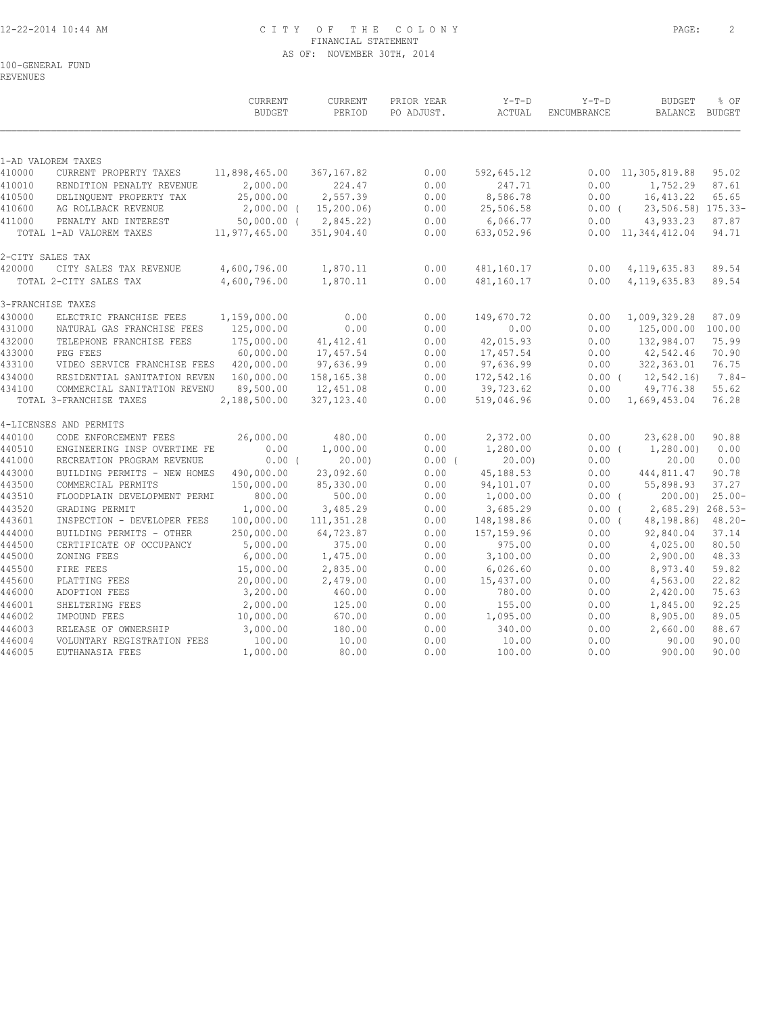# 12-22-2014 10:44 AM C I T Y O F T H E C O L O N Y PAGE: 2 FINANCIAL STATEMENT AS OF: NOVEMBER 30TH, 2014

REVENUES

|                  |                                               | CURRENT<br><b>BUDGET</b>                                                     | <b>CURRENT</b><br>PERIOD | PRIOR YEAR<br>PO ADJUST. | $Y-T-D$<br>ACTUAL      | $Y-T-D$<br>ENCUMBRANCE | <b>BUDGET</b><br>BALANCE BUDGET | % OF      |
|------------------|-----------------------------------------------|------------------------------------------------------------------------------|--------------------------|--------------------------|------------------------|------------------------|---------------------------------|-----------|
|                  | 1-AD VALOREM TAXES                            |                                                                              |                          |                          |                        |                        |                                 |           |
| 410000           | CURRENT PROPERTY TAXES                        | 11,898,465.00                                                                | 367, 167.82              | 0.00                     | 592,645.12             |                        | $0.00 \quad 11,305,819.88$      | 95.02     |
| 410010           | RENDITION PENALTY REVENUE                     | 2,000.00                                                                     | 224.47                   | 0.00                     | 247.71                 | 0.00                   | 1,752.29                        | 87.61     |
| 410500           | DELINQUENT PROPERTY TAX                       | 25,000.00                                                                    | 2,557.39                 | 0.00                     | 8,586.78               | 0.00                   | 16, 413.22                      | 65.65     |
| 410600           | AG ROLLBACK REVENUE                           | $2,000.00$ (                                                                 | 15, 200.06               | 0.00                     | 25,506.58              | $0.00$ (               | 23,506.58) 175.33-              |           |
| 411000           | PENALTY AND INTEREST                          | $50,000.00$ (                                                                | 2,845.22                 | 0.00                     | 6,066.77               | 0.00                   | 43,933.23                       | 87.87     |
|                  | TOTAL 1-AD VALOREM TAXES                      | 11,977,465.00                                                                | 351,904.40               | 0.00                     | 633,052.96             |                        | $0.00 \quad 11,344,412.04$      | 94.71     |
| 2-CITY SALES TAX |                                               |                                                                              |                          |                          |                        |                        |                                 |           |
| 420000           | CITY SALES TAX REVENUE                        | 4,600,796.00                                                                 | 1,870.11                 | 0.00                     | 481,160.17             | 0.00                   | 4, 119, 635.83                  | 89.54     |
|                  | TOTAL 2-CITY SALES TAX                        | 4,600,796.00                                                                 | 1,870.11                 | 0.00                     | 481,160.17             | 0.00                   | 4, 119, 635.83                  | 89.54     |
|                  | 3-FRANCHISE TAXES                             |                                                                              |                          |                          |                        |                        |                                 |           |
| 430000           | ELECTRIC FRANCHISE FEES                       | 1,159,000.00                                                                 | 0.00                     | 0.00                     | 149,670.72             | 0.00                   | 1,009,329.28                    | 87.09     |
| 431000           | NATURAL GAS FRANCHISE FEES                    | 125,000.00                                                                   | 0.00                     | 0.00                     | 0.00                   | 0.00                   | 125,000.00                      | 100.00    |
| 432000           | TELEPHONE FRANCHISE FEES                      | 175,000.00                                                                   | 41, 412.41               | 0.00                     | 42,015.93              | 0.00                   | 132,984.07                      | 75.99     |
| 433000           | PEG FEES                                      | 60,000.00                                                                    | 17,457.54                | 0.00                     | 17,457.54              | 0.00                   | 42,542.46                       | 70.90     |
| 433100           | VIDEO SERVICE FRANCHISE FEES                  | 420,000.00                                                                   | 97,636.99                | 0.00                     | 97,636.99              | 0.00                   | 322,363.01                      | 76.75     |
| 434000           | RESIDENTIAL SANITATION REVEN                  | 160,000.00                                                                   | 158,165.38               | 0.00                     | 172,542.16             | $0.00$ (               | 12,542.16)                      | $7.84-$   |
| 434100           | COMMERCIAL SANITATION REVENU                  | 89,500.00                                                                    | 12,451.08                | 0.00                     | 39,723.62              | 0.00                   | 49,776.38                       | 55.62     |
|                  | TOTAL 3-FRANCHISE TAXES                       | 2,188,500.00                                                                 | 327, 123.40              | 0.00                     | 519,046.96             | 0.00                   | 1,669,453.04                    | 76.28     |
|                  | 4-LICENSES AND PERMITS                        |                                                                              |                          |                          |                        |                        |                                 |           |
| 440100           | CODE ENFORCEMENT FEES                         | 26,000.00                                                                    | 480.00                   | 0.00                     | 2,372.00               | 0.00                   | 23,628.00                       | 90.88     |
| 440510           | ENGINEERING INSP OVERTIME FE                  | $\ensuremath{\mathsf{0}}$ . $\ensuremath{\mathsf{0}}\ensuremath{\mathsf{0}}$ | 1,000.00                 | 0.00                     | 1,280.00               | $0.00$ (               | 1,280.00)                       | 0.00      |
| 441000           | RECREATION PROGRAM REVENUE                    | 0.00(                                                                        | 20.00                    | $0.00$ (                 | 20.00                  | 0.00                   | 20.00                           | 0.00      |
| 443000           | BUILDING PERMITS - NEW HOMES                  | 490,000.00                                                                   | 23,092.60                | 0.00                     | 45, 188.53             | 0.00                   | 444,811.47                      | 90.78     |
| 443500           | COMMERCIAL PERMITS                            | 150,000.00                                                                   | 85,330.00                | 0.00                     | 94,101.07              | 0.00                   | 55,898.93                       | 37.27     |
| 443510           | FLOODPLAIN DEVELOPMENT PERMI                  | 800.00                                                                       | 500.00                   | 0.00                     | 1,000.00               | $0.00$ (               | 200.00                          | $25.00 -$ |
| 443520<br>443601 | GRADING PERMIT<br>INSPECTION - DEVELOPER FEES | 1,000.00<br>100,000.00                                                       | 3,485.29<br>111,351.28   | 0.00<br>0.00             | 3,685.29<br>148,198.86 | 0.00(<br>$0.00$ (      | 2,685.29) 268.53-<br>48,198.86) | $48.20 -$ |
| 444000           | BUILDING PERMITS - OTHER                      | 250,000.00                                                                   | 64,723.87                | 0.00                     |                        | 0.00                   | 92,840.04                       | 37.14     |
| 444500           | CERTIFICATE OF OCCUPANCY                      | 5,000.00                                                                     | 375.00                   | 0.00                     | 157, 159.96<br>975.00  | 0.00                   | 4,025.00                        | 80.50     |
| 445000           | ZONING FEES                                   | 6,000.00                                                                     | 1,475.00                 | 0.00                     | 3,100.00               | 0.00                   | 2,900.00                        | 48.33     |
| 445500           | FIRE FEES                                     | 15,000.00                                                                    | 2,835.00                 | 0.00                     | 6,026.60               | 0.00                   | 8,973.40                        | 59.82     |
| 445600           | PLATTING FEES                                 | 20,000.00                                                                    | 2,479.00                 | 0.00                     | 15,437.00              | 0.00                   | 4,563.00                        | 22.82     |
| 446000           | ADOPTION FEES                                 | 3,200.00                                                                     | 460.00                   | 0.00                     | 780.00                 | 0.00                   | 2,420.00                        | 75.63     |
| 446001           | SHELTERING FEES                               | 2,000.00                                                                     | 125.00                   | 0.00                     | 155.00                 | 0.00                   | 1,845.00                        | 92.25     |
| 446002           | IMPOUND FEES                                  | 10,000.00                                                                    | 670.00                   | 0.00                     | 1,095.00               | 0.00                   | 8,905.00                        | 89.05     |
| 446003           | RELEASE OF OWNERSHIP                          | 3,000.00                                                                     | 180.00                   | 0.00                     | 340.00                 | 0.00                   | 2,660.00                        | 88.67     |
| 446004           | VOLUNTARY REGISTRATION FEES                   | 100.00                                                                       | 10.00                    | 0.00                     | 10.00                  | 0.00                   | 90.00                           | 90.00     |
| 446005           | EUTHANASIA FEES                               | 1,000.00                                                                     | 80.00                    | 0.00                     | 100.00                 | 0.00                   | 900.00                          | 90.00     |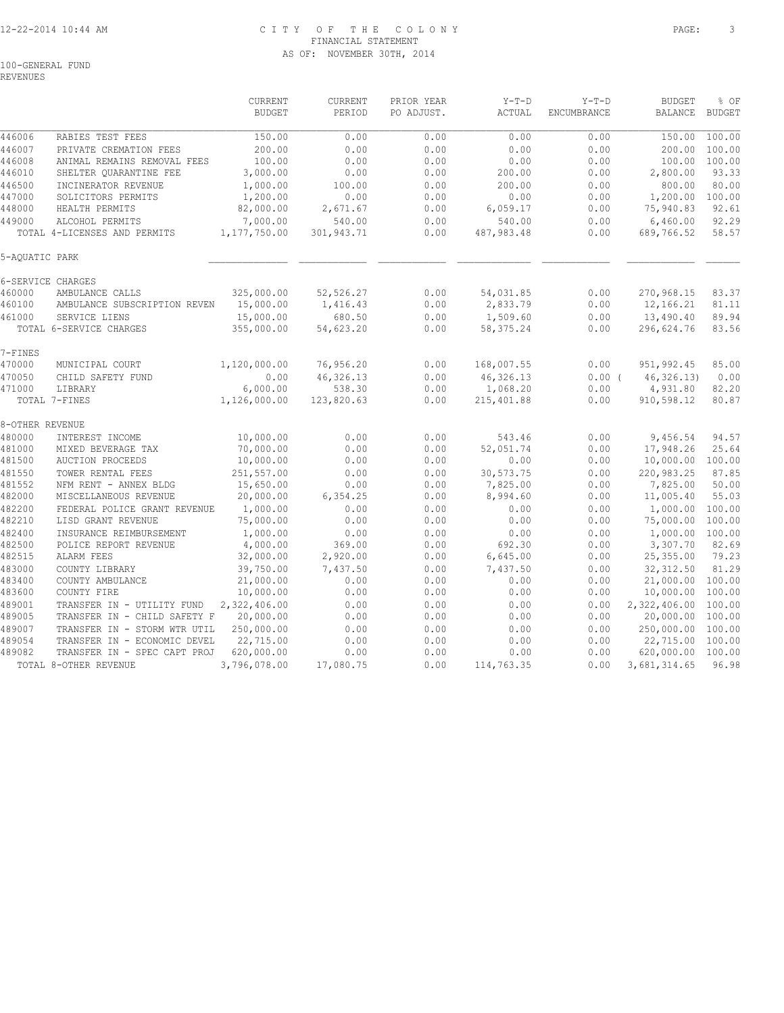# 12-22-2014 10:44 AM C I T Y O F T H E C O L O N Y PAGE: 3 FINANCIAL STATEMENT AS OF: NOVEMBER 30TH, 2014

REVENUES

|                 |                              | <b>CURRENT</b><br><b>BUDGET</b> | CURRENT<br>PERIOD | PRIOR YEAR<br>PO ADJUST. | $Y-T-D$<br>ACTUAL | $Y-T-D$<br>ENCUMBRANCE | <b>BUDGET</b><br><b>BALANCE</b> | % OF<br><b>BUDGET</b> |
|-----------------|------------------------------|---------------------------------|-------------------|--------------------------|-------------------|------------------------|---------------------------------|-----------------------|
|                 |                              |                                 |                   |                          |                   |                        |                                 |                       |
| 446006          | RABIES TEST FEES             | 150.00                          | 0.00              | 0.00                     | 0.00              | 0.00                   | 150.00                          | 100.00                |
| 446007          | PRIVATE CREMATION FEES       | 200.00                          | 0.00              | 0.00                     | 0.00              | 0.00                   | 200.00                          | 100.00                |
| 446008          | ANIMAL REMAINS REMOVAL FEES  | 100.00                          | 0.00              | 0.00                     | 0.00              | 0.00                   | 100.00                          | 100.00                |
| 446010          | SHELTER QUARANTINE FEE       | 3,000.00                        | 0.00              | 0.00                     | 200.00            | 0.00                   | 2,800.00                        | 93.33                 |
| 446500          | INCINERATOR REVENUE          | 1,000.00                        | 100.00            | 0.00                     | 200.00            | 0.00                   | 800.00                          | 80.00                 |
| 447000          | SOLICITORS PERMITS           | 1,200.00                        | 0.00              | 0.00                     | 0.00              | 0.00                   | 1,200.00                        | 100.00                |
| 448000          | HEALTH PERMITS               | 82,000.00                       | 2,671.67          | 0.00                     | 6,059.17          | 0.00                   | 75,940.83                       | 92.61                 |
| 449000          | ALCOHOL PERMITS              | 7,000.00                        | 540.00            | 0.00                     | 540.00            | 0.00                   | 6,460.00                        | 92.29                 |
|                 | TOTAL 4-LICENSES AND PERMITS | 1,177,750.00                    | 301,943.71        | 0.00                     | 487,983.48        | 0.00                   | 689,766.52                      | 58.57                 |
| 5-AQUATIC PARK  |                              |                                 |                   |                          |                   |                        |                                 |                       |
|                 | 6-SERVICE CHARGES            |                                 |                   |                          |                   |                        |                                 |                       |
| 460000          | AMBULANCE CALLS              | 325,000.00                      | 52,526.27         | 0.00                     | 54,031.85         | 0.00                   | 270,968.15                      | 83.37                 |
| 460100          | AMBULANCE SUBSCRIPTION REVEN | 15,000.00                       | 1,416.43          | 0.00                     | 2,833.79          | 0.00                   | 12,166.21                       | 81.11                 |
| 461000          | SERVICE LIENS                | 15,000.00                       | 680.50            | 0.00                     | 1,509.60          | 0.00                   | 13,490.40                       | 89.94                 |
|                 | TOTAL 6-SERVICE CHARGES      | 355,000.00                      | 54,623.20         | 0.00                     | 58, 375.24        | 0.00                   | 296,624.76                      | 83.56                 |
| 7-FINES         |                              |                                 |                   |                          |                   |                        |                                 |                       |
| 470000          | MUNICIPAL COURT              | 1,120,000.00                    | 76,956.20         | 0.00                     | 168,007.55        | 0.00                   | 951,992.45                      | 85.00                 |
| 470050          | CHILD SAFETY FUND            | 0.00                            | 46,326.13         | 0.00                     | 46, 326.13        | $0.00$ (               | 46, 326.13                      | 0.00                  |
| 471000          | LIBRARY                      | 6,000.00                        | 538.30            | 0.00                     | 1,068.20          | 0.00                   | 4,931.80                        | 82.20                 |
|                 | TOTAL 7-FINES                | 1,126,000.00                    | 123,820.63        | 0.00                     | 215, 401.88       | 0.00                   | 910,598.12                      | 80.87                 |
| 8-OTHER REVENUE |                              |                                 |                   |                          |                   |                        |                                 |                       |
| 480000          | INTEREST INCOME              | 10,000.00                       | 0.00              | 0.00                     | 543.46            | 0.00                   | 9,456.54                        | 94.57                 |
| 481000          | MIXED BEVERAGE TAX           | 70,000.00                       | 0.00              | 0.00                     | 52,051.74         | 0.00                   | 17,948.26                       | 25.64                 |
| 481500          | <b>AUCTION PROCEEDS</b>      | 10,000.00                       | 0.00              | 0.00                     | 0.00              | 0.00                   | 10,000.00                       | 100.00                |
| 481550          | TOWER RENTAL FEES            | 251,557.00                      | 0.00              | 0.00                     | 30,573.75         | 0.00                   | 220,983.25                      | 87.85                 |
| 481552          | NFM RENT - ANNEX BLDG        | 15,650.00                       | 0.00              | 0.00                     | 7,825.00          | 0.00                   | 7,825.00                        | 50.00                 |
| 482000          | MISCELLANEOUS REVENUE        | 20,000.00                       | 6,354.25          | 0.00                     | 8,994.60          | 0.00                   | 11,005.40                       | 55.03                 |
| 482200          | FEDERAL POLICE GRANT REVENUE | 1,000.00                        | 0.00              | 0.00                     | 0.00              | 0.00                   | 1,000.00                        | 100.00                |
| 482210          | LISD GRANT REVENUE           | 75,000.00                       | 0.00              | 0.00                     | 0.00              | 0.00                   | 75,000.00                       | 100.00                |
| 482400          | INSURANCE REIMBURSEMENT      | 1,000.00                        | 0.00              | 0.00                     | 0.00              | 0.00                   | 1,000.00                        | 100.00                |
| 482500          | POLICE REPORT REVENUE        | 4,000.00                        | 369.00            | 0.00                     | 692.30            | 0.00                   | 3,307.70                        | 82.69                 |
| 482515          | ALARM FEES                   | 32,000.00                       | 2,920.00          | 0.00                     | 6,645.00          | 0.00                   | 25,355.00                       | 79.23                 |
| 483000          | COUNTY LIBRARY               | 39,750.00                       | 7,437.50          | 0.00                     | 7,437.50          | 0.00                   | 32, 312.50                      | 81.29                 |
| 483400          | COUNTY AMBULANCE             | 21,000.00                       | 0.00              | 0.00                     | 0.00              | 0.00                   | 21,000.00                       | 100.00                |
| 483600          | COUNTY FIRE                  | 10,000.00                       | 0.00              | 0.00                     | 0.00              | 0.00                   | 10,000.00                       | 100.00                |
| 489001          | TRANSFER IN - UTILITY FUND   | 2,322,406.00                    | 0.00              | 0.00                     | 0.00              | 0.00                   | 2,322,406.00                    | 100.00                |
| 489005          | TRANSFER IN - CHILD SAFETY F | 20,000.00                       | 0.00              | 0.00                     | 0.00              | 0.00                   | 20,000.00                       | 100.00                |
| 489007          | TRANSFER IN - STORM WTR UTIL | 250,000.00                      | 0.00              | 0.00                     | 0.00              | 0.00                   | 250,000.00                      | 100.00                |
| 489054          | TRANSFER IN - ECONOMIC DEVEL | 22,715.00                       | 0.00              | 0.00                     | 0.00              | 0.00                   | 22,715.00                       | 100.00                |
| 489082          | TRANSFER IN - SPEC CAPT PROJ | 620,000.00                      | 0.00              | 0.00                     | 0.00              | 0.00                   | 620,000.00                      | 100.00                |
|                 | TOTAL 8-OTHER REVENUE        | 3,796,078.00                    | 17,080.75         | 0.00                     | 114,763.35        | 0.00                   | 3,681,314.65                    | 96.98                 |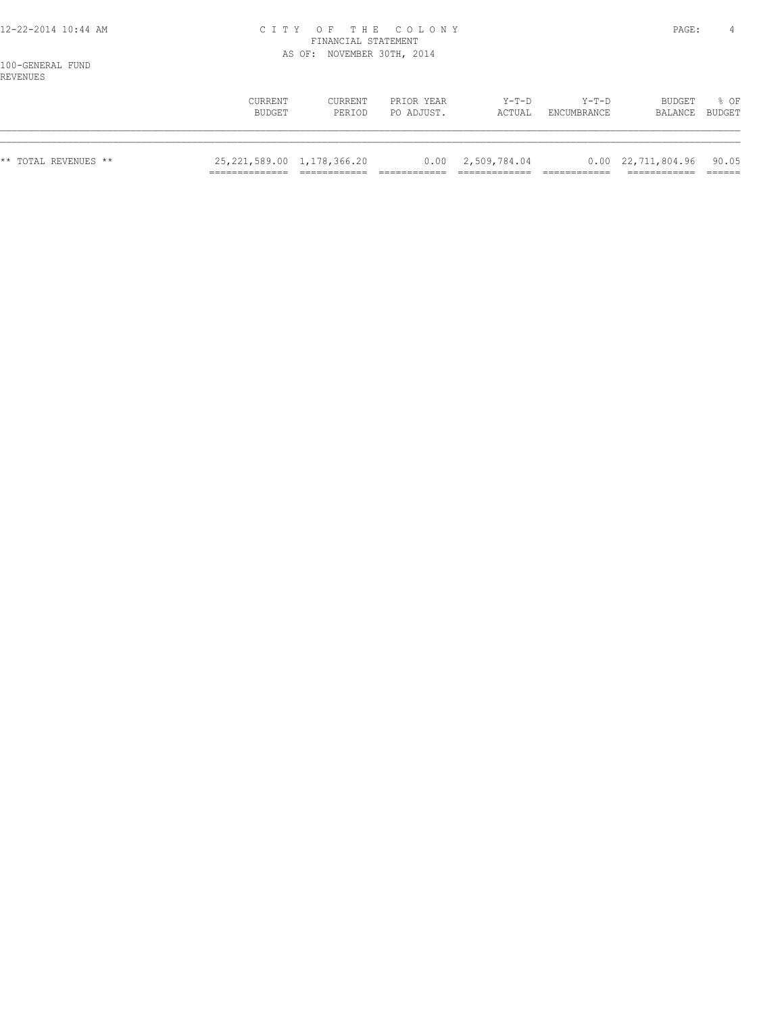### 12-22-2014 10:44 AM C I T Y O F T H E C O L O N Y PAGE: 4 FINANCIAL STATEMENT AS OF: NOVEMBER 30TH, 2014

100-GENERAL FUND REVENUES

|                      | CURRENT<br>BUDGET              | CURRENT<br>PERIOD | PRIOR YEAR<br>PO ADJUST. | Y-T-D<br>ACTUAL           | Y-T-D<br>ENCUMBRANCE | BUDGET<br>BALANCE BUDGET               | % OF |
|----------------------|--------------------------------|-------------------|--------------------------|---------------------------|----------------------|----------------------------------------|------|
| ** TOTAL REVENUES ** | 25, 221, 589.00 1, 178, 366.20 |                   |                          | $0.00 \quad 2,509,784.04$ |                      | $0.00 \quad 22,711,804.96 \quad 90.05$ |      |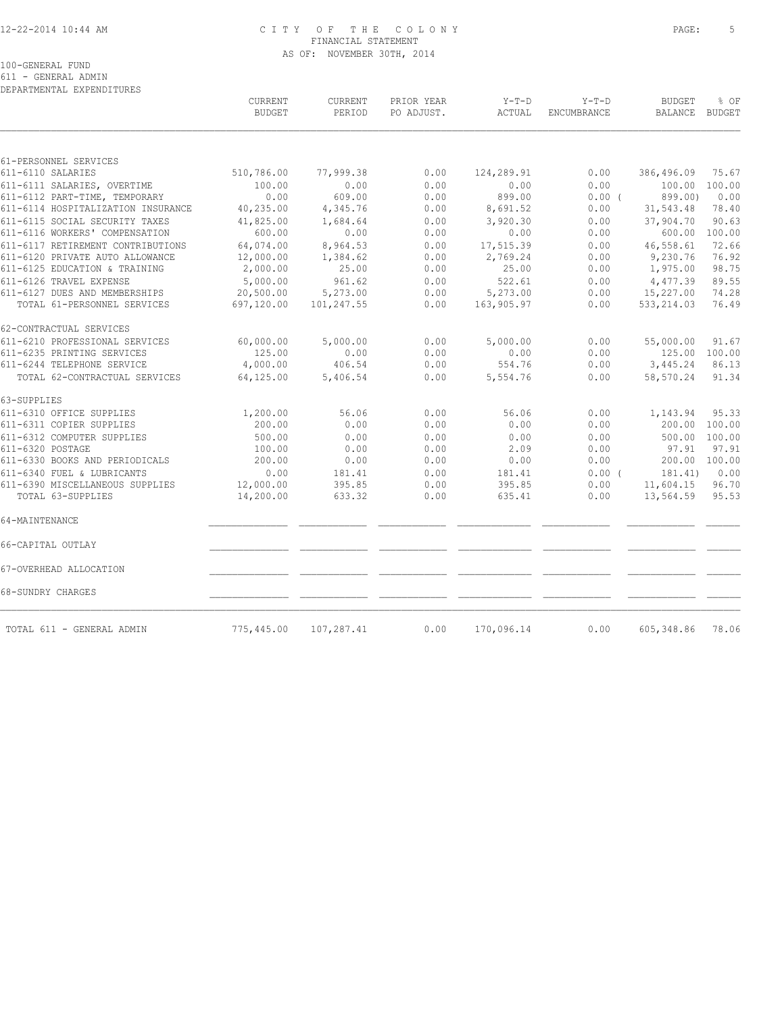### 12-22-2014 10:44 AM C I T Y O F T H E C O L O N Y PAGE: 5 FINANCIAL STATEMENT AS OF: NOVEMBER 30TH, 2014

100-GENERAL FUND

611 - GENERAL ADMIN

| DEPARTMENTAL EXPENDITURES          |                          |                   |                          |                   |                        |                          |                       |
|------------------------------------|--------------------------|-------------------|--------------------------|-------------------|------------------------|--------------------------|-----------------------|
|                                    | CURRENT<br><b>BUDGET</b> | CURRENT<br>PERIOD | PRIOR YEAR<br>PO ADJUST. | $Y-T-D$<br>ACTUAL | $Y-T-D$<br>ENCUMBRANCE | <b>BUDGET</b><br>BALANCE | % OF<br><b>BUDGET</b> |
|                                    |                          |                   |                          |                   |                        |                          |                       |
| 61-PERSONNEL SERVICES              |                          |                   |                          |                   |                        |                          |                       |
| 611-6110 SALARIES                  | 510,786.00               | 77,999.38         | 0.00                     | 124,289.91        | 0.00                   | 386,496.09               | 75.67                 |
| 611-6111 SALARIES, OVERTIME        | 100.00                   | 0.00              | 0.00                     | 0.00              | 0.00                   | 100.00                   | 100.00                |
| 611-6112 PART-TIME, TEMPORARY      | 0.00                     | 609.00            | 0.00                     | 899.00            | 0.00(                  | 899.00)                  | 0.00                  |
| 611-6114 HOSPITALIZATION INSURANCE | 40,235.00                | 4,345.76          | 0.00                     | 8,691.52          | 0.00                   | 31,543.48                | 78.40                 |
| 611-6115 SOCIAL SECURITY TAXES     | 41,825.00                | 1,684.64          | 0.00                     | 3,920.30          | 0.00                   | 37,904.70                | 90.63                 |
| 611-6116 WORKERS' COMPENSATION     | 600.00                   | 0.00              | 0.00                     | 0.00              | 0.00                   | 600.00                   | 100.00                |
| 611-6117 RETIREMENT CONTRIBUTIONS  | 64,074.00                | 8,964.53          | 0.00                     | 17,515.39         | 0.00                   | 46,558.61                | 72.66                 |
| 611-6120 PRIVATE AUTO ALLOWANCE    | 12,000.00                | 1,384.62          | 0.00                     | 2,769.24          | 0.00                   | 9,230.76                 | 76.92                 |
| 611-6125 EDUCATION & TRAINING      | 2,000.00                 | 25.00             | 0.00                     | 25.00             | 0.00                   | 1,975.00                 | 98.75                 |
| 611-6126 TRAVEL EXPENSE            | 5,000.00                 | 961.62            | 0.00                     | 522.61            | 0.00                   | 4,477.39                 | 89.55                 |
| 611-6127 DUES AND MEMBERSHIPS      | 20,500.00                | 5,273.00          | 0.00                     | 5,273.00          | 0.00                   | 15,227.00                | 74.28                 |
| TOTAL 61-PERSONNEL SERVICES        | 697,120.00               | 101,247.55        | 0.00                     | 163,905.97        | 0.00                   | 533, 214.03              | 76.49                 |
| 62-CONTRACTUAL SERVICES            |                          |                   |                          |                   |                        |                          |                       |
| 611-6210 PROFESSIONAL SERVICES     | 60,000.00                | 5,000.00          | 0.00                     | 5,000.00          | 0.00                   | 55,000.00                | 91.67                 |
| 611-6235 PRINTING SERVICES         | 125.00                   | 0.00              | 0.00                     | 0.00              | 0.00                   |                          | 125.00 100.00         |
| 611-6244 TELEPHONE SERVICE         | 4,000.00                 | 406.54            | 0.00                     | 554.76            | 0.00                   | 3,445.24                 | 86.13                 |
| TOTAL 62-CONTRACTUAL SERVICES      | 64,125.00                | 5,406.54          | 0.00                     | 5,554.76          | 0.00                   | 58,570.24                | 91.34                 |
| 63-SUPPLIES                        |                          |                   |                          |                   |                        |                          |                       |
| 611-6310 OFFICE SUPPLIES           | 1,200.00                 | 56.06             | 0.00                     | 56.06             | 0.00                   | 1,143.94                 | 95.33                 |
| 611-6311 COPIER SUPPLIES           | 200.00                   | 0.00              | 0.00                     | 0.00              | 0.00                   | 200.00                   | 100.00                |
| 611-6312 COMPUTER SUPPLIES         | 500.00                   | 0.00              | 0.00                     | 0.00              | 0.00                   | 500.00                   | 100.00                |
| 611-6320 POSTAGE                   | 100.00                   | 0.00              | 0.00                     | 2.09              | 0.00                   | 97.91                    | 97.91                 |
| 611-6330 BOOKS AND PERIODICALS     | 200.00                   | 0.00              | 0.00                     | 0.00              | 0.00                   | 200.00                   | 100.00                |
| 611-6340 FUEL & LUBRICANTS         | 0.00                     | 181.41            | 0.00                     | 181.41            | 0.00(                  | 181.41)                  | 0.00                  |
| 611-6390 MISCELLANEOUS SUPPLIES    | 12,000.00                | 395.85            | 0.00                     | 395.85            | 0.00                   | 11,604.15                | 96.70                 |
| TOTAL 63-SUPPLIES                  | 14,200.00                | 633.32            | 0.00                     | 635.41            | 0.00                   | 13,564.59                | 95.53                 |
| 64-MAINTENANCE                     |                          |                   |                          |                   |                        |                          |                       |
| 66-CAPITAL OUTLAY                  |                          |                   |                          |                   |                        |                          |                       |
| 67-OVERHEAD ALLOCATION             |                          |                   |                          |                   |                        |                          |                       |
| 68-SUNDRY CHARGES                  |                          |                   |                          |                   |                        |                          |                       |
|                                    |                          | 107,287.41        |                          |                   | 0.00                   | 605, 348.86              | 78.06                 |
| TOTAL 611 - GENERAL ADMIN          | 775,445.00               |                   | 0.00                     | 170,096.14        |                        |                          |                       |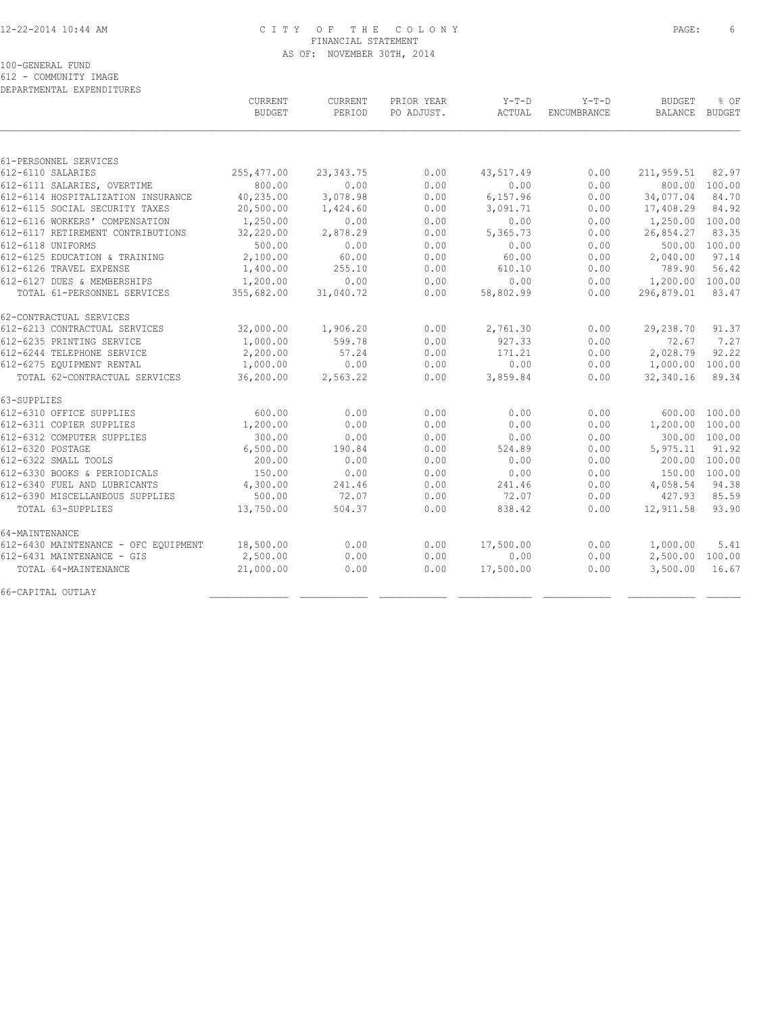### 12-22-2014 10:44 AM C I T Y O F T H E C O L O N Y PAGE: 6 FINANCIAL STATEMENT AS OF: NOVEMBER 30TH, 2014

100-GENERAL FUND

612 - COMMUNITY IMAGE

| DEPARTMENTAL EXPENDITURES            |               |             |            |           |             |                 |               |
|--------------------------------------|---------------|-------------|------------|-----------|-------------|-----------------|---------------|
|                                      | CURRENT       | CURRENT     | PRIOR YEAR | $Y-T-D$   | $Y-T-D$     | <b>BUDGET</b>   | % OF          |
|                                      | <b>BUDGET</b> | PERIOD      | PO ADJUST. | ACTUAL    | ENCUMBRANCE | <b>BALANCE</b>  | <b>BUDGET</b> |
|                                      |               |             |            |           |             |                 |               |
| 61-PERSONNEL SERVICES                |               |             |            |           |             |                 |               |
| 612-6110 SALARIES                    | 255, 477.00   | 23, 343. 75 | 0.00       | 43,517.49 | 0.00        | 211,959.51      | 82.97         |
| 612-6111 SALARIES, OVERTIME          | 800.00        | 0.00        | 0.00       | 0.00      | 0.00        | 800.00          | 100.00        |
| 612-6114 HOSPITALIZATION INSURANCE   | 40,235.00     | 3,078.98    | 0.00       | 6,157.96  | 0.00        | 34,077.04       | 84.70         |
| 612-6115 SOCIAL SECURITY TAXES       | 20,500.00     | 1,424.60    | 0.00       | 3,091.71  | 0.00        | 17,408.29       | 84.92         |
| 612-6116 WORKERS' COMPENSATION       | 1,250.00      | 0.00        | 0.00       | 0.00      | 0.00        | 1,250.00 100.00 |               |
| 612-6117 RETIREMENT CONTRIBUTIONS    | 32,220.00     | 2,878.29    | 0.00       | 5,365.73  | 0.00        | 26,854.27       | 83.35         |
| 612-6118 UNIFORMS                    | 500.00        | 0.00        | 0.00       | 0.00      | 0.00        | 500.00          | 100.00        |
| 612-6125 EDUCATION & TRAINING        | 2,100.00      | 60.00       | 0.00       | 60.00     | 0.00        | 2,040.00        | 97.14         |
| 612-6126 TRAVEL EXPENSE              | 1,400.00      | 255.10      | 0.00       | 610.10    | 0.00        | 789.90          | 56.42         |
| 612-6127 DUES & MEMBERSHIPS          | 1,200.00      | 0.00        | 0.00       | 0.00      | 0.00        | 1,200.00        | 100.00        |
| TOTAL 61-PERSONNEL SERVICES          | 355,682.00    | 31,040.72   | 0.00       | 58,802.99 | 0.00        | 296,879.01      | 83.47         |
| 62-CONTRACTUAL SERVICES              |               |             |            |           |             |                 |               |
| 612-6213 CONTRACTUAL SERVICES        | 32,000.00     | 1,906.20    | 0.00       | 2,761.30  | 0.00        | 29,238.70       | 91.37         |
| 612-6235 PRINTING SERVICE            | 1,000.00      | 599.78      | 0.00       | 927.33    | 0.00        | 72.67           | 7.27          |
| 612-6244 TELEPHONE SERVICE           | 2,200.00      | 57.24       | 0.00       | 171.21    | 0.00        | 2,028.79        | 92.22         |
| 612-6275 EQUIPMENT RENTAL            | 1,000.00      | 0.00        | 0.00       | 0.00      | 0.00        | 1,000.00        | 100.00        |
| TOTAL 62-CONTRACTUAL SERVICES        | 36,200.00     | 2,563.22    | 0.00       | 3,859.84  | 0.00        | 32,340.16       | 89.34         |
| 63-SUPPLIES                          |               |             |            |           |             |                 |               |
| 612-6310 OFFICE SUPPLIES             | 600.00        | 0.00        | 0.00       | 0.00      | 0.00        | 600.00          | 100.00        |
| 612-6311 COPIER SUPPLIES             | 1,200.00      | 0.00        | 0.00       | 0.00      | 0.00        | 1,200.00        | 100.00        |
| 612-6312 COMPUTER SUPPLIES           | 300.00        | 0.00        | 0.00       | 0.00      | 0.00        |                 | 300.00 100.00 |
| 612-6320 POSTAGE                     | 6,500.00      | 190.84      | 0.00       | 524.89    | 0.00        | 5,975.11        | 91.92         |
| 612-6322 SMALL TOOLS                 | 200.00        | 0.00        | 0.00       | 0.00      | 0.00        | 200.00          | 100.00        |
| 612-6330 BOOKS & PERIODICALS         | 150.00        | 0.00        | 0.00       | 0.00      | 0.00        | 150.00 100.00   |               |
| 612-6340 FUEL AND LUBRICANTS         | 4,300.00      | 241.46      | 0.00       | 241.46    | 0.00        | 4,058.54        | 94.38         |
| 612-6390 MISCELLANEOUS SUPPLIES      | 500.00        | 72.07       | 0.00       | 72.07     | 0.00        | 427.93          | 85.59         |
| TOTAL 63-SUPPLIES                    | 13,750.00     | 504.37      | 0.00       | 838.42    | 0.00        | 12,911.58       | 93.90         |
| 64-MAINTENANCE                       |               |             |            |           |             |                 |               |
| 612-6430 MAINTENANCE - OFC EQUIPMENT | 18,500.00     | 0.00        | 0.00       | 17,500.00 | 0.00        | 1,000.00        | 5.41          |
| 612-6431 MAINTENANCE - GIS           | 2,500.00      | 0.00        | 0.00       | 0.00      | 0.00        | 2,500.00        | 100.00        |
| TOTAL 64-MAINTENANCE                 | 21,000.00     | 0.00        | 0.00       | 17,500.00 | 0.00        | 3,500.00        | 16.67         |
| 66-CAPITAL OUTLAY                    |               |             |            |           |             |                 |               |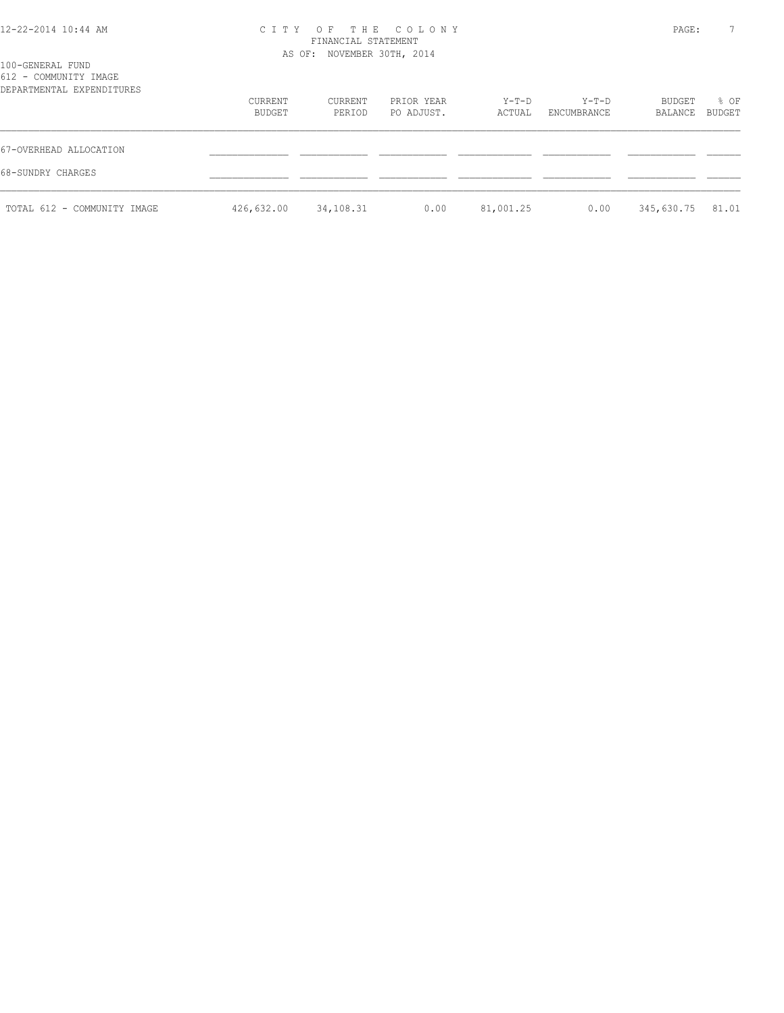| 12-22-2014 10:44 AM |  |  |
|---------------------|--|--|
|---------------------|--|--|

# 12-22-2014 10:44 AM C I T Y O F T H E C O L O N Y PAGE: 7 FINANCIAL STATEMENT

|                                                                        |                   | AS OF: NOVEMBER 30TH, 2014 |                          |                   |                        |                   |                |
|------------------------------------------------------------------------|-------------------|----------------------------|--------------------------|-------------------|------------------------|-------------------|----------------|
| 100-GENERAL FUND<br>612 - COMMUNITY IMAGE<br>DEPARTMENTAL EXPENDITURES |                   |                            |                          |                   |                        |                   |                |
|                                                                        | CURRENT<br>BUDGET | CURRENT<br>PERIOD          | PRIOR YEAR<br>PO ADJUST. | $Y-T-D$<br>ACTUAL | $Y-T-D$<br>ENCUMBRANCE | BUDGET<br>BALANCE | % OF<br>BUDGET |
| 67-OVERHEAD ALLOCATION                                                 |                   |                            |                          |                   |                        |                   |                |
| 68-SUNDRY CHARGES                                                      |                   |                            |                          |                   |                        |                   |                |
| TOTAL 612 - COMMUNITY IMAGE                                            | 426,632.00        | 34,108.31                  | 0.00                     | 81,001.25         | 0.00                   | 345,630.75        | 81.01          |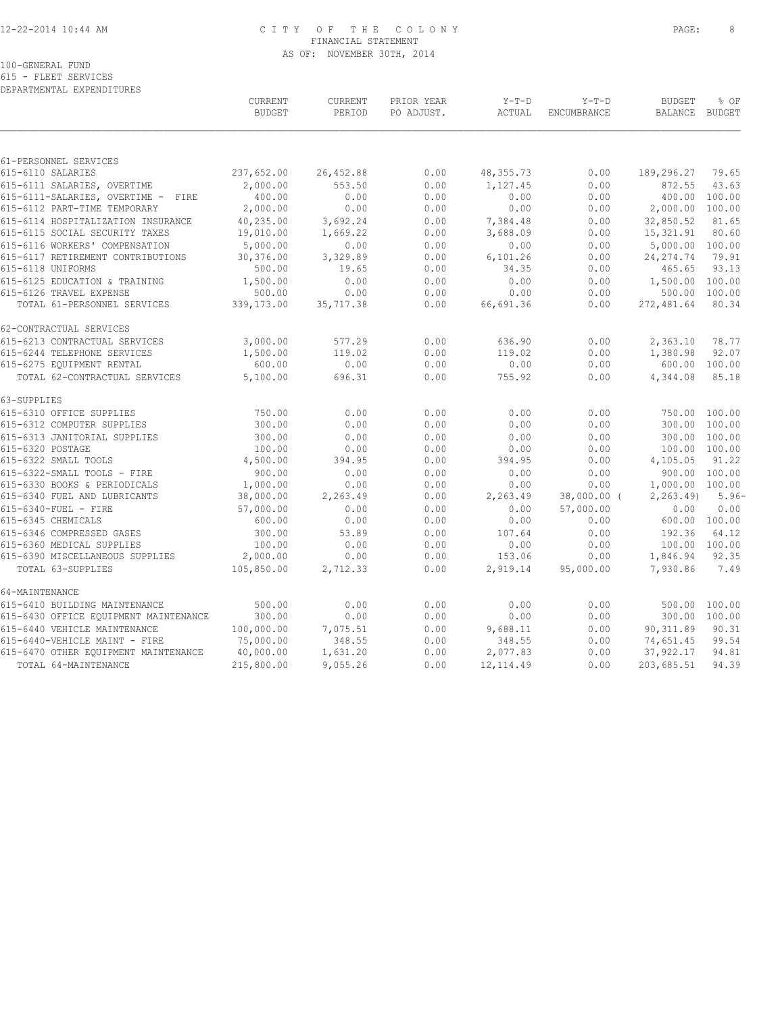## 12-22-2014 10:44 AM C I T Y O F T H E C O L O N Y PAGE: 8 FINANCIAL STATEMENT AS OF: NOVEMBER 30TH, 2014

100-GENERAL FUND

615 - FLEET SERVICES DEPARTMENTAL EXPENDITURES

|                                       | CURRENT<br><b>BUDGET</b> | CURRENT<br>PERIOD | PRIOR YEAR<br>PO ADJUST. | $Y-T-D$<br>ACTUAL | $Y-T-D$<br>ENCUMBRANCE | <b>BUDGET</b><br><b>BALANCE</b> | % OF<br>BUDGET |
|---------------------------------------|--------------------------|-------------------|--------------------------|-------------------|------------------------|---------------------------------|----------------|
|                                       |                          |                   |                          |                   |                        |                                 |                |
| 61-PERSONNEL SERVICES                 |                          |                   |                          |                   |                        |                                 |                |
| 615-6110 SALARIES                     | 237,652.00               | 26,452.88         | 0.00                     | 48, 355. 73       | 0.00                   | 189,296.27                      | 79.65          |
| 615-6111 SALARIES, OVERTIME           | 2,000.00                 | 553.50            | 0.00                     | 1,127.45          | 0.00                   | 872.55                          | 43.63          |
| 615-6111-SALARIES, OVERTIME - FIRE    | 400.00                   | 0.00              | 0.00                     | 0.00              | 0.00                   | 400.00                          | 100.00         |
| 615-6112 PART-TIME TEMPORARY          | 2,000.00                 | 0.00              | 0.00                     | 0.00              | 0.00                   | 2,000.00 100.00                 |                |
| 615-6114 HOSPITALIZATION INSURANCE    | 40,235.00                | 3,692.24          | 0.00                     | 7,384.48          | 0.00                   | 32,850.52                       | 81.65          |
| 615-6115 SOCIAL SECURITY TAXES        | 19,010.00                | 1,669.22          | 0.00                     | 3,688.09          | 0.00                   | 15,321.91                       | 80.60          |
| 615-6116 WORKERS' COMPENSATION        | 5,000.00                 | 0.00              | 0.00                     | 0.00              | 0.00                   | 5,000.00 100.00                 |                |
| 615-6117 RETIREMENT CONTRIBUTIONS     | 30,376.00                | 3,329.89          | 0.00                     | 6, 101.26         | 0.00                   | 24, 274.74                      | 79.91          |
| 615-6118 UNIFORMS                     | 500.00                   | 19.65             | 0.00                     | 34.35             | 0.00                   | 465.65                          | 93.13          |
| 615-6125 EDUCATION & TRAINING         | 1,500.00                 | 0.00              | 0.00                     | 0.00              | 0.00                   | 1,500.00                        | 100.00         |
| 615-6126 TRAVEL EXPENSE               | 500.00                   | 0.00              | 0.00                     | 0.00              | 0.00                   | 500.00                          | 100.00         |
| TOTAL 61-PERSONNEL SERVICES           | 339,173.00               | 35,717.38         | 0.00                     | 66,691.36         | 0.00                   | 272, 481.64                     | 80.34          |
| 62-CONTRACTUAL SERVICES               |                          |                   |                          |                   |                        |                                 |                |
| 615-6213 CONTRACTUAL SERVICES         | 3,000.00                 | 577.29            | 0.00                     | 636.90            | 0.00                   | 2,363.10                        | 78.77          |
| 615-6244 TELEPHONE SERVICES           | 1,500.00                 | 119.02            | 0.00                     | 119.02            | 0.00                   | 1,380.98                        | 92.07          |
| 615-6275 EQUIPMENT RENTAL             | 600.00                   | 0.00              | 0.00                     | 0.00              | 0.00                   | 600.00                          | 100.00         |
| TOTAL 62-CONTRACTUAL SERVICES         | 5,100.00                 | 696.31            | 0.00                     | 755.92            | 0.00                   | 4,344.08                        | 85.18          |
| 63-SUPPLIES                           |                          |                   |                          |                   |                        |                                 |                |
| 615-6310 OFFICE SUPPLIES              | 750.00                   | 0.00              | 0.00                     | 0.00              | 0.00                   | 750.00 100.00                   |                |
| 615-6312 COMPUTER SUPPLIES            | 300.00                   | 0.00              | 0.00                     | 0.00              | 0.00                   | 300.00                          | 100.00         |
| 615-6313 JANITORIAL SUPPLIES          | 300.00                   | 0.00              | 0.00                     | 0.00              | 0.00                   | 300.00                          | 100.00         |
| 615-6320 POSTAGE                      | 100.00                   | 0.00              | 0.00                     | 0.00              | 0.00                   | 100.00                          | 100.00         |
| 615-6322 SMALL TOOLS                  | 4,500.00                 | 394.95            | 0.00                     | 394.95            | 0.00                   | 4,105.05                        | 91.22          |
| 615-6322-SMALL TOOLS - FIRE           | 900.00                   | 0.00              | 0.00                     | 0.00              | 0.00                   | 900.00 100.00                   |                |
| 615-6330 BOOKS & PERIODICALS          | 1,000.00                 | 0.00              | 0.00                     | 0.00              | 0.00                   | 1,000.00 100.00                 |                |
| 615-6340 FUEL AND LUBRICANTS          | 38,000.00                | 2,263.49          | 0.00                     | 2,263.49          | 38,000.00 (            | 2, 263.49                       | $5.96-$        |
| 615-6340-FUEL - FIRE                  | 57,000.00                | 0.00              | 0.00                     | 0.00              | 57,000.00              | 0.00                            | 0.00           |
| 615-6345 CHEMICALS                    | 600.00                   | 0.00              | 0.00                     | 0.00              | 0.00                   | 600.00 100.00                   |                |
| 615-6346 COMPRESSED GASES             | 300.00                   | 53.89             | 0.00                     | 107.64            | 0.00                   | 192.36                          | 64.12          |
| 615-6360 MEDICAL SUPPLIES             | 100.00                   | 0.00              | 0.00                     | 0.00              | 0.00                   | 100.00 100.00                   |                |
| 615-6390 MISCELLANEOUS SUPPLIES       | 2,000.00                 | 0.00              | 0.00                     | 153.06            | 0.00                   | 1,846.94                        | 92.35          |
| TOTAL 63-SUPPLIES                     | 105,850.00               | 2,712.33          | 0.00                     | 2,919.14          | 95,000.00              | 7,930.86                        | 7.49           |
| 64-MAINTENANCE                        |                          |                   |                          |                   |                        |                                 |                |
| 615-6410 BUILDING MAINTENANCE         | 500.00                   | 0.00              | 0.00                     | 0.00              | 0.00                   | 500.00                          | 100.00         |
| 615-6430 OFFICE EQUIPMENT MAINTENANCE | 300.00                   | 0.00              | 0.00                     | 0.00              | 0.00                   | 300.00                          | 100.00         |
| 615-6440 VEHICLE MAINTENANCE          | 100,000.00               | 7,075.51          | 0.00                     | 9,688.11          | 0.00                   | 90, 311.89                      | 90.31          |
| 615-6440-VEHICLE MAINT - FIRE         | 75,000.00                | 348.55            | 0.00                     | 348.55            | 0.00                   | 74,651.45                       | 99.54          |
| 615-6470 OTHER EQUIPMENT MAINTENANCE  | 40,000.00                | 1,631.20          | 0.00                     | 2,077.83          | 0.00                   | 37,922.17                       | 94.81          |
| TOTAL 64-MAINTENANCE                  | 215,800.00               | 9,055.26          | 0.00                     | 12, 114.49        | 0.00                   | 203,685.51                      | 94.39          |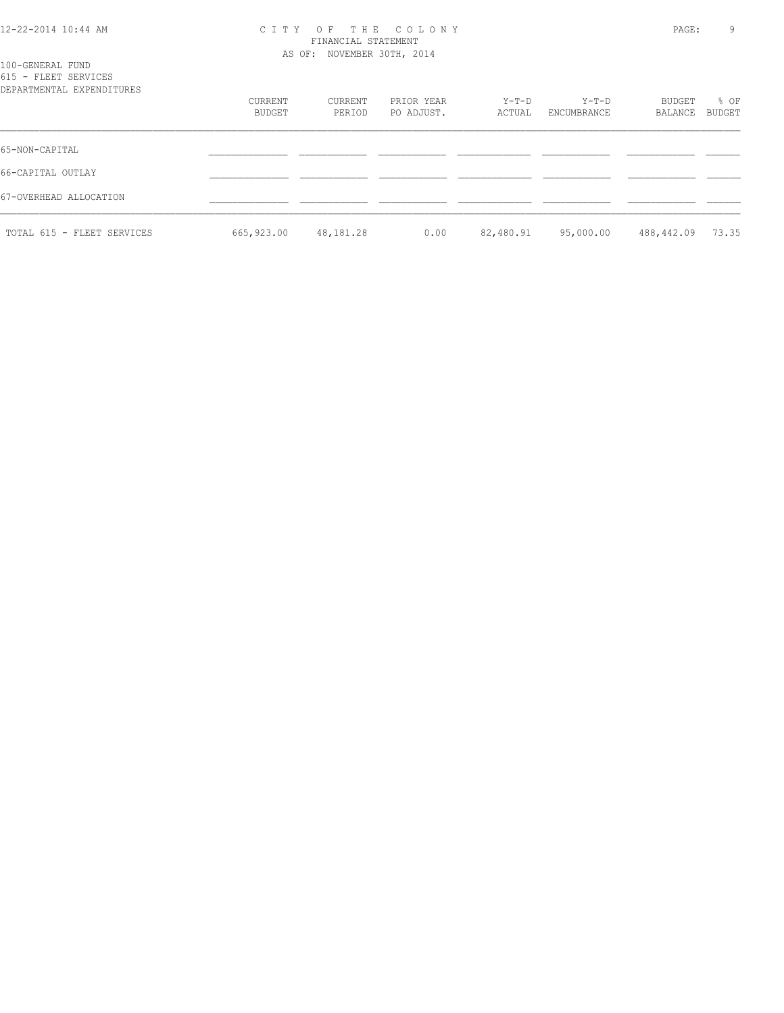### 12-22-2014 10:44 AM C I T Y O F T H E C O L O N Y PAGE: 9 FINANCIAL STATEMENT AS OF: NOVEMBER 30TH, 2014

| 100-GENERAL FUND<br>615 - FLEET SERVICES |                   |                   |                          |                 |                      |                   |                |
|------------------------------------------|-------------------|-------------------|--------------------------|-----------------|----------------------|-------------------|----------------|
| DEPARTMENTAL EXPENDITURES                | CURRENT<br>BUDGET | CURRENT<br>PERIOD | PRIOR YEAR<br>PO ADJUST. | Y-T-D<br>ACTUAL | Y-T-D<br>ENCUMBRANCE | BUDGET<br>BALANCE | % OF<br>BUDGET |
| 65-NON-CAPITAL                           |                   |                   |                          |                 |                      |                   |                |
| 66-CAPITAL OUTLAY                        |                   |                   |                          |                 |                      |                   |                |
| 67-OVERHEAD ALLOCATION                   |                   |                   |                          |                 |                      |                   |                |
| TOTAL 615 - FLEET SERVICES               | 665,923.00        | 48,181.28         | 0.00                     | 82,480.91       | 95,000.00            | 488,442.09        | 73.35          |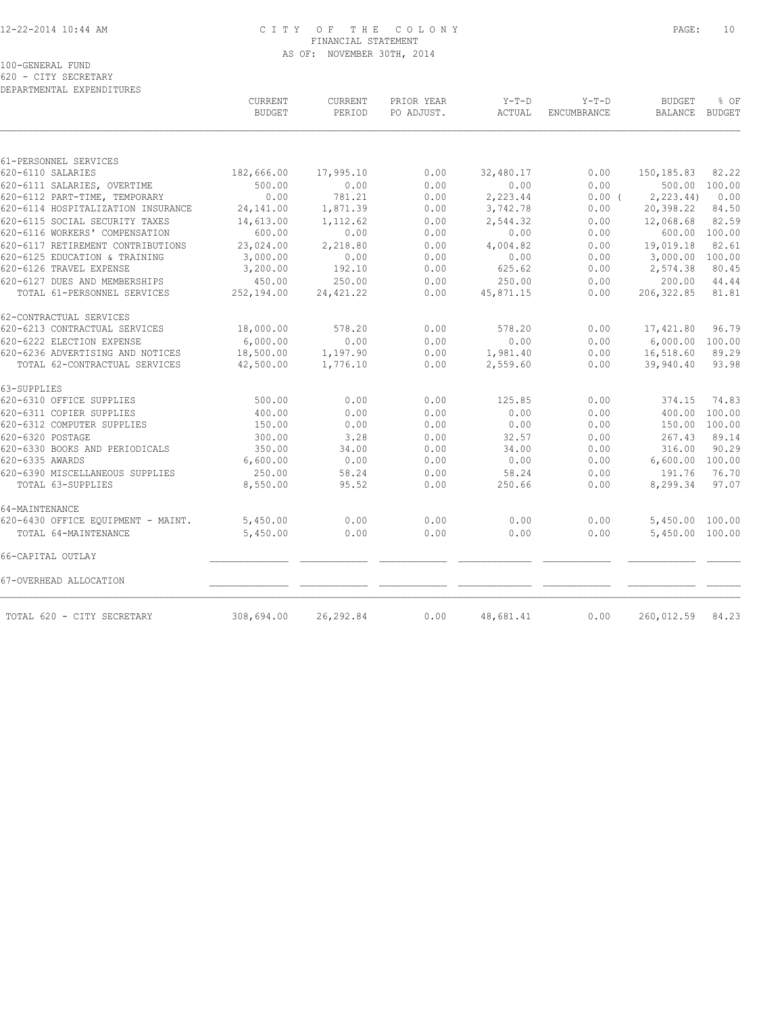### 12-22-2014 10:44 AM C I T Y O F T H E C O L O N Y PAGE: 10 FINANCIAL STATEMENT AS OF: NOVEMBER 30TH, 2014

100-GENERAL FUND

620 - CITY SECRETARY DEPARTMENTAL EXPENDITURES

|                                    | CURRENT<br><b>BUDGET</b> | CURRENT<br>PERIOD | PRIOR YEAR<br>PO ADJUST. | $Y-T-D$<br>ACTUAL | $Y-T-D$<br>ENCUMBRANCE | <b>BUDGET</b><br><b>BALANCE</b> | % OF<br><b>BUDGET</b> |
|------------------------------------|--------------------------|-------------------|--------------------------|-------------------|------------------------|---------------------------------|-----------------------|
|                                    |                          |                   |                          |                   |                        |                                 |                       |
| 61-PERSONNEL SERVICES              |                          |                   |                          |                   |                        |                                 |                       |
| 620-6110 SALARIES                  | 182,666.00               | 17,995.10         | 0.00                     | 32,480.17         | 0.00                   | 150, 185.83                     | 82.22                 |
| 620-6111 SALARIES, OVERTIME        | 500.00                   | 0.00              | 0.00                     | 0.00              | 0.00                   |                                 | 500.00 100.00         |
| 620-6112 PART-TIME, TEMPORARY      | 0.00                     | 781.21            | 0.00                     | 2,223.44          | 0.00(                  | 2, 223.44                       | 0.00                  |
| 620-6114 HOSPITALIZATION INSURANCE | 24,141.00                | 1,871.39          | 0.00                     | 3,742.78          | 0.00                   | 20,398.22                       | 84.50                 |
| 620-6115 SOCIAL SECURITY TAXES     | 14,613.00                | 1,112.62          | 0.00                     | 2,544.32          | 0.00                   | 12,068.68                       | 82.59                 |
| 620-6116 WORKERS' COMPENSATION     | 600.00                   | 0.00              | 0.00                     | 0.00              | 0.00                   | 600.00                          | 100.00                |
| 620-6117 RETIREMENT CONTRIBUTIONS  | 23,024.00                | 2,218.80          | 0.00                     | 4,004.82          | 0.00                   | 19,019.18                       | 82.61                 |
| 620-6125 EDUCATION & TRAINING      | 3,000.00                 | 0.00              | 0.00                     | 0.00              | 0.00                   | 3,000.00                        | 100.00                |
| 620-6126 TRAVEL EXPENSE            | 3,200.00                 | 192.10            | 0.00                     | 625.62            | 0.00                   | 2,574.38                        | 80.45                 |
| 620-6127 DUES AND MEMBERSHIPS      | 450.00                   | 250.00            | 0.00                     | 250.00            | 0.00                   | 200.00                          | 44.44                 |
| TOTAL 61-PERSONNEL SERVICES        | 252,194.00               | 24, 421.22        | 0.00                     | 45,871.15         | 0.00                   | 206, 322.85                     | 81.81                 |
| 62-CONTRACTUAL SERVICES            |                          |                   |                          |                   |                        |                                 |                       |
| 620-6213 CONTRACTUAL SERVICES      | 18,000.00                | 578.20            | 0.00                     | 578.20            | 0.00                   | 17,421.80                       | 96.79                 |
| 620-6222 ELECTION EXPENSE          | 6.000.00                 | 0.00              | 0.00                     | 0.00              | 0.00                   | 6,000.00                        | 100.00                |
| 620-6236 ADVERTISING AND NOTICES   | 18,500.00                | 1,197.90          | 0.00                     | 1,981.40          | 0.00                   | 16,518.60                       | 89.29                 |
| TOTAL 62-CONTRACTUAL SERVICES      | 42,500.00                | 1,776.10          | 0.00                     | 2,559.60          | 0.00                   | 39,940.40                       | 93.98                 |
| 63-SUPPLIES                        |                          |                   |                          |                   |                        |                                 |                       |
| 620-6310 OFFICE SUPPLIES           | 500.00                   | 0.00              | 0.00                     | 125.85            | 0.00                   | 374.15                          | 74.83                 |
| 620-6311 COPIER SUPPLIES           | 400.00                   | 0.00              | 0.00                     | 0.00              | 0.00                   | 400.00                          | 100.00                |
| 620-6312 COMPUTER SUPPLIES         | 150.00                   | 0.00              | 0.00                     | 0.00              | 0.00                   | 150.00                          | 100.00                |
| 620-6320 POSTAGE                   | 300.00                   | 3.28              | 0.00                     | 32.57             | 0.00                   | 267.43                          | 89.14                 |
| 620-6330 BOOKS AND PERIODICALS     | 350.00                   | 34.00             | 0.00                     | 34.00             | 0.00                   | 316.00                          | 90.29                 |
| 620-6335 AWARDS                    | 6,600.00                 | 0.00              | 0.00                     | 0.00              | 0.00                   | 6,600.00 100.00                 |                       |
| 620-6390 MISCELLANEOUS SUPPLIES    | 250.00                   | 58.24             | 0.00                     | 58.24             | 0.00                   | 191.76                          | 76.70                 |
| TOTAL 63-SUPPLIES                  | 8,550.00                 | 95.52             | 0.00                     | 250.66            | 0.00                   | 8,299.34                        | 97.07                 |
| 64-MAINTENANCE                     |                          |                   |                          |                   |                        |                                 |                       |
| 620-6430 OFFICE EQUIPMENT - MAINT. | 5,450.00                 | 0.00              | 0.00                     | 0.00              | 0.00                   | 5,450.00                        | 100.00                |
| TOTAL 64-MAINTENANCE               | 5,450.00                 | 0.00              | 0.00                     | 0.00              | 0.00                   | 5,450.00 100.00                 |                       |
| 66-CAPITAL OUTLAY                  |                          |                   |                          |                   |                        |                                 |                       |
| 67-OVERHEAD ALLOCATION             |                          |                   |                          |                   |                        |                                 |                       |
| TOTAL 620 - CITY SECRETARY         | 308,694.00               | 26,292.84         | 0.00                     | 48,681.41         | 0.00                   | 260,012.59                      | 84.23                 |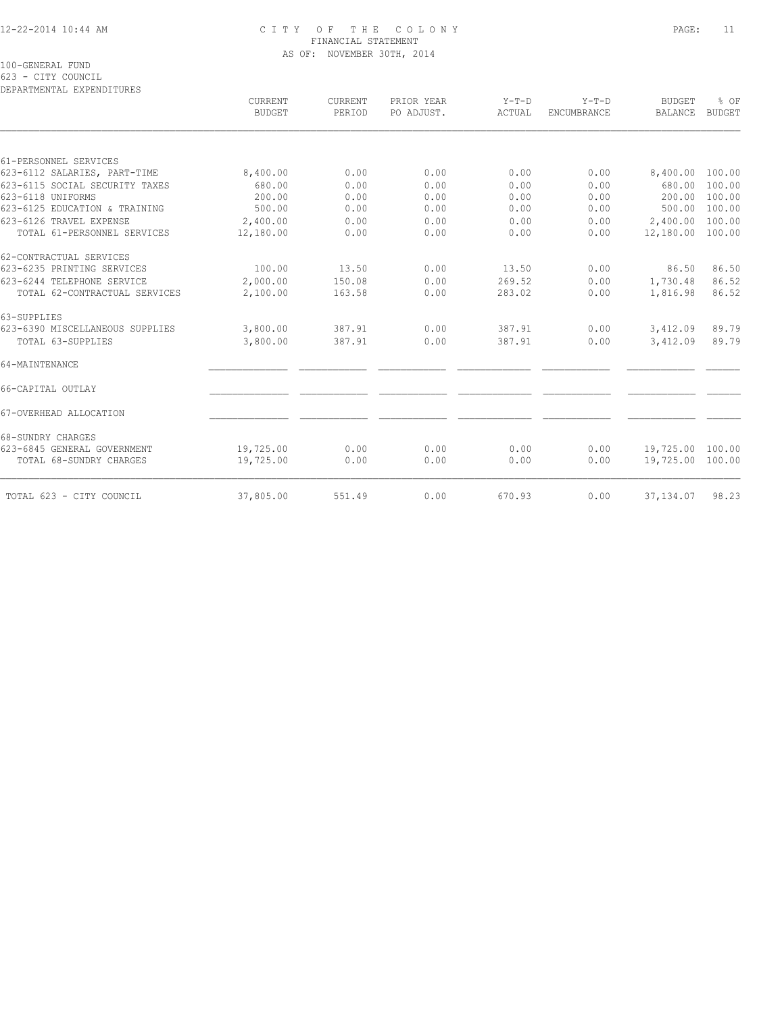### 12-22-2014 10:44 AM C I T Y O F T H E C O L O N Y PAGE: 11 FINANCIAL STATEMENT AS OF: NOVEMBER 30TH, 2014

100-GENERAL FUND

623 - CITY COUNCIL

| DEPARTMENTAL EXPENDITURES       |                          |                   |                          |                   |                               |                                 |                       |
|---------------------------------|--------------------------|-------------------|--------------------------|-------------------|-------------------------------|---------------------------------|-----------------------|
|                                 | CURRENT<br><b>BUDGET</b> | CURRENT<br>PERIOD | PRIOR YEAR<br>PO ADJUST. | $Y-T-D$<br>ACTUAL | $Y-T-D$<br><b>ENCUMBRANCE</b> | <b>BUDGET</b><br><b>BALANCE</b> | % OF<br><b>BUDGET</b> |
|                                 |                          |                   |                          |                   |                               |                                 |                       |
| 61-PERSONNEL SERVICES           |                          |                   |                          |                   |                               |                                 |                       |
| 623-6112 SALARIES, PART-TIME    | 8,400.00                 | 0.00              | 0.00                     | 0.00              | 0.00                          | 8,400.00 100.00                 |                       |
| 623-6115 SOCIAL SECURITY TAXES  | 680.00                   | 0.00              | 0.00                     | 0.00              | 0.00                          | 680.00                          | 100.00                |
| 623-6118 UNIFORMS               | 200.00                   | 0.00              | 0.00                     | 0.00              | 0.00                          | 200.00                          | 100.00                |
| 623-6125 EDUCATION & TRAINING   | 500.00                   | 0.00              | 0.00                     | 0.00              | 0.00                          | 500.00 100.00                   |                       |
| 623-6126 TRAVEL EXPENSE         | 2,400.00                 | 0.00              | 0.00                     | 0.00              | 0.00                          | 2,400.00                        | 100.00                |
| TOTAL 61-PERSONNEL SERVICES     | 12,180.00                | 0.00              | 0.00                     | 0.00              | 0.00                          | 12,180.00 100.00                |                       |
| 62-CONTRACTUAL SERVICES         |                          |                   |                          |                   |                               |                                 |                       |
| 623-6235 PRINTING SERVICES      | 100.00                   | 13.50             | 0.00                     | 13.50             | 0.00                          | 86.50                           | 86.50                 |
| 623-6244 TELEPHONE SERVICE      | 2,000.00                 | 150.08            | 0.00                     | 269.52            | 0.00                          | 1,730.48                        | 86.52                 |
| TOTAL 62-CONTRACTUAL SERVICES   | 2,100.00                 | 163.58            | 0.00                     | 283.02            | 0.00                          | 1,816.98                        | 86.52                 |
| 63-SUPPLIES                     |                          |                   |                          |                   |                               |                                 |                       |
| 623-6390 MISCELLANEOUS SUPPLIES | 3,800.00                 | 387.91            | 0.00                     | 387.91            | 0.00                          | 3,412.09                        | 89.79                 |
| TOTAL 63-SUPPLIES               | 3,800.00                 | 387.91            | 0.00                     | 387.91            | 0.00                          | 3,412.09                        | 89.79                 |
| 64-MAINTENANCE                  |                          |                   |                          |                   |                               |                                 |                       |
| 66-CAPITAL OUTLAY               |                          |                   |                          |                   |                               |                                 |                       |
| 67-OVERHEAD ALLOCATION          |                          |                   |                          |                   |                               |                                 |                       |
| 68-SUNDRY CHARGES               |                          |                   |                          |                   |                               |                                 |                       |
| 623-6845 GENERAL GOVERNMENT     | 19,725.00                | 0.00              | 0.00                     | 0.00              | 0.00                          | 19,725.00 100.00                |                       |
| TOTAL 68-SUNDRY CHARGES         | 19,725.00                | 0.00              | 0.00                     | 0.00              | 0.00                          | 19,725.00 100.00                |                       |
|                                 |                          |                   |                          |                   |                               |                                 | 98.23                 |
| TOTAL 623 - CITY COUNCIL        | 37,805.00                | 551.49            | 0.00                     | 670.93            | 0.00                          | 37, 134.07                      |                       |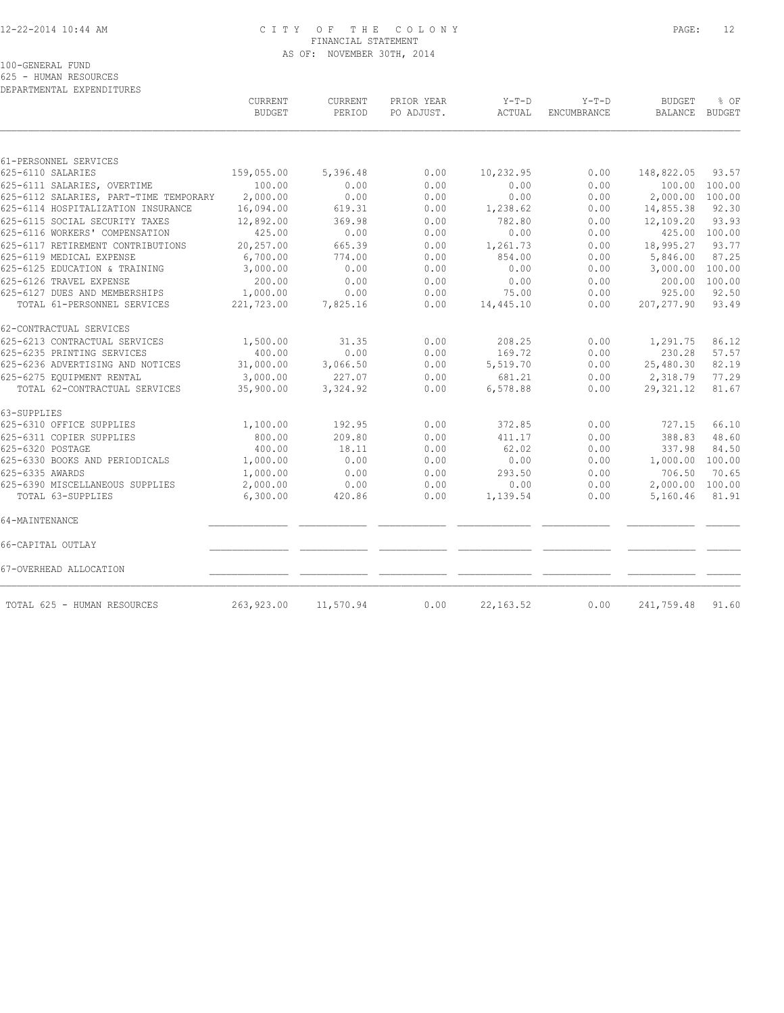### 12-22-2014 10:44 AM C I T Y O F T H E C O L O N Y PAGE: 12 FINANCIAL STATEMENT AS OF: NOVEMBER 30TH, 2014

100-GENERAL FUND

625 - HUMAN RESOURCES

| DEPARTMENTAL EXPENDITURES              | CURRENT       |                   | PRIOR YEAR | $Y-T-D$    | $Y-T-D$     | <b>BUDGET</b> | % OF          |
|----------------------------------------|---------------|-------------------|------------|------------|-------------|---------------|---------------|
|                                        | <b>BUDGET</b> | CURRENT<br>PERIOD | PO ADJUST. | ACTUAL     | ENCUMBRANCE | BALANCE       | <b>BUDGET</b> |
|                                        |               |                   |            |            |             |               |               |
| 61-PERSONNEL SERVICES                  |               |                   |            |            |             |               |               |
| 625-6110 SALARIES                      | 159,055.00    | 5,396.48          | 0.00       | 10,232.95  | 0.00        | 148,822.05    | 93.57         |
| 625-6111 SALARIES, OVERTIME            | 100.00        | 0.00              | 0.00       | 0.00       | 0.00        | 100.00        | 100.00        |
| 625-6112 SALARIES, PART-TIME TEMPORARY | 2,000.00      | 0.00              | 0.00       | 0.00       | 0.00        | 2,000.00      | 100.00        |
| 625-6114 HOSPITALIZATION INSURANCE     | 16,094.00     | 619.31            | 0.00       | 1,238.62   | 0.00        | 14,855.38     | 92.30         |
| 625-6115 SOCIAL SECURITY TAXES         | 12,892.00     | 369.98            | 0.00       | 782.80     | 0.00        | 12,109.20     | 93.93         |
| 625-6116 WORKERS' COMPENSATION         | 425.00        | 0.00              | 0.00       | 0.00       | 0.00        | 425.00        | 100.00        |
| 625-6117 RETIREMENT CONTRIBUTIONS      | 20,257.00     | 665.39            | 0.00       | 1,261.73   | 0.00        | 18,995.27     | 93.77         |
| 625-6119 MEDICAL EXPENSE               | 6,700.00      | 774.00            | 0.00       | 854.00     | 0.00        | 5,846.00      | 87.25         |
| 625-6125 EDUCATION & TRAINING          | 3,000.00      | 0.00              | 0.00       | 0.00       | 0.00        | 3,000.00      | 100.00        |
| 625-6126 TRAVEL EXPENSE                | 200.00        | 0.00              | 0.00       | 0.00       | 0.00        | 200.00        | 100.00        |
| 625-6127 DUES AND MEMBERSHIPS          | 1,000.00      | 0.00              | 0.00       | 75.00      | 0.00        | 925.00        | 92.50         |
| TOTAL 61-PERSONNEL SERVICES            | 221,723.00    | 7,825.16          | 0.00       | 14,445.10  | 0.00        | 207, 277.90   | 93.49         |
| 62-CONTRACTUAL SERVICES                |               |                   |            |            |             |               |               |
| 625-6213 CONTRACTUAL SERVICES          | 1,500.00      | 31.35             | 0.00       | 208.25     | 0.00        | 1,291.75      | 86.12         |
| 625-6235 PRINTING SERVICES             | 400.00        | 0.00              | 0.00       | 169.72     | 0.00        | 230.28        | 57.57         |
| 625-6236 ADVERTISING AND NOTICES       | 31,000.00     | 3,066.50          | 0.00       | 5,519.70   | 0.00        | 25,480.30     | 82.19         |
| 625-6275 EQUIPMENT RENTAL              | 3,000.00      | 227.07            | 0.00       | 681.21     | 0.00        | 2,318.79      | 77.29         |
| TOTAL 62-CONTRACTUAL SERVICES          | 35,900.00     | 3,324.92          | 0.00       | 6,578.88   | 0.00        | 29,321.12     | 81.67         |
| 63-SUPPLIES                            |               |                   |            |            |             |               |               |
| 625-6310 OFFICE SUPPLIES               | 1,100.00      | 192.95            | 0.00       | 372.85     | 0.00        | 727.15        | 66.10         |
| 625-6311 COPIER SUPPLIES               | 800.00        | 209.80            | 0.00       | 411.17     | 0.00        | 388.83        | 48.60         |
| 625-6320 POSTAGE                       | 400.00        | 18.11             | 0.00       | 62.02      | 0.00        | 337.98        | 84.50         |
| 625-6330 BOOKS AND PERIODICALS         | 1,000.00      | 0.00              | 0.00       | 0.00       | 0.00        | 1,000.00      | 100.00        |
| 625-6335 AWARDS                        | 1,000.00      | 0.00              | 0.00       | 293.50     | 0.00        | 706.50        | 70.65         |
| 625-6390 MISCELLANEOUS SUPPLIES        | 2,000.00      | 0.00              | 0.00       | 0.00       | 0.00        | 2,000.00      | 100.00        |
| TOTAL 63-SUPPLIES                      | 6,300.00      | 420.86            | 0.00       | 1,139.54   | 0.00        | 5,160.46      | 81.91         |
| 64-MAINTENANCE                         |               |                   |            |            |             |               |               |
| 66-CAPITAL OUTLAY                      |               |                   |            |            |             |               |               |
| 67-OVERHEAD ALLOCATION                 |               |                   |            |            |             |               |               |
| TOTAL 625 - HUMAN RESOURCES            | 263, 923.00   | 11,570.94         | 0.00       | 22, 163.52 | 0.00        | 241,759.48    | 91.60         |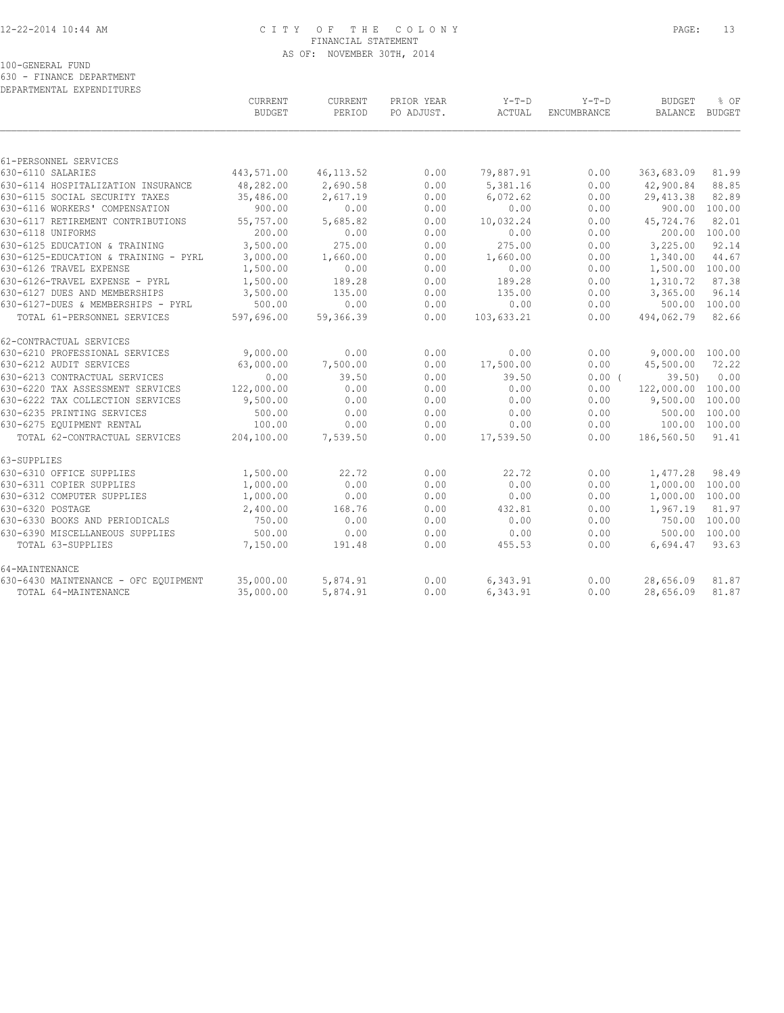# 12-22-2014 10:44 AM C I T Y O F T H E C O L O N Y PAGE: 13 FINANCIAL STATEMENT AS OF: NOVEMBER 30TH, 2014

100-GENERAL FUND

630 - FINANCE DEPARTMENT

| DEPARTMENTAL EXPENDITURES |  |
|---------------------------|--|

|                                      | CURRENT<br><b>BUDGET</b> | CURRENT<br>PERIOD | PRIOR YEAR<br>PO ADJUST. | $Y-T-D$<br>ACTUAL | $Y-T-D$<br>ENCUMBRANCE | <b>BUDGET</b><br>BALANCE | % OF<br><b>BUDGET</b> |
|--------------------------------------|--------------------------|-------------------|--------------------------|-------------------|------------------------|--------------------------|-----------------------|
|                                      |                          |                   |                          |                   |                        |                          |                       |
| 61-PERSONNEL SERVICES                |                          |                   |                          |                   |                        |                          |                       |
| 630-6110 SALARIES                    | 443,571.00               | 46, 113.52        | 0.00                     | 79,887.91         | 0.00                   | 363,683.09               | 81.99                 |
| 630-6114 HOSPITALIZATION INSURANCE   | 48,282.00                | 2,690.58          | 0.00                     | 5,381.16          | 0.00                   | 42,900.84                | 88.85                 |
| 630-6115 SOCIAL SECURITY TAXES       | 35,486.00                | 2,617.19          | 0.00                     | 6,072.62          | 0.00                   | 29, 413.38               | 82.89                 |
| 630-6116 WORKERS' COMPENSATION       | 900.00                   | 0.00              | 0.00                     | 0.00              | 0.00                   | 900.00                   | 100.00                |
| 630-6117 RETIREMENT CONTRIBUTIONS    | 55,757.00                | 5,685.82          | 0.00                     | 10,032.24         | 0.00                   | 45,724.76                | 82.01                 |
| 630-6118 UNIFORMS                    | 200.00                   | 0.00              | 0.00                     | 0.00              | 0.00                   | 200.00                   | 100.00                |
| 630-6125 EDUCATION & TRAINING        | 3,500.00                 | 275.00            | 0.00                     | 275.00            | 0.00                   | 3,225.00                 | 92.14                 |
| 630-6125-EDUCATION & TRAINING - PYRL | 3,000.00                 | 1,660.00          | 0.00                     | 1,660.00          | 0.00                   | 1,340.00                 | 44.67                 |
| 630-6126 TRAVEL EXPENSE              | 1,500.00                 | 0.00              | 0.00                     | 0.00              | 0.00                   | 1,500.00                 | 100.00                |
| 630-6126-TRAVEL EXPENSE - PYRL       | 1,500.00                 | 189.28            | 0.00                     | 189.28            | 0.00                   | 1,310.72                 | 87.38                 |
| 630-6127 DUES AND MEMBERSHIPS        | 3,500.00                 | 135.00            | 0.00                     | 135.00            | 0.00                   | 3,365.00                 | 96.14                 |
| 630-6127-DUES & MEMBERSHIPS - PYRL   | 500.00                   | 0.00              | 0.00                     | 0.00              | 0.00                   |                          | 500.00 100.00         |
| TOTAL 61-PERSONNEL SERVICES          | 597,696.00               | 59,366.39         | 0.00                     | 103,633.21        | 0.00                   | 494,062.79               | 82.66                 |
| 62-CONTRACTUAL SERVICES              |                          |                   |                          |                   |                        |                          |                       |
| 630-6210 PROFESSIONAL SERVICES       | 9,000.00                 | 0.00              | 0.00                     | 0.00              | 0.00                   | 9,000.00 100.00          |                       |
| 630-6212 AUDIT SERVICES              | 63,000.00                | 7,500.00          | 0.00                     | 17,500.00         | 0.00                   | 45,500.00                | 72.22                 |
| 630-6213 CONTRACTUAL SERVICES        | 0.00                     | 39.50             | 0.00                     | 39.50             | 0.00(                  | 39.50                    | 0.00                  |
| 630-6220 TAX ASSESSMENT SERVICES     | 122,000.00               | 0.00              | 0.00                     | 0.00              | 0.00                   | 122,000.00               | 100.00                |
| 630-6222 TAX COLLECTION SERVICES     | 9,500.00                 | 0.00              | 0.00                     | 0.00              | 0.00                   | 9,500.00                 | 100.00                |
| 630-6235 PRINTING SERVICES           | 500.00                   | 0.00              | 0.00                     | 0.00              | 0.00                   | 500.00                   | 100.00                |
| 630-6275 EQUIPMENT RENTAL            | 100.00                   | 0.00              | 0.00                     | 0.00              | 0.00                   | 100.00 100.00            |                       |
| TOTAL 62-CONTRACTUAL SERVICES        | 204,100.00               | 7,539.50          | 0.00                     | 17,539.50         | 0.00                   | 186,560.50               | 91.41                 |
| 63-SUPPLIES                          |                          |                   |                          |                   |                        |                          |                       |
| 630-6310 OFFICE SUPPLIES             | 1,500.00                 | 22.72             | 0.00                     | 22.72             | 0.00                   | 1,477.28                 | 98.49                 |
| 630-6311 COPIER SUPPLIES             | 1,000.00                 | 0.00              | 0.00                     | 0.00              | 0.00                   | 1,000.00                 | 100.00                |
| 630-6312 COMPUTER SUPPLIES           | 1,000.00                 | 0.00              | 0.00                     | 0.00              | 0.00                   | 1,000.00                 | 100.00                |
| 630-6320 POSTAGE                     | 2,400.00                 | 168.76            | 0.00                     | 432.81            | 0.00                   | 1,967.19                 | 81.97                 |
| 630-6330 BOOKS AND PERIODICALS       | 750.00                   | 0.00              | 0.00                     | 0.00              | 0.00                   | 750.00                   | 100.00                |
| 630-6390 MISCELLANEOUS SUPPLIES      | 500.00                   | 0.00              | 0.00                     | 0.00              | 0.00                   | 500.00                   | 100.00                |
| TOTAL 63-SUPPLIES                    | 7,150.00                 | 191.48            | 0.00                     | 455.53            | 0.00                   | 6,694.47                 | 93.63                 |
| 64-MAINTENANCE                       |                          |                   |                          |                   |                        |                          |                       |
| 630-6430 MAINTENANCE - OFC EQUIPMENT | 35,000.00                | 5,874.91          | 0.00                     | 6,343.91          | 0.00                   | 28,656.09                | 81.87                 |
| TOTAL 64-MAINTENANCE                 | 35,000.00                | 5,874.91          | 0.00                     | 6,343.91          | 0.00                   | 28,656.09                | 81.87                 |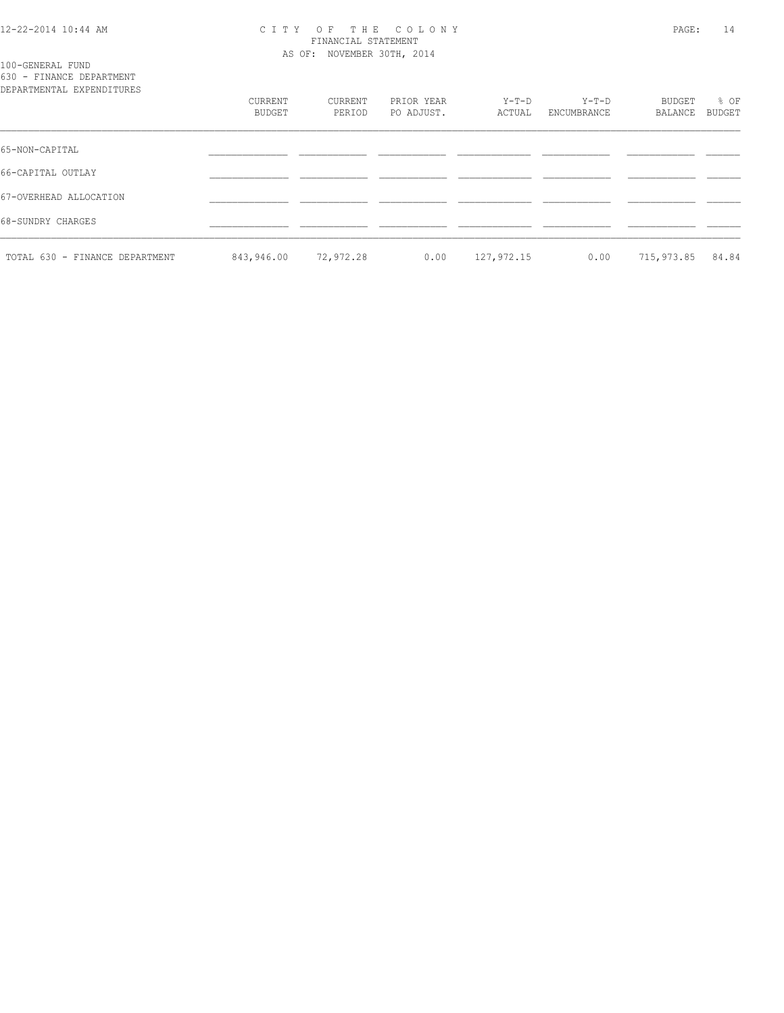### 12-22-2014 10:44 AM C I T Y O F T H E C O L O N Y PAGE: 14 FINANCIAL STATEMENT AS OF: NOVEMBER 30TH, 2014

100-GENERAL FUND 630 - FINANCE DEPARTMENT

| DEPARTMENTAL EXPENDITURES      |                   |                   |                          |                 |                      |                   |                       |
|--------------------------------|-------------------|-------------------|--------------------------|-----------------|----------------------|-------------------|-----------------------|
|                                | CURRENT<br>BUDGET | CURRENT<br>PERIOD | PRIOR YEAR<br>PO ADJUST. | Y-T-D<br>ACTUAL | Y-T-D<br>ENCUMBRANCE | BUDGET<br>BALANCE | % OF<br><b>BUDGET</b> |
| 65-NON-CAPITAL                 |                   |                   |                          |                 |                      |                   |                       |
| 66-CAPITAL OUTLAY              |                   |                   |                          |                 |                      |                   |                       |
| 67-OVERHEAD ALLOCATION         |                   |                   |                          |                 |                      |                   |                       |
| 68-SUNDRY CHARGES              |                   |                   |                          |                 |                      |                   |                       |
| TOTAL 630 - FINANCE DEPARTMENT | 843,946.00        | 72,972.28         | 0.00                     | 127,972.15      | 0.00                 | 715,973.85        | 84.84                 |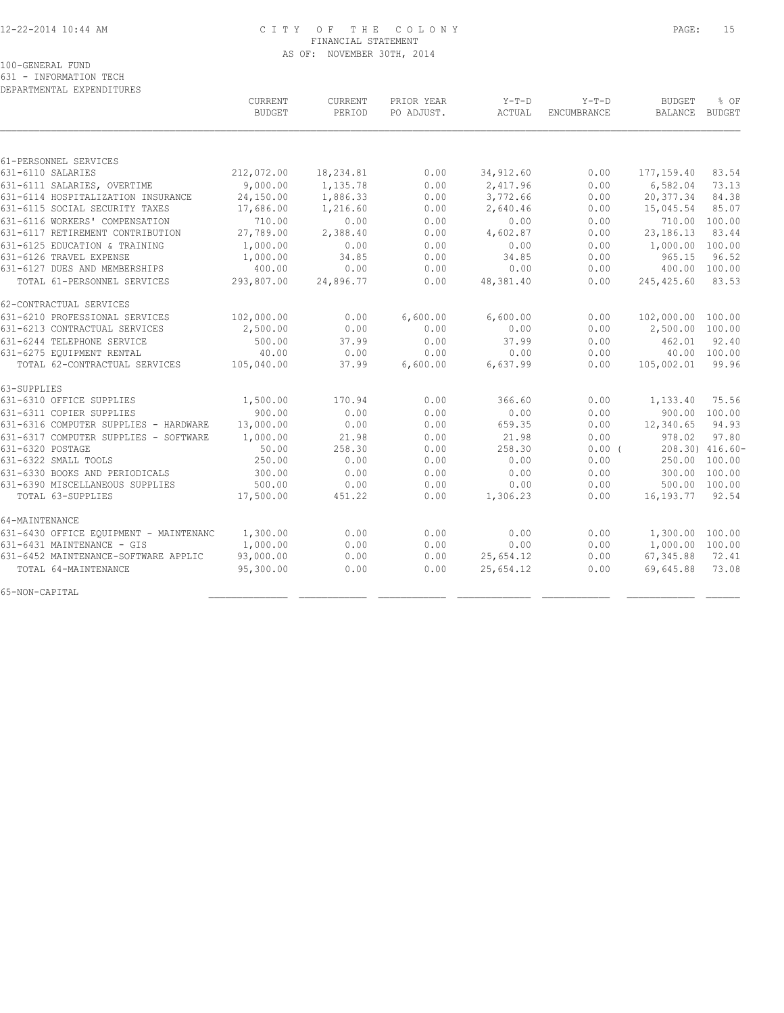# 12-22-2014 10:44 AM C I T Y O F T H E C O L O N Y PAGE: 15 FINANCIAL STATEMENT AS OF: NOVEMBER 30TH, 2014

100-GENERAL FUND

631 - INFORMATION TECH

| DEPARTMENTAL EXPENDITURES              |               |           |            |           |             |                   |                 |
|----------------------------------------|---------------|-----------|------------|-----------|-------------|-------------------|-----------------|
|                                        | CURRENT       | CURRENT   | PRIOR YEAR | $Y-T-D$   | $Y-T-D$     | <b>BUDGET</b>     | % OF            |
|                                        | <b>BUDGET</b> | PERIOD    | PO ADJUST. | ACTUAL    | ENCUMBRANCE | <b>BALANCE</b>    | BUDGET          |
|                                        |               |           |            |           |             |                   |                 |
| 61-PERSONNEL SERVICES                  |               |           |            |           |             |                   |                 |
| 631-6110 SALARIES                      | 212,072.00    | 18,234.81 | 0.00       | 34,912.60 | 0.00        | 177, 159.40       | 83.54           |
| 631-6111 SALARIES, OVERTIME            | 9,000.00      | 1,135.78  | 0.00       | 2,417.96  | 0.00        | 6,582.04          | 73.13           |
| 631-6114 HOSPITALIZATION INSURANCE     | 24,150.00     | 1,886.33  | 0.00       | 3,772.66  | 0.00        | 20,377.34         | 84.38           |
| 631-6115 SOCIAL SECURITY TAXES         | 17,686.00     | 1,216.60  | 0.00       | 2,640.46  | 0.00        | 15,045.54         | 85.07           |
| 631-6116 WORKERS' COMPENSATION         | 710.00        | 0.00      | 0.00       | 0.00      | 0.00        | 710.00            | 100.00          |
| 631-6117 RETIREMENT CONTRIBUTION       | 27,789.00     | 2,388.40  | 0.00       | 4,602.87  | 0.00        | 23,186.13         | 83.44           |
| 631-6125 EDUCATION & TRAINING          | 1,000.00      | 0.00      | 0.00       | 0.00      | 0.00        | 1,000.00 100.00   |                 |
| 631-6126 TRAVEL EXPENSE                | 1,000.00      | 34.85     | 0.00       | 34.85     | 0.00        | 965.15            | 96.52           |
| 631-6127 DUES AND MEMBERSHIPS          | 400.00        | 0.00      | 0.00       | 0.00      | 0.00        | 400.00            | 100.00          |
| TOTAL 61-PERSONNEL SERVICES            | 293,807.00    | 24,896.77 | 0.00       | 48,381.40 | 0.00        | 245,425.60        | 83.53           |
| 62-CONTRACTUAL SERVICES                |               |           |            |           |             |                   |                 |
| 631-6210 PROFESSIONAL SERVICES         | 102,000.00    | 0.00      | 6,600.00   | 6,600.00  | 0.00        | 102,000.00 100.00 |                 |
| 631-6213 CONTRACTUAL SERVICES          | 2,500.00      | 0.00      | 0.00       | 0.00      | 0.00        | 2,500.00          | 100.00          |
| 631-6244 TELEPHONE SERVICE             | 500.00        | 37.99     | 0.00       | 37.99     | 0.00        | 462.01            | 92.40           |
| 631-6275 EQUIPMENT RENTAL              | 40.00         | 0.00      | 0.00       | 0.00      | 0.00        |                   | 40.00 100.00    |
| TOTAL 62-CONTRACTUAL SERVICES          | 105,040.00    | 37.99     | 6,600.00   | 6,637.99  | 0.00        | 105,002.01        | 99.96           |
| 63-SUPPLIES                            |               |           |            |           |             |                   |                 |
| 631-6310 OFFICE SUPPLIES               | 1,500.00      | 170.94    | 0.00       | 366.60    | 0.00        | 1,133.40          | 75.56           |
| 631-6311 COPIER SUPPLIES               | 900.00        | 0.00      | 0.00       | 0.00      | 0.00        |                   | 900.00 100.00   |
| 631-6316 COMPUTER SUPPLIES - HARDWARE  | 13,000.00     | 0.00      | 0.00       | 659.35    | 0.00        | 12,340.65         | 94.93           |
| 631-6317 COMPUTER SUPPLIES - SOFTWARE  | 1,000.00      | 21.98     | 0.00       | 21.98     | 0.00        | 978.02            | 97.80           |
| 631-6320 POSTAGE                       | 50.00         | 258.30    | 0.00       | 258.30    | 0.00(       |                   | 208.30) 416.60- |
| 631-6322 SMALL TOOLS                   | 250.00        | 0.00      | 0.00       | 0.00      | 0.00        | 250.00            | 100.00          |
| 631-6330 BOOKS AND PERIODICALS         | 300.00        | 0.00      | 0.00       | 0.00      | 0.00        | 300.00            | 100.00          |
| 631-6390 MISCELLANEOUS SUPPLIES        | 500.00        | 0.00      | 0.00       | 0.00      | 0.00        | 500.00 100.00     |                 |
| TOTAL 63-SUPPLIES                      | 17,500.00     | 451.22    | 0.00       | 1,306.23  | 0.00        | 16, 193. 77       | 92.54           |
| 64-MAINTENANCE                         |               |           |            |           |             |                   |                 |
| 631-6430 OFFICE EQUIPMENT - MAINTENANC | 1,300.00      | 0.00      | 0.00       | 0.00      | 0.00        | 1,300.00 100.00   |                 |
| 631-6431 MAINTENANCE - GIS             | 1,000.00      | 0.00      | 0.00       | 0.00      | 0.00        | 1,000.00 100.00   |                 |
| 631-6452 MAINTENANCE-SOFTWARE APPLIC   | 93,000.00     | 0.00      | 0.00       | 25,654.12 | 0.00        | 67,345.88         | 72.41           |
| TOTAL 64-MAINTENANCE                   | 95,300.00     | 0.00      | 0.00       | 25,654.12 | 0.00        | 69,645.88         | 73.08           |
| 65-NON-CAPITAL                         |               |           |            |           |             |                   |                 |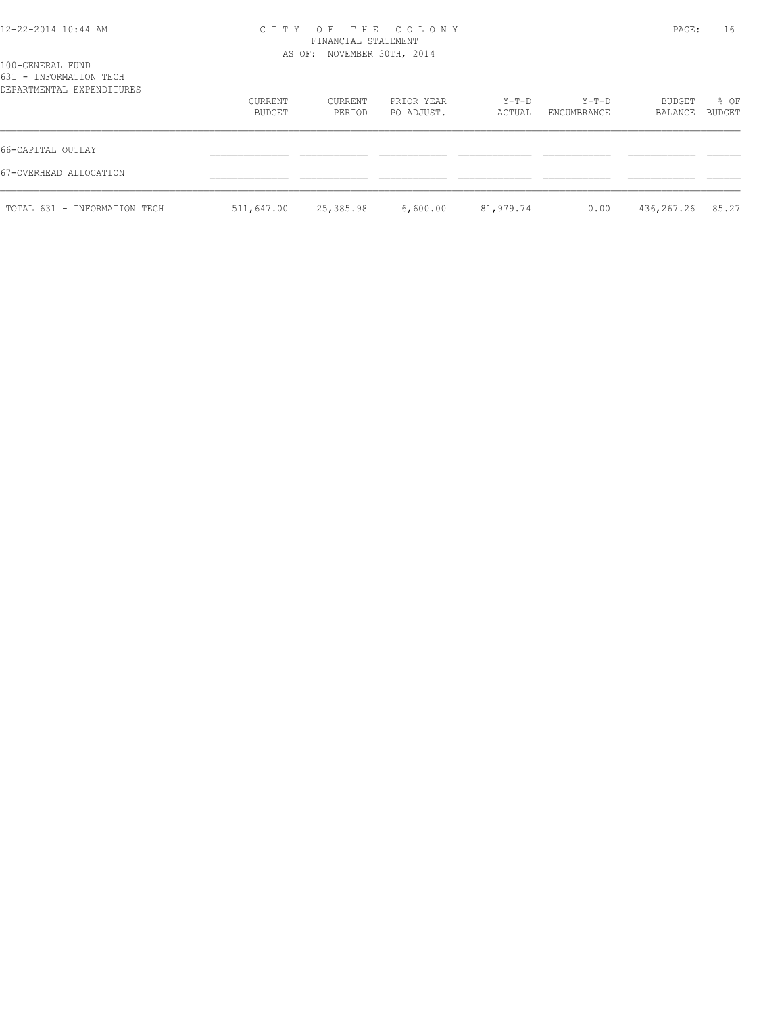### 12-22-2014 10:44 AM C I T Y O F T H E C O L O N Y PAGE: 16 FINANCIAL STATEMENT AS OF: NOVEMBER 30TH, 2014

| 100-GENERAL FUND<br>631 - INFORMATION TECH<br>DEPARTMENTAL EXPENDITURES |                   |                   |                          |                 |                      |                   |                |
|-------------------------------------------------------------------------|-------------------|-------------------|--------------------------|-----------------|----------------------|-------------------|----------------|
|                                                                         | CURRENT<br>BUDGET | CURRENT<br>PERIOD | PRIOR YEAR<br>PO ADJUST. | Y-T-D<br>ACTUAL | Y-T-D<br>ENCUMBRANCE | BUDGET<br>BALANCE | % OF<br>BUDGET |
| 66-CAPITAL OUTLAY                                                       |                   |                   |                          |                 |                      |                   |                |
| 67-OVERHEAD ALLOCATION                                                  |                   |                   |                          |                 |                      |                   |                |
| TOTAL 631 - INFORMATION TECH                                            | 511,647.00        | 25,385.98         | 6,600.00                 | 81,979.74       | 0.00                 | 436,267.26        | 85.27          |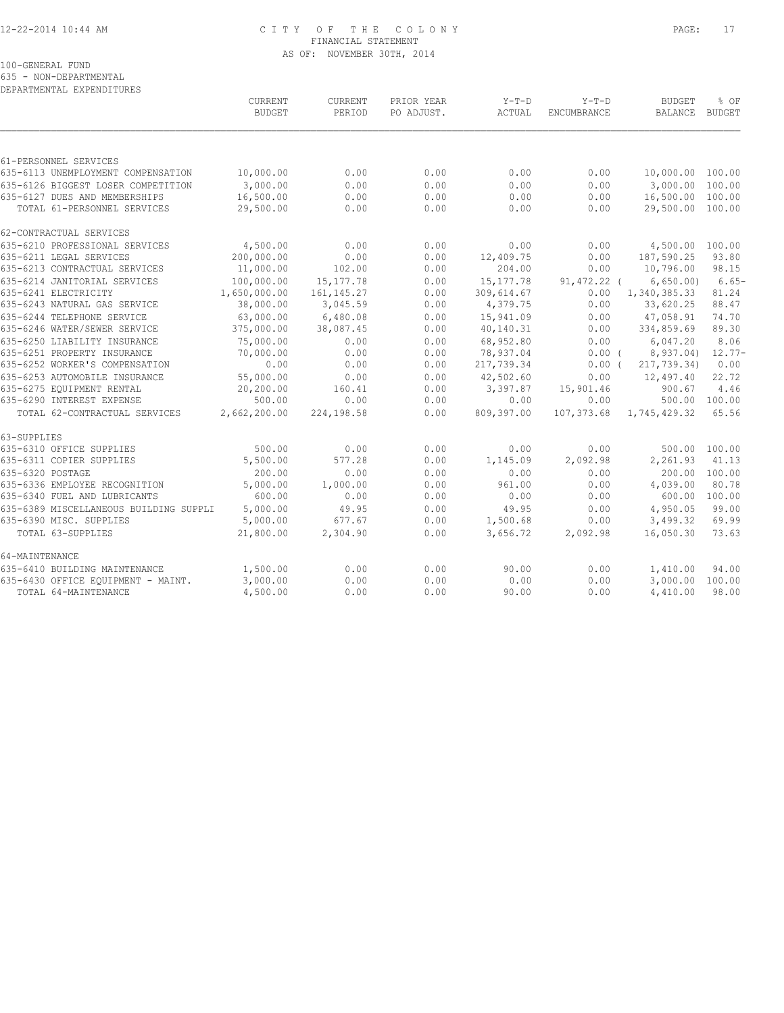# 12-22-2014 10:44 AM C I T Y O F T H E C O L O N Y PAGE: 17 FINANCIAL STATEMENT AS OF: NOVEMBER 30TH, 2014

100-GENERAL FUND

635 - NON-DEPARTMENTAL

| DEPARTMENTAL EXPENDITURES              |                                 |                          |                          |                   |                        |                                 |                       |
|----------------------------------------|---------------------------------|--------------------------|--------------------------|-------------------|------------------------|---------------------------------|-----------------------|
|                                        | <b>CURRENT</b><br><b>BUDGET</b> | <b>CURRENT</b><br>PERIOD | PRIOR YEAR<br>PO ADJUST. | $Y-T-D$<br>ACTUAL | $Y-T-D$<br>ENCUMBRANCE | <b>BUDGET</b><br><b>BALANCE</b> | % OF<br><b>BUDGET</b> |
|                                        |                                 |                          |                          |                   |                        |                                 |                       |
| 61-PERSONNEL SERVICES                  |                                 |                          |                          |                   |                        |                                 |                       |
| 635-6113 UNEMPLOYMENT COMPENSATION     | 10,000.00                       | 0.00                     | 0.00                     | 0.00              | 0.00                   | 10,000.00 100.00                |                       |
| 635-6126 BIGGEST LOSER COMPETITION     | 3,000.00                        | 0.00                     | 0.00                     | 0.00              | 0.00                   | 3,000.00 100.00                 |                       |
| 635-6127 DUES AND MEMBERSHIPS          | 16,500.00                       | 0.00                     | 0.00                     | 0.00              | 0.00                   | 16,500.00 100.00                |                       |
| TOTAL 61-PERSONNEL SERVICES            | 29,500.00                       | 0.00                     | 0.00                     | 0.00              | 0.00                   | 29,500.00 100.00                |                       |
| 62-CONTRACTUAL SERVICES                |                                 |                          |                          |                   |                        |                                 |                       |
| 635-6210 PROFESSIONAL SERVICES         | 4,500.00                        | 0.00                     | 0.00                     | 0.00              | 0.00                   | 4,500.00 100.00                 |                       |
| 635-6211 LEGAL SERVICES                | 200,000.00                      | 0.00                     | 0.00                     | 12,409.75         | 0.00                   | 187,590.25                      | 93.80                 |
| 635-6213 CONTRACTUAL SERVICES          | 11,000.00                       | 102.00                   | 0.00                     | 204.00            | 0.00                   | 10,796.00                       | 98.15                 |
| 635-6214 JANITORIAL SERVICES           | 100,000.00                      | 15, 177.78               | 0.00                     | 15, 177. 78       | $91,472.22$ (          | 6,650.00                        | $6.65-$               |
| 635-6241 ELECTRICITY                   | 1,650,000.00                    | 161, 145.27              | 0.00                     | 309,614.67        | 0.00                   | 1,340,385.33                    | 81.24                 |
| 635-6243 NATURAL GAS SERVICE           | 38,000.00                       | 3,045.59                 | 0.00                     | 4,379.75          | 0.00                   | 33,620.25                       | 88.47                 |
| 635-6244 TELEPHONE SERVICE             | 63,000.00                       | 6,480.08                 | 0.00                     | 15,941.09         | 0.00                   | 47,058.91                       | 74.70                 |
| 635-6246 WATER/SEWER SERVICE           | 375,000.00                      | 38,087.45                | 0.00                     | 40,140.31         | 0.00                   | 334,859.69                      | 89.30                 |
| 635-6250 LIABILITY INSURANCE           | 75,000.00                       | 0.00                     | 0.00                     | 68,952.80         | 0.00                   | 6,047.20                        | 8.06                  |
| 635-6251 PROPERTY INSURANCE            | 70,000.00                       | 0.00                     | 0.00                     | 78,937.04         | $0.00$ (               | 8,937.04)                       | $12.77-$              |
| 635-6252 WORKER'S COMPENSATION         | 0.00                            | 0.00                     | 0.00                     | 217,739.34        | 0.00(                  | 217,739.34)                     | 0.00                  |
| 635-6253 AUTOMOBILE INSURANCE          | 55,000.00                       | 0.00                     | 0.00                     | 42,502.60         | 0.00                   | 12,497.40                       | 22.72                 |
| 635-6275 EOUIPMENT RENTAL              | 20,200.00                       | 160.41                   | 0.00                     | 3,397.87          | 15,901.46              | 900.67                          | 4.46                  |
| 635-6290 INTEREST EXPENSE              | 500.00                          | 0.00                     | 0.00                     | 0.00              | 0.00                   | 500.00 100.00                   |                       |
| TOTAL 62-CONTRACTUAL SERVICES          | 2,662,200.00                    | 224,198.58               | 0.00                     | 809,397.00        | 107,373.68             | 1,745,429.32                    | 65.56                 |
| 63-SUPPLIES                            |                                 |                          |                          |                   |                        |                                 |                       |
| 635-6310 OFFICE SUPPLIES               | 500.00                          | 0.00                     | 0.00                     | 0.00              | 0.00                   | 500.00 100.00                   |                       |
| 635-6311 COPIER SUPPLIES               | 5,500.00                        | 577.28                   | 0.00                     | 1,145.09          | 2,092.98               | 2,261.93                        | 41.13                 |
| 635-6320 POSTAGE                       | 200.00                          | 0.00                     | 0.00                     | 0.00              | 0.00                   | 200.00                          | 100.00                |
| 635-6336 EMPLOYEE RECOGNITION          | 5,000.00                        | 1,000.00                 | 0.00                     | 961.00            | 0.00                   | 4,039.00                        | 80.78                 |
| 635-6340 FUEL AND LUBRICANTS           | 600.00                          | 0.00                     | 0.00                     | 0.00              | 0.00                   | 600.00                          | 100.00                |
| 635-6389 MISCELLANEOUS BUILDING SUPPLI | 5,000.00                        | 49.95                    | 0.00                     | 49.95             | 0.00                   | 4,950.05                        | 99.00                 |
| 635-6390 MISC. SUPPLIES                | 5,000.00                        | 677.67                   | 0.00                     | 1,500.68          | 0.00                   | 3,499.32                        | 69.99                 |
| TOTAL 63-SUPPLIES                      | 21,800.00                       | 2,304.90                 | 0.00                     | 3,656.72          | 2,092.98               | 16,050.30                       | 73.63                 |
| 64-MAINTENANCE                         |                                 |                          |                          |                   |                        |                                 |                       |
| 635-6410 BUILDING MAINTENANCE          | 1,500.00                        | 0.00                     | 0.00                     | 90.00             | 0.00                   | 1,410.00                        | 94.00                 |
| 635-6430 OFFICE EQUIPMENT - MAINT.     | 3,000.00                        | 0.00                     | 0.00                     | 0.00              | 0.00                   | 3,000.00                        | 100.00                |
| TOTAL 64-MAINTENANCE                   | 4,500.00                        | 0.00                     | 0.00                     | 90.00             | 0.00                   | 4,410.00                        | 98.00                 |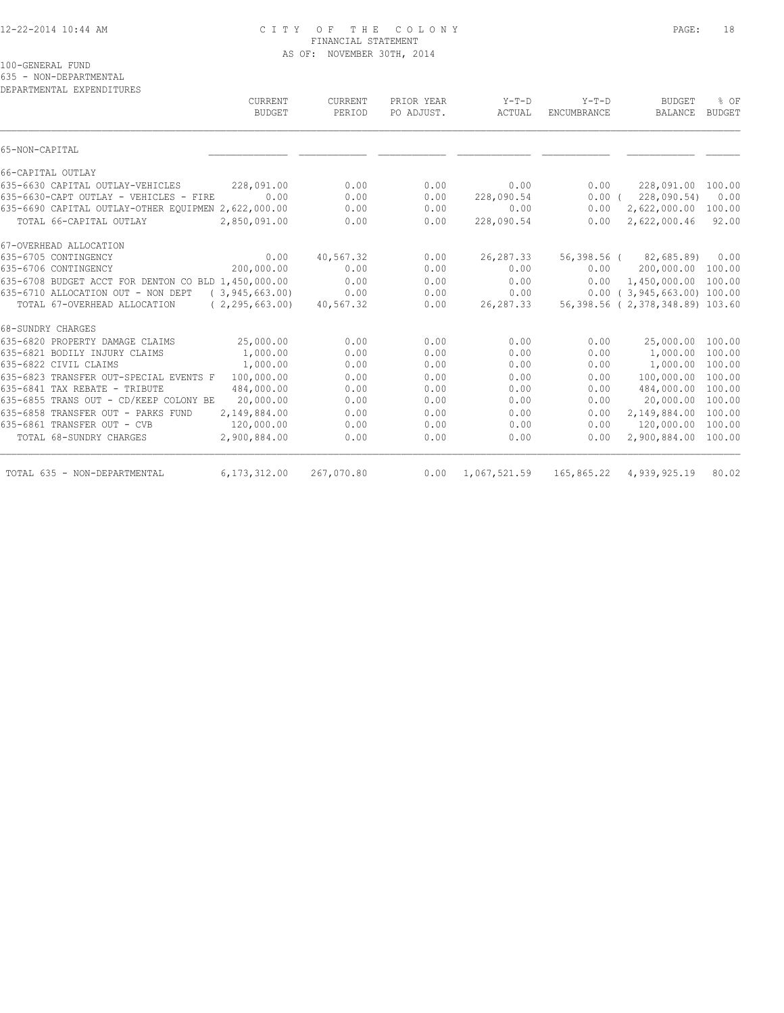## 12-22-2014 10:44 AM C I T Y O F T H E C O L O N Y PAGE: 18 FINANCIAL STATEMENT AS OF: NOVEMBER 30TH, 2014

100-GENERAL FUND

635 - NON-DEPARTMENTAL

DEPARTMENTAL EXPENDITURES

| CURRENT<br><b>BUDGET</b>                                | <b>CURRENT</b><br>PERIOD | PRIOR YEAR<br>PO ADJUST. | $Y-T-D$<br>ACTUAL | $Y-T-D$<br><b>ENCUMBRANCE</b> | <b>BUDGET</b><br><b>BALANCE</b> | % OF<br><b>BUDGET</b> |
|---------------------------------------------------------|--------------------------|--------------------------|-------------------|-------------------------------|---------------------------------|-----------------------|
| 65-NON-CAPITAL                                          |                          |                          |                   |                               |                                 |                       |
| 66-CAPITAL OUTLAY                                       |                          |                          |                   |                               |                                 |                       |
| 635-6630 CAPITAL OUTLAY-VEHICLES<br>228,091.00          | 0.00                     | 0.00                     | 0.00              | 0.00                          | 228,091.00                      | 100.00                |
| 0.00<br>635-6630-CAPT OUTLAY - VEHICLES - FIRE          | 0.00                     | 0.00                     | 228,090.54        | $0.00$ (                      | 228,090.54)                     | 0.00                  |
| 635-6690 CAPITAL OUTLAY-OTHER EQUIPMEN 2,622,000.00     | 0.00                     | 0.00                     | 0.00              | 0.00                          | 2,622,000.00                    | 100.00                |
| TOTAL 66-CAPITAL OUTLAY<br>2,850,091.00                 | 0.00                     | 0.00                     | 228,090.54        | 0.00                          | 2,622,000.46                    | 92.00                 |
| 67-OVERHEAD ALLOCATION                                  |                          |                          |                   |                               |                                 |                       |
| 635-6705 CONTINGENCY<br>0.00                            | 40,567.32                | 0.00                     | 26, 287.33        |                               | 56,398.56 (82,685.89)           | 0.00                  |
| 200,000.00<br>635-6706 CONTINGENCY                      | 0.00                     | 0.00                     | 0.00              | 0.00                          | 200,000.00                      | 100.00                |
| 635-6708 BUDGET ACCT FOR DENTON CO BLD 1,450,000.00     | 0.00                     | 0.00                     | 0.00              | 0.00                          | 1,450,000.00                    | 100.00                |
| 635-6710 ALLOCATION OUT - NON DEPT<br>(3, 945, 663, 00) | 0.00                     | 0.00                     | 0.00              |                               | $0.00$ ( 3,945,663.00) 100.00   |                       |
| TOTAL 67-OVERHEAD ALLOCATION<br>(2, 295, 663, 00)       | 40,567.32                | 0.00                     | 26, 287.33        |                               | 56,398.56 (2,378,348.89) 103.60 |                       |
| 68-SUNDRY CHARGES                                       |                          |                          |                   |                               |                                 |                       |
| 635-6820 PROPERTY DAMAGE CLAIMS<br>25,000.00            | 0.00                     | 0.00                     | 0.00              | 0.00                          | 25,000.00                       | 100.00                |
| 635-6821 BODILY INJURY CLAIMS<br>1,000.00               | 0.00                     | 0.00                     | 0.00              | 0.00                          | 1,000.00                        | 100.00                |
| 635-6822 CIVIL CLAIMS<br>1,000.00                       | 0.00                     | 0.00                     | 0.00              | 0.00                          | 1,000.00                        | 100.00                |
| 100,000.00<br>635-6823 TRANSFER OUT-SPECIAL EVENTS F    | 0.00                     | 0.00                     | 0.00              | 0.00                          | 100,000.00                      | 100.00                |
| 635-6841 TAX REBATE - TRIBUTE<br>484,000.00             | 0.00                     | 0.00                     | 0.00              | 0.00                          | 484,000.00                      | 100.00                |
| 20,000.00<br>635-6855 TRANS OUT - CD/KEEP COLONY BE     | 0.00                     | 0.00                     | 0.00              | 0.00                          | 20,000.00                       | 100.00                |
| 635-6858 TRANSFER OUT - PARKS FUND<br>2,149,884.00      | 0.00                     | 0.00                     | 0.00              | 0.00                          | 2,149,884.00                    | 100.00                |
| 635-6861 TRANSFER OUT - CVB<br>120,000.00               | 0.00                     | 0.00                     | 0.00              | 0.00                          | 120,000.00                      | 100.00                |
| 2,900,884.00<br>TOTAL 68-SUNDRY CHARGES                 | 0.00                     | 0.00                     | 0.00              | 0.00                          | 2,900,884.00                    | 100.00                |
| 6,173,312.00<br>TOTAL 635 - NON-DEPARTMENTAL            | 267,070.80               | 0.00                     | 1,067,521.59      |                               | 165,865.22 4,939,925.19         | 80.02                 |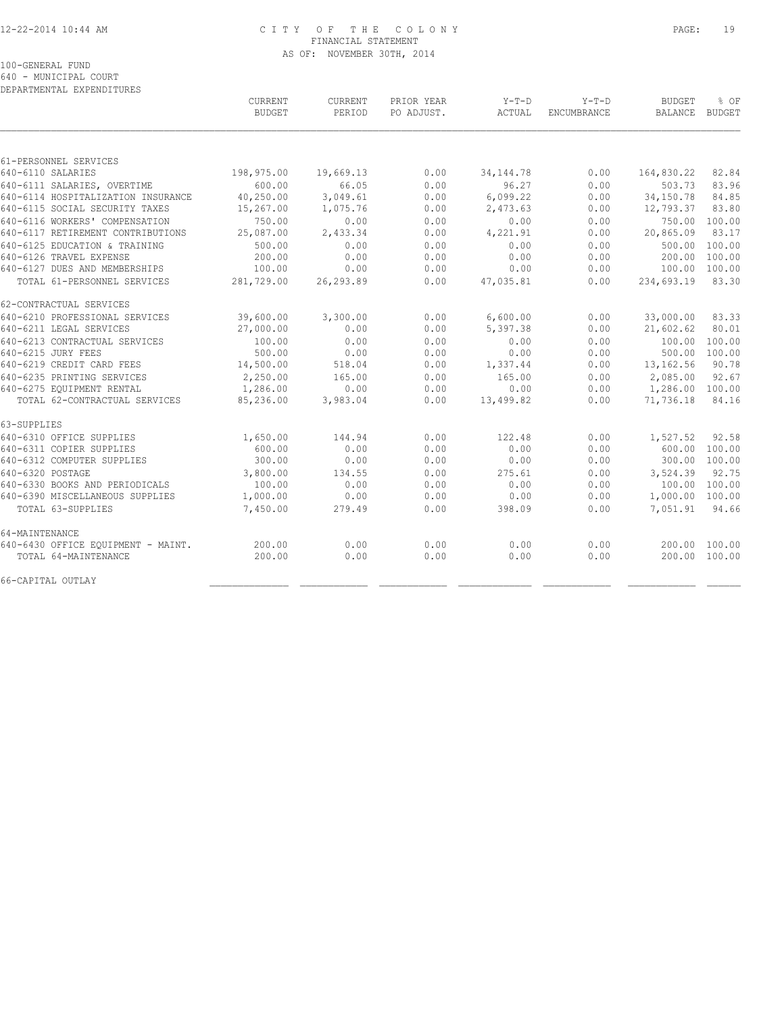# 12-22-2014 10:44 AM C I T Y O F T H E C O L O N Y PAGE: 19 FINANCIAL STATEMENT AS OF: NOVEMBER 30TH, 2014

100-GENERAL FUND

640 - MUNICIPAL COURT

| DEPARTMENTAL EXPENDITURES          |                          |                   |                          |                   |                               |                                 |                |
|------------------------------------|--------------------------|-------------------|--------------------------|-------------------|-------------------------------|---------------------------------|----------------|
|                                    | CURRENT<br><b>BUDGET</b> | CURRENT<br>PERIOD | PRIOR YEAR<br>PO ADJUST. | $Y-T-D$<br>ACTUAL | $Y-T-D$<br><b>ENCUMBRANCE</b> | <b>BUDGET</b><br><b>BALANCE</b> | % OF<br>BUDGET |
|                                    |                          |                   |                          |                   |                               |                                 |                |
| 61-PERSONNEL SERVICES              |                          |                   |                          |                   |                               |                                 |                |
| 640-6110 SALARIES                  | 198,975.00               | 19,669.13         | 0.00                     | 34, 144. 78       | 0.00                          | 164,830.22                      | 82.84          |
| 640-6111 SALARIES, OVERTIME        | 600.00                   | 66.05             | 0.00                     | 96.27             | 0.00                          | 503.73                          | 83.96          |
| 640-6114 HOSPITALIZATION INSURANCE | 40,250.00                | 3,049.61          | 0.00                     | 6,099.22          | 0.00                          | 34,150.78                       | 84.85          |
| 640-6115 SOCIAL SECURITY TAXES     | 15,267.00                | 1,075.76          | 0.00                     | 2,473.63          | 0.00                          | 12,793.37                       | 83.80          |
| 640-6116 WORKERS' COMPENSATION     | 750.00                   | 0.00              | 0.00                     | 0.00              | 0.00                          |                                 | 750.00 100.00  |
| 640-6117 RETIREMENT CONTRIBUTIONS  | 25,087.00                | 2,433.34          | 0.00                     | 4,221.91          | 0.00                          | 20,865.09                       | 83.17          |
| 640-6125 EDUCATION & TRAINING      | 500.00                   | 0.00              | 0.00                     | 0.00              | 0.00                          | 500.00                          | 100.00         |
| 640-6126 TRAVEL EXPENSE            | 200.00                   | 0.00              | 0.00                     | 0.00              | 0.00                          | 200.00                          | 100.00         |
| 640-6127 DUES AND MEMBERSHIPS      | 100.00                   | 0.00              | 0.00                     | 0.00              | 0.00                          | 100.00                          | 100.00         |
| TOTAL 61-PERSONNEL SERVICES        | 281,729.00               | 26,293.89         | 0.00                     | 47,035.81         | 0.00                          | 234,693.19                      | 83.30          |
| 62-CONTRACTUAL SERVICES            |                          |                   |                          |                   |                               |                                 |                |
| 640-6210 PROFESSIONAL SERVICES     | 39,600.00                | 3,300.00          | 0.00                     | 6,600.00          | 0.00                          | 33,000.00                       | 83.33          |
| 640-6211 LEGAL SERVICES            | 27,000.00                | 0.00              | 0.00                     | 5,397.38          | 0.00                          | 21,602.62                       | 80.01          |
| 640-6213 CONTRACTUAL SERVICES      | 100.00                   | 0.00              | 0.00                     | 0.00              | 0.00                          | 100.00                          | 100.00         |
| 640-6215 JURY FEES                 | 500.00                   | 0.00              | 0.00                     | 0.00              | 0.00                          |                                 | 500.00 100.00  |
| 640-6219 CREDIT CARD FEES          | 14,500.00                | 518.04            | 0.00                     | 1,337.44          | 0.00                          | 13,162.56                       | 90.78          |
| 640-6235 PRINTING SERVICES         | 2,250.00                 | 165.00            | 0.00                     | 165.00            | 0.00                          | 2,085.00                        | 92.67          |
| 640-6275 EQUIPMENT RENTAL          | 1,286.00                 | 0.00              | 0.00                     | 0.00              | 0.00                          | 1,286.00                        | 100.00         |
| TOTAL 62-CONTRACTUAL SERVICES      | 85,236.00                | 3,983.04          | 0.00                     | 13,499.82         | 0.00                          | 71,736.18                       | 84.16          |
| 63-SUPPLIES                        |                          |                   |                          |                   |                               |                                 |                |
| 640-6310 OFFICE SUPPLIES           | 1,650.00                 | 144.94            | 0.00                     | 122.48            | 0.00                          | 1,527.52                        | 92.58          |
| 640-6311 COPIER SUPPLIES           | 600.00                   | 0.00              | 0.00                     | 0.00              | 0.00                          | 600.00                          | 100.00         |
| 640-6312 COMPUTER SUPPLIES         | 300.00                   | 0.00              | 0.00                     | 0.00              | 0.00                          |                                 | 300.00 100.00  |
| 640-6320 POSTAGE                   | 3,800.00                 | 134.55            | 0.00                     | 275.61            | 0.00                          | 3,524.39                        | 92.75          |
| 640-6330 BOOKS AND PERIODICALS     | 100.00                   | 0.00              | 0.00                     | 0.00              | 0.00                          |                                 | 100.00 100.00  |
| 640-6390 MISCELLANEOUS SUPPLIES    | 1,000.00                 | 0.00              | 0.00                     | 0.00              | 0.00                          | 1,000.00                        | 100.00         |
| TOTAL 63-SUPPLIES                  | 7,450.00                 | 279.49            | 0.00                     | 398.09            | 0.00                          | 7,051.91                        | 94.66          |
| 64-MAINTENANCE                     |                          |                   |                          |                   |                               |                                 |                |
| 640-6430 OFFICE EQUIPMENT - MAINT. | 200.00                   | 0.00              | 0.00                     | 0.00              | 0.00                          | 200.00                          | 100.00         |
| TOTAL 64-MAINTENANCE               | 200.00                   | 0.00              | 0.00                     | 0.00              | 0.00                          |                                 | 200.00 100.00  |
| 66-CAPITAL OUTLAY                  |                          |                   |                          |                   |                               |                                 |                |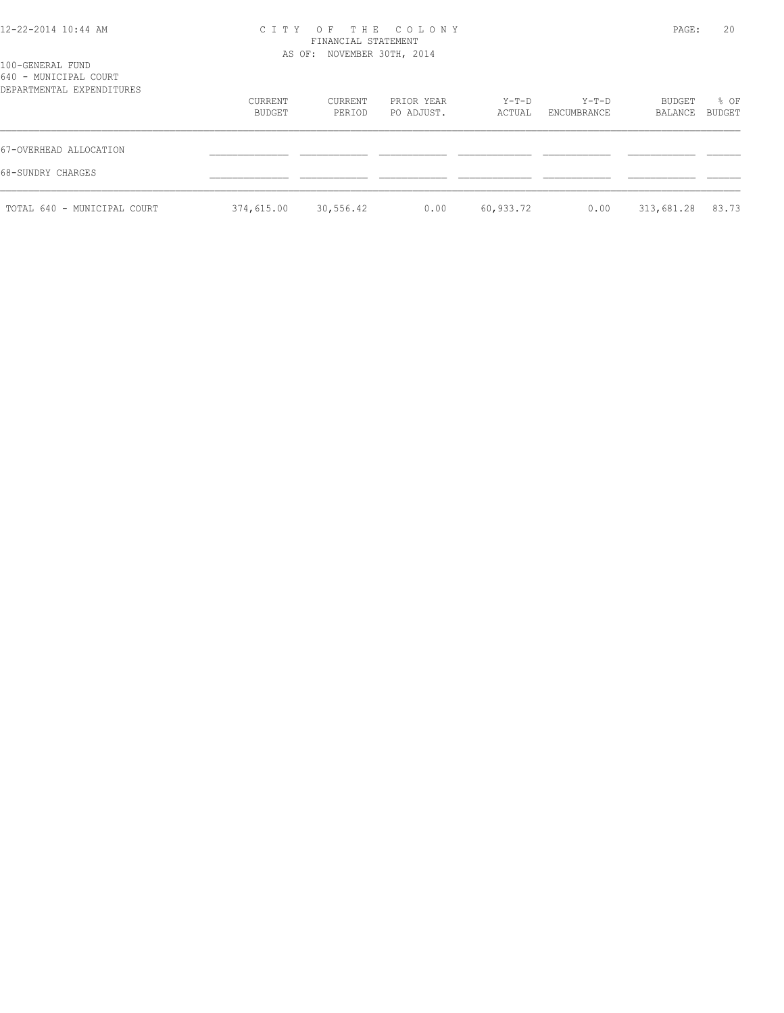# CITY OF THE COLONY PAGE: 20

TOTAL 640 - MUNICIPAL COURT 374,615.00 30,556.42 0.00 60,933.72 0.00 313,681.28 83.73

|                                                                        |                            | FINANCIAL STATEMENT |                          |                 |                      |                          |      |
|------------------------------------------------------------------------|----------------------------|---------------------|--------------------------|-----------------|----------------------|--------------------------|------|
| 100-GENERAL FUND<br>640 - MUNICIPAL COURT<br>DEPARTMENTAL EXPENDITURES | AS OF: NOVEMBER 30TH, 2014 |                     |                          |                 |                      |                          |      |
|                                                                        | CURRENT<br>BUDGET          | CURRENT<br>PERIOD   | PRIOR YEAR<br>PO ADJUST. | Y-T-D<br>ACTUAL | Y-T-D<br>ENCUMBRANCE | BUDGET<br>BALANCE BUDGET | % OF |
| 67-OVERHEAD ALLOCATION                                                 |                            |                     |                          |                 |                      |                          |      |
| 68-SUNDRY CHARGES                                                      |                            |                     |                          |                 |                      |                          |      |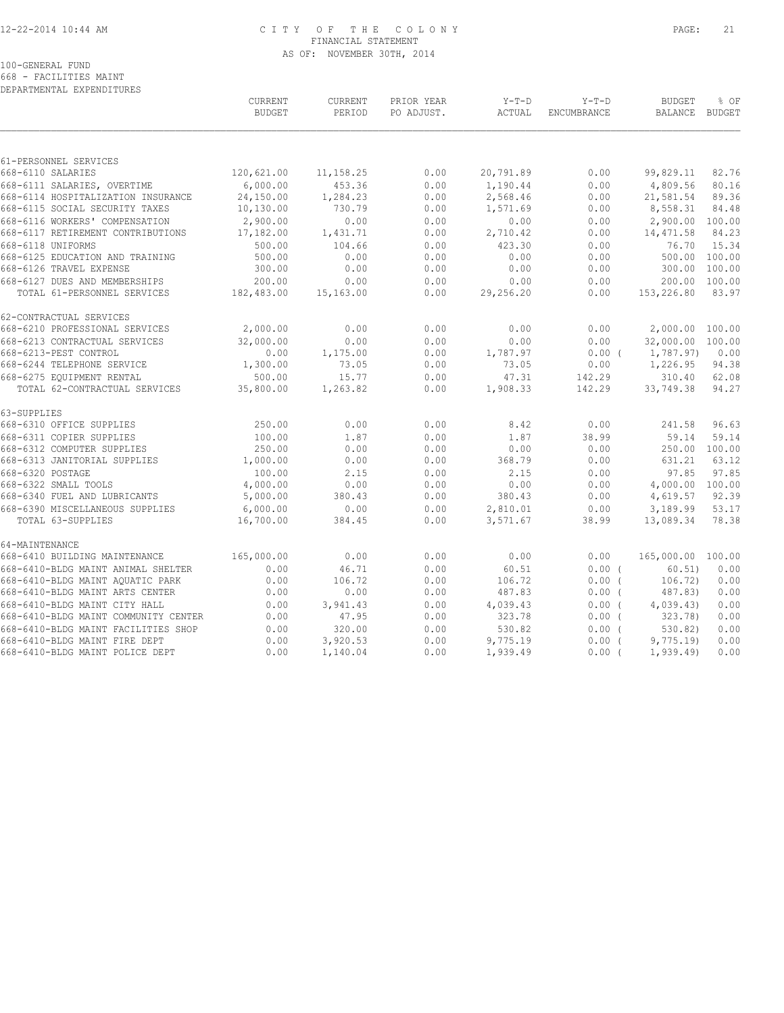# 12-22-2014 10:44 AM C I T Y O F T H E C O L O N Y PAGE: 21 FINANCIAL STATEMENT AS OF: NOVEMBER 30TH, 2014

100-GENERAL FUND

668 - FACILITIES MAINT DEPARTMENTAL EXPENDITURES

|                                                      | CURRENT<br><b>BUDGET</b> | CURRENT<br>PERIOD | PRIOR YEAR<br>PO ADJUST. | $Y-T-D$<br>ACTUAL | $Y-T-D$<br>ENCUMBRANCE | <b>BUDGET</b><br>BALANCE | % OF<br><b>BUDGET</b>  |
|------------------------------------------------------|--------------------------|-------------------|--------------------------|-------------------|------------------------|--------------------------|------------------------|
|                                                      |                          |                   |                          |                   |                        |                          |                        |
| 61-PERSONNEL SERVICES                                |                          |                   |                          |                   |                        |                          |                        |
| 668-6110 SALARIES                                    | 120,621.00               | 11,158.25         | 0.00                     | 20,791.89         | 0.00                   | 99,829.11                | 82.76                  |
| 668-6111 SALARIES, OVERTIME                          | 6,000.00                 | 453.36            | 0.00                     | 1,190.44          | 0.00                   | 4,809.56                 | 80.16                  |
| 668-6114 HOSPITALIZATION INSURANCE                   | 24,150.00                | 1,284.23          | 0.00                     | 2,568.46          | 0.00                   | 21,581.54                | 89.36                  |
| 668-6115 SOCIAL SECURITY TAXES                       | 10,130.00                | 730.79            | 0.00                     | 1,571.69          | 0.00                   | 8,558.31                 | 84.48                  |
| 668-6116 WORKERS' COMPENSATION                       | 2,900.00                 | 0.00              | 0.00                     | 0.00              | 0.00                   | 2,900.00 100.00          |                        |
| 668-6117 RETIREMENT CONTRIBUTIONS                    | 17,182.00                | 1,431.71          | 0.00                     | 2,710.42          | 0.00                   | 14, 471.58               | 84.23                  |
| 668-6118 UNIFORMS<br>668-6125 EDUCATION AND TRAINING | 500.00<br>500.00         | 104.66<br>0.00    | 0.00<br>0.00             | 423.30<br>0.00    | 0.00<br>0.00           | 76.70                    | 15.34<br>500.00 100.00 |
| 668-6126 TRAVEL EXPENSE                              | 300.00                   | 0.00              | 0.00                     | 0.00              | 0.00                   |                          | 300.00 100.00          |
| 668-6127 DUES AND MEMBERSHIPS                        | 200.00                   | 0.00              | 0.00                     | 0.00              | 0.00                   |                          | 200.00 100.00          |
| TOTAL 61-PERSONNEL SERVICES                          | 182,483.00               | 15,163.00         | 0.00                     | 29,256.20         | 0.00                   | 153,226.80               | 83.97                  |
|                                                      |                          |                   |                          |                   |                        |                          |                        |
| 62-CONTRACTUAL SERVICES                              |                          |                   |                          |                   |                        |                          |                        |
| 668-6210 PROFESSIONAL SERVICES                       | 2,000.00                 | 0.00              | 0.00                     | 0.00              | 0.00                   | 2,000.00 100.00          |                        |
| 668-6213 CONTRACTUAL SERVICES                        | 32,000.00                | 0.00              | 0.00                     | 0.00              | 0.00                   | 32,000.00 100.00         |                        |
| 668-6213-PEST CONTROL                                | 0.00                     | 1,175.00          | 0.00                     | 1,787.97          | $0.00$ (               | 1,787.97)                | 0.00                   |
| 668-6244 TELEPHONE SERVICE                           | 1,300.00                 | 73.05             | 0.00                     | 73.05             | 0.00                   | 1,226.95                 | 94.38                  |
| 668-6275 EQUIPMENT RENTAL                            | 500.00                   | 15.77             | 0.00                     | 47.31             | 142.29                 | 310.40                   | 62.08                  |
| TOTAL 62-CONTRACTUAL SERVICES                        | 35,800.00                | 1,263.82          | 0.00                     | 1,908.33          | 142.29                 | 33,749.38                | 94.27                  |
| 63-SUPPLIES                                          |                          |                   |                          |                   |                        |                          |                        |
| 668-6310 OFFICE SUPPLIES                             | 250.00                   | 0.00              | 0.00                     | 8.42              | 0.00                   | 241.58                   | 96.63                  |
| 668-6311 COPIER SUPPLIES                             | 100.00                   | 1.87              | 0.00                     | 1.87              | 38.99                  | 59.14                    | 59.14                  |
| 668-6312 COMPUTER SUPPLIES                           | 250.00                   | 0.00              | 0.00                     | 0.00              | 0.00                   |                          | 250.00 100.00          |
| 668-6313 JANITORIAL SUPPLIES                         | 1,000.00                 | 0.00              | 0.00                     | 368.79            | 0.00                   | 631.21                   | 63.12                  |
| 668-6320 POSTAGE                                     | 100.00                   | 2.15              | 0.00                     | 2.15              | 0.00                   | 97.85                    | 97.85                  |
| 668-6322 SMALL TOOLS                                 | 4,000.00                 | 0.00              | 0.00                     | 0.00              | 0.00                   | 4,000.00 100.00          |                        |
| 668-6340 FUEL AND LUBRICANTS                         | 5,000.00                 | 380.43            | 0.00                     | 380.43            | 0.00                   | 4,619.57                 | 92.39                  |
| 668-6390 MISCELLANEOUS SUPPLIES                      | 6,000.00                 | 0.00              | 0.00                     | 2,810.01          | 0.00                   | 3,189.99                 | 53.17                  |
| TOTAL 63-SUPPLIES                                    | 16,700.00                | 384.45            | 0.00                     | 3,571.67          | 38.99                  | 13,089.34                | 78.38                  |
| 64-MAINTENANCE                                       |                          |                   |                          |                   |                        |                          |                        |
| 668-6410 BUILDING MAINTENANCE                        | 165,000.00               | 0.00              | 0.00                     | 0.00              | 0.00                   | 165,000.00 100.00        |                        |
| 668-6410-BLDG MAINT ANIMAL SHELTER                   | 0.00                     | 46.71             | 0.00                     | 60.51             | 0.00(                  | 60.51)                   | 0.00                   |
| 668-6410-BLDG MAINT AQUATIC PARK                     | 0.00                     | 106.72            | 0.00                     | 106.72            | $0.00$ (               | 106.72)                  | 0.00                   |
| 668-6410-BLDG MAINT ARTS CENTER                      | 0.00                     | 0.00              | 0.00                     | 487.83            | $0.00$ (               | 487.83)                  | 0.00                   |
| 668-6410-BLDG MAINT CITY HALL                        | 0.00                     | 3,941.43          | 0.00                     | 4,039.43          | $0.00$ (               | 4,039.43                 | 0.00                   |
| 668-6410-BLDG MAINT COMMUNITY CENTER                 | 0.00                     | 47.95             | 0.00                     | 323.78            | $0.00$ (               | 323.78                   | 0.00                   |
| 668-6410-BLDG MAINT FACILITIES SHOP                  | 0.00                     | 320.00            | 0.00                     | 530.82            | 0.00(                  | 530.82                   | 0.00                   |
| 668-6410-BLDG MAINT FIRE DEPT                        | 0.00                     | 3,920.53          | 0.00                     | 9,775.19          | $0.00$ (               | 9,775.19                 | 0.00                   |
| 668-6410-BLDG MAINT POLICE DEPT                      | 0.00                     | 1,140.04          | 0.00                     | 1,939.49          | $0.00$ (               | 1, 939.49                | 0.00                   |
|                                                      |                          |                   |                          |                   |                        |                          |                        |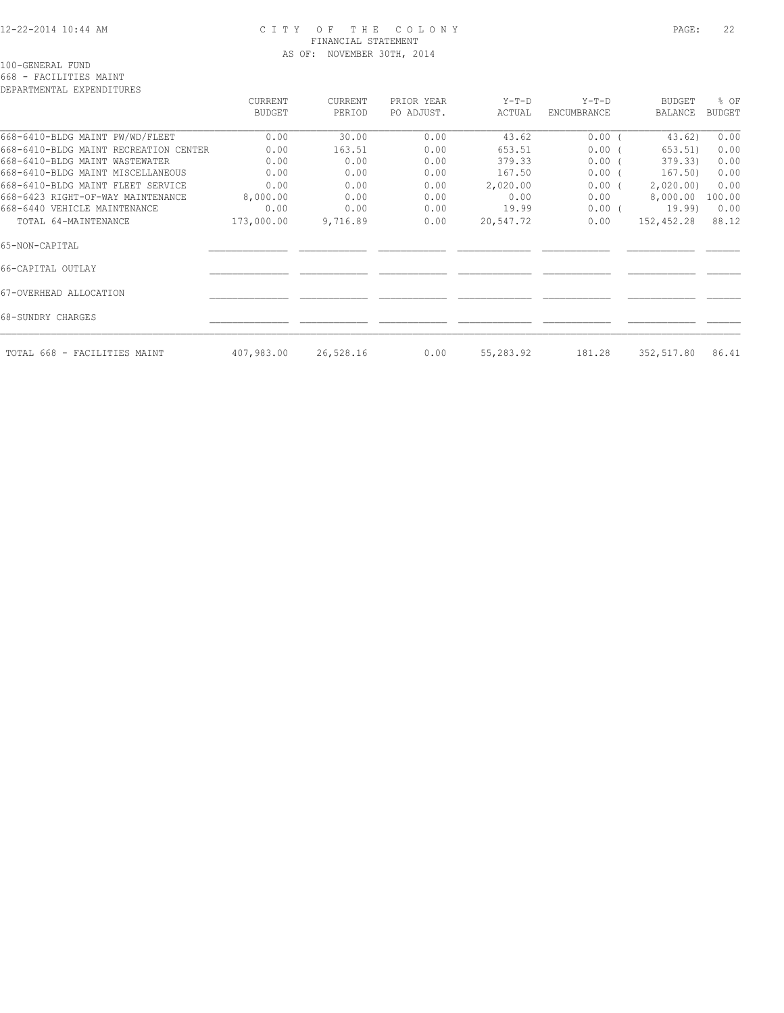### 12-22-2014 10:44 AM C I T Y O F T H E C O L O N Y PAGE: 22 FINANCIAL STATEMENT AS OF: NOVEMBER 30TH, 2014

100-GENERAL FUND

668 - FACILITIES MAINT

| DEPARTMENTAL EXPENDITURES             |               |           |            |           |             |               |               |
|---------------------------------------|---------------|-----------|------------|-----------|-------------|---------------|---------------|
|                                       | CURRENT       | CURRENT   | PRIOR YEAR | $Y-T-D$   | $Y-T-D$     | <b>BUDGET</b> | % OF          |
|                                       | <b>BUDGET</b> | PERIOD    | PO ADJUST. | ACTUAL    | ENCUMBRANCE | BALANCE       | <b>BUDGET</b> |
| 668-6410-BLDG MAINT PW/WD/FLEET       | 0.00          | 30.00     | 0.00       | 43.62     | 0.00(       | 43.62)        | 0.00          |
| 668-6410-BLDG MAINT RECREATION CENTER | 0.00          | 163.51    | 0.00       | 653.51    | $0.00$ (    | 653.51)       | 0.00          |
| 668-6410-BLDG MAINT WASTEWATER        | 0.00          | 0.00      | 0.00       | 379.33    | $0.00$ (    | 379.33)       | 0.00          |
| 668-6410-BLDG MAINT MISCELLANEOUS     | 0.00          | 0.00      | 0.00       | 167.50    | $0.00$ (    | 167.50)       | 0.00          |
| 668-6410-BLDG MAINT FLEET SERVICE     | 0.00          | 0.00      | 0.00       | 2,020.00  | $0.00$ (    | 2,020.00      | 0.00          |
| 668-6423 RIGHT-OF-WAY MAINTENANCE     | 8,000.00      | 0.00      | 0.00       | 0.00      | 0.00        | 8,000.00      | 100.00        |
| 668-6440 VEHICLE MAINTENANCE          | 0.00          | 0.00      | 0.00       | 19.99     | $0.00$ (    | 19.99)        | 0.00          |
| TOTAL 64-MAINTENANCE                  | 173,000.00    | 9,716.89  | 0.00       | 20,547.72 | 0.00        | 152,452.28    | 88.12         |
| 65-NON-CAPITAL                        |               |           |            |           |             |               |               |
| 66-CAPITAL OUTLAY                     |               |           |            |           |             |               |               |
| 67-OVERHEAD ALLOCATION                |               |           |            |           |             |               |               |
| 68-SUNDRY CHARGES                     |               |           |            |           |             |               |               |
| TOTAL 668 - FACILITIES MAINT          | 407,983.00    | 26,528.16 | 0.00       | 55,283.92 | 181.28      | 352,517.80    | 86.41         |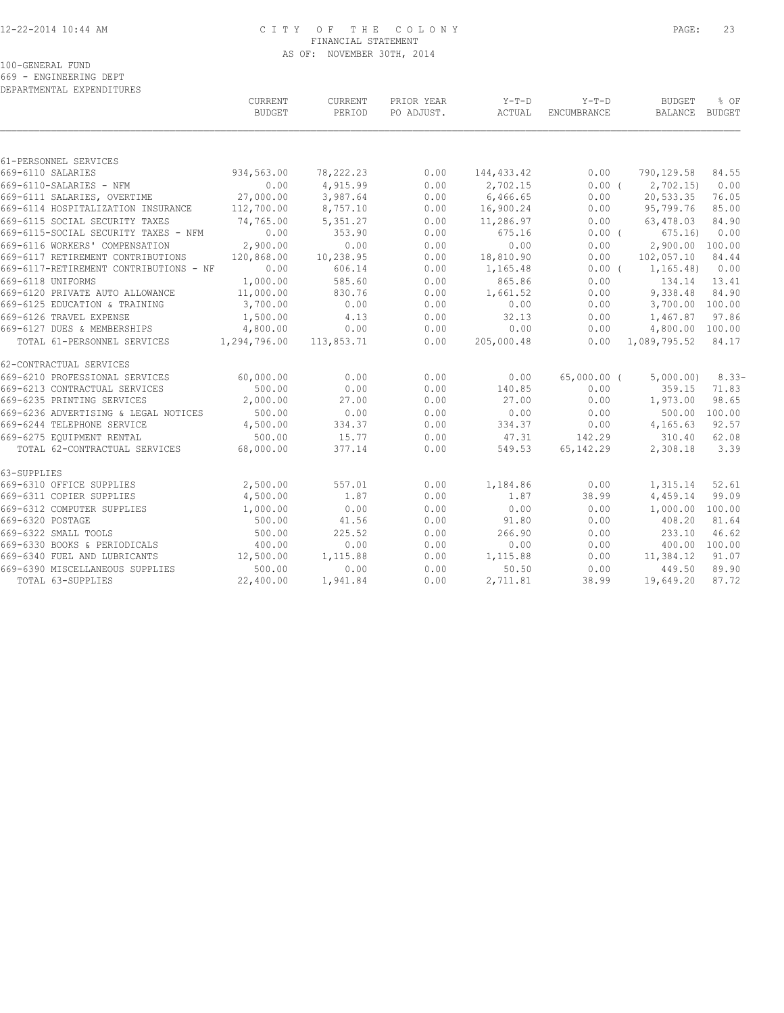### 12-22-2014 10:44 AM C I T Y O F T H E C O L O N Y PAGE: 23 FINANCIAL STATEMENT AS OF: NOVEMBER 30TH, 2014

100-GENERAL FUND

669 - ENGINEERING DEPT

| DEPARTMENTAL EXPENDITURES              |                |            |            |             |                    |                 |         |
|----------------------------------------|----------------|------------|------------|-------------|--------------------|-----------------|---------|
|                                        | <b>CURRENT</b> | CURRENT    | PRIOR YEAR | Y-T-D       | $Y-T-D$            | <b>BUDGET</b>   | % OF    |
|                                        | <b>BUDGET</b>  | PERIOD     | PO ADJUST. | ACTUAL      | <b>ENCUMBRANCE</b> | BALANCE BUDGET  |         |
|                                        |                |            |            |             |                    |                 |         |
| 61-PERSONNEL SERVICES                  |                |            |            |             |                    |                 |         |
| 669-6110 SALARIES                      | 934,563.00     | 78,222.23  | 0.00       | 144, 433.42 | 0.00               | 790,129.58      | 84.55   |
| 669-6110-SALARIES - NFM                | 0.00           | 4,915.99   | 0.00       | 2,702.15    | 0.00(              | 2,702.15        | 0.00    |
| 669-6111 SALARIES, OVERTIME            | 27,000.00      | 3,987.64   | 0.00       | 6,466.65    | 0.00               | 20,533.35       | 76.05   |
| 669-6114 HOSPITALIZATION INSURANCE     | 112,700.00     | 8,757.10   | 0.00       | 16,900.24   | 0.00               | 95,799.76       | 85.00   |
| 669-6115 SOCIAL SECURITY TAXES         | 74,765.00      | 5,351.27   | 0.00       | 11,286.97   | 0.00               | 63,478.03       | 84.90   |
| 669-6115-SOCIAL SECURITY TAXES - NFM   | 0.00           | 353.90     | 0.00       | 675.16      | $0.00$ (           | 675.16          | 0.00    |
| 669-6116 WORKERS' COMPENSATION         | 2,900.00       | 0.00       | 0.00       | 0.00        | 0.00               | 2,900.00 100.00 |         |
| 669-6117 RETIREMENT CONTRIBUTIONS      | 120,868.00     | 10,238.95  | 0.00       | 18,810.90   | 0.00               | 102,057.10      | 84.44   |
| 669-6117-RETIREMENT CONTRIBUTIONS - NF | 0.00           | 606.14     | 0.00       | 1,165.48    | $0.00$ (           | 1, 165.48       | 0.00    |
| 669-6118 UNIFORMS                      | 1,000.00       | 585.60     | 0.00       | 865.86      | 0.00               | 134.14          | 13.41   |
| 669-6120 PRIVATE AUTO ALLOWANCE        | 11,000.00      | 830.76     | 0.00       | 1,661.52    | 0.00               | 9,338.48        | 84.90   |
| 669-6125 EDUCATION & TRAINING          | 3,700.00       | 0.00       | 0.00       | 0.00        | 0.00               | 3,700.00 100.00 |         |
| 669-6126 TRAVEL EXPENSE                | 1,500.00       | 4.13       | 0.00       | 32.13       | 0.00               | 1,467.87        | 97.86   |
| 669-6127 DUES & MEMBERSHIPS            | 4,800.00       | 0.00       | 0.00       | 0.00        | 0.00               | 4,800.00 100.00 |         |
| TOTAL 61-PERSONNEL SERVICES            | 1,294,796.00   | 113,853.71 | 0.00       | 205,000.48  | 0.00               | 1,089,795.52    | 84.17   |
| 62-CONTRACTUAL SERVICES                |                |            |            |             |                    |                 |         |
| 669-6210 PROFESSIONAL SERVICES         | 60,000.00      | 0.00       | 0.00       | 0.00        | $65,000.00$ (      | 5,000.00)       | $8.33-$ |
| 669-6213 CONTRACTUAL SERVICES          | 500.00         | 0.00       | 0.00       | 140.85      | 0.00               | 359.15          | 71.83   |
| 669-6235 PRINTING SERVICES             | 2,000.00       | 27.00      | 0.00       | 27.00       | 0.00               | 1,973.00        | 98.65   |
| 669-6236 ADVERTISING & LEGAL NOTICES   | 500.00         | 0.00       | 0.00       | 0.00        | 0.00               | 500.00 100.00   |         |
| 669-6244 TELEPHONE SERVICE             | 4,500.00       | 334.37     | 0.00       | 334.37      | 0.00               | 4,165.63        | 92.57   |
| 669-6275 EQUIPMENT RENTAL              | 500.00         | 15.77      | 0.00       | 47.31       | 142.29             | 310.40          | 62.08   |
| TOTAL 62-CONTRACTUAL SERVICES          | 68,000.00      | 377.14     | 0.00       | 549.53      | 65, 142.29         | 2,308.18        | 3.39    |
| 63-SUPPLIES                            |                |            |            |             |                    |                 |         |
| 669-6310 OFFICE SUPPLIES               | 2,500.00       | 557.01     | 0.00       | 1,184.86    | 0.00               | 1,315.14        | 52.61   |
| 669-6311 COPIER SUPPLIES               | 4,500.00       | 1.87       | 0.00       | 1.87        | 38.99              | 4,459.14        | 99.09   |
| 669-6312 COMPUTER SUPPLIES             | 1,000.00       | 0.00       | 0.00       | 0.00        | 0.00               | 1,000.00        | 100.00  |
| 669-6320 POSTAGE                       | 500.00         | 41.56      | 0.00       | 91.80       | 0.00               | 408.20          | 81.64   |
| 669-6322 SMALL TOOLS                   | 500.00         | 225.52     | 0.00       | 266.90      | 0.00               | 233.10          | 46.62   |
| 669-6330 BOOKS & PERIODICALS           | 400.00         | 0.00       | 0.00       | 0.00        | 0.00               | 400.00 100.00   |         |
| 669-6340 FUEL AND LUBRICANTS           | 12,500.00      | 1,115.88   | 0.00       | 1,115.88    | 0.00               | 11,384.12       | 91.07   |
| 669-6390 MISCELLANEOUS SUPPLIES        | 500.00         | 0.00       | 0.00       | 50.50       | 0.00               | 449.50          | 89.90   |
| TOTAL 63-SUPPLIES                      | 22,400.00      | 1,941.84   | 0.00       | 2,711.81    | 38.99              | 19,649.20       | 87.72   |
|                                        |                |            |            |             |                    |                 |         |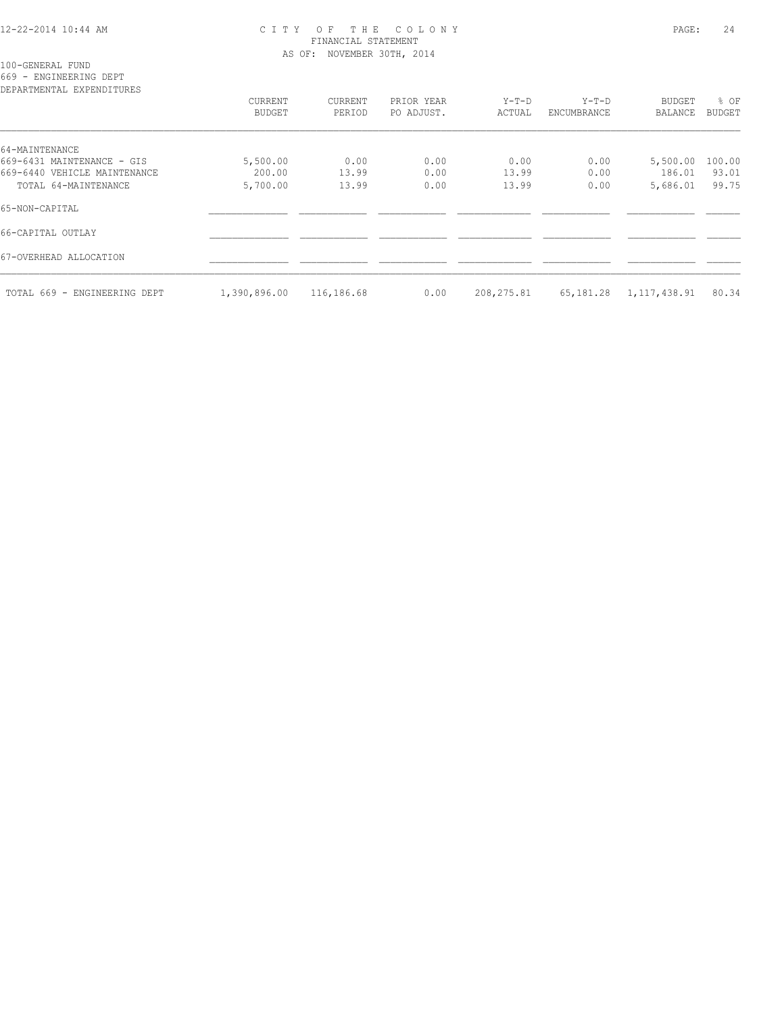### 12-22-2014 10:44 AM C I T Y O F T H E C O L O N Y PAGE: 24 FINANCIAL STATEMENT AS OF: NOVEMBER 30TH, 2014

100-GENERAL FUND

669 - ENGINEERING DEPT

| DEPARTMENTAL EXPENDITURES    |                          |                   |                          |                   |                      |                                 |                       |
|------------------------------|--------------------------|-------------------|--------------------------|-------------------|----------------------|---------------------------------|-----------------------|
|                              | CURRENT<br><b>BUDGET</b> | CURRENT<br>PERIOD | PRIOR YEAR<br>PO ADJUST. | $Y-T-D$<br>ACTUAL | Y-T-D<br>ENCUMBRANCE | <b>BUDGET</b><br><b>BALANCE</b> | % OF<br><b>BUDGET</b> |
| 64-MAINTENANCE               |                          |                   |                          |                   |                      |                                 |                       |
| 669-6431 MAINTENANCE - GIS   | 5,500.00                 | 0.00              | 0.00                     | 0.00              | 0.00                 | 5,500.00                        | 100.00                |
| 669-6440 VEHICLE MAINTENANCE | 200.00                   | 13.99             | 0.00                     | 13.99             | 0.00                 | 186.01                          | 93.01                 |
| TOTAL 64-MAINTENANCE         | 5,700.00                 | 13.99             | 0.00                     | 13.99             | 0.00                 | 5,686.01                        | 99.75                 |
| 65-NON-CAPITAL               |                          |                   |                          |                   |                      |                                 |                       |
| 66-CAPITAL OUTLAY            |                          |                   |                          |                   |                      |                                 |                       |
| 67-OVERHEAD ALLOCATION       |                          |                   |                          |                   |                      |                                 |                       |
| TOTAL 669 - ENGINEERING DEPT | 1,390,896.00             | 116,186.68        | 0.00                     | 208, 275.81       | 65,181.28            | 1,117,438.91                    | 80.34                 |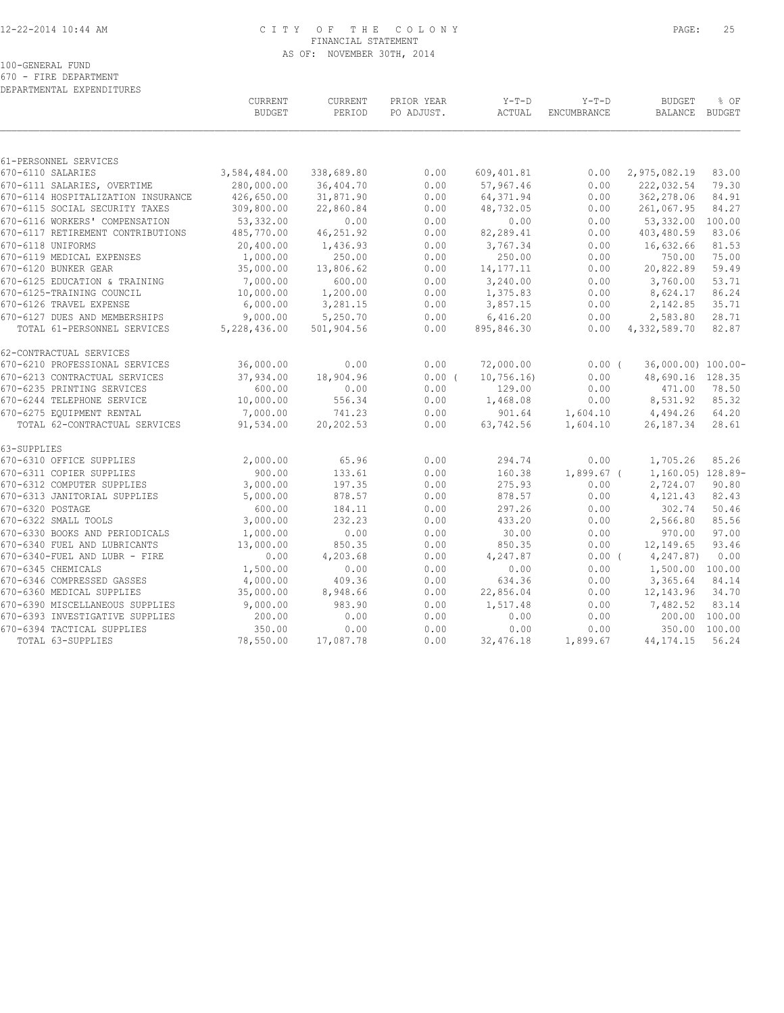### 12-22-2014 10:44 AM C I T Y O F T H E C O L O N Y PAGE: 25 FINANCIAL STATEMENT AS OF: NOVEMBER 30TH, 2014

100-GENERAL FUND

670 - FIRE DEPARTMENT DEPARTMENTAL EXPENDITURES

|                                                               | CURRENT<br><b>BUDGET</b> | CURRENT<br>PERIOD  | PRIOR YEAR<br>PO ADJUST. | $Y-T-D$<br>ACTUAL  | $Y-T-D$<br>ENCUMBRANCE | <b>BUDGET</b><br>BALANCE | % OF<br><b>BUDGET</b> |
|---------------------------------------------------------------|--------------------------|--------------------|--------------------------|--------------------|------------------------|--------------------------|-----------------------|
| 61-PERSONNEL SERVICES                                         |                          |                    |                          |                    |                        |                          |                       |
| 670-6110 SALARIES                                             | 3,584,484.00             | 338,689.80         | 0.00                     | 609,401.81         | 0.00                   | 2,975,082.19             | 83.00                 |
| 670-6111 SALARIES, OVERTIME                                   | 280,000.00               | 36,404.70          | 0.00                     | 57,967.46          | 0.00                   | 222,032.54               | 79.30                 |
| 670-6114 HOSPITALIZATION INSURANCE                            | 426,650.00               | 31,871.90          | 0.00                     | 64, 371.94         | 0.00                   | 362,278.06               | 84.91                 |
| 670-6115 SOCIAL SECURITY TAXES                                | 309,800.00               | 22,860.84          | 0.00                     | 48,732.05          | 0.00                   | 261,067.95               | 84.27                 |
| 670-6116 WORKERS' COMPENSATION                                | 53,332.00                | 0.00               | 0.00                     | 0.00               | 0.00                   | 53,332.00                | 100.00                |
| 670-6117 RETIREMENT CONTRIBUTIONS                             | 485,770.00               | 46,251.92          | 0.00                     | 82,289.41          | 0.00                   | 403,480.59               | 83.06                 |
| 670-6118 UNIFORMS                                             | 20,400.00                | 1,436.93           | 0.00                     | 3,767.34           | 0.00                   | 16,632.66                | 81.53                 |
| 670-6119 MEDICAL EXPENSES                                     | 1,000.00                 | 250.00             | 0.00                     | 250.00             | 0.00                   | 750.00                   | 75.00                 |
| 670-6120 BUNKER GEAR                                          | 35,000.00                | 13,806.62          | 0.00                     | 14, 177. 11        | 0.00                   | 20,822.89                | 59.49                 |
| 670-6125 EDUCATION & TRAINING                                 | 7,000.00                 | 600.00             | 0.00                     | 3,240.00           | 0.00                   | 3,760.00                 | 53.71                 |
| 670-6125-TRAINING COUNCIL                                     | 10,000.00                | 1,200.00           | 0.00                     | 1,375.83           | 0.00                   | 8,624.17                 | 86.24                 |
| 670-6126 TRAVEL EXPENSE                                       | 6,000.00                 | 3,281.15           | 0.00                     | 3,857.15           | 0.00                   | 2,142.85                 | 35.71                 |
| 670-6127 DUES AND MEMBERSHIPS                                 | 9,000.00                 | 5,250.70           | 0.00                     | 6,416.20           | 0.00                   | 2,583.80                 | 28.71                 |
| TOTAL 61-PERSONNEL SERVICES                                   | 5,228,436.00             | 501,904.56         | 0.00                     | 895,846.30         | 0.00                   | 4,332,589.70             | 82.87                 |
| 62-CONTRACTUAL SERVICES                                       |                          |                    |                          |                    |                        |                          |                       |
| 670-6210 PROFESSIONAL SERVICES                                | 36,000.00                | 0.00               | 0.00                     | 72,000.00          | $0.00$ (               | 36,000.00) 100.00-       |                       |
| 670-6213 CONTRACTUAL SERVICES                                 | 37,934.00                | 18,904.96          | 0.00(                    | 10,756.16          | 0.00                   | 48,690.16 128.35         |                       |
| 670-6235 PRINTING SERVICES                                    | 600.00                   | 0.00               | 0.00                     | 129.00             | 0.00                   | 471.00                   | 78.50                 |
| 670-6244 TELEPHONE SERVICE                                    | 10,000.00                | 556.34             | 0.00                     | 1,468.08           | 0.00                   | 8,531.92                 | 85.32                 |
| 670-6275 EQUIPMENT RENTAL                                     | 7,000.00                 | 741.23             | 0.00                     | 901.64             | 1,604.10               | 4,494.26                 | 64.20                 |
| TOTAL 62-CONTRACTUAL SERVICES                                 | 91,534.00                | 20,202.53          | 0.00                     | 63,742.56          | 1,604.10               | 26,187.34                | 28.61                 |
| 63-SUPPLIES                                                   |                          |                    |                          |                    |                        |                          |                       |
| 670-6310 OFFICE SUPPLIES                                      | 2,000.00                 | 65.96              | 0.00                     | 294.74             | 0.00                   | 1,705.26                 | 85.26                 |
| 670-6311 COPIER SUPPLIES                                      | 900.00                   | 133.61             | 0.00                     | 160.38             | $1,899.67$ (           | 1,160.05) 128.89-        |                       |
| 670-6312 COMPUTER SUPPLIES                                    | 3,000.00                 | 197.35             | 0.00                     | 275.93             | 0.00                   | 2,724.07                 | 90.80                 |
| 670-6313 JANITORIAL SUPPLIES                                  | 5,000.00                 | 878.57             | 0.00                     | 878.57             | 0.00                   | 4,121.43                 | 82.43                 |
| 670-6320 POSTAGE                                              | 600.00                   | 184.11             | 0.00                     | 297.26             | 0.00                   | 302.74                   | 50.46                 |
| 670-6322 SMALL TOOLS                                          | 3,000.00                 | 232.23             | 0.00                     | 433.20             | 0.00                   | 2,566.80                 | 85.56                 |
| 670-6330 BOOKS AND PERIODICALS                                | 1,000.00                 | 0.00               | 0.00                     | 30.00              | 0.00                   | 970.00                   | 97.00                 |
| 670-6340 FUEL AND LUBRICANTS<br>670-6340-FUEL AND LUBR - FIRE | 13,000.00<br>0.00        | 850.35<br>4,203.68 | 0.00<br>0.00             | 850.35<br>4,247.87 | 0.00<br>$0.00$ (       | 12,149.65<br>4,247.87)   | 93.46<br>0.00         |
| 670-6345 CHEMICALS                                            | 1,500.00                 | 0.00               | 0.00                     | 0.00               | 0.00                   | 1,500.00 100.00          |                       |
| 670-6346 COMPRESSED GASSES                                    | 4,000.00                 | 409.36             | 0.00                     | 634.36             | 0.00                   | 3,365.64                 | 84.14                 |
| 670-6360 MEDICAL SUPPLIES                                     | 35,000.00                | 8,948.66           | 0.00                     | 22,856.04          | 0.00                   | 12, 143.96               | 34.70                 |
| 670-6390 MISCELLANEOUS SUPPLIES                               | 9,000.00                 | 983.90             | 0.00                     | 1,517.48           | 0.00                   | 7,482.52                 | 83.14                 |
| 670-6393 INVESTIGATIVE SUPPLIES                               | 200.00                   | 0.00               | 0.00                     | 0.00               | 0.00                   | 200.00                   | 100.00                |
| 670-6394 TACTICAL SUPPLIES                                    | 350.00                   | 0.00               | 0.00                     | 0.00               | 0.00                   | 350.00                   | 100.00                |
| TOTAL 63-SUPPLIES                                             | 78,550.00                | 17,087.78          | 0.00                     | 32,476.18          | 1,899.67               | 44, 174. 15              | 56.24                 |
|                                                               |                          |                    |                          |                    |                        |                          |                       |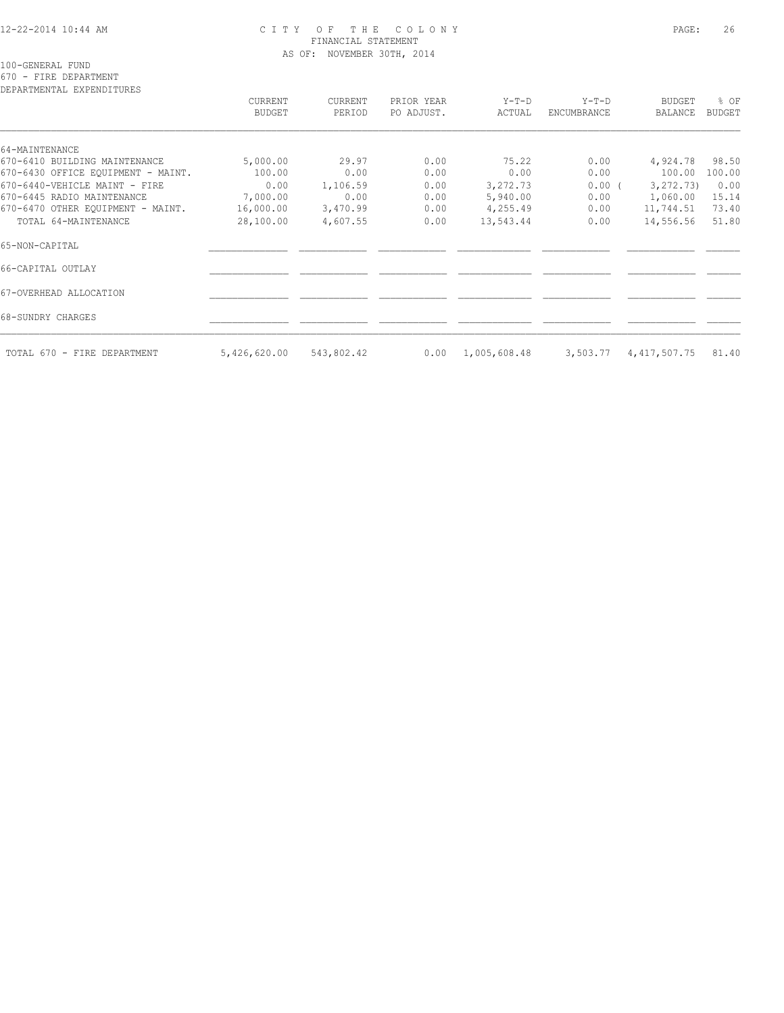### 12-22-2014 10:44 AM C I T Y O F T H E C O L O N Y PAGE: 26 FINANCIAL STATEMENT AS OF: NOVEMBER 30TH, 2014

100-GENERAL FUND

670 - FIRE DEPARTMENT

| DEPARTMENTAL EXPENDITURES          | CURRENT<br>BUDGET | CURRENT<br>PERIOD | PRIOR YEAR<br>PO ADJUST. | $Y-T-D$<br>ACTUAL | $Y-T-D$<br>ENCUMBRANCE | <b>BUDGET</b><br><b>BALANCE</b> | % OF<br><b>BUDGET</b> |
|------------------------------------|-------------------|-------------------|--------------------------|-------------------|------------------------|---------------------------------|-----------------------|
| 64-MAINTENANCE                     |                   |                   |                          |                   |                        |                                 |                       |
| 670-6410 BUILDING MAINTENANCE      | 5,000.00          | 29.97             | 0.00                     | 75.22             | 0.00                   | 4,924.78                        | 98.50                 |
| 670-6430 OFFICE EQUIPMENT - MAINT. | 100.00            | 0.00              | 0.00                     | 0.00              | 0.00                   | 100.00                          | 100.00                |
| 670-6440-VEHICLE MAINT - FIRE      | 0.00              | 1,106.59          | 0.00                     | 3,272.73          | $0.00$ (               | 3, 272, 73)                     | 0.00                  |
| 670-6445 RADIO MAINTENANCE         | 7,000.00          | 0.00              | 0.00                     | 5,940.00          | 0.00                   | 1,060.00                        | 15.14                 |
| 670-6470 OTHER EOUIPMENT - MAINT.  | 16,000.00         | 3,470.99          | 0.00                     | 4,255.49          | 0.00                   | 11,744.51                       | 73.40                 |
| TOTAL 64-MAINTENANCE               | 28,100.00         | 4,607.55          | 0.00                     | 13,543.44         | 0.00                   | 14,556.56                       | 51.80                 |
| 65-NON-CAPITAL                     |                   |                   |                          |                   |                        |                                 |                       |
| 66-CAPITAL OUTLAY                  |                   |                   |                          |                   |                        |                                 |                       |
| 67-OVERHEAD ALLOCATION             |                   |                   |                          |                   |                        |                                 |                       |
| 68-SUNDRY CHARGES                  |                   |                   |                          |                   |                        |                                 |                       |
| TOTAL 670 - FIRE DEPARTMENT        | 5,426,620.00      | 543,802.42        | 0.00                     | 1,005,608.48      | 3,503.77               | 4, 417, 507.75                  | 81.40                 |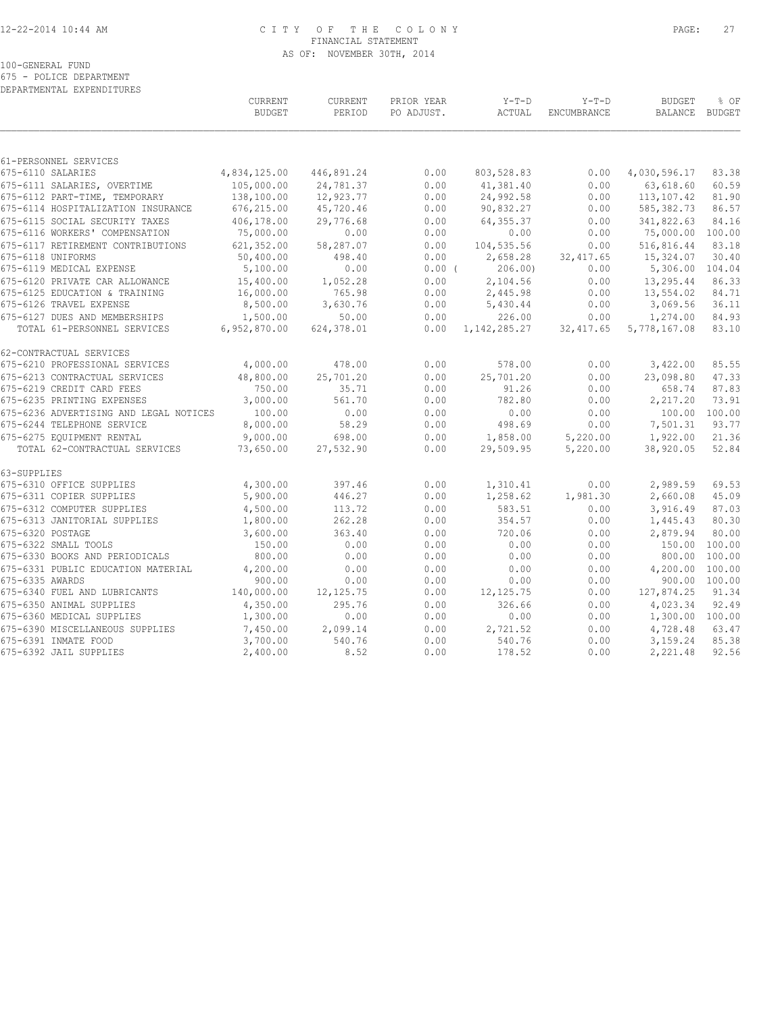## 12-22-2014 10:44 AM C I T Y O F T H E C O L O N Y PAGE: 27 FINANCIAL STATEMENT AS OF: NOVEMBER 30TH, 2014

100-GENERAL FUND

675 - POLICE DEPARTMENT

| DEPARTMENTAL EXPENDITURES                              | CURRENT              | <b>CURRENT</b>   | PRIOR YEAR   | $Y-T-D$            | $Y-T-D$<br><b>BUDGET</b> |                      | % OF           |
|--------------------------------------------------------|----------------------|------------------|--------------|--------------------|--------------------------|----------------------|----------------|
|                                                        | <b>BUDGET</b>        | PERIOD           | PO ADJUST.   | ACTUAL             | ENCUMBRANCE              | <b>BALANCE</b>       | <b>BUDGET</b>  |
| 61-PERSONNEL SERVICES                                  |                      |                  |              |                    |                          |                      |                |
| 675-6110 SALARIES                                      | 4,834,125.00         | 446,891.24       | 0.00         | 803,528.83         | 0.00                     | 4,030,596.17         | 83.38          |
| 675-6111 SALARIES, OVERTIME                            | 105,000.00           | 24,781.37        | 0.00         | 41,381.40          | 0.00                     | 63,618.60            | 60.59          |
| 675-6112 PART-TIME, TEMPORARY                          | 138,100.00           | 12,923.77        | 0.00         | 24,992.58          | 0.00                     | 113,107.42           | 81.90          |
| 675-6114 HOSPITALIZATION INSURANCE                     | 676,215.00           | 45,720.46        | 0.00         | 90,832.27          | 0.00                     | 585, 382.73          | 86.57          |
| 675-6115 SOCIAL SECURITY TAXES                         | 406,178.00           | 29,776.68        | 0.00         | 64, 355.37         | 0.00                     | 341,822.63           | 84.16          |
| 675-6116 WORKERS' COMPENSATION                         | 75,000.00            | 0.00             | 0.00         | 0.00               | 0.00                     | 75,000.00            | 100.00         |
| 675-6117 RETIREMENT CONTRIBUTIONS                      | 621, 352.00          | 58,287.07        | 0.00         | 104,535.56         | 0.00                     | 516,816.44           | 83.18          |
| 675-6118 UNIFORMS                                      | 50,400.00            | 498.40           | 0.00         | 2,658.28           | 32, 417.65               | 15,324.07            | 30.40          |
| 675-6119 MEDICAL EXPENSE                               | 5,100.00             | 0.00             | $0.00$ (     | 206.00             | 0.00                     | 5,306.00             | 104.04         |
| 675-6120 PRIVATE CAR ALLOWANCE                         | 15,400.00            | 1,052.28         | 0.00         | 2,104.56           | 0.00                     | 13,295.44            | 86.33          |
| 675-6125 EDUCATION & TRAINING                          | 16,000.00            | 765.98           | 0.00         | 2,445.98           | 0.00                     | 13,554.02            | 84.71          |
| 675-6126 TRAVEL EXPENSE                                | 8,500.00             | 3,630.76         | 0.00         | 5,430.44           | 0.00                     | 3,069.56             | 36.11          |
| 675-6127 DUES AND MEMBERSHIPS                          | 1,500.00             | 50.00            | 0.00         | 226.00             | 0.00                     | 1,274.00             | 84.93          |
| TOTAL 61-PERSONNEL SERVICES                            | 6,952,870.00         | 624,378.01       | 0.00         | 1, 142, 285. 27    | 32, 417.65               | 5,778,167.08         | 83.10          |
| 62-CONTRACTUAL SERVICES                                |                      |                  |              |                    |                          |                      |                |
| 675-6210 PROFESSIONAL SERVICES                         | 4,000.00             | 478.00           | 0.00         | 578.00             | 0.00                     | 3,422.00             | 85.55          |
| 675-6213 CONTRACTUAL SERVICES                          | 48,800.00            | 25,701.20        | 0.00         | 25,701.20          | 0.00                     | 23,098.80            | 47.33          |
| 675-6219 CREDIT CARD FEES                              | 750.00               | 35.71            | 0.00         | 91.26              | 0.00                     | 658.74               | 87.83          |
| 675-6235 PRINTING EXPENSES                             | 3,000.00             | 561.70           | 0.00         | 782.80             | 0.00                     | 2,217.20             | 73.91          |
| 675-6236 ADVERTISING AND LEGAL NOTICES                 | 100.00               | 0.00             | 0.00         | 0.00               | 0.00                     | 100.00               | 100.00         |
| 675-6244 TELEPHONE SERVICE                             | 8,000.00             | 58.29            | 0.00         | 498.69             | 0.00                     | 7,501.31             | 93.77          |
| 675-6275 EQUIPMENT RENTAL                              | 9,000.00             | 698.00           | 0.00         | 1,858.00           | 5,220.00                 | 1,922.00             | 21.36          |
| TOTAL 62-CONTRACTUAL SERVICES                          | 73,650.00            | 27,532.90        | 0.00         | 29,509.95          | 5,220.00                 | 38,920.05            | 52.84          |
| 63-SUPPLIES                                            |                      |                  |              |                    |                          |                      |                |
| 675-6310 OFFICE SUPPLIES                               | 4,300.00             | 397.46           | 0.00         | 1,310.41           | 0.00                     | 2,989.59             | 69.53          |
| 675-6311 COPIER SUPPLIES<br>675-6312 COMPUTER SUPPLIES | 5,900.00             | 446.27<br>113.72 | 0.00<br>0.00 | 1,258.62<br>583.51 | 1,981.30<br>0.00         | 2,660.08             | 45.09<br>87.03 |
| 675-6313 JANITORIAL SUPPLIES                           | 4,500.00<br>1,800.00 | 262.28           | 0.00         | 354.57             | 0.00                     | 3,916.49<br>1,445.43 | 80.30          |
| 675-6320 POSTAGE                                       |                      | 363.40           | 0.00         | 720.06             | 0.00                     | 2,879.94             | 80.00          |
| 675-6322 SMALL TOOLS                                   | 3,600.00<br>150.00   | 0.00             | 0.00         | 0.00               | 0.00                     | 150.00               | 100.00         |
| 675-6330 BOOKS AND PERIODICALS                         | 800.00               | 0.00             | 0.00         | 0.00               | 0.00                     | 800.00               | 100.00         |
| 675-6331 PUBLIC EDUCATION MATERIAL                     | 4,200.00             | 0.00             | 0.00         | 0.00               | 0.00                     | 4,200.00             | 100.00         |
| 675-6335 AWARDS                                        | 900.00               | 0.00             | 0.00         | 0.00               | 0.00                     |                      | 900.00 100.00  |
| 675-6340 FUEL AND LUBRICANTS                           | 140,000.00           | 12, 125.75       | 0.00         | 12, 125.75         | 0.00                     | 127,874.25           | 91.34          |
| 675-6350 ANIMAL SUPPLIES                               | 4,350.00             | 295.76           | 0.00         | 326.66             | 0.00                     | 4,023.34             | 92.49          |
| 675-6360 MEDICAL SUPPLIES                              | 1,300.00             | 0.00             | 0.00         | 0.00               | 0.00                     | 1,300.00 100.00      |                |
| 675-6390 MISCELLANEOUS SUPPLIES                        | 7,450.00             | 2,099.14         | 0.00         | 2,721.52           | 0.00                     | 4,728.48             | 63.47          |
| 675-6391 INMATE FOOD                                   | 3,700.00             | 540.76           | 0.00         | 540.76             | 0.00                     | 3,159.24             | 85.38          |
| 675-6392 JAIL SUPPLIES                                 | 2,400.00             | 8.52             | 0.00         | 178.52             | 0.00                     | 2,221.48             | 92.56          |
|                                                        |                      |                  |              |                    |                          |                      |                |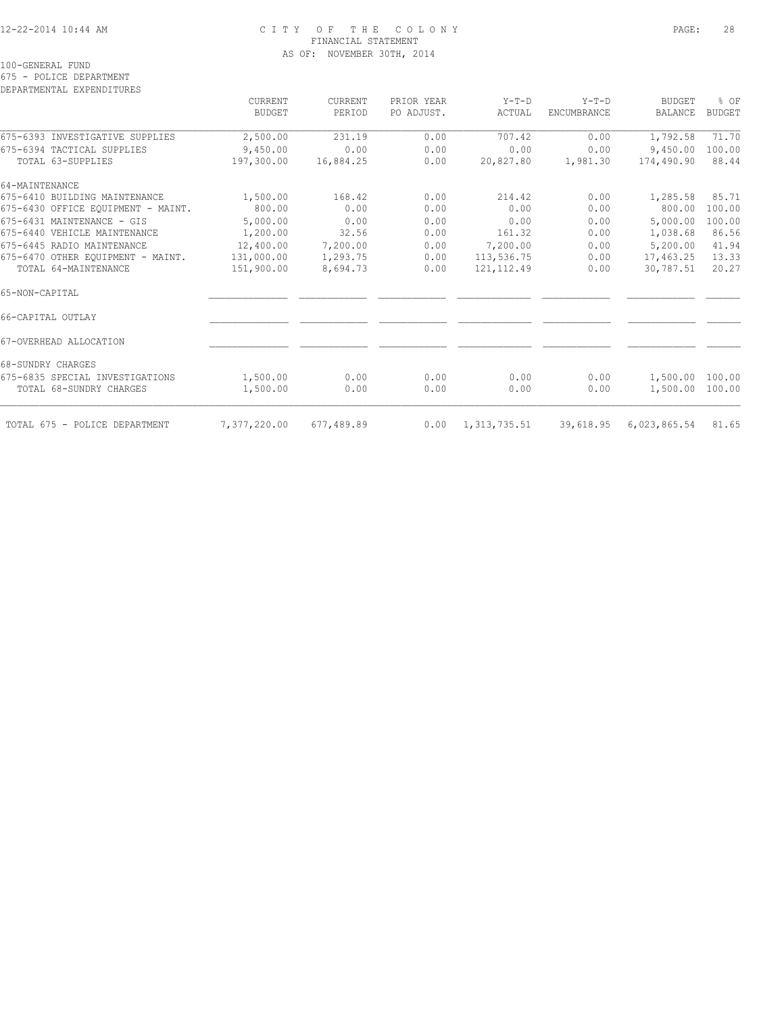### 12-22-2014 10:44 AM C I T Y O F T H E C O L O N Y PAGE: 28 FINANCIAL STATEMENT AS OF: NOVEMBER 30TH, 2014

|  |  |  | 100-GENERAL FUND |  |  |
|--|--|--|------------------|--|--|
|--|--|--|------------------|--|--|

675 - POLICE DEPARTMENT

DEPARTMENTAL EXPENDITURES

|                                    | CURRENT<br>BUDGET | CURRENT<br>PERIOD | PRIOR YEAR<br>PO ADJUST. | $Y-T-D$<br>ACTUAL | $Y-T-D$<br>ENCUMBRANCE | <b>BUDGET</b><br><b>BALANCE</b> | % OF<br><b>BUDGET</b> |
|------------------------------------|-------------------|-------------------|--------------------------|-------------------|------------------------|---------------------------------|-----------------------|
| 675-6393 INVESTIGATIVE SUPPLIES    | 2,500.00          | 231.19            | 0.00                     | 707.42            | 0.00                   | 1,792.58                        | 71.70                 |
| 675-6394 TACTICAL SUPPLIES         | 9,450.00          | 0.00              | 0.00                     | 0.00              | 0.00                   | 9,450.00                        | 100.00                |
| TOTAL 63-SUPPLIES                  | 197,300.00        | 16,884.25         | 0.00                     | 20,827.80         | 1,981.30               | 174,490.90                      | 88.44                 |
| 64-MAINTENANCE                     |                   |                   |                          |                   |                        |                                 |                       |
| 675-6410 BUILDING MAINTENANCE      | 1,500.00          | 168.42            | 0.00                     | 214.42            | 0.00                   | 1,285.58                        | 85.71                 |
| 675-6430 OFFICE EQUIPMENT - MAINT. | 800.00            | 0.00              | 0.00                     | 0.00              | 0.00                   | 800.00                          | 100.00                |
| 675-6431 MAINTENANCE - GIS         | 5,000.00          | 0.00              | 0.00                     | 0.00              | 0.00                   | 5,000.00                        | 100.00                |
| 675-6440 VEHICLE MAINTENANCE       | 1,200.00          | 32.56             | 0.00                     | 161.32            | 0.00                   | 1,038.68                        | 86.56                 |
| 675-6445 RADIO MAINTENANCE         | 12,400.00         | 7,200.00          | 0.00                     | 7,200.00          | 0.00                   | 5,200.00                        | 41.94                 |
| 675-6470 OTHER EOUIPMENT - MAINT.  | 131,000.00        | 1,293.75          | 0.00                     | 113,536.75        | 0.00                   | 17,463.25                       | 13.33                 |
| TOTAL 64-MAINTENANCE               | 151,900.00        | 8,694.73          | 0.00                     | 121, 112.49       | 0.00                   | 30,787.51                       | 20.27                 |
| 65-NON-CAPITAL                     |                   |                   |                          |                   |                        |                                 |                       |
| 66-CAPITAL OUTLAY                  |                   |                   |                          |                   |                        |                                 |                       |
| 67-OVERHEAD ALLOCATION             |                   |                   |                          |                   |                        |                                 |                       |
| 68-SUNDRY CHARGES                  |                   |                   |                          |                   |                        |                                 |                       |
| 675-6835 SPECIAL INVESTIGATIONS    | 1,500.00          | 0.00              | 0.00                     | 0.00              | 0.00                   | 1,500.00 100.00                 |                       |
| TOTAL 68-SUNDRY CHARGES            | 1,500.00          | 0.00              | 0.00                     | 0.00              | 0.00                   | 1,500.00 100.00                 |                       |
| TOTAL 675 - POLICE DEPARTMENT      | 7,377,220.00      | 677,489.89        | 0.00                     | 1, 313, 735.51    | 39,618.95              | 6,023,865.54                    | 81.65                 |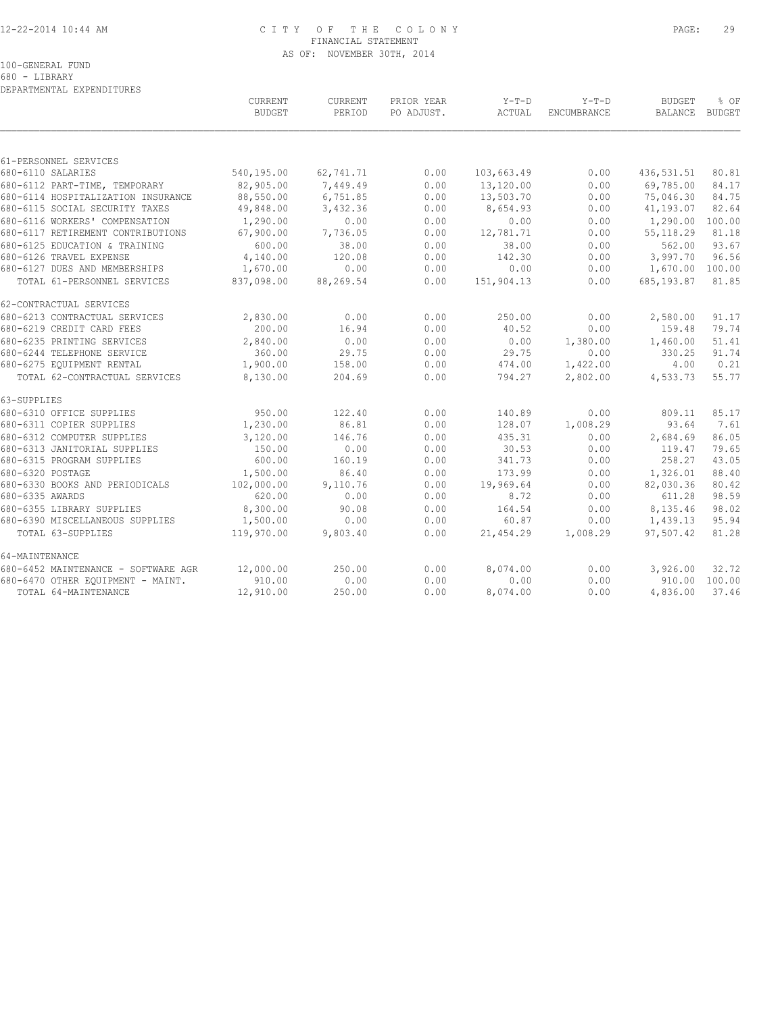# 12-22-2014 10:44 AM C I T Y O F T H E C O L O N Y PAGE: 29 FINANCIAL STATEMENT AS OF: NOVEMBER 30TH, 2014

100-GENERAL FUND

680 - LIBRARY DEPARTMENTAL EXPENDITURES

|                                     | CURRENT<br><b>BUDGET</b> | CURRENT<br>PERIOD | PRIOR YEAR<br>PO ADJUST. | $Y-T-D$<br>ACTUAL | $Y-T-D$<br>ENCUMBRANCE | <b>BUDGET</b><br>BALANCE BUDGET | % OF          |
|-------------------------------------|--------------------------|-------------------|--------------------------|-------------------|------------------------|---------------------------------|---------------|
|                                     |                          |                   |                          |                   |                        |                                 |               |
| 61-PERSONNEL SERVICES               |                          |                   |                          |                   |                        |                                 |               |
| 680-6110 SALARIES                   | 540,195.00               | 62,741.71         | 0.00                     | 103,663.49        | 0.00                   | 436, 531.51                     | 80.81         |
| 680-6112 PART-TIME, TEMPORARY       | 82,905.00                | 7,449.49          | 0.00                     | 13,120.00         | 0.00                   | 69,785.00                       | 84.17         |
| 680-6114 HOSPITALIZATION INSURANCE  | 88,550.00                | 6,751.85          | 0.00                     | 13,503.70         | 0.00                   | 75,046.30                       | 84.75         |
| 680-6115 SOCIAL SECURITY TAXES      | 49,848.00                | 3,432.36          | 0.00                     | 8,654.93          | 0.00                   | 41,193.07                       | 82.64         |
| 680-6116 WORKERS' COMPENSATION      | 1,290.00                 | 0.00              | 0.00                     | 0.00              | 0.00                   | 1,290.00                        | 100.00        |
| 680-6117 RETIREMENT CONTRIBUTIONS   | 67,900.00                | 7,736.05          | 0.00                     | 12,781.71         | 0.00                   | 55, 118.29                      | 81.18         |
| 680-6125 EDUCATION & TRAINING       | 600.00                   | 38.00             | 0.00                     | 38.00             | 0.00                   | 562.00                          | 93.67         |
| 680-6126 TRAVEL EXPENSE             | 4,140.00                 | 120.08            | 0.00                     | 142.30            | 0.00                   | 3,997.70                        | 96.56         |
| 680-6127 DUES AND MEMBERSHIPS       | 1,670.00                 | 0.00              | 0.00                     | 0.00              | 0.00                   | 1,670.00 100.00                 |               |
| TOTAL 61-PERSONNEL SERVICES         | 837,098.00               | 88,269.54         | 0.00                     | 151,904.13        | 0.00                   | 685,193.87                      | 81.85         |
| 62-CONTRACTUAL SERVICES             |                          |                   |                          |                   |                        |                                 |               |
| 680-6213 CONTRACTUAL SERVICES       | 2,830.00                 | 0.00              | 0.00                     | 250.00            | 0.00                   | 2,580.00                        | 91.17         |
| 680-6219 CREDIT CARD FEES           | 200.00                   | 16.94             | 0.00                     | 40.52             | 0.00                   | 159.48                          | 79.74         |
| 680-6235 PRINTING SERVICES          | 2,840.00                 | 0.00              | 0.00                     | 0.00              | 1,380.00               | 1,460.00                        | 51.41         |
| 680-6244 TELEPHONE SERVICE          | 360.00                   | 29.75             | 0.00                     | 29.75             | 0.00                   | 330.25                          | 91.74         |
| 680-6275 EQUIPMENT RENTAL           | 1,900.00                 | 158.00            | 0.00                     | 474.00            | 1,422.00               | 4.00                            | 0.21          |
| TOTAL 62-CONTRACTUAL SERVICES       | 8,130.00                 | 204.69            | 0.00                     | 794.27            | 2,802.00               | 4,533.73                        | 55.77         |
| 63-SUPPLIES                         |                          |                   |                          |                   |                        |                                 |               |
| 680-6310 OFFICE SUPPLIES            | 950.00                   | 122.40            | 0.00                     | 140.89            | 0.00                   | 809.11                          | 85.17         |
| 680-6311 COPIER SUPPLIES            | 1,230.00                 | 86.81             | 0.00                     | 128.07            | 1,008.29               | 93.64                           | 7.61          |
| 680-6312 COMPUTER SUPPLIES          | 3,120.00                 | 146.76            | 0.00                     | 435.31            | 0.00                   | 2,684.69                        | 86.05         |
| 680-6313 JANITORIAL SUPPLIES        | 150.00                   | 0.00              | 0.00                     | 30.53             | 0.00                   | 119.47                          | 79.65         |
| 680-6315 PROGRAM SUPPLIES           | 600.00                   | 160.19            | 0.00                     | 341.73            | 0.00                   | 258.27                          | 43.05         |
| 680-6320 POSTAGE                    | 1,500.00                 | 86.40             | 0.00                     | 173.99            | 0.00                   | 1,326.01                        | 88.40         |
| 680-6330 BOOKS AND PERIODICALS      | 102,000.00               | 9,110.76          | 0.00                     | 19,969.64         | 0.00                   | 82,030.36                       | 80.42         |
| 680-6335 AWARDS                     | 620.00                   | 0.00              | 0.00                     | 8.72              | 0.00                   | 611.28                          | 98.59         |
| 680-6355 LIBRARY SUPPLIES           | 8,300.00                 | 90.08             | 0.00                     | 164.54            | 0.00                   | 8,135.46                        | 98.02         |
| 680-6390 MISCELLANEOUS SUPPLIES     | 1,500.00                 | 0.00              | 0.00                     | 60.87             | 0.00                   | 1,439.13                        | 95.94         |
| TOTAL 63-SUPPLIES                   | 119,970.00               | 9,803.40          | 0.00                     | 21,454.29         | 1,008.29               | 97,507.42                       | 81.28         |
| 64-MAINTENANCE                      |                          |                   |                          |                   |                        |                                 |               |
| 680-6452 MAINTENANCE - SOFTWARE AGR | 12,000.00                | 250.00            | 0.00                     | 8,074.00          | 0.00                   | 3,926.00                        | 32.72         |
| 680-6470 OTHER EQUIPMENT - MAINT.   | 910.00                   | 0.00              | 0.00                     | 0.00              | 0.00                   |                                 | 910.00 100.00 |
| TOTAL 64-MAINTENANCE                | 12,910.00                | 250.00            | 0.00                     | 8,074.00          | 0.00                   | 4,836.00                        | 37.46         |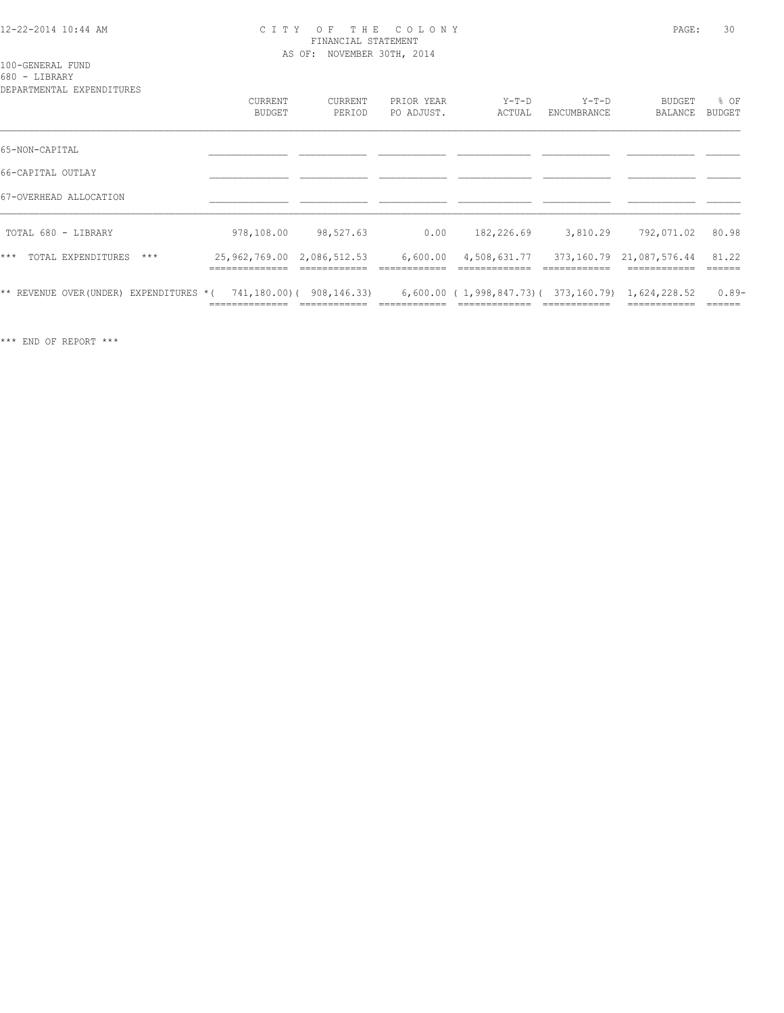### 12-22-2014 10:44 AM C I T Y O F T H E C O L O N Y PAGE: 30 FINANCIAL STATEMENT AS OF: NOVEMBER 30TH, 2014

100-GENERAL FUND 680 - LIBRARY

| DEPARTMENTAL EXPENDITURES              |                                           |                         |                          |                                                     |                        |                   |                       |
|----------------------------------------|-------------------------------------------|-------------------------|--------------------------|-----------------------------------------------------|------------------------|-------------------|-----------------------|
|                                        | CURRENT<br><b>BUDGET</b>                  | CURRENT<br>PERIOD       | PRIOR YEAR<br>PO ADJUST. | $Y-T-D$<br>ACTUAL                                   | $Y-T-D$<br>ENCUMBRANCE | BUDGET<br>BALANCE | % OF<br><b>BUDGET</b> |
| 65-NON-CAPITAL                         |                                           |                         |                          |                                                     |                        |                   |                       |
| 66-CAPITAL OUTLAY                      |                                           |                         |                          |                                                     |                        |                   |                       |
| 67-OVERHEAD ALLOCATION                 |                                           |                         |                          |                                                     |                        |                   |                       |
| TOTAL 680 - LIBRARY                    | 978,108.00                                | 98,527.63               | 0.00                     | 182,226.69                                          | 3,810.29               | 792,071.02        | 80.98                 |
| $***$<br>TOTAL EXPENDITURES<br>$***$   | 25,962,769.00 2,086,512.53<br>----------- |                         | 6,600.00                 | 4,508,631.77 373,160.79 21,087,576.44               |                        |                   | 81.22                 |
| ** REVENUE OVER(UNDER) EXPENDITURES *( |                                           | 741,180.00)(908,146.33) |                          | $6,600.00$ (1,998,847.73) (373,160.79) 1,624,228.52 |                        |                   | $0.89-$               |

\*\*\* END OF REPORT \*\*\*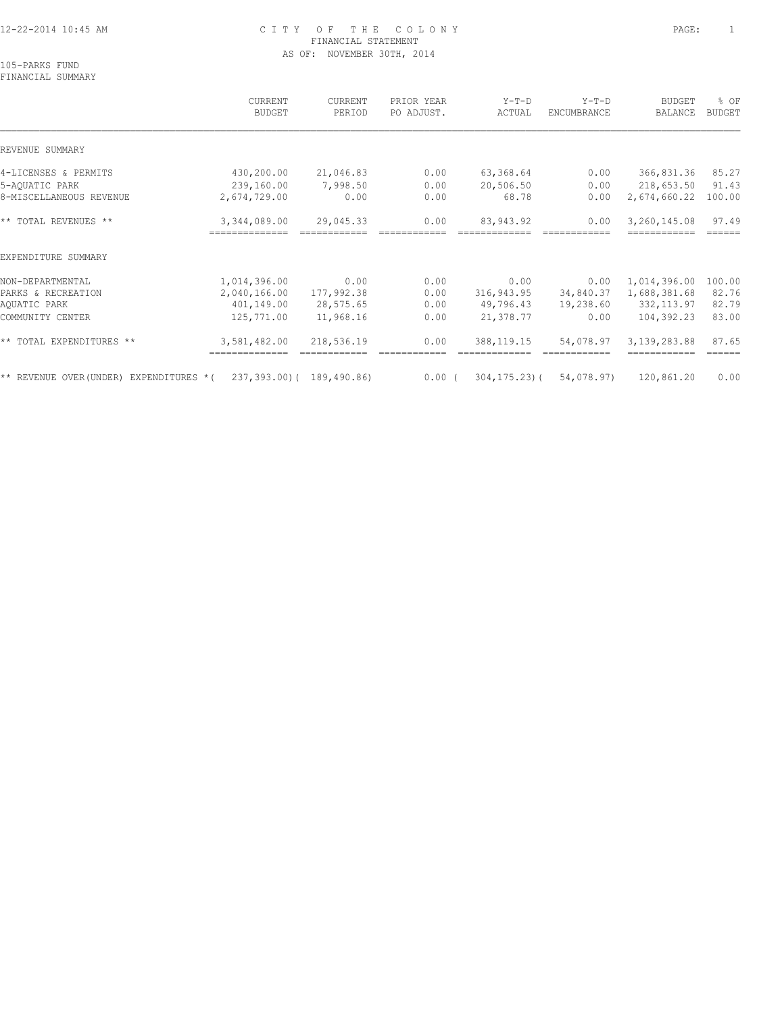### 12-22-2014 10:45 AM C I T Y O F T H E C O L O N Y PAGE: 1 FINANCIAL STATEMENT AS OF: NOVEMBER 30TH, 2014

105-PARKS FUND FINANCIAL SUMMARY

 CURRENT CURRENT PRIOR YEAR Y-T-D Y-T-D BUDGET % OF BUDGET PERIOD PO ADJUST. ACTUAL ENCUMBRANCE BALANCE BUDGET  $\mathcal{L} = \{ \mathcal{L} = \{ \mathcal{L} = \{ \mathcal{L} = \{ \mathcal{L} = \{ \mathcal{L} = \{ \mathcal{L} = \{ \mathcal{L} = \{ \mathcal{L} = \{ \mathcal{L} = \{ \mathcal{L} = \{ \mathcal{L} = \{ \mathcal{L} = \{ \mathcal{L} = \{ \mathcal{L} = \{ \mathcal{L} = \{ \mathcal{L} = \{ \mathcal{L} = \{ \mathcal{L} = \{ \mathcal{L} = \{ \mathcal{L} = \{ \mathcal{L} = \{ \mathcal{L} = \{ \mathcal{L} = \{ \mathcal{$ REVENUE SUMMARY 4-LICENSES & PERMITS 430,200.00 21,046.83 0.00 63,368.64 0.00 366,831.36 85.27 5-AQUATIC PARK 239,160.00 7,998.50 0.00 20,506.50 0.00 218,653.50 91.43 8-MISCELLANEOUS REVENUE 2,674,729.00 0.00 0.00 68.78 0.00 2,674,660.22 100.00 \*\* TOTAL REVENUES \*\* 3,344,089.00 29,045.33 0.00 83,943.92 0.00 3,260,145.08 97.49 ============== ============ ============ ============= ============ ============ ====== EXPENDITURE SUMMARY NON-DEPARTMENTAL 1,014,396.00 0.00 0.00 0.00 0.00 1,014,396.00 100.00 PARKS & RECREATION 2,040,166.00 177,992.38 0.00 316,943.95 34,840.37 1,688,381.68 82.76 AQUATIC PARK 401,149.00 28,575.65 0.00 49,796.43 19,238.60 332,113.97 82.79 COMMUNITY CENTER 125,771.00 11,968.16 0.00 21,378.77 0.00 104,392.23 83.00 \*\* TOTAL EXPENDITURES \*\* 3,581,482.00 218,536.19 0.00 388,119.15 54,078.97 3,139,283.88 87.65 ============== ============ ============ ============= ============ ============ ====== \*\* REVENUE OVER(UNDER) EXPENDITURES \*( 237,393.00)( 189,490.86) 0.00 ( 304,175.23)( 54,078.97) 120,861.20 0.00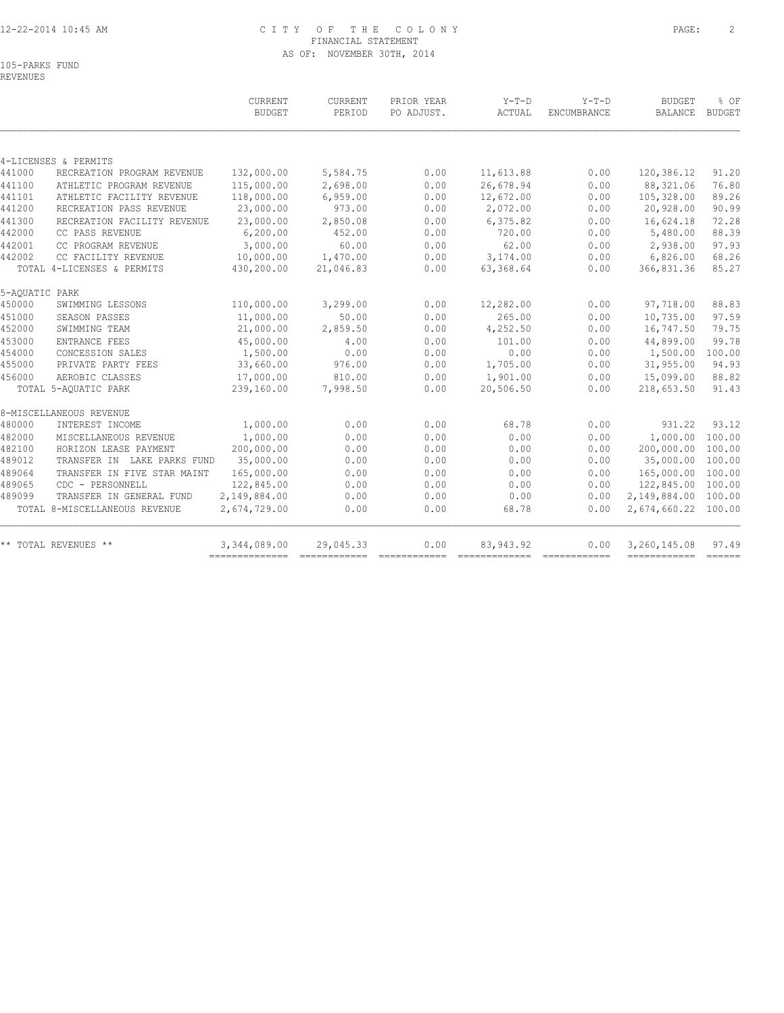# 12-22-2014 10:45 AM C I T Y O F T H E C O L O N Y PAGE: 2 FINANCIAL STATEMENT AS OF: NOVEMBER 30TH, 2014

105-PARKS FUND REVENUES

|                             | CURRENT<br><b>BUDGET</b>                                                                                                                                                                            | CURRENT<br>PERIOD                                                                                | PRIOR YEAR<br>PO ADJUST.         | $Y-T-D$<br>ACTUAL                    | $Y-T-D$<br>ENCUMBRANCE | <b>BUDGET</b><br><b>BALANCE</b>                                                                                                                                                                                                                                                                                                                                                                                                                                                                        | % OF<br><b>BUDGET</b>                                                                                                                                                                                                                                                                                                                                                                                                                                                                                                                                                                                  |
|-----------------------------|-----------------------------------------------------------------------------------------------------------------------------------------------------------------------------------------------------|--------------------------------------------------------------------------------------------------|----------------------------------|--------------------------------------|------------------------|--------------------------------------------------------------------------------------------------------------------------------------------------------------------------------------------------------------------------------------------------------------------------------------------------------------------------------------------------------------------------------------------------------------------------------------------------------------------------------------------------------|--------------------------------------------------------------------------------------------------------------------------------------------------------------------------------------------------------------------------------------------------------------------------------------------------------------------------------------------------------------------------------------------------------------------------------------------------------------------------------------------------------------------------------------------------------------------------------------------------------|
|                             |                                                                                                                                                                                                     |                                                                                                  |                                  |                                      |                        |                                                                                                                                                                                                                                                                                                                                                                                                                                                                                                        |                                                                                                                                                                                                                                                                                                                                                                                                                                                                                                                                                                                                        |
|                             |                                                                                                                                                                                                     |                                                                                                  |                                  |                                      |                        |                                                                                                                                                                                                                                                                                                                                                                                                                                                                                                        |                                                                                                                                                                                                                                                                                                                                                                                                                                                                                                                                                                                                        |
| RECREATION PROGRAM REVENUE  | 132,000.00                                                                                                                                                                                          | 5,584.75                                                                                         | 0.00                             | 11,613.88                            | 0.00                   | 120,386.12                                                                                                                                                                                                                                                                                                                                                                                                                                                                                             | 91.20                                                                                                                                                                                                                                                                                                                                                                                                                                                                                                                                                                                                  |
| ATHLETIC PROGRAM REVENUE    | 115,000.00                                                                                                                                                                                          | 2,698.00                                                                                         | 0.00                             | 26,678.94                            | 0.00                   | 88,321.06                                                                                                                                                                                                                                                                                                                                                                                                                                                                                              | 76.80                                                                                                                                                                                                                                                                                                                                                                                                                                                                                                                                                                                                  |
| ATHLETIC FACILITY REVENUE   | 118,000.00                                                                                                                                                                                          | 6,959.00                                                                                         | 0.00                             | 12,672.00                            | 0.00                   | 105,328.00                                                                                                                                                                                                                                                                                                                                                                                                                                                                                             | 89.26                                                                                                                                                                                                                                                                                                                                                                                                                                                                                                                                                                                                  |
| RECREATION PASS REVENUE     | 23,000.00                                                                                                                                                                                           | 973.00                                                                                           | 0.00                             | 2,072.00                             | 0.00                   | 20,928.00                                                                                                                                                                                                                                                                                                                                                                                                                                                                                              | 90.99                                                                                                                                                                                                                                                                                                                                                                                                                                                                                                                                                                                                  |
| RECREATION FACILITY REVENUE | 23,000.00                                                                                                                                                                                           | 2,850.08                                                                                         | 0.00                             | 6,375.82                             | 0.00                   | 16,624.18                                                                                                                                                                                                                                                                                                                                                                                                                                                                                              | 72.28                                                                                                                                                                                                                                                                                                                                                                                                                                                                                                                                                                                                  |
| CC PASS REVENUE             | 6, 200.00                                                                                                                                                                                           | 452.00                                                                                           | 0.00                             | 720.00                               | 0.00                   | 5,480.00                                                                                                                                                                                                                                                                                                                                                                                                                                                                                               | 88.39                                                                                                                                                                                                                                                                                                                                                                                                                                                                                                                                                                                                  |
| CC PROGRAM REVENUE          | 3,000.00                                                                                                                                                                                            | 60.00                                                                                            | 0.00                             | 62.00                                | 0.00                   | 2,938.00                                                                                                                                                                                                                                                                                                                                                                                                                                                                                               | 97.93                                                                                                                                                                                                                                                                                                                                                                                                                                                                                                                                                                                                  |
| CC FACILITY REVENUE         | 10,000.00                                                                                                                                                                                           |                                                                                                  | 0.00                             | 3,174.00                             | 0.00                   | 6,826.00                                                                                                                                                                                                                                                                                                                                                                                                                                                                                               | 68.26                                                                                                                                                                                                                                                                                                                                                                                                                                                                                                                                                                                                  |
|                             | 430,200.00                                                                                                                                                                                          | 21,046.83                                                                                        | 0.00                             | 63,368.64                            | 0.00                   | 366,831.36                                                                                                                                                                                                                                                                                                                                                                                                                                                                                             | 85.27                                                                                                                                                                                                                                                                                                                                                                                                                                                                                                                                                                                                  |
|                             |                                                                                                                                                                                                     |                                                                                                  |                                  |                                      |                        |                                                                                                                                                                                                                                                                                                                                                                                                                                                                                                        |                                                                                                                                                                                                                                                                                                                                                                                                                                                                                                                                                                                                        |
| SWIMMING LESSONS            | 110,000.00                                                                                                                                                                                          | 3,299.00                                                                                         | 0.00                             | 12,282.00                            | 0.00                   | 97,718.00                                                                                                                                                                                                                                                                                                                                                                                                                                                                                              | 88.83                                                                                                                                                                                                                                                                                                                                                                                                                                                                                                                                                                                                  |
| SEASON PASSES               | 11,000.00                                                                                                                                                                                           | 50.00                                                                                            | 0.00                             | 265.00                               | 0.00                   | 10,735.00                                                                                                                                                                                                                                                                                                                                                                                                                                                                                              | 97.59                                                                                                                                                                                                                                                                                                                                                                                                                                                                                                                                                                                                  |
| SWIMMING TEAM               | 21,000.00                                                                                                                                                                                           | 2,859.50                                                                                         | 0.00                             | 4,252.50                             | 0.00                   | 16,747.50                                                                                                                                                                                                                                                                                                                                                                                                                                                                                              | 79.75                                                                                                                                                                                                                                                                                                                                                                                                                                                                                                                                                                                                  |
| ENTRANCE FEES               | 45,000.00                                                                                                                                                                                           | 4.00                                                                                             | 0.00                             | 101.00                               | 0.00                   | 44,899.00                                                                                                                                                                                                                                                                                                                                                                                                                                                                                              | 99.78                                                                                                                                                                                                                                                                                                                                                                                                                                                                                                                                                                                                  |
| CONCESSION SALES            | 1,500.00                                                                                                                                                                                            | 0.00                                                                                             | 0.00                             | 0.00                                 | 0.00                   | 1,500.00                                                                                                                                                                                                                                                                                                                                                                                                                                                                                               | 100.00                                                                                                                                                                                                                                                                                                                                                                                                                                                                                                                                                                                                 |
| PRIVATE PARTY FEES          | 33,660.00                                                                                                                                                                                           | 976.00                                                                                           | 0.00                             | 1,705.00                             | 0.00                   | 31,955.00                                                                                                                                                                                                                                                                                                                                                                                                                                                                                              | 94.93                                                                                                                                                                                                                                                                                                                                                                                                                                                                                                                                                                                                  |
| AEROBIC CLASSES             | 17,000.00                                                                                                                                                                                           | 810.00                                                                                           | 0.00                             | 1,901.00                             | 0.00                   | 15,099.00                                                                                                                                                                                                                                                                                                                                                                                                                                                                                              | 88.82                                                                                                                                                                                                                                                                                                                                                                                                                                                                                                                                                                                                  |
|                             | 239,160.00                                                                                                                                                                                          | 7,998.50                                                                                         | 0.00                             | 20,506.50                            | 0.00                   | 218,653.50                                                                                                                                                                                                                                                                                                                                                                                                                                                                                             | 91.43                                                                                                                                                                                                                                                                                                                                                                                                                                                                                                                                                                                                  |
|                             |                                                                                                                                                                                                     |                                                                                                  |                                  |                                      |                        |                                                                                                                                                                                                                                                                                                                                                                                                                                                                                                        |                                                                                                                                                                                                                                                                                                                                                                                                                                                                                                                                                                                                        |
|                             |                                                                                                                                                                                                     |                                                                                                  |                                  |                                      |                        |                                                                                                                                                                                                                                                                                                                                                                                                                                                                                                        | 93.12                                                                                                                                                                                                                                                                                                                                                                                                                                                                                                                                                                                                  |
| MISCELLANEOUS REVENUE       |                                                                                                                                                                                                     | 0.00                                                                                             | 0.00                             | 0.00                                 | 0.00                   |                                                                                                                                                                                                                                                                                                                                                                                                                                                                                                        | 100.00                                                                                                                                                                                                                                                                                                                                                                                                                                                                                                                                                                                                 |
| HORIZON LEASE PAYMENT       |                                                                                                                                                                                                     |                                                                                                  |                                  |                                      |                        |                                                                                                                                                                                                                                                                                                                                                                                                                                                                                                        | 100.00                                                                                                                                                                                                                                                                                                                                                                                                                                                                                                                                                                                                 |
|                             |                                                                                                                                                                                                     |                                                                                                  |                                  |                                      | 0.00                   | 35,000.00                                                                                                                                                                                                                                                                                                                                                                                                                                                                                              | 100.00                                                                                                                                                                                                                                                                                                                                                                                                                                                                                                                                                                                                 |
| TRANSFER IN FIVE STAR MAINT | 165,000.00                                                                                                                                                                                          | 0.00                                                                                             | 0.00                             | 0.00                                 | 0.00                   | 165,000.00                                                                                                                                                                                                                                                                                                                                                                                                                                                                                             | 100.00                                                                                                                                                                                                                                                                                                                                                                                                                                                                                                                                                                                                 |
| CDC - PERSONNELL            | 122,845.00                                                                                                                                                                                          | 0.00                                                                                             | 0.00                             | 0.00                                 | 0.00                   |                                                                                                                                                                                                                                                                                                                                                                                                                                                                                                        |                                                                                                                                                                                                                                                                                                                                                                                                                                                                                                                                                                                                        |
| TRANSFER IN GENERAL FUND    | 2,149,884.00                                                                                                                                                                                        | 0.00                                                                                             | 0.00                             | 0.00                                 | 0.00                   |                                                                                                                                                                                                                                                                                                                                                                                                                                                                                                        |                                                                                                                                                                                                                                                                                                                                                                                                                                                                                                                                                                                                        |
|                             | 2,674,729.00                                                                                                                                                                                        | 0.00                                                                                             | 0.00                             | 68.78                                | 0.00                   |                                                                                                                                                                                                                                                                                                                                                                                                                                                                                                        |                                                                                                                                                                                                                                                                                                                                                                                                                                                                                                                                                                                                        |
|                             | 3,344,089.00                                                                                                                                                                                        | 29,045.33                                                                                        | 0.00                             | 83, 943. 92                          | 0.00                   | 3,260,145.08                                                                                                                                                                                                                                                                                                                                                                                                                                                                                           | 97.49<br>$\qquad \qquad \overline{\qquad \qquad }=\overline{\qquad \qquad }=\overline{\qquad \qquad }=\overline{\qquad \qquad }=\overline{\qquad \qquad }=\overline{\qquad \qquad }=\overline{\qquad \qquad }=\overline{\qquad \qquad }=\overline{\qquad \qquad }=\overline{\qquad \qquad }=\overline{\qquad \qquad }=\overline{\qquad \qquad }=\overline{\qquad \qquad }=\overline{\qquad \qquad }=\overline{\qquad \qquad }=\overline{\qquad \qquad }=\overline{\qquad \qquad }=\overline{\qquad \qquad }=\overline{\qquad \qquad }=\overline{\qquad \qquad }=\overline{\qquad \qquad }=\overline{\$ |
|                             | 4-LICENSES & PERMITS<br>TOTAL 4-LICENSES & PERMITS<br>5-AQUATIC PARK<br>TOTAL 5-AQUATIC PARK<br>8-MISCELLANEOUS REVENUE<br>INTEREST INCOME<br>TOTAL 8-MISCELLANEOUS REVENUE<br>** TOTAL REVENUES ** | 1,000.00<br>1,000.00<br>200,000.00<br>35,000.00<br>TRANSFER IN LAKE PARKS FUND<br>-------------- | 1,470.00<br>0.00<br>0.00<br>0.00 | 0.00<br>0.00<br>0.00<br>============ | 68.78<br>0.00<br>0.00  | 0.00<br>0.00<br>$\begin{array}{cccccccccc} \multicolumn{2}{c}{} & \multicolumn{2}{c}{} & \multicolumn{2}{c}{} & \multicolumn{2}{c}{} & \multicolumn{2}{c}{} & \multicolumn{2}{c}{} & \multicolumn{2}{c}{} & \multicolumn{2}{c}{} & \multicolumn{2}{c}{} & \multicolumn{2}{c}{} & \multicolumn{2}{c}{} & \multicolumn{2}{c}{} & \multicolumn{2}{c}{} & \multicolumn{2}{c}{} & \multicolumn{2}{c}{} & \multicolumn{2}{c}{} & \multicolumn{2}{c}{} & \multicolumn{2}{c}{} & \multicolumn{2}{c}{} & \mult$ | 931.22<br>1,000.00<br>200,000.00<br>122,845.00 100.00<br>2,149,884.00 100.00<br>2,674,660.22 100.00<br>------------                                                                                                                                                                                                                                                                                                                                                                                                                                                                                    |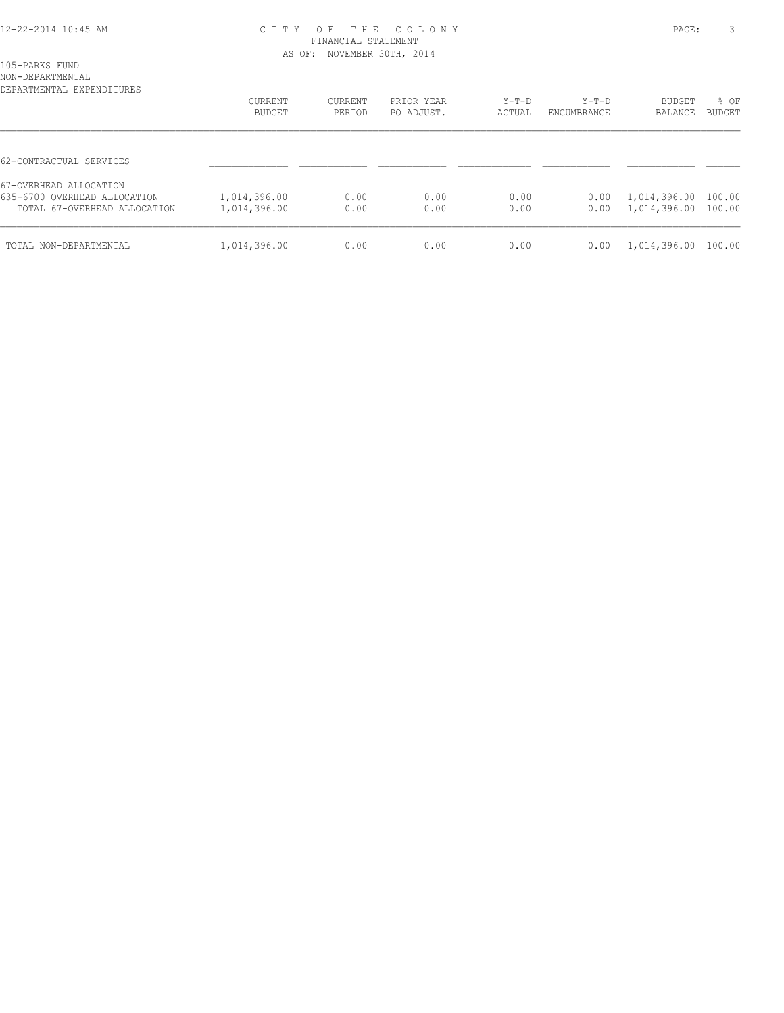### 12-22-2014 10:45 AM C I T Y O F T H E C O L O N Y PAGE: 3 FINANCIAL STATEMENT AS OF: NOVEMBER 30TH, 2014

| 105-PARKS<br>FUND |
|-------------------|
|                   |

NON-DEPARTMENTAL

| DEPARTMENTAL EXPENDITURES                                                              | CURRENT<br><b>BUDGET</b>     | CURRENT<br>PERIOD | PRIOR YEAR<br>PO ADJUST. | $Y-T-D$<br>ACTUAL | $Y-T-D$<br>ENCUMBRANCE | <b>BUDGET</b><br>BALANCE                   | % OF<br><b>BUDGET</b> |
|----------------------------------------------------------------------------------------|------------------------------|-------------------|--------------------------|-------------------|------------------------|--------------------------------------------|-----------------------|
| 62-CONTRACTUAL SERVICES                                                                |                              |                   |                          |                   |                        |                                            |                       |
| 67-OVERHEAD ALLOCATION<br>635-6700 OVERHEAD ALLOCATION<br>TOTAL 67-OVERHEAD ALLOCATION | 1,014,396.00<br>1,014,396.00 | 0.00<br>0.00      | 0.00<br>0.00             | 0.00<br>0.00      | 0.00<br>0.00           | 1,014,396.00 100.00<br>1,014,396.00 100.00 |                       |
| TOTAL NON-DEPARTMENTAL                                                                 | 1,014,396.00                 | 0.00              | 0.00                     | 0.00              | 0.00                   | 1,014,396.00 100.00                        |                       |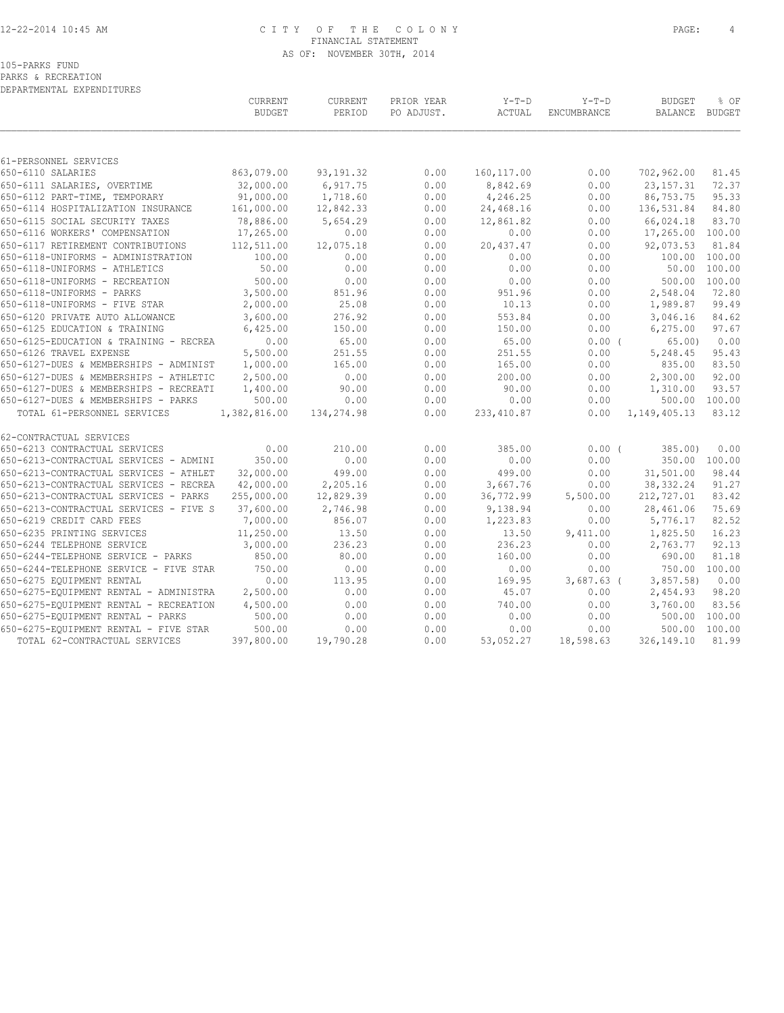### 12-22-2014 10:45 AM C I T Y O F T H E C O L O N Y PAGE: 4 FINANCIAL STATEMENT AS OF: NOVEMBER 30TH, 2014

105-PARKS FUND

PARKS & RECREATION

DEPARTMENTAL EXPENDITURES

|                                        | CURRENT<br><b>BUDGET</b> | <b>CURRENT</b><br>PERIOD | PRIOR YEAR<br>PO ADJUST. | $Y-T-D$<br>ACTUAL | $Y-T-D$<br>ENCUMBRANCE | <b>BUDGET</b><br><b>BALANCE</b> | % OF<br><b>BUDGET</b> |
|----------------------------------------|--------------------------|--------------------------|--------------------------|-------------------|------------------------|---------------------------------|-----------------------|
|                                        |                          |                          |                          |                   |                        |                                 |                       |
| 61-PERSONNEL SERVICES                  |                          |                          |                          |                   |                        |                                 |                       |
| 650-6110 SALARIES                      | 863,079.00               | 93, 191.32               | 0.00                     | 160, 117.00       | 0.00                   | 702,962.00                      | 81.45                 |
| 650-6111 SALARIES, OVERTIME            | 32,000.00                | 6,917.75                 | 0.00                     | 8,842.69          | 0.00                   | 23, 157. 31                     | 72.37                 |
| 650-6112 PART-TIME, TEMPORARY          | 91,000.00                | 1,718.60                 | 0.00                     | 4,246.25          | 0.00                   | 86,753.75                       | 95.33                 |
| 650-6114 HOSPITALIZATION INSURANCE     | 161,000.00               | 12,842.33                | 0.00                     | 24,468.16         | 0.00                   | 136,531.84                      | 84.80                 |
| 650-6115 SOCIAL SECURITY TAXES         | 78,886.00                | 5,654.29                 | 0.00                     | 12,861.82         | 0.00                   | 66,024.18                       | 83.70                 |
| 650-6116 WORKERS' COMPENSATION         | 17,265.00                | 0.00                     | 0.00                     | 0.00              | 0.00                   | 17,265.00                       | 100.00                |
| 650-6117 RETIREMENT CONTRIBUTIONS      | 112,511.00               | 12,075.18                | 0.00                     | 20,437.47         | 0.00                   | 92,073.53                       | 81.84                 |
| 650-6118-UNIFORMS - ADMINISTRATION     | 100.00                   | 0.00                     | 0.00                     | 0.00              | 0.00                   | 100.00 100.00                   |                       |
| 650-6118-UNIFORMS - ATHLETICS          | 50.00                    | 0.00                     | 0.00                     | 0.00              | 0.00                   | 50.00                           | 100.00                |
| 650-6118-UNIFORMS - RECREATION         | 500.00                   | 0.00                     | 0.00                     | 0.00              | 0.00                   | 500.00 100.00                   |                       |
| 650-6118-UNIFORMS - PARKS              | 3,500.00                 | 851.96                   | 0.00                     | 951.96            | 0.00                   | 2,548.04                        | 72.80                 |
| 650-6118-UNIFORMS - FIVE STAR          | 2,000.00                 | 25.08                    | 0.00                     | 10.13             | 0.00                   | 1,989.87                        | 99.49                 |
| 650-6120 PRIVATE AUTO ALLOWANCE        | 3,600.00                 | 276.92                   | 0.00                     | 553.84            | 0.00                   | 3,046.16                        | 84.62                 |
| 650-6125 EDUCATION & TRAINING          | 6,425.00                 | 150.00                   | 0.00                     | 150.00            | 0.00                   | 6, 275.00                       | 97.67                 |
| 650-6125-EDUCATION & TRAINING - RECREA | 0.00                     | 65.00                    | 0.00                     | 65.00             | 0.00(                  | 65.00                           | 0.00                  |
| 650-6126 TRAVEL EXPENSE                | 5,500.00                 | 251.55                   | 0.00                     | 251.55            | 0.00                   | 5,248.45                        | 95.43                 |
| 650-6127-DUES & MEMBERSHIPS - ADMINIST | 1,000.00                 | 165.00                   | 0.00                     | 165.00            | 0.00                   | 835.00                          | 83.50                 |
| 650-6127-DUES & MEMBERSHIPS - ATHLETIC | 2,500.00                 | 0.00                     | 0.00                     | 200.00            | 0.00                   | 2,300.00                        | 92.00                 |
| 650-6127-DUES & MEMBERSHIPS - RECREATI | 1,400.00                 | 90.00                    | 0.00                     | 90.00             | 0.00                   | 1,310.00                        | 93.57                 |
| 650-6127-DUES & MEMBERSHIPS - PARKS    | 500.00                   | 0.00                     | 0.00                     | 0.00              | 0.00                   |                                 | 500.00 100.00         |
|                                        |                          |                          |                          |                   |                        |                                 | 83.12                 |
| TOTAL 61-PERSONNEL SERVICES            | 1,382,816.00             | 134,274.98               | 0.00                     | 233, 410.87       | 0.00                   | 1, 149, 405. 13                 |                       |
| 62-CONTRACTUAL SERVICES                |                          |                          |                          |                   |                        |                                 |                       |
| 650-6213 CONTRACTUAL SERVICES          | 0.00                     | 210.00                   | 0.00                     | 385.00            | 0.00(                  | 385.00                          | 0.00                  |
| 650-6213-CONTRACTUAL SERVICES - ADMINI | 350.00                   | 0.00                     | 0.00                     | 0.00              | 0.00                   | 350.00 100.00                   |                       |
| 650-6213-CONTRACTUAL SERVICES - ATHLET | 32,000.00                | 499.00                   | 0.00                     | 499.00            | 0.00                   | 31,501.00                       | 98.44                 |
| 650-6213-CONTRACTUAL SERVICES - RECREA | 42,000.00                | 2,205.16                 | 0.00                     | 3,667.76          | 0.00                   | 38, 332.24                      | 91.27                 |
| 650-6213-CONTRACTUAL SERVICES - PARKS  | 255,000.00               | 12,829.39                | 0.00                     | 36,772.99         | 5,500.00               | 212,727.01                      | 83.42                 |
| 650-6213-CONTRACTUAL SERVICES - FIVE S | 37,600.00                | 2,746.98                 | 0.00                     | 9,138.94          | 0.00                   | 28,461.06                       | 75.69                 |
| 650-6219 CREDIT CARD FEES              | 7,000.00                 | 856.07                   | 0.00                     | 1,223.83          | 0.00                   | 5,776.17                        | 82.52                 |
| 650-6235 PRINTING SERVICES             | 11,250.00                | 13.50                    | 0.00                     | 13.50             | 9,411.00               | 1,825.50                        | 16.23                 |
| 650-6244 TELEPHONE SERVICE             | 3,000.00                 | 236.23                   | 0.00                     | 236.23            | 0.00                   | 2,763.77                        | 92.13                 |
| 650-6244-TELEPHONE SERVICE - PARKS     | 850.00                   | 80.00                    | 0.00                     | 160.00            | 0.00                   | 690.00                          | 81.18                 |
| 650-6244-TELEPHONE SERVICE - FIVE STAR | 750.00                   | 0.00                     | 0.00                     | 0.00              | 0.00                   | 750.00 100.00                   |                       |
| 650-6275 EQUIPMENT RENTAL              | 0.00                     | 113.95                   | 0.00                     | 169.95            | $3,687.63$ (           | 3,857.58                        | 0.00                  |
|                                        |                          | 0.00                     | 0.00                     |                   |                        |                                 | 98.20                 |
| 650-6275-EQUIPMENT RENTAL - ADMINISTRA | 2,500.00                 |                          |                          | 45.07             | 0.00                   | 2,454.93                        |                       |
| 650-6275-EQUIPMENT RENTAL - RECREATION | 4,500.00                 | 0.00                     | 0.00                     | 740.00            | 0.00                   | 3,760.00                        | 83.56                 |
| 650-6275-EQUIPMENT RENTAL - PARKS      | 500.00                   | 0.00                     | 0.00                     | 0.00              | 0.00                   |                                 | 500.00 100.00         |
| 650-6275-EQUIPMENT RENTAL - FIVE STAR  | 500.00                   | 0.00                     | 0.00                     | 0.00              | 0.00                   | 500.00                          | 100.00                |
| TOTAL 62-CONTRACTUAL SERVICES          | 397,800.00               | 19,790.28                | 0.00                     | 53,052.27         | 18,598.63              | 326,149.10                      | 81.99                 |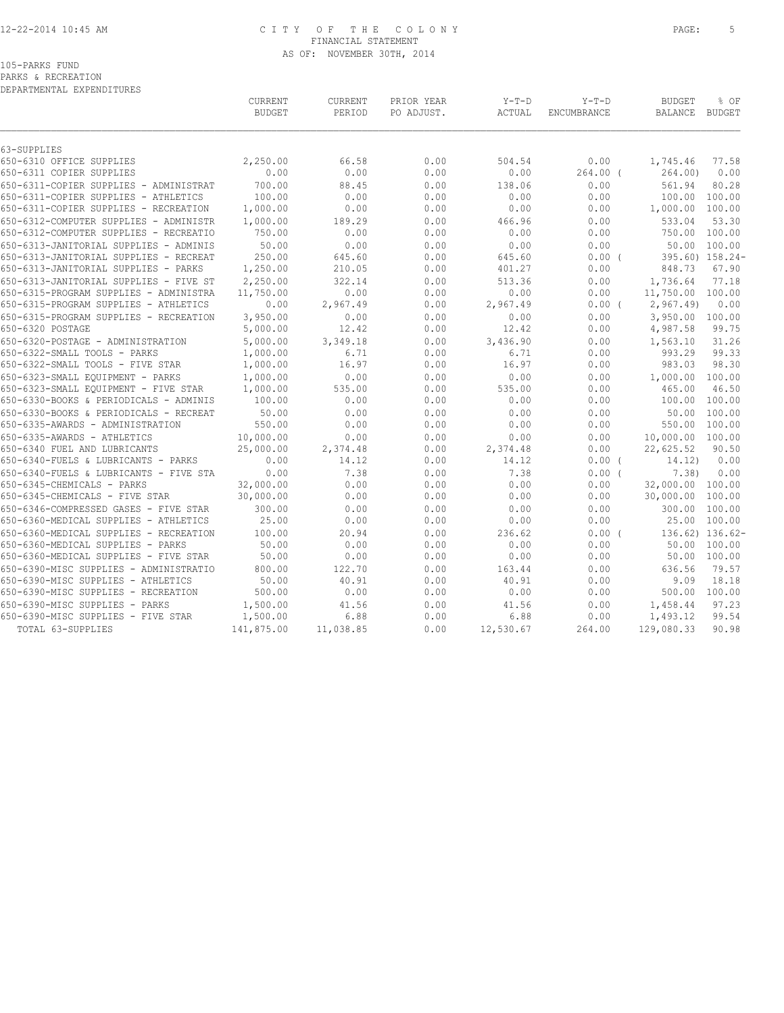## 12-22-2014 10:45 AM C I T Y O F T H E C O L O N Y PAGE: 5 FINANCIAL STATEMENT AS OF: NOVEMBER 30TH, 2014

105-PARKS FUND

PARKS & RECREATION

DEPARTMENTAL EXPENDITURES

|                                        | CURRENT<br><b>BUDGET</b> | CURRENT<br>PERIOD | PRIOR YEAR<br>PO ADJUST. | $Y-T-D$<br>ACTUAL | $Y-T-D$<br>ENCUMBRANCE | <b>BUDGET</b><br><b>BALANCE</b> | % OF<br>BUDGET  |
|----------------------------------------|--------------------------|-------------------|--------------------------|-------------------|------------------------|---------------------------------|-----------------|
| 63-SUPPLIES                            |                          |                   |                          |                   |                        |                                 |                 |
| 650-6310 OFFICE SUPPLIES               | 2,250.00                 | 66.58             | 0.00                     | 504.54            | 0.00                   | 1,745.46                        | 77.58           |
| 650-6311 COPIER SUPPLIES               | 0.00                     | 0.00              | 0.00                     | 0.00              | $264.00$ (             | 264.00)                         | 0.00            |
| 650-6311-COPIER SUPPLIES - ADMINISTRAT | 700.00                   | 88.45             | 0.00                     | 138.06            | 0.00                   | 561.94                          | 80.28           |
| 650-6311-COPIER SUPPLIES - ATHLETICS   | 100.00                   | 0.00              | 0.00                     | 0.00              | 0.00                   | 100.00                          | 100.00          |
| 650-6311-COPIER SUPPLIES - RECREATION  | 1,000.00                 | 0.00              | 0.00                     | 0.00              | 0.00                   | 1,000.00 100.00                 |                 |
| 650-6312-COMPUTER SUPPLIES - ADMINISTR | 1,000.00                 | 189.29            | 0.00                     | 466.96            | 0.00                   | 533.04                          | 53.30           |
| 650-6312-COMPUTER SUPPLIES - RECREATIO | 750.00                   | 0.00              | 0.00                     | 0.00              | 0.00                   | 750.00                          | 100.00          |
| 650-6313-JANITORIAL SUPPLIES - ADMINIS | 50.00                    | 0.00              | 0.00                     | 0.00              | 0.00                   |                                 | 50.00 100.00    |
| 650-6313-JANITORIAL SUPPLIES - RECREAT | 250.00                   | 645.60            | 0.00                     | 645.60            | $0.00$ (               |                                 | 395.60) 158.24- |
| 650-6313-JANITORIAL SUPPLIES - PARKS   | 1,250.00                 | 210.05            | 0.00                     | 401.27            | 0.00                   | 848.73                          | 67.90           |
| 650-6313-JANITORIAL SUPPLIES - FIVE ST | 2,250.00                 | 322.14            | 0.00                     | 513.36            | 0.00                   | 1,736.64                        | 77.18           |
| 650-6315-PROGRAM SUPPLIES - ADMINISTRA | 11,750.00                | 0.00              | 0.00                     | 0.00              | 0.00                   | 11,750.00 100.00                |                 |
| 650-6315-PROGRAM SUPPLIES - ATHLETICS  | 0.00                     | 2,967.49          | 0.00                     | 2,967.49          | $0.00$ (               | 2,967.49                        | 0.00            |
| 650-6315-PROGRAM SUPPLIES - RECREATION | 3,950.00                 | 0.00              | 0.00                     | 0.00              | 0.00                   | 3,950.00 100.00                 |                 |
| 650-6320 POSTAGE                       | 5,000.00                 | 12.42             | 0.00                     | 12.42             | 0.00                   | 4,987.58                        | 99.75           |
| 650-6320-POSTAGE - ADMINISTRATION      | 5,000.00                 | 3,349.18          | 0.00                     | 3,436.90          | 0.00                   | 1,563.10                        | 31.26           |
| 650-6322-SMALL TOOLS - PARKS           | 1,000.00                 | 6.71              | 0.00                     | 6.71              | 0.00                   | 993.29                          | 99.33           |
| 650-6322-SMALL TOOLS - FIVE STAR       | 1,000.00                 | 16.97             | 0.00                     | 16.97             | 0.00                   | 983.03                          | 98.30           |
| 650-6323-SMALL EQUIPMENT - PARKS       | 1,000.00                 | 0.00              | 0.00                     | 0.00              | 0.00                   | 1,000.00                        | 100.00          |
| 650-6323-SMALL EQUIPMENT - FIVE STAR   | 1,000.00                 | 535.00            | 0.00                     | 535.00            | 0.00                   | 465.00                          | 46.50           |
| 650-6330-BOOKS & PERIODICALS - ADMINIS | 100.00                   | 0.00              | 0.00                     | 0.00              | 0.00                   | 100.00                          | 100.00          |
| 650-6330-BOOKS & PERIODICALS - RECREAT | 50.00                    | 0.00              | 0.00                     | 0.00              | 0.00                   | 50.00                           | 100.00          |
| 650-6335-AWARDS - ADMINISTRATION       | 550.00                   | 0.00              | 0.00                     | 0.00              | 0.00                   | 550.00                          | 100.00          |
| 650-6335-AWARDS - ATHLETICS            | 10,000.00                | 0.00              | 0.00                     | 0.00              | 0.00                   | 10,000.00 100.00                |                 |
| 650-6340 FUEL AND LUBRICANTS           | 25,000.00                | 2,374.48          | 0.00                     | 2,374.48          | 0.00                   | 22,625.52                       | 90.50           |
| 650-6340-FUELS & LUBRICANTS - PARKS    | 0.00                     | 14.12             | 0.00                     | 14.12             | $0.00$ (               | 14.12)                          | 0.00            |
| 650-6340-FUELS & LUBRICANTS - FIVE STA | 0.00                     | 7.38              | 0.00                     | 7.38              | 0.00(                  | 7.38)                           | 0.00            |
| 650-6345-CHEMICALS - PARKS             | 32,000.00                | 0.00              | 0.00                     | 0.00              | 0.00                   | 32,000.00 100.00                |                 |
| 650-6345-CHEMICALS - FIVE STAR         | 30,000.00                | 0.00              | 0.00                     | 0.00              | 0.00                   | 30,000.00                       | 100.00          |
| 650-6346-COMPRESSED GASES - FIVE STAR  | 300.00                   | 0.00              | 0.00                     | 0.00              | 0.00                   | 300.00                          | 100.00          |
| 650-6360-MEDICAL SUPPLIES - ATHLETICS  | 25.00                    | 0.00              | 0.00                     | 0.00              | 0.00                   | 25.00                           | 100.00          |
| 650-6360-MEDICAL SUPPLIES - RECREATION | 100.00                   | 20.94             | 0.00                     | 236.62            | 0.00(                  |                                 | 136.62) 136.62- |
| 650-6360-MEDICAL SUPPLIES - PARKS      | 50.00                    | 0.00              | 0.00                     | 0.00              | 0.00                   | 50.00                           | 100.00          |
| 650-6360-MEDICAL SUPPLIES - FIVE STAR  | 50.00                    | 0.00              | 0.00                     | 0.00              | 0.00                   |                                 | 50.00 100.00    |
| 650-6390-MISC SUPPLIES - ADMINISTRATIO | 800.00                   | 122.70            | 0.00                     | 163.44            | 0.00                   | 636.56                          | 79.57           |
| 650-6390-MISC SUPPLIES - ATHLETICS     | 50.00                    | 40.91             | 0.00                     | 40.91             | 0.00                   | 9.09                            | 18.18           |
| 650-6390-MISC SUPPLIES - RECREATION    | 500.00                   | 0.00              | 0.00                     | 0.00              | 0.00                   | 500.00                          | 100.00          |
| 650-6390-MISC SUPPLIES - PARKS         | 1,500.00                 | 41.56             | 0.00                     | 41.56             | 0.00                   | 1,458.44                        | 97.23           |
| 650-6390-MISC SUPPLIES - FIVE STAR     | 1,500.00                 | 6.88              | 0.00                     | 6.88              | 0.00                   | 1,493.12                        | 99.54           |
| TOTAL 63-SUPPLIES                      | 141,875.00               | 11,038.85         | 0.00                     | 12,530.67         | 264.00                 | 129,080.33                      | 90.98           |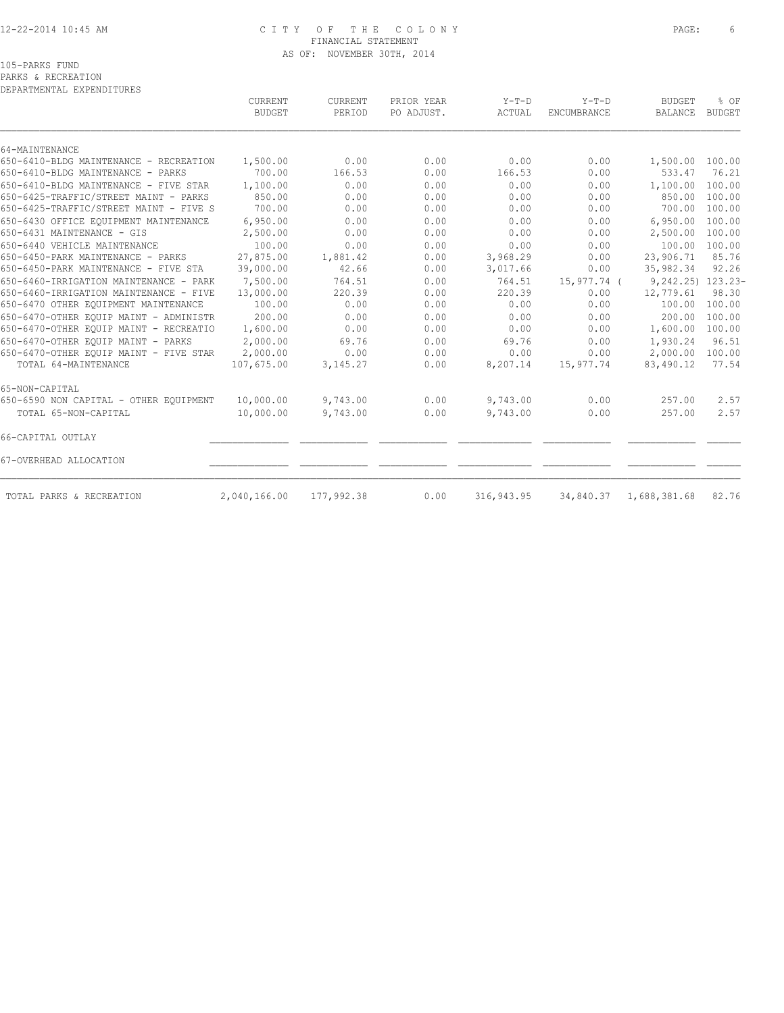# 12-22-2014 10:45 AM C I T Y O F T H E C O L O N Y PAGE: 6 FINANCIAL STATEMENT AS OF: NOVEMBER 30TH, 2014

| DEPARTMENTAL EXPENDITURES              |                          |                   |                          |                   |                        |                          |                       |
|----------------------------------------|--------------------------|-------------------|--------------------------|-------------------|------------------------|--------------------------|-----------------------|
|                                        | CURRENT<br><b>BUDGET</b> | CURRENT<br>PERIOD | PRIOR YEAR<br>PO ADJUST. | $Y-T-D$<br>ACTUAL | $Y-T-D$<br>ENCUMBRANCE | <b>BUDGET</b><br>BALANCE | % OF<br><b>BUDGET</b> |
| 64-MAINTENANCE                         |                          |                   |                          |                   |                        |                          |                       |
| 650-6410-BLDG MAINTENANCE - RECREATION | 1,500.00                 | 0.00              | 0.00                     | 0.00              | 0.00                   | 1,500.00                 | 100.00                |
| 650-6410-BLDG MAINTENANCE - PARKS      | 700.00                   | 166.53            | 0.00                     | 166.53            | 0.00                   | 533.47                   | 76.21                 |
| 650-6410-BLDG MAINTENANCE - FIVE STAR  | 1,100.00                 | 0.00              | 0.00                     | 0.00              | 0.00                   | 1,100.00                 | 100.00                |
| 650-6425-TRAFFIC/STREET MAINT - PARKS  | 850.00                   | 0.00              | 0.00                     | 0.00              | 0.00                   | 850.00                   | 100.00                |
| 650-6425-TRAFFIC/STREET MAINT - FIVE S | 700.00                   | 0.00              | 0.00                     | 0.00              | 0.00                   | 700.00                   | 100.00                |
| 650-6430 OFFICE EOUIPMENT MAINTENANCE  | 6,950.00                 | 0.00              | 0.00                     | 0.00              | 0.00                   | 6,950.00                 | 100.00                |
| 650-6431 MAINTENANCE - GIS             | 2,500.00                 | 0.00              | 0.00                     | 0.00              | 0.00                   | 2,500.00                 | 100.00                |
| 650-6440 VEHICLE MAINTENANCE           | 100.00                   | 0.00              | 0.00                     | 0.00              | 0.00                   | 100.00                   | 100.00                |
| 650-6450-PARK MAINTENANCE - PARKS      | 27,875.00                | 1,881.42          | 0.00                     | 3,968.29          | 0.00                   | 23,906.71                | 85.76                 |
| 650-6450-PARK MAINTENANCE - FIVE STA   | 39,000.00                | 42.66             | 0.00                     | 3,017.66          | 0.00                   | 35,982.34                | 92.26                 |
| 650-6460-IRRIGATION MAINTENANCE - PARK | 7,500.00                 | 764.51            | 0.00                     | 764.51            | 15,977.74 (            | $9,242.25)$ 123.23-      |                       |
| 650-6460-IRRIGATION MAINTENANCE - FIVE | 13,000.00                | 220.39            | 0.00                     | 220.39            | 0.00                   | 12,779.61                | 98.30                 |
| 650-6470 OTHER EQUIPMENT MAINTENANCE   | 100.00                   | 0.00              | 0.00                     | 0.00              | 0.00                   | 100.00                   | 100.00                |
| 650-6470-OTHER EOUIP MAINT - ADMINISTR | 200.00                   | 0.00              | 0.00                     | 0.00              | 0.00                   | 200.00                   | 100.00                |
| 650-6470-OTHER EQUIP MAINT - RECREATIO | 1,600.00                 | 0.00              | 0.00                     | 0.00              | 0.00                   | 1,600.00                 | 100.00                |
| 650-6470-OTHER EOUIP MAINT - PARKS     | 2,000.00                 | 69.76             | 0.00                     | 69.76             | 0.00                   | 1,930.24                 | 96.51                 |
| 650-6470-OTHER EQUIP MAINT - FIVE STAR | 2,000.00                 | 0.00              | 0.00                     | 0.00              | 0.00                   | 2,000.00                 | 100.00                |
| TOTAL 64-MAINTENANCE                   | 107,675.00               | 3, 145. 27        | 0.00                     | 8,207.14          | 15,977.74              | 83,490.12                | 77.54                 |
| 65-NON-CAPITAL                         |                          |                   |                          |                   |                        |                          |                       |
| 650-6590 NON CAPITAL - OTHER EQUIPMENT | 10,000.00                | 9,743.00          | 0.00                     | 9,743.00          | 0.00                   | 257.00                   | 2.57                  |
| TOTAL 65-NON-CAPITAL                   | 10,000.00                | 9,743.00          | 0.00                     | 9,743.00          | 0.00                   | 257.00                   | 2.57                  |

66-CAPITAL OUTLAY \_\_\_\_\_\_\_\_\_\_\_\_\_\_ \_\_\_\_\_\_\_\_\_\_\_\_ \_\_\_\_\_\_\_\_\_\_\_\_ \_\_\_\_\_\_\_\_\_\_\_\_\_ \_\_\_\_\_\_\_\_\_\_\_\_ \_\_\_\_\_\_\_\_\_\_\_\_ \_\_\_\_\_\_

67-OVERHEAD ALLOCATION \_\_\_\_\_\_\_\_\_\_\_\_\_\_ \_\_\_\_\_\_\_\_\_\_\_\_ \_\_\_\_\_\_\_\_\_\_\_\_ \_\_\_\_\_\_\_\_\_\_\_\_\_ \_\_\_\_\_\_\_\_\_\_\_\_ \_\_\_\_\_\_\_\_\_\_\_\_ \_\_\_\_\_\_

TOTAL PARKS & RECREATION 2,040,166.00 177,992.38 0.00 316,943.95 34,840.37 1,688,381.68 82.76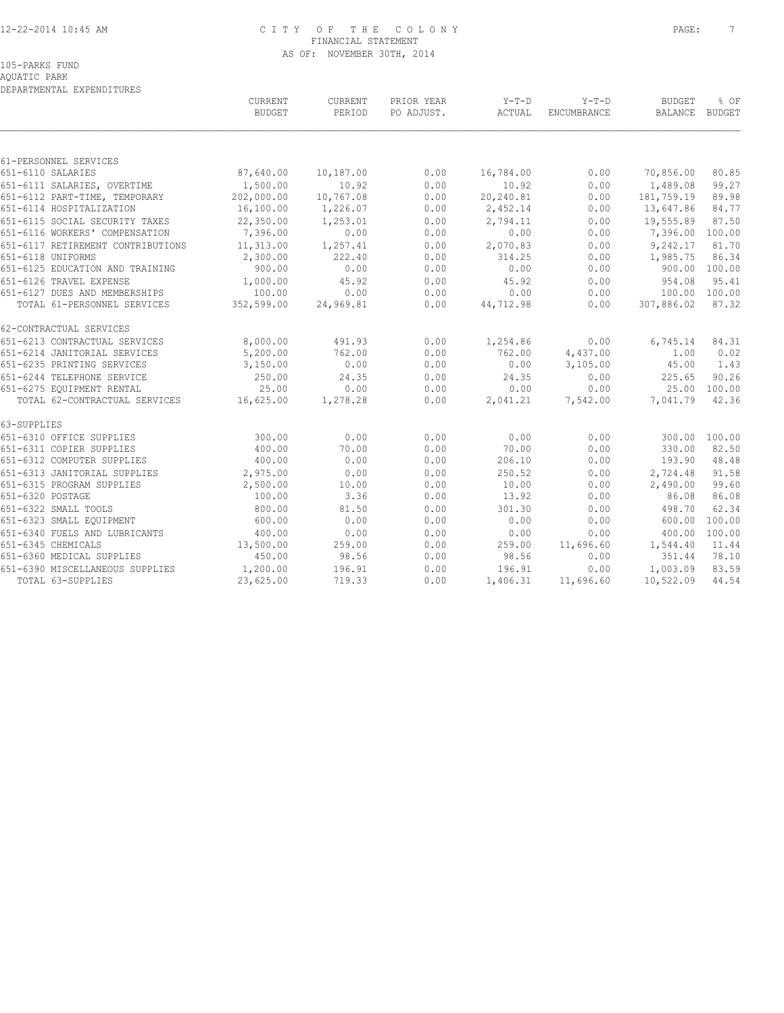# 12-22-2014 10:45 AM C I T Y O F T H E C O L O N Y PAGE: 7 FINANCIAL STATEMENT AS OF: NOVEMBER 30TH, 2014

# 105-PARKS FUND

AQUATIC PARK

| DEPARTMENTAL EXPENDITURES                  |                          |                   |                          |                   |                        |                          |                |
|--------------------------------------------|--------------------------|-------------------|--------------------------|-------------------|------------------------|--------------------------|----------------|
|                                            | CURRENT<br><b>BUDGET</b> | CURRENT<br>PERIOD | PRIOR YEAR<br>PO ADJUST. | $Y-T-D$<br>ACTUAL | $Y-T-D$<br>ENCUMBRANCE | <b>BUDGET</b><br>BALANCE | % OF<br>BUDGET |
|                                            |                          |                   |                          |                   |                        |                          |                |
| 61-PERSONNEL SERVICES<br>651-6110 SALARIES | 87,640.00                | 10,187.00         | 0.00                     | 16,784.00         | 0.00                   | 70,856.00                | 80.85          |
|                                            |                          | 10.92             |                          | 10.92             |                        |                          |                |
| 651-6111 SALARIES, OVERTIME                | 1,500.00<br>202,000.00   | 10,767.08         | 0.00<br>0.00             |                   | 0.00<br>0.00           | 1,489.08<br>181,759.19   | 99.27<br>89.98 |
| 651-6112 PART-TIME, TEMPORARY              | 16,100.00                | 1,226.07          | 0.00                     | 20,240.81         |                        | 13,647.86                | 84.77          |
| 651-6114 HOSPITALIZATION                   |                          |                   |                          | 2,452.14          | 0.00                   |                          |                |
| 651-6115 SOCIAL SECURITY TAXES             | 22,350.00                | 1,253.01          | 0.00                     | 2,794.11          | 0.00                   | 19,555.89                | 87.50          |
| 651-6116 WORKERS' COMPENSATION             | 7,396.00                 | 0.00              | 0.00                     | 0.00              | 0.00                   | 7,396.00                 | 100.00         |
| 651-6117 RETIREMENT CONTRIBUTIONS          | 11,313.00                | 1,257.41          | 0.00                     | 2,070.83          | 0.00                   | 9,242.17                 | 81.70          |
| 651-6118 UNIFORMS                          | 2,300.00                 | 222.40            | 0.00                     | 314.25            | 0.00                   | 1,985.75                 | 86.34          |
| 651-6125 EDUCATION AND TRAINING            | 900.00                   | 0.00              | 0.00                     | 0.00              | 0.00                   |                          | 900.00 100.00  |
| 651-6126 TRAVEL EXPENSE                    | 1,000.00                 | 45.92             | 0.00                     | 45.92             | 0.00                   | 954.08                   | 95.41          |
| 651-6127 DUES AND MEMBERSHIPS              | 100.00                   | 0.00              | 0.00                     | 0.00              | 0.00                   | 100.00                   | 100.00         |
| TOTAL 61-PERSONNEL SERVICES                | 352,599.00               | 24,969.81         | 0.00                     | 44,712.98         | 0.00                   | 307,886.02               | 87.32          |
| 62-CONTRACTUAL SERVICES                    |                          |                   |                          |                   |                        |                          |                |
| 651-6213 CONTRACTUAL SERVICES              | 8,000.00                 | 491.93            | 0.00                     | 1,254.86          | 0.00                   | 6,745.14                 | 84.31          |
| 651-6214 JANITORIAL SERVICES               | 5,200.00                 | 762.00            | 0.00                     | 762.00            | 4,437.00               | 1.00                     | 0.02           |
| 651-6235 PRINTING SERVICES                 | 3,150.00                 | 0.00              | 0.00                     | 0.00              | 3,105.00               | 45.00                    | 1.43           |
| 651-6244 TELEPHONE SERVICE                 | 250.00                   | 24.35             | 0.00                     | 24.35             | 0.00                   | 225.65                   | 90.26          |
| 651-6275 EQUIPMENT RENTAL                  | 25.00                    | 0.00              | 0.00                     | 0.00              | 0.00                   |                          | 25.00 100.00   |
| TOTAL 62-CONTRACTUAL SERVICES              | 16,625.00                | 1,278.28          | 0.00                     | 2,041.21          | 7,542.00               | 7,041.79                 | 42.36          |
| 63-SUPPLIES                                |                          |                   |                          |                   |                        |                          |                |
| 651-6310 OFFICE SUPPLIES                   | 300.00                   | 0.00              | 0.00                     | 0.00              | 0.00                   | 300.00                   | 100.00         |
| 651-6311 COPIER SUPPLIES                   | 400.00                   | 70.00             | 0.00                     | 70.00             | 0.00                   | 330.00                   | 82.50          |
| 651-6312 COMPUTER SUPPLIES                 | 400.00                   | 0.00              | 0.00                     | 206.10            | 0.00                   | 193.90                   | 48.48          |
| 651-6313 JANITORIAL SUPPLIES               | 2,975.00                 | 0.00              | 0.00                     | 250.52            | 0.00                   | 2,724.48                 | 91.58          |
| 651-6315 PROGRAM SUPPLIES                  | 2,500.00                 | 10.00             | 0.00                     | 10.00             | 0.00                   | 2,490.00                 | 99.60          |
| 651-6320 POSTAGE                           | 100.00                   | 3.36              | 0.00                     | 13.92             | 0.00                   | 86.08                    | 86.08          |
| 651-6322 SMALL TOOLS                       | 800.00                   | 81.50             | 0.00                     | 301.30            | 0.00                   | 498.70                   | 62.34          |
| 651-6323 SMALL EQUIPMENT                   | 600.00                   | 0.00              | 0.00                     | 0.00              | 0.00                   | 600.00                   | 100.00         |
| 651-6340 FUELS AND LUBRICANTS              | 400.00                   | 0.00              | 0.00                     | 0.00              | 0.00                   | 400.00                   | 100.00         |
| 651-6345 CHEMICALS                         | 13,500.00                | 259.00            | 0.00                     | 259.00            | 11,696.60              | 1,544.40                 | 11.44          |
| 651-6360 MEDICAL SUPPLIES                  | 450.00                   | 98.56             | 0.00                     | 98.56             | 0.00                   | 351.44                   | 78.10          |
| 651-6390 MISCELLANEOUS SUPPLIES            | 1,200.00                 | 196.91            | 0.00                     | 196.91            | 0.00                   | 1,003.09                 | 83.59          |
| TOTAL 63-SUPPLIES                          | 23,625.00                | 719.33            | 0.00                     | 1,406.31          | 11,696.60              | 10,522.09                | 44.54          |
|                                            |                          |                   |                          |                   |                        |                          |                |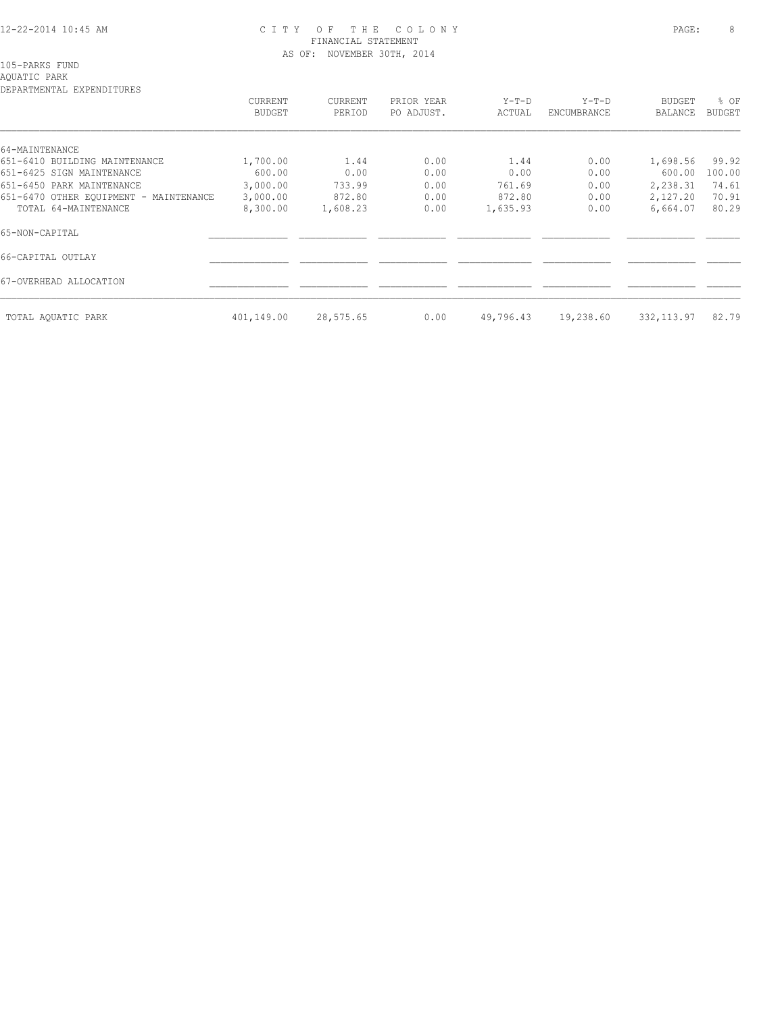#### 12-22-2014 10:45 AM C I T Y O F T H E C O L O N Y PAGE: 8 FINANCIAL STATEMENT AS OF: NOVEMBER 30TH, 2014

105-PARKS FUND

# AQUATIC PARK

| DEPARTMENTAL EXPENDITURES              |               |           |            |           |             |               |               |
|----------------------------------------|---------------|-----------|------------|-----------|-------------|---------------|---------------|
|                                        | CURRENT       | CURRENT   | PRIOR YEAR | $Y-T-D$   | $Y-T-D$     | <b>BUDGET</b> | % OF          |
|                                        | <b>BUDGET</b> | PERIOD    | PO ADJUST. | ACTUAL    | ENCUMBRANCE | BALANCE       | <b>BUDGET</b> |
|                                        |               |           |            |           |             |               |               |
| 64-MAINTENANCE                         |               |           |            |           |             |               |               |
| 651-6410 BUILDING MAINTENANCE          | 1,700.00      | 1.44      | 0.00       | 1.44      | 0.00        | 1,698.56      | 99.92         |
| 651-6425 SIGN MAINTENANCE              | 600.00        | 0.00      | 0.00       | 0.00      | 0.00        | 600.00        | 100.00        |
| 651-6450 PARK MAINTENANCE              | 3,000.00      | 733.99    | 0.00       | 761.69    | 0.00        | 2,238.31      | 74.61         |
| 651-6470 OTHER EQUIPMENT - MAINTENANCE | 3,000.00      | 872.80    | 0.00       | 872.80    | 0.00        | 2,127.20      | 70.91         |
| TOTAL 64-MAINTENANCE                   | 8,300.00      | 1,608.23  | 0.00       | 1,635.93  | 0.00        | 6,664.07      | 80.29         |
| 65-NON-CAPITAL                         |               |           |            |           |             |               |               |
| 66-CAPITAL OUTLAY                      |               |           |            |           |             |               |               |
| 67-OVERHEAD ALLOCATION                 |               |           |            |           |             |               |               |
| TOTAL AOUATIC PARK                     | 401,149.00    | 28,575.65 | 0.00       | 49,796.43 | 19,238.60   | 332, 113.97   | 82.79         |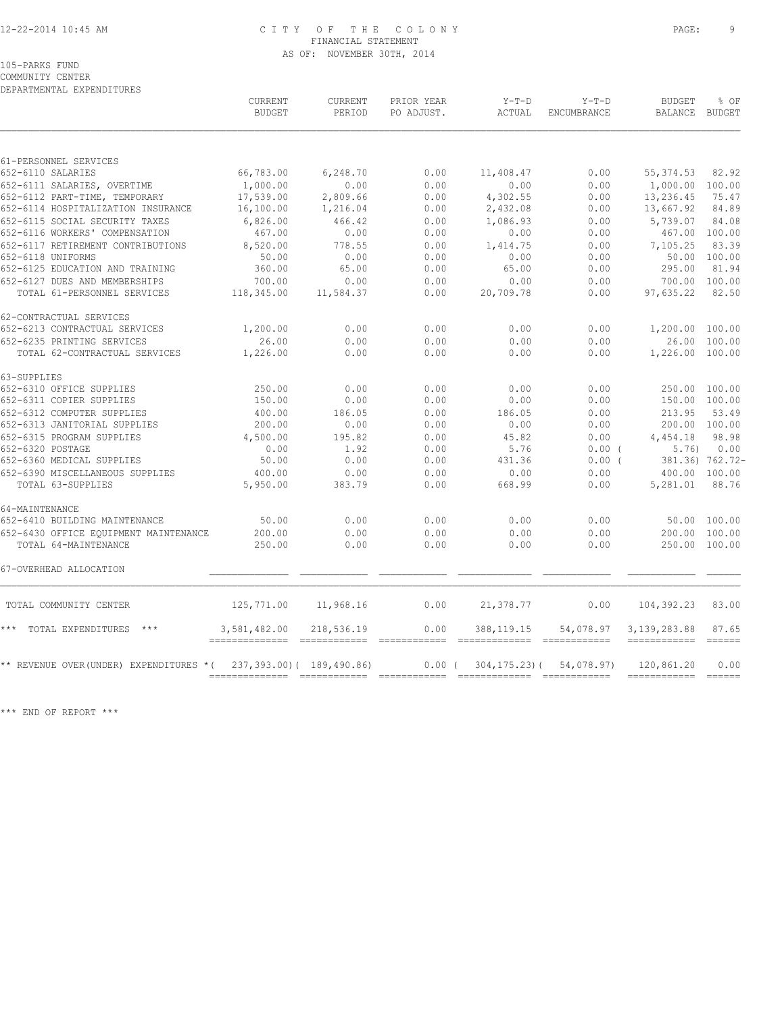#### 12-22-2014 10:45 AM C I T Y O F T H E C O L O N Y PAGE: 9 FINANCIAL STATEMENT AS OF: NOVEMBER 30TH, 2014

105-PARKS FUND

COMMUNITY CENTER DEPARTMENTAL EXPENDITURES

|                                        | <b>CURRENT</b><br><b>BUDGET</b> | <b>CURRENT</b><br>PERIOD  | PRIOR YEAR<br>PO ADJUST.                                                                                                                                                                                                                                                                                                                                                                                                                                                              | $Y-T-D$<br>ACTUAL                                                                                                                                                                                                                                                                                                                                                                                                                                                                                      | $Y-T-D$<br><b>ENCUMBRANCE</b> | <b>BUDGET</b><br><b>BALANCE</b>                                                                                                                                                                                                                                                                                                                                                                                                                                                        | % OF<br>BUDGET                   |
|----------------------------------------|---------------------------------|---------------------------|---------------------------------------------------------------------------------------------------------------------------------------------------------------------------------------------------------------------------------------------------------------------------------------------------------------------------------------------------------------------------------------------------------------------------------------------------------------------------------------|--------------------------------------------------------------------------------------------------------------------------------------------------------------------------------------------------------------------------------------------------------------------------------------------------------------------------------------------------------------------------------------------------------------------------------------------------------------------------------------------------------|-------------------------------|----------------------------------------------------------------------------------------------------------------------------------------------------------------------------------------------------------------------------------------------------------------------------------------------------------------------------------------------------------------------------------------------------------------------------------------------------------------------------------------|----------------------------------|
|                                        |                                 |                           |                                                                                                                                                                                                                                                                                                                                                                                                                                                                                       |                                                                                                                                                                                                                                                                                                                                                                                                                                                                                                        |                               |                                                                                                                                                                                                                                                                                                                                                                                                                                                                                        |                                  |
| 61-PERSONNEL SERVICES                  |                                 |                           |                                                                                                                                                                                                                                                                                                                                                                                                                                                                                       |                                                                                                                                                                                                                                                                                                                                                                                                                                                                                                        |                               |                                                                                                                                                                                                                                                                                                                                                                                                                                                                                        |                                  |
| 652-6110 SALARIES                      | 66,783.00                       | 6,248.70                  | 0.00                                                                                                                                                                                                                                                                                                                                                                                                                                                                                  | 11,408.47                                                                                                                                                                                                                                                                                                                                                                                                                                                                                              | 0.00                          | 55, 374.53                                                                                                                                                                                                                                                                                                                                                                                                                                                                             | 82.92                            |
| 652-6111 SALARIES, OVERTIME            | 1,000.00                        | 0.00                      | 0.00                                                                                                                                                                                                                                                                                                                                                                                                                                                                                  | 0.00                                                                                                                                                                                                                                                                                                                                                                                                                                                                                                   | 0.00                          | 1,000.00 100.00                                                                                                                                                                                                                                                                                                                                                                                                                                                                        |                                  |
| 652-6112 PART-TIME, TEMPORARY          | 17,539.00                       | 2,809.66                  | 0.00                                                                                                                                                                                                                                                                                                                                                                                                                                                                                  | 4,302.55                                                                                                                                                                                                                                                                                                                                                                                                                                                                                               | 0.00                          | 13,236.45                                                                                                                                                                                                                                                                                                                                                                                                                                                                              | 75.47                            |
| 652-6114 HOSPITALIZATION INSURANCE     | 16,100.00                       | 1,216.04                  | 0.00                                                                                                                                                                                                                                                                                                                                                                                                                                                                                  | 2,432.08                                                                                                                                                                                                                                                                                                                                                                                                                                                                                               | 0.00                          | 13,667.92                                                                                                                                                                                                                                                                                                                                                                                                                                                                              | 84.89                            |
| 652-6115 SOCIAL SECURITY TAXES         | 6,826.00                        | 466.42                    | 0.00                                                                                                                                                                                                                                                                                                                                                                                                                                                                                  | 1,086.93                                                                                                                                                                                                                                                                                                                                                                                                                                                                                               | 0.00                          | 5,739.07                                                                                                                                                                                                                                                                                                                                                                                                                                                                               | 84.08                            |
| 652-6116 WORKERS' COMPENSATION         | 467.00                          | 0.00                      | 0.00                                                                                                                                                                                                                                                                                                                                                                                                                                                                                  | 0.00                                                                                                                                                                                                                                                                                                                                                                                                                                                                                                   | 0.00                          | 467.00 100.00                                                                                                                                                                                                                                                                                                                                                                                                                                                                          |                                  |
| 652-6117 RETIREMENT CONTRIBUTIONS      | 8,520.00                        | 778.55                    | 0.00                                                                                                                                                                                                                                                                                                                                                                                                                                                                                  | 1,414.75                                                                                                                                                                                                                                                                                                                                                                                                                                                                                               | 0.00                          | 7,105.25                                                                                                                                                                                                                                                                                                                                                                                                                                                                               | 83.39                            |
| 652-6118 UNIFORMS                      | 50.00                           | 0.00                      | 0.00                                                                                                                                                                                                                                                                                                                                                                                                                                                                                  | 0.00                                                                                                                                                                                                                                                                                                                                                                                                                                                                                                   | 0.00                          |                                                                                                                                                                                                                                                                                                                                                                                                                                                                                        | 50.00 100.00                     |
| 652-6125 EDUCATION AND TRAINING        | 360.00                          | 65.00                     | 0.00                                                                                                                                                                                                                                                                                                                                                                                                                                                                                  | 65.00                                                                                                                                                                                                                                                                                                                                                                                                                                                                                                  | 0.00                          | 295.00                                                                                                                                                                                                                                                                                                                                                                                                                                                                                 | 81.94                            |
| 652-6127 DUES AND MEMBERSHIPS          | 700.00                          | 0.00                      | 0.00                                                                                                                                                                                                                                                                                                                                                                                                                                                                                  | 0.00                                                                                                                                                                                                                                                                                                                                                                                                                                                                                                   | 0.00                          | 700.00 100.00                                                                                                                                                                                                                                                                                                                                                                                                                                                                          |                                  |
| TOTAL 61-PERSONNEL SERVICES            | 118,345.00                      | 11,584.37                 | 0.00                                                                                                                                                                                                                                                                                                                                                                                                                                                                                  | 20,709.78                                                                                                                                                                                                                                                                                                                                                                                                                                                                                              | 0.00                          | 97,635.22                                                                                                                                                                                                                                                                                                                                                                                                                                                                              | 82.50                            |
| 62-CONTRACTUAL SERVICES                |                                 |                           |                                                                                                                                                                                                                                                                                                                                                                                                                                                                                       |                                                                                                                                                                                                                                                                                                                                                                                                                                                                                                        |                               |                                                                                                                                                                                                                                                                                                                                                                                                                                                                                        |                                  |
| 652-6213 CONTRACTUAL SERVICES          | 1,200.00                        | 0.00                      | 0.00                                                                                                                                                                                                                                                                                                                                                                                                                                                                                  | 0.00                                                                                                                                                                                                                                                                                                                                                                                                                                                                                                   | 0.00                          | 1,200.00 100.00                                                                                                                                                                                                                                                                                                                                                                                                                                                                        |                                  |
| 652-6235 PRINTING SERVICES             | 26.00                           | 0.00                      | 0.00                                                                                                                                                                                                                                                                                                                                                                                                                                                                                  | 0.00                                                                                                                                                                                                                                                                                                                                                                                                                                                                                                   | 0.00                          |                                                                                                                                                                                                                                                                                                                                                                                                                                                                                        | 26.00 100.00                     |
| TOTAL 62-CONTRACTUAL SERVICES          | 1,226.00                        | 0.00                      | 0.00                                                                                                                                                                                                                                                                                                                                                                                                                                                                                  | 0.00                                                                                                                                                                                                                                                                                                                                                                                                                                                                                                   | 0.00                          | 1,226.00 100.00                                                                                                                                                                                                                                                                                                                                                                                                                                                                        |                                  |
| 63-SUPPLIES                            |                                 |                           |                                                                                                                                                                                                                                                                                                                                                                                                                                                                                       |                                                                                                                                                                                                                                                                                                                                                                                                                                                                                                        |                               |                                                                                                                                                                                                                                                                                                                                                                                                                                                                                        |                                  |
| 652-6310 OFFICE SUPPLIES               | 250.00                          | 0.00                      | 0.00                                                                                                                                                                                                                                                                                                                                                                                                                                                                                  | 0.00                                                                                                                                                                                                                                                                                                                                                                                                                                                                                                   | 0.00                          | 250.00 100.00                                                                                                                                                                                                                                                                                                                                                                                                                                                                          |                                  |
| 652-6311 COPIER SUPPLIES               | 150.00                          | 0.00                      | 0.00                                                                                                                                                                                                                                                                                                                                                                                                                                                                                  | 0.00                                                                                                                                                                                                                                                                                                                                                                                                                                                                                                   | 0.00                          | 150.00 100.00                                                                                                                                                                                                                                                                                                                                                                                                                                                                          |                                  |
| 652-6312 COMPUTER SUPPLIES             | 400.00                          | 186.05                    | 0.00                                                                                                                                                                                                                                                                                                                                                                                                                                                                                  | 186.05                                                                                                                                                                                                                                                                                                                                                                                                                                                                                                 | 0.00                          | 213.95                                                                                                                                                                                                                                                                                                                                                                                                                                                                                 | 53.49                            |
| 652-6313 JANITORIAL SUPPLIES           | 200.00                          | 0.00                      | 0.00                                                                                                                                                                                                                                                                                                                                                                                                                                                                                  | 0.00                                                                                                                                                                                                                                                                                                                                                                                                                                                                                                   | 0.00                          | 200.00 100.00                                                                                                                                                                                                                                                                                                                                                                                                                                                                          |                                  |
| 652-6315 PROGRAM SUPPLIES              | 4,500.00                        | 195.82                    | 0.00                                                                                                                                                                                                                                                                                                                                                                                                                                                                                  | 45.82                                                                                                                                                                                                                                                                                                                                                                                                                                                                                                  | 0.00                          | 4,454.18                                                                                                                                                                                                                                                                                                                                                                                                                                                                               | 98.98                            |
| 652-6320 POSTAGE                       | 0.00                            | 1.92                      | 0.00                                                                                                                                                                                                                                                                                                                                                                                                                                                                                  | 5.76                                                                                                                                                                                                                                                                                                                                                                                                                                                                                                   | $0.00$ (                      | 5.76)                                                                                                                                                                                                                                                                                                                                                                                                                                                                                  | 0.00                             |
| 652-6360 MEDICAL SUPPLIES              | 50.00                           | 0.00                      | 0.00                                                                                                                                                                                                                                                                                                                                                                                                                                                                                  | 431.36                                                                                                                                                                                                                                                                                                                                                                                                                                                                                                 | $0.00$ (                      |                                                                                                                                                                                                                                                                                                                                                                                                                                                                                        | 381.36) 762.72-                  |
| 652-6390 MISCELLANEOUS SUPPLIES        | 400.00                          | 0.00                      | 0.00                                                                                                                                                                                                                                                                                                                                                                                                                                                                                  | 0.00                                                                                                                                                                                                                                                                                                                                                                                                                                                                                                   | 0.00                          | 400.00 100.00                                                                                                                                                                                                                                                                                                                                                                                                                                                                          |                                  |
| TOTAL 63-SUPPLIES                      | 5,950.00                        | 383.79                    | 0.00                                                                                                                                                                                                                                                                                                                                                                                                                                                                                  | 668.99                                                                                                                                                                                                                                                                                                                                                                                                                                                                                                 | 0.00                          | 5,281.01                                                                                                                                                                                                                                                                                                                                                                                                                                                                               | 88.76                            |
| 64-MAINTENANCE                         |                                 |                           |                                                                                                                                                                                                                                                                                                                                                                                                                                                                                       |                                                                                                                                                                                                                                                                                                                                                                                                                                                                                                        |                               |                                                                                                                                                                                                                                                                                                                                                                                                                                                                                        |                                  |
| 652-6410 BUILDING MAINTENANCE          | 50.00                           | 0.00                      | 0.00                                                                                                                                                                                                                                                                                                                                                                                                                                                                                  | 0.00                                                                                                                                                                                                                                                                                                                                                                                                                                                                                                   | 0.00                          |                                                                                                                                                                                                                                                                                                                                                                                                                                                                                        | 50.00 100.00                     |
| 652-6430 OFFICE EQUIPMENT MAINTENANCE  | 200.00                          | 0.00                      | 0.00                                                                                                                                                                                                                                                                                                                                                                                                                                                                                  | 0.00                                                                                                                                                                                                                                                                                                                                                                                                                                                                                                   | 0.00                          | 200.00 100.00                                                                                                                                                                                                                                                                                                                                                                                                                                                                          |                                  |
| TOTAL 64-MAINTENANCE                   | 250.00                          | 0.00                      | 0.00                                                                                                                                                                                                                                                                                                                                                                                                                                                                                  | 0.00                                                                                                                                                                                                                                                                                                                                                                                                                                                                                                   | 0.00                          | 250.00 100.00                                                                                                                                                                                                                                                                                                                                                                                                                                                                          |                                  |
| 67-OVERHEAD ALLOCATION                 |                                 |                           |                                                                                                                                                                                                                                                                                                                                                                                                                                                                                       |                                                                                                                                                                                                                                                                                                                                                                                                                                                                                                        |                               |                                                                                                                                                                                                                                                                                                                                                                                                                                                                                        |                                  |
| TOTAL COMMUNITY CENTER                 | 125,771.00                      | 11,968.16                 | 0.00                                                                                                                                                                                                                                                                                                                                                                                                                                                                                  | 21,378.77                                                                                                                                                                                                                                                                                                                                                                                                                                                                                              | 0.00                          | 104,392.23                                                                                                                                                                                                                                                                                                                                                                                                                                                                             | 83.00                            |
| *** TOTAL EXPENDITURES                 | 3,581,482.00<br>=============== | 218,536.19                | 0.00<br>$\begin{array}{cccccc} \multicolumn{2}{c}{{\color{red}z}} & \multicolumn{2}{c}{{\color{red}z}} & \multicolumn{2}{c}{{\color{red}z}} & \multicolumn{2}{c}{{\color{red}z}} & \multicolumn{2}{c}{{\color{red}z}} & \multicolumn{2}{c}{{\color{red}z}} & \multicolumn{2}{c}{{\color{red}z}} & \multicolumn{2}{c}{{\color{red}z}} & \multicolumn{2}{c}{{\color{red}z}} & \multicolumn{2}{c}{{\color{red}z}} & \multicolumn{2}{c}{{\color{red}z}} & \multicolumn{2}{c}{{\color{red$ | 388, 119. 15<br>$\begin{array}{cccccccccccccc} \multicolumn{2}{c}{} & \multicolumn{2}{c}{} & \multicolumn{2}{c}{} & \multicolumn{2}{c}{} & \multicolumn{2}{c}{} & \multicolumn{2}{c}{} & \multicolumn{2}{c}{} & \multicolumn{2}{c}{} & \multicolumn{2}{c}{} & \multicolumn{2}{c}{} & \multicolumn{2}{c}{} & \multicolumn{2}{c}{} & \multicolumn{2}{c}{} & \multicolumn{2}{c}{} & \multicolumn{2}{c}{} & \multicolumn{2}{c}{} & \multicolumn{2}{c}{} & \multicolumn{2}{c}{} & \multicolumn{2}{c}{} & \$ | 54,078.97                     | 3, 139, 283.88<br>-------------                                                                                                                                                                                                                                                                                                                                                                                                                                                        | 87.65<br>$=$ $=$ $=$ $=$ $=$ $=$ |
| ** REVENUE OVER(UNDER) EXPENDITURES *( |                                 | 237,393.00) ( 189,490.86) | 0.00(                                                                                                                                                                                                                                                                                                                                                                                                                                                                                 | $304, 175.23$ (                                                                                                                                                                                                                                                                                                                                                                                                                                                                                        | 54,078.97)                    | 120,861.20                                                                                                                                                                                                                                                                                                                                                                                                                                                                             | 0.00                             |
|                                        |                                 |                           |                                                                                                                                                                                                                                                                                                                                                                                                                                                                                       |                                                                                                                                                                                                                                                                                                                                                                                                                                                                                                        |                               | $\begin{array}{cccccccccc} \multicolumn{2}{c}{} & \multicolumn{2}{c}{} & \multicolumn{2}{c}{} & \multicolumn{2}{c}{} & \multicolumn{2}{c}{} & \multicolumn{2}{c}{} & \multicolumn{2}{c}{} & \multicolumn{2}{c}{} & \multicolumn{2}{c}{} & \multicolumn{2}{c}{} & \multicolumn{2}{c}{} & \multicolumn{2}{c}{} & \multicolumn{2}{c}{} & \multicolumn{2}{c}{} & \multicolumn{2}{c}{} & \multicolumn{2}{c}{} & \multicolumn{2}{c}{} & \multicolumn{2}{c}{} & \multicolumn{2}{c}{} & \mult$ | $=$ $=$ $=$ $=$ $=$ $=$          |

\*\*\* END OF REPORT \*\*\*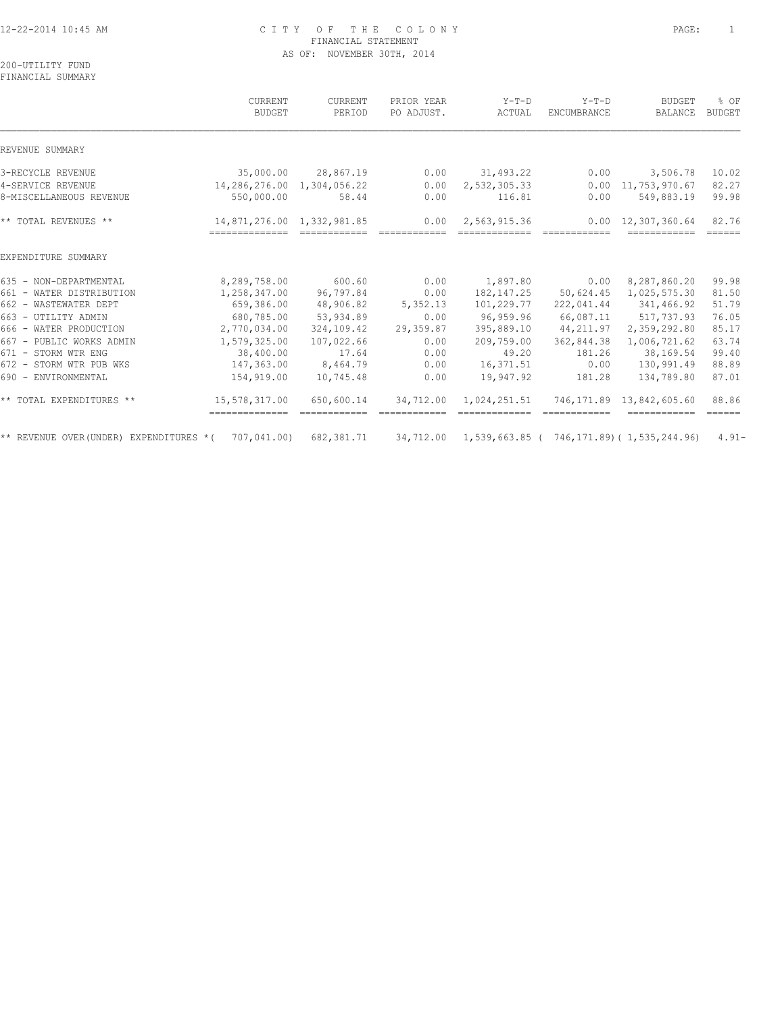# 12-22-2014 10:45 AM C I T Y O F T H E C O L O N Y PAGE: 1 FINANCIAL STATEMENT AS OF: NOVEMBER 30TH, 2014

200-UTILITY FUND FINANCIAL SUMMARY

|                                        | CURRENT<br>BUDGET                            | CURRENT<br>PERIOD | PRIOR YEAR<br>PO ADJUST. | $Y-T-D$<br>ACTUAL                                  | $Y-T-D$<br>ENCUMBRANCE | <b>BUDGET</b><br><b>BALANCE</b>            | % OF<br>BUDGET               |
|----------------------------------------|----------------------------------------------|-------------------|--------------------------|----------------------------------------------------|------------------------|--------------------------------------------|------------------------------|
| REVENUE SUMMARY                        |                                              |                   |                          |                                                    |                        |                                            |                              |
| 3-RECYCLE REVENUE                      | 35,000.00                                    | 28,867.19         | 0.00                     | 31,493.22                                          | 0.00                   | 3,506.78                                   | 10.02                        |
| 4-SERVICE REVENUE                      | 14,286,276.00                                | 1,304,056.22      | 0.00                     | 2,532,305.33                                       | 0.00                   | 11,753,970.67                              | 82.27                        |
| 8-MISCELLANEOUS REVENUE                | 550,000.00                                   | 58.44             | 0.00                     | 116.81                                             | 0.00                   | 549,883.19                                 | 99.98                        |
| ** TOTAL REVENUES **                   | 14,871,276.00 1,332,981.85<br>-------------- |                   | 0.00<br>============     | 2,563,915.36<br>-------------                      | ============           | $0.00 \quad 12,307,360.64$<br>------------ | 82.76<br>======              |
| EXPENDITURE SUMMARY                    |                                              |                   |                          |                                                    |                        |                                            |                              |
| 635 - NON-DEPARTMENTAL                 | 8,289,758.00                                 | 600.60            | 0.00                     | 1,897.80                                           | 0.00                   | 8,287,860.20                               | 99.98                        |
| 661 - WATER DISTRIBUTION               | 1,258,347.00                                 | 96,797.84         | 0.00                     | 182, 147.25                                        | 50,624.45              | 1,025,575.30                               | 81.50                        |
| 662 - WASTEWATER DEPT                  | 659,386.00                                   | 48,906.82         | 5,352.13                 | 101,229.77                                         | 222,041.44             | 341,466.92                                 | 51.79                        |
| 663 - UTILITY ADMIN                    | 680,785.00                                   | 53,934.89         | 0.00                     | 96,959.96                                          | 66,087.11              | 517,737.93                                 | 76.05                        |
| 666 - WATER PRODUCTION                 | 2,770,034.00                                 | 324,109.42        | 29,359.87                | 395,889.10                                         | 44,211.97              | 2,359,292.80                               | 85.17                        |
| 667 - PUBLIC WORKS ADMIN               | 1,579,325.00                                 | 107,022.66        | 0.00                     | 209,759.00                                         | 362,844.38             | 1,006,721.62                               | 63.74                        |
| 671 - STORM WTR ENG                    | 38,400.00                                    | 17.64             | 0.00                     | 49.20                                              | 181.26                 | 38,169.54                                  | 99.40                        |
| 672 - STORM WTR PUB WKS                | 147,363.00                                   | 8,464.79          | 0.00                     | 16,371.51                                          | 0.00                   | 130,991.49                                 | 88.89                        |
| 690 - ENVIRONMENTAL                    | 154,919.00                                   | 10,745.48         | 0.00                     | 19,947.92                                          | 181.28                 | 134,789.80                                 | 87.01                        |
| ** TOTAL EXPENDITURES **               | 15,578,317.00<br>==============              | 650,600.14        | 34,712.00                | 1,024,251.51                                       | 746,171.89             | 13,842,605.60<br>------------              | 88.86<br>$=$ $=$ $=$ $=$ $=$ |
| ** REVENUE OVER(UNDER) EXPENDITURES *( | 707,041.00)                                  | 682,381.71        | 34,712.00                | $1,539,663.85$ ( $746,171.89$ ) ( $1,535,244.96$ ) |                        |                                            | $4.91 -$                     |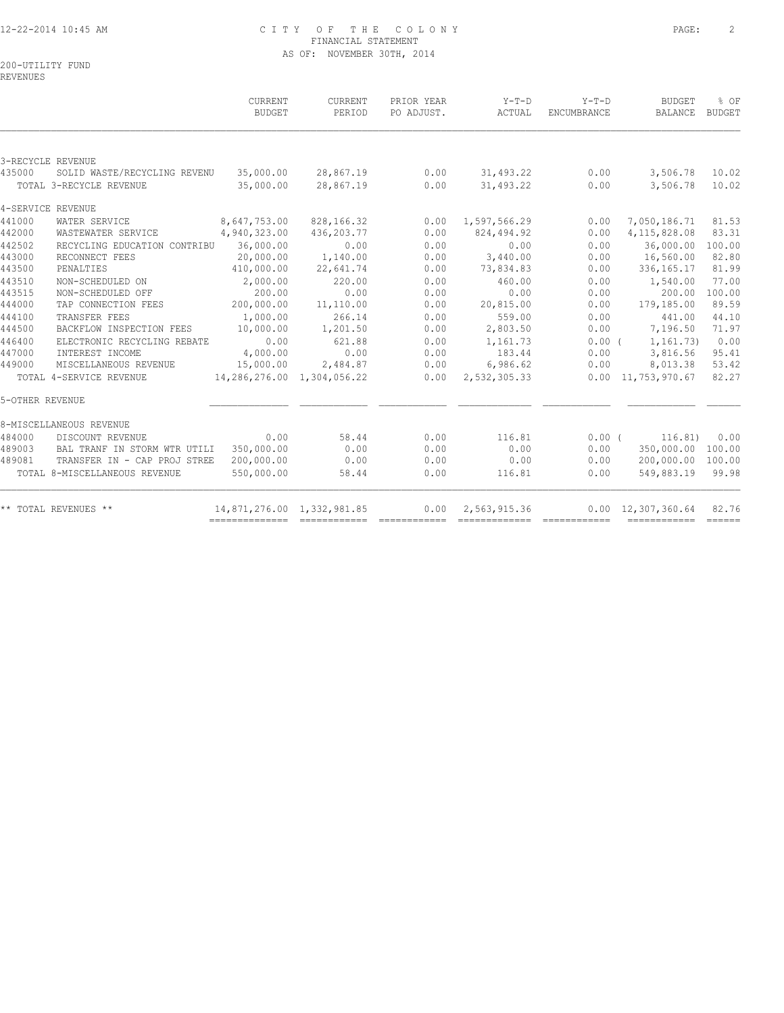# 12-22-2014 10:45 AM C I T Y O F T H E C O L O N Y PAGE: 2 FINANCIAL STATEMENT AS OF: NOVEMBER 30TH, 2014

200-UTILITY FUND

REVENUES

|                 |                               | CURRENT<br><b>BUDGET</b>       | CURRENT<br>PERIOD | PRIOR YEAR<br>PO ADJUST. | $Y-T-D$<br>ACTUAL | $Y-T-D$<br>ENCUMBRANCE | <b>BUDGET</b><br>BALANCE   | % OF<br>BUDGET |
|-----------------|-------------------------------|--------------------------------|-------------------|--------------------------|-------------------|------------------------|----------------------------|----------------|
|                 | 3-RECYCLE REVENUE             |                                |                   |                          |                   |                        |                            |                |
| 435000          | SOLID WASTE/RECYCLING REVENU  | 35,000.00                      | 28,867.19         | 0.00                     | 31,493.22         | 0.00                   | 3,506.78                   | 10.02          |
|                 | TOTAL 3-RECYCLE REVENUE       | 35,000.00                      | 28,867.19         | 0.00                     | 31,493.22         | 0.00                   | 3,506.78                   | 10.02          |
|                 | 4-SERVICE REVENUE             |                                |                   |                          |                   |                        |                            |                |
| 441000          | WATER SERVICE                 | 8,647,753.00                   | 828,166.32        | 0.00                     | 1,597,566.29      | 0.00                   | 7,050,186.71               | 81.53          |
| 442000          | WASTEWATER SERVICE            | 4,940,323.00                   | 436,203.77        | 0.00                     | 824,494.92        | 0.00                   | 4, 115, 828.08             | 83.31          |
| 442502          | RECYCLING EDUCATION CONTRIBU  | 36,000.00                      | 0.00              | 0.00                     | 0.00              | 0.00                   | 36,000.00                  | 100.00         |
| 443000          | RECONNECT FEES                | 20,000.00                      | 1,140.00          | 0.00                     | 3,440.00          | 0.00                   | 16,560.00                  | 82.80          |
| 443500          | PENALTIES                     | 410,000.00                     | 22,641.74         | 0.00                     | 73,834.83         | 0.00                   | 336, 165. 17               | 81.99          |
| 443510          | NON-SCHEDULED ON              | 2,000.00                       | 220.00            | 0.00                     | 460.00            | 0.00                   | 1,540.00                   | 77.00          |
| 443515          | NON-SCHEDULED OFF             | 200.00                         | 0.00              | 0.00                     | 0.00              | 0.00                   | 200.00                     | 100.00         |
| 444000          | TAP CONNECTION FEES           | 200,000.00                     | 11,110.00         | 0.00                     | 20,815.00         | 0.00                   | 179,185.00                 | 89.59          |
| 444100          | TRANSFER FEES                 | 1,000.00                       | 266.14            | 0.00                     | 559.00            | 0.00                   | 441.00                     | 44.10          |
| 444500          | BACKFLOW INSPECTION FEES      | 10,000.00                      | 1,201.50          | 0.00                     | 2,803.50          | 0.00                   | 7,196.50                   | 71.97          |
| 446400          | ELECTRONIC RECYCLING REBATE   | 0.00                           | 621.88            | 0.00                     | 1,161.73          | $0.00$ (               | 1,161.73)                  | 0.00           |
| 447000          | INTEREST INCOME               | 4,000.00                       | 0.00              | 0.00                     | 183.44            | 0.00                   | 3,816.56                   | 95.41          |
| 449000          | MISCELLANEOUS REVENUE         | 15,000.00                      | 2,484.87          | 0.00                     | 6,986.62          | 0.00                   | 8,013.38                   | 53.42          |
|                 | TOTAL 4-SERVICE REVENUE       | 14, 286, 276.00 1, 304, 056.22 |                   | 0.00                     | 2,532,305.33      |                        | $0.00 \quad 11,753,970.67$ | 82.27          |
| 5-OTHER REVENUE |                               |                                |                   |                          |                   |                        |                            |                |
|                 | 8-MISCELLANEOUS REVENUE       |                                |                   |                          |                   |                        |                            |                |
| 484000          | DISCOUNT REVENUE              | 0.00                           | 58.44             | 0.00                     | 116.81            | $0.00$ (               | 116.81)                    | 0.00           |
| 489003          | BAL TRANF IN STORM WTR UTILI  | 350,000.00                     | 0.00              | 0.00                     | 0.00              | 0.00                   | 350,000.00                 | 100.00         |
| 489081          | TRANSFER IN - CAP PROJ STREE  | 200,000.00                     | 0.00              | 0.00                     | 0.00              | 0.00                   | 200,000.00                 | 100.00         |
|                 | TOTAL 8-MISCELLANEOUS REVENUE | 550,000.00                     | 58.44             | 0.00                     | 116.81            | 0.00                   | 549,883.19                 | 99.98          |
|                 | ** TOTAL REVENUES **          | 14,871,276.00 1,332,981.85     |                   | 0.00                     | 2,563,915.36      |                        | $0.00 \quad 12,307,360.64$ | 82.76          |
|                 |                               |                                |                   |                          |                   |                        | ------------- -----        |                |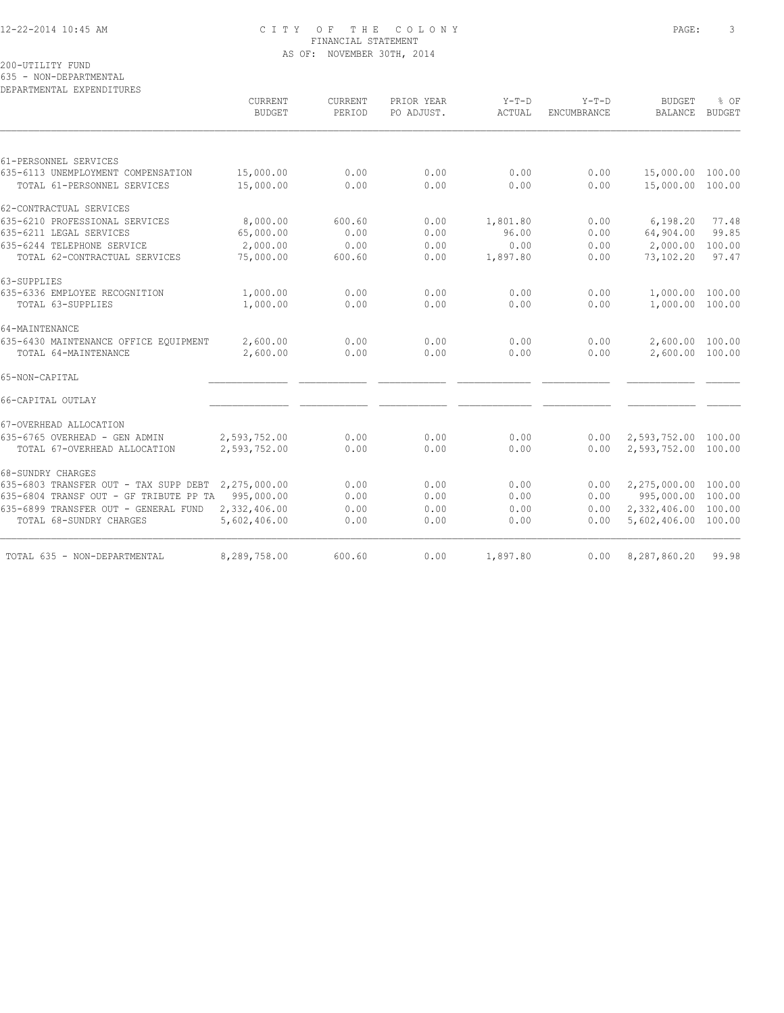#### 12-22-2014 10:45 AM C I T Y O F T H E C O L O N Y PAGE: 3 FINANCIAL STATEMENT AS OF: NOVEMBER 30TH, 2014

200-UTILITY FUND

635 - NON-DEPARTMENTAL

| <b>BUDGET</b><br>15,000.00<br>15,000.00           | PERIOD<br>0.00 | PO ADJUST. | ACTUAL   | ENCUMBRANCE | <b>BALANCE</b>   | <b>BUDGET</b>                                                                                                                                                                                                                        |
|---------------------------------------------------|----------------|------------|----------|-------------|------------------|--------------------------------------------------------------------------------------------------------------------------------------------------------------------------------------------------------------------------------------|
|                                                   |                |            |          |             |                  |                                                                                                                                                                                                                                      |
|                                                   |                |            |          |             |                  |                                                                                                                                                                                                                                      |
|                                                   |                | 0.00       | 0.00     | 0.00        | 15,000.00 100.00 |                                                                                                                                                                                                                                      |
|                                                   | 0.00           | 0.00       | 0.00     | 0.00        |                  |                                                                                                                                                                                                                                      |
|                                                   |                |            |          |             |                  |                                                                                                                                                                                                                                      |
| 8,000.00                                          | 600.60         | 0.00       | 1,801.80 | 0.00        | 6,198.20         | 77.48                                                                                                                                                                                                                                |
| 65,000.00                                         | 0.00           | 0.00       | 96.00    | 0.00        | 64,904.00        | 99.85                                                                                                                                                                                                                                |
| 2,000.00                                          | 0.00           | 0.00       | 0.00     | 0.00        | 2,000.00         | 100.00                                                                                                                                                                                                                               |
| 75,000.00                                         | 600.60         | 0.00       | 1,897.80 | 0.00        | 73,102.20        | 97.47                                                                                                                                                                                                                                |
|                                                   |                |            |          |             |                  |                                                                                                                                                                                                                                      |
| 1,000.00                                          | 0.00           | 0.00       | 0.00     | 0.00        |                  |                                                                                                                                                                                                                                      |
| 1,000.00                                          | 0.00           | 0.00       | 0.00     | 0.00        |                  |                                                                                                                                                                                                                                      |
|                                                   |                |            |          |             |                  |                                                                                                                                                                                                                                      |
| 2,600.00                                          | 0.00           | 0.00       | 0.00     | 0.00        |                  |                                                                                                                                                                                                                                      |
| 2,600.00                                          | 0.00           | 0.00       | 0.00     | 0.00        |                  |                                                                                                                                                                                                                                      |
|                                                   |                |            |          |             |                  |                                                                                                                                                                                                                                      |
|                                                   |                |            |          |             |                  |                                                                                                                                                                                                                                      |
|                                                   |                |            |          |             |                  |                                                                                                                                                                                                                                      |
| 2,593,752.00                                      | 0.00           | 0.00       | 0.00     | 0.00        |                  |                                                                                                                                                                                                                                      |
| 2,593,752.00                                      | 0.00           | 0.00       | 0.00     | 0.00        |                  |                                                                                                                                                                                                                                      |
|                                                   |                |            |          |             |                  |                                                                                                                                                                                                                                      |
| 2,275,000.00                                      | 0.00           | 0.00       | 0.00     | 0.00        |                  |                                                                                                                                                                                                                                      |
| 635-6804 TRANSF OUT - GF TRIBUTE PP TA 995,000.00 | 0.00           | 0.00       | 0.00     | 0.00        |                  |                                                                                                                                                                                                                                      |
| 2,332,406.00                                      | 0.00           | 0.00       | 0.00     | 0.00        |                  |                                                                                                                                                                                                                                      |
| 5,602,406.00                                      | 0.00           | 0.00       | 0.00     | 0.00        |                  |                                                                                                                                                                                                                                      |
| 8,289,758.00                                      | 600.60         | 0.00       | 1,897.80 | 0.00        | 8,287,860.20     | 99.98                                                                                                                                                                                                                                |
|                                                   |                |            |          |             |                  | 15,000.00 100.00<br>1,000.00 100.00<br>1,000.00 100.00<br>2,600.00 100.00<br>2,600.00 100.00<br>2,593,752.00 100.00<br>2,593,752.00 100.00<br>2,275,000.00 100.00<br>995,000.00 100.00<br>2,332,406.00 100.00<br>5,602,406.00 100.00 |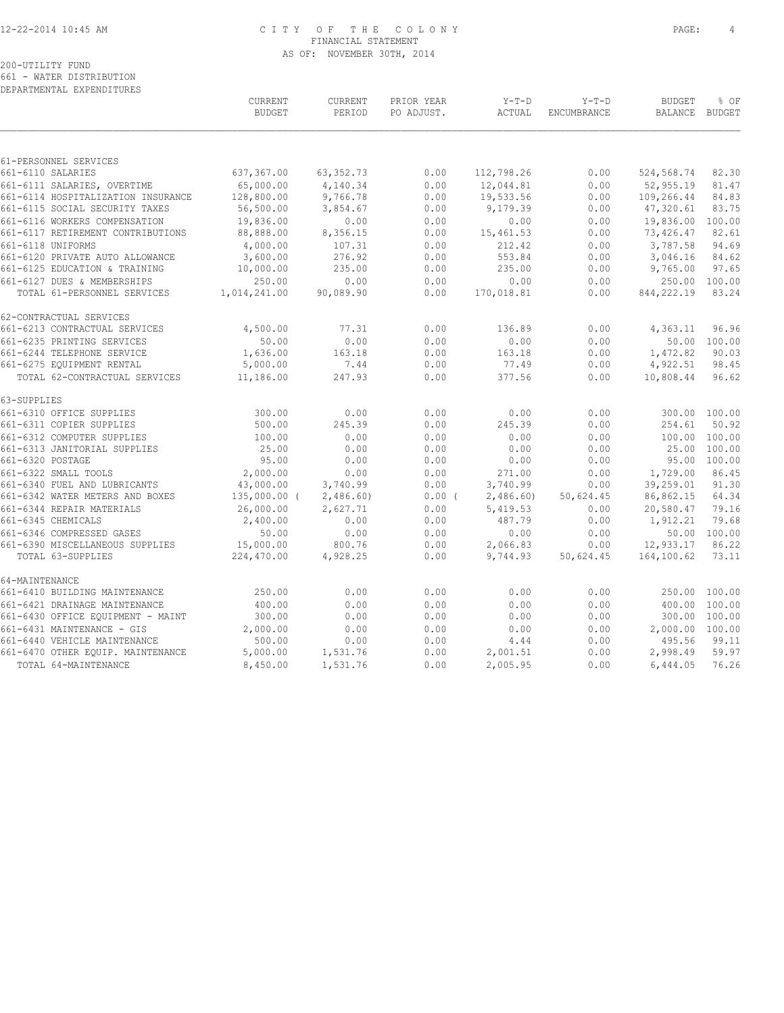# 12-22-2014 10:45 AM C I T Y O F T H E C O L O N Y PAGE: 4 FINANCIAL STATEMENT AS OF: NOVEMBER 30TH, 2014

200-UTILITY FUND 661 - WATER DISTRIBUTION

DEPARTMENTAL EXPENDITURES

|                                    | CURRENT<br><b>BUDGET</b> | CURRENT<br>PERIOD | PRIOR YEAR<br>PO ADJUST. | $Y-T-D$<br>ACTUAL | $Y-T-D$<br>ENCUMBRANCE | <b>BUDGET</b><br>BALANCE | % OF<br><b>BUDGET</b> |
|------------------------------------|--------------------------|-------------------|--------------------------|-------------------|------------------------|--------------------------|-----------------------|
|                                    |                          |                   |                          |                   |                        |                          |                       |
| 61-PERSONNEL SERVICES              |                          |                   |                          |                   |                        |                          |                       |
| 661-6110 SALARIES                  | 637,367.00               | 63, 352.73        | 0.00                     | 112,798.26        | 0.00                   | 524,568.74               | 82.30                 |
| 661-6111 SALARIES, OVERTIME        | 65,000.00                | 4,140.34          | 0.00                     | 12,044.81         | 0.00                   | 52,955.19                | 81.47                 |
| 661-6114 HOSPITALIZATION INSURANCE | 128,800.00               | 9,766.78          | 0.00                     | 19,533.56         | 0.00                   | 109,266.44               | 84.83                 |
| 661-6115 SOCIAL SECURITY TAXES     | 56,500.00                | 3,854.67          | 0.00                     | 9,179.39          | 0.00                   | 47,320.61                | 83.75                 |
| 661-6116 WORKERS COMPENSATION      | 19,836.00                | 0.00              | 0.00                     | 0.00              | 0.00                   | 19,836.00                | 100.00                |
| 661-6117 RETIREMENT CONTRIBUTIONS  | 88,888.00                | 8,356.15          | 0.00                     | 15,461.53         | 0.00                   | 73,426.47                | 82.61                 |
| 661-6118 UNIFORMS                  | 4,000.00                 | 107.31            | 0.00                     | 212.42            | 0.00                   | 3,787.58                 | 94.69                 |
| 661-6120 PRIVATE AUTO ALLOWANCE    | 3,600.00                 | 276.92            | 0.00                     | 553.84            | 0.00                   | 3,046.16                 | 84.62                 |
| 661-6125 EDUCATION & TRAINING      | 10,000.00                | 235.00            | 0.00                     | 235.00            | 0.00                   | 9,765.00                 | 97.65                 |
| 661-6127 DUES & MEMBERSHIPS        | 250.00                   | 0.00              | 0.00                     | 0.00              | 0.00                   | 250.00                   | 100.00                |
| TOTAL 61-PERSONNEL SERVICES        | 1,014,241.00             | 90,089.90         | 0.00                     | 170,018.81        | 0.00                   | 844,222.19               | 83.24                 |
| 62-CONTRACTUAL SERVICES            |                          |                   |                          |                   |                        |                          |                       |
| 661-6213 CONTRACTUAL SERVICES      | 4,500.00                 | 77.31             | 0.00                     | 136.89            | 0.00                   | 4,363.11                 | 96.96                 |
| 661-6235 PRINTING SERVICES         | 50.00                    | 0.00              | 0.00                     | 0.00              | 0.00                   | 50.00                    | 100.00                |
| 661-6244 TELEPHONE SERVICE         | 1,636.00                 | 163.18            | 0.00                     | 163.18            | 0.00                   | 1,472.82                 | 90.03                 |
| 661-6275 EQUIPMENT RENTAL          | 5,000.00                 | 7.44              | 0.00                     | 77.49             | 0.00                   | 4,922.51                 | 98.45                 |
| TOTAL 62-CONTRACTUAL SERVICES      | 11,186.00                | 247.93            | 0.00                     | 377.56            | 0.00                   | 10,808.44                | 96.62                 |
| 63-SUPPLIES                        |                          |                   |                          |                   |                        |                          |                       |
| 661-6310 OFFICE SUPPLIES           | 300.00                   | 0.00              | 0.00                     | 0.00              | 0.00                   |                          | 300.00 100.00         |
| 661-6311 COPIER SUPPLIES           | 500.00                   | 245.39            | 0.00                     | 245.39            | 0.00                   | 254.61                   | 50.92                 |
| 661-6312 COMPUTER SUPPLIES         | 100.00                   | 0.00              | 0.00                     | 0.00              | 0.00                   |                          | 100.00 100.00         |
| 661-6313 JANITORIAL SUPPLIES       | 25.00                    | 0.00              | 0.00                     | 0.00              | 0.00                   |                          | 25.00 100.00          |
| 661-6320 POSTAGE                   | 95.00                    | 0.00              | 0.00                     | 0.00              | 0.00                   |                          | 95.00 100.00          |
| 661-6322 SMALL TOOLS               | 2,000.00                 | 0.00              | 0.00                     | 271.00            | 0.00                   | 1,729.00                 | 86.45                 |
| 661-6340 FUEL AND LUBRICANTS       | 43,000.00                | 3,740.99          | 0.00                     | 3,740.99          | 0.00                   | 39,259.01                | 91.30                 |
| 661-6342 WATER METERS AND BOXES    | $135,000.00$ (           | 2,486.60          | 0.00(                    | 2,486.60          | 50,624.45              | 86,862.15                | 64.34                 |
| 661-6344 REPAIR MATERIALS          | 26,000.00                | 2,627.71          | 0.00                     | 5,419.53          | 0.00                   | 20,580.47                | 79.16                 |
| 661-6345 CHEMICALS                 | 2,400.00                 | 0.00              | 0.00                     | 487.79            | 0.00                   | 1,912.21                 | 79.68                 |
| 661-6346 COMPRESSED GASES          | 50.00                    | 0.00              | 0.00                     | 0.00              | 0.00                   |                          | 50.00 100.00          |
| 661-6390 MISCELLANEOUS SUPPLIES    | 15,000.00                | 800.76            | 0.00                     | 2,066.83          | 0.00                   | 12,933.17                | 86.22                 |
| TOTAL 63-SUPPLIES                  | 224,470.00               | 4,928.25          | 0.00                     | 9,744.93          | 50,624.45              | 164,100.62               | 73.11                 |
| 64-MAINTENANCE                     |                          |                   |                          |                   |                        |                          |                       |
| 661-6410 BUILDING MAINTENANCE      | 250.00                   | 0.00              | 0.00                     | 0.00              | 0.00                   |                          | 250.00 100.00         |
| 661-6421 DRAINAGE MAINTENANCE      | 400.00                   | 0.00              | 0.00                     | 0.00              | 0.00                   |                          | 400.00 100.00         |
| 661-6430 OFFICE EQUIPMENT - MAINT  | 300.00                   | 0.00              | 0.00                     | 0.00              | 0.00                   |                          | 300.00 100.00         |
| 661-6431 MAINTENANCE - GIS         | 2,000.00                 | 0.00              | 0.00                     | 0.00              | 0.00                   | 2,000.00 100.00          |                       |
| 661-6440 VEHICLE MAINTENANCE       | 500.00                   | 0.00              | 0.00                     | 4.44              | 0.00                   | 495.56                   | 99.11                 |
| 661-6470 OTHER EQUIP. MAINTENANCE  | 5,000.00                 | 1,531.76          | 0.00                     | 2,001.51          | 0.00                   | 2,998.49                 | 59.97                 |
| TOTAL 64-MAINTENANCE               | 8,450.00                 | 1,531.76          | 0.00                     | 2,005.95          | 0.00                   | 6,444.05                 | 76.26                 |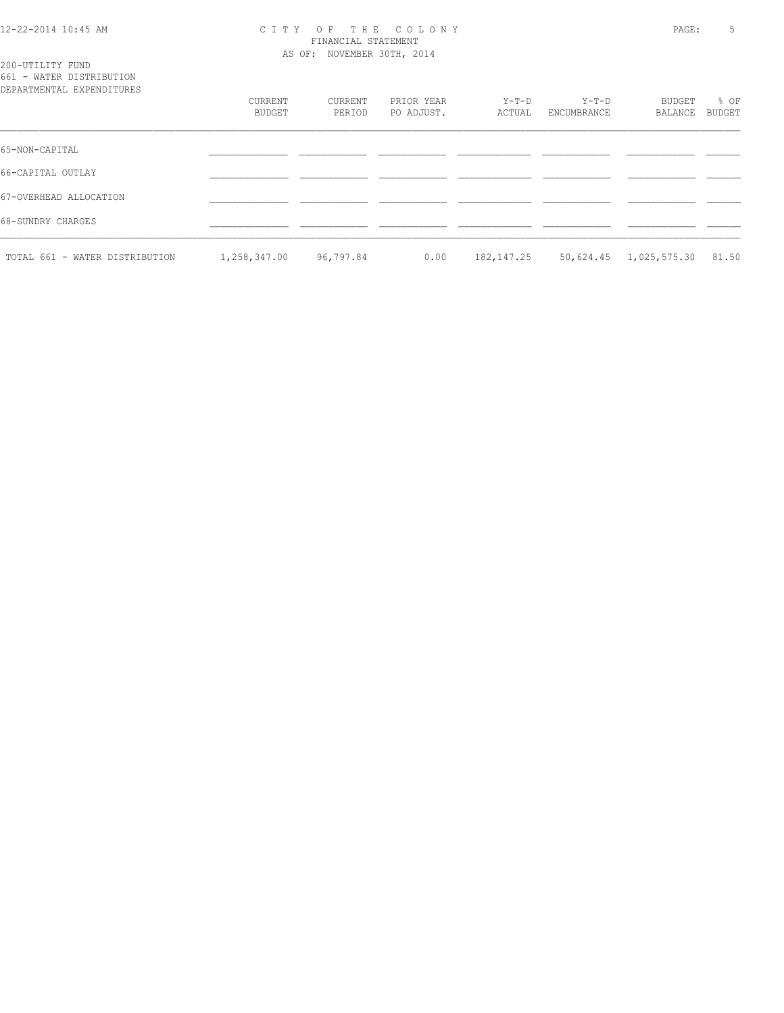#### 12-22-2014 10:45 AM C I T Y O F T H E C O L O N Y PAGE: 5 FINANCIAL STATEMENT AS OF: NOVEMBER 30TH, 2014

|  | 200-UTILITY FUND |                                 |
|--|------------------|---------------------------------|
|  |                  | 661 - WATER DISTRIBUTION        |
|  |                  | nd b marchimar tay bunan toulou |

| DEPARTMENTAL EXPENDITURES      |              |           |            |            |             |                    |               |
|--------------------------------|--------------|-----------|------------|------------|-------------|--------------------|---------------|
|                                | CURRENT      | CURRENT   | PRIOR YEAR | Y-T-D      | $Y-T-D$     | BUDGET             | % OF          |
|                                | BUDGET       | PERIOD    | PO ADJUST. | ACTUAL     | ENCUMBRANCE | BALANCE            | <b>BUDGET</b> |
| 65-NON-CAPITAL                 |              |           |            |            |             |                    |               |
| 66-CAPITAL OUTLAY              |              |           |            |            |             |                    |               |
| 67-OVERHEAD ALLOCATION         |              |           |            |            |             |                    |               |
| 68-SUNDRY CHARGES              |              |           |            |            |             |                    |               |
| TOTAL 661 - WATER DISTRIBUTION | 1,258,347.00 | 96,797.84 | 0.00       | 182,147.25 | 50,624.45   | 1,025,575.30 81.50 |               |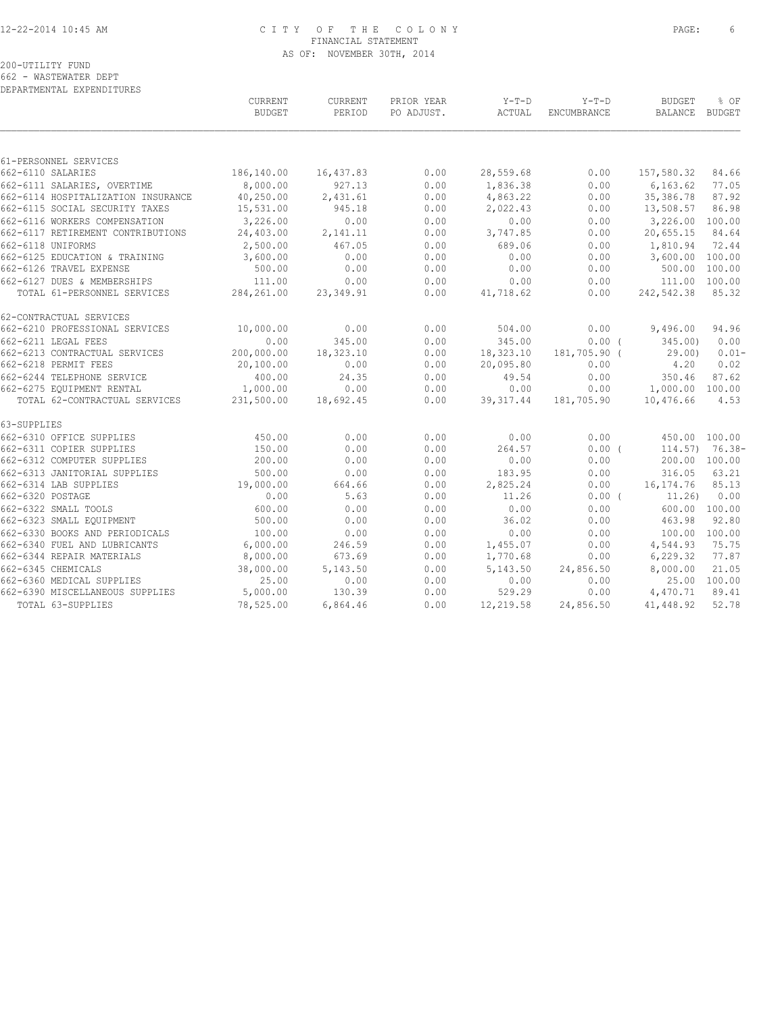# 12-22-2014 10:45 AM C I T Y O F T H E C O L O N Y PAGE: 6 FINANCIAL STATEMENT AS OF: NOVEMBER 30TH, 2014

#### 200-UTILITY FUND

662 - WASTEWATER DEPT

| DEPARTMENTAL EXPENDITURES          |                                 |                   |                          |                   |                               |                                 |                   |
|------------------------------------|---------------------------------|-------------------|--------------------------|-------------------|-------------------------------|---------------------------------|-------------------|
|                                    | <b>CURRENT</b><br><b>BUDGET</b> | CURRENT<br>PERIOD | PRIOR YEAR<br>PO ADJUST. | $Y-T-D$<br>ACTUAL | $Y-T-D$<br><b>ENCUMBRANCE</b> | <b>BUDGET</b><br><b>BALANCE</b> | % OF<br>BUDGET    |
|                                    |                                 |                   |                          |                   |                               |                                 |                   |
| 61-PERSONNEL SERVICES              |                                 |                   |                          |                   |                               |                                 |                   |
| 662-6110 SALARIES                  | 186,140.00                      | 16,437.83         | 0.00                     | 28,559.68         | 0.00                          | 157,580.32                      | 84.66             |
| 662-6111 SALARIES, OVERTIME        | 8,000.00                        | 927.13            | 0.00                     | 1,836.38          | 0.00                          | 6, 163.62                       | 77.05             |
| 662-6114 HOSPITALIZATION INSURANCE | 40,250.00                       | 2,431.61          | 0.00                     | 4,863.22          | 0.00                          | 35,386.78                       | 87.92             |
| 662-6115 SOCIAL SECURITY TAXES     | 15,531.00                       | 945.18            | 0.00                     | 2,022.43          | 0.00                          | 13,508.57                       | 86.98             |
| 662-6116 WORKERS COMPENSATION      | 3,226.00                        | 0.00              | 0.00                     | 0.00              | 0.00                          | 3,226.00 100.00                 |                   |
| 662-6117 RETIREMENT CONTRIBUTIONS  | 24,403.00                       | 2,141.11          | 0.00                     | 3,747.85          | 0.00                          | 20,655.15                       | 84.64             |
| 662-6118 UNIFORMS                  | 2,500.00                        | 467.05            | 0.00                     | 689.06            | 0.00                          | 1,810.94                        | 72.44             |
| 662-6125 EDUCATION & TRAINING      | 3,600.00                        | 0.00              | 0.00                     | 0.00              | 0.00                          | 3,600.00 100.00                 |                   |
| 662-6126 TRAVEL EXPENSE            | 500.00                          | 0.00              | 0.00                     | 0.00              | 0.00                          | 500.00 100.00                   |                   |
| 662-6127 DUES & MEMBERSHIPS        | 111.00                          | 0.00              | 0.00                     | 0.00              | 0.00                          | 111.00 100.00                   |                   |
| TOTAL 61-PERSONNEL SERVICES        | 284, 261.00                     | 23,349.91         | 0.00                     | 41,718.62         | 0.00                          | 242,542.38                      | 85.32             |
| 62-CONTRACTUAL SERVICES            |                                 |                   |                          |                   |                               |                                 |                   |
| 662-6210 PROFESSIONAL SERVICES     | 10,000.00                       | 0.00              | 0.00                     | 504.00            | 0.00                          | 9,496.00                        | 94.96             |
| 662-6211 LEGAL FEES                | 0.00                            | 345.00            | 0.00                     | 345.00            | 0.00(                         | 345.00                          | 0.00              |
| 662-6213 CONTRACTUAL SERVICES      | 200,000.00                      | 18,323.10         | 0.00                     | 18,323.10         | 181,705.90 (                  | 29.00                           | $0.01 -$          |
| 662-6218 PERMIT FEES               | 20,100.00                       | 0.00              | 0.00                     | 20,095.80         | 0.00                          | 4.20                            | 0.02              |
| 662-6244 TELEPHONE SERVICE         | 400.00                          | 24.35             | 0.00                     | 49.54             | 0.00                          | 350.46                          | 87.62             |
| 662-6275 EOUIPMENT RENTAL          | 1,000.00                        | 0.00              | 0.00                     | 0.00              | 0.00                          | 1,000.00 100.00                 |                   |
| TOTAL 62-CONTRACTUAL SERVICES      | 231,500.00                      | 18,692.45         | 0.00                     | 39, 317.44        | 181,705.90                    | 10,476.66                       | 4.53              |
| 63-SUPPLIES                        |                                 |                   |                          |                   |                               |                                 |                   |
| 662-6310 OFFICE SUPPLIES           | 450.00                          | 0.00              | 0.00                     | 0.00              | 0.00                          | 450.00 100.00                   |                   |
| 662-6311 COPIER SUPPLIES           | 150.00                          | 0.00              | 0.00                     | 264.57            | 0.00(                         |                                 | $114.57$ ) 76.38- |
| 662-6312 COMPUTER SUPPLIES         | 200.00                          | 0.00              | 0.00                     | 0.00              | 0.00                          | 200.00 100.00                   |                   |
| 662-6313 JANITORIAL SUPPLIES       | 500.00                          | 0.00              | 0.00                     | 183.95            | 0.00                          | 316.05                          | 63.21             |
| 662-6314 LAB SUPPLIES              | 19,000.00                       | 664.66            | 0.00                     | 2,825.24          | 0.00                          | 16, 174. 76                     | 85.13             |
| 662-6320 POSTAGE                   | 0.00                            | 5.63              | 0.00                     | 11.26             | 0.00(                         | 11,26)                          | 0.00              |
| 662-6322 SMALL TOOLS               | 600.00                          | 0.00              | 0.00                     | 0.00              | 0.00                          | 600.00 100.00                   |                   |
| 662-6323 SMALL EQUIPMENT           | 500.00                          | 0.00              | 0.00                     | 36.02             | 0.00                          | 463.98                          | 92.80             |
| 662-6330 BOOKS AND PERIODICALS     | 100.00                          | 0.00              | 0.00                     | 0.00              | 0.00                          | 100.00 100.00                   |                   |
| 662-6340 FUEL AND LUBRICANTS       | 6,000.00                        | 246.59            | 0.00                     | 1,455.07          | 0.00                          | 4,544.93                        | 75.75             |
| 662-6344 REPAIR MATERIALS          | 8,000.00                        | 673.69            | 0.00                     | 1,770.68          | 0.00                          | 6, 229.32                       | 77.87             |
| 662-6345 CHEMICALS                 | 38,000.00                       | 5,143.50          | 0.00                     | 5,143.50          | 24,856.50                     | 8,000.00                        | 21.05             |
| 662-6360 MEDICAL SUPPLIES          | 25.00                           | 0.00              | 0.00                     | 0.00              | 0.00                          |                                 | 25.00 100.00      |
| 662-6390 MISCELLANEOUS SUPPLIES    | 5,000.00                        | 130.39            | 0.00                     | 529.29            | 0.00                          | 4,470.71                        | 89.41             |
| TOTAL 63-SUPPLIES                  | 78,525.00                       | 6,864.46          | 0.00                     | 12,219.58         | 24,856.50                     | 41,448.92                       | 52.78             |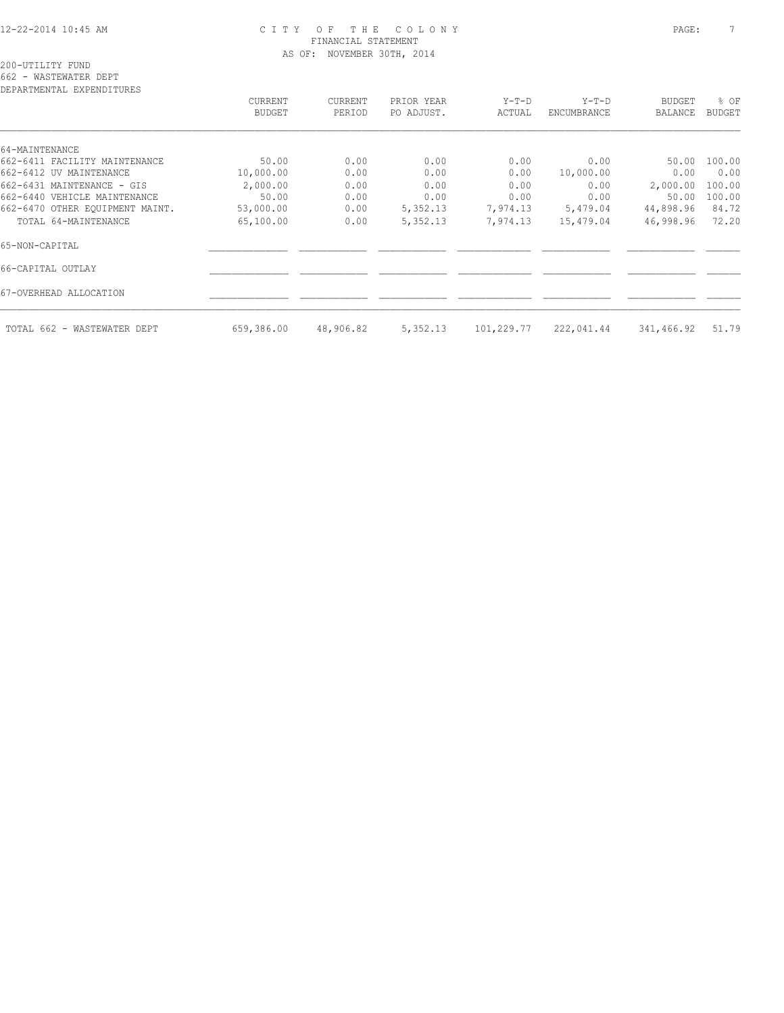#### 12-22-2014 10:45 AM C I T Y O F T H E C O L O N Y PAGE: 7 FINANCIAL STATEMENT AS OF: NOVEMBER 30TH, 2014

662 - WASTEWATER DEPT

| CURRENT       | CURRENT            | PRIOR YEAR   | $Y-T-D$      | $Y-T-D$      | <b>BUDGET</b>     | % OF          |
|---------------|--------------------|--------------|--------------|--------------|-------------------|---------------|
| <b>BUDGET</b> | PERIOD             | PO ADJUST.   | ACTUAL       | ENCUMBRANCE  | <b>BALANCE</b>    | <b>BUDGET</b> |
|               |                    |              |              |              |                   |               |
|               |                    |              |              |              |                   |               |
|               |                    |              |              |              |                   | 100.00        |
|               |                    |              |              |              |                   | 0.00          |
| 2,000.00      | 0.00               | 0.00         | 0.00         | 0.00         | 2,000.00          | 100.00        |
| 50.00         | 0.00               | 0.00         | 0.00         | 0.00         | 50.00             | 100.00        |
| 53,000.00     | 0.00               | 5,352.13     | 7,974.13     | 5,479.04     | 44,898.96         | 84.72         |
| 65,100.00     | 0.00               | 5,352.13     | 7,974.13     | 15,479.04    | 46,998.96         | 72.20         |
|               |                    |              |              |              |                   |               |
|               |                    |              |              |              |                   |               |
|               |                    |              |              |              |                   |               |
| 659,386.00    | 48,906.82          | 5,352.13     | 101,229.77   | 222,041.44   | 341,466.92        | 51.79         |
|               | 50.00<br>10,000.00 | 0.00<br>0.00 | 0.00<br>0.00 | 0.00<br>0.00 | 0.00<br>10,000.00 | 50.00<br>0.00 |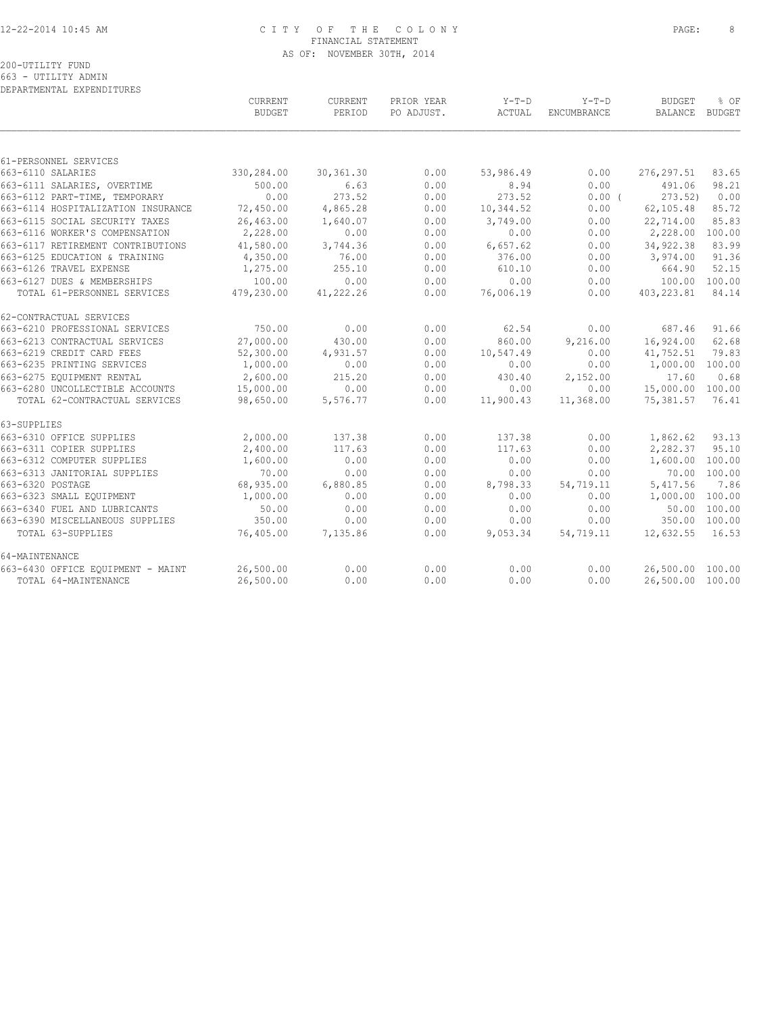## 12-22-2014 10:45 AM C I T Y O F T H E C O L O N Y PAGE: 8 FINANCIAL STATEMENT AS OF: NOVEMBER 30TH, 2014

|                                    | CURRENT       | CURRENT   | PRIOR YEAR | $Y-T-D$   | $Y-T-D$     | <b>BUDGET</b>    | % OF         |
|------------------------------------|---------------|-----------|------------|-----------|-------------|------------------|--------------|
|                                    | <b>BUDGET</b> | PERIOD    | PO ADJUST. | ACTUAL    | ENCUMBRANCE | BALANCE BUDGET   |              |
|                                    |               |           |            |           |             |                  |              |
| 61-PERSONNEL SERVICES              |               |           |            |           |             |                  |              |
| 663-6110 SALARIES                  | 330,284.00    | 30,361.30 | 0.00       | 53,986.49 | 0.00        | 276,297.51       | 83.65        |
| 663-6111 SALARIES, OVERTIME        | 500.00        | 6.63      | 0.00       | 8.94      | 0.00        | 491.06           | 98.21        |
| 663-6112 PART-TIME, TEMPORARY      | 0.00          | 273.52    | 0.00       | 273.52    | $0.00$ (    | 273.52)          | 0.00         |
| 663-6114 HOSPITALIZATION INSURANCE | 72,450.00     | 4,865.28  | 0.00       | 10,344.52 | 0.00        | 62, 105.48       | 85.72        |
| 663-6115 SOCIAL SECURITY TAXES     | 26,463.00     | 1,640.07  | 0.00       | 3,749.00  | 0.00        | 22,714.00        | 85.83        |
| 663-6116 WORKER'S COMPENSATION     | 2,228.00      | 0.00      | 0.00       | 0.00      | 0.00        | 2,228.00         | 100.00       |
| 663-6117 RETIREMENT CONTRIBUTIONS  | 41,580.00     | 3,744.36  | 0.00       | 6,657.62  | 0.00        | 34,922.38        | 83.99        |
| 663-6125 EDUCATION & TRAINING      | 4,350.00      | 76.00     | 0.00       | 376.00    | 0.00        | 3,974.00         | 91.36        |
| 663-6126 TRAVEL EXPENSE            | 1,275.00      | 255.10    | 0.00       | 610.10    | 0.00        | 664.90           | 52.15        |
| 663-6127 DUES & MEMBERSHIPS        | 100.00        | 0.00      | 0.00       | 0.00      | 0.00        | 100.00           | 100.00       |
| TOTAL 61-PERSONNEL SERVICES        | 479,230.00    | 41,222.26 | 0.00       | 76,006.19 | 0.00        | 403,223.81       | 84.14        |
| 62-CONTRACTUAL SERVICES            |               |           |            |           |             |                  |              |
| 663-6210 PROFESSIONAL SERVICES     | 750.00        | 0.00      | 0.00       | 62.54     | 0.00        | 687.46           | 91.66        |
| 663-6213 CONTRACTUAL SERVICES      | 27,000.00     | 430.00    | 0.00       | 860.00    | 9,216.00    | 16,924.00        | 62.68        |
| 663-6219 CREDIT CARD FEES          | 52,300.00     | 4,931.57  | 0.00       | 10,547.49 | 0.00        | 41,752.51        | 79.83        |
| 663-6235 PRINTING SERVICES         | 1,000.00      | 0.00      | 0.00       | 0.00      | 0.00        | 1,000.00 100.00  |              |
| 663-6275 EOUIPMENT RENTAL          | 2,600.00      | 215.20    | 0.00       | 430.40    | 2,152.00    | 17.60            | 0.68         |
| 663-6280 UNCOLLECTIBLE ACCOUNTS    | 15,000.00     | 0.00      | 0.00       | 0.00      | 0.00        | 15,000.00 100.00 |              |
| TOTAL 62-CONTRACTUAL SERVICES      | 98,650.00     | 5,576.77  | 0.00       | 11,900.43 | 11,368.00   | 75,381.57        | 76.41        |
| 63-SUPPLIES                        |               |           |            |           |             |                  |              |
| 663-6310 OFFICE SUPPLIES           | 2,000.00      | 137.38    | 0.00       | 137.38    | 0.00        | 1,862.62         | 93.13        |
| 663-6311 COPIER SUPPLIES           | 2,400.00      | 117.63    | 0.00       | 117.63    | 0.00        | 2,282.37         | 95.10        |
| 663-6312 COMPUTER SUPPLIES         | 1,600.00      | 0.00      | 0.00       | 0.00      | 0.00        | 1,600.00         | 100.00       |
| 663-6313 JANITORIAL SUPPLIES       | 70.00         | 0.00      | 0.00       | 0.00      | 0.00        |                  | 70.00 100.00 |
| 663-6320 POSTAGE                   | 68,935.00     | 6,880.85  | 0.00       | 8,798.33  | 54,719.11   | 5,417.56         | 7.86         |
| 663-6323 SMALL EQUIPMENT           | 1,000.00      | 0.00      | 0.00       | 0.00      | 0.00        | 1,000.00 100.00  |              |
| 663-6340 FUEL AND LUBRICANTS       | 50.00         | 0.00      | 0.00       | 0.00      | 0.00        |                  | 50.00 100.00 |
| 663-6390 MISCELLANEOUS SUPPLIES    | 350.00        | 0.00      | 0.00       | 0.00      | 0.00        | 350.00 100.00    |              |
| TOTAL 63-SUPPLIES                  | 76,405.00     | 7,135.86  | 0.00       | 9,053.34  | 54,719.11   | 12,632.55        | 16.53        |
| 64-MAINTENANCE                     |               |           |            |           |             |                  |              |
| 663-6430 OFFICE EOUIPMENT - MAINT  | 26,500.00     | 0.00      | 0.00       | 0.00      | 0.00        | 26,500.00 100.00 |              |
| TOTAL 64-MAINTENANCE               | 26,500.00     | 0.00      | 0.00       | 0.00      | 0.00        | 26,500.00 100.00 |              |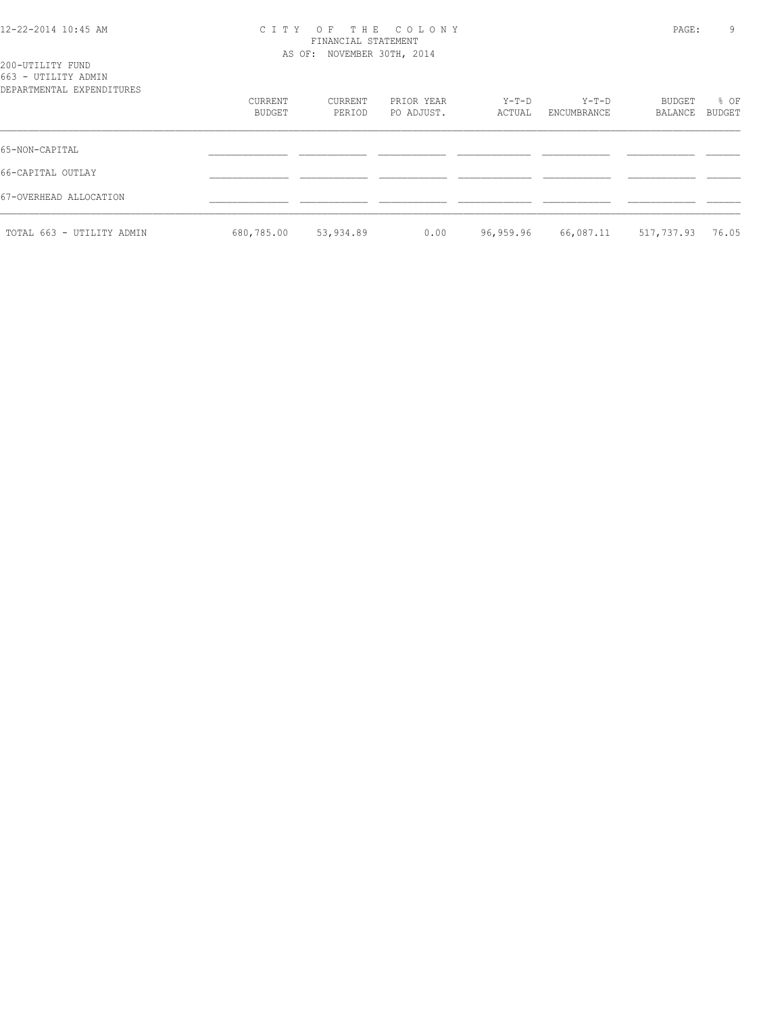#### 12-22-2014 10:45 AM C I T Y O F T H E C O L O N Y PAGE: 9 FINANCIAL STATEMENT AS OF: NOVEMBER 30TH, 2014

| 200-UTILITY FUND<br>663 - UTILITY ADMIN<br>DEPARTMENTAL EXPENDITURES |                   |                   |                          |                 |                        |                   |                |
|----------------------------------------------------------------------|-------------------|-------------------|--------------------------|-----------------|------------------------|-------------------|----------------|
|                                                                      | CURRENT<br>BUDGET | CURRENT<br>PERIOD | PRIOR YEAR<br>PO ADJUST. | Y-T-D<br>ACTUAL | $Y-T-D$<br>ENCUMBRANCE | BUDGET<br>BALANCE | % OF<br>BUDGET |
| 65-NON-CAPITAL                                                       |                   |                   |                          |                 |                        |                   |                |
| 66-CAPITAL OUTLAY                                                    |                   |                   |                          |                 |                        |                   |                |
| 67-OVERHEAD ALLOCATION                                               |                   |                   |                          |                 |                        |                   |                |
| TOTAL 663 - UTILITY ADMIN                                            | 680,785.00        | 53,934.89         | 0.00                     | 96,959.96       | 66,087.11              | 517,737.93        | 76.05          |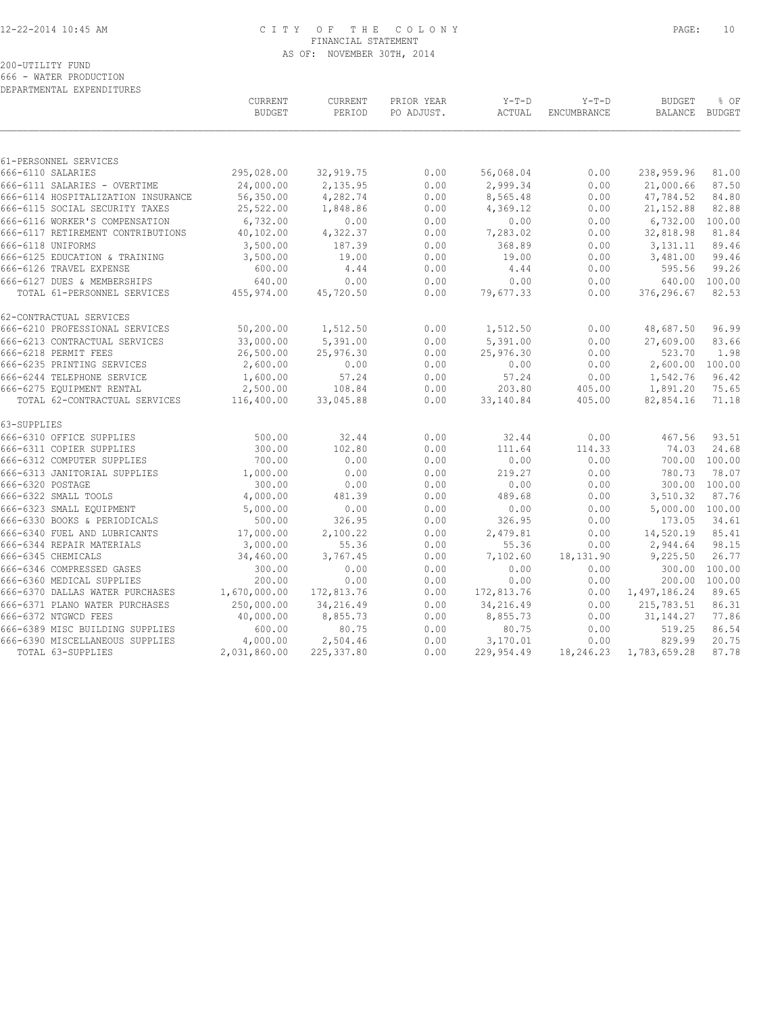# 12-22-2014 10:45 AM C I T Y O F T H E C O L O N Y PAGE: 10 FINANCIAL STATEMENT AS OF: NOVEMBER 30TH, 2014

200-UTILITY FUND

666 - WATER PRODUCTION DEPARTMENTAL EXPENDITURES

|                      |                                    | CURRENT<br><b>BUDGET</b> | <b>CURRENT</b><br>PERIOD | PRIOR YEAR<br>PO ADJUST. | $Y-T-D$<br><b>ACTUAL</b> | $Y-T-D$<br><b>ENCUMBRANCE</b> | <b>BUDGET</b><br>BALANCE | % OF<br><b>BUDGET</b> |
|----------------------|------------------------------------|--------------------------|--------------------------|--------------------------|--------------------------|-------------------------------|--------------------------|-----------------------|
|                      |                                    |                          |                          |                          |                          |                               |                          |                       |
|                      | 61-PERSONNEL SERVICES              |                          |                          |                          |                          |                               |                          |                       |
| 666-6110 SALARIES    |                                    | 295,028.00               | 32,919.75                | 0.00                     | 56,068.04                | 0.00                          | 238,959.96               | 81.00                 |
|                      | 666-6111 SALARIES - OVERTIME       | 24,000.00                | 2,135.95                 | 0.00                     | 2,999.34                 | 0.00                          | 21,000.66                | 87.50                 |
|                      | 666-6114 HOSPITALIZATION INSURANCE | 56,350.00                | 4,282.74                 | 0.00                     | 8,565.48                 | 0.00                          | 47,784.52                | 84.80                 |
|                      | 666-6115 SOCIAL SECURITY TAXES     | 25,522.00                | 1,848.86                 | 0.00                     | 4,369.12                 | 0.00                          | 21, 152.88               | 82.88                 |
|                      | 666-6116 WORKER'S COMPENSATION     | 6,732.00                 | 0.00                     | 0.00                     | 0.00                     | 0.00                          | 6,732.00                 | 100.00                |
|                      | 666-6117 RETIREMENT CONTRIBUTIONS  | 40,102.00                | 4,322.37                 | 0.00                     | 7,283.02                 | 0.00                          | 32,818.98                | 81.84                 |
| 666-6118 UNIFORMS    |                                    | 3,500.00                 | 187.39                   | 0.00                     | 368.89                   | 0.00                          | 3, 131. 11               | 89.46                 |
|                      | 666-6125 EDUCATION & TRAINING      | 3,500.00                 | 19.00                    | 0.00                     | 19.00                    | 0.00                          | 3,481.00                 | 99.46                 |
|                      | 666-6126 TRAVEL EXPENSE            | 600.00                   | 4.44                     | 0.00                     | 4.44                     | 0.00                          | 595.56                   | 99.26                 |
|                      | 666-6127 DUES & MEMBERSHIPS        | 640.00                   | 0.00                     | 0.00                     | 0.00                     | 0.00                          | 640.00                   | 100.00                |
|                      | TOTAL 61-PERSONNEL SERVICES        | 455,974.00               | 45,720.50                | 0.00                     | 79,677.33                | 0.00                          | 376,296.67               | 82.53                 |
|                      | 62-CONTRACTUAL SERVICES            |                          |                          |                          |                          |                               |                          |                       |
|                      | 666-6210 PROFESSIONAL SERVICES     | 50,200.00                | 1,512.50                 | 0.00                     | 1,512.50                 | 0.00                          | 48,687.50                | 96.99                 |
|                      | 666-6213 CONTRACTUAL SERVICES      | 33,000.00                | 5,391.00                 | 0.00                     | 5,391.00                 | 0.00                          | 27,609.00                | 83.66                 |
| 666-6218 PERMIT FEES |                                    | 26,500.00                | 25,976.30                | 0.00                     | 25,976.30                | 0.00                          | 523.70                   | 1.98                  |
|                      | 666-6235 PRINTING SERVICES         | 2,600.00                 | 0.00                     | 0.00                     | 0.00                     | 0.00                          | 2,600.00                 | 100.00                |
|                      | 666-6244 TELEPHONE SERVICE         | 1,600.00                 | 57.24                    | 0.00                     | 57.24                    | 0.00                          | 1,542.76                 | 96.42                 |
|                      | 666-6275 EQUIPMENT RENTAL          | 2,500.00                 | 108.84                   | 0.00                     | 203.80                   | 405.00                        | 1,891.20                 | 75.65                 |
|                      | TOTAL 62-CONTRACTUAL SERVICES      | 116,400.00               | 33,045.88                | 0.00                     | 33,140.84                | 405.00                        | 82,854.16                | 71.18                 |
| 63-SUPPLIES          |                                    |                          |                          |                          |                          |                               |                          |                       |
|                      | 666-6310 OFFICE SUPPLIES           | 500.00                   | 32.44                    | 0.00                     | 32.44                    | 0.00                          | 467.56                   | 93.51                 |
|                      | 666-6311 COPIER SUPPLIES           | 300.00                   | 102.80                   | 0.00                     | 111.64                   | 114.33                        | 74.03                    | 24.68                 |
|                      | 666-6312 COMPUTER SUPPLIES         | 700.00                   | 0.00                     | 0.00                     | 0.00                     | 0.00                          | 700.00                   | 100.00                |
|                      | 666-6313 JANITORIAL SUPPLIES       | 1,000.00                 | 0.00                     | 0.00                     | 219.27                   | 0.00                          | 780.73                   | 78.07                 |
| 666-6320 POSTAGE     |                                    | 300.00                   | 0.00                     | 0.00                     | 0.00                     | 0.00                          |                          | 300.00 100.00         |
|                      | 666-6322 SMALL TOOLS               | 4,000.00                 | 481.39                   | 0.00                     | 489.68                   | 0.00                          | 3,510.32                 | 87.76                 |
|                      | 666-6323 SMALL EQUIPMENT           | 5,000.00                 | 0.00                     | 0.00                     | 0.00                     | 0.00                          | 5,000.00                 | 100.00                |
|                      | 666-6330 BOOKS & PERIODICALS       | 500.00                   | 326.95                   | 0.00                     | 326.95                   | 0.00                          | 173.05                   | 34.61                 |
|                      | 666-6340 FUEL AND LUBRICANTS       | 17,000.00                | 2,100.22                 | 0.00                     | 2,479.81                 | 0.00                          | 14,520.19                | 85.41                 |
|                      | 666-6344 REPAIR MATERIALS          | 3,000.00                 | 55.36                    | 0.00                     | 55.36                    | 0.00                          | 2,944.64                 | 98.15                 |
| 666-6345 CHEMICALS   |                                    | 34,460.00                | 3,767.45                 | 0.00                     | 7,102.60                 | 18,131.90                     | 9,225.50                 | 26.77                 |
|                      | 666-6346 COMPRESSED GASES          | 300.00                   | 0.00                     | 0.00                     | 0.00                     | 0.00                          | 300.00                   | 100.00                |
|                      | 666-6360 MEDICAL SUPPLIES          | 200.00                   | 0.00                     | 0.00                     | 0.00                     | 0.00                          | 200.00                   | 100.00                |
|                      | 666-6370 DALLAS WATER PURCHASES    | 1,670,000.00             | 172,813.76               | 0.00                     | 172,813.76               | 0.00                          | 1,497,186.24             | 89.65                 |
|                      | 666-6371 PLANO WATER PURCHASES     | 250,000.00               | 34,216.49                | 0.00                     | 34,216.49                | 0.00                          | 215,783.51               | 86.31                 |
| 666-6372 NTGWCD FEES |                                    | 40,000.00                | 8,855.73                 | 0.00                     | 8,855.73                 | 0.00                          | 31, 144. 27              | 77.86                 |
|                      | 666-6389 MISC BUILDING SUPPLIES    | 600.00                   | 80.75                    | 0.00                     | 80.75                    | 0.00                          | 519.25                   | 86.54                 |
|                      | 666-6390 MISCELLANEOUS SUPPLIES    | 4,000.00                 | 2,504.46                 | 0.00                     | 3,170.01                 | 0.00                          | 829.99                   | 20.75                 |
|                      | TOTAL 63-SUPPLIES                  | 2,031,860.00             | 225, 337.80              | 0.00                     | 229,954.49               | 18,246.23                     | 1,783,659.28             | 87.78                 |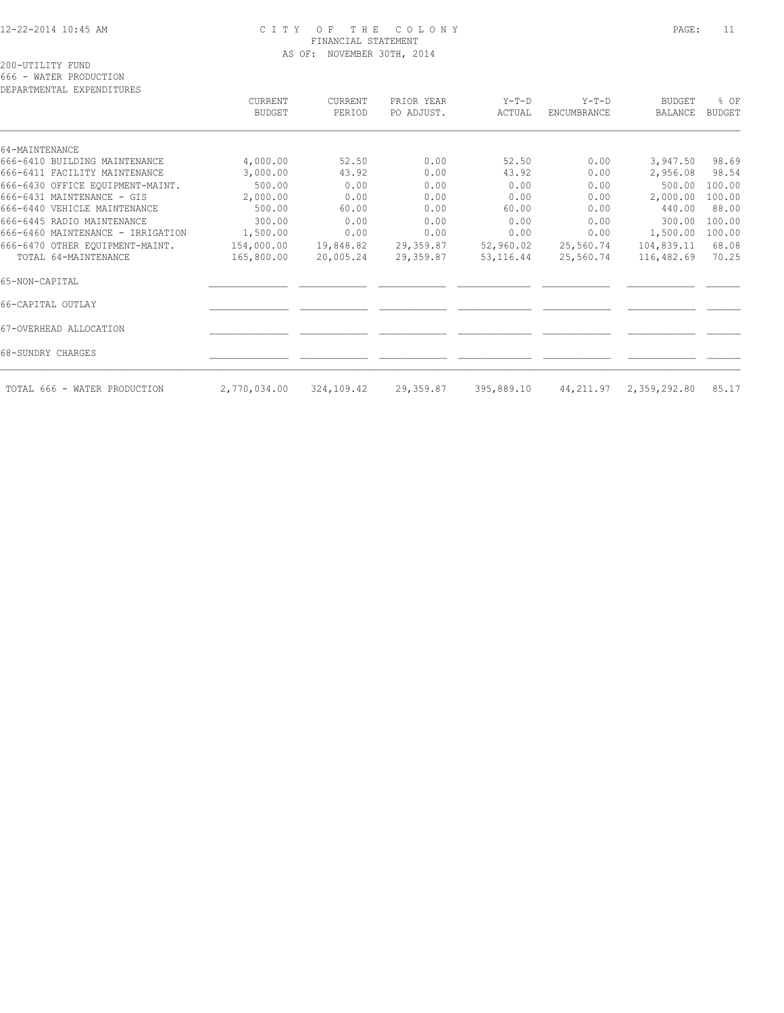# 12-22-2014 10:45 AM C I T Y O F T H E C O L O N Y PAGE: 11 FINANCIAL STATEMENT AS OF: NOVEMBER 30TH, 2014

200-UTILITY FUND

666 - WATER PRODUCTION

| DEPARTMENTAL EXPENDITURES         |                          |                   |                          |                   |                               |                                 |                       |
|-----------------------------------|--------------------------|-------------------|--------------------------|-------------------|-------------------------------|---------------------------------|-----------------------|
|                                   | CURRENT<br><b>BUDGET</b> | CURRENT<br>PERIOD | PRIOR YEAR<br>PO ADJUST. | $Y-T-D$<br>ACTUAL | $Y-T-D$<br><b>ENCUMBRANCE</b> | <b>BUDGET</b><br><b>BALANCE</b> | % OF<br><b>BUDGET</b> |
| 64-MAINTENANCE                    |                          |                   |                          |                   |                               |                                 |                       |
| 666-6410 BUILDING MAINTENANCE     | 4,000.00                 | 52.50             | 0.00                     | 52.50             | 0.00                          | 3,947.50                        | 98.69                 |
| 666-6411 FACILITY MAINTENANCE     | 3,000.00                 | 43.92             | 0.00                     | 43.92             | 0.00                          | 2,956.08                        | 98.54                 |
| 666-6430 OFFICE EQUIPMENT-MAINT.  | 500.00                   | 0.00              | 0.00                     | 0.00              | 0.00                          | 500.00                          | 100.00                |
| 666-6431 MAINTENANCE - GIS        | 2,000.00                 | 0.00              | 0.00                     | 0.00              | 0.00                          | 2,000.00                        | 100.00                |
| 666-6440 VEHICLE MAINTENANCE      | 500.00                   | 60.00             | 0.00                     | 60.00             | 0.00                          | 440.00                          | 88.00                 |
| 666-6445 RADIO MAINTENANCE        | 300.00                   | 0.00              | 0.00                     | 0.00              | 0.00                          | 300.00                          | 100.00                |
| 666-6460 MAINTENANCE - IRRIGATION | 1,500.00                 | 0.00              | 0.00                     | 0.00              | 0.00                          | 1,500.00                        | 100.00                |
| 666-6470 OTHER EQUIPMENT-MAINT.   | 154,000.00               | 19,848.82         | 29,359.87                | 52,960.02         | 25,560.74                     | 104,839.11                      | 68.08                 |
| TOTAL 64-MAINTENANCE              | 165,800.00               | 20,005.24         | 29,359.87                | 53, 116.44        | 25,560.74                     | 116,482.69                      | 70.25                 |
| 65-NON-CAPITAL                    |                          |                   |                          |                   |                               |                                 |                       |
| 66-CAPITAL OUTLAY                 |                          |                   |                          |                   |                               |                                 |                       |
| 67-OVERHEAD ALLOCATION            |                          |                   |                          |                   |                               |                                 |                       |
| 68-SUNDRY CHARGES                 |                          |                   |                          |                   |                               |                                 |                       |
| TOTAL 666 - WATER PRODUCTION      | 2,770,034.00             | 324,109.42        | 29,359.87                | 395,889.10        |                               | 44, 211.97 2, 359, 292.80       | 85.17                 |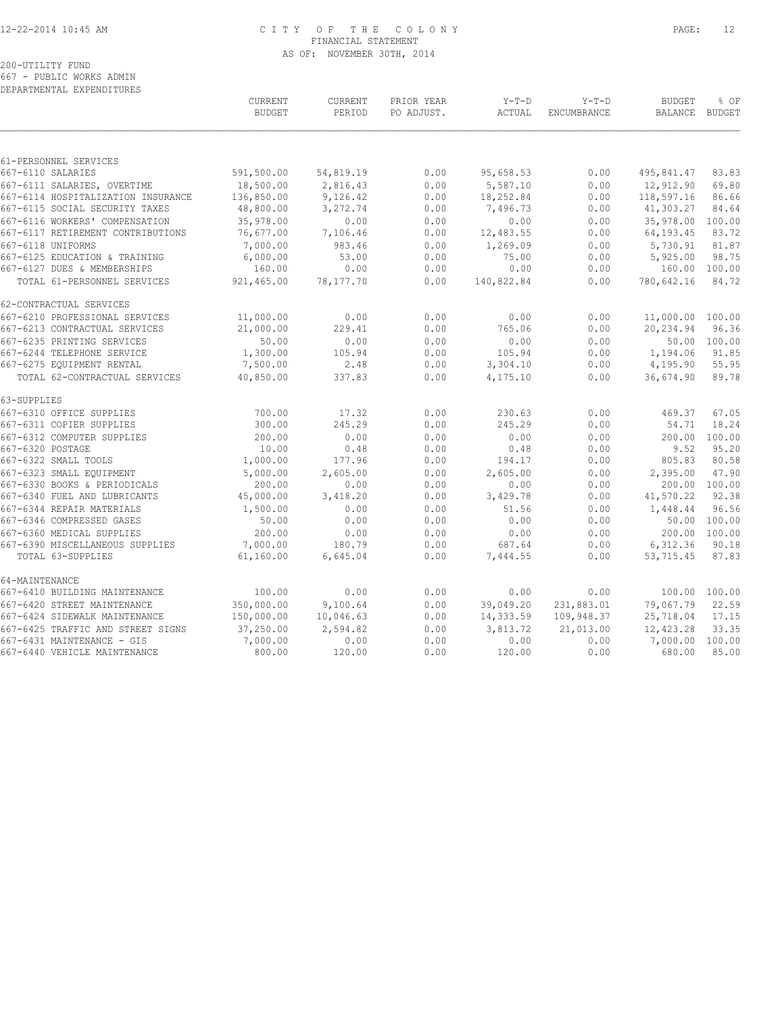# 12-22-2014 10:45 AM C I T Y O F T H E C O L O N Y PAGE: 12 FINANCIAL STATEMENT AS OF: NOVEMBER 30TH, 2014

# 200-UTILITY FUND

667 - PUBLIC WORKS ADMIN

| DEPARTMENTAL EXPENDITURES                                        |                                 |                          |                          |                        |                               |                          |                       |
|------------------------------------------------------------------|---------------------------------|--------------------------|--------------------------|------------------------|-------------------------------|--------------------------|-----------------------|
|                                                                  | <b>CURRENT</b><br><b>BUDGET</b> | <b>CURRENT</b><br>PERIOD | PRIOR YEAR<br>PO ADJUST. | $Y-T-D$<br>ACTUAL      | $Y-T-D$<br><b>ENCUMBRANCE</b> | <b>BUDGET</b><br>BALANCE | % OF<br><b>BUDGET</b> |
|                                                                  |                                 |                          |                          |                        |                               |                          |                       |
| 61-PERSONNEL SERVICES                                            |                                 |                          |                          |                        |                               |                          |                       |
| 667-6110 SALARIES                                                | 591,500.00                      | 54,819.19                | 0.00                     | 95,658.53              | 0.00                          | 495,841.47               | 83.83                 |
| 667-6111 SALARIES, OVERTIME                                      | 18,500.00                       | 2,816.43                 | 0.00                     | 5,587.10               | 0.00                          | 12,912.90                | 69.80                 |
| 667-6114 HOSPITALIZATION INSURANCE                               | 136,850.00                      | 9,126.42                 | 0.00                     | 18,252.84              | 0.00                          | 118,597.16               | 86.66                 |
| 667-6115 SOCIAL SECURITY TAXES<br>667-6116 WORKERS' COMPENSATION | 48,800.00                       | 3,272.74                 | 0.00                     | 7,496.73<br>0.00       | 0.00                          | 41,303.27                | 84.64                 |
| 667-6117 RETIREMENT CONTRIBUTIONS                                | 35,978.00<br>76,677.00          | 0.00<br>7,106.46         | 0.00<br>0.00             | 12,483.55              | 0.00<br>0.00                  | 35,978.00<br>64, 193.45  | 100.00<br>83.72       |
| 667-6118 UNIFORMS                                                | 7,000.00                        | 983.46                   | 0.00                     | 1,269.09               |                               | 5,730.91                 | 81.87                 |
| 667-6125 EDUCATION & TRAINING                                    | 6,000.00                        | 53.00                    | 0.00                     | 75.00                  | 0.00<br>0.00                  | 5,925.00                 | 98.75                 |
| 667-6127 DUES & MEMBERSHIPS                                      | 160.00                          | 0.00                     | 0.00                     | 0.00                   | 0.00                          | 160.00                   | 100.00                |
| TOTAL 61-PERSONNEL SERVICES                                      | 921,465.00                      | 78,177.70                | 0.00                     | 140,822.84             | 0.00                          | 780,642.16               | 84.72                 |
| 62-CONTRACTUAL SERVICES                                          |                                 |                          |                          |                        |                               |                          |                       |
| 667-6210 PROFESSIONAL SERVICES                                   | 11,000.00                       | 0.00                     | 0.00                     | 0.00                   | 0.00                          | 11,000.00                | 100.00                |
| 667-6213 CONTRACTUAL SERVICES                                    | 21,000.00                       | 229.41                   | 0.00                     | 765.06                 | 0.00                          | 20,234.94                | 96.36                 |
| 667-6235 PRINTING SERVICES                                       | 50.00                           | 0.00                     | 0.00                     | 0.00                   | 0.00                          | 50.00                    | 100.00                |
| 667-6244 TELEPHONE SERVICE                                       | 1,300.00                        | 105.94                   | 0.00                     | 105.94                 | 0.00                          | 1,194.06                 | 91.85                 |
| 667-6275 EQUIPMENT RENTAL                                        | 7,500.00                        | 2.48                     | 0.00                     | 3,304.10               | 0.00                          | 4,195.90                 | 55.95                 |
| TOTAL 62-CONTRACTUAL SERVICES                                    | 40,850.00                       | 337.83                   | 0.00                     | 4,175.10               | 0.00                          | 36,674.90                | 89.78                 |
| 63-SUPPLIES                                                      |                                 |                          |                          |                        |                               |                          |                       |
| 667-6310 OFFICE SUPPLIES                                         | 700.00                          | 17.32                    | 0.00                     | 230.63                 | 0.00                          | 469.37                   | 67.05                 |
| 667-6311 COPIER SUPPLIES                                         | 300.00                          | 245.29                   | 0.00                     | 245.29                 | 0.00                          | 54.71                    | 18.24                 |
| 667-6312 COMPUTER SUPPLIES                                       | 200.00                          | 0.00                     | 0.00                     | 0.00                   | 0.00                          | 200.00                   | 100.00                |
| 667-6320 POSTAGE                                                 | 10.00                           | 0.48                     | 0.00                     | 0.48                   | 0.00                          | 9.52                     | 95.20                 |
| 667-6322 SMALL TOOLS                                             | 1,000.00                        | 177.96                   | 0.00                     | 194.17                 | 0.00                          | 805.83                   | 80.58                 |
| 667-6323 SMALL EQUIPMENT                                         | 5,000.00                        | 2,605.00                 | 0.00                     | 2,605.00               | 0.00                          | 2,395.00                 | 47.90                 |
| 667-6330 BOOKS & PERIODICALS                                     | 200.00                          | 0.00                     | 0.00                     | 0.00                   | 0.00                          | 200.00                   | 100.00                |
| 667-6340 FUEL AND LUBRICANTS                                     | 45,000.00                       | 3,418.20                 | 0.00                     | 3,429.78               | 0.00                          | 41,570.22                | 92.38                 |
| 667-6344 REPAIR MATERIALS                                        | 1,500.00                        | 0.00                     | 0.00                     | 51.56                  | 0.00                          | 1,448.44                 | 96.56                 |
| 667-6346 COMPRESSED GASES                                        | 50.00                           | 0.00                     | 0.00                     | 0.00                   | 0.00                          |                          | 50.00 100.00          |
| 667-6360 MEDICAL SUPPLIES                                        | 200.00                          | 0.00                     | 0.00                     | 0.00                   | 0.00                          |                          | 200.00 100.00         |
| 667-6390 MISCELLANEOUS SUPPLIES<br>TOTAL 63-SUPPLIES             | 7,000.00<br>61,160.00           | 180.79<br>6,645.04       | 0.00<br>0.00             | 687.64<br>7,444.55     | 0.00<br>0.00                  | 6,312.36<br>53,715.45    | 90.18<br>87.83        |
|                                                                  |                                 |                          |                          |                        |                               |                          |                       |
| 64-MAINTENANCE                                                   |                                 |                          |                          |                        |                               |                          |                       |
| 667-6410 BUILDING MAINTENANCE                                    | 100.00                          | 0.00                     | 0.00                     | 0.00                   | 0.00                          | 100.00                   | 100.00                |
| 667-6420 STREET MAINTENANCE<br>667-6424 SIDEWALK MAINTENANCE     | 350,000.00<br>150,000.00        | 9,100.64<br>10,046.63    | 0.00                     | 39,049.20<br>14,333.59 | 231,883.01<br>109,948.37      | 79,067.79<br>25,718.04   | 22.59<br>17.15        |
|                                                                  |                                 |                          | 0.00                     |                        |                               |                          | 33.35                 |
| 667-6425 TRAFFIC AND STREET SIGNS<br>667-6431 MAINTENANCE - GIS  | 37,250.00<br>7,000.00           | 2,594.82<br>0.00         | 0.00<br>0.00             | 3,813.72<br>0.00       | 21,013.00<br>0.00             | 12,423.28<br>7,000.00    | 100.00                |
| 667-6440 VEHICLE MAINTENANCE                                     | 800.00                          | 120.00                   | 0.00                     | 120.00                 | 0.00                          | 680.00                   | 85.00                 |
|                                                                  |                                 |                          |                          |                        |                               |                          |                       |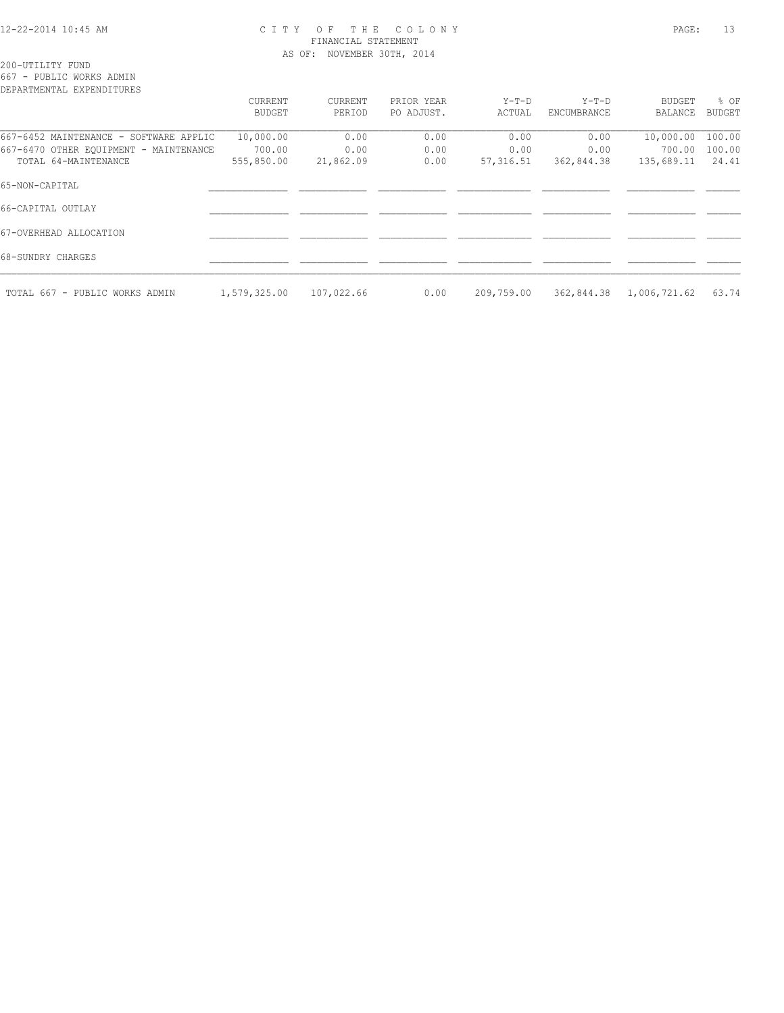#### 12-22-2014 10:45 AM C I T Y O F T H E C O L O N Y PAGE: 13 FINANCIAL STATEMENT AS OF: NOVEMBER 30TH, 2014

200-UTILITY FUND

667 - PUBLIC WORKS ADMIN

| DEPARTMENTAL EXPENDITURES              |               |            |            |            |             |              |               |
|----------------------------------------|---------------|------------|------------|------------|-------------|--------------|---------------|
|                                        | CURRENT       | CURRENT    | PRIOR YEAR | Y-T-D      | $Y-T-D$     | BUDGET       | % OF          |
|                                        | <b>BUDGET</b> | PERIOD     | PO ADJUST. | ACTUAL     | ENCUMBRANCE | BALANCE      | <b>BUDGET</b> |
| 667-6452 MAINTENANCE - SOFTWARE APPLIC | 10,000.00     | 0.00       | 0.00       | 0.00       | 0.00        | 10,000.00    | 100.00        |
| 667-6470 OTHER EQUIPMENT - MAINTENANCE | 700.00        | 0.00       | 0.00       | 0.00       | 0.00        | 700.00       | 100.00        |
| TOTAL 64-MAINTENANCE                   | 555,850.00    | 21,862.09  | 0.00       | 57,316.51  | 362,844.38  | 135,689.11   | 24.41         |
| 65-NON-CAPITAL                         |               |            |            |            |             |              |               |
| 66-CAPITAL OUTLAY                      |               |            |            |            |             |              |               |
| 67-OVERHEAD ALLOCATION                 |               |            |            |            |             |              |               |
| 68-SUNDRY CHARGES                      |               |            |            |            |             |              |               |
| TOTAL 667 - PUBLIC WORKS ADMIN         | 1,579,325.00  | 107,022.66 | 0.00       | 209,759.00 | 362,844.38  | 1,006,721.62 | 63.74         |
|                                        |               |            |            |            |             |              |               |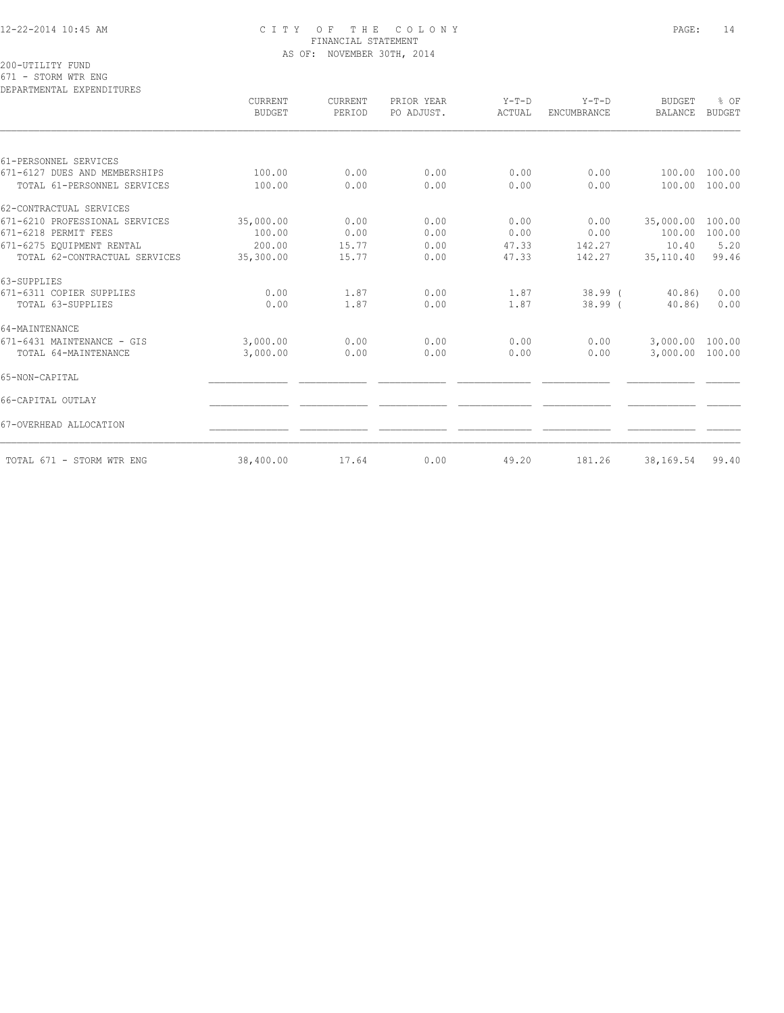# 12-22-2014 10:45 AM C I T Y O F T H E C O L O N Y PAGE: 14 FINANCIAL STATEMENT AS OF: NOVEMBER 30TH, 2014

200-UTILITY FUND

671 - STORM WTR ENG

| DEPARTMENTAL EXPENDITURES      | CURRENT       | CURRENT | PRIOR YEAR | $Y-T-D$ | $Y-T-D$     | <b>BUDGET</b>   | % OF          |
|--------------------------------|---------------|---------|------------|---------|-------------|-----------------|---------------|
|                                | <b>BUDGET</b> | PERIOD  | PO ADJUST. | ACTUAL  | ENCUMBRANCE | <b>BALANCE</b>  | <b>BUDGET</b> |
|                                |               |         |            |         |             |                 |               |
| 61-PERSONNEL SERVICES          |               |         |            |         |             |                 |               |
| 671-6127 DUES AND MEMBERSHIPS  | 100.00        | 0.00    | 0.00       | 0.00    | 0.00        | 100.00          | 100.00        |
| TOTAL 61-PERSONNEL SERVICES    | 100.00        | 0.00    | 0.00       | 0.00    | 0.00        | 100.00          | 100.00        |
| 62-CONTRACTUAL SERVICES        |               |         |            |         |             |                 |               |
| 671-6210 PROFESSIONAL SERVICES | 35,000.00     | 0.00    | 0.00       | 0.00    | 0.00        | 35,000.00       | 100.00        |
| 671-6218 PERMIT FEES           | 100.00        | 0.00    | 0.00       | 0.00    | 0.00        | 100.00          | 100.00        |
| 671-6275 EQUIPMENT RENTAL      | 200.00        | 15.77   | 0.00       | 47.33   | 142.27      | 10.40           | 5.20          |
| TOTAL 62-CONTRACTUAL SERVICES  | 35,300.00     | 15.77   | 0.00       | 47.33   | 142.27      | 35,110.40       | 99.46         |
| 63-SUPPLIES                    |               |         |            |         |             |                 |               |
| 671-6311 COPIER SUPPLIES       | 0.00          | 1.87    | 0.00       | 1.87    | $38.99$ (   | $40.86$ )       | 0.00          |
| TOTAL 63-SUPPLIES              | 0.00          | 1.87    | 0.00       | 1.87    | $38.99$ (   | 40.86           | 0.00          |
| 64-MAINTENANCE                 |               |         |            |         |             |                 |               |
| 671-6431 MAINTENANCE - GIS     | 3,000.00      | 0.00    | 0.00       | 0.00    | 0.00        | 3,000.00 100.00 |               |
| TOTAL 64-MAINTENANCE           | 3,000.00      | 0.00    | 0.00       | 0.00    | 0.00        | 3,000.00 100.00 |               |
| 65-NON-CAPITAL                 |               |         |            |         |             |                 |               |
| 66-CAPITAL OUTLAY              |               |         |            |         |             |                 |               |
| 67-OVERHEAD ALLOCATION         |               |         |            |         |             |                 |               |
| TOTAL 671 - STORM WTR ENG      | 38,400.00     | 17.64   | 0.00       | 49.20   | 181.26      | 38,169.54       | 99.40         |
|                                |               |         |            |         |             |                 |               |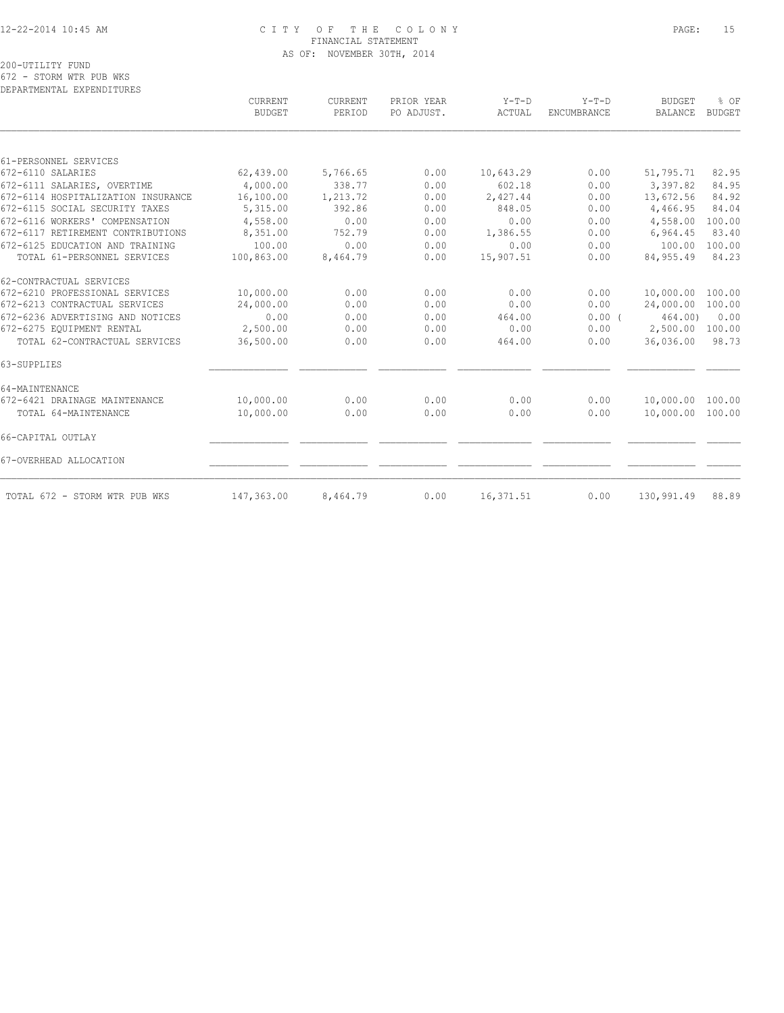#### 12-22-2014 10:45 AM C I T Y O F T H E C O L O N Y PAGE: 15 FINANCIAL STATEMENT AS OF: NOVEMBER 30TH, 2014

200-UTILITY FUND

672 - STORM WTR PUB WKS

| DEPARTMENTAL EXPENDITURES          |                          |                          |                          |                   |                               |                          |                       |
|------------------------------------|--------------------------|--------------------------|--------------------------|-------------------|-------------------------------|--------------------------|-----------------------|
|                                    | <b>CURRENT</b><br>BUDGET | <b>CURRENT</b><br>PERIOD | PRIOR YEAR<br>PO ADJUST. | $Y-T-D$<br>ACTUAL | $Y-T-D$<br><b>ENCUMBRANCE</b> | <b>BUDGET</b><br>BALANCE | % OF<br><b>BUDGET</b> |
|                                    |                          |                          |                          |                   |                               |                          |                       |
| 61-PERSONNEL SERVICES              |                          |                          |                          |                   |                               |                          |                       |
| 672-6110 SALARIES                  | 62,439.00                | 5,766.65                 | 0.00                     | 10,643.29         | 0.00                          | 51,795.71                | 82.95                 |
| 672-6111 SALARIES, OVERTIME        | 4,000.00                 | 338.77                   | 0.00                     | 602.18            | 0.00                          | 3,397.82                 | 84.95                 |
| 672-6114 HOSPITALIZATION INSURANCE | 16,100.00                | 1,213.72                 | 0.00                     | 2,427.44          | 0.00                          | 13,672.56                | 84.92                 |
| 672-6115 SOCIAL SECURITY TAXES     | 5,315.00                 | 392.86                   | 0.00                     | 848.05            | 0.00                          | 4,466.95                 | 84.04                 |
| 672-6116 WORKERS' COMPENSATION     | 4,558.00                 | 0.00                     | 0.00                     | 0.00              | 0.00                          | 4,558.00                 | 100.00                |
| 672-6117 RETIREMENT CONTRIBUTIONS  | 8,351.00                 | 752.79                   | 0.00                     | 1,386.55          | 0.00                          | 6,964.45                 | 83.40                 |
| 672-6125 EDUCATION AND TRAINING    | 100.00                   | 0.00                     | 0.00                     | 0.00              | 0.00                          | 100.00                   | 100.00                |
| TOTAL 61-PERSONNEL SERVICES        | 100,863.00               | 8,464.79                 | 0.00                     | 15,907.51         | 0.00                          | 84, 955.49               | 84.23                 |
| 62-CONTRACTUAL SERVICES            |                          |                          |                          |                   |                               |                          |                       |
| 672-6210 PROFESSIONAL SERVICES     | 10,000.00                | 0.00                     | 0.00                     | 0.00              | 0.00                          | 10,000.00                | 100.00                |
| 672-6213 CONTRACTUAL SERVICES      | 24,000.00                | 0.00                     | 0.00                     | 0.00              | 0.00                          | 24,000.00                | 100.00                |
| 672-6236 ADVERTISING AND NOTICES   | 0.00                     | 0.00                     | 0.00                     | 464.00            | 0.00(                         | 464.00)                  | 0.00                  |
| 672-6275 EOUIPMENT RENTAL          | 2,500.00                 | 0.00                     | 0.00                     | 0.00              | 0.00                          | 2,500.00                 | 100.00                |
| TOTAL 62-CONTRACTUAL SERVICES      | 36,500.00                | 0.00                     | 0.00                     | 464.00            | 0.00                          | 36,036.00                | 98.73                 |
| 63-SUPPLIES                        |                          |                          |                          |                   |                               |                          |                       |
| 64-MAINTENANCE                     |                          |                          |                          |                   |                               |                          |                       |
| 672-6421 DRAINAGE MAINTENANCE      | 10,000.00                | 0.00                     | 0.00                     | 0.00              | 0.00                          | 10,000.00                | 100.00                |
| TOTAL 64-MAINTENANCE               | 10,000.00                | 0.00                     | 0.00                     | 0.00              | 0.00                          | 10,000.00 100.00         |                       |
| 66-CAPITAL OUTLAY                  |                          |                          |                          |                   |                               |                          |                       |
| 67-OVERHEAD ALLOCATION             |                          |                          |                          |                   |                               |                          |                       |
| TOTAL 672 - STORM WTR PUB WKS      | 147,363.00               | 8,464.79                 | 0.00                     | 16,371.51         | 0.00                          | 130,991.49               | 88.89                 |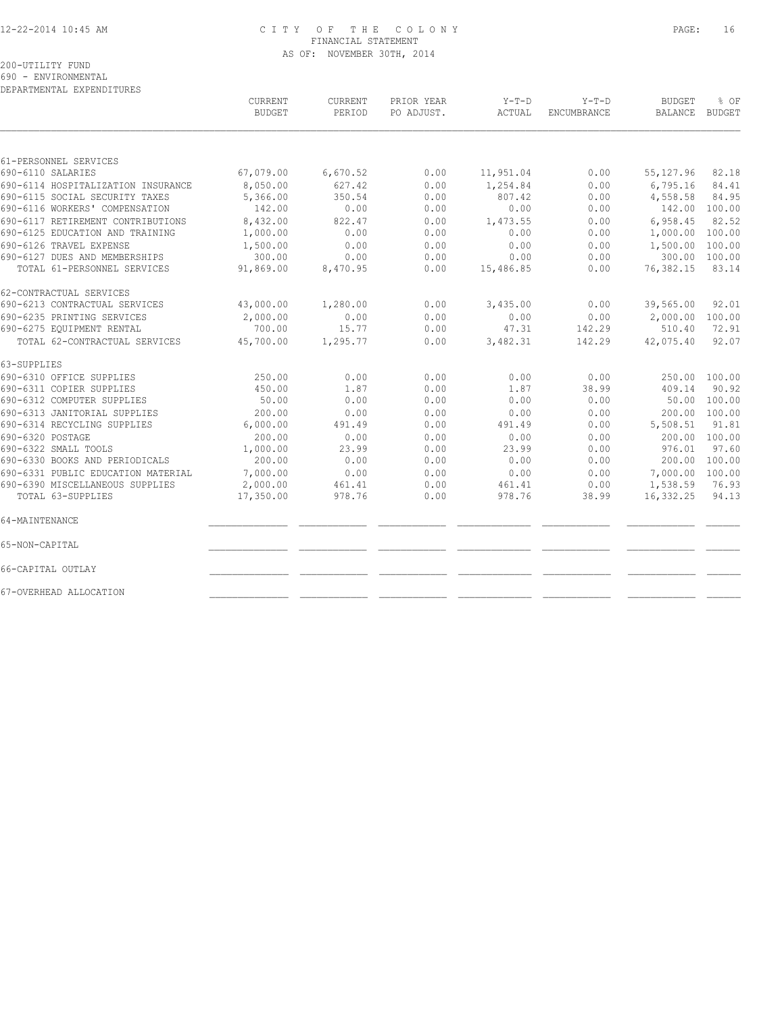# 12-22-2014 10:45 AM C I T Y O F T H E C O L O N Y PAGE: 16 FINANCIAL STATEMENT AS OF: NOVEMBER 30TH, 2014

200-UTILITY FUND

690 - ENVIRONMENTAL

DEPARTMENTAL EXPENDITURES

|                                    | CURRENT<br><b>BUDGET</b> | CURRENT<br>PERIOD | PRIOR YEAR<br>PO ADJUST. | $Y-T-D$<br>ACTUAL | $Y-T-D$<br>ENCUMBRANCE | <b>BUDGET</b><br><b>BALANCE</b> | % OF<br><b>BUDGET</b> |
|------------------------------------|--------------------------|-------------------|--------------------------|-------------------|------------------------|---------------------------------|-----------------------|
|                                    |                          |                   |                          |                   |                        |                                 |                       |
| 61-PERSONNEL SERVICES              |                          |                   |                          |                   |                        |                                 |                       |
| 690-6110 SALARIES                  | 67,079.00                | 6,670.52          | 0.00                     | 11,951.04         | 0.00                   | 55, 127.96                      | 82.18                 |
| 690-6114 HOSPITALIZATION INSURANCE | 8,050.00                 | 627.42            | 0.00                     | 1,254.84          | 0.00                   | 6,795.16                        | 84.41                 |
| 690-6115 SOCIAL SECURITY TAXES     | 5,366.00                 | 350.54            | 0.00                     | 807.42            | 0.00                   | 4,558.58                        | 84.95                 |
| 690-6116 WORKERS' COMPENSATION     | 142.00                   | 0.00              | 0.00                     | 0.00              | 0.00                   |                                 | 142.00 100.00         |
| 690-6117 RETIREMENT CONTRIBUTIONS  | 8,432.00                 | 822.47            | 0.00                     | 1,473.55          | 0.00                   | 6,958.45                        | 82.52                 |
| 690-6125 EDUCATION AND TRAINING    | 1,000.00                 | 0.00              | 0.00                     | 0.00              | 0.00                   | 1,000.00                        | 100.00                |
| 690-6126 TRAVEL EXPENSE            | 1,500.00                 | 0.00              | 0.00                     | 0.00              | 0.00                   | 1,500.00                        | 100.00                |
| 690-6127 DUES AND MEMBERSHIPS      | 300.00                   | 0.00              | 0.00                     | 0.00              | 0.00                   |                                 | 300.00 100.00         |
| TOTAL 61-PERSONNEL SERVICES        | 91,869.00                | 8,470.95          | 0.00                     | 15,486.85         | 0.00                   | 76,382.15                       | 83.14                 |
| 62-CONTRACTUAL SERVICES            |                          |                   |                          |                   |                        |                                 |                       |
| 690-6213 CONTRACTUAL SERVICES      | 43,000.00                | 1,280.00          | 0.00                     | 3,435.00          | 0.00                   | 39,565.00                       | 92.01                 |
| 690-6235 PRINTING SERVICES         | 2,000.00                 | 0.00              | 0.00                     | 0.00              | 0.00                   | 2,000.00                        | 100.00                |
| 690-6275 EQUIPMENT RENTAL          | 700.00                   | 15.77             | 0.00                     | 47.31             | 142.29                 | 510.40                          | 72.91                 |
| TOTAL 62-CONTRACTUAL SERVICES      | 45,700.00                | 1,295.77          | 0.00                     | 3,482.31          | 142.29                 | 42,075.40                       | 92.07                 |
| 63-SUPPLIES                        |                          |                   |                          |                   |                        |                                 |                       |
| 690-6310 OFFICE SUPPLIES           | 250.00                   | 0.00              | 0.00                     | 0.00              | 0.00                   | 250.00                          | 100.00                |
| 690-6311 COPIER SUPPLIES           | 450.00                   | 1.87              | 0.00                     | 1.87              | 38.99                  | 409.14                          | 90.92                 |
| 690-6312 COMPUTER SUPPLIES         | 50.00                    | 0.00              | 0.00                     | 0.00              | 0.00                   | 50.00                           | 100.00                |
| 690-6313 JANITORIAL SUPPLIES       | 200.00                   | 0.00              | 0.00                     | 0.00              | 0.00                   | 200.00                          | 100.00                |
| 690-6314 RECYCLING SUPPLIES        | 6,000.00                 | 491.49            | 0.00                     | 491.49            | 0.00                   | 5,508.51                        | 91.81                 |
| 690-6320 POSTAGE                   | 200.00                   | 0.00              | 0.00                     | 0.00              | 0.00                   |                                 | 200.00 100.00         |
| 690-6322 SMALL TOOLS               | 1,000.00                 | 23.99             | 0.00                     | 23.99             | 0.00                   | 976.01                          | 97.60                 |
| 690-6330 BOOKS AND PERIODICALS     | 200.00                   | 0.00              | 0.00                     | 0.00              | 0.00                   | 200.00                          | 100.00                |
| 690-6331 PUBLIC EDUCATION MATERIAL | 7,000.00                 | 0.00              | 0.00                     | 0.00              | 0.00                   | 7,000.00                        | 100.00                |
| 690-6390 MISCELLANEOUS SUPPLIES    | 2,000.00                 | 461.41            | 0.00                     | 461.41            | 0.00                   | 1,538.59                        | 76.93                 |
| TOTAL 63-SUPPLIES                  | 17,350.00                | 978.76            | 0.00                     | 978.76            | 38.99                  | 16,332.25                       | 94.13                 |
| 64-MAINTENANCE                     |                          |                   |                          |                   |                        |                                 |                       |
| 65-NON-CAPITAL                     |                          |                   |                          |                   |                        |                                 |                       |
| 66-CAPITAL OUTLAY                  |                          |                   |                          |                   |                        |                                 |                       |
| 67-OVERHEAD ALLOCATION             |                          |                   |                          |                   |                        |                                 |                       |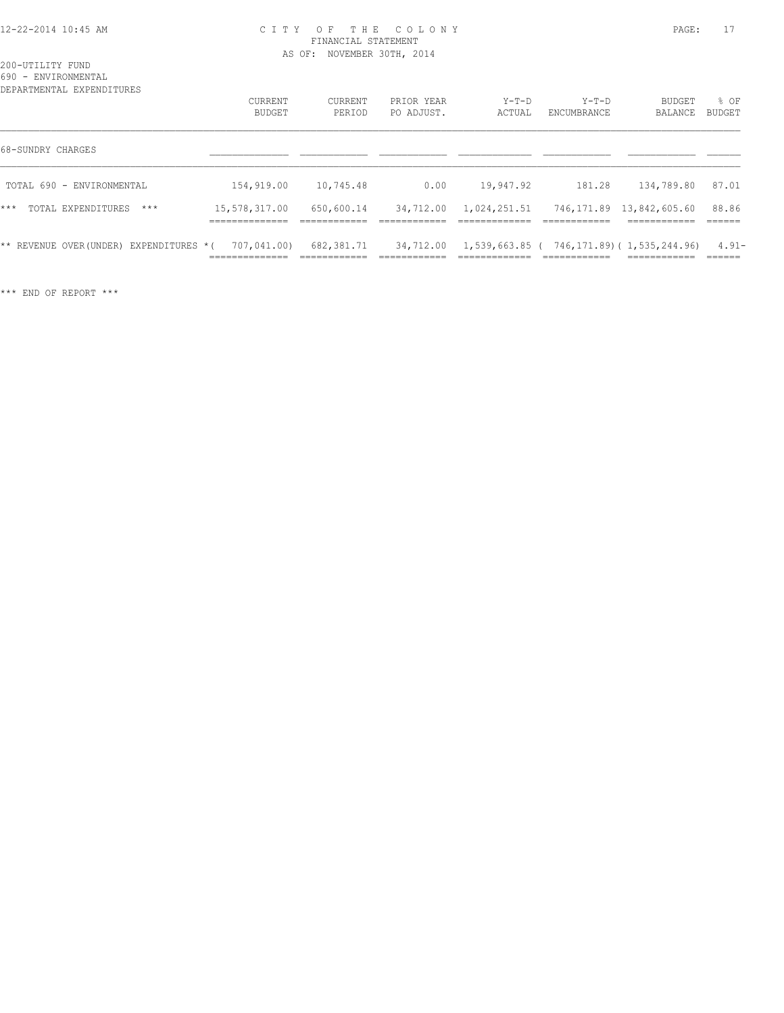#### 12-22-2014 10:45 AM C I T Y O F T H E C O L O N Y PAGE: 17 FINANCIAL STATEMENT AS OF: NOVEMBER 30TH, 2014

200-UTILITY FUND 690 - ENVIRONMENTAL

| DEPARTMENTAL EXPENDITURES                |                                                 |                             |                           |                              |                                                            |                                                        |                               |
|------------------------------------------|-------------------------------------------------|-----------------------------|---------------------------|------------------------------|------------------------------------------------------------|--------------------------------------------------------|-------------------------------|
|                                          | CURRENT                                         | CURRENT                     | PRIOR YEAR                | $Y-T-D$                      | $Y-T-D$                                                    | BUDGET                                                 | % OF                          |
|                                          | BUDGET                                          | PERIOD                      | PO ADJUST.                | ACTUAL                       | ENCUMBRANCE                                                | BALANCE                                                | BUDGET                        |
| 68-SUNDRY CHARGES                        |                                                 |                             |                           |                              |                                                            |                                                        |                               |
| TOTAL 690 - ENVIRONMENTAL                | 154,919.00                                      | 10,745.48                   | 0.00                      | 19,947.92                    | 181.28                                                     | 134,789.80                                             | 87.01                         |
| $***$<br>TOTAL EXPENDITURES<br>$***$     | 15,578,317.00<br>_____________                  | 650,600.14<br>------------- | 34,712.00<br>------------ | 1,024,251.51<br>____________ | -------------                                              | 746,171.89 13,842,605.60<br>------------<br>---------- | 88.86<br>-------              |
| ** REVENUE OVER (UNDER) EXPENDITURES * ( | 707,041.00)<br>_____________<br>_______________ | 682,381.71<br>____________  | 34,712.00<br>________     | --------------               | $1, 539, 663, 85$ ( $746, 171, 89$ ) ( $1, 535, 244, 96$ ) | ____________                                           | $4.91 -$<br>-------<br>______ |

\*\*\* END OF REPORT \*\*\*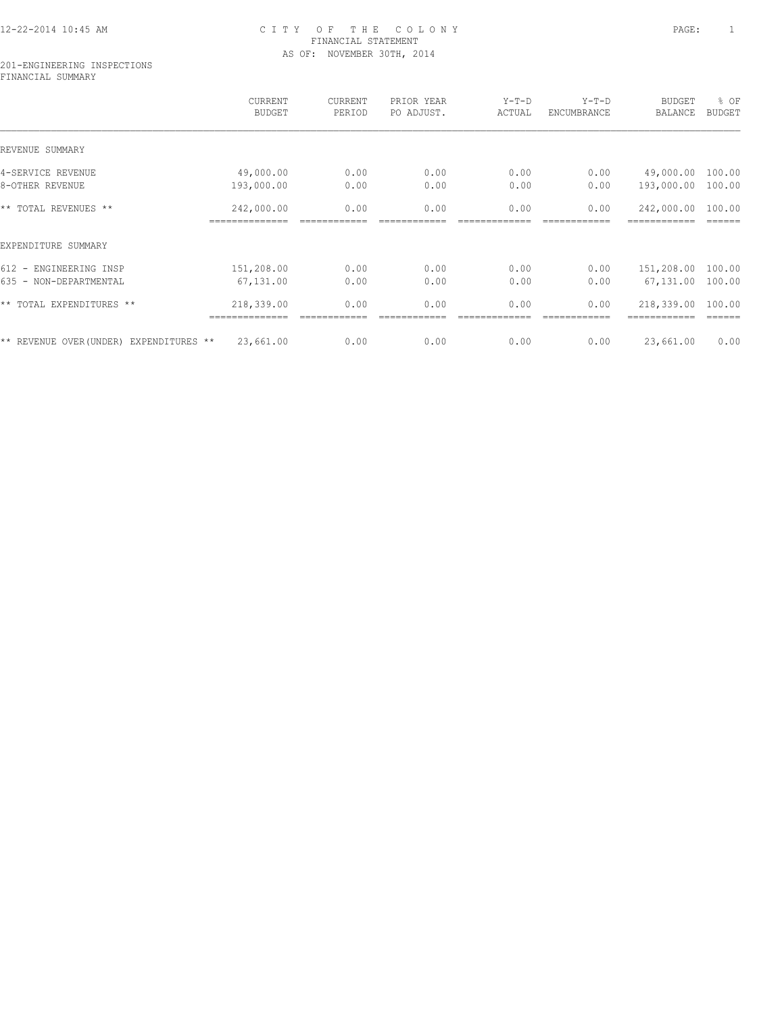# 12-22-2014 10:45 AM C I T Y O F T H E C O L O N Y PAGE: 1 FINANCIAL STATEMENT AS OF: NOVEMBER 30TH, 2014

#### 201-ENGINEERING INSPECTIONS FINANCIAL SUMMARY

|                                         | CURRENT<br><b>BUDGET</b>     | CURRENT<br>PERIOD | PRIOR YEAR<br>PO ADJUST. | $Y-T-D$<br>ACTUAL | $Y-T-D$<br>ENCUMBRANCE | <b>BUDGET</b><br><b>BALANCE</b> | % OF<br><b>BUDGET</b> |
|-----------------------------------------|------------------------------|-------------------|--------------------------|-------------------|------------------------|---------------------------------|-----------------------|
| REVENUE SUMMARY                         |                              |                   |                          |                   |                        |                                 |                       |
| 4-SERVICE REVENUE                       | 49,000.00                    | 0.00              | 0.00                     | 0.00              | 0.00                   | 49,000.00                       | 100.00                |
| 8-OTHER REVENUE                         | 193,000.00                   | 0.00              | 0.00                     | 0.00              | 0.00                   | 193,000.00                      | 100.00                |
| ** TOTAL REVENUES **                    | 242,000.00<br>-------------- | 0.00              | 0.00                     | 0.00              | 0.00                   | 242,000.00                      | 100.00                |
| EXPENDITURE SUMMARY                     |                              |                   |                          |                   |                        |                                 |                       |
| 612 - ENGINEERING INSP                  | 151,208.00                   | 0.00              | 0.00                     | 0.00              | 0.00                   | 151,208.00                      | 100.00                |
| 635 - NON-DEPARTMENTAL                  | 67,131.00                    | 0.00              | 0.00                     | 0.00              | 0.00                   | 67,131.00                       | 100.00                |
| ** TOTAL EXPENDITURES **                | 218,339.00<br>------------   | 0.00              | 0.00                     | 0.00              | 0.00                   | 218,339.00                      | 100.00                |
| ** REVENUE OVER (UNDER) EXPENDITURES ** | 23,661.00                    | 0.00              | 0.00                     | 0.00              | 0.00                   | 23,661.00                       | 0.00                  |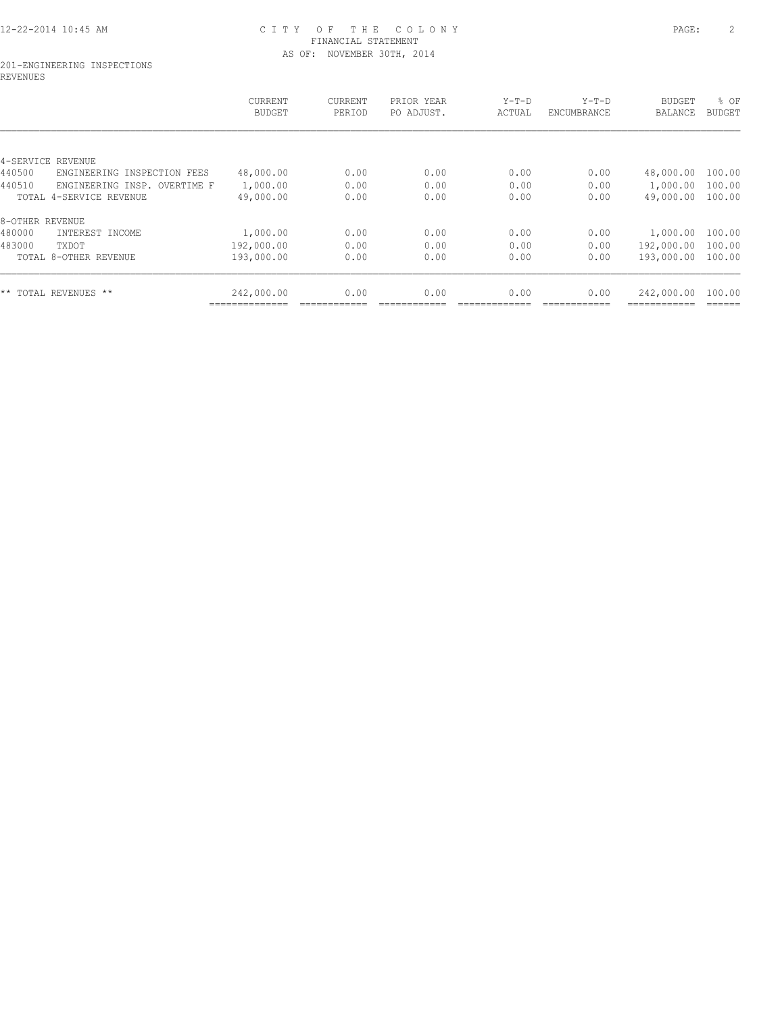# 12-22-2014 10:45 AM C I T Y O F T H E C O L O N Y PAGE: 2 FINANCIAL STATEMENT AS OF: NOVEMBER 30TH, 2014

#### 201-ENGINEERING INSPECTIONS REVENUES

|                                          | <b>CURRENT</b><br><b>BUDGET</b> | <b>CURRENT</b><br>PERIOD | PRIOR YEAR<br>PO ADJUST. | $Y-T-D$<br>ACTUAL | $Y-T-D$<br>ENCUMBRANCE | <b>BUDGET</b><br>BALANCE | % OF<br><b>BUDGET</b> |
|------------------------------------------|---------------------------------|--------------------------|--------------------------|-------------------|------------------------|--------------------------|-----------------------|
|                                          |                                 |                          |                          |                   |                        |                          |                       |
| 4-SERVICE<br>REVENUE                     |                                 |                          |                          |                   |                        |                          |                       |
| 440500<br>ENGINEERING INSPECTION<br>FEES | 48,000.00                       | 0.00                     | 0.00                     | 0.00              | 0.00                   | 48,000.00                | 100.00                |
| 440510<br>ENGINEERING INSP. OVERTIME F   | 1,000.00                        | 0.00                     | 0.00                     | 0.00              | 0.00                   | 1,000.00                 | 100.00                |
| TOTAL 4-SERVICE REVENUE                  | 49,000.00                       | 0.00                     | 0.00                     | 0.00              | 0.00                   | 49,000.00                | 100.00                |
| 8-OTHER REVENUE                          |                                 |                          |                          |                   |                        |                          |                       |
| 480000<br>INTEREST INCOME                | 1,000.00                        | 0.00                     | 0.00                     | 0.00              | 0.00                   | 1,000.00                 | 100.00                |
| 483000<br>TXDOT                          | 192,000.00                      | 0.00                     | 0.00                     | 0.00              | 0.00                   | 192,000.00               | 100.00                |
| TOTAL 8-OTHER REVENUE                    | 193,000.00                      | 0.00                     | 0.00                     | 0.00              | 0.00                   | 193,000.00               | 100.00                |
| ** TOTAL REVENUES **                     | 242,000.00                      | 0.00                     | 0.00                     | 0.00              | 0.00                   | 242,000.00               | 100.00                |
|                                          | -----------                     |                          |                          |                   |                        |                          |                       |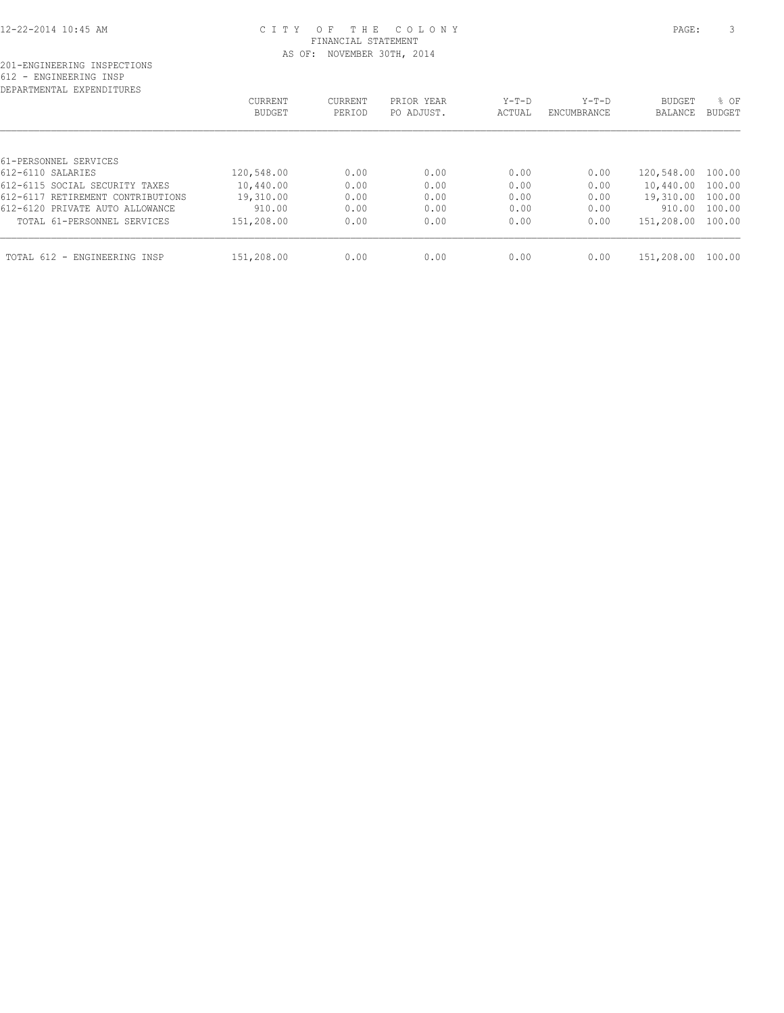#### 12-22-2014 10:45 AM C I T Y O F T H E C O L O N Y PAGE: 3 FINANCIAL STATEMENT AS OF: NOVEMBER 30TH, 2014

# 201-ENGINEERING INSPECTIONS 612 - ENGINEERING INSP

| DEPARTMENTAL EXPENDITURES         |            |         |            |         |             |            |        |
|-----------------------------------|------------|---------|------------|---------|-------------|------------|--------|
|                                   | CURRENT    | CURRENT | PRIOR YEAR | $Y-T-D$ | $Y-T-D$     | BUDGET     | % OF   |
|                                   | BUDGET     | PERIOD  | PO ADJUST. | ACTUAL  | ENCUMBRANCE | BALANCE    | BUDGET |
|                                   |            |         |            |         |             |            |        |
| 61-PERSONNEL SERVICES             |            |         |            |         |             |            |        |
| 612-6110 SALARIES                 | 120,548.00 | 0.00    | 0.00       | 0.00    | 0.00        | 120,548.00 | 100.00 |
| 612-6115 SOCIAL SECURITY TAXES    | 10,440.00  | 0.00    | 0.00       | 0.00    | 0.00        | 10,440.00  | 100.00 |
| 612-6117 RETIREMENT CONTRIBUTIONS | 19,310.00  | 0.00    | 0.00       | 0.00    | 0.00        | 19,310.00  | 100.00 |
| 612-6120 PRIVATE AUTO ALLOWANCE   | 910.00     | 0.00    | 0.00       | 0.00    | 0.00        | 910.00     | 100.00 |
| TOTAL 61-PERSONNEL SERVICES       | 151,208.00 | 0.00    | 0.00       | 0.00    | 0.00        | 151,208.00 | 100.00 |
| TOTAL 612 - ENGINEERING INSP      | 151,208.00 | 0.00    | 0.00       | 0.00    | 0.00        | 151,208.00 | 100.00 |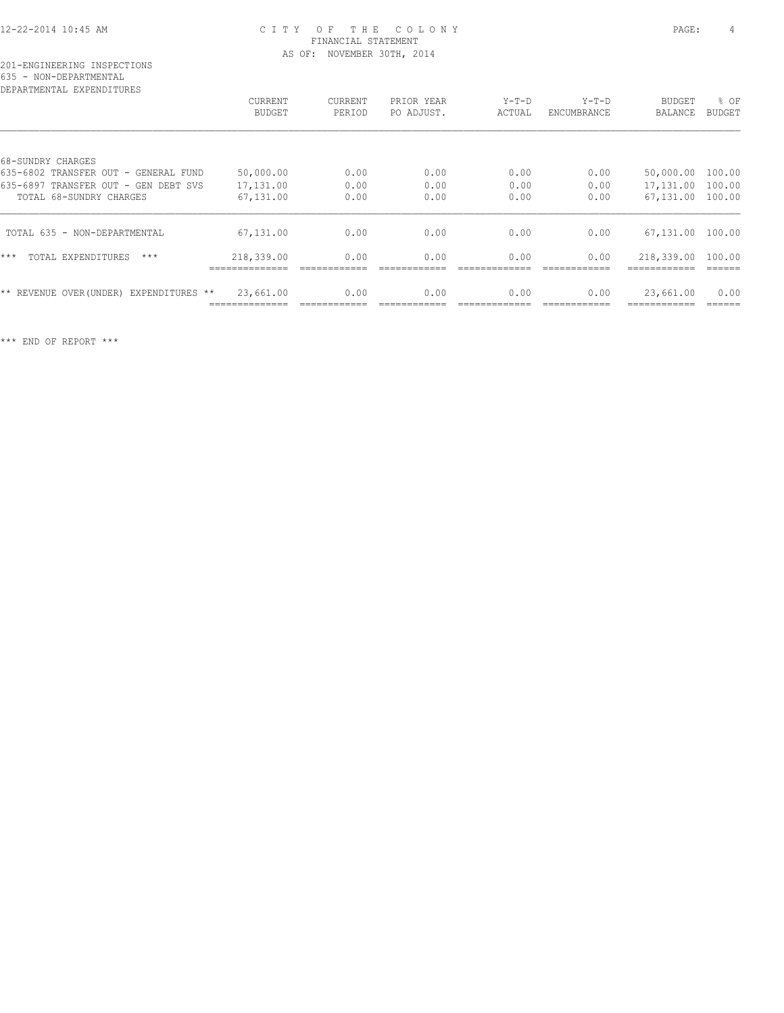#### 12-22-2014 10:45 AM C I T Y O F T H E C O L O N Y PAGE: 4 FINANCIAL STATEMENT AS OF: NOVEMBER 30TH, 2014

# 201-ENGINEERING INSPECTIONS 635 - NON-DEPARTMENTAL

| DEPARTMENTAL EXPENDITURES                  |                |                |            |         |                    |                |               |
|--------------------------------------------|----------------|----------------|------------|---------|--------------------|----------------|---------------|
|                                            | <b>CURRENT</b> | <b>CURRENT</b> | PRIOR YEAR | $Y-T-D$ | $Y-T-D$            | <b>BUDGET</b>  | % OF          |
|                                            | <b>BUDGET</b>  | PERIOD         | PO ADJUST. | ACTUAL  | <b>ENCUMBRANCE</b> | <b>BALANCE</b> | <b>BUDGET</b> |
|                                            |                |                |            |         |                    |                |               |
| 68-SUNDRY CHARGES                          |                |                |            |         |                    |                |               |
| 635-6802 TRANSFER OUT - GENERAL FUND       | 50,000.00      | 0.00           | 0.00       | 0.00    | 0.00               | 50,000.00      | 100.00        |
| 635-6897 TRANSFER OUT - GEN DEBT SVS       | 17,131.00      | 0.00           | 0.00       | 0.00    | 0.00               | 17,131.00      | 100.00        |
| TOTAL 68-SUNDRY CHARGES                    | 67,131.00      | 0.00           | 0.00       | 0.00    | 0.00               | 67,131.00      | 100.00        |
| TOTAL 635 - NON-DEPARTMENTAL               | 67,131.00      | 0.00           | 0.00       | 0.00    | 0.00               | 67,131.00      | 100.00        |
| $***$<br>$***$<br>TOTAL EXPENDITURES       | 218,339.00     | 0.00           | 0.00       | 0.00    | 0.00               | 218,339.00     | 100.00        |
| EXPENDITURES **<br>** REVENUE OVER (UNDER) | 23,661.00      | 0.00           | 0.00       | 0.00    | 0.00               | 23,661.00      | 0.00          |
|                                            |                |                |            |         |                    |                |               |

\*\*\* END OF REPORT \*\*\*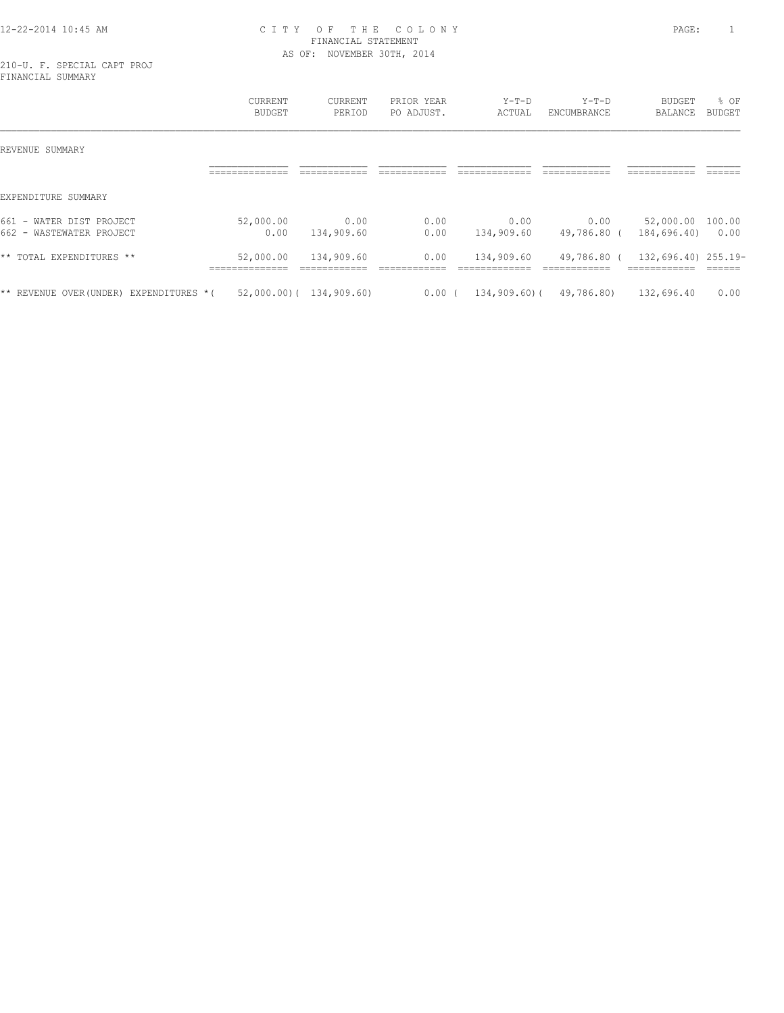#### 12-22-2014 10:45 AM C I T Y O F T H E C O L O N Y PAGE: 1 FINANCIAL STATEMENT AS OF: NOVEMBER 30TH, 2014

210-U. F. SPECIAL CAPT PROJ FINANCIAL SUMMARY

|                                                                                   | <b>CURRENT</b><br><b>BUDGET</b>    | CURRENT<br>PERIOD           | PRIOR YEAR<br>PO ADJUST.   | $Y-T-D$<br>ACTUAL             | $Y-T-D$<br><b>ENCUMBRANCE</b> | <b>BUDGET</b><br>BALANCE            | % OF<br>BUDGET  |
|-----------------------------------------------------------------------------------|------------------------------------|-----------------------------|----------------------------|-------------------------------|-------------------------------|-------------------------------------|-----------------|
| REVENUE SUMMARY                                                                   |                                    |                             |                            |                               |                               |                                     |                 |
|                                                                                   | ______________<br>---------------- | ____________<br>----------- | ____________<br>---------- | _____________<br>------------ | ____________<br>------------- | ____________<br>-------------       | ______<br>_____ |
| EXPENDITURE SUMMARY                                                               |                                    |                             |                            |                               |                               |                                     |                 |
| 661<br>WATER DIST PROJECT<br>$\overline{\phantom{0}}$<br>662 - WASTEWATER PROJECT | 52,000.00<br>0.00                  | 0.00<br>134,909.60          | 0.00<br>0.00               | 0.00<br>134,909.60            | 0.00<br>49,786.80 (           | 52,000.00<br>184,696.40)            | 100.00<br>0.00  |
| ** TOTAL EXPENDITURES<br>$***$                                                    | 52,000.00<br>______________        | 134,909.60<br>____________  | 0.00<br>-------------      | 134,909.60<br>____________    | 49,786.80 (<br>-------------  | 132,696.40) 255.19-<br>------------ | -------         |
| EXPENDITURES *(<br>** REVENUE OVER(UNDER)                                         |                                    | $52,000.00)$ ( 134,909.60)  | $0.00$ (                   | $134,909.60$ (                | 49,786.80)                    | 132,696.40                          | 0.00            |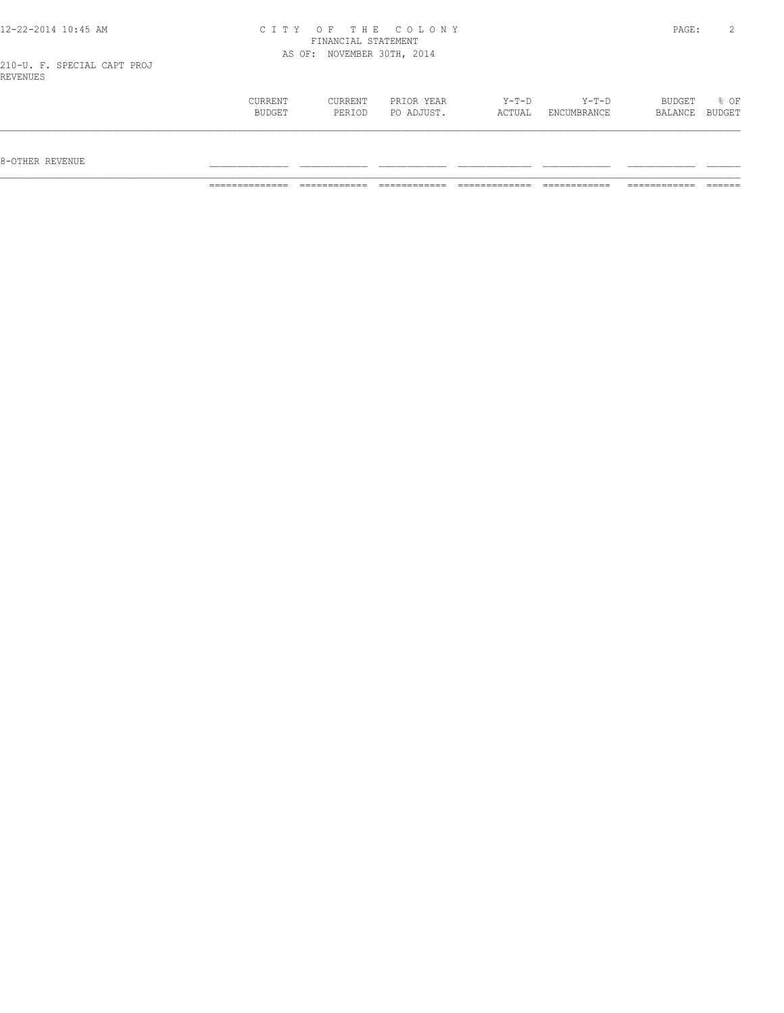| 12-22-2014 10:45 AM         | CITY OF THE COLONY         | PAGE: |  |
|-----------------------------|----------------------------|-------|--|
|                             | FINANCIAL STATEMENT        |       |  |
|                             | AS OF: NOVEMBER 30TH, 2014 |       |  |
| 210-U. F. SPECIAL CAPT PROJ |                            |       |  |
| REVENUES                    |                            |       |  |
|                             |                            |       |  |

 CURRENT CURRENT PRIOR YEAR Y-T-D Y-T-D BUDGET % OF BUDGET PERIOD PO ADJUST. ACTUAL ENCUMBRANCE BALANCE BUDGET  $\mathcal{L} = \{ \mathcal{L} = \{ \mathcal{L} = \{ \mathcal{L} = \{ \mathcal{L} = \{ \mathcal{L} = \{ \mathcal{L} = \{ \mathcal{L} = \{ \mathcal{L} = \{ \mathcal{L} = \{ \mathcal{L} = \{ \mathcal{L} = \{ \mathcal{L} = \{ \mathcal{L} = \{ \mathcal{L} = \{ \mathcal{L} = \{ \mathcal{L} = \{ \mathcal{L} = \{ \mathcal{L} = \{ \mathcal{L} = \{ \mathcal{L} = \{ \mathcal{L} = \{ \mathcal{L} = \{ \mathcal{L} = \{ \mathcal{$ 

8-OTHER REVENUE \_\_\_\_\_\_\_\_\_\_\_\_\_\_ \_\_\_\_\_\_\_\_\_\_\_\_ \_\_\_\_\_\_\_\_\_\_\_\_ \_\_\_\_\_\_\_\_\_\_\_\_\_ \_\_\_\_\_\_\_\_\_\_\_\_ \_\_\_\_\_\_\_\_\_\_\_\_ \_\_\_\_\_\_

============== ============ ============ ============= ============ ============ ======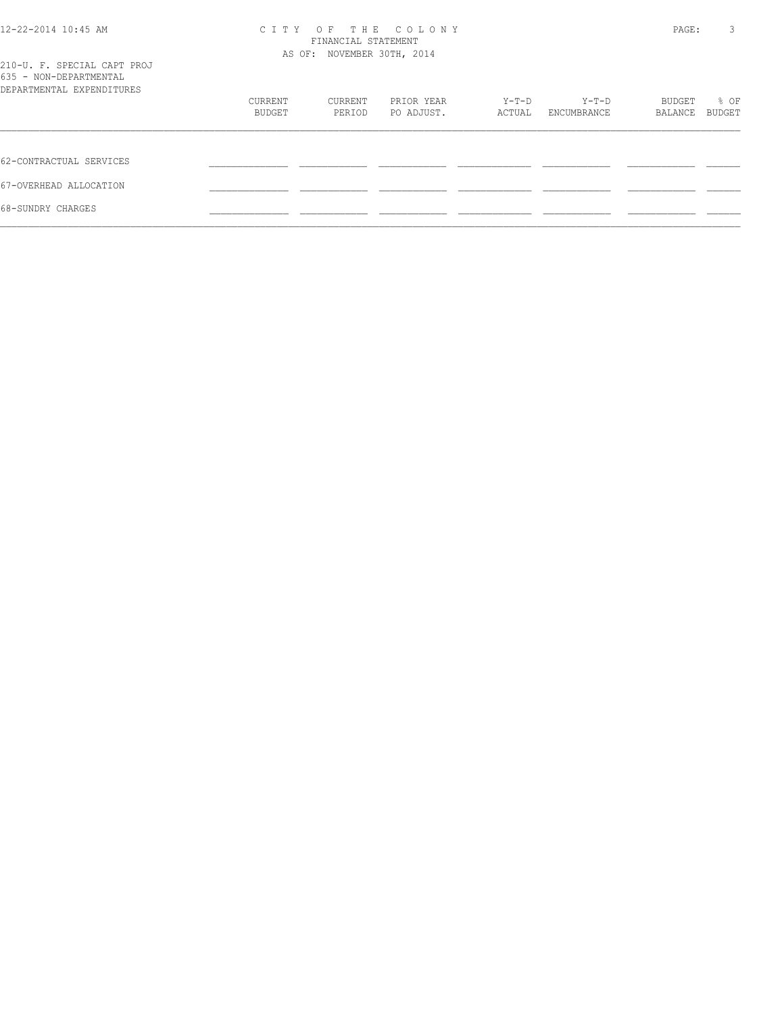| 12-22-2014 10:45 AM                                                                | C T T Y                    | PAGE:             | 3                        |                 |                      |                   |                       |
|------------------------------------------------------------------------------------|----------------------------|-------------------|--------------------------|-----------------|----------------------|-------------------|-----------------------|
| 210-U. F. SPECIAL CAPT PROJ<br>635 - NON-DEPARTMENTAL<br>DEPARTMENTAL EXPENDITURES | AS OF: NOVEMBER 30TH, 2014 |                   |                          |                 |                      |                   |                       |
|                                                                                    | CURRENT<br>BUDGET          | CURRENT<br>PERIOD | PRIOR YEAR<br>PO ADJUST. | Y-T-D<br>ACTUAL | Y-T-D<br>ENCUMBRANCE | BUDGET<br>BALANCE | % OF<br><b>BUDGET</b> |
| 62-CONTRACTUAL SERVICES                                                            |                            |                   |                          |                 |                      |                   |                       |
| 67-OVERHEAD ALLOCATION                                                             |                            |                   |                          |                 |                      |                   |                       |
| 68-SUNDRY CHARGES                                                                  |                            |                   |                          |                 |                      |                   |                       |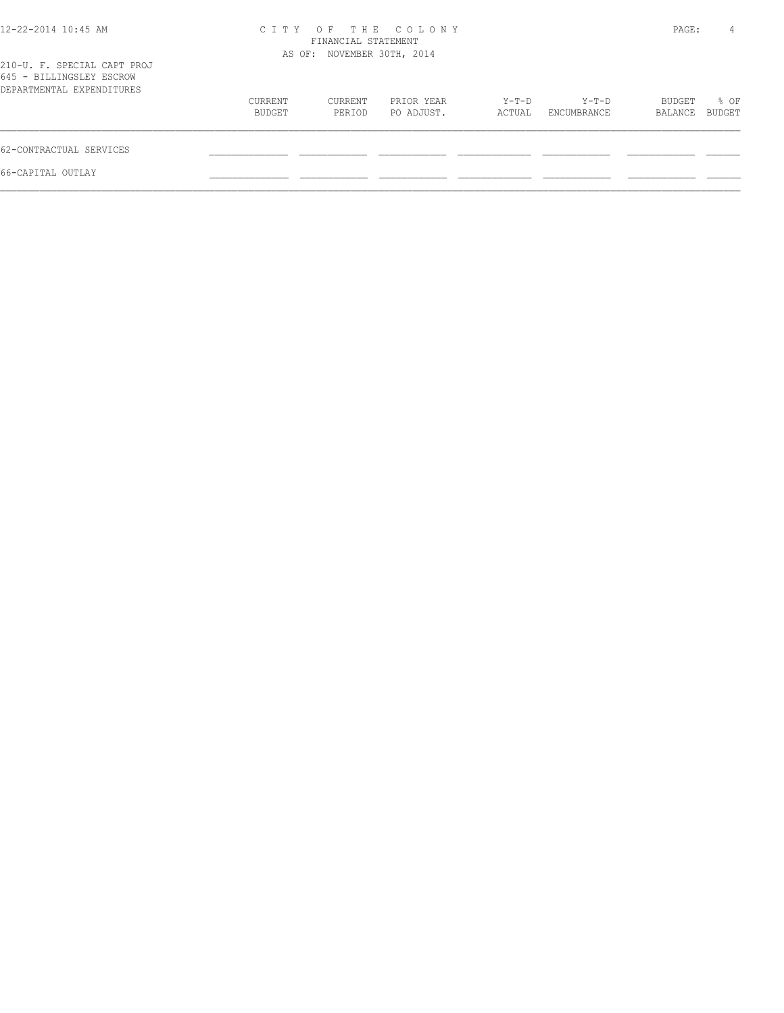| PAGE:<br>4                          |
|-------------------------------------|
|                                     |
| % OF<br>BUDGET<br>BUDGET<br>BALANCE |
|                                     |
|                                     |
|                                     |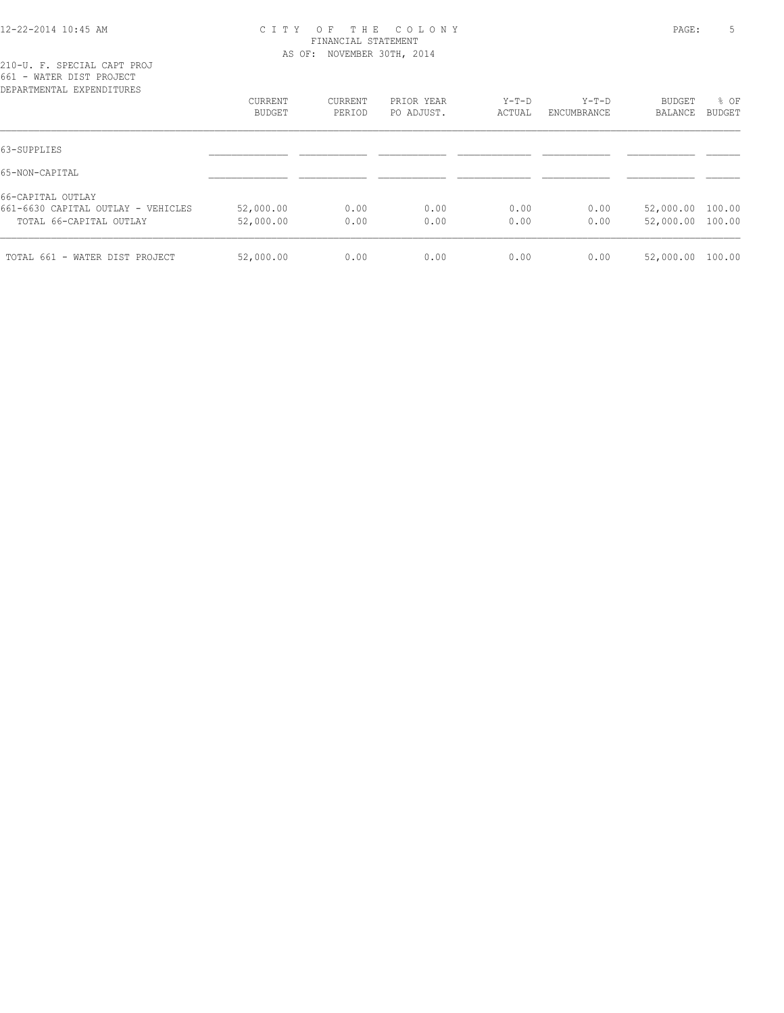#### 12-22-2014 10:45 AM C I T Y O F T H E C O L O N Y PAGE: 5 FINANCIAL STATEMENT AS OF: NOVEMBER 30TH, 2014

| DEPARTMENTAL EXPENDITURES          |           |         |            |         |             |                  |               |
|------------------------------------|-----------|---------|------------|---------|-------------|------------------|---------------|
|                                    | CURRENT   | CURRENT | PRIOR YEAR | $Y-T-D$ | Y-T-D       | <b>BUDGET</b>    | % OF          |
|                                    | BUDGET    | PERIOD  | PO ADJUST. | ACTUAL  | ENCUMBRANCE | BALANCE          | <b>BUDGET</b> |
| 63-SUPPLIES                        |           |         |            |         |             |                  |               |
| 65-NON-CAPITAL                     |           |         |            |         |             |                  |               |
| 66-CAPITAL OUTLAY                  |           |         |            |         |             |                  |               |
| 661-6630 CAPITAL OUTLAY - VEHICLES | 52,000.00 | 0.00    | 0.00       | 0.00    | 0.00        | 52,000.00 100.00 |               |
| TOTAL 66-CAPITAL OUTLAY            | 52,000.00 | 0.00    | 0.00       | 0.00    | 0.00        | 52,000.00 100.00 |               |
| TOTAL 661 - WATER DIST PROJECT     | 52,000.00 | 0.00    | 0.00       | 0.00    | 0.00        | 52,000.00        | 100.00        |
|                                    |           |         |            |         |             |                  |               |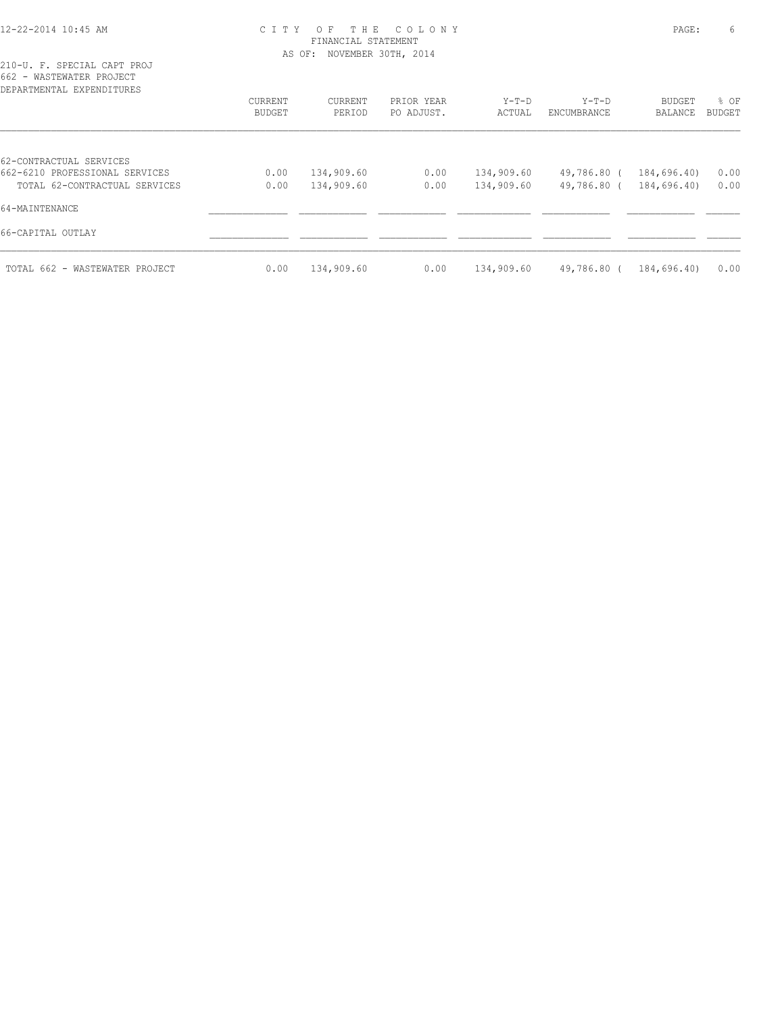#### 12-22-2014 10:45 AM C I T Y O F T H E C O L O N Y PAGE: 6 FINANCIAL STATEMENT AS OF: NOVEMBER 30TH, 2014

| DEPARTMENTAL EXPENDITURES      |                   |                   |                          |                   |                        |                          |                       |
|--------------------------------|-------------------|-------------------|--------------------------|-------------------|------------------------|--------------------------|-----------------------|
|                                | CURRENT<br>BUDGET | CURRENT<br>PERIOD | PRIOR YEAR<br>PO ADJUST. | $Y-T-D$<br>ACTUAL | $Y-T-D$<br>ENCUMBRANCE | <b>BUDGET</b><br>BALANCE | % OF<br><b>BUDGET</b> |
|                                |                   |                   |                          |                   |                        |                          |                       |
| 62-CONTRACTUAL SERVICES        |                   |                   |                          |                   |                        |                          |                       |
| 662-6210 PROFESSIONAL SERVICES | 0.00              | 134,909.60        | 0.00                     | 134,909.60        | 49,786.80 (            | 184,696.40)              | 0.00                  |
| TOTAL 62-CONTRACTUAL SERVICES  | 0.00              | 134,909.60        | 0.00                     | 134,909.60        | 49,786.80 (            | 184,696.40)              | 0.00                  |
| 64-MAINTENANCE                 |                   |                   |                          |                   |                        |                          |                       |
| 66-CAPITAL OUTLAY              |                   |                   |                          |                   |                        |                          |                       |
| TOTAL 662 - WASTEWATER PROJECT | 0.00              | 134,909.60        | 0.00                     | 134,909.60        | 49,786.80 (            | 184,696.40)              | 0.00                  |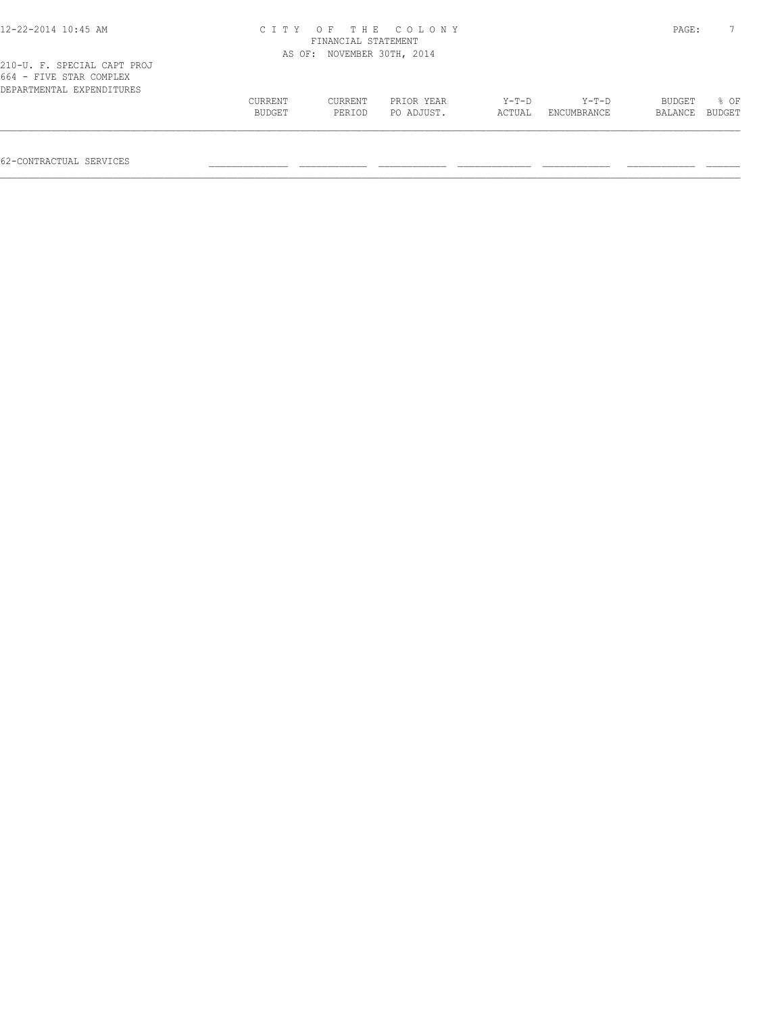|         | PAGE:   |            |                                                                         |             |               |        |
|---------|---------|------------|-------------------------------------------------------------------------|-------------|---------------|--------|
|         |         |            |                                                                         |             |               |        |
|         |         |            |                                                                         |             |               |        |
| CURRENT | CURRENT | PRIOR YEAR | $Y-T-D$                                                                 | $Y-T-D$     | <b>BUDGET</b> | 8 OF   |
| BUDGET  | PERIOD  | PO ADJUST. | ACTUAL                                                                  | ENCUMBRANCE | BALANCE       | BUDGET |
|         |         |            | CITY OF THE COLONY<br>FINANCIAL STATEMENT<br>AS OF: NOVEMBER 30TH, 2014 |             |               |        |

62-CONTRACTUAL SERVICES \_\_\_\_\_\_\_\_\_\_\_\_\_\_ \_\_\_\_\_\_\_\_\_\_\_\_ \_\_\_\_\_\_\_\_\_\_\_\_ \_\_\_\_\_\_\_\_\_\_\_\_\_ \_\_\_\_\_\_\_\_\_\_\_\_ \_\_\_\_\_\_\_\_\_\_\_\_ \_\_\_\_\_\_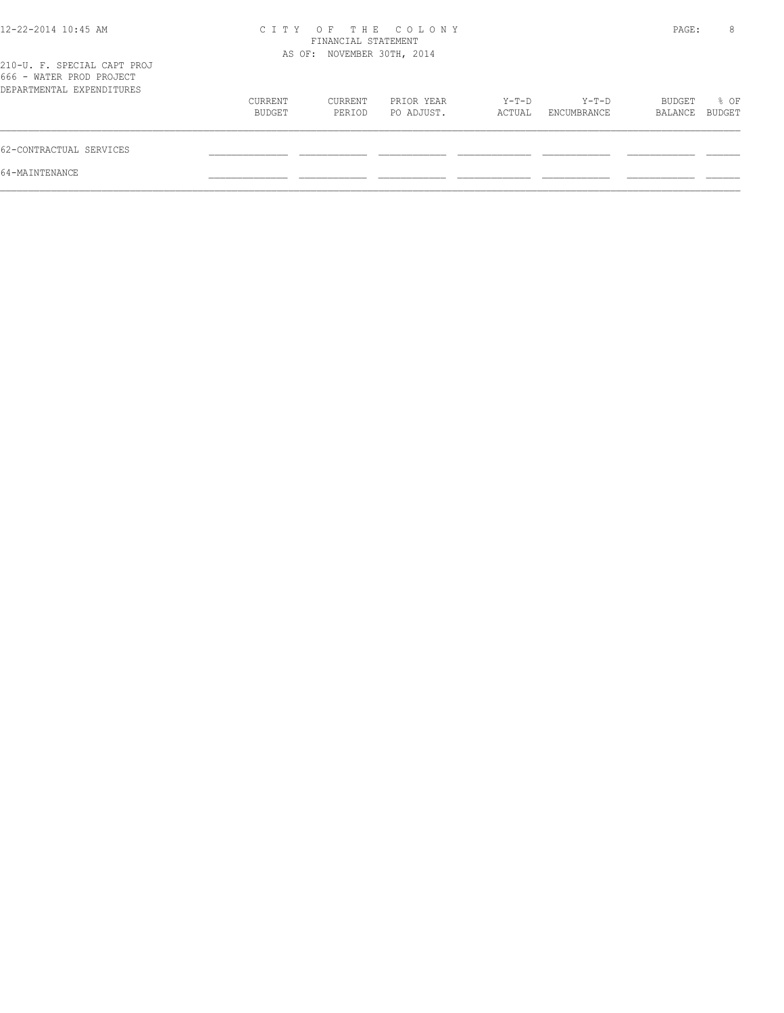| 12-22-2014 10:45 AM                                                                  |                   | FINANCIAL STATEMENT<br>AS OF: NOVEMBER 30TH, 2014 | CITY OF THE COLONY       |                 |                      | PAGE:             | 8              |
|--------------------------------------------------------------------------------------|-------------------|---------------------------------------------------|--------------------------|-----------------|----------------------|-------------------|----------------|
| 210-U. F. SPECIAL CAPT PROJ<br>666 - WATER PROD PROJECT<br>DEPARTMENTAL EXPENDITURES |                   |                                                   |                          |                 |                      |                   |                |
|                                                                                      | CURRENT<br>BUDGET | CURRENT<br>PERIOD                                 | PRIOR YEAR<br>PO ADJUST. | Y-T-D<br>ACTUAL | Y-T-D<br>ENCUMBRANCE | BUDGET<br>BALANCE | % OF<br>BUDGET |
| 62-CONTRACTUAL SERVICES                                                              |                   |                                                   |                          |                 |                      |                   |                |
| 64-MAINTENANCE                                                                       |                   |                                                   |                          |                 |                      |                   |                |
|                                                                                      |                   |                                                   |                          |                 |                      |                   |                |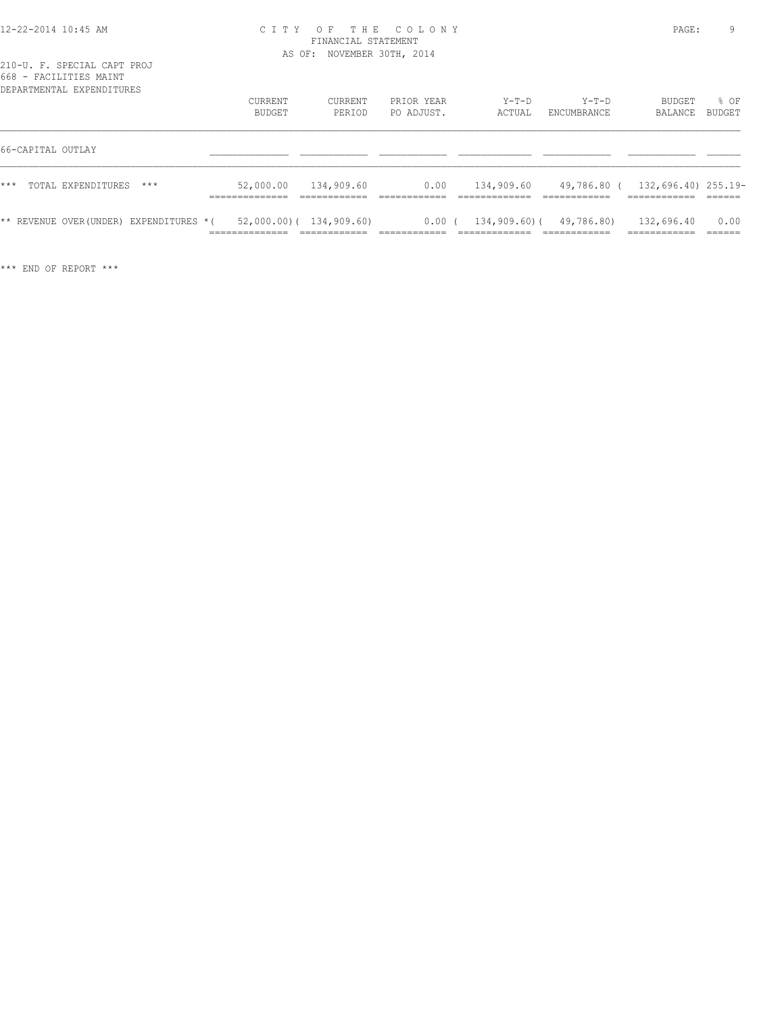#### 12-22-2014 10:45 AM C I T Y O F T H E C O L O N Y PAGE: 9 FINANCIAL STATEMENT AS OF: NOVEMBER 30TH, 2014

|       |                   | DEPARTMENTAL EXPENDITURES              | <b>CURRENT</b><br>BUDGET         | CURRENT<br>PERIOD                          | PRIOR YEAR<br>PO ADJUST. | $Y-T-D$<br>ACTUAL | $Y-T-D$<br>ENCUMBRANCE       | <b>BUDGET</b><br>BALANCE       | 8 OF<br>BUDGET |
|-------|-------------------|----------------------------------------|----------------------------------|--------------------------------------------|--------------------------|-------------------|------------------------------|--------------------------------|----------------|
|       | 66-CAPITAL OUTLAY |                                        |                                  |                                            |                          |                   |                              |                                |                |
| $***$ |                   | TOTAL EXPENDITURES<br>$***$            | 52,000.00<br>______________      | 134,909.60                                 | 0.00                     | 134,909.60        | 49,786.80 (                  | 132,696.40) 255.19-            |                |
|       |                   | ** REVENUE OVER(UNDER) EXPENDITURES *( | ______________<br>______________ | $52,000.00)$ ( 134,909.60)<br>____________ | $0.00$ (                 |                   | $134,909.60$ ( $49,786.80$ ) | 132,696.40<br>.<br>----------- | 0.00<br>______ |

\*\*\* END OF REPORT \*\*\*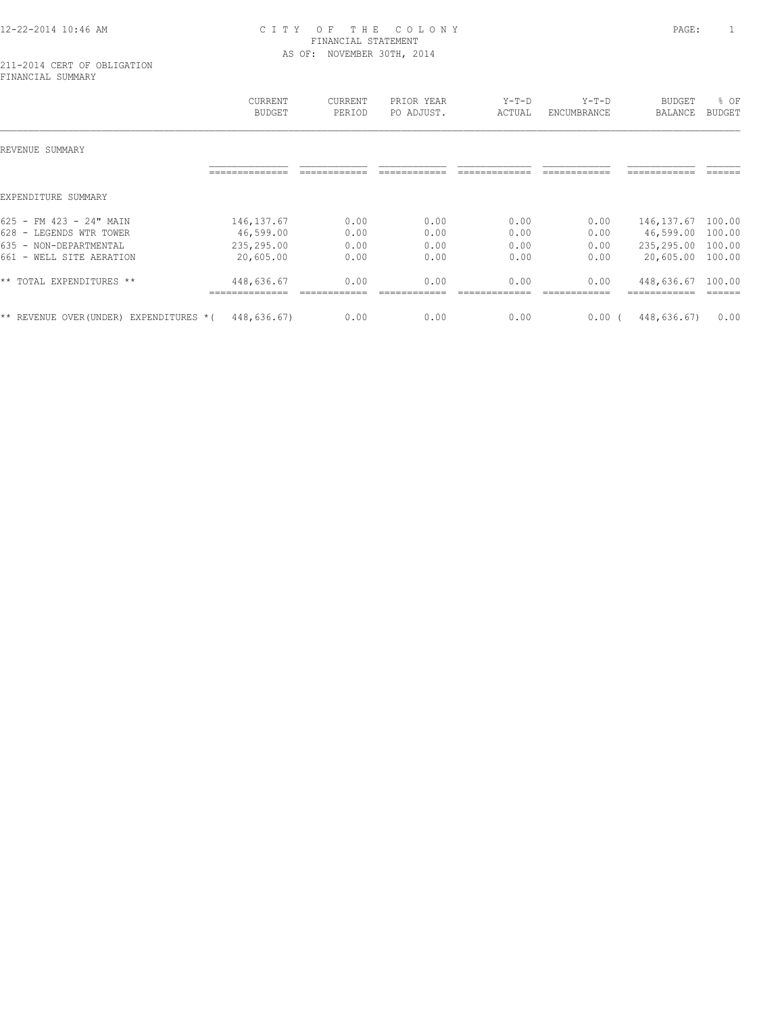# 12-22-2014 10:46 AM C I T Y O F T H E C O L O N Y PAGE: 1 FINANCIAL STATEMENT AS OF: NOVEMBER 30TH, 2014

|                                            | <b>CURRENT</b><br><b>BUDGET</b> | CURRENT<br>PERIOD | PRIOR YEAR<br>PO ADJUST. | $Y-T-D$<br>ACTUAL | $Y-T-D$<br>ENCUMBRANCE | BUDGET<br>BALANCE | % OF<br><b>BUDGET</b> |
|--------------------------------------------|---------------------------------|-------------------|--------------------------|-------------------|------------------------|-------------------|-----------------------|
| REVENUE SUMMARY                            |                                 |                   |                          |                   |                        |                   |                       |
|                                            |                                 |                   |                          |                   |                        |                   |                       |
| EXPENDITURE SUMMARY                        |                                 |                   |                          |                   |                        |                   |                       |
| $625 - FM 423 - 24" MAIN$                  | 146, 137.67                     | 0.00              | 0.00                     | 0.00              | 0.00                   | 146, 137.67       | 100.00                |
| 628 - LEGENDS WTR TOWER                    | 46,599.00                       | 0.00              | 0.00                     | 0.00              | 0.00                   | 46,599.00         | 100.00                |
| 635 - NON-DEPARTMENTAL                     | 235,295.00                      | 0.00              | 0.00                     | 0.00              | 0.00                   | 235,295.00        | 100.00                |
| $661 -$<br>WELL SITE AERATION              | 20,605.00                       | 0.00              | 0.00                     | 0.00              | 0.00                   | 20,605.00         | 100.00                |
| ** TOTAL EXPENDITURES **                   | 448,636.67<br>------------      | 0.00              | 0.00                     | 0.00              | 0.00                   | 448,636.67        | 100.00                |
| ** REVENUE OVER (UNDER)<br>EXPENDITURES *( | 448,636.67)                     | 0.00              | 0.00                     | 0.00              | 0.00(                  | 448,636.67)       | 0.00                  |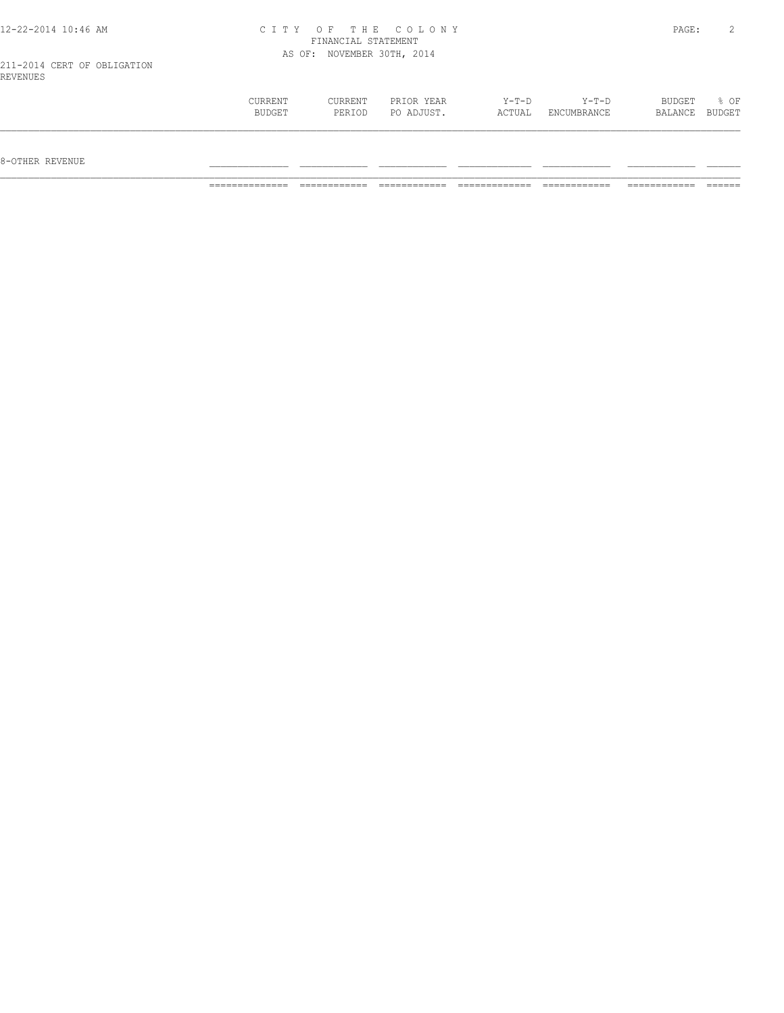| 12-22-2014 10:46 AM                     |                   | FINANCIAL STATEMENT        | CITY OF THE COLONY       |                   |                      | PAGE:             |                  |
|-----------------------------------------|-------------------|----------------------------|--------------------------|-------------------|----------------------|-------------------|------------------|
| 211-2014 CERT OF OBLIGATION<br>REVENUES |                   | AS OF: NOVEMBER 30TH, 2014 |                          |                   |                      |                   |                  |
|                                         | CURRENT<br>BUDGET | CURRENT<br>PERIOD          | PRIOR YEAR<br>PO ADJUST. | $Y-T-D$<br>ACTUAL | Y-T-D<br>ENCUMBRANCE | BUDGET<br>BALANCE | $8$ OF<br>BUDGET |

 $8-{\rm OFF}$  revenue  $\_$ 

============== ============ ============ ============= ============ ============ ======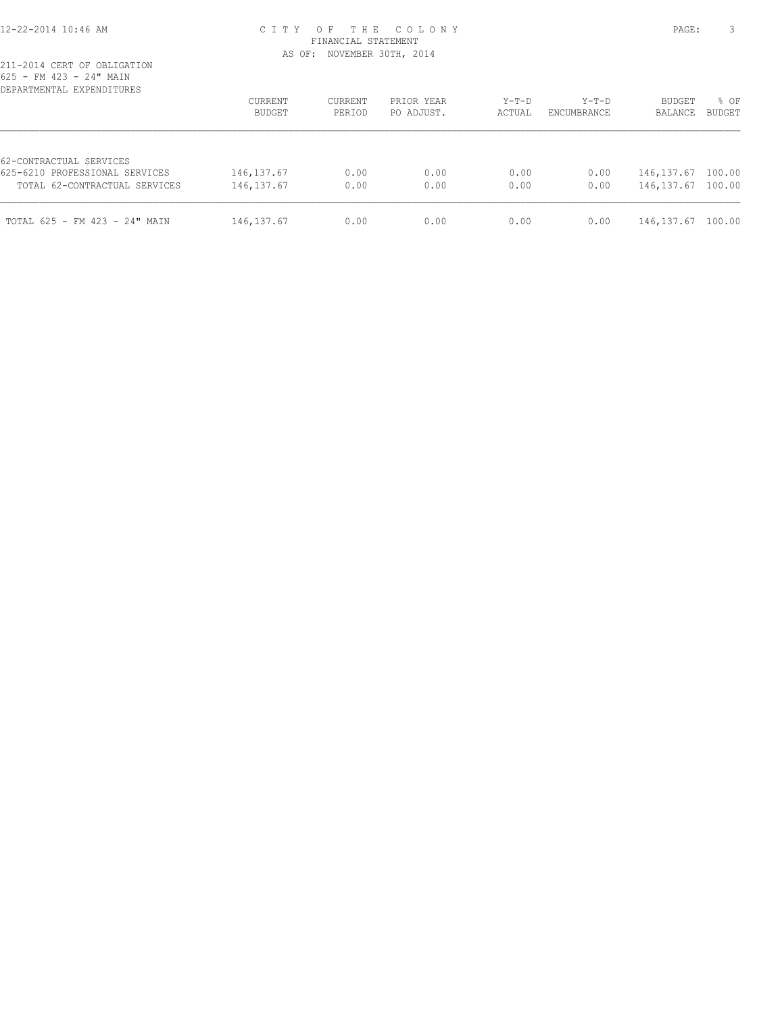#### 12-22-2014 10:46 AM C I T Y O F T H E C O L O N Y PAGE: 3 FINANCIAL STATEMENT AS OF: NOVEMBER 30TH, 2014

| DEPARTMENTAL EXPENDITURES                                                                  | <b>CURRENT</b><br>BUDGET   | <b>CURRENT</b><br>PERIOD | PRIOR YEAR<br>PO ADJUST. | $Y-T-D$<br>ACTUAL | $Y-T-D$<br>ENCUMBRANCE | <b>BUDGET</b><br>BALANCE   | % OF<br><b>BUDGET</b> |
|--------------------------------------------------------------------------------------------|----------------------------|--------------------------|--------------------------|-------------------|------------------------|----------------------------|-----------------------|
| 62-CONTRACTUAL SERVICES<br>625-6210 PROFESSIONAL SERVICES<br>TOTAL 62-CONTRACTUAL SERVICES | 146, 137.67<br>146, 137.67 | 0.00<br>0.00             | 0.00<br>0.00             | 0.00<br>0.00      | 0.00<br>0.00           | 146, 137.67<br>146, 137.67 | 100.00<br>100.00      |
| TOTAL 625 - FM 423 - 24" MAIN                                                              | 146, 137.67                | 0.00                     | 0.00                     | 0.00              | 0.00                   | 146, 137.67                | 100.00                |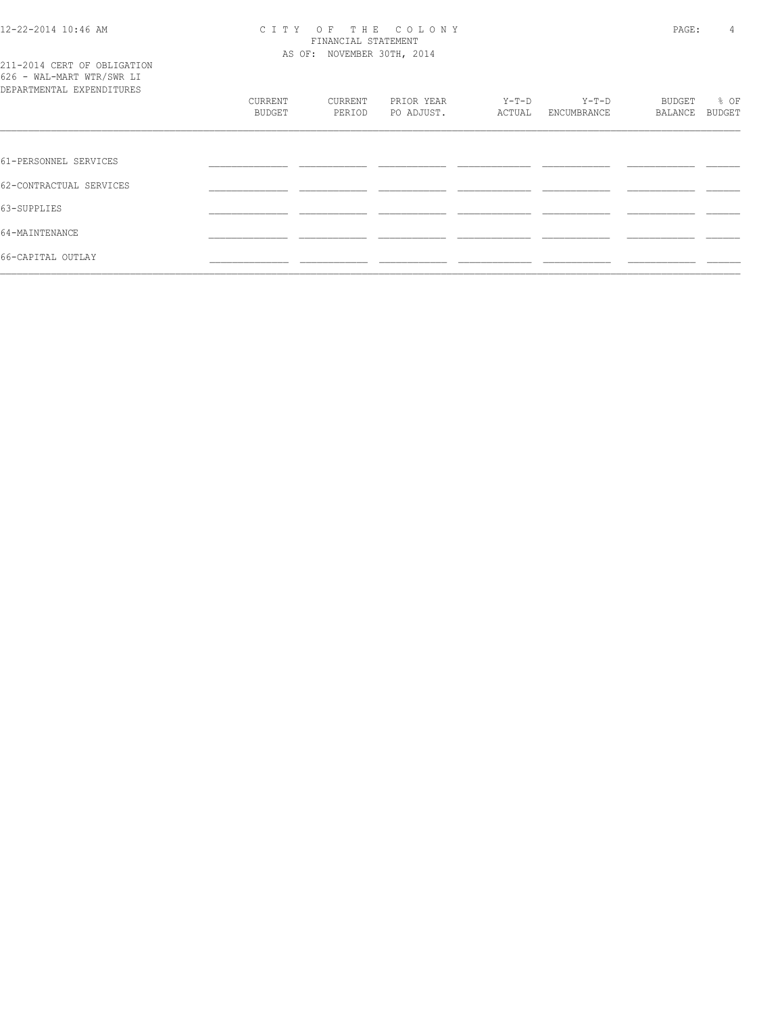#### 12-22-2014 10:46 AM C I T Y O F T H E C O L O N Y PAGE: 4 FINANCIAL STATEMENT AS OF: NOVEMBER 30TH, 2014

| 211-2014 CERT OF OBLIGATION |  |  |
|-----------------------------|--|--|
| 626 - WAL-MART WTR/SWR LI   |  |  |
| DEPARTMENTAL EXPENDITURES   |  |  |

| DEPARTMENTAL EXPENDITURES |                   |                   |                          |                   |                        |                   |                |
|---------------------------|-------------------|-------------------|--------------------------|-------------------|------------------------|-------------------|----------------|
|                           | CURRENT<br>BUDGET | CURRENT<br>PERIOD | PRIOR YEAR<br>PO ADJUST. | $Y-T-D$<br>ACTUAL | $Y-T-D$<br>ENCUMBRANCE | BUDGET<br>BALANCE | % OF<br>BUDGET |
|                           |                   |                   |                          |                   |                        |                   |                |
| 61-PERSONNEL SERVICES     |                   |                   |                          |                   |                        |                   |                |
| 62-CONTRACTUAL SERVICES   |                   |                   |                          |                   |                        |                   |                |
| 63-SUPPLIES               |                   |                   |                          |                   |                        |                   |                |
| 64-MAINTENANCE            |                   |                   |                          |                   |                        |                   |                |
| 66-CAPITAL OUTLAY         |                   |                   |                          |                   |                        |                   |                |
|                           |                   |                   |                          |                   |                        |                   |                |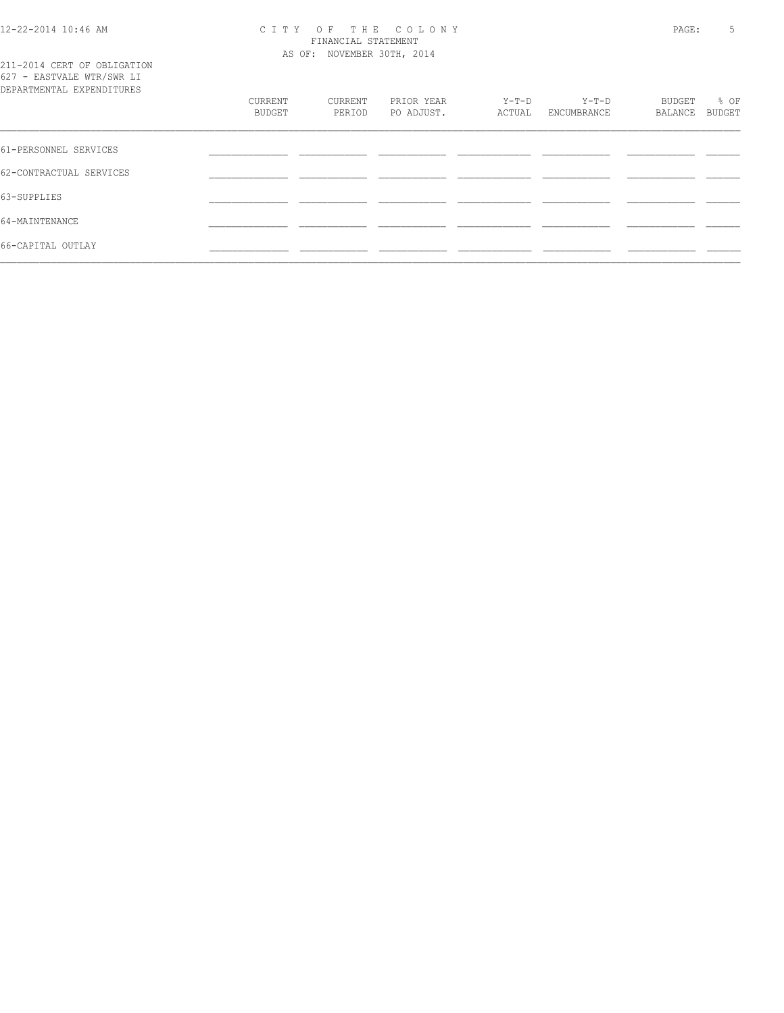#### 12-22-2014 10:46 AM C I T Y O F T H E C O L O N Y PAGE: 5 FINANCIAL STATEMENT AS OF: NOVEMBER 30TH, 2014

211-2014 CERT OF OBLIGATION 627 - EASTVALE WTR/SWR LI

| DEPARTMENTAL EXPENDITURES | CURRENT<br>BUDGET | CURRENT<br>PERIOD | PRIOR YEAR<br>PO ADJUST. | Y-T-D<br>ACTUAL | Y-T-D<br>ENCUMBRANCE | BUDGET<br>BALANCE | % OF<br>BUDGET |
|---------------------------|-------------------|-------------------|--------------------------|-----------------|----------------------|-------------------|----------------|
| 61-PERSONNEL SERVICES     |                   |                   |                          |                 |                      |                   |                |
| 62-CONTRACTUAL SERVICES   |                   |                   |                          |                 |                      |                   |                |
| 63-SUPPLIES               |                   |                   |                          |                 |                      |                   |                |
| 64-MAINTENANCE            |                   |                   |                          |                 |                      |                   |                |
| 66-CAPITAL OUTLAY         |                   |                   |                          |                 |                      |                   |                |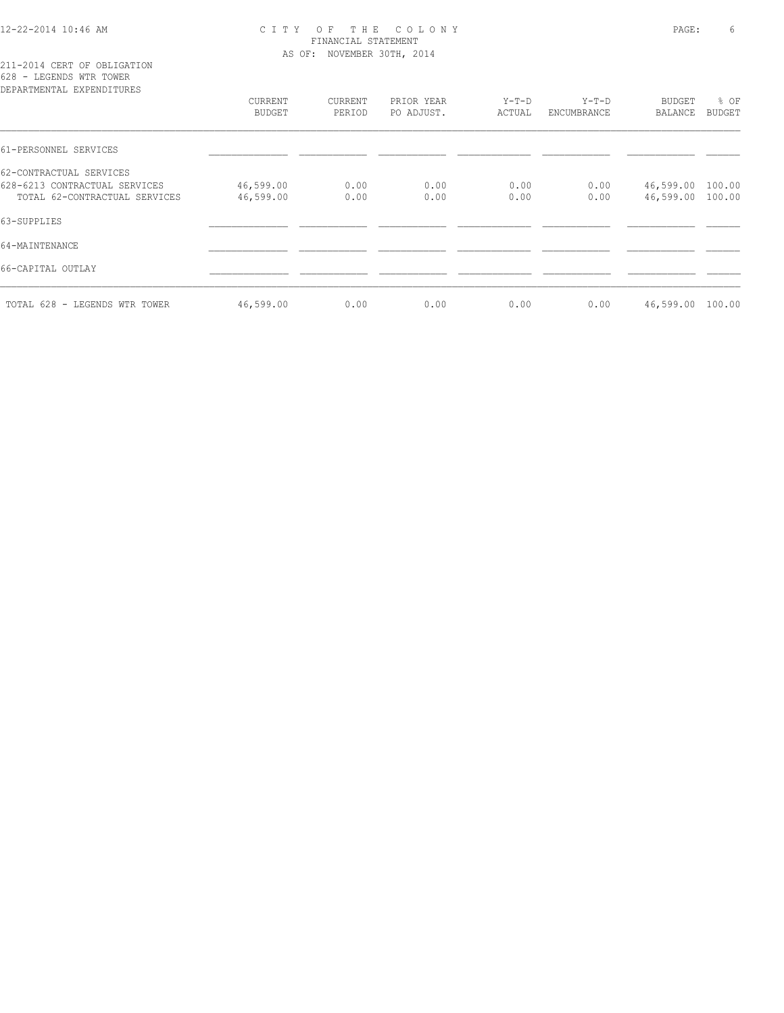## 12-22-2014 10:46 AM C I T Y O F T H E C O L O N Y PAGE: 6 FINANCIAL STATEMENT AS OF: NOVEMBER 30TH, 2014

211-2014 CERT OF OBLIGATION 628 - LEGENDS WTR TOWER

| DEPARTMENTAL EXPENDITURES     |               |         |            |         |             |           |        |
|-------------------------------|---------------|---------|------------|---------|-------------|-----------|--------|
|                               | CURRENT       | CURRENT | PRIOR YEAR | $Y-T-D$ | $Y-T-D$     | BUDGET    | % OF   |
|                               | <b>BUDGET</b> | PERIOD  | PO ADJUST. | ACTUAL  | ENCUMBRANCE | BALANCE   | BUDGET |
| 61-PERSONNEL SERVICES         |               |         |            |         |             |           |        |
| 62-CONTRACTUAL SERVICES       |               |         |            |         |             |           |        |
| 628-6213 CONTRACTUAL SERVICES | 46,599.00     | 0.00    | 0.00       | 0.00    | 0.00        | 46,599.00 | 100.00 |
| TOTAL 62-CONTRACTUAL SERVICES | 46,599.00     | 0.00    | 0.00       | 0.00    | 0.00        | 46,599.00 | 100.00 |
| 63-SUPPLIES                   |               |         |            |         |             |           |        |
| 64-MAINTENANCE                |               |         |            |         |             |           |        |
| 66-CAPITAL OUTLAY             |               |         |            |         |             |           |        |
| TOTAL 628 - LEGENDS WTR TOWER | 46,599.00     | 0.00    | 0.00       | 0.00    | 0.00        | 46,599.00 | 100.00 |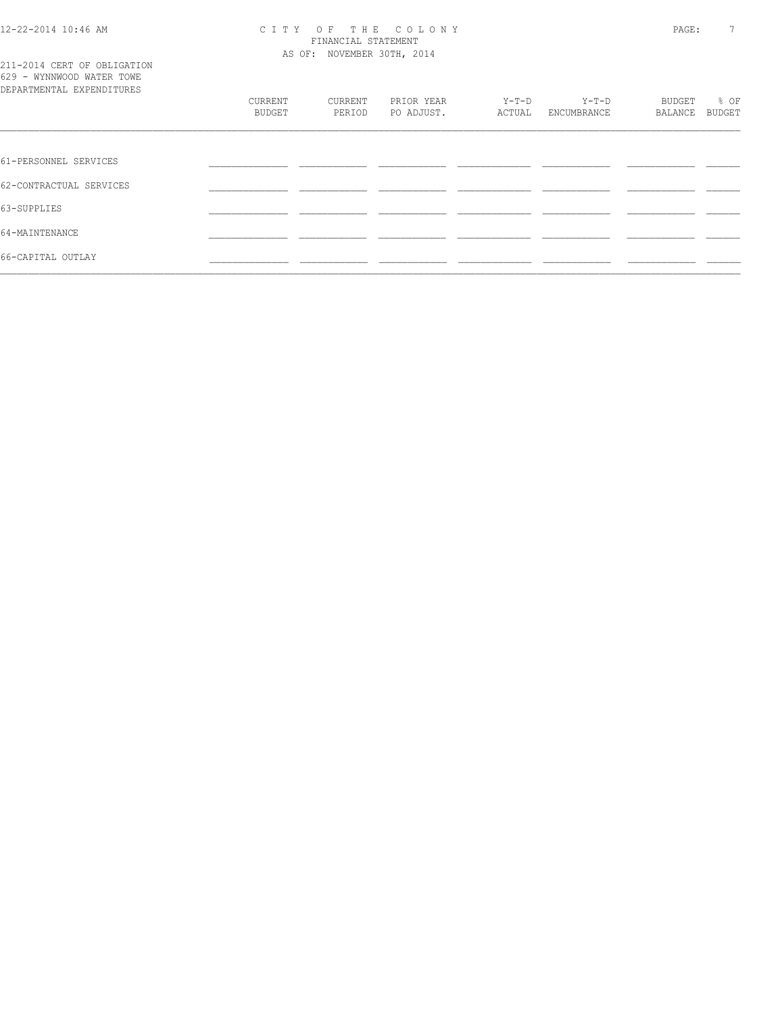#### 12-22-2014 10:46 AM C I T Y O F T H E C O L O N Y PAGE: 7 FINANCIAL STATEMENT AS OF: NOVEMBER 30TH, 2014

|                           | 211-2014 CERT OF OBLIGATION |
|---------------------------|-----------------------------|
| 629 - WYNNWOOD WATER TOWE |                             |
| DEPARTMENTAL EXPENDITURES |                             |
|                           |                             |

| DEPARTMENTAL EXPENDITURES |                   |                   |                          |                   |                        |                          |                |
|---------------------------|-------------------|-------------------|--------------------------|-------------------|------------------------|--------------------------|----------------|
|                           | CURRENT<br>BUDGET | CURRENT<br>PERIOD | PRIOR YEAR<br>PO ADJUST. | $Y-T-D$<br>ACTUAL | $Y-T-D$<br>ENCUMBRANCE | <b>BUDGET</b><br>BALANCE | % OF<br>BUDGET |
|                           |                   |                   |                          |                   |                        |                          |                |
| 61-PERSONNEL SERVICES     |                   |                   |                          |                   |                        |                          |                |
| 62-CONTRACTUAL SERVICES   |                   |                   |                          |                   |                        |                          |                |
| 63-SUPPLIES               |                   |                   |                          |                   |                        |                          |                |
| 64-MAINTENANCE            |                   |                   |                          |                   |                        |                          |                |
| 66-CAPITAL OUTLAY         |                   |                   |                          |                   |                        |                          |                |
|                           |                   |                   |                          |                   |                        |                          |                |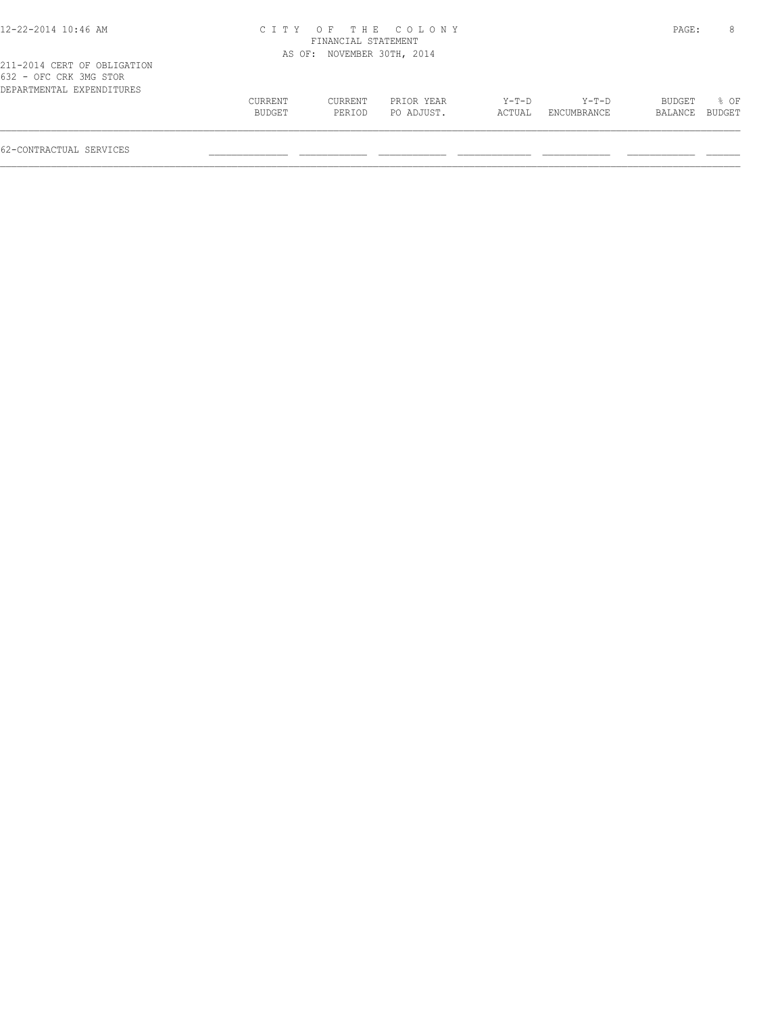## 12-22-2014 10:46 AM C I T Y O F T H E C O L O N Y PAGE: 8 FINANCIAL STATEMENT AS OF: NOVEMBER 30TH, 2014

| 632 - OFC CRK 3MG STOR    |         |         |            |        |             |                |             |
|---------------------------|---------|---------|------------|--------|-------------|----------------|-------------|
| DEPARTMENTAL EXPENDITURES |         |         |            |        |             |                |             |
|                           | CURRENT | CURRENT | PRIOR YEAR | Y-T-D  | Y-T-D       |                | BUDGET % OF |
|                           | BUDGET  | PERIOD  | PO ADJUST. | ACTUAL | ENCUMBRANCE | BALANCE BUDGET |             |
|                           |         |         |            |        |             |                |             |
|                           |         |         |            |        |             |                |             |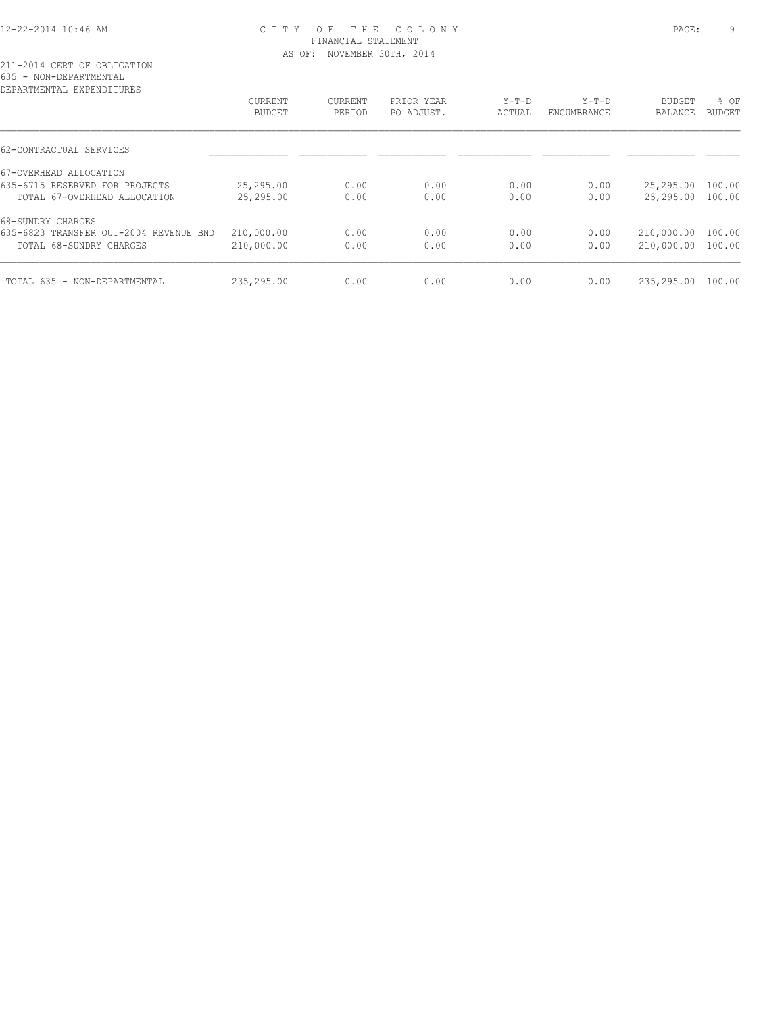## 12-22-2014 10:46 AM C I T Y O F T H E C O L O N Y PAGE: 9 FINANCIAL STATEMENT AS OF: NOVEMBER 30TH, 2014

| DEPARTMENTAL EXPENDITURES              |               |         |            |         |             |                   |               |
|----------------------------------------|---------------|---------|------------|---------|-------------|-------------------|---------------|
|                                        | CURRENT       | CURRENT | PRIOR YEAR | $Y-T-D$ | $Y-T-D$     | <b>BUDGET</b>     | % OF          |
|                                        | <b>BUDGET</b> | PERIOD  | PO ADJUST. | ACTUAL  | ENCUMBRANCE | <b>BALANCE</b>    | <b>BUDGET</b> |
| 62-CONTRACTUAL SERVICES                |               |         |            |         |             |                   |               |
| 67-OVERHEAD ALLOCATION                 |               |         |            |         |             |                   |               |
| 635-6715 RESERVED FOR PROJECTS         | 25,295.00     | 0.00    | 0.00       | 0.00    | 0.00        | 25,295.00         | 100.00        |
| TOTAL 67-OVERHEAD ALLOCATION           | 25,295.00     | 0.00    | 0.00       | 0.00    | 0.00        | 25,295.00 100.00  |               |
| 68-SUNDRY CHARGES                      |               |         |            |         |             |                   |               |
| 635-6823 TRANSFER OUT-2004 REVENUE BND | 210,000.00    | 0.00    | 0.00       | 0.00    | 0.00        | 210,000.00        | 100.00        |
| TOTAL 68-SUNDRY CHARGES                | 210,000.00    | 0.00    | 0.00       | 0.00    | 0.00        | 210,000.00 100.00 |               |
| TOTAL 635 - NON-DEPARTMENTAL           | 235,295.00    | 0.00    | 0.00       | 0.00    | 0.00        | 235,295.00        | 100.00        |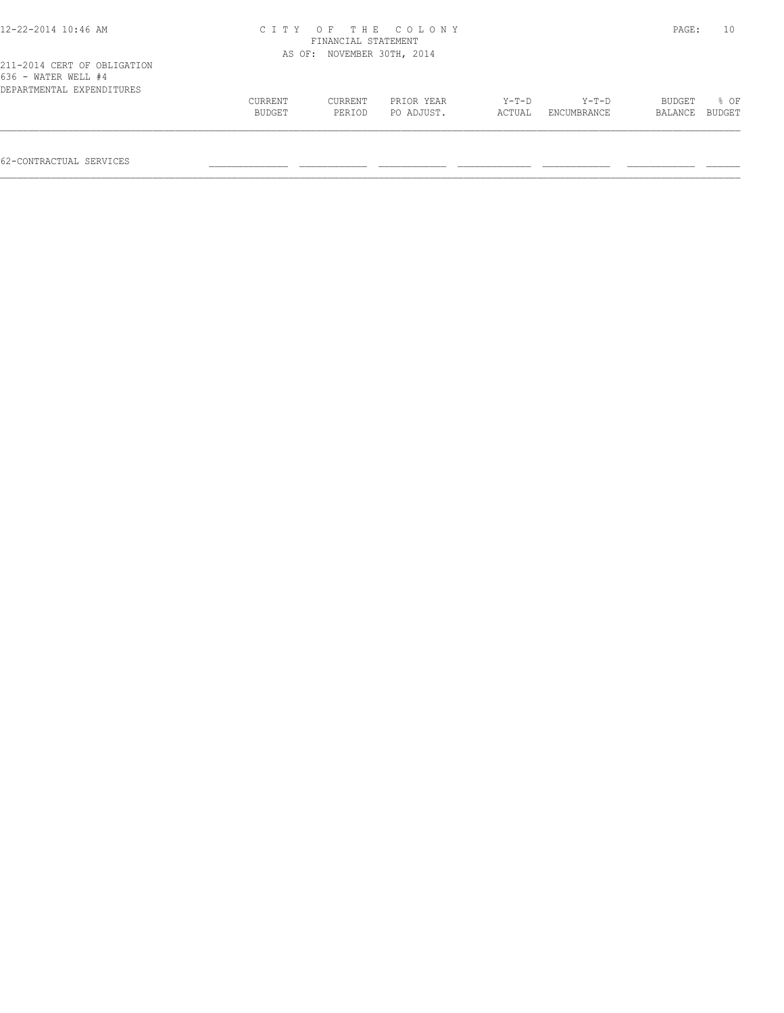| $12 - 22 - 2014$ 10:46 AM                                                       |                   | FINANCIAL STATEMENT        | CITY OF THE COLONY       |                   |                      | PAGE:             | 10             |
|---------------------------------------------------------------------------------|-------------------|----------------------------|--------------------------|-------------------|----------------------|-------------------|----------------|
|                                                                                 |                   | AS OF: NOVEMBER 30TH, 2014 |                          |                   |                      |                   |                |
| 211-2014 CERT OF OBLIGATION<br>636 - WATER WELL #4<br>DEPARTMENTAL EXPENDITURES |                   |                            |                          |                   |                      |                   |                |
|                                                                                 | CURRENT<br>BUDGET | CURRENT<br>PERIOD          | PRIOR YEAR<br>PO ADJUST. | $Y-T-D$<br>ACTUAL | Y-T-D<br>ENCUMBRANCE | BUDGET<br>BALANCE | 8 OF<br>BUDGET |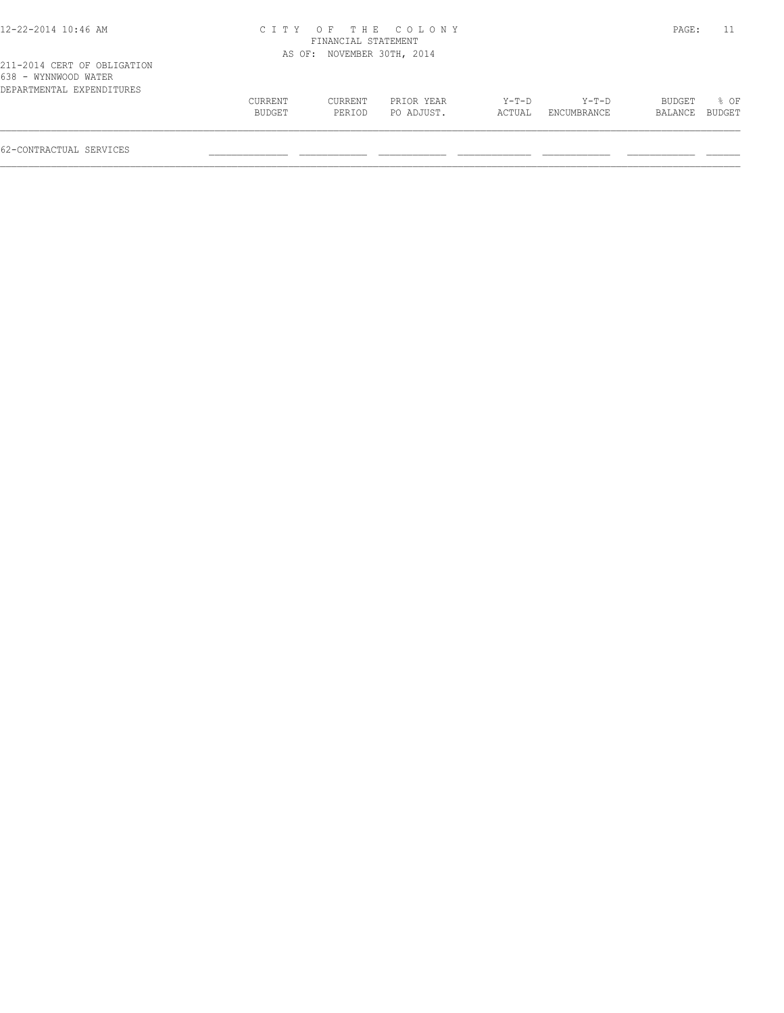| 12-22-2014 10:46 AM |  |  |
|---------------------|--|--|
|---------------------|--|--|

## 12-22-2014 10:46 AM C I T Y O F T H E C O L O N Y PAGE: 11 FINANCIAL STATEMENT

| 211-2014 CERT OF OBLIGATION<br>638 - WYNNWOOD WATER<br>DEPARTMENTAL EXPENDITURES |                          |                   | AS OF: NOVEMBER 30TH, 2014 |                 |                        |                   |                        |
|----------------------------------------------------------------------------------|--------------------------|-------------------|----------------------------|-----------------|------------------------|-------------------|------------------------|
|                                                                                  | <b>CURRENT</b><br>BUDGET | CURRENT<br>PERIOD | PRIOR YEAR<br>PO ADJUST.   | Y-T-D<br>ACTUAL | $Y-T-D$<br>ENCUMBRANCE | BUDGET<br>BALANCE | $\approx$ OF<br>BUDGET |
| 62-CONTRACTUAL SERVICES                                                          |                          |                   |                            |                 |                        |                   |                        |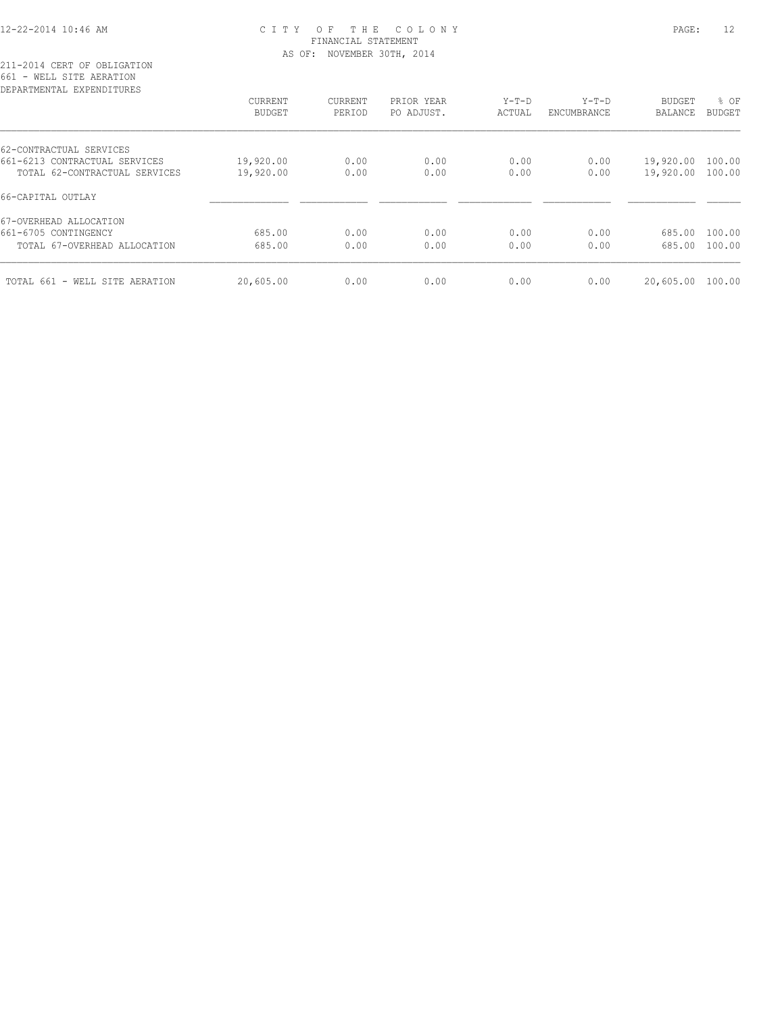## 12-22-2014 10:46 AM C I T Y O F T H E C O L O N Y PAGE: 12 FINANCIAL STATEMENT AS OF: NOVEMBER 30TH, 2014

211-2014 CERT OF OBLIGATION 661 - WELL SITE AERATION

| DEPARTMENTAL EXPENDITURES      |           |         |            |         |             |           |        |
|--------------------------------|-----------|---------|------------|---------|-------------|-----------|--------|
|                                | CURRENT   | CURRENT | PRIOR YEAR | $Y-T-D$ | $Y-T-D$     | BUDGET    | % OF   |
|                                | BUDGET    | PERIOD  | PO ADJUST. | ACTUAL  | ENCUMBRANCE | BALANCE   | BUDGET |
| 62-CONTRACTUAL SERVICES        |           |         |            |         |             |           |        |
| 661-6213 CONTRACTUAL SERVICES  | 19,920.00 | 0.00    | 0.00       | 0.00    | 0.00        | 19,920.00 | 100.00 |
| TOTAL 62-CONTRACTUAL SERVICES  | 19,920.00 | 0.00    | 0.00       | 0.00    | 0.00        | 19,920.00 | 100.00 |
| 66-CAPITAL OUTLAY              |           |         |            |         |             |           |        |
| 67-OVERHEAD ALLOCATION         |           |         |            |         |             |           |        |
| 661-6705 CONTINGENCY           | 685.00    | 0.00    | 0.00       | 0.00    | 0.00        | 685.00    | 100.00 |
| TOTAL 67-OVERHEAD ALLOCATION   | 685.00    | 0.00    | 0.00       | 0.00    | 0.00        | 685.00    | 100.00 |
|                                |           |         |            |         |             |           | 100.00 |
| TOTAL 661 - WELL SITE AERATION | 20,605.00 | 0.00    | 0.00       | 0.00    | 0.00        | 20,605.00 |        |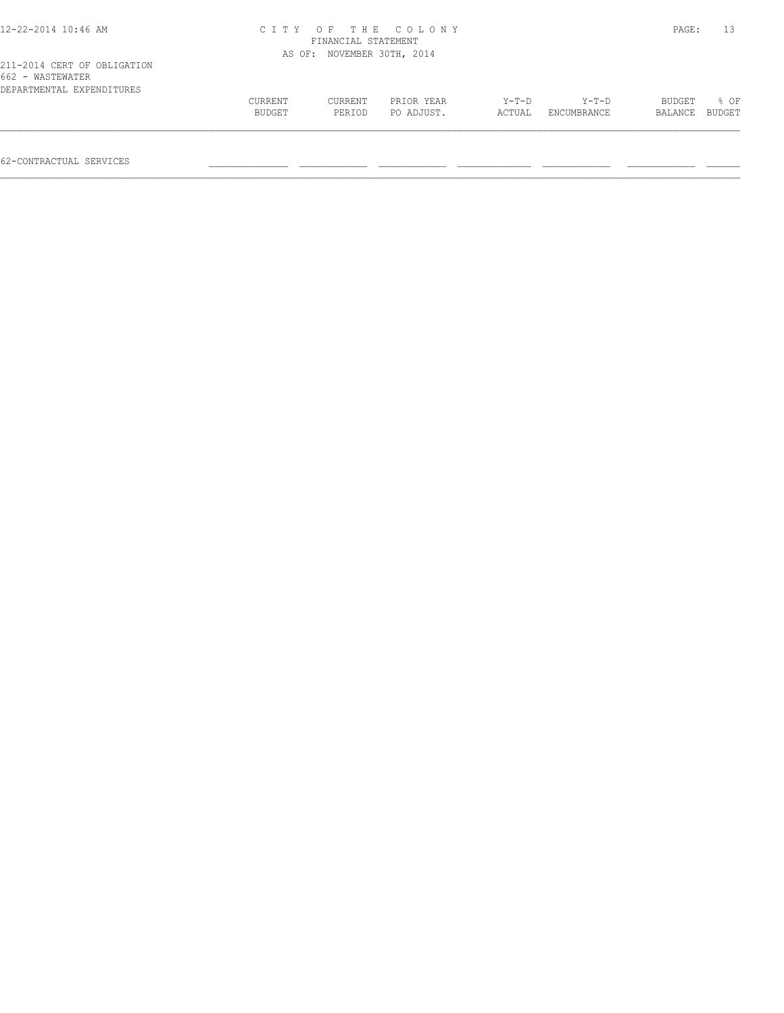| 12-22-2014 10:46 AM                                                          | CITY OF THE COLONY<br>FINANCIAL STATEMENT |                            |                          |                   |                      |                   | PAGE:          |
|------------------------------------------------------------------------------|-------------------------------------------|----------------------------|--------------------------|-------------------|----------------------|-------------------|----------------|
|                                                                              |                                           | AS OF: NOVEMBER 30TH, 2014 |                          |                   |                      |                   |                |
| 211-2014 CERT OF OBLIGATION<br>662 - WASTEWATER<br>DEPARTMENTAL EXPENDITURES |                                           |                            |                          |                   |                      |                   |                |
|                                                                              | CURRENT<br>BUDGET                         | CURRENT<br>PERIOD          | PRIOR YEAR<br>PO ADJUST. | $Y-T-D$<br>ACTUAL | Y-T-D<br>ENCUMBRANCE | BUDGET<br>BALANCE | 8 OF<br>BUDGET |
|                                                                              |                                           |                            |                          |                   |                      |                   |                |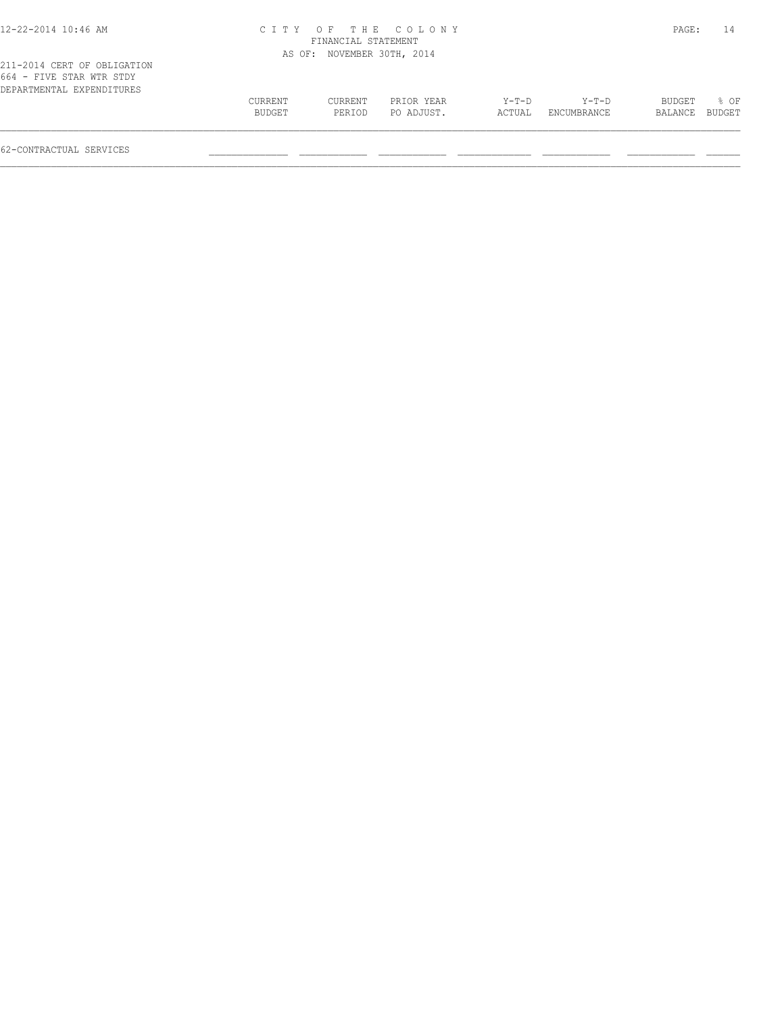| 12-22-2014 10:46 AM |  |  |
|---------------------|--|--|
|---------------------|--|--|

## 12-22-2014 10:46 AM C I T Y O F T H E C O L O N Y PAGE: 14 FINANCIAL STATEMENT AS OF: NOVEMBER 30TH, 2014

|                          |  |  |  | 211-2014 CERT OF OBLIGATION |  |
|--------------------------|--|--|--|-----------------------------|--|
| 664 - FIVE STAR WTR STDY |  |  |  |                             |  |
|                          |  |  |  | DEPARTMENTAL EXPENDITURES   |  |

| DEPARTMENTAL EXPENDITURES |         |         |            |         |                    |         |        |
|---------------------------|---------|---------|------------|---------|--------------------|---------|--------|
|                           | CURRENT | CURRENT | PRIOR YEAR | $Y-T-D$ | $Y-T-D$            | BUDGET  | % OF   |
|                           | BUDGET  | PERIOD  | PO ADJUST. | ACTUAL  | <b>ENCUMBRANCE</b> | BALANCE | BUDGET |
|                           |         |         |            |         |                    |         |        |
|                           |         |         |            |         |                    |         |        |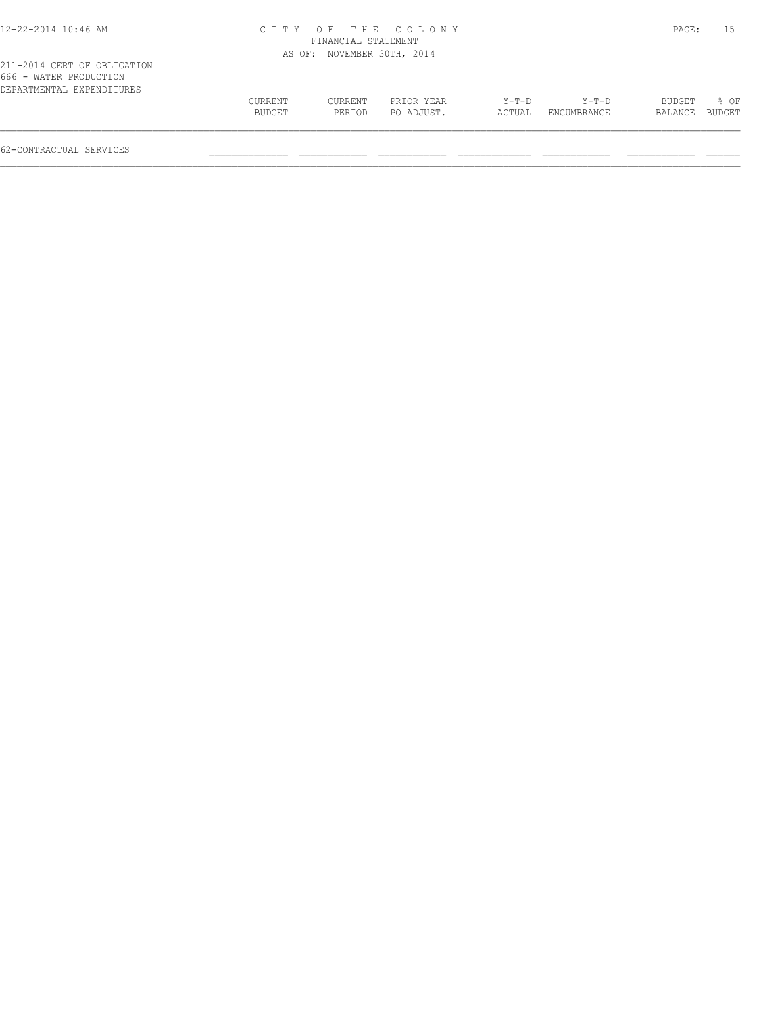| 12-22-2014 10:46 AM |  |  |
|---------------------|--|--|
|---------------------|--|--|

## 12-22-2014 10:46 AM C I T Y O F T H E C O L O N Y PAGE: 15 FINANCIAL STATEMENT

|                             |         | AS OF: NOVEMBER 30TH, 2014 |            |         |         |        |      |
|-----------------------------|---------|----------------------------|------------|---------|---------|--------|------|
| 211-2014 CERT OF OBLIGATION |         |                            |            |         |         |        |      |
| 666 - WATER PRODUCTION      |         |                            |            |         |         |        |      |
| DEPARTMENTAL EXPENDITURES   |         |                            |            |         |         |        |      |
|                             | CURRENT | CURRENT                    | PRIOR YEAR | $Y-T-D$ | $Y-T-D$ | BUDGET | % OF |
|                             |         |                            |            |         |         |        |      |

| 000 - Water Froduction    |         |         |            |         |             |                |                  |  |
|---------------------------|---------|---------|------------|---------|-------------|----------------|------------------|--|
| DEPARTMENTAL EXPENDITURES |         |         |            |         |             |                |                  |  |
|                           | CURRENT | CURRENT | PRIOR YEAR | $Y-T-D$ | $Y-T-D$     | BUDGET         | $\frac{8}{3}$ OF |  |
|                           | BUDGET  | PERIOD  | PO ADJUST. | ACTUAL  | ENCUMBRANCE | BALANCE BUDGET |                  |  |
|                           |         |         |            |         |             |                |                  |  |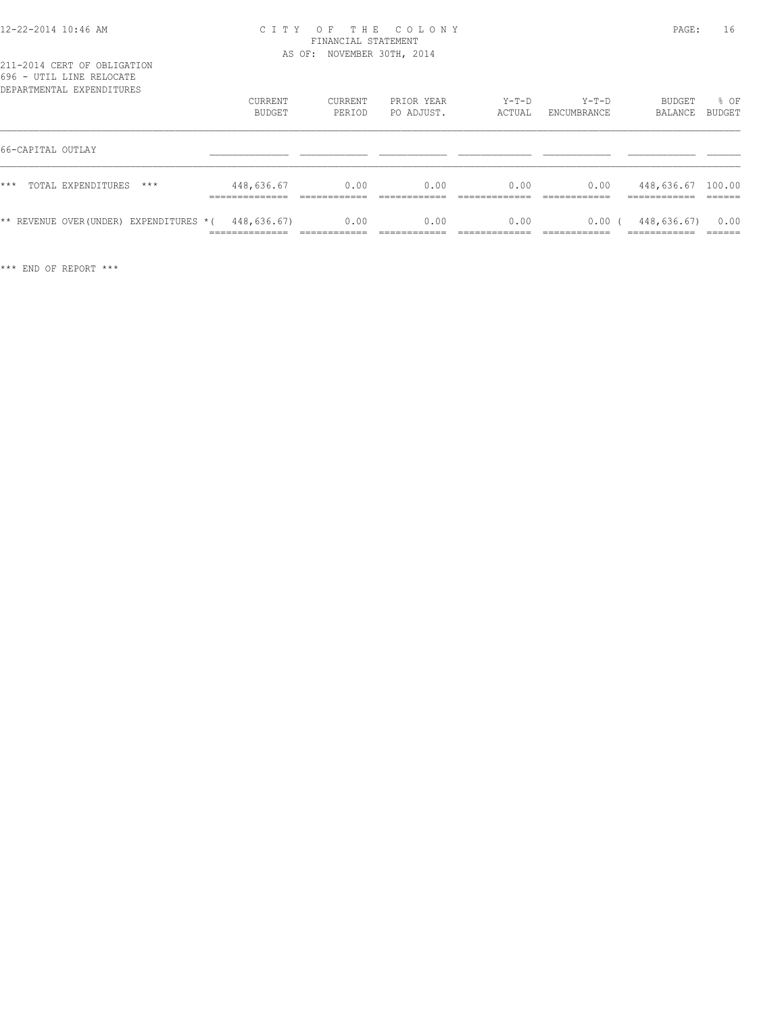#### 12-22-2014 10:46 AM C I T Y O F T H E C O L O N Y PAGE: 16 FINANCIAL STATEMENT AS OF: NOVEMBER 30TH, 2014

| 090 - util line kelucate<br>DEPARTMENTAL EXPENDITURES |       | CURRENT<br><b>BUDGET</b>                        | CURRENT<br>PERIOD | PRIOR YEAR<br>PO ADJUST. | $Y-T-D$<br>ACTUAL | $Y-T-D$<br>ENCUMBRANCE | BUDGET<br>BALANCE                                 | % OF<br>BUDGET |
|-------------------------------------------------------|-------|-------------------------------------------------|-------------------|--------------------------|-------------------|------------------------|---------------------------------------------------|----------------|
| 66-CAPITAL OUTLAY                                     |       |                                                 |                   |                          |                   |                        |                                                   |                |
| $***$<br>TOTAL EXPENDITURES                           | $***$ | 448,636.67<br>____________                      | 0.00              | 0.00                     | 0.00              | 0.00                   | 448,636.67 100.00<br>------------<br>____________ |                |
| ** REVENUE OVER(UNDER) EXPENDITURES *(                |       | 448,636.67)<br>______________<br>______________ | 0.00              | 0.00                     | 0.00              | 0.00(<br>____________  | 448,636.67)<br>____________                       | 0.00<br>______ |

\*\*\* END OF REPORT \*\*\*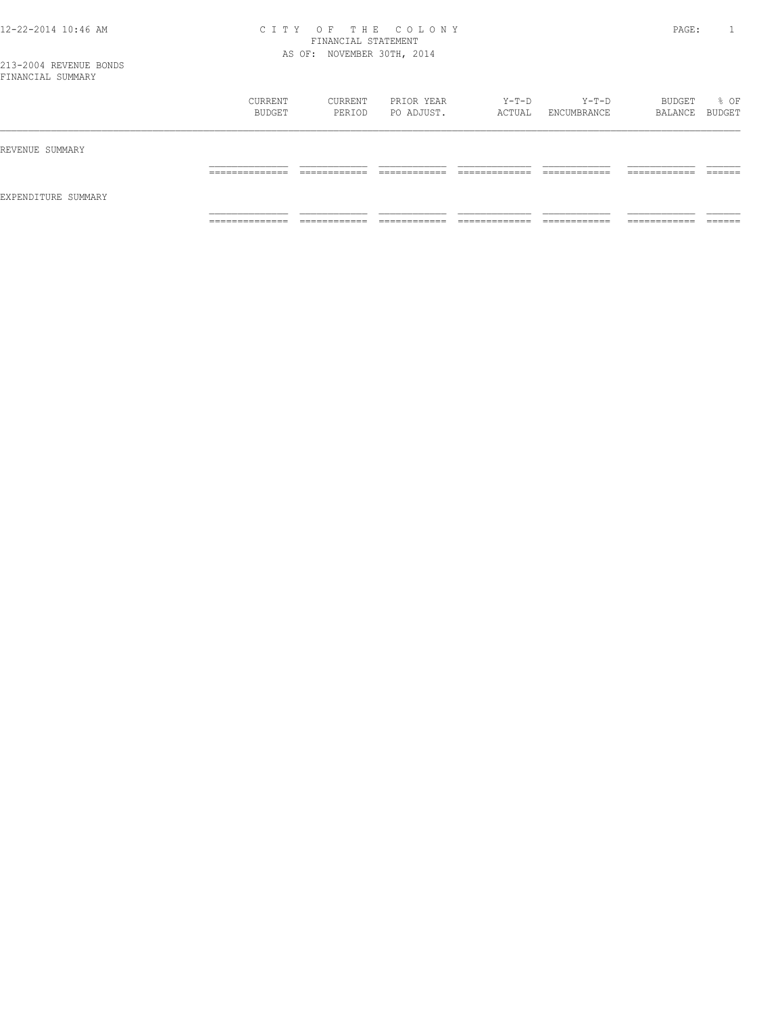#### 12-22-2014 10:46 AM C I T Y O F T H E C O L O N Y PAGE: 1 FINANCIAL STATEMENT AS OF: NOVEMBER 30TH, 2014

| FINANCIAL SUMMARY   |                               |                   |                          |                 |                           |                          |       |
|---------------------|-------------------------------|-------------------|--------------------------|-----------------|---------------------------|--------------------------|-------|
|                     | CURRENT<br>BUDGET             | CURRENT<br>PERIOD | PRIOR YEAR<br>PO ADJUST. | Y-T-D<br>ACTUAL | Y-T-D<br>ENCUMBRANCE      | BUDGET<br>BALANCE BUDGET | % OF  |
| REVENUE SUMMARY     |                               |                   |                          |                 |                           |                          |       |
|                     |                               |                   |                          |                 |                           | _______                  |       |
| EXPENDITURE SUMMARY |                               |                   |                          |                 |                           |                          |       |
|                     | ___________<br>______________ |                   |                          |                 | ____________<br>_________ | __________               | _____ |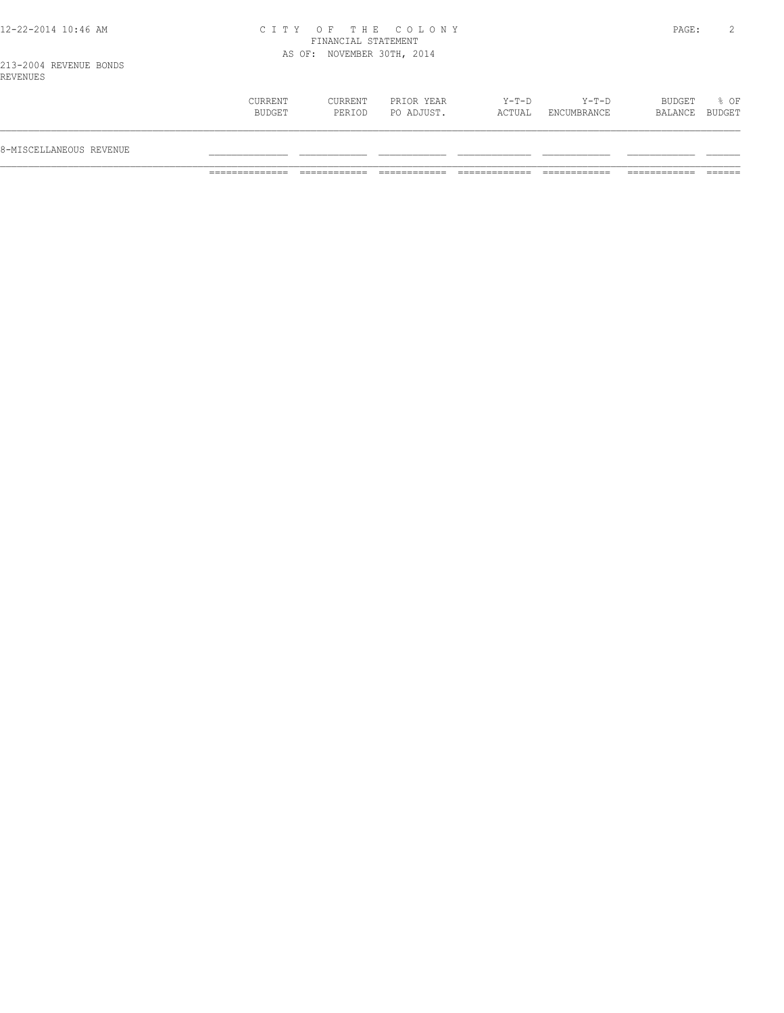#### 12-22-2014 10:46 AM C I T Y O F T H E C O L O N Y PAGE: 2 FINANCIAL STATEMENT AS OF: NOVEMBER 30TH, 2014

213-2004 REVENUE BONDS REVENUES

| 8-MISCELLANEOUS REVENUE |                   |                   |                          |                 |                      |                          |      |
|-------------------------|-------------------|-------------------|--------------------------|-----------------|----------------------|--------------------------|------|
|                         | CURRENT<br>BUDGET | CURRENT<br>PERIOD | PRIOR YEAR<br>PO ADJUST. | Y-T-D<br>ACTUAL | Y-T-D<br>ENCUMBRANCE | BUDGET<br>BALANCE BUDGET | % OF |
| ---------               |                   |                   |                          |                 |                      |                          |      |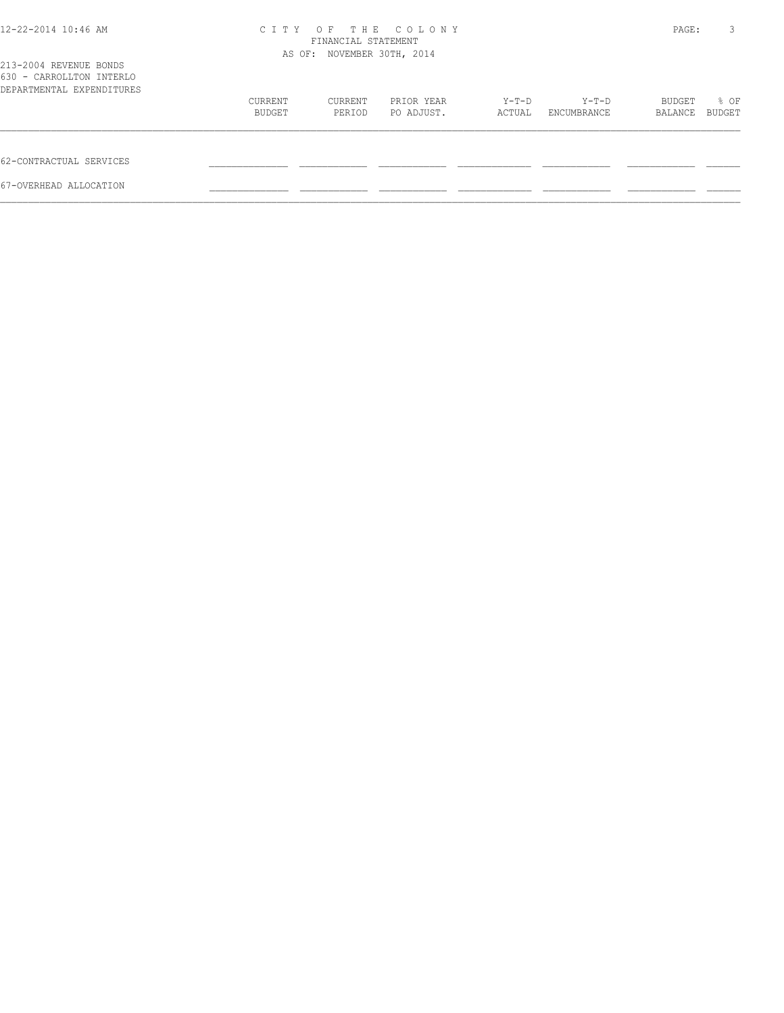| 12-22-2014 10:46 AM                                                             | C T T Y | THE<br>OF<br>FINANCIAL STATEMENT<br>AS OF: NOVEMBER 30TH, 2014 | COLONY     |         |             | PAGE:   | 3             |
|---------------------------------------------------------------------------------|---------|----------------------------------------------------------------|------------|---------|-------------|---------|---------------|
| 213-2004 REVENUE BONDS<br>630 - CARROLLTON INTERLO<br>DEPARTMENTAL EXPENDITURES |         |                                                                |            |         |             |         |               |
|                                                                                 | CURRENT | CURRENT                                                        | PRIOR YEAR | $Y-T-D$ | $Y-T-D$     | BUDGET  | % OF          |
|                                                                                 | BUDGET  | PERIOD                                                         | PO ADJUST. | ACTUAL  | ENCUMBRANCE | BALANCE | <b>BUDGET</b> |
| 62-CONTRACTUAL SERVICES                                                         |         |                                                                |            |         |             |         |               |
| 67-OVERHEAD ALLOCATION                                                          |         |                                                                |            |         |             |         |               |
|                                                                                 |         |                                                                |            |         |             |         |               |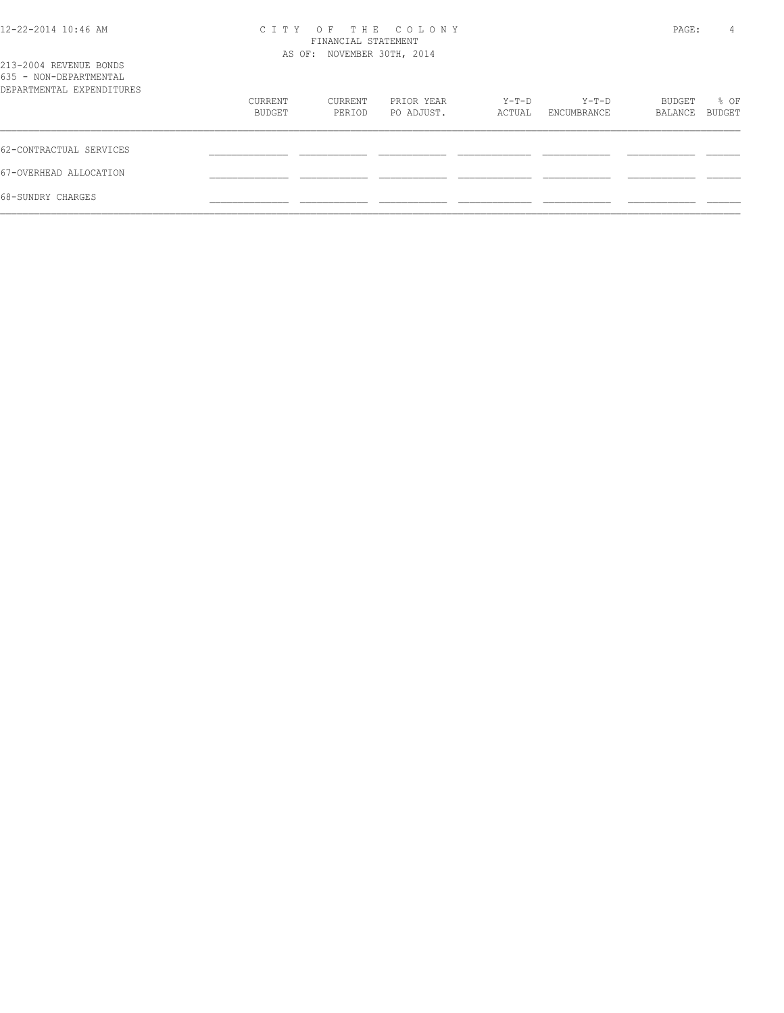| 12-22-2014 10:46 AM |  |  |
|---------------------|--|--|
|---------------------|--|--|

## 12-22-2014 10:46 AM C I T Y O F T H E C O L O N Y PAGE: 4 FINANCIAL STATEMENT

| 213-2004 REVENUE BONDS<br>635 - NON-DEPARTMENTAL |                   | AS OF: NOVEMBER 30TH, 2014 |                          |                 |                      |                   |                       |
|--------------------------------------------------|-------------------|----------------------------|--------------------------|-----------------|----------------------|-------------------|-----------------------|
| DEPARTMENTAL EXPENDITURES                        |                   |                            |                          |                 |                      |                   |                       |
|                                                  | CURRENT<br>BUDGET | CURRENT<br>PERIOD          | PRIOR YEAR<br>PO ADJUST. | Y-T-D<br>ACTUAL | Y-T-D<br>ENCUMBRANCE | BUDGET<br>BALANCE | % OF<br><b>BUDGET</b> |
| 62-CONTRACTUAL SERVICES                          |                   |                            |                          |                 |                      |                   |                       |
| 67-OVERHEAD ALLOCATION                           |                   |                            |                          |                 |                      |                   |                       |
| 68-SUNDRY CHARGES                                |                   |                            |                          |                 |                      |                   |                       |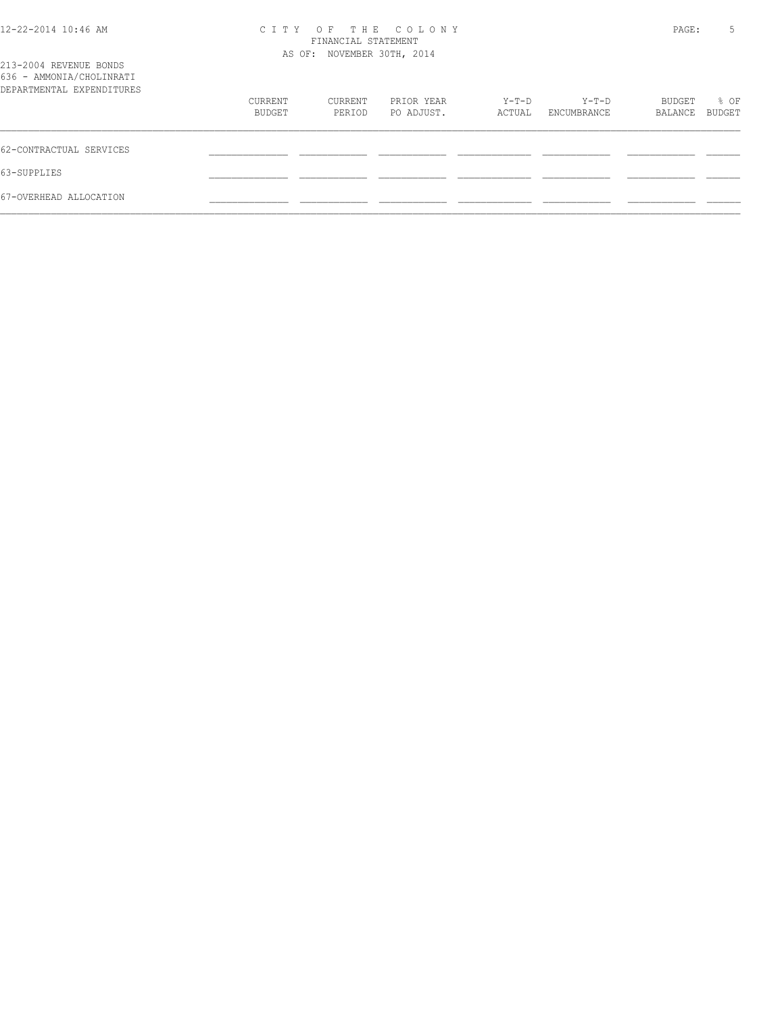| 12-22-2014 10:46 AM |  |  |
|---------------------|--|--|
|---------------------|--|--|

## 12-22-2014 10:46 AM C I T Y O F T H E C O L O N Y PAGE: 5 FINANCIAL STATEMENT

| 213-2004 REVENUE BONDS<br>636 - AMMONIA/CHOLINRATI |                   | AS OF: NOVEMBER 30TH, 2014 |                          |                   |                        |                   |                |
|----------------------------------------------------|-------------------|----------------------------|--------------------------|-------------------|------------------------|-------------------|----------------|
| DEPARTMENTAL EXPENDITURES                          |                   |                            |                          |                   |                        |                   |                |
|                                                    | CURRENT<br>BUDGET | CURRENT<br>PERIOD          | PRIOR YEAR<br>PO ADJUST. | $Y-T-D$<br>ACTUAL | $Y-T-D$<br>ENCUMBRANCE | BUDGET<br>BALANCE | % OF<br>BUDGET |
| 62-CONTRACTUAL SERVICES                            |                   |                            |                          |                   |                        |                   |                |
| 63-SUPPLIES                                        |                   |                            |                          |                   |                        |                   |                |
| 67-OVERHEAD ALLOCATION                             |                   |                            |                          |                   |                        |                   |                |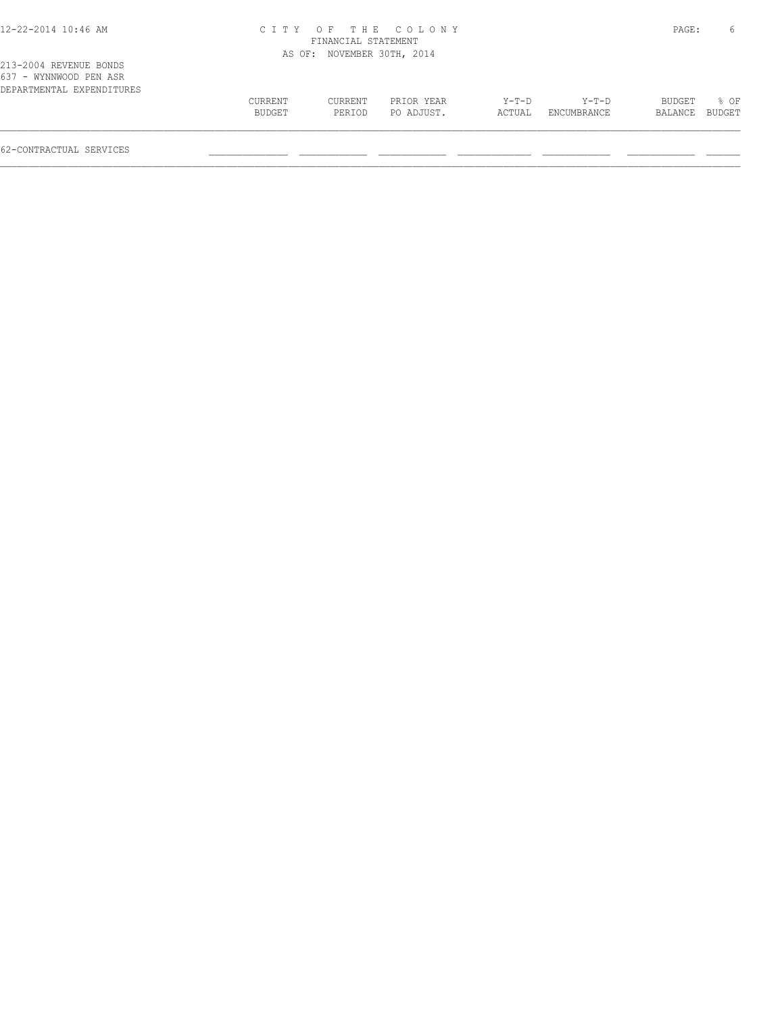## 12-22-2014 10:46 AM C I T Y O F T H E C O L O N Y PAGE: 6 FINANCIAL STATEMENT

| 213-2004 REVENUE BONDS<br>637 - WYNNWOOD PEN ASR |         |         | AS OF: NOVEMBER 30TH, 2014 |         |             |               |        |
|--------------------------------------------------|---------|---------|----------------------------|---------|-------------|---------------|--------|
| DEPARTMENTAL EXPENDITURES                        | CURRENT | CURRENT | PRIOR YEAR                 | $Y-T-D$ | $Y-T-D$     | <b>BUDGET</b> | 8 OF   |
|                                                  | BUDGET  | PERIOD  | PO ADJUST.                 | ACTUAL  | ENCUMBRANCE | BALANCE       | BUDGET |
|                                                  |         |         |                            |         |             |               |        |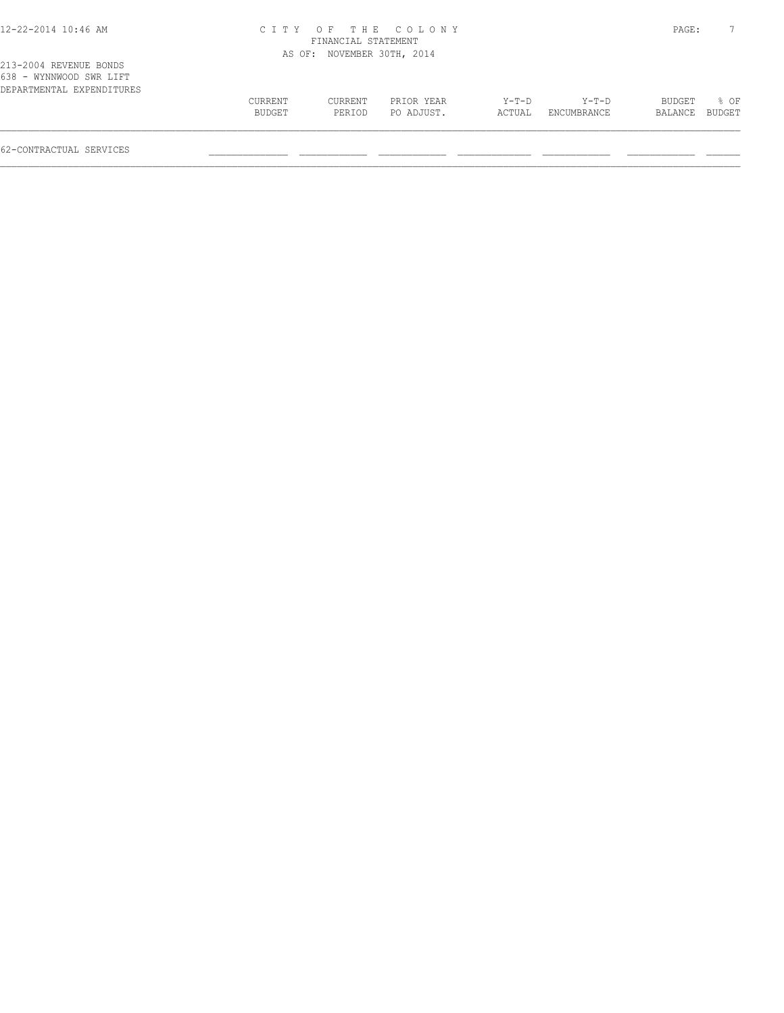## 12-22-2014 10:46 AM C I T Y O F T H E C O L O N Y PAGE: 7 FINANCIAL STATEMENT

|                                                                                |                   |                   | AS OF: NOVEMBER 30TH, 2014 |                   |                        |                   |                       |
|--------------------------------------------------------------------------------|-------------------|-------------------|----------------------------|-------------------|------------------------|-------------------|-----------------------|
| 213-2004 REVENUE BONDS<br>638 - WYNNWOOD SWR LIFT<br>DEPARTMENTAL EXPENDITURES |                   |                   |                            |                   |                        |                   |                       |
|                                                                                | CURRENT<br>BUDGET | CURRENT<br>PERIOD | PRIOR YEAR<br>PO ADJUST.   | $Y-T-D$<br>ACTUAL | $Y-T-D$<br>ENCUMBRANCE | BUDGET<br>BALANCE | % OF<br><b>BUDGET</b> |
|                                                                                |                   |                   |                            |                   |                        |                   |                       |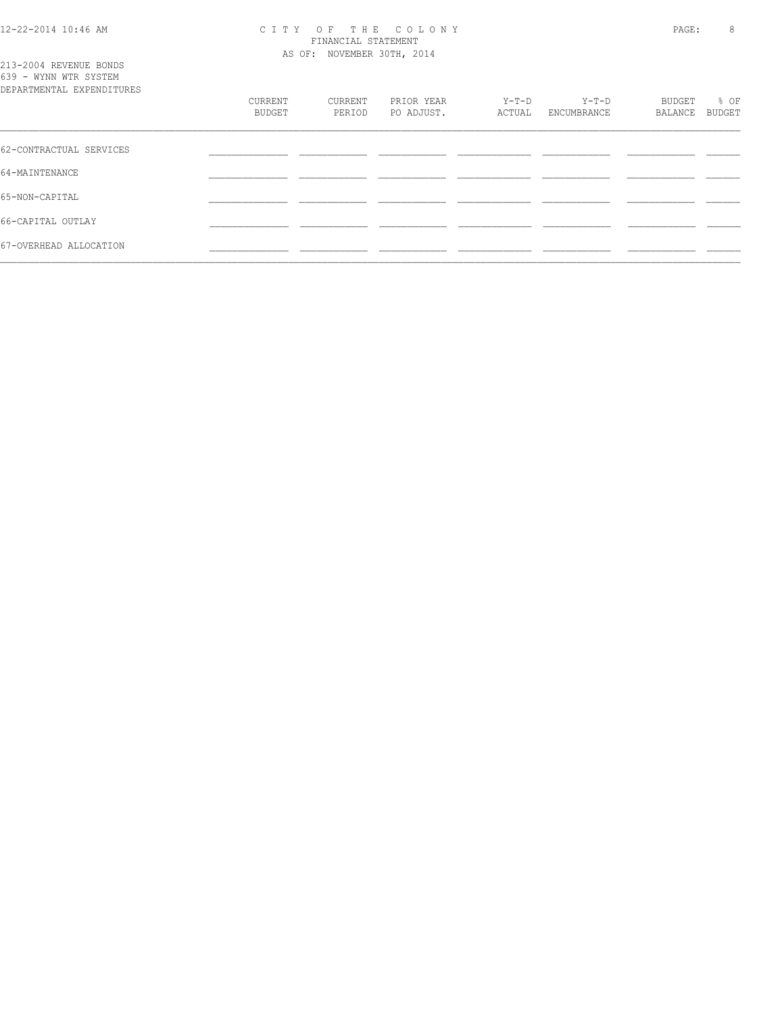213-2004 REVENUE BONDS

#### 12-22-2014 10:46 AM C I T Y O F T H E C O L O N Y PAGE: 8 FINANCIAL STATEMENT AS OF: NOVEMBER 30TH, 2014

| 639 - WYNN WTR SYSTEM<br>DEPARTMENTAL EXPENDITURES |                   |                   |                          |                 |                      |                   |                       |
|----------------------------------------------------|-------------------|-------------------|--------------------------|-----------------|----------------------|-------------------|-----------------------|
|                                                    | CURRENT<br>BUDGET | CURRENT<br>PERIOD | PRIOR YEAR<br>PO ADJUST. | Y-T-D<br>ACTUAL | Y-T-D<br>ENCUMBRANCE | BUDGET<br>BALANCE | % OF<br><b>BUDGET</b> |
| 62-CONTRACTUAL SERVICES                            |                   |                   |                          |                 |                      |                   |                       |
| 64-MAINTENANCE                                     |                   |                   |                          |                 |                      |                   |                       |
| 65-NON-CAPITAL                                     |                   |                   |                          |                 |                      |                   |                       |
| 66-CAPITAL OUTLAY                                  |                   |                   |                          |                 |                      |                   |                       |
| 67-OVERHEAD ALLOCATION                             |                   |                   |                          |                 |                      |                   |                       |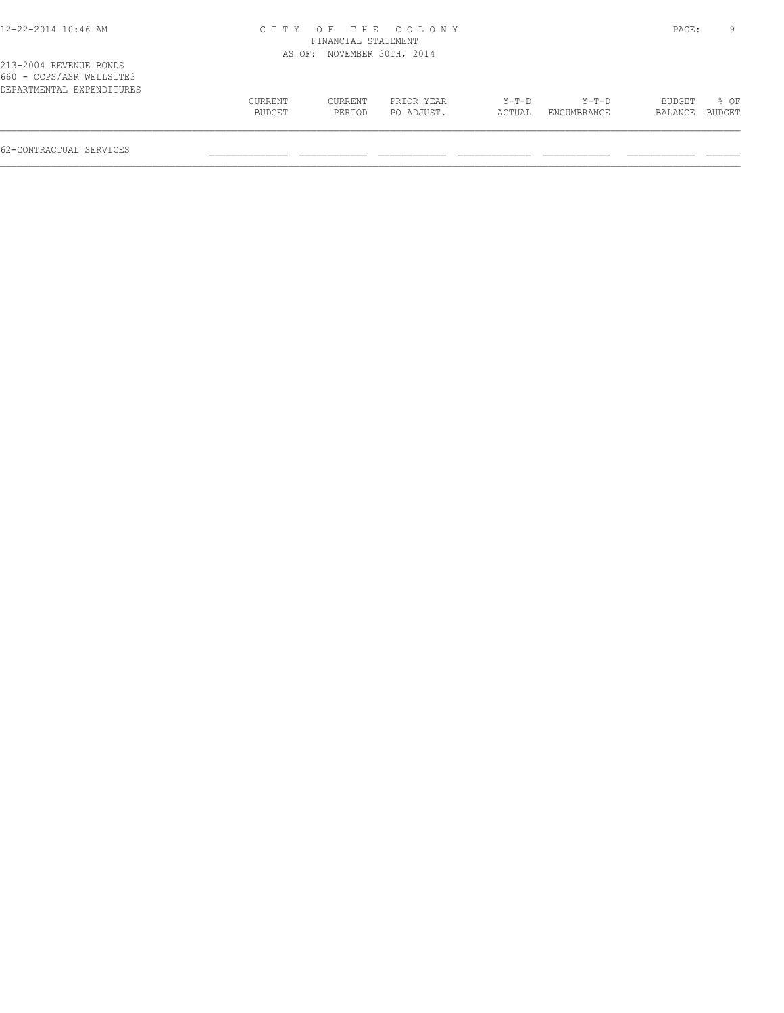#### 12-22-2014 10:46 AM C I T Y O F T H E C O L O N Y PAGE: 9 FINANCIAL STATEMENT AS OF: NOVEMBER 30TH, 2014

213-2004 REVENUE BONDS 660 - OCPS/ASR WELLSITE3 DEPARTMENTAL EXPENDITURES

| 000 - Ules/ask Wellsiies  |               |         |            |         |             |                |      |
|---------------------------|---------------|---------|------------|---------|-------------|----------------|------|
| DEPARTMENTAL EXPENDITURES |               |         |            |         |             |                |      |
|                           | CURRENT       | CURRENT | PRIOR YEAR | $Y-T-D$ | $Y-T-D$     | BUDGET         | % OF |
|                           | <b>BUDGET</b> | PERIOD  | PO ADJUST. | ACTUAL  | ENCUMBRANCE | BALANCE BUDGET |      |
|                           |               |         |            |         |             |                |      |
|                           |               |         |            |         |             |                |      |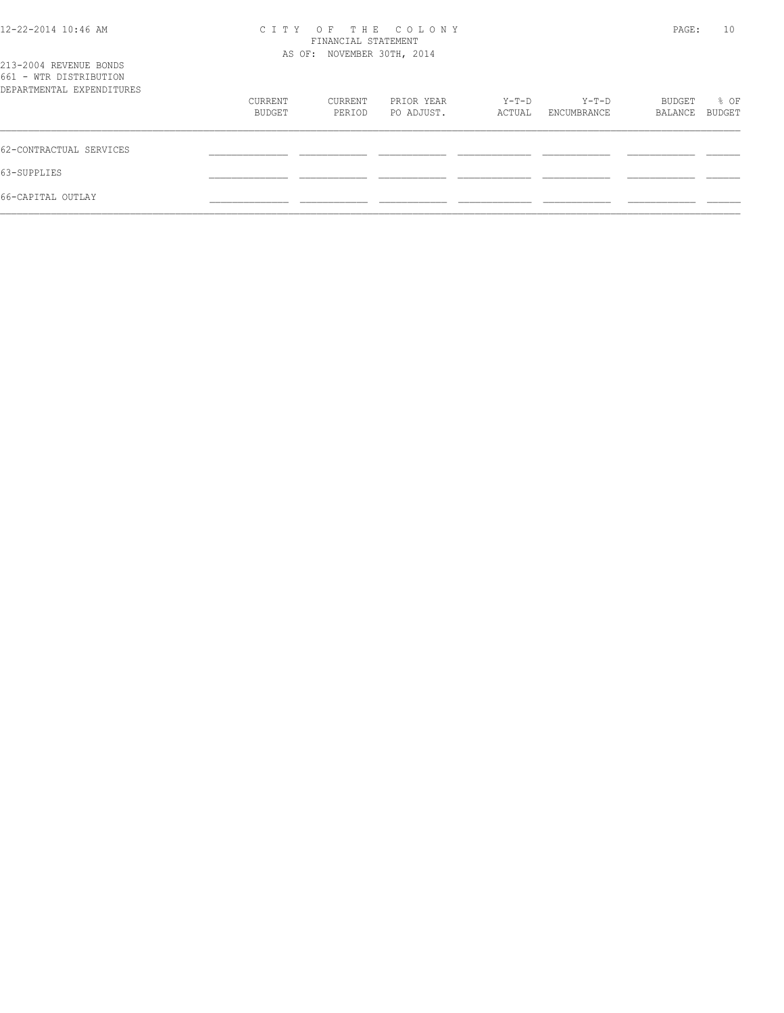| 12-22-2014 10:46 AM |  |  |
|---------------------|--|--|
|---------------------|--|--|

## 12-22-2014 10:46 AM C I T Y O F T H E C O L O N Y PAGE: 10 FINANCIAL STATEMENT

| 213-2004 REVENUE BONDS<br>661 - WTR DISTRIBUTION |                   | AS OF: NOVEMBER 30TH, 2014 |                          |                 |                        |                   |                |
|--------------------------------------------------|-------------------|----------------------------|--------------------------|-----------------|------------------------|-------------------|----------------|
| DEPARTMENTAL EXPENDITURES                        |                   |                            |                          |                 |                        |                   |                |
|                                                  | CURRENT<br>BUDGET | CURRENT<br>PERIOD          | PRIOR YEAR<br>PO ADJUST. | Y-T-D<br>ACTUAL | $Y-T-D$<br>ENCUMBRANCE | BUDGET<br>BALANCE | % OF<br>BUDGET |
| 62-CONTRACTUAL SERVICES                          |                   |                            |                          |                 |                        |                   |                |
| 63-SUPPLIES                                      |                   |                            |                          |                 |                        |                   |                |
| 66-CAPITAL OUTLAY                                |                   |                            |                          |                 |                        |                   |                |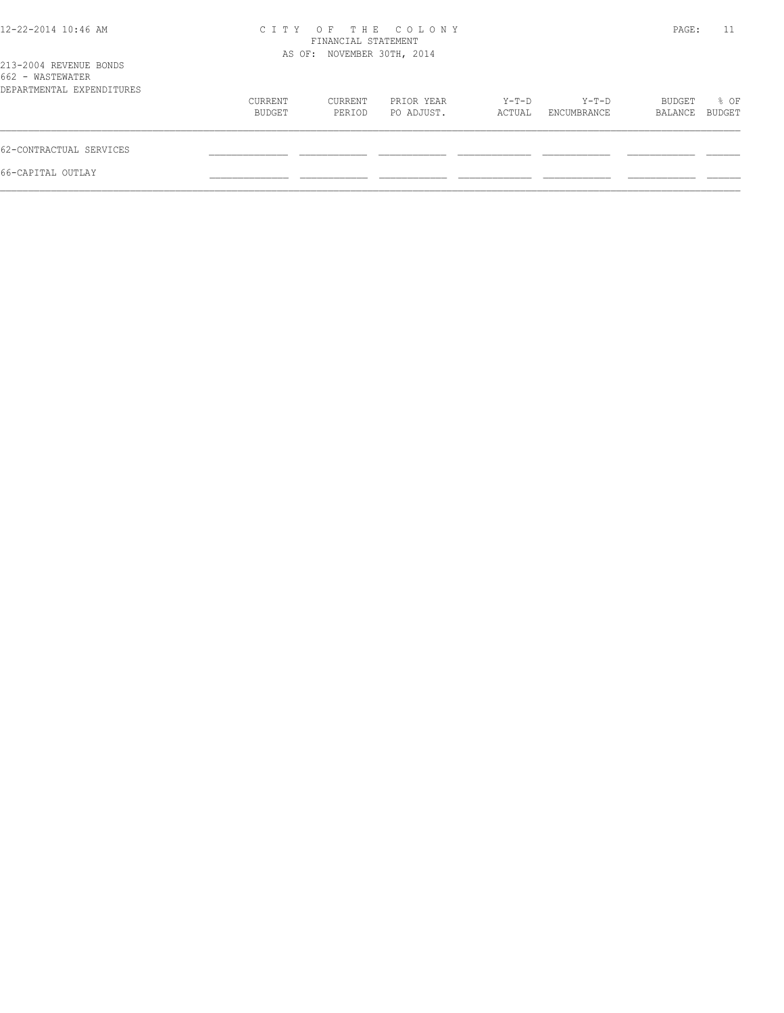| 12-22-2014 10:46 AM                                                     |                   | FINANCIAL STATEMENT        | CITY OF THE COLONY       |                 |                      | PAGE:             | 11             |
|-------------------------------------------------------------------------|-------------------|----------------------------|--------------------------|-----------------|----------------------|-------------------|----------------|
| 213-2004 REVENUE BONDS<br>662 - WASTEWATER<br>DEPARTMENTAL EXPENDITURES |                   | AS OF: NOVEMBER 30TH, 2014 |                          |                 |                      |                   |                |
|                                                                         | CURRENT<br>BUDGET | CURRENT<br>PERIOD          | PRIOR YEAR<br>PO ADJUST. | Y-T-D<br>ACTUAL | Y-T-D<br>ENCUMBRANCE | BUDGET<br>BALANCE | % OF<br>BUDGET |
| 62-CONTRACTUAL SERVICES                                                 |                   |                            |                          |                 |                      |                   |                |
| 66-CAPITAL OUTLAY                                                       |                   |                            |                          |                 |                      |                   |                |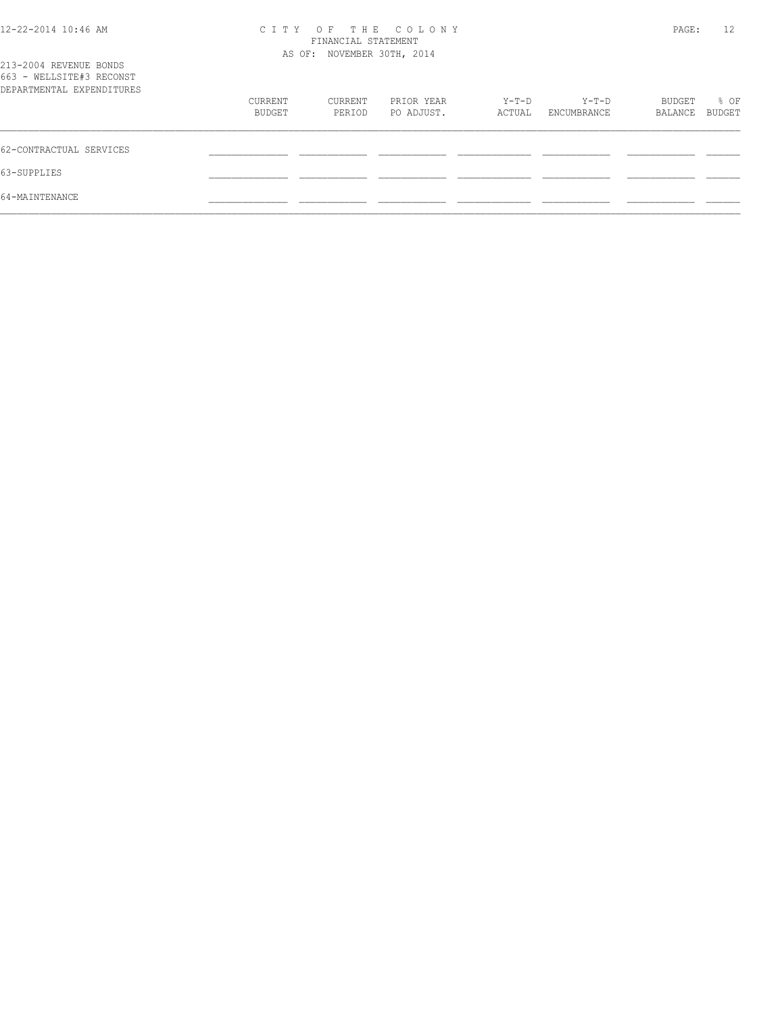| 12-22-2014 10:46 AM |  |  |
|---------------------|--|--|
|---------------------|--|--|

## 12-22-2014 10:46 AM C I T Y O F T H E C O L O N Y PAGE: 12 FINANCIAL STATEMENT

| 213-2004 REVENUE BONDS                                |                   | AS OF: NOVEMBER 30TH, 2014 |                          |                   |                      |                   |                       |
|-------------------------------------------------------|-------------------|----------------------------|--------------------------|-------------------|----------------------|-------------------|-----------------------|
| 663 - WELLSITE#3 RECONST<br>DEPARTMENTAL EXPENDITURES |                   |                            |                          |                   |                      |                   |                       |
|                                                       | CURRENT<br>BUDGET | CURRENT<br>PERIOD          | PRIOR YEAR<br>PO ADJUST. | $Y-T-D$<br>ACTUAL | Y-T-D<br>ENCUMBRANCE | BUDGET<br>BALANCE | % OF<br><b>BUDGET</b> |
| 62-CONTRACTUAL SERVICES                               |                   |                            |                          |                   |                      |                   |                       |
| 63-SUPPLIES                                           |                   |                            |                          |                   |                      |                   |                       |
| 64-MAINTENANCE                                        |                   |                            |                          |                   |                      |                   |                       |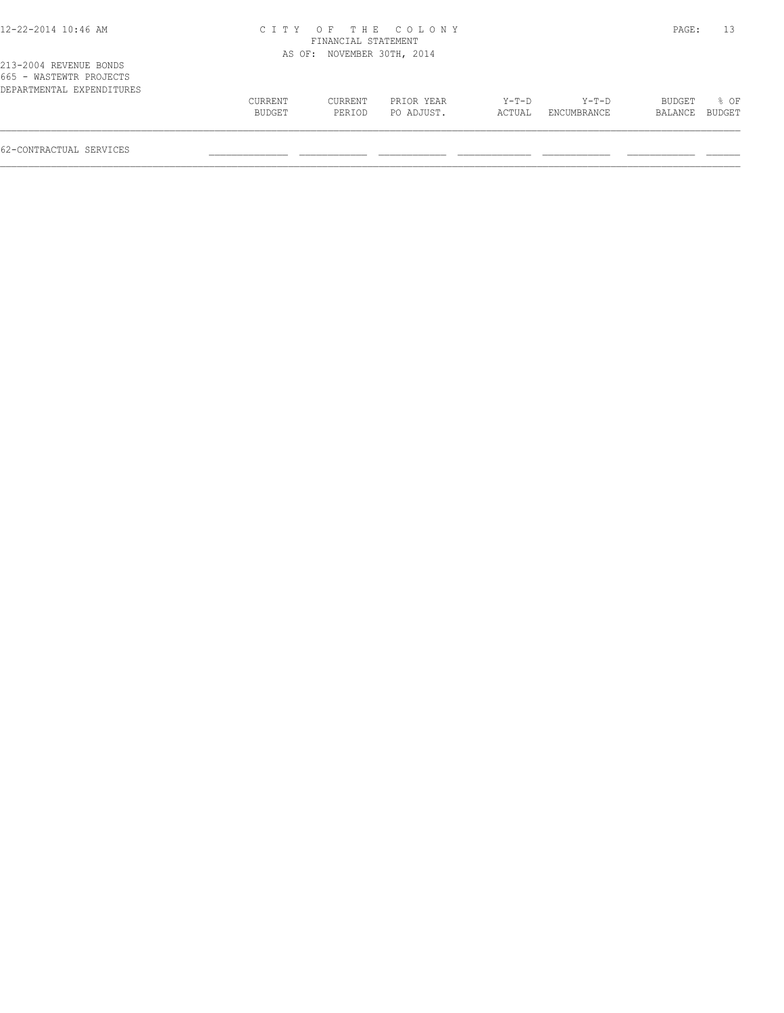## 12-22-2014 10:46 AM C I T Y O F T H E C O L O N Y PAGE: 13 FINANCIAL STATEMENT

|                                                                                |                   |                   | AS OF: NOVEMBER 30TH, 2014 |                 |                      |                   |                |
|--------------------------------------------------------------------------------|-------------------|-------------------|----------------------------|-----------------|----------------------|-------------------|----------------|
| 213-2004 REVENUE BONDS<br>665 - WASTEWTR PROJECTS<br>DEPARTMENTAL EXPENDITURES |                   |                   |                            |                 |                      |                   |                |
|                                                                                | CURRENT<br>BUDGET | CURRENT<br>PERIOD | PRIOR YEAR<br>PO ADJUST.   | Y-T-D<br>ACTUAL | Y-T-D<br>ENCUMBRANCE | BUDGET<br>BALANCE | 8 OF<br>BUDGET |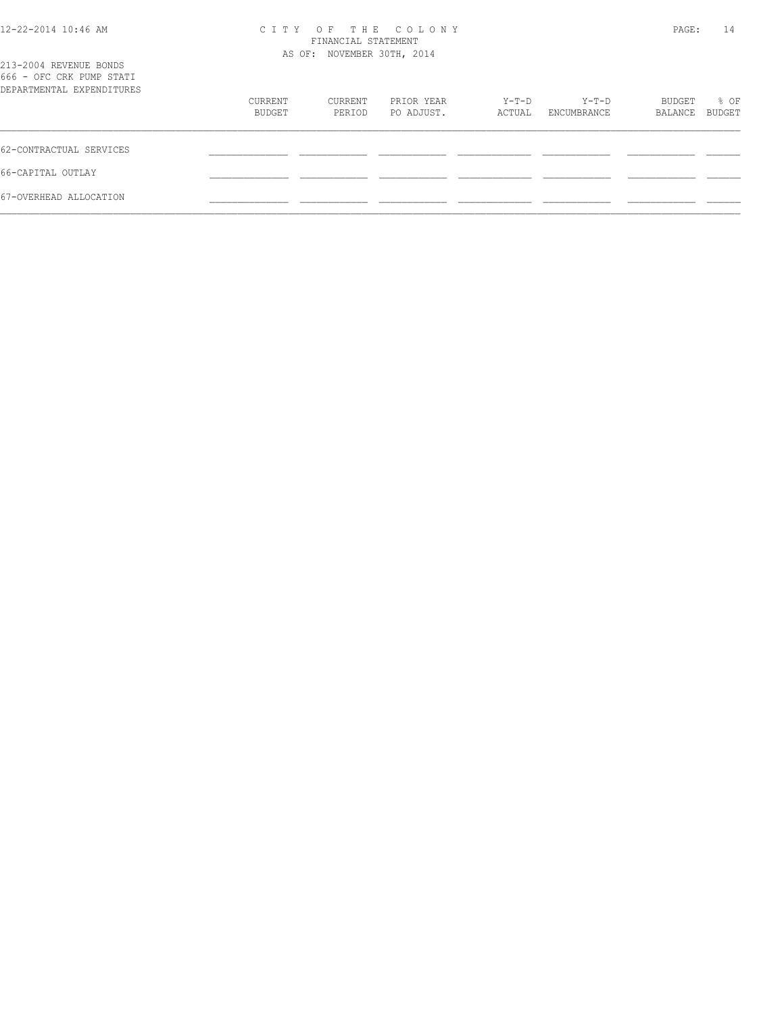| 12-22-2014 10:46 AM |
|---------------------|
|---------------------|

## 12-22-2014 10:46 AM C I T Y O F T H E C O L O N Y PAGE: 14 FINANCIAL STATEMENT

| 213-2004 REVENUE BONDS<br>666 - OFC CRK PUMP STATI |                   | AS OF: NOVEMBER 30TH, 2014 |                          |                 |                      |                   |                |
|----------------------------------------------------|-------------------|----------------------------|--------------------------|-----------------|----------------------|-------------------|----------------|
| DEPARTMENTAL EXPENDITURES                          | CURRENT<br>BUDGET | CURRENT<br>PERIOD          | PRIOR YEAR<br>PO ADJUST. | Y-T-D<br>ACTUAL | Y-T-D<br>ENCUMBRANCE | BUDGET<br>BALANCE | % OF<br>BUDGET |
| 62-CONTRACTUAL SERVICES                            |                   |                            |                          |                 |                      |                   |                |
| 66-CAPITAL OUTLAY                                  |                   |                            |                          |                 |                      |                   |                |
| 67-OVERHEAD ALLOCATION                             |                   |                            |                          |                 |                      |                   |                |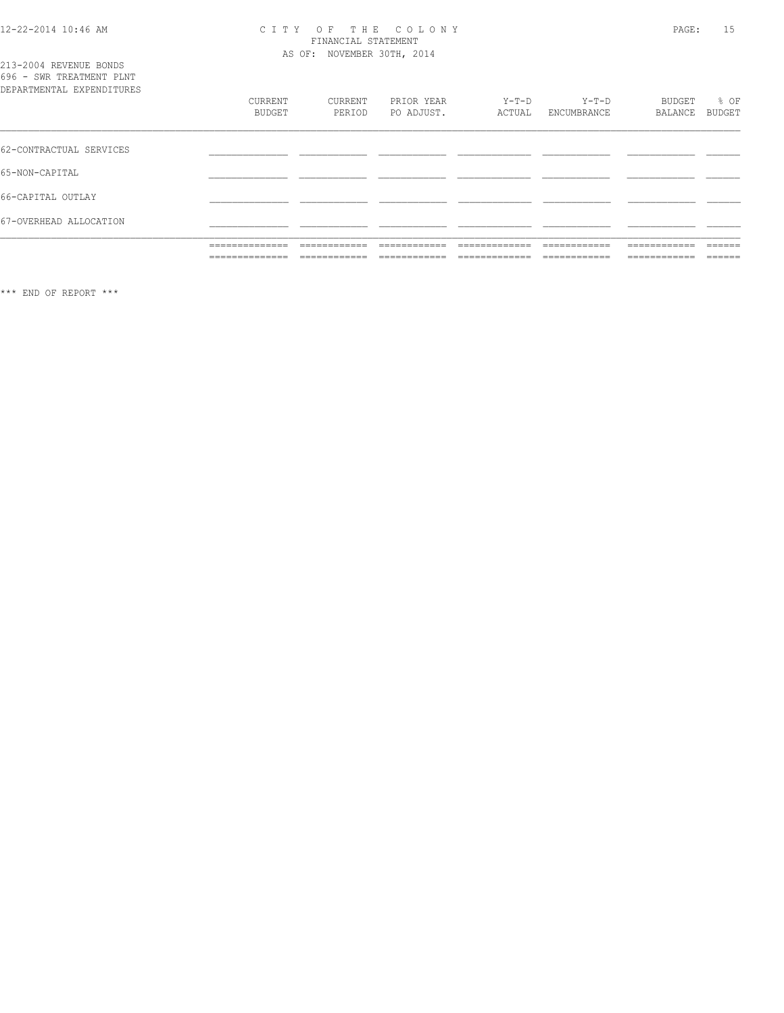## CITY OF THE COLONY<br>FINANCIAL STATEMENT<br>AS OF: NOVEMBER 30TH, 2014

| 213-2004 REVENUE BONDS<br>696 - SWR TREATMENT PLNT<br>DEPARTMENTAL EXPENDITURES |                   |                   |                          |                   |                        |                   |                |
|---------------------------------------------------------------------------------|-------------------|-------------------|--------------------------|-------------------|------------------------|-------------------|----------------|
|                                                                                 | CURRENT<br>BUDGET | CURRENT<br>PERIOD | PRIOR YEAR<br>PO ADJUST. | $Y-T-D$<br>ACTUAL | $Y-T-D$<br>ENCUMBRANCE | BUDGET<br>BALANCE | % OF<br>BUDGET |
| 62-CONTRACTUAL SERVICES                                                         |                   |                   |                          |                   |                        |                   |                |
| 65-NON-CAPITAL                                                                  |                   |                   |                          |                   |                        |                   |                |
| 66-CAPITAL OUTLAY                                                               |                   |                   |                          |                   |                        |                   |                |
| 67-OVERHEAD ALLOCATION                                                          |                   |                   |                          |                   |                        |                   |                |

\*\*\* END OF REPORT \*\*\*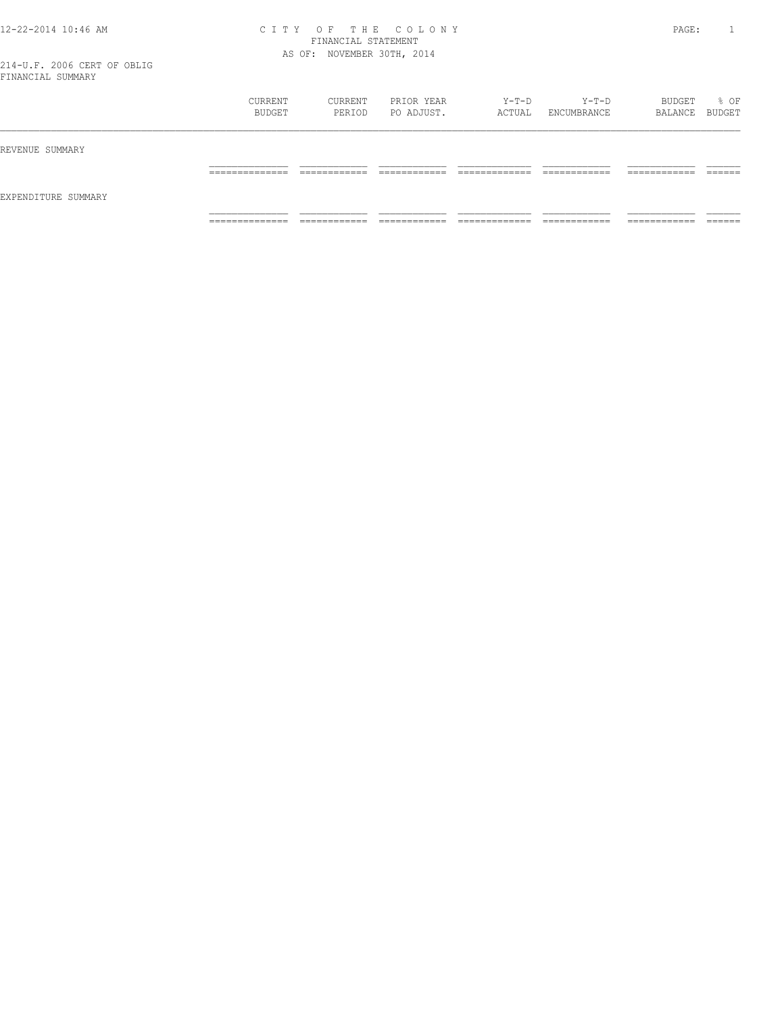#### 12-22-2014 10:46 AM C I T Y O F T H E C O L O N Y PAGE: 1 FINANCIAL STATEMENT AS OF: NOVEMBER 30TH, 2014

|                     | CURRENT<br>BUDGET | CURRENT<br>PERIOD | PRIOR YEAR<br>PO ADJUST. | Y-T-D<br>ACTUAL | $Y-T-D$<br>ENCUMBRANCE | BUDGET<br>BALANCE BUDGET | % OF    |
|---------------------|-------------------|-------------------|--------------------------|-----------------|------------------------|--------------------------|---------|
| REVENUE SUMMARY     |                   |                   |                          |                 |                        |                          |         |
| EXPENDITURE SUMMARY | ______________    | -------------     | -------------            | _____________   | ------------           | -------------            | ------- |
|                     | .                 | ____________      | ____________             | _____________   | ____________           | ____________             | _______ |
|                     | ______________    | ___________       | ____________             | _____________   | ____________           | ___________              | ______  |
|                     | .                 | ____________      | _____________            | _____________   | _____________          | ____________             | _______ |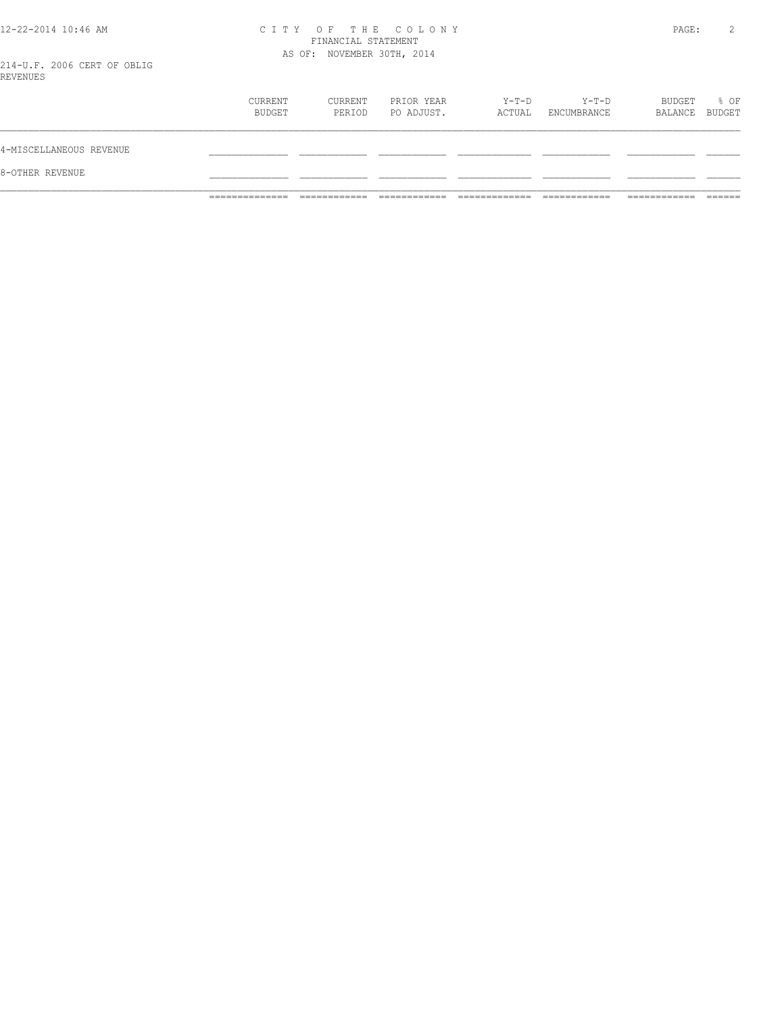# 12-22-2014 10:46 AM CITY OF THE COLONY<br>FINANCIAL STATEMENT<br>214 V.F. 2006 CERT OF ORIES

PAGE: 2

214-U.F. 2006 CERT OF OBLIG<br>REVENUES

| 8-OTHER REVENUE         |                   |                   |                          |                 |                        |                          |      |
|-------------------------|-------------------|-------------------|--------------------------|-----------------|------------------------|--------------------------|------|
| 4-MISCELLANEOUS REVENUE |                   |                   |                          |                 |                        |                          |      |
|                         | CURRENT<br>BUDGET | CURRENT<br>PERIOD | PRIOR YEAR<br>PO ADJUST. | Y-T-D<br>ACTUAL | $Y-T-D$<br>ENCUMBRANCE | BUDGET<br>BALANCE BUDGET | % OF |
| ---------               |                   |                   |                          |                 |                        |                          |      |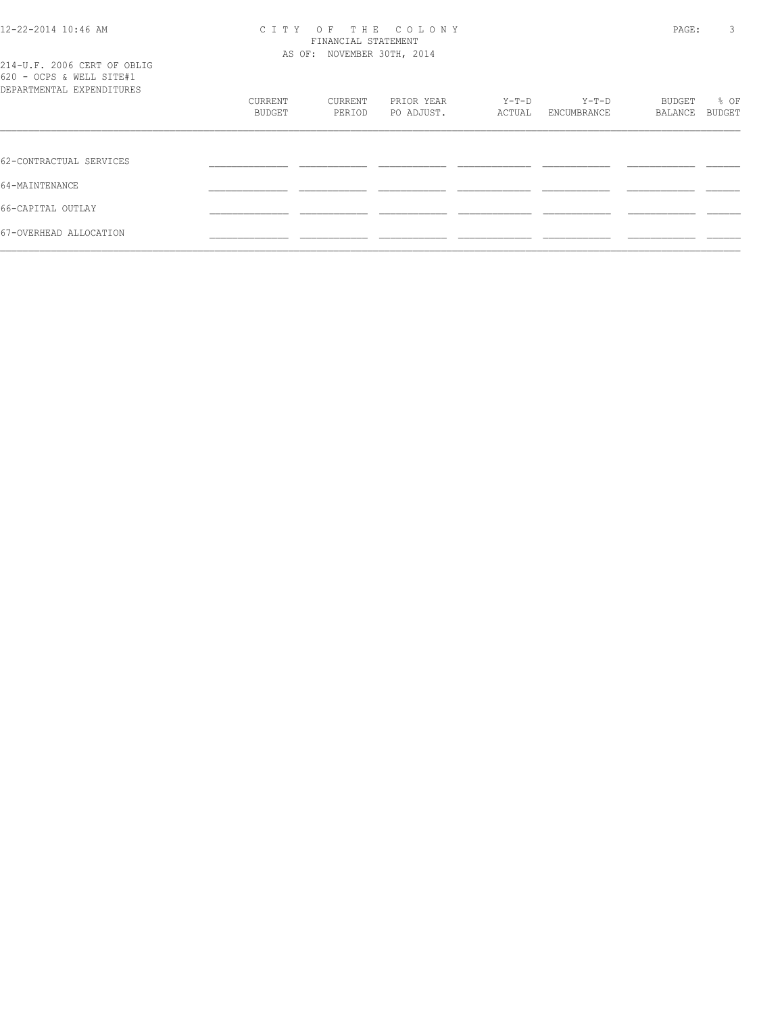#### 12-22-2014 10:46 AM C I T Y O F T H E C O L O N Y PAGE: 3 FINANCIAL STATEMENT AS OF: NOVEMBER 30TH, 2014

|                          | 214-U.F. 2006 CERT OF OBLIG |
|--------------------------|-----------------------------|
| 620 - OCPS & WELL SITE#1 |                             |
|                          | DEPARTMENTAL EXPENDITIRES   |

| VAV VULU & WEEE UIIETI<br>DEPARTMENTAL EXPENDITURES |                   |                   |                          |                 |                        |                   |                |
|-----------------------------------------------------|-------------------|-------------------|--------------------------|-----------------|------------------------|-------------------|----------------|
|                                                     | CURRENT<br>BUDGET | CURRENT<br>PERIOD | PRIOR YEAR<br>PO ADJUST. | Y-T-D<br>ACTUAL | $Y-T-D$<br>ENCUMBRANCE | BUDGET<br>BALANCE | % OF<br>BUDGET |
|                                                     |                   |                   |                          |                 |                        |                   |                |
|                                                     |                   |                   |                          |                 |                        |                   |                |
| 62-CONTRACTUAL SERVICES                             |                   |                   |                          |                 |                        |                   |                |
| 64-MAINTENANCE                                      |                   |                   |                          |                 |                        |                   |                |
| 66-CAPITAL OUTLAY                                   |                   |                   |                          |                 |                        |                   |                |
| 67-OVERHEAD ALLOCATION                              |                   |                   |                          |                 |                        |                   |                |
|                                                     |                   |                   |                          |                 |                        |                   |                |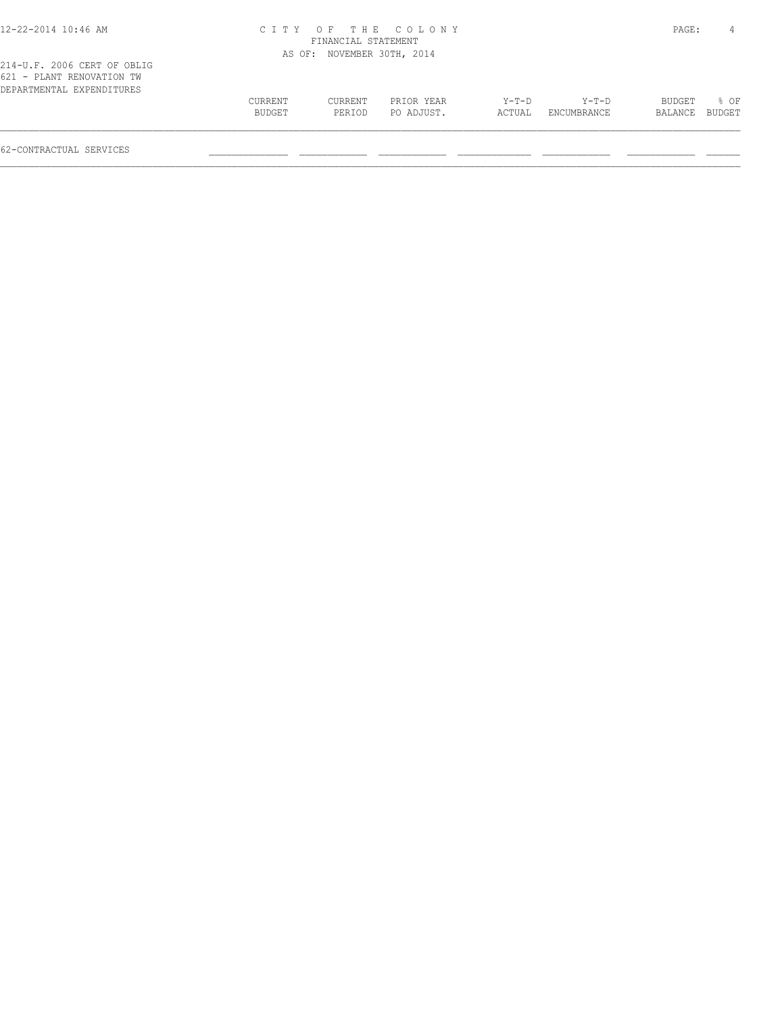## 12-22-2014 10:46 AM C I T Y O F T H E C O L O N Y PAGE: 4 FINANCIAL STATEMENT AS OF: NOVEMBER 30TH, 2014

| 621 - PLANT RENOVATION TW |         |         |            |        |             |                |             |
|---------------------------|---------|---------|------------|--------|-------------|----------------|-------------|
| DEPARTMENTAL EXPENDITURES |         |         |            |        |             |                |             |
|                           | CURRENT | CURRENT | PRIOR YEAR | Y-T-D  | Y-T-D       |                | BUDGET % OF |
|                           | BUDGET  | PERTOD  | PO ADJUST. | ACTUAL | ENCUMBRANCE | BALANCE BUDGET |             |
|                           |         |         |            |        |             |                |             |
|                           |         |         |            |        |             |                |             |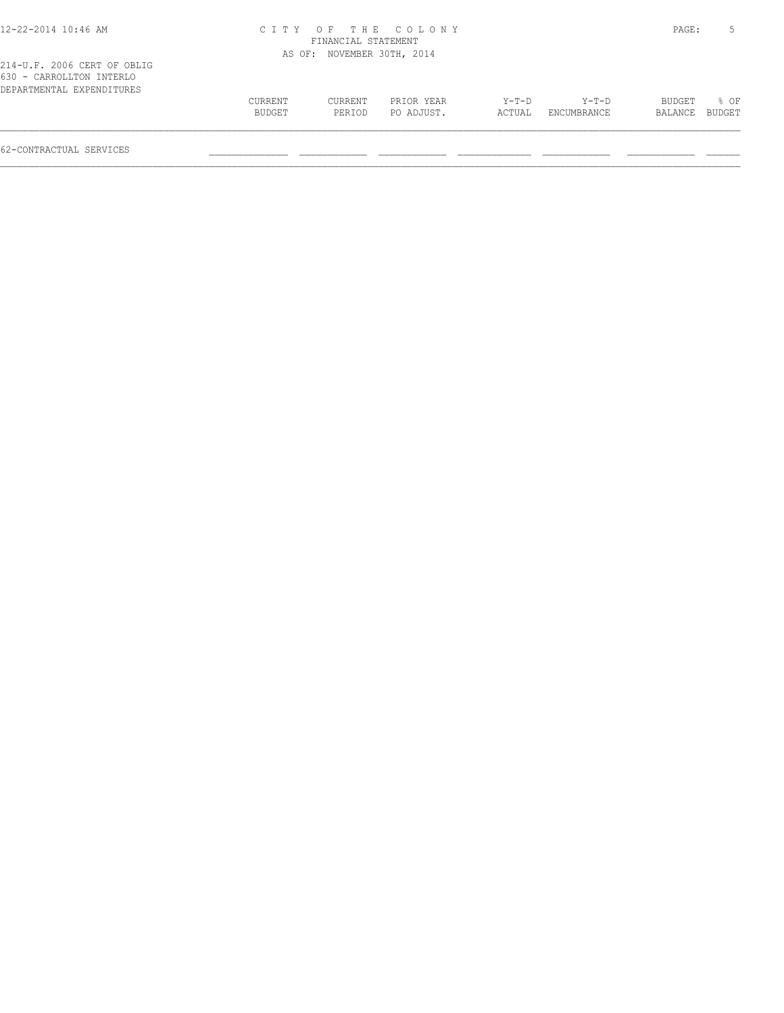| 12-22-2014 10:46 AM                                                                  |         |                            | CITY OF THE COLONY |        |             | PAGE:   |        |
|--------------------------------------------------------------------------------------|---------|----------------------------|--------------------|--------|-------------|---------|--------|
|                                                                                      |         | FINANCIAL STATEMENT        |                    |        |             |         |        |
|                                                                                      |         | AS OF: NOVEMBER 30TH, 2014 |                    |        |             |         |        |
| 214-U.F. 2006 CERT OF OBLIG<br>630 - CARROLLTON INTERLO<br>DEPARTMENTAL EXPENDITURES |         |                            |                    |        |             |         |        |
|                                                                                      | CURRENT | CURRENT                    | PRIOR YEAR         | Y-T-D  | Y-T-D       | BUDGET  | 8 OF   |
|                                                                                      | BUDGET  | PERIOD                     | PO ADJUST.         | ACTUAL | ENCUMBRANCE | BALANCE | BUDGET |
|                                                                                      |         |                            |                    |        |             |         |        |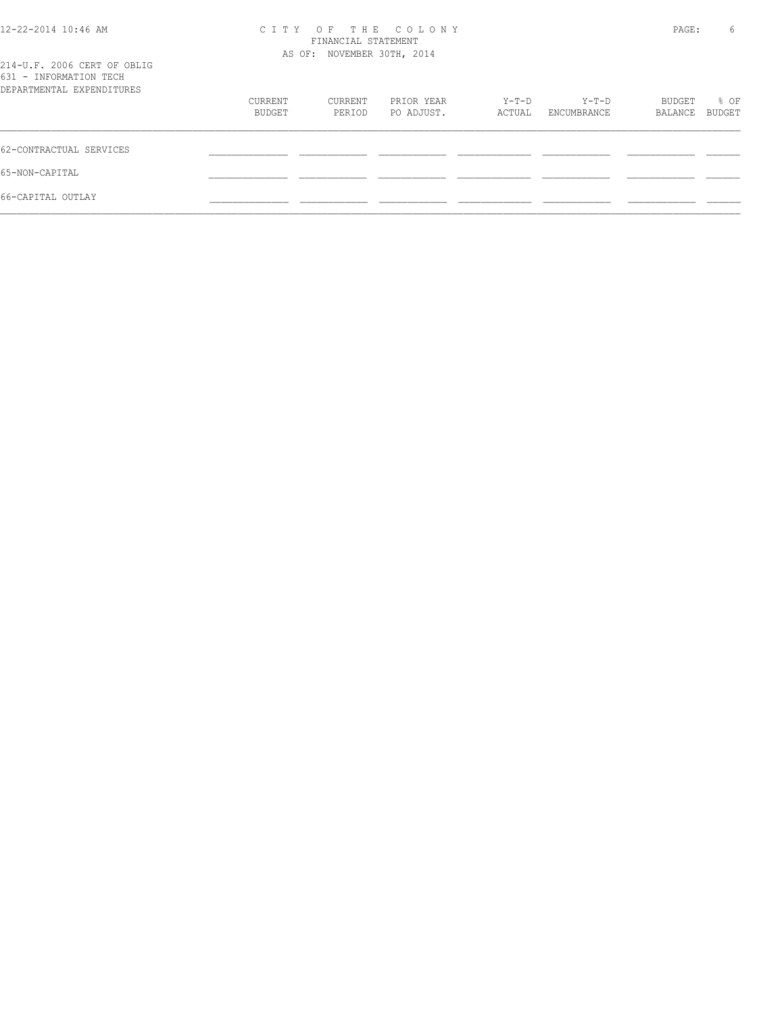| 12-22-2014 10:46 AM                                   | CITY OF THE COLONY<br>FINANCIAL STATEMENT<br>AS OF: NOVEMBER 30TH, 2014 |         |            |        |             | PAGE:   | 6      |
|-------------------------------------------------------|-------------------------------------------------------------------------|---------|------------|--------|-------------|---------|--------|
|                                                       |                                                                         |         |            |        |             |         |        |
| 214-U.F. 2006 CERT OF OBLIG<br>631 - INFORMATION TECH |                                                                         |         | PRIOR YEAR | Y-T-D  | Y-T-D       | BUDGET  | % OF   |
| DEPARTMENTAL EXPENDITURES                             |                                                                         |         |            |        |             |         |        |
|                                                       | CURRENT                                                                 | CURRENT |            |        |             |         |        |
|                                                       | BUDGET                                                                  | PERIOD  | PO ADJUST. | ACTUAL | ENCUMBRANCE | BALANCE | BUDGET |
| 62-CONTRACTUAL SERVICES                               |                                                                         |         |            |        |             |         |        |
| 65-NON-CAPITAL                                        |                                                                         |         |            |        |             |         |        |
| 66-CAPITAL OUTLAY                                     |                                                                         |         |            |        |             |         |        |
|                                                       |                                                                         |         |            |        |             |         |        |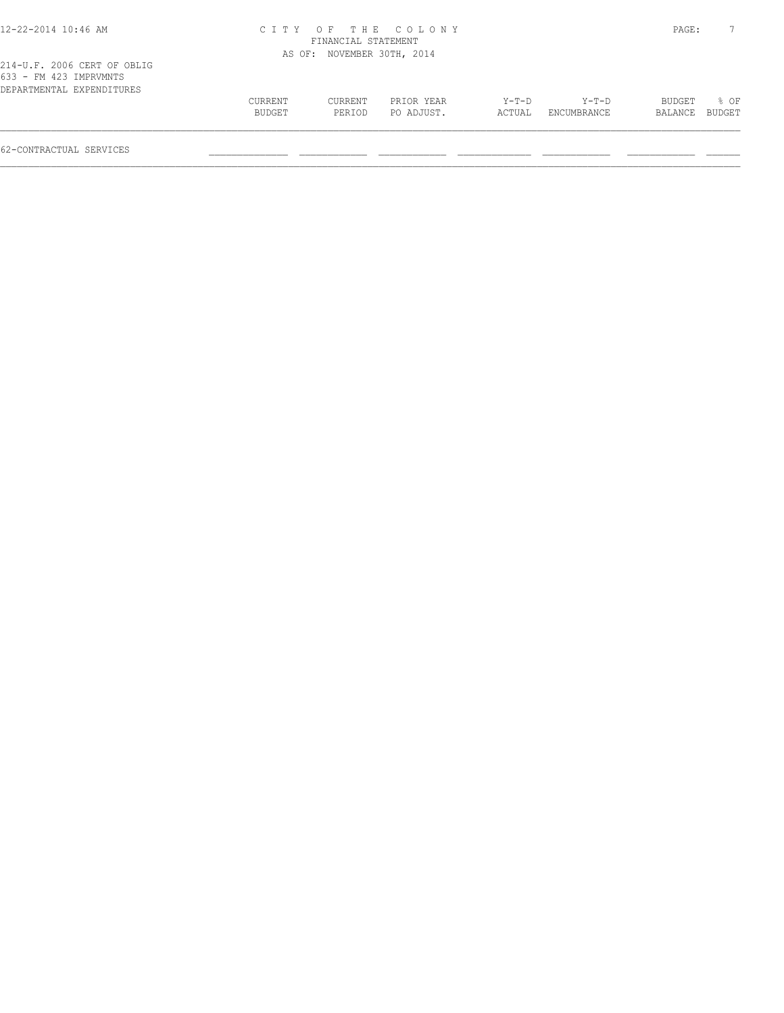| 12-22-2014 10:46 AM                                                                |                   |                            | CITY OF THE COLONY       |                 |                      | PAGE:             |                       |
|------------------------------------------------------------------------------------|-------------------|----------------------------|--------------------------|-----------------|----------------------|-------------------|-----------------------|
|                                                                                    |                   | FINANCIAL STATEMENT        |                          |                 |                      |                   |                       |
|                                                                                    |                   | AS OF: NOVEMBER 30TH, 2014 |                          |                 |                      |                   |                       |
| 214-U.F. 2006 CERT OF OBLIG<br>633 - FM 423 IMPRVMNTS<br>DEPARTMENTAL EXPENDITURES |                   |                            |                          |                 |                      |                   |                       |
|                                                                                    | CURRENT<br>BUDGET | CURRENT<br>PERIOD          | PRIOR YEAR<br>PO ADJUST. | Y-T-D<br>ACTUAL | Y-T-D<br>ENCUMBRANCE | BUDGET<br>BALANCE | % OF<br><b>BUDGET</b> |
|                                                                                    |                   |                            |                          |                 |                      |                   |                       |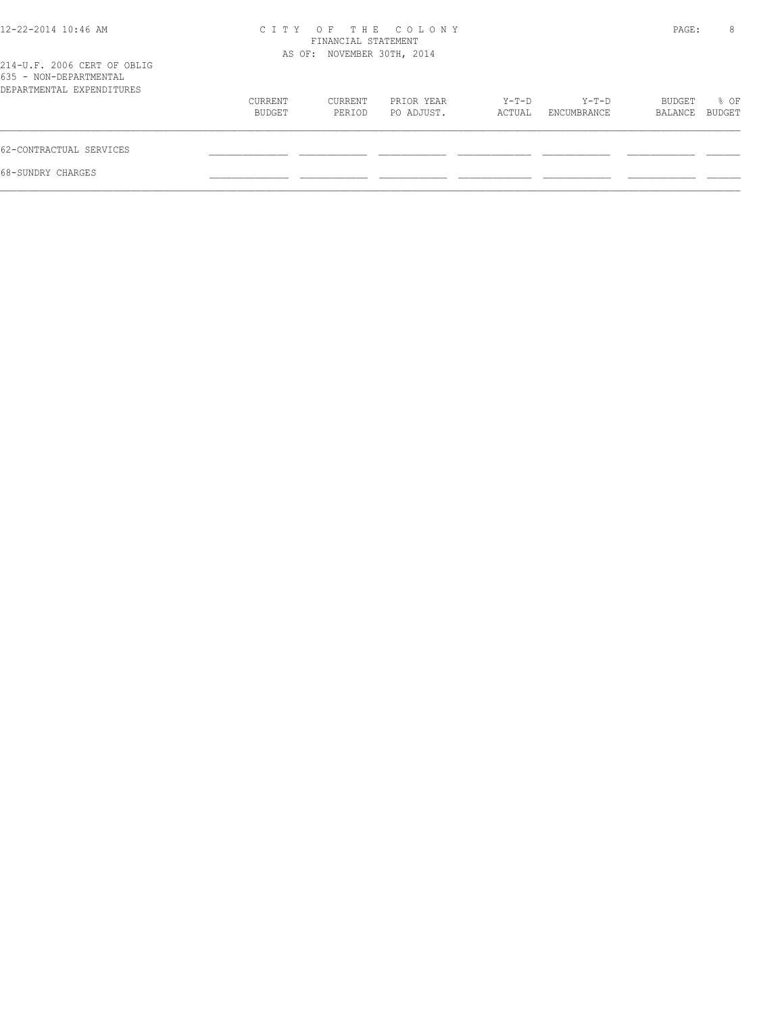| 12-22-2014 10:46 AM                                                                | CITY OF THE COLONY<br>FINANCIAL STATEMENT<br>AS OF: NOVEMBER 30TH, 2014 |                   |                          |                 |                      | PAGE:             | 8              |
|------------------------------------------------------------------------------------|-------------------------------------------------------------------------|-------------------|--------------------------|-----------------|----------------------|-------------------|----------------|
| 214-U.F. 2006 CERT OF OBLIG<br>635 - NON-DEPARTMENTAL<br>DEPARTMENTAL EXPENDITURES |                                                                         |                   |                          |                 |                      |                   |                |
|                                                                                    | CURRENT<br>BUDGET                                                       | CURRENT<br>PERIOD | PRIOR YEAR<br>PO ADJUST. | Y-T-D<br>ACTUAL | Y-T-D<br>ENCUMBRANCE | BUDGET<br>BALANCE | % OF<br>BUDGET |
| 62-CONTRACTUAL SERVICES                                                            |                                                                         |                   |                          |                 |                      |                   |                |
| 68-SUNDRY CHARGES                                                                  |                                                                         |                   |                          |                 |                      |                   |                |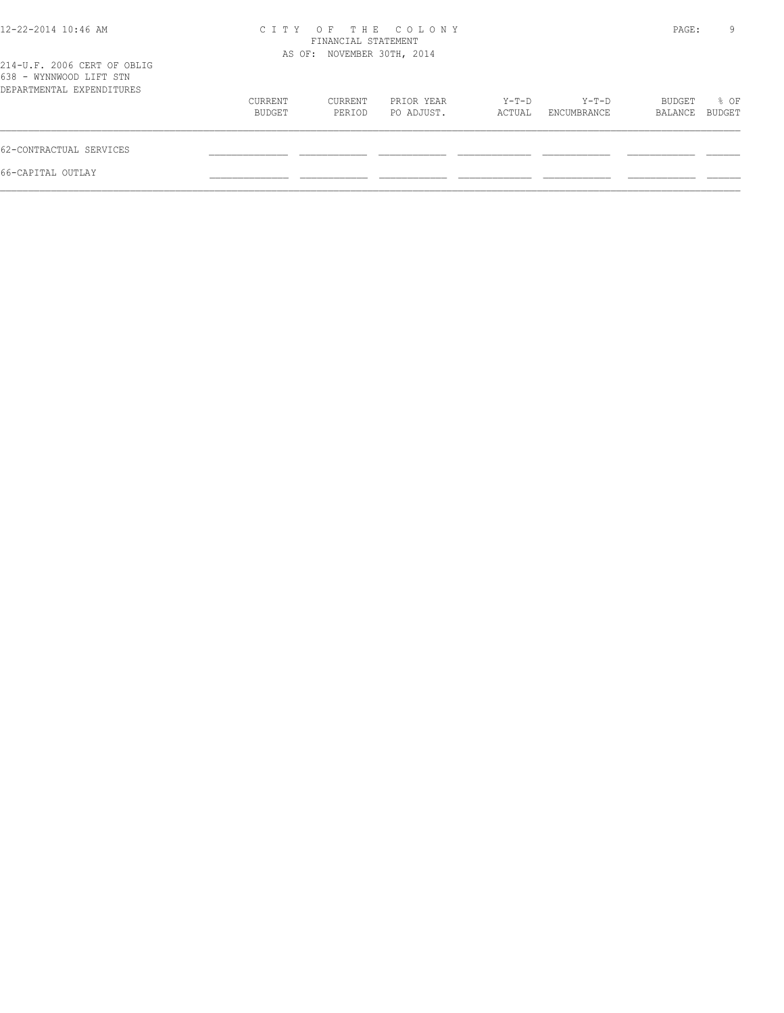| 12-22-2014 10:46 AM                                                                 |                   | FINANCIAL STATEMENT        | CITY OF THE COLONY       |                 |                      | PAGE:             | 9              |
|-------------------------------------------------------------------------------------|-------------------|----------------------------|--------------------------|-----------------|----------------------|-------------------|----------------|
| 214-U.F. 2006 CERT OF OBLIG<br>638 - WYNNWOOD LIFT STN<br>DEPARTMENTAL EXPENDITURES |                   | AS OF: NOVEMBER 30TH, 2014 |                          |                 |                      |                   |                |
|                                                                                     | CURRENT<br>BUDGET | CURRENT<br>PERIOD          | PRIOR YEAR<br>PO ADJUST. | Y-T-D<br>ACTUAL | Y-T-D<br>ENCUMBRANCE | BUDGET<br>BALANCE | % OF<br>BUDGET |
| 62-CONTRACTUAL SERVICES                                                             |                   |                            |                          |                 |                      |                   |                |
| 66-CAPITAL OUTLAY                                                                   |                   |                            |                          |                 |                      |                   |                |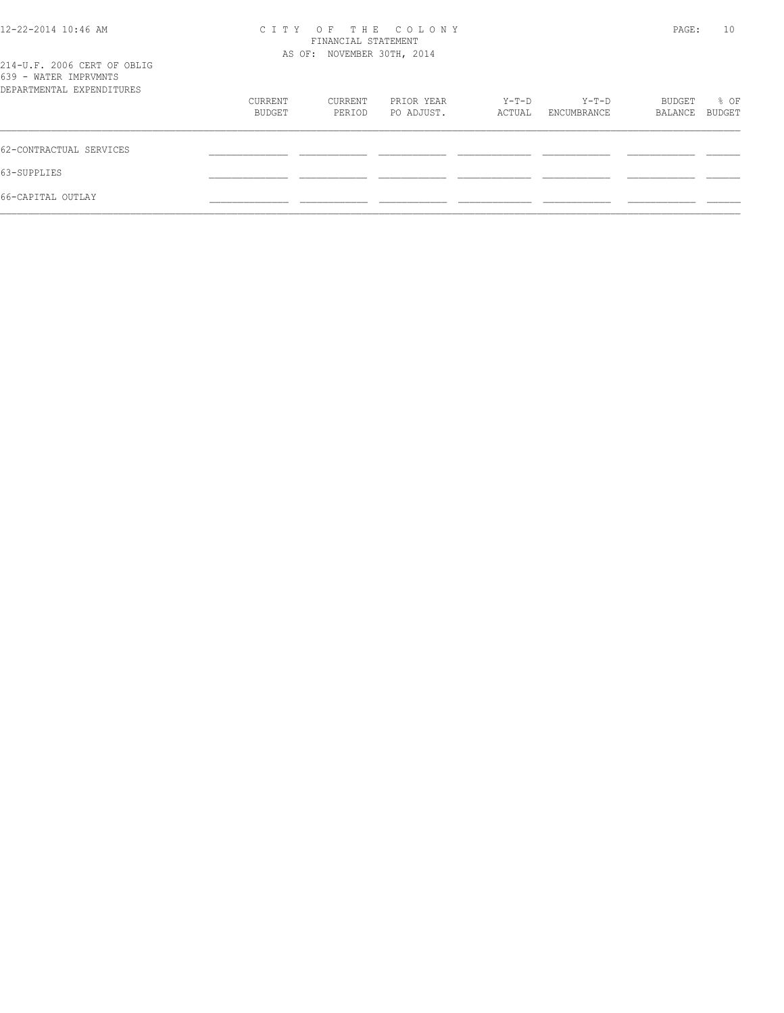| 12-22-2014 10:46 AM                                  | CITY OF THE COLONY | PAGE:                      | 10                       |                 |                      |                   |                |  |
|------------------------------------------------------|--------------------|----------------------------|--------------------------|-----------------|----------------------|-------------------|----------------|--|
|                                                      |                    | AS OF: NOVEMBER 30TH, 2014 |                          |                 |                      |                   |                |  |
| 214-U.F. 2006 CERT OF OBLIG<br>639 - WATER IMPRVMNTS |                    |                            |                          |                 |                      |                   |                |  |
| DEPARTMENTAL EXPENDITURES                            |                    |                            |                          |                 |                      |                   |                |  |
|                                                      | CURRENT<br>BUDGET  | CURRENT<br>PERIOD          | PRIOR YEAR<br>PO ADJUST. | Y-T-D<br>ACTUAL | Y-T-D<br>ENCUMBRANCE | BUDGET<br>BALANCE | % OF<br>BUDGET |  |
| 62-CONTRACTUAL SERVICES                              |                    |                            |                          |                 |                      |                   |                |  |
| 63-SUPPLIES                                          |                    |                            |                          |                 |                      |                   |                |  |
| 66-CAPITAL OUTLAY                                    |                    |                            |                          |                 |                      |                   |                |  |
|                                                      |                    |                            |                          |                 |                      |                   |                |  |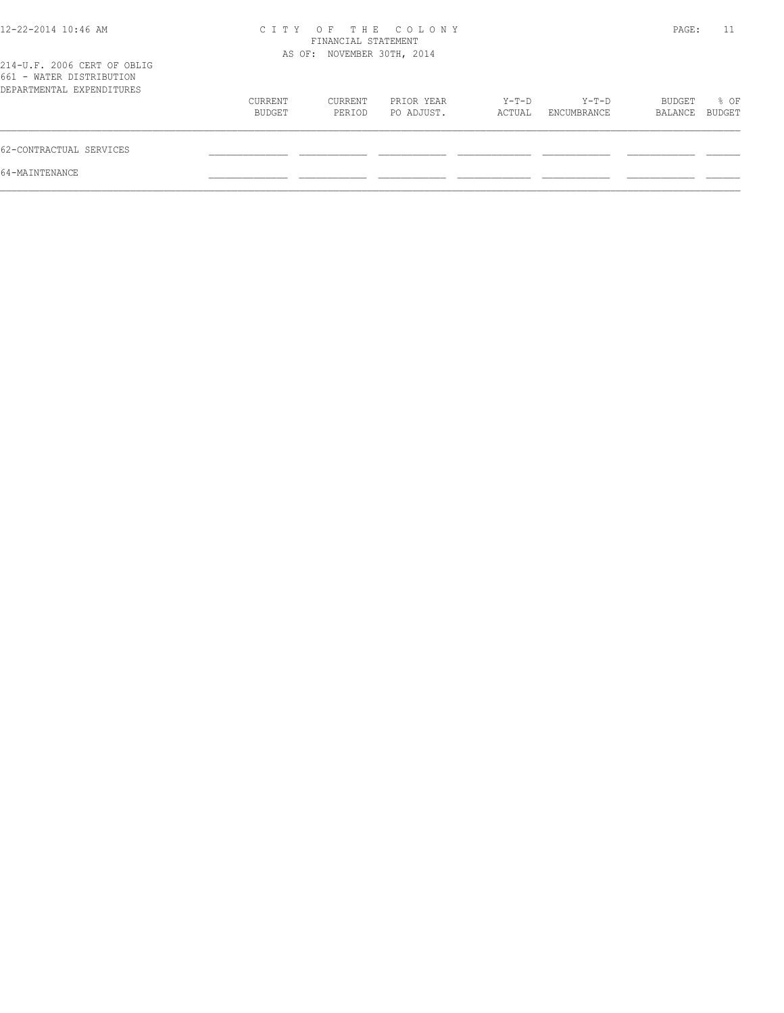| 12-22-2014 10:46 AM                                                                  | C T T Y           | FINANCIAL STATEMENT        | OF THE COLONY            |                 |                        | PAGE:             | 11                    |
|--------------------------------------------------------------------------------------|-------------------|----------------------------|--------------------------|-----------------|------------------------|-------------------|-----------------------|
| 214-U.F. 2006 CERT OF OBLIG<br>661 - WATER DISTRIBUTION<br>DEPARTMENTAL EXPENDITURES |                   | AS OF: NOVEMBER 30TH, 2014 |                          |                 |                        |                   |                       |
|                                                                                      | CURRENT<br>BUDGET | CURRENT<br>PERIOD          | PRIOR YEAR<br>PO ADJUST. | Y-T-D<br>ACTUAL | $Y-T-D$<br>ENCUMBRANCE | BUDGET<br>BALANCE | % OF<br><b>BUDGET</b> |
| 62-CONTRACTUAL SERVICES                                                              |                   |                            |                          |                 |                        |                   |                       |
| 64-MAINTENANCE                                                                       |                   |                            |                          |                 |                        |                   |                       |
|                                                                                      |                   |                            |                          |                 |                        |                   |                       |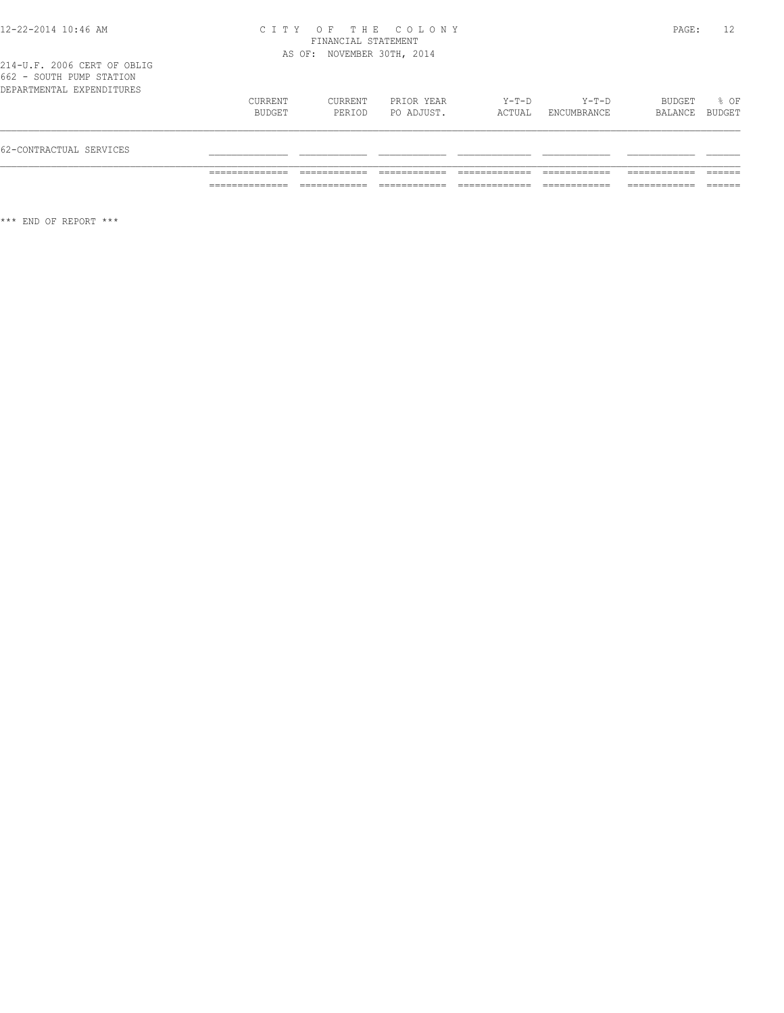#### 12-22-2014 10:46 AM C I T Y O F T H E C O L O N Y PAGE: 12 FINANCIAL STATEMENT AS OF: NOVEMBER 30TH, 2014

| 62-CONTRACTUAL SERVICES   |                   |                   |                          |                 |                      |                          |      |
|---------------------------|-------------------|-------------------|--------------------------|-----------------|----------------------|--------------------------|------|
|                           | CURRENT<br>BUDGET | CURRENT<br>PERIOD | PRIOR YEAR<br>PO ADJUST. | Y-T-D<br>ACTUAL | Y-T-D<br>ENCUMBRANCE | BUDGET<br>BALANCE BUDGET | % OF |
| DEPARTMENTAL EXPENDITURES |                   |                   |                          |                 |                      |                          |      |

\*\*\* END OF REPORT \*\*\*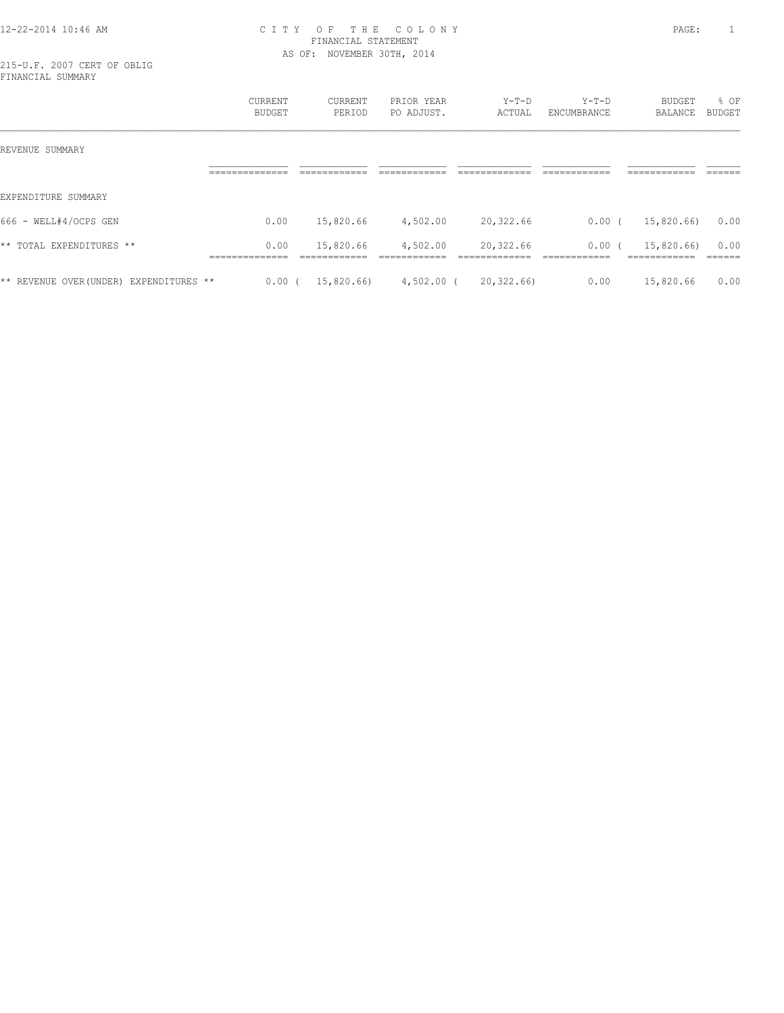#### 12-22-2014 10:46 AM C I T Y O F T H E C O L O N Y PAGE: 1 FINANCIAL STATEMENT AS OF: NOVEMBER 30TH, 2014

215-U.F. 2007 CERT OF OBLIG FINANCIAL SUMMARY

|                                           | CURRENT<br><b>BUDGET</b>        | CURRENT<br>PERIOD          | PRIOR YEAR<br>PO ADJUST.  | $Y-T-D$<br>ACTUAL         | $Y-T-D$<br>ENCUMBRANCE         | BUDGET<br>BALANCE              | % OF<br><b>BUDGET</b> |
|-------------------------------------------|---------------------------------|----------------------------|---------------------------|---------------------------|--------------------------------|--------------------------------|-----------------------|
| REVENUE SUMMARY                           |                                 |                            |                           |                           |                                |                                |                       |
|                                           | ______________<br>_____________ | -------------              | -------------             | ____________              | -------------<br>------------- | -------------<br>------------- | -------               |
| EXPENDITURE SUMMARY                       |                                 |                            |                           |                           |                                |                                |                       |
| 666 - WELL#4/OCPS GEN                     | 0.00                            | 15,820.66                  | 4,502.00                  | 20,322.66                 | 0.00(                          | 15,820.66)                     | 0.00                  |
| $\star\star$<br>TOTAL EXPENDITURES **     | 0.00<br>_____________           | 15,820.66<br>------------- | 4,502.00<br>------------- | 20,322.66<br>____________ | 0.00<br>-------------          | 15,820.66)<br>____________     | 0.00<br>-------       |
| ** REVENUE OVER(UNDER)<br>EXPENDITURES ** | 0.00                            | 15,820.66)                 | $4,502.00$ (              | 20, 322, 66               | 0.00                           | 15,820.66                      | 0.00                  |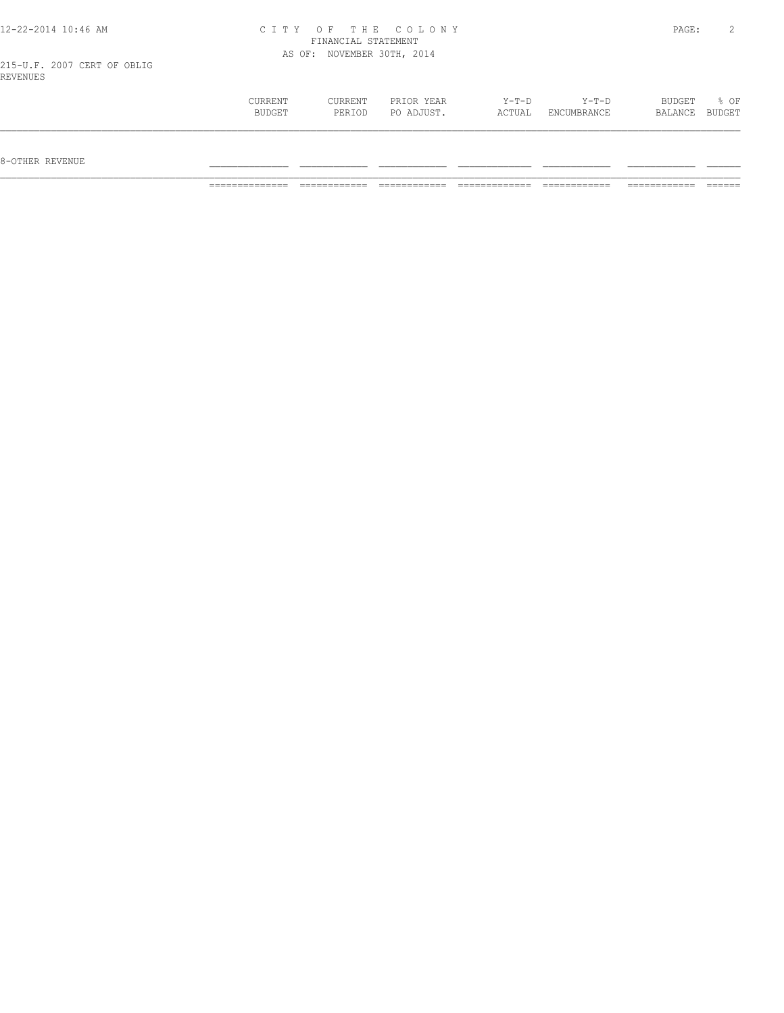| 12-22-2014 10:46 AM                     |                   |                            | CITY OF THE COLONY       |                 |                      | PAGE:             | 2              |
|-----------------------------------------|-------------------|----------------------------|--------------------------|-----------------|----------------------|-------------------|----------------|
|                                         |                   | FINANCIAL STATEMENT        |                          |                 |                      |                   |                |
|                                         |                   | AS OF: NOVEMBER 30TH, 2014 |                          |                 |                      |                   |                |
| 215-U.F. 2007 CERT OF OBLIG<br>REVENUES |                   |                            |                          |                 |                      |                   |                |
|                                         | CURRENT<br>BUDGET | <b>CURRENT</b><br>PERIOD   | PRIOR YEAR<br>PO ADJUST. | Y-T-D<br>ACTUAL | Y-T-D<br>ENCUMBRANCE | BUDGET<br>BALANCE | % OF<br>BUDGET |

\_\_\_\_\_\_\_\_\_\_\_\_\_\_\_\_\_\_\_\_\_\_\_\_\_\_\_\_\_\_\_\_\_\_\_\_\_\_\_\_\_\_\_\_\_\_\_\_\_\_\_\_\_\_\_\_\_\_\_\_\_\_\_\_\_\_\_\_\_\_\_\_\_\_\_\_\_\_\_\_\_\_\_\_\_\_\_\_\_\_\_\_\_\_\_\_\_\_\_\_\_\_\_\_\_\_\_\_\_\_\_\_\_\_\_\_\_\_\_\_\_\_\_\_\_\_\_\_\_\_\_

 $8-{\rm OFF}$  revenue  $\_$ 

============== ============ ============ ============= ============ ============ ======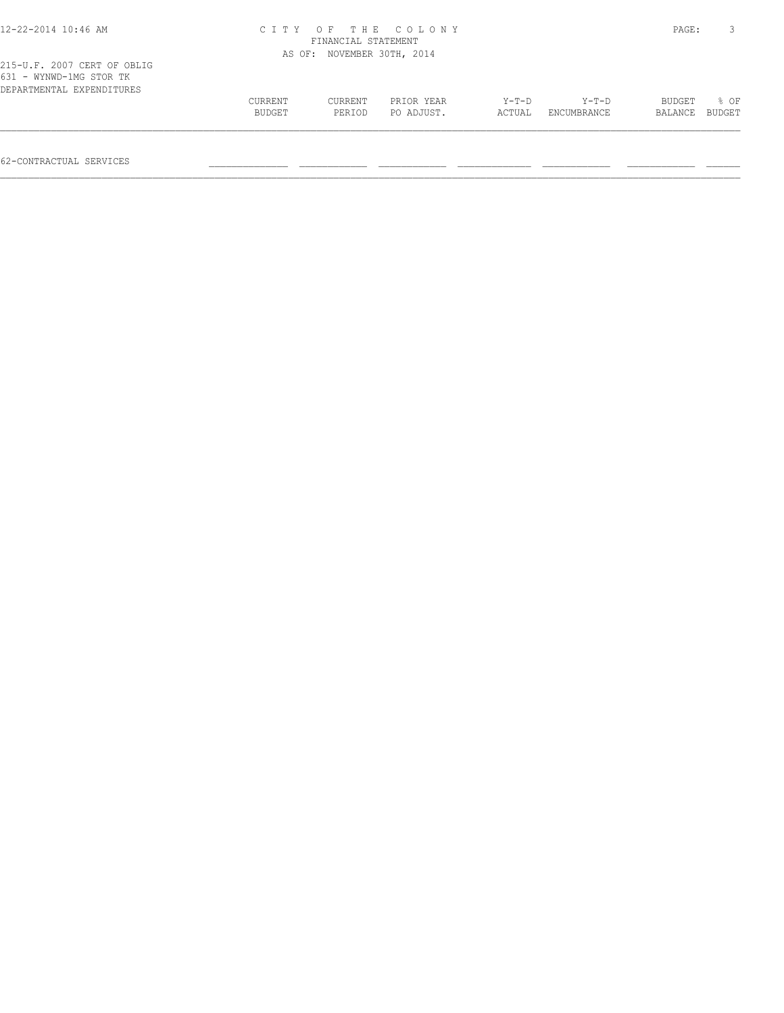| CITY OF THE COLONY<br>FINANCIAL STATEMENT |         |            |                            |             |               |        |
|-------------------------------------------|---------|------------|----------------------------|-------------|---------------|--------|
|                                           |         |            |                            |             |               |        |
|                                           |         |            |                            |             |               |        |
| CURRENT                                   | CURRENT | PRIOR YEAR | $Y-T-D$                    | $Y-T-D$     | <b>BUDGET</b> | 8 OF   |
| BUDGET                                    | PERIOD  | PO ADJUST. | ACTUAL                     | ENCUMBRANCE | BALANCE       | BUDGET |
|                                           |         |            | AS OF: NOVEMBER 30TH, 2014 |             |               | PAGE:  |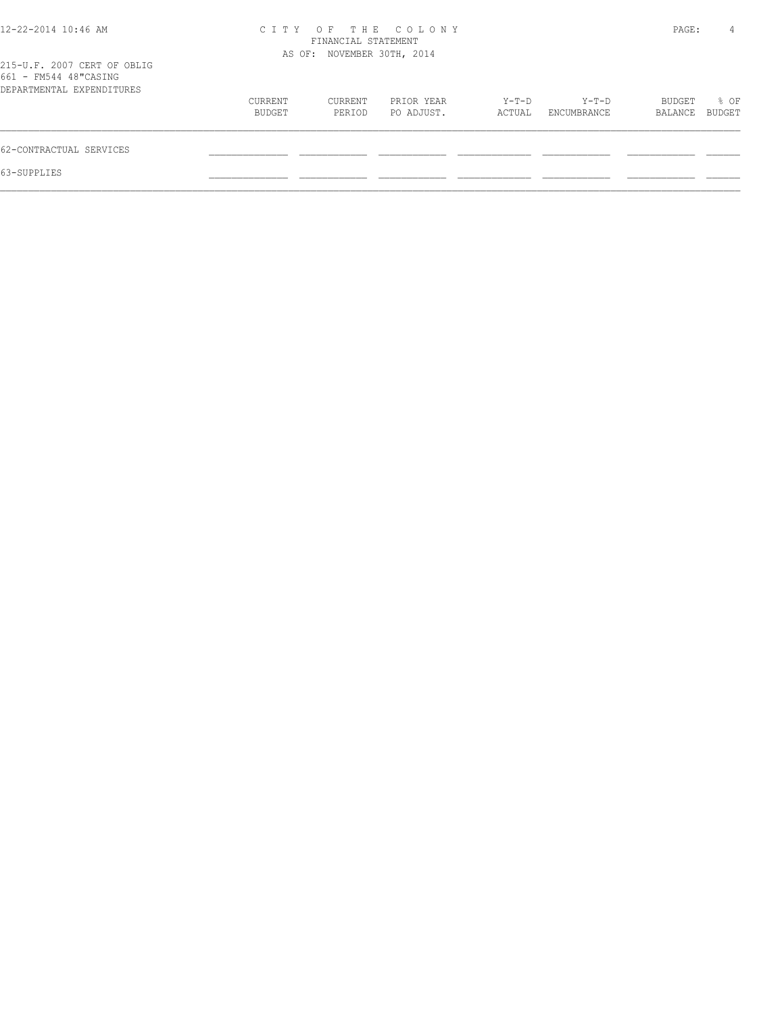| 12-22-2014 10:46 AM                                                               | C T T Y           | FINANCIAL STATEMENT        | OF THE COLONY            |                 |                      | PAGE:             | 4              |
|-----------------------------------------------------------------------------------|-------------------|----------------------------|--------------------------|-----------------|----------------------|-------------------|----------------|
| 215-U.F. 2007 CERT OF OBLIG<br>661 - FM544 48"CASING<br>DEPARTMENTAL EXPENDITURES |                   | AS OF: NOVEMBER 30TH, 2014 |                          |                 |                      |                   |                |
|                                                                                   | CURRENT<br>BUDGET | CURRENT<br>PERIOD          | PRIOR YEAR<br>PO ADJUST. | Y-T-D<br>ACTUAL | Y-T-D<br>ENCUMBRANCE | BUDGET<br>BALANCE | % OF<br>BUDGET |
| 62-CONTRACTUAL SERVICES                                                           |                   |                            |                          |                 |                      |                   |                |
| 63-SUPPLIES                                                                       |                   |                            |                          |                 |                      |                   |                |
|                                                                                   |                   |                            |                          |                 |                      |                   |                |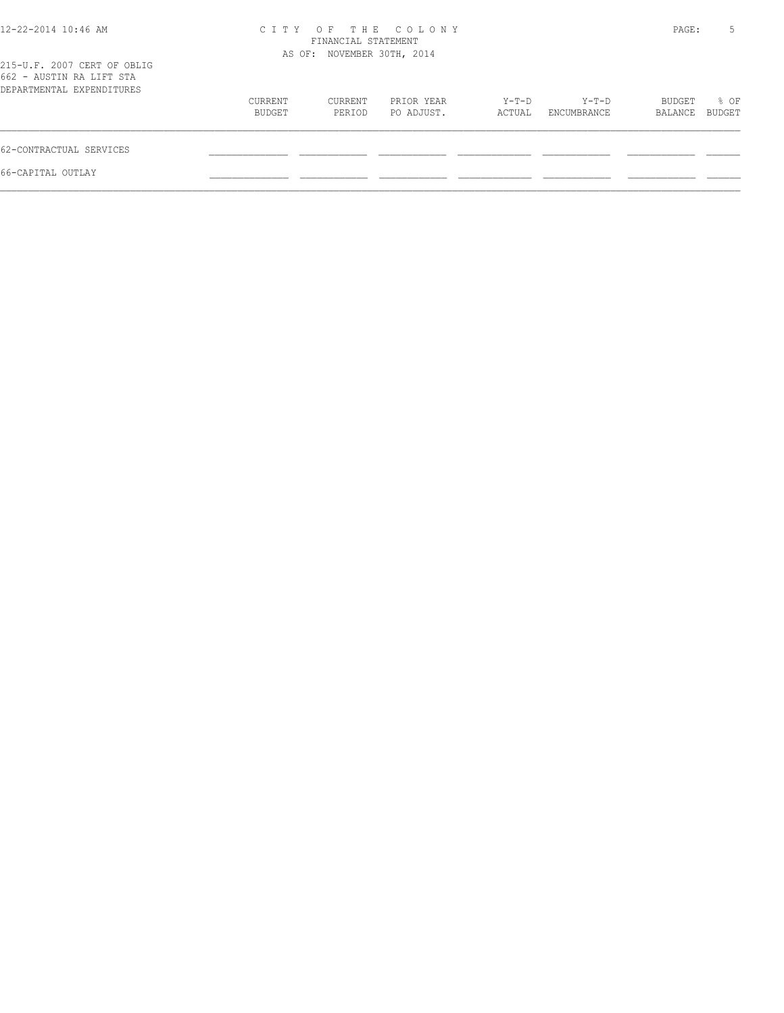| 12-22-2014 10:46 AM                                                                  |                   | FINANCIAL STATEMENT<br>AS OF: NOVEMBER 30TH, 2014 | CITY OF THE COLONY       |                 |                      | PAGE:             | 5              |
|--------------------------------------------------------------------------------------|-------------------|---------------------------------------------------|--------------------------|-----------------|----------------------|-------------------|----------------|
| 215-U.F. 2007 CERT OF OBLIG<br>662 - AUSTIN RA LIFT STA<br>DEPARTMENTAL EXPENDITURES |                   |                                                   |                          |                 |                      |                   |                |
|                                                                                      | CURRENT<br>BUDGET | CURRENT<br>PERIOD                                 | PRIOR YEAR<br>PO ADJUST. | Y-T-D<br>ACTUAL | Y-T-D<br>ENCUMBRANCE | BUDGET<br>BALANCE | % OF<br>BUDGET |
| 62-CONTRACTUAL SERVICES                                                              |                   |                                                   |                          |                 |                      |                   |                |
| 66-CAPITAL OUTLAY                                                                    |                   |                                                   |                          |                 |                      |                   |                |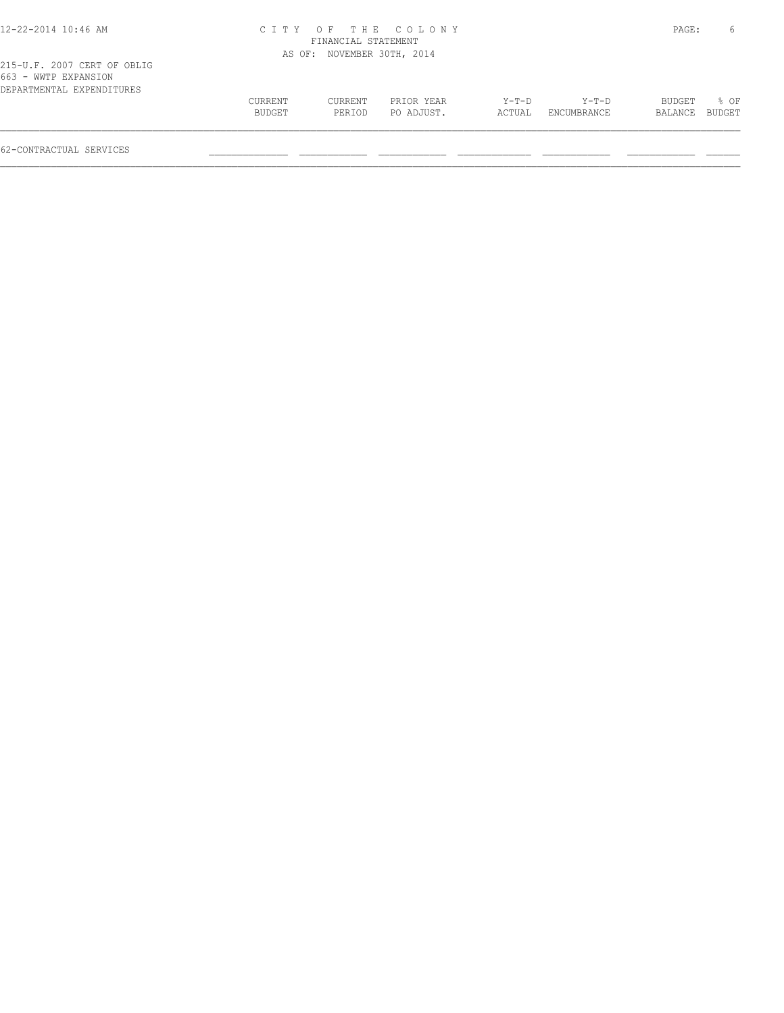| 12-22-2014 10:46 AM |
|---------------------|
|---------------------|

# 12-22-2014 10:46 AM C I T Y O F T H E C O L O N Y PAGE: 6 FINANCIAL STATEMENT AS OF: NOVEMBER 30TH, 2014

| 663 - WWTP EXPANSION      |               |         |            |       |                    |                |  |
|---------------------------|---------------|---------|------------|-------|--------------------|----------------|--|
| DEPARTMENTAL EXPENDITURES |               |         |            |       |                    |                |  |
|                           | CURRENT       | CURRENT | PRIOR YEAR | Y-T-D | $Y-T-D$            | BUDGET % OF    |  |
|                           | <b>BUDGET</b> | PERTOD  | PO ADJUST. |       | ACTUAL ENCUMBRANCE | BALANCE BUDGET |  |
|                           |               |         |            |       |                    |                |  |
|                           |               |         |            |       |                    |                |  |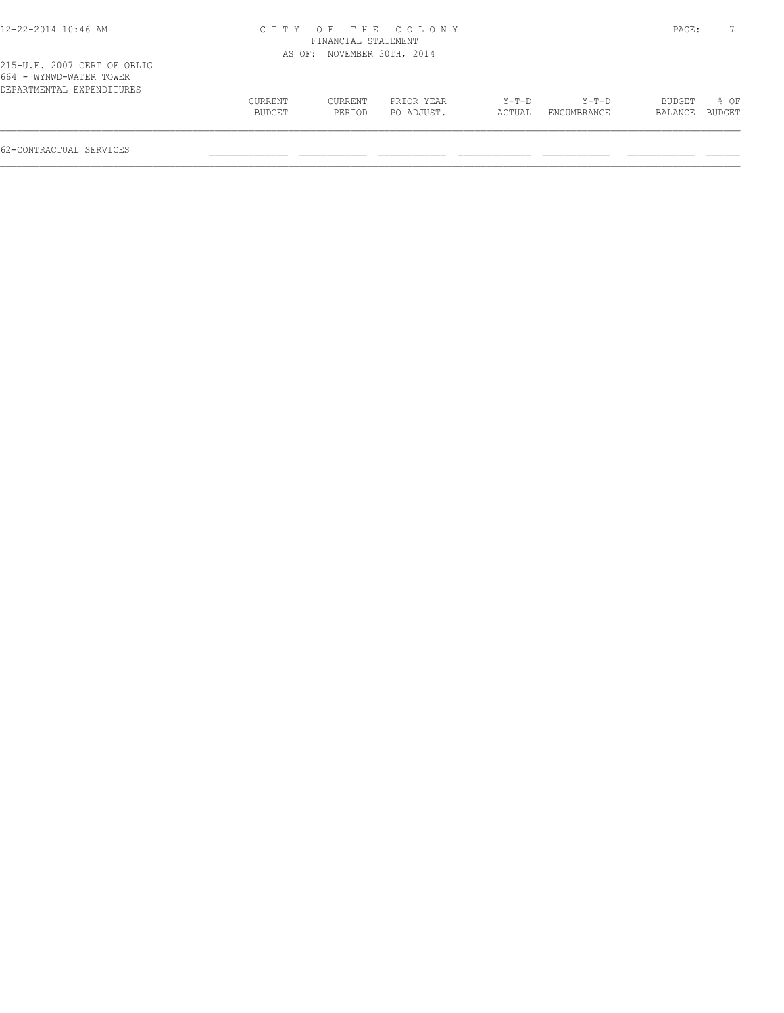|         |         |            |                                                                         |             |         | 7      |
|---------|---------|------------|-------------------------------------------------------------------------|-------------|---------|--------|
|         |         |            |                                                                         |             |         |        |
|         |         |            |                                                                         |             |         |        |
| CURRENT | CURRENT | PRIOR YEAR | Y-T-D                                                                   | Y-T-D       | BUDGET  | $8$ OF |
| BUDGET  | PERIOD  | PO ADJUST. | ACTUAL                                                                  | ENCUMBRANCE | BALANCE | BUDGET |
|         |         |            | CITY OF THE COLONY<br>FINANCIAL STATEMENT<br>AS OF: NOVEMBER 30TH, 2014 |             |         | PAGE:  |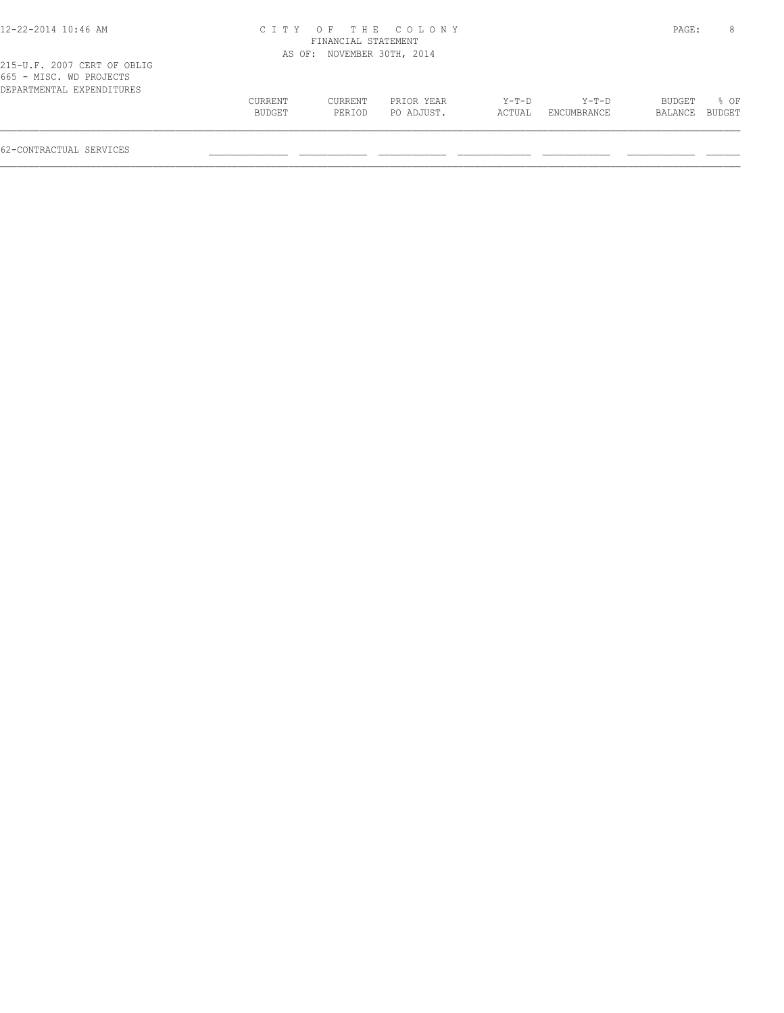# 12-22-2014 10:46 AM C I T Y O F T H E C O L O N Y PAGE: 8 FINANCIAL STATEMENT AS OF: NOVEMBER 30TH, 2014

|                                                         | BUDGET         | % OF |
|---------------------------------------------------------|----------------|------|
| BUDGET<br>PO ADJUST.<br>ENCUMBRANCE<br>PERIOD<br>ACTUAL | BALANCE BUDGET |      |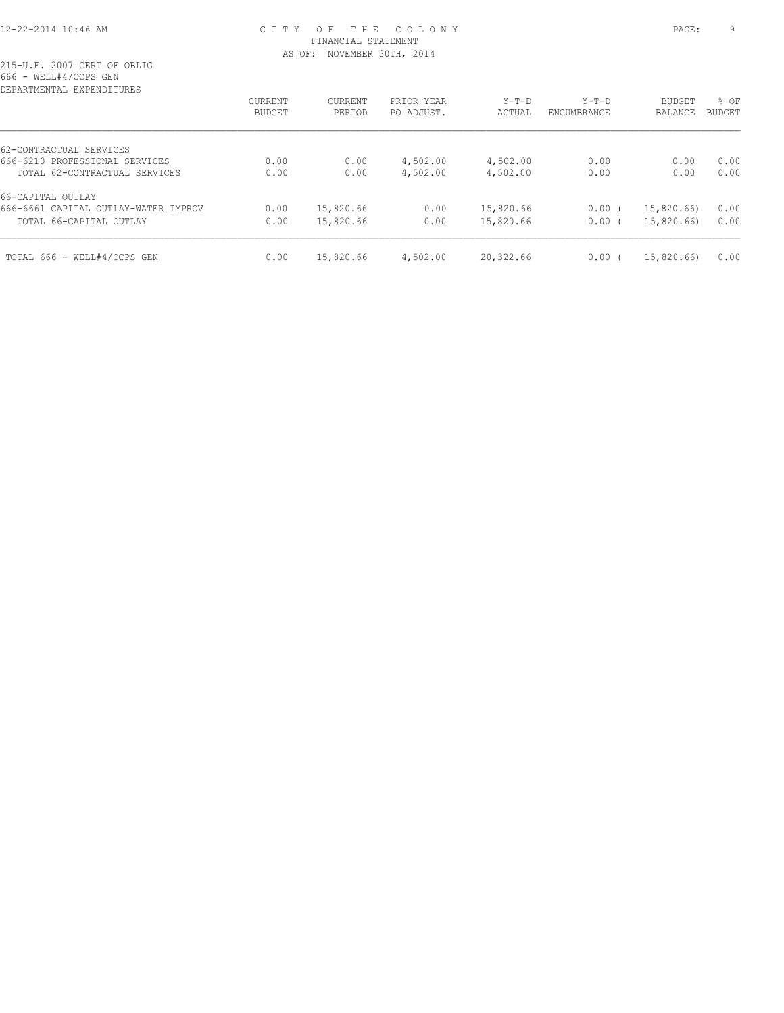# 12-22-2014 10:46 AM C I T Y O F T H E C O L O N Y PAGE: 9 FINANCIAL STATEMENT AS OF: NOVEMBER 30TH, 2014

| CURRENT | CURRENT   | PRIOR YEAR | $Y-T-D$   | $Y-T-D$     | <b>BUDGET</b> | % OF          |
|---------|-----------|------------|-----------|-------------|---------------|---------------|
| BUDGET  | PERIOD    | PO ADJUST. | ACTUAL    | ENCUMBRANCE | BALANCE       | <b>BUDGET</b> |
|         |           |            |           |             |               |               |
| 0.00    | 0.00      | 4,502.00   | 4,502.00  | 0.00        | 0.00          | 0.00          |
| 0.00    | 0.00      | 4,502.00   | 4,502.00  | 0.00        | 0.00          | 0.00          |
|         |           |            |           |             |               |               |
| 0.00    | 15,820.66 | 0.00       | 15,820.66 | $0.00$ (    | 15,820.66)    | 0.00          |
| 0.00    | 15,820.66 | 0.00       | 15,820.66 | $0.00$ (    | 15,820.66)    | 0.00          |
| 0.00    | 15,820.66 | 4,502.00   | 20,322.66 | 0.00(       | 15,820.66)    | 0.00          |
|         |           |            |           |             |               |               |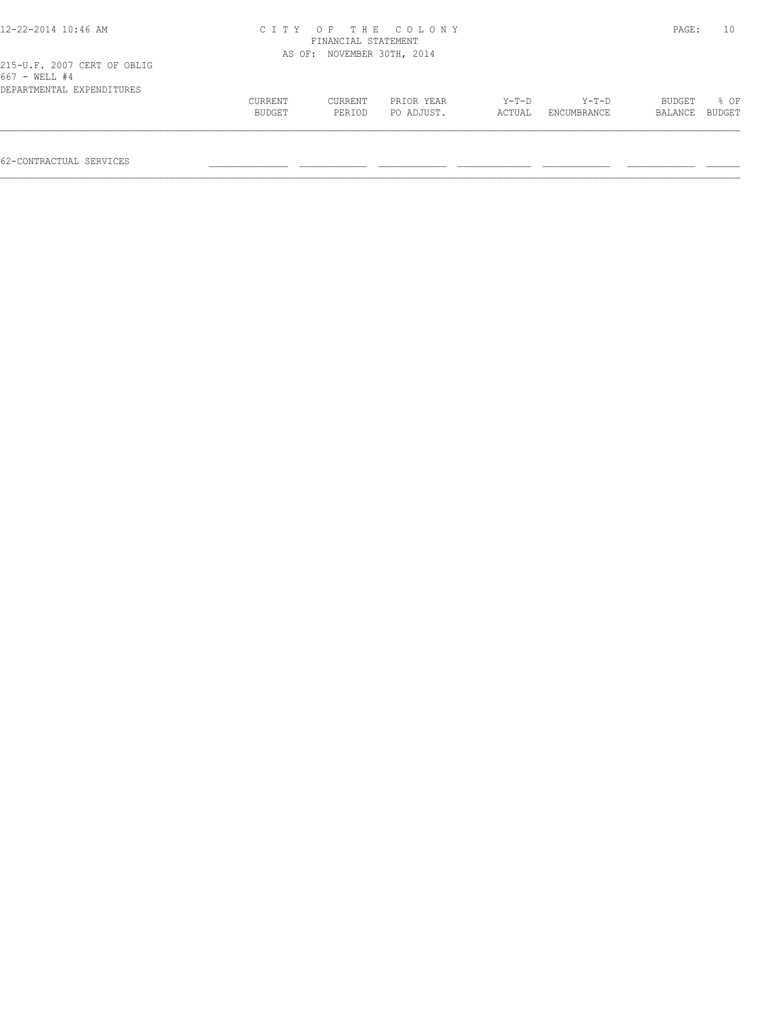| 12-22-2014 10:46 AM                                                       |                   | FINANCIAL STATEMENT | CITY OF THE COLONY       |                   |                        | PAGE:             | 10             |
|---------------------------------------------------------------------------|-------------------|---------------------|--------------------------|-------------------|------------------------|-------------------|----------------|
|                                                                           | AS OF:            | NOVEMBER 30TH, 2014 |                          |                   |                        |                   |                |
| 215-U.F. 2007 CERT OF OBLIG<br>667 - WELL #4<br>DEPARTMENTAL EXPENDITURES |                   |                     |                          |                   |                        |                   |                |
|                                                                           | CURRENT<br>BUDGET | CURRENT<br>PERIOD   | PRIOR YEAR<br>PO ADJUST. | $Y-T-D$<br>ACTUAL | $Y-T-D$<br>ENCUMBRANCE | BUDGET<br>BALANCE | 8 OF<br>BUDGET |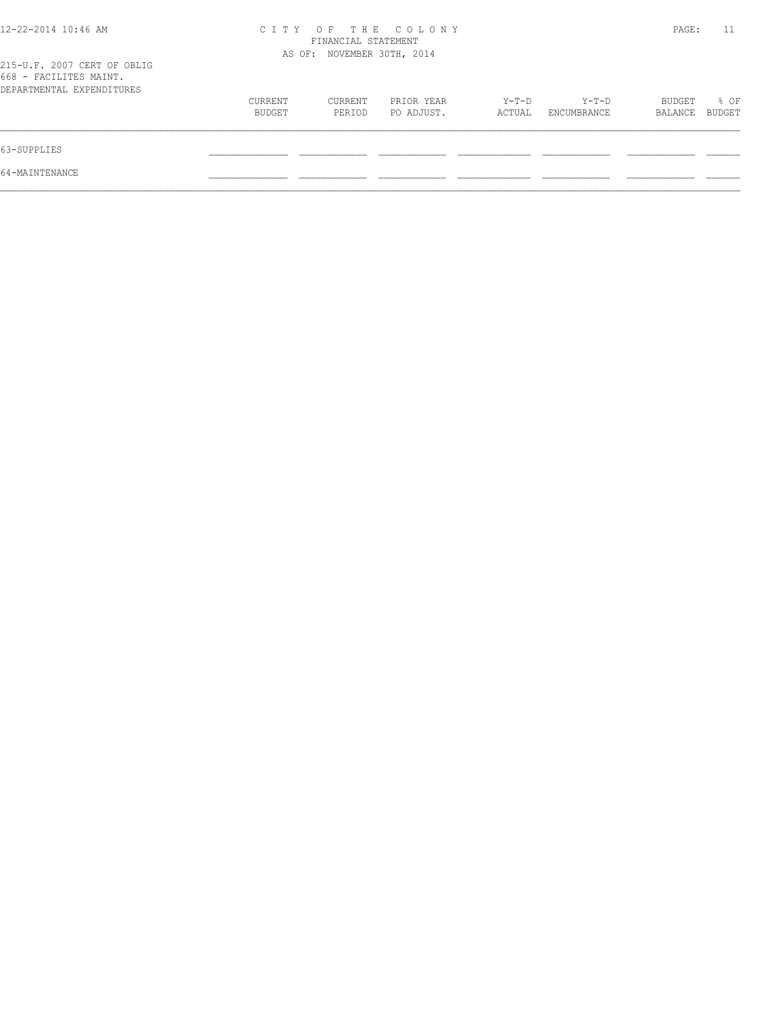| 12-22-2014 10:46 AM                                                                |                   | FINANCIAL STATEMENT        | CITY OF THE COLONY       |                   |                      | PAGE:             | 11             |
|------------------------------------------------------------------------------------|-------------------|----------------------------|--------------------------|-------------------|----------------------|-------------------|----------------|
| 215-U.F. 2007 CERT OF OBLIG<br>668 - FACILITES MAINT.<br>DEPARTMENTAL EXPENDITURES |                   | AS OF: NOVEMBER 30TH, 2014 |                          |                   |                      |                   |                |
|                                                                                    | CURRENT<br>BUDGET | CURRENT<br>PERIOD          | PRIOR YEAR<br>PO ADJUST. | $Y-T-D$<br>ACTUAL | Y-T-D<br>ENCUMBRANCE | BUDGET<br>BALANCE | % OF<br>BUDGET |
| 63-SUPPLIES                                                                        |                   |                            |                          |                   |                      |                   |                |
| 64-MAINTENANCE                                                                     |                   |                            |                          |                   |                      |                   |                |
|                                                                                    |                   |                            |                          |                   |                      |                   |                |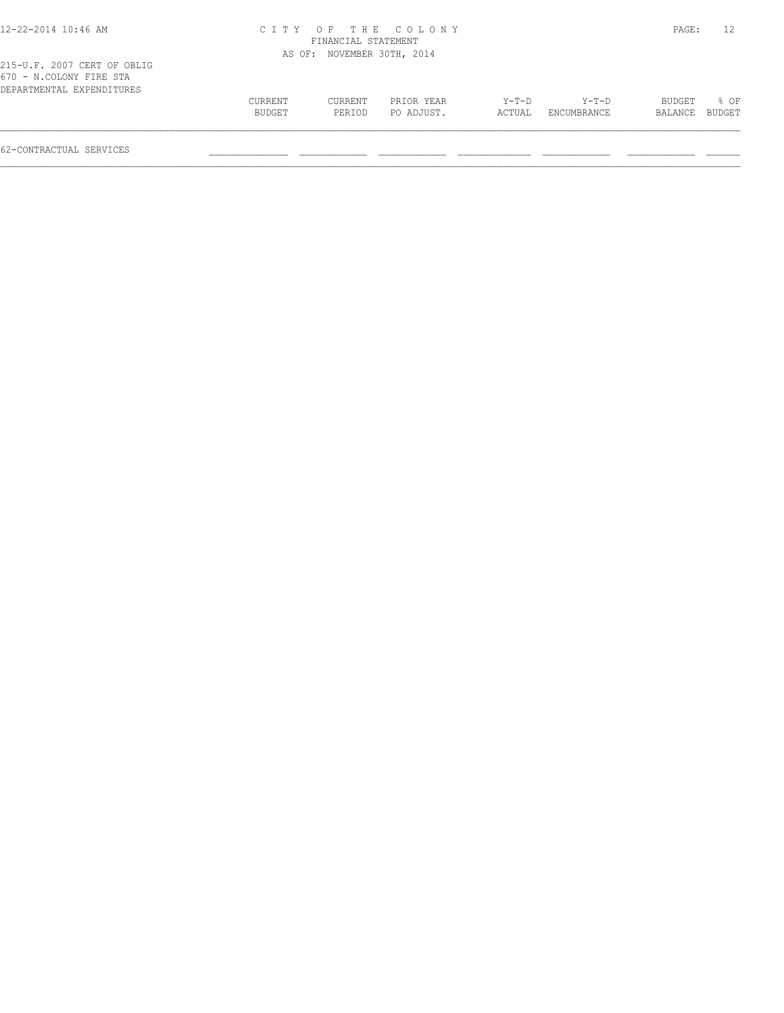# 12-22-2014 10:46 AM C I T Y O F T H E C O L O N Y PAGE: 12 FINANCIAL STATEMENT

| 215-U.F. 2007 CERT OF OBLIG                          |                   | AS OF: NOVEMBER 30TH, 2014 |                          |                   |                        |                   |                |
|------------------------------------------------------|-------------------|----------------------------|--------------------------|-------------------|------------------------|-------------------|----------------|
| 670 - N.COLONY FIRE STA<br>DEPARTMENTAL EXPENDITURES |                   |                            |                          |                   |                        |                   |                |
|                                                      | CURRENT<br>BUDGET | CURRENT<br>PERTOD          | PRIOR YEAR<br>PO ADJUST. | $Y-T-D$<br>ACTUAL | $Y-T-D$<br>ENCUMBRANCE | BUDGET<br>BALANCE | 8 OF<br>BUDGET |
| 62-CONTRACTUAL SERVICES                              |                   |                            |                          |                   |                        |                   |                |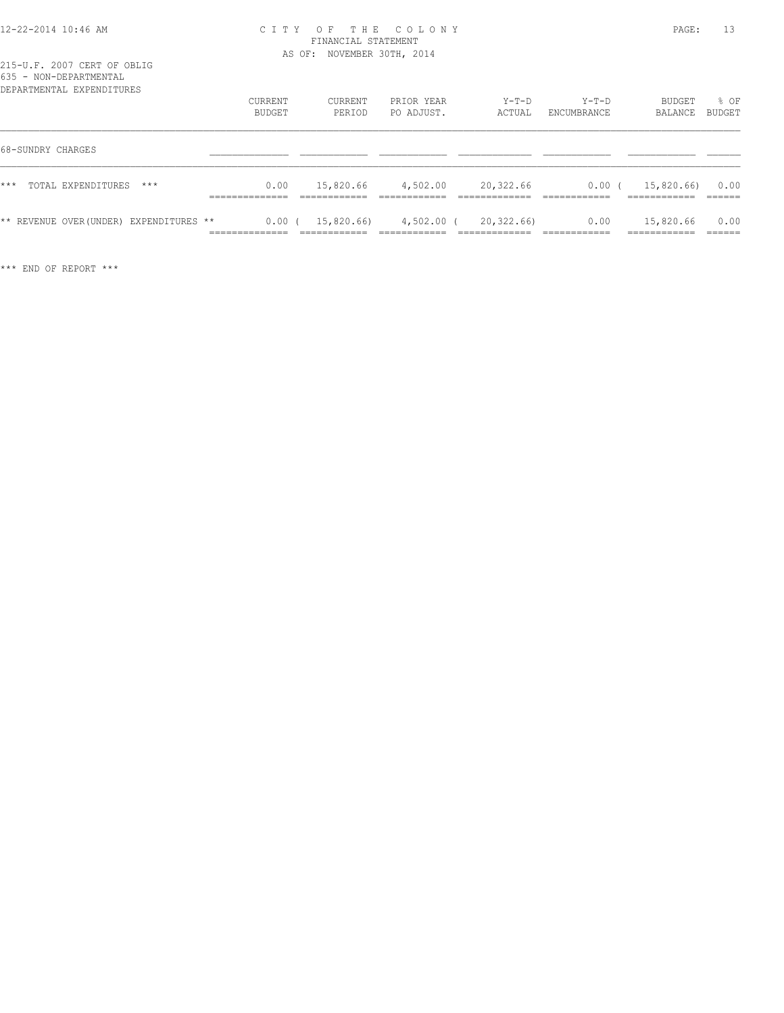#### 12-22-2014 10:46 AM C I T Y O F T H E C O L O N Y PAGE: 13 FINANCIAL STATEMENT AS OF: NOVEMBER 30TH, 2014

|       |                   | ROJJ - NUN-DAFARIMANIAN<br>DEPARTMENTAL EXPENDITURES |                                         | <b>CURRENT</b><br>BUDGET   | CURRENT<br>PERIOD | PRIOR YEAR<br>PO ADJUST. | $Y-T-D$<br>ACTUAL | $Y-T-D$<br>ENCUMBRANCE | <b>BUDGET</b><br>BALANCE | % OF<br>BUDGET            |
|-------|-------------------|------------------------------------------------------|-----------------------------------------|----------------------------|-------------------|--------------------------|-------------------|------------------------|--------------------------|---------------------------|
|       | 68-SUNDRY CHARGES |                                                      |                                         |                            |                   |                          |                   |                        |                          |                           |
| $***$ |                   | TOTAL EXPENDITURES                                   | $***$                                   | 0.00                       | 15,820.66         | 4,502.00                 | 20,322.66         | 0.00(                  | 15,820.66)               | 0.00                      |
|       |                   |                                                      | ** REVENUE OVER (UNDER) EXPENDITURES ** | $0.00$ (<br>______________ | 15,820.66)        | 4,502.00 (               | 20,322.66)        | 0.00                   | 15,820.66<br>__________  | 0.00<br>-------<br>______ |

\*\*\* END OF REPORT \*\*\*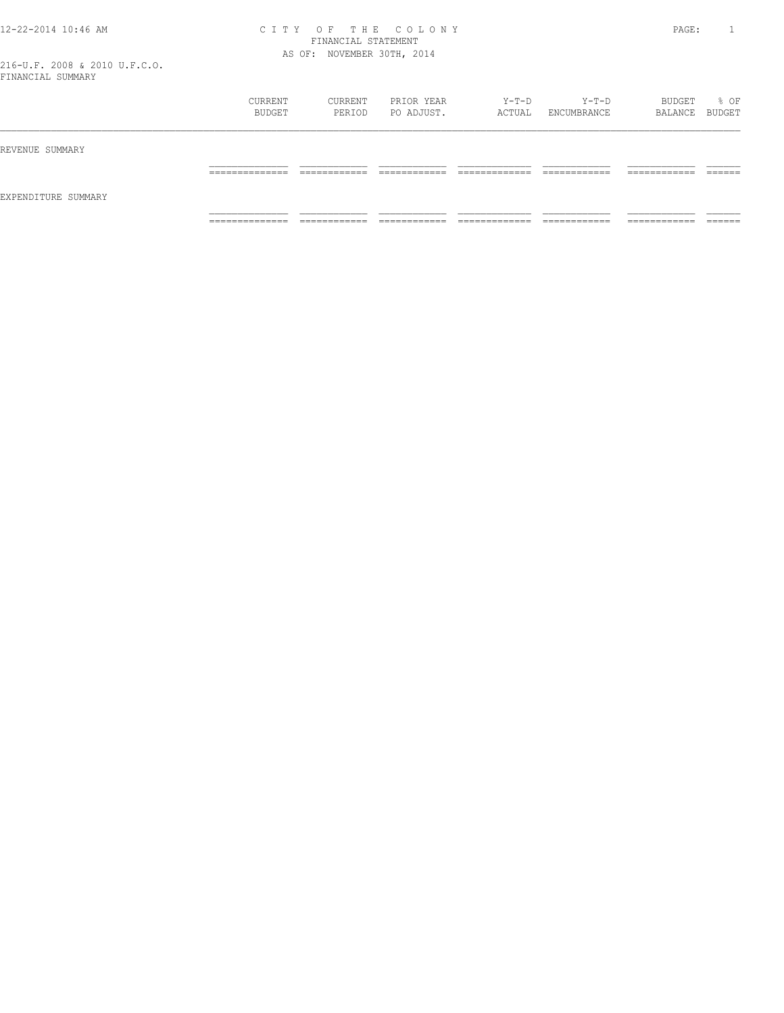#### 12-22-2014 10:46 AM C I T Y O F T H E C O L O N Y PAGE: 1 FINANCIAL STATEMENT AS OF: NOVEMBER 30TH, 2014

| LININGILI OOPIDILI  |                                  |                               |                              |                                |                               |                              |                    |
|---------------------|----------------------------------|-------------------------------|------------------------------|--------------------------------|-------------------------------|------------------------------|--------------------|
|                     | CURRENT<br>BUDGET                | CURRENT<br>PERIOD             | PRIOR YEAR<br>PO ADJUST.     | $Y-T-D$<br>ACTUAL              | $Y-T-D$<br>ENCUMBRANCE        | BUDGET<br>BALANCE BUDGET     | % OF               |
| REVENUE SUMMARY     |                                  |                               |                              |                                |                               |                              |                    |
|                     | ______________<br>______________ | _____________<br>____________ | ____________<br>____________ | _____________<br>_____________ | -------------<br>____________ | ____________<br>____________ | -------<br>_______ |
| EXPENDITURE SUMMARY | ______________                   |                               |                              |                                |                               | -------------                | ______             |
|                     | _______________                  | ____________<br>____________  | ____________<br>____________ | _____________<br>_____________ | ____________<br>____________  | ____________                 | _______            |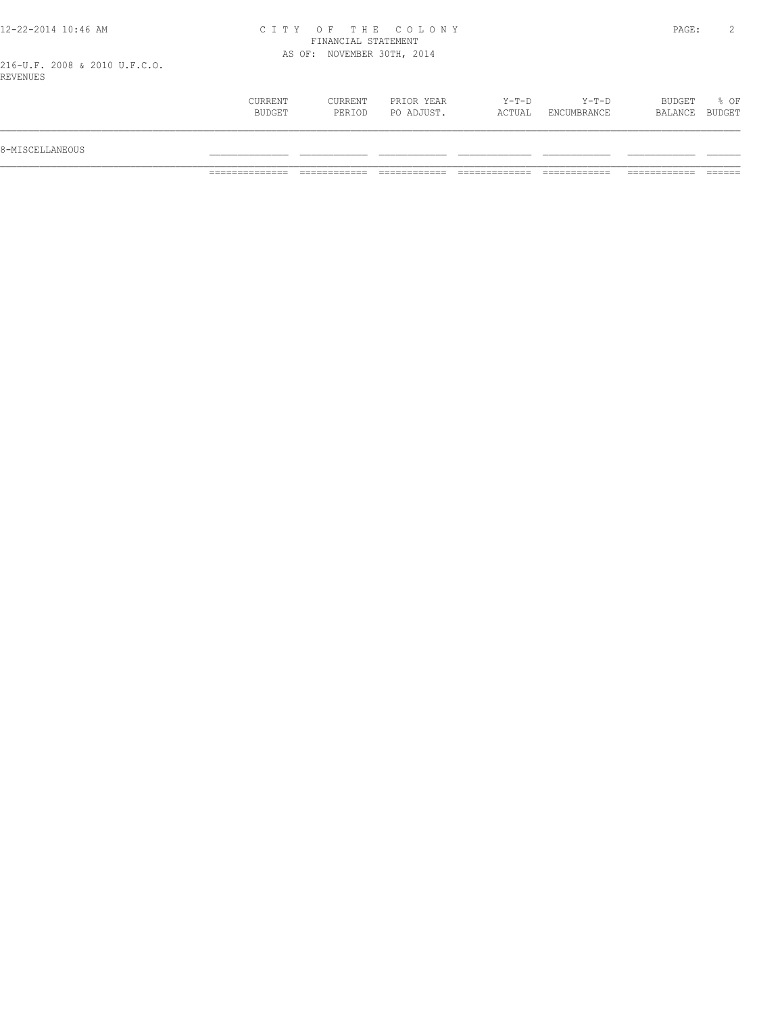|  | 12-22-2014 10:46 AM |  |  |
|--|---------------------|--|--|
|  |                     |  |  |

#### 12-22-2014 10:46 AM C I T Y O F T H E C O L O N Y PAGE: 2 FINANCIAL STATEMENT AS OF: NOVEMBER 30TH, 2014

216-U.F. 2008 & 2010 U.F.C.O. REVENUES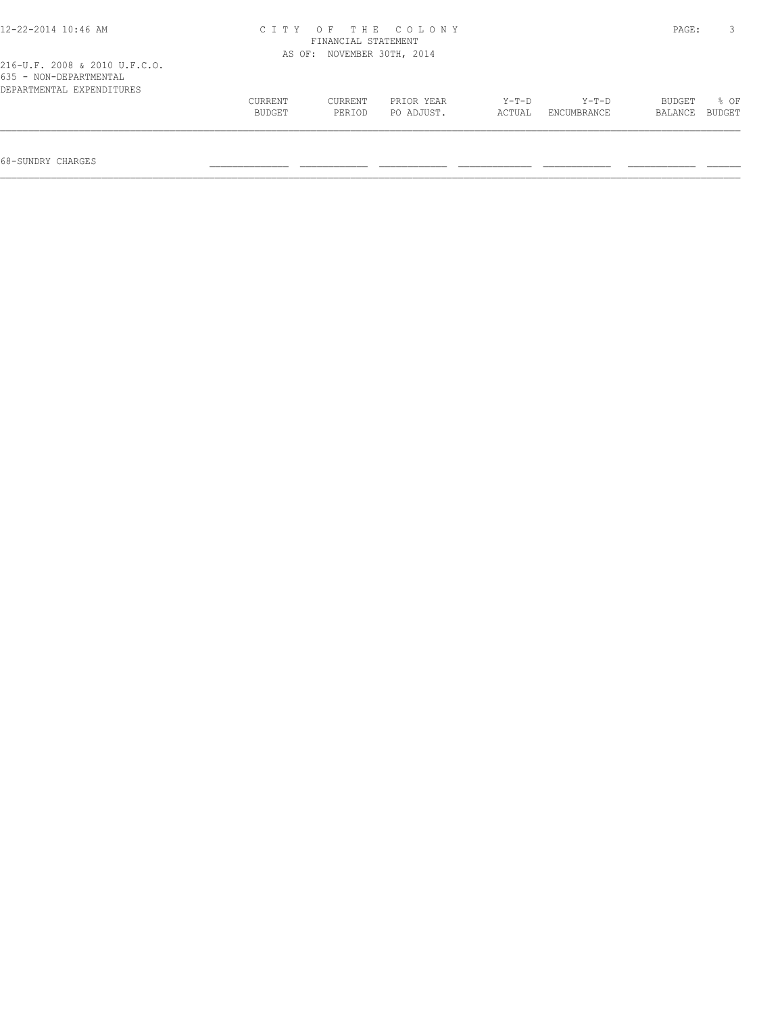| $12 - 22 - 2014$ 10:46 AM                           | CITY OF THE COLONY<br>FINANCIAL STATEMENT |                            |            |        |                    |         | PAGE:  |
|-----------------------------------------------------|-------------------------------------------|----------------------------|------------|--------|--------------------|---------|--------|
| 216-U.F. 2008 & 2010 U.F.C.O.                       |                                           | AS OF: NOVEMBER 30TH, 2014 |            |        |                    |         |        |
| 635 - NON-DEPARTMENTAL<br>DEPARTMENTAL EXPENDITURES |                                           |                            |            |        |                    |         |        |
|                                                     | CURRENT                                   | CURRENT                    | PRIOR YEAR | Y-T-D  | Y-T-D              | BUDGET  | 8 OF   |
|                                                     | <b>BUDGET</b>                             | PERTOD                     | PO ADJUST. | ACTUAL | <b>ENCUMBRANCE</b> | BALANCE | BUDGET |
|                                                     |                                           |                            |            |        |                    |         |        |
| 68-SUNDRY CHARGES                                   |                                           |                            |            |        |                    |         |        |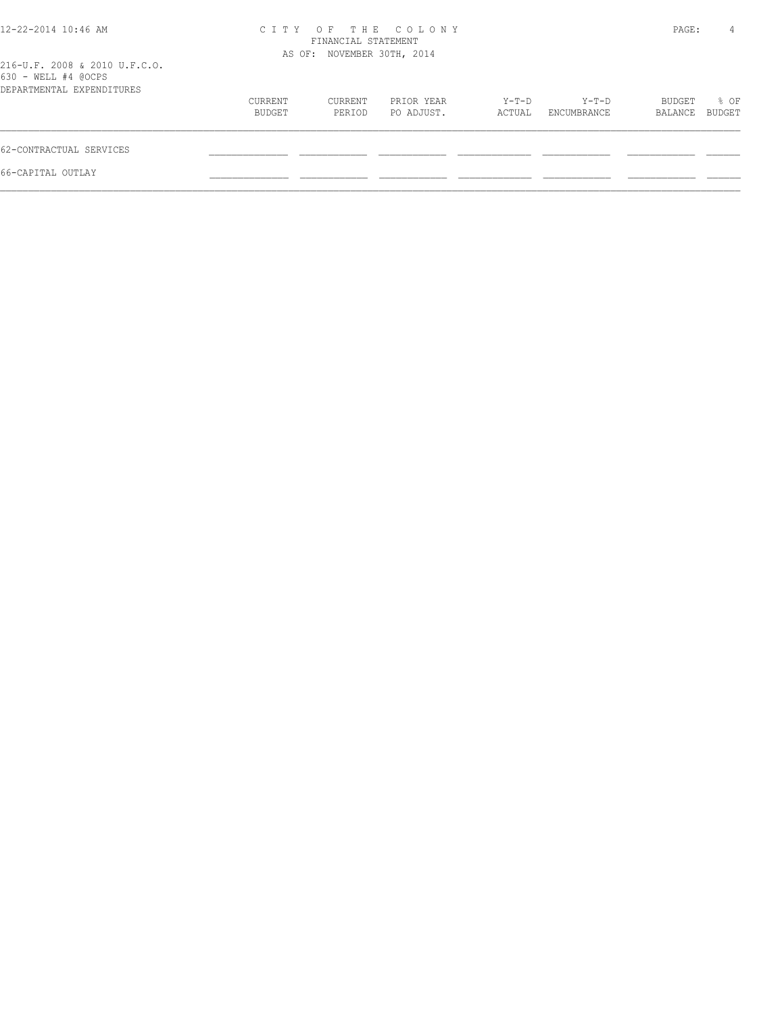| 12-22-2014 10:46 AM                                                               |                   | FINANCIAL STATEMENT        | CITY OF THE COLONY       |                 |                      | PAGE:             | 4              |
|-----------------------------------------------------------------------------------|-------------------|----------------------------|--------------------------|-----------------|----------------------|-------------------|----------------|
| 216-U.F. 2008 & 2010 U.F.C.O.<br>630 - WELL #4 @OCPS<br>DEPARTMENTAL EXPENDITURES |                   | AS OF: NOVEMBER 30TH, 2014 |                          |                 |                      |                   |                |
|                                                                                   | CURRENT<br>BUDGET | CURRENT<br>PERIOD          | PRIOR YEAR<br>PO ADJUST. | Y-T-D<br>ACTUAL | Y-T-D<br>ENCUMBRANCE | BUDGET<br>BALANCE | % OF<br>BUDGET |
| 62-CONTRACTUAL SERVICES                                                           |                   |                            |                          |                 |                      |                   |                |
| 66-CAPITAL OUTLAY                                                                 |                   |                            |                          |                 |                      |                   |                |
|                                                                                   |                   |                            |                          |                 |                      |                   |                |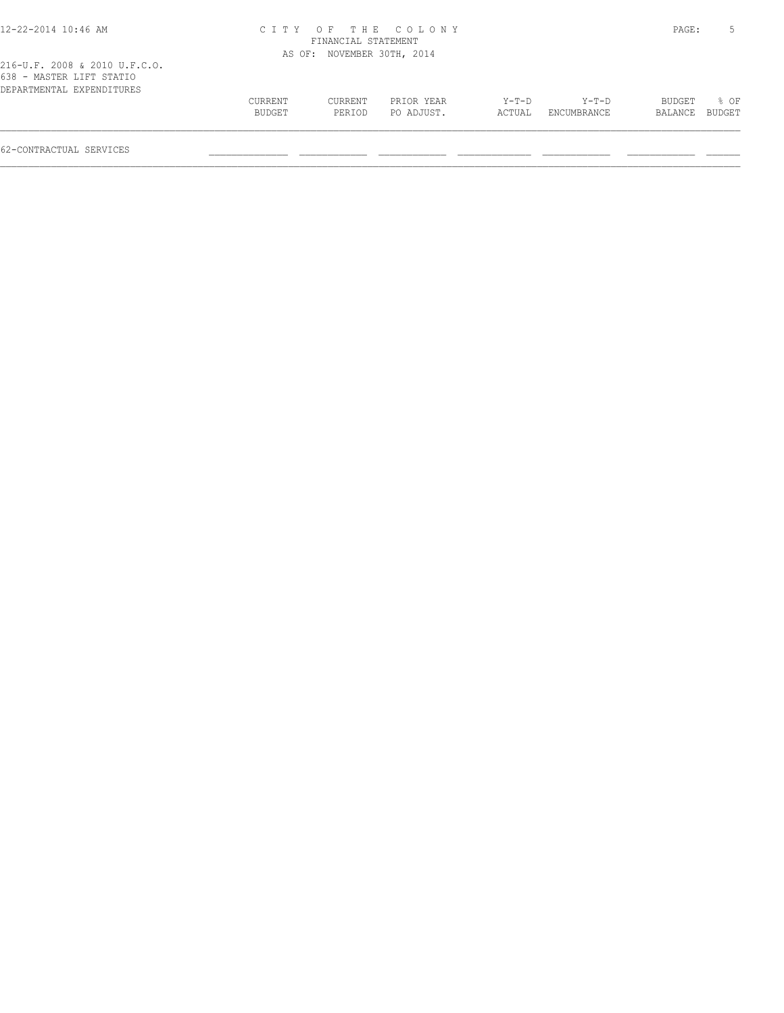| 12-22-2014 10:46 AM                                                                    | CITY OF THE COLONY<br>FINANCIAL STATEMENT |                            |            |        |             |         |        |  |  |
|----------------------------------------------------------------------------------------|-------------------------------------------|----------------------------|------------|--------|-------------|---------|--------|--|--|
|                                                                                        |                                           | AS OF: NOVEMBER 30TH, 2014 |            |        |             |         |        |  |  |
| 216-U.F. 2008 & 2010 U.F.C.O.<br>638 - MASTER LIFT STATIO<br>DEPARTMENTAL EXPENDITURES |                                           |                            |            |        |             |         |        |  |  |
|                                                                                        | CURRENT                                   | CURRENT                    | PRIOR YEAR | Y-T-D  | Y-T-D       | BUDGET  | 8 OF   |  |  |
|                                                                                        | BUDGET                                    | PERIOD                     | PO ADJUST. | ACTUAL | ENCUMBRANCE | BALANCE | BUDGET |  |  |
|                                                                                        |                                           |                            |            |        |             |         |        |  |  |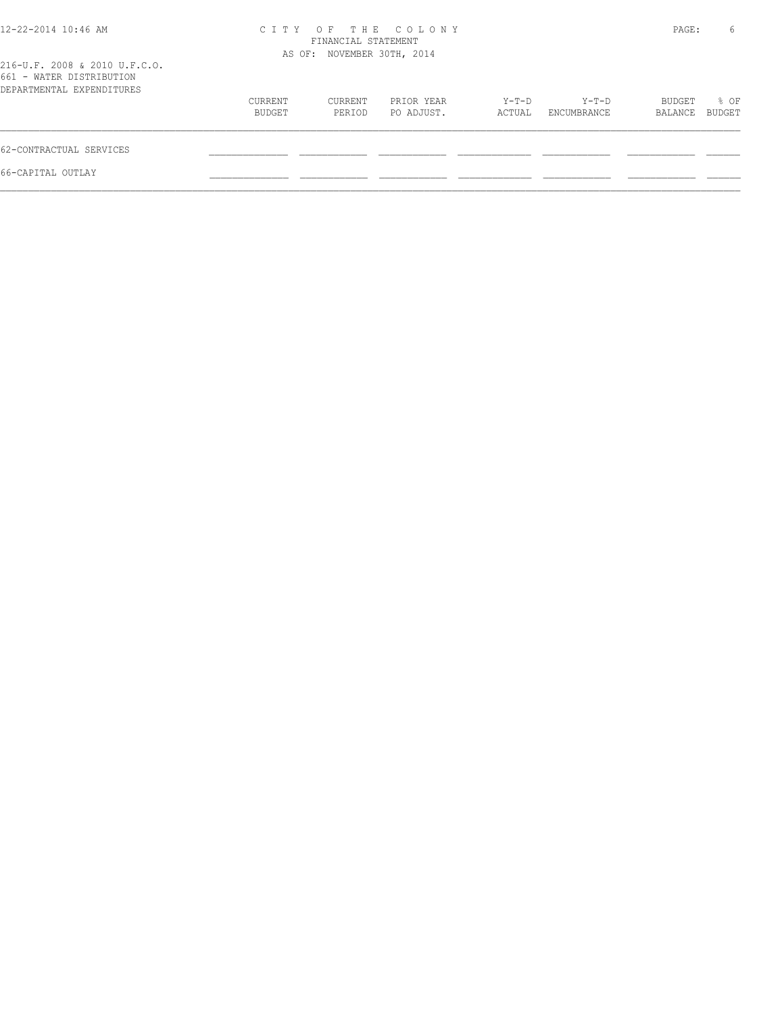| 12-22-2014 10:46 AM                                                                    | CITY OF THE COLONY<br>AS OF: NOVEMBER 30TH, 2014 |                   | PAGE:                    | 6               |                      |                   |                |
|----------------------------------------------------------------------------------------|--------------------------------------------------|-------------------|--------------------------|-----------------|----------------------|-------------------|----------------|
| 216-U.F. 2008 & 2010 U.F.C.O.<br>661 - WATER DISTRIBUTION<br>DEPARTMENTAL EXPENDITURES |                                                  |                   |                          |                 |                      |                   |                |
|                                                                                        | CURRENT<br>BUDGET                                | CURRENT<br>PERIOD | PRIOR YEAR<br>PO ADJUST. | Y-T-D<br>ACTUAL | Y-T-D<br>ENCUMBRANCE | BUDGET<br>BALANCE | % OF<br>BUDGET |
| 62-CONTRACTUAL SERVICES                                                                |                                                  |                   |                          |                 |                      |                   |                |
| 66-CAPITAL OUTLAY                                                                      |                                                  |                   |                          |                 |                      |                   |                |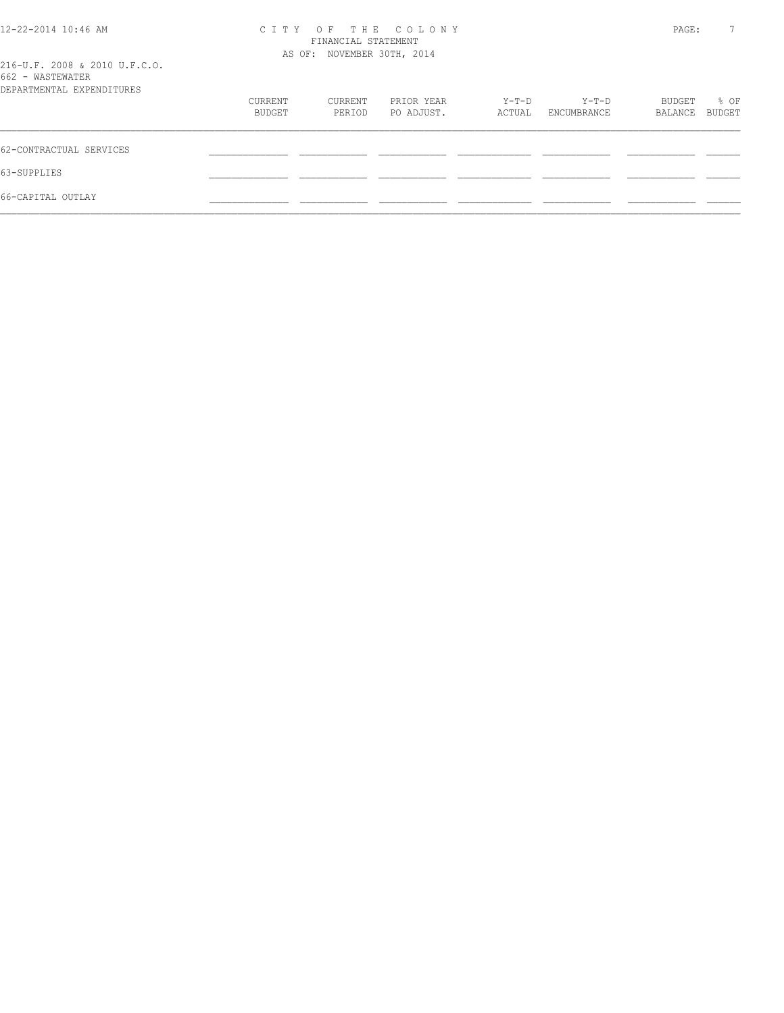| 12-22-2014 10:46 AM                               | C T T Y                    | PAGE:             | 7                        |         |                      |         |                |
|---------------------------------------------------|----------------------------|-------------------|--------------------------|---------|----------------------|---------|----------------|
|                                                   | AS OF: NOVEMBER 30TH, 2014 |                   |                          |         |                      |         |                |
| 216-U.F. 2008 & 2010 U.F.C.O.<br>662 - WASTEWATER |                            |                   |                          |         |                      |         |                |
| DEPARTMENTAL EXPENDITURES                         |                            |                   | PRIOR YEAR<br>PO ADJUST. | $Y-T-D$ | Y-T-D<br>ENCUMBRANCE | BUDGET  |                |
|                                                   | CURRENT<br>BUDGET          | CURRENT<br>PERIOD |                          | ACTUAL  |                      | BALANCE | % OF<br>BUDGET |
|                                                   |                            |                   |                          |         |                      |         |                |
| 62-CONTRACTUAL SERVICES                           |                            |                   |                          |         |                      |         |                |
| 63-SUPPLIES                                       |                            |                   |                          |         |                      |         |                |
| 66-CAPITAL OUTLAY                                 |                            |                   |                          |         |                      |         |                |
|                                                   |                            |                   |                          |         |                      |         |                |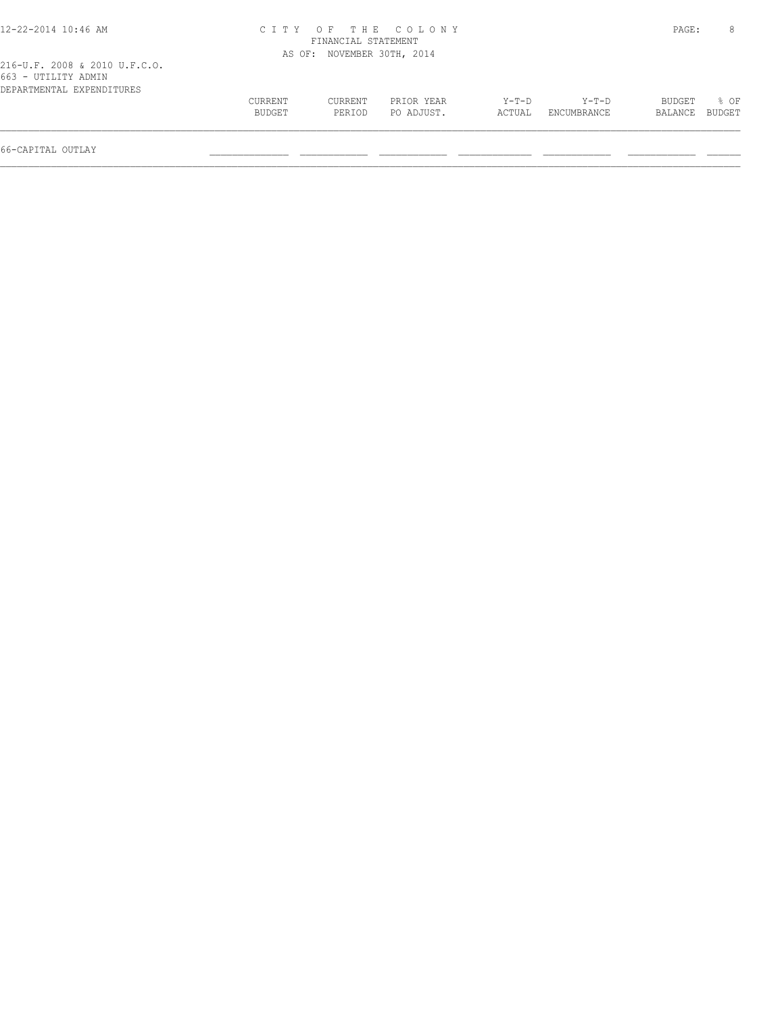| 12-22-2014 10:46 AM                                                               | CITY OF THE COLONY | PAGE:                      | 8                        |                   |                      |                   |                  |
|-----------------------------------------------------------------------------------|--------------------|----------------------------|--------------------------|-------------------|----------------------|-------------------|------------------|
| 216-U.F. 2008 & 2010 U.F.C.O.<br>663 - UTILITY ADMIN<br>DEPARTMENTAL EXPENDITURES |                    | AS OF: NOVEMBER 30TH, 2014 |                          |                   |                      |                   |                  |
|                                                                                   | CURRENT<br>BUDGET  | CURRENT<br>PERIOD          | PRIOR YEAR<br>PO ADJUST. | $Y-T-D$<br>ACTUAL | Y-T-D<br>ENCUMBRANCE | BUDGET<br>BALANCE | $8$ OF<br>BUDGET |
| 66-CAPITAL OUTLAY                                                                 |                    |                            |                          |                   |                      |                   |                  |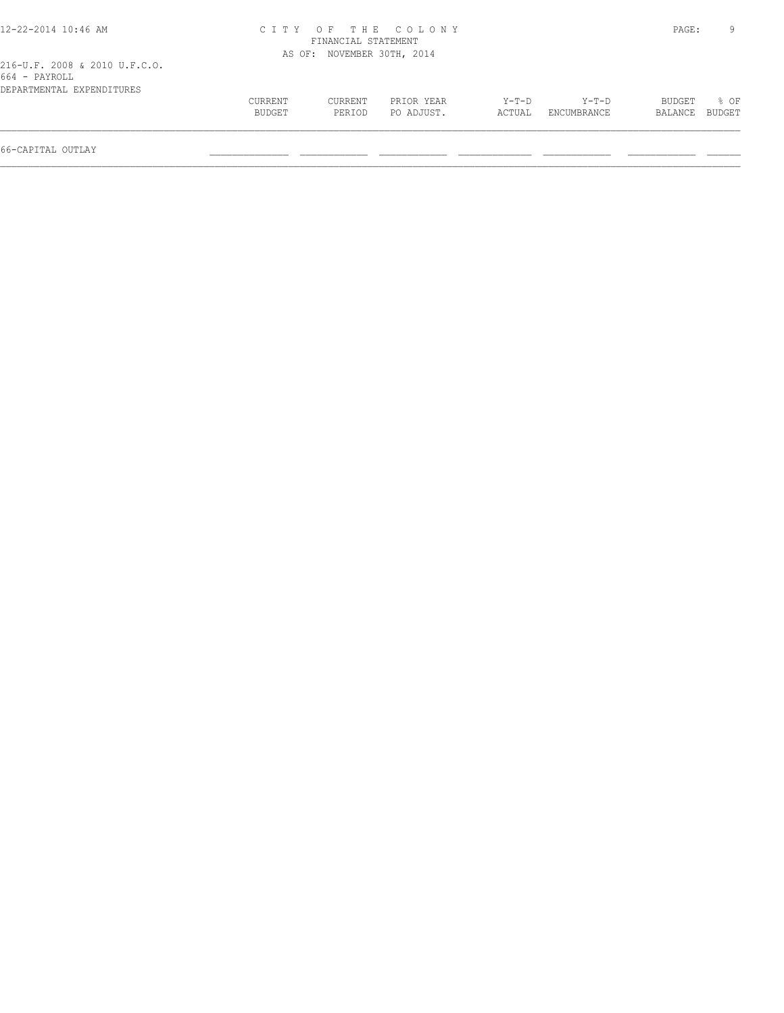| 12-22-2014 10:46 AM                            | CITY OF THE COLONY | PAGE:                      | 9                        |                 |                      |                          |                |
|------------------------------------------------|--------------------|----------------------------|--------------------------|-----------------|----------------------|--------------------------|----------------|
| 216-U.F. 2008 & 2010 U.F.C.O.<br>664 - PAYROLL |                    | AS OF: NOVEMBER 30TH, 2014 |                          |                 |                      |                          |                |
| DEPARTMENTAL EXPENDITURES                      | CURRENT<br>BUDGET  | CURRENT<br>PERIOD          | PRIOR YEAR<br>PO ADJUST. | Y-T-D<br>ACTUAL | Y-T-D<br>ENCUMBRANCE | <b>BUDGET</b><br>BALANCE | 8 OF<br>BUDGET |
| 66-CAPITAL OUTLAY                              |                    |                            |                          |                 |                      |                          |                |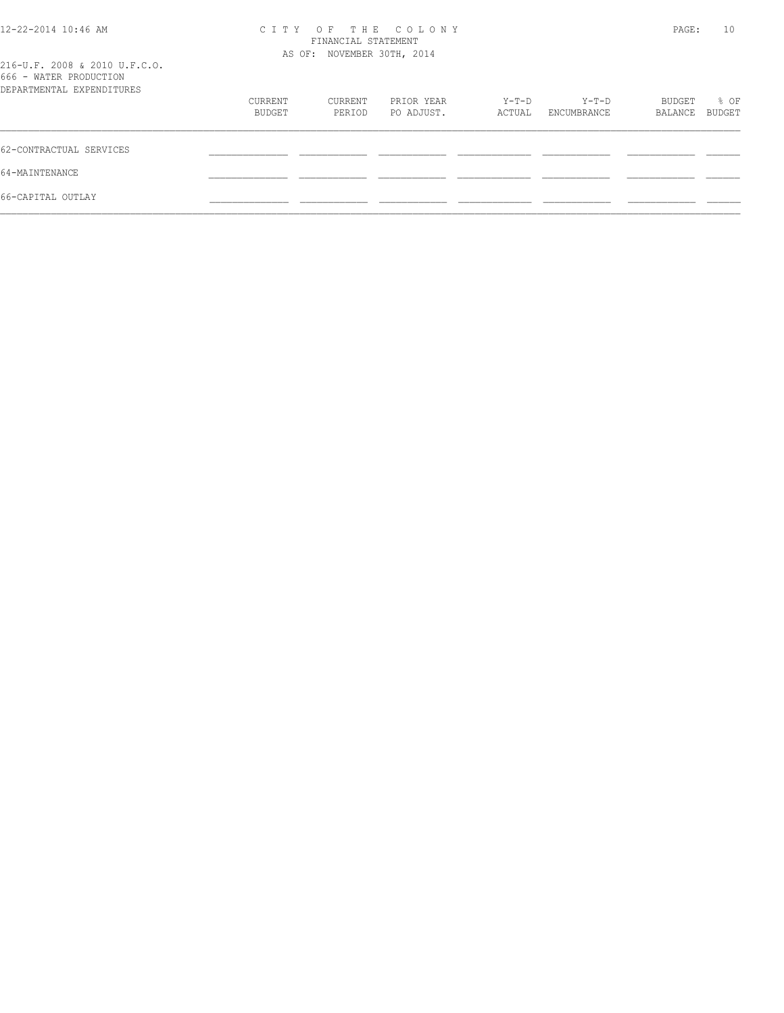| 12-22-2014 10:46 AM                                     | CITY OF THE COLONY         | PAGE:   | 10         |        |             |         |        |
|---------------------------------------------------------|----------------------------|---------|------------|--------|-------------|---------|--------|
|                                                         | AS OF: NOVEMBER 30TH, 2014 |         |            |        |             |         |        |
| 216-U.F. 2008 & 2010 U.F.C.O.<br>666 - WATER PRODUCTION |                            |         |            |        |             |         |        |
| DEPARTMENTAL EXPENDITURES                               |                            |         |            |        |             |         |        |
|                                                         | CURRENT                    | CURRENT | PRIOR YEAR | Y-T-D  | Y-T-D       | BUDGET  | % OF   |
|                                                         | BUDGET                     | PERIOD  | PO ADJUST. | ACTUAL | ENCUMBRANCE | BALANCE | BUDGET |
| 62-CONTRACTUAL SERVICES                                 |                            |         |            |        |             |         |        |
| 64-MAINTENANCE                                          |                            |         |            |        |             |         |        |
| 66-CAPITAL OUTLAY                                       |                            |         |            |        |             |         |        |
|                                                         |                            |         |            |        |             |         |        |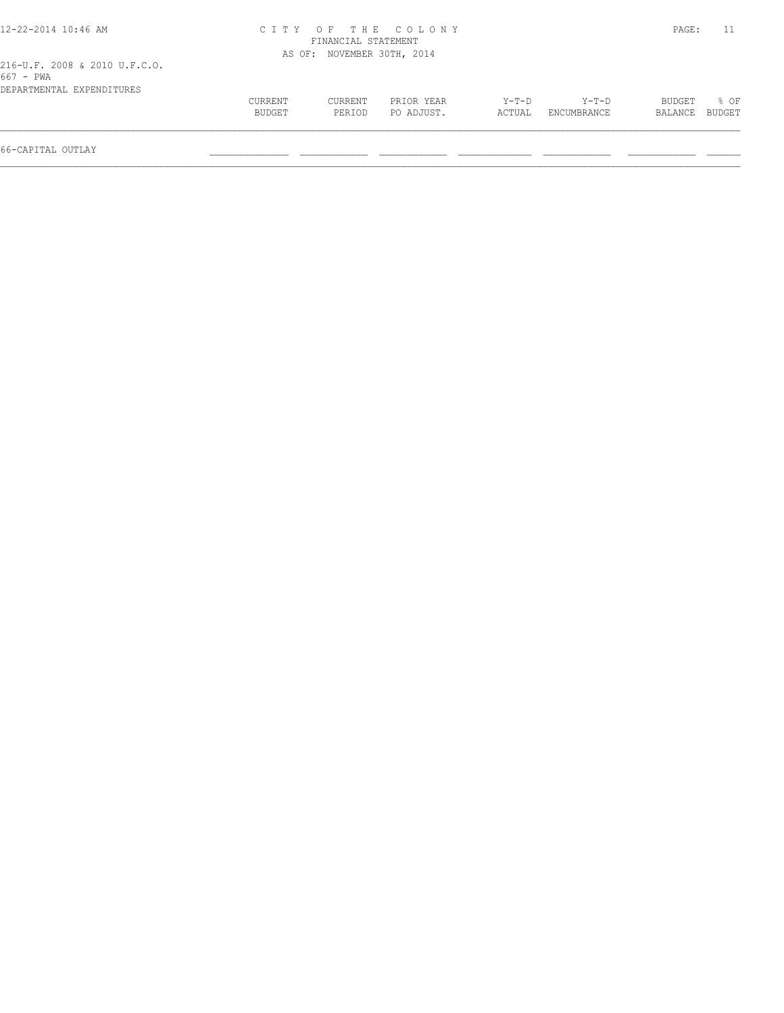| 12-22-2014 10:46 AM                        |         |                            | CITY OF THE COLONY |         |             | PAGE:   |        |
|--------------------------------------------|---------|----------------------------|--------------------|---------|-------------|---------|--------|
|                                            |         | FINANCIAL STATEMENT        |                    |         |             |         |        |
|                                            |         | AS OF: NOVEMBER 30TH, 2014 |                    |         |             |         |        |
| 216-U.F. 2008 & 2010 U.F.C.O.<br>667 - PWA |         |                            |                    |         |             |         |        |
| DEPARTMENTAL EXPENDITURES                  |         |                            |                    |         |             |         |        |
|                                            | CURRENT | CURRENT                    | PRIOR YEAR         | $Y-T-D$ | Y-T-D       | BUDGET  | 8 OF   |
|                                            | BUDGET  | PERIOD                     | PO ADJUST.         | ACTUAL  | ENCUMBRANCE | BALANCE | BUDGET |
| 66-CAPITAL OUTLAY                          |         |                            |                    |         |             |         |        |
|                                            |         |                            |                    |         |             |         |        |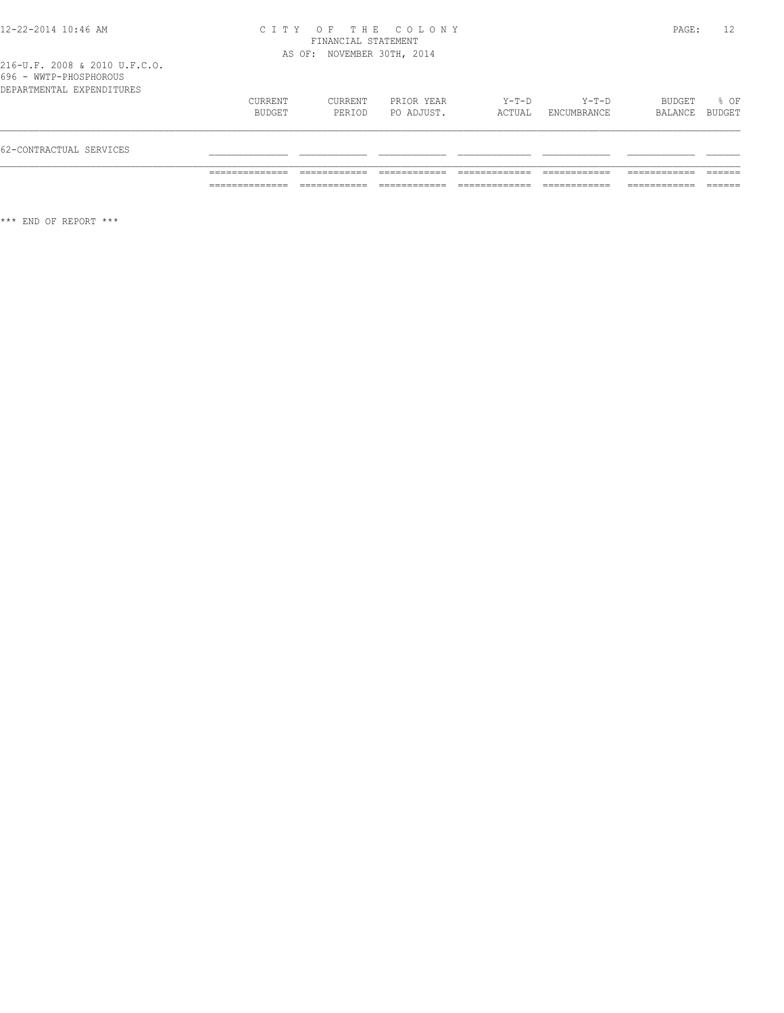#### 12-22-2014 10:46 AM C I T Y O F T H E C O L O N Y PAGE: 12 FINANCIAL STATEMENT AS OF: NOVEMBER 30TH, 2014

216-U.F. 2008 & 2010 U.F.C.O. 696 - WWTP-PHOSPHOROUS

| 62-CONTRACTUAL SERVICES   |                   |                   |                          |                 |                      |                          |      |
|---------------------------|-------------------|-------------------|--------------------------|-----------------|----------------------|--------------------------|------|
| DEPARTMENTAL EXPENDITURES | CURRENT<br>BUDGET | CURRENT<br>PERIOD | PRIOR YEAR<br>PO ADJUST. | Y-T-D<br>ACTUAL | Y-T-D<br>ENCUMBRANCE | BUDGET<br>BALANCE BUDGET | % OF |

\*\*\* END OF REPORT \*\*\*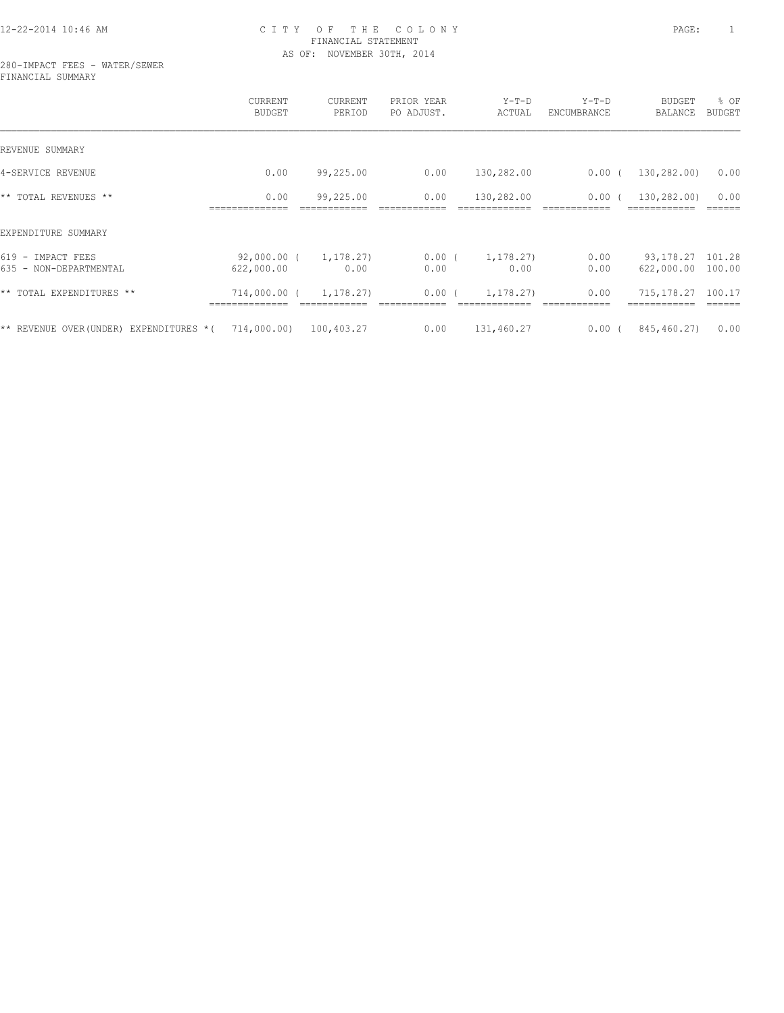# 12-22-2014 10:46 AM C I T Y O F T H E C O L O N Y PAGE: 1 FINANCIAL STATEMENT AS OF: NOVEMBER 30TH, 2014

280-IMPACT FEES - WATER/SEWER FINANCIAL SUMMARY

|                                                  | CURRENT<br><b>BUDGET</b>  | CURRENT<br>PERIOD | PRIOR YEAR<br>PO ADJUST. | $Y-T-D$<br>ACTUAL | $Y-T-D$<br>ENCUMBRANCE | <b>BUDGET</b><br><b>BALANCE</b>   | % OF<br>BUDGET |
|--------------------------------------------------|---------------------------|-------------------|--------------------------|-------------------|------------------------|-----------------------------------|----------------|
| REVENUE SUMMARY                                  |                           |                   |                          |                   |                        |                                   |                |
| 4-SERVICE REVENUE                                | 0.00                      | 99,225.00         | 0.00                     | 130,282.00        | $0.00$ (               | 130,282.00)                       | 0.00           |
| ** TOTAL REVENUES **                             | 0.00                      | 99,225.00         | 0.00                     | 130,282.00        | 0.00(                  | 130,282.00)                       | 0.00           |
| EXPENDITURE SUMMARY                              |                           |                   |                          |                   |                        |                                   |                |
| $619 -$<br>IMPACT FEES<br>635 - NON-DEPARTMENTAL | 92,000.00 (<br>622,000.00 | 1,178.27)<br>0.00 | $0.00$ (<br>0.00         | 1,178.27)<br>0.00 | 0.00<br>0.00           | 93, 178. 27 101. 28<br>622,000.00 | 100.00         |
| ** TOTAL EXPENDITURES **                         | 714,000.00 (              | 1,178.27)         | $0.00$ (                 | 1,178.27)         | 0.00                   | 715, 178.27                       | 100.17         |
| ** REVENUE OVER (UNDER)<br>EXPENDITURES *(       | 714,000.00)               | 100,403.27        | 0.00                     | 131,460.27        | 0.00(                  | 845,460.27)                       | 0.00           |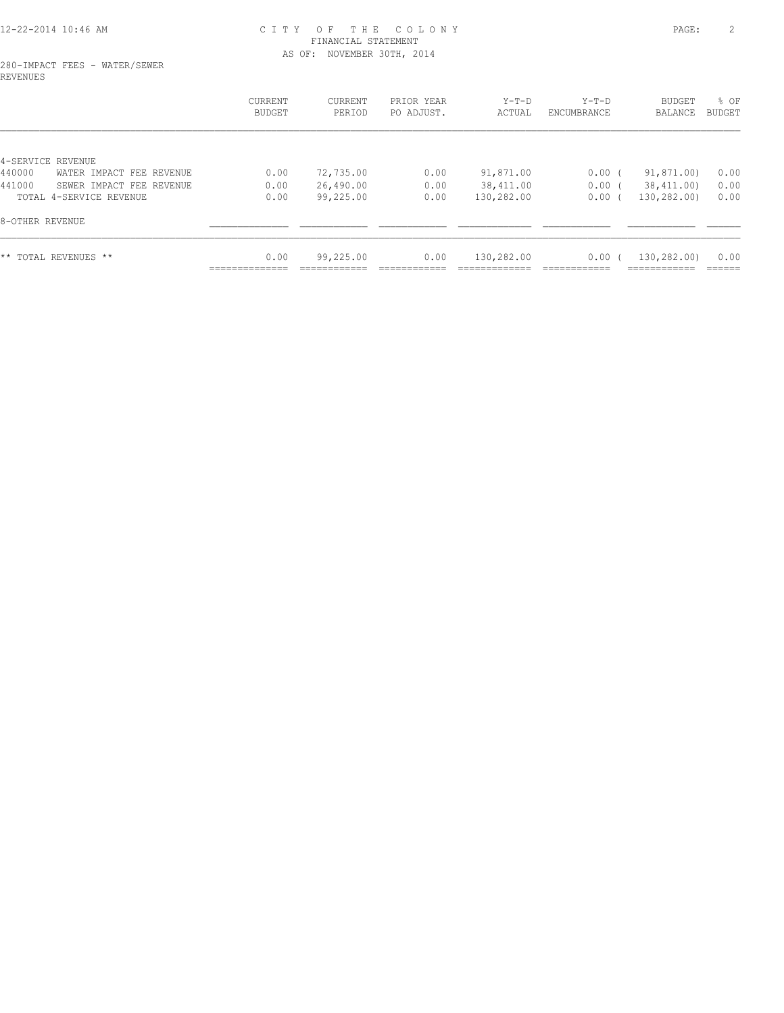# 12-22-2014 10:46 AM C I T Y O F T H E C O L O N Y PAGE: 2 FINANCIAL STATEMENT AS OF: NOVEMBER 30TH, 2014

#### 280-IMPACT FEES - WATER/SEWER REVENUES

|                                    | CURRENT<br><b>BUDGET</b> | CURRENT<br>PERIOD | PRIOR YEAR<br>PO ADJUST. | $Y-T-D$<br>ACTUAL | $Y-T-D$<br>ENCUMBRANCE | <b>BUDGET</b><br>BALANCE | % OF<br>BUDGET |
|------------------------------------|--------------------------|-------------------|--------------------------|-------------------|------------------------|--------------------------|----------------|
| 4-SERVICE REVENUE                  |                          |                   |                          |                   |                        |                          |                |
| 440000<br>WATER IMPACT FEE REVENUE | 0.00                     | 72,735.00         | 0.00                     | 91,871.00         | 0.00(                  | 91,871.00)               | 0.00           |
| 441000<br>SEWER IMPACT FEE REVENUE | 0.00                     | 26,490.00         | 0.00                     | 38, 411.00        | $0.00$ (               | 38,411.00)               | 0.00           |
| TOTAL 4-SERVICE REVENUE            | 0.00                     | 99,225.00         | 0.00                     | 130,282.00        | 0.00(                  | 130,282.00)              | 0.00           |
| 8-OTHER REVENUE                    |                          |                   |                          |                   |                        |                          |                |
| ** TOTAL REVENUES **               | 0.00                     | 99,225.00         | 0.00                     | 130,282.00        | 0.00(                  | 130,282.00)              | 0.00           |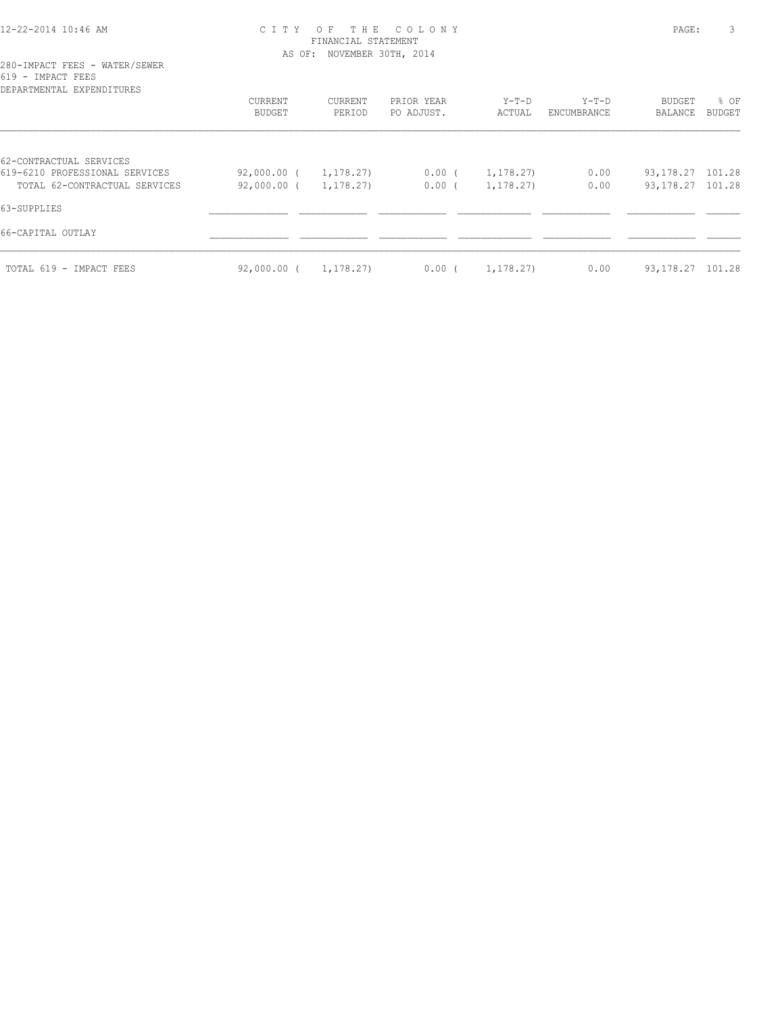# 12-22-2014 10:46 AM C I T Y O F T H E C O L O N Y PAGE: 3 FINANCIAL STATEMENT AS OF: NOVEMBER 30TH, 2014

# 280-IMPACT FEES - WATER/SEWER 619 - IMPACT FEES

| DEPARTMENTAL EXPENDITURES                                                                  | CURRENT<br><b>BUDGET</b>   | CURRENT<br>PERIOD      | PRIOR YEAR<br>PO ADJUST. | $Y-T-D$<br>ACTUAL       | $Y-T-D$<br>ENCUMBRANCE | BUDGET<br>BALANCE                          | % OF<br><b>BUDGET</b> |
|--------------------------------------------------------------------------------------------|----------------------------|------------------------|--------------------------|-------------------------|------------------------|--------------------------------------------|-----------------------|
| 62-CONTRACTUAL SERVICES<br>619-6210 PROFESSIONAL SERVICES<br>TOTAL 62-CONTRACTUAL SERVICES | 92,000.00 (<br>92,000.00 ( | 1, 178.27<br>1,178.27) | $0.00$ (<br>$0.00$ (     | 1, 178.27)<br>1,178.27) | 0.00<br>0.00           | 93, 178. 27 101. 28<br>93, 178. 27 101. 28 |                       |
| 63-SUPPLIES                                                                                |                            |                        |                          |                         |                        |                                            |                       |
| 66-CAPITAL OUTLAY<br>TOTAL 619 - IMPACT FEES                                               | 92,000.00 (                | 1,178.27)              | $0.00$ (                 | 1,178.27)               | 0.00                   | 93, 178. 27 101. 28                        |                       |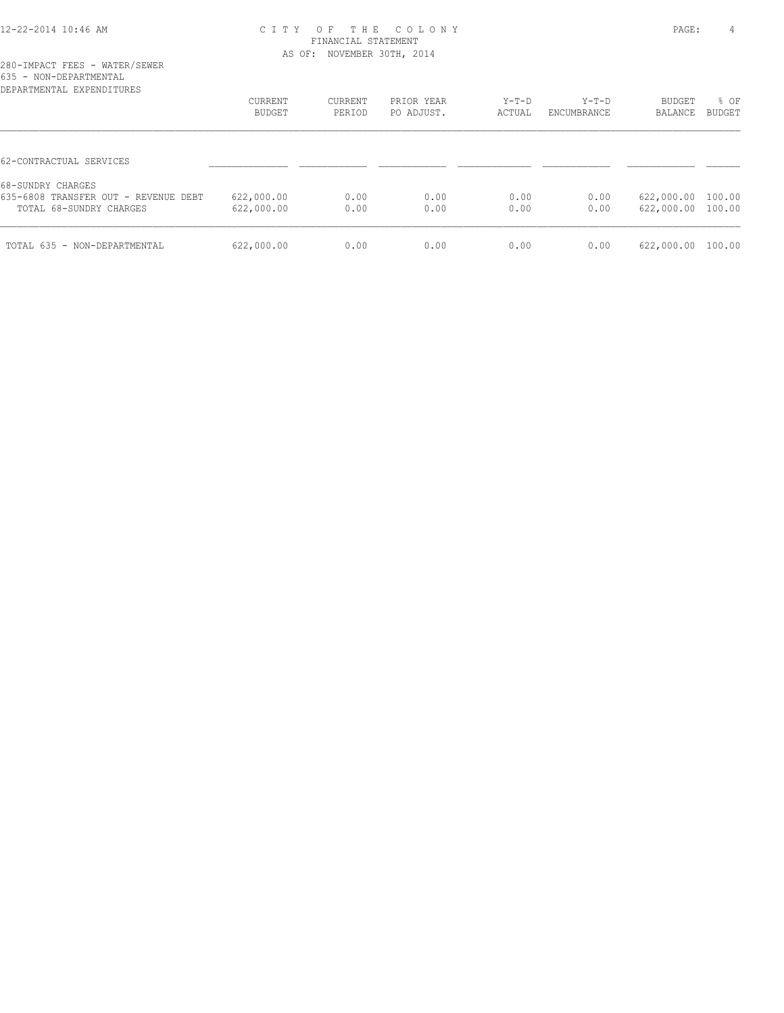#### 12-22-2014 10:46 AM C I T Y O F T H E C O L O N Y PAGE: 4 FINANCIAL STATEMENT AS OF: NOVEMBER 30TH, 2014

|                        |  | 280-IMPACT FEES - WATER/SEWER     |
|------------------------|--|-----------------------------------|
| 635 - NON-DEPARTMENTAL |  |                                   |
|                        |  | סססווחיד הואסמעס זג חואס אחס גמסמ |

| DEPARTMENTAL EXPENDITURES            |                          |                   |                          |                   |                        |                   |                       |
|--------------------------------------|--------------------------|-------------------|--------------------------|-------------------|------------------------|-------------------|-----------------------|
|                                      | CURRENT<br><b>BUDGET</b> | CURRENT<br>PERIOD | PRIOR YEAR<br>PO ADJUST. | $Y-T-D$<br>ACTUAL | $Y-T-D$<br>ENCUMBRANCE | BUDGET<br>BALANCE | % OF<br><b>BUDGET</b> |
|                                      |                          |                   |                          |                   |                        |                   |                       |
| 62-CONTRACTUAL SERVICES              |                          |                   |                          |                   |                        |                   |                       |
| 68-SUNDRY CHARGES                    |                          |                   |                          |                   |                        |                   |                       |
| 635-6808 TRANSFER OUT - REVENUE DEBT | 622,000.00               | 0.00              | 0.00                     | 0.00              | 0.00                   | 622,000.00        | 100.00                |
| TOTAL 68-SUNDRY CHARGES              | 622,000.00               | 0.00              | 0.00                     | 0.00              | 0.00                   | 622,000.00        | 100.00                |
| TOTAL 635 - NON-DEPARTMENTAL         | 622,000.00               | 0.00              | 0.00                     | 0.00              | 0.00                   | 622,000.00        | 100.00                |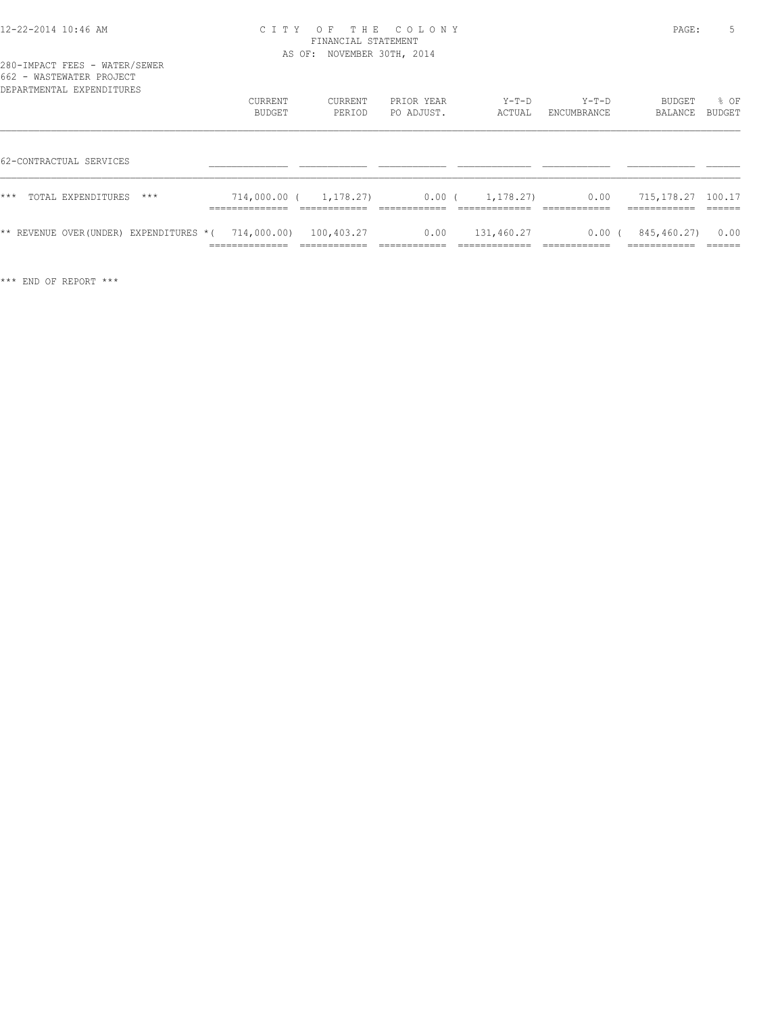| 12-22-2014 10:46 AM |  |  |
|---------------------|--|--|
|---------------------|--|--|

# 12-22-2014 10:46 AM C I T Y O F T H E C O L O N Y PAGE: 5 FINANCIAL STATEMENT AS OF: NOVEMBER 30TH, 2014

| 662 - WASTEWATER PROJECT<br>DEPARTMENTAL EXPENDITURES             |                                   |                   |                          |                   |                        |                          |                           |
|-------------------------------------------------------------------|-----------------------------------|-------------------|--------------------------|-------------------|------------------------|--------------------------|---------------------------|
|                                                                   | <b>CURRENT</b><br>BUDGET          | CURRENT<br>PERIOD | PRIOR YEAR<br>PO ADJUST. | $Y-T-D$<br>ACTUAL | $Y-T-D$<br>ENCUMBRANCE | <b>BUDGET</b><br>BALANCE | % OF<br>BUDGET            |
|                                                                   |                                   |                   |                          |                   |                        |                          |                           |
| 62-CONTRACTUAL SERVICES                                           |                                   |                   |                          |                   |                        |                          |                           |
| ***<br>TOTAL EXPENDITURES<br>$***$                                | 714,000.00 (                      | 1,178.27)         | $0.00$ (                 | 1,178.27)         | 0.00                   | 715,178.27               | 100.17                    |
| ** REVENUE OVER(UNDER) EXPENDITURES * ( $714,000.00$ ) 100,403.27 | ______________<br>--------------- | ____________      | 0.00                     | 131,460.27        | $0.00$ (               | 845,460.27)              | 0.00<br>-------<br>______ |

\*\*\* END OF REPORT \*\*\*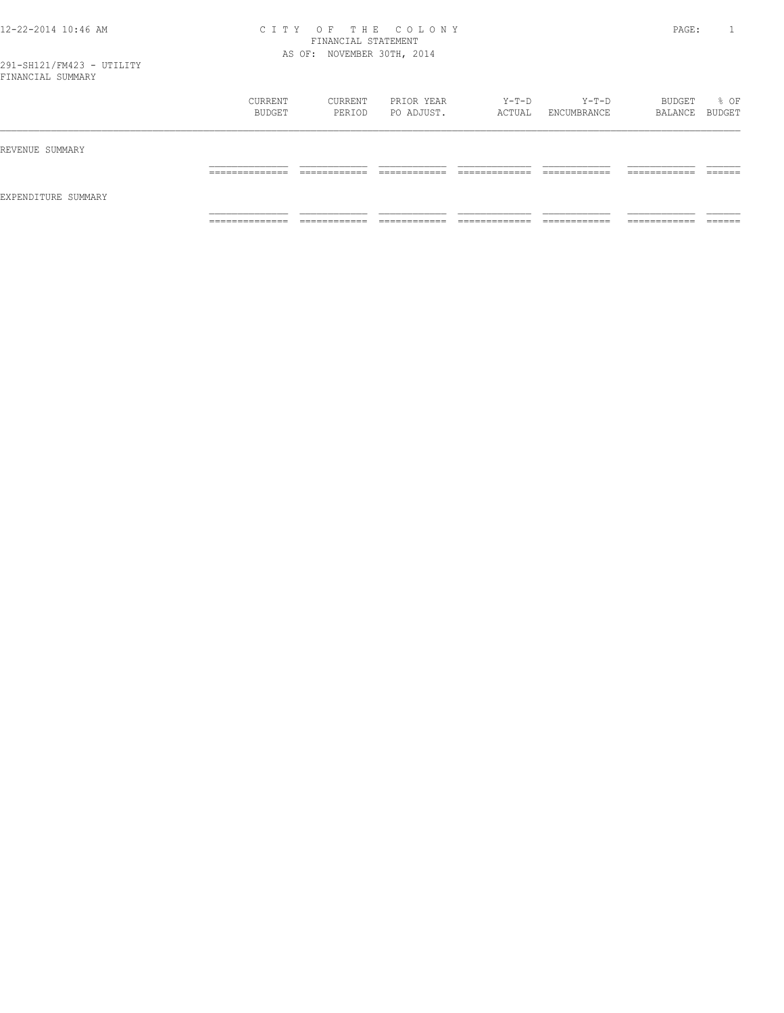#### 12-22-2014 10:46 AM C I T Y O F T H E C O L O N Y PAGE: 1 FINANCIAL STATEMENT AS OF: NOVEMBER 30TH, 2014

|                     | CURRENT<br>BUDGET                  | CURRENT<br>PERIOD | PRIOR YEAR<br>PO ADJUST. | Y-T-D<br>ACTUAL | Y-T-D<br>ENCUMBRANCE         | BUDGET<br>BALANCE BUDGET | % OF |
|---------------------|------------------------------------|-------------------|--------------------------|-----------------|------------------------------|--------------------------|------|
| REVENUE SUMMARY     | ________                           |                   |                          |                 |                              | _______                  |      |
| EXPENDITURE SUMMARY |                                    |                   |                          |                 |                              |                          |      |
|                     | _______________<br>_______________ | ____________      | ____________             | _____________   | ____________<br>____________ | .<br>-------------       |      |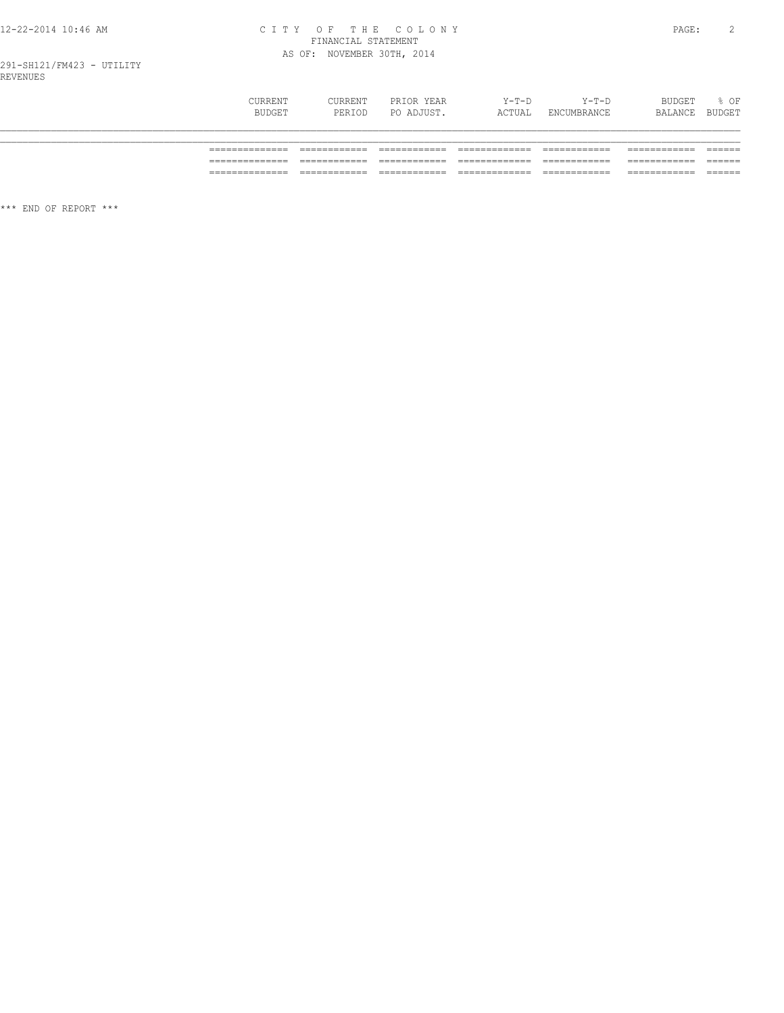# CITY OF THE COLONY<br>FINANCIAL STATEMENT<br>AS OF: NOVEMBER 30TH, 2014

|           | BUDGET  | PERIOD  | PO ADJUST. | ACTUAL  | ENCUMBRANCE | BALANCE | BUDGET |
|-----------|---------|---------|------------|---------|-------------|---------|--------|
|           | CURRENT | CURRENT | PRIOR YEAR | $Y-T-D$ | $Y-T-D$     | BUDGET  | % OF   |
|           |         |         |            |         |             |         |        |
| --------- |         |         |            |         |             |         |        |

\*\*\* END OF REPORT \*\*\*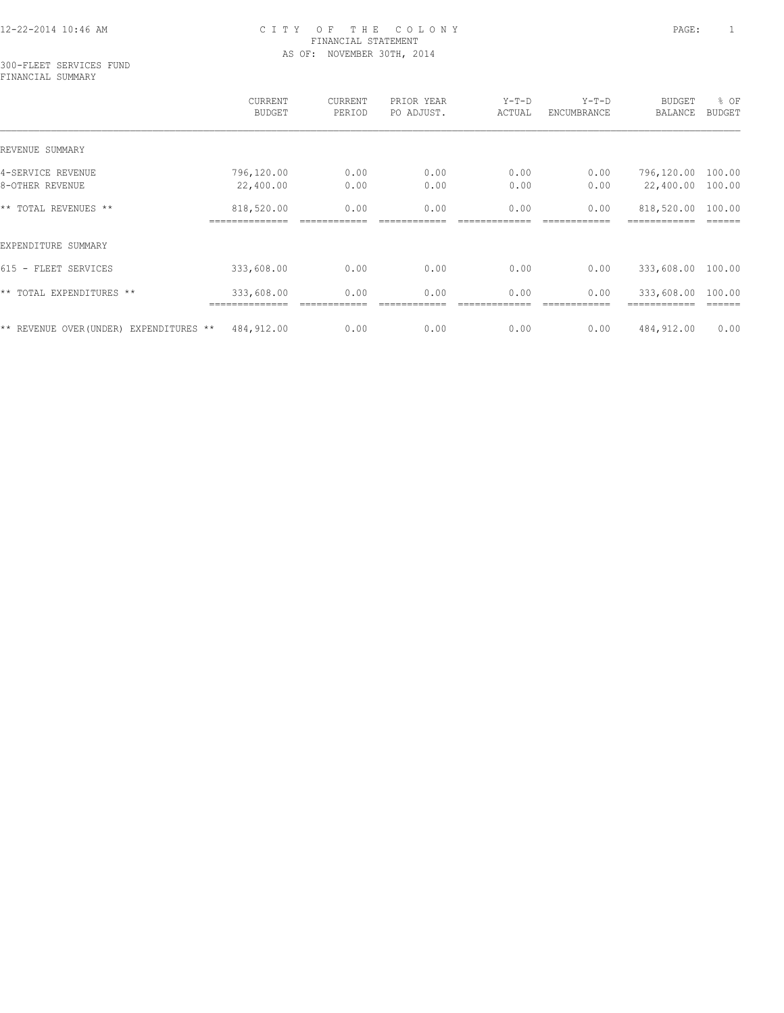#### 300-FLEET SERVICES FUND FINANCIAL SUMMARY

|                                            | CURRENT<br><b>BUDGET</b>  | CURRENT<br>PERIOD | PRIOR YEAR<br>PO ADJUST. | $Y-T-D$<br>ACTUAL | $Y-T-D$<br>ENCUMBRANCE | <b>BUDGET</b><br>BALANCE | % OF<br><b>BUDGET</b> |
|--------------------------------------------|---------------------------|-------------------|--------------------------|-------------------|------------------------|--------------------------|-----------------------|
| REVENUE SUMMARY                            |                           |                   |                          |                   |                        |                          |                       |
| 4-SERVICE REVENUE                          | 796,120.00                | 0.00              | 0.00                     | 0.00              | 0.00                   | 796,120.00               | 100.00                |
| 8-OTHER REVENUE                            | 22,400.00                 | 0.00              | 0.00                     | 0.00              | 0.00                   | 22,400.00                | 100.00                |
| ** TOTAL REVENUES **                       | 818,520.00                | 0.00              | 0.00                     | 0.00              | 0.00                   | 818,520.00               | 100.00                |
| EXPENDITURE SUMMARY                        |                           |                   |                          |                   |                        |                          |                       |
| 615 - FLEET SERVICES                       | 333,608.00                | 0.00              | 0.00                     | 0.00              | 0.00                   | 333,608.00               | 100.00                |
| ** TOTAL EXPENDITURES **                   | 333,608.00<br>.========== | 0.00              | 0.00                     | 0.00              | 0.00                   | 333,608.00               | 100.00                |
| ** REVENUE OVER (UNDER)<br>EXPENDITURES ** | 484,912.00                | 0.00              | 0.00                     | 0.00              | 0.00                   | 484,912.00               | 0.00                  |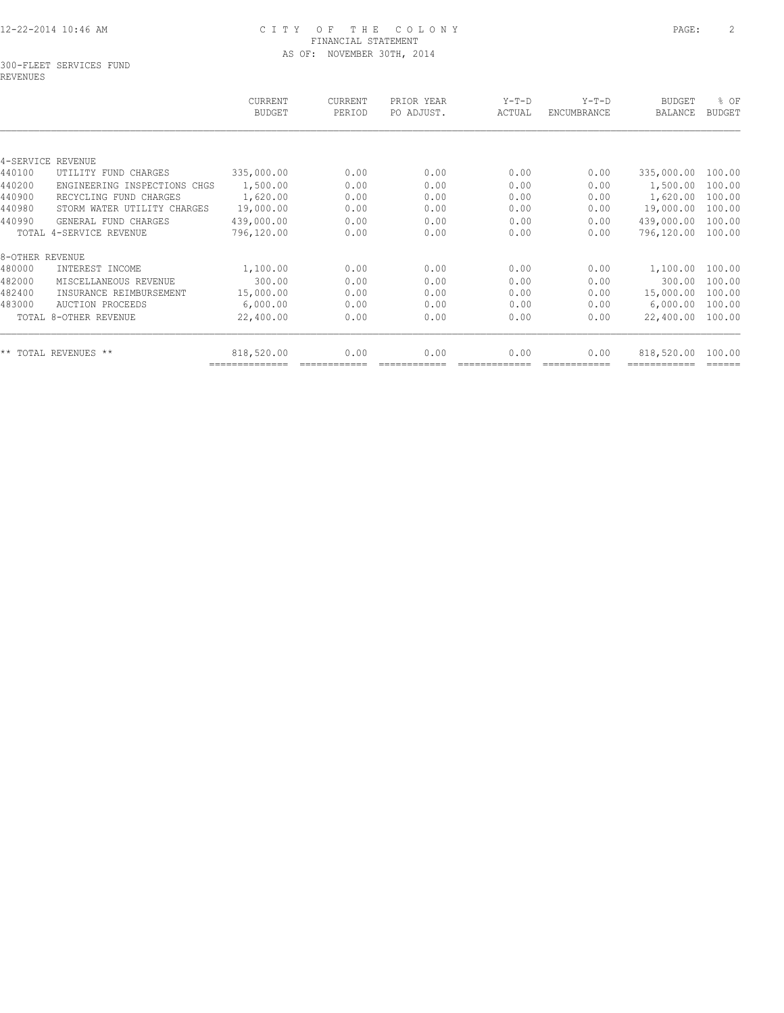#### 300-FLEET SERVICES FUND REVENUES

| <b>BUDGET</b>                            | PERIOD | PO ADJUST. | ACTUAL | $Y-T-D$<br><b>ENCUMBRANCE</b> | <b>BUDGET</b><br><b>BALANCE</b> | % OF<br><b>BUDGET</b> |
|------------------------------------------|--------|------------|--------|-------------------------------|---------------------------------|-----------------------|
|                                          |        |            |        |                               |                                 |                       |
|                                          |        |            |        |                               |                                 |                       |
| 335,000.00                               | 0.00   | 0.00       | 0.00   | 0.00                          | 335,000.00                      | 100.00                |
| 1,500.00<br>INSPECTIONS<br>CHGS          | 0.00   | 0.00       | 0.00   | 0.00                          | 1,500.00                        | 100.00                |
| 1,620.00                                 | 0.00   | 0.00       | 0.00   | 0.00                          | 1,620.00                        | 100.00                |
| 19,000.00<br>STORM WATER UTILITY CHARGES | 0.00   | 0.00       | 0.00   | 0.00                          | 19,000.00                       | 100.00                |
| 439,000.00                               | 0.00   | 0.00       | 0.00   | 0.00                          | 439,000.00                      | 100.00                |
| 796,120.00                               | 0.00   | 0.00       | 0.00   | 0.00                          | 796,120.00                      | 100.00                |
|                                          |        |            |        |                               |                                 |                       |
| 1,100.00                                 | 0.00   | 0.00       | 0.00   | 0.00                          | 1,100.00                        | 100.00                |
| 300.00                                   | 0.00   | 0.00       | 0.00   | 0.00                          | 300.00                          | 100.00                |
| 15,000.00<br>INSURANCE REIMBURSEMENT     | 0.00   | 0.00       | 0.00   | 0.00                          | 15,000.00                       | 100.00                |
| 6,000.00                                 | 0.00   | 0.00       | 0.00   | 0.00                          | 6,000.00                        | 100.00                |
| 22,400.00                                | 0.00   | 0.00       | 0.00   | 0.00                          | 22,400.00                       | 100.00                |
| 818,520.00                               | 0.00   | 0.00       | 0.00   | 0.00                          | 818,520.00                      | 100.00                |
|                                          |        |            |        |                               |                                 |                       |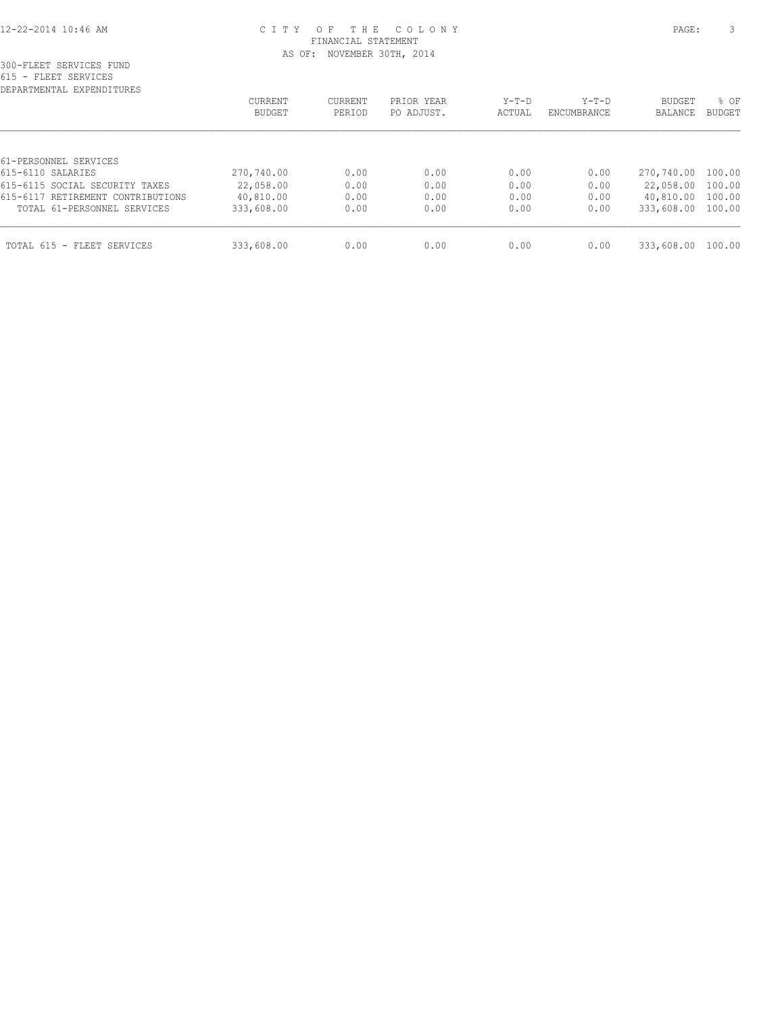| DEPARTMENTAL EXPENDITURES         |                   |                   |                          |                 |                        |                   |                       |
|-----------------------------------|-------------------|-------------------|--------------------------|-----------------|------------------------|-------------------|-----------------------|
|                                   | CURRENT<br>BUDGET | CURRENT<br>PERIOD | PRIOR YEAR<br>PO ADJUST. | Y-T-D<br>ACTUAL | $Y-T-D$<br>ENCUMBRANCE | BUDGET<br>BALANCE | % OF<br><b>BUDGET</b> |
|                                   |                   |                   |                          |                 |                        |                   |                       |
|                                   |                   |                   |                          |                 |                        |                   |                       |
| 61-PERSONNEL SERVICES             |                   |                   |                          |                 |                        |                   |                       |
| 615-6110 SALARIES                 | 270,740.00        | 0.00              | 0.00                     | 0.00            | 0.00                   | 270,740.00 100.00 |                       |
| 615-6115 SOCIAL SECURITY TAXES    | 22,058.00         | 0.00              | 0.00                     | 0.00            | 0.00                   | 22,058.00 100.00  |                       |
| 615-6117 RETIREMENT CONTRIBUTIONS | 40,810.00         | 0.00              | 0.00                     | 0.00            | 0.00                   | 40,810.00 100.00  |                       |
| TOTAL 61-PERSONNEL SERVICES       | 333,608.00        | 0.00              | 0.00                     | 0.00            | 0.00                   | 333,608.00 100.00 |                       |
| TOTAL 615 - FLEET SERVICES        | 333,608.00        | 0.00              | 0.00                     | 0.00            | 0.00                   | 333,608.00        | 100.00                |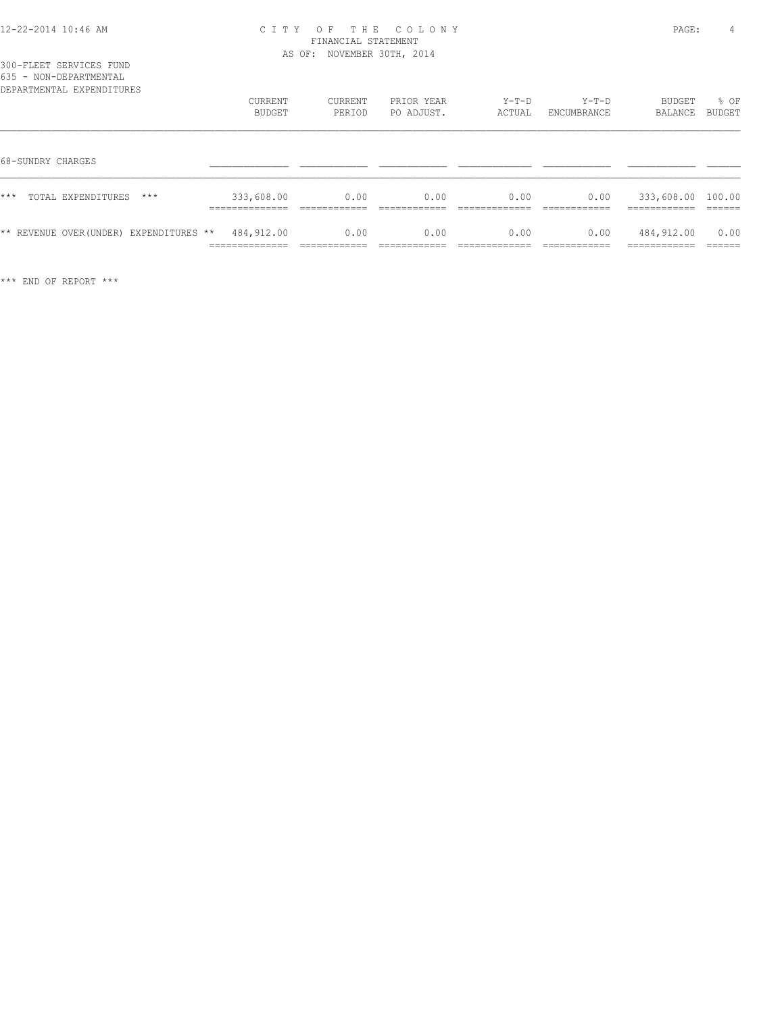|  |  | 300-FLEET SERVICES FUND |                           |  |
|--|--|-------------------------|---------------------------|--|
|  |  | 635 - NON-DEPARTMENTAL  |                           |  |
|  |  |                         | DEPARTMENTAL EXPENDITURES |  |

| DEPARTMENTAL EXPENDITURES               | CURRENT<br>BUDGET                               | CURRENT<br>PERIOD                    | PRIOR YEAR<br>PO ADJUST.              | $Y-T-D$<br>ACTUAL                     | $Y-T-D$<br>ENCUMBRANCE               | BUDGET<br>BALANCE                                  | % OF<br>BUDGET    |
|-----------------------------------------|-------------------------------------------------|--------------------------------------|---------------------------------------|---------------------------------------|--------------------------------------|----------------------------------------------------|-------------------|
| 68-SUNDRY CHARGES                       |                                                 |                                      |                                       |                                       |                                      |                                                    |                   |
| $***$<br>$***$<br>TOTAL EXPENDITURES    | 333,608.00<br>______________<br>--------------- | 0.00<br>____________<br>____________ | 0.00<br>-------------<br>____________ | 0.00<br>____________<br>_____________ | 0.00<br>____________<br>____________ | 333,608.00 100.00<br>-------------<br>____________ | -------<br>______ |
| ** REVENUE OVER (UNDER) EXPENDITURES ** | 484,912.00<br>______________<br>------------    | 0.00<br>___________                  | 0.00                                  | 0.00                                  | 0.00                                 | 484,912.00<br>-----------<br>----------            | 0.00<br>-------   |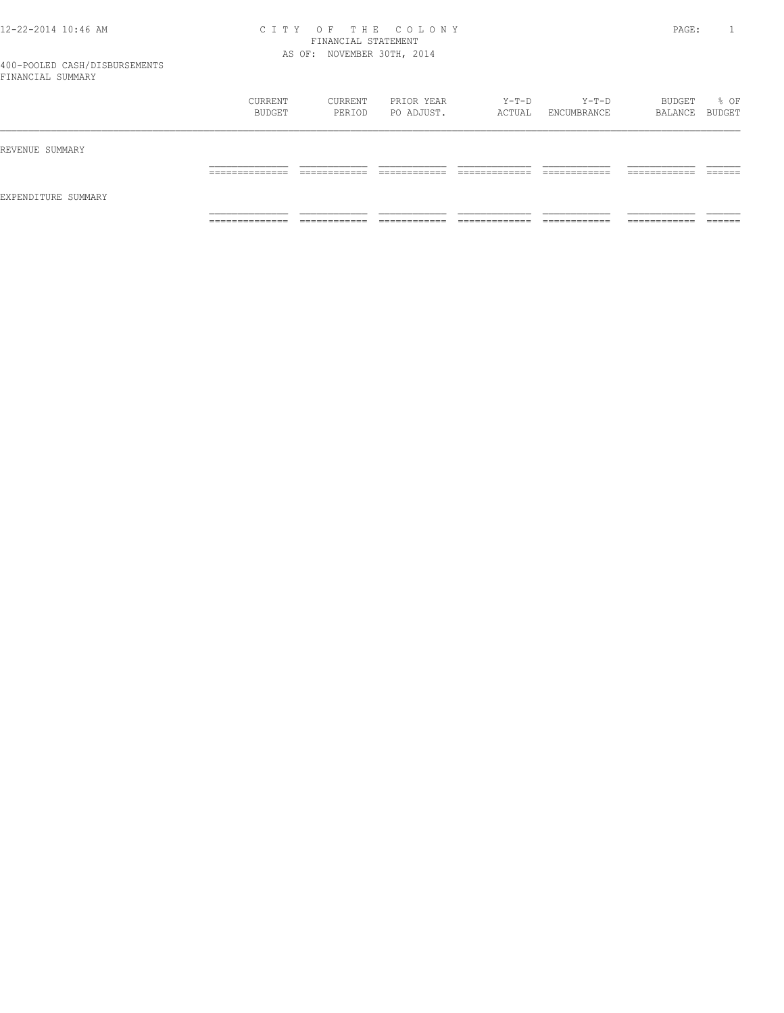| __                  |                                 |                   |                          |                 |                      |                             |        |
|---------------------|---------------------------------|-------------------|--------------------------|-----------------|----------------------|-----------------------------|--------|
|                     | CURRENT<br>BUDGET               | CURRENT<br>PERIOD | PRIOR YEAR<br>PO ADJUST. | Y-T-D<br>ACTUAL | Y-T-D<br>ENCUMBRANCE | BUDGET<br>BALANCE BUDGET    | % OF   |
| REVENUE SUMMARY     |                                 |                   |                          |                 |                      |                             |        |
|                     | __________<br>___________       |                   |                          |                 |                      | _______<br>_______          | ______ |
| EXPENDITURE SUMMARY |                                 |                   |                          |                 |                      |                             |        |
|                     | _____________<br>______________ | ____________      | ____________             | _____________   | ____________         | ----------<br>------------- |        |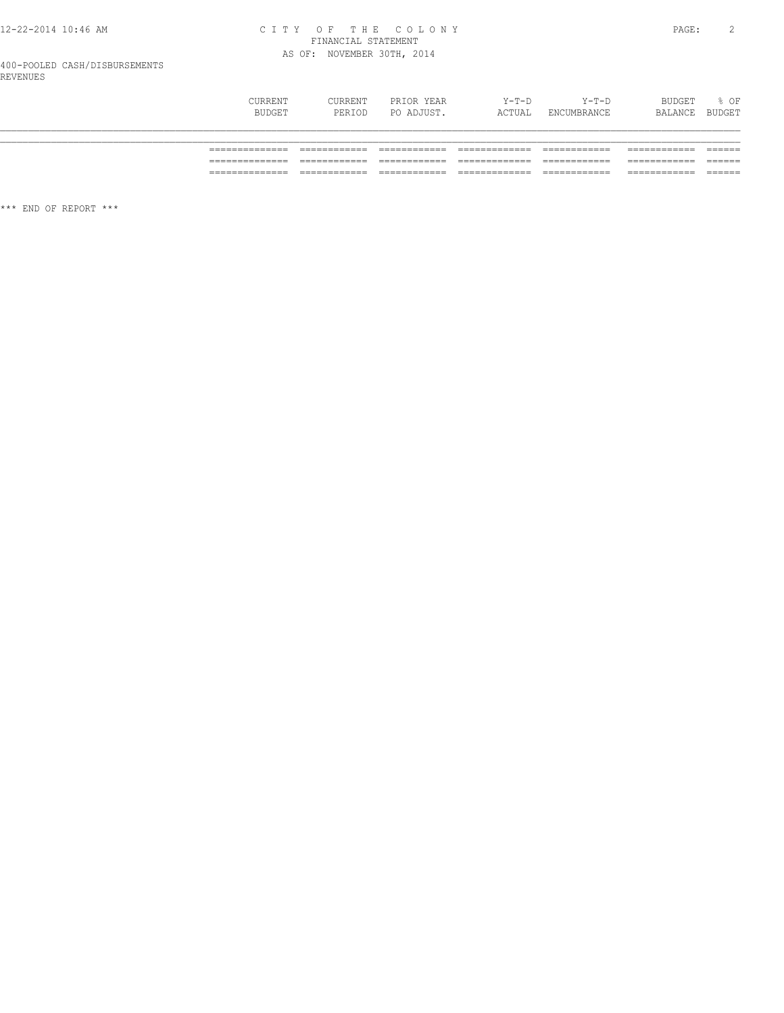# CITY OF THE COLONY<br>FINANCIAL STATEMENT<br>AS OF: NOVEMBER 30TH, 2014

| CURRENT<br>BUDGET | CURRENT<br>PERIOD | PRIOR YEAR<br>PO ADJUST. | Y-T-D<br>ACTUAL | $Y-T-D$<br>ENCUMBRANCE | BUDGET<br>BALANCE | % OF<br>BUDGET |
|-------------------|-------------------|--------------------------|-----------------|------------------------|-------------------|----------------|
|                   |                   |                          |                 |                        |                   |                |
|                   |                   |                          |                 |                        |                   |                |
| _______<br>____   |                   |                          |                 |                        |                   |                |
|                   |                   |                          |                 |                        |                   |                |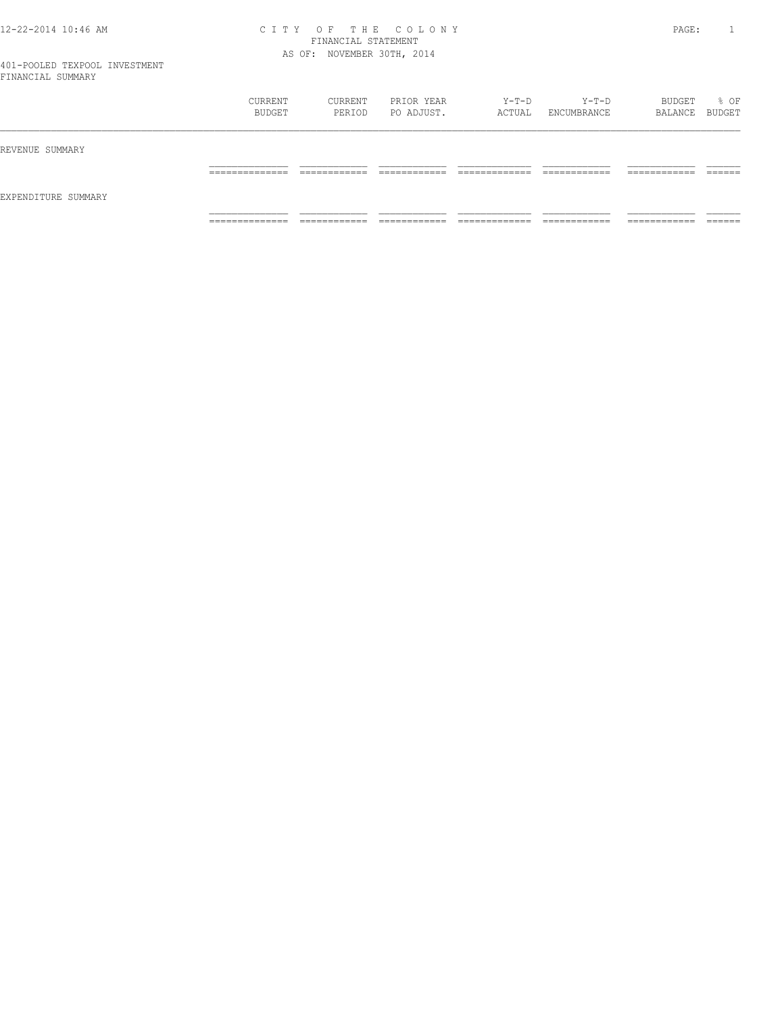|                     | CURRENT<br>BUDGET                | CURRENT<br>PERIOD          | PRIOR YEAR<br>PO ADJUST. | Y-T-D<br>ACTUAL | $Y-T-D$<br>ENCUMBRANCE | BUDGET<br>BALANCE BUDGET   | % OF    |
|---------------------|----------------------------------|----------------------------|--------------------------|-----------------|------------------------|----------------------------|---------|
| REVENUE SUMMARY     |                                  |                            |                          |                 |                        |                            |         |
|                     | ___________<br>------------      | _______                    | ______                   |                 | _____________          | ------------<br>________   | ______  |
| EXPENDITURE SUMMARY |                                  |                            |                          |                 |                        |                            |         |
|                     | ______________<br>______________ | ----------<br>____________ | ____________             | _____________   | ____________           | __________<br>____________ | _______ |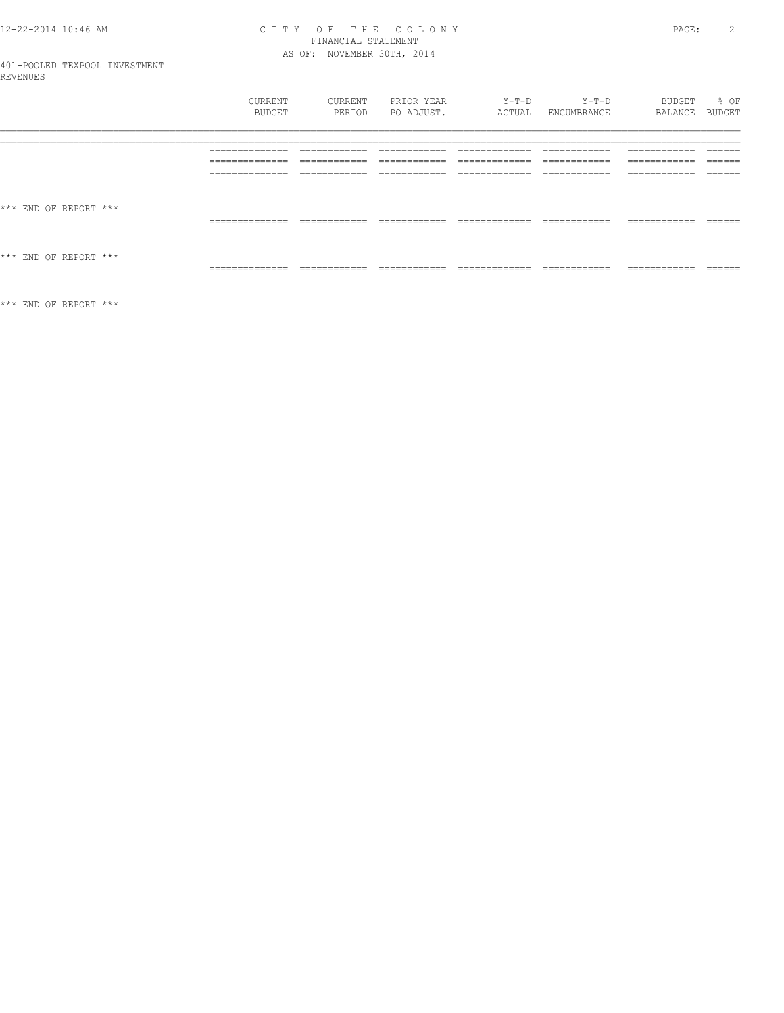# CITY OF THE COLONY<br>FINANCIAL STATEMENT<br>AS OF: NOVEMBER 30TH, 2014

BUDGET % OF<br>BALANCE BUDGET

|                       | CURRENT         | CURRENT       | PRIOR YEAR    | Y-T-D          | Y-T-D        |
|-----------------------|-----------------|---------------|---------------|----------------|--------------|
|                       | BUDGET          | PERIOD        | PO ADJUST.    | ACTUAL         | ENCUMBRANCE  |
|                       | ______________  | ------------- | ------------- | ____________   | ------------ |
|                       | _______________ | ____________  | ____________  | _____________  | ____________ |
|                       | --------------  | ------------- | ------------- | -------------- | ------------ |
|                       | _______________ | ____________  | ____________  | _____________  | ____________ |
|                       | ______________  | ------------- | ------------- | ____________   | ____________ |
|                       | _______________ | ____________  | ____________  | _____________  | ____________ |
| *** END OF REPORT *** | --------------- | ____________  | ------------- | ____________   | ____________ |
|                       | .               | ____________  | ____________  | _____________  | ____________ |
| *** END OF REPORT *** |                 |               |               |                |              |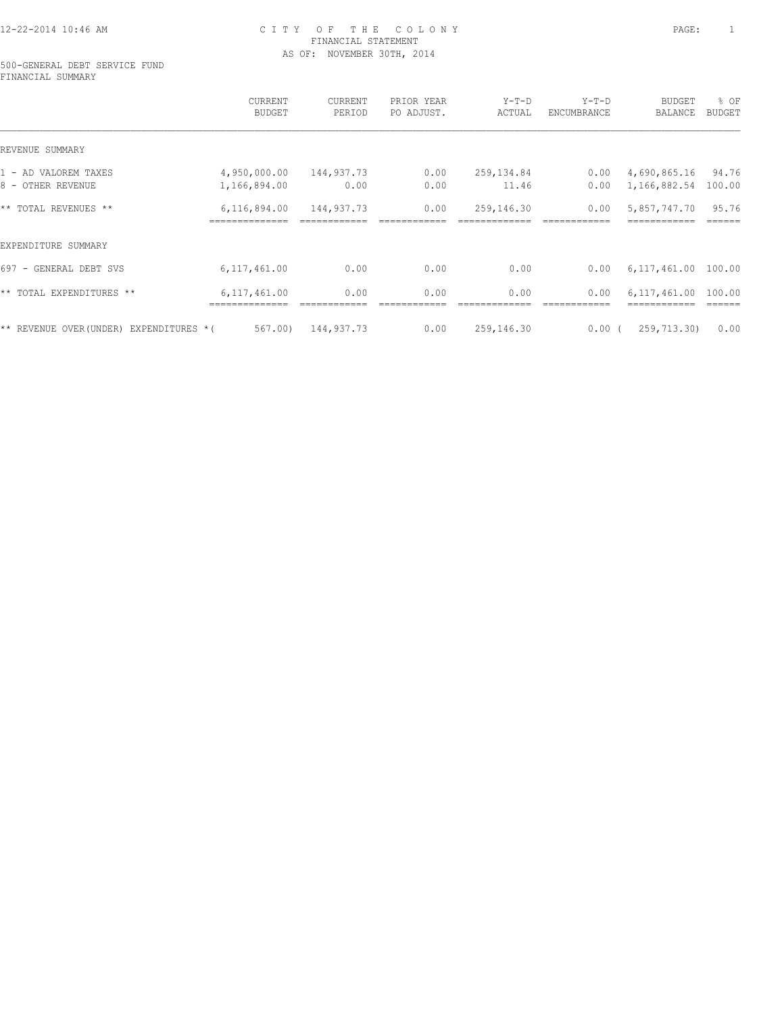#### 500-GENERAL DEBT SERVICE FUND FINANCIAL SUMMARY

|                                          | CURRENT<br><b>BUDGET</b> | CURRENT<br>PERIOD | PRIOR YEAR<br>PO ADJUST. | $Y-T-D$<br>ACTUAL | $Y-T-D$<br>ENCUMBRANCE | <b>BUDGET</b><br>BALANCE | % OF<br><b>BUDGET</b> |
|------------------------------------------|--------------------------|-------------------|--------------------------|-------------------|------------------------|--------------------------|-----------------------|
| REVENUE SUMMARY                          |                          |                   |                          |                   |                        |                          |                       |
| 1 - AD VALOREM TAXES                     | 4,950,000.00             | 144,937.73        | 0.00                     | 259,134.84        | 0.00                   | 4,690,865.16             | 94.76                 |
| 8 - OTHER REVENUE                        | 1,166,894.00             | 0.00              | 0.00                     | 11.46             | 0.00                   | 1,166,882.54             | 100.00                |
| ** TOTAL REVENUES **                     | 6,116,894.00             | 144,937.73        | 0.00                     | 259,146.30        | 0.00                   | 5,857,747.70             | 95.76                 |
| EXPENDITURE SUMMARY                      |                          |                   |                          |                   |                        |                          |                       |
| 697 - GENERAL DEBT SVS                   | 6, 117, 461.00           | 0.00              | 0.00                     | 0.00              | 0.00                   | 6,117,461.00             | 100.00                |
| ** TOTAL EXPENDITURES **                 | 6, 117, 461.00           | 0.00              | 0.00                     | 0.00              | 0.00                   | 6.117.461.00             | 100.00                |
| ** REVENUE OVER (UNDER) EXPENDITURES * ( | 567.00)                  | 144,937.73        | 0.00                     | 259,146.30        | 0.00(                  | 259,713.30)              | 0.00                  |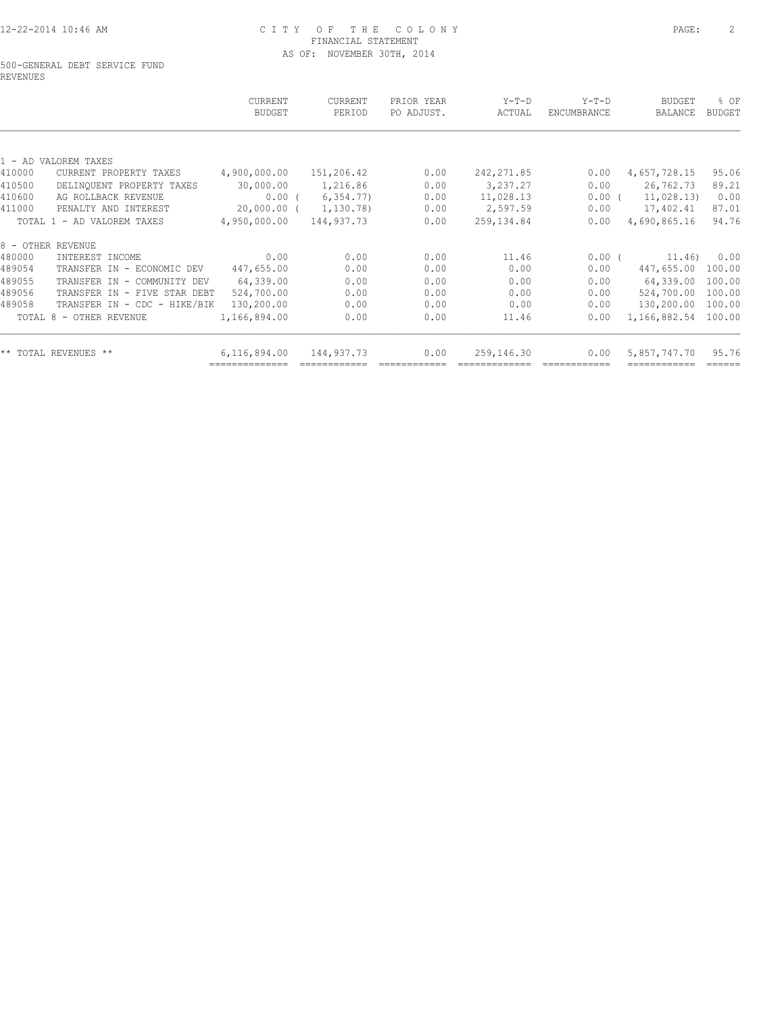#### 500-GENERAL DEBT SERVICE FUND REVENUES

|        |                              | CURRENT<br><b>BUDGET</b>       | <b>CURRENT</b><br>PERIOD | PRIOR YEAR<br>PO ADJUST. | $Y-T-D$<br>ACTUAL | $Y-T-D$<br>ENCUMBRANCE | <b>BUDGET</b><br>BALANCE | % OF<br><b>BUDGET</b> |
|--------|------------------------------|--------------------------------|--------------------------|--------------------------|-------------------|------------------------|--------------------------|-----------------------|
|        |                              |                                |                          |                          |                   |                        |                          |                       |
|        | 1 - AD VALOREM TAXES         |                                |                          |                          |                   |                        |                          |                       |
| 410000 | CURRENT PROPERTY TAXES       | 4,900,000.00                   | 151,206.42               | 0.00                     | 242, 271.85       | 0.00                   | 4,657,728.15             | 95.06                 |
| 410500 | DELINQUENT PROPERTY TAXES    | 30,000.00                      | 1,216.86                 | 0.00                     | 3,237.27          | 0.00                   | 26,762.73                | 89.21                 |
| 410600 | AG ROLLBACK REVENUE          | $0.00$ (                       | 6, 354.77)               | 0.00                     | 11,028.13         | $0.00$ (               | 11,028.13)               | 0.00                  |
| 411000 | PENALTY AND INTEREST         | 20,000.00 (                    | 1,130.78)                | 0.00                     | 2,597.59          | 0.00                   | 17,402.41                | 87.01                 |
|        | TOTAL 1 - AD VALOREM TAXES   | 4,950,000.00                   | 144,937.73               | 0.00                     | 259,134.84        | 0.00                   | 4,690,865.16             | 94.76                 |
|        | 8 - OTHER REVENUE            |                                |                          |                          |                   |                        |                          |                       |
| 480000 | INTEREST INCOME              | 0.00                           | 0.00                     | 0.00                     | 11.46             | 0.00(                  | 11.46)                   | 0.00                  |
| 489054 | TRANSFER IN - ECONOMIC DEV   | 447,655.00                     | 0.00                     | 0.00                     | 0.00              | 0.00                   | 447,655.00               | 100.00                |
| 489055 | TRANSFER IN - COMMUNITY DEV  | 64,339.00                      | 0.00                     | 0.00                     | 0.00              | 0.00                   | 64,339.00                | 100.00                |
| 489056 | TRANSFER IN - FIVE STAR DEBT | 524,700.00                     | 0.00                     | 0.00                     | 0.00              | 0.00                   | 524,700.00               | 100.00                |
| 489058 | TRANSFER IN - CDC - HIKE/BIK | 130,200.00                     | 0.00                     | 0.00                     | 0.00              | 0.00                   | 130,200.00               | 100.00                |
|        | TOTAL 8 - OTHER REVENUE      | 1,166,894.00                   | 0.00                     | 0.00                     | 11.46             | 0.00                   | 1,166,882.54             | 100.00                |
|        |                              |                                |                          |                          |                   |                        |                          | 95.76                 |
|        | ** TOTAL REVENUES **         | 6,116,894.00<br>============== | 144,937.73               | 0.00                     | 259,146.30        | 0.00                   | 5,857,747.70             |                       |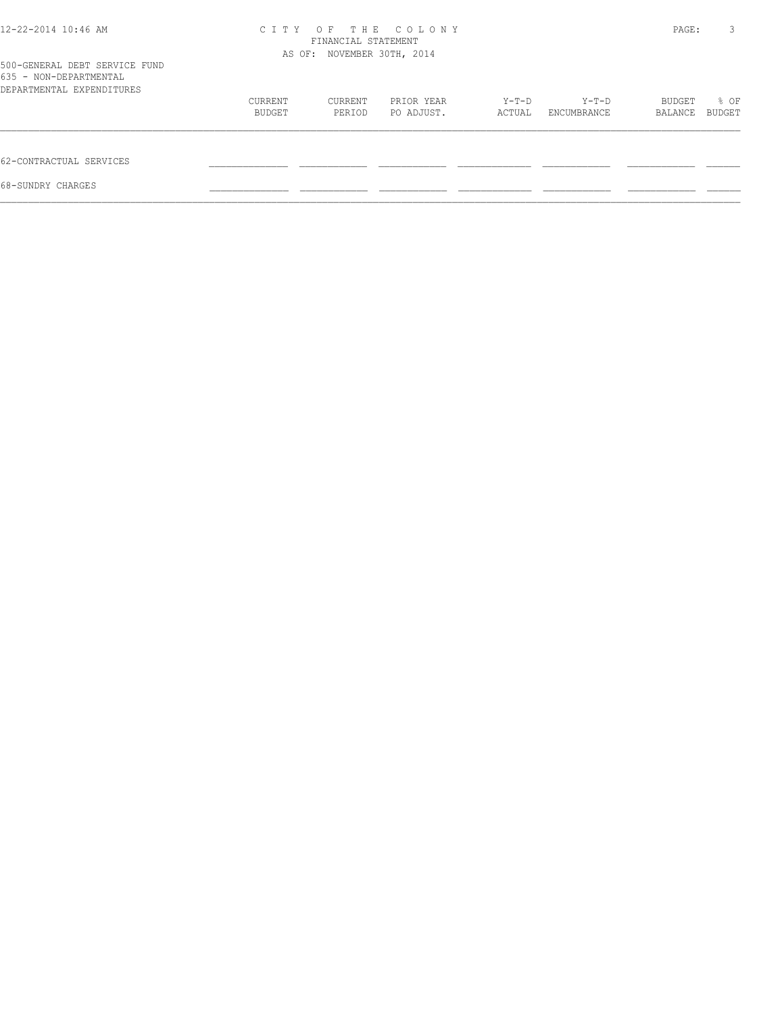| 12-22-2014 10:46 AM                                                                  | C T T Y | THE<br>$O$ F<br>FINANCIAL STATEMENT<br>AS OF: NOVEMBER 30TH, 2014 | COLONY     |        |             | PAGE:   | 3      |
|--------------------------------------------------------------------------------------|---------|-------------------------------------------------------------------|------------|--------|-------------|---------|--------|
| 500-GENERAL DEBT SERVICE FUND<br>635 - NON-DEPARTMENTAL<br>DEPARTMENTAL EXPENDITURES |         |                                                                   |            |        |             |         |        |
|                                                                                      | CURRENT | CURRENT                                                           | PRIOR YEAR | Y-T-D  | Y-T-D       | BUDGET  | % OF   |
|                                                                                      | BUDGET  | PERIOD                                                            | PO ADJUST. | ACTUAL | ENCUMBRANCE | BALANCE | BUDGET |
| 62-CONTRACTUAL SERVICES                                                              |         |                                                                   |            |        |             |         |        |
| 68-SUNDRY CHARGES                                                                    |         |                                                                   |            |        |             |         |        |
|                                                                                      |         |                                                                   |            |        |             |         |        |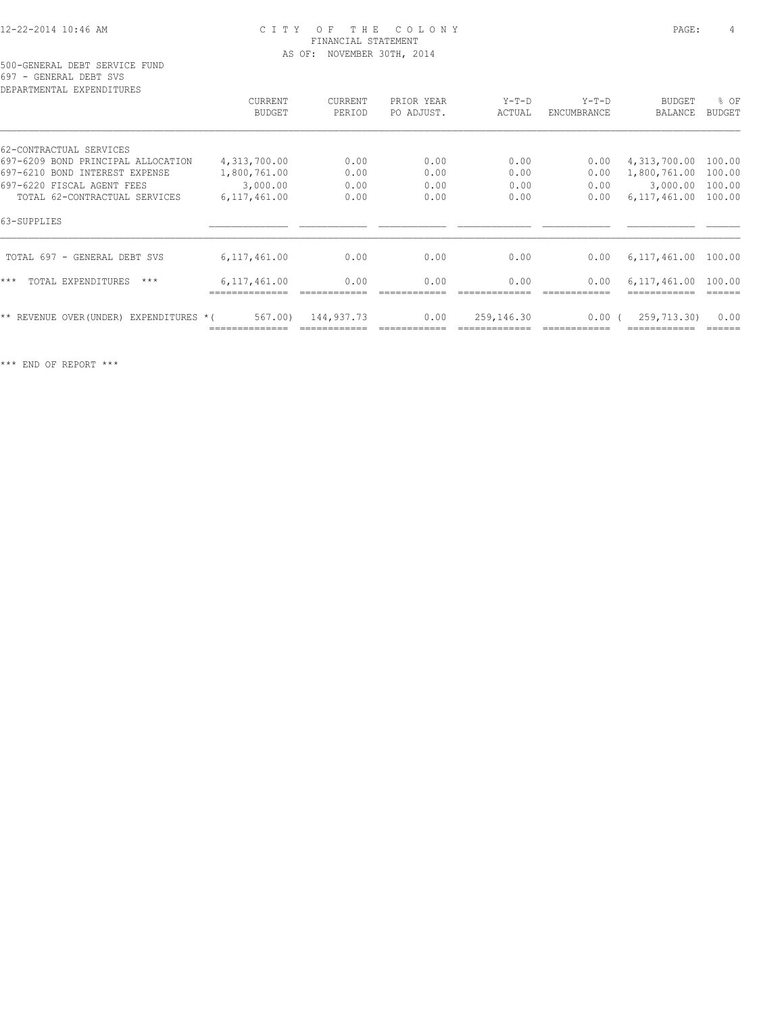# 12-22-2014 10:46 AM C I T Y O F T H E C O L O N Y PAGE: 4 FINANCIAL STATEMENT

697 - GENERAL DEBT SVS

| CURRENT                    | CURRENT    | PRIOR YEAR | $Y-T-D$    | $Y-T-D$            | <b>BUDGET</b>  | % OF                                        |
|----------------------------|------------|------------|------------|--------------------|----------------|---------------------------------------------|
| <b>BUDGET</b>              | PERIOD     | PO ADJUST. | ACTUAL     | <b>ENCUMBRANCE</b> | BALANCE        | <b>BUDGET</b>                               |
|                            |            |            |            |                    |                |                                             |
| 4,313,700.00               | 0.00       | 0.00       | 0.00       | 0.00               | 4,313,700.00   | 100.00                                      |
| 1,800,761.00               | 0.00       | 0.00       | 0.00       | 0.00               | 1,800,761.00   | 100.00                                      |
| 3,000.00                   | 0.00       | 0.00       | 0.00       | 0.00               | 3,000.00       | 100.00                                      |
| 6,117,461.00               | 0.00       | 0.00       | 0.00       | 0.00               | 6, 117, 461.00 | 100.00                                      |
|                            |            |            |            |                    |                |                                             |
| 6, 117, 461.00             | 0.00       | 0.00       | 0.00       | 0.00               |                |                                             |
| 6, 117, 461.00             | 0.00       | 0.00       | 0.00       | 0.00               | 6,117,461.00   | 100.00                                      |
| 567.00)<br>EXPENDITURES *( | 144,937.73 | 0.00       | 259,146.30 |                    |                | 0.00                                        |
|                            |            |            |            |                    |                | 6,117,461.00 100.00<br>0.00(<br>259,713.30) |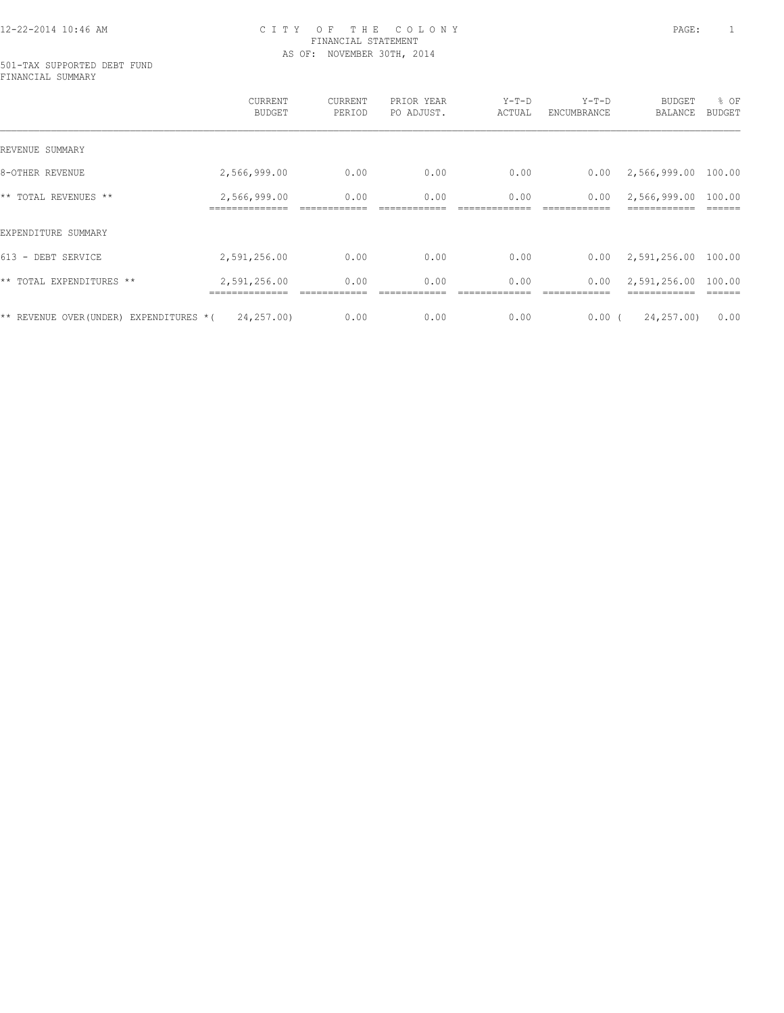#### 501-TAX SUPPORTED DEBT FUND FINANCIAL SUMMARY

|                                          | CURRENT<br><b>BUDGET</b>       | <b>CURRENT</b><br>PERIOD | PRIOR YEAR<br>PO ADJUST. | $Y-T-D$<br>ACTUAL | $Y-T-D$<br>ENCUMBRANCE | <b>BUDGET</b><br>BALANCE     | % OF<br><b>BUDGET</b> |
|------------------------------------------|--------------------------------|--------------------------|--------------------------|-------------------|------------------------|------------------------------|-----------------------|
| REVENUE SUMMARY                          |                                |                          |                          |                   |                        |                              |                       |
| 8-OTHER REVENUE                          | 2,566,999.00                   | 0.00                     | 0.00                     | 0.00              | 0.00                   | 2,566,999.00                 | 100.00                |
| ** TOTAL REVENUES **                     | 2,566,999.00<br>============== | 0.00                     | 0.00                     | 0.00              | 0.00                   | 2,566,999.00<br>============ | 100.00                |
| EXPENDITURE SUMMARY                      |                                |                          |                          |                   |                        |                              |                       |
| 613 - DEBT SERVICE                       | 2,591,256.00                   | 0.00                     | 0.00                     | 0.00              | 0.00                   | 2,591,256.00                 | 100.00                |
| ** TOTAL EXPENDITURES **                 | 2,591,256.00                   | 0.00                     | 0.00                     | 0.00              | 0.00                   | 2,591,256.00                 | 100.00                |
| ** REVENUE OVER (UNDER) EXPENDITURES * ( | 24, 257, 00)                   | 0.00                     | 0.00                     | 0.00              | 0.00(                  | 24,257.00)                   | 0.00                  |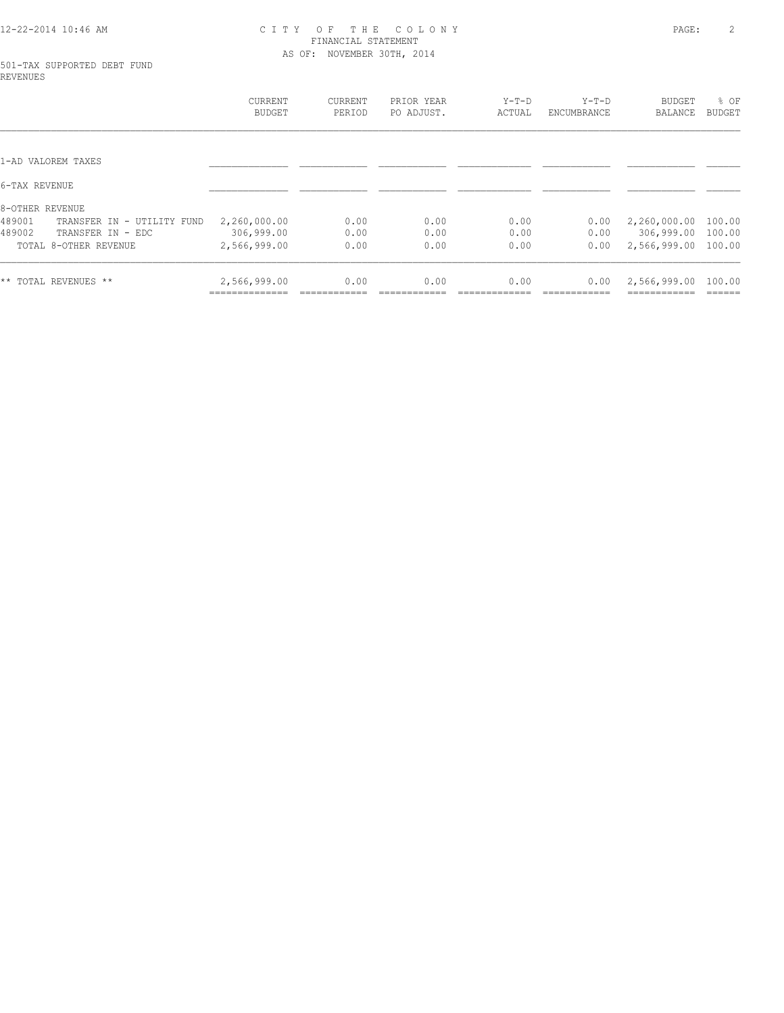#### 501-TAX SUPPORTED DEBT FUND REVENUES

|                                      | <b>CURRENT</b><br><b>BUDGET</b> | CURRENT<br>PERIOD | PRIOR YEAR<br>PO ADJUST. | $Y-T-D$<br>ACTUAL | $Y-T-D$<br>ENCUMBRANCE | <b>BUDGET</b><br>BALANCE | % OF<br><b>BUDGET</b> |
|--------------------------------------|---------------------------------|-------------------|--------------------------|-------------------|------------------------|--------------------------|-----------------------|
|                                      |                                 |                   |                          |                   |                        |                          |                       |
| 1-AD VALOREM TAXES                   |                                 |                   |                          |                   |                        |                          |                       |
| 6-TAX REVENUE                        |                                 |                   |                          |                   |                        |                          |                       |
| 8-OTHER REVENUE                      |                                 |                   |                          |                   |                        |                          |                       |
| 489001<br>TRANSFER IN - UTILITY FUND | 2,260,000.00                    | 0.00              | 0.00                     | 0.00              | 0.00                   | 2,260,000.00             | 100.00                |
| 489002<br>TRANSFER IN - EDC          | 306,999.00                      | 0.00              | 0.00                     | 0.00              | 0.00                   | 306,999.00               | 100.00                |
| TOTAL 8-OTHER REVENUE                | 2,566,999.00                    | 0.00              | 0.00                     | 0.00              | 0.00                   | 2,566,999.00             | 100.00                |
| ** TOTAL REVENUES **                 | 2,566,999.00                    | 0.00              | 0.00                     | 0.00              | 0.00                   | 2,566,999.00             | 100.00                |
|                                      |                                 |                   |                          |                   |                        |                          |                       |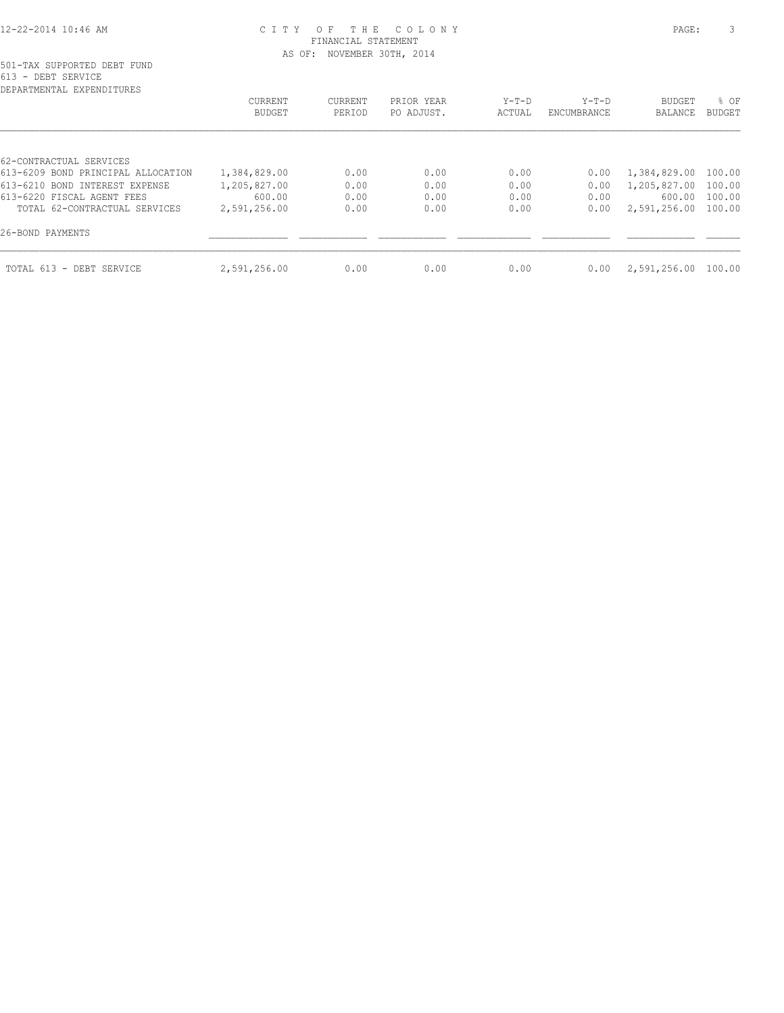# 501-TAX SUPPORTED DEBT FUND 613 - DEBT SERVICE

| DEPARTMENTAL EXPENDITURES                                                                       |                                                   |        |
|-------------------------------------------------------------------------------------------------|---------------------------------------------------|--------|
|                                                                                                 | % OF<br><b>BUDGET</b><br>BALANCE<br><b>BUDGET</b> |        |
| 62-CONTRACTUAL SERVICES<br>613-6209 BOND PRINCIPAL ALLOCATION<br>613-6210 BOND INTEREST EXPENSE | 1,384,829.00 100.00<br>1,205,827.00<br>100.00     |        |
| 613-6220 FISCAL AGENT FEES<br>TOTAL 62-CONTRACTUAL SERVICES<br>26-BOND PAYMENTS                 | 100.00<br>600.00<br>2,591,256.00<br>100.00        |        |
|                                                                                                 | 2,591,256.00                                      |        |
| TOTAL 613 - DEBT SERVICE                                                                        |                                                   | 100.00 |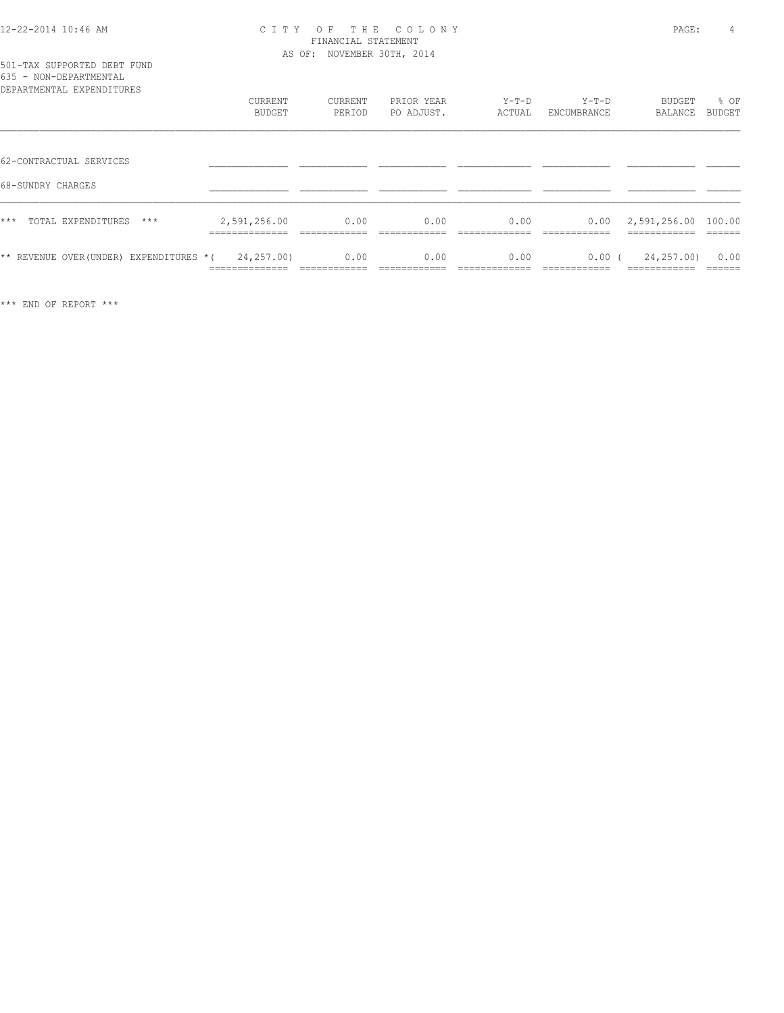|  | 501-TAX SUPPORTED DEBT FUND |  |
|--|-----------------------------|--|
|  | 635 - NON-DEPARTMENTAL      |  |

| DEPARTMENTAL EXPENDITURES              | <b>CURRENT</b><br>BUDGET     | CURRENT<br>PERIOD | PRIOR YEAR<br>PO ADJUST. | $Y-T-D$<br>ACTUAL | $Y-T-D$<br>ENCUMBRANCE | BUDGET<br>BALANCE         | % OF<br>BUDGET  |
|----------------------------------------|------------------------------|-------------------|--------------------------|-------------------|------------------------|---------------------------|-----------------|
|                                        |                              |                   |                          |                   |                        |                           |                 |
| 62-CONTRACTUAL SERVICES                |                              |                   |                          |                   |                        |                           |                 |
| 68-SUNDRY CHARGES                      |                              |                   |                          |                   |                        |                           |                 |
| $***$<br>TOTAL EXPENDITURES<br>$***$   | 2,591,256.00                 | 0.00              | 0.00                     | 0.00              | 0.00                   | 2,591,256.00 100.00       |                 |
| ** REVENUE OVER(UNDER) EXPENDITURES *( | 24,257.00)<br>______________ | 0.00              | 0.00                     | 0.00              | $0.00$ (               | 24,257.00)<br>----------- | 0.00<br>------- |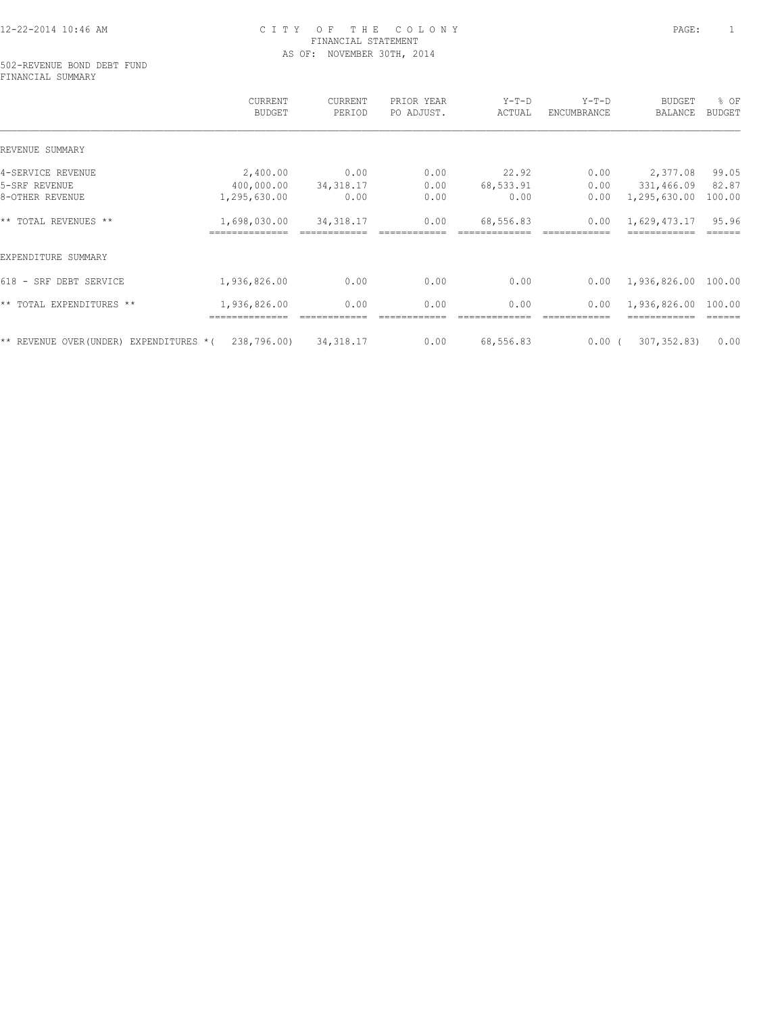502-REVENUE BOND DEBT FUND FINANCIAL SUMMARY

|                                          | CURRENT<br><b>BUDGET</b> | CURRENT<br>PERIOD | PRIOR YEAR<br>PO ADJUST. | Y-T-D<br>ACTUAL | $Y-T-D$<br>ENCUMBRANCE | <b>BUDGET</b><br>BALANCE | % OF<br>BUDGET |
|------------------------------------------|--------------------------|-------------------|--------------------------|-----------------|------------------------|--------------------------|----------------|
| REVENUE SUMMARY                          |                          |                   |                          |                 |                        |                          |                |
| 4-SERVICE REVENUE                        | 2,400.00                 | 0.00              | 0.00                     | 22.92           | 0.00                   | 2,377.08                 | 99.05          |
| 5-SRF REVENUE                            | 400,000.00               | 34, 318.17        | 0.00                     | 68,533.91       | 0.00                   | 331,466.09               | 82.87          |
| 8-OTHER REVENUE                          | 1,295,630.00             | 0.00              | 0.00                     | 0.00            | 0.00                   | 1,295,630.00             | 100.00         |
| ** TOTAL REVENUES **                     | 1,698,030.00             | 34, 318.17        | 0.00                     | 68,556.83       | 0.00                   | 1,629,473.17             | 95.96          |
| EXPENDITURE SUMMARY                      |                          |                   |                          |                 |                        |                          |                |
| 618 - SRF DEBT SERVICE                   | 1,936,826.00             | 0.00              | 0.00                     | 0.00            | 0.00                   | 1,936,826.00             | 100.00         |
| ** TOTAL EXPENDITURES **                 | 1,936,826.00             | 0.00              | 0.00                     | 0.00            | 0.00                   | 1,936,826.00             | 100.00         |
| ** REVENUE OVER (UNDER) EXPENDITURES * ( | 238,796.00)              | 34, 318.17        | 0.00                     | 68,556.83       | 0.00(                  | 307, 352, 83)            | 0.00           |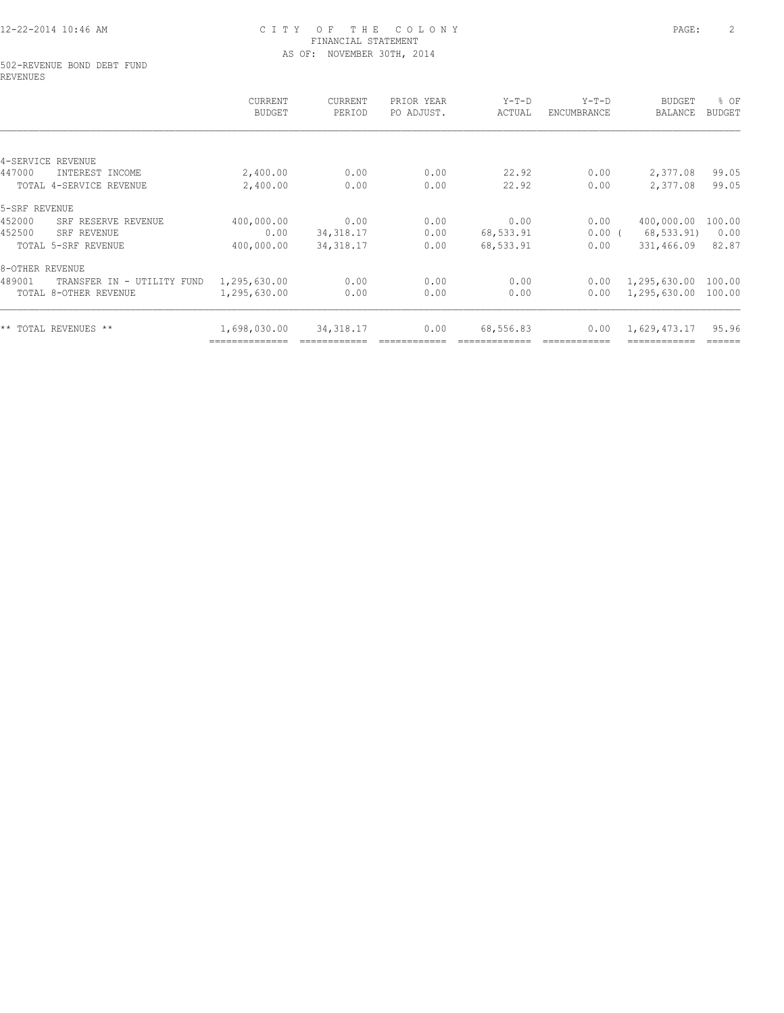#### 502-REVENUE BOND DEBT FUND REVENUES

|                                      | CURRENT<br><b>BUDGET</b> | CURRENT<br>PERIOD | PRIOR YEAR<br>PO ADJUST. | Y-T-D<br>ACTUAL | $Y-T-D$<br>ENCUMBRANCE | BUDGET<br>BALANCE | % OF<br><b>BUDGET</b> |
|--------------------------------------|--------------------------|-------------------|--------------------------|-----------------|------------------------|-------------------|-----------------------|
|                                      |                          |                   |                          |                 |                        |                   |                       |
| 4-SERVICE REVENUE                    |                          |                   |                          |                 |                        |                   |                       |
| 447000<br>INTEREST INCOME            | 2,400.00                 | 0.00              | 0.00                     | 22.92           | 0.00                   | 2,377.08          | 99.05                 |
| TOTAL 4-SERVICE REVENUE              | 2,400.00                 | 0.00              | 0.00                     | 22.92           | 0.00                   | 2,377.08          | 99.05                 |
| 5-SRF REVENUE                        |                          |                   |                          |                 |                        |                   |                       |
| 452000<br>SRF RESERVE REVENUE        | 400,000.00               | 0.00              | 0.00                     | 0.00            | 0.00                   | 400,000.00        | 100.00                |
| 452500<br>SRF REVENUE                | 0.00                     | 34, 318.17        | 0.00                     | 68,533.91       | $0.00$ (               | 68, 533.91)       | 0.00                  |
| TOTAL 5-SRF REVENUE                  | 400,000.00               | 34, 318.17        | 0.00                     | 68,533.91       | 0.00                   | 331,466.09        | 82.87                 |
| 8-OTHER REVENUE                      |                          |                   |                          |                 |                        |                   |                       |
| 489001<br>TRANSFER IN - UTILITY FUND | 1,295,630.00             | 0.00              | 0.00                     | 0.00            | 0.00                   | 1,295,630.00      | 100.00                |
| TOTAL 8-OTHER REVENUE                | 1,295,630.00             | 0.00              | 0.00                     | 0.00            | 0.00                   | 1,295,630.00      | 100.00                |
| ** TOTAL REVENUES **                 | 1,698,030.00             | 34, 318.17        | 0.00                     | 68,556.83       | 0.00                   | 1,629,473.17      | 95.96                 |
|                                      |                          |                   |                          |                 |                        |                   | ======                |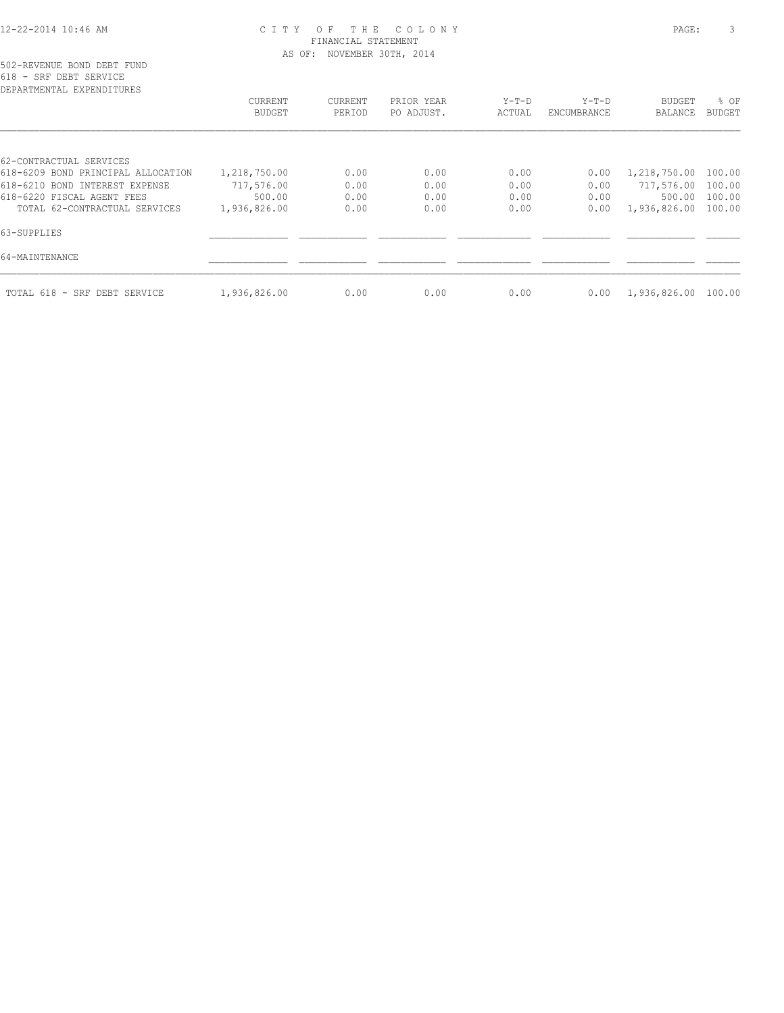| DEPARTMENTAL EXPENDITURES          |                   |                   |                          |                 |                        |                     |                       |
|------------------------------------|-------------------|-------------------|--------------------------|-----------------|------------------------|---------------------|-----------------------|
|                                    | CURRENT<br>BUDGET | CURRENT<br>PERIOD | PRIOR YEAR<br>PO ADJUST. | Y-T-D<br>ACTUAL | $Y-T-D$<br>ENCUMBRANCE | BUDGET<br>BALANCE   | % OF<br><b>BUDGET</b> |
|                                    |                   |                   |                          |                 |                        |                     |                       |
| 62-CONTRACTUAL SERVICES            |                   |                   |                          |                 |                        |                     |                       |
| 618-6209 BOND PRINCIPAL ALLOCATION | 1,218,750.00      | 0.00              | 0.00                     | 0.00            | 0.00                   | 1,218,750.00        | 100.00                |
| 618-6210 BOND INTEREST EXPENSE     | 717,576.00        | 0.00              | 0.00                     | 0.00            | 0.00                   | 717,576.00 100.00   |                       |
| 618-6220 FISCAL AGENT FEES         | 500.00            | 0.00              | 0.00                     | 0.00            | 0.00                   | 500.00              | 100.00                |
| TOTAL 62-CONTRACTUAL SERVICES      | 1,936,826.00      | 0.00              | 0.00                     | 0.00            | 0.00                   | 1,936,826.00 100.00 |                       |
| 63-SUPPLIES                        |                   |                   |                          |                 |                        |                     |                       |
| 64-MAINTENANCE                     |                   |                   |                          |                 |                        |                     |                       |
| TOTAL 618 - SRF DEBT SERVICE       | 1,936,826.00      | 0.00              | 0.00                     | 0.00            | 0.00                   | 1,936,826.00 100.00 |                       |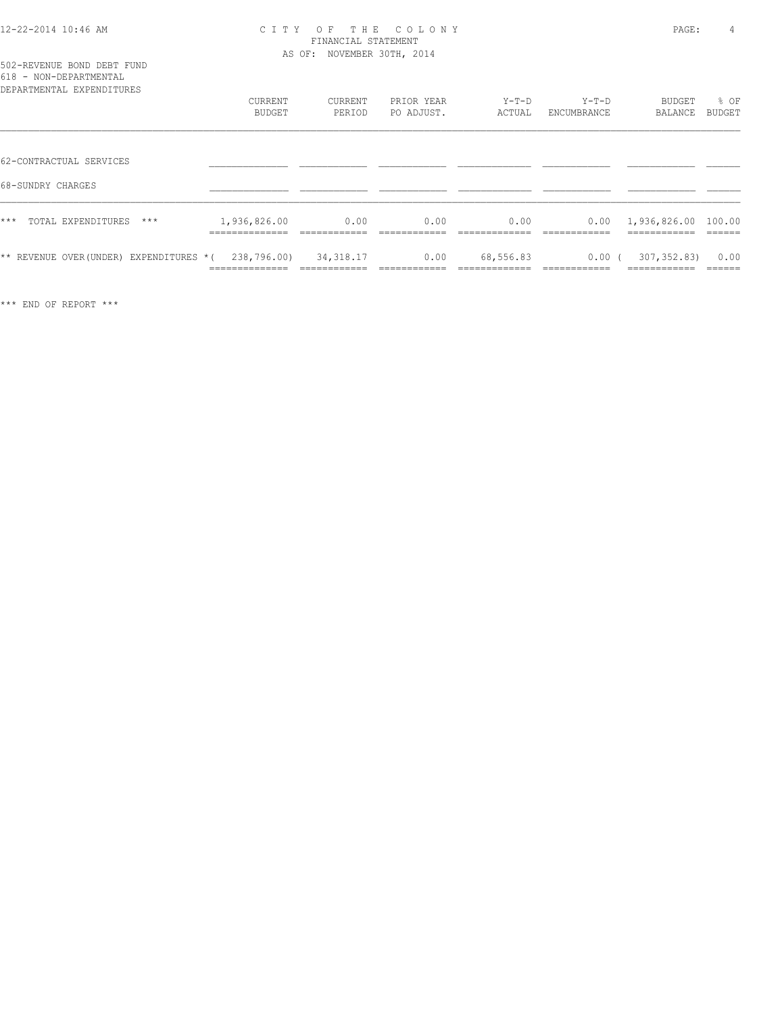| 502-REVENUE BOND DEBT FUND         |  |  |  |  |  |  |
|------------------------------------|--|--|--|--|--|--|
| 618 - NON-DEPARTMENTAL             |  |  |  |  |  |  |
| pops povember the product to the c |  |  |  |  |  |  |

| DEPARTMENTAL EXPENDITURES                    | CURRENT                        | <b>CURRENT</b> | PRIOR YEAR | $Y-T-D$       | $Y-T-D$              | BUDGET                              | % OF          |
|----------------------------------------------|--------------------------------|----------------|------------|---------------|----------------------|-------------------------------------|---------------|
|                                              | BUDGET                         | PERIOD         | PO ADJUST. | ACTUAL        | ENCUMBRANCE          | BALANCE                             | <b>BUDGET</b> |
| 62-CONTRACTUAL SERVICES<br>68-SUNDRY CHARGES |                                |                |            |               |                      |                                     |               |
| ***<br>TOTAL EXPENDITURES<br>$***$           | 1,936,826.00<br>______________ | 0.00           | 0.00       | 0.00          | 0.00<br>------------ | 1,936,826.00 100.00<br>------------ | -------       |
| ** REVENUE OVER (UNDER)                      | 238,796.00)                    | 34, 318.17     | 0.00       | 68,556.83     | 0.00(                | 307, 352, 83)                       | 0.00          |
| EXPENDITURES *(                              | ______________                 | ------------   |            | _____________ | -------------        | -------------                       | -------       |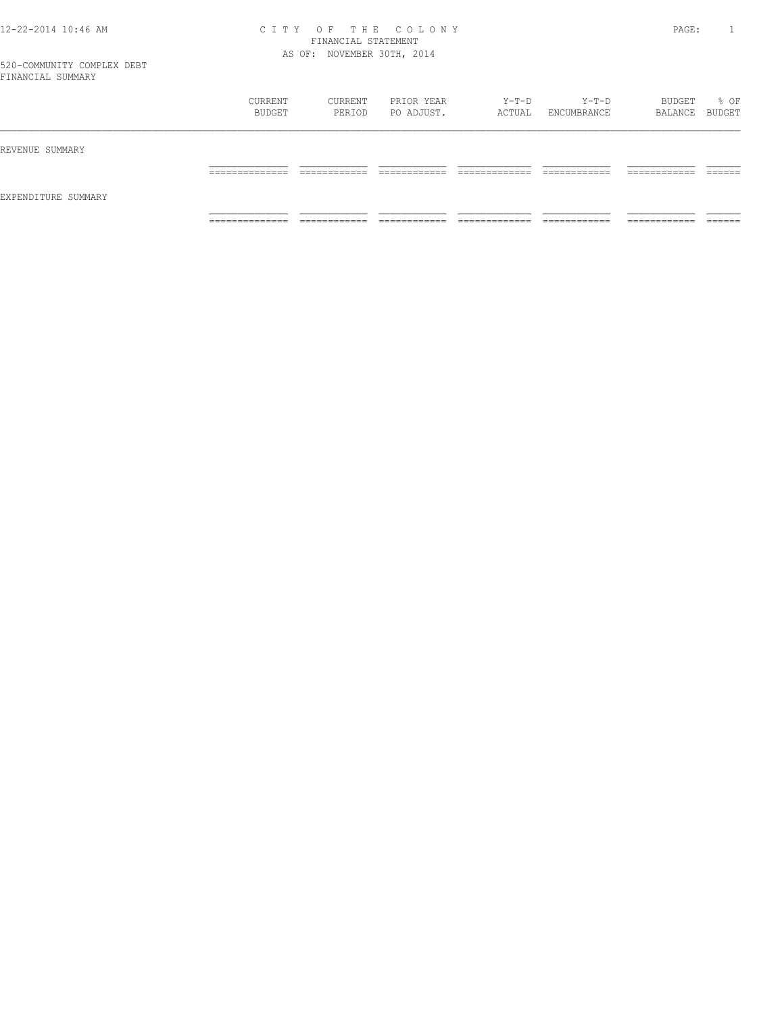|                     | CURRENT<br>BUDGET | CURRENT<br>PERIOD | PRIOR YEAR<br>PO ADJUST. | Y-T-D<br>ACTUAL | Y-T-D<br>ENCUMBRANCE | BUDGET<br>BALANCE BUDGET | % OF |
|---------------------|-------------------|-------------------|--------------------------|-----------------|----------------------|--------------------------|------|
| REVENUE SUMMARY     |                   |                   |                          |                 |                      |                          |      |
| EXPENDITURE SUMMARY |                   |                   |                          |                 |                      |                          |      |
|                     | _______________   | ____________      |                          | _____________   | ____________         | -------------            |      |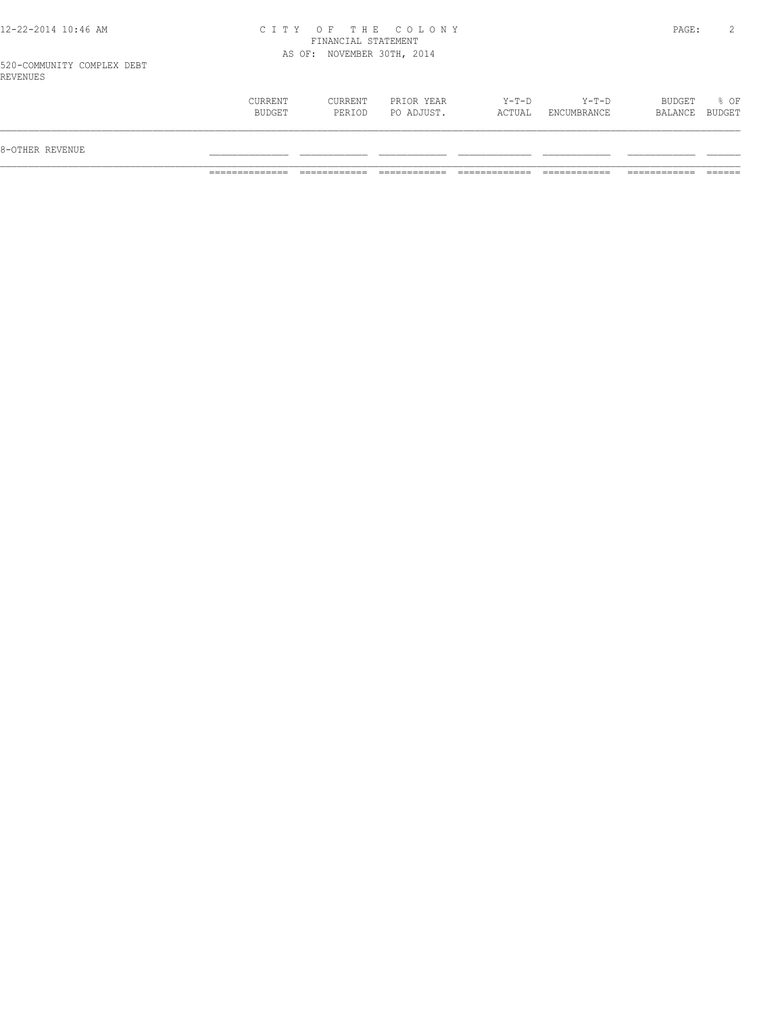#### 520-COMMUNITY COMPLEX DEBT REVENUES

| BUDGET<br>CURRENT<br>Y-T-D<br>$Y-T-D$<br>CURRENT<br>PRIOR YEAR<br>BUDGET<br>PO ADJUST.<br>BUDGET<br>ACTUAL<br>ENCUMBRANCE<br>PERIOD<br>BALANCE |                 |  |  |  |      |
|------------------------------------------------------------------------------------------------------------------------------------------------|-----------------|--|--|--|------|
|                                                                                                                                                | 8-OTHER REVENUE |  |  |  |      |
|                                                                                                                                                |                 |  |  |  | % OF |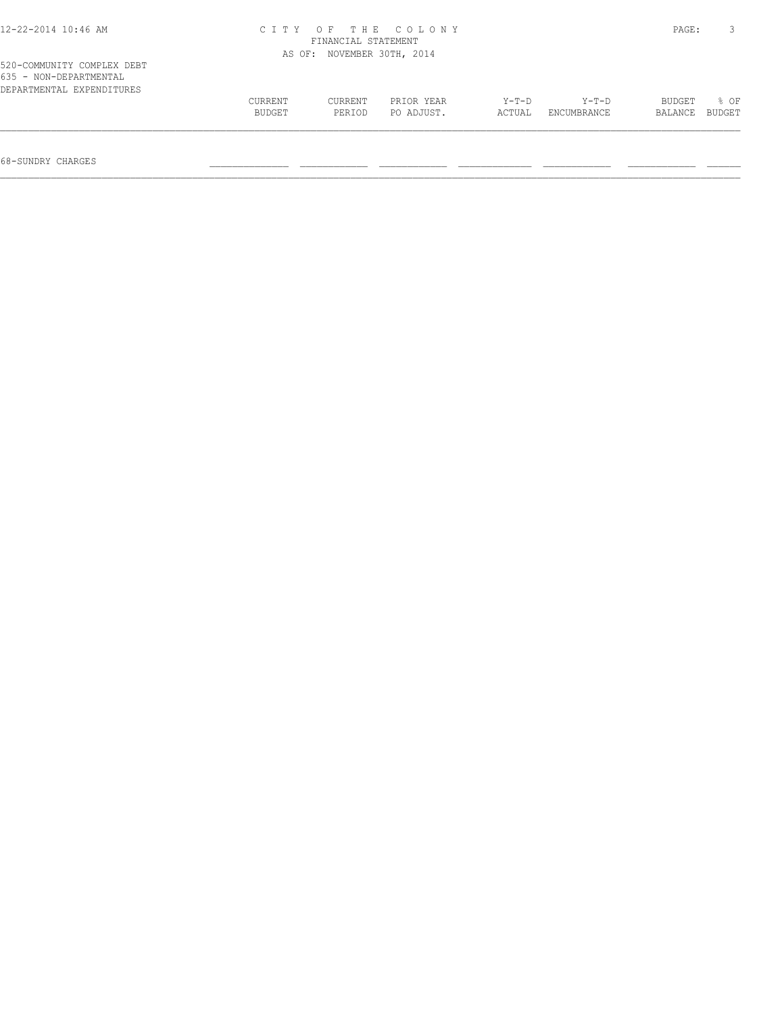| $12 - 22 - 2014$ 10:46 AM                                                         | CITY OF THE COLONY<br>FINANCIAL STATEMENT |         |                     |         |             |         |        |  |
|-----------------------------------------------------------------------------------|-------------------------------------------|---------|---------------------|---------|-------------|---------|--------|--|
|                                                                                   | AS OF:                                    |         | NOVEMBER 30TH, 2014 |         |             |         |        |  |
| 520-COMMUNITY COMPLEX DEBT<br>635 - NON-DEPARTMENTAL<br>DEPARTMENTAL EXPENDITURES |                                           |         |                     |         |             |         |        |  |
|                                                                                   | CURRENT                                   | CURRENT | PRIOR YEAR          | $Y-T-D$ | $Y-T-D$     | BUDGET  | 8 OF   |  |
|                                                                                   | BUDGET                                    | PERIOD  | PO ADJUST.          | ACTUAL  | ENCUMBRANCE | BALANCE | BUDGET |  |
|                                                                                   |                                           |         |                     |         |             |         |        |  |

68-SUNDRY CHARGES \_\_\_\_\_\_\_\_\_\_\_\_\_\_ \_\_\_\_\_\_\_\_\_\_\_\_ \_\_\_\_\_\_\_\_\_\_\_\_ \_\_\_\_\_\_\_\_\_\_\_\_\_ \_\_\_\_\_\_\_\_\_\_\_\_ \_\_\_\_\_\_\_\_\_\_\_\_ \_\_\_\_\_\_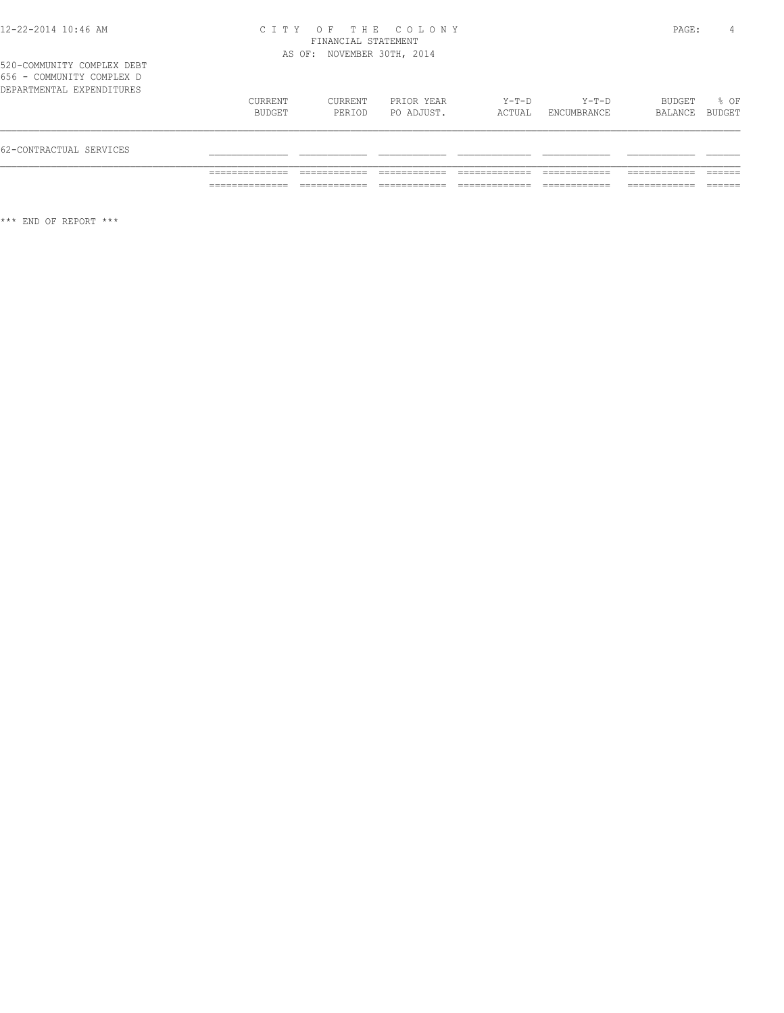520-COMMUNITY COMPLEX DEBT 656 - COMMUNITY COMPLEX D

| 62-CONTRACTUAL SERVICES   |                   |                   |                          |                 |                        |                   |                |
|---------------------------|-------------------|-------------------|--------------------------|-----------------|------------------------|-------------------|----------------|
| DEPARTMENTAL EXPENDITURES | CURRENT<br>BUDGET | CURRENT<br>PERIOD | PRIOR YEAR<br>PO ADJUST. | Y-T-D<br>ACTUAL | $Y-T-D$<br>ENCUMBRANCE | BUDGET<br>BALANCE | 8 OF<br>BUDGET |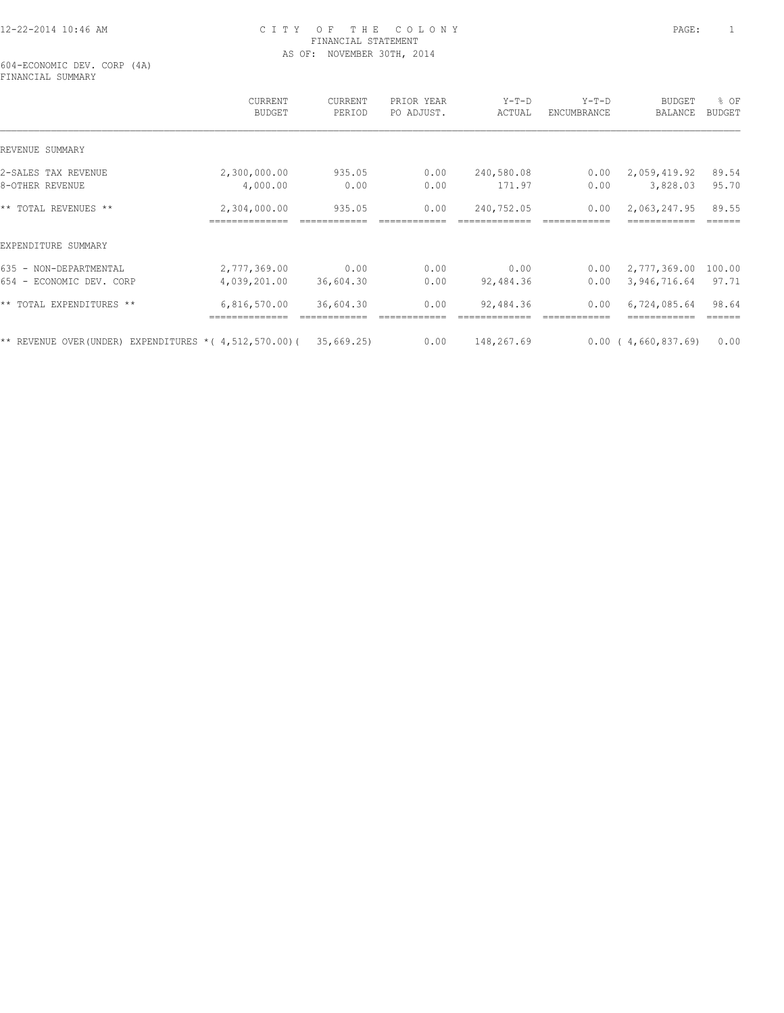604-ECONOMIC DEV. CORP (4A) FINANCIAL SUMMARY

|                                                             | CURRENT<br><b>BUDGET</b> | <b>CURRENT</b><br>PERIOD | PRIOR YEAR<br>PO ADJUST. | $Y-T-D$<br>ACTUAL | $Y-T-D$<br>ENCUMBRANCE | <b>BUDGET</b><br>BALANCE | % OF<br><b>BUDGET</b> |
|-------------------------------------------------------------|--------------------------|--------------------------|--------------------------|-------------------|------------------------|--------------------------|-----------------------|
| REVENUE SUMMARY                                             |                          |                          |                          |                   |                        |                          |                       |
| 2-SALES TAX REVENUE                                         | 2,300,000.00             | 935.05                   | 0.00                     | 240,580.08        | 0.00                   | 2,059,419.92             | 89.54                 |
| 8-OTHER REVENUE                                             | 4,000.00                 | 0.00                     | 0.00                     | 171.97            | 0.00                   | 3,828.03                 | 95.70                 |
| ** TOTAL REVENUES **                                        | 2,304,000.00             | 935.05                   | 0.00                     | 240,752.05        | 0.00                   | 2,063,247.95             | 89.55                 |
| EXPENDITURE SUMMARY                                         |                          |                          |                          |                   |                        |                          |                       |
| 635 - NON-DEPARTMENTAL                                      | 2,777,369.00             | 0.00                     | 0.00                     | 0.00              | 0.00                   | 2,777,369.00             | 100.00                |
| 654 - ECONOMIC DEV. CORP                                    | 4,039,201.00             | 36,604.30                | 0.00                     | 92,484.36         | 0.00                   | 3,946,716.64             | 97.71                 |
| ** TOTAL EXPENDITURES **                                    | 6,816,570.00             | 36,604.30                | 0.00                     | 92,484.36         | 0.00                   | 6,724,085.64             | 98.64                 |
| ** REVENUE OVER (UNDER) EXPENDITURES * ( $4,512,570.00$ ) ( |                          | 35,669.25                | 0.00                     | 148,267.69        |                        | 0.00(4,660,837.69)       | 0.00                  |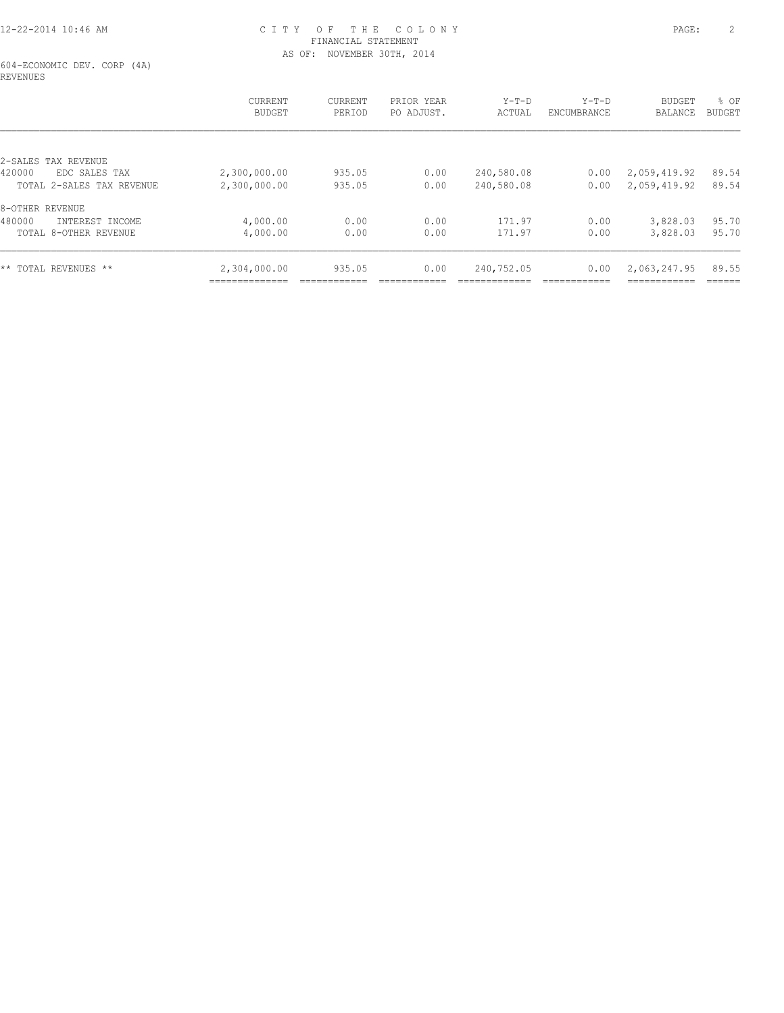604-ECONOMIC DEV. CORP (4A) REVENUES

|                           | <b>CURRENT</b><br><b>BUDGET</b> | <b>CURRENT</b><br>PERIOD | PRIOR YEAR<br>PO ADJUST. | $Y-T-D$<br>ACTUAL | $Y-T-D$<br>ENCUMBRANCE | <b>BUDGET</b><br><b>BALANCE</b> | % OF<br>BUDGET |
|---------------------------|---------------------------------|--------------------------|--------------------------|-------------------|------------------------|---------------------------------|----------------|
| 2-SALES TAX REVENUE       |                                 |                          |                          |                   |                        |                                 |                |
| 420000<br>EDC SALES TAX   | 2,300,000.00                    | 935.05                   | 0.00                     | 240,580.08        | 0.00                   | 2,059,419.92                    | 89.54          |
| TOTAL 2-SALES TAX REVENUE | 2,300,000.00                    | 935.05                   | 0.00                     | 240,580.08        | 0.00                   | 2,059,419.92                    | 89.54          |
| 8-OTHER REVENUE           |                                 |                          |                          |                   |                        |                                 |                |
| 480000<br>INTEREST INCOME | 4,000.00                        | 0.00                     | 0.00                     | 171.97            | 0.00                   | 3,828.03                        | 95.70          |
| TOTAL 8-OTHER REVENUE     | 4,000.00                        | 0.00                     | 0.00                     | 171.97            | 0.00                   | 3,828.03                        | 95.70          |
| ** TOTAL REVENUES **      | 2,304,000.00                    | 935.05                   | 0.00                     | 240,752.05        | 0.00                   | 2,063,247.95                    | 89.55          |
|                           | _____________                   |                          |                          |                   |                        | ------------                    | ------         |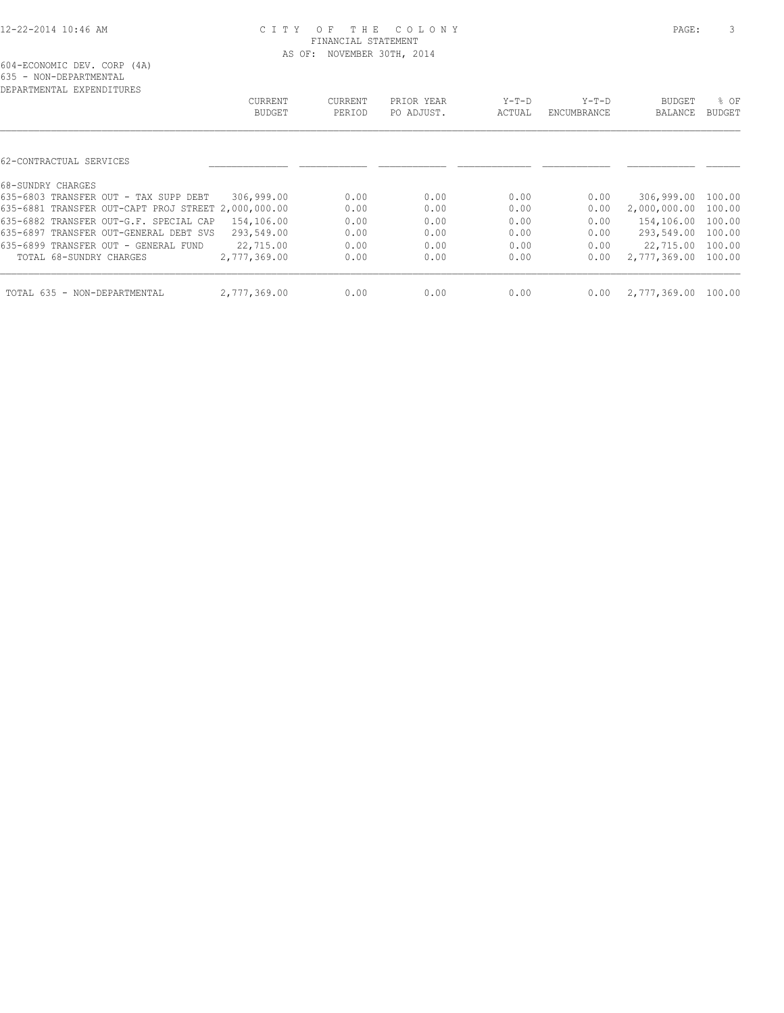| DEPARTMENTAL EXPENDITURES                           |               |         |            |        |             |                     |               |
|-----------------------------------------------------|---------------|---------|------------|--------|-------------|---------------------|---------------|
|                                                     | CURRENT       | CURRENT | PRIOR YEAR | Y-T-D  | $Y-T-D$     | BUDGET              | % OF          |
|                                                     | <b>BUDGET</b> | PERIOD  | PO ADJUST. | ACTUAL | ENCUMBRANCE | BALANCE             | <b>BUDGET</b> |
|                                                     |               |         |            |        |             |                     |               |
| 62-CONTRACTUAL SERVICES                             |               |         |            |        |             |                     |               |
| 68-SUNDRY CHARGES                                   |               |         |            |        |             |                     |               |
| 635-6803 TRANSFER OUT - TAX SUPP DEBT               | 306,999.00    | 0.00    | 0.00       | 0.00   | 0.00        | 306,999.00 100.00   |               |
| 635-6881 TRANSFER OUT-CAPT PROJ STREET 2,000,000.00 |               | 0.00    | 0.00       | 0.00   | 0.00        | 2,000,000.00        | 100.00        |
| 635-6882 TRANSFER OUT-G.F. SPECIAL CAP              | 154,106.00    | 0.00    | 0.00       | 0.00   | 0.00        | 154,106.00 100.00   |               |
| 635-6897 TRANSFER OUT-GENERAL DEBT SVS              | 293,549.00    | 0.00    | 0.00       | 0.00   | 0.00        | 293,549.00          | 100.00        |
| 635-6899 TRANSFER OUT - GENERAL FUND                | 22,715.00     | 0.00    | 0.00       | 0.00   | 0.00        | 22,715.00 100.00    |               |
| TOTAL 68-SUNDRY CHARGES                             | 2,777,369.00  | 0.00    | 0.00       | 0.00   | 0.00        | 2,777,369.00 100.00 |               |
| TOTAL 635 - NON-DEPARTMENTAL                        | 2,777,369.00  | 0.00    | 0.00       | 0.00   | 0.00        | 2,777,369.00 100.00 |               |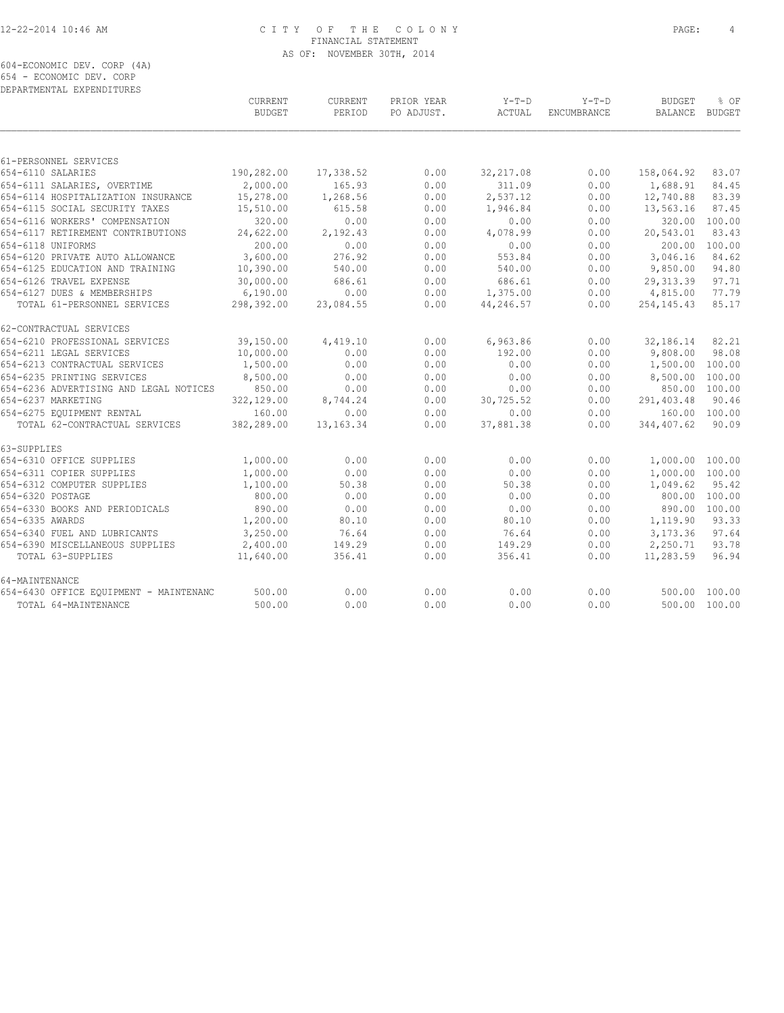604-ECONOMIC DEV. CORP (4A) 654 - ECONOMIC DEV. CORP

| DEPARTMENTAL EXPENDITURES              |                                 |                   |                          |                   |                        |                                 |               |
|----------------------------------------|---------------------------------|-------------------|--------------------------|-------------------|------------------------|---------------------------------|---------------|
|                                        | <b>CURRENT</b><br><b>BUDGET</b> | CURRENT<br>PERIOD | PRIOR YEAR<br>PO ADJUST. | $Y-T-D$<br>ACTUAL | $Y-T-D$<br>ENCUMBRANCE | <b>BUDGET</b><br>BALANCE BUDGET | % OF          |
|                                        |                                 |                   |                          |                   |                        |                                 |               |
| 61-PERSONNEL SERVICES                  |                                 |                   |                          |                   |                        |                                 |               |
| 654-6110 SALARIES                      | 190,282.00                      | 17,338.52         | 0.00                     | 32, 217.08        | 0.00                   | 158,064.92                      | 83.07         |
| 654-6111 SALARIES, OVERTIME            | 2,000.00                        | 165.93            | 0.00                     | 311.09            | 0.00                   | 1,688.91                        | 84.45         |
| 654-6114 HOSPITALIZATION INSURANCE     | 15,278.00                       | 1,268.56          | 0.00                     | 2,537.12          | 0.00                   | 12,740.88                       | 83.39         |
| 654-6115 SOCIAL SECURITY TAXES         | 15,510.00                       | 615.58            | 0.00                     | 1,946.84          | 0.00                   | 13,563.16                       | 87.45         |
| 654-6116 WORKERS' COMPENSATION         | 320.00                          | 0.00              | 0.00                     | 0.00              | 0.00                   | 320.00                          | 100.00        |
| 654-6117 RETIREMENT CONTRIBUTIONS      | 24,622.00                       | 2,192.43          | 0.00                     | 4,078.99          | 0.00                   | 20,543.01                       | 83.43         |
| 654-6118 UNIFORMS                      | 200.00                          | 0.00              | 0.00                     | 0.00              | 0.00                   | 200.00                          | 100.00        |
| 654-6120 PRIVATE AUTO ALLOWANCE        | 3,600.00                        | 276.92            | 0.00                     | 553.84            | 0.00                   | 3,046.16                        | 84.62         |
| 654-6125 EDUCATION AND TRAINING        | 10,390.00                       | 540.00            | 0.00                     | 540.00            | 0.00                   | 9,850.00                        | 94.80         |
| 654-6126 TRAVEL EXPENSE                | 30,000.00                       | 686.61            | 0.00                     | 686.61            | 0.00                   | 29, 313.39                      | 97.71         |
| 654-6127 DUES & MEMBERSHIPS            | 6,190.00                        | 0.00              | 0.00                     | 1,375.00          | 0.00                   | 4,815.00                        | 77.79         |
| TOTAL 61-PERSONNEL SERVICES            | 298,392.00                      | 23,084.55         | 0.00                     | 44,246.57         | 0.00                   | 254, 145. 43                    | 85.17         |
| 62-CONTRACTUAL SERVICES                |                                 |                   |                          |                   |                        |                                 |               |
| 654-6210 PROFESSIONAL SERVICES         | 39,150.00                       | 4,419.10          | 0.00                     | 6,963.86          | 0.00                   | 32,186.14                       | 82.21         |
| 654-6211 LEGAL SERVICES                | 10,000.00                       | 0.00              | 0.00                     | 192.00            | 0.00                   | 9,808.00                        | 98.08         |
| 654-6213 CONTRACTUAL SERVICES          | 1,500.00                        | 0.00              | 0.00                     | 0.00              | 0.00                   | 1,500.00                        | 100.00        |
| 654-6235 PRINTING SERVICES             | 8,500.00                        | 0.00              | 0.00                     | 0.00              | 0.00                   | 8,500.00 100.00                 |               |
| 654-6236 ADVERTISING AND LEGAL NOTICES | 850.00                          | 0.00              | 0.00                     | 0.00              | 0.00                   |                                 | 850.00 100.00 |
| 654-6237 MARKETING                     | 322,129.00                      | 8,744.24          | 0.00                     | 30,725.52         | 0.00                   | 291,403.48                      | 90.46         |
| 654-6275 EOUIPMENT RENTAL              | 160.00                          | 0.00              | 0.00                     | 0.00              | 0.00                   | 160.00 100.00                   |               |
| TOTAL 62-CONTRACTUAL SERVICES          | 382,289.00                      | 13, 163. 34       | 0.00                     | 37,881.38         | 0.00                   | 344,407.62                      | 90.09         |
| 63-SUPPLIES                            |                                 |                   |                          |                   |                        |                                 |               |
| 654-6310 OFFICE SUPPLIES               | 1,000.00                        | 0.00              | 0.00                     | 0.00              | 0.00                   | 1,000.00 100.00                 |               |
| 654-6311 COPIER SUPPLIES               | 1,000.00                        | 0.00              | 0.00                     | 0.00              | 0.00                   | 1,000.00 100.00                 |               |
| 654-6312 COMPUTER SUPPLIES             | 1,100.00                        | 50.38             | 0.00                     | 50.38             | 0.00                   | 1,049.62                        | 95.42         |
| 654-6320 POSTAGE                       | 800.00                          | 0.00              | 0.00                     | 0.00              | 0.00                   |                                 | 800.00 100.00 |
| 654-6330 BOOKS AND PERIODICALS         | 890.00                          | 0.00              | 0.00                     | 0.00              | 0.00                   |                                 | 890.00 100.00 |
| 654-6335 AWARDS                        | 1,200.00                        | 80.10             | 0.00                     | 80.10             | 0.00                   | 1,119.90                        | 93.33         |
| 654-6340 FUEL AND LUBRICANTS           | 3,250.00                        | 76.64             | 0.00                     | 76.64             | 0.00                   | 3,173.36                        | 97.64         |
| 654-6390 MISCELLANEOUS SUPPLIES        | 2,400.00                        | 149.29            | 0.00                     | 149.29            | 0.00                   | 2,250.71                        | 93.78         |
| TOTAL 63-SUPPLIES                      | 11,640.00                       | 356.41            | 0.00                     | 356.41            | 0.00                   | 11,283.59                       | 96.94         |
| 64-MAINTENANCE                         |                                 |                   |                          |                   |                        |                                 |               |
| 654-6430 OFFICE EQUIPMENT - MAINTENANC | 500.00                          | 0.00              | 0.00                     | 0.00              | 0.00                   |                                 | 500.00 100.00 |
| TOTAL 64-MAINTENANCE                   | 500.00                          | 0.00              | 0.00                     | 0.00              | 0.00                   |                                 | 500.00 100.00 |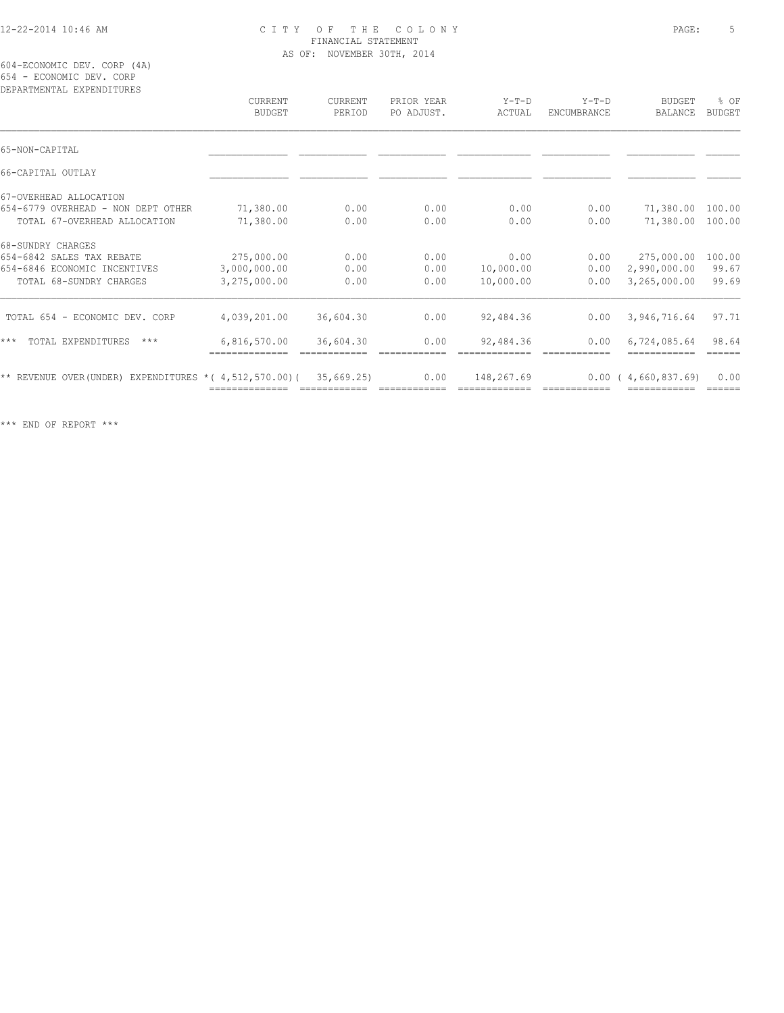604-ECONOMIC DEV. CORP (4A) 654 - ECONOMIC DEV. CORP

| DEPARTMENTAL EXPENDITURES                                   | CURRENT<br><b>BUDGET</b> | CURRENT<br>PERIOD | PRIOR YEAR<br>PO ADJUST. | $Y-T-D$<br>ACTUAL | $Y-T-D$<br>ENCUMBRANCE | <b>BUDGET</b><br>BALANCE | % OF<br><b>BUDGET</b> |
|-------------------------------------------------------------|--------------------------|-------------------|--------------------------|-------------------|------------------------|--------------------------|-----------------------|
| 65-NON-CAPITAL                                              |                          |                   |                          |                   |                        |                          |                       |
|                                                             |                          |                   |                          |                   |                        |                          |                       |
| 66-CAPITAL OUTLAY                                           |                          |                   |                          |                   |                        |                          |                       |
| 67-OVERHEAD ALLOCATION                                      |                          |                   |                          |                   |                        |                          |                       |
| 654-6779 OVERHEAD - NON DEPT OTHER                          | 71,380.00                | 0.00              | 0.00                     | 0.00              | 0.00                   | 71,380.00                | 100.00                |
| TOTAL 67-OVERHEAD ALLOCATION                                | 71,380.00                | 0.00              | 0.00                     | 0.00              | 0.00                   | 71,380.00                | 100.00                |
| 68-SUNDRY CHARGES                                           |                          |                   |                          |                   |                        |                          |                       |
| 654-6842 SALES TAX REBATE                                   | 275,000.00               | 0.00              | 0.00                     | 0.00              | 0.00                   | 275,000.00               | 100.00                |
| 654-6846 ECONOMIC INCENTIVES                                | 3,000,000.00             | 0.00              | 0.00                     | 10,000.00         | 0.00                   | 2,990,000.00             | 99.67                 |
| TOTAL 68-SUNDRY CHARGES                                     | 3,275,000.00             | 0.00              | 0.00                     | 10,000.00         | 0.00                   | 3,265,000.00             | 99.69                 |
| TOTAL 654 - ECONOMIC DEV. CORP                              | 4,039,201.00             | 36,604.30         | 0.00                     | 92,484.36         | 0.00                   | 3,946,716.64             | 97.71                 |
| $***$<br>TOTAL EXPENDITURES<br>$***$                        | 6,816,570.00             | 36,604.30         | 0.00                     | 92,484.36         | 0.00                   | 6,724,085.64             | 98.64                 |
| ** REVENUE OVER (UNDER) EXPENDITURES * ( $4,512,570.00$ ) ( |                          | 35,669.25         | 0.00                     | 148,267.69        | 0.00                   | 4,660,837.69)            | 0.00                  |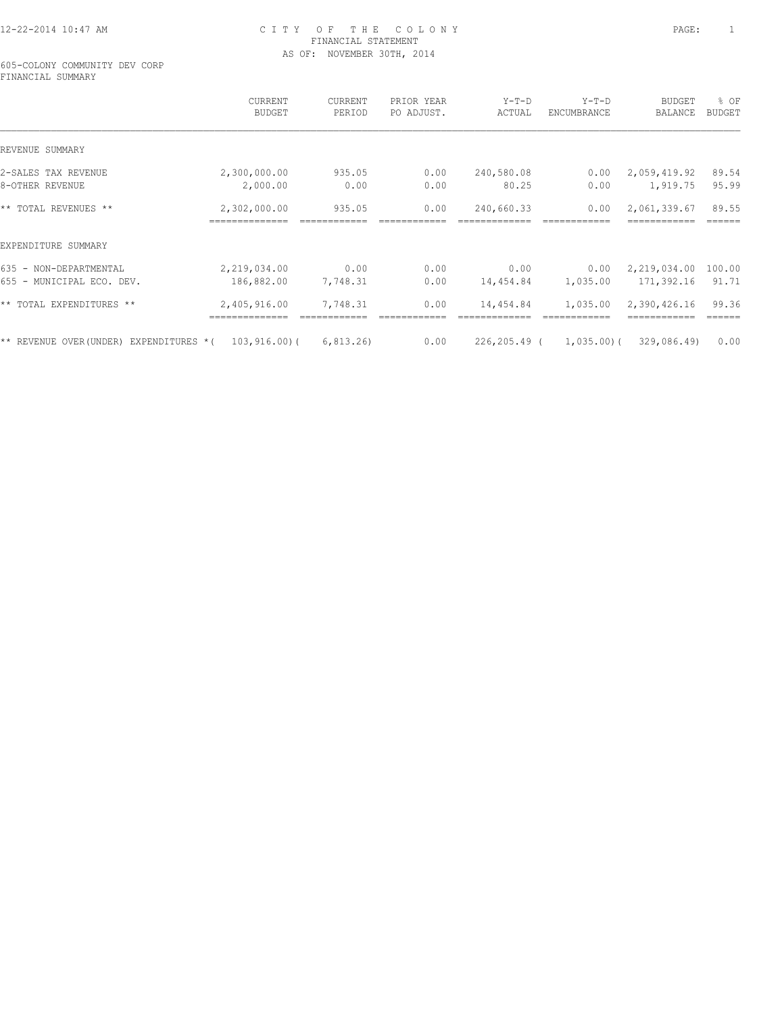605-COLONY COMMUNITY DEV CORP FINANCIAL SUMMARY

|                                        | CURRENT<br><b>BUDGET</b> | CURRENT<br>PERIOD | PRIOR YEAR<br>PO ADJUST. | $Y-T-D$<br>ACTUAL | $Y-T-D$<br>ENCUMBRANCE | <b>BUDGET</b><br>BALANCE | % OF<br><b>BUDGET</b> |
|----------------------------------------|--------------------------|-------------------|--------------------------|-------------------|------------------------|--------------------------|-----------------------|
| REVENUE SUMMARY                        |                          |                   |                          |                   |                        |                          |                       |
| 2-SALES TAX REVENUE                    | 2,300,000.00             | 935.05            | 0.00                     | 240,580.08        | 0.00                   | 2,059,419.92             | 89.54                 |
| 8-OTHER REVENUE                        | 2,000.00                 | 0.00              | 0.00                     | 80.25             | 0.00                   | 1,919.75                 | 95.99                 |
| ** TOTAL REVENUES **                   | 2,302,000.00             | 935.05            | 0.00                     | 240,660.33        | 0.00                   | 2,061,339.67             | 89.55                 |
| EXPENDITURE SUMMARY                    |                          |                   |                          |                   |                        |                          |                       |
| 635 - NON-DEPARTMENTAL                 | 2,219,034.00             | 0.00              | 0.00                     | 0.00              | 0.00                   | 2,219,034.00             | 100.00                |
| 655 - MUNICIPAL ECO. DEV.              | 186,882.00               | 7,748.31          | 0.00                     | 14,454.84         | 1,035.00               | 171,392.16               | 91.71                 |
| ** TOTAL EXPENDITURES **               | 2,405,916.00             | 7,748.31          | 0.00                     | 14,454.84         | 1,035.00               | 2,390,426.16             | 99.36                 |
| ** REVENUE OVER(UNDER) EXPENDITURES *( | 103,916.00)(             | 6, 813, 26        | 0.00                     | 226,205.49 (      | 1,035,00(              | 329,086.49)              | 0.00                  |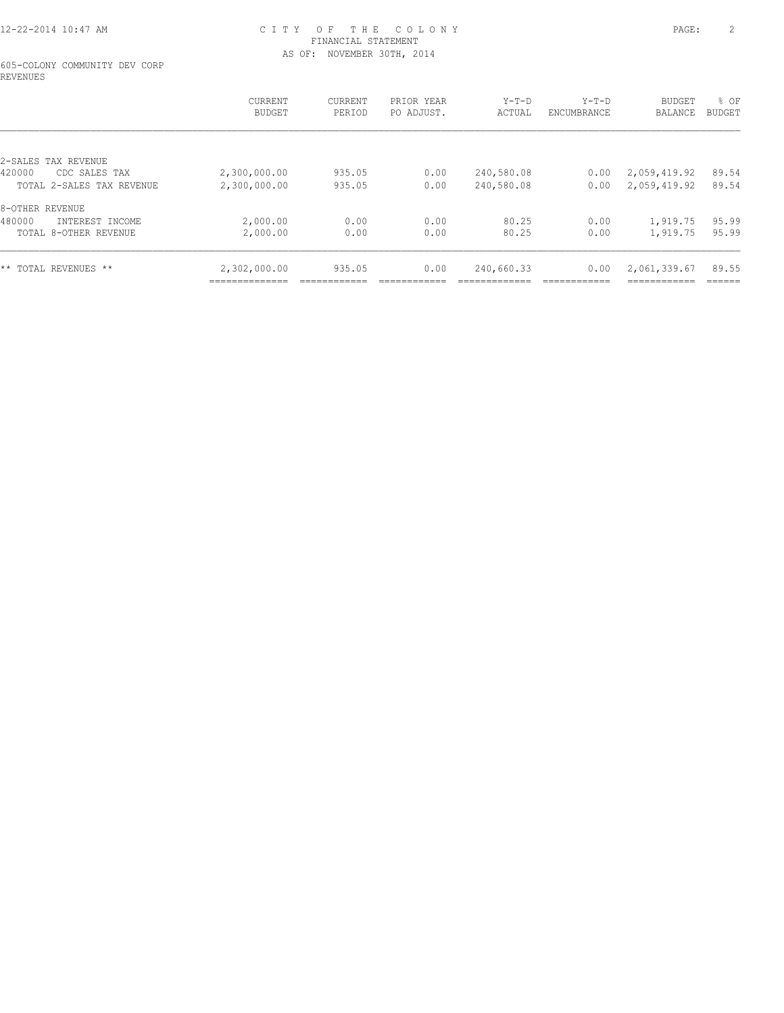#### 605-COLONY COMMUNITY DEV CORP REVENUES

|                           | CURRENT<br><b>BUDGET</b> | CURRENT<br>PERIOD | PRIOR YEAR<br>PO ADJUST. | $Y-T-D$<br>ACTUAL | $Y-T-D$<br>ENCUMBRANCE | <b>BUDGET</b><br><b>BALANCE</b> | % OF<br><b>BUDGET</b> |
|---------------------------|--------------------------|-------------------|--------------------------|-------------------|------------------------|---------------------------------|-----------------------|
|                           |                          |                   |                          |                   |                        |                                 |                       |
| 2-SALES TAX REVENUE       |                          |                   |                          |                   |                        |                                 |                       |
| 420000<br>CDC SALES TAX   | 2,300,000.00             | 935.05            | 0.00                     | 240,580.08        | 0.00                   | 2,059,419.92                    | 89.54                 |
| TOTAL 2-SALES TAX REVENUE | 2,300,000.00             | 935.05            | 0.00                     | 240,580.08        | 0.00                   | 2,059,419.92                    | 89.54                 |
| 8-OTHER REVENUE           |                          |                   |                          |                   |                        |                                 |                       |
| 480000<br>INTEREST INCOME | 2,000.00                 | 0.00              | 0.00                     | 80.25             | 0.00                   | 1,919.75                        | 95.99                 |
| TOTAL 8-OTHER REVENUE     | 2,000.00                 | 0.00              | 0.00                     | 80.25             | 0.00                   | 1,919.75                        | 95.99                 |
|                           |                          |                   |                          |                   |                        |                                 |                       |
| ** TOTAL REVENUES **      | 2,302,000.00             | 935.05            | 0.00                     | 240,660.33        | 0.00                   | 2,061,339.67<br>-----------     | 89.55<br>------       |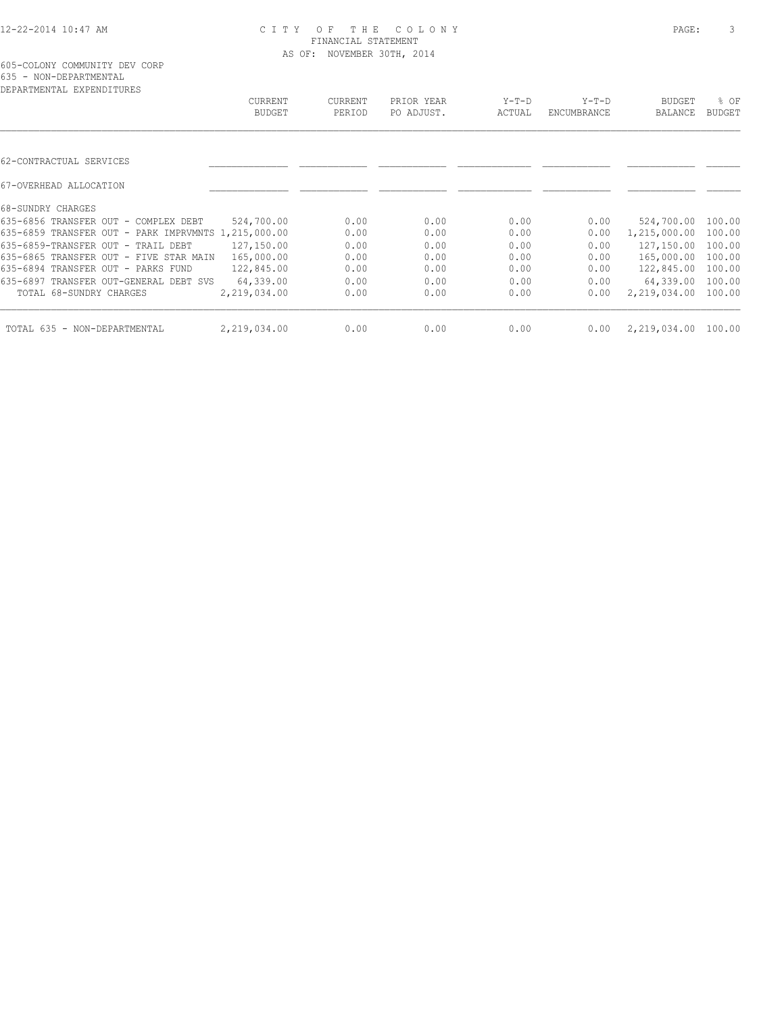| DEPARTMENTAL EXPENDITURES                           |               |                |            |         |             |               |               |
|-----------------------------------------------------|---------------|----------------|------------|---------|-------------|---------------|---------------|
|                                                     | CURRENT       | <b>CURRENT</b> | PRIOR YEAR | $Y-T-D$ | $Y-T-D$     | <b>BUDGET</b> | % OF          |
|                                                     | <b>BUDGET</b> | PERIOD         | PO ADJUST. | ACTUAL  | ENCUMBRANCE | BALANCE       | <b>BUDGET</b> |
|                                                     |               |                |            |         |             |               |               |
| 62-CONTRACTUAL SERVICES                             |               |                |            |         |             |               |               |
| 67-OVERHEAD ALLOCATION                              |               |                |            |         |             |               |               |
| 68-SUNDRY CHARGES                                   |               |                |            |         |             |               |               |
| 635-6856 TRANSFER OUT - COMPLEX DEBT                | 524,700.00    | 0.00           | 0.00       | 0.00    | 0.00        | 524,700.00    | 100.00        |
| 635-6859 TRANSFER OUT - PARK IMPRVMNTS 1,215,000.00 |               | 0.00           | 0.00       | 0.00    | 0.00        | 1,215,000.00  | 100.00        |
| 635-6859-TRANSFER OUT - TRAIL DEBT                  | 127,150.00    | 0.00           | 0.00       | 0.00    | 0.00        | 127,150.00    | 100.00        |
| 635-6865 TRANSFER OUT - FIVE STAR MAIN              | 165,000.00    | 0.00           | 0.00       | 0.00    | 0.00        | 165,000.00    | 100.00        |
| 635-6894 TRANSFER OUT - PARKS FUND                  | 122,845.00    | 0.00           | 0.00       | 0.00    | 0.00        | 122,845.00    | 100.00        |
| 635-6897 TRANSFER OUT-GENERAL DEBT SVS              | 64,339.00     | 0.00           | 0.00       | 0.00    | 0.00        | 64,339.00     | 100.00        |
| TOTAL 68-SUNDRY CHARGES                             | 2,219,034.00  | 0.00           | 0.00       | 0.00    | 0.00        | 2,219,034.00  | 100.00        |
| TOTAL 635 - NON-DEPARTMENTAL                        | 2,219,034.00  | 0.00           | 0.00       | 0.00    | 0.00        | 2,219,034.00  | 100.00        |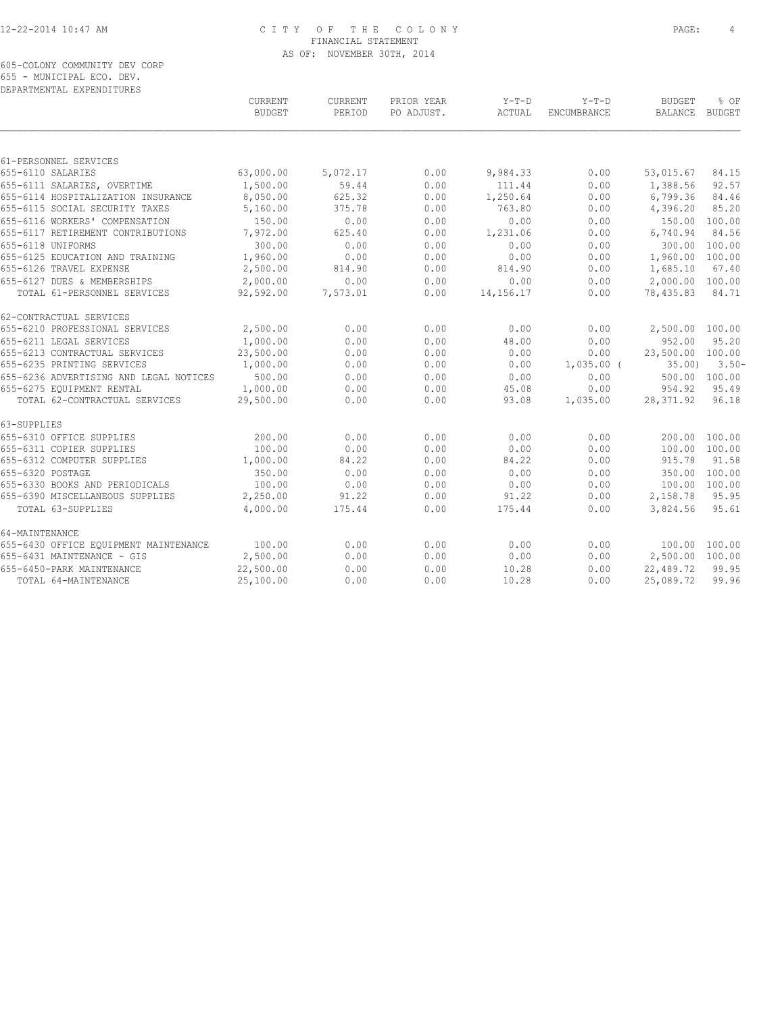605-COLONY COMMUNITY DEV CORP 655 - MUNICIPAL ECO. DEV. DEPARTMENTAL EXPENDITURES

|                                        | <b>CURRENT</b><br><b>BUDGET</b> | <b>CURRENT</b><br>PERIOD | PRIOR YEAR<br>PO ADJUST. | $Y-T-D$<br>ACTUAL | $Y-T-D$<br>ENCUMBRANCE | <b>BUDGET</b><br>BALANCE | % OF<br><b>BUDGET</b> |
|----------------------------------------|---------------------------------|--------------------------|--------------------------|-------------------|------------------------|--------------------------|-----------------------|
|                                        |                                 |                          |                          |                   |                        |                          |                       |
| 61-PERSONNEL SERVICES                  |                                 |                          |                          |                   |                        |                          |                       |
| 655-6110 SALARIES                      | 63,000.00                       | 5,072.17                 | 0.00                     | 9,984.33          | 0.00                   | 53,015.67                | 84.15                 |
| 655-6111 SALARIES, OVERTIME            | 1,500.00                        | 59.44                    | 0.00                     | 111.44            | 0.00                   | 1,388.56                 | 92.57                 |
| 655-6114 HOSPITALIZATION INSURANCE     | 8,050.00                        | 625.32                   | 0.00                     | 1,250.64          | 0.00                   | 6,799.36                 | 84.46                 |
| 655-6115 SOCIAL SECURITY TAXES         | 5,160.00                        | 375.78                   | 0.00                     | 763.80            | 0.00                   | 4,396.20                 | 85.20                 |
| 655-6116 WORKERS' COMPENSATION         | 150.00                          | 0.00                     | 0.00                     | 0.00              | 0.00                   | 150.00                   | 100.00                |
| 655-6117 RETIREMENT CONTRIBUTIONS      | 7,972.00                        | 625.40                   | 0.00                     | 1,231.06          | 0.00                   | 6,740.94                 | 84.56                 |
| 655-6118 UNIFORMS                      | 300.00                          | 0.00                     | 0.00                     | 0.00              | 0.00                   | 300.00                   | 100.00                |
| 655-6125 EDUCATION AND TRAINING        | 1,960.00                        | 0.00                     | 0.00                     | 0.00              | 0.00                   | 1,960.00                 | 100.00                |
| 655-6126 TRAVEL EXPENSE                | 2,500.00                        | 814.90                   | 0.00                     | 814.90            | 0.00                   | 1,685.10                 | 67.40                 |
| 655-6127 DUES & MEMBERSHIPS            | 2,000.00                        | 0.00                     | 0.00                     | 0.00              | 0.00                   | 2,000.00 100.00          |                       |
| TOTAL 61-PERSONNEL SERVICES            | 92,592.00                       | 7,573.01                 | 0.00                     | 14,156.17         | 0.00                   | 78,435.83                | 84.71                 |
| 62-CONTRACTUAL SERVICES                |                                 |                          |                          |                   |                        |                          |                       |
| 655-6210 PROFESSIONAL SERVICES         | 2,500.00                        | 0.00                     | 0.00                     | 0.00              | 0.00                   | 2,500.00 100.00          |                       |
| 655-6211 LEGAL SERVICES                | 1,000.00                        | 0.00                     | 0.00                     | 48.00             | 0.00                   | 952.00                   | 95.20                 |
| 655-6213 CONTRACTUAL SERVICES          | 23,500.00                       | 0.00                     | 0.00                     | 0.00              | 0.00                   | 23,500.00 100.00         |                       |
| 655-6235 PRINTING SERVICES             | 1,000.00                        | 0.00                     | 0.00                     | 0.00              | $1,035.00$ (           | 35.00                    | $3.50 -$              |
| 655-6236 ADVERTISING AND LEGAL NOTICES | 500.00                          | 0.00                     | 0.00                     | 0.00              | 0.00                   |                          | 500.00 100.00         |
| 655-6275 EOUIPMENT RENTAL              | 1,000.00                        | 0.00                     | 0.00                     | 45.08             | 0.00                   | 954.92                   | 95.49                 |
| TOTAL 62-CONTRACTUAL SERVICES          | 29,500.00                       | 0.00                     | 0.00                     | 93.08             | 1,035.00               | 28,371.92                | 96.18                 |
| 63-SUPPLIES                            |                                 |                          |                          |                   |                        |                          |                       |
| 655-6310 OFFICE SUPPLIES               | 200.00                          | 0.00                     | 0.00                     | 0.00              | 0.00                   |                          | 200.00 100.00         |
| 655-6311 COPIER SUPPLIES               | 100.00                          | 0.00                     | 0.00                     | 0.00              | 0.00                   | 100.00                   | 100.00                |
| 655-6312 COMPUTER SUPPLIES             | 1,000.00                        | 84.22                    | 0.00                     | 84.22             | 0.00                   | 915.78                   | 91.58                 |
| 655-6320 POSTAGE                       | 350.00                          | 0.00                     | 0.00                     | 0.00              | 0.00                   | 350.00                   | 100.00                |
| 655-6330 BOOKS AND PERIODICALS         | 100.00                          | 0.00                     | 0.00                     | 0.00              | 0.00                   | 100.00 100.00            |                       |
| 655-6390 MISCELLANEOUS SUPPLIES        | 2,250.00                        | 91.22                    | 0.00                     | 91.22             | 0.00                   | 2,158.78                 | 95.95                 |
| TOTAL 63-SUPPLIES                      | 4,000.00                        | 175.44                   | 0.00                     | 175.44            | 0.00                   | 3,824.56                 | 95.61                 |
| 64-MAINTENANCE                         |                                 |                          |                          |                   |                        |                          |                       |
| 655-6430 OFFICE EQUIPMENT MAINTENANCE  | 100.00                          | 0.00                     | 0.00                     | 0.00              | 0.00                   | 100.00                   | 100.00                |
| 655-6431 MAINTENANCE - GIS             | 2,500.00                        | 0.00                     | 0.00                     | 0.00              | 0.00                   | 2,500.00 100.00          |                       |
| 655-6450-PARK MAINTENANCE              | 22,500.00                       | 0.00                     | 0.00                     | 10.28             | 0.00                   | 22,489.72                | 99.95                 |
| TOTAL 64-MAINTENANCE                   | 25,100.00                       | 0.00                     | 0.00                     | 10.28             | 0.00                   | 25,089.72                | 99.96                 |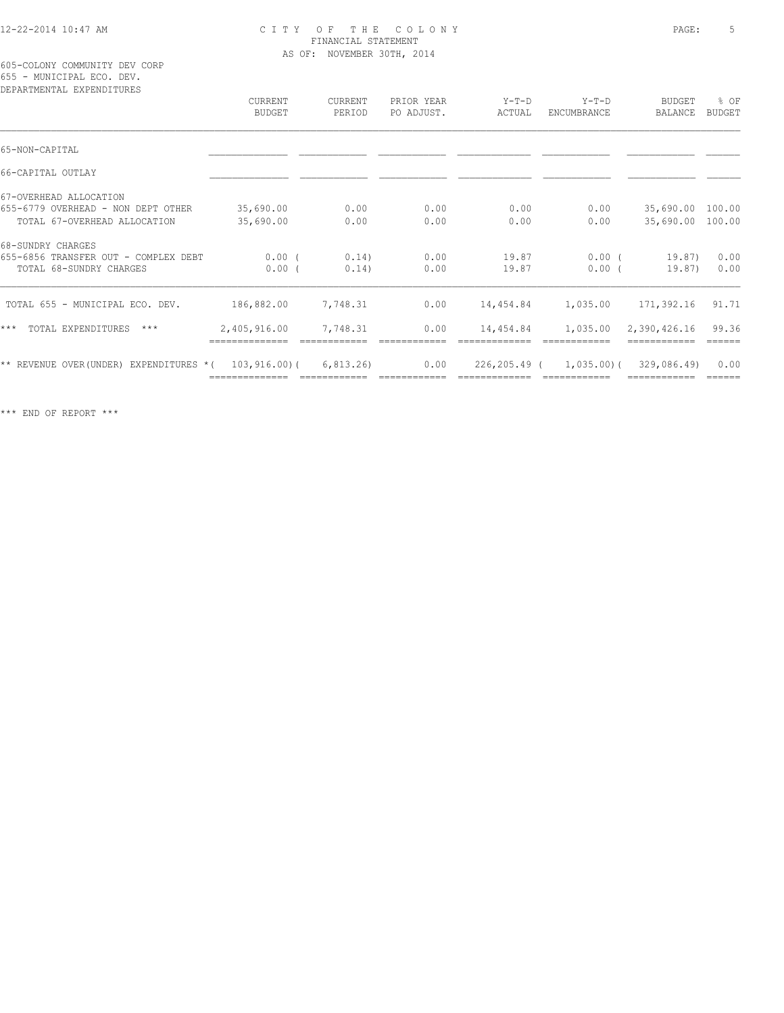605-COLONY COMMUNITY DEV CORP 655 - MUNICIPAL ECO. DEV.

| DEPARTMENTAL EXPENDITURES                                             |                                 |                   |                          |                   |                                      |                          |                 |
|-----------------------------------------------------------------------|---------------------------------|-------------------|--------------------------|-------------------|--------------------------------------|--------------------------|-----------------|
|                                                                       | <b>CURRENT</b><br><b>BUDGET</b> | CURRENT<br>PERIOD | PRIOR YEAR<br>PO ADJUST. | $Y-T-D$<br>ACTUAL | $Y-T-D$<br>ENCUMBRANCE               | <b>BUDGET</b><br>BALANCE | % OF<br>BUDGET  |
| 65-NON-CAPITAL                                                        |                                 |                   |                          |                   |                                      |                          |                 |
| 66-CAPITAL OUTLAY                                                     |                                 |                   |                          |                   |                                      |                          |                 |
| 67-OVERHEAD ALLOCATION                                                |                                 |                   |                          |                   |                                      |                          |                 |
| 655-6779 OVERHEAD - NON DEPT OTHER                                    | 35,690.00                       | 0.00              | 0.00                     | 0.00              | 0.00                                 | 35,690.00 100.00         |                 |
| TOTAL 67-OVERHEAD ALLOCATION                                          | 35,690.00                       | 0.00              | 0.00                     | 0.00              | 0.00                                 | 35,690.00 100.00         |                 |
| 68-SUNDRY CHARGES                                                     |                                 |                   |                          |                   |                                      |                          |                 |
| 655-6856 TRANSFER OUT - COMPLEX DEBT                                  | $0.00$ (                        | 0.14)             | 0.00                     | 19.87             | $0.00$ (                             | 19.87)                   | 0.00            |
| TOTAL 68-SUNDRY CHARGES                                               | $0.00$ (                        | 0.14)             | 0.00                     | 19.87             | $0.00$ (                             | 19.87)                   | 0.00            |
| TOTAL 655 - MUNICIPAL ECO. DEV.                                       | 186,882.00                      | 7,748.31          | 0.00                     | 14,454.84         | 1,035.00                             | 171,392.16               | 91.71           |
| $***$<br>TOTAL EXPENDITURES ***                                       | 2,405,916.00                    | 7,748.31          | 0.00                     |                   |                                      | 2,390,426.16             | 99.36<br>====== |
| $\star\star$ REVENUE OVER(UNDER) EXPENDITURES $\star$ ( 103,916.00) ( |                                 | 6,813.26)         | 0.00                     |                   | 226,205.49 ( 1,035.00) ( 329,086.49) |                          | 0.00            |
|                                                                       |                                 |                   |                          |                   | ============                         |                          | ======          |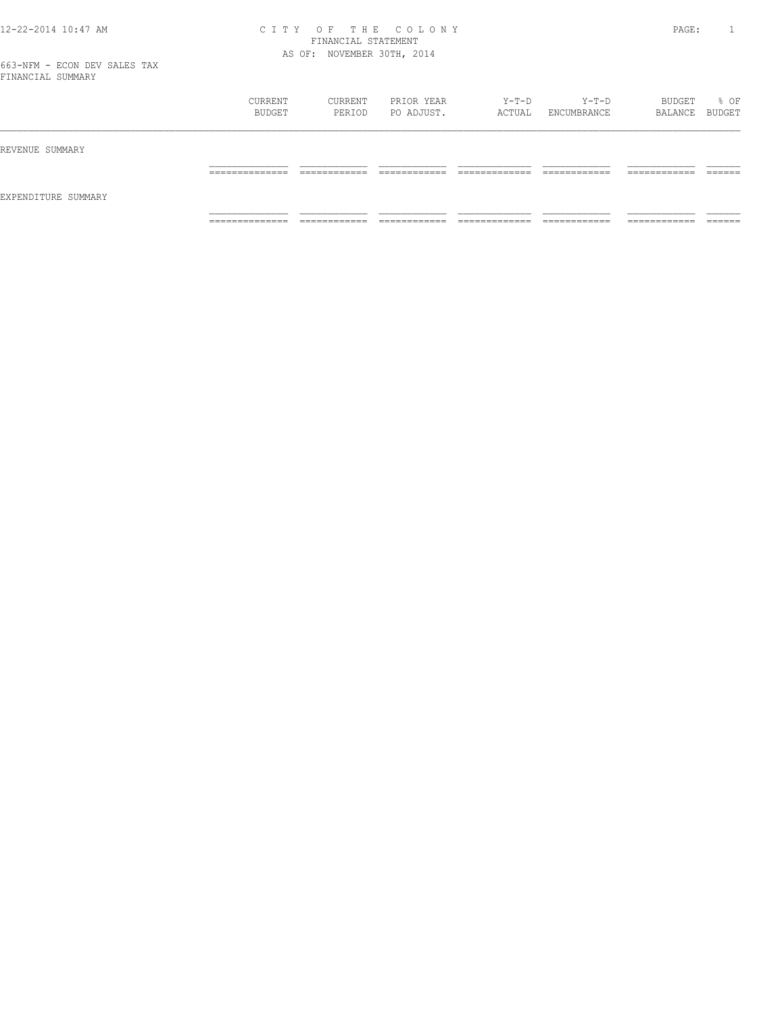| ___                 |                                   |                              |                               |                                |                              |                               |                    |
|---------------------|-----------------------------------|------------------------------|-------------------------------|--------------------------------|------------------------------|-------------------------------|--------------------|
|                     | CURRENT<br>BUDGET                 | CURRENT<br>PERIOD            | PRIOR YEAR<br>PO ADJUST.      | Y-T-D<br>ACTUAL                | $Y-T-D$<br>ENCUMBRANCE       | BUDGET<br>BALANCE BUDGET      | % OF               |
| REVENUE SUMMARY     |                                   |                              |                               |                                |                              |                               |                    |
|                     | ______________<br>_______________ | ------------<br>_________    | -------------<br>____________ | _____________<br>__________    | ------------<br>____________ | -------------<br>____________ | -------<br>_______ |
| EXPENDITURE SUMMARY |                                   |                              |                               |                                |                              |                               |                    |
|                     | ______________<br>______________  | ____________<br>____________ | ____________<br>____________  | _____________<br>_____________ | ____________<br>____________ | -----------<br>____________   | _______            |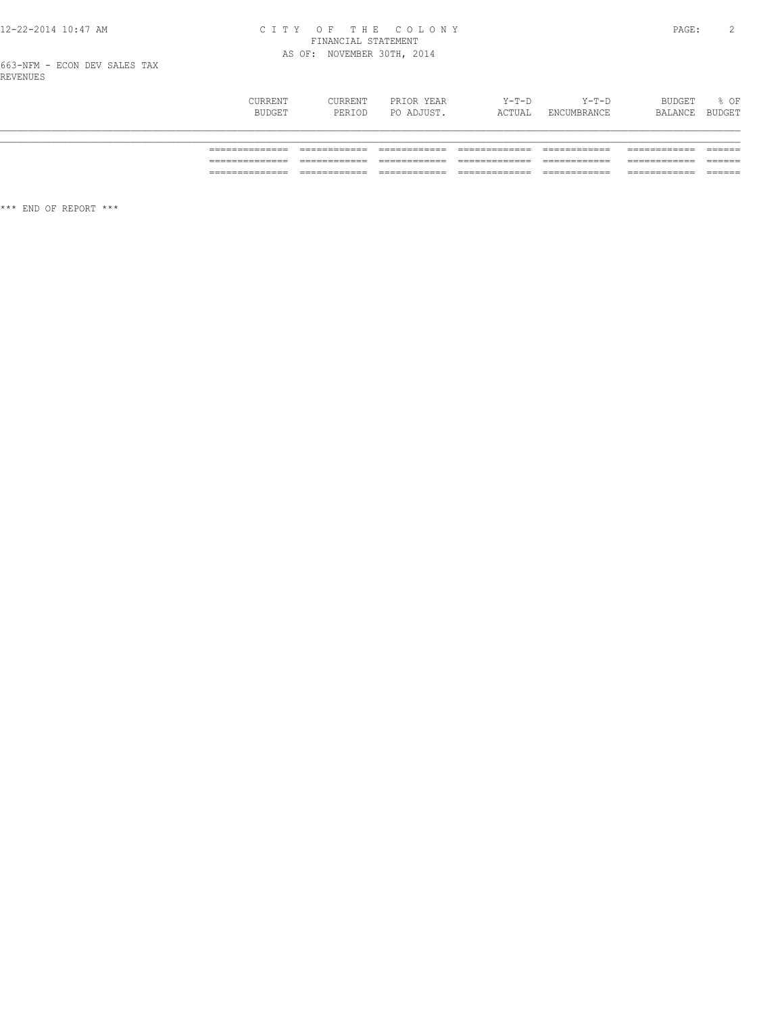# CITY OF THE COLONY<br>
FINANCIAL STATEMENT<br>
AS OF: NOVEMBER 30TH, 2014

| CURRENT | CURRENT | PRIOR YEAR | $Y-T-D$ | $Y-T-D$     | BUDGET  | % OF   |
|---------|---------|------------|---------|-------------|---------|--------|
| BUDGET  | PERIOD  | PO ADJUST. | ACTUAL  | ENCUMBRANCE | BALANCE | BUDGET |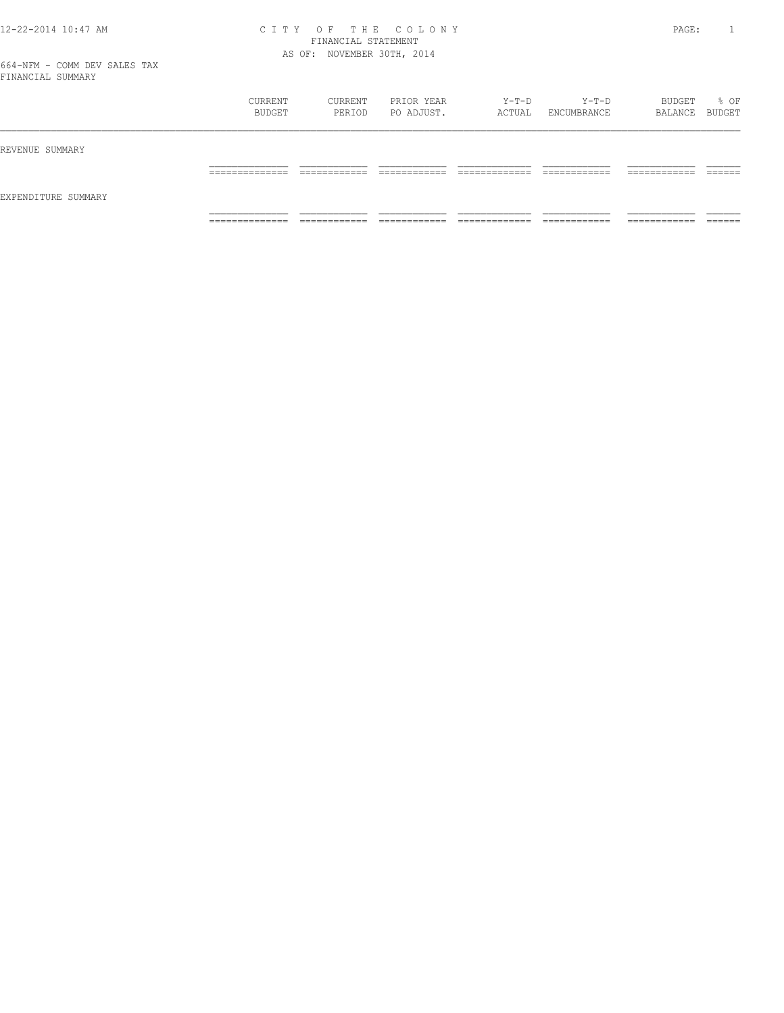|                     | CURRENT<br>BUDGET                | CURRENT<br>PERIOD            | PRIOR YEAR<br>PO ADJUST.       | Y-T-D<br>ACTUAL                | Y-T-D<br>ENCUMBRANCE         | BUDGET<br>BALANCE BUDGET      | % OF               |
|---------------------|----------------------------------|------------------------------|--------------------------------|--------------------------------|------------------------------|-------------------------------|--------------------|
| REVENUE SUMMARY     |                                  |                              |                                |                                |                              |                               |                    |
|                     | ______________<br>______________ | ____________<br>____________ | --------------<br>____________ | _____________<br>_____________ | ____________<br>____________ | -------------<br>____________ | -------<br>_______ |
| EXPENDITURE SUMMARY |                                  |                              |                                |                                |                              |                               |                    |
|                     | ______________<br>.              | ____________<br>____________ | -------------<br>_____________ | _____________<br>.             | ------------<br>____________ | -------------<br>____________ | ______<br>_______  |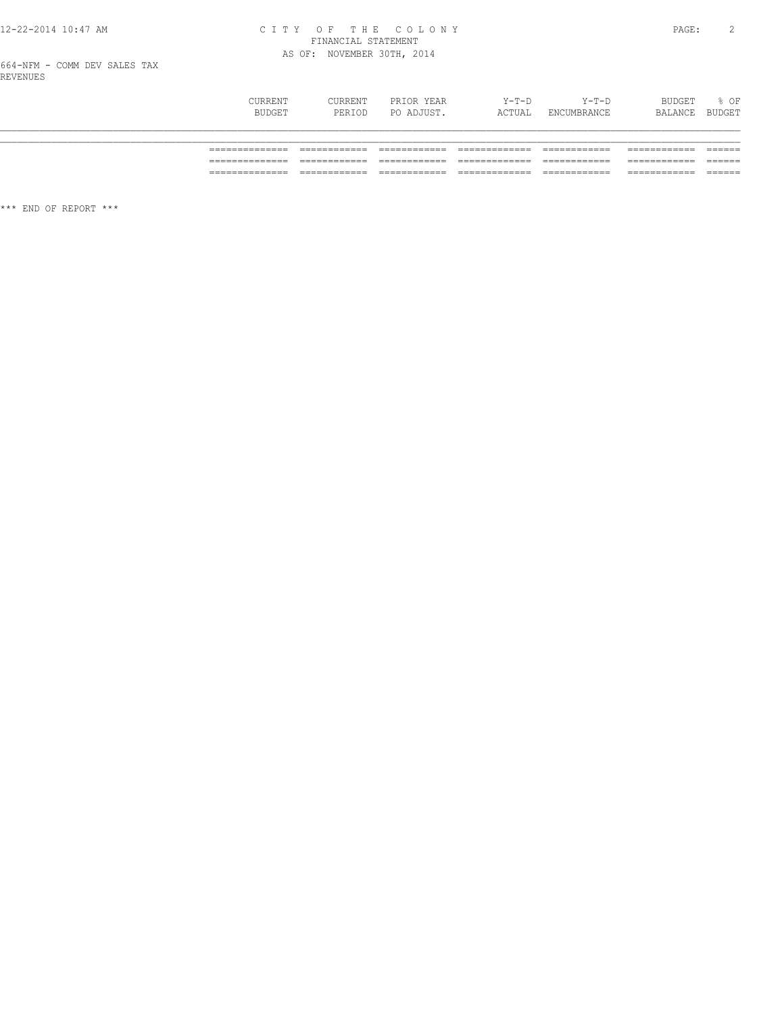## CITY OF THE COLONY<br>
FINANCIAL STATEMENT<br>
AS OF: NOVEMBER 30TH, 2014

664-NFM - COMM DEV SALES TAX<br>REVENUES

| CURRENT<br>BUDGET | CURRENT<br>PERIOD | PRIOR YEAR<br>PO ADJUST. | Y-T-D<br>ACTUAL | $Y-T-D$<br>ENCUMBRANCE | BUDGET<br>BALANCE | % OF<br>BUDGET |
|-------------------|-------------------|--------------------------|-----------------|------------------------|-------------------|----------------|
|                   |                   |                          |                 |                        |                   |                |
|                   |                   |                          |                 |                        |                   |                |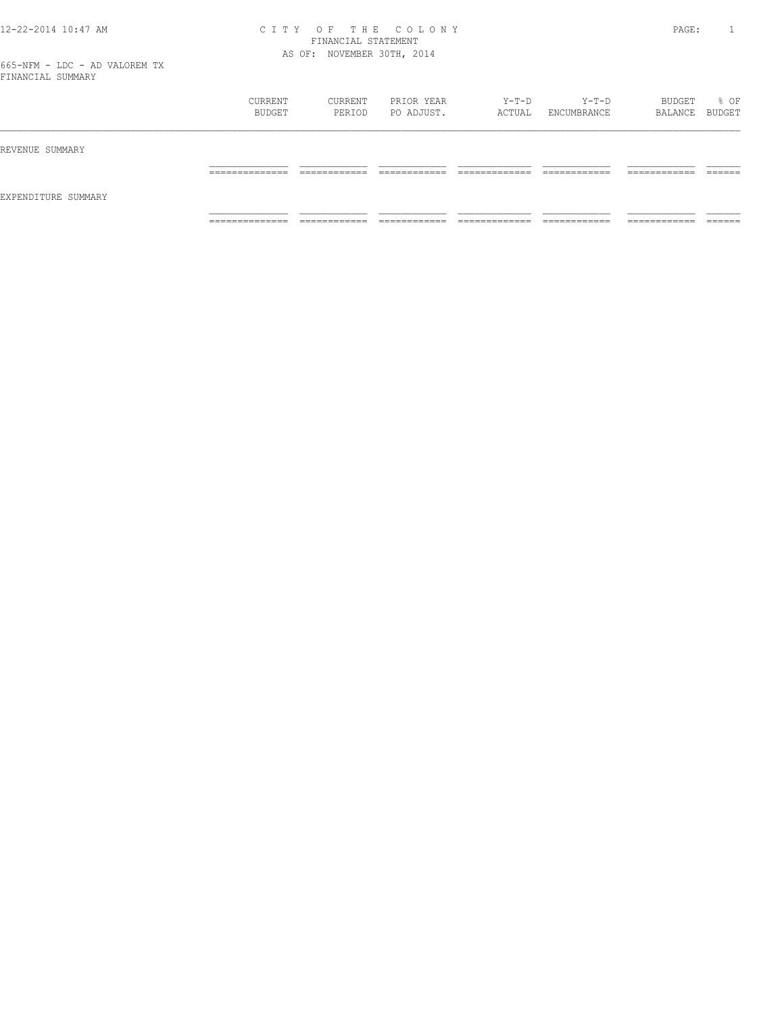|                     | CURRENT<br>BUDGET              | CURRENT<br>PERIOD | PRIOR YEAR<br>PO ADJUST. | $Y-T-D$<br>ACTUAL | $Y-T-D$<br>ENCUMBRANCE | BUDGET<br>BALANCE BUDGET   | % OF    |
|---------------------|--------------------------------|-------------------|--------------------------|-------------------|------------------------|----------------------------|---------|
| REVENUE SUMMARY     |                                |                   |                          |                   |                        |                            |         |
| EXPENDITURE SUMMARY | _____________<br>------------  | _______           | _______                  | _________         | ____________           | ------------<br>_________  | _______ |
|                     | ______________<br>------------ | ____________      | ____________             | _____________     | ____________           | __________<br>____________ | _______ |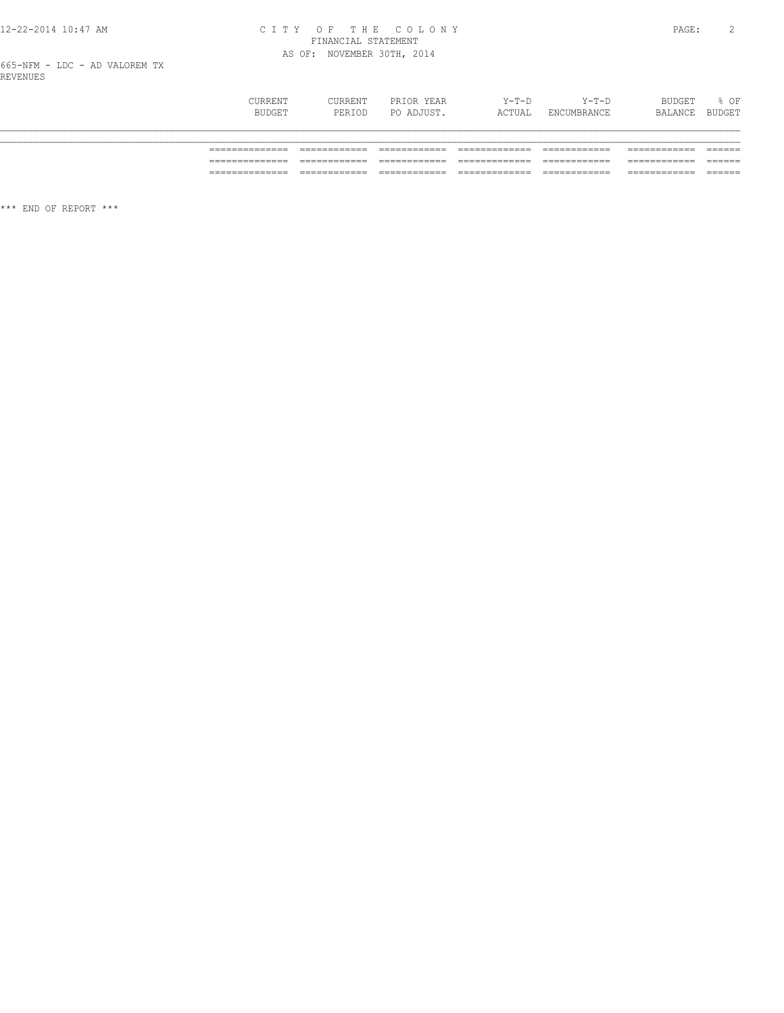# CITY OF THE COLONY<br>FINANCIAL STATEMENT<br>AS OF: NOVEMBER 30TH, 2014

| CURRENT<br>BUDGET | CURRENT<br>PERIOD | PRIOR YEAR<br>PO ADJUST. | Y-T-D<br>ACTUAL | Y-T-D<br>ENCUMBRANCE | BUDGET<br>BALANCE | % OF<br>BUDGET |
|-------------------|-------------------|--------------------------|-----------------|----------------------|-------------------|----------------|
|                   |                   |                          |                 |                      |                   |                |
|                   |                   |                          |                 |                      |                   |                |
| ________          |                   |                          |                 |                      |                   |                |
| ______________    |                   |                          |                 |                      |                   | ______         |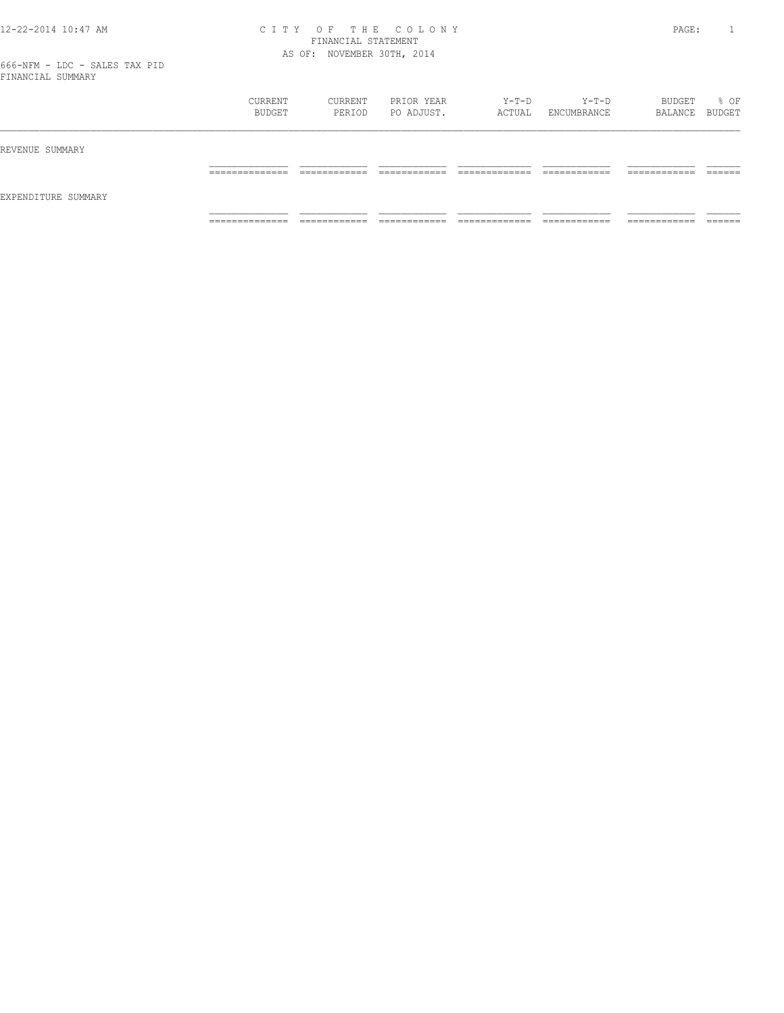| ___                 |                                   |                              |                               |                                |                              |                               |                    |
|---------------------|-----------------------------------|------------------------------|-------------------------------|--------------------------------|------------------------------|-------------------------------|--------------------|
|                     | CURRENT<br>BUDGET                 | CURRENT<br>PERIOD            | PRIOR YEAR<br>PO ADJUST.      | Y-T-D<br>ACTUAL                | $Y-T-D$<br>ENCUMBRANCE       | BUDGET<br>BALANCE BUDGET      | % OF               |
| REVENUE SUMMARY     |                                   |                              |                               |                                |                              |                               |                    |
|                     | ______________<br>_______________ | ------------<br>_________    | -------------<br>____________ | _____________<br>_____________ | ------------<br>____________ | -------------<br>____________ | -------<br>_______ |
| EXPENDITURE SUMMARY |                                   |                              |                               |                                |                              |                               |                    |
|                     | ______________<br>______________  | ____________<br>____________ | ____________<br>____________  | _____________<br>_____________ | ____________<br>____________ | -----------<br>____________   | _______            |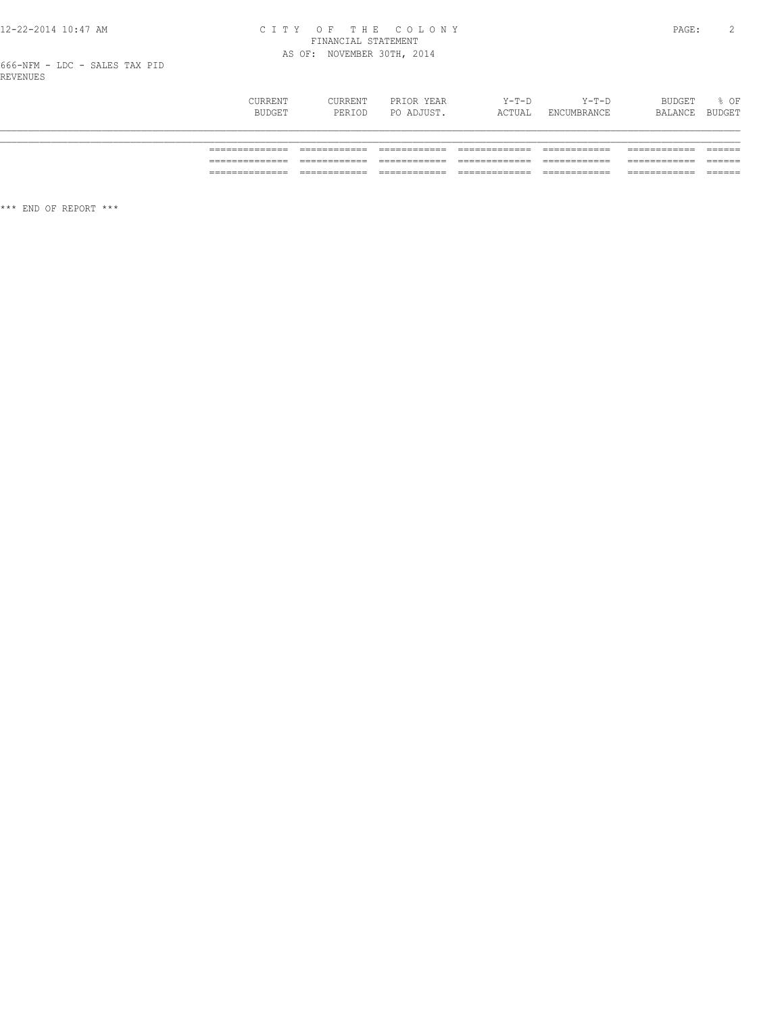## CITY OF THE COLONY<br>
CITY OF THE COLONY<br>
FINANCIAL STATEMENT<br>
AS OF: NOVEMBER 30TH, 2014

| CURRENT<br>BUDGET | CURRENT<br>PERIOD | PRIOR YEAR<br>PO ADJUST. | Y-T-D<br>ACTUAL | $Y-T-D$<br>ENCUMBRANCE | BUDGET<br>BALANCE | % OF<br>BUDGET |
|-------------------|-------------------|--------------------------|-----------------|------------------------|-------------------|----------------|
|                   |                   |                          |                 |                        |                   |                |
|                   |                   |                          |                 |                        |                   |                |
|                   |                   |                          |                 |                        |                   |                |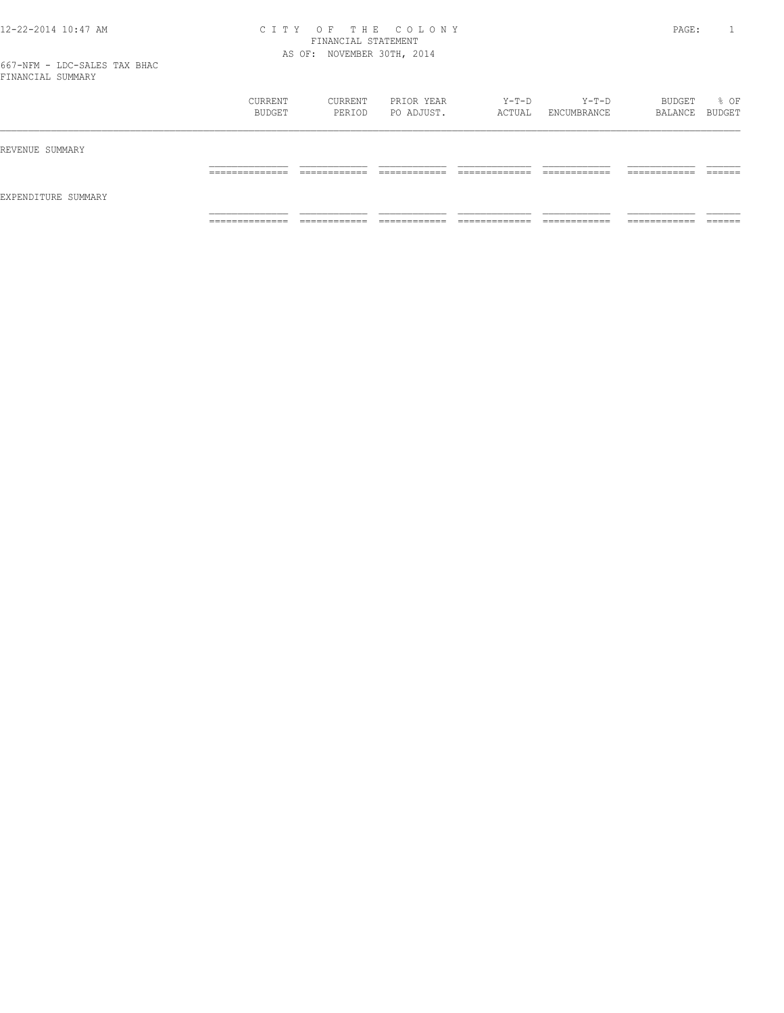|                     | CURRENT<br>BUDGET               | CURRENT<br>PERIOD | PRIOR YEAR<br>PO ADJUST. | Y-T-D<br>ACTUAL | Y-T-D<br>ENCUMBRANCE | BUDGET<br>BALANCE BUDGET | % OF |
|---------------------|---------------------------------|-------------------|--------------------------|-----------------|----------------------|--------------------------|------|
| REVENUE SUMMARY     |                                 |                   |                          |                 |                      |                          |      |
| EXPENDITURE SUMMARY |                                 |                   |                          |                 |                      |                          |      |
|                     | ____________<br>_______________ |                   |                          | ____________    | ____________         | -------------            |      |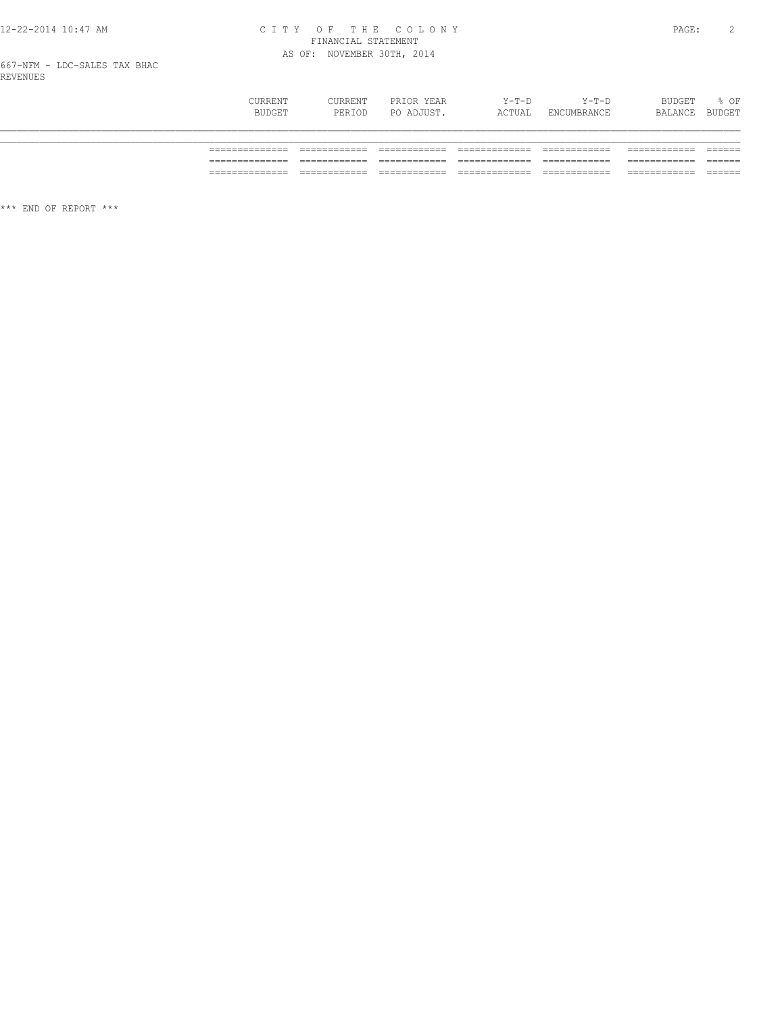# CITY OF THE COLONY<br>FINANCIAL STATEMENT<br>AS OF: NOVEMBER 30TH, 2014

| CURRENT<br>BUDGET | CURRENT<br>PERIOD | PRIOR YEAR<br>PO ADJUST. | $Y-T-D$<br>ACTUAL | $Y-T-D$<br>ENCUMBRANCE | BUDGET<br>BALANCE BUDGET | % OF |
|-------------------|-------------------|--------------------------|-------------------|------------------------|--------------------------|------|
|                   |                   |                          |                   |                        |                          |      |
|                   |                   |                          |                   |                        |                          |      |
| ___               |                   |                          |                   |                        |                          |      |
|                   |                   |                          |                   |                        |                          |      |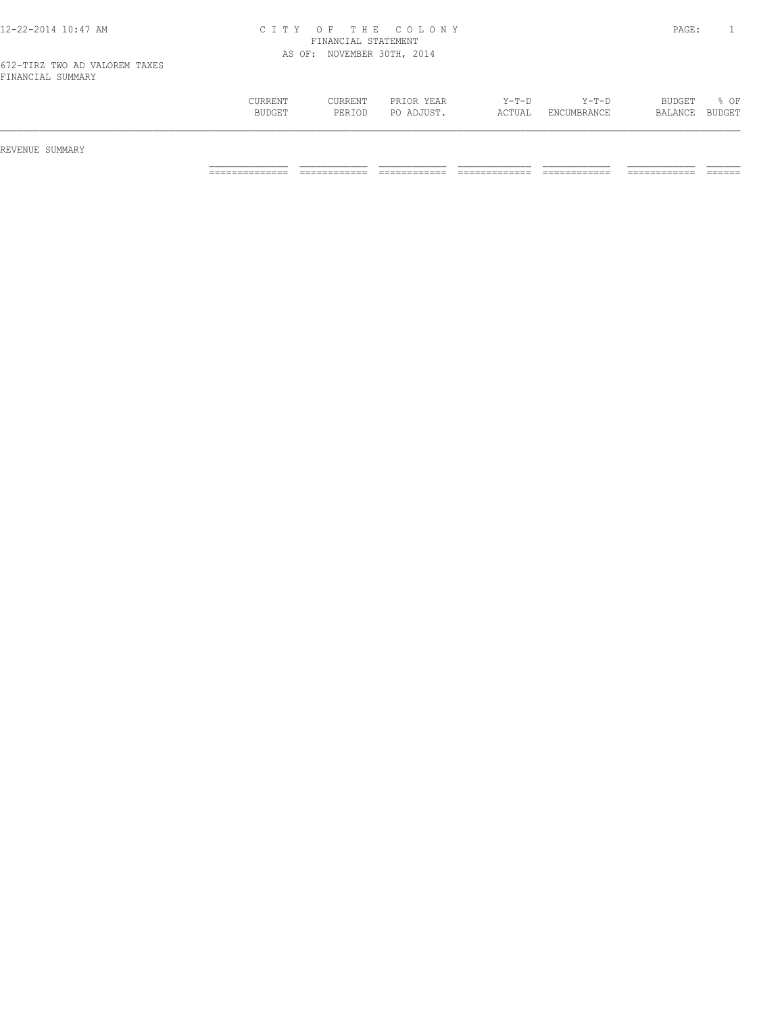| TINUMOTUT OOMMUNI |         |         |            |         |             |         |               |
|-------------------|---------|---------|------------|---------|-------------|---------|---------------|
|                   | CURRENT | CURRENT | PRIOR YEAR | $Y-T-D$ | $Y - T - D$ | BUDGET  | % OF          |
|                   | BUDGET  | PERIOD  | PO ADJUST. | ACTUAL  | ENCUMBRANCE | BALANCE | <b>BUDGET</b> |
|                   |         |         |            |         |             |         |               |
|                   |         |         |            |         |             |         |               |

REVENUE SUMMARY

============== ============ ============ ============= ============ ============ ======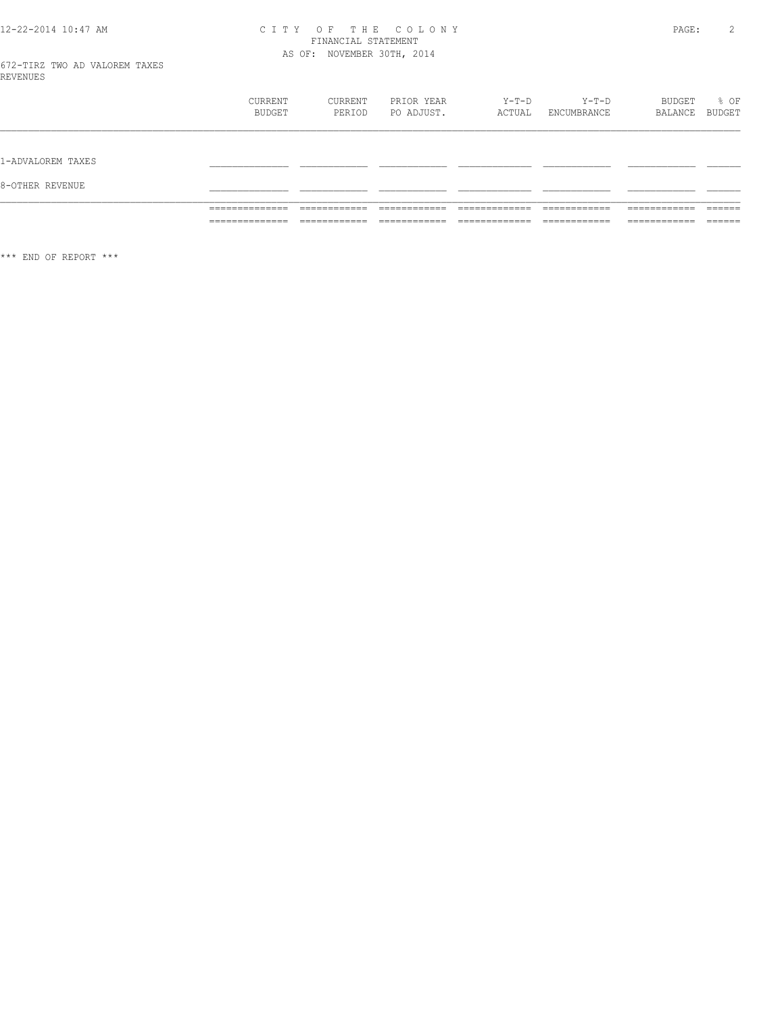# CITY OF THE COLONY<br>FINANCIAL STATEMENT<br>AS OF: NOVEMBER 30TH, 2014

|                   | CURRENT<br>BUDGET                                      | CURRENT<br>PERIOD                                           | PRIOR YEAR<br>PO ADJUST.                                    | Y-T-D<br>ACTUAL                                                | Y-T-D<br>ENCUMBRANCE                                        | BUDGET<br>BALANCE BUDGET                                   | $\frac{1}{2}$ OF                       |
|-------------------|--------------------------------------------------------|-------------------------------------------------------------|-------------------------------------------------------------|----------------------------------------------------------------|-------------------------------------------------------------|------------------------------------------------------------|----------------------------------------|
| 1-ADVALOREM TAXES |                                                        |                                                             |                                                             |                                                                |                                                             |                                                            |                                        |
| 8-OTHER REVENUE   |                                                        |                                                             |                                                             |                                                                |                                                             |                                                            |                                        |
|                   | ______________<br>.<br>______________<br>_____________ | ____________<br>-----------<br>____________<br>____________ | ____________<br>-----------<br>____________<br>____________ | _____________<br>-----------<br>_____________<br>_____________ | ____________<br>-----------<br>____________<br>____________ | ____________<br>__________<br>____________<br>____________ | -------<br>_____<br>-------<br>_______ |

 $\star\star\star$  END OF REPORT  $\star\star\star$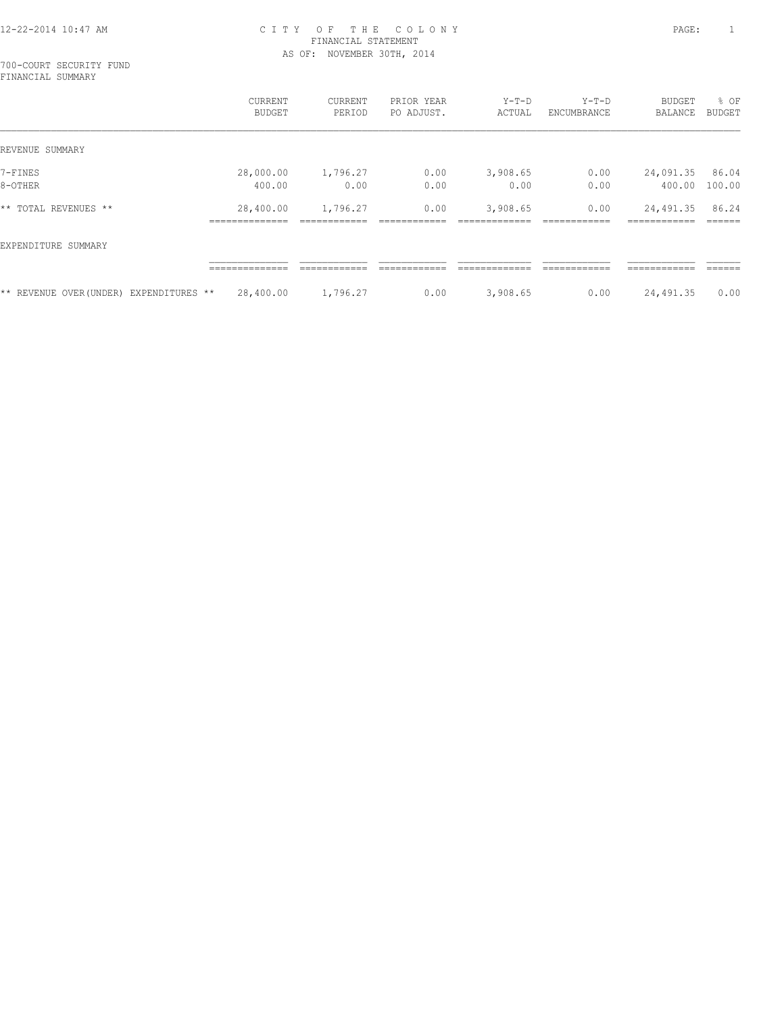700-COURT SECURITY FUND FINANCIAL SUMMARY

|                        |                 | <b>CURRENT</b><br><b>BUDGET</b> | <b>CURRENT</b><br>PERIOD | PRIOR YEAR<br>PO ADJUST. | $Y-T-D$<br>ACTUAL | $Y-T-D$<br>ENCUMBRANCE | <b>BUDGET</b><br>BALANCE     | % OF<br>BUDGET   |
|------------------------|-----------------|---------------------------------|--------------------------|--------------------------|-------------------|------------------------|------------------------------|------------------|
| REVENUE SUMMARY        |                 |                                 |                          |                          |                   |                        |                              |                  |
| 7-FINES                |                 | 28,000.00                       | 1,796.27                 | 0.00                     | 3,908.65          | 0.00                   | 24,091.35                    | 86.04            |
| 8-OTHER                |                 | 400.00                          | 0.00                     | 0.00                     | 0.00              | 0.00                   | 400.00                       | 100.00           |
| ** TOTAL REVENUES **   |                 | 28,400.00<br>______________     | 1,796.27                 | 0.00                     | 3,908.65          | 0.00                   | 24,491.35<br>-------------   | 86.24<br>------- |
| EXPENDITURE SUMMARY    |                 |                                 |                          |                          |                   |                        |                              |                  |
|                        |                 | --------------<br>.             | ____________             | ------------             | ____________      | ------------           | -------------<br>----------- | -------<br>----- |
| ** REVENUE OVER(UNDER) | EXPENDITURES ** | 28,400.00                       | 1,796.27                 | 0.00                     | 3,908.65          | 0.00                   | 24,491.35                    | 0.00             |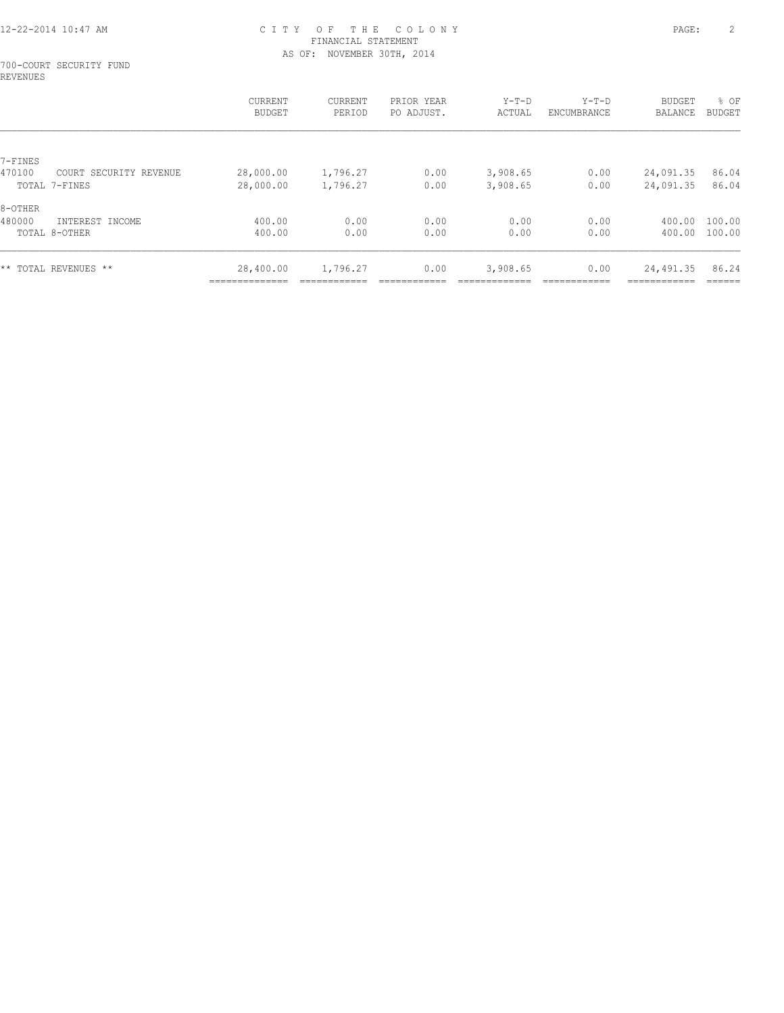#### 700-COURT SECURITY FUND REVENUES

|         |                        | CURRENT<br><b>BUDGET</b> | CURRENT<br>PERIOD | PRIOR YEAR<br>PO ADJUST. | $Y-T-D$<br>ACTUAL | $Y-T-D$<br>ENCUMBRANCE | <b>BUDGET</b><br>BALANCE | % OF<br>BUDGET |
|---------|------------------------|--------------------------|-------------------|--------------------------|-------------------|------------------------|--------------------------|----------------|
|         |                        |                          |                   |                          |                   |                        |                          |                |
| 7-FINES |                        |                          |                   |                          |                   |                        |                          |                |
| 470100  | COURT SECURITY REVENUE | 28,000.00                | 1,796.27          | 0.00                     | 3,908.65          | 0.00                   | 24,091.35                | 86.04          |
|         | TOTAL 7-FINES          | 28,000.00                | 1,796.27          | 0.00                     | 3,908.65          | 0.00                   | 24,091.35                | 86.04          |
| 8-OTHER |                        |                          |                   |                          |                   |                        |                          |                |
| 480000  | INTEREST INCOME        | 400.00                   | 0.00              | 0.00                     | 0.00              | 0.00                   | 400.00                   | 100.00         |
|         | TOTAL 8-OTHER          | 400.00                   | 0.00              | 0.00                     | 0.00              | 0.00                   | 400.00                   | 100.00         |
|         | ** TOTAL REVENUES **   | 28,400.00                | 1,796.27          | 0.00                     | 3,908.65          | 0.00                   | 24,491.35                | 86.24          |
|         |                        | --------------           |                   |                          |                   |                        |                          | -------        |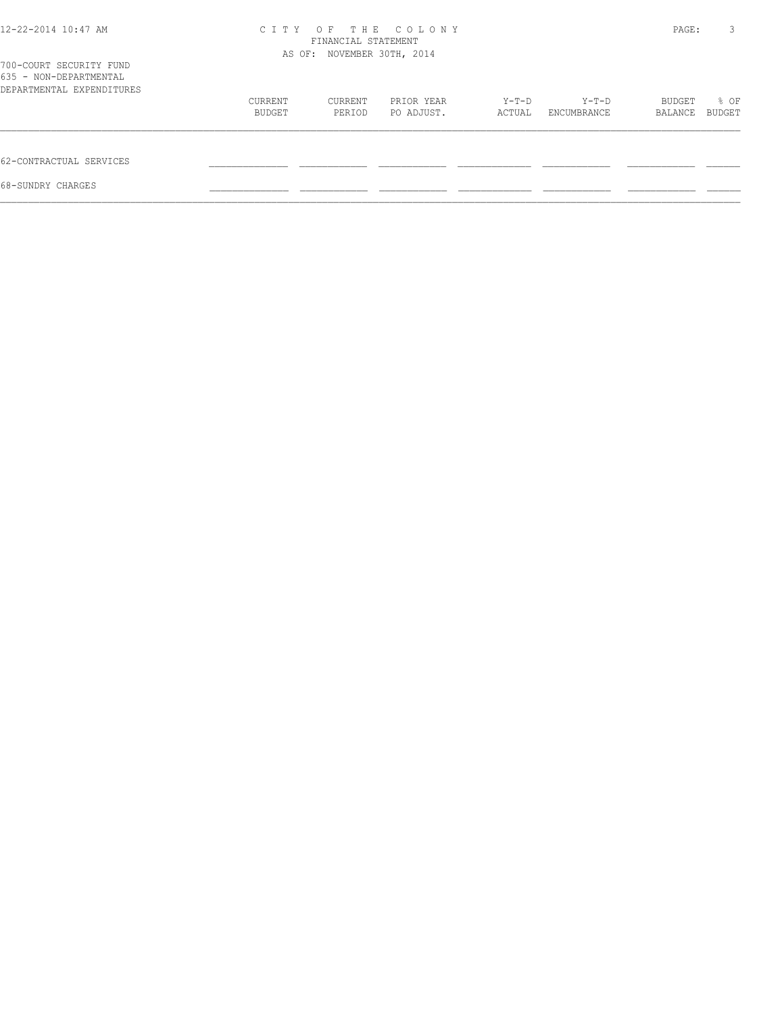| 12-22-2014 10:47 AM                                                            | C T T Y | OF<br>FINANCIAL STATEMENT<br>AS OF: NOVEMBER 30TH, 2014 | THE COLONY |        |             | PAGE:   | 3      |
|--------------------------------------------------------------------------------|---------|---------------------------------------------------------|------------|--------|-------------|---------|--------|
| 700-COURT SECURITY FUND<br>635 - NON-DEPARTMENTAL<br>DEPARTMENTAL EXPENDITURES |         |                                                         |            |        |             |         |        |
|                                                                                | CURRENT | CURRENT                                                 | PRIOR YEAR | Y-T-D  | Y-T-D       | BUDGET  | % OF   |
|                                                                                | BUDGET  | PERIOD                                                  | PO ADJUST. | ACTUAL | ENCUMBRANCE | BALANCE | BUDGET |
| 62-CONTRACTUAL SERVICES                                                        |         |                                                         |            |        |             |         |        |
| 68-SUNDRY CHARGES                                                              |         |                                                         |            |        |             |         |        |
|                                                                                |         |                                                         |            |        |             |         |        |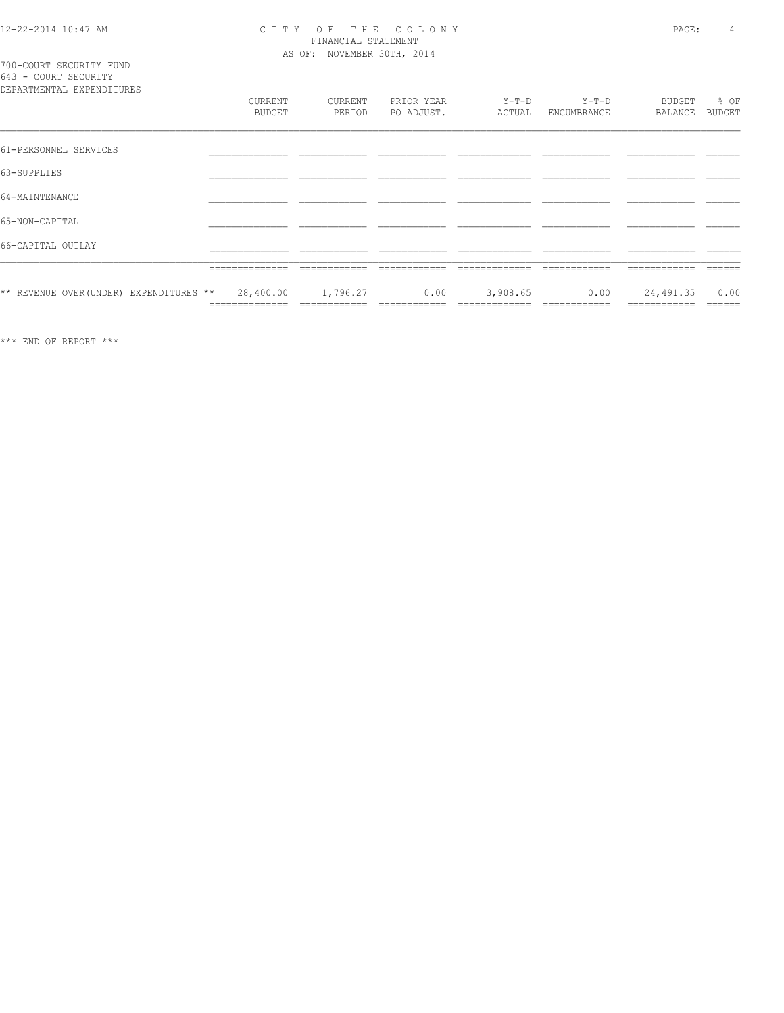## CITY OF THE COLONY<br>
CITY OF THE COLONY<br>
FINANCIAL STATEMENT<br>
AS OF: NOVEMBER 30TH, 2014

700-COURT SECURITY FUND<br>643 - COURT SECURITY

| DEPARTMENTAL EXPENDITURES               |                             |                          |                          |                           |                        |                           |                       |
|-----------------------------------------|-----------------------------|--------------------------|--------------------------|---------------------------|------------------------|---------------------------|-----------------------|
|                                         | CURRENT<br><b>BUDGET</b>    | CURRENT<br>PERIOD        | PRIOR YEAR<br>PO ADJUST. | Y-T-D<br>ACTUAL           | $Y-T-D$<br>ENCUMBRANCE | BUDGET<br>BALANCE         | % OF<br><b>BUDGET</b> |
| 61-PERSONNEL SERVICES                   |                             |                          |                          |                           |                        |                           |                       |
| 63-SUPPLIES                             |                             |                          |                          |                           |                        |                           |                       |
| 64-MAINTENANCE                          |                             |                          |                          |                           |                        |                           |                       |
| 65-NON-CAPITAL                          |                             |                          |                          |                           |                        |                           |                       |
| 66-CAPITAL OUTLAY                       |                             |                          |                          |                           |                        |                           |                       |
|                                         | ==============              | ____________             |                          |                           |                        |                           |                       |
| ** REVENUE OVER (UNDER) EXPENDITURES ** | 28,400.00<br>============== | 1,796.27<br>============ | 0.00<br>============     | 3,908.65<br>============= | 0.00<br>------------   | 24,491.35<br>============ | 0.00<br>======        |

 $\star\star\star$  END OF REPORT  $\star\star\star$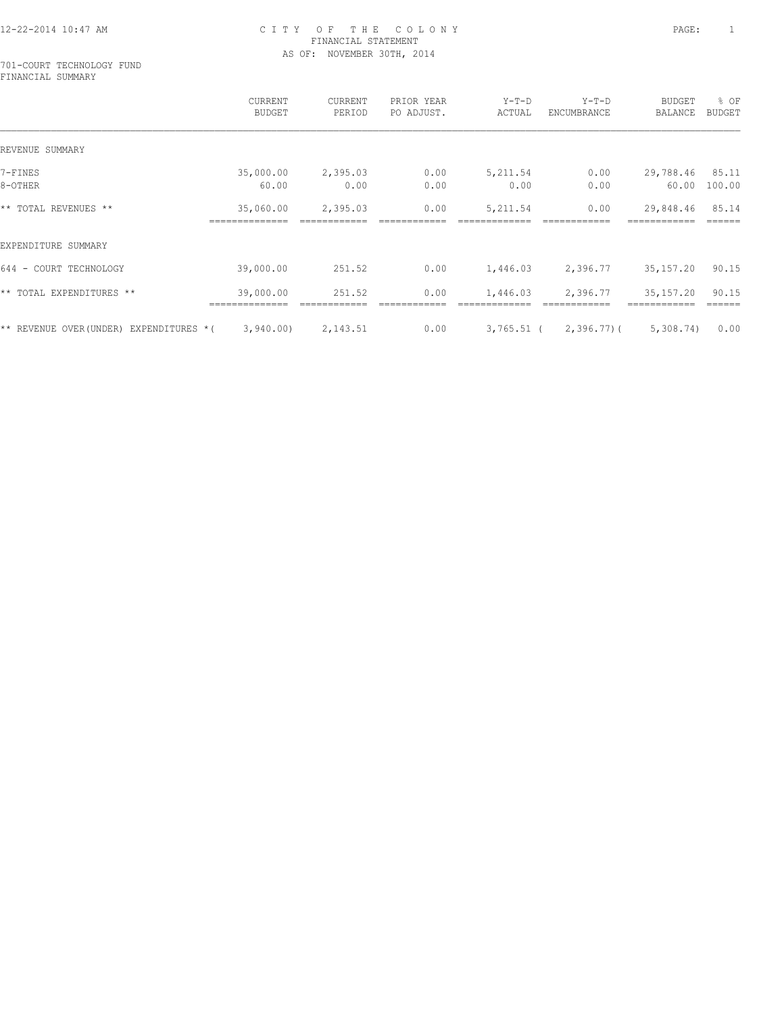#### 701-COURT TECHNOLOGY FUND FINANCIAL SUMMARY

|                                        | CURRENT<br><b>BUDGET</b> | CURRENT<br>PERIOD | PRIOR YEAR<br>PO ADJUST. | $Y-T-D$<br>ACTUAL | $Y-T-D$<br>ENCUMBRANCE | BUDGET<br>BALANCE | % OF<br><b>BUDGET</b> |
|----------------------------------------|--------------------------|-------------------|--------------------------|-------------------|------------------------|-------------------|-----------------------|
| REVENUE SUMMARY                        |                          |                   |                          |                   |                        |                   |                       |
| 7-FINES                                | 35,000.00                | 2,395.03          | 0.00                     | 5,211.54          | 0.00                   | 29,788.46         | 85.11                 |
| 8-OTHER                                | 60.00                    | 0.00              | 0.00                     | 0.00              | 0.00                   | 60.00             | 100.00                |
| ** TOTAL REVENUES **                   | 35,060.00                | 2,395.03          | 0.00                     | 5,211.54          | 0.00                   | 29,848.46         | 85.14                 |
| EXPENDITURE SUMMARY                    |                          |                   |                          |                   |                        |                   |                       |
| 644 - COURT TECHNOLOGY                 | 39,000.00                | 251.52            | 0.00                     | 1,446.03          | 2,396.77               | 35,157.20         | 90.15                 |
| ** TOTAL EXPENDITURES **               | 39,000.00                | 251.52            | 0.00                     | 1,446.03          | 2,396.77               | 35,157.20         | 90.15                 |
| ** REVENUE OVER(UNDER) EXPENDITURES *( | 3,940.00                 | 2,143.51          | 0.00                     |                   | 3,765.51 ( 2,396.77) ( | 5,308.74)         | 0.00                  |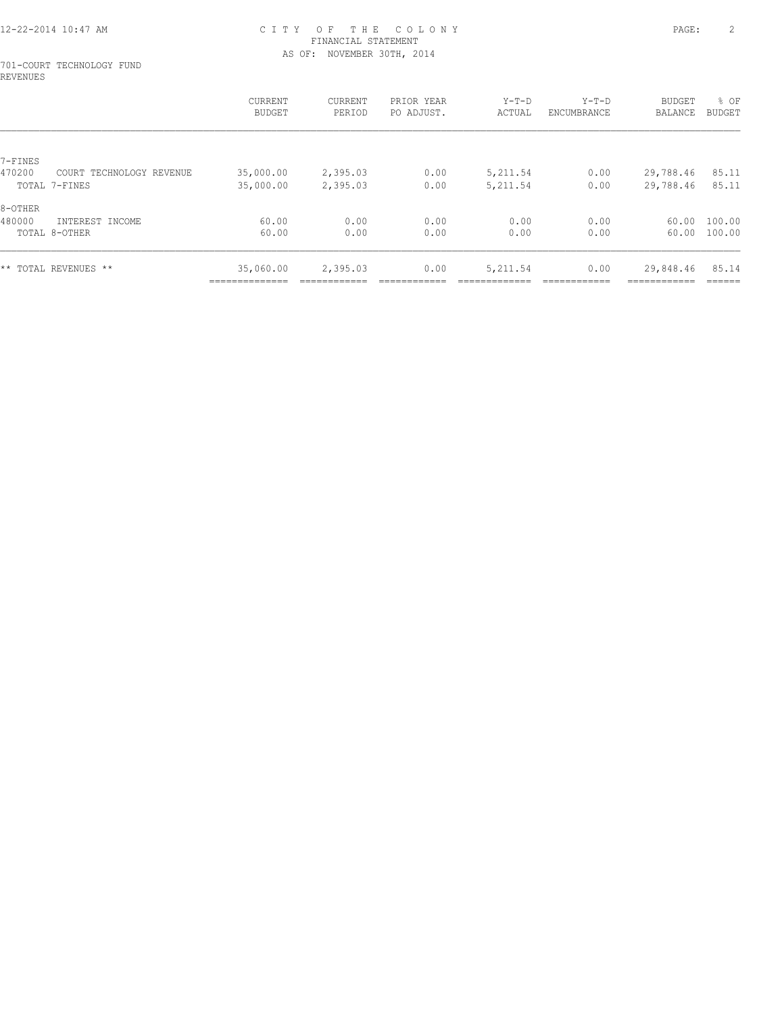#### 701-COURT TECHNOLOGY FUND REVENUES

| CURRENT<br><b>BUDGET</b> | CURRENT<br>PERIOD           | PRIOR YEAR<br>PO ADJUST. | $Y-T-D$<br>ACTUAL | $Y-T-D$<br>ENCUMBRANCE | <b>BUDGET</b><br>BALANCE | % OF<br><b>BUDGET</b>     |
|--------------------------|-----------------------------|--------------------------|-------------------|------------------------|--------------------------|---------------------------|
|                          |                             |                          |                   |                        |                          |                           |
|                          |                             |                          |                   |                        |                          |                           |
|                          |                             |                          |                   |                        |                          | 85.11                     |
| 35,000.00                | 2,395.03                    | 0.00                     | 5,211.54          | 0.00                   | 29,788.46                | 85.11                     |
|                          |                             |                          |                   |                        |                          |                           |
| 60.00                    | 0.00                        | 0.00                     | 0.00              | 0.00                   | 60.00                    | 100.00                    |
| 60.00                    | 0.00                        | 0.00                     | 0.00              | 0.00                   | 60.00                    | 100.00                    |
| 35,060.00                | 2,395.03                    | 0.00                     | 5,211.54          | 0.00                   | 29,848.46                | 85.14                     |
|                          | 35,000.00<br>______________ | 2,395.03                 | 0.00              | 5, 211.54              | 0.00                     | 29,788.46<br>------------ |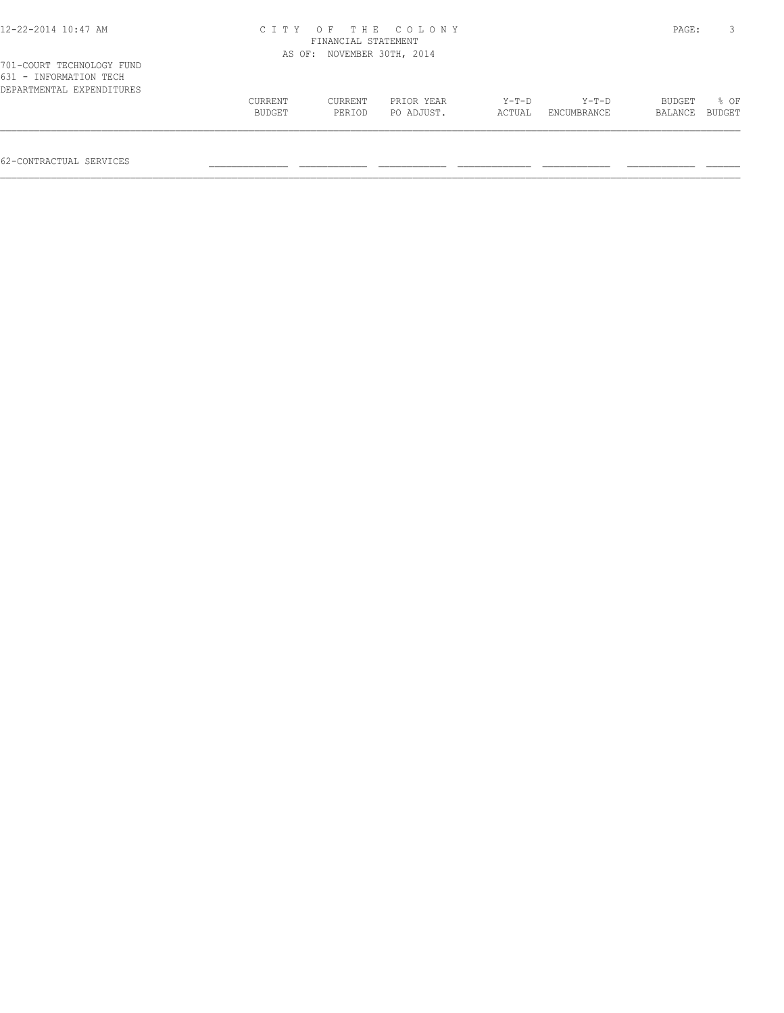| 12-22-2014 10:47 AM                                                              |         | FINANCIAL STATEMENT        | CITY OF THE COLONY |        |             | PAGE:   | 3             |
|----------------------------------------------------------------------------------|---------|----------------------------|--------------------|--------|-------------|---------|---------------|
|                                                                                  |         | AS OF: NOVEMBER 30TH, 2014 |                    |        |             |         |               |
| 701-COURT TECHNOLOGY FUND<br>631 - INFORMATION TECH<br>DEPARTMENTAL EXPENDITURES |         |                            |                    |        |             |         |               |
|                                                                                  | CURRENT | CURRENT                    | PRIOR YEAR         | Y-T-D  | Y-T-D       | BUDGET  | % OF          |
|                                                                                  | BUDGET  | PERIOD                     | PO ADJUST.         | ACTUAL | ENCUMBRANCE | BALANCE | <b>BUDGET</b> |

 $\mathcal{L} = \{ \mathcal{L} = \{ \mathcal{L} = \{ \mathcal{L} = \{ \mathcal{L} = \{ \mathcal{L} = \{ \mathcal{L} = \{ \mathcal{L} = \{ \mathcal{L} = \{ \mathcal{L} = \{ \mathcal{L} = \{ \mathcal{L} = \{ \mathcal{L} = \{ \mathcal{L} = \{ \mathcal{L} = \{ \mathcal{L} = \{ \mathcal{L} = \{ \mathcal{L} = \{ \mathcal{L} = \{ \mathcal{L} = \{ \mathcal{L} = \{ \mathcal{L} = \{ \mathcal{L} = \{ \mathcal{L} = \{ \mathcal{$ 

62-CONTRACTUAL SERVICES \_\_\_\_\_\_\_\_\_\_\_\_\_\_ \_\_\_\_\_\_\_\_\_\_\_\_ \_\_\_\_\_\_\_\_\_\_\_\_ \_\_\_\_\_\_\_\_\_\_\_\_\_ \_\_\_\_\_\_\_\_\_\_\_\_ \_\_\_\_\_\_\_\_\_\_\_\_ \_\_\_\_\_\_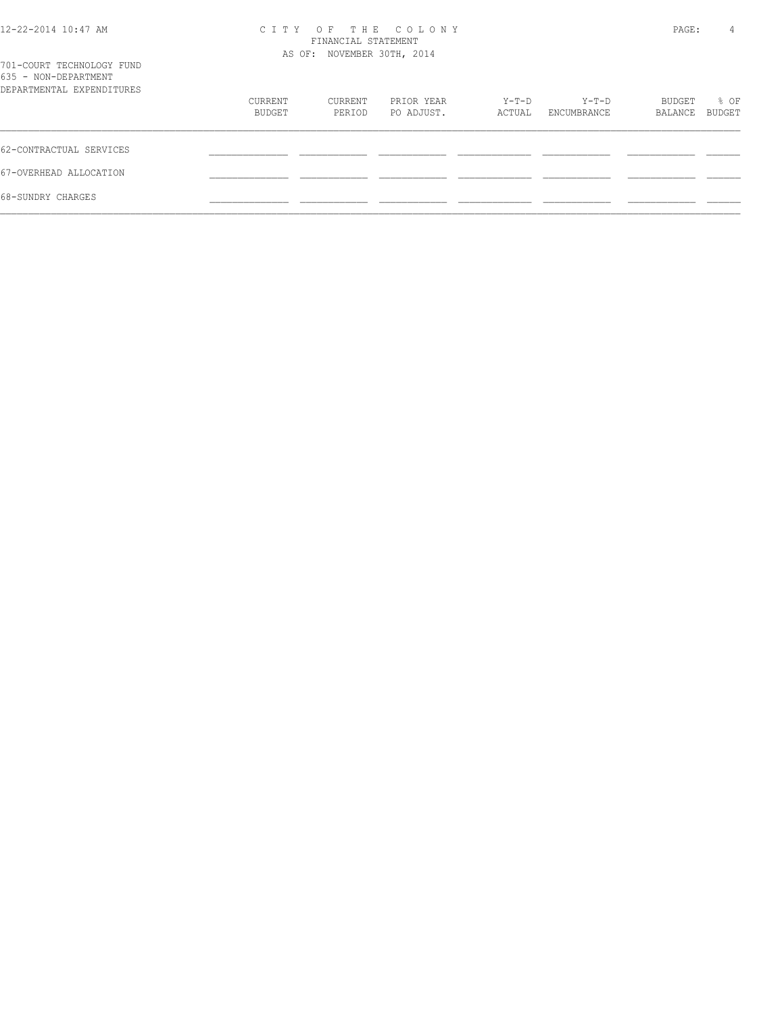| 12-22-2014 10:47 AM |  |
|---------------------|--|
|---------------------|--|

## 12-22-2014 10:47 AM C I T Y O F T H E C O L O N Y PAGE: 4 FINANCIAL STATEMENT

| 701-COURT TECHNOLOGY FUND                         |                   | AS OF: NOVEMBER 30TH, 2014 |                          |                 |                        |                   |                |
|---------------------------------------------------|-------------------|----------------------------|--------------------------|-----------------|------------------------|-------------------|----------------|
| 635 - NON-DEPARTMENT<br>DEPARTMENTAL EXPENDITURES |                   |                            |                          |                 |                        |                   |                |
|                                                   | CURRENT<br>BUDGET | CURRENT<br>PERIOD          | PRIOR YEAR<br>PO ADJUST. | Y-T-D<br>ACTUAL | $Y-T-D$<br>ENCUMBRANCE | BUDGET<br>BALANCE | % OF<br>BUDGET |
| 62-CONTRACTUAL SERVICES                           |                   |                            |                          |                 |                        |                   |                |
| 67-OVERHEAD ALLOCATION                            |                   |                            |                          |                 |                        |                   |                |
| 68-SUNDRY CHARGES                                 |                   |                            |                          |                 |                        |                   |                |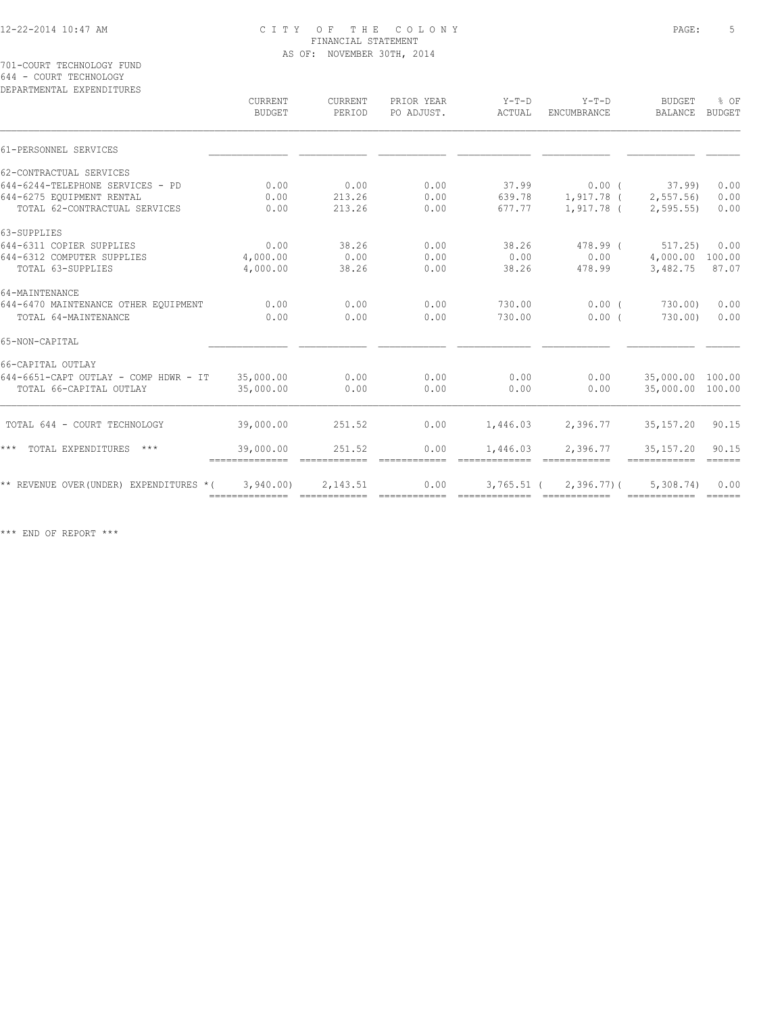701-COURT TECHNOLOGY FUND 644 - COURT TECHNOLOGY

| DEPARTMENTAL EXPENDITURES               |                             |                          |                          |                               |                         |                                 |                                 |
|-----------------------------------------|-----------------------------|--------------------------|--------------------------|-------------------------------|-------------------------|---------------------------------|---------------------------------|
|                                         | CURRENT<br><b>BUDGET</b>    | <b>CURRENT</b><br>PERIOD | PRIOR YEAR<br>PO ADJUST. | $Y-T-D$<br>ACTUAL             | $Y-T-D$<br>ENCUMBRANCE  | <b>BUDGET</b><br><b>BALANCE</b> | % OF<br><b>BUDGET</b>           |
| 61-PERSONNEL SERVICES                   |                             |                          |                          |                               |                         |                                 |                                 |
| 62-CONTRACTUAL SERVICES                 |                             |                          |                          |                               |                         |                                 |                                 |
| 644-6244-TELEPHONE SERVICES - PD        | 0.00                        | 0.00                     | 0.00                     | 37.99                         | $0.00$ (                | 37.99                           | 0.00                            |
| 644-6275 EOUIPMENT RENTAL               | 0.00                        | 213.26                   | 0.00                     | 639.78                        | 1,917.78 (              | 2, 557.56                       | 0.00                            |
| TOTAL 62-CONTRACTUAL SERVICES           | 0.00                        | 213.26                   | 0.00                     | 677.77                        | 1,917.78 (              | 2, 595.55                       | 0.00                            |
| 63-SUPPLIES                             |                             |                          |                          |                               |                         |                                 |                                 |
| 644-6311 COPIER SUPPLIES                | 0.00                        | 38.26                    | 0.00                     | 38.26                         | 478.99 (                | 517.25                          | 0.00                            |
| 644-6312 COMPUTER SUPPLIES              | 4,000.00                    | 0.00                     | 0.00                     | 0.00                          | 0.00                    | 4,000.00                        | 100.00                          |
| TOTAL 63-SUPPLIES                       | 4,000.00                    | 38.26                    | 0.00                     | 38.26                         | 478.99                  | 3,482.75                        | 87.07                           |
| 64-MAINTENANCE                          |                             |                          |                          |                               |                         |                                 |                                 |
| 644-6470 MAINTENANCE OTHER EQUIPMENT    | 0.00                        | 0.00                     | 0.00                     | 730.00                        | $0.00$ (                | 730.00)                         | 0.00                            |
| TOTAL 64-MAINTENANCE                    | 0.00                        | 0.00                     | 0.00                     | 730.00                        | 0.00(                   | 730.00)                         | 0.00                            |
| 65-NON-CAPITAL                          |                             |                          |                          |                               |                         |                                 |                                 |
| 66-CAPITAL OUTLAY                       |                             |                          |                          |                               |                         |                                 |                                 |
| 644-6651-CAPT OUTLAY - COMP HDWR - IT   | 35,000.00                   | 0.00                     | 0.00                     | 0.00                          | 0.00                    | 35,000.00 100.00                |                                 |
| TOTAL 66-CAPITAL OUTLAY                 | 35,000.00                   | 0.00                     | 0.00                     | 0.00                          | 0.00                    | 35,000.00 100.00                |                                 |
| TOTAL 644 - COURT TECHNOLOGY            | 39,000.00                   | 251.52                   | 0.00                     | 1,446.03                      | 2,396.77                | 35, 157. 20                     | 90.15                           |
| TOTAL EXPENDITURES<br>* * *<br>$***$    | 39,000.00<br>-------------- | 251.52<br>============   | 0.00<br>============     | 1,446.03<br>=============     | 2,396.77<br>essessesses | 35, 157.20<br>============      | 90.15<br>$=$ $=$ $=$ $=$ $=$    |
| ** REVENUE OVER (UNDER) EXPENDITURES *( | 3,940.00<br>==============  | 2,143.51                 | 0.00                     | $3,765.51$ (<br>============= | $2,396.77$ ) (          | 5,308.74<br>------------        | 0.00<br>$=$ $=$ $=$ $=$ $=$ $=$ |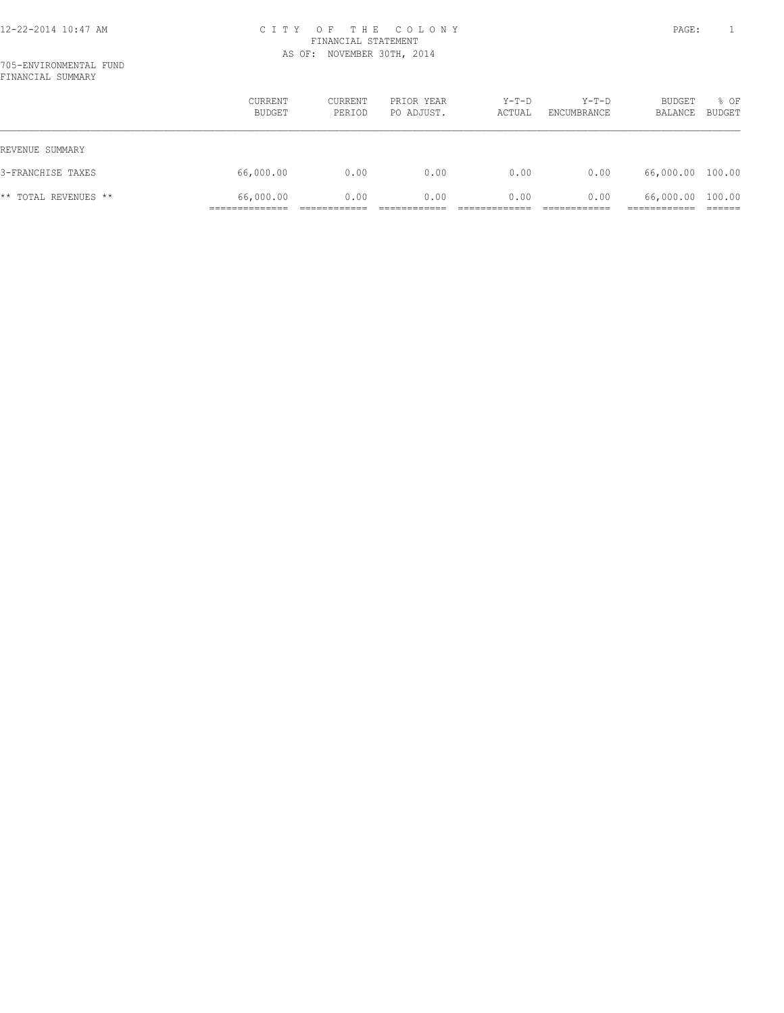705-ENVIRONMENTAL FUND FINANCIAL SUMMARY

|                      | CURRENT<br>BUDGET | CURRENT<br>PERIOD | PRIOR YEAR<br>PO ADJUST. | $Y-T-D$<br>ACTUAL | Y-T-D<br>ENCUMBRANCE | BUDGET<br>BALANCE | % OF<br>BUDGET |
|----------------------|-------------------|-------------------|--------------------------|-------------------|----------------------|-------------------|----------------|
| REVENUE SUMMARY      |                   |                   |                          |                   |                      |                   |                |
| 3-FRANCHISE TAXES    | 66,000.00         | 0.00              | 0.00                     | 0.00              | 0.00                 | 66,000.00 100.00  |                |
| ** TOTAL REVENUES ** | 66,000.00         | 0.00              | 0.00                     | 0.00              | 0.00                 | 66,000.00 100.00  |                |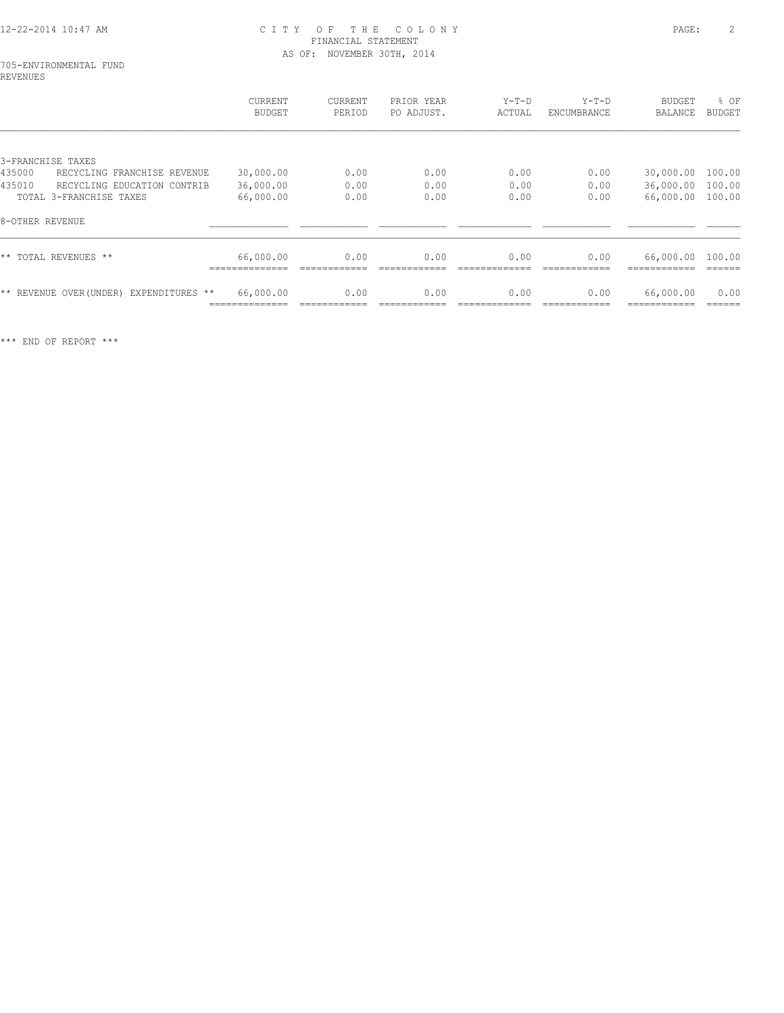## 705-ENVIRONMENTAL FUND REVENUES

|                                         | CURRENT<br>BUDGET | CURRENT<br>PERIOD | PRIOR YEAR<br>PO ADJUST. | $Y-T-D$<br>ACTUAL | $Y-T-D$<br>ENCUMBRANCE | BUDGET<br><b>BALANCE</b> | % OF<br><b>BUDGET</b> |
|-----------------------------------------|-------------------|-------------------|--------------------------|-------------------|------------------------|--------------------------|-----------------------|
|                                         |                   |                   |                          |                   |                        |                          |                       |
| 3-FRANCHISE TAXES                       |                   |                   |                          |                   |                        |                          |                       |
| 435000<br>RECYCLING FRANCHISE REVENUE   | 30,000.00         | 0.00              | 0.00                     | 0.00              | 0.00                   | 30,000.00                | 100.00                |
| 435010<br>RECYCLING EDUCATION CONTRIB   | 36,000.00         | 0.00              | 0.00                     | 0.00              | 0.00                   | 36,000.00 100.00         |                       |
| TOTAL 3-FRANCHISE TAXES                 | 66,000.00         | 0.00              | 0.00                     | 0.00              | 0.00                   | 66,000.00                | 100.00                |
| 8-OTHER REVENUE                         |                   |                   |                          |                   |                        |                          |                       |
| ** TOTAL REVENUES **                    | 66,000.00         | 0.00              | 0.00                     | 0.00              | 0.00                   | 66,000.00                | 100.00                |
|                                         |                   |                   |                          |                   |                        |                          |                       |
| ** REVENUE OVER (UNDER) EXPENDITURES ** | 66,000.00         | 0.00              | 0.00                     | 0.00              | 0.00                   | 66,000.00                | 0.00                  |
|                                         |                   |                   |                          |                   |                        |                          |                       |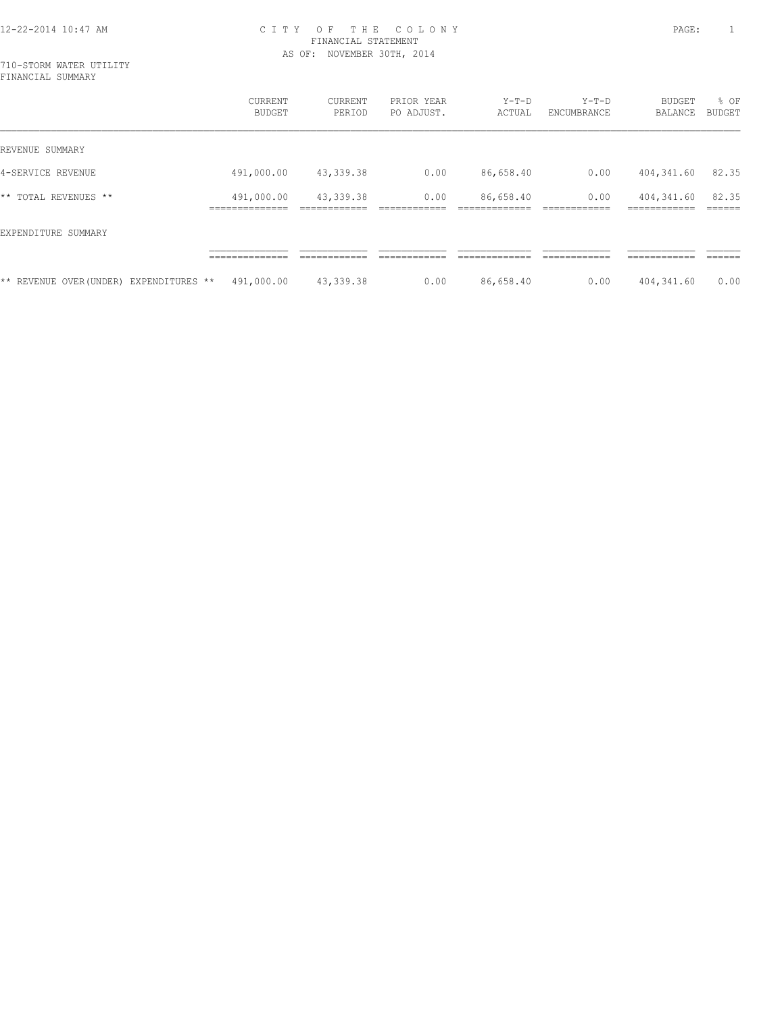|                                        | CURRENT<br>BUDGET          | CURRENT<br>PERIOD | PRIOR YEAR<br>PO ADJUST. | $Y-T-D$<br>ACTUAL | $Y-T-D$<br>ENCUMBRANCE | BUDGET<br>BALANCE          | % OF<br>BUDGET |
|----------------------------------------|----------------------------|-------------------|--------------------------|-------------------|------------------------|----------------------------|----------------|
| REVENUE SUMMARY                        |                            |                   |                          |                   |                        |                            |                |
| 4-SERVICE REVENUE                      | 491,000.00                 | 43,339.38         | 0.00                     | 86,658.40         | 0.00                   | 404,341.60                 | 82.35          |
| ** TOTAL REVENUES **                   | 491,000.00<br>____________ | 43,339.38         | 0.00                     | 86,658.40         | 0.00                   | 404,341.60<br>------------ | 82.35          |
| EXPENDITURE SUMMARY                    |                            |                   |                          |                   |                        |                            |                |
|                                        | -----------                |                   |                          |                   |                        | ---------                  |                |
| ** REVENUE OVER(UNDER) EXPENDITURES ** | 491,000.00                 | 43,339.38         | 0.00                     | 86,658.40         | 0.00                   | 404,341.60                 | 0.00           |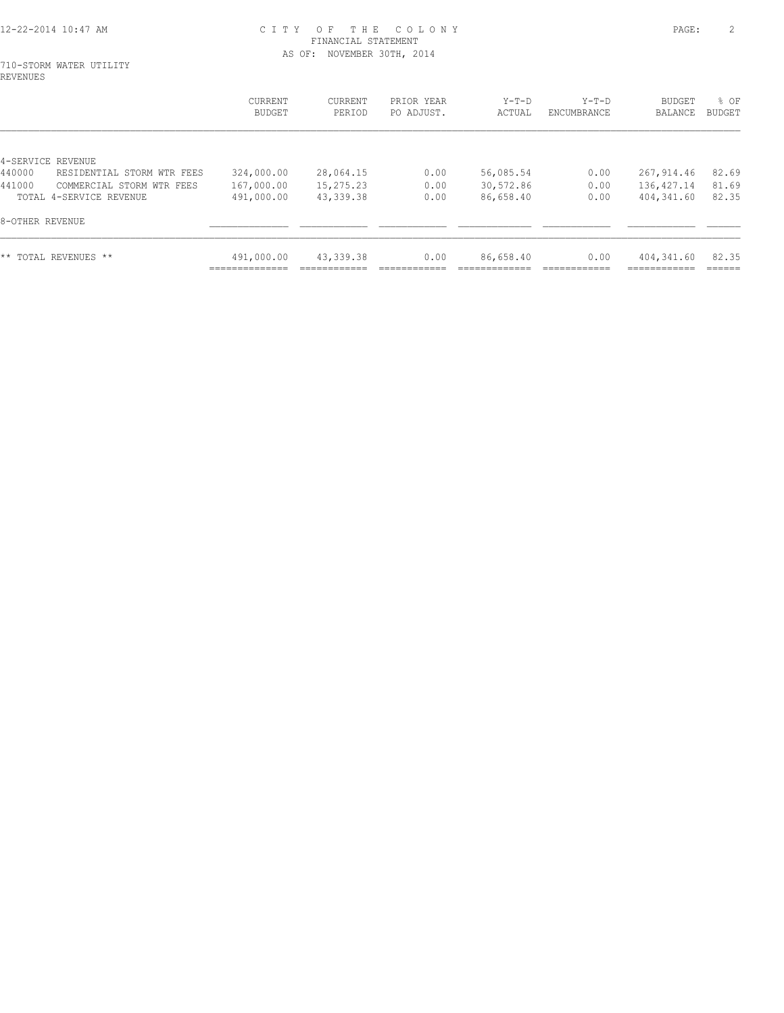#### 710-STORM WATER UTILITY REVENUES

|                                      | <b>CURRENT</b><br>BUDGET   | CURRENT<br>PERIOD | PRIOR YEAR<br>PO ADJUST. | $Y-T-D$<br>ACTUAL | $Y-T-D$<br>ENCUMBRANCE | BUDGET<br>BALANCE | % OF<br><b>BUDGET</b> |
|--------------------------------------|----------------------------|-------------------|--------------------------|-------------------|------------------------|-------------------|-----------------------|
| 4-SERVICE REVENUE                    |                            |                   |                          |                   |                        |                   |                       |
| 440000<br>RESIDENTIAL STORM WTR FEES | 324,000.00                 | 28,064.15         | 0.00                     | 56,085.54         | 0.00                   | 267,914.46        | 82.69                 |
| 441000<br>COMMERCIAL STORM WTR FEES  | 167,000.00                 | 15,275.23         | 0.00                     | 30,572.86         | 0.00                   | 136, 427.14       | 81.69                 |
| TOTAL 4-SERVICE REVENUE              | 491,000.00                 | 43, 339. 38       | 0.00                     | 86,658.40         | 0.00                   | 404,341.60        | 82.35                 |
| 8-OTHER REVENUE                      |                            |                   |                          |                   |                        |                   |                       |
| ** TOTAL REVENUES **                 | 491,000.00<br>____________ | 43, 339. 38       | 0.00                     | 86,658.40         | 0.00                   | 404,341.60        | 82.35                 |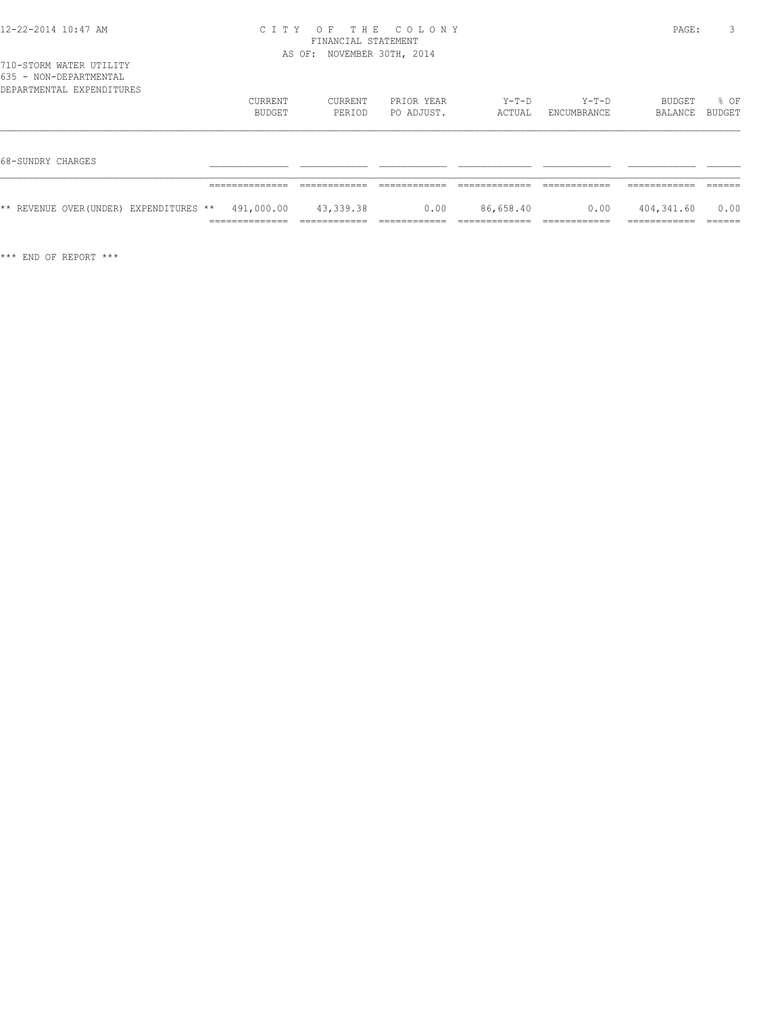|  |  | 710-STORM WATER UTILITY |  |
|--|--|-------------------------|--|
|  |  | 635 - NON-DEPARTMENTAL  |  |

| <b>UJJ</b><br>- IVOIV - DILLI III II III IVI II II<br>DEPARTMENTAL EXPENDITURES |                                                             |                   |                          |                 |                        |                          |                |
|---------------------------------------------------------------------------------|-------------------------------------------------------------|-------------------|--------------------------|-----------------|------------------------|--------------------------|----------------|
|                                                                                 | CURRENT<br>BUDGET                                           | CURRENT<br>PERIOD | PRIOR YEAR<br>PO ADJUST. | Y-T-D<br>ACTUAL | $Y-T-D$<br>ENCUMBRANCE | BUDGET<br>BALANCE        | % OF<br>BUDGET |
|                                                                                 |                                                             |                   |                          |                 |                        |                          |                |
| 68-SUNDRY CHARGES                                                               |                                                             |                   |                          |                 |                        |                          |                |
|                                                                                 | ______________                                              |                   |                          |                 |                        |                          |                |
| ** REVENUE OVER(UNDER) EXPENDITURES **                                          | 491,000.00<br>. _ _ _ _ _ _ _ _ _ _ _ _ _<br>______________ | 43,339.38         | 0.00                     | 86,658.40       | 0.00                   | 404,341.60<br>__________ | 0.00<br>------ |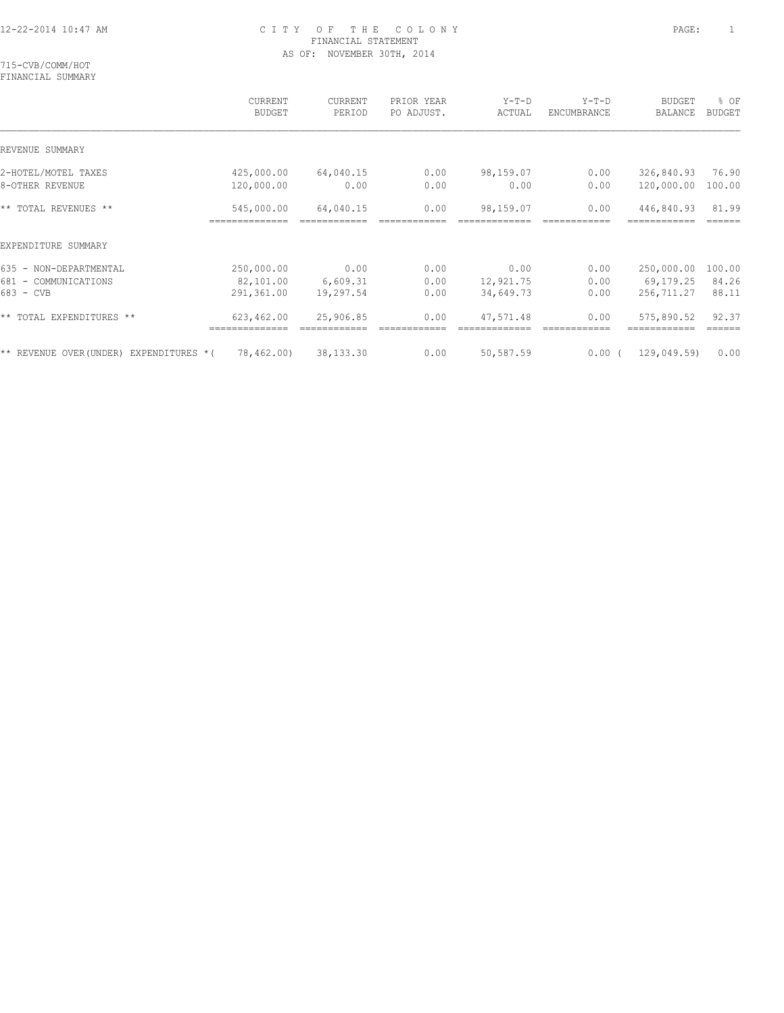715-CVB/COMM/HOT FINANCIAL SUMMARY

|                                         | <b>CURRENT</b><br><b>BUDGET</b> | <b>CURRENT</b><br>PERIOD | PRIOR YEAR<br>PO ADJUST. | $Y-T-D$<br>ACTUAL | $Y-T-D$<br>ENCUMBRANCE | <b>BUDGET</b><br>BALANCE | % OF<br><b>BUDGET</b> |
|-----------------------------------------|---------------------------------|--------------------------|--------------------------|-------------------|------------------------|--------------------------|-----------------------|
| REVENUE SUMMARY                         |                                 |                          |                          |                   |                        |                          |                       |
| 2-HOTEL/MOTEL TAXES                     | 425,000.00                      | 64,040.15                | 0.00                     | 98,159.07         | 0.00                   | 326,840.93               | 76.90                 |
| 8-OTHER REVENUE                         | 120,000.00                      | 0.00                     | 0.00                     | 0.00              | 0.00                   | 120,000.00               | 100.00                |
| ** TOTAL REVENUES **                    | 545,000.00                      | 64,040.15                | 0.00                     | 98,159.07         | 0.00                   | 446,840.93               | 81.99                 |
| EXPENDITURE SUMMARY                     |                                 |                          |                          |                   |                        |                          |                       |
| 635 - NON-DEPARTMENTAL                  | 250,000.00                      | 0.00                     | 0.00                     | 0.00              | 0.00                   | 250,000.00               | 100.00                |
| 681 - COMMUNICATIONS                    | 82,101.00                       | 6,609.31                 | 0.00                     | 12,921.75         | 0.00                   | 69,179.25                | 84.26                 |
| 683 - CVB                               | 291,361.00                      | 19,297.54                | 0.00                     | 34,649.73         | 0.00                   | 256,711.27               | 88.11                 |
| ** TOTAL EXPENDITURES **                | 623,462.00<br>==============    | 25,906.85                | 0.00                     | 47,571.48         | 0.00                   | 575,890.52               | 92.37                 |
| ** REVENUE OVER (UNDER) EXPENDITURES *( | 78,462.00)                      | 38,133.30                | 0.00                     | 50,587.59         | $0.00$ (               | 129,049.59)              | 0.00                  |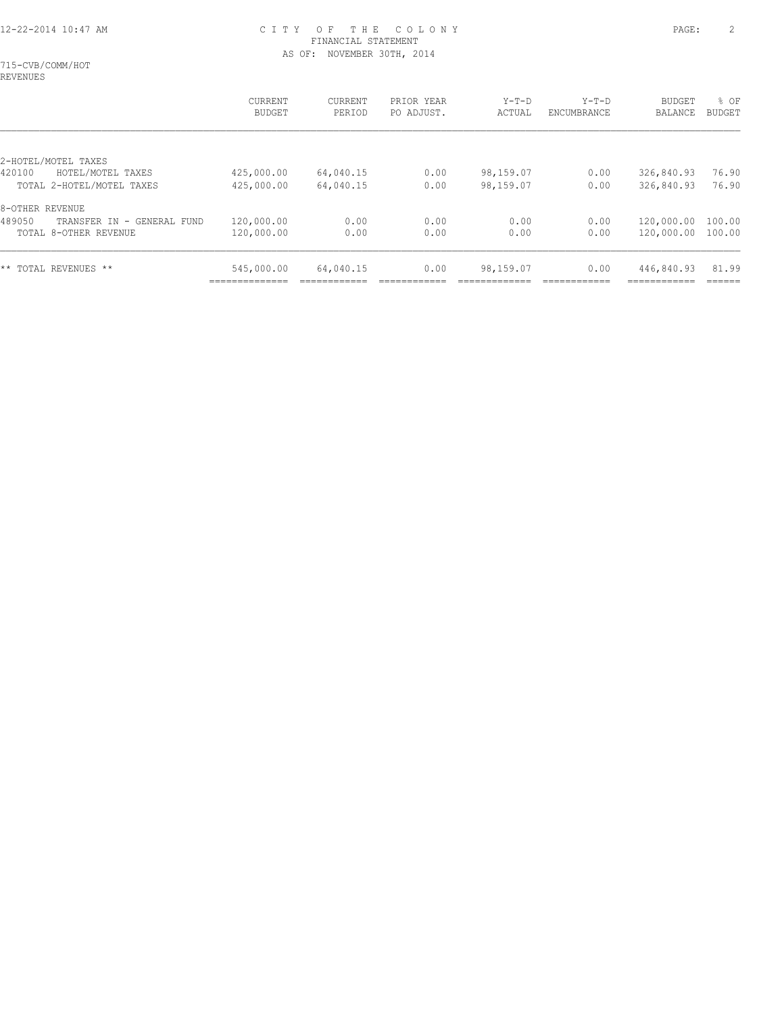715-CVB/COMM/HOT REVENUES

|                                         | CURRENT<br><b>BUDGET</b> | CURRENT<br>PERIOD | PRIOR YEAR<br>PO ADJUST. | $Y-T-D$<br>ACTUAL | $Y-T-D$<br>ENCUMBRANCE | <b>BUDGET</b><br>BALANCE | % OF<br><b>BUDGET</b> |
|-----------------------------------------|--------------------------|-------------------|--------------------------|-------------------|------------------------|--------------------------|-----------------------|
| 2-HOTEL/MOTEL TAXES                     |                          |                   |                          |                   |                        |                          |                       |
| HOTEL/MOTEL TAXES<br>420100             | 425,000.00               | 64,040.15         | 0.00                     | 98,159.07         | 0.00                   | 326,840.93               | 76.90                 |
| TOTAL 2-HOTEL/MOTEL TAXES               | 425,000.00               | 64,040.15         | 0.00                     | 98,159.07         | 0.00                   | 326,840.93               | 76.90                 |
| 8-OTHER REVENUE                         |                          |                   |                          |                   |                        |                          |                       |
| 489050<br>TRANSFER IN<br>- GENERAL FUND | 120,000.00               | 0.00              | 0.00                     | 0.00              | 0.00                   | 120,000.00               | 100.00                |
| TOTAL 8-OTHER REVENUE                   | 120,000.00               | 0.00              | 0.00                     | 0.00              | 0.00                   | 120,000.00               | 100.00                |
| ** TOTAL REVENUES **                    | 545,000.00               | 64,040.15         | 0.00                     | 98,159.07         | 0.00                   | 446,840.93               | 81.99                 |
|                                         |                          |                   |                          |                   |                        |                          |                       |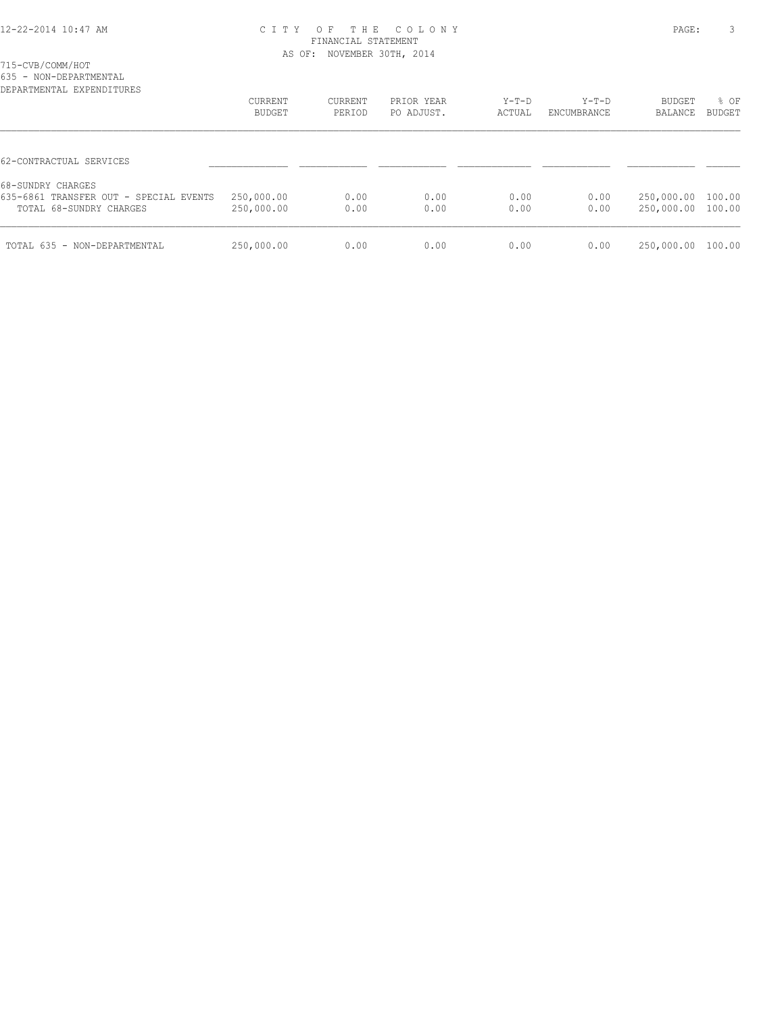715-CVB/COMM/HOT

635 - NON-DEPARTMENTAL

| DEPARTMENTAL EXPENDITURES                                                              | CURRENT<br>BUDGET        | CURRENT<br>PERIOD | PRIOR YEAR<br>PO ADJUST. | $Y-T-D$<br>ACTUAL | $Y-T-D$<br>ENCUMBRANCE | BUDGET<br>BALANCE        | % OF<br>BUDGET   |
|----------------------------------------------------------------------------------------|--------------------------|-------------------|--------------------------|-------------------|------------------------|--------------------------|------------------|
| 62-CONTRACTUAL SERVICES                                                                |                          |                   |                          |                   |                        |                          |                  |
| 68-SUNDRY CHARGES<br>635-6861 TRANSFER OUT - SPECIAL EVENTS<br>TOTAL 68-SUNDRY CHARGES | 250,000.00<br>250,000.00 | 0.00<br>0.00      | 0.00<br>0.00             | 0.00<br>0.00      | 0.00<br>0.00           | 250,000.00<br>250,000.00 | 100.00<br>100.00 |
| TOTAL 635 - NON-DEPARTMENTAL                                                           | 250,000.00               | 0.00              | 0.00                     | 0.00              | 0.00                   | 250,000.00               | 100.00           |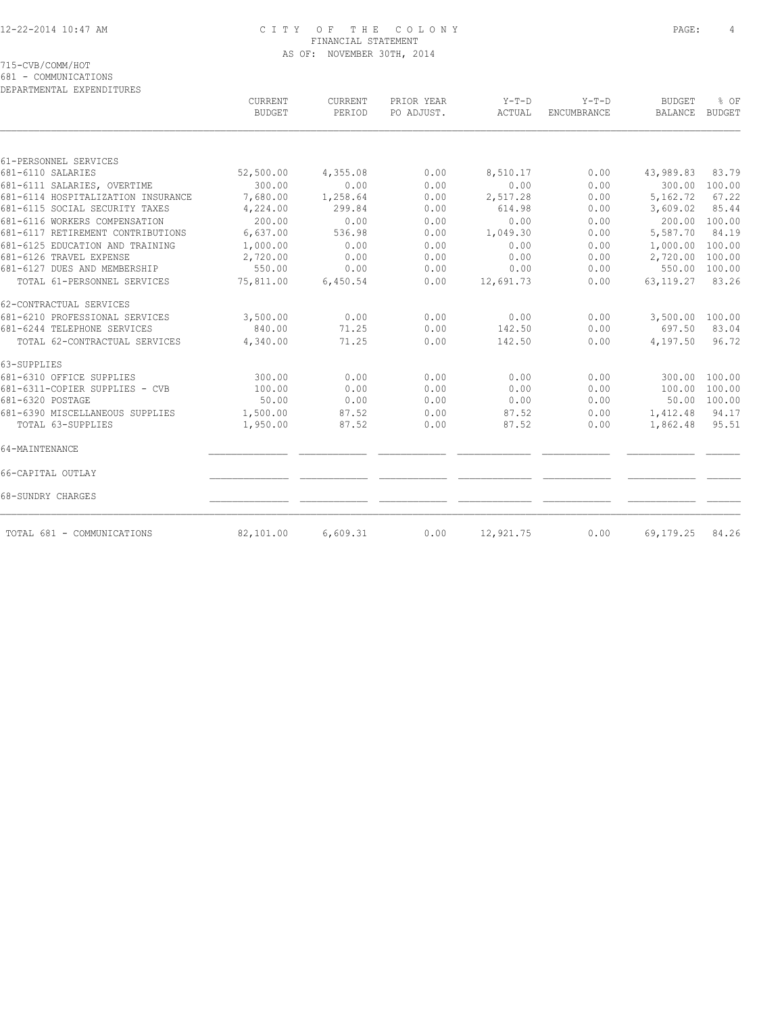715-CVB/COMM/HOT

681 - COMMUNICATIONS

| DEPARTMENTAL EXPENDITURES          |                                 |                          |                          |                   |                        |                          |                       |
|------------------------------------|---------------------------------|--------------------------|--------------------------|-------------------|------------------------|--------------------------|-----------------------|
|                                    | <b>CURRENT</b><br><b>BUDGET</b> | <b>CURRENT</b><br>PERIOD | PRIOR YEAR<br>PO ADJUST. | $Y-T-D$<br>ACTUAL | $Y-T-D$<br>ENCUMBRANCE | <b>BUDGET</b><br>BALANCE | % OF<br><b>BUDGET</b> |
|                                    |                                 |                          |                          |                   |                        |                          |                       |
| 61-PERSONNEL SERVICES              |                                 |                          |                          |                   |                        |                          |                       |
| 681-6110 SALARIES                  | 52,500.00                       | 4,355.08                 | 0.00                     | 8,510.17          | 0.00                   | 43,989.83                | 83.79                 |
| 681-6111 SALARIES, OVERTIME        | 300.00                          | 0.00                     | 0.00                     | 0.00              | 0.00                   | 300.00                   | 100.00                |
| 681-6114 HOSPITALIZATION INSURANCE | 7,680.00                        | 1,258.64                 | 0.00                     | 2,517.28          | 0.00                   | 5,162.72                 | 67.22                 |
| 681-6115 SOCIAL SECURITY TAXES     | 4,224.00                        | 299.84                   | 0.00                     | 614.98            | 0.00                   | 3,609.02                 | 85.44                 |
| 681-6116 WORKERS COMPENSATION      | 200.00                          | 0.00                     | 0.00                     | 0.00              | 0.00                   | 200.00                   | 100.00                |
| 681-6117 RETIREMENT CONTRIBUTIONS  | 6,637.00                        | 536.98                   | 0.00                     | 1,049.30          | 0.00                   | 5,587.70                 | 84.19                 |
| 681-6125 EDUCATION AND TRAINING    | 1,000.00                        | 0.00                     | 0.00                     | 0.00              | 0.00                   | 1,000.00                 | 100.00                |
| 681-6126 TRAVEL EXPENSE            | 2,720.00                        | 0.00                     | 0.00                     | 0.00              | 0.00                   | 2,720.00                 | 100.00                |
| 681-6127 DUES AND MEMBERSHIP       | 550.00                          | 0.00                     | 0.00                     | 0.00              | 0.00                   | 550.00                   | 100.00                |
| TOTAL 61-PERSONNEL SERVICES        | 75,811.00                       | 6,450.54                 | 0.00                     | 12,691.73         | 0.00                   | 63, 119.27               | 83.26                 |
| 62-CONTRACTUAL SERVICES            |                                 |                          |                          |                   |                        |                          |                       |
| 681-6210 PROFESSIONAL SERVICES     | 3,500.00                        | 0.00                     | 0.00                     | 0.00              | 0.00                   | 3,500.00                 | 100.00                |
| 681-6244 TELEPHONE SERVICES        | 840.00                          | 71.25                    | 0.00                     | 142.50            | 0.00                   | 697.50                   | 83.04                 |
| TOTAL 62-CONTRACTUAL SERVICES      | 4,340.00                        | 71.25                    | 0.00                     | 142.50            | 0.00                   | 4,197.50                 | 96.72                 |
| 63-SUPPLIES                        |                                 |                          |                          |                   |                        |                          |                       |
| 681-6310 OFFICE SUPPLIES           | 300.00                          | 0.00                     | 0.00                     | 0.00              | 0.00                   | 300.00                   | 100.00                |
| 681-6311-COPIER SUPPLIES - CVB     | 100.00                          | 0.00                     | 0.00                     | 0.00              | 0.00                   | 100.00                   | 100.00                |
| 681-6320 POSTAGE                   | 50.00                           | 0.00                     | 0.00                     | 0.00              | 0.00                   | 50.00                    | 100.00                |
| 681-6390 MISCELLANEOUS SUPPLIES    | 1,500.00                        | 87.52                    | 0.00                     | 87.52             | 0.00                   | 1,412.48                 | 94.17                 |
| TOTAL 63-SUPPLIES                  | 1,950.00                        | 87.52                    | 0.00                     | 87.52             | 0.00                   | 1,862.48                 | 95.51                 |
| 64-MAINTENANCE                     |                                 |                          |                          |                   |                        |                          |                       |
| 66-CAPITAL OUTLAY                  |                                 |                          |                          |                   |                        |                          |                       |
| 68-SUNDRY CHARGES                  |                                 |                          |                          |                   |                        |                          |                       |
| TOTAL 681 - COMMUNICATIONS         | 82,101.00                       | 6,609.31                 | 0.00                     | 12,921.75         | 0.00                   | 69,179.25                | 84.26                 |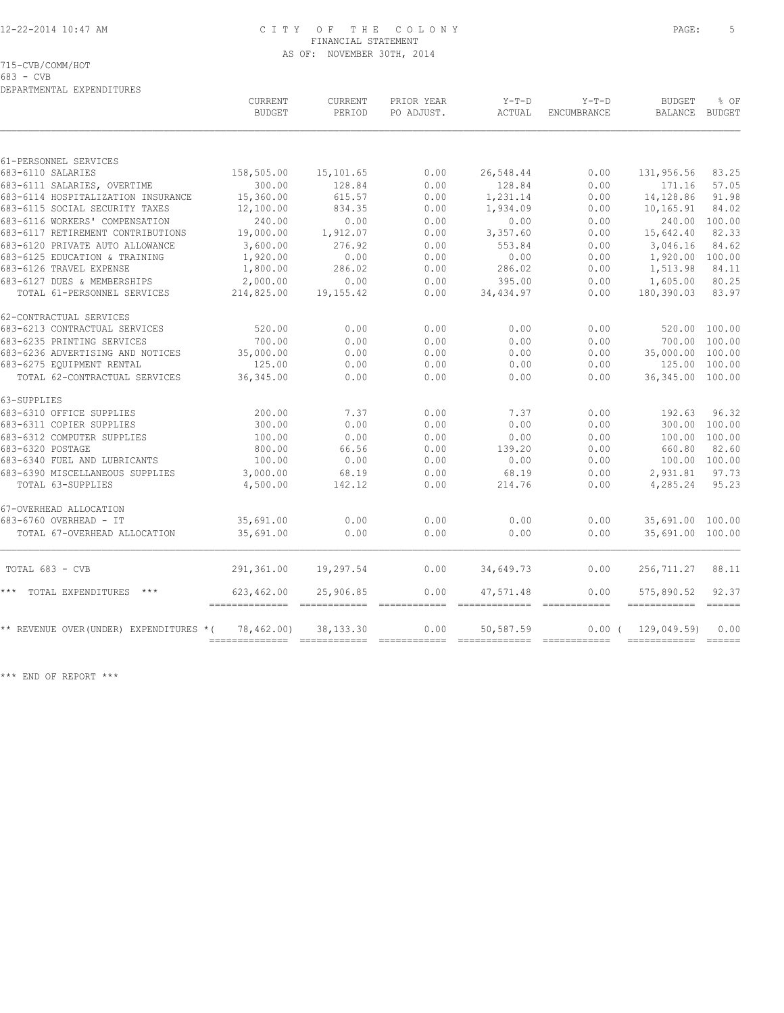715-CVB/COMM/HOT

683 - CVB

| DEPARTMENTAL EXPENDITURES               |                              |                   |                          |                   |                               |                            |                                                                                                                          |
|-----------------------------------------|------------------------------|-------------------|--------------------------|-------------------|-------------------------------|----------------------------|--------------------------------------------------------------------------------------------------------------------------|
|                                         | CURRENT<br><b>BUDGET</b>     | CURRENT<br>PERIOD | PRIOR YEAR<br>PO ADJUST. | $Y-T-D$<br>ACTUAL | $Y-T-D$<br><b>ENCUMBRANCE</b> | <b>BUDGET</b><br>BALANCE   | % OF<br>BUDGET                                                                                                           |
|                                         |                              |                   |                          |                   |                               |                            |                                                                                                                          |
| 61-PERSONNEL SERVICES                   |                              |                   |                          |                   |                               |                            |                                                                                                                          |
| 683-6110 SALARIES                       | 158,505.00                   | 15,101.65         | 0.00                     | 26,548.44         | 0.00                          | 131,956.56                 | 83.25                                                                                                                    |
| 683-6111 SALARIES, OVERTIME             | 300.00                       | 128.84            | 0.00                     | 128.84            | 0.00                          | 171.16                     | 57.05                                                                                                                    |
| 683-6114 HOSPITALIZATION INSURANCE      | 15,360.00                    | 615.57            | 0.00                     | 1,231.14          | 0.00                          | 14,128.86                  | 91.98                                                                                                                    |
| 683-6115 SOCIAL SECURITY TAXES          | 12,100.00                    | 834.35            | 0.00                     | 1,934.09          | 0.00                          | 10,165.91                  | 84.02                                                                                                                    |
| 683-6116 WORKERS' COMPENSATION          | 240.00                       | 0.00              | 0.00                     | 0.00              | 0.00                          | 240.00                     | 100.00                                                                                                                   |
| 683-6117 RETIREMENT CONTRIBUTIONS       | 19,000.00                    | 1,912.07          | 0.00                     | 3,357.60          | 0.00                          | 15,642.40                  | 82.33                                                                                                                    |
| 683-6120 PRIVATE AUTO ALLOWANCE         | 3,600.00                     | 276.92            | 0.00                     | 553.84            | 0.00                          | 3,046.16                   | 84.62                                                                                                                    |
| 683-6125 EDUCATION & TRAINING           | 1,920.00                     | 0.00              | 0.00                     | 0.00              | 0.00                          | 1,920.00                   | 100.00                                                                                                                   |
| 683-6126 TRAVEL EXPENSE                 | 1,800.00                     | 286.02            | 0.00                     | 286.02            | 0.00                          | 1,513.98                   | 84.11                                                                                                                    |
| 683-6127 DUES & MEMBERSHIPS             | 2,000.00                     | 0.00              | 0.00                     | 395.00            | 0.00                          | 1,605.00                   | 80.25                                                                                                                    |
| TOTAL 61-PERSONNEL SERVICES             | 214,825.00                   | 19,155.42         | 0.00                     | 34,434.97         | 0.00                          | 180,390.03                 | 83.97                                                                                                                    |
| 62-CONTRACTUAL SERVICES                 |                              |                   |                          |                   |                               |                            |                                                                                                                          |
| 683-6213 CONTRACTUAL SERVICES           | 520.00                       | 0.00              | 0.00                     | 0.00              | 0.00                          | 520.00                     | 100.00                                                                                                                   |
| 683-6235 PRINTING SERVICES              | 700.00                       | 0.00              | 0.00                     | 0.00              | 0.00                          | 700.00                     | 100.00                                                                                                                   |
| 683-6236 ADVERTISING AND NOTICES        | 35,000.00                    | 0.00              | 0.00                     | 0.00              | 0.00                          | 35,000.00 100.00           |                                                                                                                          |
| 683-6275 EQUIPMENT RENTAL               | 125.00                       | 0.00              | 0.00                     | 0.00              | 0.00                          | 125.00                     | 100.00                                                                                                                   |
| TOTAL 62-CONTRACTUAL SERVICES           | 36, 345.00                   | 0.00              | 0.00                     | 0.00              | 0.00                          | 36, 345.00 100.00          |                                                                                                                          |
| 63-SUPPLIES                             |                              |                   |                          |                   |                               |                            |                                                                                                                          |
| 683-6310 OFFICE SUPPLIES                | 200.00                       | 7.37              | 0.00                     | 7.37              | 0.00                          | 192.63                     | 96.32                                                                                                                    |
| 683-6311 COPIER SUPPLIES                | 300.00                       | 0.00              | 0.00                     | 0.00              | 0.00                          | 300.00                     | 100.00                                                                                                                   |
| 683-6312 COMPUTER SUPPLIES              | 100.00                       | 0.00              | 0.00                     | 0.00              | 0.00                          | 100.00                     | 100.00                                                                                                                   |
| 683-6320 POSTAGE                        | 800.00                       | 66.56             | 0.00                     | 139.20            | 0.00                          | 660.80                     | 82.60                                                                                                                    |
| 683-6340 FUEL AND LUBRICANTS            | 100.00                       | 0.00              | 0.00                     | 0.00              | 0.00                          | 100.00 100.00              |                                                                                                                          |
| 683-6390 MISCELLANEOUS SUPPLIES         | 3,000.00                     | 68.19             | 0.00                     | 68.19             | 0.00                          | 2,931.81                   | 97.73                                                                                                                    |
| TOTAL 63-SUPPLIES                       | 4,500.00                     | 142.12            | 0.00                     | 214.76            | 0.00                          | 4,285.24                   | 95.23                                                                                                                    |
| 67-OVERHEAD ALLOCATION                  |                              |                   |                          |                   |                               |                            |                                                                                                                          |
| 683-6760 OVERHEAD - IT                  | 35,691.00                    | 0.00              | 0.00                     | 0.00              | 0.00                          | 35,691.00                  | 100.00                                                                                                                   |
| TOTAL 67-OVERHEAD ALLOCATION            | 35,691.00                    | 0.00              | 0.00                     | 0.00              | 0.00                          | 35,691.00 100.00           |                                                                                                                          |
| TOTAL 683 - CVB                         | 291,361.00                   | 19,297.54         | 0.00                     | 34,649.73         | 0.00                          | 256,711.27                 | 88.11                                                                                                                    |
| *** TOTAL EXPENDITURES ***              | 623,462.00<br>============== | 25,906.85         | 0.00                     | 47,571.48         | 0.00                          | 575,890.52<br>------------ | 92.37<br>$\begin{array}{c} \multicolumn{3}{c} {\color{blue} \textbf{m} } \textbf{m} = \textbf{m} \textbf{m} \end{array}$ |
| ** REVENUE OVER (UNDER) EXPENDITURES *( | 78,462.00)                   | 38, 133. 30       | 0.00                     | 50,587.59         | 0.00(                         | 129,049.59)                | 0.00                                                                                                                     |
|                                         |                              |                   |                          |                   |                               | ------------               | $=$ $=$ $=$ $=$ $=$ $=$                                                                                                  |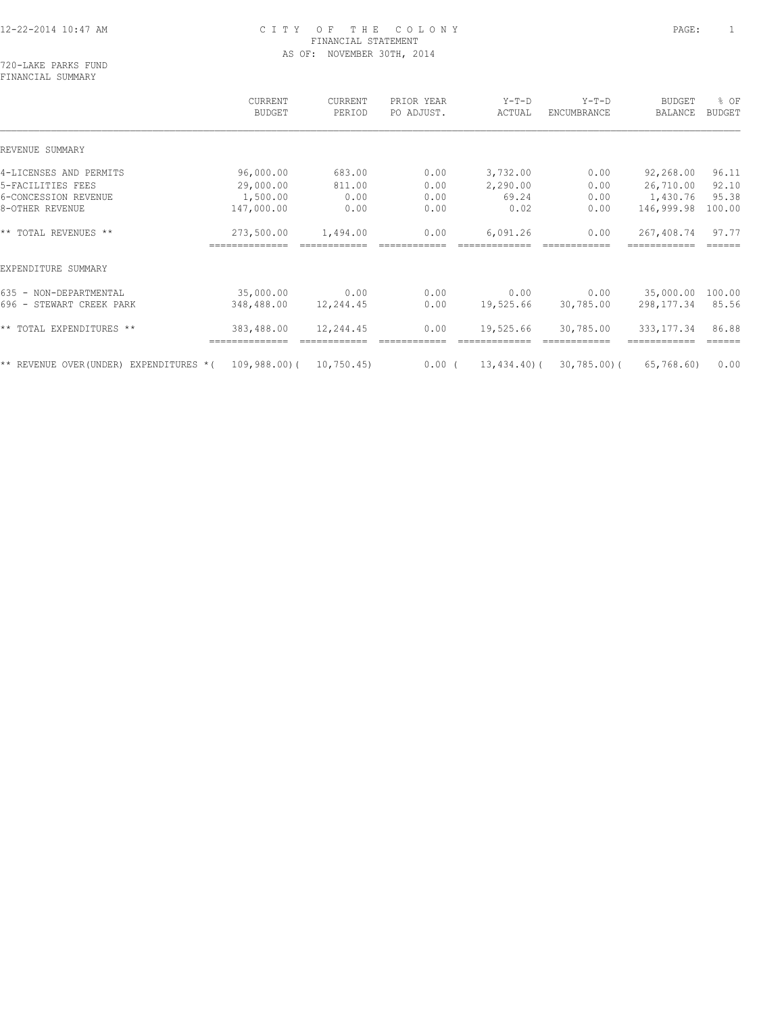720-LAKE PARKS FUND FINANCIAL SUMMARY

|                                                                       | CURRENT<br><b>BUDGET</b> | CURRENT<br>PERIOD | PRIOR YEAR<br>PO ADJUST. | $Y-T-D$<br>ACTUAL | $Y-T-D$<br>ENCUMBRANCE | <b>BUDGET</b><br><b>BALANCE</b> | % OF<br><b>BUDGET</b> |
|-----------------------------------------------------------------------|--------------------------|-------------------|--------------------------|-------------------|------------------------|---------------------------------|-----------------------|
| REVENUE SUMMARY                                                       |                          |                   |                          |                   |                        |                                 |                       |
| 4-LICENSES AND PERMITS                                                | 96,000.00                | 683.00            | 0.00                     | 3,732.00          | 0.00                   | 92,268.00                       | 96.11                 |
| 5-FACILITIES FEES                                                     | 29,000.00                | 811.00            | 0.00                     | 2,290.00          | 0.00                   | 26,710.00                       | 92.10                 |
| 6-CONCESSION REVENUE                                                  | 1,500.00                 | 0.00              | 0.00                     | 69.24             | 0.00                   | 1,430.76                        | 95.38                 |
| 8-OTHER REVENUE                                                       | 147,000.00               | 0.00              | 0.00                     | 0.02              | 0.00                   | 146,999.98                      | 100.00                |
| ** TOTAL REVENUES **                                                  | 273,500.00               | 1,494.00          | 0.00                     | 6,091.26          | 0.00                   | 267,408.74                      | 97.77                 |
| EXPENDITURE SUMMARY                                                   |                          |                   |                          |                   |                        |                                 |                       |
| 635 - NON-DEPARTMENTAL                                                | 35,000.00                | 0.00              | 0.00                     | 0.00              | 0.00                   | 35,000.00                       | 100.00                |
| 696 - STEWART CREEK PARK                                              | 348,488.00               | 12,244.45         | 0.00                     | 19,525.66         | 30,785.00              | 298,177.34                      | 85.56                 |
| ** TOTAL EXPENDITURES **                                              | 383,488.00               | 12,244.45         | 0.00                     | 19,525.66         | 30,785.00              | 333, 177.34                     | 86.88                 |
|                                                                       |                          |                   |                          |                   |                        |                                 | ======                |
| $\star\star$ REVENUE OVER(UNDER) EXPENDITURES $\star$ ( 109,988.00) ( |                          | 10,750.45         | $0.00$ (                 | 13,434.40)(       | 30,785.00)(            | 65,768.60)                      | 0.00                  |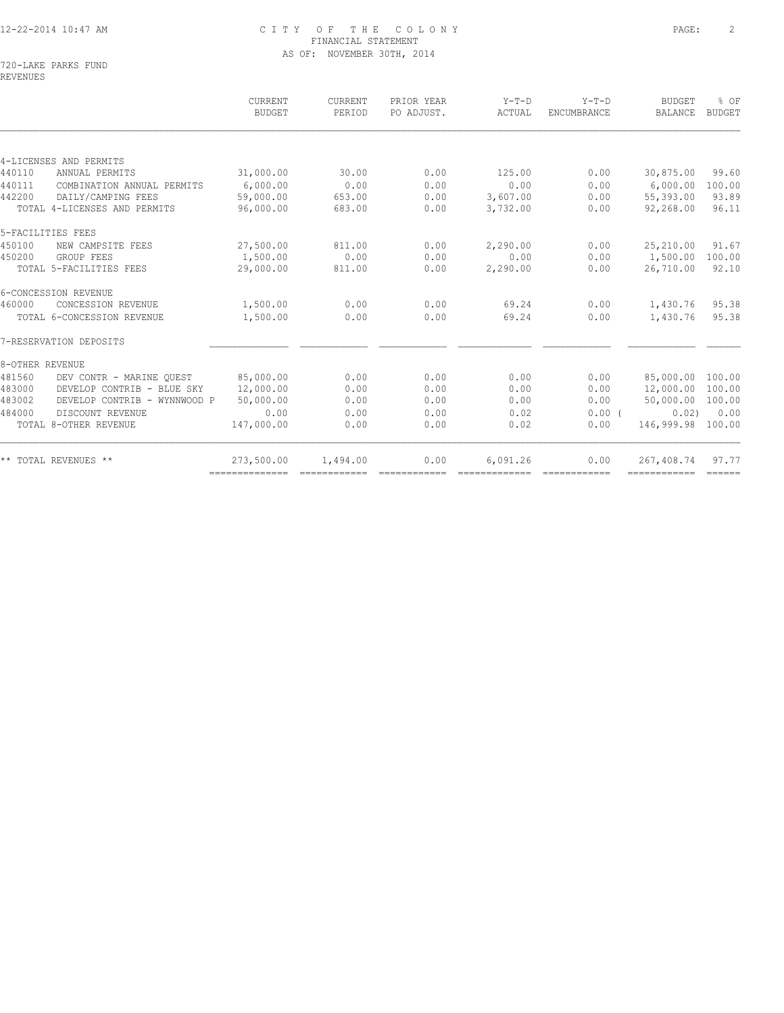|                              |            |                        |      |          | ENCUMBRANCE | BALANCE   | <b>BUDGET</b>                                                                                                    |
|------------------------------|------------|------------------------|------|----------|-------------|-----------|------------------------------------------------------------------------------------------------------------------|
|                              |            |                        |      |          |             |           |                                                                                                                  |
| 4-LICENSES AND PERMITS       |            |                        |      |          |             |           |                                                                                                                  |
| ANNUAL PERMITS               | 31,000.00  | 30.00                  | 0.00 | 125.00   | 0.00        | 30,875.00 | 99.60                                                                                                            |
| COMBINATION ANNUAL PERMITS   | 6.000.00   | 0.00                   | 0.00 | 0.00     | 0.00        | 6,000.00  | 100.00                                                                                                           |
| DAILY/CAMPING FEES           | 59,000.00  | 653.00                 | 0.00 | 3,607.00 | 0.00        | 55,393.00 | 93.89                                                                                                            |
| TOTAL 4-LICENSES AND PERMITS | 96,000.00  | 683.00                 | 0.00 | 3,732.00 | 0.00        | 92,268.00 | 96.11                                                                                                            |
| 5-FACILITIES FEES            |            |                        |      |          |             |           |                                                                                                                  |
| NEW CAMPSITE FEES            | 27,500.00  | 811.00                 | 0.00 | 2,290.00 | 0.00        | 25,210.00 | 91.67                                                                                                            |
| GROUP FEES                   | 1,500.00   | 0.00                   | 0.00 | 0.00     | 0.00        |           | 100.00                                                                                                           |
| TOTAL 5-FACILITIES FEES      | 29,000.00  | 811.00                 | 0.00 | 2,290.00 | 0.00        | 26,710.00 | 92.10                                                                                                            |
| 6-CONCESSION REVENUE         |            |                        |      |          |             |           |                                                                                                                  |
| CONCESSION REVENUE           | 1,500.00   | 0.00                   | 0.00 | 69.24    | 0.00        | 1,430.76  | 95.38                                                                                                            |
| TOTAL 6-CONCESSION REVENUE   | 1,500.00   | 0.00                   | 0.00 | 69.24    | 0.00        | 1,430.76  | 95.38                                                                                                            |
| 7-RESERVATION DEPOSITS       |            |                        |      |          |             |           |                                                                                                                  |
| 8-OTHER REVENUE              |            |                        |      |          |             |           |                                                                                                                  |
| DEV CONTR - MARINE OUEST     |            | 0.00                   | 0.00 | 0.00     | 0.00        |           |                                                                                                                  |
| DEVELOP CONTRIB - BLUE SKY   |            | 0.00                   | 0.00 | 0.00     | 0.00        |           |                                                                                                                  |
| DEVELOP CONTRIB - WYNNWOOD P | 50,000.00  | 0.00                   | 0.00 | 0.00     | 0.00        |           |                                                                                                                  |
| DISCOUNT REVENUE             | 0.00       | 0.00                   | 0.00 | 0.02     | $0.00$ (    |           | 0.00                                                                                                             |
| TOTAL 8-OTHER REVENUE        | 147,000.00 | 0.00                   | 0.00 | 0.02     | 0.00        |           |                                                                                                                  |
| ** TOTAL REVENUES **         | 273,500.00 | 1,494.00               | 0.00 | 6,091.26 | 0.00        |           | 97.77                                                                                                            |
|                              |            | 85,000.00<br>12,000.00 |      |          |             |           | 1,500.00<br>85,000.00 100.00<br>12,000.00 100.00<br>50,000.00 100.00<br>0.02)<br>146,999.98 100.00<br>267,408.74 |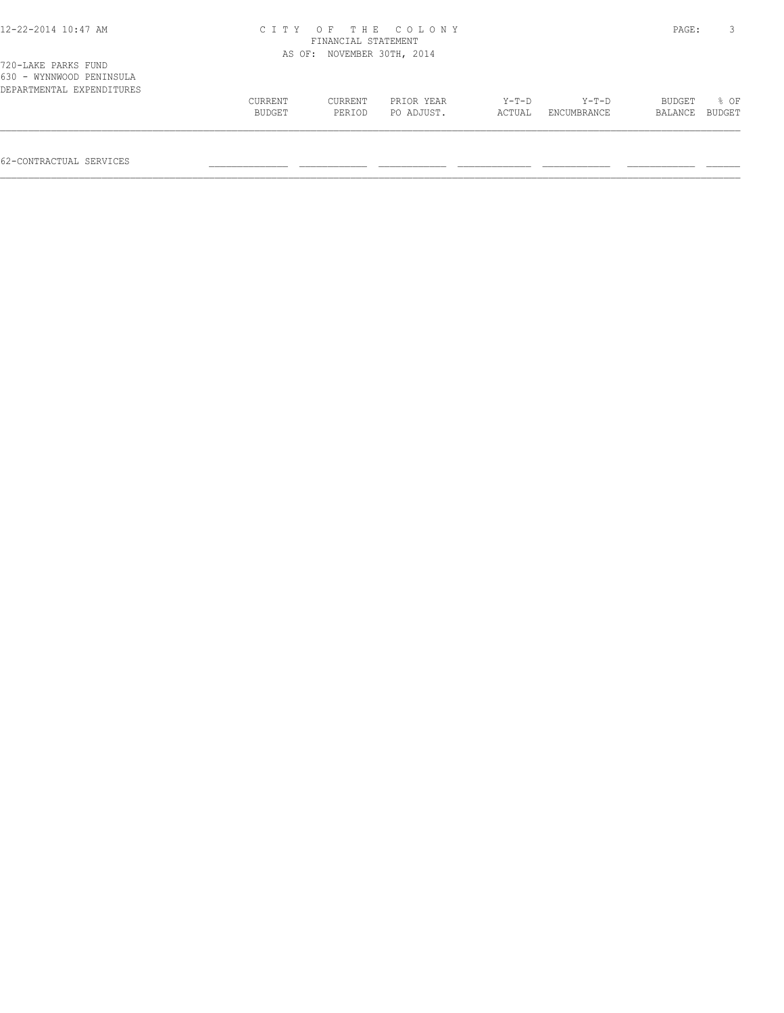| 12-22-2014 10:47 AM |  |  |
|---------------------|--|--|
|---------------------|--|--|

| , CO BINU LINUO LOND      |         |         |            |         |                    |                |  |
|---------------------------|---------|---------|------------|---------|--------------------|----------------|--|
| 630 - WYNNWOOD PENINSULA  |         |         |            |         |                    |                |  |
| DEPARTMENTAL EXPENDITURES |         |         |            |         |                    |                |  |
|                           | CURRENT | CURRENT | PRIOR YEAR | $Y-T-D$ | Y-T-D              | BUDGET % OF    |  |
|                           | BUDGET  | PERIOD  | PO ADJUST. |         | ACTUAL ENCUMBRANCE | BALANCE BUDGET |  |
|                           |         |         |            |         |                    |                |  |

62-CONTRACTUAL SERVICES \_\_\_\_\_\_\_\_\_\_\_\_\_\_ \_\_\_\_\_\_\_\_\_\_\_\_ \_\_\_\_\_\_\_\_\_\_\_\_ \_\_\_\_\_\_\_\_\_\_\_\_\_ \_\_\_\_\_\_\_\_\_\_\_\_ \_\_\_\_\_\_\_\_\_\_\_\_ \_\_\_\_\_\_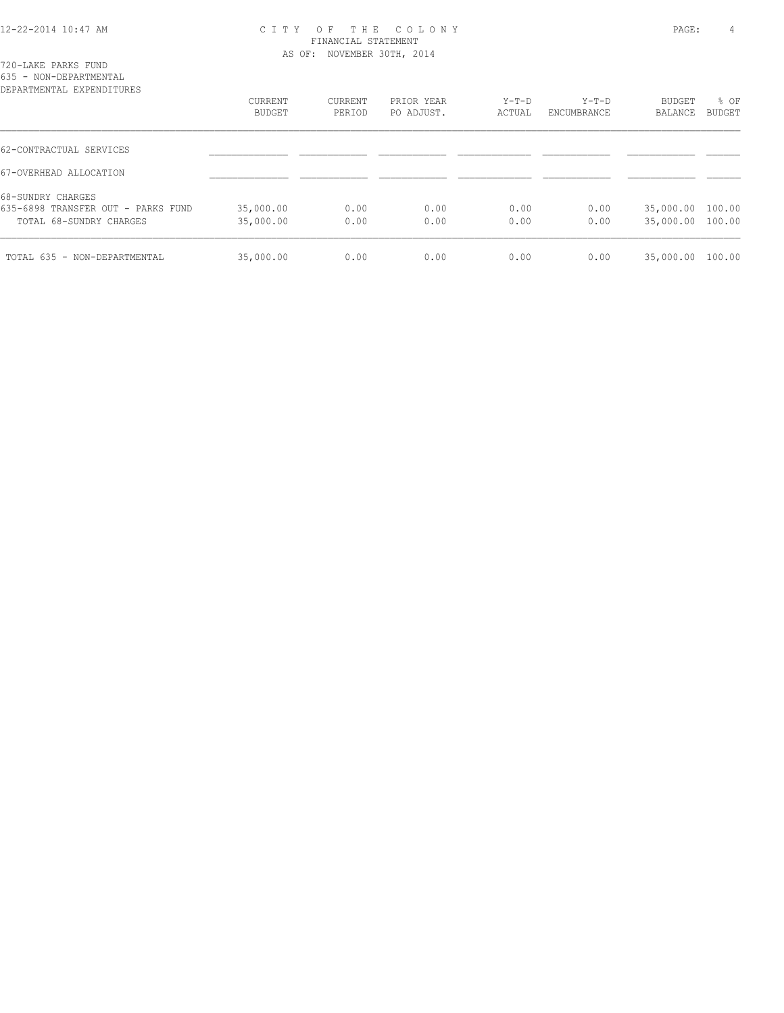720-LAKE PARKS FUND 635 - NON-DEPARTMENTAL

| DEPARTMENTAL EXPENDITURES          | CURRENT<br>BUDGET | CURRENT<br>PERIOD | PRIOR YEAR<br>PO ADJUST. | $Y-T-D$<br>ACTUAL | $Y-T-D$<br>ENCUMBRANCE | BUDGET<br>BALANCE | % OF<br>BUDGET |
|------------------------------------|-------------------|-------------------|--------------------------|-------------------|------------------------|-------------------|----------------|
|                                    |                   |                   |                          |                   |                        |                   |                |
| 62-CONTRACTUAL SERVICES            |                   |                   |                          |                   |                        |                   |                |
| 67-OVERHEAD ALLOCATION             |                   |                   |                          |                   |                        |                   |                |
| 68-SUNDRY CHARGES                  |                   |                   |                          |                   |                        |                   |                |
| 635-6898 TRANSFER OUT - PARKS FUND | 35,000.00         | 0.00              | 0.00                     | 0.00              | 0.00                   | 35,000.00 100.00  |                |
| TOTAL 68-SUNDRY CHARGES            | 35,000.00         | 0.00              | 0.00                     | 0.00              | 0.00                   | 35,000.00 100.00  |                |
| TOTAL 635 - NON-DEPARTMENTAL       | 35,000.00         | 0.00              | 0.00                     | 0.00              | 0.00                   | 35,000.00         | 100.00         |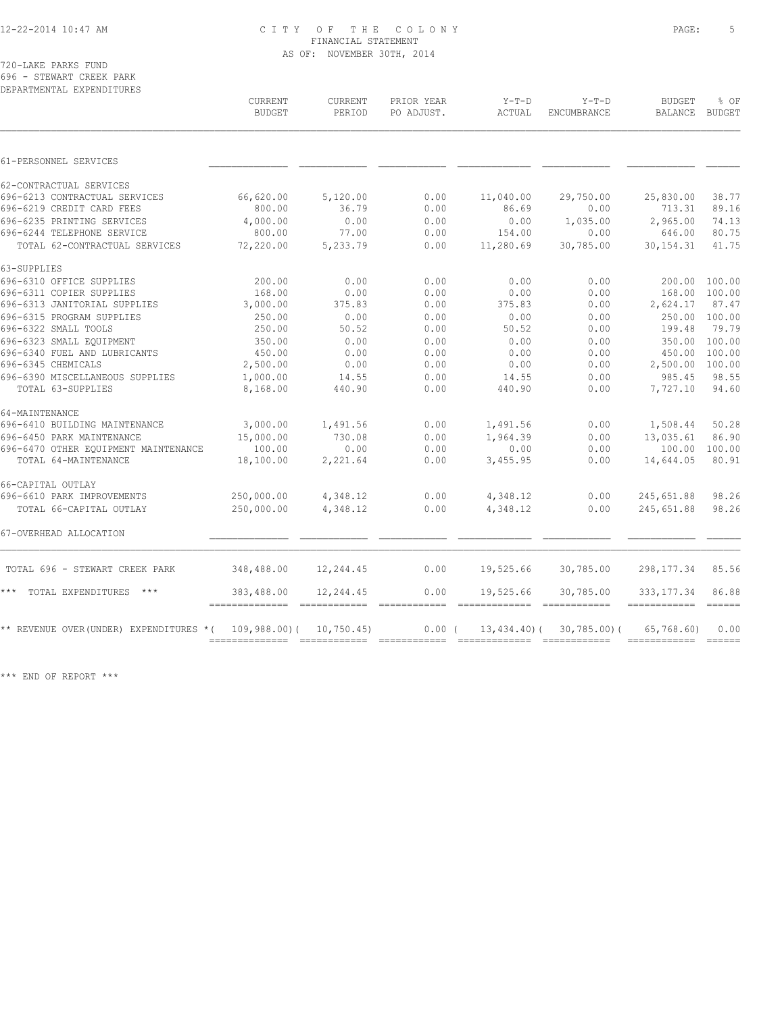720-LAKE PARKS FUND 696 - STEWART CREEK PARK

| DEPARTMENTAL EXPENDITURES                |                                             |                          |                                                                                                                                                                                                                                                                                                                                                                                                                                                                                                |                   |                        |                             |                                  |
|------------------------------------------|---------------------------------------------|--------------------------|------------------------------------------------------------------------------------------------------------------------------------------------------------------------------------------------------------------------------------------------------------------------------------------------------------------------------------------------------------------------------------------------------------------------------------------------------------------------------------------------|-------------------|------------------------|-----------------------------|----------------------------------|
|                                          | CURRENT<br><b>BUDGET</b>                    | <b>CURRENT</b><br>PERIOD | PRIOR YEAR<br>PO ADJUST.                                                                                                                                                                                                                                                                                                                                                                                                                                                                       | $Y-T-D$<br>ACTUAL | $Y-T-D$<br>ENCUMBRANCE | <b>BUDGET</b><br>BALANCE    | % OF<br>BUDGET                   |
|                                          |                                             |                          |                                                                                                                                                                                                                                                                                                                                                                                                                                                                                                |                   |                        |                             |                                  |
| 61-PERSONNEL SERVICES                    |                                             |                          |                                                                                                                                                                                                                                                                                                                                                                                                                                                                                                |                   |                        |                             |                                  |
| 62-CONTRACTUAL SERVICES                  |                                             |                          |                                                                                                                                                                                                                                                                                                                                                                                                                                                                                                |                   |                        |                             |                                  |
| 696-6213 CONTRACTUAL SERVICES            | 66,620.00                                   | 5,120.00                 | 0.00                                                                                                                                                                                                                                                                                                                                                                                                                                                                                           | 11,040.00         | 29,750.00              | 25,830.00                   | 38.77                            |
| 696-6219 CREDIT CARD FEES                | 800.00                                      | 36.79                    | 0.00                                                                                                                                                                                                                                                                                                                                                                                                                                                                                           | 86.69             | 0.00                   | 713.31                      | 89.16                            |
| 696-6235 PRINTING SERVICES               | 4,000.00                                    | 0.00                     | 0.00                                                                                                                                                                                                                                                                                                                                                                                                                                                                                           | 0.00              | 1,035.00               | 2,965.00                    | 74.13                            |
| 696-6244 TELEPHONE SERVICE               | 800.00                                      | 77.00                    | 0.00                                                                                                                                                                                                                                                                                                                                                                                                                                                                                           | 154.00            | 0.00                   | 646.00                      | 80.75                            |
| TOTAL 62-CONTRACTUAL SERVICES            | 72,220.00                                   | 5,233.79                 | 0.00                                                                                                                                                                                                                                                                                                                                                                                                                                                                                           | 11,280.69         | 30,785.00              | 30, 154. 31                 | 41.75                            |
| 63-SUPPLIES                              |                                             |                          |                                                                                                                                                                                                                                                                                                                                                                                                                                                                                                |                   |                        |                             |                                  |
| 696-6310 OFFICE SUPPLIES                 | 200.00                                      | 0.00                     | 0.00                                                                                                                                                                                                                                                                                                                                                                                                                                                                                           | 0.00              | 0.00                   | 200.00                      | 100.00                           |
| 696-6311 COPIER SUPPLIES                 | 168.00                                      | 0.00                     | 0.00                                                                                                                                                                                                                                                                                                                                                                                                                                                                                           | 0.00              | 0.00                   | 168.00                      | 100.00                           |
| 696-6313 JANITORIAL SUPPLIES             | 3,000.00                                    | 375.83                   | 0.00                                                                                                                                                                                                                                                                                                                                                                                                                                                                                           | 375.83            | 0.00                   | 2,624.17                    | 87.47                            |
| 696-6315 PROGRAM SUPPLIES                | 250.00                                      | 0.00                     | 0.00                                                                                                                                                                                                                                                                                                                                                                                                                                                                                           | 0.00              | 0.00                   |                             | 250.00 100.00                    |
| 696-6322 SMALL TOOLS                     | 250.00                                      | 50.52                    | 0.00                                                                                                                                                                                                                                                                                                                                                                                                                                                                                           | 50.52             | 0.00                   | 199.48                      | 79.79                            |
| 696-6323 SMALL EQUIPMENT                 | 350.00                                      | 0.00                     | 0.00                                                                                                                                                                                                                                                                                                                                                                                                                                                                                           | 0.00              | 0.00                   | 350.00                      | 100.00                           |
| 696-6340 FUEL AND LUBRICANTS             | 450.00                                      | 0.00                     | 0.00                                                                                                                                                                                                                                                                                                                                                                                                                                                                                           | 0.00              | 0.00                   | 450.00                      | 100.00                           |
| 696-6345 CHEMICALS                       | 2,500.00                                    | 0.00                     | 0.00                                                                                                                                                                                                                                                                                                                                                                                                                                                                                           | 0.00              | 0.00                   | 2,500.00 100.00             |                                  |
| 696-6390 MISCELLANEOUS SUPPLIES          | 1,000.00                                    | 14.55                    | 0.00                                                                                                                                                                                                                                                                                                                                                                                                                                                                                           | 14.55             | 0.00                   | 985.45                      | 98.55                            |
| TOTAL 63-SUPPLIES                        | 8,168.00                                    | 440.90                   | 0.00                                                                                                                                                                                                                                                                                                                                                                                                                                                                                           | 440.90            | 0.00                   | 7,727.10                    | 94.60                            |
| 64-MAINTENANCE                           |                                             |                          |                                                                                                                                                                                                                                                                                                                                                                                                                                                                                                |                   |                        |                             |                                  |
| 696-6410 BUILDING MAINTENANCE            | 3,000.00                                    | 1,491.56                 | 0.00                                                                                                                                                                                                                                                                                                                                                                                                                                                                                           | 1,491.56          | 0.00                   | 1,508.44                    | 50.28                            |
| 696-6450 PARK MAINTENANCE                | 15,000.00                                   | 730.08                   | 0.00                                                                                                                                                                                                                                                                                                                                                                                                                                                                                           | 1,964.39          | 0.00                   | 13,035.61                   | 86.90                            |
| 696-6470 OTHER EQUIPMENT MAINTENANCE     | 100.00                                      | 0.00                     | 0.00                                                                                                                                                                                                                                                                                                                                                                                                                                                                                           | 0.00              | 0.00                   | 100.00 100.00               |                                  |
| TOTAL 64-MAINTENANCE                     | 18,100.00                                   | 2,221.64                 | 0.00                                                                                                                                                                                                                                                                                                                                                                                                                                                                                           | 3,455.95          | 0.00                   | 14,644.05                   | 80.91                            |
| 66-CAPITAL OUTLAY                        |                                             |                          |                                                                                                                                                                                                                                                                                                                                                                                                                                                                                                |                   |                        |                             |                                  |
| 696-6610 PARK IMPROVEMENTS               | 250,000.00                                  | 4,348.12                 | 0.00                                                                                                                                                                                                                                                                                                                                                                                                                                                                                           | 4,348.12          | 0.00                   | 245,651.88                  | 98.26                            |
| TOTAL 66-CAPITAL OUTLAY                  | 250,000.00                                  | 4,348.12                 | 0.00                                                                                                                                                                                                                                                                                                                                                                                                                                                                                           | 4,348.12          | 0.00                   | 245,651.88                  | 98.26                            |
| 67-OVERHEAD ALLOCATION                   |                                             |                          |                                                                                                                                                                                                                                                                                                                                                                                                                                                                                                |                   |                        |                             |                                  |
| TOTAL 696 - STEWART CREEK PARK           | 348,488.00                                  | 12,244.45                | 0.00                                                                                                                                                                                                                                                                                                                                                                                                                                                                                           | 19,525.66         | 30,785.00              | 298, 177.34                 | 85.56                            |
| *** TOTAL EXPENDITURES<br>$***$          | 383,488.00<br>--------------- ------------- | 12,244.45                | 0.00<br>$\begin{array}{cccccccccc} \multicolumn{2}{c}{} & \multicolumn{2}{c}{} & \multicolumn{2}{c}{} & \multicolumn{2}{c}{} & \multicolumn{2}{c}{} & \multicolumn{2}{c}{} & \multicolumn{2}{c}{} & \multicolumn{2}{c}{} & \multicolumn{2}{c}{} & \multicolumn{2}{c}{} & \multicolumn{2}{c}{} & \multicolumn{2}{c}{} & \multicolumn{2}{c}{} & \multicolumn{2}{c}{} & \multicolumn{2}{c}{} & \multicolumn{2}{c}{} & \multicolumn{2}{c}{} & \multicolumn{2}{c}{} & \multicolumn{2}{c}{} & \mult$ | 19,525.66         | 30,785.00              | 333, 177.34<br>------------ | 86.88<br>$=$ $=$ $=$ $=$ $=$ $=$ |
| ** REVENUE OVER (UNDER) EXPENDITURES * ( | 109,988.00)(                                | 10,750.45                | 0.00(                                                                                                                                                                                                                                                                                                                                                                                                                                                                                          | 13,434.40)(       | $30,785.00$ (          | 65,768.60)                  | 0.00                             |
|                                          |                                             |                          |                                                                                                                                                                                                                                                                                                                                                                                                                                                                                                |                   |                        |                             | $\frac{1}{2}$                    |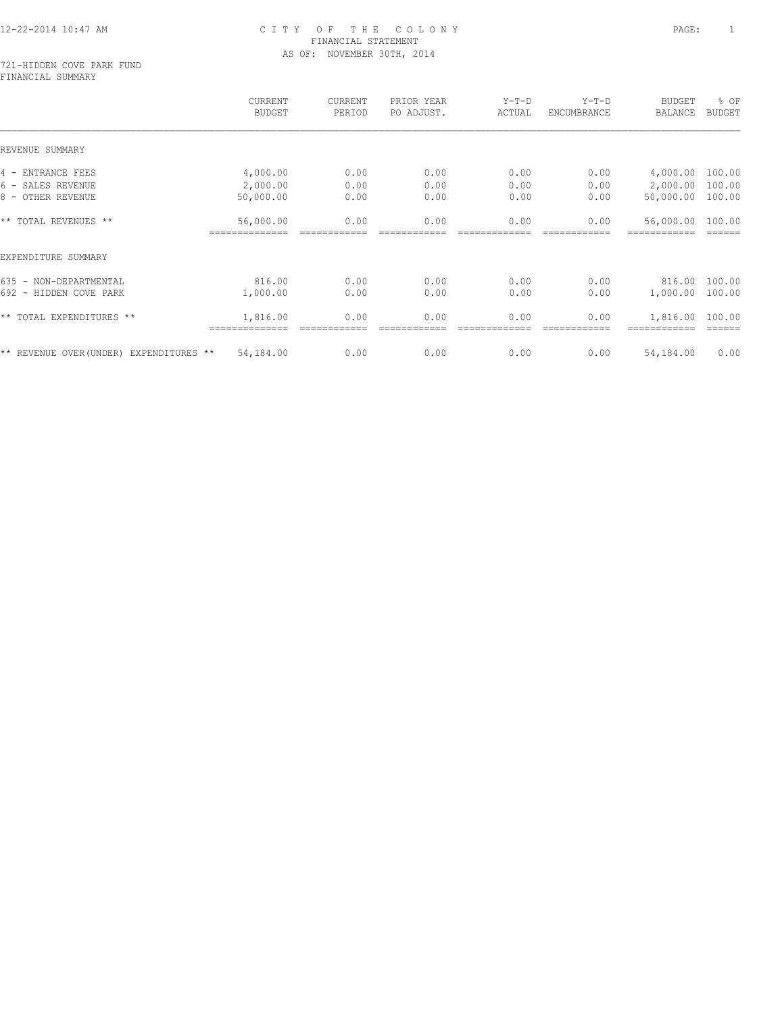#### 721-HIDDEN COVE PARK FUND FINANCIAL SUMMARY

|                                         | <b>CURRENT</b><br><b>BUDGET</b> | CURRENT<br>PERIOD | PRIOR YEAR<br>PO ADJUST. | $Y-T-D$<br>ACTUAL | $Y-T-D$<br>ENCUMBRANCE | <b>BUDGET</b><br>BALANCE | % OF<br><b>BUDGET</b> |
|-----------------------------------------|---------------------------------|-------------------|--------------------------|-------------------|------------------------|--------------------------|-----------------------|
| REVENUE SUMMARY                         |                                 |                   |                          |                   |                        |                          |                       |
| 4 - ENTRANCE FEES                       | 4,000.00                        | 0.00              | 0.00                     | 0.00              | 0.00                   | 4,000.00                 | 100.00                |
| 6 - SALES REVENUE                       | 2,000.00                        | 0.00              | 0.00                     | 0.00              | 0.00                   | 2,000.00                 | 100.00                |
| 8 - OTHER REVENUE                       | 50,000.00                       | 0.00              | 0.00                     | 0.00              | 0.00                   | 50,000.00                | 100.00                |
| ** TOTAL REVENUES **                    | 56,000.00                       | 0.00              | 0.00                     | 0.00              | 0.00                   | 56,000.00                | 100.00                |
| EXPENDITURE SUMMARY                     |                                 |                   |                          |                   |                        |                          |                       |
| 635 - NON-DEPARTMENTAL                  | 816.00                          | 0.00              | 0.00                     | 0.00              | 0.00                   | 816.00                   | 100.00                |
| 692 - HIDDEN COVE PARK                  | 1,000.00                        | 0.00              | 0.00                     | 0.00              | 0.00                   | 1,000.00                 | 100.00                |
| ** TOTAL EXPENDITURES **                | 1,816.00                        | 0.00              | 0.00                     | 0.00              | 0.00                   | 1,816.00                 | 100.00                |
| ** REVENUE OVER (UNDER) EXPENDITURES ** | 54,184.00                       | 0.00              | 0.00                     | 0.00              | 0.00                   | 54,184.00                | 0.00                  |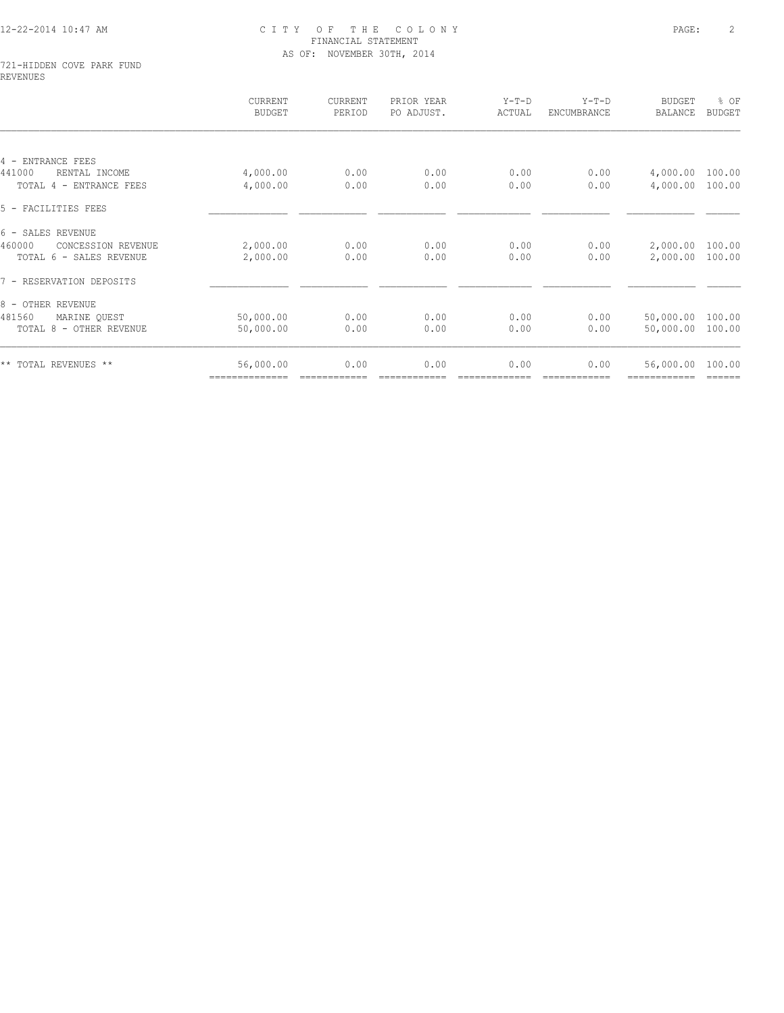#### 721-HIDDEN COVE PARK FUND REVENUES

|                              | CURRENT<br><b>BUDGET</b> | CURRENT<br>PERIOD | PRIOR YEAR<br>PO ADJUST. | $Y-T-D$<br>ACTUAL | $Y-T-D$<br>ENCUMBRANCE | <b>BUDGET</b><br><b>BALANCE</b> | % OF<br><b>BUDGET</b> |
|------------------------------|--------------------------|-------------------|--------------------------|-------------------|------------------------|---------------------------------|-----------------------|
|                              |                          |                   |                          |                   |                        |                                 |                       |
| 4 - ENTRANCE FEES            |                          |                   |                          |                   |                        |                                 |                       |
| 441000<br>RENTAL INCOME      | 4,000.00                 | 0.00              | 0.00                     | 0.00              | 0.00                   | 4,000.00                        | 100.00                |
| TOTAL 4 - ENTRANCE FEES      | 4,000.00                 | 0.00              | 0.00                     | 0.00              | 0.00                   | 4,000.00                        | 100.00                |
| 5 - FACILITIES FEES          |                          |                   |                          |                   |                        |                                 |                       |
| 6 - SALES REVENUE            |                          |                   |                          |                   |                        |                                 |                       |
| 460000<br>CONCESSION REVENUE | 2,000.00                 | 0.00              | 0.00                     | 0.00              | 0.00                   | 2,000.00                        | 100.00                |
| TOTAL 6 - SALES REVENUE      | 2,000.00                 | 0.00              | 0.00                     | 0.00              | 0.00                   | 2,000.00                        | 100.00                |
| 7 - RESERVATION DEPOSITS     |                          |                   |                          |                   |                        |                                 |                       |
| 8 - OTHER REVENUE            |                          |                   |                          |                   |                        |                                 |                       |
| 481560<br>MARINE QUEST       | 50,000.00                | 0.00              | 0.00                     | 0.00              | 0.00                   | 50,000.00                       | 100.00                |
| TOTAL 8 - OTHER REVENUE      | 50,000.00                | 0.00              | 0.00                     | 0.00              | 0.00                   | 50,000.00                       | 100.00                |
| ** TOTAL REVENUES **         | 56,000.00                | 0.00              | 0.00                     | 0.00              | 0.00                   | 56,000.00                       | 100.00                |
|                              | ==============           |                   |                          |                   |                        |                                 | ======                |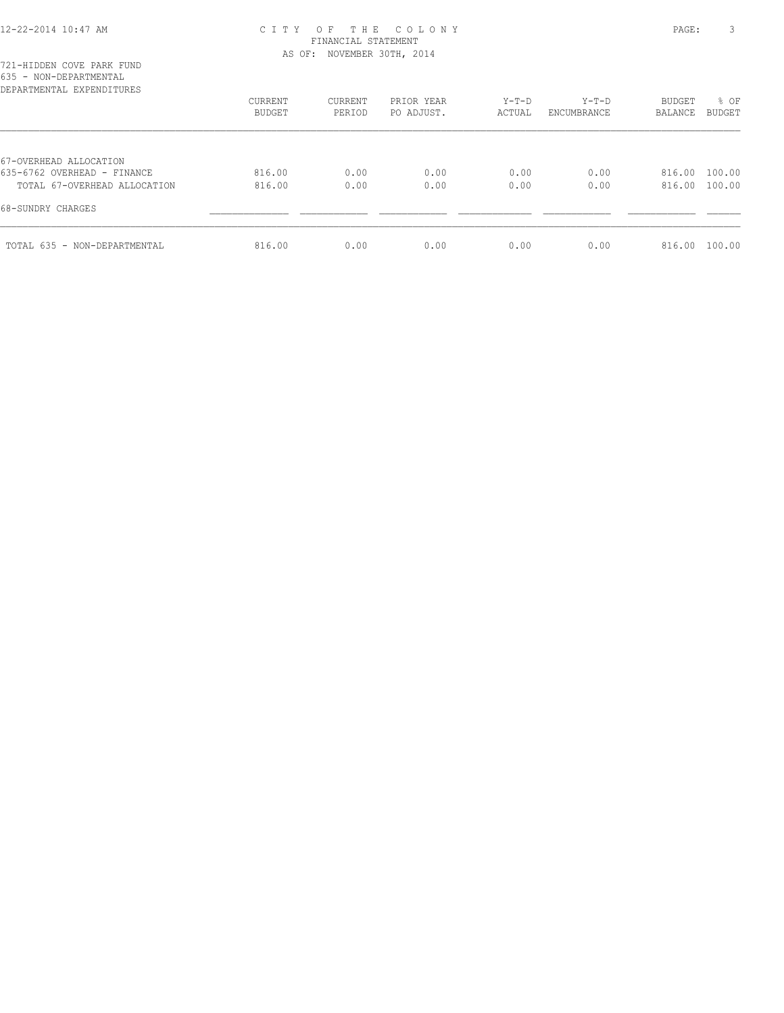# 12-22-2014 10:47 AM C I T Y O F T H E C O L O N Y PAGE: 3 FINANCIAL STATEMENT

| 721-HIDDEN COVE PARK FUND                                   |                                 | AS OF: NOVEMBER 30TH, 2014 |                          |                   |                        |                                 |                       |
|-------------------------------------------------------------|---------------------------------|----------------------------|--------------------------|-------------------|------------------------|---------------------------------|-----------------------|
| 635 - NON-DEPARTMENTAL<br>DEPARTMENTAL EXPENDITURES         |                                 |                            |                          |                   |                        |                                 |                       |
|                                                             | <b>CURRENT</b><br><b>BUDGET</b> | CURRENT<br>PERIOD          | PRIOR YEAR<br>PO ADJUST. | $Y-T-D$<br>ACTUAL | $Y-T-D$<br>ENCUMBRANCE | <b>BUDGET</b><br><b>BALANCE</b> | % OF<br><b>BUDGET</b> |
| 67-OVERHEAD ALLOCATION                                      |                                 |                            |                          |                   |                        |                                 |                       |
| 635-6762 OVERHEAD - FINANCE<br>TOTAL 67-OVERHEAD ALLOCATION | 816.00<br>816.00                | 0.00<br>0.00               | 0.00<br>0.00             | 0.00<br>0.00      | 0.00<br>0.00           | 816.00<br>816.00                | 100.00<br>100.00      |
| 68-SUNDRY CHARGES                                           |                                 |                            |                          |                   |                        |                                 |                       |
| TOTAL 635 - NON-DEPARTMENTAL                                | 816.00                          | 0.00                       | 0.00                     | 0.00              | 0.00                   | 816.00                          | 100.00                |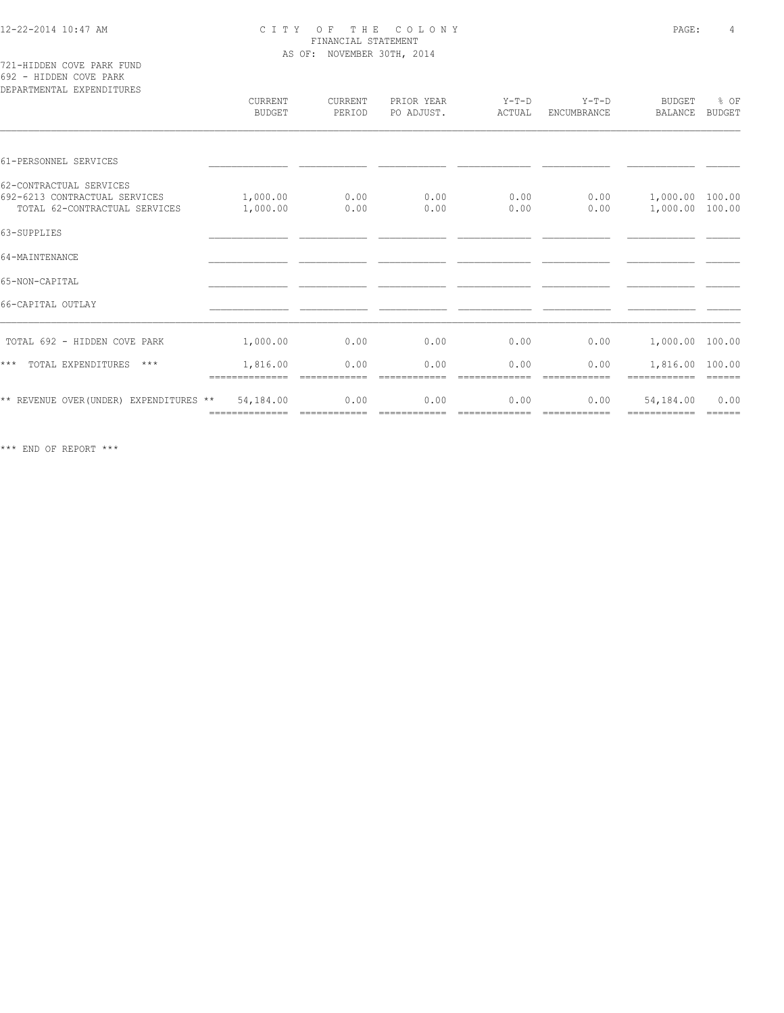721-HIDDEN COVE PARK FUND 692 - HIDDEN COVE PARK

| DEPARTMENTAL EXPENDITURES                                                                 | CURRENT<br>BUDGET           | CURRENT<br>PERIOD | PRIOR YEAR<br>PO ADJUST. | $Y-T-D$<br>ACTUAL     | $Y-T-D$<br>ENCUMBRANCE | <b>BUDGET</b><br>BALANCE           | % OF<br>BUDGET |
|-------------------------------------------------------------------------------------------|-----------------------------|-------------------|--------------------------|-----------------------|------------------------|------------------------------------|----------------|
| 61-PERSONNEL SERVICES                                                                     |                             |                   |                          |                       |                        |                                    |                |
| 62-CONTRACTUAL SERVICES<br>692-6213 CONTRACTUAL SERVICES<br>TOTAL 62-CONTRACTUAL SERVICES | 1,000.00<br>1,000.00        | 0.00<br>0.00      | 0.00<br>0.00             | 0.00<br>0.00          | 0.00<br>0.00           | 1,000.00 100.00<br>1,000.00 100.00 |                |
| 63-SUPPLIES                                                                               |                             |                   |                          |                       |                        |                                    |                |
| 64-MAINTENANCE                                                                            |                             |                   |                          |                       |                        |                                    |                |
| 65-NON-CAPITAL                                                                            |                             |                   |                          |                       |                        |                                    |                |
| 66-CAPITAL OUTLAY                                                                         |                             |                   |                          |                       |                        |                                    |                |
| TOTAL 692 - HIDDEN COVE PARK                                                              | 1,000.00                    | 0.00              | 0.00                     | 0.00                  | 0.00                   | 1,000.00 100.00                    |                |
| $***$<br>TOTAL EXPENDITURES<br>$***$                                                      | 1,816.00<br>==============  | 0.00              | 0.00                     | 0.00                  | 0.00                   | 1,816.00 100.00                    |                |
| ** REVENUE OVER (UNDER) EXPENDITURES **                                                   | 54,184.00<br>============== | 0.00              | 0.00<br>eccessesses      | 0.00<br>============= | 0.00<br>============   | 54,184.00                          | 0.00<br>------ |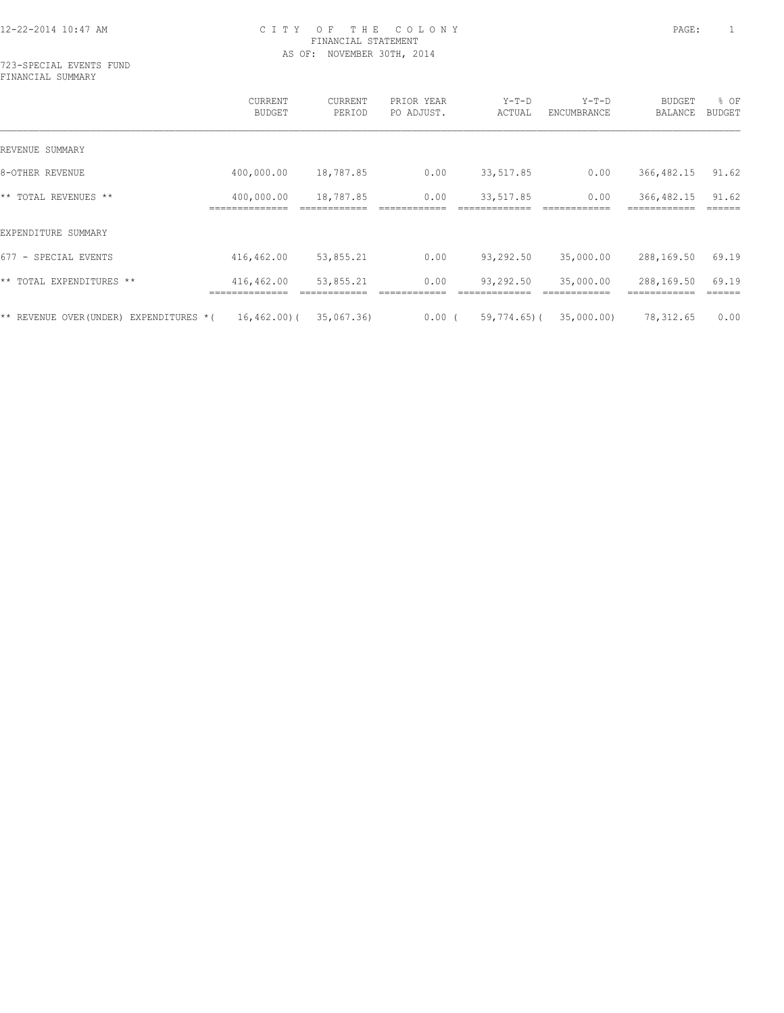723-SPECIAL EVENTS FUND FINANCIAL SUMMARY

|                                           | <b>CURRENT</b><br><b>BUDGET</b> | CURRENT<br>PERIOD | PRIOR YEAR<br>PO ADJUST. | $Y-T-D$<br>ACTUAL | $Y-T-D$<br>ENCUMBRANCE | <b>BUDGET</b><br>BALANCE | % OF<br><b>BUDGET</b> |
|-------------------------------------------|---------------------------------|-------------------|--------------------------|-------------------|------------------------|--------------------------|-----------------------|
| REVENUE SUMMARY                           |                                 |                   |                          |                   |                        |                          |                       |
| 8-OTHER REVENUE                           | 400,000.00                      | 18,787.85         | 0.00                     | 33, 517.85        | 0.00                   | 366, 482.15              | 91.62                 |
| ** TOTAL REVENUES **                      | 400,000.00                      | 18,787.85         | 0.00                     | 33,517.85         | 0.00                   | 366,482.15               | 91.62                 |
| EXPENDITURE SUMMARY                       |                                 |                   |                          |                   |                        |                          |                       |
| 677 - SPECIAL EVENTS                      | 416,462.00                      | 53,855.21         | 0.00                     | 93,292.50         | 35,000.00              | 288,169.50               | 69.19                 |
| ** TOTAL EXPENDITURES **                  | 416,462.00                      | 53,855.21         | 0.00                     | 93,292.50         | 35,000.00              | 288,169.50               | 69.19                 |
| ** REVENUE OVER(UNDER)<br>EXPENDITURES *( | $16, 462, 00)$ (                | 35,067.36)        | 0.00(                    | $59,774.65$ ) (   | 35,000.00)             | 78,312.65                | 0.00                  |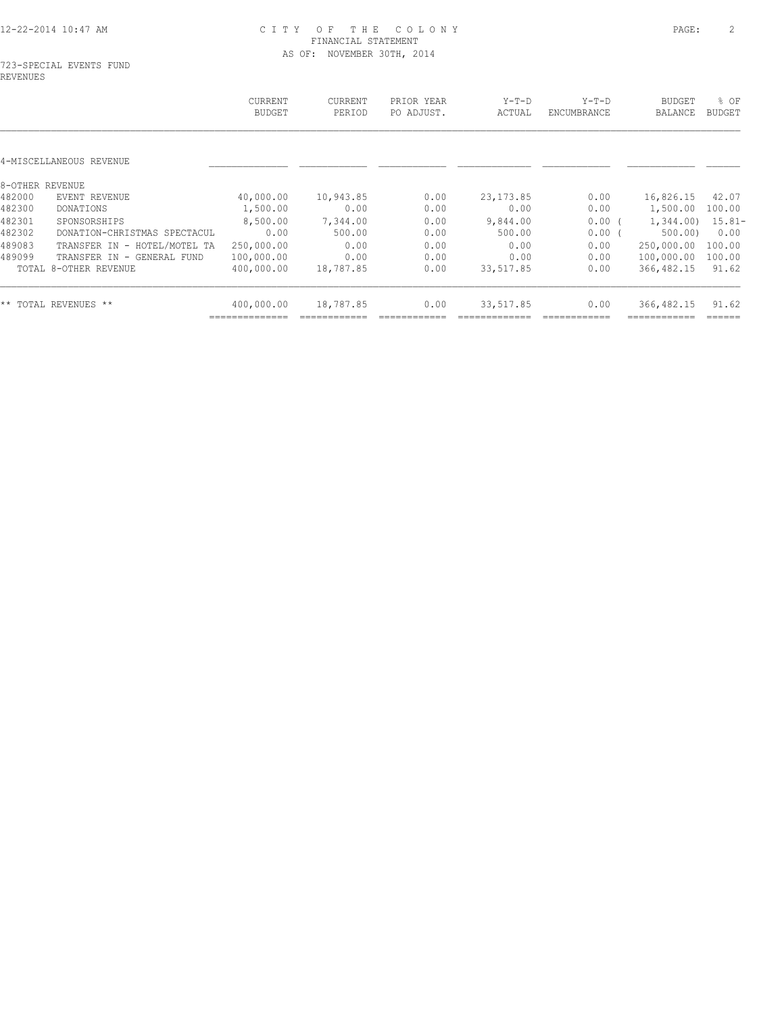|                 |                              | CURRENT<br><b>BUDGET</b> | <b>CURRENT</b><br>PERIOD | PRIOR YEAR<br>PO ADJUST. | $Y-T-D$<br>ACTUAL | $Y-T-D$<br>ENCUMBRANCE | <b>BUDGET</b><br><b>BALANCE</b> | % OF<br>BUDGET |
|-----------------|------------------------------|--------------------------|--------------------------|--------------------------|-------------------|------------------------|---------------------------------|----------------|
|                 | 4-MISCELLANEOUS REVENUE      |                          |                          |                          |                   |                        |                                 |                |
| 8-OTHER REVENUE |                              |                          |                          |                          |                   |                        |                                 |                |
| 482000          | EVENT REVENUE                | 40,000.00                | 10,943.85                | 0.00                     | 23, 173.85        | 0.00                   | 16,826.15                       | 42.07          |
| 482300          | DONATIONS                    | 1,500.00                 | 0.00                     | 0.00                     | 0.00              | 0.00                   | 1,500.00                        | 100.00         |
| 482301          | SPONSORSHIPS                 | 8,500.00                 | 7,344.00                 | 0.00                     | 9,844.00          | 0.00(                  | 1,344.00                        | $15.81 -$      |
| 482302          | DONATION-CHRISTMAS SPECTACUL | 0.00                     | 500.00                   | 0.00                     | 500.00            | 0.00                   | 500.00                          | 0.00           |
| 489083          | TRANSFER IN - HOTEL/MOTEL TA | 250,000.00               | 0.00                     | 0.00                     | 0.00              | 0.00                   | 250,000.00                      | 100.00         |
| 489099          | TRANSFER IN - GENERAL FUND   | 100,000.00               | 0.00                     | 0.00                     | 0.00              | 0.00                   | 100,000.00                      | 100.00         |
|                 | TOTAL 8-OTHER REVENUE        | 400,000.00               | 18,787.85                | 0.00                     | 33,517.85         | 0.00                   | 366, 482.15                     | 91.62          |
|                 | ** TOTAL REVENUES **         | 400,000.00               | 18,787.85                | 0.00                     | 33,517.85         | 0.00                   | 366, 482.15                     | 91.62          |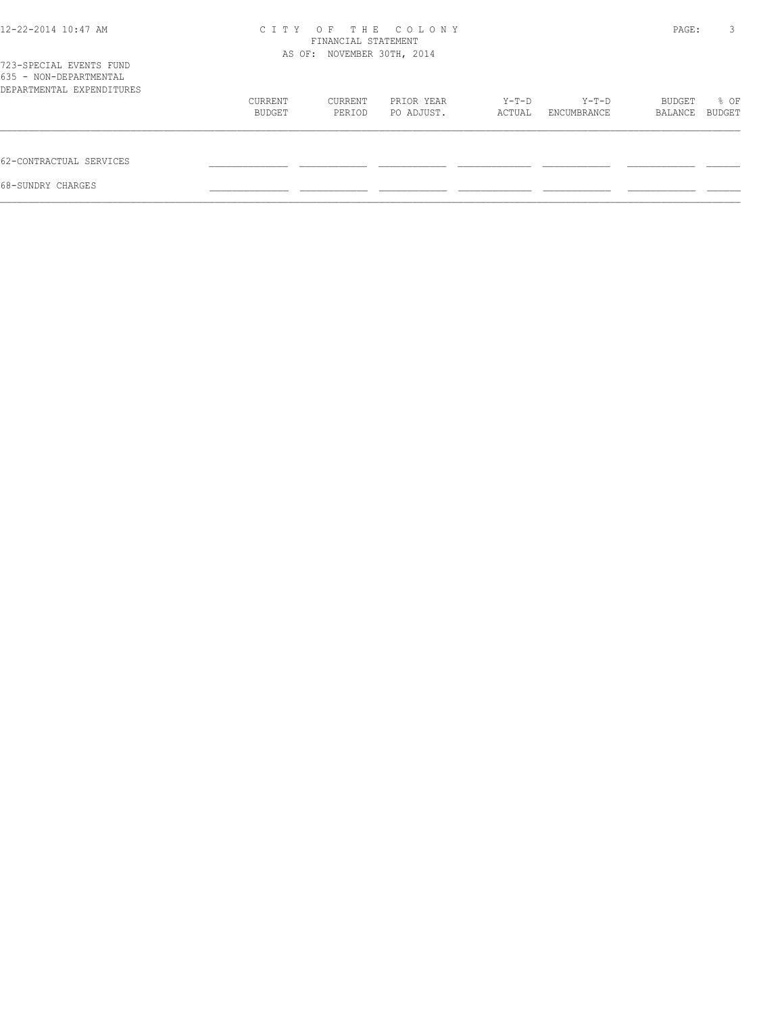| 12-22-2014 10:47 AM                                                            | C T T Y | OF<br>FINANCIAL STATEMENT<br>AS OF: NOVEMBER 30TH, 2014 | THE COLONY |        |             | PAGE:   | 3      |
|--------------------------------------------------------------------------------|---------|---------------------------------------------------------|------------|--------|-------------|---------|--------|
| 723-SPECIAL EVENTS FUND<br>635 - NON-DEPARTMENTAL<br>DEPARTMENTAL EXPENDITURES |         |                                                         |            |        |             |         |        |
|                                                                                | CURRENT | CURRENT                                                 | PRIOR YEAR | Y-T-D  | Y-T-D       | BUDGET  | % OF   |
|                                                                                | BUDGET  | PERIOD                                                  | PO ADJUST. | ACTUAL | ENCUMBRANCE | BALANCE | BUDGET |
| 62-CONTRACTUAL SERVICES                                                        |         |                                                         |            |        |             |         |        |
| 68-SUNDRY CHARGES                                                              |         |                                                         |            |        |             |         |        |
|                                                                                |         |                                                         |            |        |             |         |        |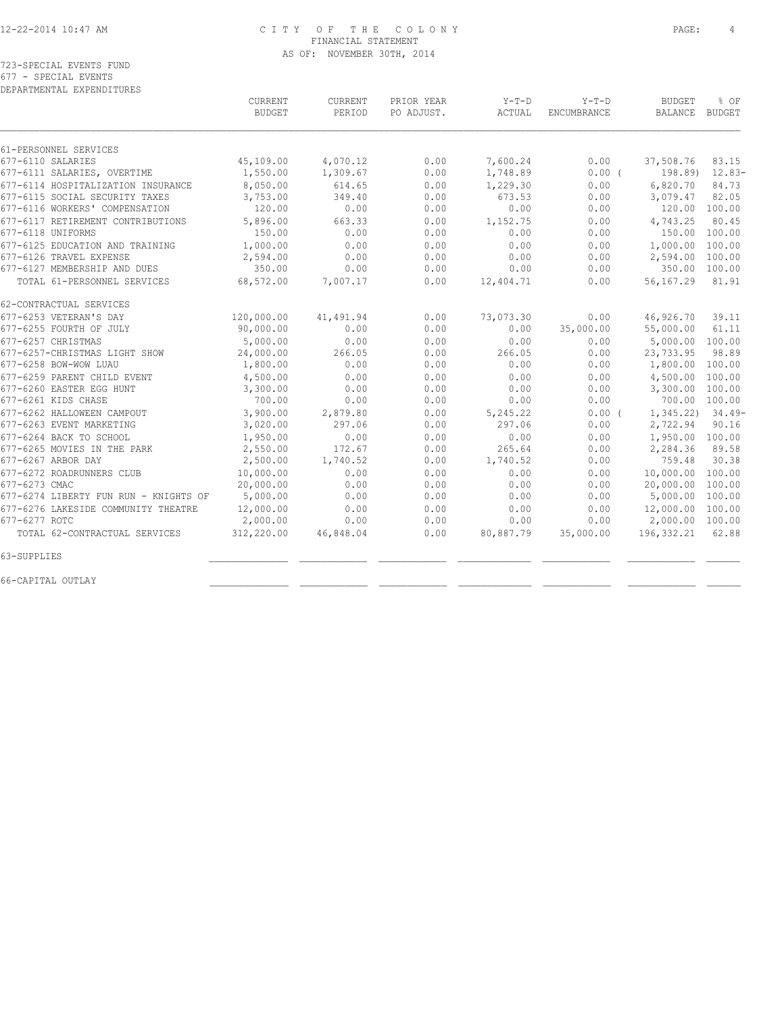723-SPECIAL EVENTS FUND 677 - SPECIAL EVENTS

DEPARTMENTAL EXPENDITURES

|                                       | <b>CURRENT</b><br><b>BUDGET</b> | <b>CURRENT</b><br>PERIOD | PRIOR YEAR<br>PO ADJUST. | $Y-T-D$<br>ACTUAL | $Y-T-D$<br>ENCUMBRANCE | <b>BUDGET</b><br>BALANCE | % OF<br>BUDGET |
|---------------------------------------|---------------------------------|--------------------------|--------------------------|-------------------|------------------------|--------------------------|----------------|
| 61-PERSONNEL SERVICES                 |                                 |                          |                          |                   |                        |                          |                |
| 677-6110 SALARIES                     | 45,109.00                       | 4,070.12                 | 0.00                     | 7,600.24          | 0.00                   | 37,508.76                | 83.15          |
| 677-6111 SALARIES, OVERTIME           | 1,550.00                        | 1,309.67                 | 0.00                     | 1,748.89          | $0.00$ (               | 198.89)                  | $12.83-$       |
| 677-6114 HOSPITALIZATION INSURANCE    | 8,050.00                        | 614.65                   | 0.00                     | 1,229.30          | 0.00                   | 6,820.70                 | 84.73          |
| 677-6115 SOCIAL SECURITY TAXES        | 3,753.00                        | 349.40                   | 0.00                     | 673.53            | 0.00                   | 3,079.47                 | 82.05          |
| 677-6116 WORKERS' COMPENSATION        | 120.00                          | 0.00                     | 0.00                     | 0.00              | 0.00                   | 120.00 100.00            |                |
| 677-6117 RETIREMENT CONTRIBUTIONS     | 5,896.00                        | 663.33                   | 0.00                     | 1,152.75          | 0.00                   | 4,743.25                 | 80.45          |
| 677-6118 UNIFORMS                     | 150.00                          | 0.00                     | 0.00                     | 0.00              | 0.00                   | 150.00                   | 100.00         |
| 677-6125 EDUCATION AND TRAINING       | 1,000.00                        | 0.00                     | 0.00                     | 0.00              | 0.00                   | 1,000.00                 | 100.00         |
| 677-6126 TRAVEL EXPENSE               | 2,594.00                        | 0.00                     | 0.00                     | 0.00              | 0.00                   | 2,594.00                 | 100.00         |
| 677-6127 MEMBERSHIP AND DUES          | 350.00                          | 0.00                     | 0.00                     | 0.00              | 0.00                   | 350.00                   | 100.00         |
| TOTAL 61-PERSONNEL SERVICES           | 68,572.00                       | 7,007.17                 | 0.00                     | 12,404.71         | 0.00                   | 56,167.29                | 81.91          |
| 62-CONTRACTUAL SERVICES               |                                 |                          |                          |                   |                        |                          |                |
| 677-6253 VETERAN'S DAY                | 120,000.00                      | 41,491.94                | 0.00                     | 73,073.30         | 0.00                   | 46,926.70                | 39.11          |
| 677-6255 FOURTH OF JULY               | 90,000.00                       | 0.00                     | 0.00                     | 0.00              | 35,000.00              | 55,000.00                | 61.11          |
| 677-6257 CHRISTMAS                    | 5,000.00                        | 0.00                     | 0.00                     | 0.00              | 0.00                   | 5,000.00                 | 100.00         |
| 677-6257-CHRISTMAS LIGHT SHOW         | 24,000.00                       | 266.05                   | 0.00                     | 266.05            | 0.00                   | 23,733.95                | 98.89          |
| 677-6258 BOW-WOW LUAU                 | 1,800.00                        | 0.00                     | 0.00                     | 0.00              | 0.00                   | 1,800.00                 | 100.00         |
| 677-6259 PARENT CHILD EVENT           | 4,500.00                        | 0.00                     | 0.00                     | 0.00              | 0.00                   | 4,500.00                 | 100.00         |
| 677-6260 EASTER EGG HUNT              | 3,300.00                        | 0.00                     | 0.00                     | 0.00              | 0.00                   | 3,300.00                 | 100.00         |
| 677-6261 KIDS CHASE                   | 700.00                          | 0.00                     | 0.00                     | 0.00              | 0.00                   |                          | 700.00 100.00  |
| 677-6262 HALLOWEEN CAMPOUT            | 3,900.00                        | 2,879.80                 | 0.00                     | 5,245.22          | 0.00(                  | 1,345.22                 | $34.49-$       |
| 677-6263 EVENT MARKETING              | 3,020.00                        | 297.06                   | 0.00                     | 297.06            | 0.00                   | 2,722.94                 | 90.16          |
| 677-6264 BACK TO SCHOOL               | 1,950.00                        | 0.00                     | 0.00                     | 0.00              | 0.00                   | 1,950.00 100.00          |                |
| 677-6265 MOVIES IN THE PARK           | 2,550.00                        | 172.67                   | 0.00                     | 265.64            | 0.00                   | 2,284.36                 | 89.58          |
| 677-6267 ARBOR DAY                    | 2,500.00                        | 1,740.52                 | 0.00                     | 1,740.52          | 0.00                   | 759.48                   | 30.38          |
| 677-6272 ROADRUNNERS CLUB             | 10,000.00                       | 0.00                     | 0.00                     | 0.00              | 0.00                   | 10,000.00                | 100.00         |
| 677-6273 CMAC                         | 20,000.00                       | 0.00                     | 0.00                     | 0.00              | 0.00                   | 20,000.00                | 100.00         |
| 677-6274 LIBERTY FUN RUN - KNIGHTS OF | 5,000.00                        | 0.00                     | 0.00                     | 0.00              | 0.00                   | 5,000.00                 | 100.00         |
| 677-6276 LAKESIDE COMMUNITY THEATRE   | 12,000.00                       | 0.00                     | 0.00                     | 0.00              | 0.00                   | 12,000.00                | 100.00         |
| 677-6277 ROTC                         | 2,000.00                        | 0.00                     | 0.00                     | 0.00              | 0.00                   | 2,000.00 100.00          |                |
| TOTAL 62-CONTRACTUAL SERVICES         | 312,220.00                      | 46,848.04                | 0.00                     | 80,887.79         | 35,000.00              | 196, 332.21              | 62.88          |
| 63-SUPPLIES                           |                                 |                          |                          |                   |                        |                          |                |
| 66-CAPITAL OUTLAY                     |                                 |                          |                          |                   |                        |                          |                |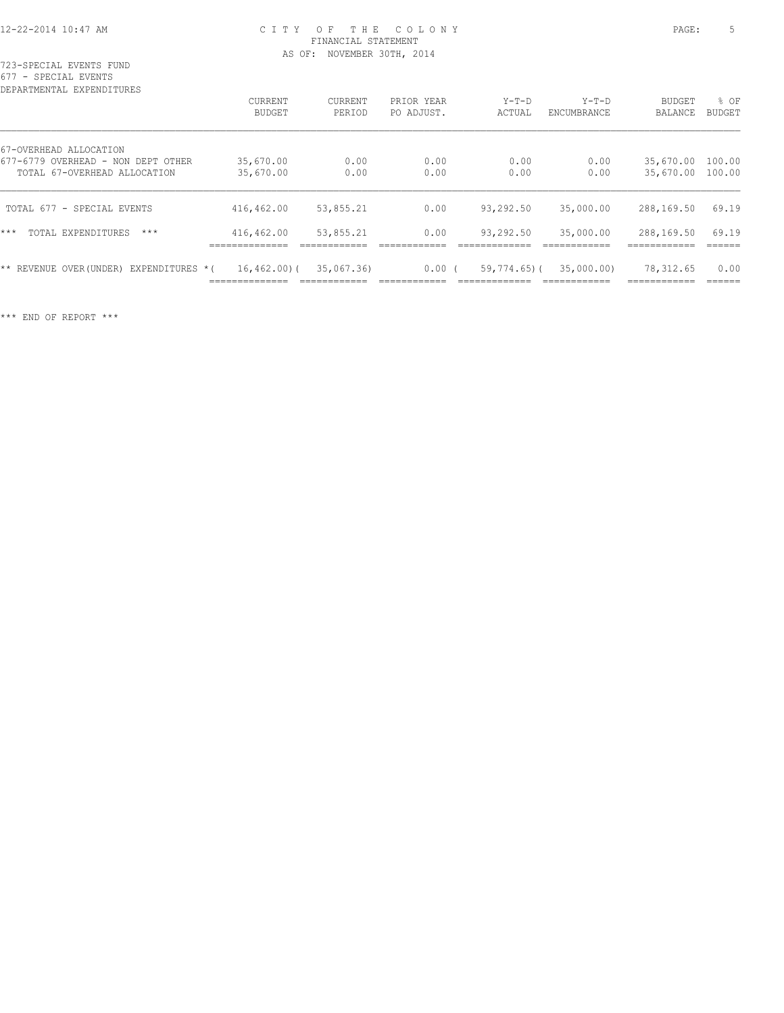723-SPECIAL EVENTS FUND 677 - SPECIAL EVENTS

| DEPARTMENTAL EXPENDITURES                     |                                    |                            |                            |                                    |                            |                           |                |
|-----------------------------------------------|------------------------------------|----------------------------|----------------------------|------------------------------------|----------------------------|---------------------------|----------------|
|                                               | <b>CURRENT</b>                     | <b>CURRENT</b>             | PRIOR YEAR                 | $Y-T-D$                            | $Y-T-D$                    | BUDGET                    | % OF           |
|                                               | BUDGET                             | PERIOD                     | PO ADJUST.                 | ACTUAL                             | <b>ENCUMBRANCE</b>         | BALANCE                   | <b>BUDGET</b>  |
| 67-OVERHEAD ALLOCATION                        |                                    |                            |                            |                                    |                            |                           |                |
| 677-6779 OVERHEAD - NON DEPT OTHER            | 35,670.00                          | 0.00                       | 0.00                       | 0.00                               | 0.00                       | 35,670.00                 | 100.00         |
| TOTAL 67-OVERHEAD ALLOCATION                  | 35,670.00                          | 0.00                       | 0.00                       | 0.00                               | 0.00                       | 35,670.00 100.00          |                |
| TOTAL 677 - SPECIAL EVENTS                    | 416,462.00                         | 53,855.21                  | 0.00                       | 93,292.50                          | 35,000.00                  | 288,169.50                | 69.19          |
| $***$<br>TOTAL EXPENDITURES<br>$***$          | 416,462.00<br>______________       | 53,855.21                  | 0.00                       | 93,292.50                          | 35,000.00<br>____________  | 288,169.50                | 69.19          |
| ** REVENUE<br>EXPENDITURES *(<br>OVER (UNDER) | $16, 462, 00)$ (<br>______________ | 35,067.36)<br>____________ | $0.00$ (<br>-------------- | $59,774.65$ ) (<br>--------------- | 35,000.00)<br>____________ | 78,312.65<br>____________ | 0.00<br>______ |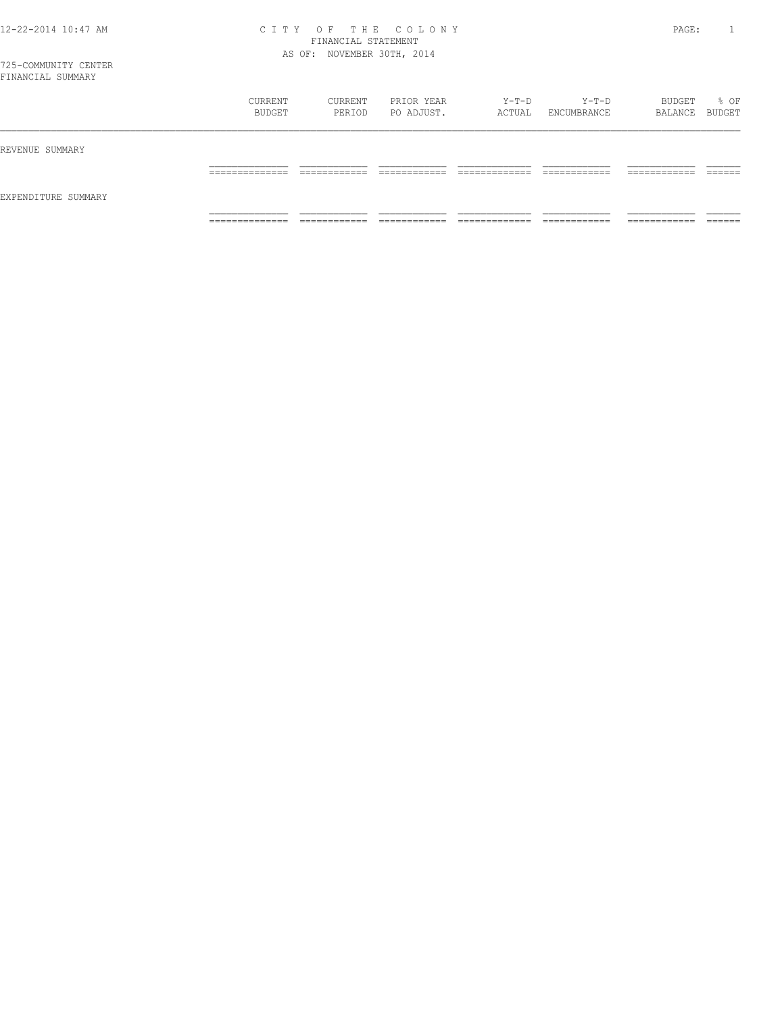| FINANCIAL SUMMARY   |                   |                   |                          |                 |                      |                   |                |
|---------------------|-------------------|-------------------|--------------------------|-----------------|----------------------|-------------------|----------------|
|                     | CURRENT<br>BUDGET | CURRENT<br>PERIOD | PRIOR YEAR<br>PO ADJUST. | Y-T-D<br>ACTUAL | Y-T-D<br>ENCUMBRANCE | BUDGET<br>BALANCE | % OF<br>BUDGET |
| REVENUE SUMMARY     |                   |                   |                          |                 |                      |                   |                |
|                     | -------------     | _______           |                          |                 | ____________         | ________          |                |
| EXPENDITURE SUMMARY |                   |                   |                          |                 |                      |                   |                |

============== ============ ============ ============= ============ ============ ======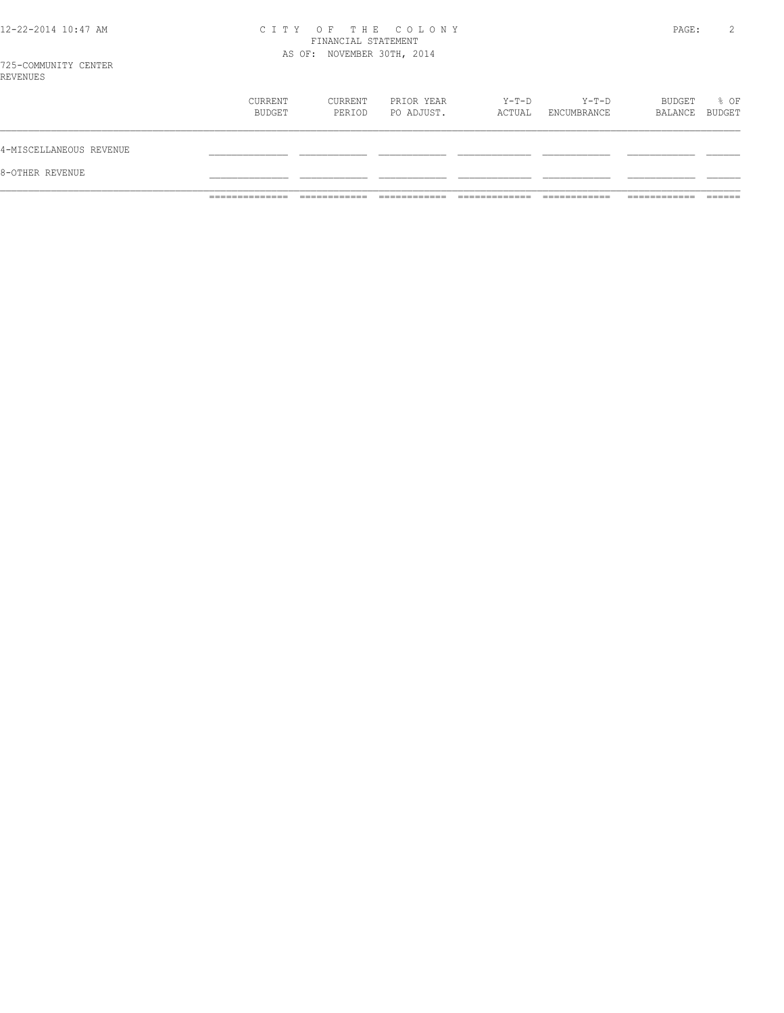|  |  | 12-22-2014 10:47 AM |  |
|--|--|---------------------|--|
|  |  |                     |  |

# CITY OF THE COLONY<br>FINANCIAL STATEMENT<br>AS OF: NOVEMBER 30TH, 2014

PAGE: 2

| 8-OTHER REVENUE         |                   |                   |                          |                 |                        |                          |      |
|-------------------------|-------------------|-------------------|--------------------------|-----------------|------------------------|--------------------------|------|
| 4-MISCELLANEOUS REVENUE |                   |                   |                          |                 |                        |                          |      |
|                         | CURRENT<br>BUDGET | CURRENT<br>PERIOD | PRIOR YEAR<br>PO ADJUST. | Y-T-D<br>ACTUAL | $Y-T-D$<br>ENCUMBRANCE | BUDGET<br>BALANCE BUDGET | % OF |
| REVENUES                |                   |                   |                          |                 |                        |                          |      |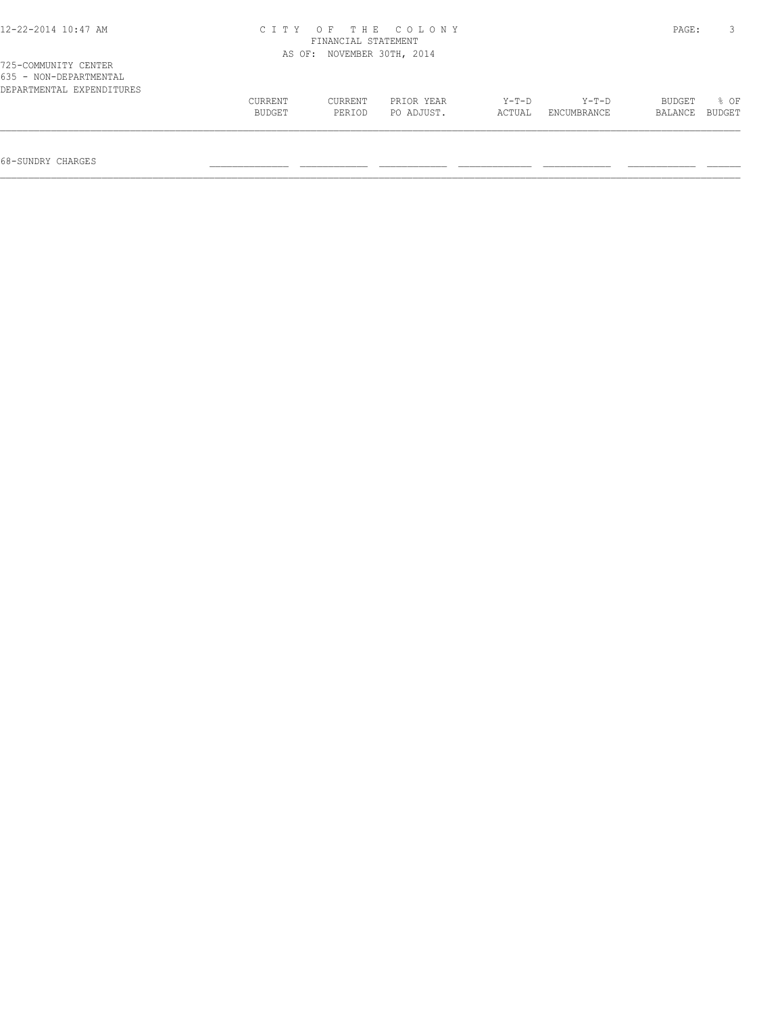| 12-22-2014 10:47 AM       |         | FINANCIAL STATEMENT        | CITY OF THE COLONY |         |             | PAGE:   |        |
|---------------------------|---------|----------------------------|--------------------|---------|-------------|---------|--------|
| 725-COMMUNITY CENTER      |         | AS OF: NOVEMBER 30TH, 2014 |                    |         |             |         |        |
| 635 - NON-DEPARTMENTAL    |         |                            |                    |         |             |         |        |
| DEPARTMENTAL EXPENDITURES | CURRENT | CURRENT                    | PRIOR YEAR         | $Y-T-D$ | $Y-T-D$     | BUDGET  | 8 OF   |
|                           | BUDGET  | PERIOD                     | PO ADJUST.         | ACTUAL  | ENCUMBRANCE | BALANCE | BUDGET |

68-SUNDRY CHARGES \_\_\_\_\_\_\_\_\_\_\_\_\_\_ \_\_\_\_\_\_\_\_\_\_\_\_ \_\_\_\_\_\_\_\_\_\_\_\_ \_\_\_\_\_\_\_\_\_\_\_\_\_ \_\_\_\_\_\_\_\_\_\_\_\_ \_\_\_\_\_\_\_\_\_\_\_\_ \_\_\_\_\_\_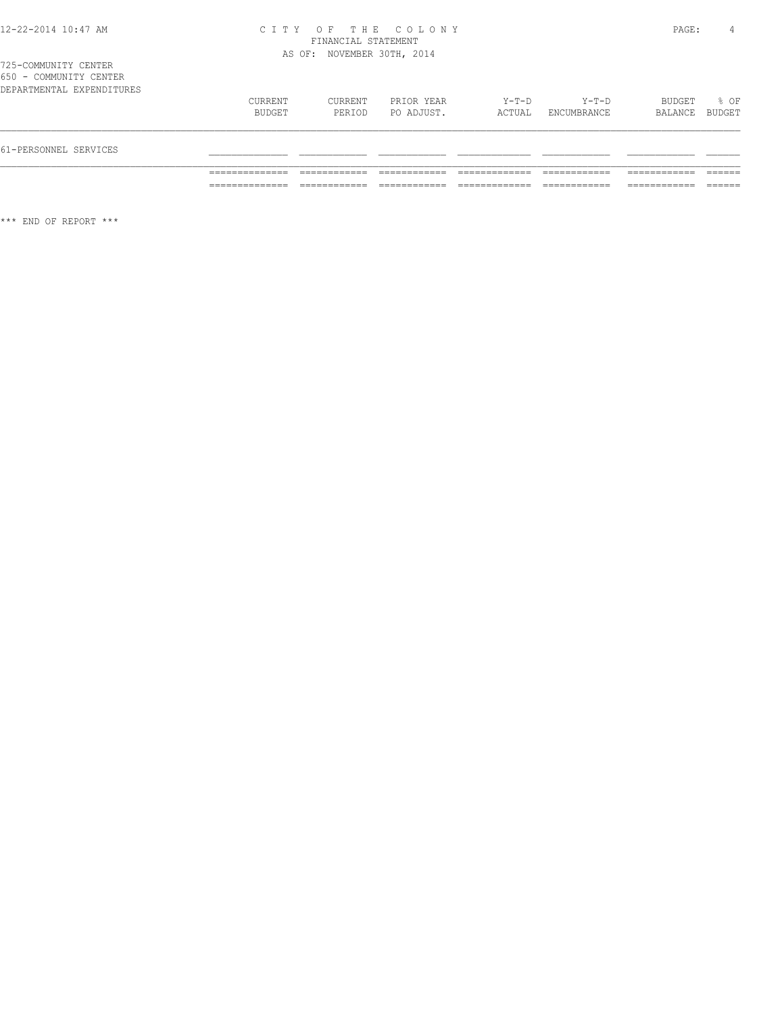|  | 725-COMMUNITY CENTER |                           |
|--|----------------------|---------------------------|
|  |                      | 650 - COMMUNITY CENTER    |
|  |                      | DEPARTMENTAL EXPENDITURES |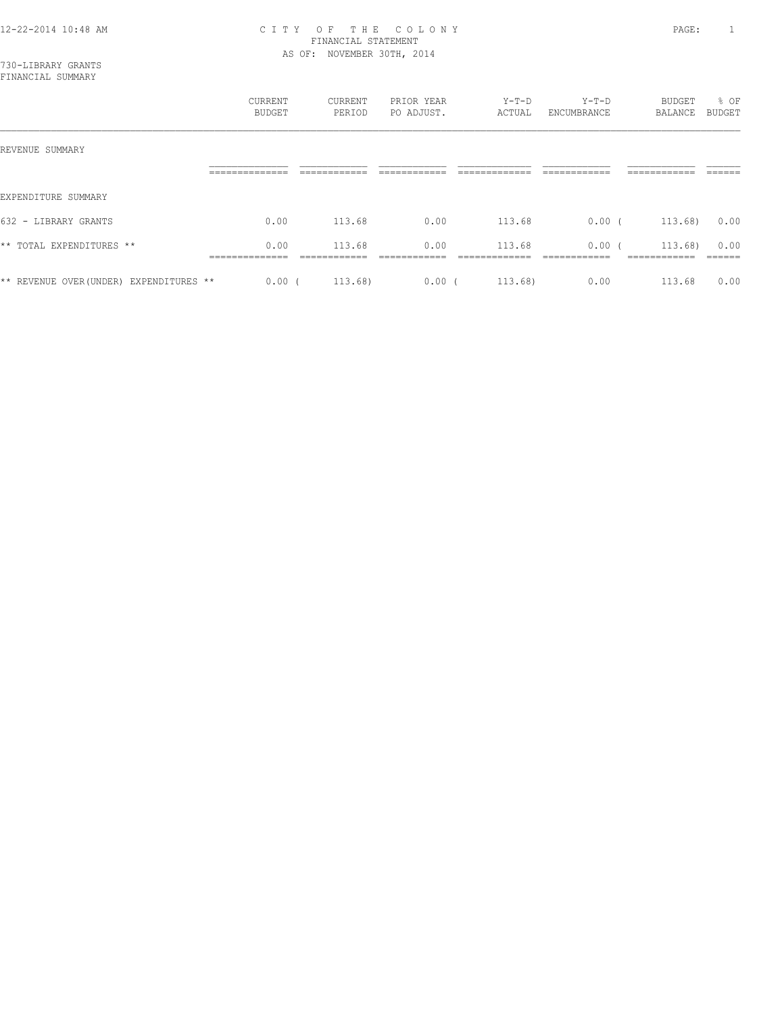|                                           | CURRENT<br><b>BUDGET</b> | CURRENT<br>PERIOD | PRIOR YEAR<br>PO ADJUST. | $Y-T-D$<br>ACTUAL | $Y-T-D$<br>ENCUMBRANCE | <b>BUDGET</b><br>BALANCE | % OF<br>BUDGET |
|-------------------------------------------|--------------------------|-------------------|--------------------------|-------------------|------------------------|--------------------------|----------------|
| REVENUE SUMMARY                           | ______________           | ____________      | ------------             | _____________     | -------------          | ____________             | -------        |
| EXPENDITURE SUMMARY                       |                          |                   |                          |                   |                        |                          |                |
| 632 - LIBRARY GRANTS                      | 0.00                     | 113.68            | 0.00                     | 113.68            | $0.00$ (               | 113.68)                  | 0.00           |
| ** TOTAL EXPENDITURES **                  | 0.00                     | 113.68            | 0.00                     | 113.68            | 0.00(                  | 113.68)                  | 0.00           |
| EXPENDITURES **<br>** REVENUE OVER(UNDER) | $0.00$ (                 | 113.68)           | 0.00                     | 113.68)           | 0.00                   | 113.68                   | 0.00           |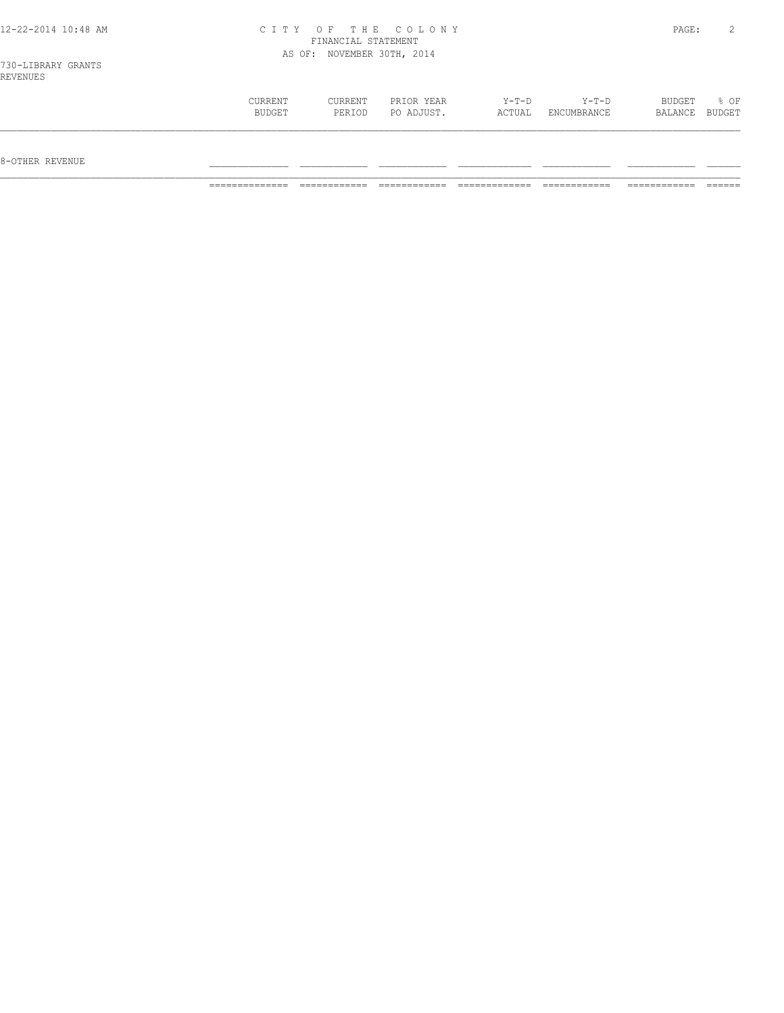| 12-22-2014 10:48 AM | CITY OF THE COLONY         | PAGE: |  |
|---------------------|----------------------------|-------|--|
|                     | FINANCIAL STATEMENT        |       |  |
|                     | AS OF: NOVEMBER 30TH, 2014 |       |  |
| 730-LIBRARY GRANTS  |                            |       |  |
| REVENUES            |                            |       |  |

| CURRENT       | CURRENT | PRIOR YEAR | $Y-T-D$ | $Y-T-D$            | BUDGET  | % OF          |
|---------------|---------|------------|---------|--------------------|---------|---------------|
| <b>BUDGET</b> | PERIOD  | PO ADJUST. | ACTUAL  | <b>ENCUMBRANCE</b> | BALANCE | <b>BUDGET</b> |
|               |         |            |         |                    |         |               |

8-OTHER REVENUE \_\_\_\_\_\_\_\_\_\_\_\_\_\_ \_\_\_\_\_\_\_\_\_\_\_\_ \_\_\_\_\_\_\_\_\_\_\_\_ \_\_\_\_\_\_\_\_\_\_\_\_\_ \_\_\_\_\_\_\_\_\_\_\_\_ \_\_\_\_\_\_\_\_\_\_\_\_ \_\_\_\_\_\_

============== ============ ============ ============= ============ ============ ======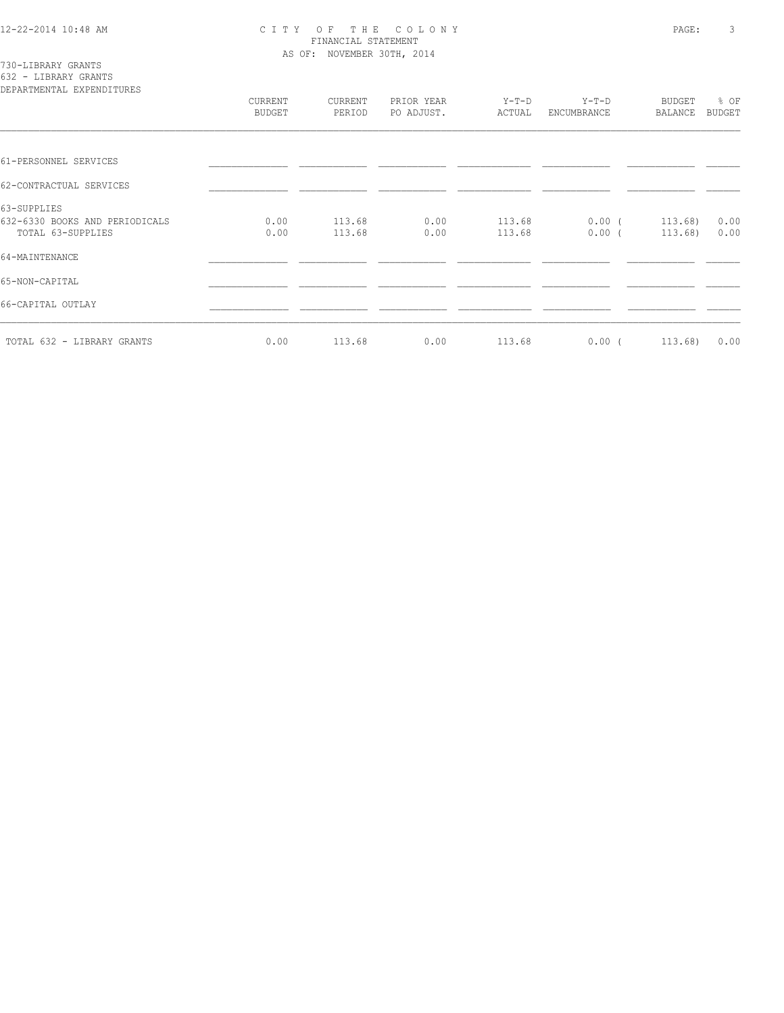730-LIBRARY GRANTS 632 - LIBRARY GRANTS

| DEPARTMENTAL EXPENDITURES                                          |                          |                   |                          |                  |                      |                          |                       |
|--------------------------------------------------------------------|--------------------------|-------------------|--------------------------|------------------|----------------------|--------------------------|-----------------------|
|                                                                    | CURRENT<br><b>BUDGET</b> | CURRENT<br>PERIOD | PRIOR YEAR<br>PO ADJUST. | Y-T-D<br>ACTUAL  | Y-T-D<br>ENCUMBRANCE | <b>BUDGET</b><br>BALANCE | % OF<br><b>BUDGET</b> |
|                                                                    |                          |                   |                          |                  |                      |                          |                       |
| 61-PERSONNEL SERVICES                                              |                          |                   |                          |                  |                      |                          |                       |
| 62-CONTRACTUAL SERVICES                                            |                          |                   |                          |                  |                      |                          |                       |
| 63-SUPPLIES<br>632-6330 BOOKS AND PERIODICALS<br>TOTAL 63-SUPPLIES | 0.00<br>0.00             | 113.68<br>113.68  | 0.00<br>0.00             | 113.68<br>113.68 | $0.00$ (<br>$0.00$ ( | 113.68)<br>113.68)       | 0.00<br>0.00          |
| 64-MAINTENANCE                                                     |                          |                   |                          |                  |                      |                          |                       |
| 65-NON-CAPITAL                                                     |                          |                   |                          |                  |                      |                          |                       |
| 66-CAPITAL OUTLAY                                                  |                          |                   |                          |                  |                      |                          |                       |
| TOTAL 632 - LIBRARY GRANTS                                         | 0.00                     | 113.68            | 0.00                     | 113.68           | 0.00(                | 113.68)                  | 0.00                  |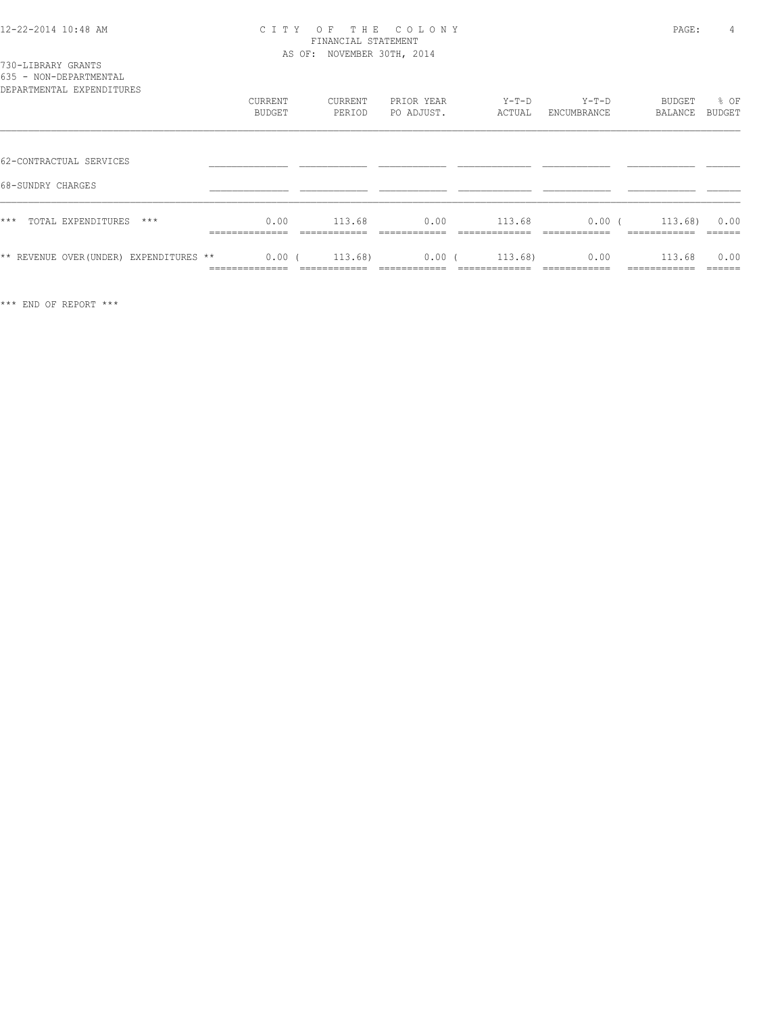|      | 730-LIBRARY GRANTS |  |
|------|--------------------|--|
| $ -$ |                    |  |

| 635 - NON-DEPARTMENTAL<br>DEPARTMENTAL EXPENDITURES |                                           |                                       |                                     |                                         |                                      |                                        |                           |
|-----------------------------------------------------|-------------------------------------------|---------------------------------------|-------------------------------------|-----------------------------------------|--------------------------------------|----------------------------------------|---------------------------|
|                                                     | CURRENT<br><b>BUDGET</b>                  | CURRENT<br>PERIOD                     | PRIOR YEAR<br>PO ADJUST.            | $Y-T-D$<br>ACTUAL                       | $Y-T-D$<br>ENCUMBRANCE               | <b>BUDGET</b><br>BALANCE               | % OF<br><b>BUDGET</b>     |
| 62-CONTRACTUAL SERVICES                             |                                           |                                       |                                     |                                         |                                      |                                        |                           |
| 68-SUNDRY CHARGES                                   |                                           |                                       |                                     |                                         |                                      |                                        |                           |
| $***$<br>TOTAL EXPENDITURES<br>$***$                | 0.00<br>______________<br>--------------  | 113.68<br>____________<br>----------- | 0.00<br>____________<br>----------- | 113.68<br>_____________<br>------------ | 0.00(<br>____________<br>----------- | 113.68)<br>____________<br>----------- | 0.00<br>______<br>_____   |
| ** REVENUE OVER (UNDER) EXPENDITURES **             | 0.00(<br>--------------<br>______________ | 113.68)<br>____________               | 0.00(<br>____________               | 113.68<br>_____________                 | 0.00<br>____________                 | 113.68<br>------------<br>____________ | 0.00<br>-------<br>______ |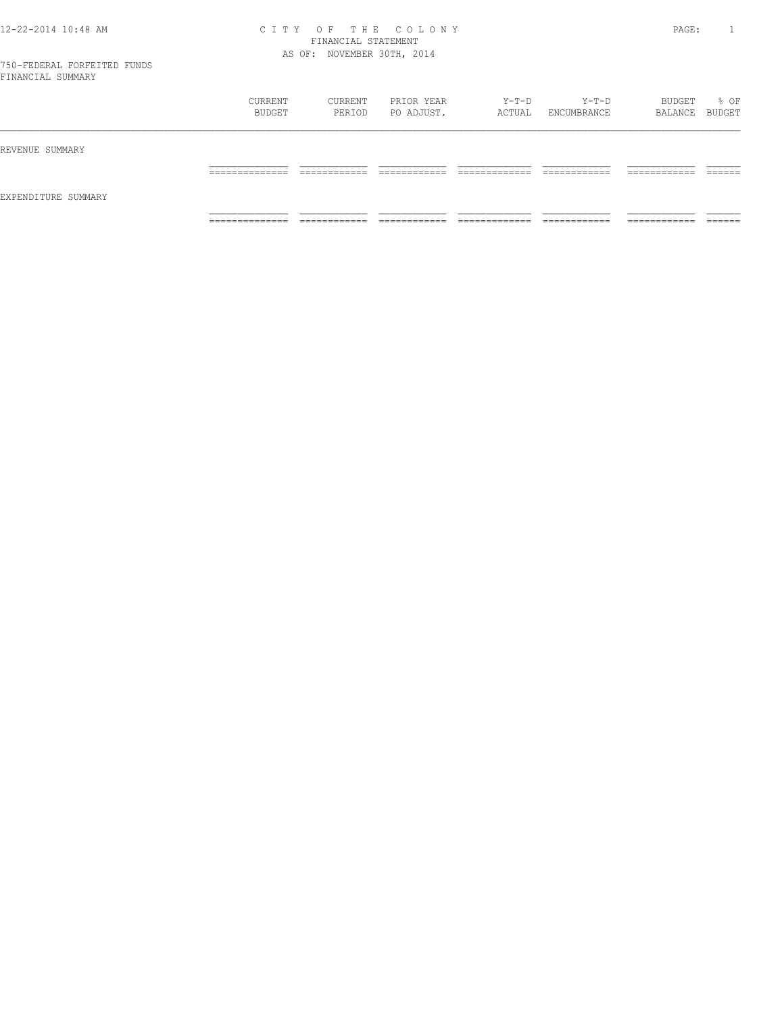|                     | CURRENT<br>BUDGET                 | CURRENT<br>PERIOD            | PRIOR YEAR<br>PO ADJUST.       | $Y-T-D$<br>ACTUAL              | Y-T-D<br>ENCUMBRANCE          | BUDGET<br>BALANCE BUDGET      | % OF               |
|---------------------|-----------------------------------|------------------------------|--------------------------------|--------------------------------|-------------------------------|-------------------------------|--------------------|
| REVENUE SUMMARY     |                                   |                              |                                |                                |                               |                               |                    |
|                     | ______________<br>_______________ | ____________<br>____________ | ____________<br>____________   | _____________<br>_____________ | ____________<br>____________  | -------------<br>____________ | -------<br>_______ |
| EXPENDITURE SUMMARY |                                   |                              |                                |                                |                               |                               |                    |
|                     | ______________<br>.               | ____________<br>____________ | -------------<br>_____________ | _____________<br>.             | -------------<br>____________ | -------------<br>____________ | ______<br>_______  |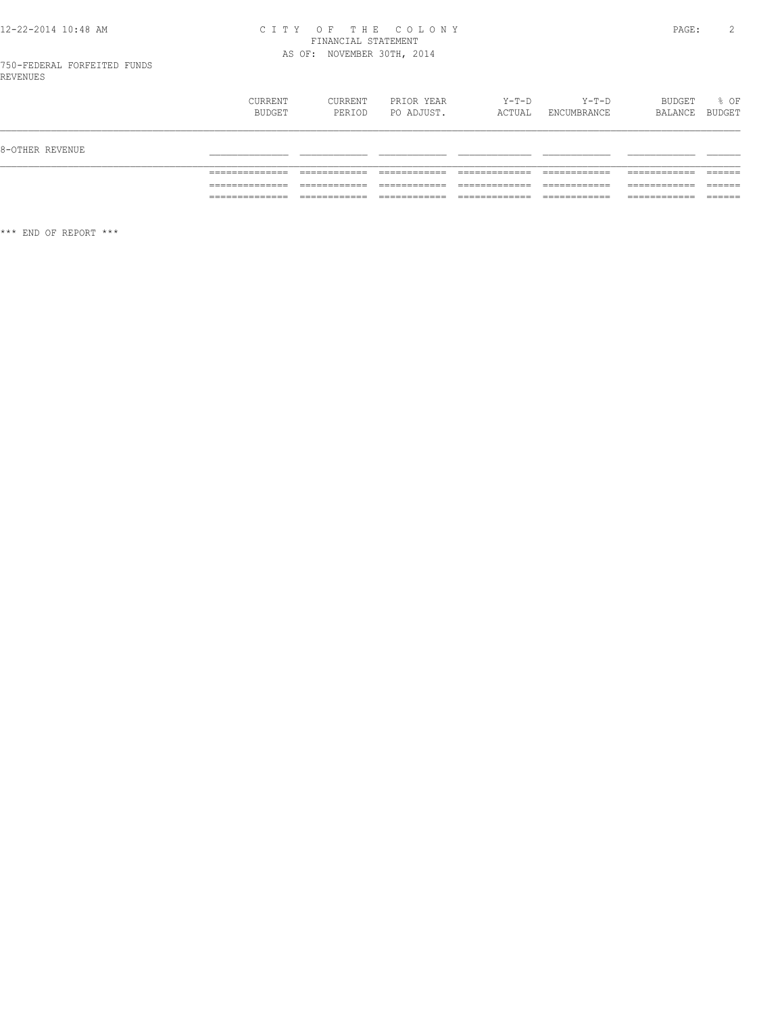# 12-22-2014 10:48 AM CITY OF THE COLONY<br>FINANCIAL STATEMENT<br>AS OF: NOVEMBER 30TH, 2014

|                 | <b>CURRENT</b><br>BUDGET | CURRENT<br>PERIOD | PRIOR YEAR<br>PO ADJUST. | $Y-T-D$<br>ACTUAL | Y-T-D<br>ENCUMBRANCE | BUDGET<br>BALANCE | % OF<br>BUDGET |
|-----------------|--------------------------|-------------------|--------------------------|-------------------|----------------------|-------------------|----------------|
| 8-OTHER REVENUE |                          |                   |                          |                   |                      |                   |                |
|                 |                          |                   |                          |                   |                      |                   |                |
|                 |                          |                   |                          |                   |                      |                   |                |
|                 | _______________          |                   |                          |                   |                      |                   | _______        |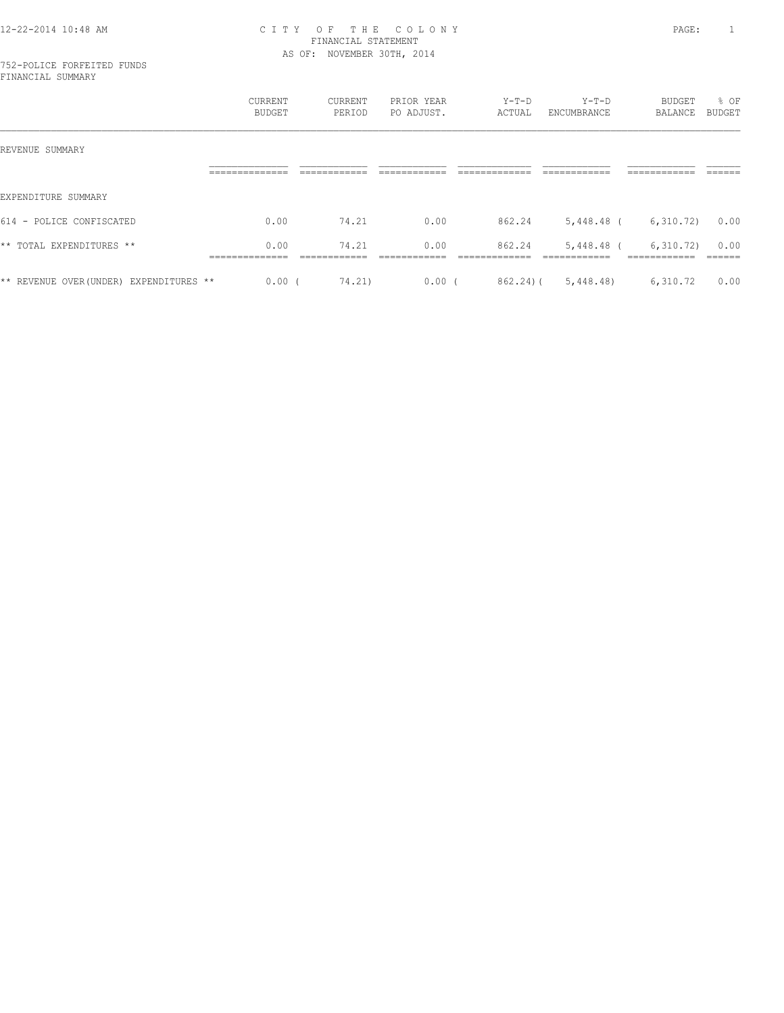#### 752-POLICE FORFEITED FUNDS FINANCIAL SUMMARY

|                                        | CURRENT<br>BUDGET      | CURRENT<br>PERIOD | PRIOR YEAR<br>PO ADJUST. | $Y-T-D$<br>ACTUAL | $Y-T-D$<br>ENCUMBRANCE | BUDGET<br>BALANCE         | % OF<br>BUDGET |
|----------------------------------------|------------------------|-------------------|--------------------------|-------------------|------------------------|---------------------------|----------------|
| REVENUE SUMMARY                        |                        |                   |                          |                   |                        |                           |                |
|                                        |                        |                   |                          |                   |                        |                           |                |
| EXPENDITURE SUMMARY                    |                        |                   |                          |                   |                        |                           |                |
| 614 - POLICE CONFISCATED               | 0.00                   | 74.21             | 0.00                     | 862.24            | 5,448.48 (             | 6,310.72)                 | 0.00           |
| ** TOTAL EXPENDITURES **               | 0.00<br>-------------- | 74.21             | 0.00                     | 862.24            | 5,448.48 (             | 6,310.72)<br>------------ | 0.00           |
|                                        |                        |                   |                          |                   |                        |                           |                |
| ** REVENUE OVER(UNDER) EXPENDITURES ** | $0.00$ (               | 74.21)            | $0.00$ (                 | 862.24) (         | 5,448.48)              | 6,310.72                  | 0.00           |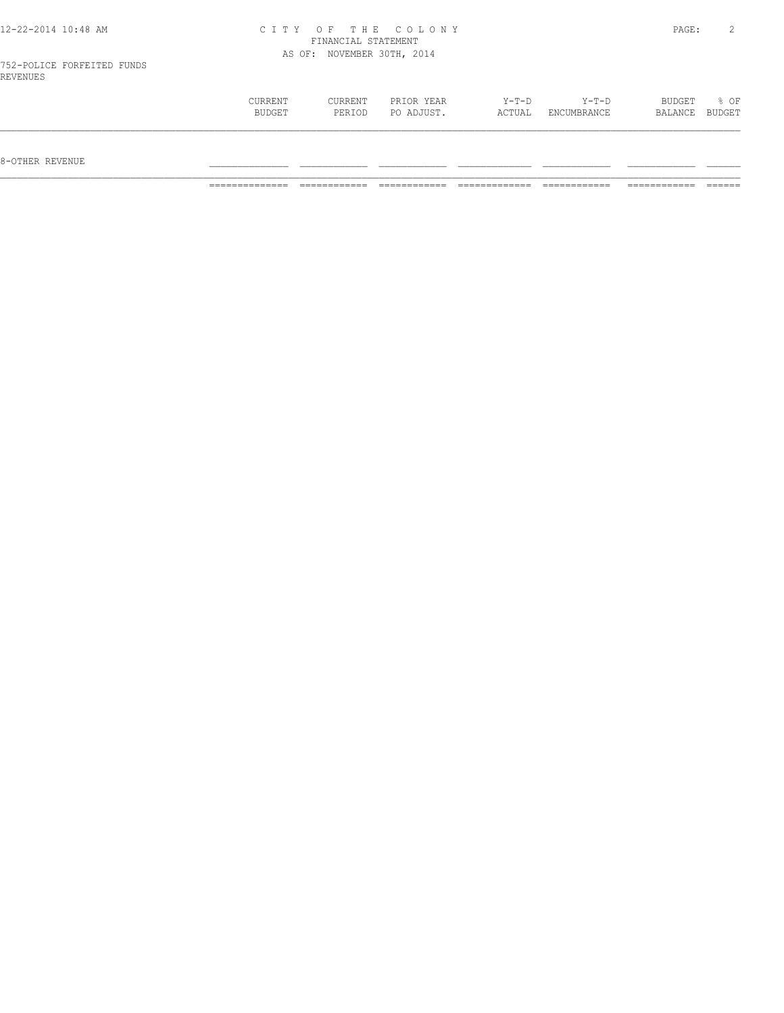| 12-22-2014 10:48 AM                    |         |                            | CITY OF THE COLONY |         |         | PAGE:         |        |
|----------------------------------------|---------|----------------------------|--------------------|---------|---------|---------------|--------|
|                                        |         | FINANCIAL STATEMENT        |                    |         |         |               |        |
|                                        |         | AS OF: NOVEMBER 30TH, 2014 |                    |         |         |               |        |
| 752-POLICE FORFEITED FUNDS<br>REVENUES |         |                            |                    |         |         |               |        |
|                                        | CURRENT | CURRENT                    | PRIOR YEAR         | $Y-T-D$ | $Y-T-D$ | <b>BUDGET</b> | $8$ OF |

 BUDGET PERIOD PO ADJUST. ACTUAL ENCUMBRANCE BALANCE BUDGET  $\mathcal{L} = \{ \mathcal{L} = \{ \mathcal{L} = \{ \mathcal{L} = \{ \mathcal{L} = \{ \mathcal{L} = \{ \mathcal{L} = \{ \mathcal{L} = \{ \mathcal{L} = \{ \mathcal{L} = \{ \mathcal{L} = \{ \mathcal{L} = \{ \mathcal{L} = \{ \mathcal{L} = \{ \mathcal{L} = \{ \mathcal{L} = \{ \mathcal{L} = \{ \mathcal{L} = \{ \mathcal{L} = \{ \mathcal{L} = \{ \mathcal{L} = \{ \mathcal{L} = \{ \mathcal{L} = \{ \mathcal{L} = \{ \mathcal{$ 

 $8-{\rm OFF}$  revenue  $\_$ 

============== ============ ============ ============= ============ ============ ======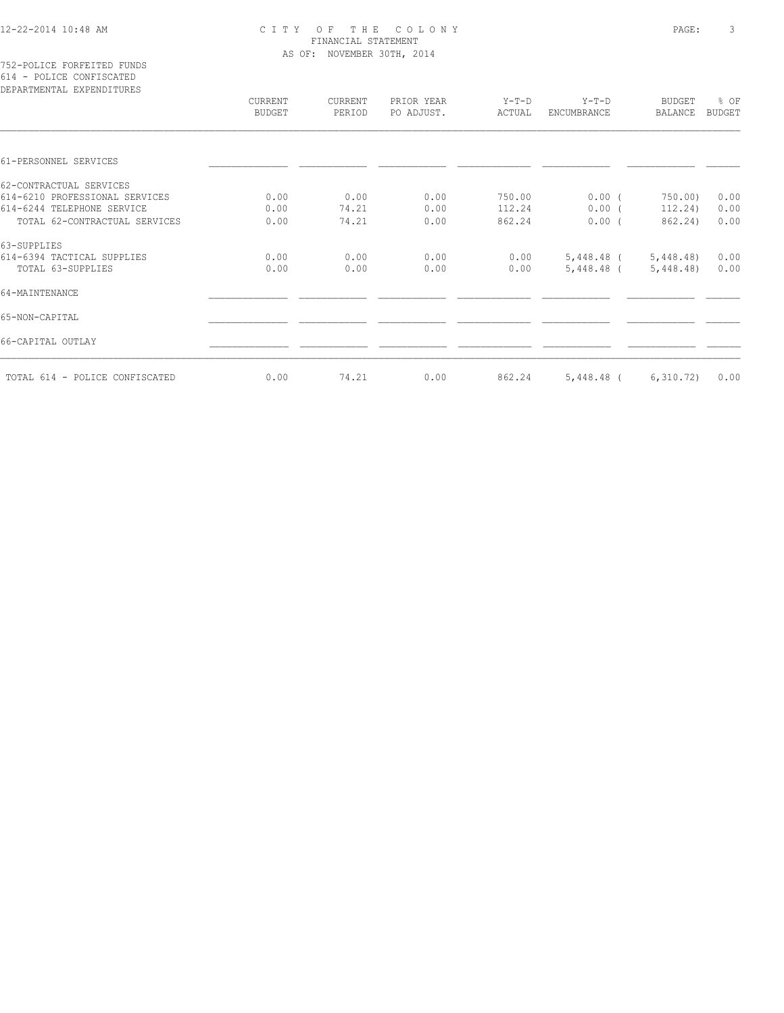|  |  | 752-POLICE FORFEITED FUNDS        |  |
|--|--|-----------------------------------|--|
|  |  | 614 - POLICE CONFISCATED          |  |
|  |  | סססוזיידרוגיסמיס זגייניה אייפגמיס |  |

| DEPARTMENTAL EXPENDITURES      |                          |                   |                          |                   |                               |                                 |                |
|--------------------------------|--------------------------|-------------------|--------------------------|-------------------|-------------------------------|---------------------------------|----------------|
|                                | CURRENT<br><b>BUDGET</b> | CURRENT<br>PERIOD | PRIOR YEAR<br>PO ADJUST. | $Y-T-D$<br>ACTUAL | $Y-T-D$<br><b>ENCUMBRANCE</b> | <b>BUDGET</b><br><b>BALANCE</b> | % OF<br>BUDGET |
|                                |                          |                   |                          |                   |                               |                                 |                |
| 61-PERSONNEL SERVICES          |                          |                   |                          |                   |                               |                                 |                |
| 62-CONTRACTUAL SERVICES        |                          |                   |                          |                   |                               |                                 |                |
| 614-6210 PROFESSIONAL SERVICES | 0.00                     | 0.00              | 0.00                     | 750.00            | $0.00$ (                      | 750.00                          | 0.00           |
| 614-6244 TELEPHONE SERVICE     | 0.00                     | 74.21             | 0.00                     | 112.24            | $0.00$ (                      | 112.24)                         | 0.00           |
| TOTAL 62-CONTRACTUAL SERVICES  | 0.00                     | 74.21             | 0.00                     | 862.24            | 0.00(                         | 862.24)                         | 0.00           |
| 63-SUPPLIES                    |                          |                   |                          |                   |                               |                                 |                |
| 614-6394 TACTICAL SUPPLIES     | 0.00                     | 0.00              | 0.00                     | 0.00              | 5,448.48 (                    | 5,448.48)                       | 0.00           |
| TOTAL 63-SUPPLIES              | 0.00                     | 0.00              | 0.00                     | 0.00              | 5,448.48 (                    | 5,448.48)                       | 0.00           |
| 64-MAINTENANCE                 |                          |                   |                          |                   |                               |                                 |                |
| 65-NON-CAPITAL                 |                          |                   |                          |                   |                               |                                 |                |
| 66-CAPITAL OUTLAY              |                          |                   |                          |                   |                               |                                 |                |
| TOTAL 614 - POLICE CONFISCATED | 0.00                     | 74.21             | 0.00                     | 862.24            | 5,448.48 (                    | 6,310.72)                       | 0.00           |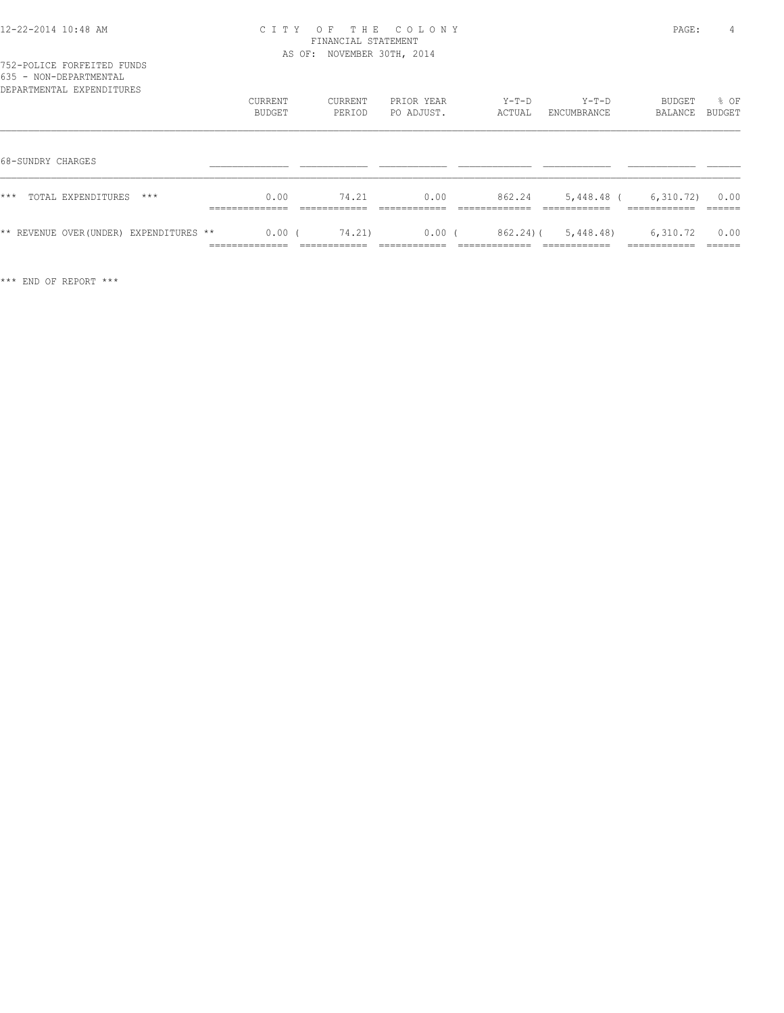| 635 - NON-DEPARTMENTAL<br>DEPARTMENTAL EXPENDITURES |                                             |                        |                          |                          |                                           |                                        |                |
|-----------------------------------------------------|---------------------------------------------|------------------------|--------------------------|--------------------------|-------------------------------------------|----------------------------------------|----------------|
|                                                     | CURRENT<br>BUDGET                           | CURRENT<br>PERIOD      | PRIOR YEAR<br>PO ADJUST. | $Y-T-D$<br>ACTUAL        | $Y-T-D$<br>ENCUMBRANCE                    | BUDGET<br>BALANCE                      | % OF<br>BUDGET |
| 68-SUNDRY CHARGES                                   |                                             |                        |                          |                          |                                           |                                        |                |
| $***$<br>TOTAL EXPENDITURES<br>$***$                | 0.00<br>______________<br>-------------     | 74.21                  | 0.00                     | 862.24                   | 5,448.48 (                                | 6,310.72)<br>____________              | 0.00           |
| ** REVENUE OVER (UNDER) EXPENDITURES **             | $0.00$ (<br>______________<br>------------- | 74.21)<br>____________ | $0.00$ (<br>___________  | 862.24)(<br>____________ | 5,448.48<br>____________<br>------------- | 6,310.72<br>____________<br>---------- | 0.00<br>====== |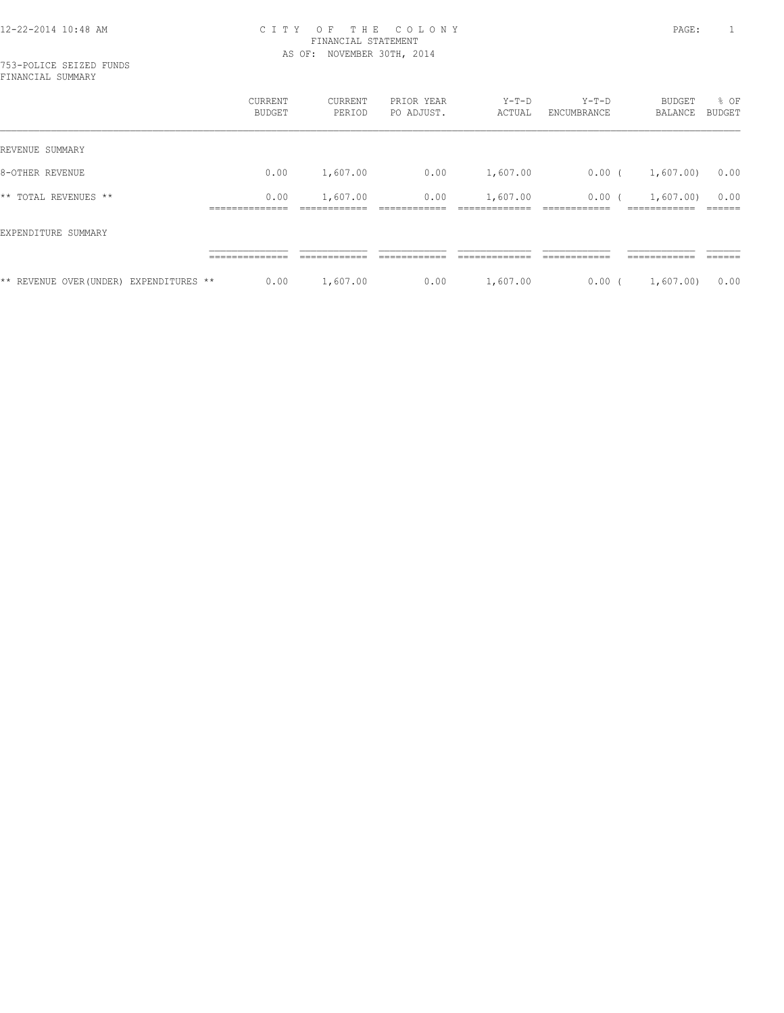|                                         | CURRENT<br>BUDGET | CURRENT<br>PERIOD | PRIOR YEAR<br>PO ADJUST. | $Y-T-D$<br>ACTUAL | $Y-T-D$<br>ENCUMBRANCE | BUDGET<br>BALANCE | % OF<br><b>BUDGET</b> |
|-----------------------------------------|-------------------|-------------------|--------------------------|-------------------|------------------------|-------------------|-----------------------|
| REVENUE SUMMARY                         |                   |                   |                          |                   |                        |                   |                       |
| 8-OTHER REVENUE                         | 0.00              | 1,607.00          | 0.00                     | 1,607.00          | $0.00$ (               | 1,607.00)         | 0.00                  |
| ** TOTAL REVENUES **                    | 0.00              | 1,607.00          | 0.00                     | 1,607.00          | 0.00(                  | 1,607.00          | 0.00                  |
| EXPENDITURE SUMMARY                     |                   |                   |                          |                   |                        |                   |                       |
|                                         | ______________    | ------------      | ------------             |                   | ------------           | ------------      | ------                |
| ** REVENUE OVER (UNDER) EXPENDITURES ** | 0.00              | 1,607.00          | 0.00                     | 1,607.00          | 0.00(                  | 1,607.00          | 0.00                  |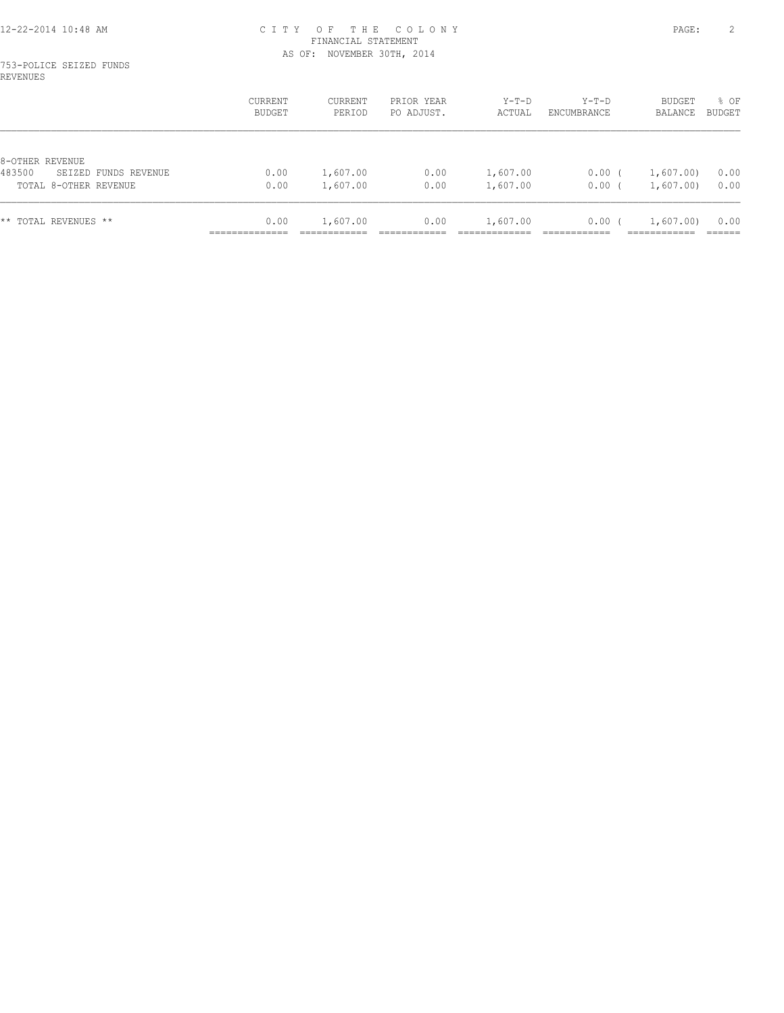#### 753-POLICE SEIZED FUNDS REVENUES

|                                                                            | CURRENT<br>BUDGET | CURRENT<br>PERIOD    | PRIOR YEAR<br>PO ADJUST. | $Y-T-D$<br>ACTUAL    | $Y-T-D$<br>ENCUMBRANCE | BUDGET<br>BALANCE    | % OF<br>BUDGET |
|----------------------------------------------------------------------------|-------------------|----------------------|--------------------------|----------------------|------------------------|----------------------|----------------|
| 8-OTHER REVENUE<br>483500<br>SEIZED FUNDS REVENUE<br>TOTAL 8-OTHER REVENUE | 0.00<br>0.00      | 1,607.00<br>1,607.00 | 0.00<br>0.00             | 1,607.00<br>1,607.00 | 0.00<br>0.00           | 1,607.00<br>1,607.00 | 0.00<br>0.00   |
| ** TOTAL REVENUES **                                                       | 0.00              | 1,607.00             | 0.00                     | 1,607.00             | 0.00(                  | 1,607.00             | 0.00           |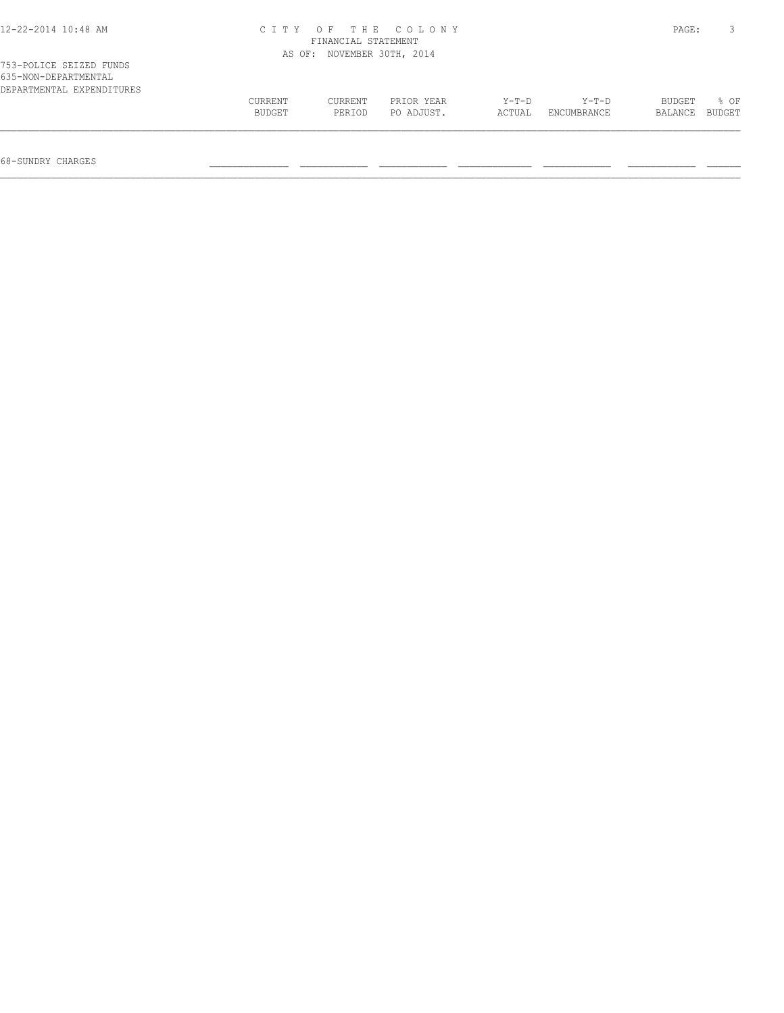| 12-22-2014 10:48 AM                                                          | CITY OF THE COLONY<br>FINANCIAL STATEMENT | PAGE:             |                          |                   |                        |                   |                |
|------------------------------------------------------------------------------|-------------------------------------------|-------------------|--------------------------|-------------------|------------------------|-------------------|----------------|
|                                                                              | AS OF:                                    |                   | NOVEMBER 30TH, 2014      |                   |                        |                   |                |
| 753-POLICE SEIZED FUNDS<br>635-NON-DEPARTMENTAL<br>DEPARTMENTAL EXPENDITURES |                                           |                   |                          |                   |                        |                   |                |
|                                                                              | CURRENT<br>BUDGET                         | CURRENT<br>PERIOD | PRIOR YEAR<br>PO ADJUST. | $Y-T-D$<br>ACTUAL | $Y-T-D$<br>ENCUMBRANCE | BUDGET<br>BALANCE | 8 OF<br>BUDGET |
|                                                                              |                                           |                   |                          |                   |                        |                   |                |

68-SUNDRY CHARGES \_\_\_\_\_\_\_\_\_\_\_\_\_\_ \_\_\_\_\_\_\_\_\_\_\_\_ \_\_\_\_\_\_\_\_\_\_\_\_ \_\_\_\_\_\_\_\_\_\_\_\_\_ \_\_\_\_\_\_\_\_\_\_\_\_ \_\_\_\_\_\_\_\_\_\_\_\_ \_\_\_\_\_\_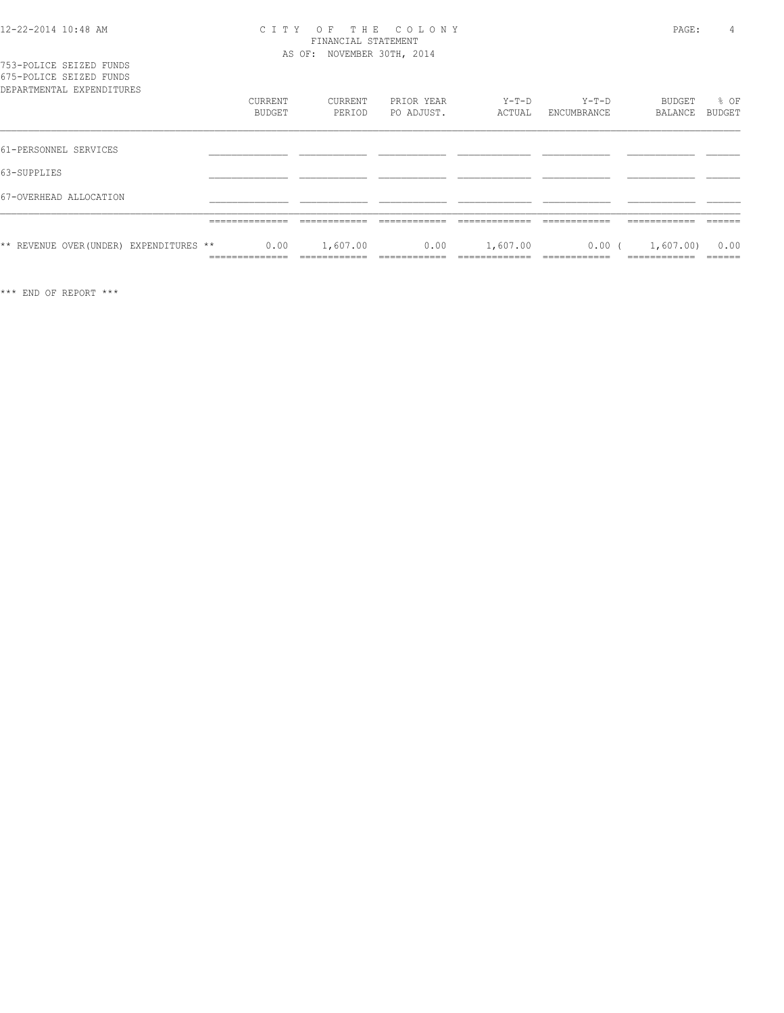| 753-POLICE SEIZED FUNDS<br>675-POLICE SEIZED FUNDS |                                   |               |                                         |                          |                           |                                          |                                           |                          |
|----------------------------------------------------|-----------------------------------|---------------|-----------------------------------------|--------------------------|---------------------------|------------------------------------------|-------------------------------------------|--------------------------|
| DEPARTMENTAL EXPENDITURES                          | CURRENT                           | <b>BUDGET</b> | CURRENT<br>PERIOD                       | PRIOR YEAR<br>PO ADJUST. | $Y-T-D$<br>ACTUAL         | $Y-T-D$<br>ENCUMBRANCE                   | BUDGET<br>BALANCE                         | % OF<br>BUDGET           |
| 61-PERSONNEL SERVICES                              |                                   |               |                                         |                          |                           |                                          |                                           |                          |
| 63-SUPPLIES                                        |                                   |               |                                         |                          |                           |                                          |                                           |                          |
| 67-OVERHEAD ALLOCATION                             |                                   |               |                                         |                          |                           |                                          |                                           |                          |
|                                                    | ______________<br>______________  |               | ____________                            |                          | ____________              | ____________                             | ____________<br>____________              | ------<br>______         |
| ** REVENUE OVER (UNDER) EXPENDITURES **            | ______________<br>_______________ | 0.00          | 1,607.00<br>___________<br>____________ | 0.00<br>____________     | 1,607.00<br>_____________ | $0.00$ (<br>____________<br>____________ | 1,607.00)<br>____________<br>____________ | 0.00<br>______<br>______ |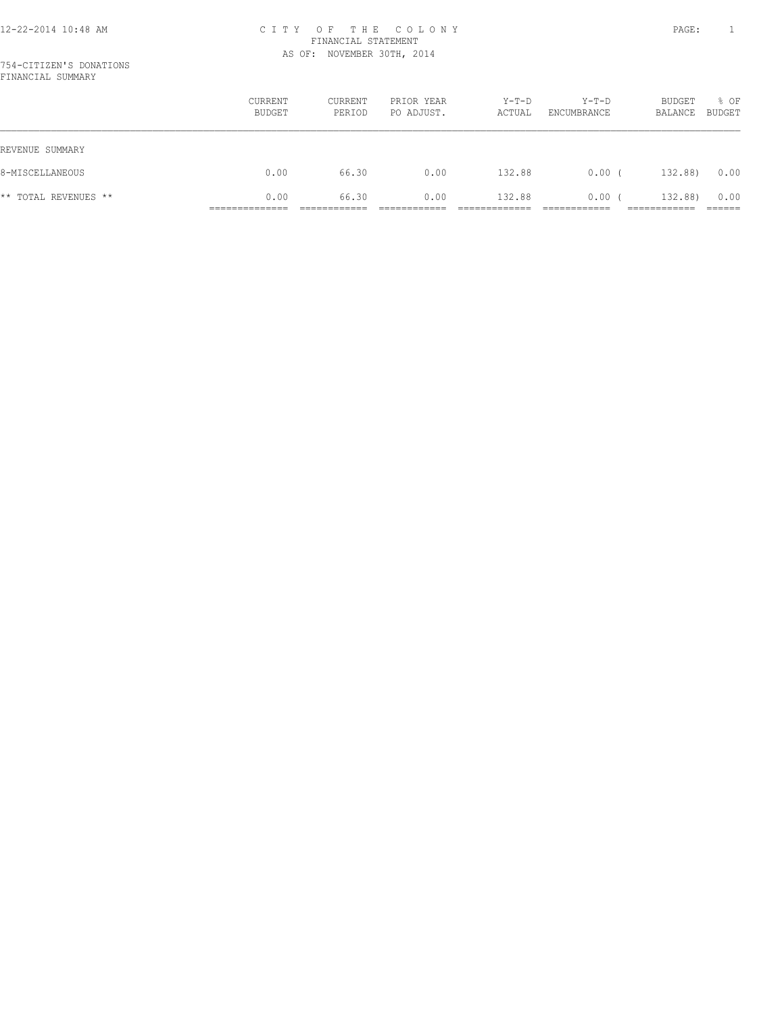#### 754-CITIZEN'S DONATIONS FINANCIAL SUMMARY

|                      | CURRENT<br>BUDGET | CURRENT<br>PERIOD | PRIOR YEAR<br>PO ADJUST. | $Y-T-D$<br>ACTUAL | Y-T-D<br>ENCUMBRANCE | BUDGET<br>BALANCE | % OF<br>BUDGET |
|----------------------|-------------------|-------------------|--------------------------|-------------------|----------------------|-------------------|----------------|
| REVENUE SUMMARY      |                   |                   |                          |                   |                      |                   |                |
| 8-MISCELLANEOUS      | 0.00              | 66.30             | 0.00                     | 132.88            | 0.00(                | 132.88)           | 0.00           |
| ** TOTAL REVENUES ** | 0.00              | 66.30             | 0.00                     | 132.88            | 0.00(                | 132.88)           | 0.00           |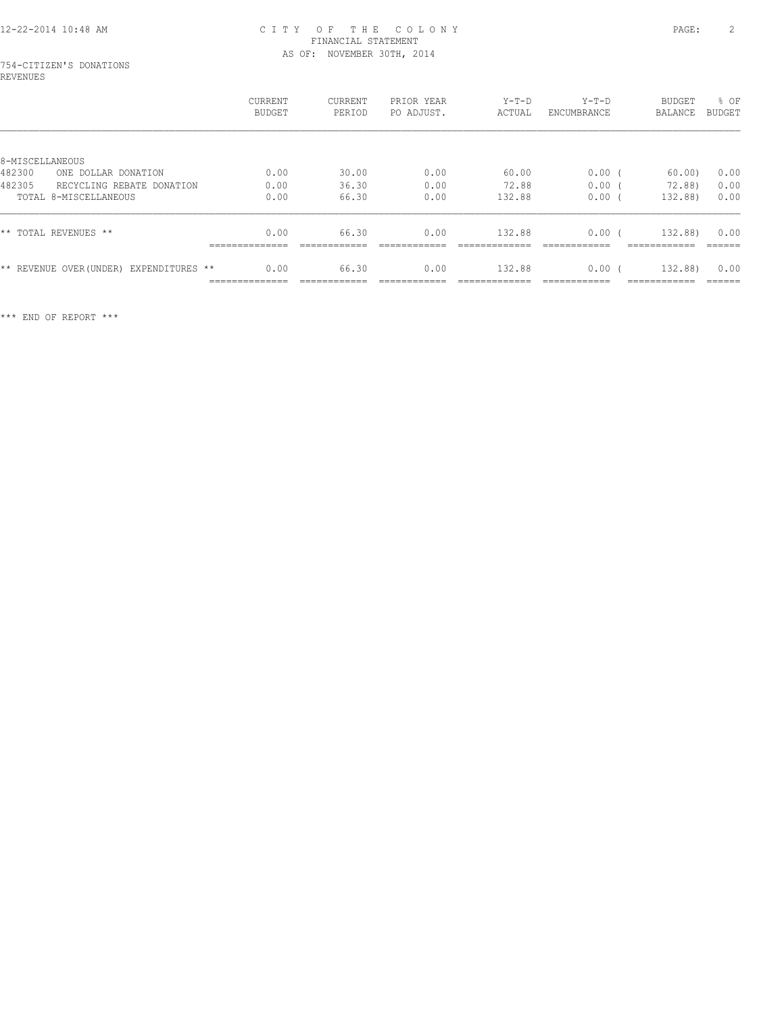# 754-CITIZEN'S DONATIONS REVENUES

|                                            | CURRENT<br><b>BUDGET</b> | <b>CURRENT</b><br>PERIOD | PRIOR YEAR<br>PO ADJUST. | $Y-T-D$<br>ACTUAL | $Y-T-D$<br>ENCUMBRANCE | <b>BUDGET</b><br>BALANCE | % OF<br><b>BUDGET</b> |
|--------------------------------------------|--------------------------|--------------------------|--------------------------|-------------------|------------------------|--------------------------|-----------------------|
|                                            |                          |                          |                          |                   |                        |                          |                       |
| 8-MISCELLANEOUS                            |                          |                          |                          |                   |                        |                          |                       |
| 482300<br>ONE DOLLAR DONATION              | 0.00                     | 30.00                    | 0.00                     | 60.00             | $0.00$ (               | 60.00                    | 0.00                  |
| 482305<br>RECYCLING REBATE DONATION        | 0.00                     | 36.30                    | 0.00                     | 72.88             | 0.00                   | 72.88                    | 0.00                  |
| TOTAL 8-MISCELLANEOUS                      | 0.00                     | 66.30                    | 0.00                     | 132.88            | 0.00                   | 132.88)                  | 0.00                  |
| ** TOTAL REVENUES **                       | 0.00<br>--------------   | 66.30                    | 0.00                     | 132.88            | 0.00                   | 132.88)                  | 0.00<br>-------       |
| ** REVENUE OVER (UNDER)<br>EXPENDITURES ** | 0.00<br>______________   | 66.30<br>____________    | 0.00                     | 132.88            | 0.00                   | 132.88)<br>------------  | 0.00<br>-------       |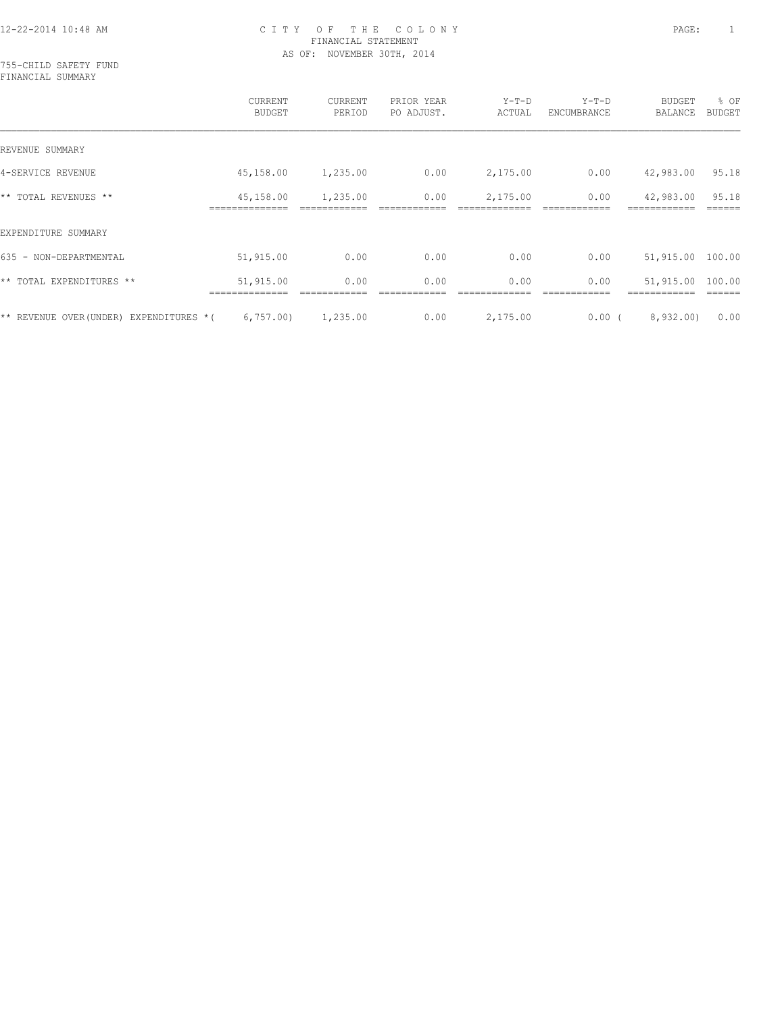755-CHILD SAFETY FUND FINANCIAL SUMMARY

|                                           | CURRENT<br><b>BUDGET</b> | <b>CURRENT</b><br>PERIOD | PRIOR YEAR<br>PO ADJUST. | $Y-T-D$<br>ACTUAL | $Y-T-D$<br>ENCUMBRANCE | <b>BUDGET</b><br>BALANCE | % OF<br><b>BUDGET</b> |
|-------------------------------------------|--------------------------|--------------------------|--------------------------|-------------------|------------------------|--------------------------|-----------------------|
| REVENUE SUMMARY                           |                          |                          |                          |                   |                        |                          |                       |
| 4-SERVICE REVENUE                         | 45,158.00                | 1,235.00                 | 0.00                     | 2,175.00          | 0.00                   | 42,983.00                | 95.18                 |
| ** TOTAL REVENUES **                      | 45,158.00<br>----------  | 1,235.00                 | 0.00                     | 2,175.00          | 0.00                   | 42,983.00                | 95.18                 |
| EXPENDITURE SUMMARY                       |                          |                          |                          |                   |                        |                          |                       |
| 635 - NON-DEPARTMENTAL                    | 51,915.00                | 0.00                     | 0.00                     | 0.00              | 0.00                   | 51,915.00                | 100.00                |
| TOTAL EXPENDITURES **<br>$\star\star$     | 51,915.00                | 0.00                     | 0.00                     | 0.00              | 0.00                   | 51,915.00                | 100.00                |
| ** REVENUE OVER(UNDER)<br>EXPENDITURES *( | 6,757.00                 | 1,235.00                 | 0.00                     | 2,175.00          | 0.00(                  | 8,932,00)                | 0.00                  |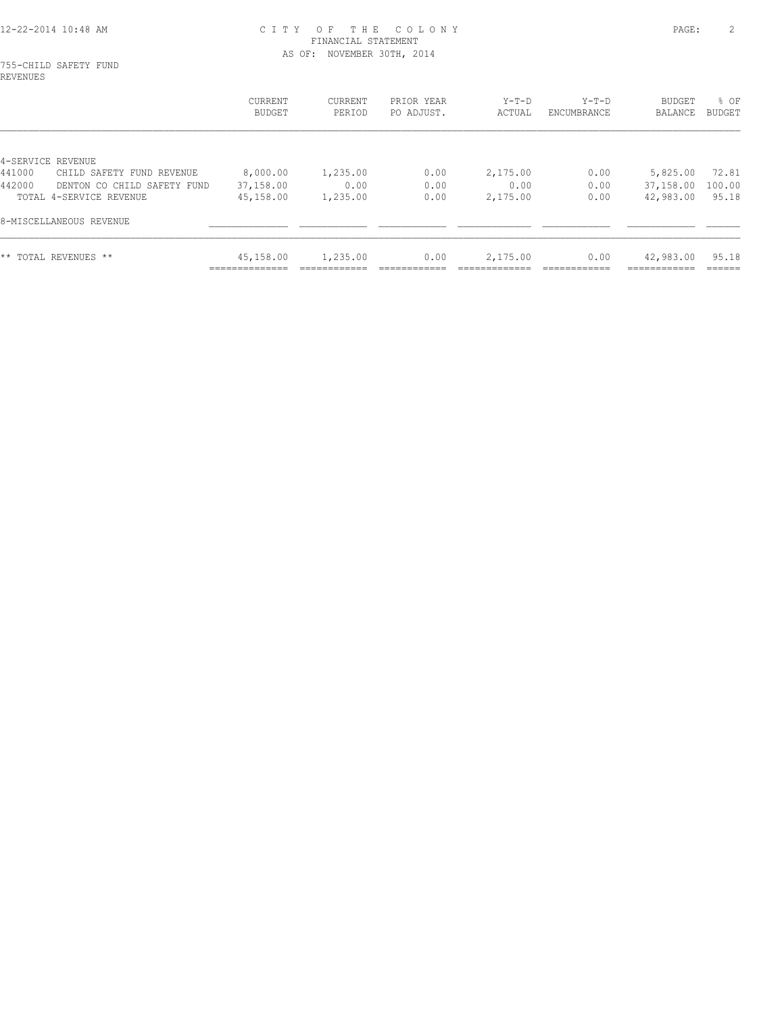# 755-CHILD SAFETY FUND REVENUES

|                                       | CURRENT<br>BUDGET        | CURRENT<br>PERIOD | PRIOR YEAR<br>PO ADJUST. | $Y-T-D$<br>ACTUAL | Y-T-D<br>ENCUMBRANCE | <b>BUDGET</b><br>BALANCE | % OF<br><b>BUDGET</b> |
|---------------------------------------|--------------------------|-------------------|--------------------------|-------------------|----------------------|--------------------------|-----------------------|
|                                       |                          |                   |                          |                   |                      |                          |                       |
| 4-SERVICE REVENUE                     |                          |                   |                          |                   |                      |                          |                       |
| 441000<br>CHILD SAFETY FUND REVENUE   | 8,000.00                 | 1,235.00          | 0.00                     | 2,175.00          | 0.00                 | 5,825.00                 | 72.81                 |
| 442000<br>DENTON CO CHILD SAFETY FUND | 37,158.00                | 0.00              | 0.00                     | 0.00              | 0.00                 | 37,158.00                | 100.00                |
| TOTAL 4-SERVICE REVENUE               | 45,158.00                | 1,235.00          | 0.00                     | 2,175.00          | 0.00                 | 42,983.00                | 95.18                 |
| 8-MISCELLANEOUS REVENUE               |                          |                   |                          |                   |                      |                          |                       |
| ** TOTAL REVENUES **                  | 45,158.00<br>___________ | 1,235.00          | 0.00                     | 2,175.00          | 0.00                 | 42,983.00                | 95.18                 |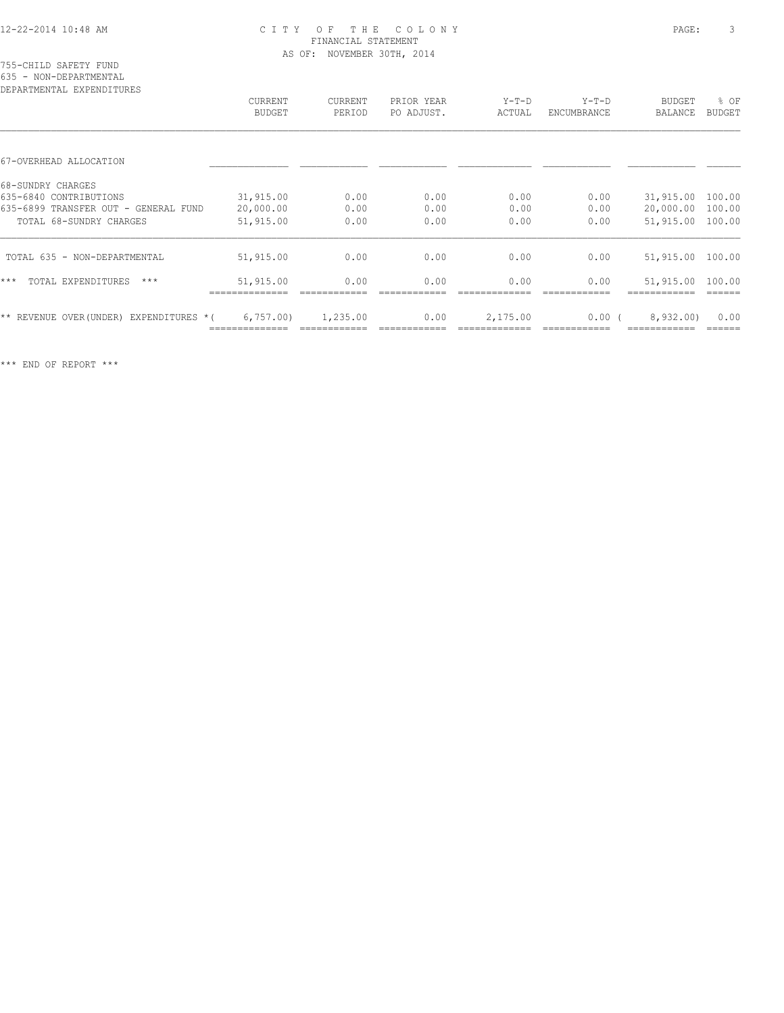#### 755-CHILD SAFETY FUND 635 - NON-DEPARTMENTAL

| DEPARTMENTAL EXPENDITURES                  | <b>CURRENT</b><br>BUDGET | <b>CURRENT</b><br>PERIOD | PRIOR YEAR<br>PO ADJUST. | $Y-T-D$<br>ACTUAL | $Y-T-D$<br>ENCUMBRANCE | <b>BUDGET</b><br>BALANCE | % OF<br>BUDGET |
|--------------------------------------------|--------------------------|--------------------------|--------------------------|-------------------|------------------------|--------------------------|----------------|
|                                            |                          |                          |                          |                   |                        |                          |                |
| 67-OVERHEAD ALLOCATION                     |                          |                          |                          |                   |                        |                          |                |
| 68-SUNDRY CHARGES                          |                          |                          |                          |                   |                        |                          |                |
| 635-6840 CONTRIBUTIONS                     | 31,915.00                | 0.00                     | 0.00                     | 0.00              | 0.00                   | 31,915.00                | 100.00         |
| 635-6899 TRANSFER OUT - GENERAL FUND       | 20,000.00                | 0.00                     | 0.00                     | 0.00              | 0.00                   | 20,000.00                | 100.00         |
| TOTAL 68-SUNDRY CHARGES                    | 51,915.00                | 0.00                     | 0.00                     | 0.00              | 0.00                   | 51,915.00                | 100.00         |
| TOTAL 635 - NON-DEPARTMENTAL               | 51,915.00                | 0.00                     | 0.00                     | 0.00              | 0.00                   | 51,915.00 100.00         |                |
| $***$<br>TOTAL EXPENDITURES<br>$***$       | 51,915.00                | 0.00                     | 0.00                     | 0.00              | 0.00                   | 51,915.00                | 100.00         |
| ** REVENUE OVER (UNDER)<br>EXPENDITURES *( | 6,757.00                 | 1,235.00                 | 0.00                     | 2,175.00          | $0.00$ (               | 8,932,00)                | 0.00           |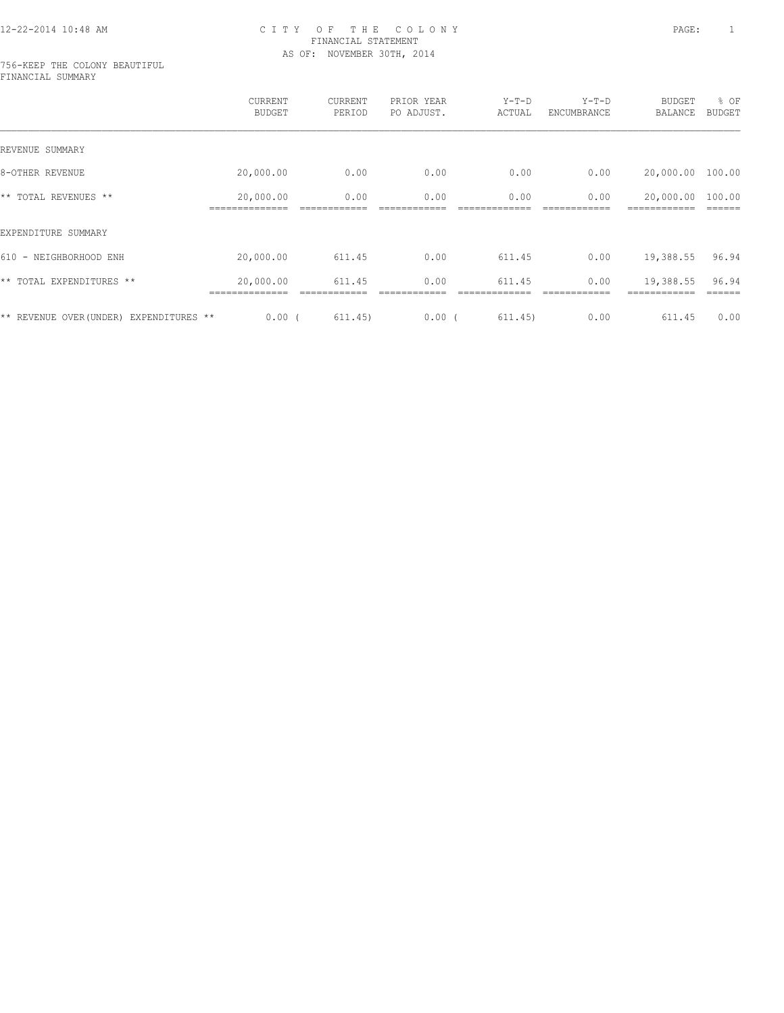#### 756-KEEP THE COLONY BEAUTIFUL FINANCIAL SUMMARY

|                                         | CURRENT<br><b>BUDGET</b> | CURRENT<br>PERIOD | PRIOR YEAR<br>PO ADJUST. | $Y-T-D$<br>ACTUAL | $Y-T-D$<br>ENCUMBRANCE | <b>BUDGET</b><br>BALANCE | % OF<br><b>BUDGET</b> |
|-----------------------------------------|--------------------------|-------------------|--------------------------|-------------------|------------------------|--------------------------|-----------------------|
| REVENUE SUMMARY                         |                          |                   |                          |                   |                        |                          |                       |
| 8-OTHER REVENUE                         | 20,000.00                | 0.00              | 0.00                     | 0.00              | 0.00                   | 20,000.00                | 100.00                |
| ** TOTAL REVENUES **                    | 20,000.00                | 0.00              | 0.00                     | 0.00              | 0.00                   | 20,000.00                | 100.00                |
| EXPENDITURE SUMMARY                     |                          |                   |                          |                   |                        |                          |                       |
| 610 - NEIGHBORHOOD ENH                  | 20,000.00                | 611.45            | 0.00                     | 611.45            | 0.00                   | 19,388.55                | 96.94                 |
| ** TOTAL EXPENDITURES **                | 20,000.00                | 611.45            | 0.00                     | 611.45            | 0.00                   | 19,388.55                | 96.94                 |
| ** REVENUE OVER (UNDER) EXPENDITURES ** | 0.00(                    | 611.45)           | 0.00(                    | 611.45)           | 0.00                   | 611.45                   | 0.00                  |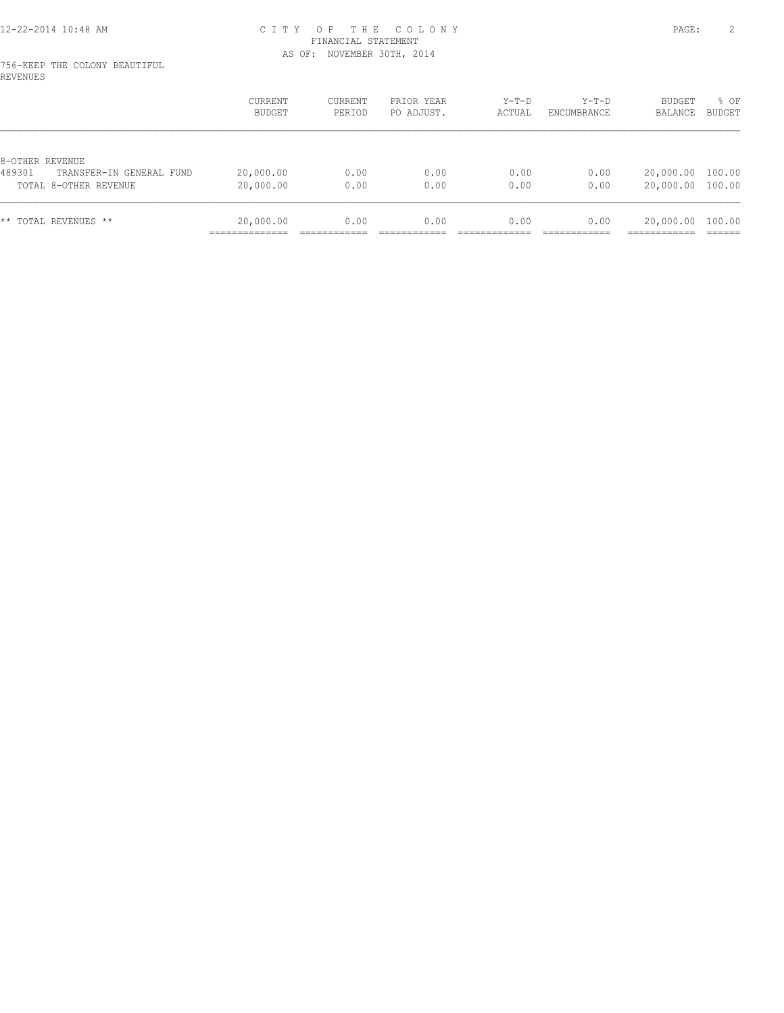#### 756-KEEP THE COLONY BEAUTIFUL REVENUES

|                                                             | <b>CURRENT</b><br>BUDGET | CURRENT<br>PERIOD | PRIOR YEAR<br>PO ADJUST. | $Y-T-D$<br>ACTUAL | $Y-T-D$<br>ENCUMBRANCE | <b>BUDGET</b><br>BALANCE | $8$ OF<br>BUDGET |
|-------------------------------------------------------------|--------------------------|-------------------|--------------------------|-------------------|------------------------|--------------------------|------------------|
| 8-OTHER REVENUE                                             |                          |                   |                          |                   |                        |                          |                  |
| 489301<br>TRANSFER-IN GENERAL FUND<br>TOTAL 8-OTHER REVENUE | 20,000.00<br>20,000.00   | 0.00<br>0.00      | 0.00<br>0.00             | 0.00<br>0.00      | 0.00<br>0.00           | 20,000.00<br>20,000.00   | 100.00<br>100.00 |
| ** TOTAL REVENUES **                                        | 20,000.00                | 0.00              | 0.00                     | 0.00              | 0.00                   | 20,000.00                | 100.00           |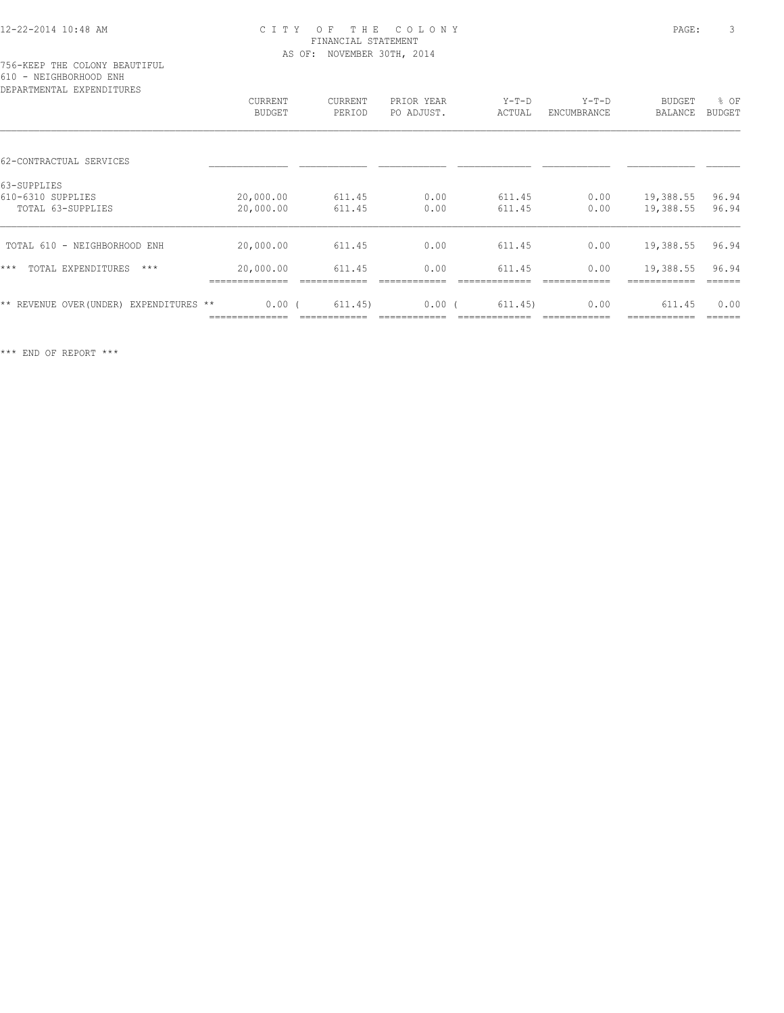| DEPARTMENTAL EXPENDITURES                             | <b>CURRENT</b><br><b>BUDGET</b> | CURRENT<br>PERIOD | PRIOR YEAR<br>PO ADJUST. | $Y-T-D$<br>ACTUAL | $Y-T-D$<br>ENCUMBRANCE | <b>BUDGET</b><br>BALANCE | % OF<br><b>BUDGET</b> |
|-------------------------------------------------------|---------------------------------|-------------------|--------------------------|-------------------|------------------------|--------------------------|-----------------------|
| 62-CONTRACTUAL SERVICES                               |                                 |                   |                          |                   |                        |                          |                       |
| 63-SUPPLIES<br>610-6310 SUPPLIES<br>TOTAL 63-SUPPLIES | 20,000.00<br>20,000.00          | 611.45<br>611.45  | 0.00<br>0.00             | 611.45<br>611.45  | 0.00<br>0.00           | 19,388.55<br>19,388.55   | 96.94<br>96.94        |
| TOTAL 610 - NEIGHBORHOOD ENH                          | 20,000.00                       | 611.45            | 0.00                     | 611.45            | 0.00                   | 19,388.55                | 96.94                 |
| $***$<br>TOTAL EXPENDITURES<br>$***$                  | 20,000.00                       | 611.45            | 0.00                     | 611.45            | 0.00                   | 19,388.55                | 96.94                 |
| ** REVENUE OVER (UNDER) EXPENDITURES **               | 0.00(                           | 611.45)           | 0.00(                    | 611.45)           | 0.00                   | 611.45                   | 0.00                  |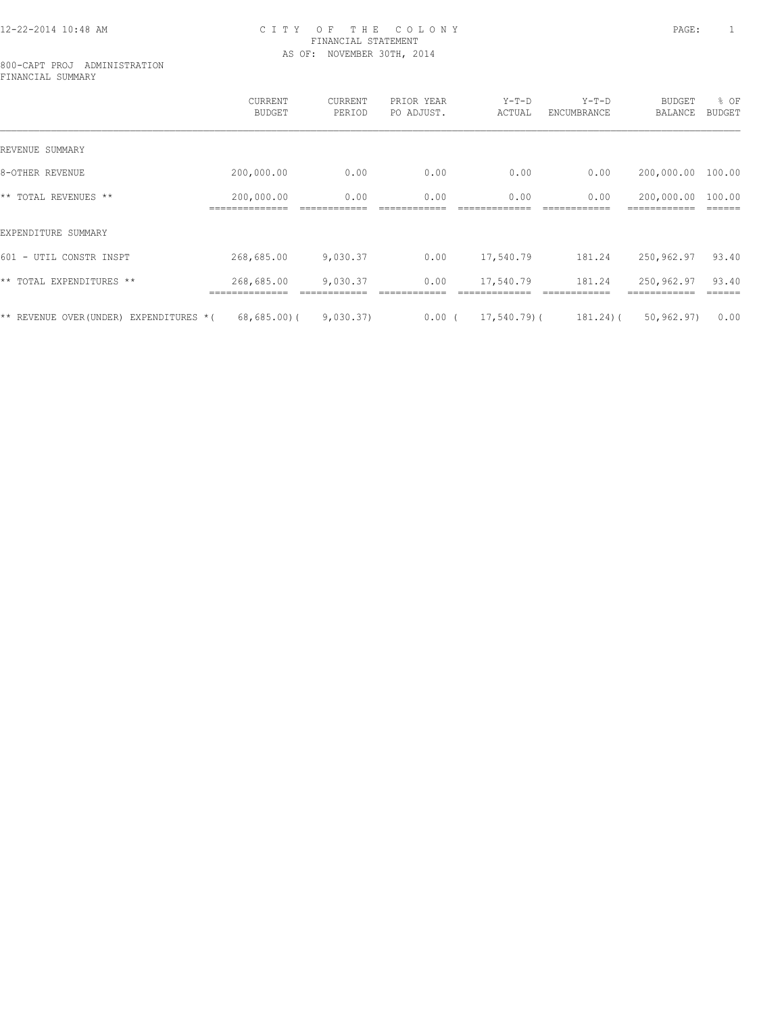#### 800-CAPT PROJ ADMINISTRATION FINANCIAL SUMMARY

|                                           | <b>CURRENT</b><br><b>BUDGET</b> | CURRENT<br>PERIOD | PRIOR YEAR<br>PO ADJUST. | $Y-T-D$<br>ACTUAL | $Y-T-D$<br>ENCUMBRANCE | <b>BUDGET</b><br>BALANCE | % OF<br><b>BUDGET</b> |
|-------------------------------------------|---------------------------------|-------------------|--------------------------|-------------------|------------------------|--------------------------|-----------------------|
| REVENUE SUMMARY                           |                                 |                   |                          |                   |                        |                          |                       |
| 8-OTHER REVENUE                           | 200,000.00                      | 0.00              | 0.00                     | 0.00              | 0.00                   | 200,000.00               | 100.00                |
| ** TOTAL REVENUES **                      | 200,000.00                      | 0.00              | 0.00                     | 0.00              | 0.00                   | 200,000.00               | 100.00                |
| EXPENDITURE SUMMARY                       |                                 |                   |                          |                   |                        |                          |                       |
| 601 - UTIL CONSTR INSPT                   | 268,685.00                      | 9,030.37          | 0.00                     | 17,540.79         | 181.24                 | 250,962.97               | 93.40                 |
| ** TOTAL EXPENDITURES **                  | 268,685.00                      | 9,030.37          | 0.00                     | 17,540.79         | 181.24                 | 250,962.97               | 93.40                 |
| ** REVENUE OVER(UNDER)<br>EXPENDITURES *( | 68,685.00(                      | 9,030.37)         | $0.00$ (                 | $17,540.79$ (     | $181.24$ ) (           | 50, 962, 97)             | 0.00                  |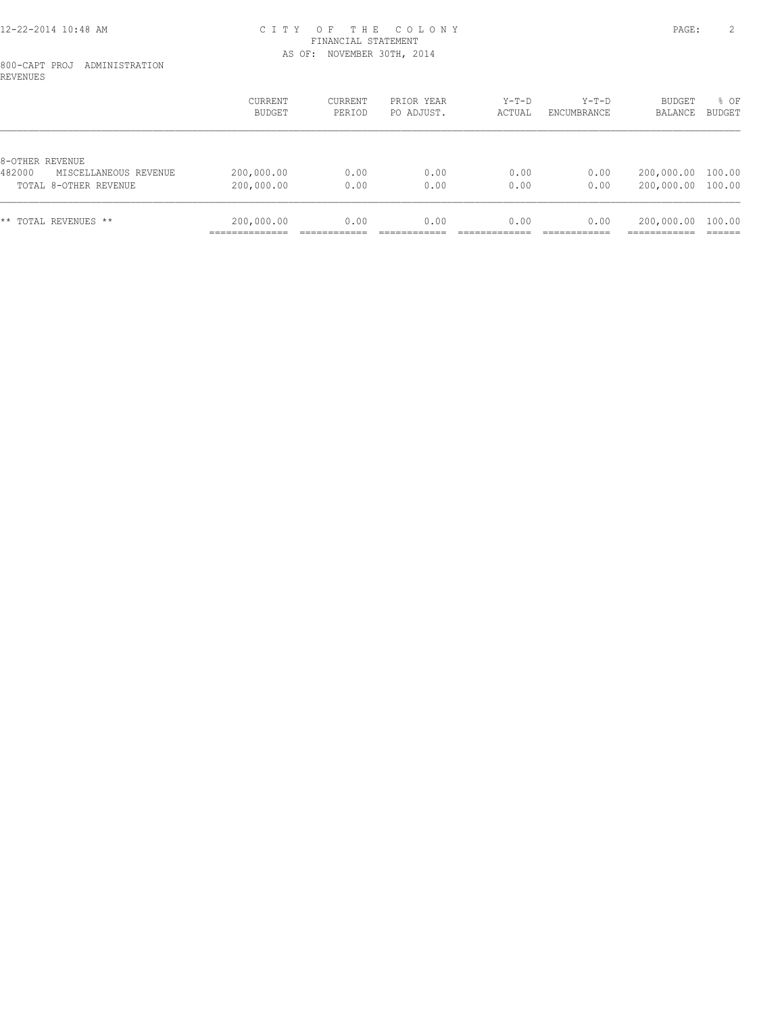#### 800-CAPT PROJ ADMINISTRATION REVENUES

|                                                          | CURRENT<br>BUDGET        | CURRENT<br>PERIOD | PRIOR YEAR<br>PO ADJUST. | $Y-T-D$<br>ACTUAL | $Y-T-D$<br>ENCUMBRANCE | <b>BUDGET</b><br>BALANCE | $8$ OF<br>BUDGET |
|----------------------------------------------------------|--------------------------|-------------------|--------------------------|-------------------|------------------------|--------------------------|------------------|
| 8-OTHER REVENUE                                          |                          |                   |                          |                   |                        |                          |                  |
| 482000<br>MISCELLANEOUS REVENUE<br>TOTAL 8-OTHER REVENUE | 200,000.00<br>200,000.00 | 0.00<br>0.00      | 0.00<br>0.00             | 0.00<br>0.00      | 0.00<br>0.00           | 200,000.00<br>200,000.00 | 100.00<br>100.00 |
| ** TOTAL REVENUES **                                     | 200,000.00               | 0.00              | 0.00                     | 0.00              | 0.00                   | 200,000.00               | 100.00           |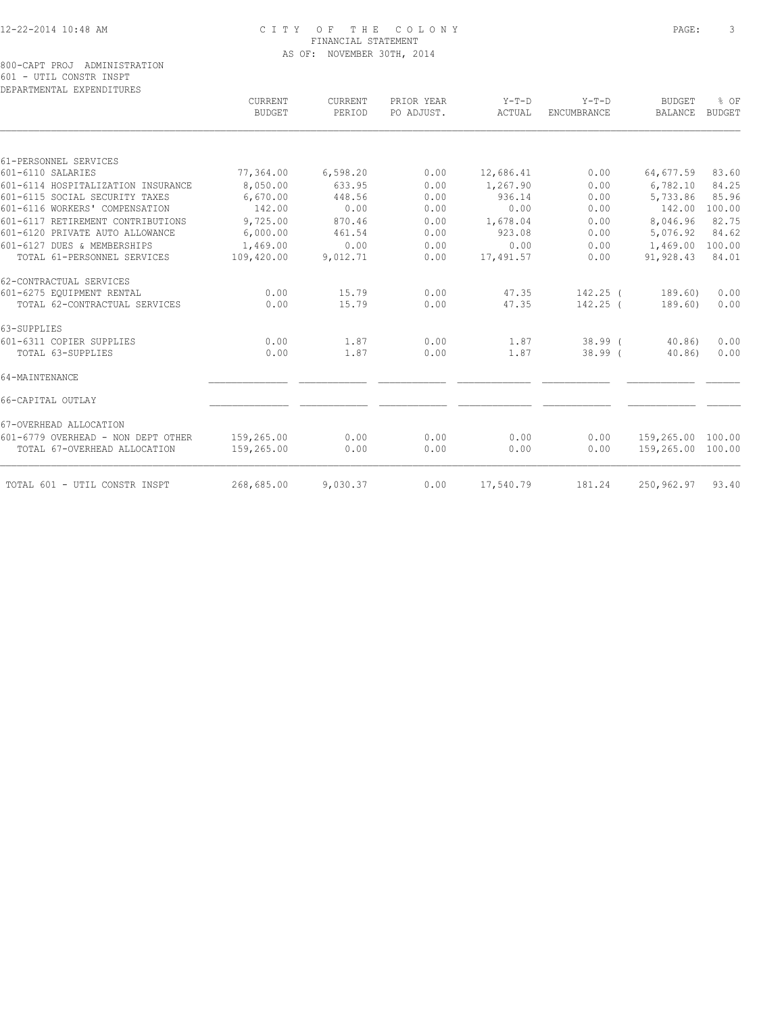# 800-CAPT PROJ ADMINISTRATION 601 - UTIL CONSTR INSPT DEPARTMENTAL EXPENDITURES

|                                    | <b>CURRENT</b><br><b>BUDGET</b> | CURRENT<br>PERIOD | PRIOR YEAR<br>PO ADJUST. | $Y-T-D$<br>ACTUAL | $Y-T-D$<br>ENCUMBRANCE | <b>BUDGET</b><br>BALANCE | % OF<br><b>BUDGET</b> |
|------------------------------------|---------------------------------|-------------------|--------------------------|-------------------|------------------------|--------------------------|-----------------------|
| 61-PERSONNEL SERVICES              |                                 |                   |                          |                   |                        |                          |                       |
| 601-6110 SALARIES                  | 77,364.00                       | 6,598.20          | 0.00                     | 12,686.41         | 0.00                   | 64,677.59                | 83.60                 |
| 601-6114 HOSPITALIZATION INSURANCE | 8,050.00                        | 633.95            | 0.00                     | 1,267.90          | 0.00                   | 6,782.10                 | 84.25                 |
| 601-6115 SOCIAL SECURITY TAXES     | 6,670.00                        | 448.56            | 0.00                     | 936.14            | 0.00                   | 5,733.86                 | 85.96                 |
| 601-6116 WORKERS' COMPENSATION     | 142.00                          | 0.00              | 0.00                     | 0.00              | 0.00                   | 142.00                   | 100.00                |
| 601-6117 RETIREMENT CONTRIBUTIONS  | 9,725.00                        | 870.46            | 0.00                     | 1,678.04          | 0.00                   | 8,046.96                 | 82.75                 |
| 601-6120 PRIVATE AUTO ALLOWANCE    | 6,000.00                        | 461.54            | 0.00                     | 923.08            | 0.00                   | 5,076.92                 | 84.62                 |
| 601-6127 DUES & MEMBERSHIPS        | 1,469.00                        | 0.00              | 0.00                     | 0.00              | 0.00                   | 1,469.00                 | 100.00                |
| TOTAL 61-PERSONNEL SERVICES        | 109,420.00                      | 9,012.71          | 0.00                     | 17,491.57         | 0.00                   | 91,928.43                | 84.01                 |
| 62-CONTRACTUAL SERVICES            |                                 |                   |                          |                   |                        |                          |                       |
| 601-6275 EOUIPMENT RENTAL          | 0.00                            | 15.79             | 0.00                     | 47.35             | 142.25 (               | 189.60)                  | 0.00                  |
| TOTAL 62-CONTRACTUAL SERVICES      | 0.00                            | 15.79             | 0.00                     | 47.35             | $142.25$ (             | 189.60)                  | 0.00                  |
| 63-SUPPLIES                        |                                 |                   |                          |                   |                        |                          |                       |
| 601-6311 COPIER SUPPLIES           | 0.00                            | 1.87              | 0.00                     | 1.87              | $38.99$ (              | 40.86)                   | 0.00                  |
| TOTAL 63-SUPPLIES                  | 0.00                            | 1.87              | 0.00                     | 1.87              | $38.99$ (              | 40.86                    | 0.00                  |
| 64-MAINTENANCE                     |                                 |                   |                          |                   |                        |                          |                       |
| 66-CAPITAL OUTLAY                  |                                 |                   |                          |                   |                        |                          |                       |
| 67-OVERHEAD ALLOCATION             |                                 |                   |                          |                   |                        |                          |                       |
| 601-6779 OVERHEAD - NON DEPT OTHER | 159,265.00                      | 0.00              | 0.00                     | 0.00              | 0.00                   | 159,265.00               | 100.00                |
| TOTAL 67-OVERHEAD ALLOCATION       | 159,265.00                      | 0.00              | 0.00                     | 0.00              | 0.00                   | 159,265.00               | 100.00                |
| TOTAL 601 - UTIL CONSTR INSPT      | 268,685.00                      | 9,030.37          | 0.00                     | 17,540.79         | 181.24                 | 250,962.97               | 93.40                 |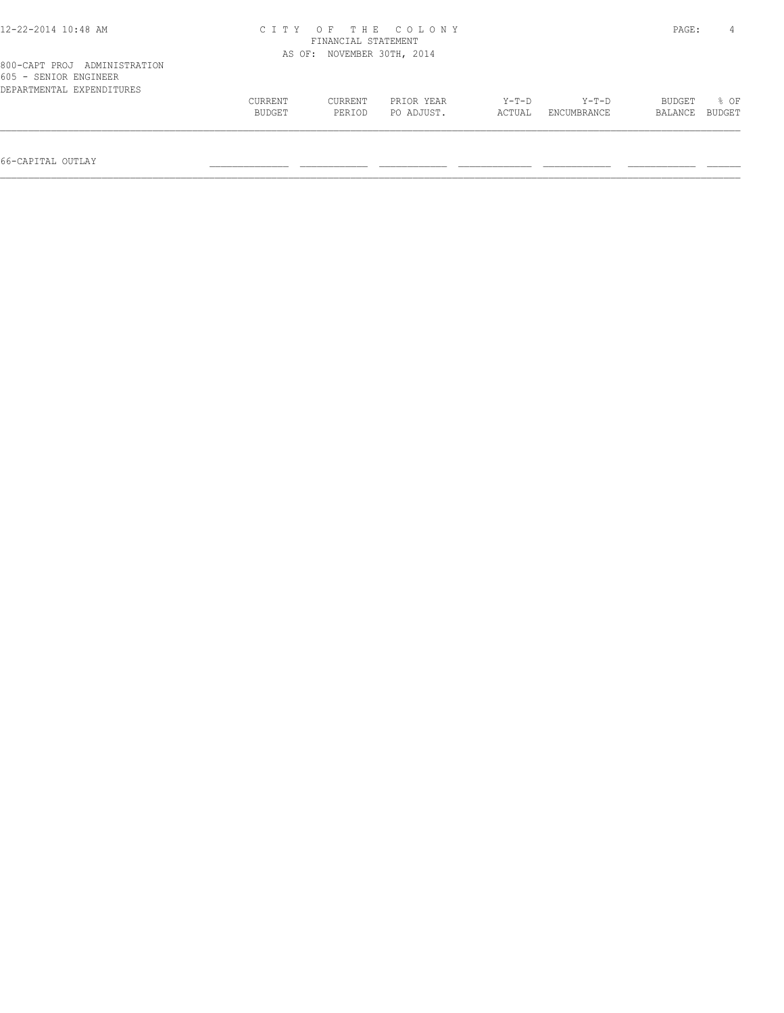| 12-22-2014 10:48 AM                                                                | CITY OF THE COLONY<br>FINANCIAL STATEMENT | PAGE:                      |                          |                 |                      |                   |                |
|------------------------------------------------------------------------------------|-------------------------------------------|----------------------------|--------------------------|-----------------|----------------------|-------------------|----------------|
|                                                                                    |                                           | AS OF: NOVEMBER 30TH, 2014 |                          |                 |                      |                   |                |
| 800-CAPT PROJ ADMINISTRATION<br>605 - SENIOR ENGINEER<br>DEPARTMENTAL EXPENDITURES |                                           |                            |                          |                 |                      |                   |                |
|                                                                                    | CURRENT<br>BUDGET                         | CURRENT<br>PERIOD          | PRIOR YEAR<br>PO ADJUST. | Y-T-D<br>ACTUAL | Y-T-D<br>ENCUMBRANCE | BUDGET<br>BALANCE | 8 OF<br>BUDGET |
|                                                                                    |                                           |                            |                          |                 |                      |                   |                |

66-CAPITAL OUTLAY \_\_\_\_\_\_\_\_\_\_\_\_\_\_ \_\_\_\_\_\_\_\_\_\_\_\_ \_\_\_\_\_\_\_\_\_\_\_\_ \_\_\_\_\_\_\_\_\_\_\_\_\_ \_\_\_\_\_\_\_\_\_\_\_\_ \_\_\_\_\_\_\_\_\_\_\_\_ \_\_\_\_\_\_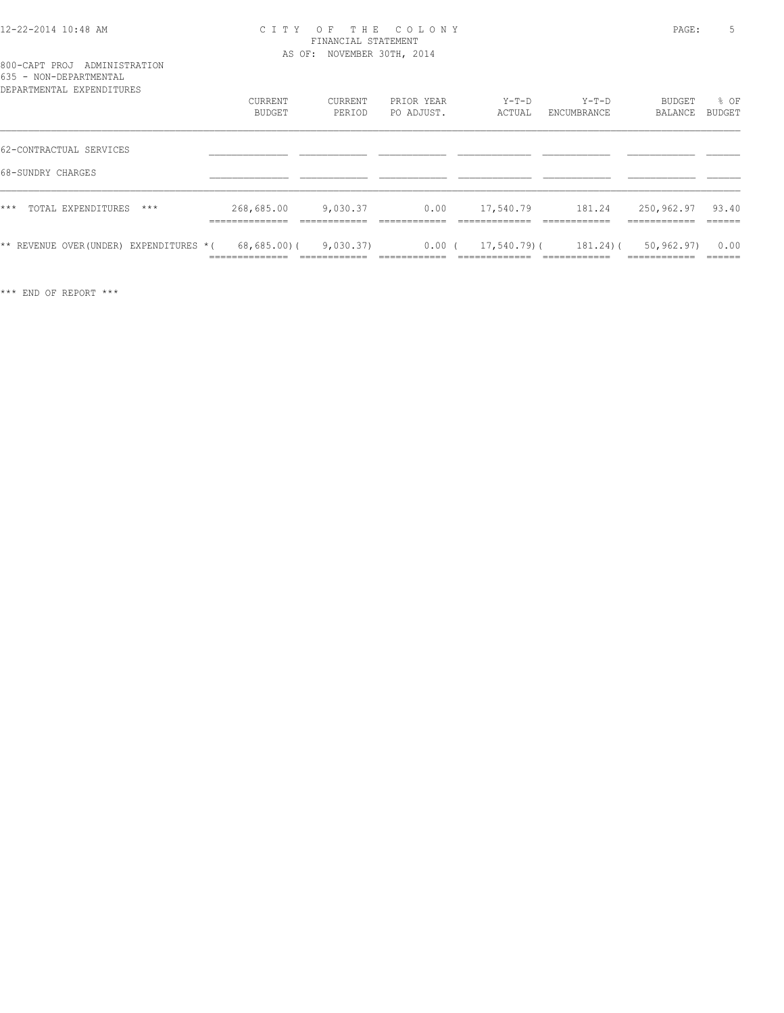#### 12-22-2014 10:48 AM C I T Y O F T H E C O L O N Y PAGE: 5 FINANCIAL STATEMENT AS OF: NOVEMBER 30TH, 2014

### 800-CAPT PROJ ADMINISTRATION 635 - NON-DEPARTMENTAL

| DEPARTMENTAL EXPENDITURES                    | CURRENT<br>BUDGET                               | CURRENT<br>PERIOD         | PRIOR YEAR<br>PO ADJUST.  | $Y-T-D$<br>ACTUAL           | $Y-T-D$<br>ENCUMBRANCE       | <b>BUDGET</b><br>BALANCE                    | % OF<br>BUDGET            |
|----------------------------------------------|-------------------------------------------------|---------------------------|---------------------------|-----------------------------|------------------------------|---------------------------------------------|---------------------------|
| 62-CONTRACTUAL SERVICES<br>68-SUNDRY CHARGES |                                                 |                           |                           |                             |                              |                                             |                           |
| $***$<br>TOTAL EXPENDITURES<br>$***$         | 268,685.00<br>---------------<br>______________ | 9,030.37<br>____________  | 0.00                      | 17,540.79                   | 181.24                       | 250,962.97<br>-------------<br>__________   | 93.40<br>-------          |
| ** REVENUE OVER (UNDER) EXPENDITURES * (     | 68,685.00)(<br>==============                   | 9,030.37)<br>____________ | $0.00$ (<br>------------- | 17,540.79)(<br>____________ | $181.24$ ) (<br>____________ | 50,962.97)<br>------------<br>------------- | 0.00<br>-------<br>______ |

\*\*\* END OF REPORT \*\*\*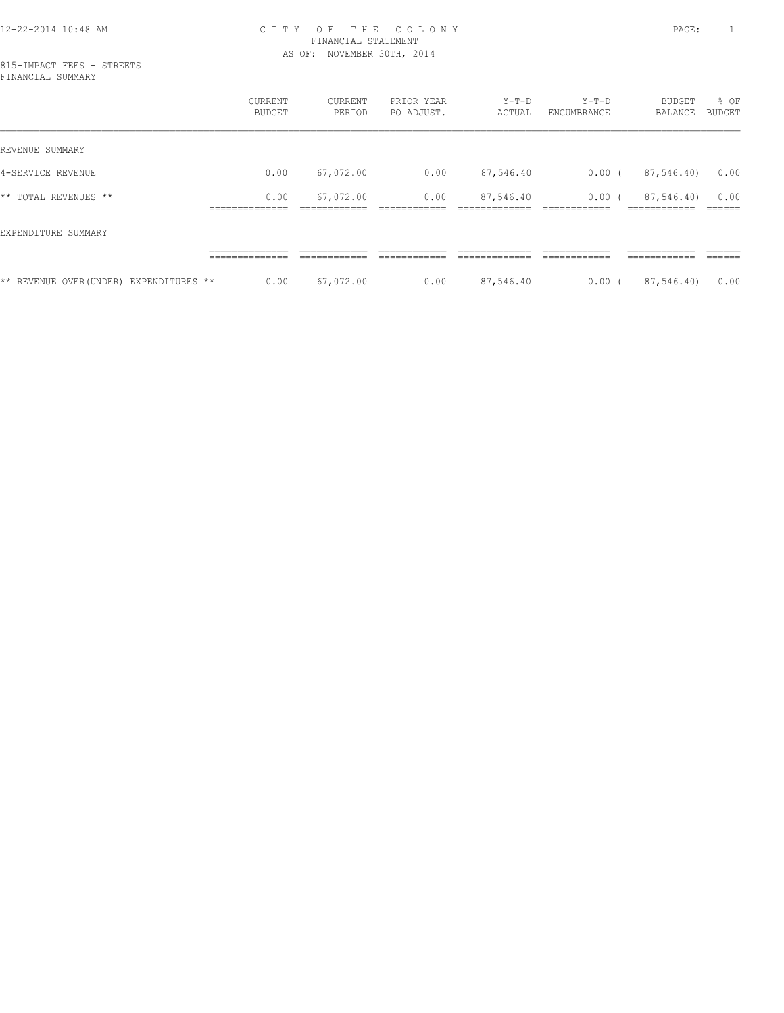#### 12-22-2014 10:48 AM C I T Y O F T H E C O L O N Y PAGE: 1 FINANCIAL STATEMENT AS OF: NOVEMBER 30TH, 2014

|                                        | CURRENT<br><b>BUDGET</b>     | CURRENT<br>PERIOD | PRIOR YEAR<br>PO ADJUST. | $Y-T-D$<br>ACTUAL | $Y-T-D$<br>ENCUMBRANCE   | BUDGET<br>BALANCE             | % OF<br><b>BUDGET</b> |
|----------------------------------------|------------------------------|-------------------|--------------------------|-------------------|--------------------------|-------------------------------|-----------------------|
| REVENUE SUMMARY                        |                              |                   |                          |                   |                          |                               |                       |
| 4-SERVICE REVENUE                      | 0.00                         | 67,072.00         | 0.00                     | 87,546.40         | $0.00$ (                 | 87,546.40)                    | 0.00                  |
| ** TOTAL REVENUES **                   | 0.00<br>==============       | 67,072.00         | 0.00                     | 87,546.40         | $0.00$ (<br>------------ | 87,546.40)<br>============    | 0.00<br>-------       |
| EXPENDITURE SUMMARY                    |                              |                   |                          |                   |                          |                               |                       |
|                                        | ______________<br>__________ | ____________      | ____________             | _____________     | ____________             | ____________<br>------------- | ______                |
| ** REVENUE OVER(UNDER) EXPENDITURES ** | 0.00                         | 67,072.00         | 0.00                     | 87,546.40         | $0.00$ (                 | 87,546.40)                    | 0.00                  |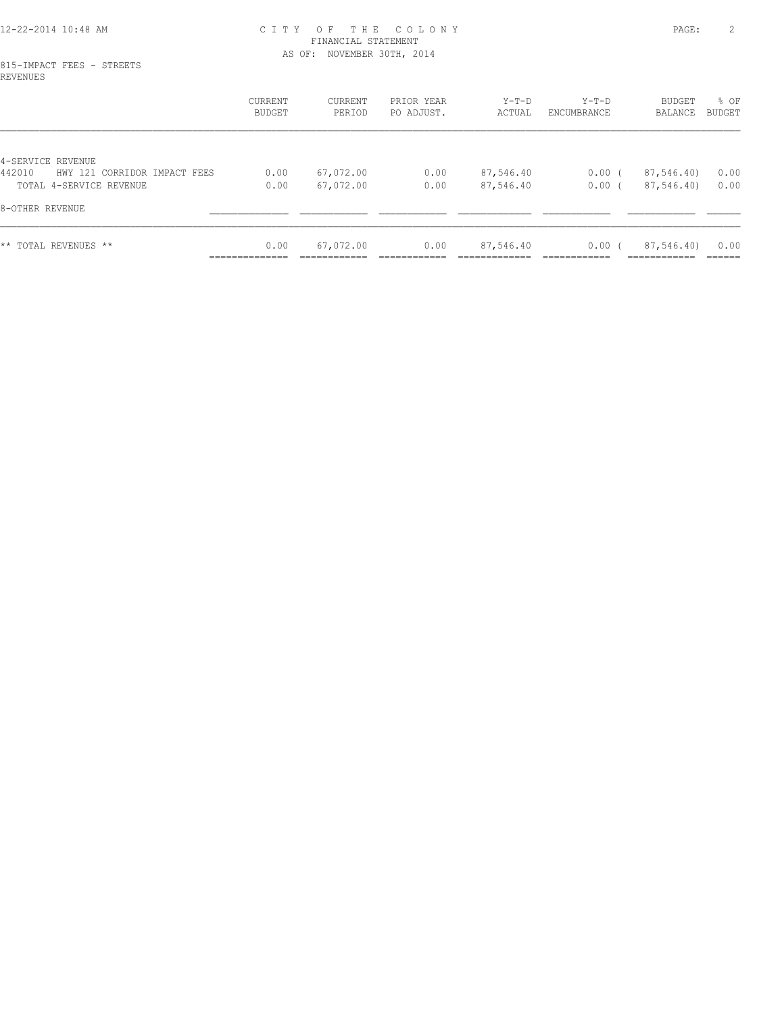#### 12-22-2014 10:48 AM C I T Y O F T H E C O L O N Y PAGE: 2 FINANCIAL STATEMENT AS OF: NOVEMBER 30TH, 2014

#### 815-IMPACT FEES - STREETS REVENUES

|                                                             | CURRENT<br>BUDGET      | CURRENT<br>PERIOD | PRIOR YEAR<br>PO ADJUST. | Y-T-D<br>ACTUAL        | $Y-T-D$<br>ENCUMBRANCE | BUDGET<br>BALANCE        | % OF<br>BUDGET |
|-------------------------------------------------------------|------------------------|-------------------|--------------------------|------------------------|------------------------|--------------------------|----------------|
| 4-SERVICE REVENUE<br>442010<br>HWY 121 CORRIDOR IMPACT FEES | 0.00                   | 67,072.00         |                          |                        | $0.00$ (               |                          | 0.00           |
| TOTAL 4-SERVICE REVENUE                                     | 0.00                   | 67,072.00         | 0.00<br>0.00             | 87,546.40<br>87,546.40 | 0.00 <sub>0</sub>      | 87,546.40)<br>87,546.40) | 0.00           |
| 8-OTHER REVENUE                                             |                        |                   |                          |                        |                        |                          |                |
| ** TOTAL REVENUES **                                        | 0.00<br>______________ | 67,072.00         | 0.00                     | 87,546.40              | $0.00$ (               | 87,546.40)               | 0.00<br>------ |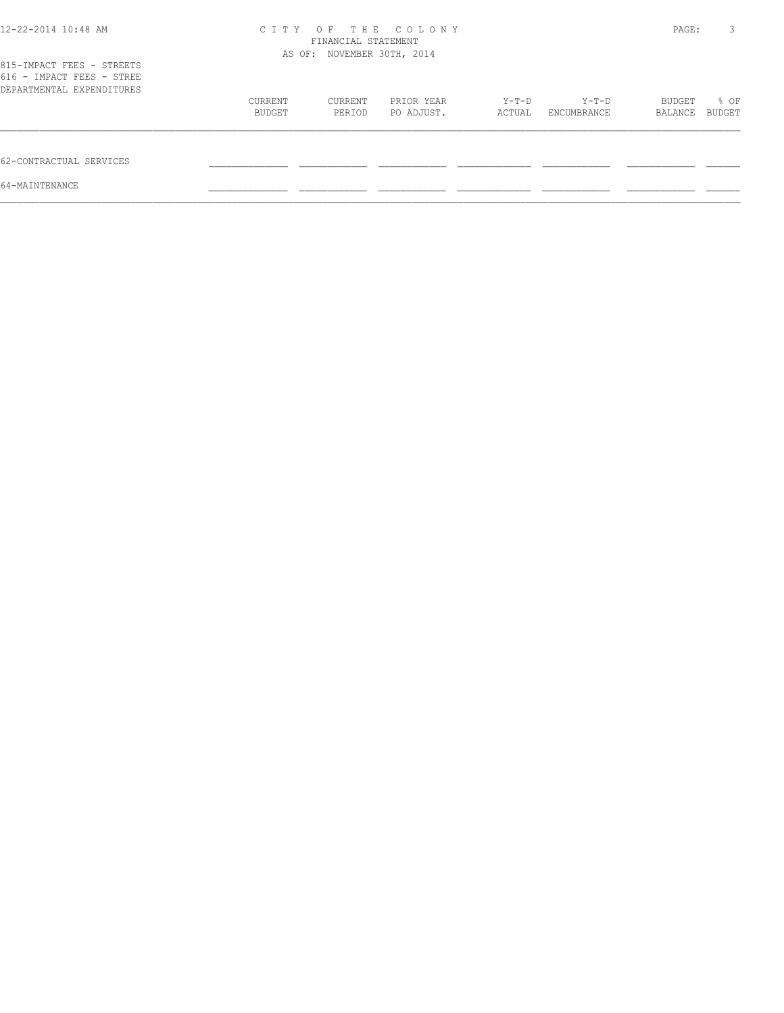| 12-22-2014 10:48 AM                                                                 | CITY OF THE COLONY<br>FINANCIAL STATEMENT<br>AS OF: NOVEMBER 30TH, 2014 |                   |                          |                 |                      | PAGE:             | 3                     |
|-------------------------------------------------------------------------------------|-------------------------------------------------------------------------|-------------------|--------------------------|-----------------|----------------------|-------------------|-----------------------|
| 815-IMPACT FEES - STREETS<br>616 - IMPACT FEES - STREE<br>DEPARTMENTAL EXPENDITURES |                                                                         |                   |                          |                 |                      |                   |                       |
|                                                                                     | CURRENT<br>BUDGET                                                       | CURRENT<br>PERIOD | PRIOR YEAR<br>PO ADJUST. | Y-T-D<br>ACTUAL | Y-T-D<br>ENCUMBRANCE | BUDGET<br>BALANCE | % OF<br><b>BUDGET</b> |
| 62-CONTRACTUAL SERVICES                                                             |                                                                         |                   |                          |                 |                      |                   |                       |
| 64-MAINTENANCE                                                                      |                                                                         |                   |                          |                 |                      |                   |                       |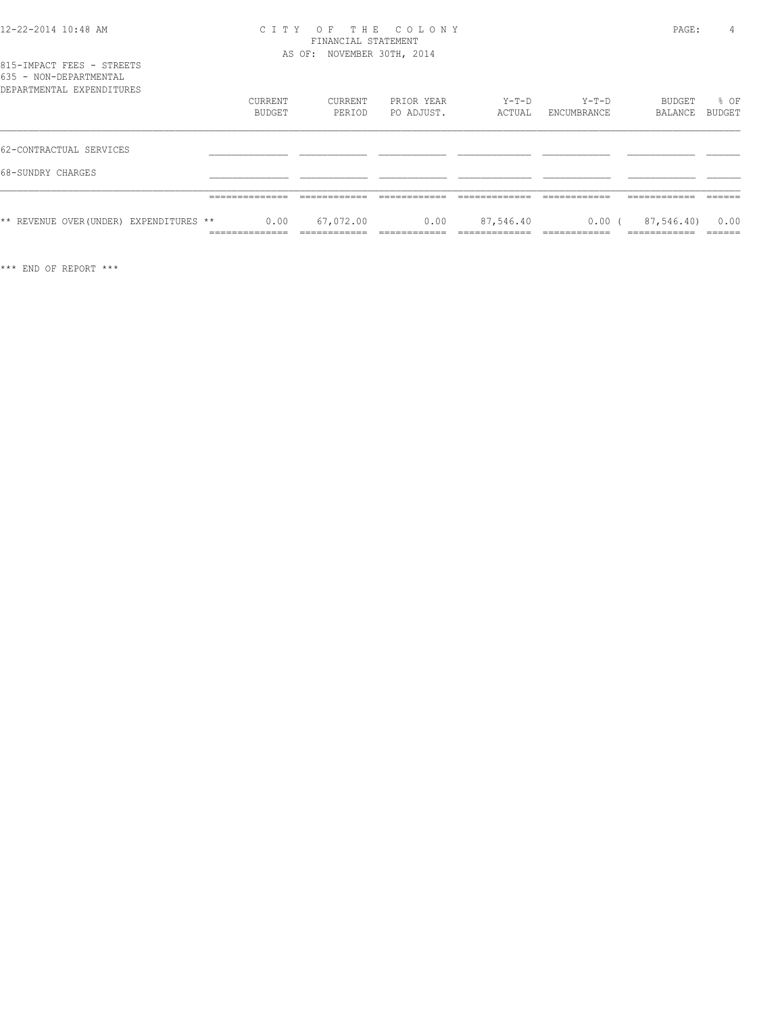| 12-22-2014 10:48 AM |  |  |
|---------------------|--|--|
|---------------------|--|--|

#### 12-22-2014 10:48 AM C I T Y O F T H E C O L O N Y PAGE: 4 FINANCIAL STATEMENT AS OF: NOVEMBER 30TH, 2014

|  |                        |  | 815-IMPACT FEES - STREETS |  |
|--|------------------------|--|---------------------------|--|
|  | 635 - NON-DEPARTMENTAL |  |                           |  |
|  |                        |  | DEPARTMENTAL EXPENDITURES |  |

| DEPARTMENTAL EXPENDITURES               |         |           |            |           |             |            |        |
|-----------------------------------------|---------|-----------|------------|-----------|-------------|------------|--------|
|                                         | CURRENT | CURRENT   | PRIOR YEAR | Y-T-D     | $Y-T-D$     | BUDGET     | % OF   |
|                                         | BUDGET  | PERIOD    | PO ADJUST. | ACTUAL    | ENCUMBRANCE | BALANCE    | BUDGET |
|                                         |         |           |            |           |             |            |        |
| 62-CONTRACTUAL SERVICES                 |         |           |            |           |             |            |        |
| 68-SUNDRY CHARGES                       |         |           |            |           |             |            |        |
|                                         |         |           |            |           |             |            |        |
| ** REVENUE OVER (UNDER) EXPENDITURES ** | 0.00    | 67,072.00 | 0.00       | 87,546.40 | $0.00$ (    | 87,546.40) | 0.00   |
|                                         |         |           |            |           |             |            |        |

\*\*\* END OF REPORT \*\*\*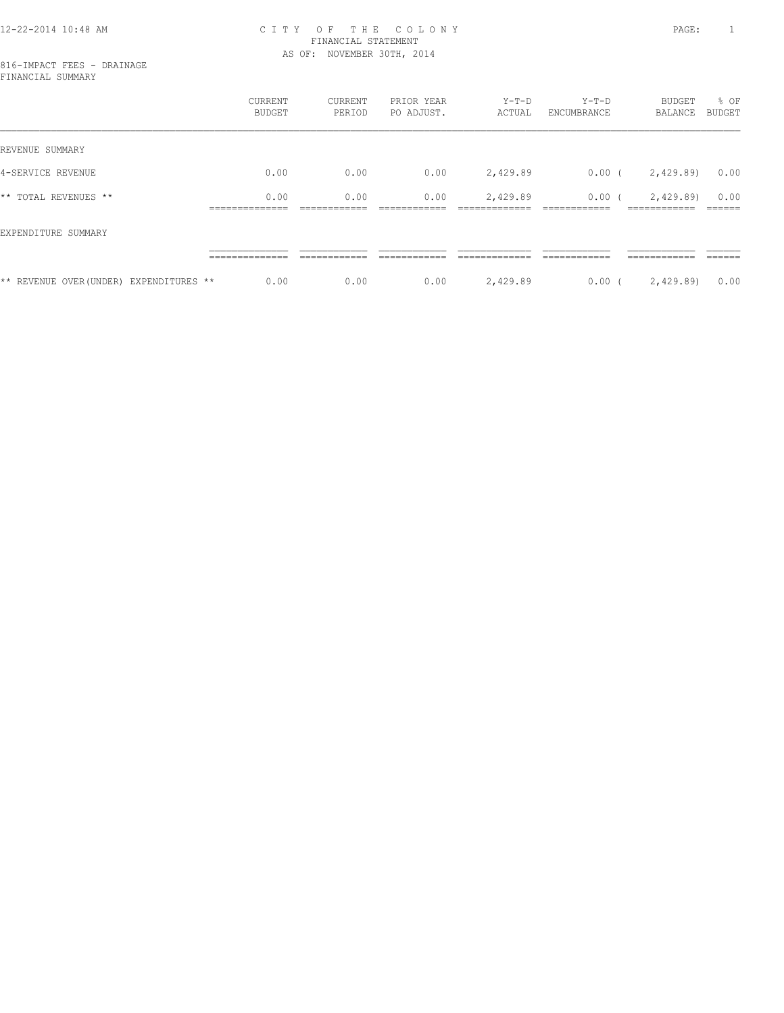#### 12-22-2014 10:48 AM C I T Y O F T H E C O L O N Y PAGE: 1 FINANCIAL STATEMENT AS OF: NOVEMBER 30TH, 2014

|                                         | CURRENT<br><b>BUDGET</b> | CURRENT<br>PERIOD | PRIOR YEAR<br>PO ADJUST. | $Y-T-D$<br>ACTUAL | $Y-T-D$<br>ENCUMBRANCE | BUDGET<br>BALANCE           | % OF<br>BUDGET |
|-----------------------------------------|--------------------------|-------------------|--------------------------|-------------------|------------------------|-----------------------------|----------------|
| REVENUE SUMMARY                         |                          |                   |                          |                   |                        |                             |                |
| 4-SERVICE REVENUE                       | 0.00                     | 0.00              | 0.00                     | 2,429.89          | $0.00$ (               | 2,429.89)                   | 0.00           |
| ** TOTAL REVENUES **                    | 0.00<br>______________   | 0.00              | 0.00                     | 2,429.89          | $0.00$ (               | 2,429.89)<br>-------------- | 0.00           |
| EXPENDITURE SUMMARY                     |                          |                   |                          |                   |                        |                             |                |
|                                         |                          |                   |                          |                   |                        |                             |                |
| ** REVENUE OVER (UNDER) EXPENDITURES ** | 0.00                     | 0.00              | 0.00                     | 2,429.89          | $0.00$ (               | 2,429.89)                   | 0.00           |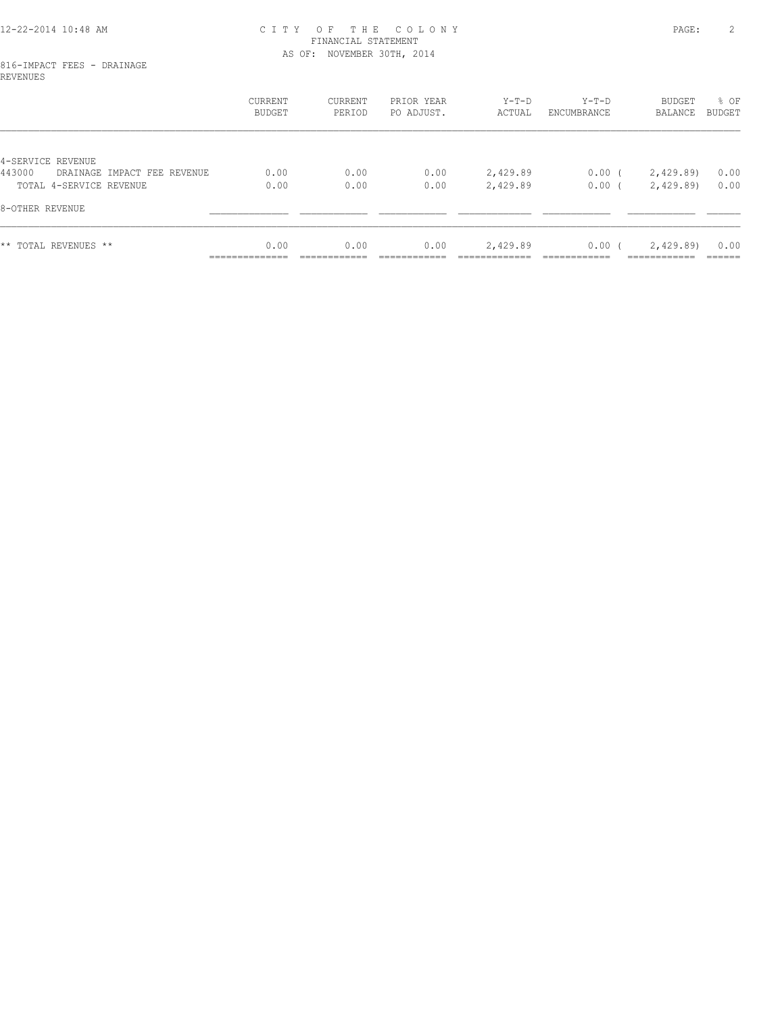#### 12-22-2014 10:48 AM C I T Y O F T H E C O L O N Y PAGE: 2 FINANCIAL STATEMENT AS OF: NOVEMBER 30TH, 2014

#### 816-IMPACT FEES - DRAINAGE REVENUES

|                                       | CURRENT<br><b>BUDGET</b> | CURRENT<br>PERIOD | PRIOR YEAR<br>PO ADJUST. | $Y-T-D$<br>ACTUAL | Y-T-D<br>ENCUMBRANCE | BUDGET<br>BALANCE         | % OF<br>BUDGET |
|---------------------------------------|--------------------------|-------------------|--------------------------|-------------------|----------------------|---------------------------|----------------|
|                                       |                          |                   |                          |                   |                      |                           |                |
| 4-SERVICE REVENUE                     |                          |                   |                          |                   |                      |                           |                |
| 443000<br>DRAINAGE IMPACT FEE REVENUE | 0.00                     | 0.00              | 0.00                     | 2,429.89          | $0.00$ (             | 2,429.89)                 | 0.00           |
| TOTAL 4-SERVICE REVENUE               | 0.00                     | 0.00              | 0.00                     | 2,429.89          | 0.00(                | 2,429.89)                 | 0.00           |
| 8-OTHER REVENUE                       |                          |                   |                          |                   |                      |                           |                |
| ** TOTAL REVENUES **                  | 0.00<br>______________   | 0.00              | 0.00                     | 2,429.89          | 0.00(                | 2,429.89)<br>------------ | 0.00<br>------ |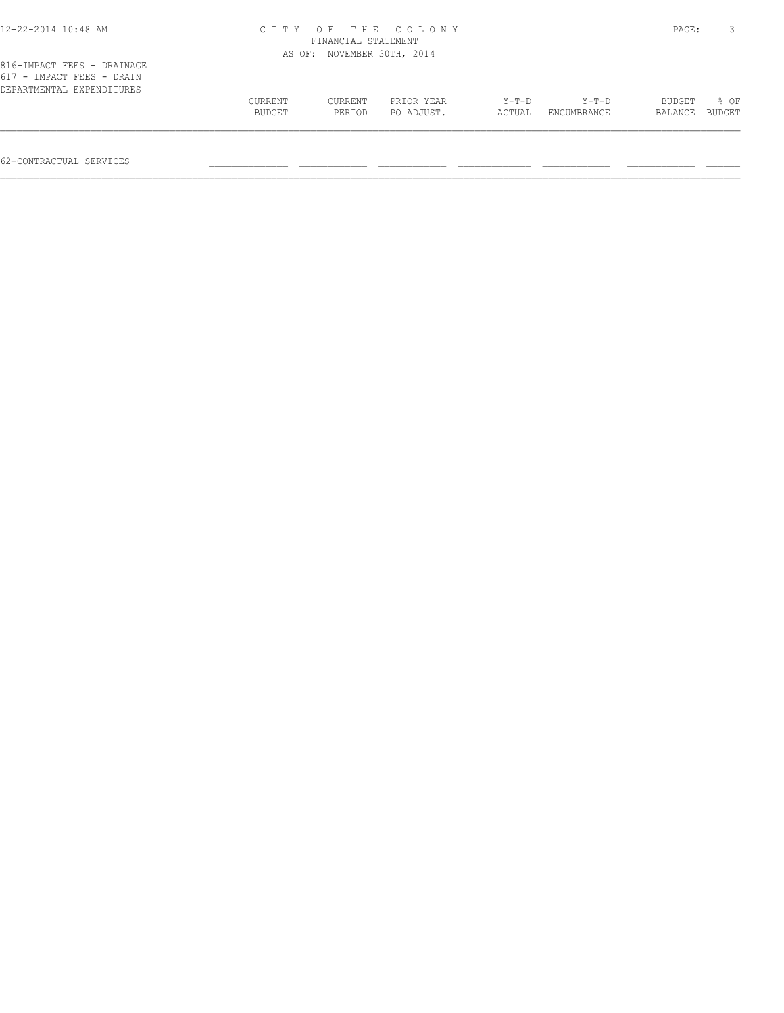| 12-22-2014 10:48 AM        |         |                            | CITY OF THE COLONY |        |             | PAGE:   | 3             |
|----------------------------|---------|----------------------------|--------------------|--------|-------------|---------|---------------|
|                            |         | FINANCIAL STATEMENT        |                    |        |             |         |               |
|                            |         | AS OF: NOVEMBER 30TH, 2014 |                    |        |             |         |               |
| 816-IMPACT FEES - DRAINAGE |         |                            |                    |        |             |         |               |
| 617 - IMPACT FEES - DRAIN  |         |                            |                    |        |             |         |               |
| DEPARTMENTAL EXPENDITURES  |         |                            |                    |        |             |         |               |
|                            | CURRENT | CURRENT                    | PRIOR YEAR         | Y-T-D  | $Y-T-D$     | BUDGET  | % OF          |
|                            | BUDGET  | PERIOD                     | PO ADJUST.         | ACTUAL | ENCUMBRANCE | BALANCE | <b>BUDGET</b> |

 $\mathcal{L} = \{ \mathcal{L} = \{ \mathcal{L} = \{ \mathcal{L} = \{ \mathcal{L} = \{ \mathcal{L} = \{ \mathcal{L} = \{ \mathcal{L} = \{ \mathcal{L} = \{ \mathcal{L} = \{ \mathcal{L} = \{ \mathcal{L} = \{ \mathcal{L} = \{ \mathcal{L} = \{ \mathcal{L} = \{ \mathcal{L} = \{ \mathcal{L} = \{ \mathcal{L} = \{ \mathcal{L} = \{ \mathcal{L} = \{ \mathcal{L} = \{ \mathcal{L} = \{ \mathcal{L} = \{ \mathcal{L} = \{ \mathcal{$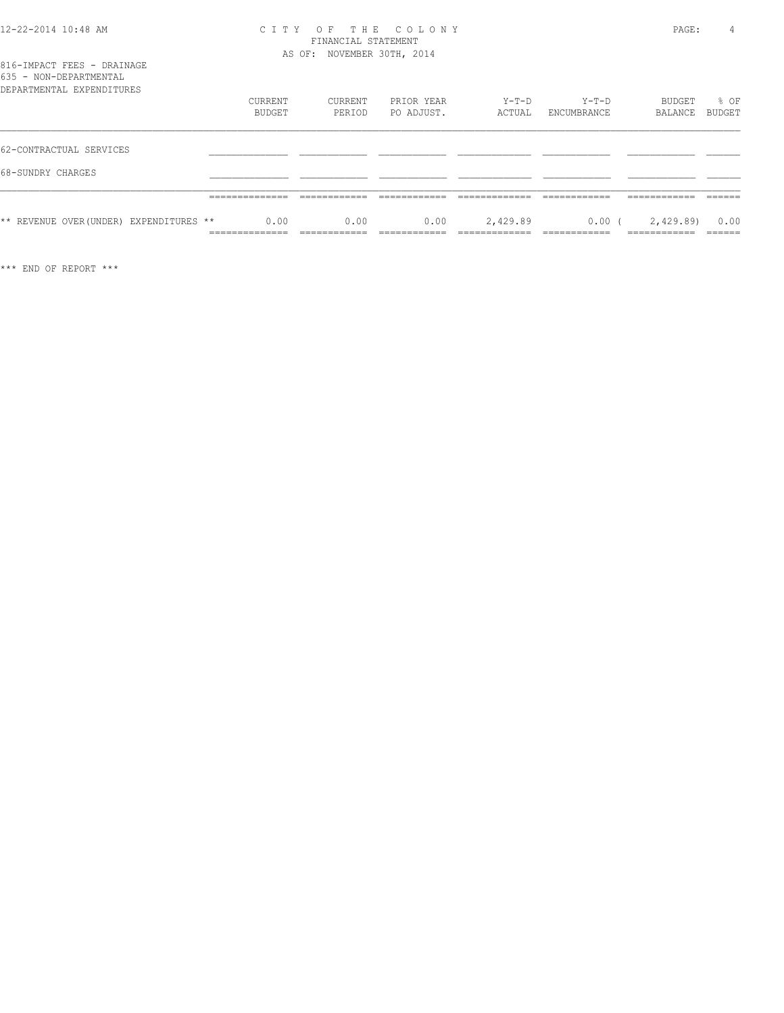| 12-22-2014 10:48 AM |  |  |
|---------------------|--|--|
|---------------------|--|--|

#### 12-22-2014 10:48 AM C I T Y O F T H E C O L O N Y PAGE: 4 FINANCIAL STATEMENT AS OF: NOVEMBER 30TH, 2014

| ROJJ - NUN-DAFARIMANIAN                 |                                 |                              |                              |                                |                              |                              |                   |
|-----------------------------------------|---------------------------------|------------------------------|------------------------------|--------------------------------|------------------------------|------------------------------|-------------------|
| DEPARTMENTAL EXPENDITURES               |                                 |                              |                              |                                |                              |                              |                   |
|                                         | <b>CURRENT</b>                  | CURRENT                      | PRIOR YEAR                   | $Y-T-D$                        | $Y-T-D$                      | BUDGET                       | % OF              |
|                                         | BUDGET                          | PERIOD                       | PO ADJUST.                   | ACTUAL                         | ENCUMBRANCE                  | BALANCE                      | <b>BUDGET</b>     |
| 62-CONTRACTUAL SERVICES                 |                                 |                              |                              |                                |                              |                              |                   |
| 68-SUNDRY CHARGES                       |                                 |                              |                              |                                |                              |                              |                   |
|                                         |                                 |                              |                              |                                |                              |                              |                   |
|                                         | ______________<br>.             | -------------                |                              |                                | ------------<br>____________ | ____________<br>-----------  |                   |
| ** REVENUE OVER (UNDER) EXPENDITURES ** | 0.00                            | 0.00                         | 0.00                         | 2,429.89                       | $0.00$ (                     | 2,429.89)                    | 0.00              |
|                                         | ______________<br>------------- | ____________<br>____________ | ------------<br>____________ | _____________<br>_____________ | ------------<br>____________ | ____________<br>____________ | -------<br>______ |

\*\*\* END OF REPORT \*\*\*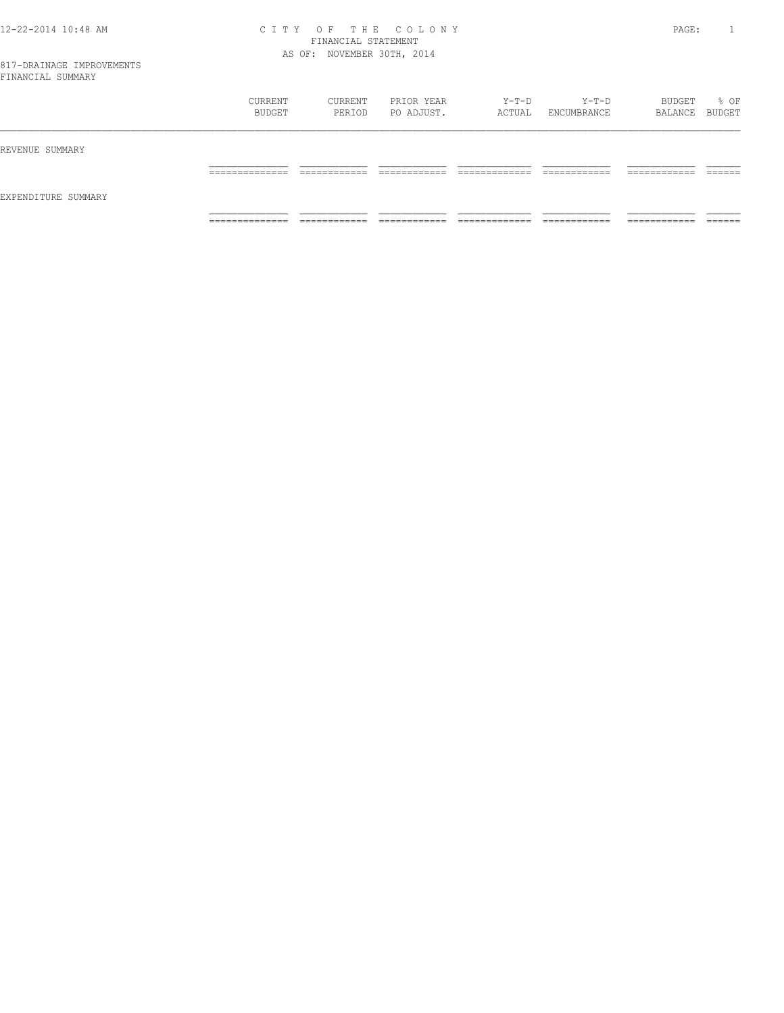#### 12-22-2014 10:48 AM C I T Y O F T H E C O L O N Y PAGE: 1 FINANCIAL STATEMENT AS OF: NOVEMBER 30TH, 2014

|                     | CURRENT<br>BUDGET   | CURRENT<br>PERIOD             | PRIOR YEAR<br>PO ADJUST.     | Y-T-D<br>ACTUAL                | $Y-T-D$<br>ENCUMBRANCE        | BUDGET<br>BALANCE BUDGET      | % OF               |
|---------------------|---------------------|-------------------------------|------------------------------|--------------------------------|-------------------------------|-------------------------------|--------------------|
| REVENUE SUMMARY     |                     |                               |                              |                                |                               |                               |                    |
|                     | ______________<br>. | -------------<br>____________ | -------------                | ____________<br>_____________  | -------------<br>____________ | -------------<br>____________ | -------<br>_______ |
| EXPENDITURE SUMMARY |                     |                               |                              |                                |                               |                               |                    |
|                     | ______________<br>. | ____________<br>____________  | ____________<br>____________ | _____________<br>_____________ | ____________<br>____________  | ------------<br>____________  | _______            |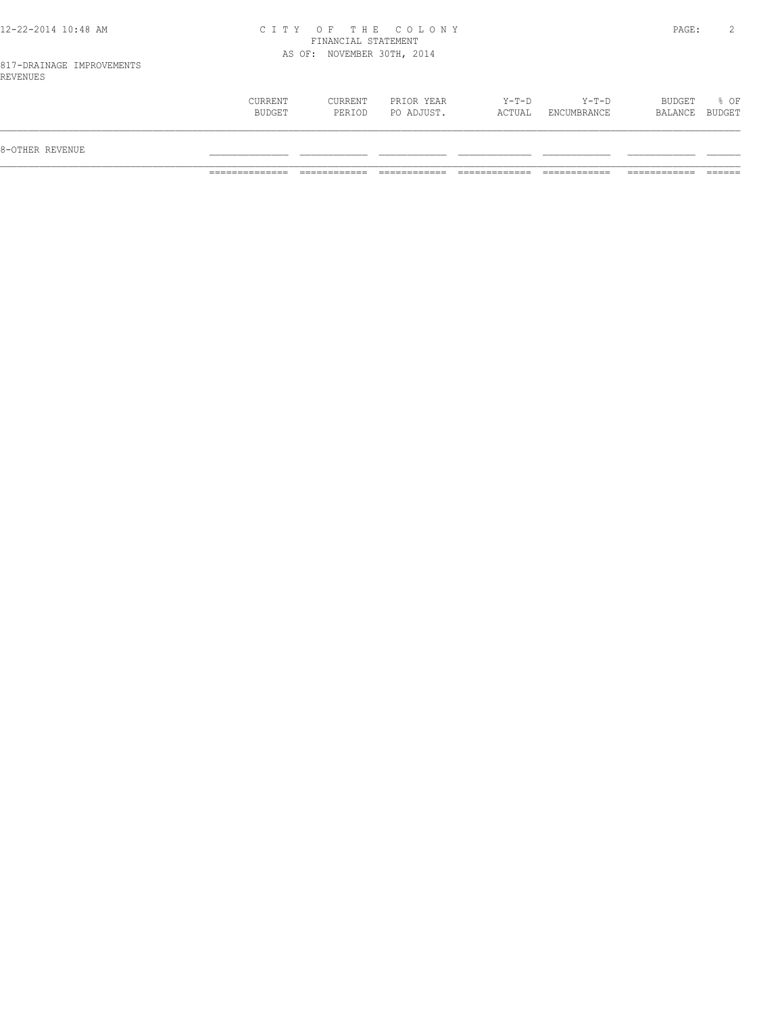#### 12-22-2014 10:48 AM C I T Y O F T H E C O L O N Y PAGE: 2 FINANCIAL STATEMENT AS OF: NOVEMBER 30TH, 2014

817-DRAINAGE IMPROVEMENTS REVENUES

| Y-T-D<br>$Y-T-D$<br>BUDGET<br>$8$ OF<br>CURRENT<br>PRIOR YEAR<br>CURRENT<br>BUDGET<br>PO ADJUST.<br>PERIOD<br>ACTUAL<br>ENCUMBRANCE<br>BALANCE<br>8-OTHER REVENUE |  |  |  |  |
|-------------------------------------------------------------------------------------------------------------------------------------------------------------------|--|--|--|--|
| BUDGET                                                                                                                                                            |  |  |  |  |
|                                                                                                                                                                   |  |  |  |  |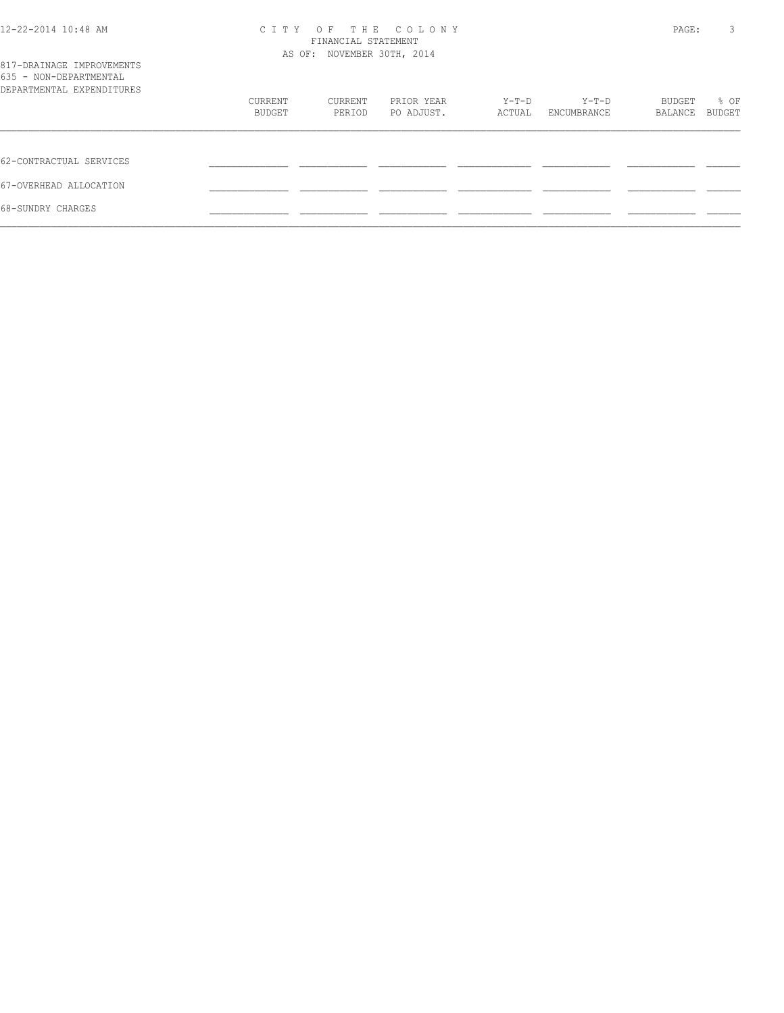| 12-22-2014 10:48 AM                                                              | CITY OF THE COLONY<br>FINANCIAL STATEMENT<br>AS OF: NOVEMBER 30TH, 2014 |         |            |        |             |                   | 3<br>PAGE:     |
|----------------------------------------------------------------------------------|-------------------------------------------------------------------------|---------|------------|--------|-------------|-------------------|----------------|
| 817-DRAINAGE IMPROVEMENTS<br>635 - NON-DEPARTMENTAL<br>DEPARTMENTAL EXPENDITURES |                                                                         |         |            |        |             |                   |                |
|                                                                                  | CURRENT                                                                 | CURRENT | PRIOR YEAR | Y-T-D  | Y-T-D       | BUDGET<br>BALANCE | % OF<br>BUDGET |
|                                                                                  | BUDGET                                                                  | PERIOD  | PO ADJUST. | ACTUAL | ENCUMBRANCE |                   |                |
| 62-CONTRACTUAL SERVICES                                                          |                                                                         |         |            |        |             |                   |                |
| 67-OVERHEAD ALLOCATION                                                           |                                                                         |         |            |        |             |                   |                |
| 68-SUNDRY CHARGES                                                                |                                                                         |         |            |        |             |                   |                |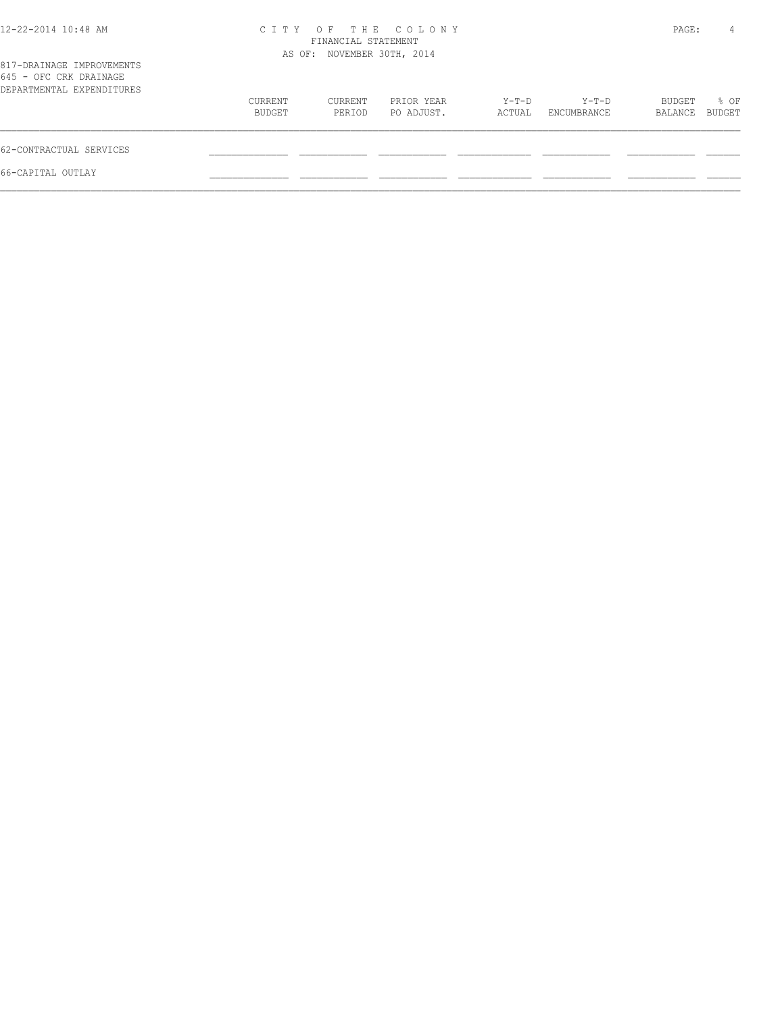| 12-22-2014 10:48 AM                                                              | C T T Y           | FINANCIAL STATEMENT<br>AS OF: NOVEMBER 30TH, 2014 | OF THE COLONY            |                 |                        | PAGE:             | 4              |
|----------------------------------------------------------------------------------|-------------------|---------------------------------------------------|--------------------------|-----------------|------------------------|-------------------|----------------|
| 817-DRAINAGE IMPROVEMENTS<br>645 - OFC CRK DRAINAGE<br>DEPARTMENTAL EXPENDITURES |                   |                                                   |                          |                 |                        |                   |                |
|                                                                                  | CURRENT<br>BUDGET | CURRENT<br>PERIOD                                 | PRIOR YEAR<br>PO ADJUST. | Y-T-D<br>ACTUAL | $Y-T-D$<br>ENCUMBRANCE | BUDGET<br>BALANCE | % OF<br>BUDGET |
| 62-CONTRACTUAL SERVICES                                                          |                   |                                                   |                          |                 |                        |                   |                |
| 66-CAPITAL OUTLAY                                                                |                   |                                                   |                          |                 |                        |                   |                |
|                                                                                  |                   |                                                   |                          |                 |                        |                   |                |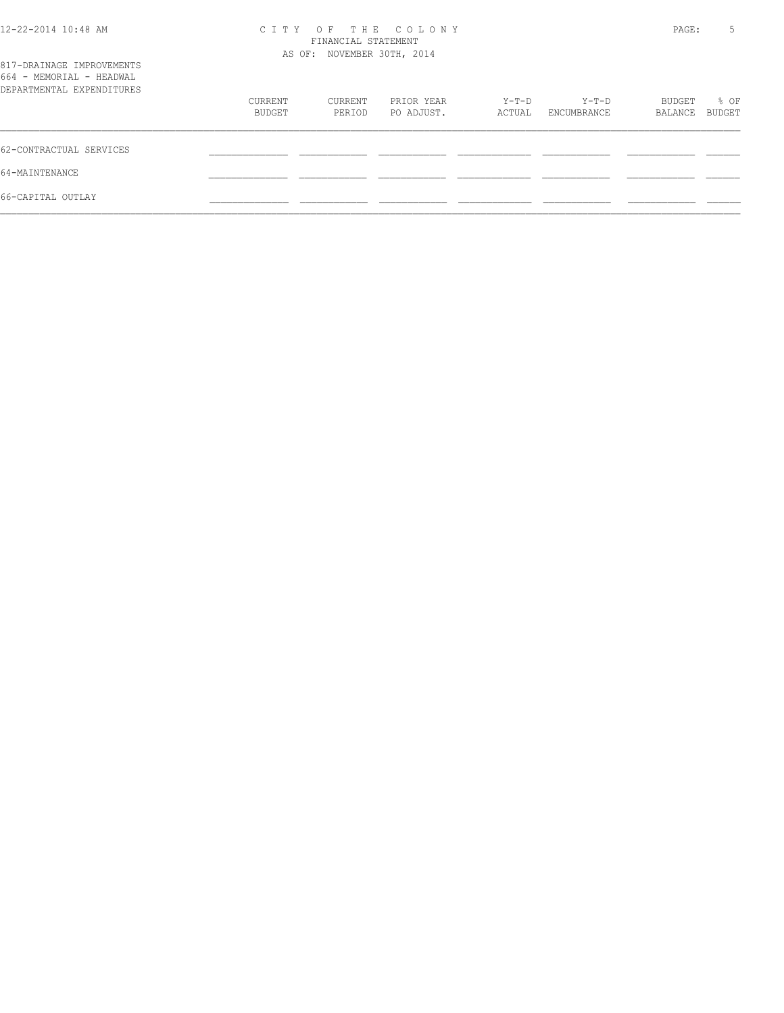| 12-22-2014 10:48 AM                                                                |         | CITY OF THE COLONY<br>FINANCIAL STATEMENT<br>AS OF: NOVEMBER 30TH, 2014 |            |        |             |         | 5      |
|------------------------------------------------------------------------------------|---------|-------------------------------------------------------------------------|------------|--------|-------------|---------|--------|
| 817-DRAINAGE IMPROVEMENTS<br>664 - MEMORIAL - HEADWAL<br>DEPARTMENTAL EXPENDITURES |         |                                                                         |            |        |             |         |        |
|                                                                                    | CURRENT | CURRENT                                                                 | PRIOR YEAR | Y-T-D  | Y-T-D       | BUDGET  | % OF   |
|                                                                                    | BUDGET  | PERIOD                                                                  | PO ADJUST. | ACTUAL | ENCUMBRANCE | BALANCE | BUDGET |
| 62-CONTRACTUAL SERVICES                                                            |         |                                                                         |            |        |             |         |        |
| 64-MAINTENANCE                                                                     |         |                                                                         |            |        |             |         |        |
| 66-CAPITAL OUTLAY                                                                  |         |                                                                         |            |        |             |         |        |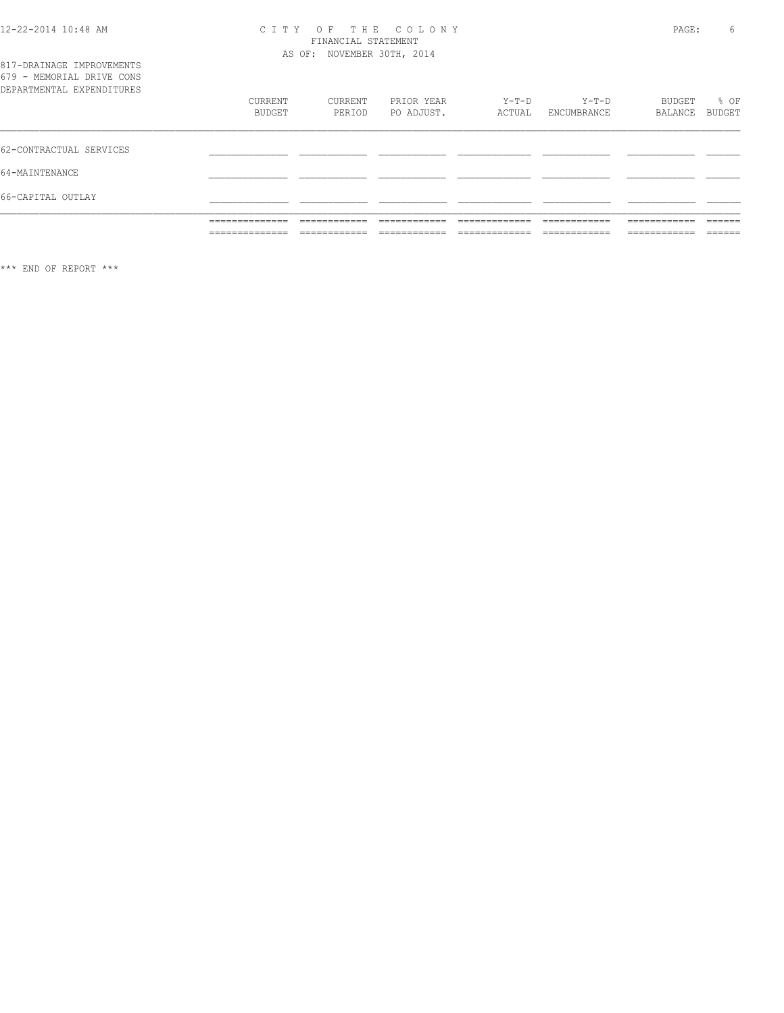## CITY OF THE COLONY<br>FINANCIAL STATEMENT<br>AS OF: NOVEMBER 30TH, 2014

|                                                        | ______________<br>______________ | -------------<br>____________ | ____________<br>____________  | _____________<br>_____________ | ------------<br>____________ | ____________<br>____________ | -------<br>_______ |
|--------------------------------------------------------|----------------------------------|-------------------------------|-------------------------------|--------------------------------|------------------------------|------------------------------|--------------------|
|                                                        | ______________<br>.              | ------------<br>____________  | -------------<br>____________ | _____________<br>_____________ | ____________<br>____________ | ____________<br>____________ | ______<br>_______  |
| 66-CAPITAL OUTLAY                                      |                                  |                               |                               |                                |                              |                              |                    |
| 64-MAINTENANCE                                         |                                  |                               |                               |                                |                              |                              |                    |
| 62-CONTRACTUAL SERVICES                                |                                  |                               |                               |                                |                              |                              |                    |
| DEPARTMENTAL EXPENDITURES                              | CURRENT<br>BUDGET                | CURRENT<br>PERIOD             | PRIOR YEAR<br>PO ADJUST.      | $Y-T-D$<br>ACTUAL              | $Y-T-D$<br>ENCUMBRANCE       | BUDGET<br>BALANCE            | % OF<br>BUDGET     |
| 817-DRAINAGE IMPROVEMENTS<br>679 - MEMORIAL DRIVE CONS |                                  |                               |                               |                                |                              |                              |                    |

 $\star\star\star$  END OF REPORT  $\star\star\star$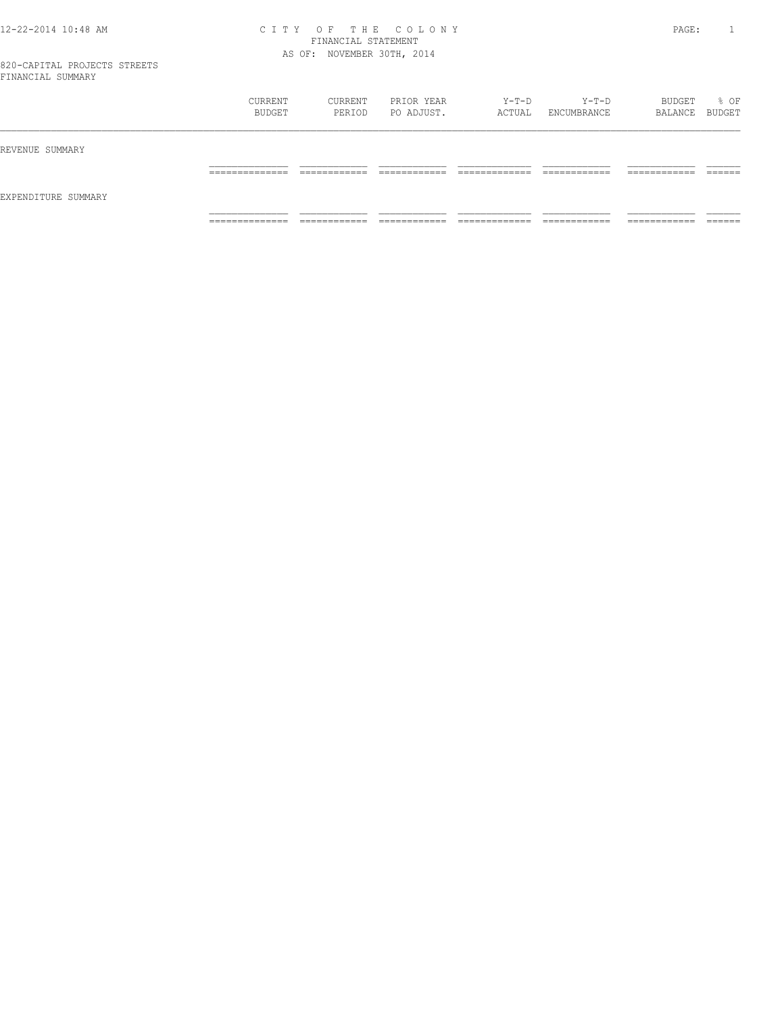#### 12-22-2014 10:48 AM C I T Y O F T H E C O L O N Y PAGE: 1 FINANCIAL STATEMENT AS OF: NOVEMBER 30TH, 2014

|                     | CURRENT<br>BUDGET   | CURRENT<br>PERIOD           | PRIOR YEAR<br>PO ADJUST.    | Y-T-D<br>ACTUAL    | Y-T-D<br>ENCUMBRANCE         | BUDGET<br>BALANCE BUDGET      | % OF                 |
|---------------------|---------------------|-----------------------------|-----------------------------|--------------------|------------------------------|-------------------------------|----------------------|
| REVENUE SUMMARY     |                     |                             |                             |                    |                              |                               |                      |
|                     | ______________<br>. |                             |                             |                    | ____________<br>____________ | -------------<br>____________ | $- - - - -$<br>_____ |
| EXPENDITURE SUMMARY |                     |                             |                             |                    |                              |                               |                      |
|                     | ______________<br>. | ____________<br>----------- | ____________<br>----------- | _____________<br>. | ____________<br>.            | ------------<br>-----------   | _______              |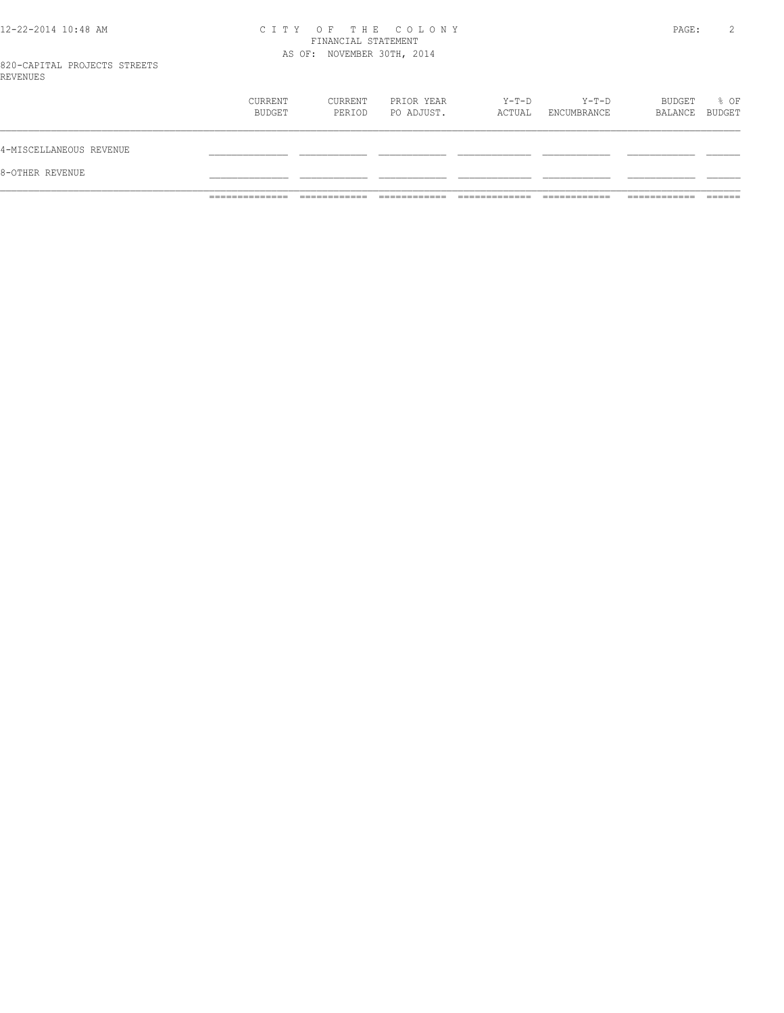#### 12-22-2014 10:48 AM C I T Y O F T H E C O L O N Y PAGE: 2 FINANCIAL STATEMENT AS OF: NOVEMBER 30TH, 2014

820-CAPITAL PROJECTS STREETS REVENUES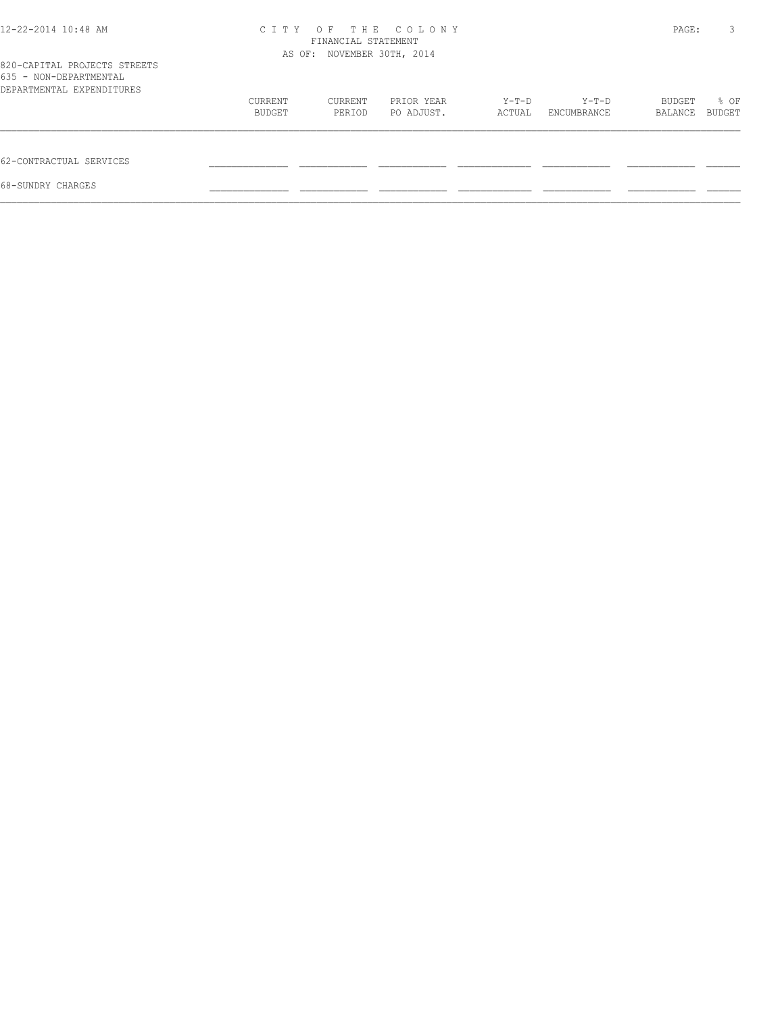| 12-22-2014 10:48 AM                                                                 | C T T Y                    | PAGE:   | 3          |        |             |         |        |
|-------------------------------------------------------------------------------------|----------------------------|---------|------------|--------|-------------|---------|--------|
|                                                                                     | AS OF: NOVEMBER 30TH, 2014 |         |            |        |             |         |        |
| 820-CAPITAL PROJECTS STREETS<br>635 - NON-DEPARTMENTAL<br>DEPARTMENTAL EXPENDITURES |                            |         |            |        |             |         |        |
|                                                                                     | CURRENT                    | CURRENT | PRIOR YEAR | Y-T-D  | Y-T-D       | BUDGET  | % OF   |
|                                                                                     | BUDGET                     | PERIOD  | PO ADJUST. | ACTUAL | ENCUMBRANCE | BALANCE | BUDGET |
| 62-CONTRACTUAL SERVICES                                                             |                            |         |            |        |             |         |        |
| 68-SUNDRY CHARGES                                                                   |                            |         |            |        |             |         |        |
|                                                                                     |                            |         |            |        |             |         |        |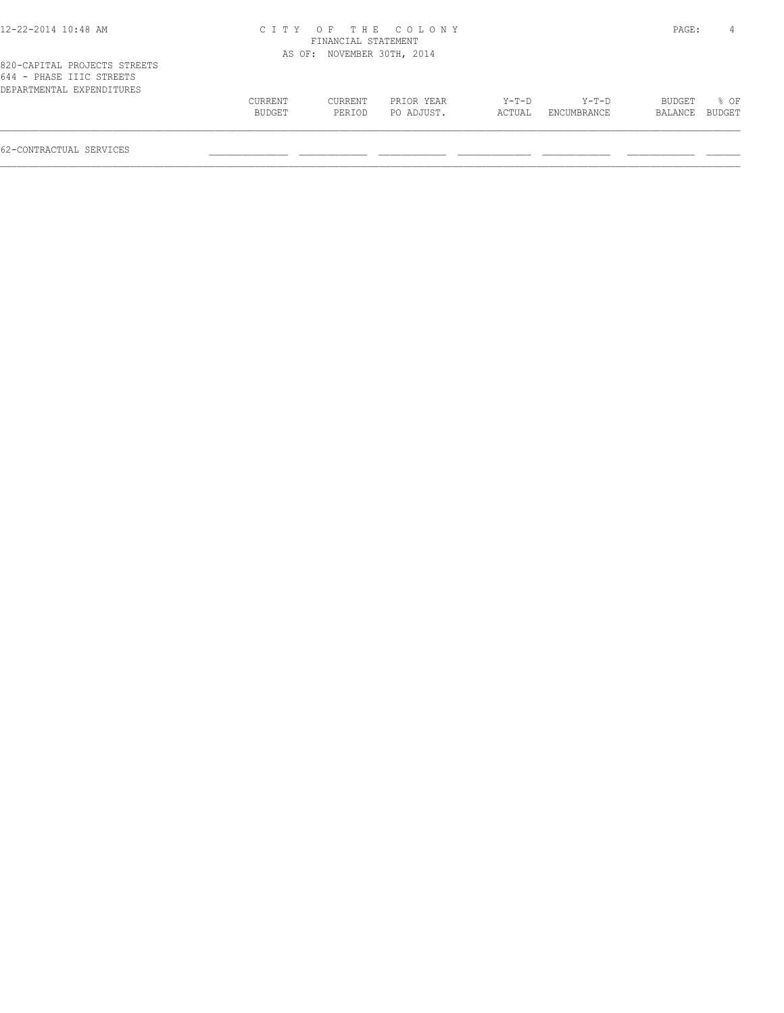| 12-22-2014 10:48 AM |  |
|---------------------|--|
|---------------------|--|

#### 12-22-2014 10:48 AM C I T Y O F T H E C O L O N Y PAGE: 4 FINANCIAL STATEMENT AS OF: NOVEMBER 30TH, 2014

| 020 CALIIAU IROOBCIO DIRBIIO |         |         |            |        |                    |                |             |  |
|------------------------------|---------|---------|------------|--------|--------------------|----------------|-------------|--|
| 644 - PHASE IIIC STREETS     |         |         |            |        |                    |                |             |  |
| DEPARTMENTAL EXPENDITURES    |         |         |            |        |                    |                |             |  |
|                              | CURRENT | CURRENT | PRIOR YEAR | Y-T-D  | Y-T-D              |                | BUDGET % OF |  |
|                              | BUDGET  | PERTOD  | PO ADJUST. | ACTUAL | <b>ENCUMBRANCE</b> | BALANCE BUDGET |             |  |
|                              |         |         |            |        |                    |                |             |  |
|                              |         |         |            |        |                    |                |             |  |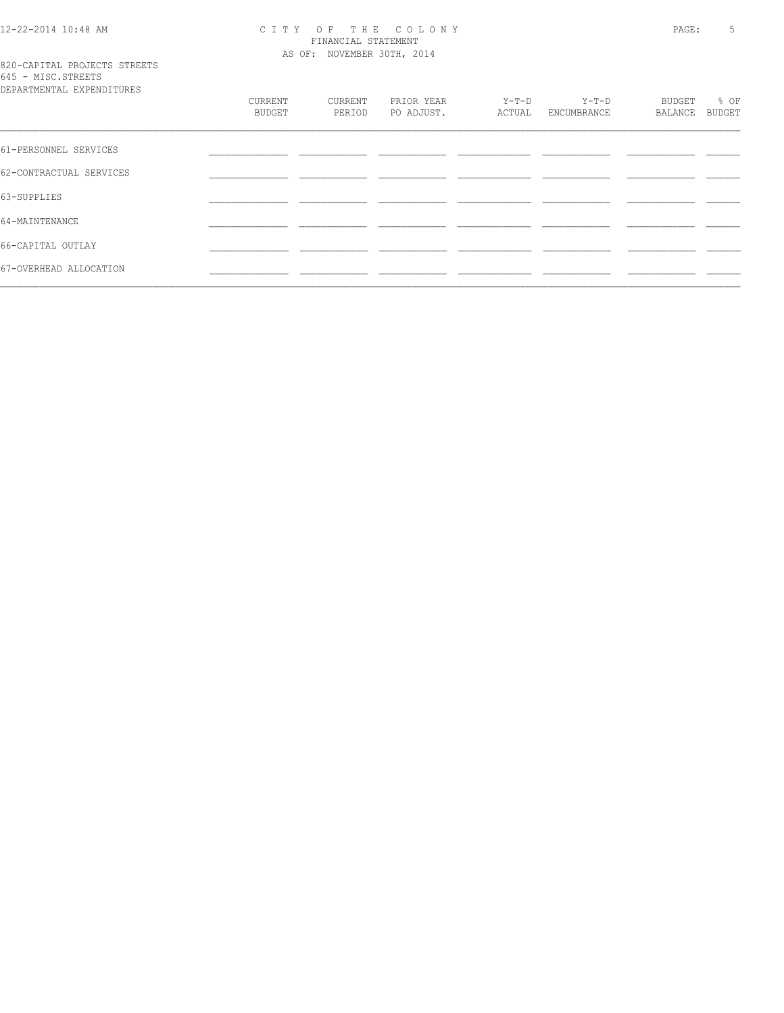# 12-22-2014 10:48 AM CITY OF THE COLONY<br>FINANCIAL STATEMENT<br>AS OF: NOVEMBER 30TH, 2014

|  |                    | 820-CAPITAL PROJECTS STREETS      |  |
|--|--------------------|-----------------------------------|--|
|  | 645 - MISC.STREETS |                                   |  |
|  |                    | סתסווייד הואת סעת זגייואת אייסגסת |  |

| DEPARTMENTAL EXPENDITURES |                   |                   |                          |                 |                      |                   |                |
|---------------------------|-------------------|-------------------|--------------------------|-----------------|----------------------|-------------------|----------------|
|                           | CURRENT<br>BUDGET | CURRENT<br>PERIOD | PRIOR YEAR<br>PO ADJUST. | Y-T-D<br>ACTUAL | Y-T-D<br>ENCUMBRANCE | BUDGET<br>BALANCE | % OF<br>BUDGET |
| 61-PERSONNEL SERVICES     |                   |                   |                          |                 |                      |                   |                |
|                           |                   |                   |                          |                 |                      |                   |                |
| 62-CONTRACTUAL SERVICES   |                   |                   |                          |                 |                      |                   |                |
| 63-SUPPLIES               |                   |                   |                          |                 |                      |                   |                |
| 64-MAINTENANCE            |                   |                   |                          |                 |                      |                   |                |
| 66-CAPITAL OUTLAY         |                   |                   |                          |                 |                      |                   |                |
| 67-OVERHEAD ALLOCATION    |                   |                   |                          |                 |                      |                   |                |
|                           |                   |                   |                          |                 |                      |                   |                |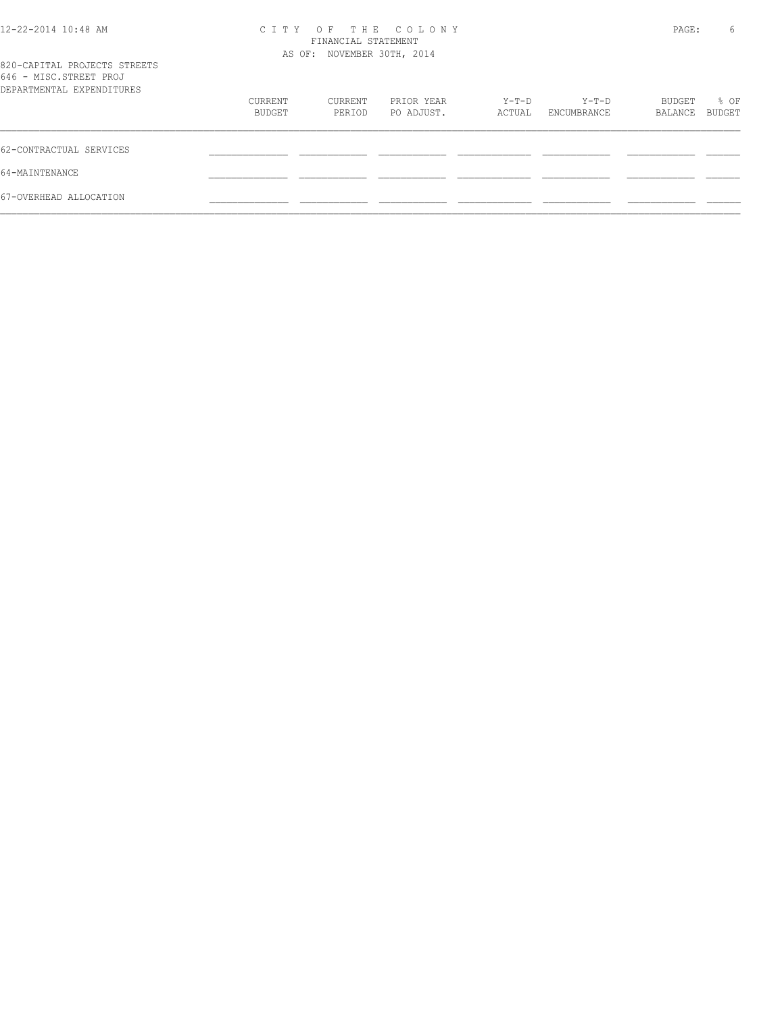| 12-22-2014 10:48 AM                                                                 |         | FINANCIAL STATEMENT        | CITY OF THE COLONY |        |             | PAGE:   | 6             |
|-------------------------------------------------------------------------------------|---------|----------------------------|--------------------|--------|-------------|---------|---------------|
|                                                                                     |         | AS OF: NOVEMBER 30TH, 2014 |                    |        |             |         |               |
| 820-CAPITAL PROJECTS STREETS<br>646 - MISC.STREET PROJ<br>DEPARTMENTAL EXPENDITURES |         |                            |                    |        |             |         |               |
|                                                                                     | CURRENT | CURRENT                    | PRIOR YEAR         | Y-T-D  | Y-T-D       | BUDGET  | % OF          |
|                                                                                     | BUDGET  | PERIOD                     | PO ADJUST.         | ACTUAL | ENCUMBRANCE | BALANCE | <b>BUDGET</b> |
| 62-CONTRACTUAL SERVICES                                                             |         |                            |                    |        |             |         |               |
| 64-MAINTENANCE                                                                      |         |                            |                    |        |             |         |               |
| 67-OVERHEAD ALLOCATION                                                              |         |                            |                    |        |             |         |               |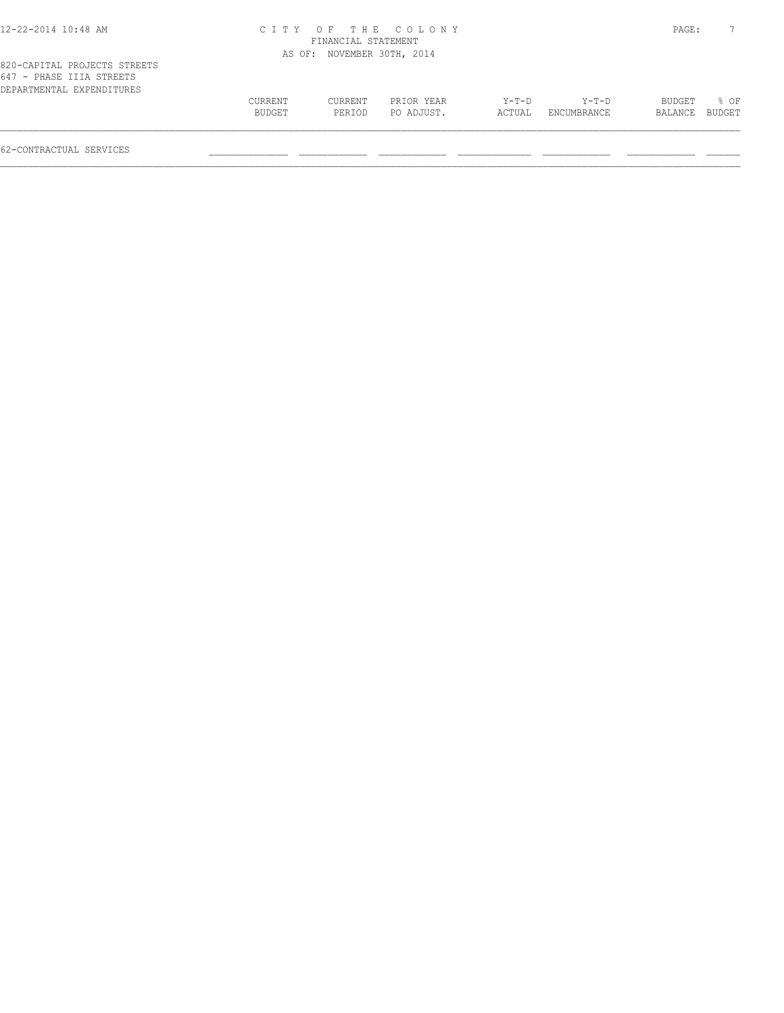#### 12-22-2014 10:48 AM C I T Y O F T H E C O L O N Y PAGE: 7 FINANCIAL STATEMENT AS OF: NOVEMBER 30TH, 2014

| 820-CAPITAL PROJECTS STREETS |         |         |            |        |                    |                |      |
|------------------------------|---------|---------|------------|--------|--------------------|----------------|------|
| 647 - PHASE IIIA STREETS     |         |         |            |        |                    |                |      |
| DEPARTMENTAL EXPENDITURES    |         |         |            |        |                    |                |      |
|                              | CURRENT | CURRENT | PRIOR YEAR | Y-T-D  | Y-T-D              | BUDGET         | 8 OF |
|                              | BUDGET  | PERTOD  | PO ADJUST. | ACTUAL | <b>ENCUMBRANCE</b> | BALANCE BUDGET |      |
|                              |         |         |            |        |                    |                |      |
|                              |         |         |            |        |                    |                |      |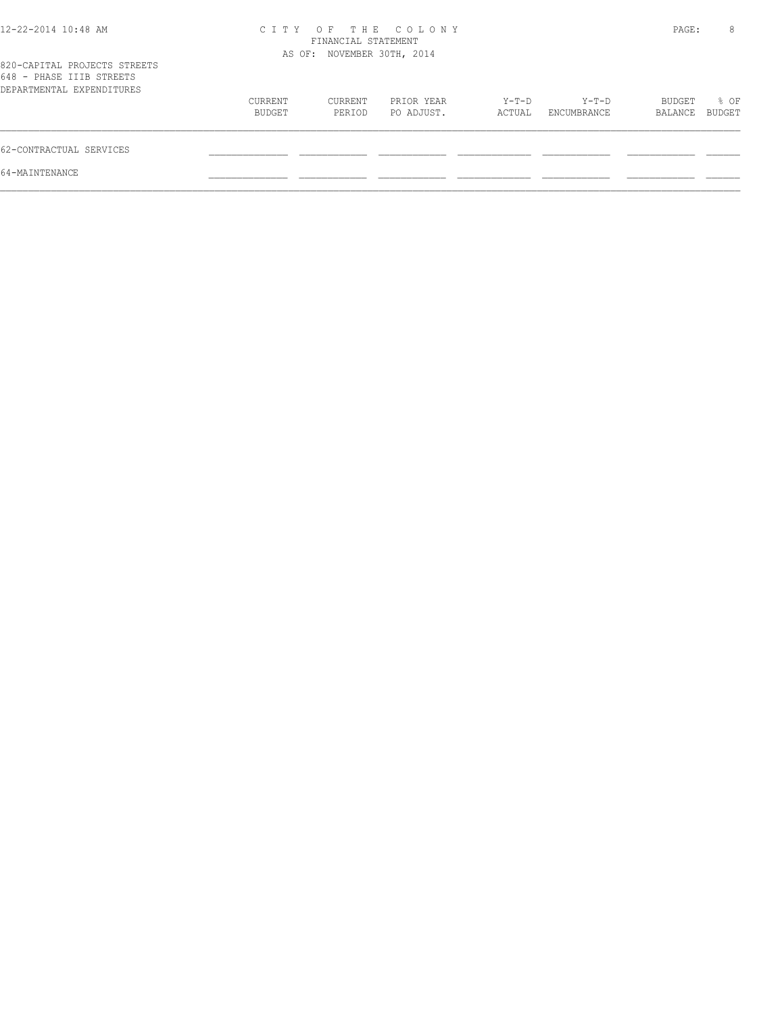| 12-22-2014 10:48 AM                                                                   |                   | FINANCIAL STATEMENT<br>AS OF: NOVEMBER 30TH, 2014 | CITY OF THE COLONY       |                 |                        | PAGE:             | 8              |
|---------------------------------------------------------------------------------------|-------------------|---------------------------------------------------|--------------------------|-----------------|------------------------|-------------------|----------------|
| 820-CAPITAL PROJECTS STREETS<br>648 - PHASE IIIB STREETS<br>DEPARTMENTAL EXPENDITURES |                   |                                                   |                          |                 |                        |                   |                |
|                                                                                       | CURRENT<br>BUDGET | CURRENT<br>PERIOD                                 | PRIOR YEAR<br>PO ADJUST. | Y-T-D<br>ACTUAL | $Y-T-D$<br>ENCUMBRANCE | BUDGET<br>BALANCE | % OF<br>BUDGET |
| 62-CONTRACTUAL SERVICES                                                               |                   |                                                   |                          |                 |                        |                   |                |
| 64-MAINTENANCE                                                                        |                   |                                                   |                          |                 |                        |                   |                |
|                                                                                       |                   |                                                   |                          |                 |                        |                   |                |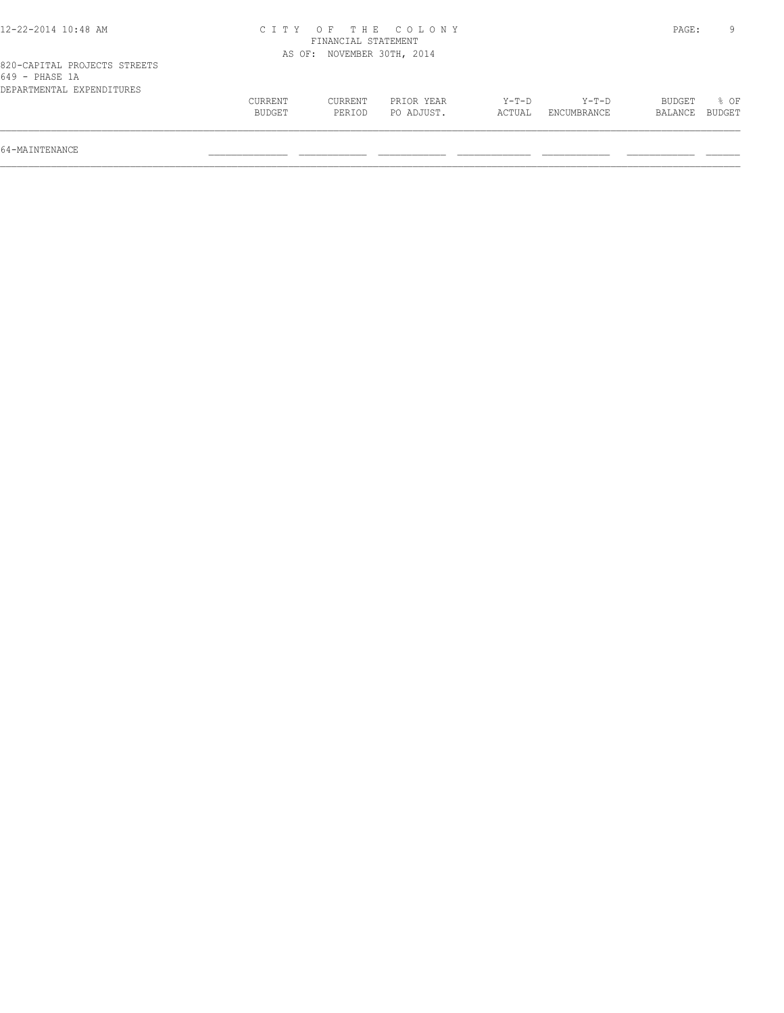| 2-22-2014<br>10:48 AM |          | T H R            | $\cap$ $\cap$ $\cap$<br>LONY | PAGE. |  |
|-----------------------|----------|------------------|------------------------------|-------|--|
|                       |          | r INANCT.<br>AI. | STATEMENT                    |       |  |
|                       | OF<br>AS | NOVEMBER         | 2014<br>30TH                 |       |  |

## OF: NOVEMBER 30TH, 2014

| CURRENT | CURRENT | PRIOR YEAR | Y-T-D  | $Y-T-D$     | BUDGET         | % OF |
|---------|---------|------------|--------|-------------|----------------|------|
| BUDGET  | PERIOD  | PO ADJUST. | ACTUAL | ENCUMBRANCE | BALANCE BUDGET |      |
|         |         |            |        |             |                |      |

64-MAINTENANCE \_\_\_\_\_\_\_\_\_\_\_\_\_\_ \_\_\_\_\_\_\_\_\_\_\_\_ \_\_\_\_\_\_\_\_\_\_\_\_ \_\_\_\_\_\_\_\_\_\_\_\_\_ \_\_\_\_\_\_\_\_\_\_\_\_ \_\_\_\_\_\_\_\_\_\_\_\_ \_\_\_\_\_\_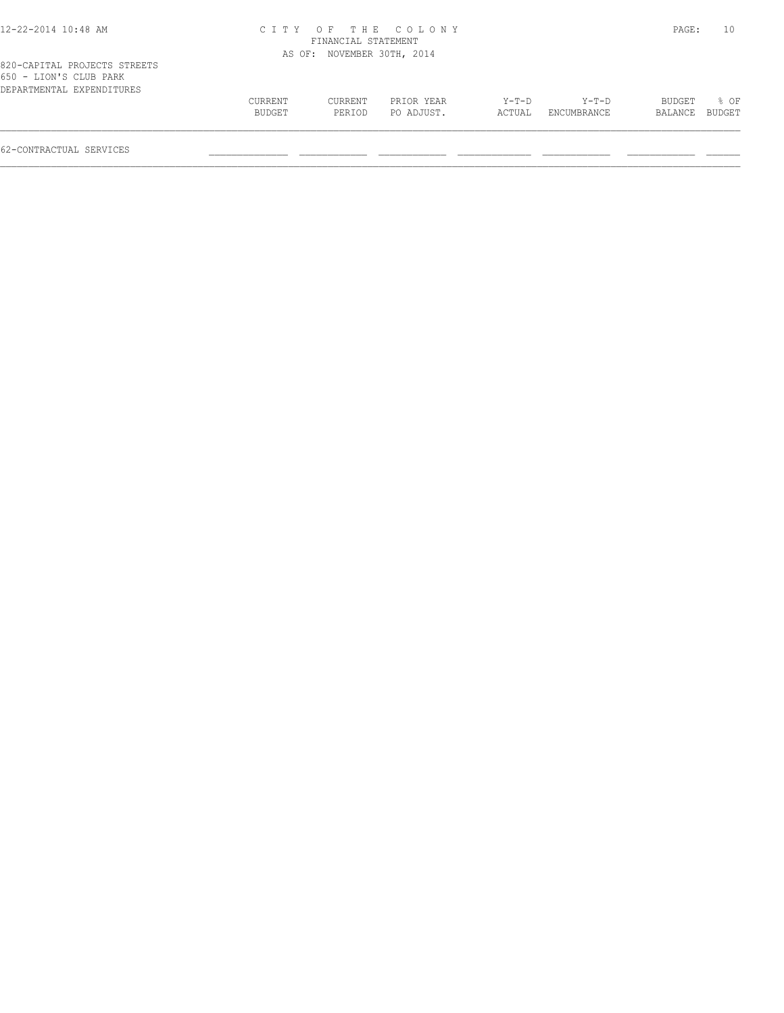| 12-22-2014 10:48 AM |  |  |  |  |  |  |
|---------------------|--|--|--|--|--|--|
|---------------------|--|--|--|--|--|--|

#### 12-22-2014 10:48 AM C I T Y O F T H E C O L O N Y PAGE: 10 FINANCIAL STATEMENT AS OF: NOVEMBER 30TH, 2014

|                        | 820-CAPITAL PROJECTS STREETS |
|------------------------|------------------------------|
| 650 - LION'S CLUB PARK |                              |
|                        | DEPARTMENTAL EXPENDITURES    |

| 030 - TIOM.2 CTAR FUKK<br>DEPARTMENTAL EXPENDITURES |                   |                   |                          |                 |                      |                          |                |
|-----------------------------------------------------|-------------------|-------------------|--------------------------|-----------------|----------------------|--------------------------|----------------|
|                                                     | CURRENT<br>BUDGET | CURRENT<br>PERIOD | PRIOR YEAR<br>PO ADJUST. | Y-T-D<br>ACTUAL | Y-T-D<br>ENCUMBRANCE | <b>BUDGET</b><br>BALANCE | % OF<br>BUDGET |
|                                                     |                   |                   |                          |                 |                      |                          |                |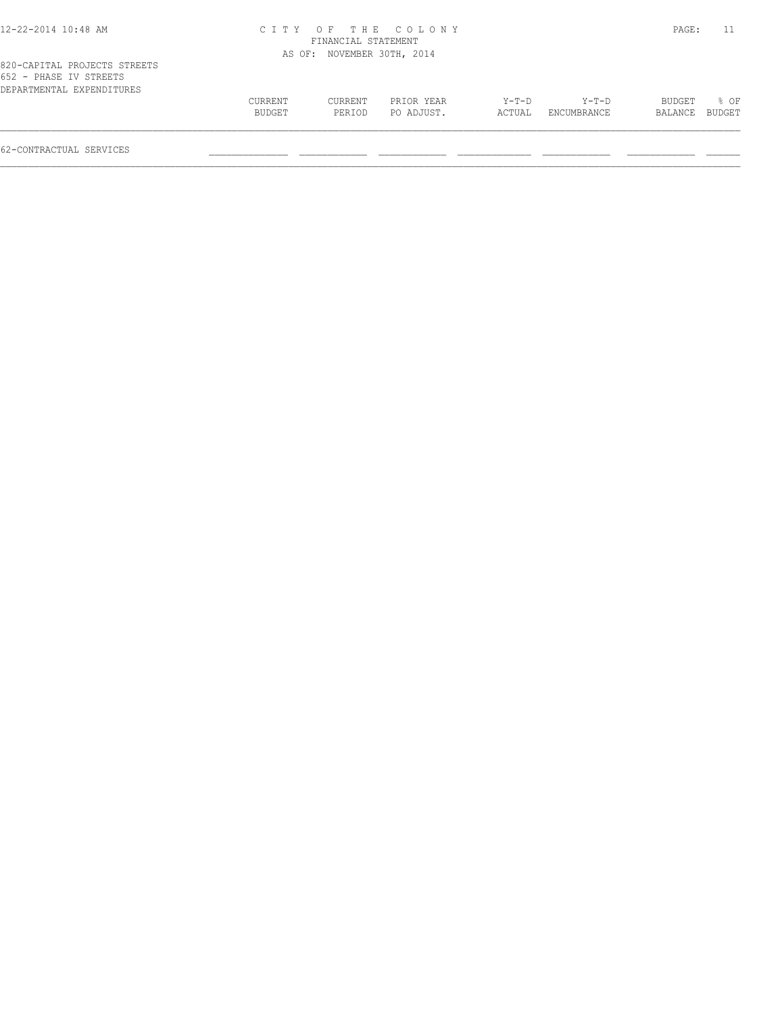| 12-22-2014 10:48 AM |
|---------------------|
|---------------------|

#### 12-22-2014 10:48 AM C I T Y O F T H E C O L O N Y PAGE: 11 FINANCIAL STATEMENT AS OF: NOVEMBER 30TH, 2014

| 652 - PHASE IV STREETS    |               |         |            |        |             |                |      |
|---------------------------|---------------|---------|------------|--------|-------------|----------------|------|
| DEPARTMENTAL EXPENDITURES |               |         |            |        |             |                |      |
|                           | CURRENT       | CURRENT | PRIOR YEAR | Y-T-D  | $Y-T-D$     | BUDGET         | ዱ ∩ፑ |
|                           | <b>BUDGET</b> | PERTOD  | PO ADJUST. | ACTUAL | ENCUMBRANCE | BALANCE BUDGET |      |
|                           |               |         |            |        |             |                |      |
|                           |               |         |            |        |             |                |      |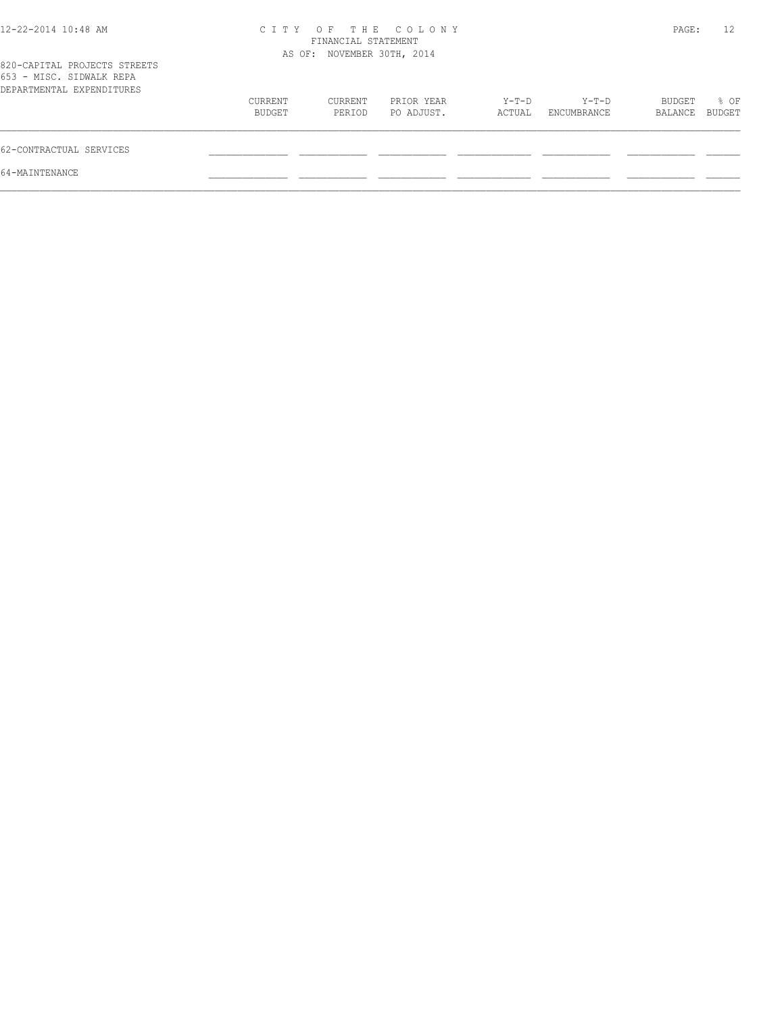|                   |                   |                          |                                                                         |                        |                   | 12             |
|-------------------|-------------------|--------------------------|-------------------------------------------------------------------------|------------------------|-------------------|----------------|
|                   |                   |                          |                                                                         |                        |                   |                |
| CURRENT<br>BUDGET | CURRENT<br>PERIOD | PRIOR YEAR<br>PO ADJUST. | Y-T-D<br>ACTUAL                                                         | $Y-T-D$<br>ENCUMBRANCE | BUDGET<br>BALANCE | % OF<br>BUDGET |
|                   |                   |                          |                                                                         |                        |                   |                |
|                   |                   |                          |                                                                         |                        |                   |                |
|                   |                   |                          | CITY OF THE COLONY<br>FINANCIAL STATEMENT<br>AS OF: NOVEMBER 30TH, 2014 |                        |                   | PAGE:          |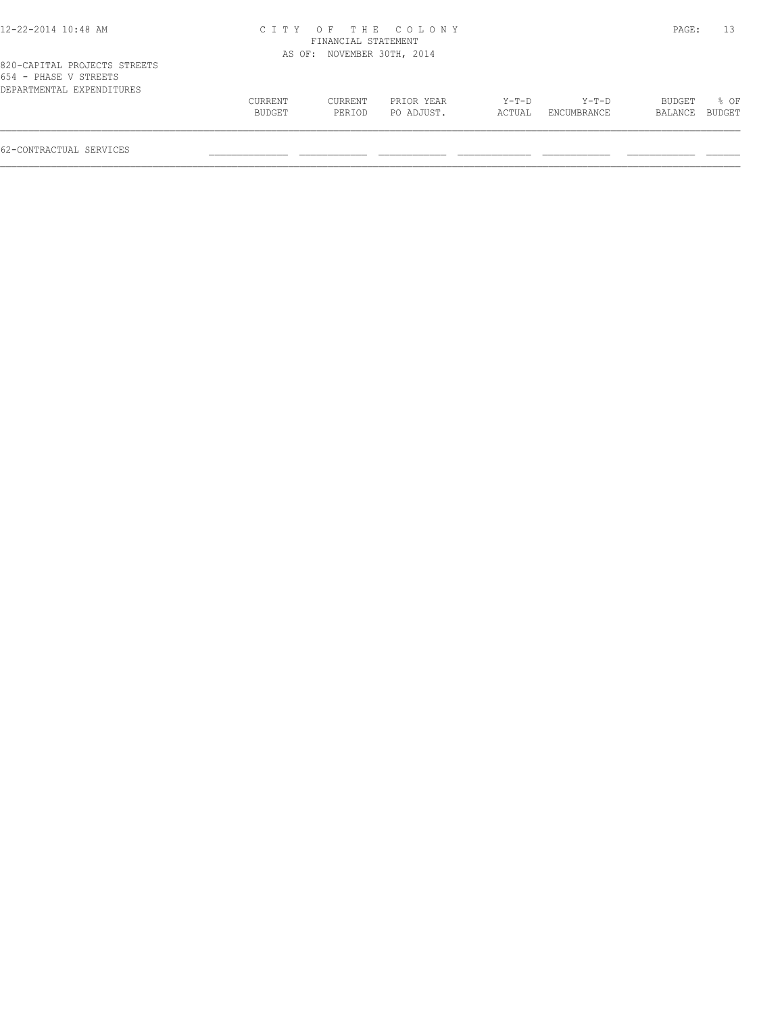| 12-22-2014 10:48 AM |  |  |  |  |  |  |
|---------------------|--|--|--|--|--|--|
|---------------------|--|--|--|--|--|--|

#### 12-22-2014 10:48 AM C I T Y O F T H E C O L O N Y PAGE: 13 FINANCIAL STATEMENT AS OF: NOVEMBER 30TH, 2014

| 820-CAPITAL PROJECTS STREETS |         |         |            |         |             |                |      |
|------------------------------|---------|---------|------------|---------|-------------|----------------|------|
| 654 - PHASE V STREETS        |         |         |            |         |             |                |      |
| DEPARTMENTAL EXPENDITURES    |         |         |            |         |             |                |      |
|                              | CURRENT | CURRENT | PRIOR YEAR | $Y-T-D$ | $Y-T-D$     | BUDGET         | % OF |
|                              | BUDGET  | PERTOD  | PO ADJUST. | ACTUAL  | ENCUMBRANCE | BALANCE BUDGET |      |
|                              |         |         |            |         |             |                |      |
|                              |         |         |            |         |             |                |      |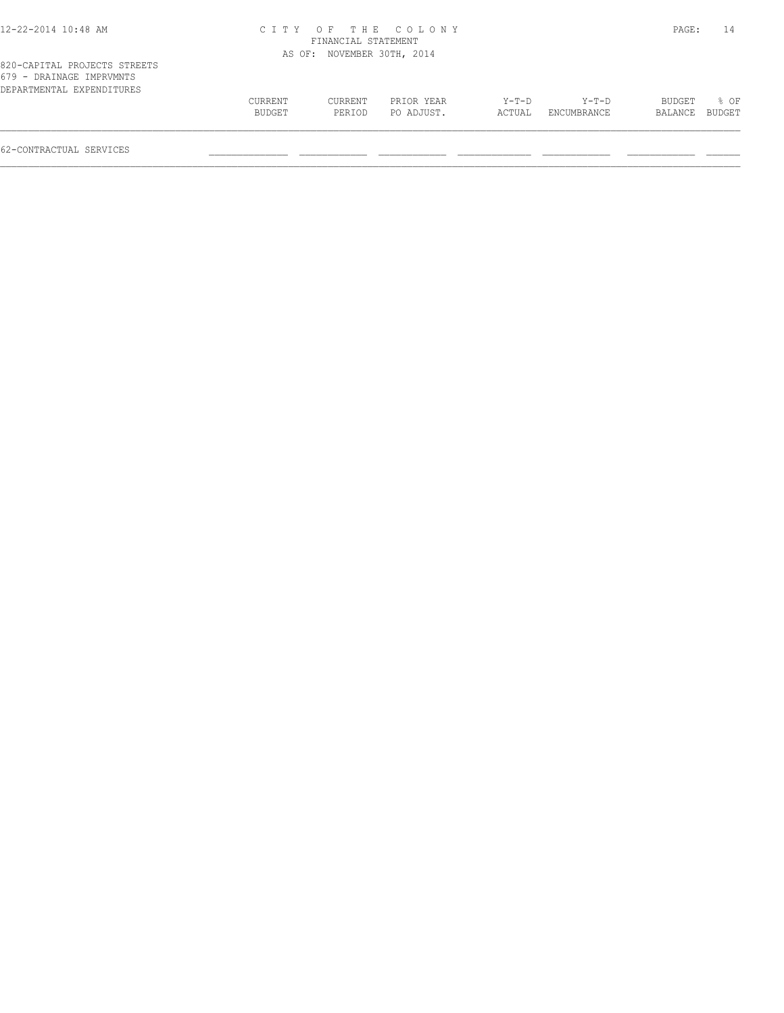| 12-22-2014 10:48 AM |  |  |  |  |  |  |
|---------------------|--|--|--|--|--|--|
|---------------------|--|--|--|--|--|--|

## 12-22-2014 10:48 AM C I T Y O F T H E C O L O N Y PAGE: 14 FINANCIAL STATEMENT

|                                                                                       |                   |                   | AS OF: NOVEMBER 30TH, 2014 |                 |                      |                   |                |
|---------------------------------------------------------------------------------------|-------------------|-------------------|----------------------------|-----------------|----------------------|-------------------|----------------|
| 820-CAPITAL PROJECTS STREETS<br>679 - DRAINAGE IMPRVMNTS<br>DEPARTMENTAL EXPENDITURES |                   |                   |                            |                 |                      |                   |                |
|                                                                                       | CURRENT<br>BUDGET | CURRENT<br>PERIOD | PRIOR YEAR<br>PO ADJUST.   | Y-T-D<br>ACTUAL | Y-T-D<br>ENCUMBRANCE | BUDGET<br>BALANCE | 8 OF<br>BUDGET |
| 62-CONTRACTUAL SERVICES                                                               |                   |                   |                            |                 |                      |                   |                |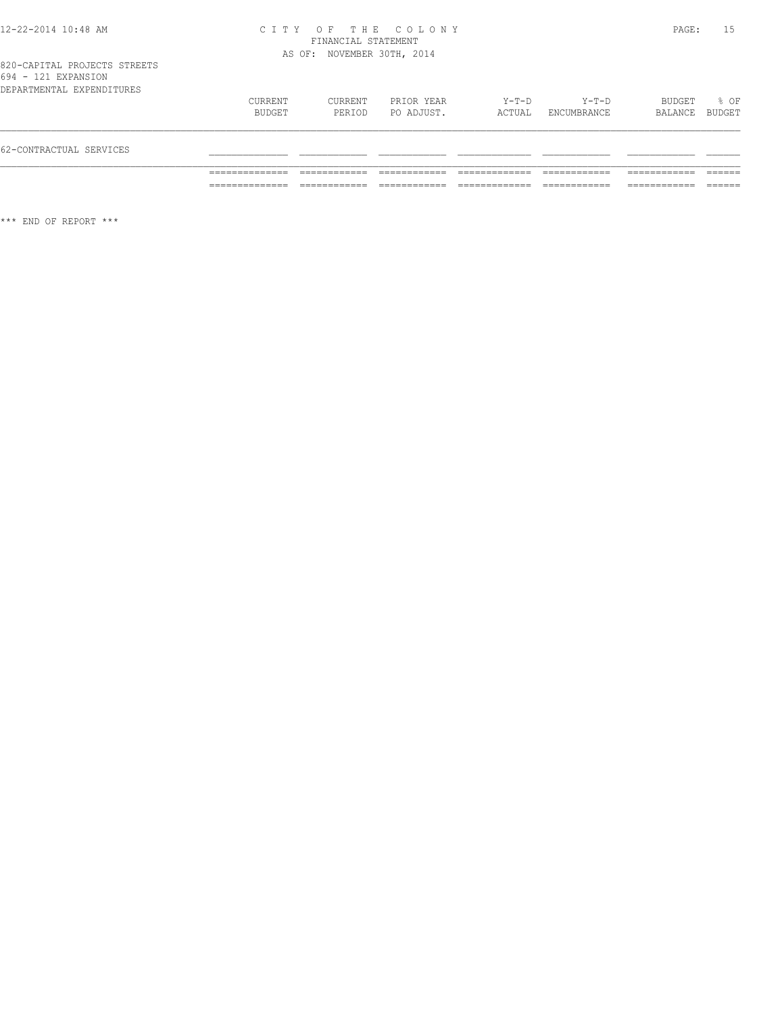#### 12-22-2014 10:48 AM C I T Y O F T H E C O L O N Y PAGE: 15 FINANCIAL STATEMENT AS OF: NOVEMBER 30TH, 2014

### 820-CAPITAL PROJECTS STREETS 694 - 121 EXPANSION

| 62-CONTRACTUAL SERVICES   |                          |                   |                          |                 |                      |                   |                        |
|---------------------------|--------------------------|-------------------|--------------------------|-----------------|----------------------|-------------------|------------------------|
| DEPARTMENTAL EXPENDITURES | <b>CURRENT</b><br>BUDGET | CURRENT<br>PERIOD | PRIOR YEAR<br>PO ADJUST. | Y-T-D<br>ACTUAL | Y-T-D<br>ENCUMBRANCE | BUDGET<br>BALANCE | $\approx$ OF<br>BUDGET |

\*\*\* END OF REPORT \*\*\*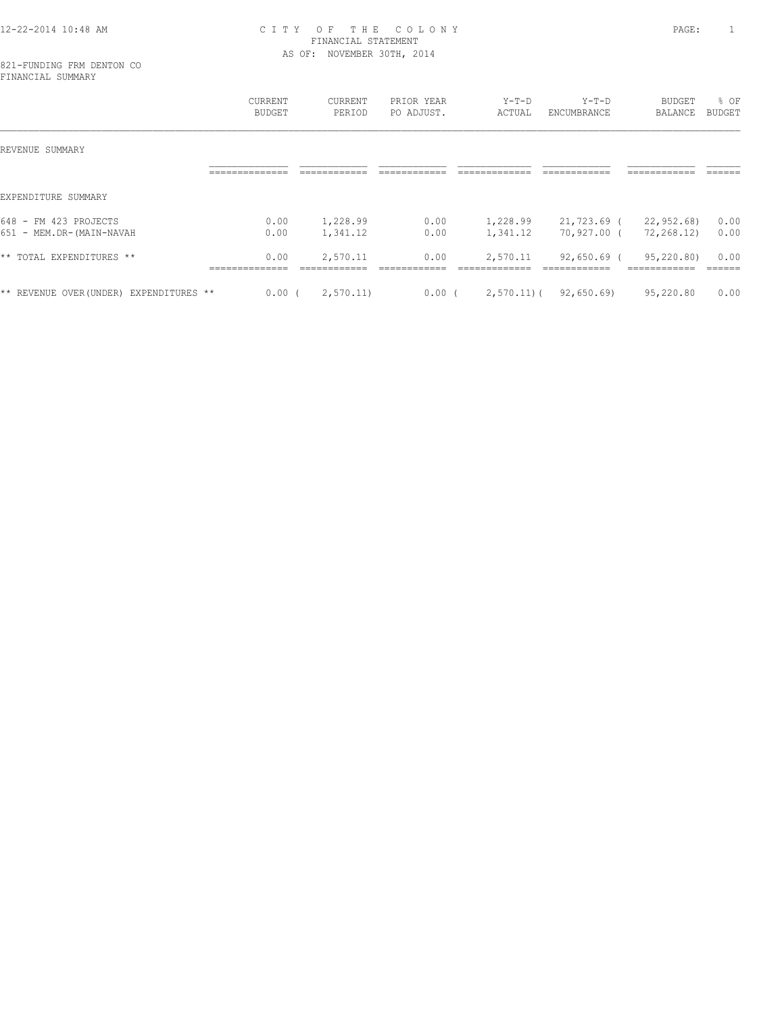#### 12-22-2014 10:48 AM C I T Y O F T H E C O L O N Y PAGE: 1 FINANCIAL STATEMENT AS OF: NOVEMBER 30TH, 2014

821-FUNDING FRM DENTON CO FINANCIAL SUMMARY

|                                                   | CURRENT<br>BUDGET | <b>CURRENT</b><br>PERIOD | PRIOR YEAR<br>PO ADJUST. | $Y-T-D$<br>ACTUAL    | $Y-T-D$<br>ENCUMBRANCE     | <b>BUDGET</b><br>BALANCE   | % OF<br>BUDGET |
|---------------------------------------------------|-------------------|--------------------------|--------------------------|----------------------|----------------------------|----------------------------|----------------|
| REVENUE SUMMARY                                   |                   |                          |                          |                      |                            |                            |                |
|                                                   |                   |                          |                          |                      |                            |                            |                |
| EXPENDITURE SUMMARY                               |                   |                          |                          |                      |                            |                            |                |
| 648 - FM 423 PROJECTS<br>651 - MEM.DR-(MAIN-NAVAH | 0.00<br>0.00      | 1,228.99<br>1,341.12     | 0.00<br>0.00             | 1,228.99<br>1,341.12 | 21,723.69 (<br>70,927.00 ( | 22,952.68)<br>72,268.12)   | 0.00<br>0.00   |
| ** TOTAL EXPENDITURES **                          | 0.00              | 2,570.11                 | 0.00                     | 2,570.11             | 92,650.69 (                | 95,220.80)<br>------------ | 0.00           |
| ** REVENUE OVER (UNDER) EXPENDITURES **           | 0.00(             | 2,570.11                 | $0.00$ (                 | $2,570.11$ ) (       | 92,650.69                  | 95,220.80                  | 0.00           |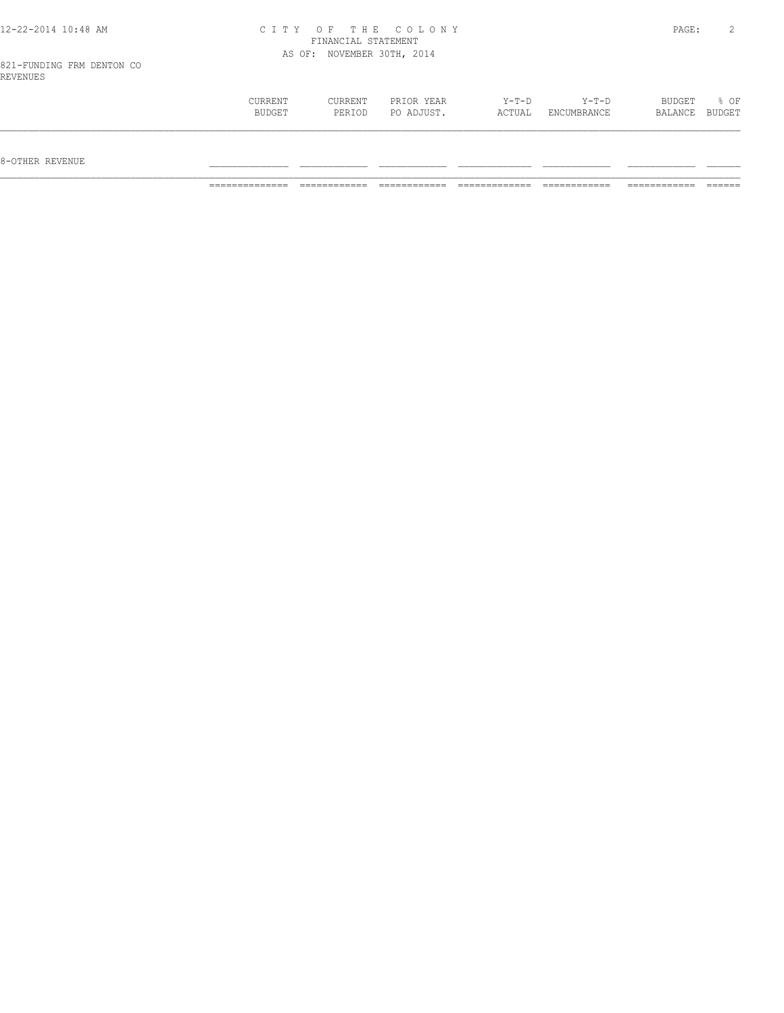| 12-22-2014 10:48 AM                   |                |                            | CITY OF THE COLONY |         |         | PAGE:  |        |
|---------------------------------------|----------------|----------------------------|--------------------|---------|---------|--------|--------|
|                                       |                | FINANCIAL STATEMENT        |                    |         |         |        |        |
|                                       |                | AS OF: NOVEMBER 30TH, 2014 |                    |         |         |        |        |
| 821-FUNDING FRM DENTON CO<br>REVENUES |                |                            |                    |         |         |        |        |
|                                       | <b>CURRENT</b> | CURRENT                    | PRIOR YEAR         | $Y-T-D$ | $Y-T-D$ | BUDGET | $8$ OF |

 BUDGET PERIOD PO ADJUST. ACTUAL ENCUMBRANCE BALANCE BUDGET  $\mathcal{L} = \{ \mathcal{L} = \{ \mathcal{L} = \{ \mathcal{L} = \{ \mathcal{L} = \{ \mathcal{L} = \{ \mathcal{L} = \{ \mathcal{L} = \{ \mathcal{L} = \{ \mathcal{L} = \{ \mathcal{L} = \{ \mathcal{L} = \{ \mathcal{L} = \{ \mathcal{L} = \{ \mathcal{L} = \{ \mathcal{L} = \{ \mathcal{L} = \{ \mathcal{L} = \{ \mathcal{L} = \{ \mathcal{L} = \{ \mathcal{L} = \{ \mathcal{L} = \{ \mathcal{L} = \{ \mathcal{L} = \{ \mathcal{$ 

 $8-{\rm OFF}$  revenue  $\_$ 

============== ============ ============ ============= ============ ============ ======

 $12 - 22 - 2014$  10:48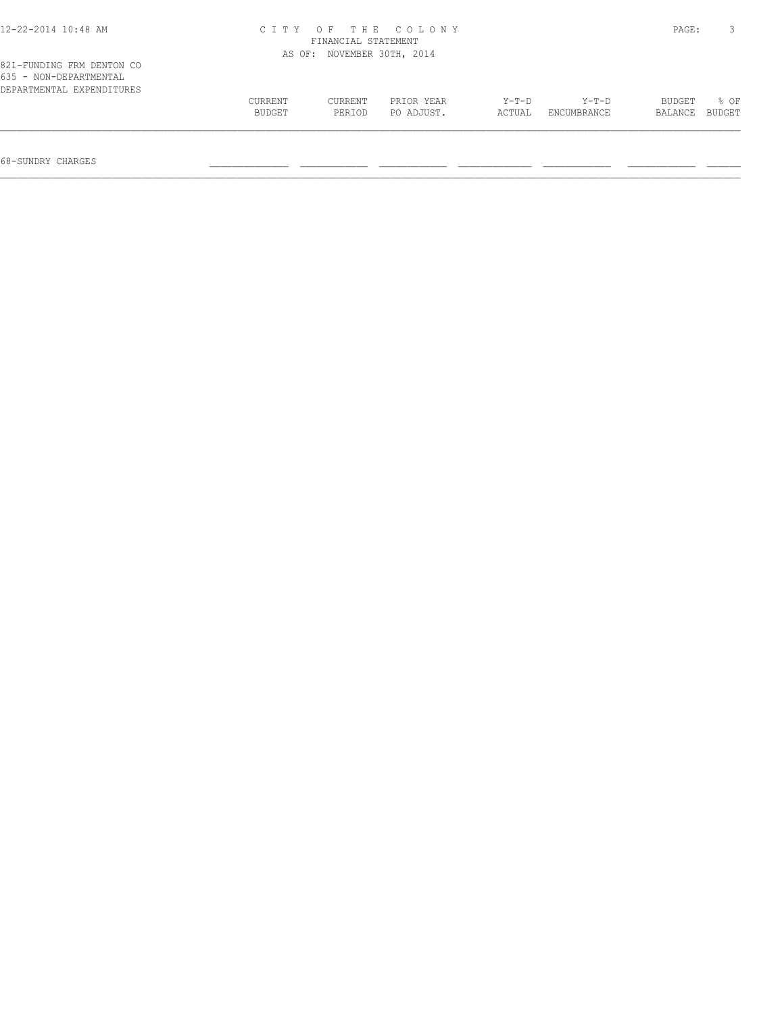| 12-22-2014 10:48 AM                                                              | CITY OF THE COLONY<br>FINANCIAL STATEMENT<br>AS OF: NOVEMBER 30TH, 2014 |                   |                          |                 |                      |                   |                |  |  |
|----------------------------------------------------------------------------------|-------------------------------------------------------------------------|-------------------|--------------------------|-----------------|----------------------|-------------------|----------------|--|--|
|                                                                                  |                                                                         |                   |                          |                 |                      |                   |                |  |  |
| 821-FUNDING FRM DENTON CO<br>635 - NON-DEPARTMENTAL<br>DEPARTMENTAL EXPENDITURES |                                                                         |                   |                          |                 |                      |                   |                |  |  |
|                                                                                  | CURRENT<br>BUDGET                                                       | CURRENT<br>PERIOD | PRIOR YEAR<br>PO ADJUST. | Y-T-D<br>ACTUAL | Y-T-D<br>ENCUMBRANCE | BUDGET<br>BALANCE | 8 OF<br>BUDGET |  |  |
|                                                                                  |                                                                         |                   |                          |                 |                      |                   |                |  |  |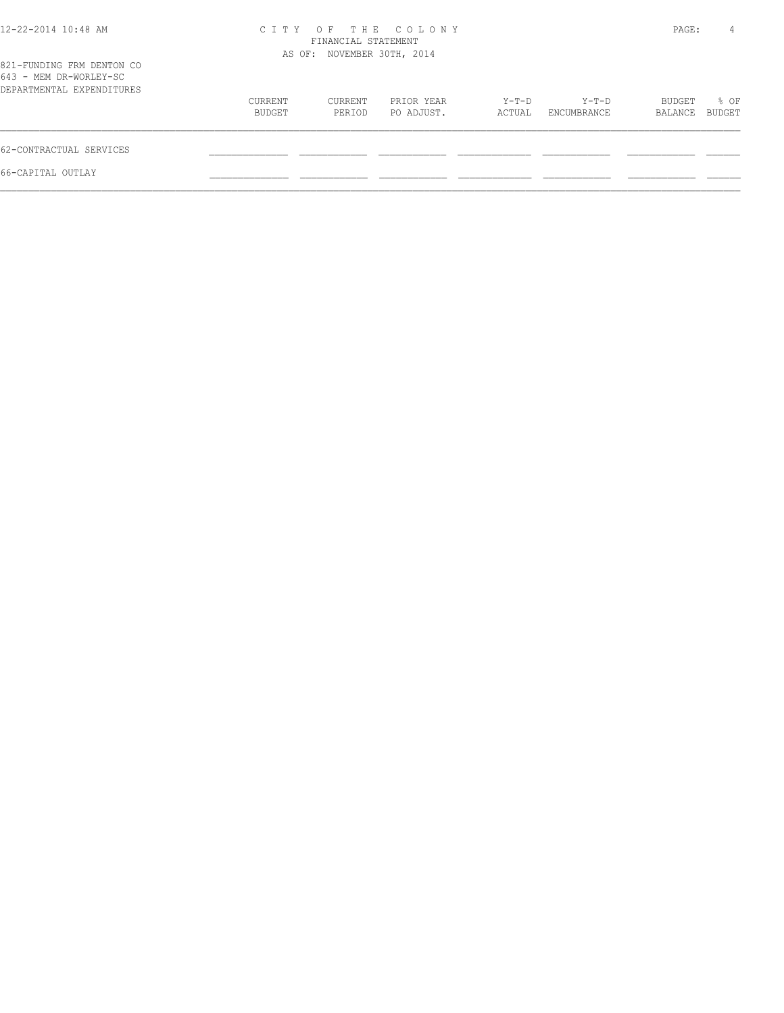| 12-22-2014 10:48 AM                                                              |                   | FINANCIAL STATEMENT        | CITY OF THE COLONY       |                 |                        | PAGE:             | 4                     |
|----------------------------------------------------------------------------------|-------------------|----------------------------|--------------------------|-----------------|------------------------|-------------------|-----------------------|
| 821-FUNDING FRM DENTON CO<br>643 - MEM DR-WORLEY-SC<br>DEPARTMENTAL EXPENDITURES |                   | AS OF: NOVEMBER 30TH, 2014 |                          |                 |                        |                   |                       |
|                                                                                  | CURRENT<br>BUDGET | CURRENT<br>PERIOD          | PRIOR YEAR<br>PO ADJUST. | Y-T-D<br>ACTUAL | $Y-T-D$<br>ENCUMBRANCE | BUDGET<br>BALANCE | % OF<br><b>BUDGET</b> |
| 62-CONTRACTUAL SERVICES                                                          |                   |                            |                          |                 |                        |                   |                       |
| 66-CAPITAL OUTLAY                                                                |                   |                            |                          |                 |                        |                   |                       |
|                                                                                  |                   |                            |                          |                 |                        |                   |                       |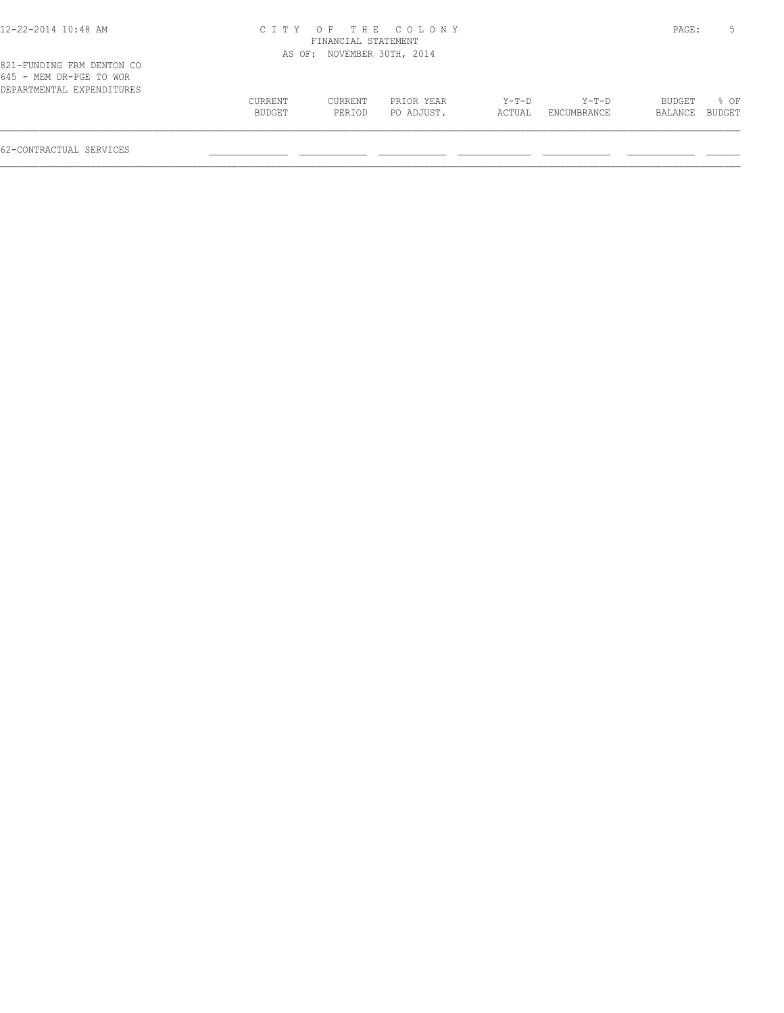## 12-22-2014 10:48 AM C I T Y O F T H E C O L O N Y PAGE: 5 FINANCIAL STATEMENT

| 821-FUNDING FRM DENTON CO<br>645 - MEM DR-PGE TO WOR<br>DEPARTMENTAL EXPENDITURES |         | AS OF: NOVEMBER 30TH, 2014 |            |        |             |         |        |
|-----------------------------------------------------------------------------------|---------|----------------------------|------------|--------|-------------|---------|--------|
|                                                                                   | CURRENT | CURRENT                    | PRIOR YEAR | Y-T-D  | Y-T-D       | BUDGET  | 8 OF   |
|                                                                                   | BUDGET  | PERIOD                     | PO ADJUST. | ACTUAL | ENCUMBRANCE | BALANCE | BUDGET |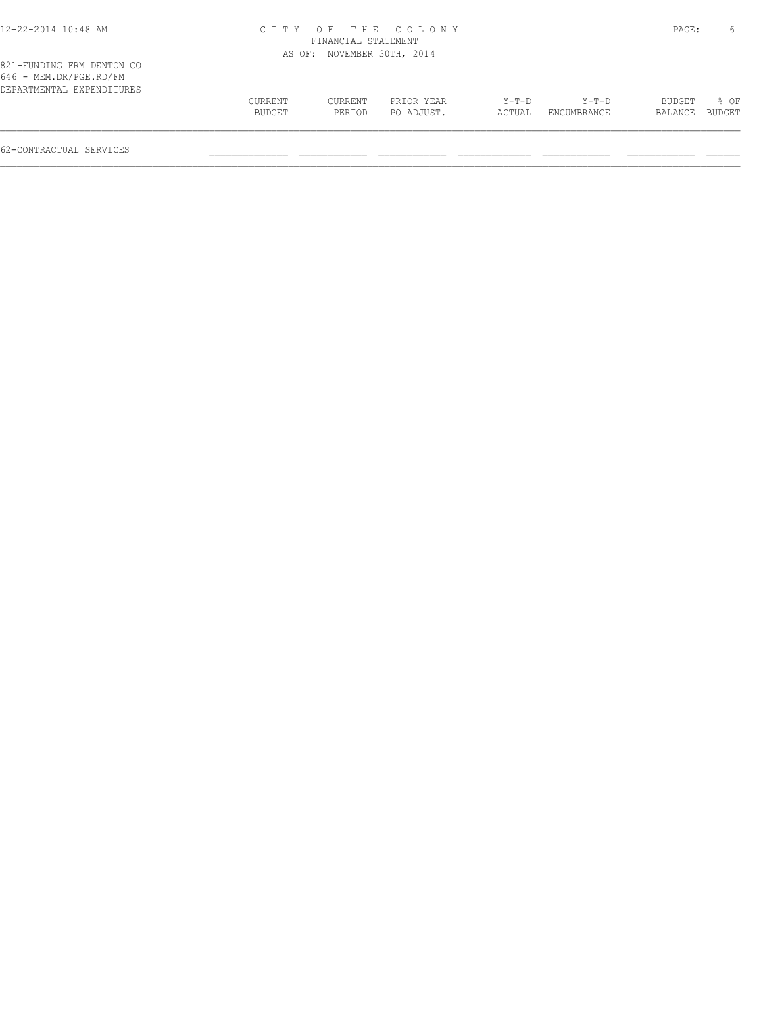## 12-22-2014 10:48 AM C I T Y O F T H E C O L O N Y PAGE: 6 FINANCIAL STATEMENT AS OF: NOVEMBER 30TH, 2014

| 821-FUNDING FRM DENTON CO |  |
|---------------------------|--|
| $646$ - MEM.DR/PGE.RD/FM  |  |
| DEPARTMENTAL EXPENDITURES |  |

| 646 - MEM.DR/PGE.RD/FM    |         |         |            |         |             |                |                  |  |
|---------------------------|---------|---------|------------|---------|-------------|----------------|------------------|--|
| DEPARTMENTAL EXPENDITURES |         |         |            |         |             |                |                  |  |
|                           | CURRENT | CURRENT | PRIOR YEAR | $Y-T-D$ | $Y-T-D$     | BUDGET         | $\frac{1}{2}$ OF |  |
|                           | BUDGET  | PERIOD  | PO ADJUST. | ACTUAL  | ENCUMBRANCE | BALANCE BUDGET |                  |  |
|                           |         |         |            |         |             |                |                  |  |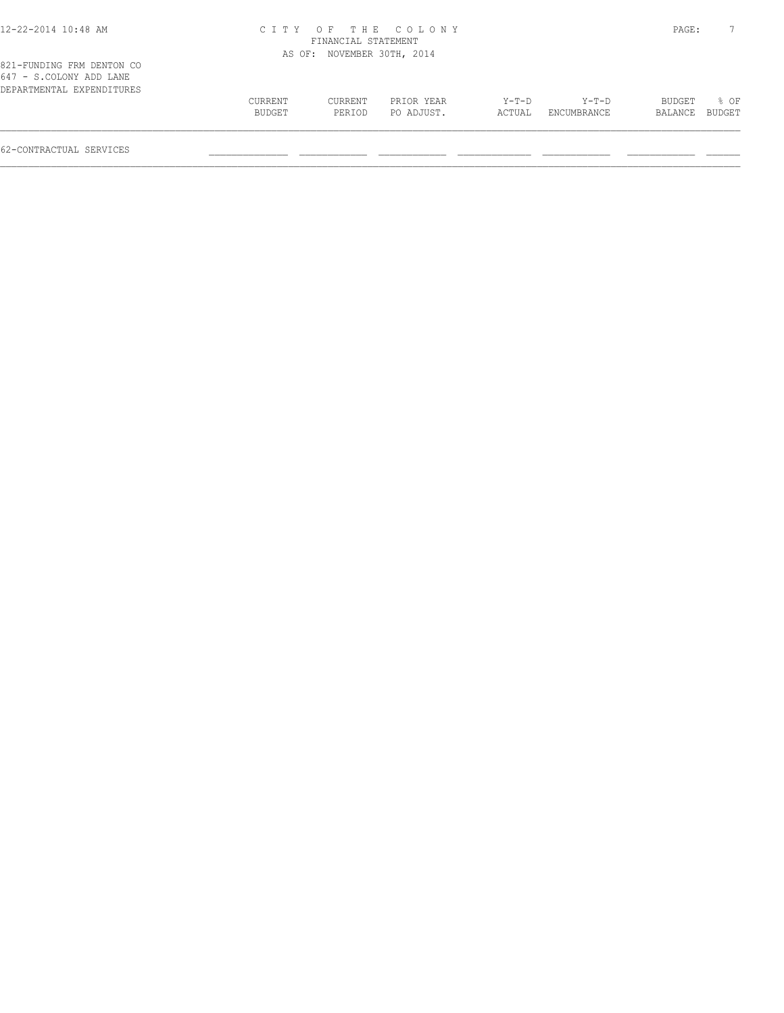# 12-22-2014 10:48 AM C I T Y O F T H E C O L O N Y PAGE: 7 FINANCIAL STATEMENT

|                                                                                   |                |         | AS OF: NOVEMBER 30TH, 2014 |        |             |                |      |
|-----------------------------------------------------------------------------------|----------------|---------|----------------------------|--------|-------------|----------------|------|
| 821-FUNDING FRM DENTON CO<br>647 - S.COLONY ADD LANE<br>DEPARTMENTAL EXPENDITURES |                |         |                            |        |             |                |      |
|                                                                                   | <b>CURRENT</b> | CURRENT | PRIOR YEAR                 | Y-T-D  | $Y-T-D$     | BUDGET         | 8 OF |
|                                                                                   | BUDGET         | PERIOD  | PO ADJUST.                 | ACTUAL | ENCUMBRANCE | BALANCE BUDGET |      |
|                                                                                   |                |         |                            |        |             |                |      |
|                                                                                   |                |         |                            |        |             |                |      |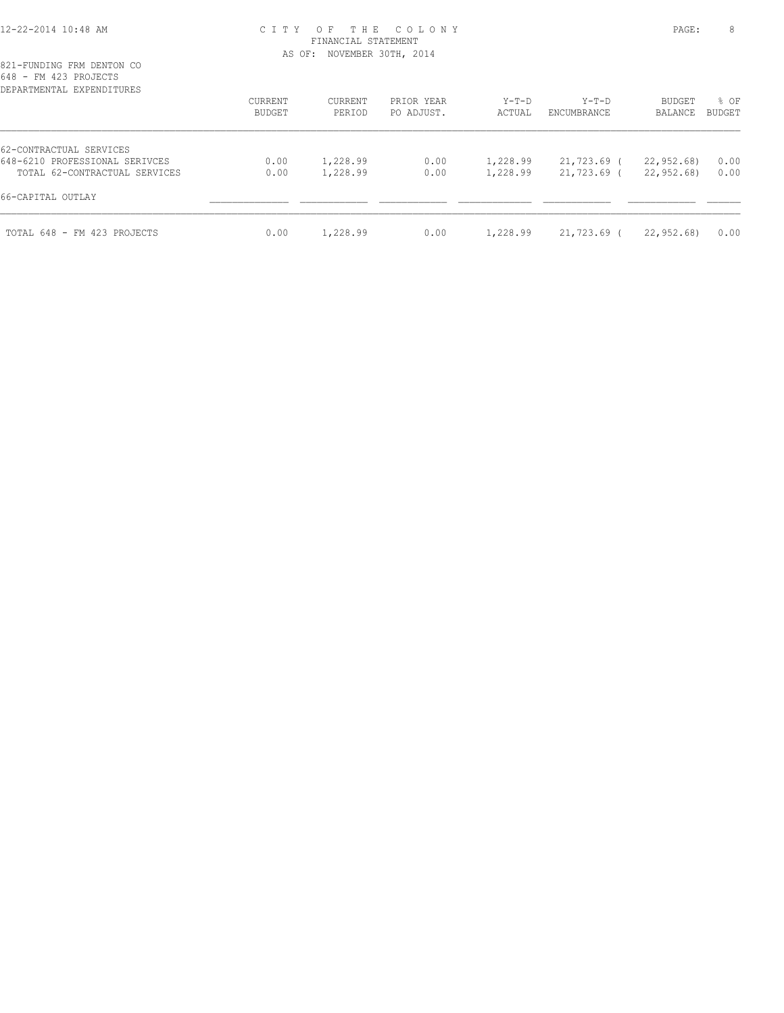## 12-22-2014 10:48 AM C I T Y O F T H E C O L O N Y PAGE: 8 FINANCIAL STATEMENT AS OF: NOVEMBER 30TH, 2014

| DEPARTMENTAL EXPENDITURES      | CURRENT<br>BUDGET | CURRENT<br>PERIOD | PRIOR YEAR<br>PO ADJUST. | $Y-T-D$<br>ACTUAL | $Y-T-D$<br>ENCUMBRANCE | BUDGET<br>BALANCE | % OF<br><b>BUDGET</b> |
|--------------------------------|-------------------|-------------------|--------------------------|-------------------|------------------------|-------------------|-----------------------|
| 62-CONTRACTUAL SERVICES        |                   |                   |                          |                   |                        |                   |                       |
| 648-6210 PROFESSIONAL SERIVCES | 0.00              | 1,228.99          | 0.00                     | 1,228.99          | 21,723.69 (            | 22,952.68)        | 0.00                  |
| TOTAL 62-CONTRACTUAL SERVICES  | 0.00              | 1,228.99          | 0.00                     | 1,228.99          | 21,723.69 (            | 22,952,68)        | 0.00                  |
| 66-CAPITAL OUTLAY              |                   |                   |                          |                   |                        |                   |                       |
| TOTAL 648 - FM 423 PROJECTS    | 0.00              | 1,228.99          | 0.00                     | 1,228.99          | 21,723.69 (            | 22,952.68)        | 0.00                  |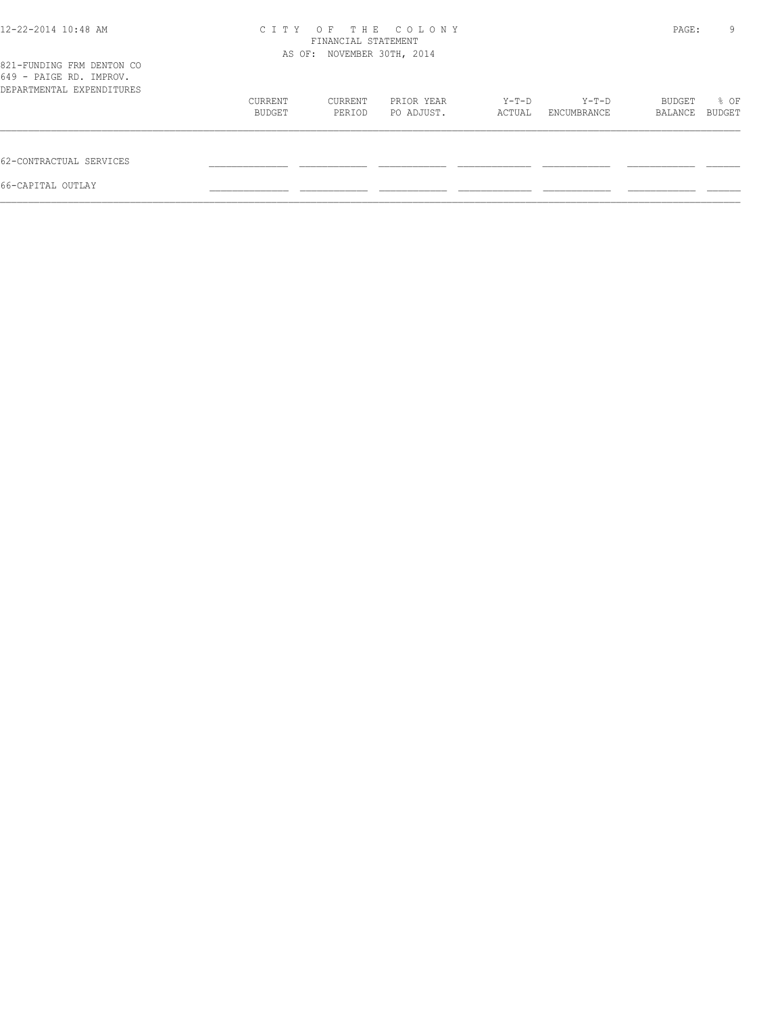| 12-22-2014 10:48 AM                                                               | C T T Y | THE<br>OF<br>FINANCIAL STATEMENT<br>AS OF: NOVEMBER 30TH, 2014 | COLONY     |         |             | PAGE:   | 9      |
|-----------------------------------------------------------------------------------|---------|----------------------------------------------------------------|------------|---------|-------------|---------|--------|
| 821-FUNDING FRM DENTON CO<br>649 - PAIGE RD. IMPROV.<br>DEPARTMENTAL EXPENDITURES |         |                                                                |            |         |             |         |        |
|                                                                                   | CURRENT | CURRENT                                                        | PRIOR YEAR | $Y-T-D$ | Y-T-D       | BUDGET  | % OF   |
|                                                                                   | BUDGET  | PERIOD                                                         | PO ADJUST. | ACTUAL  | ENCUMBRANCE | BALANCE | BUDGET |
| 62-CONTRACTUAL SERVICES                                                           |         |                                                                |            |         |             |         |        |
| 66-CAPITAL OUTLAY                                                                 |         |                                                                |            |         |             |         |        |
|                                                                                   |         |                                                                |            |         |             |         |        |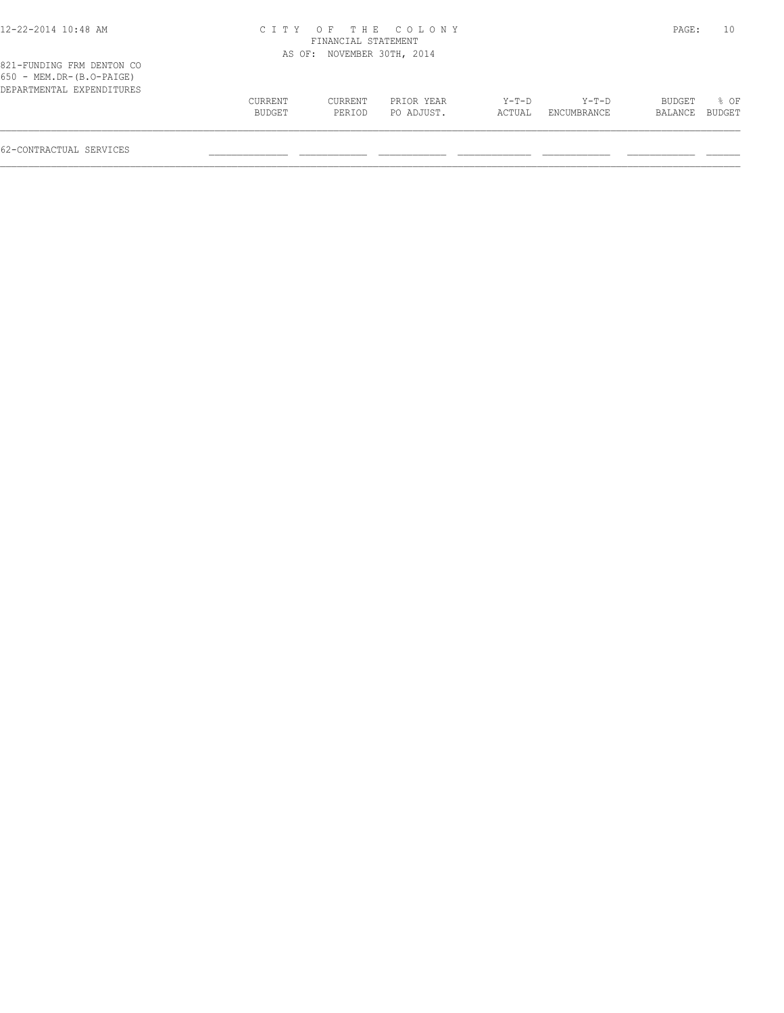# 12-22-2014 10:48 AM C I T Y O F T H E C O L O N Y PAGE: 10 FINANCIAL STATEMENT

| 821-FUNDING FRM DENTON CO                                  |         | AS OF: NOVEMBER 30TH, 2014 |            |        |             |         |        |
|------------------------------------------------------------|---------|----------------------------|------------|--------|-------------|---------|--------|
| $650$ - MEM.DR- $(B.O-PAIGE)$<br>DEPARTMENTAL EXPENDITURES |         |                            |            |        |             |         |        |
|                                                            | CURRENT | <b>CURRENT</b>             | PRIOR YEAR | Y-T-D  | $Y-T-D$     | BUDGET  | 8 OF   |
|                                                            | BUDGET  | PERIOD                     | PO ADJUST. | ACTUAL | ENCUMBRANCE | BALANCE | BUDGET |
|                                                            |         |                            |            |        |             |         |        |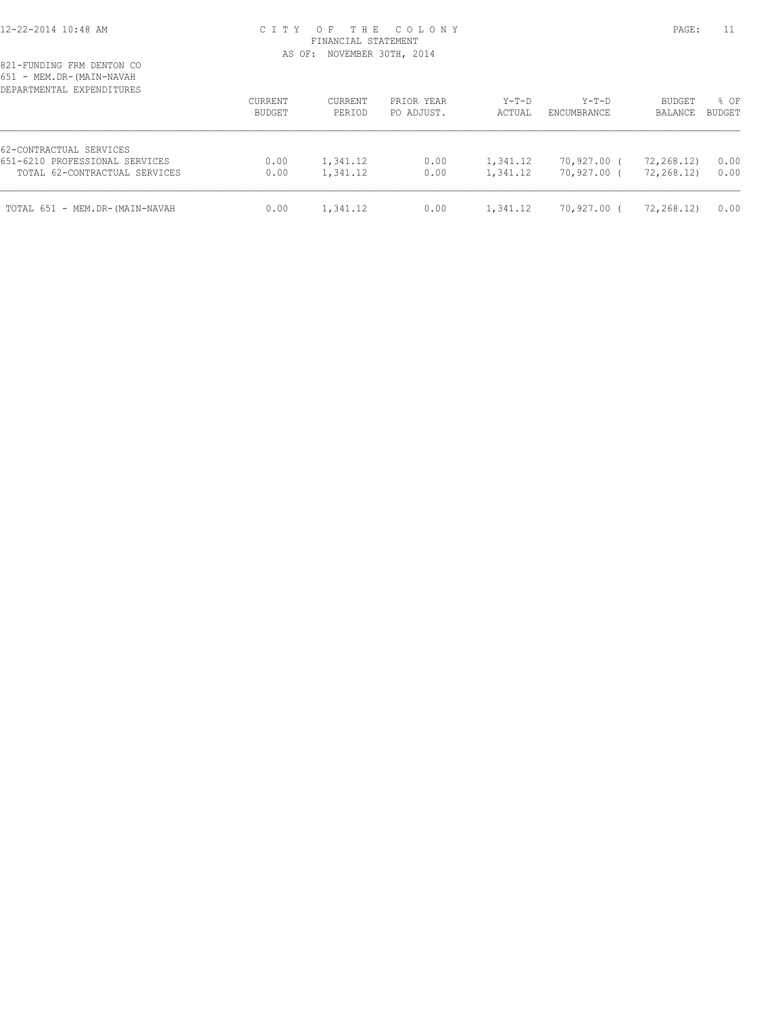# 12-22-2014 10:48 AM C I T Y O F T H E C O L O N Y PAGE: 11 FINANCIAL STATEMENT AS OF: NOVEMBER 30TH, 2014

| DEPARTMENTAL EXPENDITURES                                 | CURRENT<br>BUDGET | CURRENT<br>PERIOD | PRIOR YEAR<br>PO ADJUST. | $Y-T-D$<br>ACTUAL | $Y-T-D$<br>ENCUMBRANCE | <b>BUDGET</b><br>BALANCE | % OF<br><b>BUDGET</b> |
|-----------------------------------------------------------|-------------------|-------------------|--------------------------|-------------------|------------------------|--------------------------|-----------------------|
| 62-CONTRACTUAL SERVICES<br>651-6210 PROFESSIONAL SERVICES | 0.00              | 1,341.12          | 0.00                     | 1,341.12          | 70,927.00 (            | 72,268.12)               | 0.00                  |
| TOTAL 62-CONTRACTUAL SERVICES                             | 0.00              | 1,341.12          | 0.00                     | 1,341.12          | 70,927.00 (            | 72,268.12)               | 0.00                  |
| TOTAL 651 - MEM.DR-(MAIN-NAVAH                            | 0.00              | 1,341.12          | 0.00                     | 1,341.12          | 70,927.00 (            | 72,268.12)               | 0.00                  |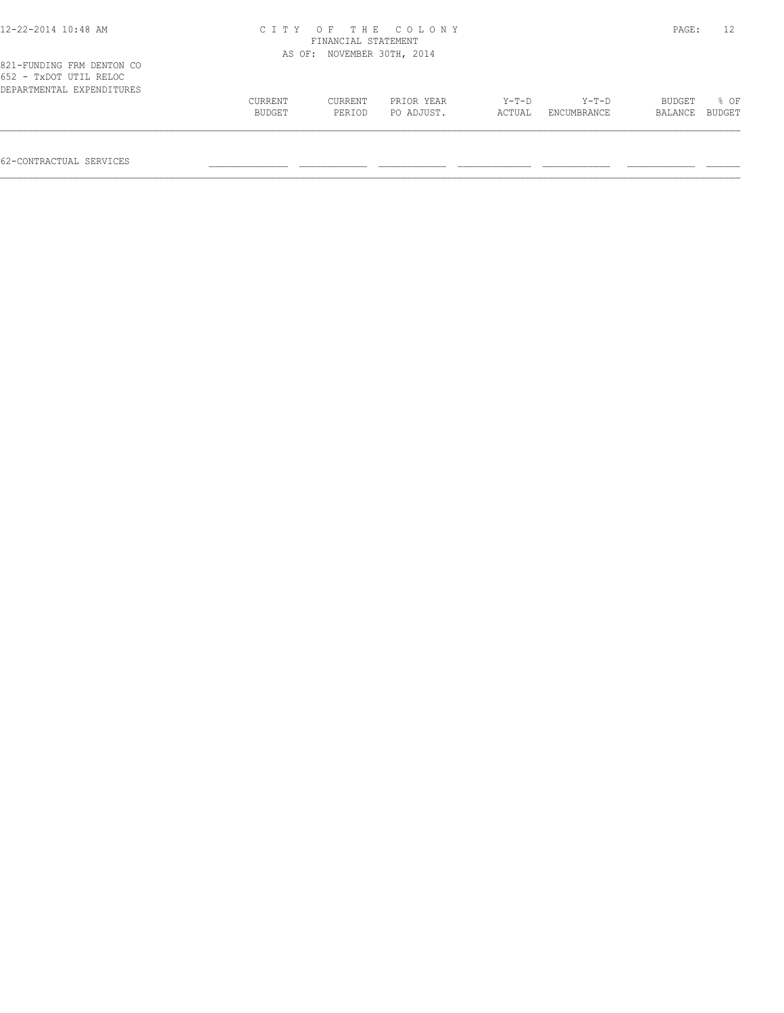| 12-22-2014 10:48 AM                                 |         |                            | CITY OF THE COLONY |        |             | PAGE:   |        |
|-----------------------------------------------------|---------|----------------------------|--------------------|--------|-------------|---------|--------|
|                                                     |         | FINANCIAL STATEMENT        |                    |        |             |         |        |
|                                                     |         | AS OF: NOVEMBER 30TH, 2014 |                    |        |             |         |        |
| 821-FUNDING FRM DENTON CO<br>652 - TxDOT UTIL RELOC |         |                            |                    |        |             |         |        |
| DEPARTMENTAL EXPENDITURES                           |         |                            |                    |        |             |         |        |
|                                                     | CURRENT | CURRENT                    | PRIOR YEAR         | Y-T-D  | Y-T-D       | BUDGET  | 8 OF   |
|                                                     | BUDGET  | PERIOD                     | PO ADJUST.         | ACTUAL | ENCUMBRANCE | BALANCE | BUDGET |

 $\mathcal{L} = \{ \mathcal{L} = \{ \mathcal{L} = \{ \mathcal{L} = \{ \mathcal{L} = \{ \mathcal{L} = \{ \mathcal{L} = \{ \mathcal{L} = \{ \mathcal{L} = \{ \mathcal{L} = \{ \mathcal{L} = \{ \mathcal{L} = \{ \mathcal{L} = \{ \mathcal{L} = \{ \mathcal{L} = \{ \mathcal{L} = \{ \mathcal{L} = \{ \mathcal{L} = \{ \mathcal{L} = \{ \mathcal{L} = \{ \mathcal{L} = \{ \mathcal{L} = \{ \mathcal{L} = \{ \mathcal{L} = \{ \mathcal{$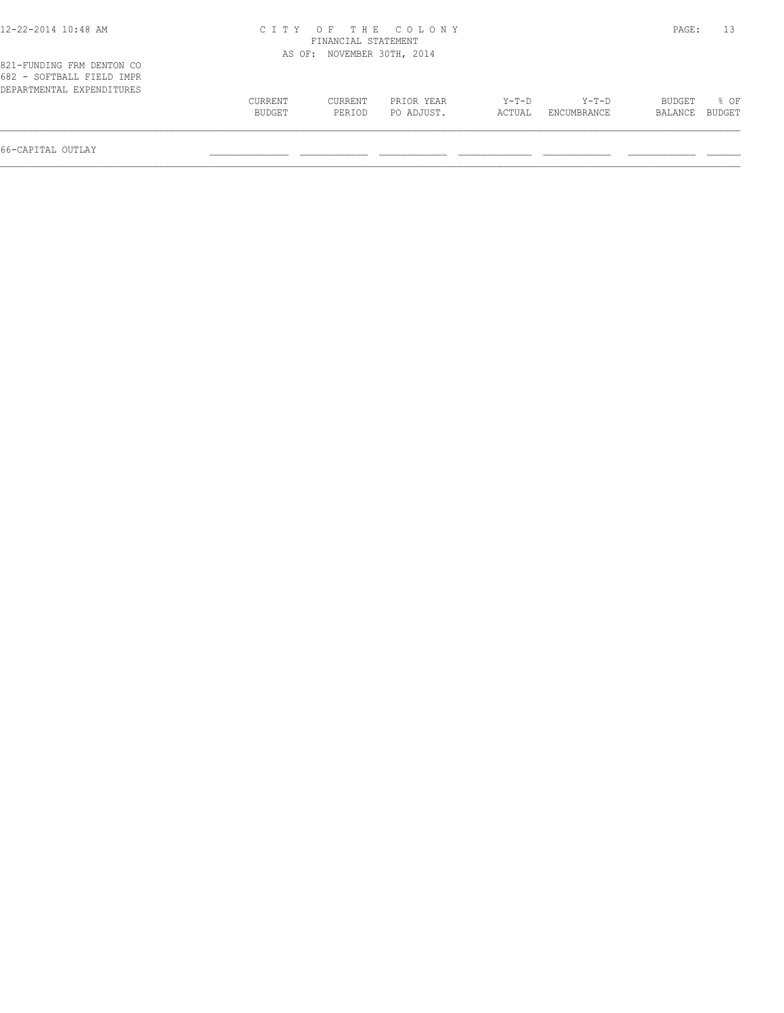# 12-22-2014 10:48 AM C I T Y O F T H E C O L O N Y PAGE: 13 FINANCIAL STATEMENT

|                                                                                     |                   |                   | AS OF: NOVEMBER 30TH, 2014 |                   |                        |                   |                |
|-------------------------------------------------------------------------------------|-------------------|-------------------|----------------------------|-------------------|------------------------|-------------------|----------------|
| 821-FUNDING FRM DENTON CO<br>682 - SOFTBALL FIELD IMPR<br>DEPARTMENTAL EXPENDITURES |                   |                   |                            |                   |                        |                   |                |
|                                                                                     | CURRENT<br>BUDGET | CURRENT<br>PERIOD | PRIOR YEAR<br>PO ADJUST.   | $Y-T-D$<br>ACTUAL | $Y-T-D$<br>ENCUMBRANCE | BUDGET<br>BALANCE | % OF<br>BUDGET |
|                                                                                     |                   |                   |                            |                   |                        |                   |                |

66-CAPITAL OUTLAY \_\_\_\_\_\_\_\_\_\_\_\_\_\_ \_\_\_\_\_\_\_\_\_\_\_\_ \_\_\_\_\_\_\_\_\_\_\_\_ \_\_\_\_\_\_\_\_\_\_\_\_\_ \_\_\_\_\_\_\_\_\_\_\_\_ \_\_\_\_\_\_\_\_\_\_\_\_ \_\_\_\_\_\_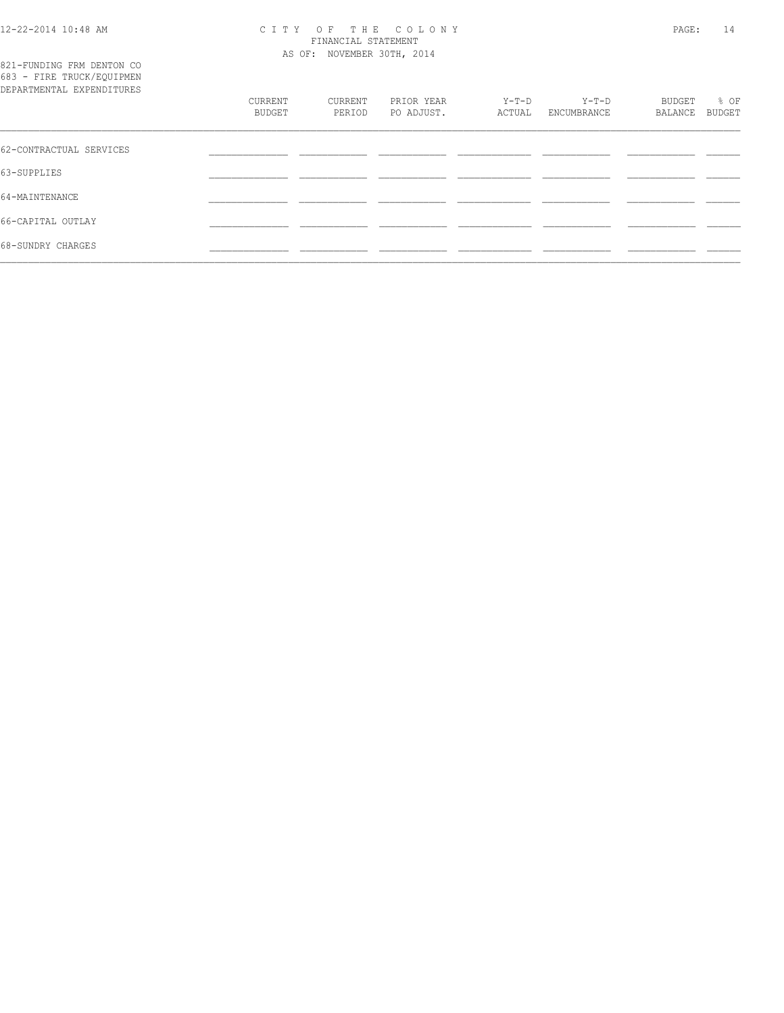821-FUNDING FRM DENTON CO

#### 12-22-2014 10:48 AM C I T Y O F T H E C O L O N Y PAGE: 14 FINANCIAL STATEMENT AS OF: NOVEMBER 30TH, 2014

| 683 - FIRE TRUCK/EQUIPMEN<br>DEPARTMENTAL EXPENDITURES |                   |                   |                          |                   |                        |                   |                |
|--------------------------------------------------------|-------------------|-------------------|--------------------------|-------------------|------------------------|-------------------|----------------|
|                                                        | CURRENT<br>BUDGET | CURRENT<br>PERIOD | PRIOR YEAR<br>PO ADJUST. | $Y-T-D$<br>ACTUAL | $Y-T-D$<br>ENCUMBRANCE | BUDGET<br>BALANCE | % OF<br>BUDGET |
| 62-CONTRACTUAL SERVICES                                |                   |                   |                          |                   |                        |                   |                |
| 63-SUPPLIES                                            |                   |                   |                          |                   |                        |                   |                |
| 64-MAINTENANCE                                         |                   |                   |                          |                   |                        |                   |                |
| 66-CAPITAL OUTLAY                                      |                   |                   |                          |                   |                        |                   |                |
| 68-SUNDRY CHARGES                                      |                   |                   |                          |                   |                        |                   |                |
|                                                        |                   |                   |                          |                   |                        |                   |                |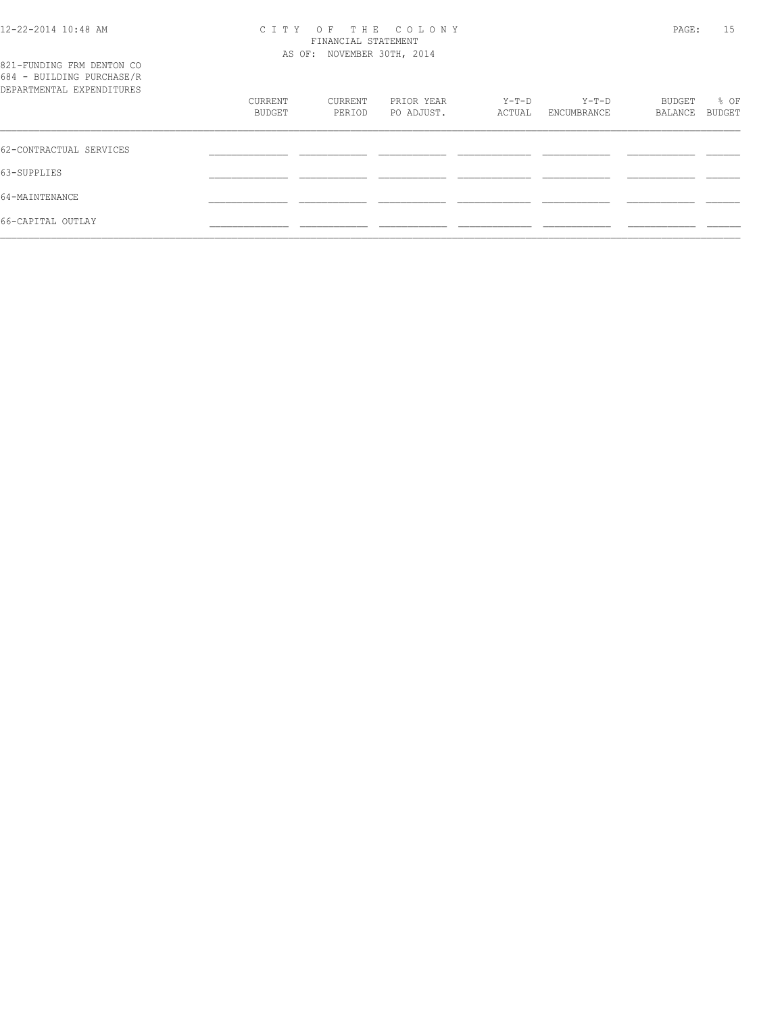#### 12-22-2014 10:48 AM C I T Y O F T H E C O L O N Y PAGE: 15 FINANCIAL STATEMENT AS OF: NOVEMBER 30TH, 2014

| 821-FUNDING FRM DENTON CO<br>684 - BUILDING PURCHASE/R<br>DEPARTMENTAL EXPENDITURES |                   |                   |                          |                 |                        |                   |                |
|-------------------------------------------------------------------------------------|-------------------|-------------------|--------------------------|-----------------|------------------------|-------------------|----------------|
|                                                                                     | CURRENT<br>BUDGET | CURRENT<br>PERIOD | PRIOR YEAR<br>PO ADJUST. | Y-T-D<br>ACTUAL | $Y-T-D$<br>ENCUMBRANCE | BUDGET<br>BALANCE | % OF<br>BUDGET |
| 62-CONTRACTUAL SERVICES                                                             |                   |                   |                          |                 |                        |                   |                |
| 63-SUPPLIES                                                                         |                   |                   |                          |                 |                        |                   |                |
| 64-MAINTENANCE                                                                      |                   |                   |                          |                 |                        |                   |                |
| 66-CAPITAL OUTLAY                                                                   |                   |                   |                          |                 |                        |                   |                |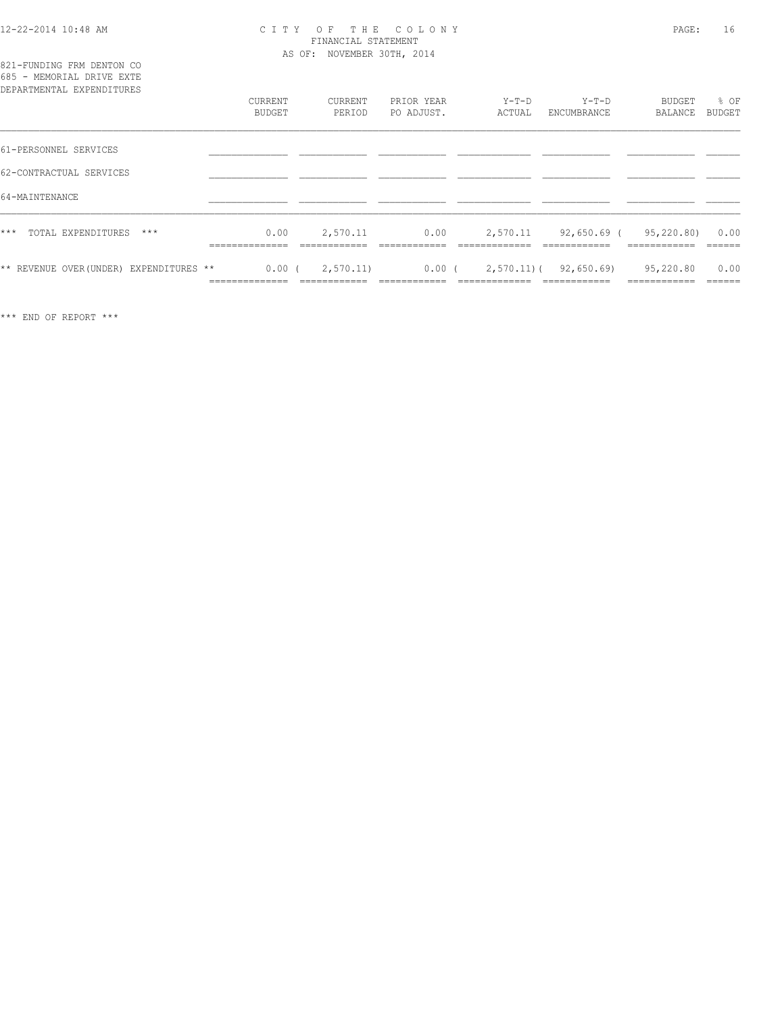### 12-22-2014 10:48 AM C I T Y O F T H E C O L O N Y PAGE: 16 FINANCIAL STATEMENT AS OF: NOVEMBER 30TH, 2014

| 821-FUNDING FRM DENTON CO<br>685 - MEMORIAL DRIVE EXTE<br>DEPARTMENTAL EXPENDITURES | CURRENT       | CURRENT   | PRIOR YEAR | $Y-T-D$  | Y-T-D                  | BUDGET                | % OF   |
|-------------------------------------------------------------------------------------|---------------|-----------|------------|----------|------------------------|-----------------------|--------|
|                                                                                     | <b>BUDGET</b> | PERIOD    | PO ADJUST. | ACTUAL   | ENCUMBRANCE            | BALANCE               | BUDGET |
| 61-PERSONNEL SERVICES                                                               |               |           |            |          |                        |                       |        |
| 62-CONTRACTUAL SERVICES                                                             |               |           |            |          |                        |                       |        |
| 64-MAINTENANCE                                                                      |               |           |            |          |                        |                       |        |
| ***<br>TOTAL EXPENDITURES<br>$***$                                                  | 0.00          | 2,570.11  | 0.00       | 2,570.11 |                        | 92,650.69 (95,220.80) | 0.00   |
| ** REVENUE OVER (UNDER) EXPENDITURES **                                             | $0.00$ (      | 2,570.11) | $0.00$ (   |          | 2,570.11) ( 92,650.69) | 95,220.80             | 0.00   |

\*\*\* END OF REPORT \*\*\*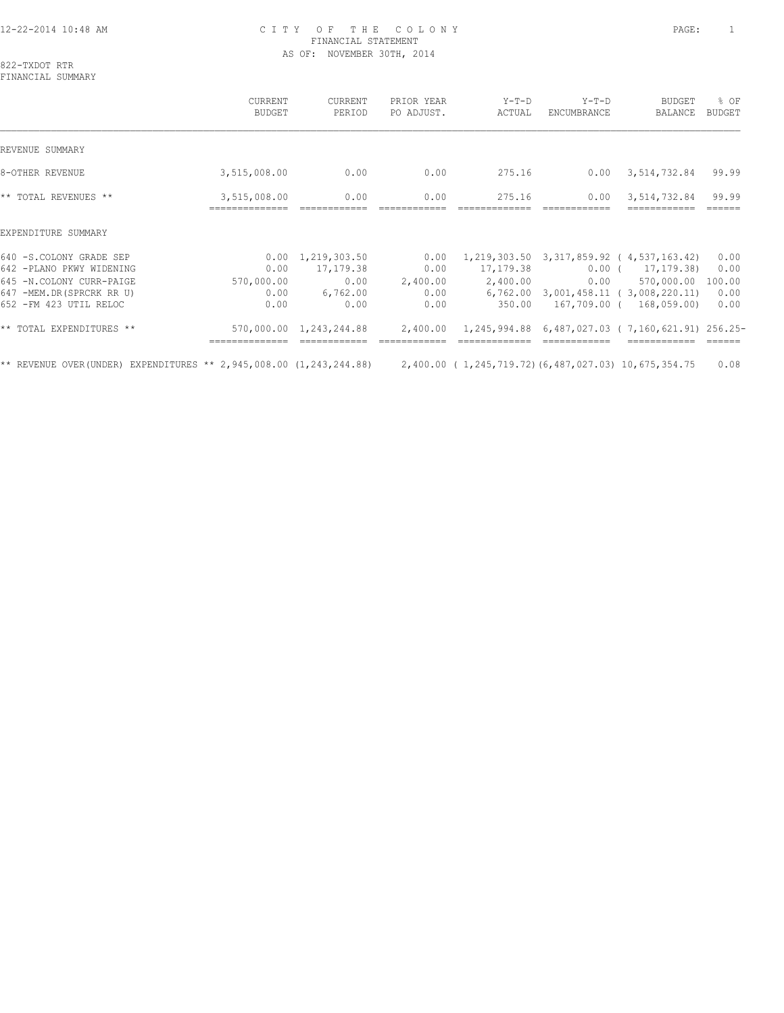# 12-22-2014 10:48 AM C I T Y O F T H E C O L O N Y PAGE: 1 FINANCIAL STATEMENT AS OF: NOVEMBER 30TH, 2014

822-TXDOT RTR FINANCIAL SUMMARY

 CURRENT CURRENT PRIOR YEAR Y-T-D Y-T-D BUDGET % OF BUDGET PERIOD PO ADJUST. ACTUAL ENCUMBRANCE BALANCE BUDGET  $\mathcal{L} = \{ \mathcal{L} = \{ \mathcal{L} = \{ \mathcal{L} = \{ \mathcal{L} = \{ \mathcal{L} = \{ \mathcal{L} = \{ \mathcal{L} = \{ \mathcal{L} = \{ \mathcal{L} = \{ \mathcal{L} = \{ \mathcal{L} = \{ \mathcal{L} = \{ \mathcal{L} = \{ \mathcal{L} = \{ \mathcal{L} = \{ \mathcal{L} = \{ \mathcal{L} = \{ \mathcal{L} = \{ \mathcal{L} = \{ \mathcal{L} = \{ \mathcal{L} = \{ \mathcal{L} = \{ \mathcal{L} = \{ \mathcal{$ REVENUE SUMMARY 8-OTHER REVENUE 6 1 275.16 0.00 3,515,008.00 0.00 0.00 0.00 275.16 0.00 3,514,732.84 99.99 \*\* TOTAL REVENUES \*\* 3,515,008.00 0.00 0.00 275.16 0.00 3,514,732.84 99.99 ============== ============ ============ ============= ============ ============ ====== EXPENDITURE SUMMARY 640 -S.COLONY GRADE SEP 0.00 1,219,303.50 0.00 1,219,303.50 3,317,859.92 ( 4,537,163.42) 0.00 642 -PLANO PKWY WIDENING 0.00 17,179.38 0.00 17,179.38 0.00 ( 17,179.38) 0.00 645 -N.COLONY CURR-PAIGE 570,000.00 0.00 2,400.00 2,400.00 0.00 570,000.00 100.00 647 -MEM.DR(SPRCRK RR U) 0.00 6,762.00 0.00 6,762.00 3,001,458.11 ( 3,008,220.11) 0.00 652 -FM 423 UTIL RELOC 0.00 0.00 0.00 350.00 167,709.00 ( 168,059.00) 0.00 \*\* TOTAL EXPENDITURES \*\* 570,000.00 1,243,244.88 2,400.00 1,245,994.88 6,487,027.03 ( 7,160,621.91) 256.25- ============== ============ ============ ============= ============ ============ ====== \*\* REVENUE OVER(UNDER) EXPENDITURES \*\* 2,945,008.00 (1,243,244.88) 2,400.00 ( 1,245,719.72)(6,487,027.03) 10,675,354.75 0.08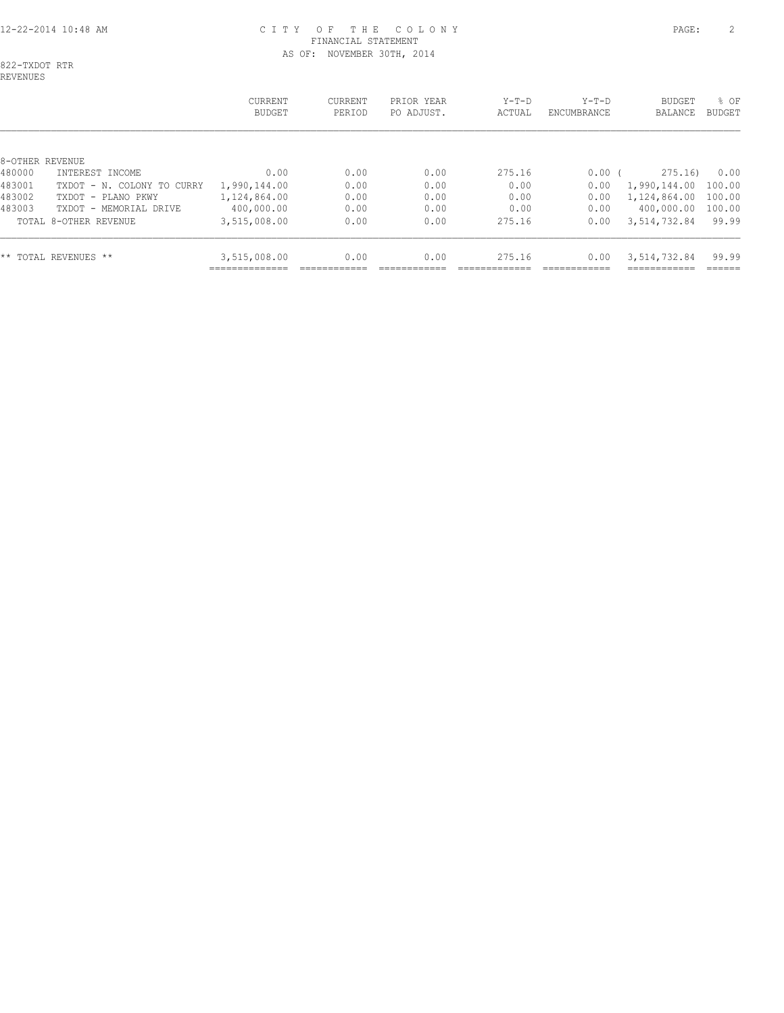# 12-22-2014 10:48 AM C I T Y O F T H E C O L O N Y PAGE: 2 FINANCIAL STATEMENT AS OF: NOVEMBER 30TH, 2014

822-TXDOT RTR

|                 |                            | CURRENT<br><b>BUDGET</b> | CURRENT<br>PERIOD | PRIOR YEAR<br>PO ADJUST. | $Y-T-D$<br>ACTUAL | $Y-T-D$<br>ENCUMBRANCE | <b>BUDGET</b><br>BALANCE | % OF<br>BUDGET |
|-----------------|----------------------------|--------------------------|-------------------|--------------------------|-------------------|------------------------|--------------------------|----------------|
|                 |                            |                          |                   |                          |                   |                        |                          |                |
| 8-OTHER REVENUE |                            |                          |                   |                          |                   |                        |                          |                |
| 480000          | INTEREST INCOME            | 0.00                     | 0.00              | 0.00                     | 275.16            | 0.00(                  | 275.16                   | 0.00           |
| 483001          | TXDOT - N. COLONY TO CURRY | 1,990,144.00             | 0.00              | 0.00                     | 0.00              | 0.00                   | 1,990,144.00             | 100.00         |
| 483002          | TXDOT - PLANO PKWY         | 1,124,864.00             | 0.00              | 0.00                     | 0.00              | 0.00                   | 1,124,864.00             | 100.00         |
| 483003          | TXDOT - MEMORIAL DRIVE     | 400,000.00               | 0.00              | 0.00                     | 0.00              | 0.00                   | 400,000.00               | 100.00         |
|                 | TOTAL 8-OTHER REVENUE      | 3,515,008.00             | 0.00              | 0.00                     | 275.16            | 0.00                   | 3,514,732.84             | 99.99          |
|                 | ** TOTAL REVENUES **       | 3,515,008.00             | 0.00              | 0.00                     | 275.16            | 0.00                   | 3,514,732.84             | 99.99          |
|                 |                            |                          |                   |                          |                   |                        |                          |                |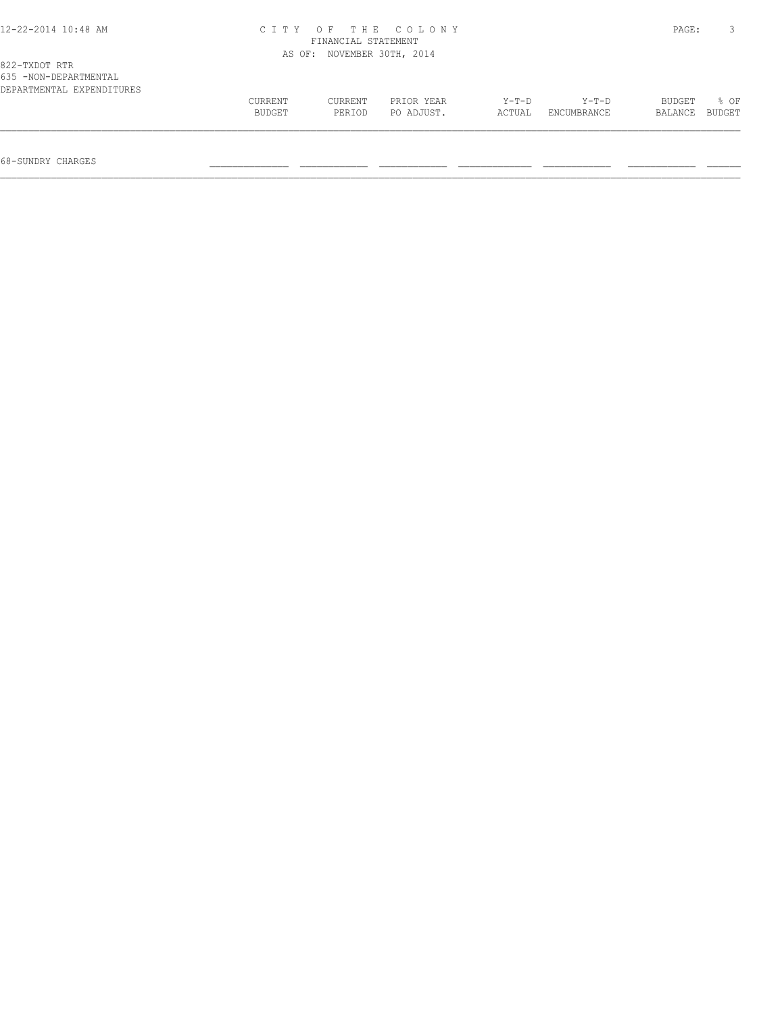| 12-22-2014 10:48 AM |  |  |
|---------------------|--|--|
|---------------------|--|--|

# 12-22-2014 10:48 AM C I T Y O F T H E C O L O N Y PAGE: 3 FINANCIAL STATEMENT AS OF: NOVEMBER 30TH, 2014

| 635 -NON-DEPARTMENTAL     |         |         |            |        |             |                |             |
|---------------------------|---------|---------|------------|--------|-------------|----------------|-------------|
| DEPARTMENTAL EXPENDITURES |         |         |            |        |             |                |             |
|                           | CURRENT | CURRENT | PRIOR YEAR | Y-T-D  | Y-T-D       |                | BUDGET % OF |
|                           | BUDGET  | PERIOD  | PO ADJUST. | ACTUAL | ENCUMBRANCE | BALANCE BUDGET |             |
|                           |         |         |            |        |             |                |             |
|                           |         |         |            |        |             |                |             |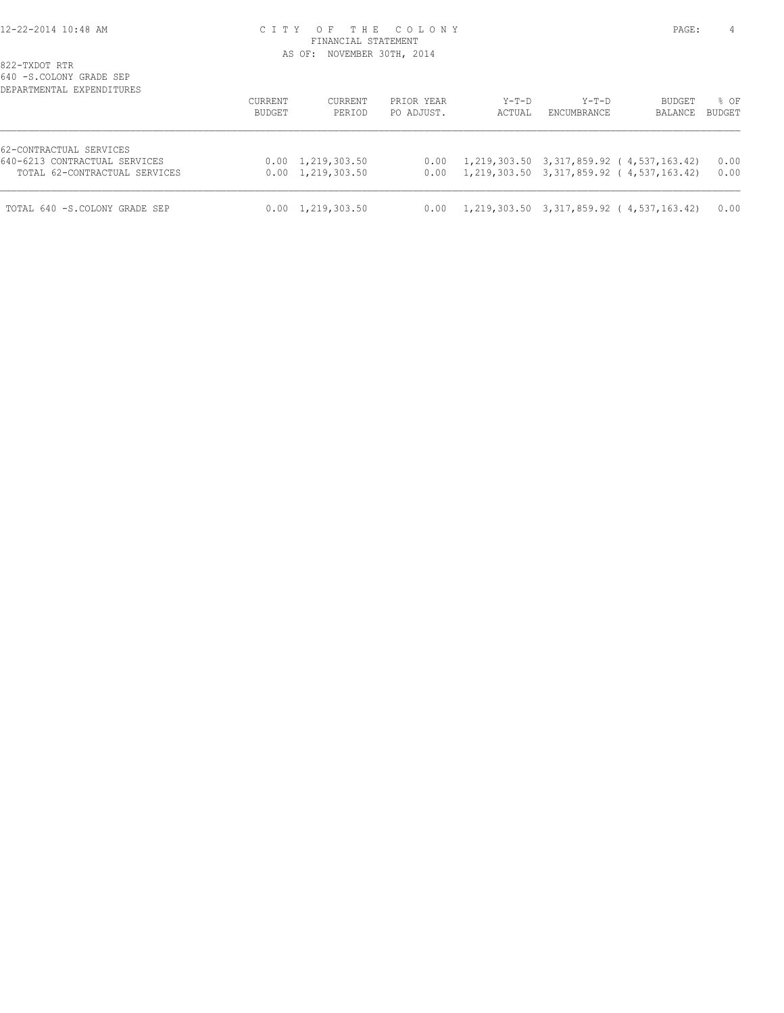# 12-22-2014 10:48 AM C I T Y O F T H E C O L O N Y PAGE: 4 FINANCIAL STATEMENT AS OF: NOVEMBER 30TH, 2014

| DEPARTMENTAL EXPENDITURES                                | <b>CURRENT</b><br><b>BUDGET</b> | CURRENT<br>PERIOD         | PRIOR YEAR<br>PO ADJUST. | $Y-T-D$<br>ACTUAL | $Y-T-D$<br>ENCUMBRANCE | <b>BUDGET</b><br>BALANCE                                          | % OF<br><b>BUDGET</b> |
|----------------------------------------------------------|---------------------------------|---------------------------|--------------------------|-------------------|------------------------|-------------------------------------------------------------------|-----------------------|
| 62-CONTRACTUAL SERVICES<br>640-6213 CONTRACTUAL SERVICES |                                 | $0.00 \quad 1,219,303.50$ |                          |                   |                        | $0.00 \quad 1,219,303.50 \quad 3,317,859.92 \quad (4,537,163.42)$ | 0.00                  |
| TOTAL 62-CONTRACTUAL SERVICES                            |                                 | $0.00 \quad 1,219,303.50$ |                          |                   |                        | $0.00 \quad 1,219,303.50 \quad 3,317,859.92 \quad (4,537,163.42)$ | 0.00                  |
| TOTAL 640 -S.COLONY GRADE SEP                            |                                 | $0.00 \quad 1,219,303.50$ |                          |                   |                        | $0.00 \quad 1,219,303.50 \quad 3,317,859.92 \quad (4,537,163.42)$ | 0.00                  |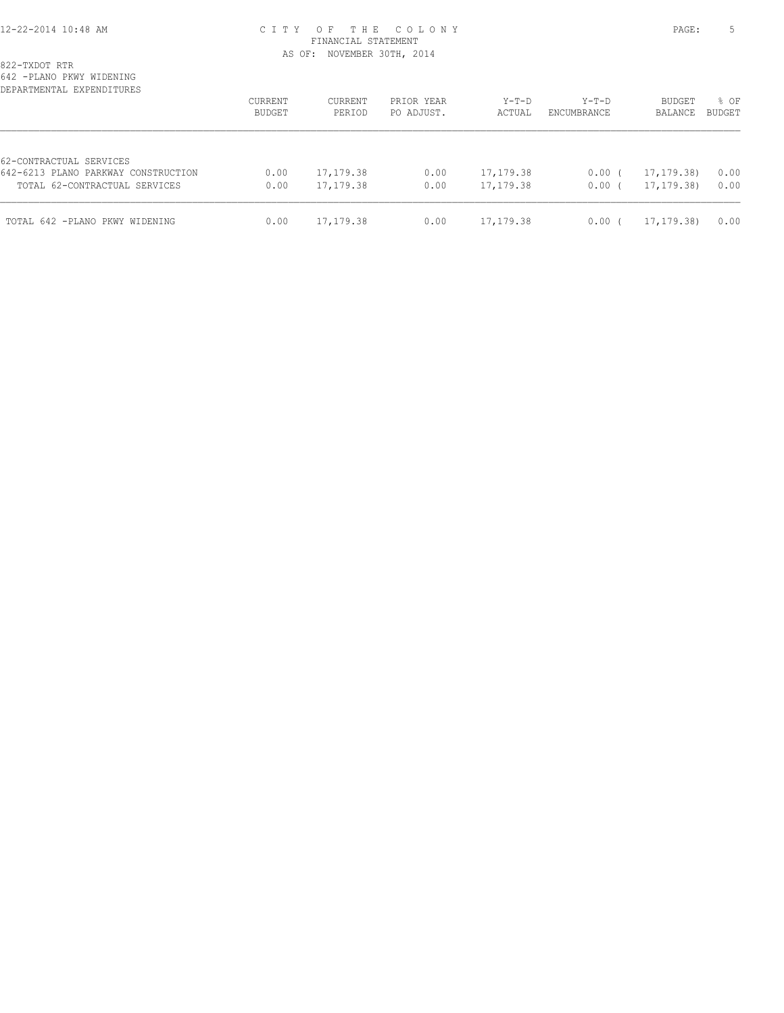# 12-22-2014 10:48 AM C I T Y O F T H E C O L O N Y PAGE: 5 FINANCIAL STATEMENT AS OF: NOVEMBER 30TH, 2014

| 822-TXDOT RTR |  |
|---------------|--|
|---------------|--|

642 -PLANO PKWY WIDENING

| DEPARTMENTAL EXPENDITURES                                      | CURRENT<br>BUDGET | CURRENT<br>PERIOD | PRIOR YEAR<br>PO ADJUST. | $Y-T-D$<br>ACTUAL | Y-T-D<br>ENCUMBRANCE | BUDGET<br>BALANCE | % OF<br><b>BUDGET</b> |
|----------------------------------------------------------------|-------------------|-------------------|--------------------------|-------------------|----------------------|-------------------|-----------------------|
| 62-CONTRACTUAL SERVICES<br>642-6213 PLANO PARKWAY CONSTRUCTION | 0.00              | 17,179.38         | 0.00                     | 17, 179.38        | $0.00$ (             | 17, 179. 38)      | 0.00                  |
| TOTAL 62-CONTRACTUAL SERVICES                                  | 0.00              | 17,179.38         | 0.00                     | 17,179.38         | 0.00(                | 17, 179. 38)      | 0.00                  |
| TOTAL 642 -PLANO PKWY WIDENING                                 | 0.00              | 17,179.38         | 0.00                     | 17,179.38         | $0.00$ (             | 17, 179. 38)      | 0.00                  |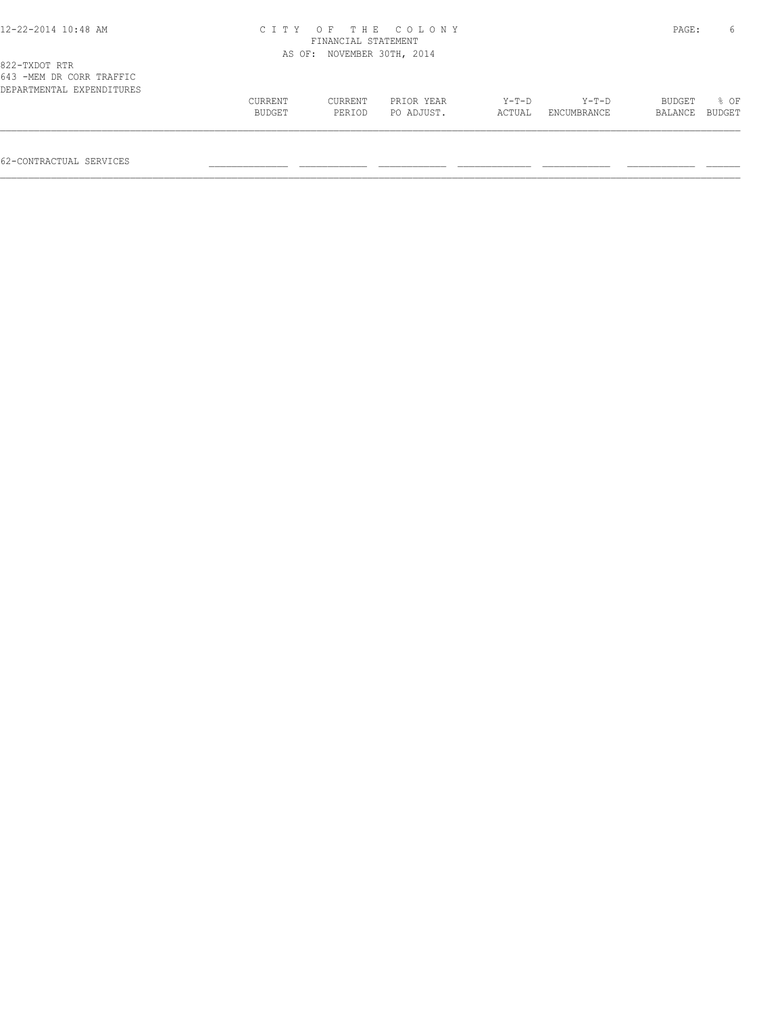## 12-22-2014 10:48 AM C I T Y O F T H E C O L O N Y PAGE: 6 FINANCIAL STATEMENT AS OF: NOVEMBER 30TH, 2014

| 643 -MEM DR CORR TRAFFIC  |         |         |            |         |             |                |        |
|---------------------------|---------|---------|------------|---------|-------------|----------------|--------|
| DEPARTMENTAL EXPENDITURES |         |         |            |         |             |                |        |
|                           | CURRENT | CURRENT | PRIOR YEAR | $Y-T-D$ | $Y-T-D$     | <b>BUDGET</b>  | $8$ OF |
|                           | BUDGET  | PERIOD  | PO ADJUST. | ACTUAL  | ENCUMBRANCE | BALANCE BUDGET |        |
|                           |         |         |            |         |             |                |        |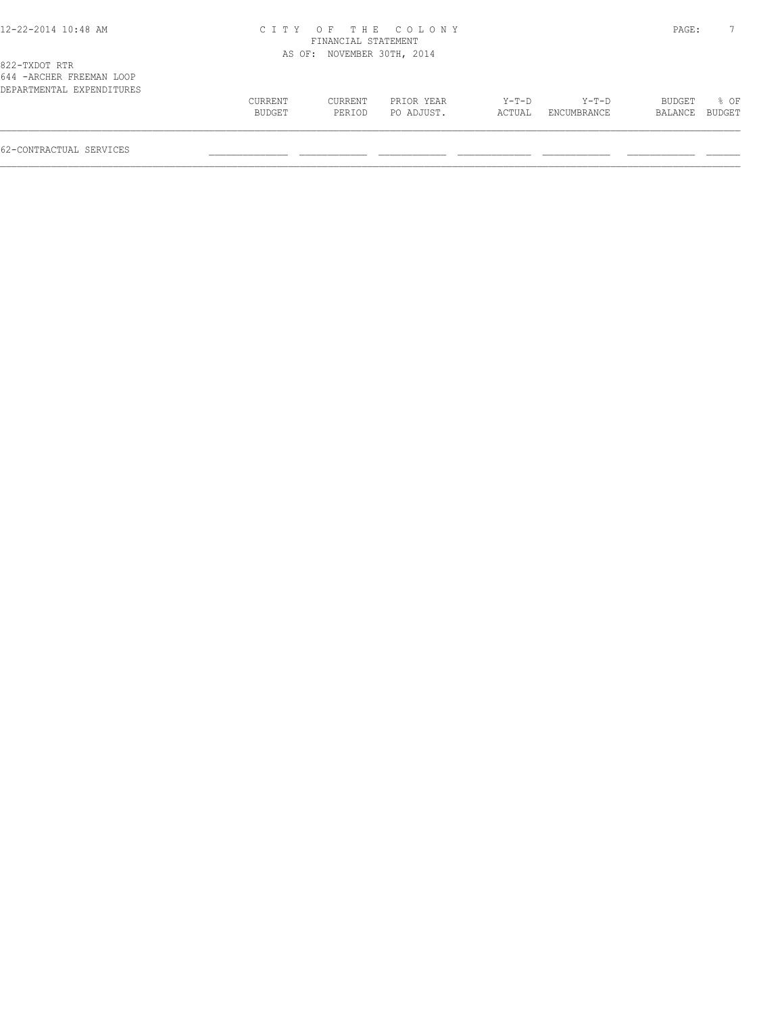### 12-22-2014 10:48 AM C I T Y O F T H E C O L O N Y PAGE: 7 FINANCIAL STATEMENT AS OF: NOVEMBER 30TH, 2014

| 044 -AKUMEK PKEEMAN LUUF  |         |         |            |         |             |                |      |
|---------------------------|---------|---------|------------|---------|-------------|----------------|------|
| DEPARTMENTAL EXPENDITURES |         |         |            |         |             |                |      |
|                           | CURRENT | CURRENT | PRIOR YEAR | $Y-T-D$ | $Y-T-D$     | BUDGET         | % OF |
|                           | BUDGET  | PERTOD  | PO ADJUST. | ACTUAL  | ENCUMBRANCE | BALANCE BUDGET |      |
|                           |         |         |            |         |             |                |      |
|                           |         |         |            |         |             |                |      |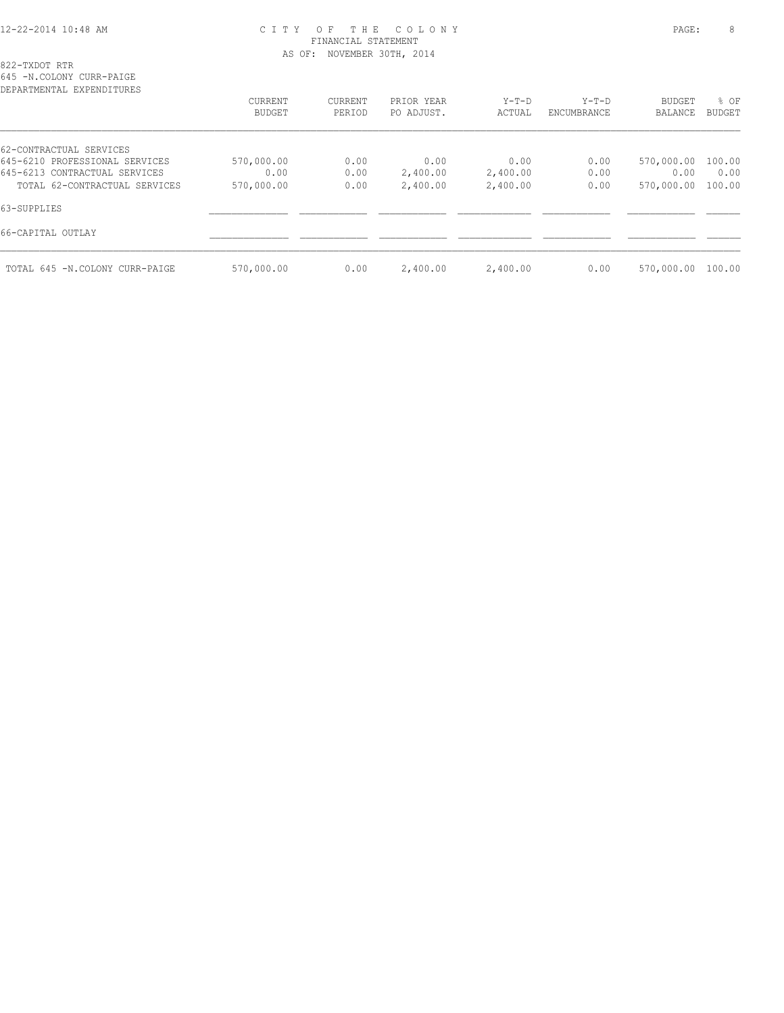# 12-22-2014 10:48 AM C I T Y O F T H E C O L O N Y PAGE: 8 FINANCIAL STATEMENT AS OF: NOVEMBER 30TH, 2014

822-TXDOT RTR 645 -N.COLONY CURR-PAIGE

| DEPARTMENTAL EXPENDITURES      |            |         |            |          |             |               |               |
|--------------------------------|------------|---------|------------|----------|-------------|---------------|---------------|
|                                | CURRENT    | CURRENT | PRIOR YEAR | $Y-T-D$  | $Y-T-D$     | <b>BUDGET</b> | % OF          |
|                                | BUDGET     | PERIOD  | PO ADJUST. | ACTUAL   | ENCUMBRANCE | BALANCE       | <b>BUDGET</b> |
| 62-CONTRACTUAL SERVICES        |            |         |            |          |             |               |               |
| 645-6210 PROFESSIONAL SERVICES | 570,000.00 | 0.00    | 0.00       | 0.00     | 0.00        | 570,000.00    | 100.00        |
| 645-6213 CONTRACTUAL SERVICES  | 0.00       | 0.00    | 2,400.00   | 2,400.00 | 0.00        | 0.00          | 0.00          |
| TOTAL 62-CONTRACTUAL SERVICES  | 570,000.00 | 0.00    | 2,400.00   | 2,400.00 | 0.00        | 570,000.00    | 100.00        |
| 63-SUPPLIES                    |            |         |            |          |             |               |               |
| 66-CAPITAL OUTLAY              |            |         |            |          |             |               |               |
| TOTAL 645 -N.COLONY CURR-PAIGE | 570,000.00 | 0.00    | 2,400.00   | 2,400.00 | 0.00        | 570,000.00    | 100.00        |
|                                |            |         |            |          |             |               |               |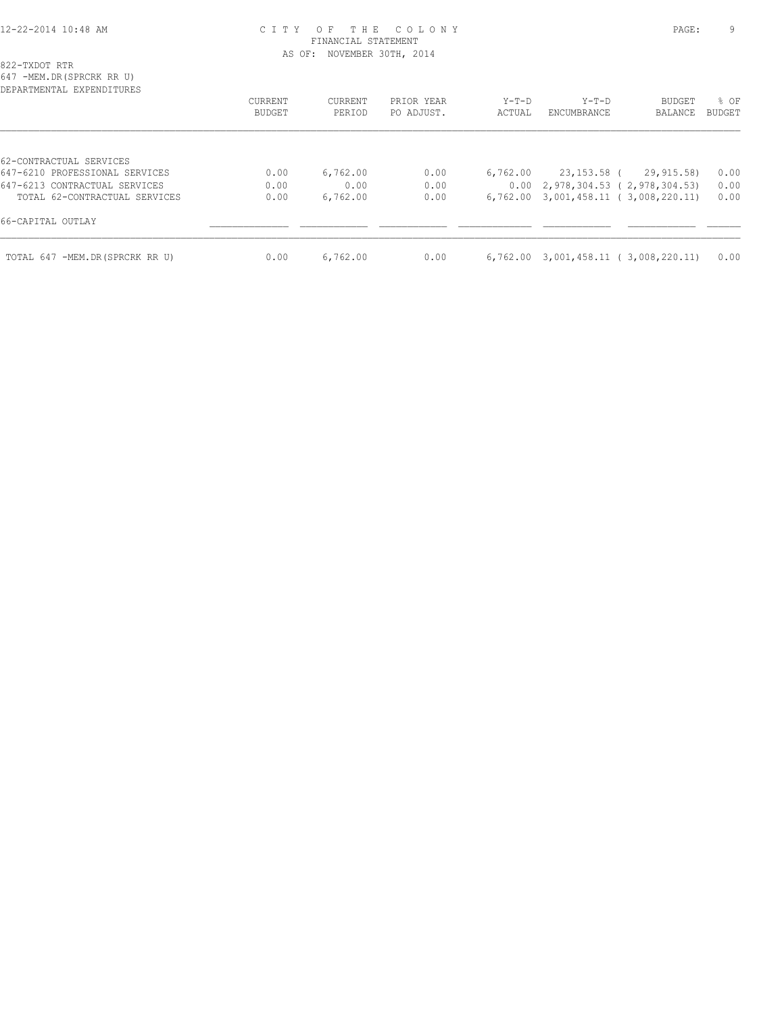## 12-22-2014 10:48 AM C I T Y O F T H E C O L O N Y PAGE: 9 FINANCIAL STATEMENT AS OF: NOVEMBER 30TH, 2014

822-TXDOT RTR

647 -MEM.DR(SPRCRK RR U)

| CURRENT<br>BUDGET | CURRENT<br>PERIOD | PRIOR YEAR<br>PO ADJUST. | $Y-T-D$<br>ACTUAL | $Y-T-D$<br>ENCUMBRANCE | <b>BUDGET</b><br>BALANCE | % OF<br><b>BUDGET</b>                                                                                                                  |
|-------------------|-------------------|--------------------------|-------------------|------------------------|--------------------------|----------------------------------------------------------------------------------------------------------------------------------------|
|                   |                   |                          |                   |                        |                          |                                                                                                                                        |
|                   |                   |                          |                   |                        |                          |                                                                                                                                        |
| 0.00              | 6,762.00          | 0.00                     | 6,762,00          |                        | 29,915.58)               | 0.00                                                                                                                                   |
| 0.00              | 0.00              | 0.00                     |                   |                        |                          | 0.00                                                                                                                                   |
| 0.00              | 6,762.00          | 0.00                     | 6,762.00          |                        |                          | 0.00                                                                                                                                   |
|                   |                   |                          |                   |                        |                          |                                                                                                                                        |
| 0.00              | 6,762.00          | 0.00                     |                   |                        |                          | 0.00                                                                                                                                   |
|                   |                   |                          |                   |                        |                          | 23,153.58 (<br>$0.00 \quad 2,978,304.53 \quad (2,978,304.53)$<br>3,001,458.11 (3,008,220.11)<br>$6,762.00$ 3,001,458.11 (3,008,220.11) |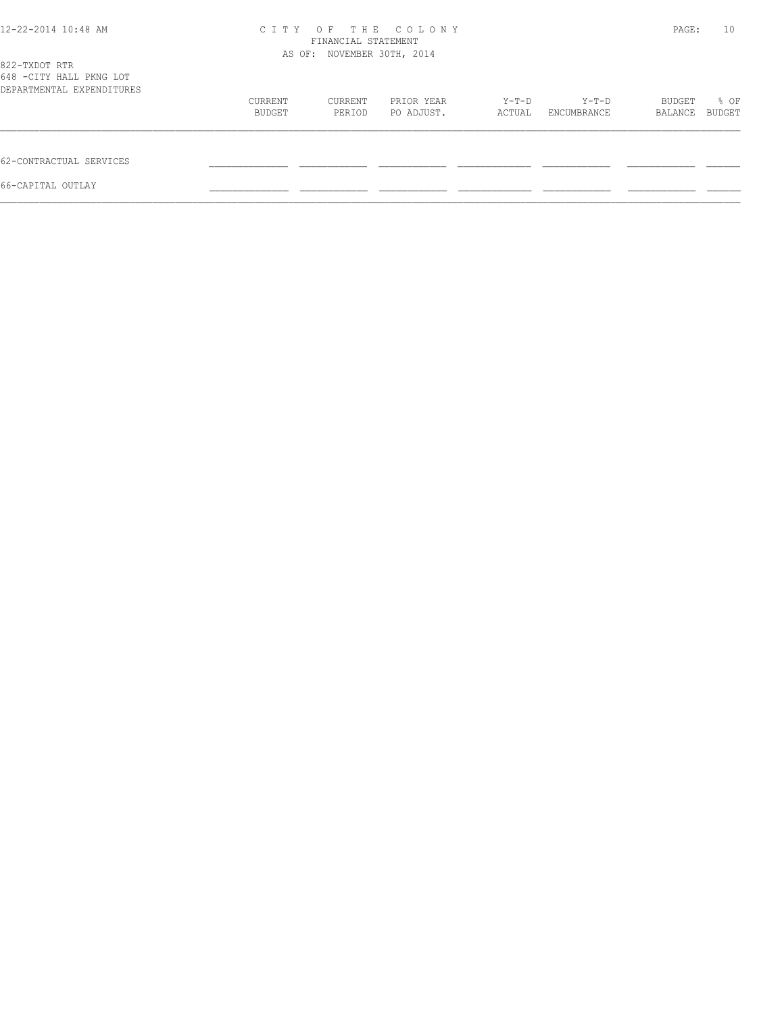| 12-22-2014 10:48 AM                                  | C T T Y                    | PAGE:   | 10         |        |             |         |        |
|------------------------------------------------------|----------------------------|---------|------------|--------|-------------|---------|--------|
| 822-TXDOT RTR                                        | AS OF: NOVEMBER 30TH, 2014 |         |            |        |             |         |        |
| 648 -CITY HALL PKNG LOT<br>DEPARTMENTAL EXPENDITURES |                            |         |            |        |             |         |        |
|                                                      | CURRENT                    | CURRENT | PRIOR YEAR | Y-T-D  | Y-T-D       | BUDGET  | % OF   |
|                                                      | BUDGET                     | PERIOD  | PO ADJUST. | ACTUAL | ENCUMBRANCE | BALANCE | BUDGET |
| 62-CONTRACTUAL SERVICES                              |                            |         |            |        |             |         |        |
| 66-CAPITAL OUTLAY                                    |                            |         |            |        |             |         |        |
|                                                      |                            |         |            |        |             |         |        |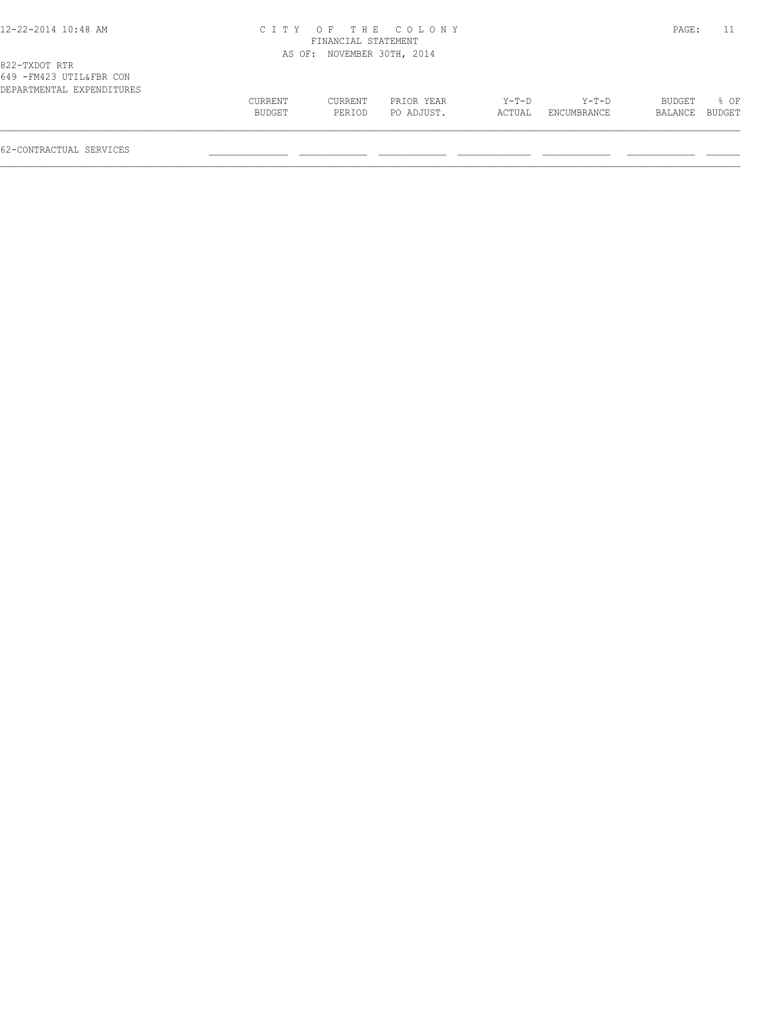#### 12-22-2014 10:48 AM C I T Y O F T H E C O L O N Y PAGE: 11 FINANCIAL STATEMENT AS OF: NOVEMBER 30TH, 2014

| DEPARTMENTAL EXPENDITURES | CURRENT       | CURRENT | PRIOR YEAR | $Y-T-D$ | $Y-T-D$     | <b>BUDGET</b>  | $8$ OF |
|---------------------------|---------------|---------|------------|---------|-------------|----------------|--------|
|                           | <b>BUDGET</b> | PERIOD  | PO ADJUST. | ACTUAL  | ENCUMBRANCE | BALANCE BUDGET |        |
|                           |               |         |            |         |             |                |        |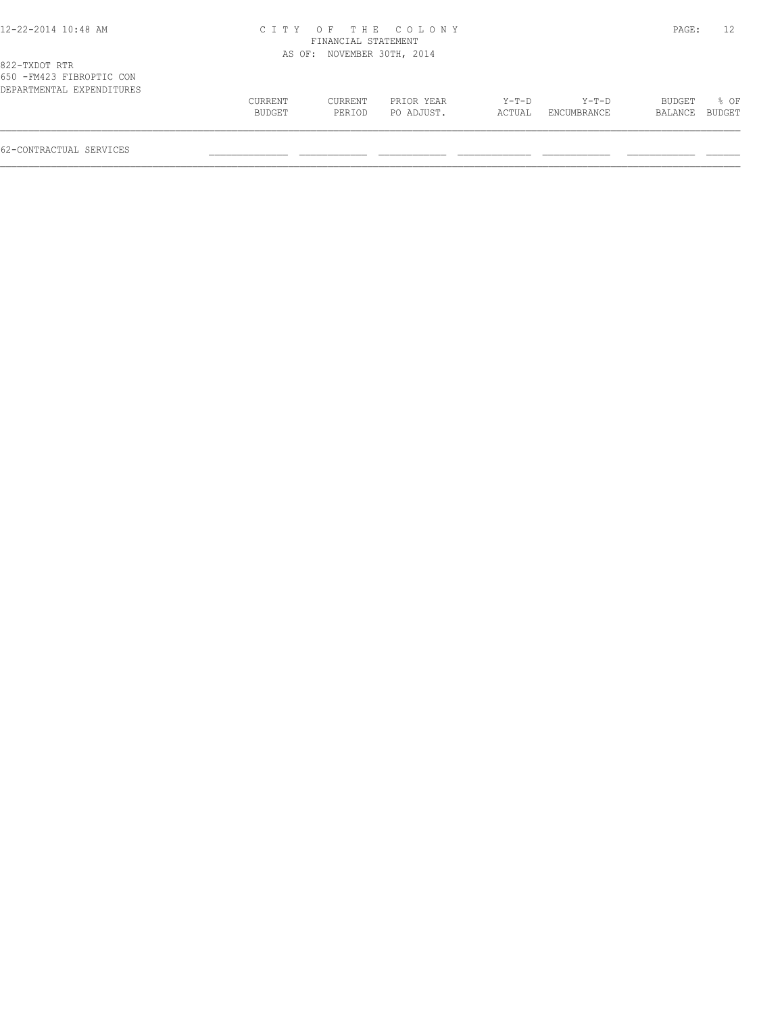#### 12-22-2014 10:48 AM C I T Y O F T H E C O L O N Y PAGE: 12 FINANCIAL STATEMENT AS OF: NOVEMBER 30TH, 2014

| 822-TXDOT KTR             |         |         |            |        |             |                |             |  |
|---------------------------|---------|---------|------------|--------|-------------|----------------|-------------|--|
| 650 -FM423 FIBROPTIC CON  |         |         |            |        |             |                |             |  |
| DEPARTMENTAL EXPENDITURES |         |         |            |        |             |                |             |  |
|                           | CURRENT | CURRENT | PRIOR YEAR | Y-T-D  | Y-T-D       |                | BUDGET % OF |  |
|                           | BUDGET  | PERIOD  | PO ADJUST. | ACTUAL | ENCUMBRANCE | BALANCE BUDGET |             |  |
|                           |         |         |            |        |             |                |             |  |
|                           |         |         |            |        |             |                |             |  |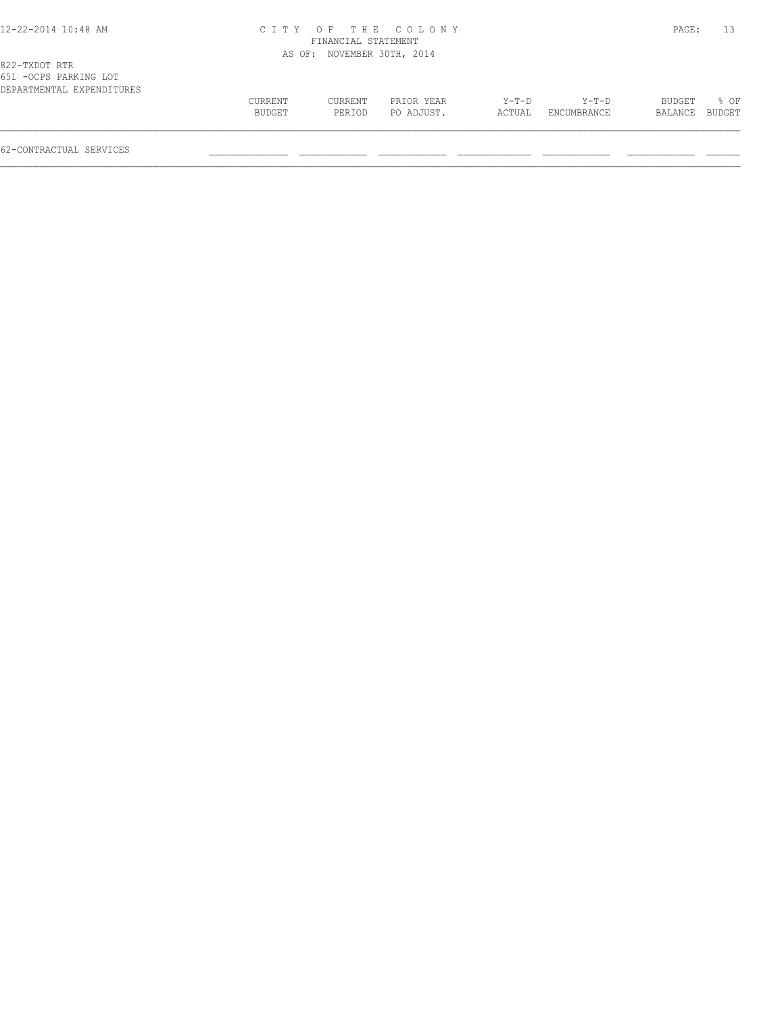#### 12-22-2014 10:48 AM C I T Y O F T H E C O L O N Y PAGE: 13 FINANCIAL STATEMENT AS OF: NOVEMBER 30TH, 2014

| DEPARTMENTAL EXPENDITURES |         |         |            |        |                    |                |        |
|---------------------------|---------|---------|------------|--------|--------------------|----------------|--------|
|                           | CURRENT | CURRENT | PRIOR YEAR | Y-T-D  | Y-T-D              | BUDGET         | $8$ OF |
|                           | BUDGET  | PERTOD  | PO ADJUST. | ACTUAL | <b>FNCUMBRANCE</b> | BALANCE BUDGET |        |
|                           |         |         |            |        |                    |                |        |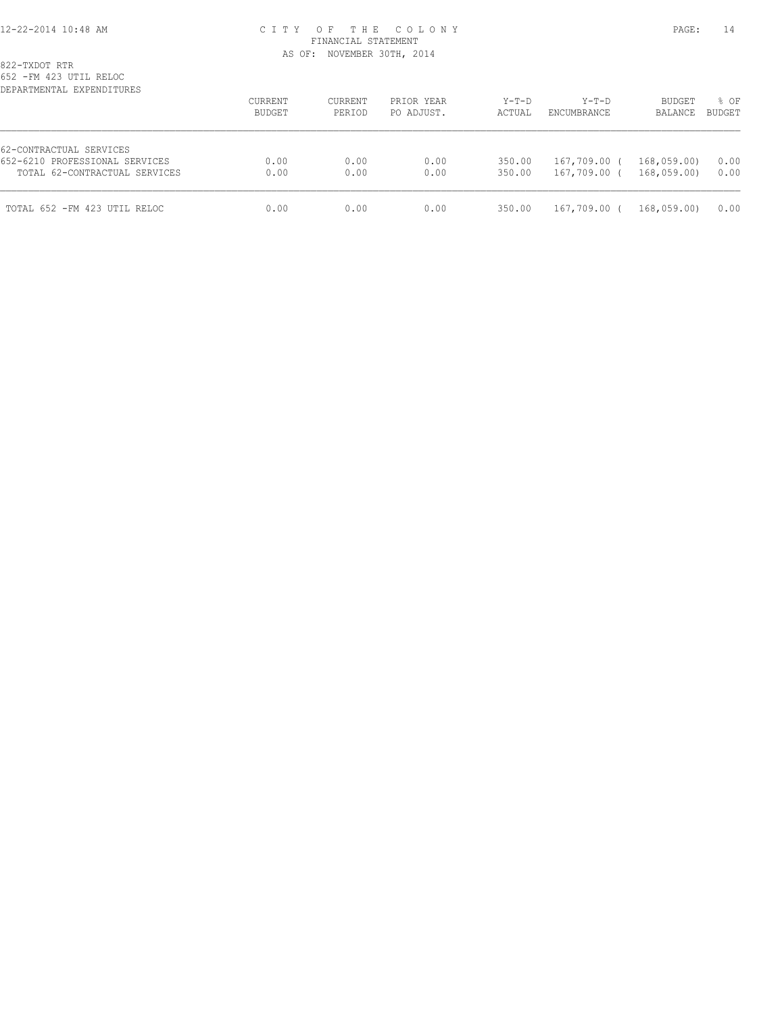## 12-22-2014 10:48 AM C I T Y O F T H E C O L O N Y PAGE: 14 FINANCIAL STATEMENT AS OF: NOVEMBER 30TH, 2014

822-TXDOT RTR

652 -FM 423 UTIL RELOC

| DEPARTMENTAL EXPENDITURES      | CURRENT<br>BUDGET | CURRENT<br>PERIOD | PRIOR YEAR<br>PO ADJUST. | $Y-T-D$<br>ACTUAL | $Y-T-D$<br>ENCUMBRANCE | <b>BUDGET</b><br>BALANCE | % OF<br>BUDGET |
|--------------------------------|-------------------|-------------------|--------------------------|-------------------|------------------------|--------------------------|----------------|
| 62-CONTRACTUAL SERVICES        |                   |                   |                          |                   |                        |                          |                |
| 652-6210 PROFESSIONAL SERVICES | 0.00              | 0.00              | 0.00                     | 350.00            | 167,709.00 (           | 168,059.00)              | 0.00           |
| TOTAL 62-CONTRACTUAL SERVICES  | 0.00              | 0.00              | 0.00                     | 350.00            | 167,709.00 (           | 168,059.00               | 0.00           |
| TOTAL 652 - FM 423 UTIL RELOC  | 0.00              | 0.00              | 0.00                     | 350.00            | 167,709.00 (           | 168,059.00)              | 0.00           |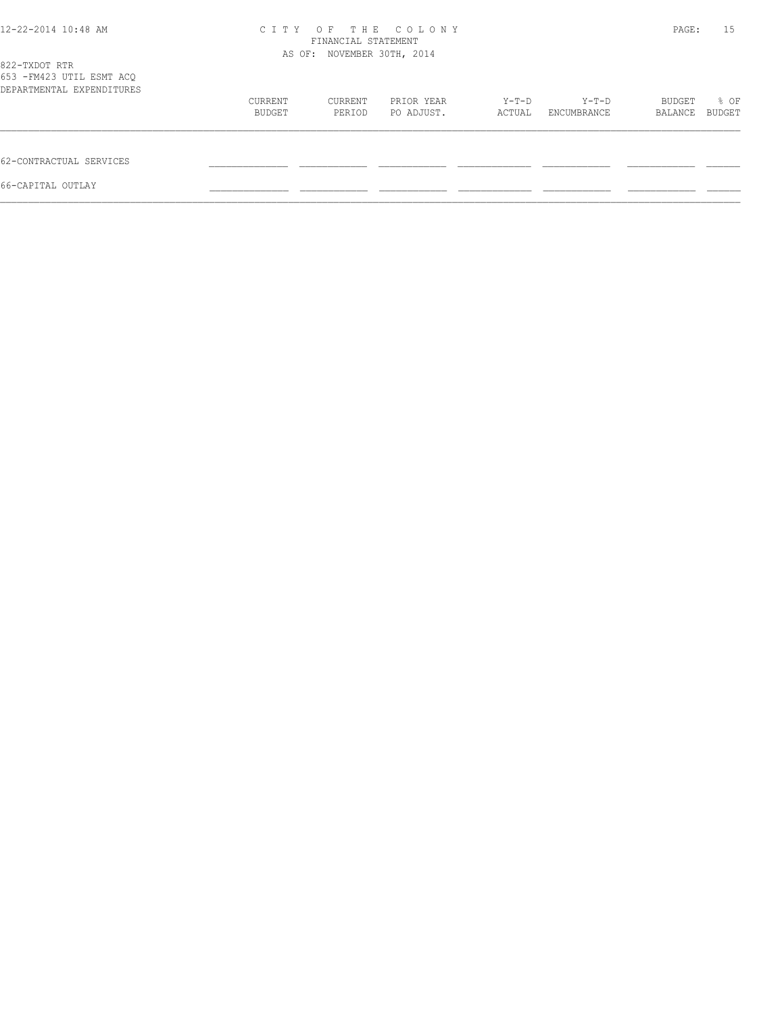| 12-22-2014 10:48 AM                                                     | C T T Y                    | PAGE:             | 15                       |                 |                      |                   |                |
|-------------------------------------------------------------------------|----------------------------|-------------------|--------------------------|-----------------|----------------------|-------------------|----------------|
| 822-TXDOT RTR<br>653 - FM423 UTIL ESMT ACO<br>DEPARTMENTAL EXPENDITURES | AS OF: NOVEMBER 30TH, 2014 |                   |                          |                 |                      |                   |                |
|                                                                         | CURRENT<br>BUDGET          | CURRENT<br>PERIOD | PRIOR YEAR<br>PO ADJUST. | Y-T-D<br>ACTUAL | Y-T-D<br>ENCUMBRANCE | BUDGET<br>BALANCE | % OF<br>BUDGET |
| 62-CONTRACTUAL SERVICES                                                 |                            |                   |                          |                 |                      |                   |                |
| 66-CAPITAL OUTLAY                                                       |                            |                   |                          |                 |                      |                   |                |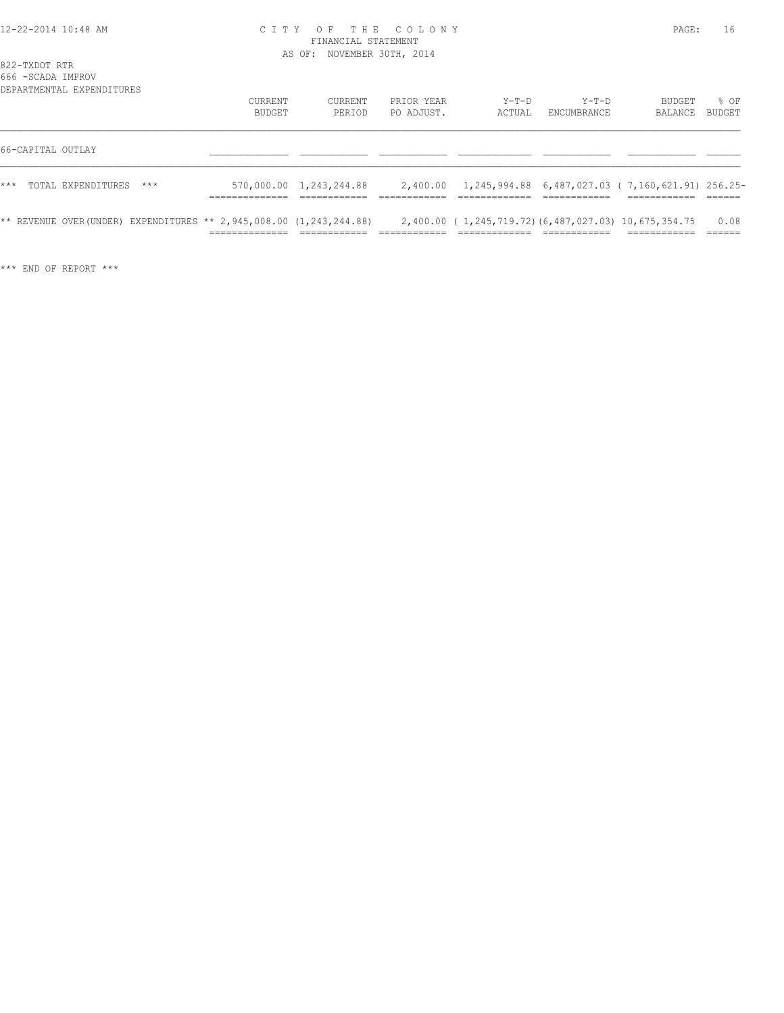### 12-22-2014 10:48 AM C I T Y O F T H E C O L O N Y PAGE: 16 FINANCIAL STATEMENT AS OF: NOVEMBER 30TH, 2014

822-TXDOT RTR

| 666 -SCADA IMPROV | DEPARTMENTAL EXPENDITURES                                              |                   |                         |                          |                                                           |                        |                          |                |
|-------------------|------------------------------------------------------------------------|-------------------|-------------------------|--------------------------|-----------------------------------------------------------|------------------------|--------------------------|----------------|
|                   |                                                                        | CURRENT<br>BUDGET | CURRENT<br>PERIOD       | PRIOR YEAR<br>PO ADJUST. | $Y-T-D$<br>ACTUAL                                         | $Y-T-D$<br>ENCUMBRANCE | <b>BUDGET</b><br>BALANCE | % OF<br>BUDGET |
| 66-CAPITAL OUTLAY |                                                                        |                   |                         |                          |                                                           |                        |                          |                |
| $***$             | TOTAL EXPENDITURES<br>$***$                                            |                   | 570,000.00 1,243,244.88 |                          | 2,400.00 1,245,994.88 6,487,027.03 (7,160,621.91) 256.25- |                        |                          |                |
|                   | ** REVENUE OVER(UNDER) EXPENDITURES ** 2,945,008.00 $(1, 243, 244.88)$ |                   |                         |                          | 2,400.00 (1,245,719.72)(6,487,027.03) 10,675,354.75       |                        |                          | 0.08           |

\*\*\* END OF REPORT \*\*\*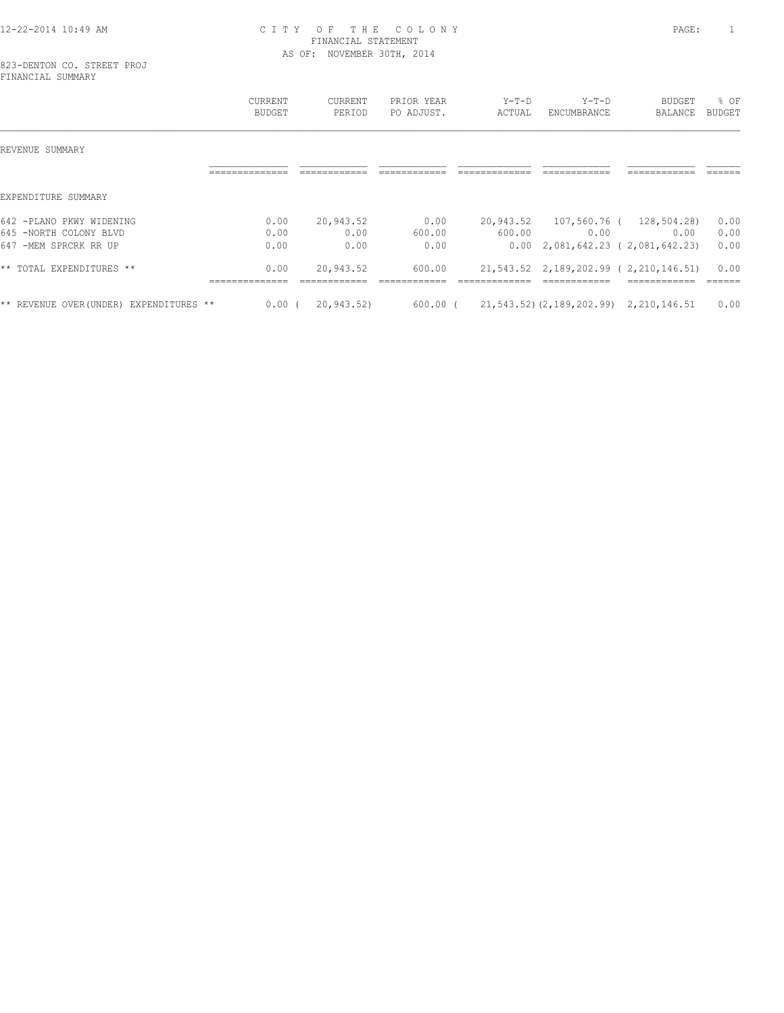# 12-22-2014 10:49 AM C I T Y O F T H E C O L O N Y PAGE: 1 FINANCIAL STATEMENT AS OF: NOVEMBER 30TH, 2014

823-DENTON CO. STREET PROJ FINANCIAL SUMMARY

|                                            | <b>CURRENT</b><br><b>BUDGET</b> | CURRENT<br>PERIOD | PRIOR YEAR<br>PO ADJUST. | $Y-T-D$<br>ACTUAL | $Y-T-D$<br>ENCUMBRANCE                      | BUDGET<br>BALANCE                     | % OF<br><b>BUDGET</b> |
|--------------------------------------------|---------------------------------|-------------------|--------------------------|-------------------|---------------------------------------------|---------------------------------------|-----------------------|
| REVENUE SUMMARY                            |                                 |                   |                          |                   |                                             |                                       |                       |
|                                            |                                 |                   |                          |                   |                                             |                                       |                       |
| EXPENDITURE SUMMARY                        |                                 |                   |                          |                   |                                             |                                       |                       |
| 642 -PLANO PKWY WIDENING                   | 0.00                            | 20,943.52         | 0.00                     | 20,943.52         | 107,560.76 (                                | 128,504.28)                           | 0.00                  |
| 645 -NORTH COLONY BLVD                     | 0.00                            | 0.00              | 600.00                   | 600.00            | 0.00                                        | 0.00                                  | 0.00                  |
| 647 -MEM SPRCRK RR UP                      | 0.00                            | 0.00              | 0.00                     | 0.00              |                                             | 2,081,642.23 ( 2,081,642.23)          | 0.00                  |
| ** TOTAL EXPENDITURES **                   | 0.00<br>--------------          | 20,943.52         | 600.00                   |                   |                                             | 21,543.52 2,189,202.99 (2,210,146.51) | 0.00<br>======        |
| ** REVENUE OVER (UNDER)<br>EXPENDITURES ** | $0.00$ (                        | 20,943.52)        | 600.00 (                 |                   | 21, 543.52) (2, 189, 202.99) 2, 210, 146.51 |                                       | 0.00                  |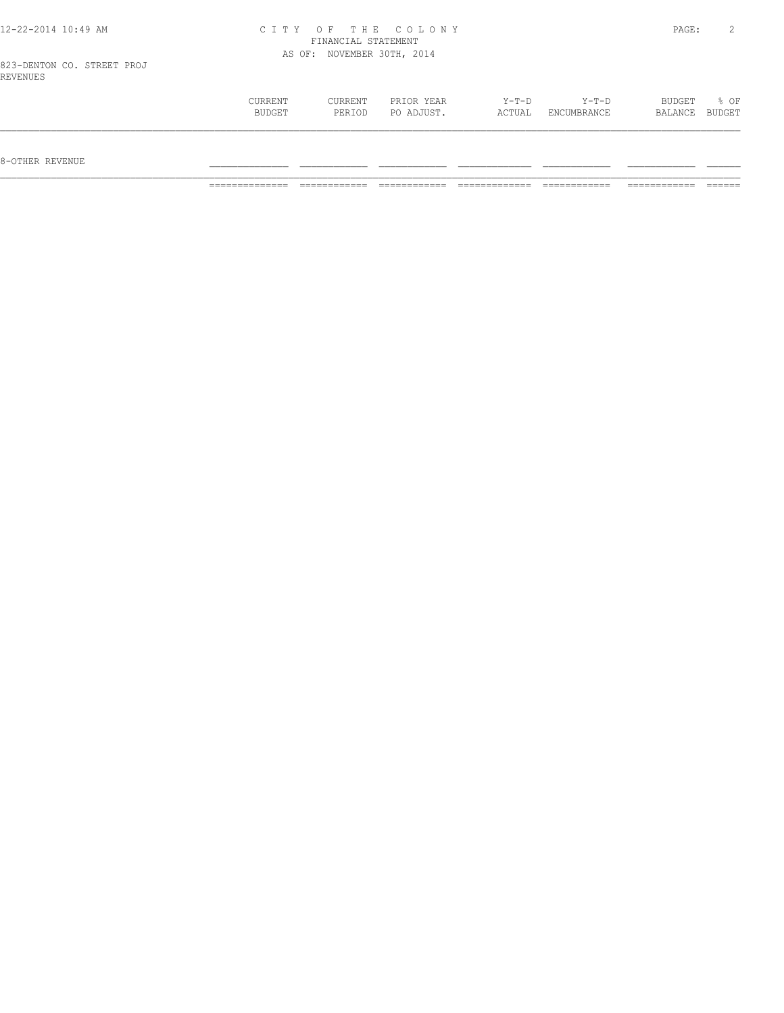| 12-22-2014 10:49 AM                    |         |                            | CITY OF THE COLONY |       |         | PAGE:  |        |
|----------------------------------------|---------|----------------------------|--------------------|-------|---------|--------|--------|
|                                        |         | FINANCIAL STATEMENT        |                    |       |         |        |        |
|                                        |         | AS OF: NOVEMBER 30TH, 2014 |                    |       |         |        |        |
| 823-DENTON CO. STREET PROJ<br>REVENUES |         |                            |                    |       |         |        |        |
|                                        | CURRENT | CURRENT                    | PRIOR YEAR         | Y-T-D | $Y-T-D$ | BUDGET | $8$ OF |

 BUDGET PERIOD PO ADJUST. ACTUAL ENCUMBRANCE BALANCE BUDGET  $\mathcal{L} = \{ \mathcal{L} = \{ \mathcal{L} = \{ \mathcal{L} = \{ \mathcal{L} = \{ \mathcal{L} = \{ \mathcal{L} = \{ \mathcal{L} = \{ \mathcal{L} = \{ \mathcal{L} = \{ \mathcal{L} = \{ \mathcal{L} = \{ \mathcal{L} = \{ \mathcal{L} = \{ \mathcal{L} = \{ \mathcal{L} = \{ \mathcal{L} = \{ \mathcal{L} = \{ \mathcal{L} = \{ \mathcal{L} = \{ \mathcal{L} = \{ \mathcal{L} = \{ \mathcal{L} = \{ \mathcal{L} = \{ \mathcal{$ 

 $8-{\rm OFF}$  revenue  $\_$ 

============== ============ ============ ============= ============ ============ ======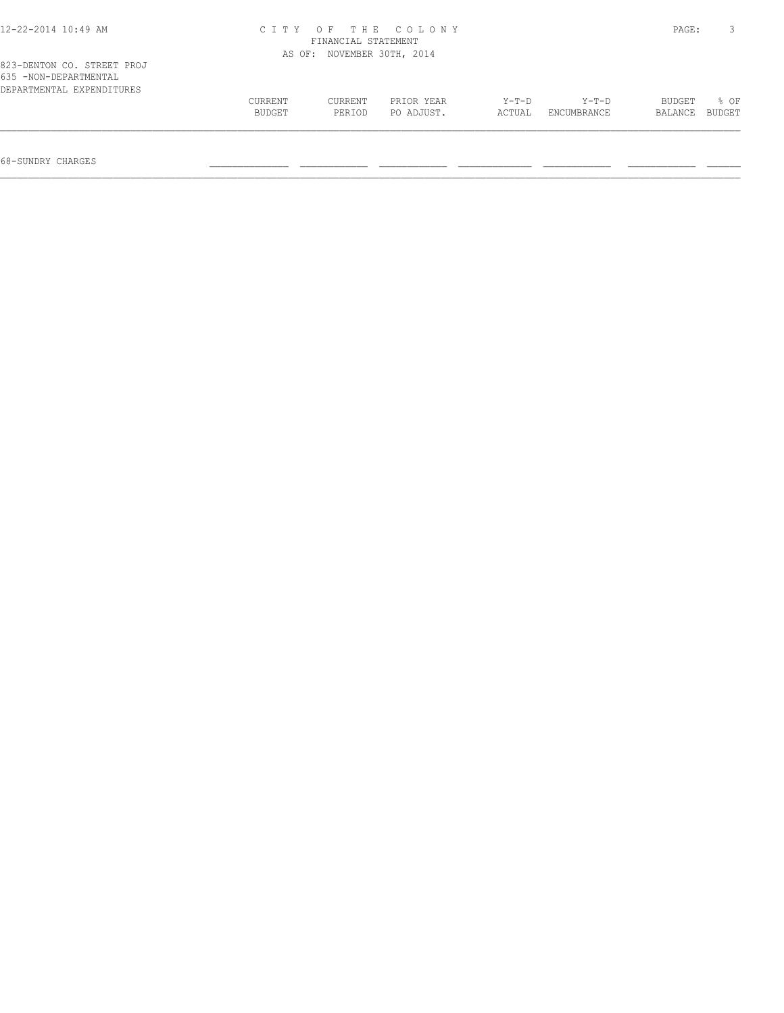| $12 - 22 - 2014$ $10:49$ AM                                                      | CITY OF THE COLONY | PAGE:   |                     |        |             |         |        |
|----------------------------------------------------------------------------------|--------------------|---------|---------------------|--------|-------------|---------|--------|
|                                                                                  | AS OF:             |         | NOVEMBER 30TH, 2014 |        |             |         |        |
| 823-DENTON CO. STREET PROJ<br>635 -NON-DEPARTMENTAL<br>DEPARTMENTAL EXPENDITURES |                    |         |                     |        |             |         |        |
|                                                                                  | CURRENT            | CURRENT | PRIOR YEAR          | Y-T-D  | Y-T-D       | BUDGET  | 8 OF   |
|                                                                                  | BUDGET             | PERIOD  | PO ADJUST.          | ACTUAL | ENCUMBRANCE | BALANCE | BUDGET |
|                                                                                  |                    |         |                     |        |             |         |        |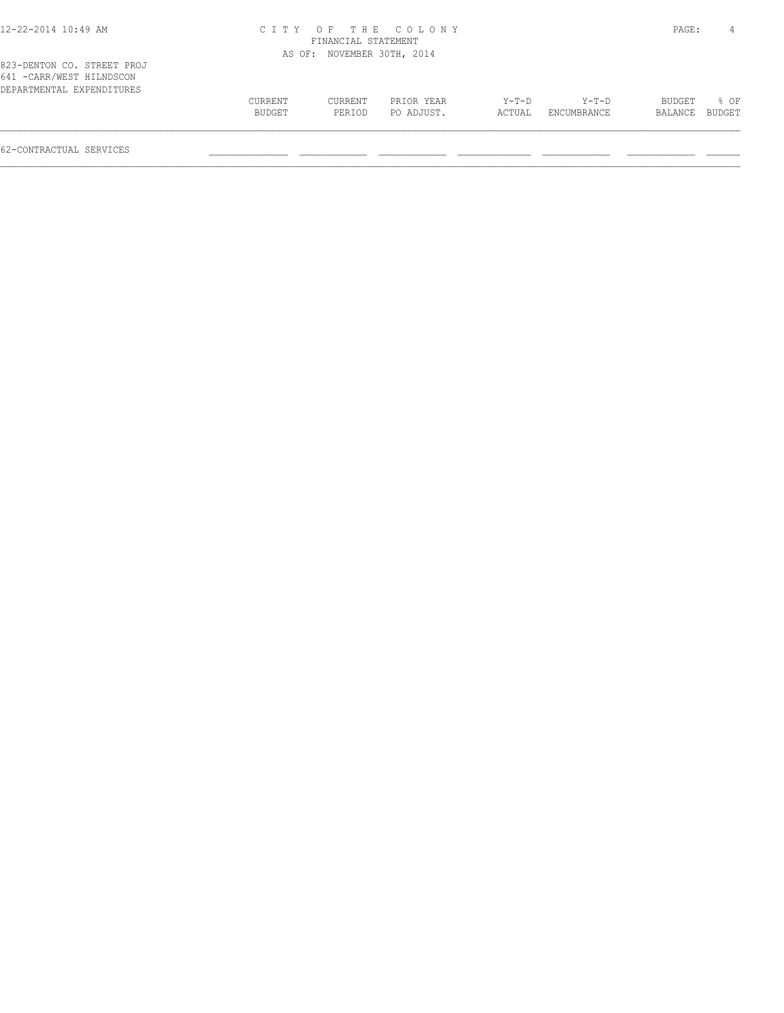| 12-22-2014 10:49 AM |  |  |
|---------------------|--|--|
|---------------------|--|--|

# 12-22-2014 10:49 AM C I T Y O F T H E C O L O N Y PAGE: 4 FINANCIAL STATEMENT AS OF: NOVEMBER 30TH, 2014

| 641 - CARR/WEST HILNDSCON |         |         |            |        |             |                |        |
|---------------------------|---------|---------|------------|--------|-------------|----------------|--------|
| DEPARTMENTAL EXPENDITURES |         |         |            |        |             |                |        |
|                           | CURRENT | CURRENT | PRIOR YEAR | Y-T-D  | $Y-T-D$     | BUDGET         | $8$ OF |
|                           | BUDGET  | PERIOD  | PO ADJUST. | ACTUAL | ENCUMBRANCE | BALANCE BUDGET |        |
|                           |         |         |            |        |             |                |        |
|                           |         |         |            |        |             |                |        |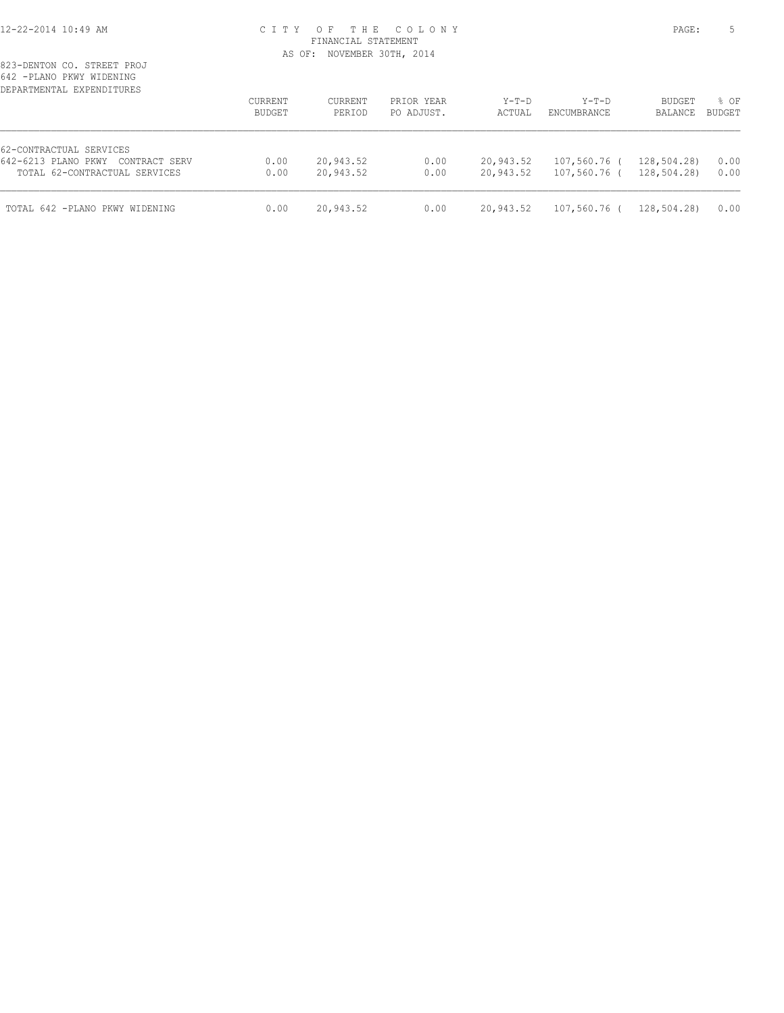## 12-22-2014 10:49 AM C I T Y O F T H E C O L O N Y PAGE: 5 FINANCIAL STATEMENT AS OF: NOVEMBER 30TH, 2014

| DEPARTMENTAL EXPENDITURES            | CURRENT<br>BUDGET | CURRENT<br>PERIOD | PRIOR YEAR<br>PO ADJUST. | $Y-T-D$<br>ACTUAL | $Y-T-D$<br><b>ENCUMBRANCE</b> | <b>BUDGET</b><br>BALANCE | % OF<br><b>BUDGET</b> |
|--------------------------------------|-------------------|-------------------|--------------------------|-------------------|-------------------------------|--------------------------|-----------------------|
| 62-CONTRACTUAL SERVICES              |                   |                   |                          |                   |                               |                          |                       |
| 642-6213 PLANO PKWY<br>CONTRACT SERV | 0.00              | 20,943.52         | 0.00                     | 20,943.52         | 107,560.76 (                  | 128,504.28)              | 0.00                  |
| TOTAL 62-CONTRACTUAL SERVICES        | 0.00              | 20,943.52         | 0.00                     | 20,943.52         | 107,560.76 (                  | 128,504.28)              | 0.00                  |
| TOTAL 642 -PLANO PKWY WIDENING       | 0.00              | 20,943.52         | 0.00                     | 20,943.52         | 107,560.76 (                  | 128,504.28)              | 0.00                  |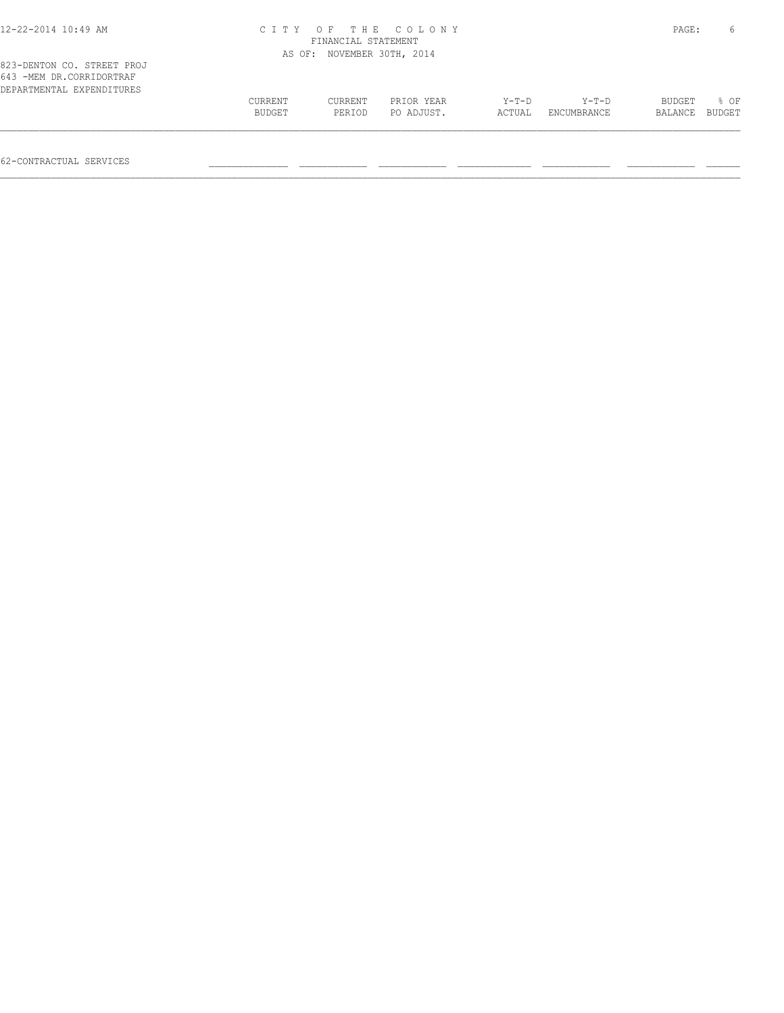| 12-22-2014 10:49 AM                                                                 | C I T Y           | OF<br>FINANCIAL STATEMENT  | THE COLONY               |                   |                        | PAGE:             | 6              |
|-------------------------------------------------------------------------------------|-------------------|----------------------------|--------------------------|-------------------|------------------------|-------------------|----------------|
|                                                                                     |                   | AS OF: NOVEMBER 30TH, 2014 |                          |                   |                        |                   |                |
| 823-DENTON CO. STREET PROJ<br>643 -MEM DR.CORRIDORTRAF<br>DEPARTMENTAL EXPENDITURES |                   |                            |                          |                   |                        |                   |                |
|                                                                                     | CURRENT<br>BUDGET | CURRENT<br>PERIOD          | PRIOR YEAR<br>PO ADJUST. | $Y-T-D$<br>ACTUAL | $Y-T-D$<br>ENCUMBRANCE | BUDGET<br>BALANCE | 8 OF<br>BUDGET |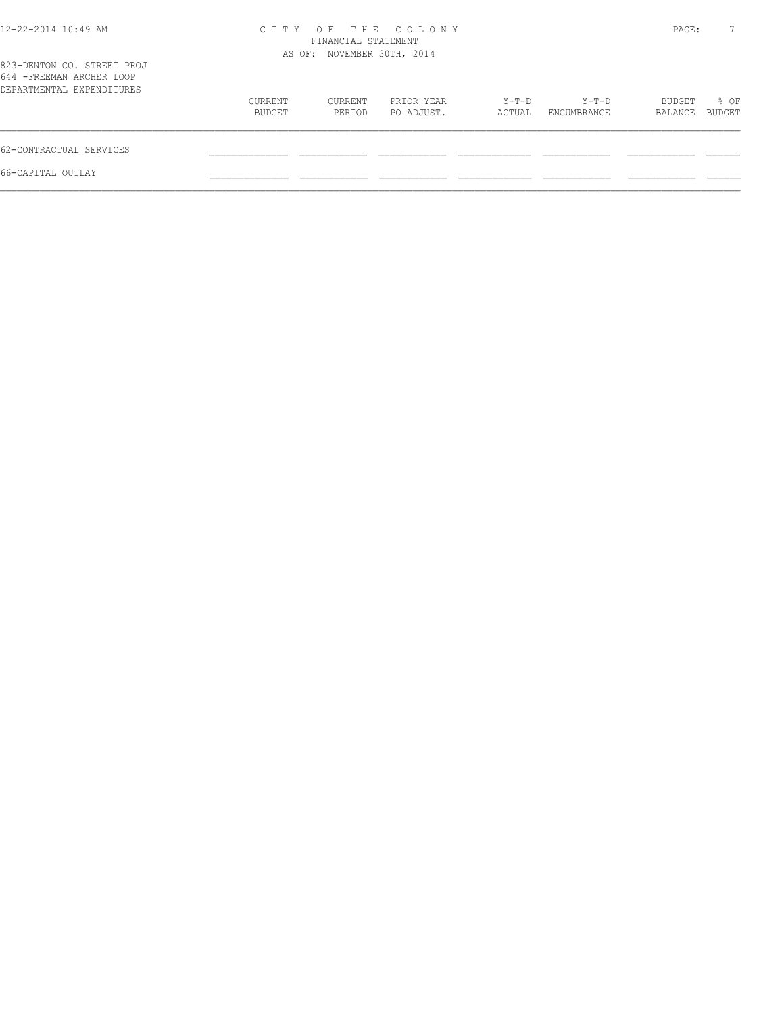| PAGE:          |
|----------------|
|                |
| % OF<br>BUDGET |
|                |
|                |
|                |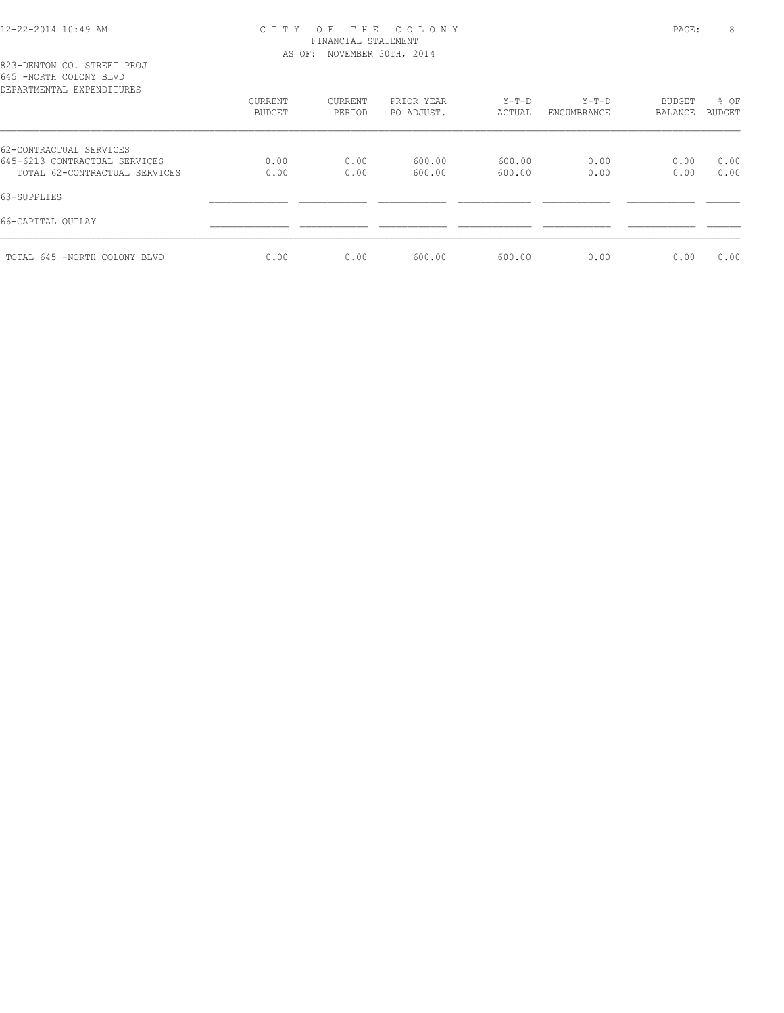## 12-22-2014 10:49 AM C I T Y O F T H E C O L O N Y PAGE: 8 FINANCIAL STATEMENT AS OF: NOVEMBER 30TH, 2014

823-DENTON CO. STREET PROJ 645 -NORTH COLONY BLVD

| DEPARTMENTAL EXPENDITURES     |         |                |            |         |             |               |        |
|-------------------------------|---------|----------------|------------|---------|-------------|---------------|--------|
|                               | CURRENT | <b>CURRENT</b> | PRIOR YEAR | $Y-T-D$ | $Y-T-D$     | <b>BUDGET</b> | % OF   |
|                               | BUDGET  | PERIOD         | PO ADJUST. | ACTUAL  | ENCUMBRANCE | BALANCE       | BUDGET |
| 62-CONTRACTUAL SERVICES       |         |                |            |         |             |               |        |
| 645-6213 CONTRACTUAL SERVICES | 0.00    | 0.00           | 600.00     | 600.00  | 0.00        | 0.00          | 0.00   |
| TOTAL 62-CONTRACTUAL SERVICES | 0.00    | 0.00           | 600.00     | 600.00  | 0.00        | 0.00          | 0.00   |
| 63-SUPPLIES                   |         |                |            |         |             |               |        |
| 66-CAPITAL OUTLAY             |         |                |            |         |             |               |        |
| TOTAL 645 -NORTH COLONY BLVD  | 0.00    | 0.00           | 600.00     | 600.00  | 0.00        | 0.00          | 0.00   |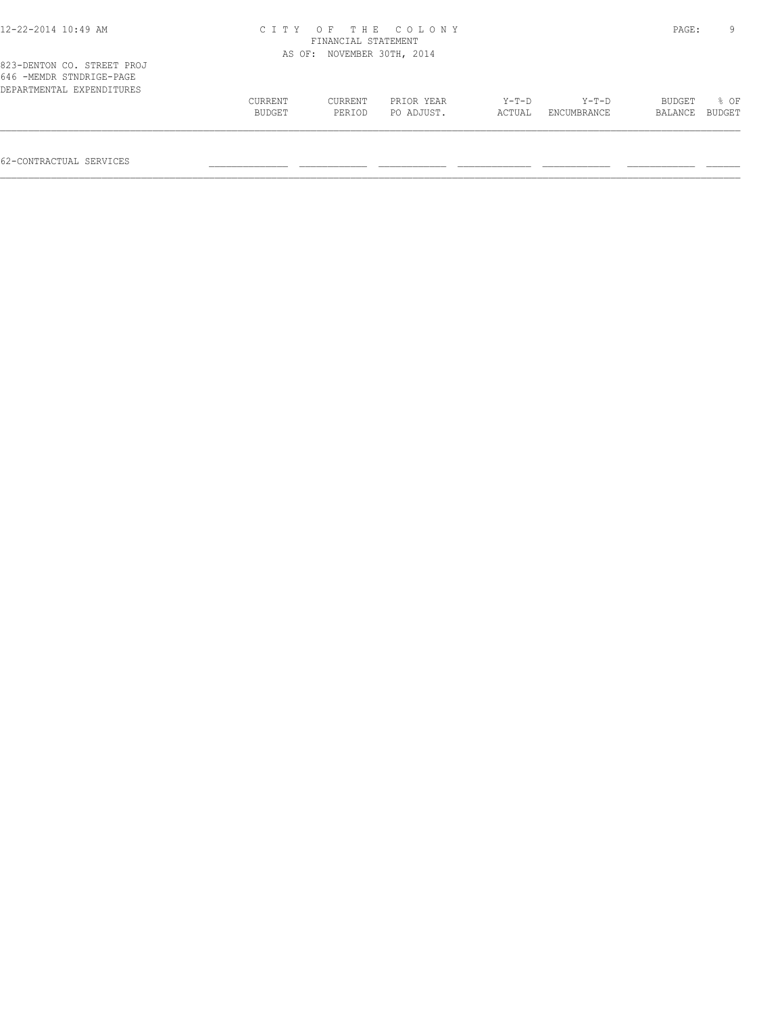| 12-22-2014 10:49 AM                                                                 |                   | FINANCIAL STATEMENT | CITY OF THE COLONY       |                   |                        | PAGE:             | q              |
|-------------------------------------------------------------------------------------|-------------------|---------------------|--------------------------|-------------------|------------------------|-------------------|----------------|
|                                                                                     | AS OF:            |                     | NOVEMBER 30TH, 2014      |                   |                        |                   |                |
| 823-DENTON CO. STREET PROJ<br>646 -MEMDR STNDRIGE-PAGE<br>DEPARTMENTAL EXPENDITURES | CURRENT<br>BUDGET | CURRENT<br>PERIOD   | PRIOR YEAR<br>PO ADJUST. | $Y-T-D$<br>ACTUAL | $Y-T-D$<br>ENCUMBRANCE | BUDGET<br>BALANCE | 8 OF<br>BUDGET |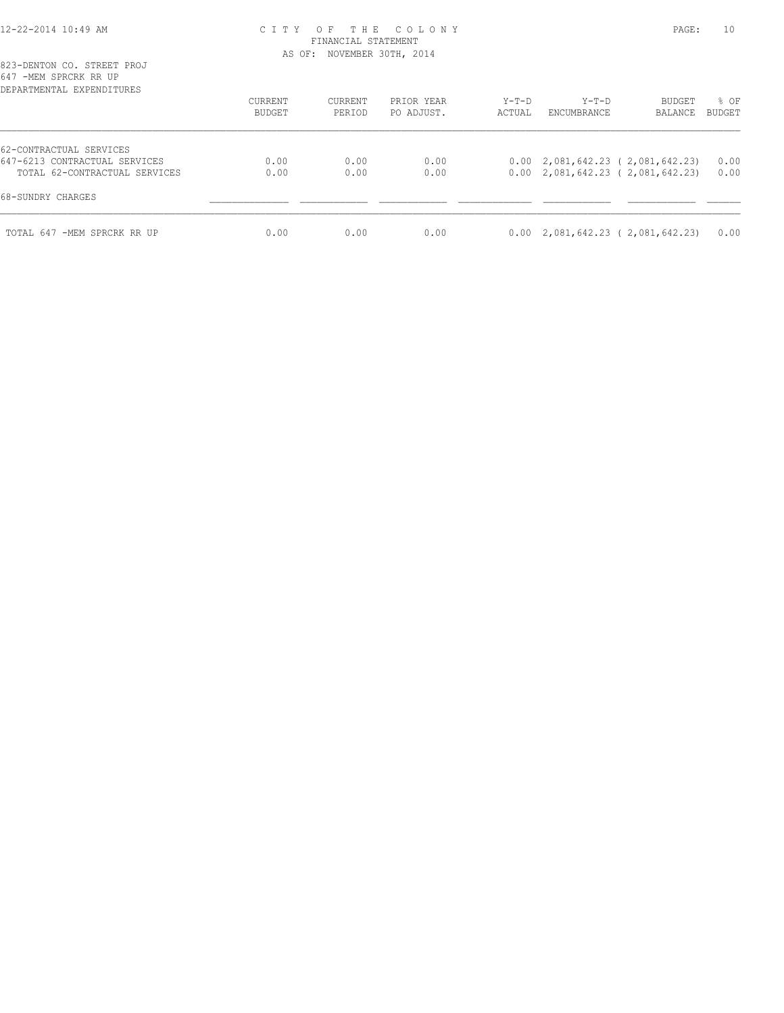## 12-22-2014 10:49 AM C I T Y O F T H E C O L O N Y PAGE: 10 FINANCIAL STATEMENT AS OF: NOVEMBER 30TH, 2014

| ש ואואנו שבוערות ושברו<br>DEPARTMENTAL EXPENDITURES            |                          |                   |                          |                 |                      |                                                                                                  |                |
|----------------------------------------------------------------|--------------------------|-------------------|--------------------------|-----------------|----------------------|--------------------------------------------------------------------------------------------------|----------------|
|                                                                | <b>CURRENT</b><br>BUDGET | CURRENT<br>PERIOD | PRIOR YEAR<br>PO ADJUST. | Y-T-D<br>ACTUAL | Y-T-D<br>ENCUMBRANCE | BUDGET<br>BALANCE                                                                                | % OF<br>BUDGET |
| 62-CONTRACTUAL SERVICES                                        |                          |                   |                          |                 |                      |                                                                                                  |                |
| 647-6213 CONTRACTUAL SERVICES<br>TOTAL 62-CONTRACTUAL SERVICES | 0.00<br>0.00             | 0.00<br>0.00      | 0.00<br>0.00             |                 |                      | $0.00 \quad 2,081,642.23 \quad (2,081,642.23)$<br>$0.00 \quad 2,081,642.23 \quad (2,081,642.23)$ | 0.00<br>0.00   |
| 68-SUNDRY CHARGES                                              |                          |                   |                          |                 |                      |                                                                                                  |                |
| TOTAL 647 -MEM SPRCRK RR UP                                    | 0.00                     | 0.00              | 0.00                     |                 |                      | $0.00 \quad 2,081,642.23 \quad (2,081,642.23)$                                                   | 0.00           |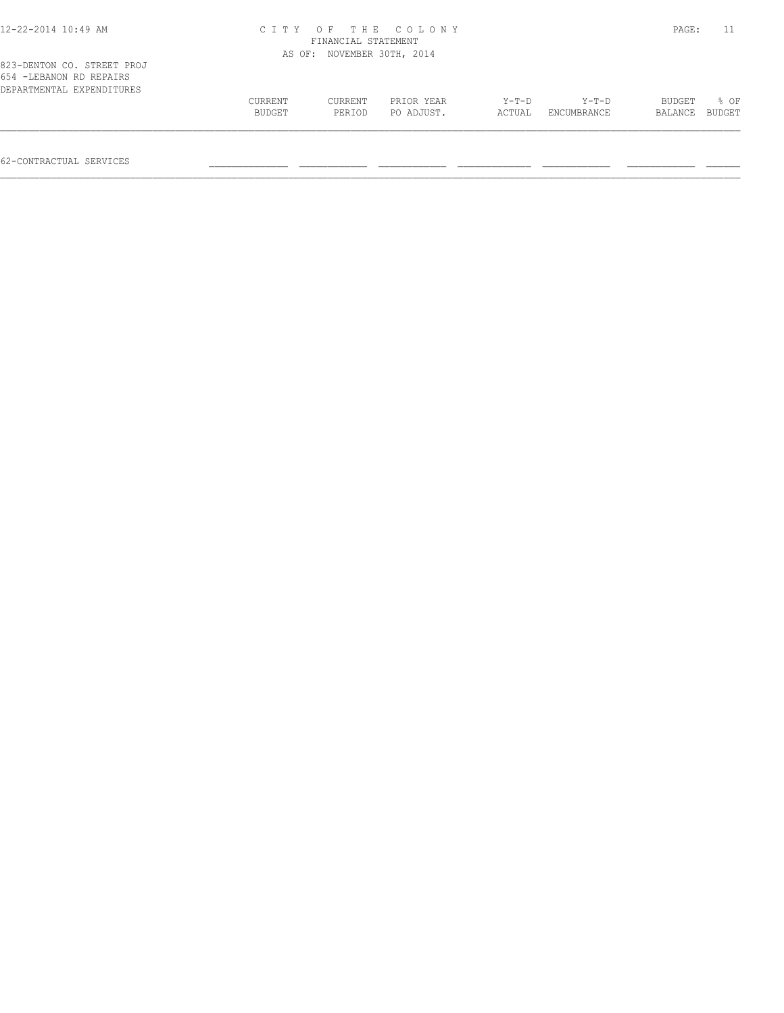| $12 - 22 - 2014$ $10:49$ AM                            | CITY OF THE COLONY<br>FINANCIAL STATEMENT |         |            |        |             |         |        |
|--------------------------------------------------------|-------------------------------------------|---------|------------|--------|-------------|---------|--------|
|                                                        | AS OF: NOVEMBER 30TH, 2014                |         |            |        |             |         |        |
| 823-DENTON CO. STREET PROJ<br>654 - LEBANON RD REPAIRS |                                           |         |            |        |             |         |        |
| DEPARTMENTAL EXPENDITURES                              |                                           |         |            |        |             |         |        |
|                                                        | CURRENT                                   | CURRENT | PRIOR YEAR | Y-T-D  | $Y-T-D$     | BUDGET  | 8 OF   |
|                                                        | BUDGET                                    | PERIOD  | PO ADJUST. | ACTUAL | ENCUMBRANCE | BALANCE | BUDGET |

62-CONTRACTUAL SERVICES \_\_\_\_\_\_\_\_\_\_\_\_\_\_ \_\_\_\_\_\_\_\_\_\_\_\_ \_\_\_\_\_\_\_\_\_\_\_\_ \_\_\_\_\_\_\_\_\_\_\_\_\_ \_\_\_\_\_\_\_\_\_\_\_\_ \_\_\_\_\_\_\_\_\_\_\_\_ \_\_\_\_\_\_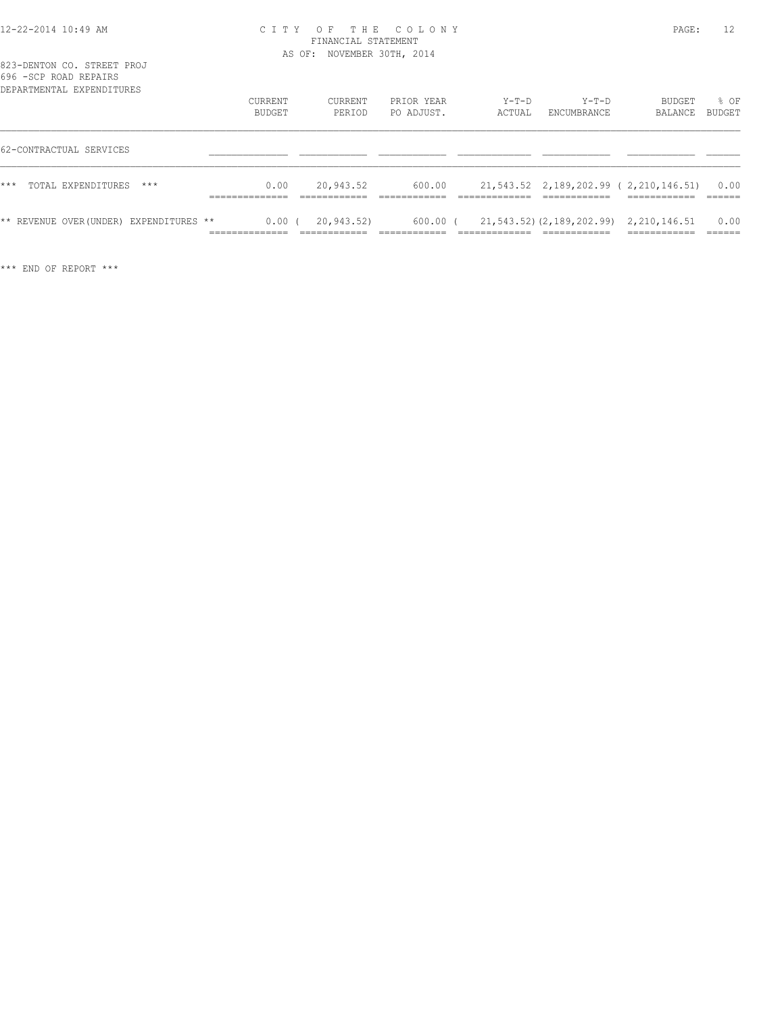## 12-22-2014 10:49 AM C I T Y O F T H E C O L O N Y PAGE: 12 FINANCIAL STATEMENT AS OF: NOVEMBER 30TH, 2014

823-DENTON CO. STREET PROJ 696 -SCP ROAD REPAIRS

| ANA ANT TANUT TARITAN<br>DEPARTMENTAL EXPENDITURES | CURRENT<br>BUDGET | CURRENT<br>PERIOD | PRIOR YEAR<br>PO ADJUST. | $Y-T-D$<br>ACTUAL | $Y-T-D$<br>ENCUMBRANCE                      | BUDGET<br>BALANCE                     | % OF<br><b>BUDGET</b> |
|----------------------------------------------------|-------------------|-------------------|--------------------------|-------------------|---------------------------------------------|---------------------------------------|-----------------------|
| 62-CONTRACTUAL SERVICES                            |                   |                   |                          |                   |                                             |                                       |                       |
| ***<br>TOTAL EXPENDITURES<br>$***$                 | 0.00              | 20,943.52         | 600.00                   |                   |                                             | 21,543.52 2,189,202.99 (2,210,146.51) | 0.00                  |
| ** REVENUE OVER (UNDER) EXPENDITURES **            | $0.00$ (          | 20,943.52)        | $600.00$ (               |                   | 21, 543.52) (2, 189, 202.99) 2, 210, 146.51 |                                       | 0.00                  |

\*\*\* END OF REPORT \*\*\*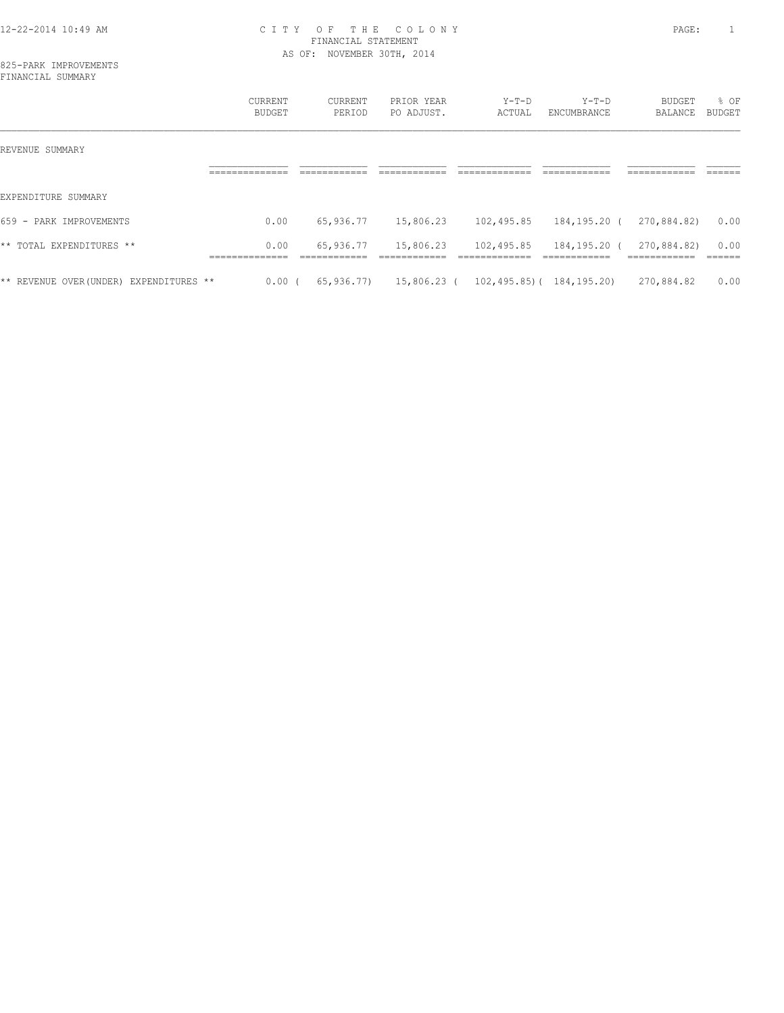# 12-22-2014 10:49 AM C I T Y O F T H E C O L O N Y PAGE: 1 FINANCIAL STATEMENT AS OF: NOVEMBER 30TH, 2014

|                                         | <b>CURRENT</b><br><b>BUDGET</b>         | CURRENT<br>PERIOD | PRIOR YEAR<br>PO ADJUST. | $Y-T-D$<br>ACTUAL                                 | $Y-T-D$<br>ENCUMBRANCE       | BUDGET<br>BALANCE           | % OF<br>BUDGET |
|-----------------------------------------|-----------------------------------------|-------------------|--------------------------|---------------------------------------------------|------------------------------|-----------------------------|----------------|
| REVENUE SUMMARY                         | ___________<br>__________               |                   | ________                 |                                                   | -------------                | __________<br>__________    | ______         |
| EXPENDITURE SUMMARY                     |                                         |                   |                          |                                                   |                              |                             |                |
| 659 - PARK IMPROVEMENTS                 | 0.00                                    | 65,936.77         | 15,806.23                | 102,495.85                                        | 184,195.20 (                 | 270,884.82)                 | 0.00           |
| ** TOTAL EXPENDITURES **                | 0.00<br>______________<br>_____________ | 65,936.77         | 15,806.23                | 102,495.85<br>--------------                      | 184,195.20 (<br>____________ | 270,884.82)<br>____________ | 0.00<br>______ |
| ** REVENUE OVER (UNDER) EXPENDITURES ** | $0.00$ (                                |                   |                          | $65,936.77$ 15,806.23 ( 102,495.85) ( 184,195.20) |                              | 270,884.82                  | 0.00           |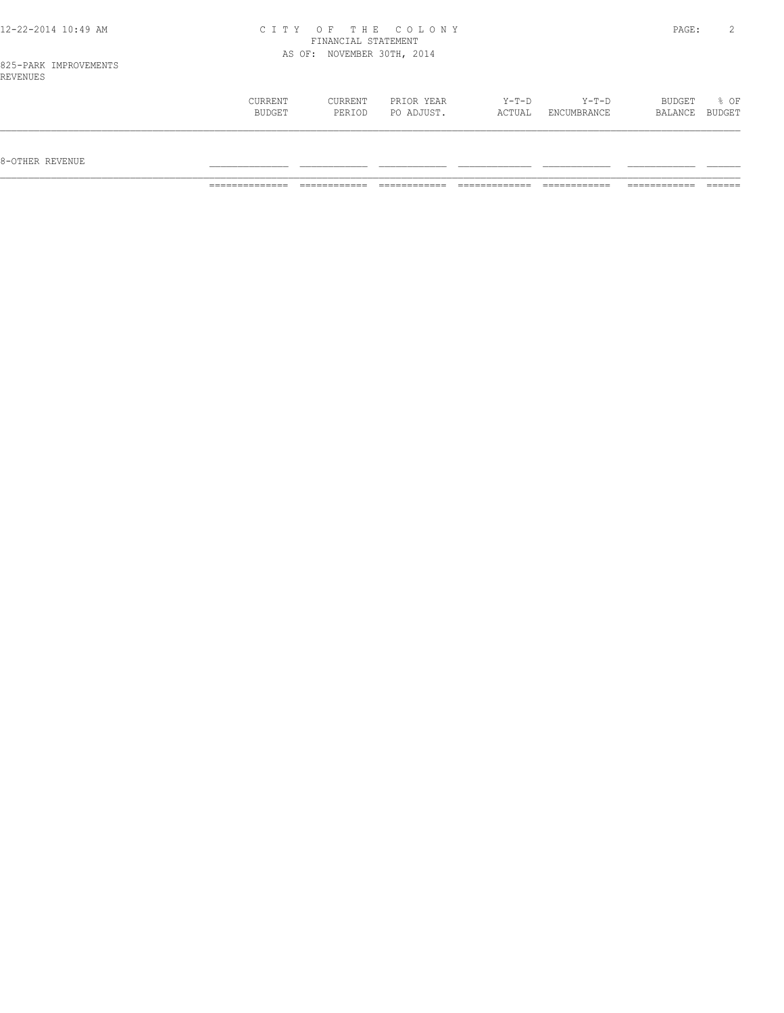| 12-22-2014 10:49 AM               |         | FINANCIAL STATEMENT        | CITY OF THE COLONY |        |             | PAGE:   |        |
|-----------------------------------|---------|----------------------------|--------------------|--------|-------------|---------|--------|
|                                   |         | AS OF: NOVEMBER 30TH, 2014 |                    |        |             |         |        |
| 825-PARK IMPROVEMENTS<br>REVENUES |         |                            |                    |        |             |         |        |
|                                   | CURRENT | CURRENT                    | PRIOR YEAR         | Y-T-D  | $Y-T-D$     | BUDGET  | 8 OF   |
|                                   | BUDGET  | PERIOD                     | PO ADJUST.         | ACTUAL | ENCUMBRANCE | BALANCE | BUDGET |

 $\mathcal{L} = \{ \mathcal{L} = \{ \mathcal{L} = \{ \mathcal{L} = \{ \mathcal{L} = \{ \mathcal{L} = \{ \mathcal{L} = \{ \mathcal{L} = \{ \mathcal{L} = \{ \mathcal{L} = \{ \mathcal{L} = \{ \mathcal{L} = \{ \mathcal{L} = \{ \mathcal{L} = \{ \mathcal{L} = \{ \mathcal{L} = \{ \mathcal{L} = \{ \mathcal{L} = \{ \mathcal{L} = \{ \mathcal{L} = \{ \mathcal{L} = \{ \mathcal{L} = \{ \mathcal{L} = \{ \mathcal{L} = \{ \mathcal{$ 

 $8-{\rm OFF}$  revenue  $\_$ 

============== ============ ============ ============= ============ ============ ======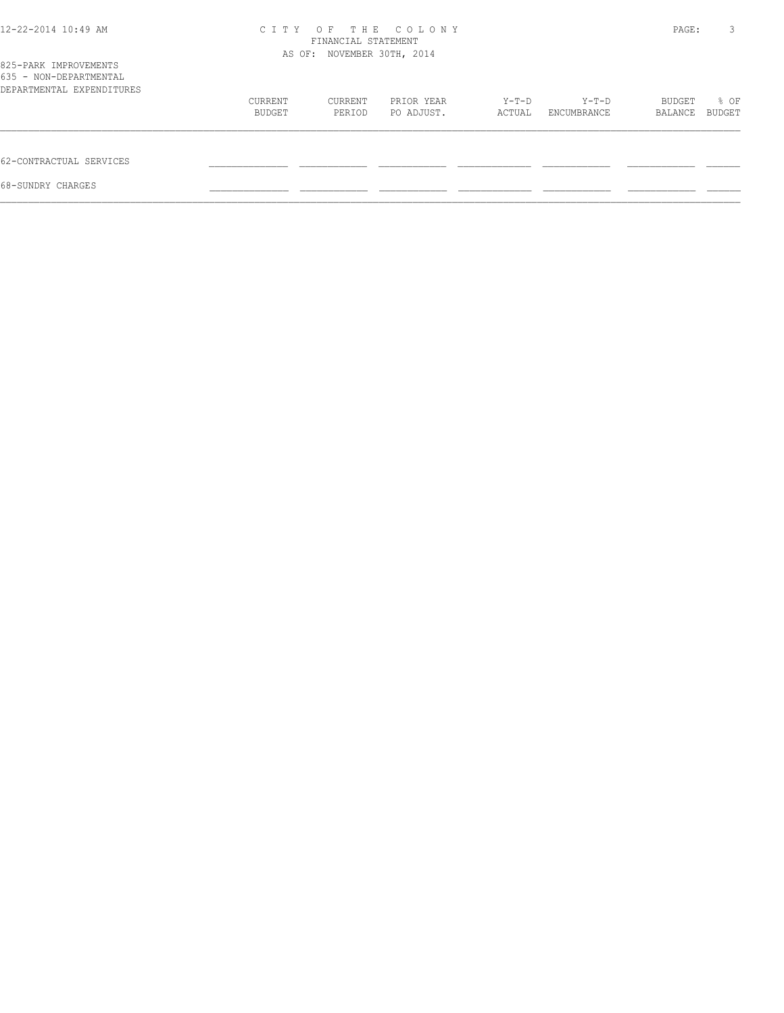| 12-22-2014 10:49 AM                                                          | C T T Y | T H E<br>O F<br>FINANCIAL STATEMENT<br>AS OF: NOVEMBER 30TH, 2014 |            |        | PAGE:       | 3       |        |
|------------------------------------------------------------------------------|---------|-------------------------------------------------------------------|------------|--------|-------------|---------|--------|
| 825-PARK IMPROVEMENTS<br>635 - NON-DEPARTMENTAL<br>DEPARTMENTAL EXPENDITURES |         |                                                                   |            |        |             |         |        |
|                                                                              | CURRENT | CURRENT                                                           | PRIOR YEAR | Y-T-D  | Y-T-D       | BUDGET  | % OF   |
|                                                                              | BUDGET  | PERIOD                                                            | PO ADJUST. | ACTUAL | ENCUMBRANCE | BALANCE | BUDGET |
| 62-CONTRACTUAL SERVICES                                                      |         |                                                                   |            |        |             |         |        |
| 68-SUNDRY CHARGES                                                            |         |                                                                   |            |        |             |         |        |
|                                                                              |         |                                                                   |            |        |             |         |        |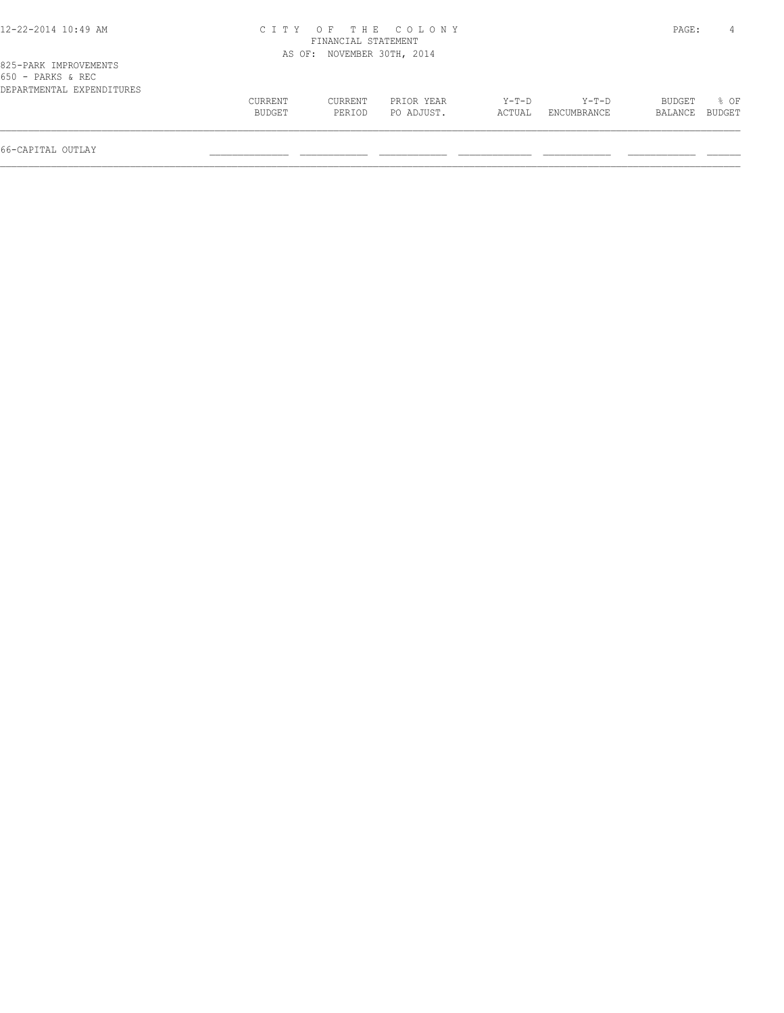# 12-22-2014 10:49 AM C I T Y O F T H E C O L O N Y PAGE: 4 FINANCIAL STATEMENT

|                                                                           |         | AS OF: NOVEMBER 30TH, 2014 |            |         |             |         |               |
|---------------------------------------------------------------------------|---------|----------------------------|------------|---------|-------------|---------|---------------|
| 825-PARK IMPROVEMENTS<br>$650$ - PARKS & REC<br>DEPARTMENTAL EXPENDITURES |         |                            |            |         |             |         |               |
|                                                                           |         |                            |            |         |             |         |               |
|                                                                           | CURRENT | CURRENT                    | PRIOR YEAR | $Y-T-D$ | $Y-T-D$     | BUDGET  | % OF          |
|                                                                           | BUDGET  | PERIOD                     | PO ADJUST. | ACTUAL  | ENCUMBRANCE | BALANCE | <b>BUDGET</b> |
|                                                                           |         |                            |            |         |             |         |               |

66-CAPITAL OUTLAY \_\_\_\_\_\_\_\_\_\_\_\_\_\_ \_\_\_\_\_\_\_\_\_\_\_\_ \_\_\_\_\_\_\_\_\_\_\_\_ \_\_\_\_\_\_\_\_\_\_\_\_\_ \_\_\_\_\_\_\_\_\_\_\_\_ \_\_\_\_\_\_\_\_\_\_\_\_ \_\_\_\_\_\_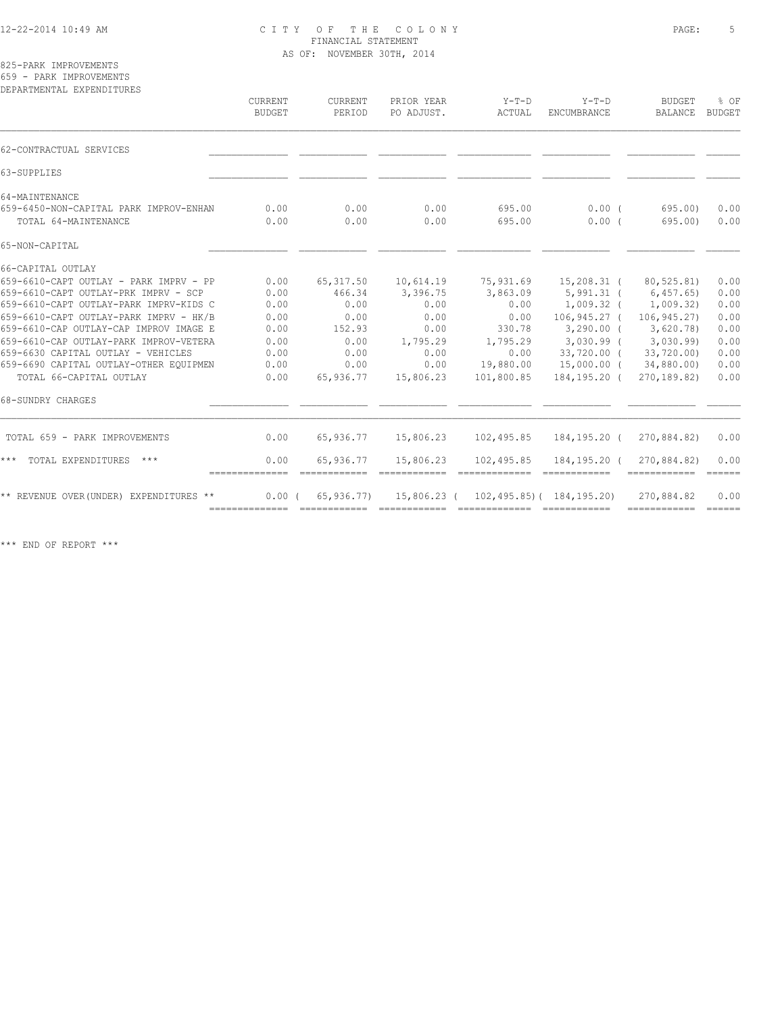# 12-22-2014 10:49 AM C I T Y O F T H E C O L O N Y PAGE: 5 FINANCIAL STATEMENT AS OF: NOVEMBER 30TH, 2014

825-PARK IMPROVEMENTS 659 - PARK IMPROVEMENTS

| DEPARTMENTAL EXPENDITURES              | CURRENT<br>BUDGET | CURRENT<br>PERIOD | PRIOR YEAR<br>PO ADJUST. | $Y-T-D$<br>ACTUAL | $Y-T-D$<br>ENCUMBRANCE            | <b>BUDGET</b><br><b>BALANCE</b> | % OF<br><b>BUDGET</b> |
|----------------------------------------|-------------------|-------------------|--------------------------|-------------------|-----------------------------------|---------------------------------|-----------------------|
| 62-CONTRACTUAL SERVICES                |                   |                   |                          |                   |                                   |                                 |                       |
| 63-SUPPLIES                            |                   |                   |                          |                   |                                   |                                 |                       |
| 64-MAINTENANCE                         |                   |                   |                          |                   |                                   |                                 |                       |
| 659-6450-NON-CAPITAL PARK IMPROV-ENHAN | 0.00              | 0.00              | 0.00                     | 695.00            | $0.00$ (                          | 695.00)                         | 0.00                  |
| TOTAL 64-MAINTENANCE                   | 0.00              | 0.00              | 0.00                     | 695.00            | 0.00(                             | 695.00                          | 0.00                  |
| 65-NON-CAPITAL                         |                   |                   |                          |                   |                                   |                                 |                       |
| 66-CAPITAL OUTLAY                      |                   |                   |                          |                   |                                   |                                 |                       |
| 659-6610-CAPT OUTLAY - PARK IMPRV - PP | 0.00              | 65, 317.50        | 10,614.19                | 75,931.69         | 15,208.31 (                       | 80,525.81)                      | 0.00                  |
| 659-6610-CAPT OUTLAY-PRK IMPRV - SCP   | 0.00              | 466.34            | 3,396.75                 | 3,863.09          |                                   | 5,991.31 ( 6,457.65)            | 0.00                  |
| 659-6610-CAPT OUTLAY-PARK IMPRV-KIDS C | 0.00              | 0.00              | 0.00                     | 0.00              | $1,009.32$ (                      | 1,009.32)                       | 0.00                  |
| 659-6610-CAPT OUTLAY-PARK IMPRV - HK/B | 0.00              | 0.00              | 0.00                     | 0.00              | $106, 945.27$ (                   | 106,945.27)                     | 0.00                  |
| 659-6610-CAP OUTLAY-CAP IMPROV IMAGE E | 0.00              | 152.93            | 0.00                     | 330.78            | $3,290.00$ (                      | 3,620.78                        | 0.00                  |
| 659-6610-CAP OUTLAY-PARK IMPROV-VETERA | 0.00              | 0.00              | 1,795.29                 | 1,795.29          | 3,030.99 (3,030.99)               |                                 | 0.00                  |
| 659-6630 CAPITAL OUTLAY - VEHICLES     | 0.00              | 0.00              | 0.00                     | 0.00              | 33,720.00 (                       | 33,720.00)                      | 0.00                  |
| 659-6690 CAPITAL OUTLAY-OTHER EOUIPMEN | 0.00              | 0.00              | 0.00                     | 19,880.00         | 15,000.00 (                       | 34,880.00)                      | 0.00                  |
| TOTAL 66-CAPITAL OUTLAY                | 0.00              | 65,936.77         | 15,806.23                | 101,800.85        | 184,195.20 (                      | 270, 189.82)                    | 0.00                  |
| 68-SUNDRY CHARGES                      |                   |                   |                          |                   |                                   |                                 |                       |
| TOTAL 659 - PARK IMPROVEMENTS          | 0.00              | 65,936.77         | 15,806.23                | 102,495.85        | 184,195.20 (                      | 270,884.82)                     | 0.00                  |
| *** TOTAL EXPENDITURES<br>$***$        | 0.00              | 65,936.77         | 15,806.23                | 102,495.85        | 184,195.20 (<br>-------------     | 270,884.82)                     | 0.00<br>======        |
| ** REVENUE OVER(UNDER) EXPENDITURES ** | 0.00(             | 65,936.77)        | 15,806.23 (              |                   | $102, 495, 85$ ( $184, 195, 20$ ) | 270,884.82                      | 0.00                  |

\*\*\* END OF REPORT \*\*\*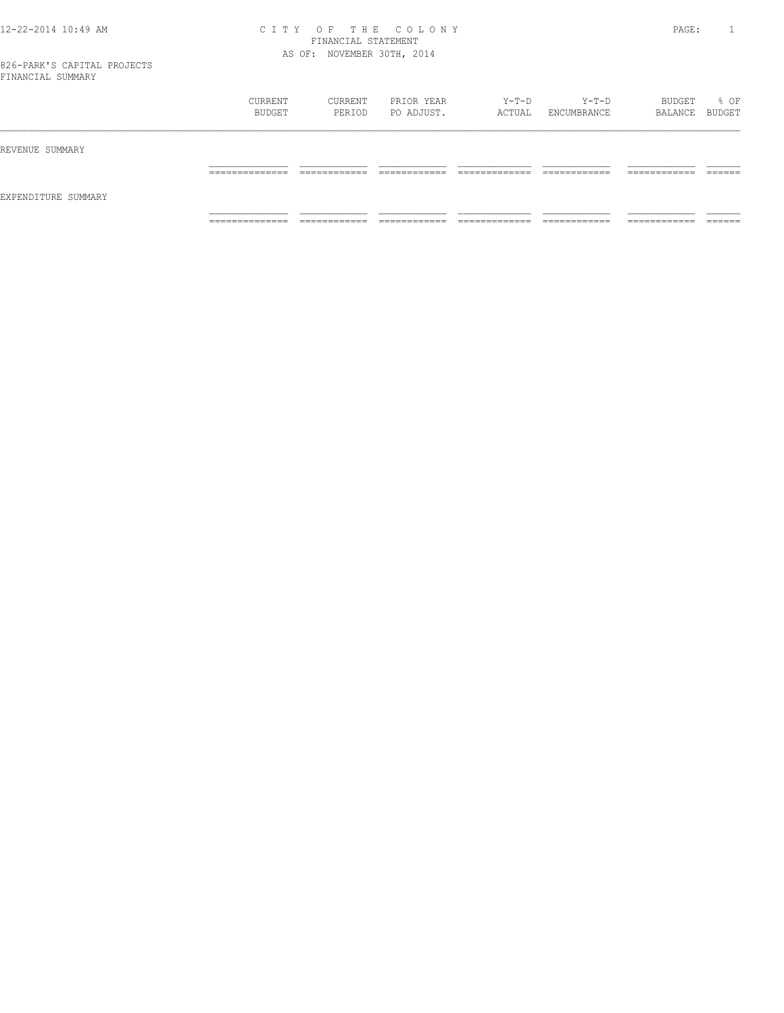#### 12-22-2014 10:49 AM C I T Y O F T H E C O L O N Y PAGE: 1 FINANCIAL STATEMENT AS OF: NOVEMBER 30TH, 2014

826-PARK'S CAPITAL PROJECTS FINANCIAL SUMMARY

|                     | CURRENT<br>BUDGET | CURRENT<br>PERIOD | PRIOR YEAR<br>PO ADJUST. | Y-T-D<br>ACTUAL | $Y-T-D$<br>ENCUMBRANCE | BUDGET<br>BALANCE BUDGET | % OF    |
|---------------------|-------------------|-------------------|--------------------------|-----------------|------------------------|--------------------------|---------|
| REVENUE SUMMARY     |                   |                   |                          |                 |                        |                          |         |
| EXPENDITURE SUMMARY | ______________    | ____________      | -------------            | _____________   | -------------          | ------------             | ------- |
|                     | -------------     | ____________      | ____________             | _____________   | ____________           | -----------              | _______ |
|                     | ______________    | ____________      | -------------            | _____________   | ------------           | -------------            | ------- |
|                     | .                 | -----------       | -----------              | ------------    | -----------            | .                        | _____   |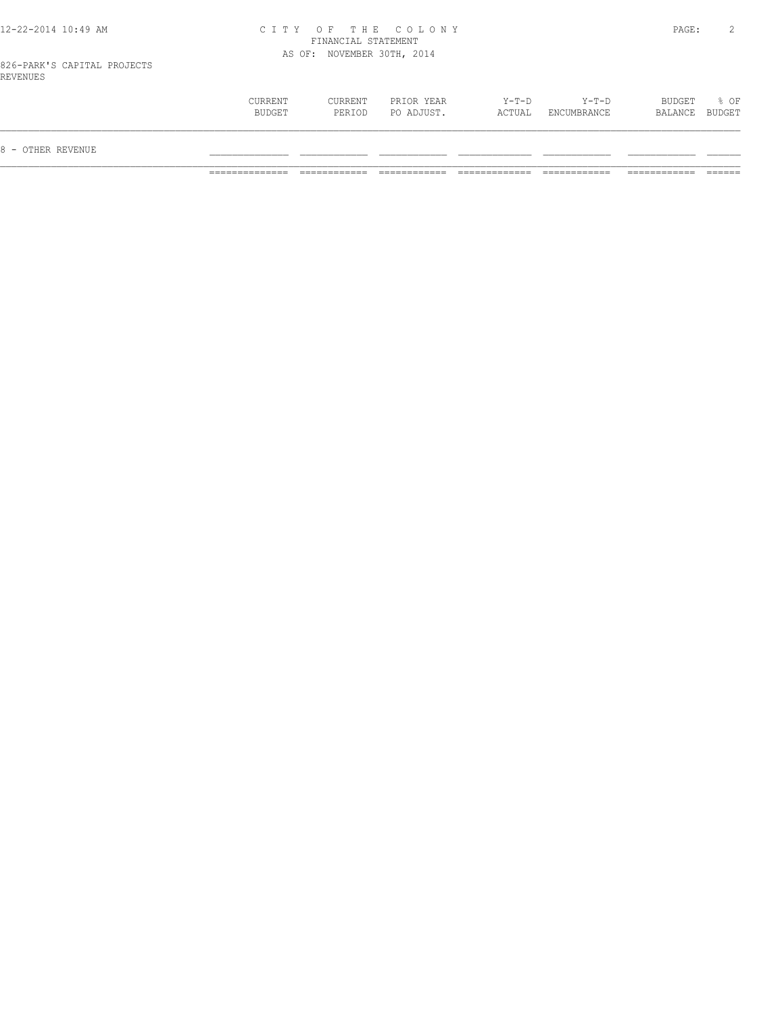## 12-22-2014 10:49 AM C I T Y O F T H E C O L O N Y PAGE: 2 FINANCIAL STATEMENT AS OF: NOVEMBER 30TH, 2014

826-PARK'S CAPITAL PROJECTS REVENUES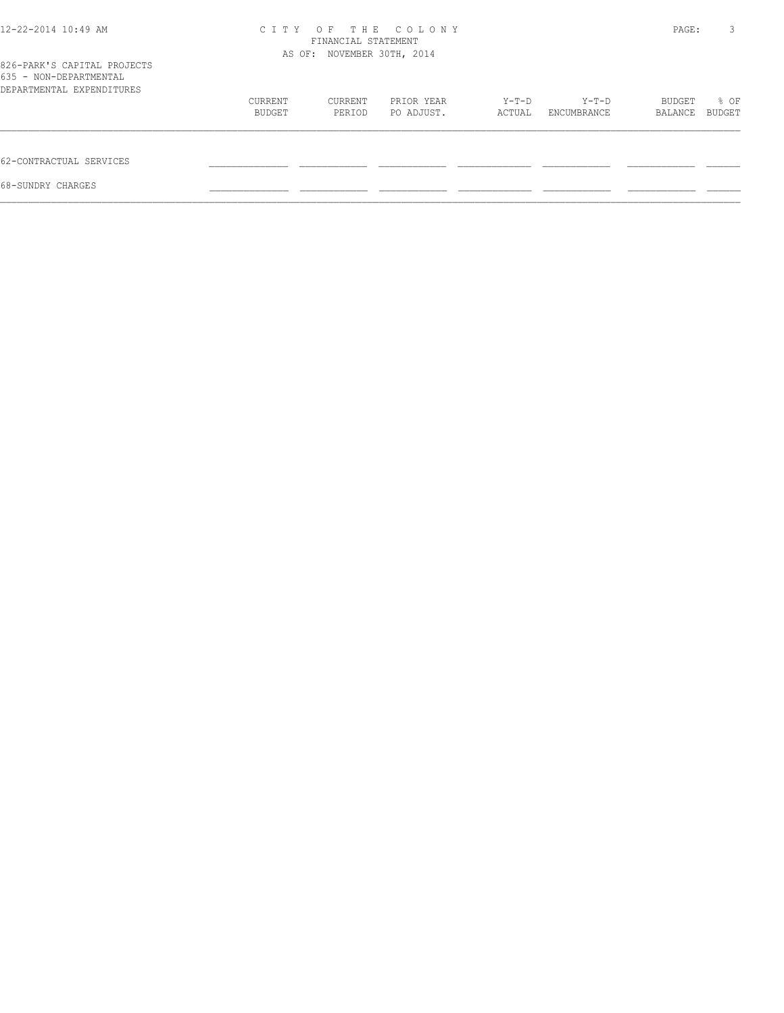| 12-22-2014 10:49 AM                                                                | C T T Y                    | PAGE:   | 3          |        |             |         |               |
|------------------------------------------------------------------------------------|----------------------------|---------|------------|--------|-------------|---------|---------------|
|                                                                                    | AS OF: NOVEMBER 30TH, 2014 |         |            |        |             |         |               |
| 826-PARK'S CAPITAL PROJECTS<br>635 - NON-DEPARTMENTAL<br>DEPARTMENTAL EXPENDITURES |                            |         |            |        |             |         |               |
|                                                                                    | CURRENT                    | CURRENT | PRIOR YEAR | Y-T-D  | Y-T-D       | BUDGET  | % OF          |
|                                                                                    | BUDGET                     | PERIOD  | PO ADJUST. | ACTUAL | ENCUMBRANCE | BALANCE | <b>BUDGET</b> |
| 62-CONTRACTUAL SERVICES                                                            |                            |         |            |        |             |         |               |
| 68-SUNDRY CHARGES                                                                  |                            |         |            |        |             |         |               |
|                                                                                    |                            |         |            |        |             |         |               |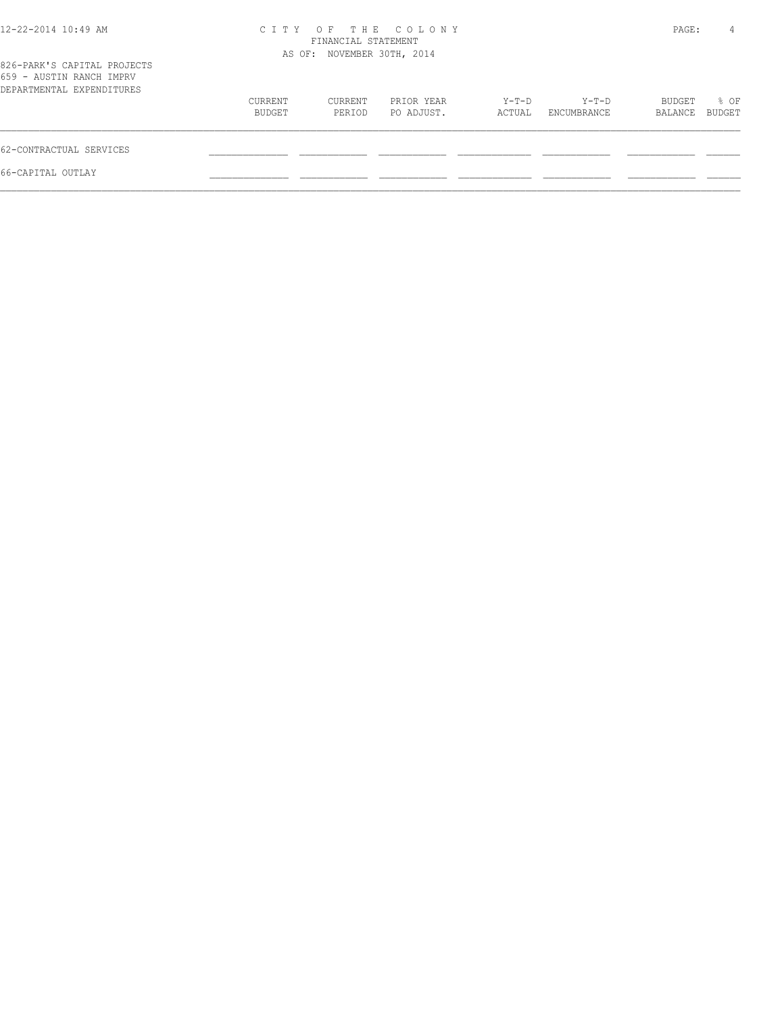| 12-22-2014 10:49 AM                                                                  | CITY OF THE COLONY<br>FINANCIAL STATEMENT<br>AS OF: NOVEMBER 30TH, 2014 |                   |                          |                 |                      |                   | PAGE:<br>4     |
|--------------------------------------------------------------------------------------|-------------------------------------------------------------------------|-------------------|--------------------------|-----------------|----------------------|-------------------|----------------|
| 826-PARK'S CAPITAL PROJECTS<br>659 - AUSTIN RANCH IMPRV<br>DEPARTMENTAL EXPENDITURES |                                                                         |                   |                          |                 |                      |                   |                |
|                                                                                      | CURRENT<br>BUDGET                                                       | CURRENT<br>PERIOD | PRIOR YEAR<br>PO ADJUST. | Y-T-D<br>ACTUAL | Y-T-D<br>ENCUMBRANCE | BUDGET<br>BALANCE | % OF<br>BUDGET |
| 62-CONTRACTUAL SERVICES                                                              |                                                                         |                   |                          |                 |                      |                   |                |
| 66-CAPITAL OUTLAY                                                                    |                                                                         |                   |                          |                 |                      |                   |                |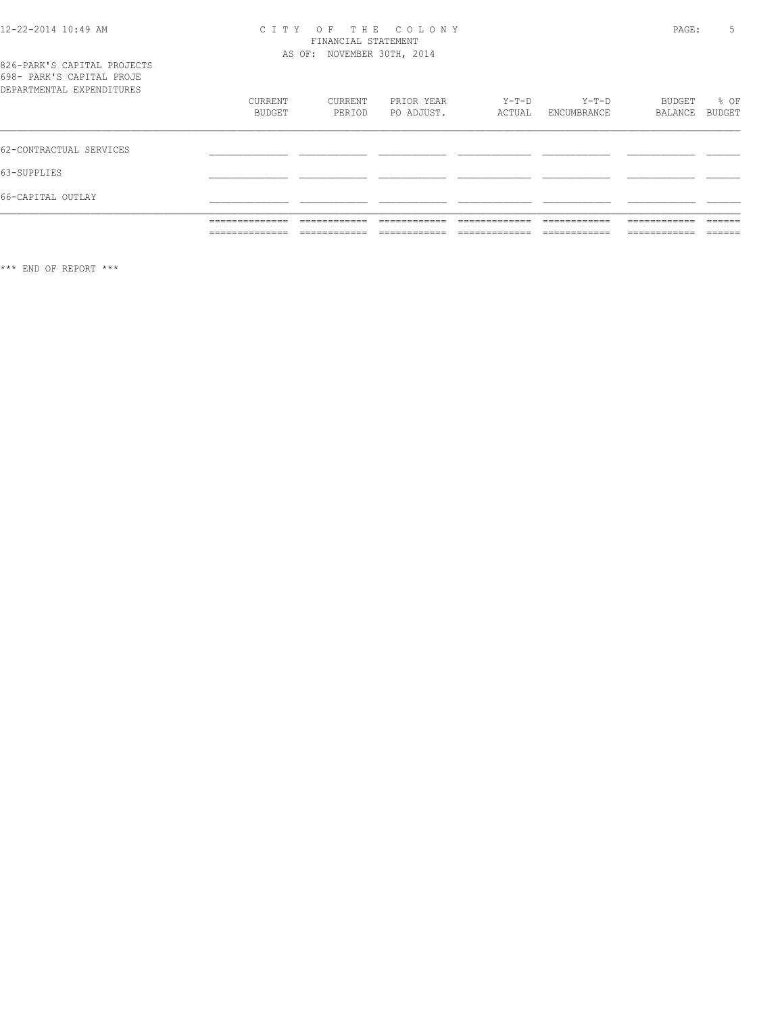# CITY OF THE COLONY<br>
CITY OF THE COLONY<br>
FINANCIAL STATEMENT<br>
AS OF: NOVEMBER 30TH, 2014

| 826-PARK'S CAPITAL PROJECTS |  |
|-----------------------------|--|
| 698- PARK'S CAPITAL PROJE   |  |
| DEPARTMENTAL EXPENDITURES   |  |

| DEPARTMENTAL EXPENDITURES |                                                   |                                                          |                                                        |                                |                                                                 |                                                              |                                       |
|---------------------------|---------------------------------------------------|----------------------------------------------------------|--------------------------------------------------------|--------------------------------|-----------------------------------------------------------------|--------------------------------------------------------------|---------------------------------------|
|                           | CURRENT<br>BUDGET                                 | CURRENT<br>PERIOD                                        | PRIOR YEAR<br>PO ADJUST.                               | $Y-T-D$<br>ACTUAL              | $Y-T-D$<br>ENCUMBRANCE                                          | BUDGET<br>BALANCE                                            | % OF<br>BUDGET                        |
| 62-CONTRACTUAL SERVICES   |                                                   |                                                          |                                                        |                                |                                                                 |                                                              |                                       |
| 63-SUPPLIES               |                                                   |                                                          |                                                        |                                |                                                                 |                                                              |                                       |
| 66-CAPITAL OUTLAY         |                                                   |                                                          |                                                        |                                |                                                                 |                                                              |                                       |
|                           | ______________<br>-------------<br>______________ | ____________<br>_______<br>_____________<br>____________ | ________<br>________<br>--------------<br>____________ | _____________<br>_____________ | ____________<br>____________<br>_____________<br>______________ | ____________<br>__________<br>____________<br>______________ | ______<br>______<br>-------<br>______ |
|                           |                                                   |                                                          |                                                        |                                |                                                                 |                                                              |                                       |

\*\*\* END OF REPORT \*\*\*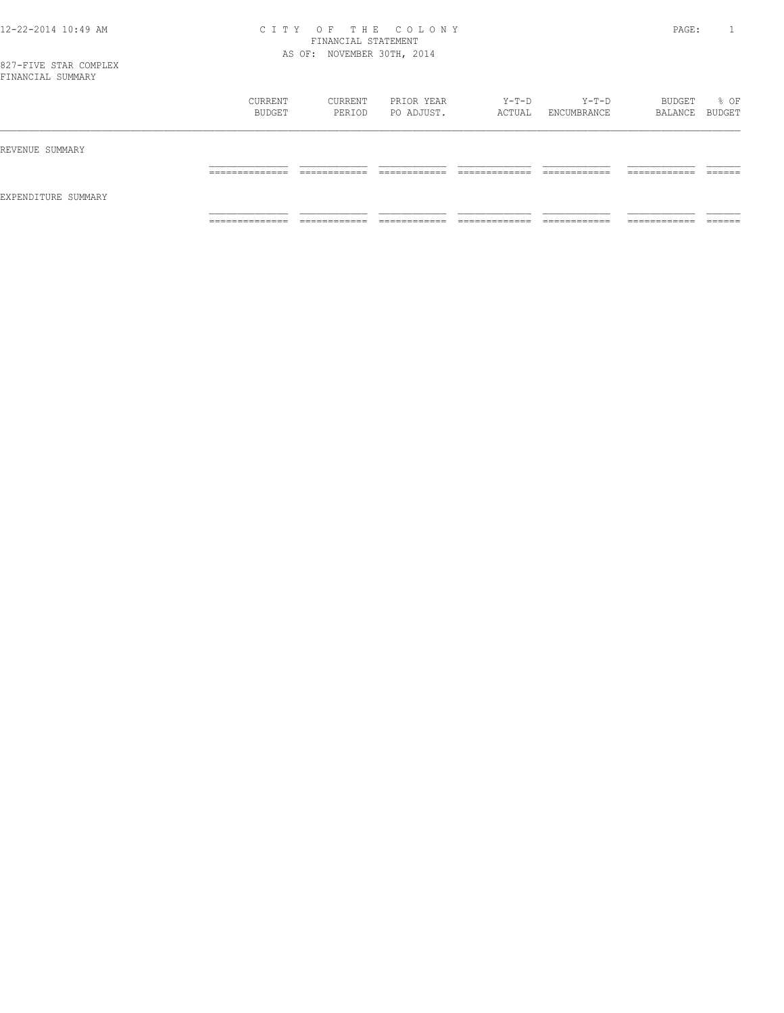## 12-22-2014 10:49 AM C I T Y O F T H E C O L O N Y PAGE: 1 FINANCIAL STATEMENT AS OF: NOVEMBER 30TH, 2014

| IINANCIAL SUMMAKI   |                               |                              |                              |                               |                               |                               |                   |
|---------------------|-------------------------------|------------------------------|------------------------------|-------------------------------|-------------------------------|-------------------------------|-------------------|
|                     | CURRENT<br>BUDGET             | CURRENT<br>PERIOD            | PRIOR YEAR<br>PO ADJUST.     | Y-T-D<br>ACTUAL               | $Y-T-D$<br>ENCUMBRANCE        | BUDGET<br>BALANCE BUDGET      | % OF              |
| REVENUE SUMMARY     |                               |                              |                              |                               |                               |                               |                   |
|                     | ______________<br>___________ | ------------<br>____________ | ------------<br>____________ | ____________<br>_____________ | -------------<br>____________ | -------------<br>____________ | -------<br>______ |
| EXPENDITURE SUMMARY |                               |                              |                              |                               |                               |                               |                   |
|                     |                               |                              |                              |                               |                               |                               |                   |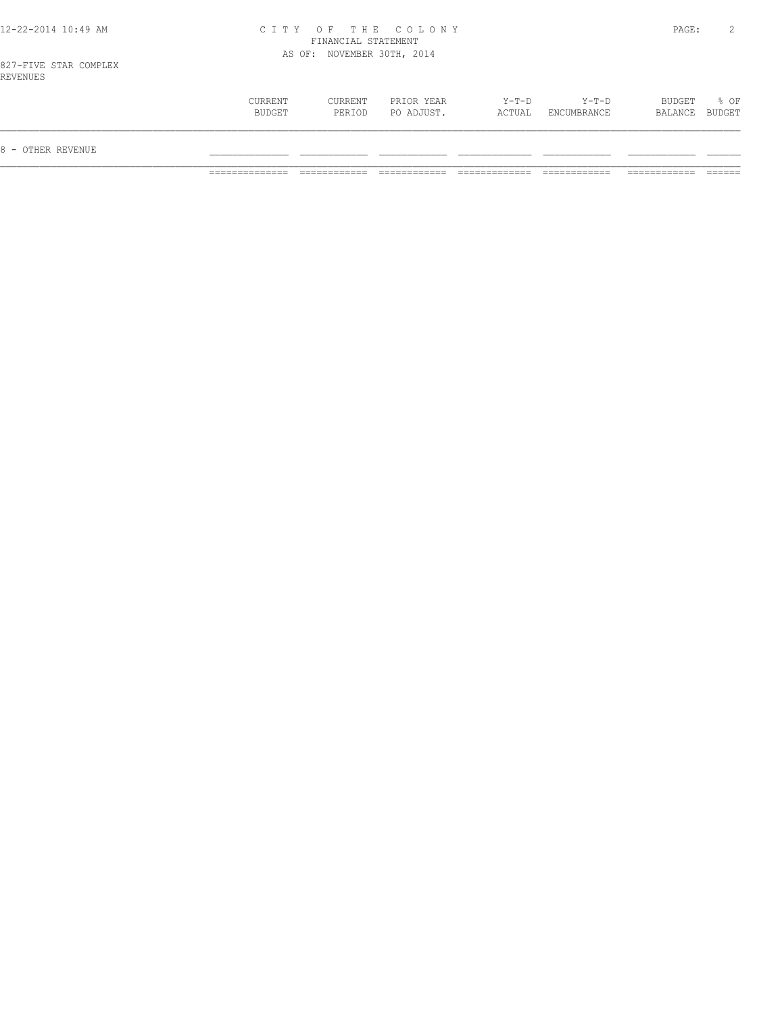## 12-22-2014 10:49 AM C I T Y O F T H E C O L O N Y PAGE: 2 FINANCIAL STATEMENT AS OF: NOVEMBER 30TH, 2014

827-FIVE STAR COMPLEX REVENUES

| 8 - OTHER REVENUE |                   |                   |                          |                 |                        |                          |      |
|-------------------|-------------------|-------------------|--------------------------|-----------------|------------------------|--------------------------|------|
|                   | CURRENT<br>BUDGET | CURRENT<br>PERIOD | PRIOR YEAR<br>PO ADJUST. | Y-T-D<br>ACTUAL | $Y-T-D$<br>ENCUMBRANCE | BUDGET<br>BALANCE BUDGET | % OF |
| ---------         |                   |                   |                          |                 |                        |                          |      |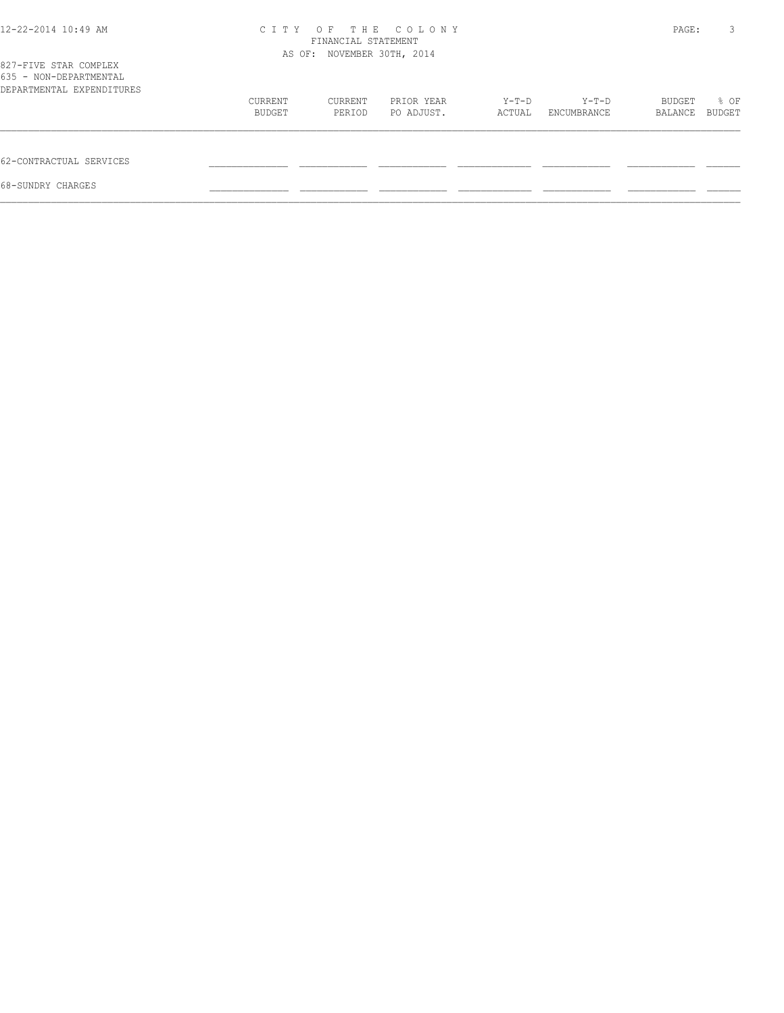| 12-22-2014 10:49 AM                                                          | C T T Y | THE<br>O F<br>FINANCIAL STATEMENT | COLONY     |        |             | PAGE:   | 3      |
|------------------------------------------------------------------------------|---------|-----------------------------------|------------|--------|-------------|---------|--------|
| 827-FIVE STAR COMPLEX<br>635 - NON-DEPARTMENTAL<br>DEPARTMENTAL EXPENDITURES |         | AS OF: NOVEMBER 30TH, 2014        |            |        |             |         |        |
|                                                                              | CURRENT | CURRENT                           | PRIOR YEAR | Y-T-D  | Y-T-D       | BUDGET  | % OF   |
|                                                                              | BUDGET  | PERIOD                            | PO ADJUST. | ACTUAL | ENCUMBRANCE | BALANCE | BUDGET |
| 62-CONTRACTUAL SERVICES                                                      |         |                                   |            |        |             |         |        |
| 68-SUNDRY CHARGES                                                            |         |                                   |            |        |             |         |        |
|                                                                              |         |                                   |            |        |             |         |        |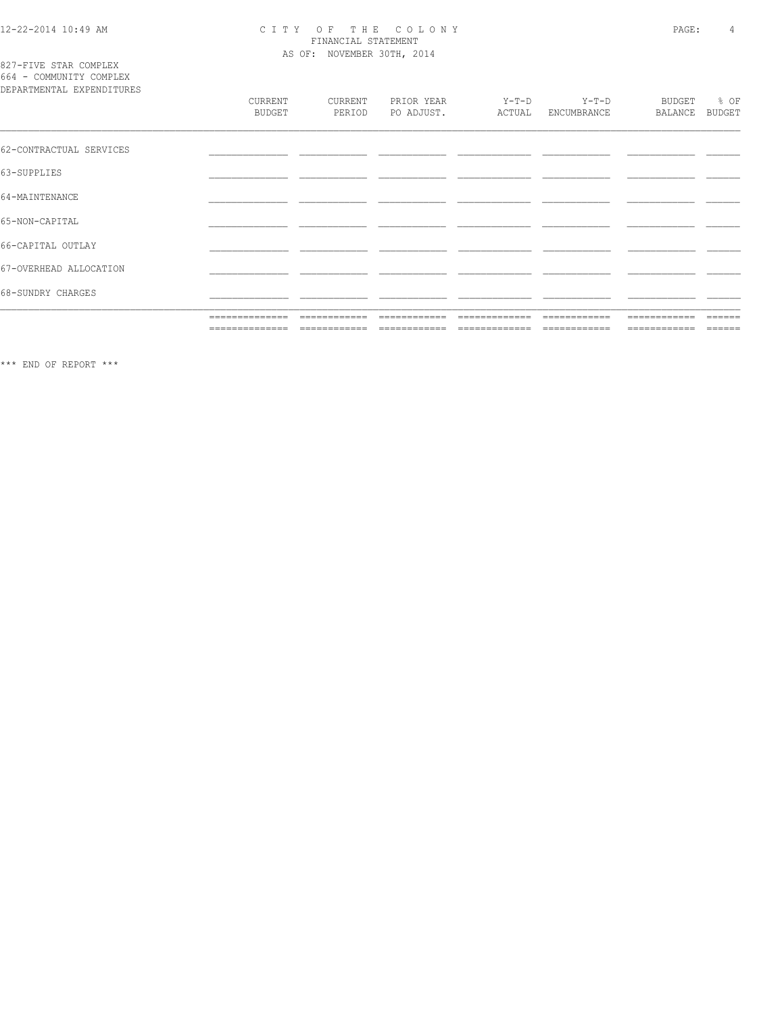# CITY OF THE COLONY<br>
CITY OF THE COLONY<br>
FINANCIAL STATEMENT<br>
AS OF: NOVEMBER 30TH, 2014

827-FIVE STAR COMPLEX<br>664 - COMMUNITY COMPLEX

| DEPARTMENTAL EXPENDITURES |                   |                   |                          |                   |                        |                          |                       |
|---------------------------|-------------------|-------------------|--------------------------|-------------------|------------------------|--------------------------|-----------------------|
|                           | CURRENT<br>BUDGET | CURRENT<br>PERIOD | PRIOR YEAR<br>PO ADJUST. | $Y-T-D$<br>ACTUAL | $Y-T-D$<br>ENCUMBRANCE | <b>BUDGET</b><br>BALANCE | % OF<br><b>BUDGET</b> |
| 62-CONTRACTUAL SERVICES   |                   |                   |                          |                   |                        |                          |                       |
| 63-SUPPLIES               |                   |                   |                          |                   |                        |                          |                       |
| 64-MAINTENANCE            |                   |                   |                          |                   |                        |                          |                       |
| 65-NON-CAPITAL            |                   |                   |                          |                   |                        |                          |                       |
| 66-CAPITAL OUTLAY         |                   |                   |                          |                   |                        |                          |                       |
| 67-OVERHEAD ALLOCATION    |                   |                   |                          |                   |                        |                          |                       |
| 68-SUNDRY CHARGES         |                   |                   |                          |                   |                        |                          |                       |
|                           | ==============    | ============      | ============             | =============     | ============           | ============             | $- - - - -$           |
|                           | ==============    | ============      | ------------             | -------------     | ============           | ============             | $=$ $=$ $=$ $=$ $=$   |

 $\star\star\star$  END OF REPORT  $\star\star\star$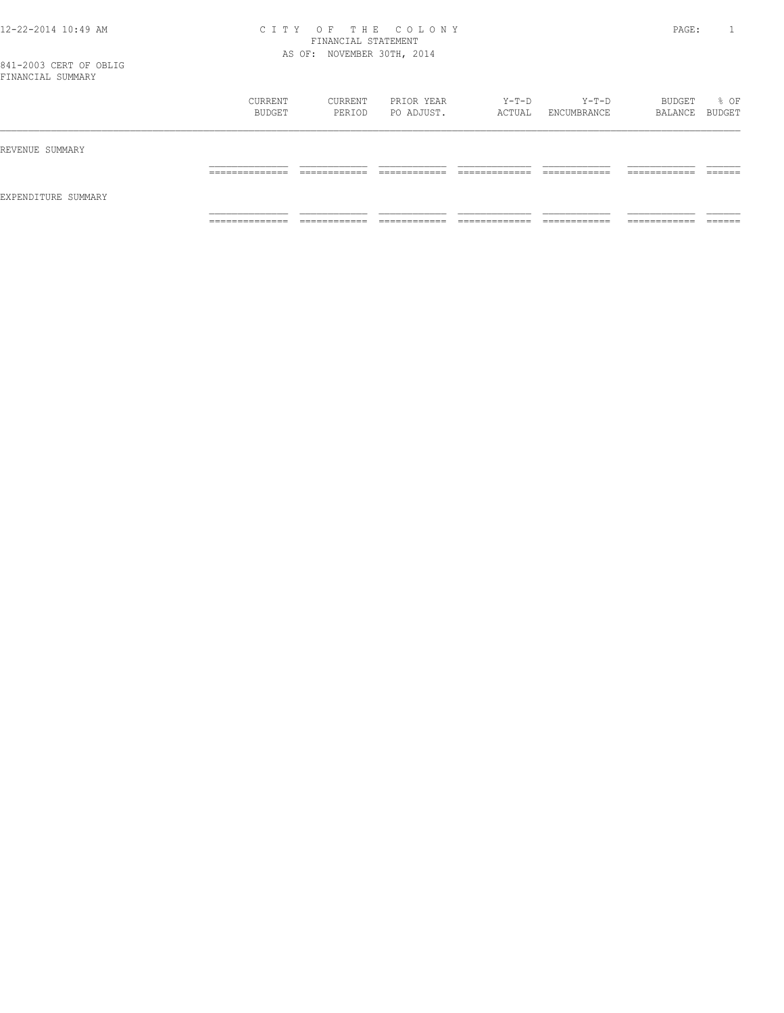## 12-22-2014 10:49 AM C I T Y O F T H E C O L O N Y PAGE: 1 FINANCIAL STATEMENT AS OF: NOVEMBER 30TH, 2014

| I INANCIAL SUMMARI  |                                  |                               |                               |                                |                               |                               |                    |
|---------------------|----------------------------------|-------------------------------|-------------------------------|--------------------------------|-------------------------------|-------------------------------|--------------------|
|                     | CURRENT<br>BUDGET                | CURRENT<br>PERIOD             | PRIOR YEAR<br>PO ADJUST.      | Y-T-D<br>ACTUAL                | Y-T-D<br>ENCUMBRANCE          | BUDGET<br>BALANCE BUDGET      | % OF               |
| REVENUE SUMMARY     |                                  |                               |                               |                                |                               |                               |                    |
|                     | ______________<br>-------------  | -------------<br>____________ | -------------<br>____________ | _____________<br>_____________ | _____________<br>____________ | -------------<br>-----------  | -------<br>_______ |
| EXPENDITURE SUMMARY |                                  |                               |                               |                                |                               |                               |                    |
|                     | ______________<br>______________ | ------------<br>____________  | -------------<br>____________ | _____________<br>_____________ | ------------<br>____________  | -------------<br>____________ | -------<br>_______ |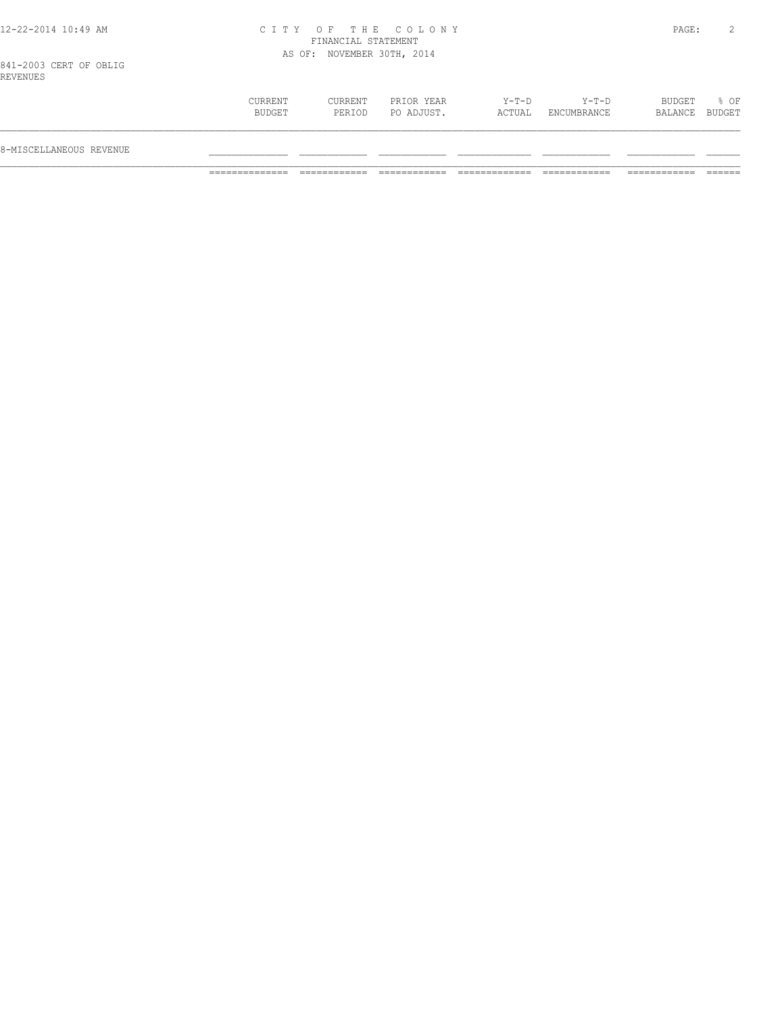## 12-22-2014 10:49 AM C I T Y O F T H E C O L O N Y PAGE: 2 FINANCIAL STATEMENT AS OF: NOVEMBER 30TH, 2014

841-2003 CERT OF OBLIG REVENUES

| 8-MISCELLANEOUS REVENUE |                   |                   |                          |                 |                        |                   |                |
|-------------------------|-------------------|-------------------|--------------------------|-----------------|------------------------|-------------------|----------------|
|                         | CURRENT<br>BUDGET | CURRENT<br>PERIOD | PRIOR YEAR<br>PO ADJUST. | Y-T-D<br>ACTUAL | $Y-T-D$<br>ENCUMBRANCE | BUDGET<br>BALANCE | % OF<br>BUDGET |
|                         |                   |                   |                          |                 |                        |                   |                |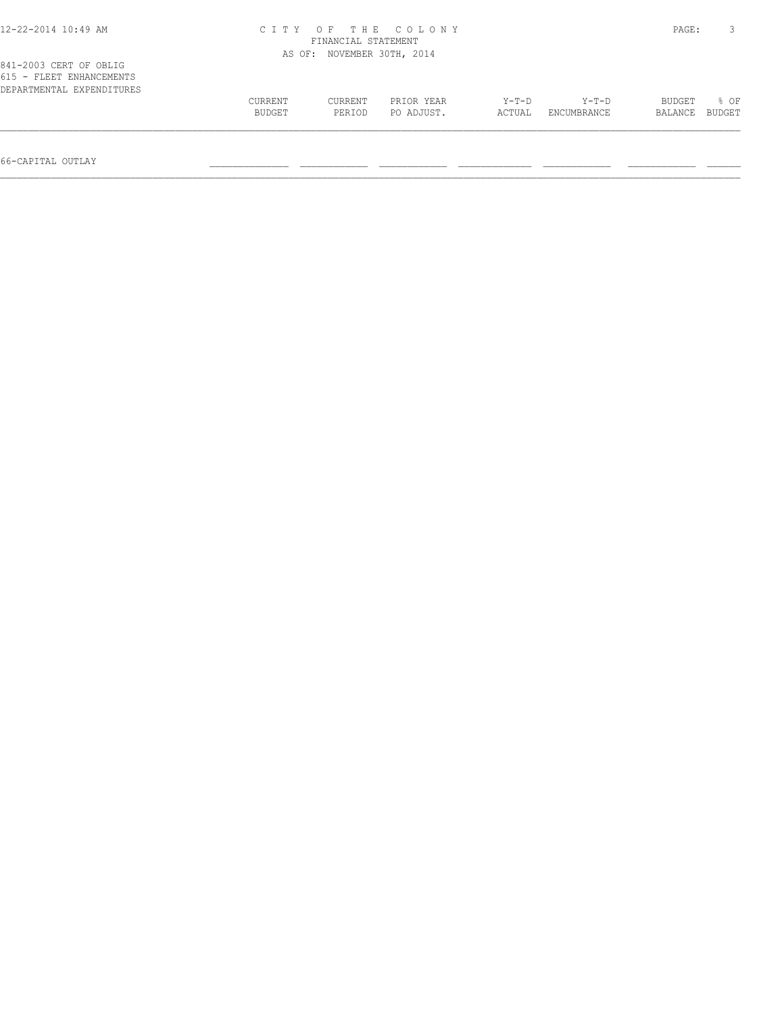| 12-22-2014 10:49 AM                                                             |                          | FINANCIAL STATEMENT | CITY OF THE COLONY       |                   |                        | PAGE:             |                |
|---------------------------------------------------------------------------------|--------------------------|---------------------|--------------------------|-------------------|------------------------|-------------------|----------------|
|                                                                                 | AS OF:                   |                     | NOVEMBER 30TH, 2014      |                   |                        |                   |                |
| 841-2003 CERT OF OBLIG<br>615 - FLEET ENHANCEMENTS<br>DEPARTMENTAL EXPENDITURES | CURRENT<br><b>BUDGET</b> | CURRENT<br>PERIOD   | PRIOR YEAR<br>PO ADJUST. | $Y-T-D$<br>ACTUAL | $Y-T-D$<br>ENCUMBRANCE | BUDGET<br>BALANCE | 8 OF<br>BUDGET |

66-CAPITAL OUTLAY \_\_\_\_\_\_\_\_\_\_\_\_\_\_ \_\_\_\_\_\_\_\_\_\_\_\_ \_\_\_\_\_\_\_\_\_\_\_\_ \_\_\_\_\_\_\_\_\_\_\_\_\_ \_\_\_\_\_\_\_\_\_\_\_\_ \_\_\_\_\_\_\_\_\_\_\_\_ \_\_\_\_\_\_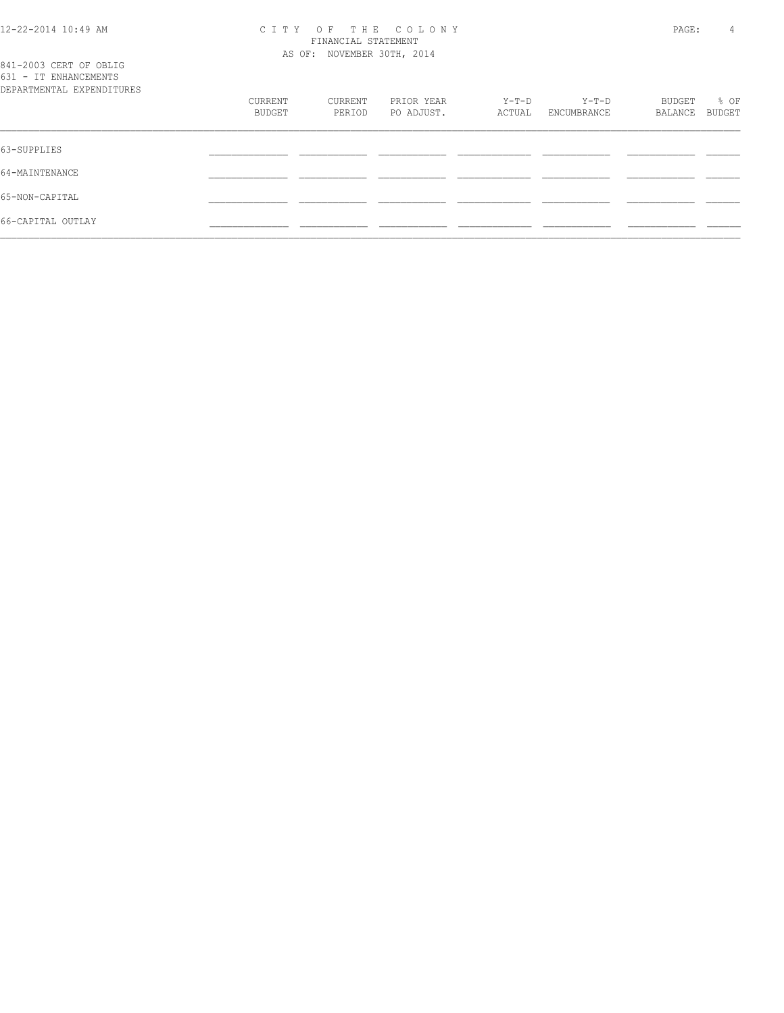#### 12-22-2014 10:49 AM C I T Y O F T H E C O L O N Y PAGE: 4 FINANCIAL STATEMENT AS OF: NOVEMBER 30TH, 2014

| 841-2003 CERT OF OBLIG<br>631 - IT ENHANCEMENTS<br>DEPARTMENTAL EXPENDITURES |                   |                   |                          |                 |                        |                   |                |
|------------------------------------------------------------------------------|-------------------|-------------------|--------------------------|-----------------|------------------------|-------------------|----------------|
|                                                                              | CURRENT<br>BUDGET | CURRENT<br>PERIOD | PRIOR YEAR<br>PO ADJUST. | Y-T-D<br>ACTUAL | $Y-T-D$<br>ENCUMBRANCE | BUDGET<br>BALANCE | % OF<br>BUDGET |
| 63-SUPPLIES                                                                  |                   |                   |                          |                 |                        |                   |                |
| 64-MAINTENANCE                                                               |                   |                   |                          |                 |                        |                   |                |
| 65-NON-CAPITAL                                                               |                   |                   |                          |                 |                        |                   |                |
| 66-CAPITAL OUTLAY                                                            |                   |                   |                          |                 |                        |                   |                |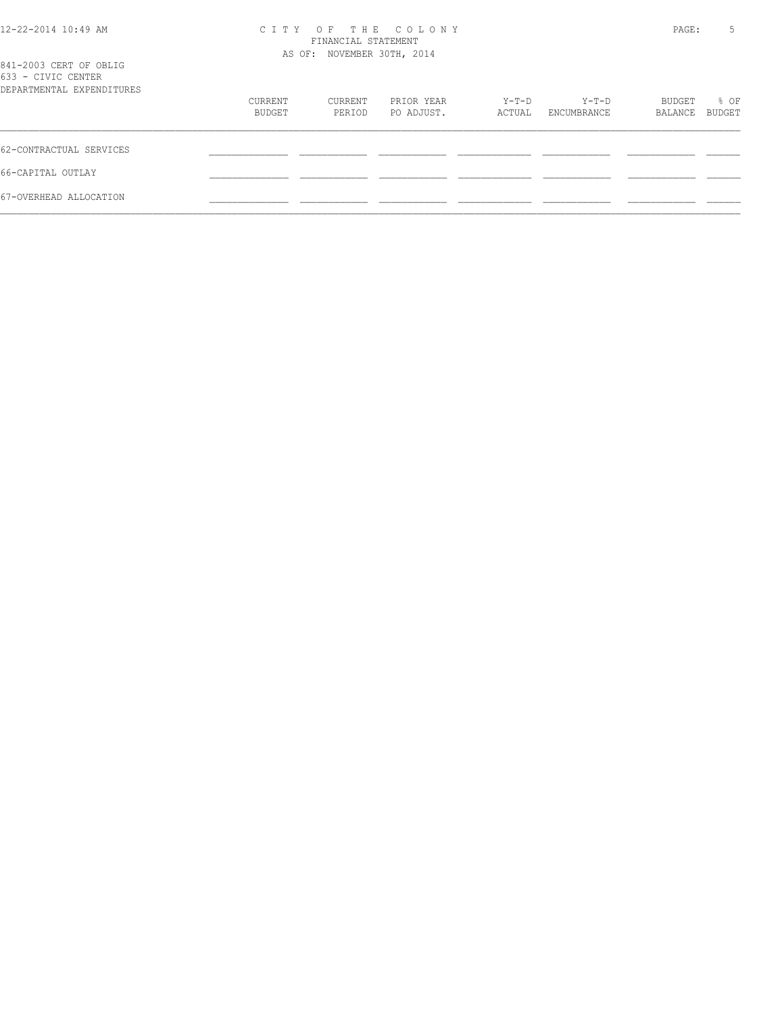| 12-22-2014 10:49 AM |  |
|---------------------|--|
|---------------------|--|

# 12-22-2014 10:49 AM C I T Y O F T H E C O L O N Y PAGE: 5 FINANCIAL STATEMENT

| 841-2003 CERT OF OBLIG<br>633 - CIVIC CENTER |                   | AS OF: NOVEMBER 30TH, 2014 |                          |                 |                      |                   |                       |
|----------------------------------------------|-------------------|----------------------------|--------------------------|-----------------|----------------------|-------------------|-----------------------|
| DEPARTMENTAL EXPENDITURES                    |                   |                            |                          |                 |                      |                   |                       |
|                                              | CURRENT<br>BUDGET | CURRENT<br>PERIOD          | PRIOR YEAR<br>PO ADJUST. | Y-T-D<br>ACTUAL | Y-T-D<br>ENCUMBRANCE | BUDGET<br>BALANCE | % OF<br><b>BUDGET</b> |
| 62-CONTRACTUAL SERVICES                      |                   |                            |                          |                 |                      |                   |                       |
| 66-CAPITAL OUTLAY                            |                   |                            |                          |                 |                      |                   |                       |
| 67-OVERHEAD ALLOCATION                       |                   |                            |                          |                 |                      |                   |                       |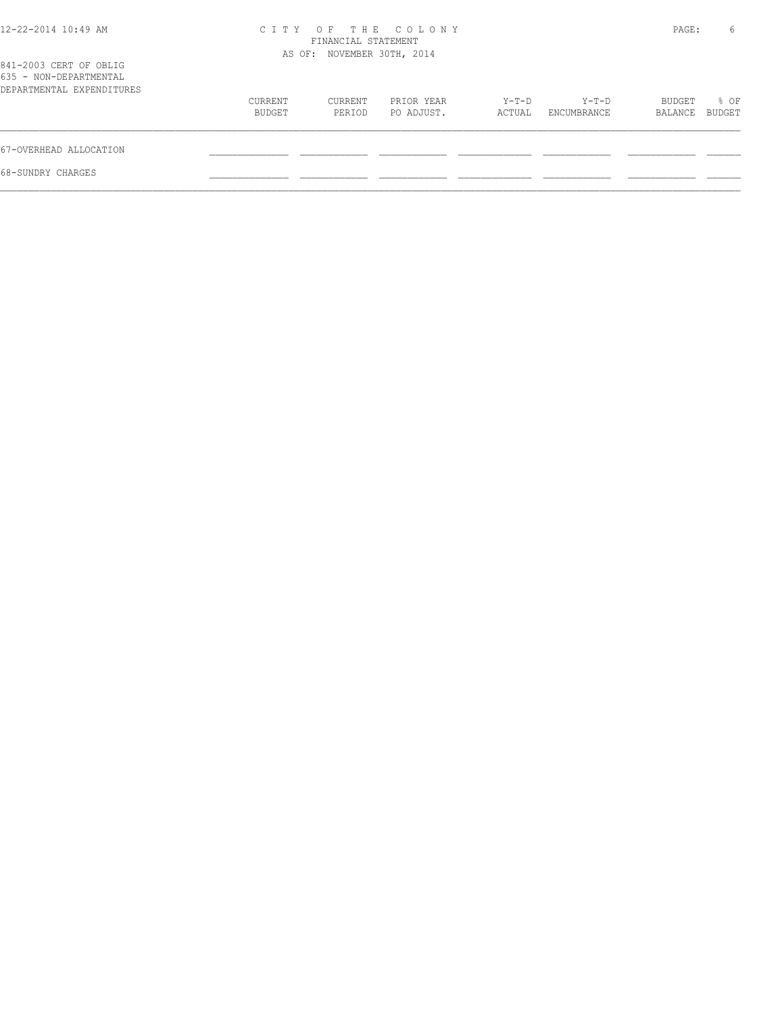| C T T Y | OF.     |            |                                                                               |         |             | 6                |
|---------|---------|------------|-------------------------------------------------------------------------------|---------|-------------|------------------|
|         |         |            |                                                                               |         |             |                  |
| CURRENT | CURRENT | PRIOR YEAR | Y-T-D                                                                         | $Y-T-D$ | BUDGET      | % OF<br>BUDGET   |
|         |         |            |                                                                               |         |             |                  |
|         |         |            |                                                                               |         |             |                  |
|         |         |            |                                                                               |         |             |                  |
|         | BUDGET  | PERIOD     | THE COLONY<br>FINANCIAL STATEMENT<br>AS OF: NOVEMBER 30TH, 2014<br>PO ADJUST. | ACTUAL  | ENCUMBRANCE | PAGE:<br>BALANCE |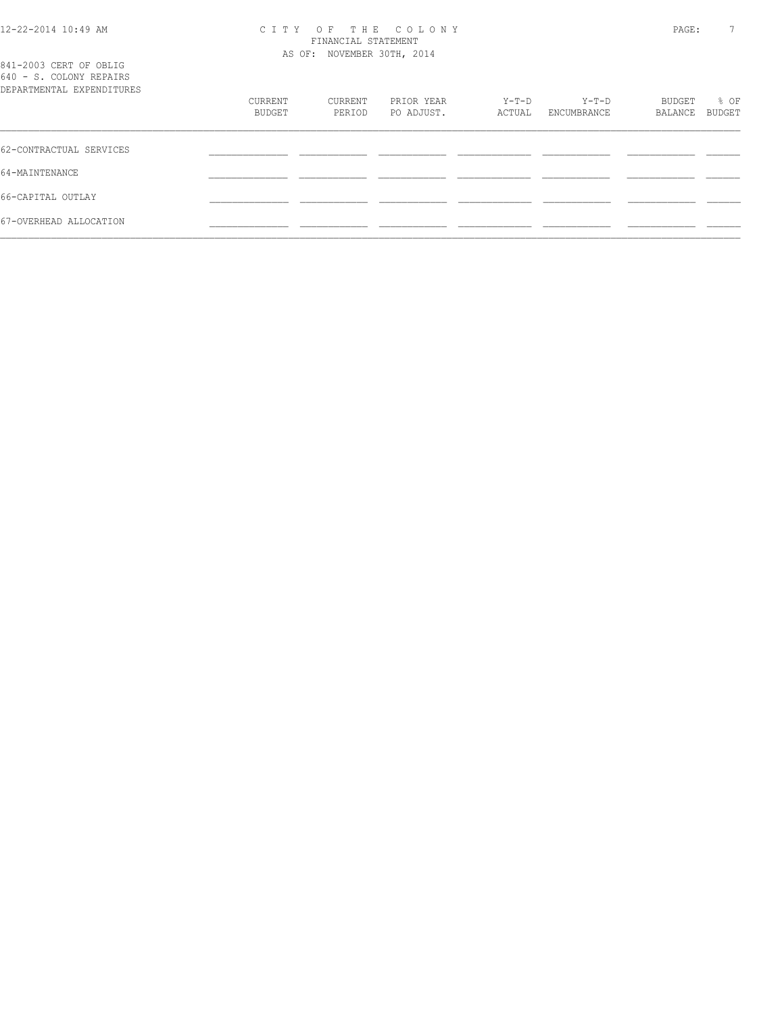#### 12-22-2014 10:49 AM C I T Y O F T H E C O L O N Y PAGE: 7 FINANCIAL STATEMENT AS OF: NOVEMBER 30TH, 2014

| 841-2003 CERT OF OBLIG<br>640 - S. COLONY REPAIRS<br>DEPARTMENTAL EXPENDITURES |                   |                   |                          |                 |                      |                   |                |
|--------------------------------------------------------------------------------|-------------------|-------------------|--------------------------|-----------------|----------------------|-------------------|----------------|
|                                                                                | CURRENT<br>BUDGET | CURRENT<br>PERIOD | PRIOR YEAR<br>PO ADJUST. | Y-T-D<br>ACTUAL | Y-T-D<br>ENCUMBRANCE | BUDGET<br>BALANCE | % OF<br>BUDGET |
| 62-CONTRACTUAL SERVICES                                                        |                   |                   |                          |                 |                      |                   |                |
| 64-MAINTENANCE                                                                 |                   |                   |                          |                 |                      |                   |                |
| 66-CAPITAL OUTLAY                                                              |                   |                   |                          |                 |                      |                   |                |
| 67-OVERHEAD ALLOCATION                                                         |                   |                   |                          |                 |                      |                   |                |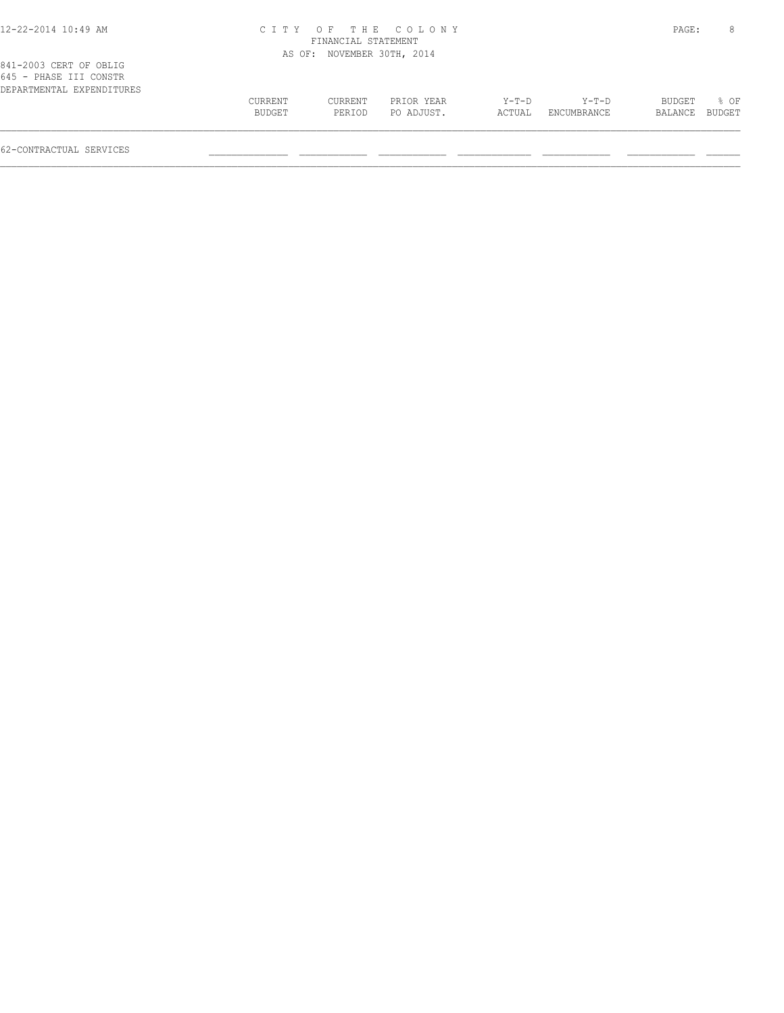#### 12-22-2014 10:49 AM C I T Y O F T H E C O L O N Y PAGE: 8 FINANCIAL STATEMENT AS OF: NOVEMBER 30TH, 2014

| 841-2003 CERT OF OBLIG    |  |
|---------------------------|--|
| 645 - PHASE III CONSTR    |  |
| DEPARTMENTAL EXPENDITURES |  |
|                           |  |

| 041-Zuuj ulki ul ublig    |         |         |            |       |                    |                |        |
|---------------------------|---------|---------|------------|-------|--------------------|----------------|--------|
| 645 - PHASE III CONSTR    |         |         |            |       |                    |                |        |
| DEPARTMENTAL EXPENDITURES |         |         |            |       |                    |                |        |
|                           | CURRENT | CURRENT | PRIOR YEAR | Y-T-D | Y-T-D              | BUDGET         | $8$ OF |
|                           | BUDGET  | PERIOD  | PO ADJUST. |       | ACTUAL ENCUMBRANCE | BALANCE BUDGET |        |
|                           |         |         |            |       |                    |                |        |

62-CONTRACTUAL SERVICES \_\_\_\_\_\_\_\_\_\_\_\_\_\_ \_\_\_\_\_\_\_\_\_\_\_\_ \_\_\_\_\_\_\_\_\_\_\_\_ \_\_\_\_\_\_\_\_\_\_\_\_\_ \_\_\_\_\_\_\_\_\_\_\_\_ \_\_\_\_\_\_\_\_\_\_\_\_ \_\_\_\_\_\_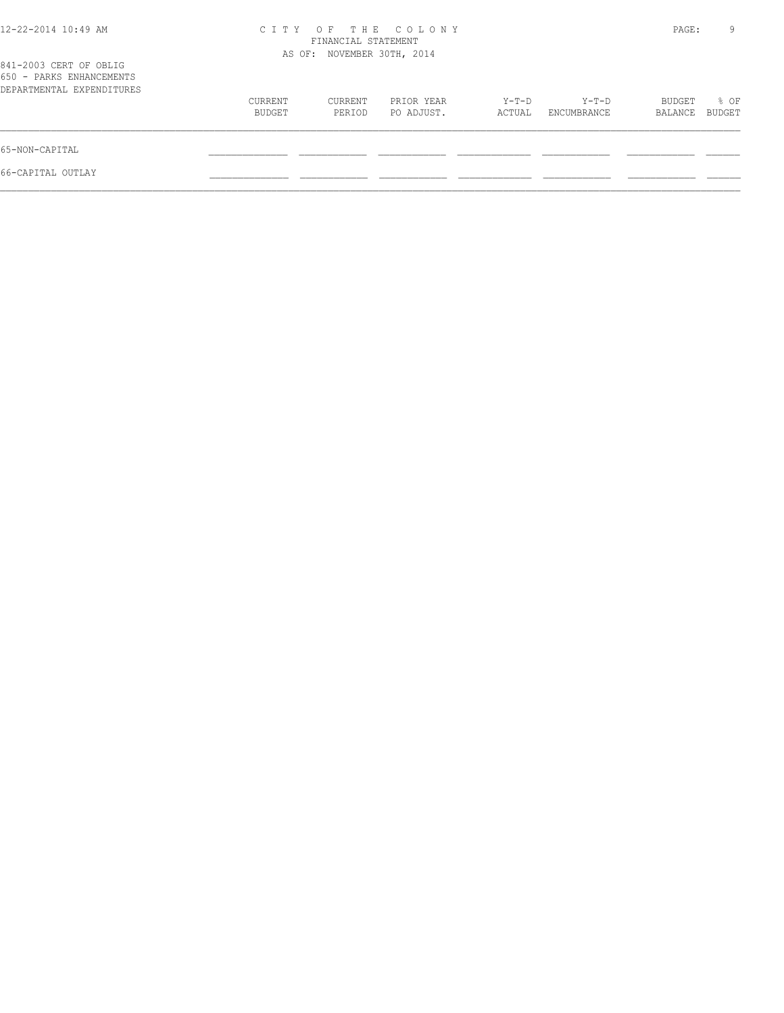| 12-22-2014 10:49 AM                                                             |                   | FINANCIAL STATEMENT        | CITY OF THE COLONY       |                 |                      | PAGE:             | 9              |
|---------------------------------------------------------------------------------|-------------------|----------------------------|--------------------------|-----------------|----------------------|-------------------|----------------|
| 841-2003 CERT OF OBLIG<br>650 - PARKS ENHANCEMENTS<br>DEPARTMENTAL EXPENDITURES |                   | AS OF: NOVEMBER 30TH, 2014 |                          |                 |                      |                   |                |
|                                                                                 | CURRENT<br>BUDGET | CURRENT<br>PERIOD          | PRIOR YEAR<br>PO ADJUST. | Y-T-D<br>ACTUAL | Y-T-D<br>ENCUMBRANCE | BUDGET<br>BALANCE | % OF<br>BUDGET |
| 65-NON-CAPITAL                                                                  |                   |                            |                          |                 |                      |                   |                |
| 66-CAPITAL OUTLAY                                                               |                   |                            |                          |                 |                      |                   |                |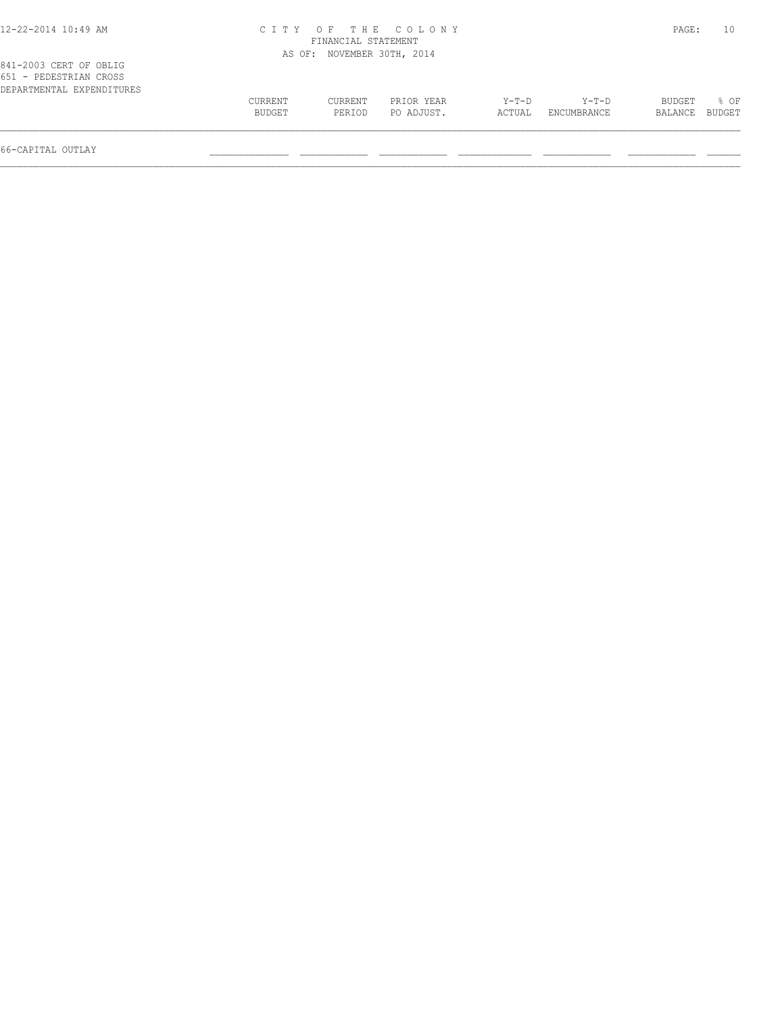# 12-22-2014 10:49 AM C I T Y O F T H E C O L O N Y PAGE: 10 FINANCIAL STATEMENT

|                                                  |         |         | AS OF: NOVEMBER 30TH, 2014 |         |             |         |        |
|--------------------------------------------------|---------|---------|----------------------------|---------|-------------|---------|--------|
| 841-2003 CERT OF OBLIG<br>651 - PEDESTRIAN CROSS |         |         |                            |         |             |         |        |
| DEPARTMENTAL EXPENDITURES                        |         |         |                            |         |             |         |        |
|                                                  | CURRENT | CURRENT | PRIOR YEAR                 | $Y-T-D$ | $Y-T-D$     | BUDGET  | $8$ OF |
|                                                  | BUDGET  | PERIOD  | PO ADJUST.                 | ACTUAL  | ENCUMBRANCE | BALANCE | BUDGET |
|                                                  |         |         |                            |         |             |         |        |

66-CAPITAL OUTLAY \_\_\_\_\_\_\_\_\_\_\_\_\_\_ \_\_\_\_\_\_\_\_\_\_\_\_ \_\_\_\_\_\_\_\_\_\_\_\_ \_\_\_\_\_\_\_\_\_\_\_\_\_ \_\_\_\_\_\_\_\_\_\_\_\_ \_\_\_\_\_\_\_\_\_\_\_\_ \_\_\_\_\_\_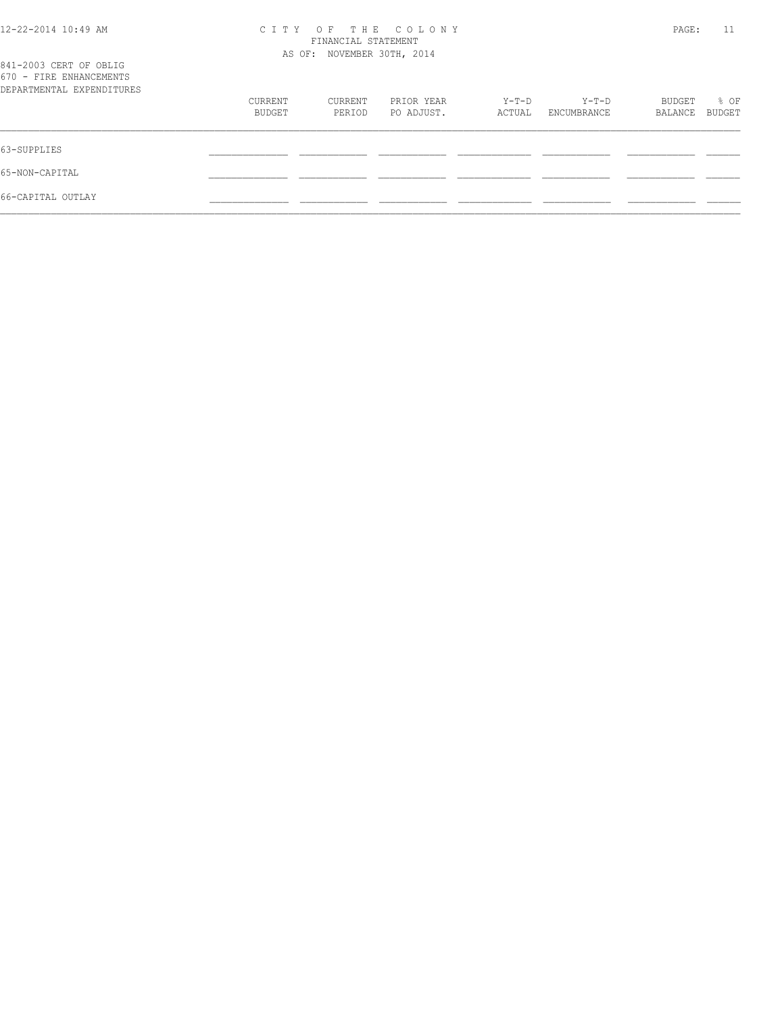|  |  |  |  | 12-22-2014 10:49 AM |  |
|--|--|--|--|---------------------|--|
|--|--|--|--|---------------------|--|

# 12-22-2014 10:49 AM C I T Y O F T H E C O L O N Y PAGE: 11 FINANCIAL STATEMENT

| 841-2003 CERT OF OBLIG                               |                   | AS OF: NOVEMBER 30TH, 2014 |                          |                 |                        |                   |                |
|------------------------------------------------------|-------------------|----------------------------|--------------------------|-----------------|------------------------|-------------------|----------------|
| 670 - FIRE ENHANCEMENTS<br>DEPARTMENTAL EXPENDITURES |                   |                            |                          |                 |                        |                   |                |
|                                                      | CURRENT<br>BUDGET | CURRENT<br>PERIOD          | PRIOR YEAR<br>PO ADJUST. | Y-T-D<br>ACTUAL | $Y-T-D$<br>ENCUMBRANCE | BUDGET<br>BALANCE | % OF<br>BUDGET |
| 63-SUPPLIES                                          |                   |                            |                          |                 |                        |                   |                |
| 65-NON-CAPITAL                                       |                   |                            |                          |                 |                        |                   |                |
| 66-CAPITAL OUTLAY                                    |                   |                            |                          |                 |                        |                   |                |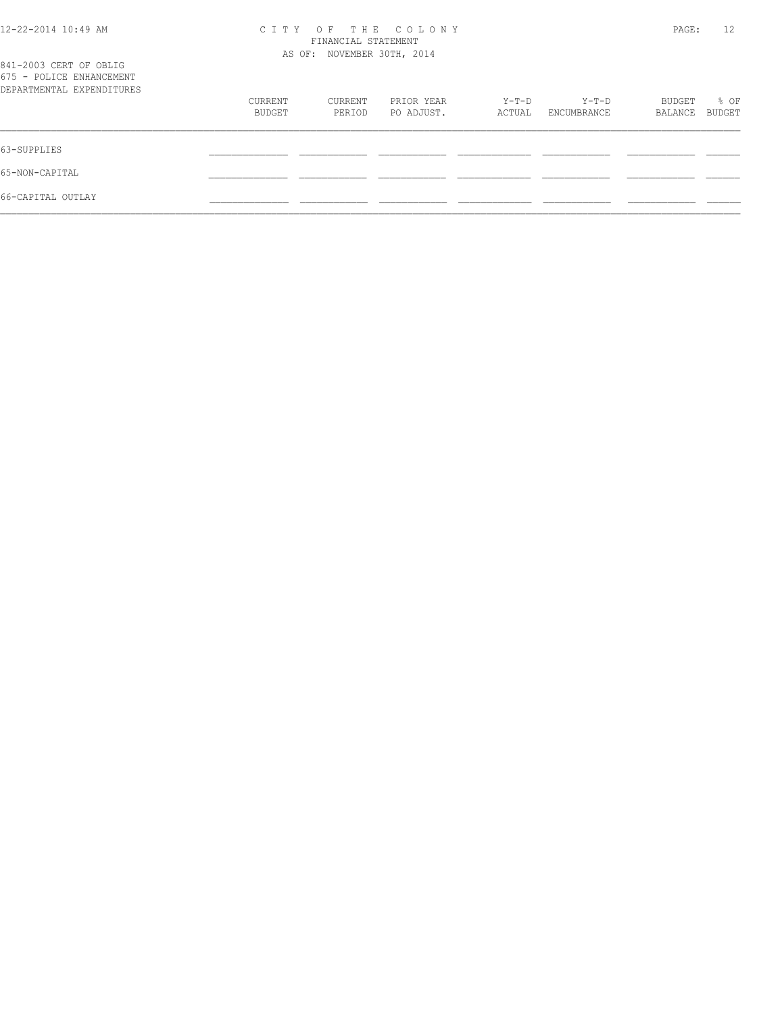# 12-22-2014 10:49 AM C I T Y O F T H E C O L O N Y PAGE: 12 FINANCIAL STATEMENT

| 841-2003 CERT OF OBLIG<br>675 - POLICE ENHANCEMENT |                   | AS OF: NOVEMBER 30TH, 2014 |                          |                   |                        |                          |                |
|----------------------------------------------------|-------------------|----------------------------|--------------------------|-------------------|------------------------|--------------------------|----------------|
| DEPARTMENTAL EXPENDITURES                          |                   |                            |                          |                   |                        |                          |                |
|                                                    | CURRENT<br>BUDGET | CURRENT<br>PERIOD          | PRIOR YEAR<br>PO ADJUST. | $Y-T-D$<br>ACTUAL | $Y-T-D$<br>ENCUMBRANCE | <b>BUDGET</b><br>BALANCE | % OF<br>BUDGET |
| 63-SUPPLIES                                        |                   |                            |                          |                   |                        |                          |                |
| 65-NON-CAPITAL                                     |                   |                            |                          |                   |                        |                          |                |
| 66-CAPITAL OUTLAY                                  |                   |                            |                          |                   |                        |                          |                |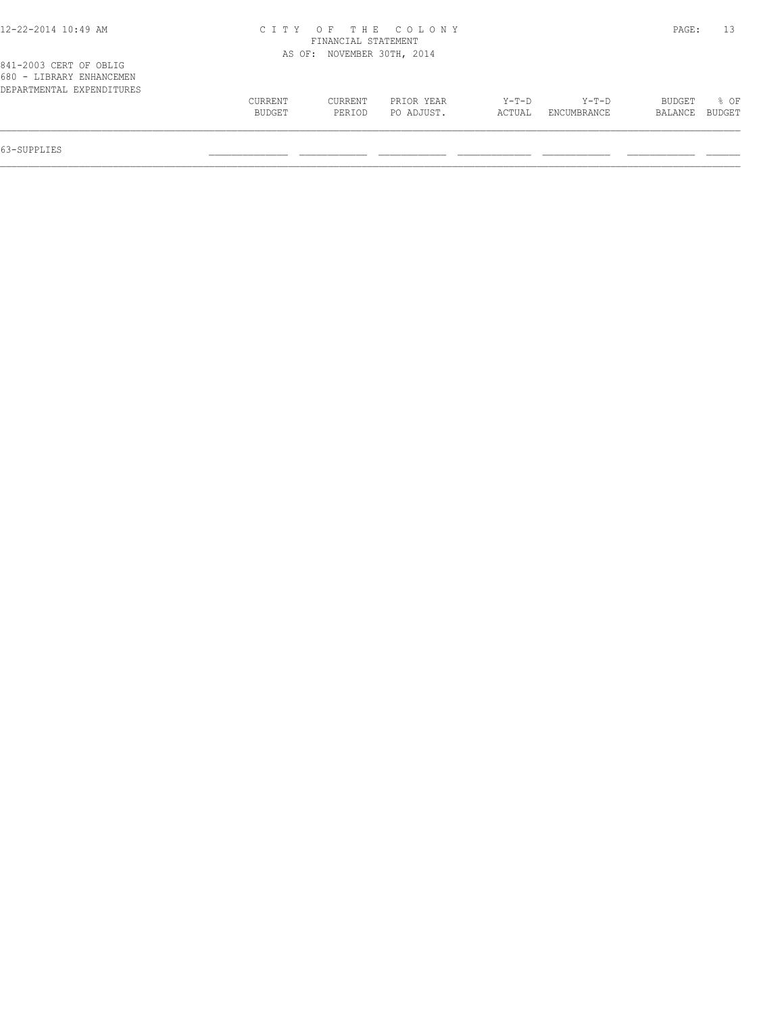| 12-22-2014 10:49 AM |  |  |
|---------------------|--|--|
|---------------------|--|--|

# 12-22-2014 10:49 AM C I T Y O F T H E C O L O N Y PAGE: 13 FINANCIAL STATEMENT

|                                                                                 |                   |                   | AS OF: NOVEMBER 30TH, 2014 |                 |                      |                   |                |
|---------------------------------------------------------------------------------|-------------------|-------------------|----------------------------|-----------------|----------------------|-------------------|----------------|
| 841-2003 CERT OF OBLIG<br>680 - LIBRARY ENHANCEMEN<br>DEPARTMENTAL EXPENDITURES |                   |                   |                            |                 |                      |                   |                |
|                                                                                 | CURRENT<br>BUDGET | CURRENT<br>PERIOD | PRIOR YEAR<br>PO ADJUST.   | Y-T-D<br>ACTUAL | Y-T-D<br>ENCUMBRANCE | BUDGET<br>BALANCE | % OF<br>BUDGET |

63-SUPPLIES \_\_\_\_\_\_\_\_\_\_\_\_\_\_ \_\_\_\_\_\_\_\_\_\_\_\_ \_\_\_\_\_\_\_\_\_\_\_\_ \_\_\_\_\_\_\_\_\_\_\_\_\_ \_\_\_\_\_\_\_\_\_\_\_\_ \_\_\_\_\_\_\_\_\_\_\_\_ \_\_\_\_\_\_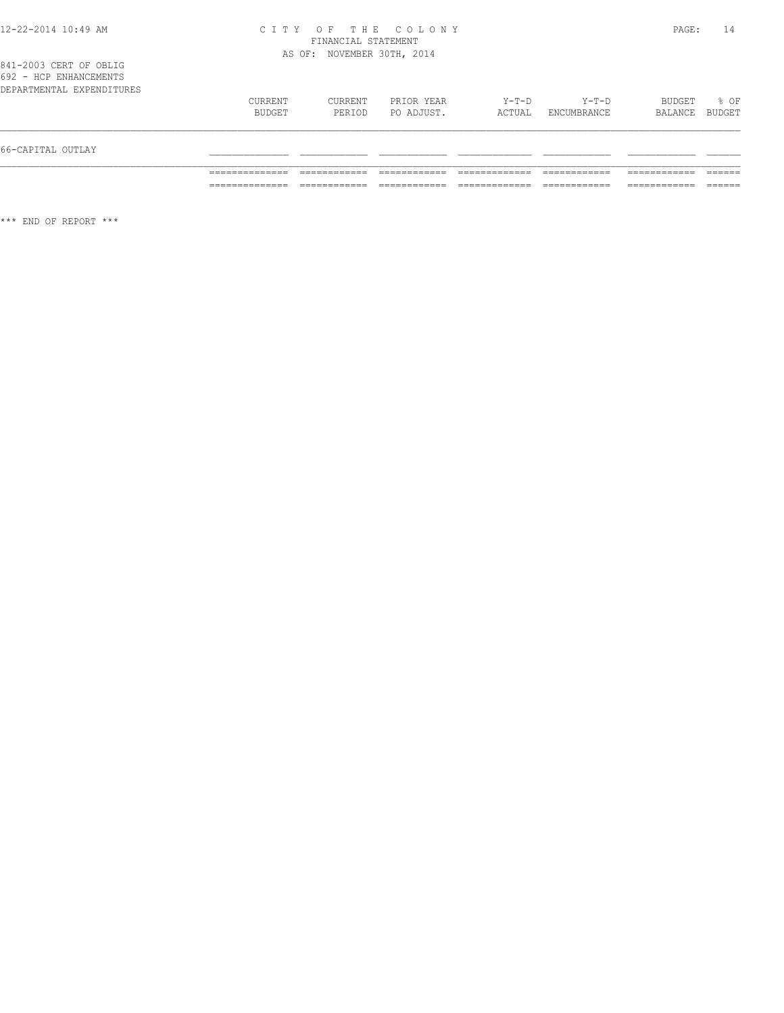#### 12-22-2014 10:49 AM C I T Y O F T H E C O L O N Y PAGE: 14 FINANCIAL STATEMENT AS OF: NOVEMBER 30TH, 2014

841-2003 CERT OF OBLIG 692 - HCP ENHANCEMENTS

| 66-CAPITAL OUTLAY         |                   |                   |                          |                 |                      |                   |                |
|---------------------------|-------------------|-------------------|--------------------------|-----------------|----------------------|-------------------|----------------|
| DEPARTMENTAL EXPENDITURES | CURRENT<br>BUDGET | CURRENT<br>PERIOD | PRIOR YEAR<br>PO ADJUST. | Y-T-D<br>ACTUAL | Y-T-D<br>ENCUMBRANCE | BUDGET<br>BALANCE | % OF<br>BUDGET |

\*\*\* END OF REPORT \*\*\*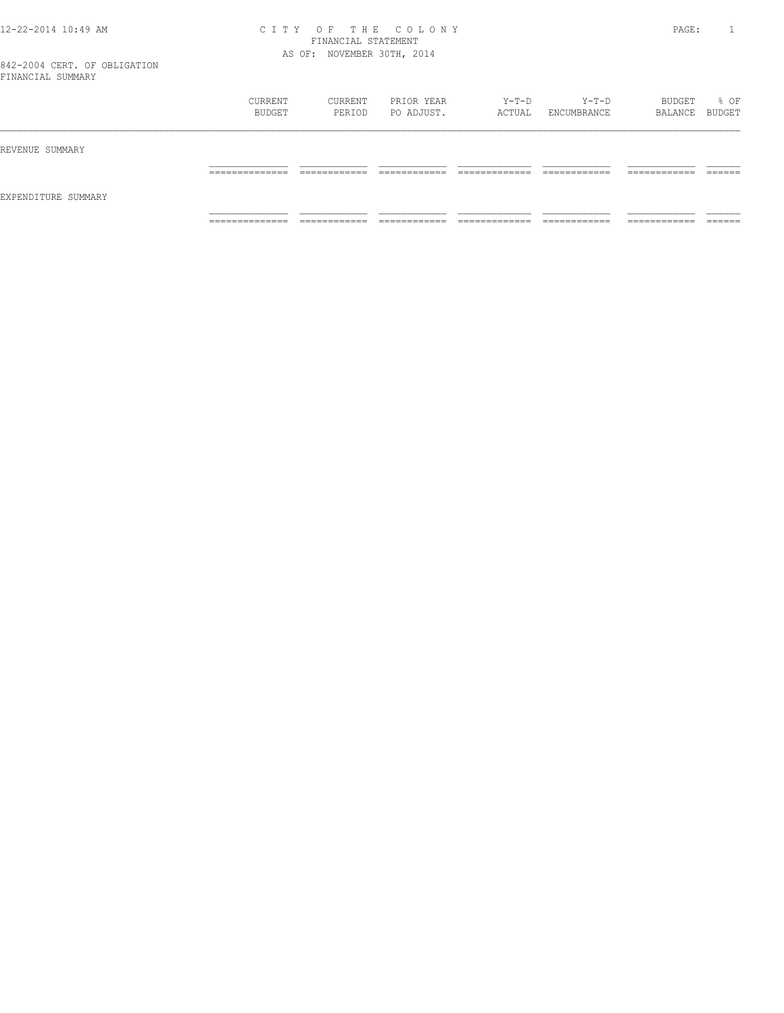#### 12-22-2014 10:49 AM C I T Y O F T H E C O L O N Y PAGE: 1 FINANCIAL STATEMENT AS OF: NOVEMBER 30TH, 2014

842-2004 CERT. OF OBLIGATION FINANCIAL SUMMARY

|                     | CURRENT<br>BUDGET              | CURRENT<br>PERIOD               | PRIOR YEAR<br>PO ADJUST.   | $Y-T-D$<br>ACTUAL         | $Y-T-D$<br>ENCUMBRANCE            | BUDGET<br>BALANCE BUDGET     | % OF            |
|---------------------|--------------------------------|---------------------------------|----------------------------|---------------------------|-----------------------------------|------------------------------|-----------------|
| REVENUE SUMMARY     |                                |                                 |                            |                           |                                   |                              |                 |
|                     | _____________<br>------------- | ____________<br>____<br>_______ | -------------<br>_________ | ____________<br>_________ | -------------<br>___<br>_________ | -------------<br>----------- | ------<br>_____ |
| EXPENDITURE SUMMARY |                                |                                 |                            |                           |                                   |                              |                 |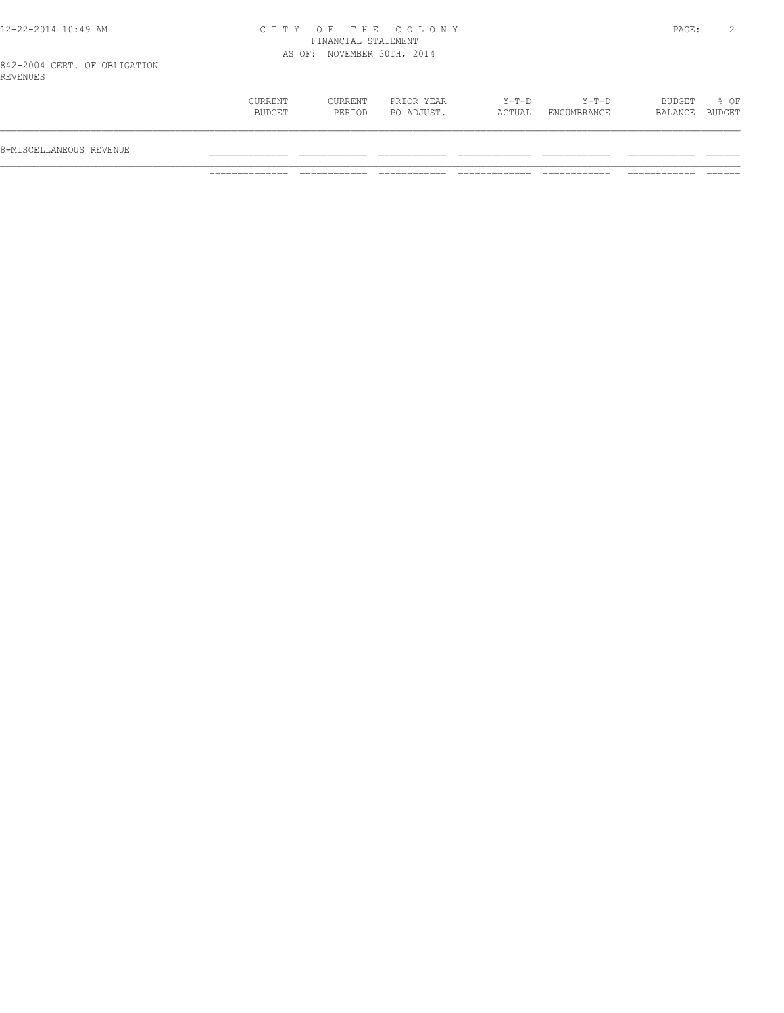## 12-22-2014 10:49 AM C I T Y O F T H E C O L O N Y PAGE: 2 FINANCIAL STATEMENT AS OF: NOVEMBER 30TH, 2014

842-2004 CERT. OF OBLIGATION REVENUES

| 8-MISCELLANEOUS REVENUE                                                                                         |                                     |
|-----------------------------------------------------------------------------------------------------------------|-------------------------------------|
| CURRENT<br>CURRENT<br>PRIOR YEAR<br>Y-T-D<br>$Y-T-D$<br>PO ADJUST.<br>BUDGET<br>ACTUAL<br>ENCUMBRANCE<br>PERIOD | BUDGET<br>% OF<br>BUDGET<br>BALANCE |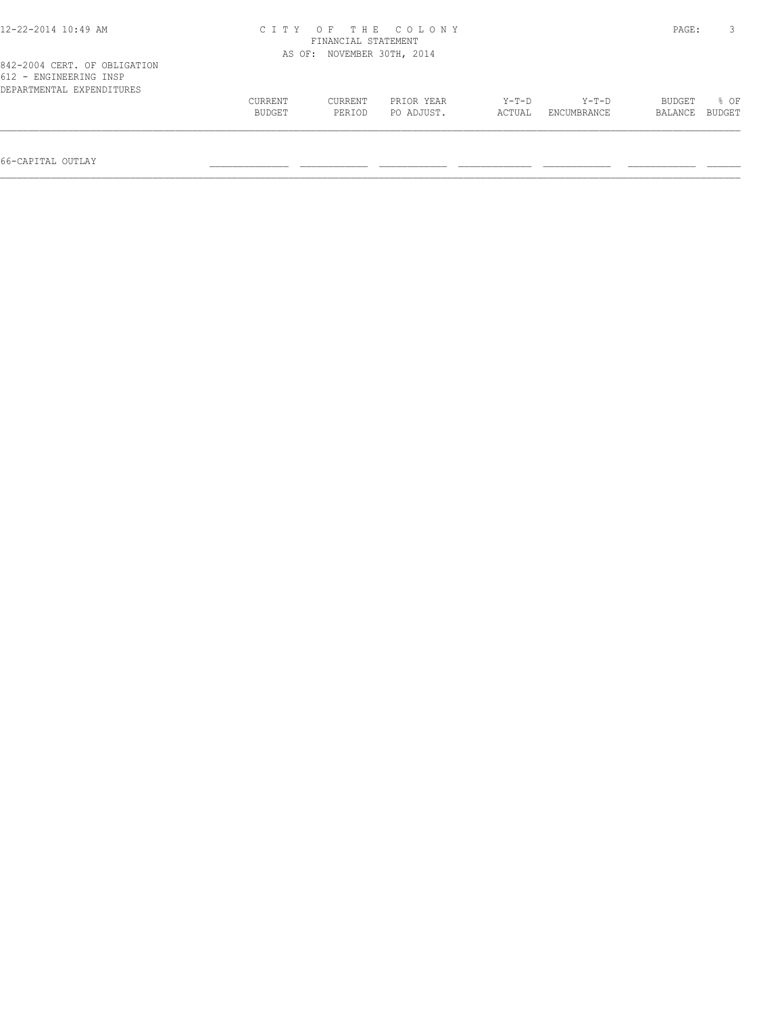| 12-22-2014 10:49 AM                                                                 |         | FINANCIAL STATEMENT | CITY OF THE COLONY  |        |             | PAGE:   |        |
|-------------------------------------------------------------------------------------|---------|---------------------|---------------------|--------|-------------|---------|--------|
|                                                                                     | AS OF:  |                     | NOVEMBER 30TH, 2014 |        |             |         |        |
| 842-2004 CERT. OF OBLIGATION<br>612 - ENGINEERING INSP<br>DEPARTMENTAL EXPENDITURES |         |                     |                     |        |             |         |        |
|                                                                                     | CURRENT | CURRENT             | PRIOR YEAR          | Y-T-D  | Y-T-D       | BUDGET  | 8 OF   |
|                                                                                     | BUDGET  | PERIOD              | PO ADJUST.          | ACTUAL | ENCUMBRANCE | BALANCE | BUDGET |
|                                                                                     |         |                     |                     |        |             |         |        |

66-CAPITAL OUTLAY \_\_\_\_\_\_\_\_\_\_\_\_\_\_ \_\_\_\_\_\_\_\_\_\_\_\_ \_\_\_\_\_\_\_\_\_\_\_\_ \_\_\_\_\_\_\_\_\_\_\_\_\_ \_\_\_\_\_\_\_\_\_\_\_\_ \_\_\_\_\_\_\_\_\_\_\_\_ \_\_\_\_\_\_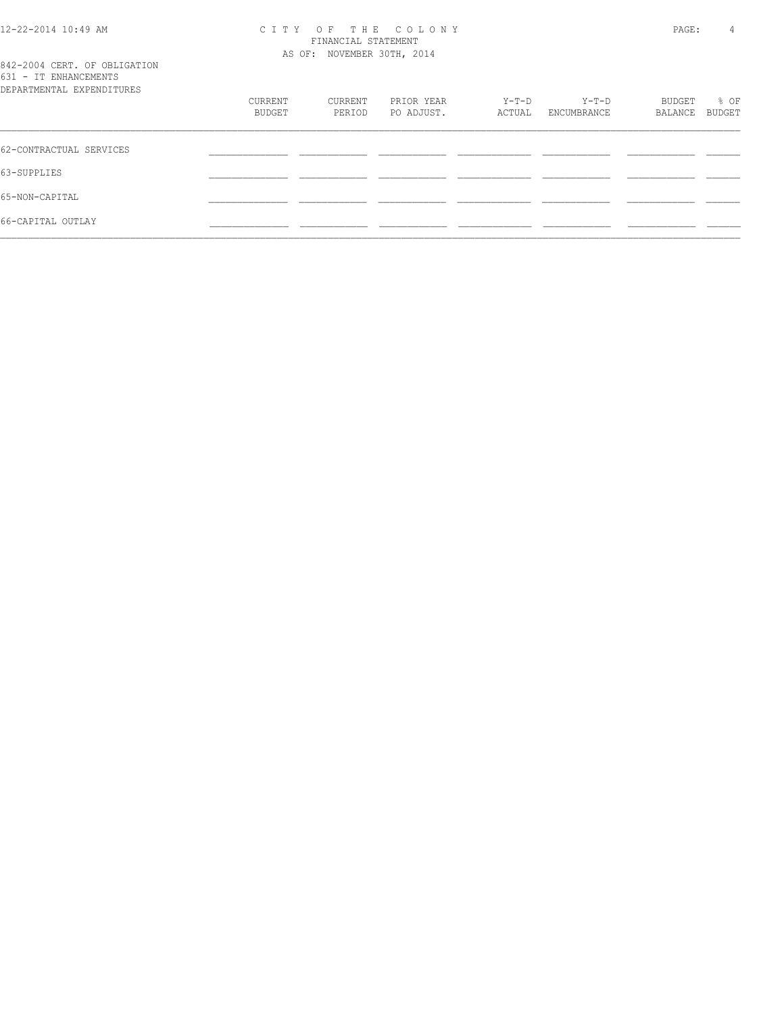## 12-22-2014 10:49 AM C I T Y O F T H E C O L O N Y PAGE: 4 FINANCIAL STATEMENT AS OF: NOVEMBER 30TH, 2014

|  | Λ |
|--|---|
|  |   |
|  |   |

842-2004 CERT. OF OBLIGATION 631 - IT ENHANCEMENTS

| DEPARTMENTAL EXPENDITURES |         |         |            |        |             |         |        |
|---------------------------|---------|---------|------------|--------|-------------|---------|--------|
|                           | CURRENT | CURRENT | PRIOR YEAR | Y-T-D  | $Y-T-D$     | BUDGET  | % OF   |
|                           | BUDGET  | PERIOD  | PO ADJUST. | ACTUAL | ENCUMBRANCE | BALANCE | BUDGET |
| 62-CONTRACTUAL SERVICES   |         |         |            |        |             |         |        |
| 63-SUPPLIES               |         |         |            |        |             |         |        |
| 65-NON-CAPITAL            |         |         |            |        |             |         |        |
| 66-CAPITAL OUTLAY         |         |         |            |        |             |         |        |
|                           |         |         |            |        |             |         |        |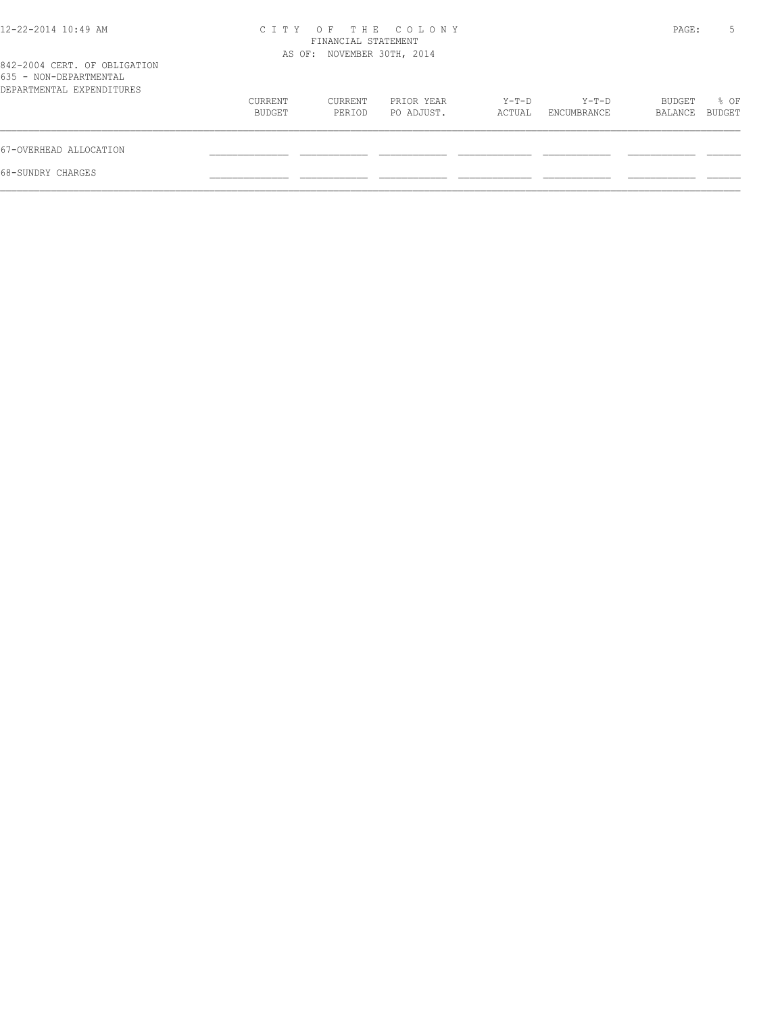| 12-22-2014 10:49 AM                                                                 | CITY OF THE COLONY<br>FINANCIAL STATEMENT<br>AS OF: NOVEMBER 30TH, 2014 |                   |                          |                   |                      | PAGE:             |                |  |
|-------------------------------------------------------------------------------------|-------------------------------------------------------------------------|-------------------|--------------------------|-------------------|----------------------|-------------------|----------------|--|
| 842-2004 CERT. OF OBLIGATION<br>635 - NON-DEPARTMENTAL<br>DEPARTMENTAL EXPENDITURES |                                                                         |                   |                          |                   |                      |                   |                |  |
|                                                                                     | CURRENT<br>BUDGET                                                       | CURRENT<br>PERIOD | PRIOR YEAR<br>PO ADJUST. | $Y-T-D$<br>ACTUAL | Y-T-D<br>ENCUMBRANCE | BUDGET<br>BALANCE | % OF<br>BUDGET |  |
| 67-OVERHEAD ALLOCATION                                                              |                                                                         |                   |                          |                   |                      |                   |                |  |
| 68-SUNDRY CHARGES                                                                   |                                                                         |                   |                          |                   |                      |                   |                |  |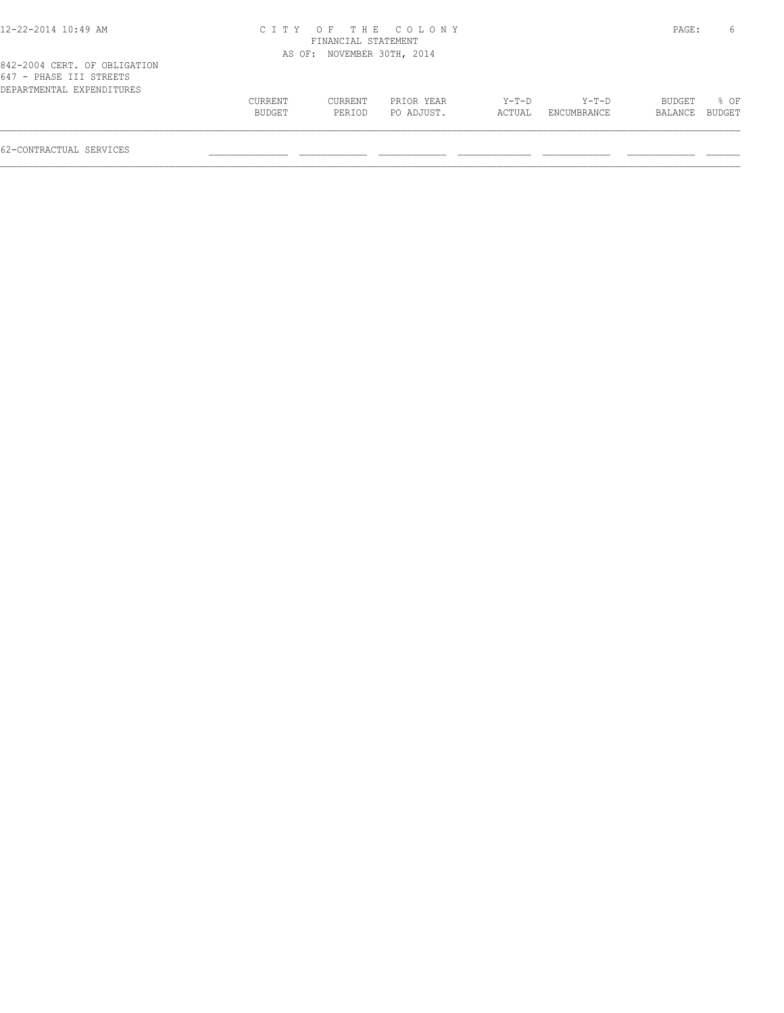| 12-22-2014 10:49 AM |  |  |
|---------------------|--|--|
|---------------------|--|--|

#### 12-22-2014 10:49 AM C I T Y O F T H E C O L O N Y PAGE: 6 FINANCIAL STATEMENT AS OF: NOVEMBER 30TH, 2014

| 042-2004 ulni. up udiigaiiun |         |         |            |        |             |                |             |
|------------------------------|---------|---------|------------|--------|-------------|----------------|-------------|
| 647 - PHASE III STREETS      |         |         |            |        |             |                |             |
| DEPARTMENTAL EXPENDITURES    |         |         |            |        |             |                |             |
|                              | CURRENT | CURRENT | PRIOR YEAR | Y-T-D  | $Y-T-D$     |                | BUDGET % OF |
|                              | BUDGET  | PERIOD  | PO ADJUST. | ACTUAL | ENCUMBRANCE | BALANCE BUDGET |             |
|                              |         |         |            |        |             |                |             |
|                              |         |         |            |        |             |                |             |

62-CONTRACTUAL SERVICES \_\_\_\_\_\_\_\_\_\_\_\_\_\_ \_\_\_\_\_\_\_\_\_\_\_\_ \_\_\_\_\_\_\_\_\_\_\_\_ \_\_\_\_\_\_\_\_\_\_\_\_\_ \_\_\_\_\_\_\_\_\_\_\_\_ \_\_\_\_\_\_\_\_\_\_\_\_ \_\_\_\_\_\_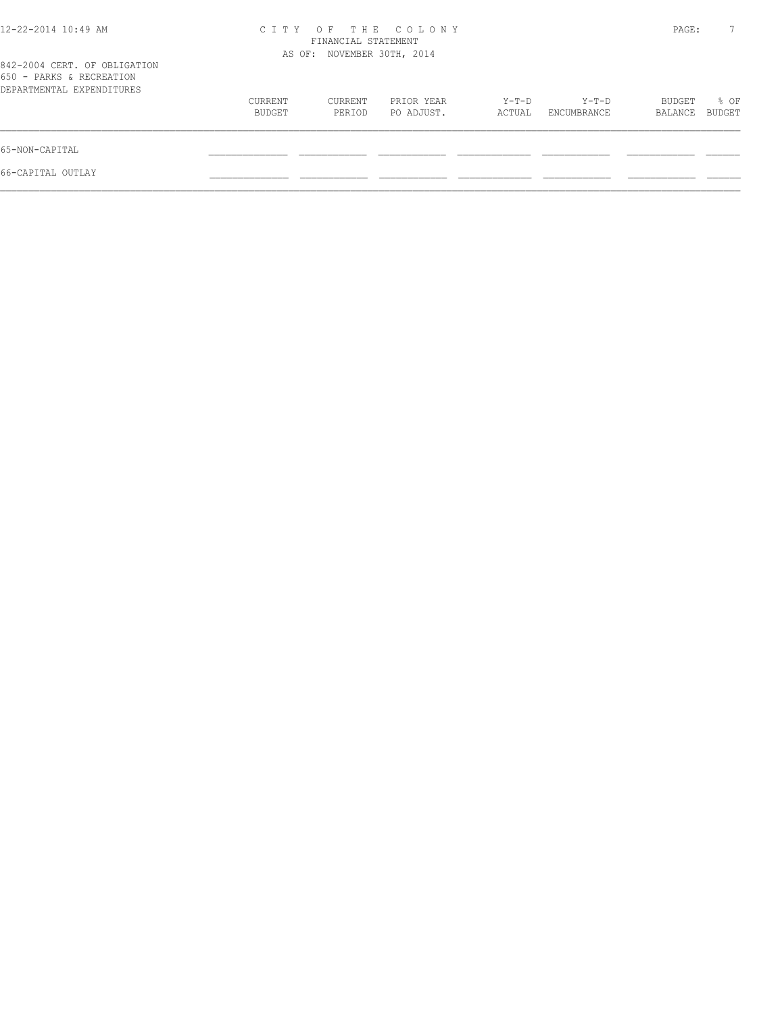| C T T Y           | OF.               |                          |                                                                 |                      |                   |                |
|-------------------|-------------------|--------------------------|-----------------------------------------------------------------|----------------------|-------------------|----------------|
|                   |                   |                          |                                                                 |                      |                   |                |
| CURRENT<br>BUDGET | CURRENT<br>PERIOD | PRIOR YEAR<br>PO ADJUST. | Y-T-D<br>ACTUAL                                                 | Y-T-D<br>ENCUMBRANCE | BUDGET<br>BALANCE | % OF<br>BUDGET |
|                   |                   |                          |                                                                 |                      |                   |                |
|                   |                   |                          |                                                                 |                      |                   |                |
|                   |                   |                          | THE COLONY<br>FINANCIAL STATEMENT<br>AS OF: NOVEMBER 30TH, 2014 |                      |                   | PAGE:          |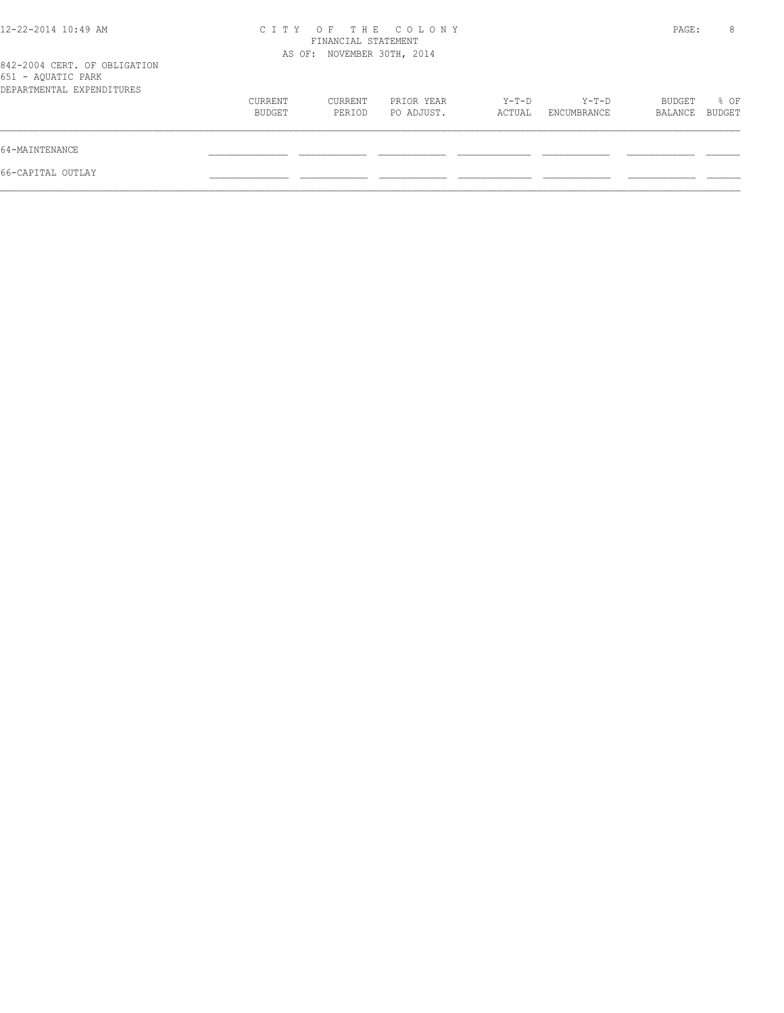|                   |                   |                          |                                                                         |                      |                   | 8              |
|-------------------|-------------------|--------------------------|-------------------------------------------------------------------------|----------------------|-------------------|----------------|
|                   |                   |                          |                                                                         |                      |                   |                |
| CURRENT<br>BUDGET | CURRENT<br>PERIOD | PRIOR YEAR<br>PO ADJUST. | Y-T-D<br>ACTUAL                                                         | Y-T-D<br>ENCUMBRANCE | BUDGET<br>BALANCE | % OF<br>BUDGET |
|                   |                   |                          |                                                                         |                      |                   |                |
|                   |                   |                          |                                                                         |                      |                   |                |
|                   |                   |                          | CITY OF THE COLONY<br>FINANCIAL STATEMENT<br>AS OF: NOVEMBER 30TH, 2014 |                      |                   | PAGE:          |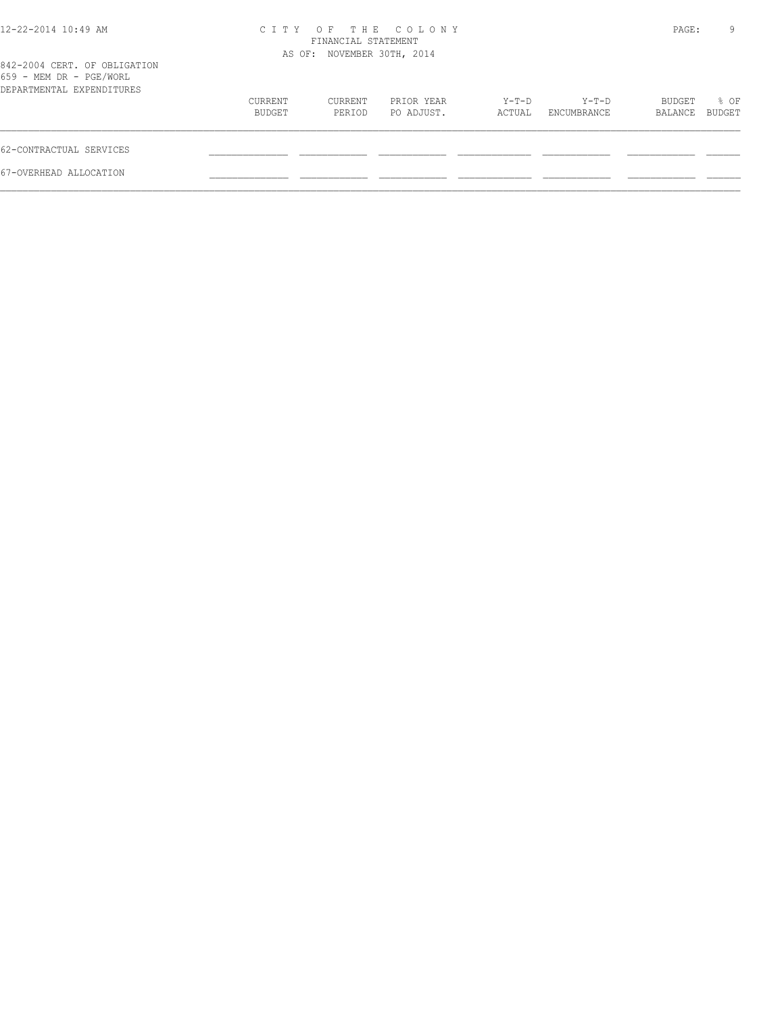| 12-22-2014 10:49 AM                                                                  |                   | FINANCIAL STATEMENT<br>AS OF: NOVEMBER 30TH, 2014 | CITY OF THE COLONY       |                 |                        | PAGE:             | 9                     |
|--------------------------------------------------------------------------------------|-------------------|---------------------------------------------------|--------------------------|-----------------|------------------------|-------------------|-----------------------|
| 842-2004 CERT. OF OBLIGATION<br>659 - MEM DR - PGE/WORL<br>DEPARTMENTAL EXPENDITURES |                   |                                                   |                          |                 |                        |                   |                       |
|                                                                                      | CURRENT<br>BUDGET | CURRENT<br>PERIOD                                 | PRIOR YEAR<br>PO ADJUST. | Y-T-D<br>ACTUAL | $Y-T-D$<br>ENCUMBRANCE | BUDGET<br>BALANCE | % OF<br><b>BUDGET</b> |
| 62-CONTRACTUAL SERVICES                                                              |                   |                                                   |                          |                 |                        |                   |                       |
| 67-OVERHEAD ALLOCATION                                                               |                   |                                                   |                          |                 |                        |                   |                       |
|                                                                                      |                   |                                                   |                          |                 |                        |                   |                       |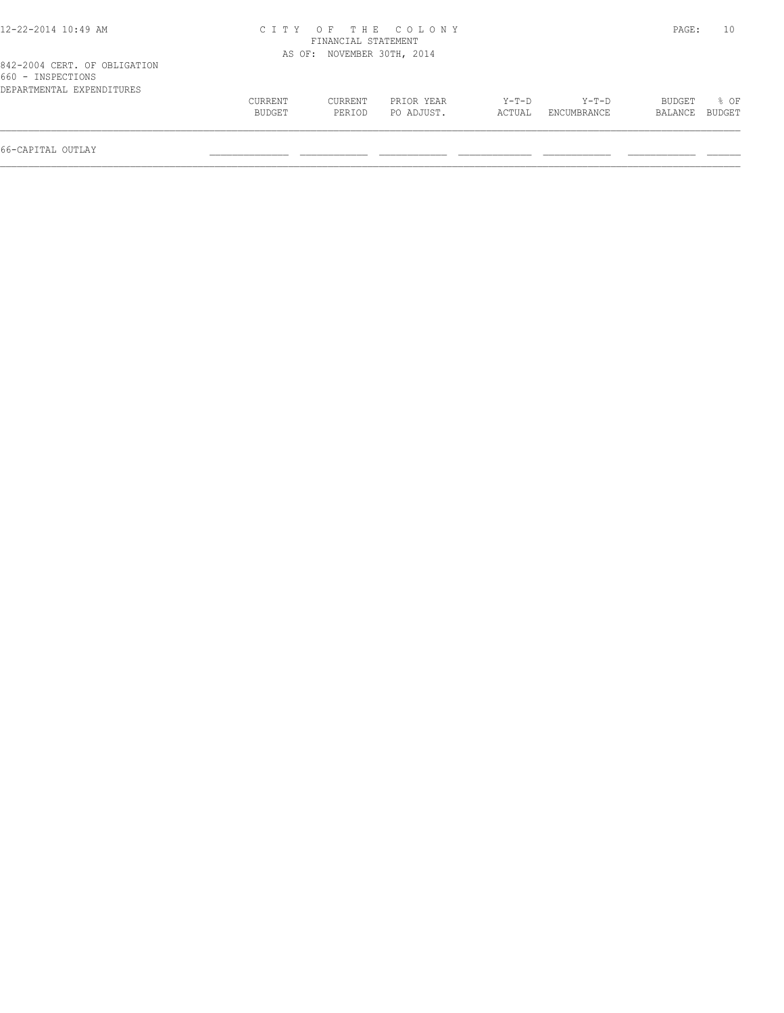| 12-22-2014 10:49 AM                                                            |                   | FINANCIAL STATEMENT        | CITY OF THE COLONY       |                 |                      | PAGE:                    | 10   |
|--------------------------------------------------------------------------------|-------------------|----------------------------|--------------------------|-----------------|----------------------|--------------------------|------|
|                                                                                |                   | AS OF: NOVEMBER 30TH, 2014 |                          |                 |                      |                          |      |
| 842-2004 CERT. OF OBLIGATION<br>660 - INSPECTIONS<br>DEPARTMENTAL EXPENDITURES |                   |                            |                          |                 |                      |                          |      |
|                                                                                | CURRENT<br>BUDGET | CURRENT<br>PERIOD          | PRIOR YEAR<br>PO ADJUST. | Y-T-D<br>ACTUAL | Y-T-D<br>ENCUMBRANCE | BUDGET<br>BALANCE BUDGET | % OF |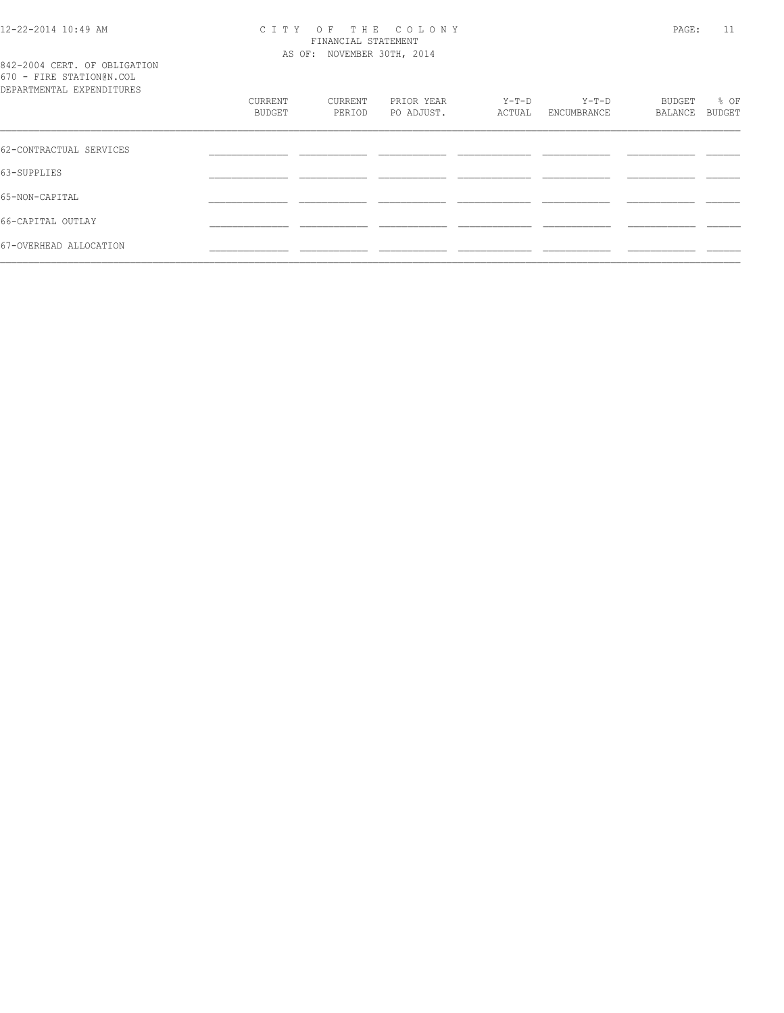#### 12-22-2014 10:49 AM C I T Y O F T H E C O L O N Y PAGE: 11 FINANCIAL STATEMENT AS OF: NOVEMBER 30TH, 2014

842-2004 CERT. OF OBLIGATION 670 - FIRE STATION@N.COL

| DEPARTMENTAL EXPENDITURES |                   |                   |                          |                 |                        |                   |                |
|---------------------------|-------------------|-------------------|--------------------------|-----------------|------------------------|-------------------|----------------|
|                           | CURRENT<br>BUDGET | CURRENT<br>PERIOD | PRIOR YEAR<br>PO ADJUST. | Y-T-D<br>ACTUAL | $Y-T-D$<br>ENCUMBRANCE | BUDGET<br>BALANCE | % OF<br>BUDGET |
|                           |                   |                   |                          |                 |                        |                   |                |
| 62-CONTRACTUAL SERVICES   |                   |                   |                          |                 |                        |                   |                |
| 63-SUPPLIES               |                   |                   |                          |                 |                        |                   |                |
| 65-NON-CAPITAL            |                   |                   |                          |                 |                        |                   |                |
| 66-CAPITAL OUTLAY         |                   |                   |                          |                 |                        |                   |                |
| 67-OVERHEAD ALLOCATION    |                   |                   |                          |                 |                        |                   |                |
|                           |                   |                   |                          |                 |                        |                   |                |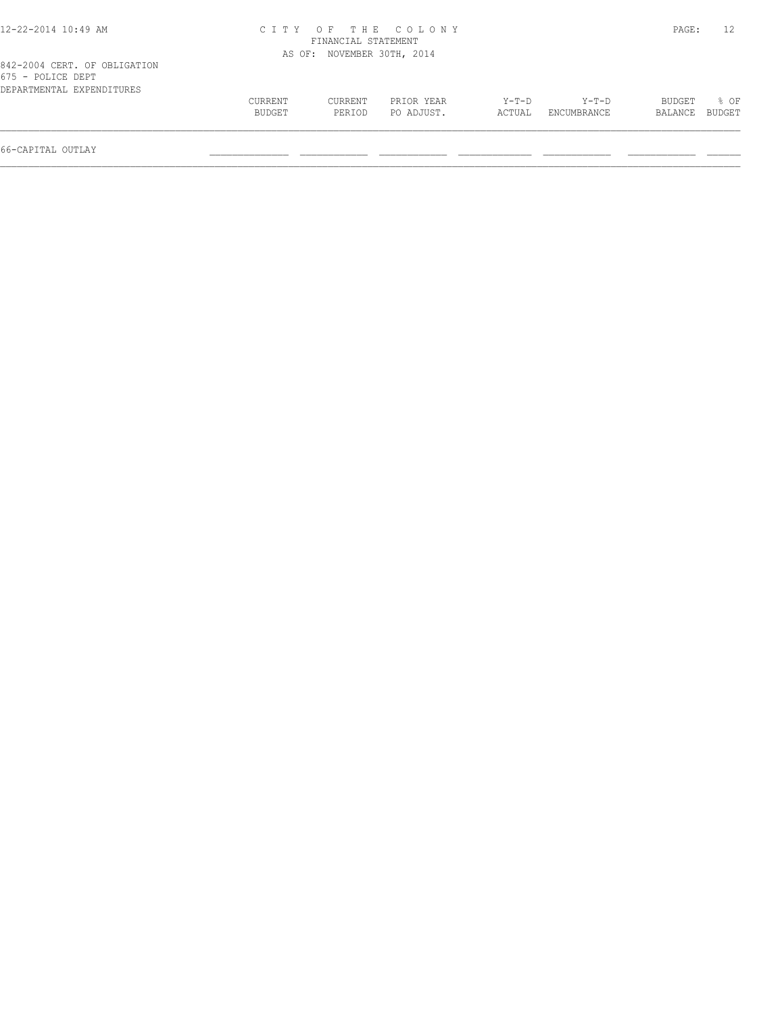| <b>CURRENT</b> | CURRENT | PRIOR YEAR | $Y-T-D$                                                          | $Y-T-D$     | <b>BUDGET</b> | 8 OF   |
|----------------|---------|------------|------------------------------------------------------------------|-------------|---------------|--------|
| BUDGET         | PERIOD  | PO ADJUST. | ACTUAL                                                           | ENCUMBRANCE | BALANCE       | BUDGET |
|                |         | AS OF:     | CITY OF THE COLONY<br>FINANCIAL STATEMENT<br>NOVEMBER 30TH, 2014 |             |               | PAGE:  |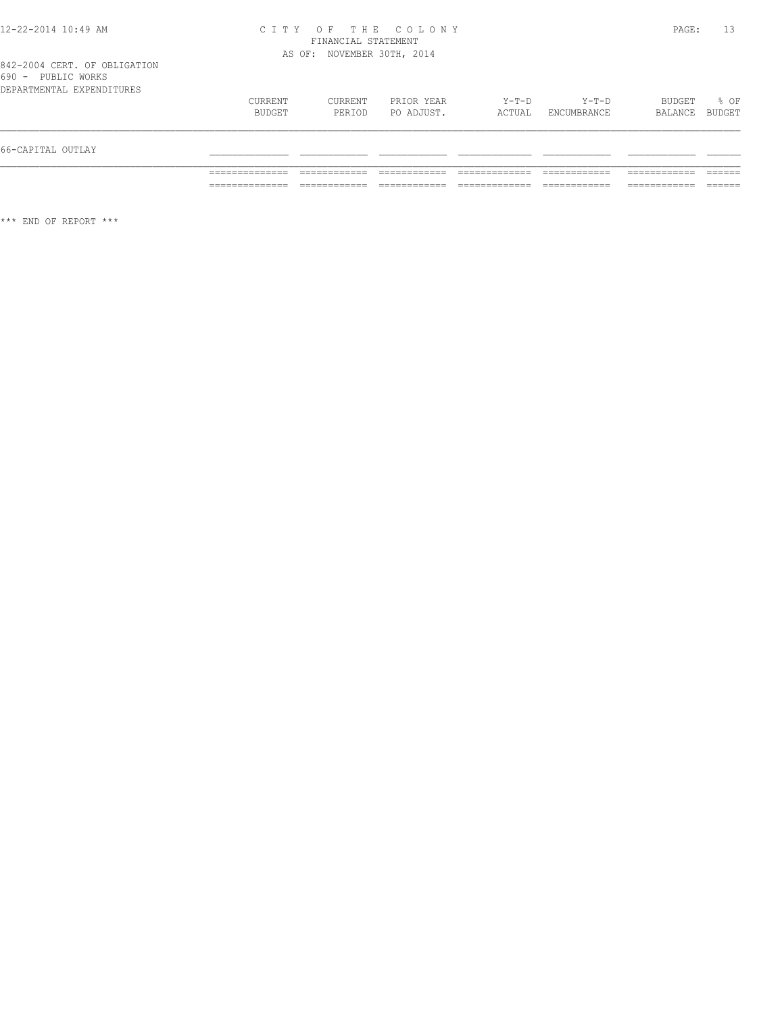#### 12-22-2014 10:49 AM C I T Y O F T H E C O L O N Y PAGE: 13 FINANCIAL STATEMENT AS OF: NOVEMBER 30TH, 2014

\*\*\* END OF REPORT \*\*\*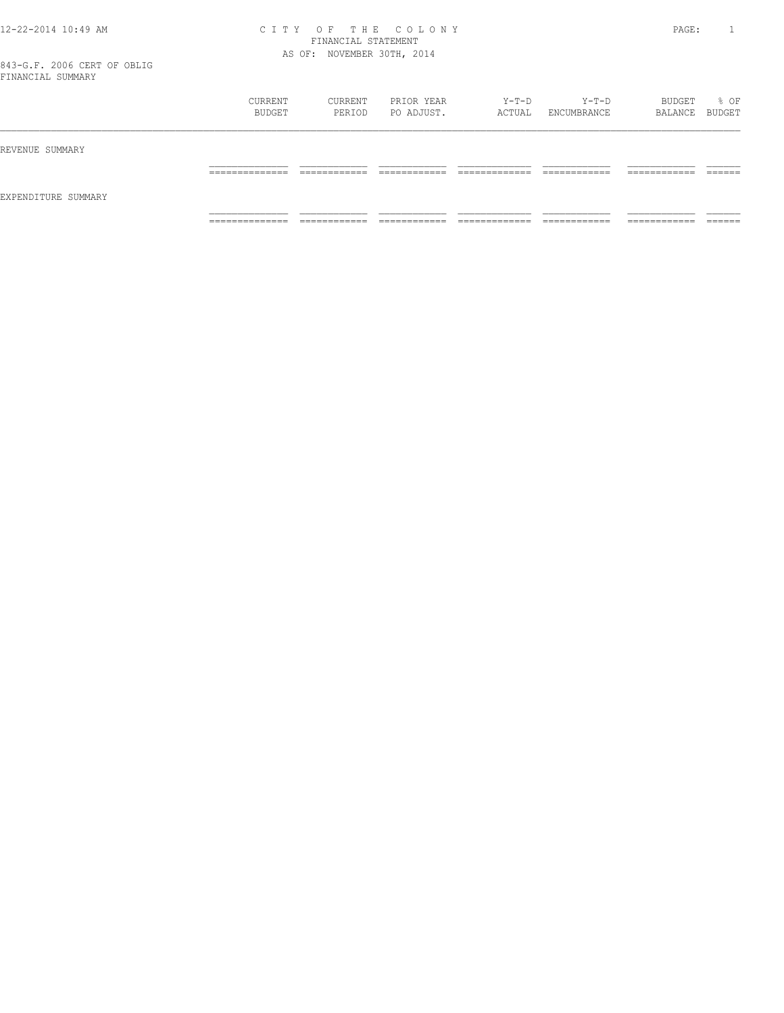#### 12-22-2014 10:49 AM C I T Y O F T H E C O L O N Y PAGE: 1 FINANCIAL STATEMENT AS OF: NOVEMBER 30TH, 2014

843-G.F. 2006 CERT OF OBLIG FINANCIAL SUMMARY

|                     | CURRENT<br>BUDGET | CURRENT<br>PERIOD | PRIOR YEAR<br>PO ADJUST. | Y-T-D<br>ACTUAL | $Y-T-D$<br>ENCUMBRANCE | BUDGET<br>BALANCE BUDGET | % OF    |
|---------------------|-------------------|-------------------|--------------------------|-----------------|------------------------|--------------------------|---------|
| REVENUE SUMMARY     |                   |                   |                          |                 |                        |                          |         |
| EXPENDITURE SUMMARY | ______________    | ____________      | -------------            | ____________    | -------------          | -------------            | ------- |
|                     | -------------     | ____________      | ____________             | _____________   | ____________           | -----------              | _______ |
|                     | ______________    | ____________      | -------------            | ____________    | ------------           | -------------            | ------- |
|                     | .                 | -----------       | -----------              | ------------    | -----------            | .                        | _____   |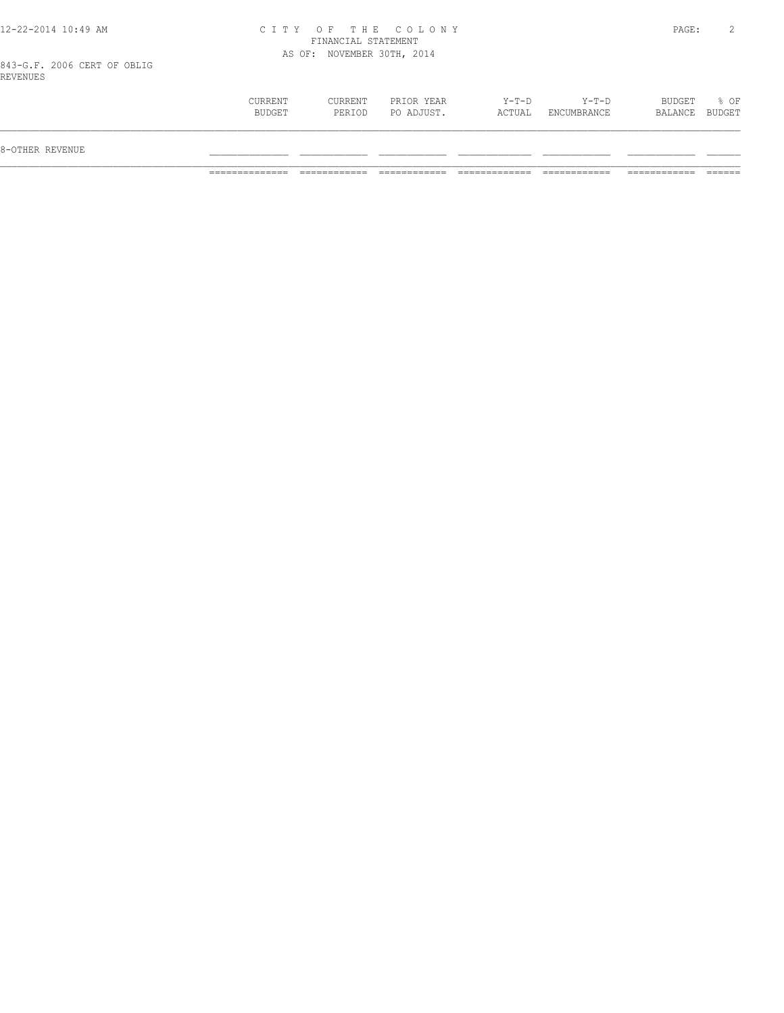#### 12-22-2014 10:49 AM C I T Y O F T H E C O L O N Y PAGE: 2 FINANCIAL STATEMENT AS OF: NOVEMBER 30TH, 2014

843-G.F. 2006 CERT OF OBLIG REVENUES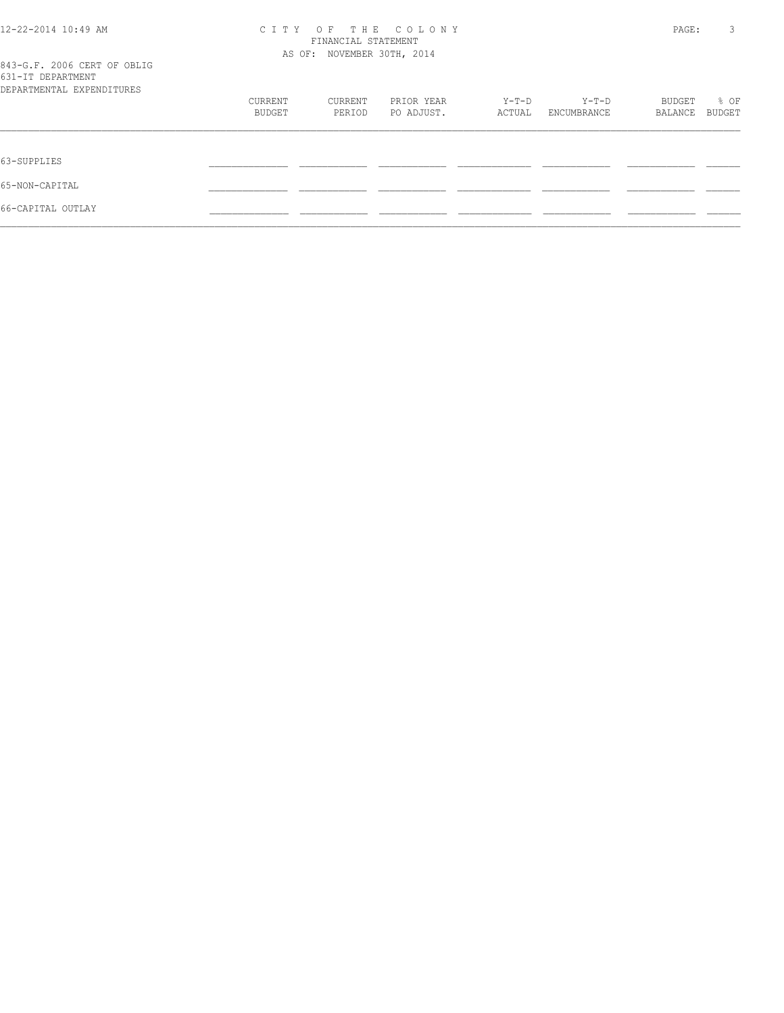| 12-22-2014 10:49 AM                                                           | OF THE COLONY<br>C I T Y<br>FINANCIAL STATEMENT |                            |                          |                 |                      |                   | 3              |
|-------------------------------------------------------------------------------|-------------------------------------------------|----------------------------|--------------------------|-----------------|----------------------|-------------------|----------------|
| 843-G.F. 2006 CERT OF OBLIG<br>631-IT DEPARTMENT<br>DEPARTMENTAL EXPENDITURES |                                                 | AS OF: NOVEMBER 30TH, 2014 |                          |                 |                      |                   |                |
|                                                                               | CURRENT<br>BUDGET                               | CURRENT<br>PERIOD          | PRIOR YEAR<br>PO ADJUST. | Y-T-D<br>ACTUAL | Y-T-D<br>ENCUMBRANCE | BUDGET<br>BALANCE | % OF<br>BUDGET |
| 63-SUPPLIES                                                                   |                                                 |                            |                          |                 |                      |                   |                |
| 65-NON-CAPITAL                                                                |                                                 |                            |                          |                 |                      |                   |                |
| 66-CAPITAL OUTLAY                                                             |                                                 |                            |                          |                 |                      |                   |                |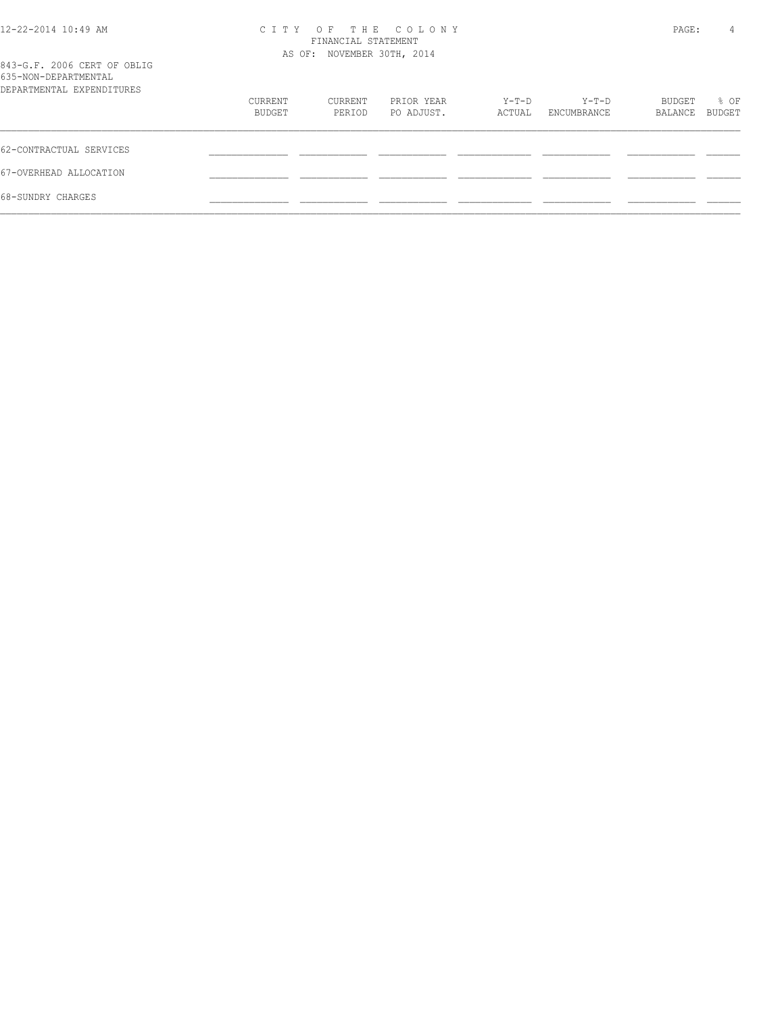| 12-22-2014 10:49 AM                                                              | C T T Y           | OF THE COLONY<br>FINANCIAL STATEMENT<br>AS OF: NOVEMBER 30TH, 2014 |                          |                 |                      |                   |                |  |
|----------------------------------------------------------------------------------|-------------------|--------------------------------------------------------------------|--------------------------|-----------------|----------------------|-------------------|----------------|--|
| 843-G.F. 2006 CERT OF OBLIG<br>635-NON-DEPARTMENTAL<br>DEPARTMENTAL EXPENDITURES |                   |                                                                    |                          |                 |                      |                   |                |  |
|                                                                                  | CURRENT<br>BUDGET | CURRENT<br>PERIOD                                                  | PRIOR YEAR<br>PO ADJUST. | Y-T-D<br>ACTUAL | Y-T-D<br>ENCUMBRANCE | BUDGET<br>BALANCE | % OF<br>BUDGET |  |
| 62-CONTRACTUAL SERVICES                                                          |                   |                                                                    |                          |                 |                      |                   |                |  |
| 67-OVERHEAD ALLOCATION                                                           |                   |                                                                    |                          |                 |                      |                   |                |  |
| 68-SUNDRY CHARGES                                                                |                   |                                                                    |                          |                 |                      |                   |                |  |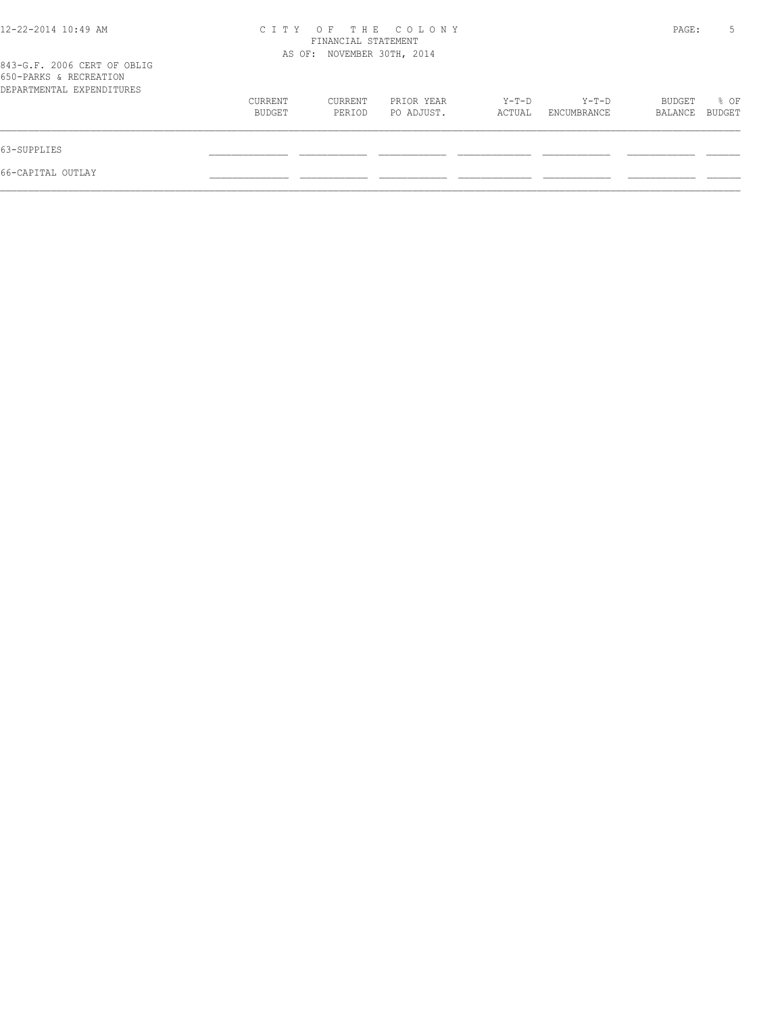| 12-22-2014 10:49 AM                                                                | THE COLONY<br>C T T Y<br>$O$ F<br>FINANCIAL STATEMENT<br>AS OF: NOVEMBER 30TH, 2014 |                   |                          |                   |                      | PAGE:             | 5              |
|------------------------------------------------------------------------------------|-------------------------------------------------------------------------------------|-------------------|--------------------------|-------------------|----------------------|-------------------|----------------|
| 843-G.F. 2006 CERT OF OBLIG<br>650-PARKS & RECREATION<br>DEPARTMENTAL EXPENDITURES |                                                                                     |                   |                          |                   |                      |                   |                |
|                                                                                    | CURRENT<br>BUDGET                                                                   | CURRENT<br>PERIOD | PRIOR YEAR<br>PO ADJUST. | $Y-T-D$<br>ACTUAL | Y-T-D<br>ENCUMBRANCE | BUDGET<br>BALANCE | % OF<br>BUDGET |
| 63-SUPPLIES                                                                        |                                                                                     |                   |                          |                   |                      |                   |                |
| 66-CAPITAL OUTLAY                                                                  |                                                                                     |                   |                          |                   |                      |                   |                |
|                                                                                    |                                                                                     |                   |                          |                   |                      |                   |                |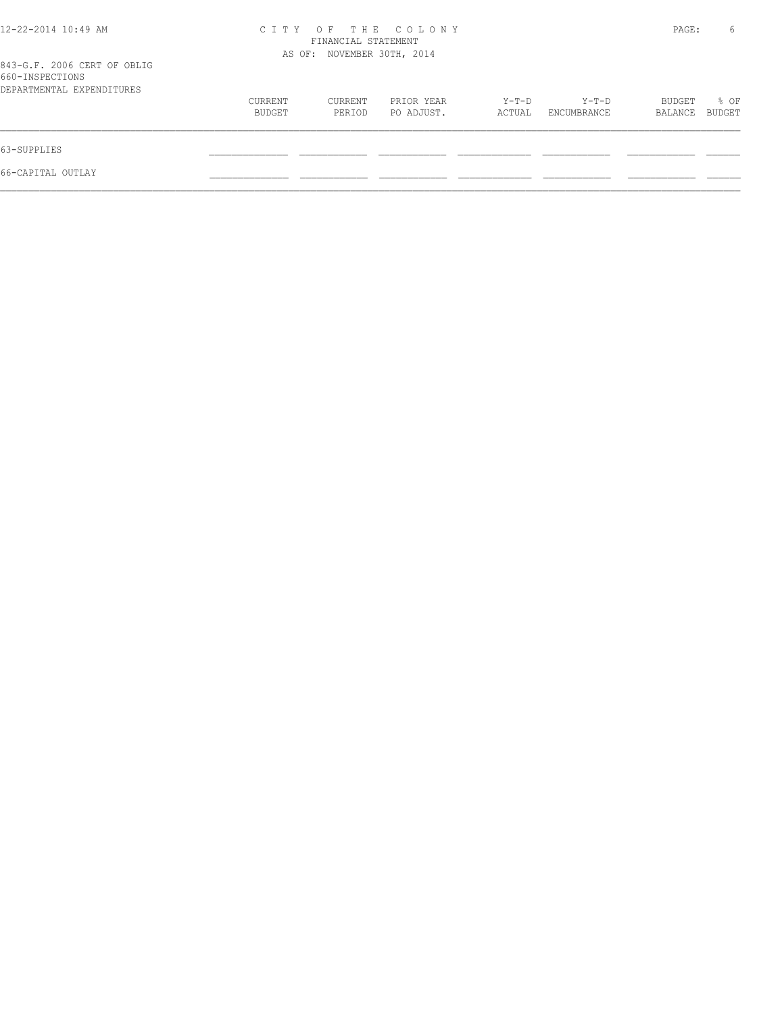| 12-22-2014 10:49 AM                                                         | CITY OF THE COLONY<br>FINANCIAL STATEMENT<br>AS OF: NOVEMBER 30TH, 2014 |                   |                          |                   |                        | PAGE:             | 6              |
|-----------------------------------------------------------------------------|-------------------------------------------------------------------------|-------------------|--------------------------|-------------------|------------------------|-------------------|----------------|
| 843-G.F. 2006 CERT OF OBLIG<br>660-INSPECTIONS<br>DEPARTMENTAL EXPENDITURES |                                                                         |                   |                          |                   |                        |                   |                |
|                                                                             | CURRENT<br>BUDGET                                                       | CURRENT<br>PERIOD | PRIOR YEAR<br>PO ADJUST. | $Y-T-D$<br>ACTUAL | $Y-T-D$<br>ENCUMBRANCE | BUDGET<br>BALANCE | % OF<br>BUDGET |
| 63-SUPPLIES                                                                 |                                                                         |                   |                          |                   |                        |                   |                |
| 66-CAPITAL OUTLAY                                                           |                                                                         |                   |                          |                   |                        |                   |                |
|                                                                             |                                                                         |                   |                          |                   |                        |                   |                |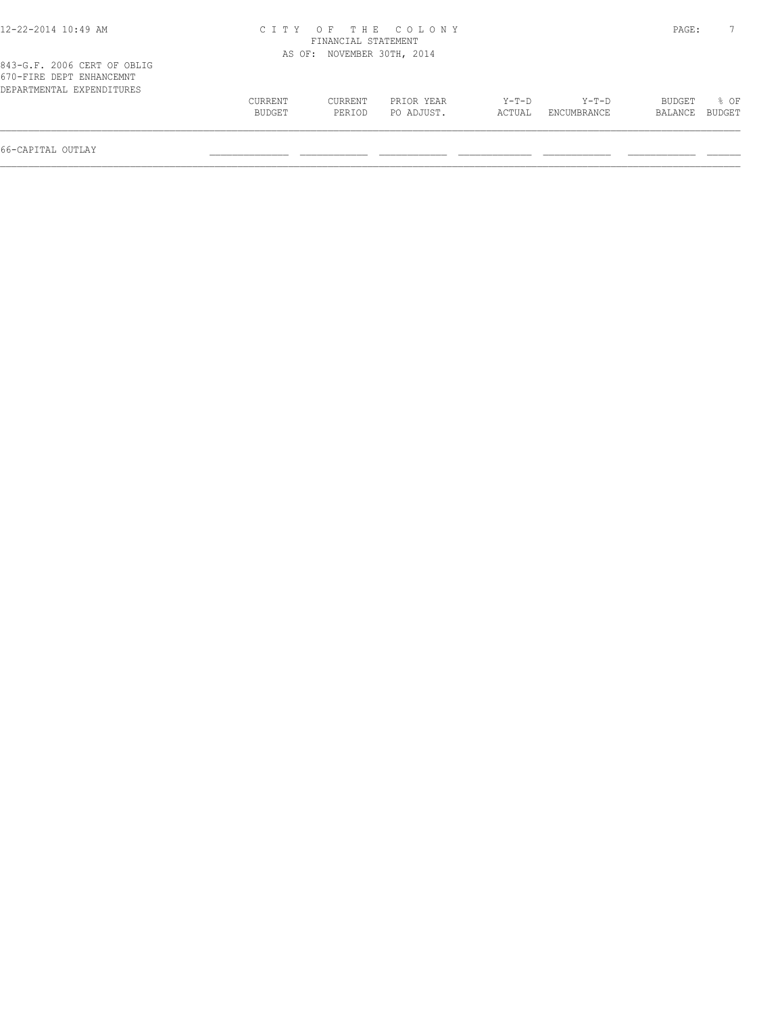| 12-22-2014 10:49 AM                                                                  |                   |                            | CITY OF THE COLONY       |                 |                        | PAGE:             |                |
|--------------------------------------------------------------------------------------|-------------------|----------------------------|--------------------------|-----------------|------------------------|-------------------|----------------|
|                                                                                      |                   | FINANCIAL STATEMENT        |                          |                 |                        |                   |                |
|                                                                                      |                   | AS OF: NOVEMBER 30TH, 2014 |                          |                 |                        |                   |                |
| 843-G.F. 2006 CERT OF OBLIG<br>670-FIRE DEPT ENHANCEMNT<br>DEPARTMENTAL EXPENDITURES |                   |                            |                          |                 |                        |                   |                |
|                                                                                      | CURRENT<br>BUDGET | CURRENT<br>PERIOD          | PRIOR YEAR<br>PO ADJUST. | Y-T-D<br>ACTUAL | $Y-T-D$<br>ENCUMBRANCE | BUDGET<br>BALANCE | 8 OF<br>BUDGET |
|                                                                                      |                   |                            |                          |                 |                        |                   |                |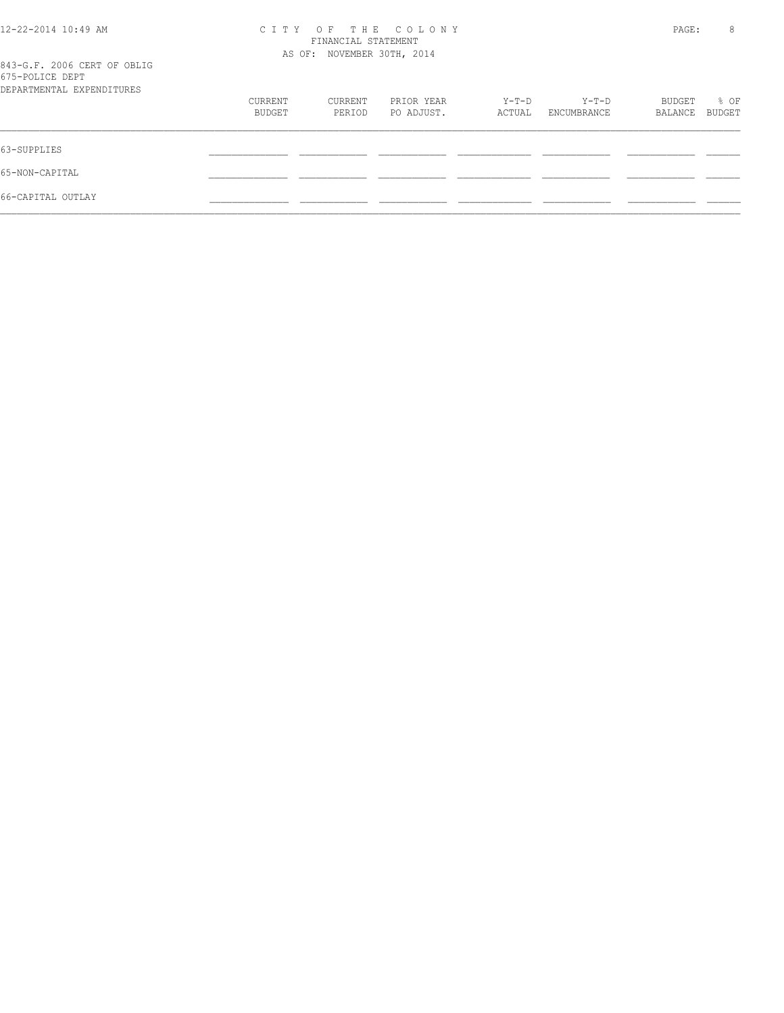| 12-22-2014 10:49 AM                            | CITY OF THE COLONY<br>FINANCIAL STATEMENT |         |            |        |             |         | 8      |
|------------------------------------------------|-------------------------------------------|---------|------------|--------|-------------|---------|--------|
|                                                | AS OF: NOVEMBER 30TH, 2014                |         |            |        |             |         |        |
| 843-G.F. 2006 CERT OF OBLIG<br>675-POLICE DEPT |                                           |         |            |        |             |         |        |
| DEPARTMENTAL EXPENDITURES                      |                                           |         |            |        |             |         |        |
|                                                | CURRENT                                   | CURRENT | PRIOR YEAR | Y-T-D  | Y-T-D       | BUDGET  | % OF   |
|                                                | BUDGET                                    | PERIOD  | PO ADJUST. | ACTUAL | ENCUMBRANCE | BALANCE | BUDGET |
| 63-SUPPLIES                                    |                                           |         |            |        |             |         |        |
| 65-NON-CAPITAL                                 |                                           |         |            |        |             |         |        |
| 66-CAPITAL OUTLAY                              |                                           |         |            |        |             |         |        |
|                                                |                                           |         |            |        |             |         |        |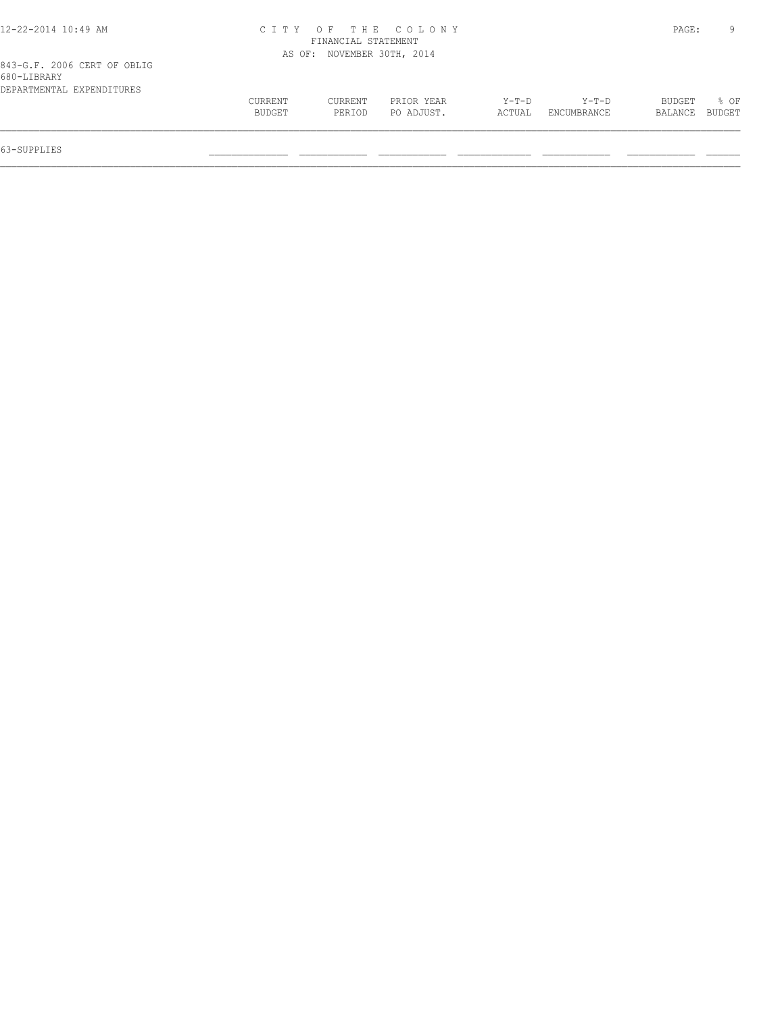| 12-22-2014 10:49 AM         |         |                            | CITY OF THE COLONY |         |             | PAGE:   |        |
|-----------------------------|---------|----------------------------|--------------------|---------|-------------|---------|--------|
|                             |         | FINANCIAL STATEMENT        |                    |         |             |         |        |
|                             |         | AS OF: NOVEMBER 30TH, 2014 |                    |         |             |         |        |
| 843-G.F. 2006 CERT OF OBLIG |         |                            |                    |         |             |         |        |
| 680-LIBRARY                 |         |                            |                    |         |             |         |        |
| DEPARTMENTAL EXPENDITURES   |         |                            |                    |         |             |         |        |
|                             | CURRENT | CURRENT                    | PRIOR YEAR         | $Y-T-D$ | Y-T-D       | BUDGET  | 8 OF   |
|                             | BUDGET  | PERIOD                     | PO ADJUST.         | ACTUAL  | ENCUMBRANCE | BALANCE | BUDGET |
|                             |         |                            |                    |         |             |         |        |
|                             |         |                            |                    |         |             |         |        |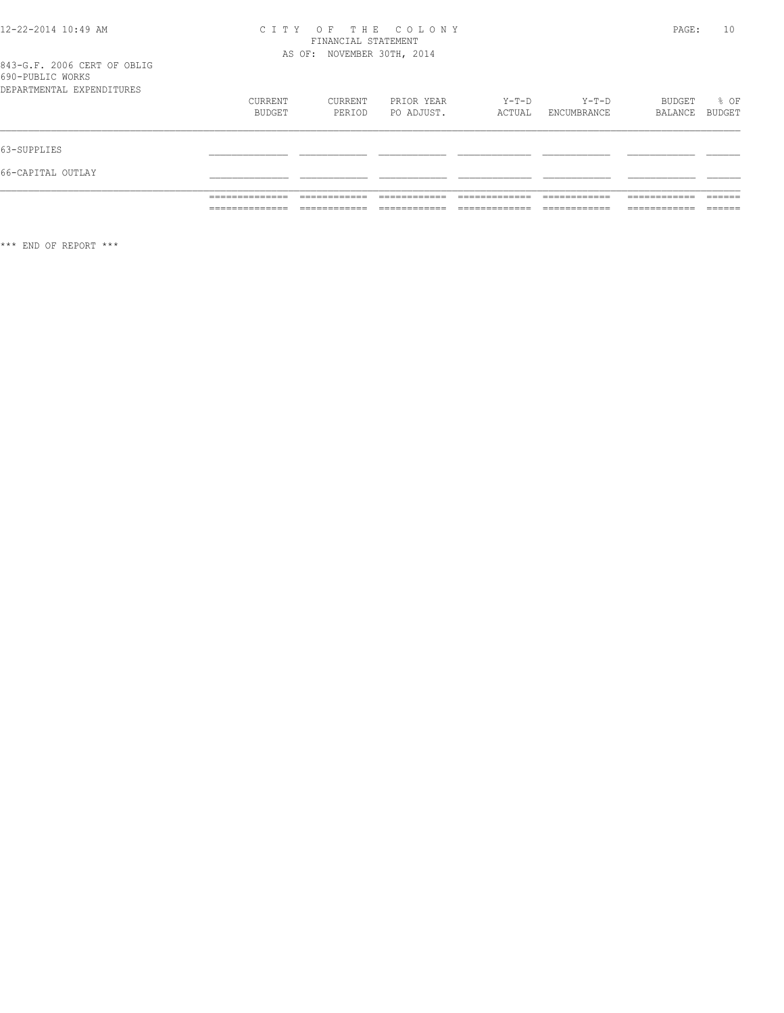## CITY OF THE COLONY<br>
FINANCIAL STATEMENT<br>
AS OF: NOVEMBER 30TH, 2014

### 843-G.F. 2006 CERT OF OBLIG<br>690-PUBLIC WORKS

|                           | ______________    |                   |                          |                 |                        |                   |                |
|---------------------------|-------------------|-------------------|--------------------------|-----------------|------------------------|-------------------|----------------|
|                           |                   |                   |                          |                 |                        |                   |                |
| 66-CAPITAL OUTLAY         |                   |                   |                          |                 |                        |                   |                |
| 63-SUPPLIES               |                   |                   |                          |                 |                        |                   |                |
| DEPARTMENTAL EXPENDITURES | CURRENT<br>BUDGET | CURRENT<br>PERIOD | PRIOR YEAR<br>PO ADJUST. | Y-T-D<br>ACTUAL | $Y-T-D$<br>ENCUMBRANCE | BUDGET<br>BALANCE | % OF<br>BUDGET |

 $***$  END OF REPORT  $***$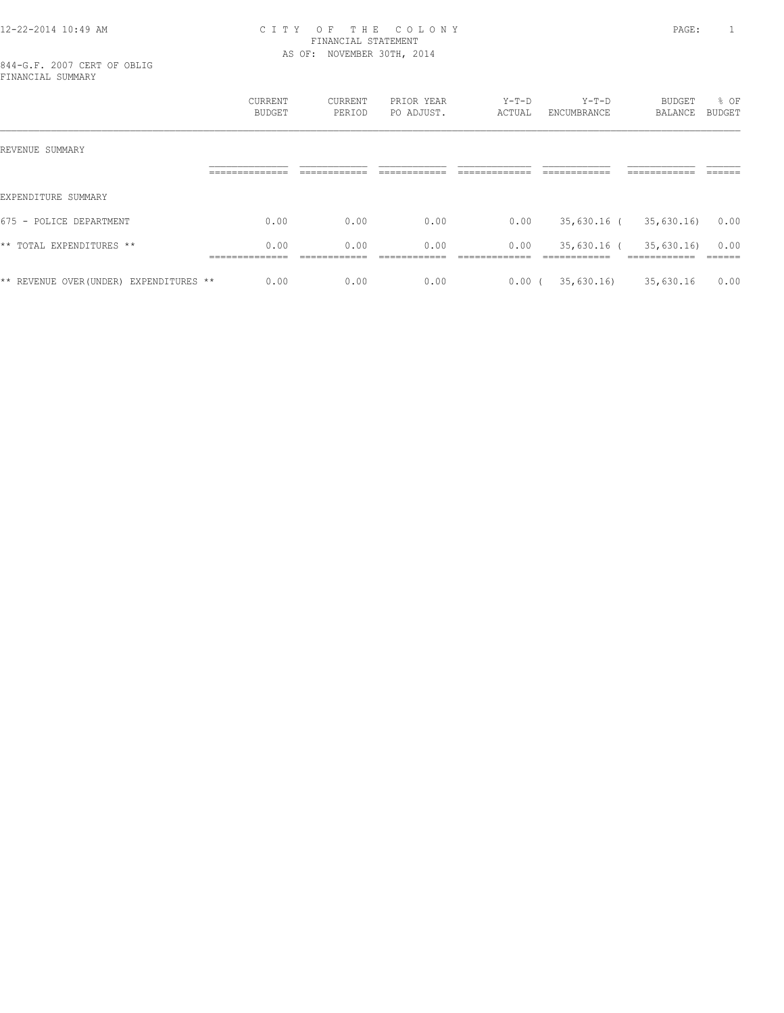#### 12-22-2014 10:49 AM C I T Y O F T H E C O L O N Y PAGE: 1 FINANCIAL STATEMENT AS OF: NOVEMBER 30TH, 2014

844-G.F. 2007 CERT OF OBLIG FINANCIAL SUMMARY

|                                         | CURRENT<br>BUDGET                        | <b>CURRENT</b><br>PERIOD | PRIOR YEAR<br>PO ADJUST. | $Y-T-D$<br>ACTUAL    | $Y-T-D$<br>ENCUMBRANCE       | BUDGET<br>BALANCE                        | % OF<br><b>BUDGET</b>     |
|-----------------------------------------|------------------------------------------|--------------------------|--------------------------|----------------------|------------------------------|------------------------------------------|---------------------------|
| REVENUE SUMMARY                         |                                          |                          |                          |                      |                              |                                          |                           |
|                                         | ______________<br>-------------          | ____________             | -------------            | ____________         | -------------                | ____________                             | -------<br>______         |
| EXPENDITURE SUMMARY                     |                                          |                          |                          |                      |                              |                                          |                           |
| 675 -<br>POLICE DEPARTMENT              | 0.00                                     | 0.00                     | 0.00                     | 0.00                 | 35,630.16 (                  | 35,630.16                                | 0.00                      |
| ** TOTAL EXPENDITURES **                | 0.00<br>______________<br>______________ | 0.00<br>____________     | 0.00<br>-------------    | 0.00<br>____________ | 35,630.16 (<br>------------- | 35,630.16<br>____________<br>___________ | 0.00<br>-------<br>______ |
| ** REVENUE OVER (UNDER) EXPENDITURES ** | 0.00                                     | 0.00                     | 0.00                     | $0.00$ (             | 35,630.16                    | 35,630.16                                | 0.00                      |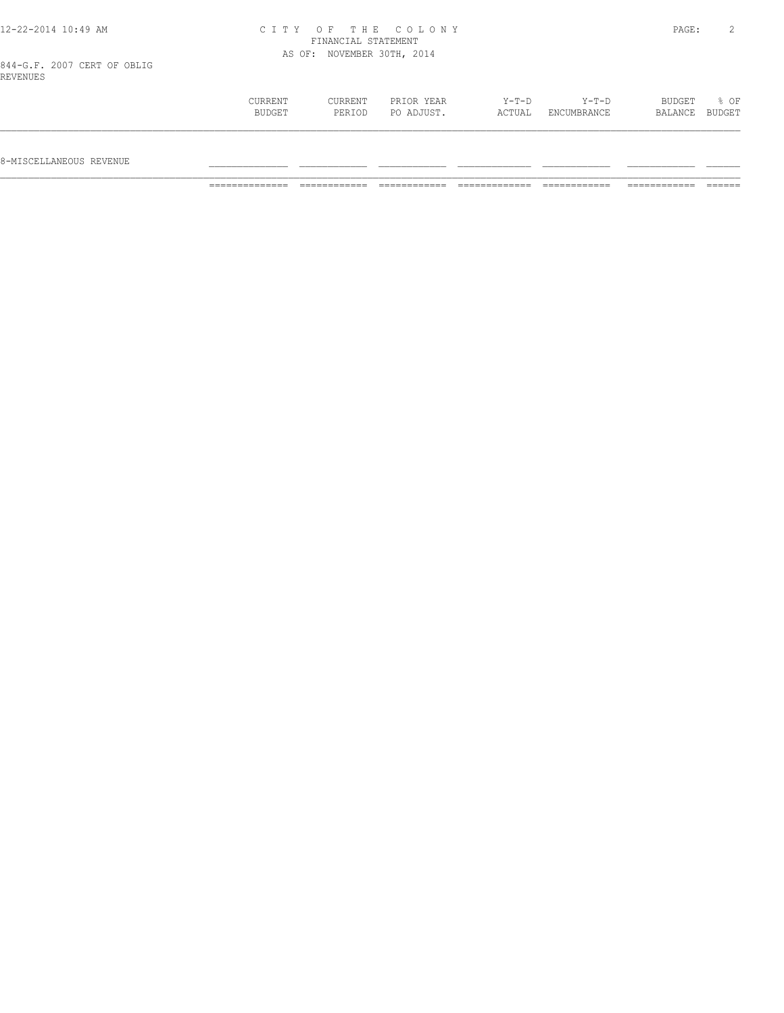|  |  | 12-22-2014 10:49 AM |  |
|--|--|---------------------|--|
|  |  |                     |  |

#### 12-22-2014 10:49 AM C I T Y O F T H E C O L O N Y PAGE: 2 FINANCIAL STATEMENT AS OF: NOVEMBER 30TH, 2014

844-G.F. 2007 CERT OF OBLIG REVENUES

| IND V DINUD J |                   |                   |                          |                   |                        |                          |      |
|---------------|-------------------|-------------------|--------------------------|-------------------|------------------------|--------------------------|------|
|               | CURRENT<br>BUDGET | CURRENT<br>PERIOD | PRIOR YEAR<br>PO ADJUST. | $Y-T-D$<br>ACTUAL | $Y-T-D$<br>ENCUMBRANCE | BUDGET<br>BALANCE BUDGET | % OF |
|               |                   |                   |                          |                   |                        |                          |      |

 $8-$ MISCELLANEOUS REVENUE

============== ============ ============ ============= ============ ============ ======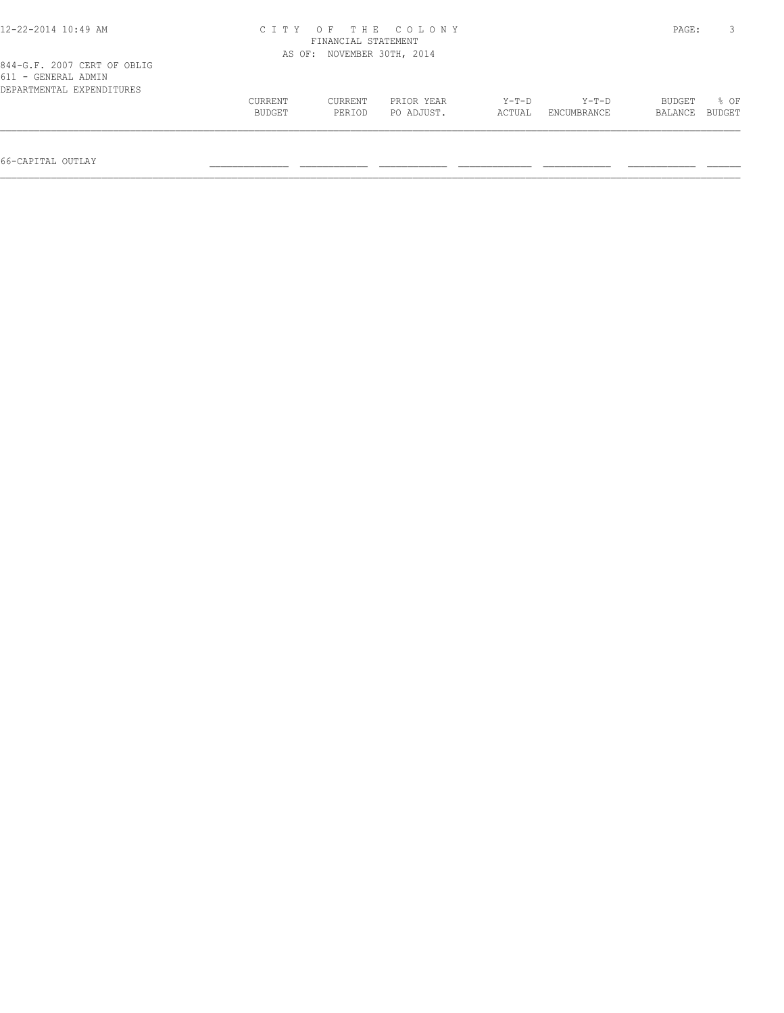| 12-22-2014 10:49 AM                                                             |                   | CITY OF THE COLONY<br>FINANCIAL STATEMENT |                          |                 |                      |                   |                  |  |
|---------------------------------------------------------------------------------|-------------------|-------------------------------------------|--------------------------|-----------------|----------------------|-------------------|------------------|--|
|                                                                                 |                   | AS OF: NOVEMBER 30TH, 2014                |                          |                 |                      |                   |                  |  |
| 844-G.F. 2007 CERT OF OBLIG<br>611 - GENERAL ADMIN<br>DEPARTMENTAL EXPENDITURES |                   |                                           |                          |                 |                      |                   |                  |  |
|                                                                                 | CURRENT<br>BUDGET | CURRENT<br>PERIOD                         | PRIOR YEAR<br>PO ADJUST. | Y-T-D<br>ACTUAL | Y-T-D<br>ENCUMBRANCE | BUDGET<br>BALANCE | $8$ OF<br>BUDGET |  |
|                                                                                 |                   |                                           |                          |                 |                      |                   |                  |  |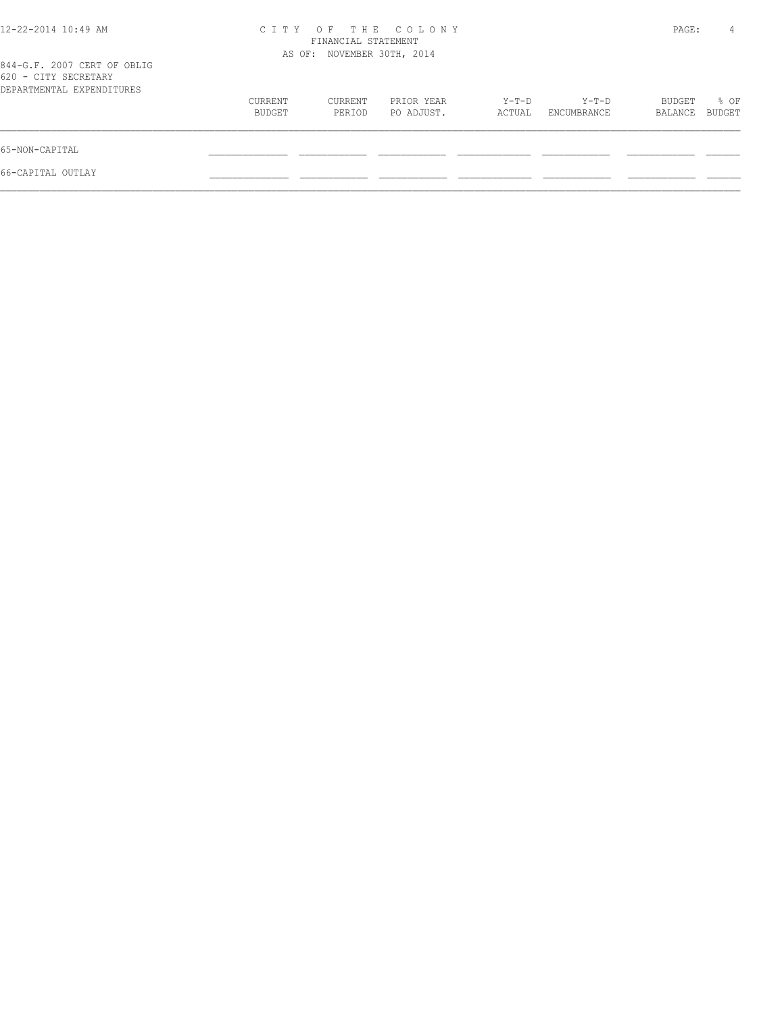| CITY OF THE COLONY<br>FINANCIAL STATEMENT |                   |                          |                            |                      |                   | 4              |
|-------------------------------------------|-------------------|--------------------------|----------------------------|----------------------|-------------------|----------------|
|                                           |                   |                          |                            |                      |                   |                |
| CURRENT<br>BUDGET                         | CURRENT<br>PERIOD | PRIOR YEAR<br>PO ADJUST. | Y-T-D<br>ACTUAL            | Y-T-D<br>ENCUMBRANCE | BUDGET<br>BALANCE | % OF<br>BUDGET |
|                                           |                   |                          |                            |                      |                   |                |
|                                           |                   |                          |                            |                      |                   |                |
|                                           |                   |                          | AS OF: NOVEMBER 30TH, 2014 |                      |                   | PAGE:          |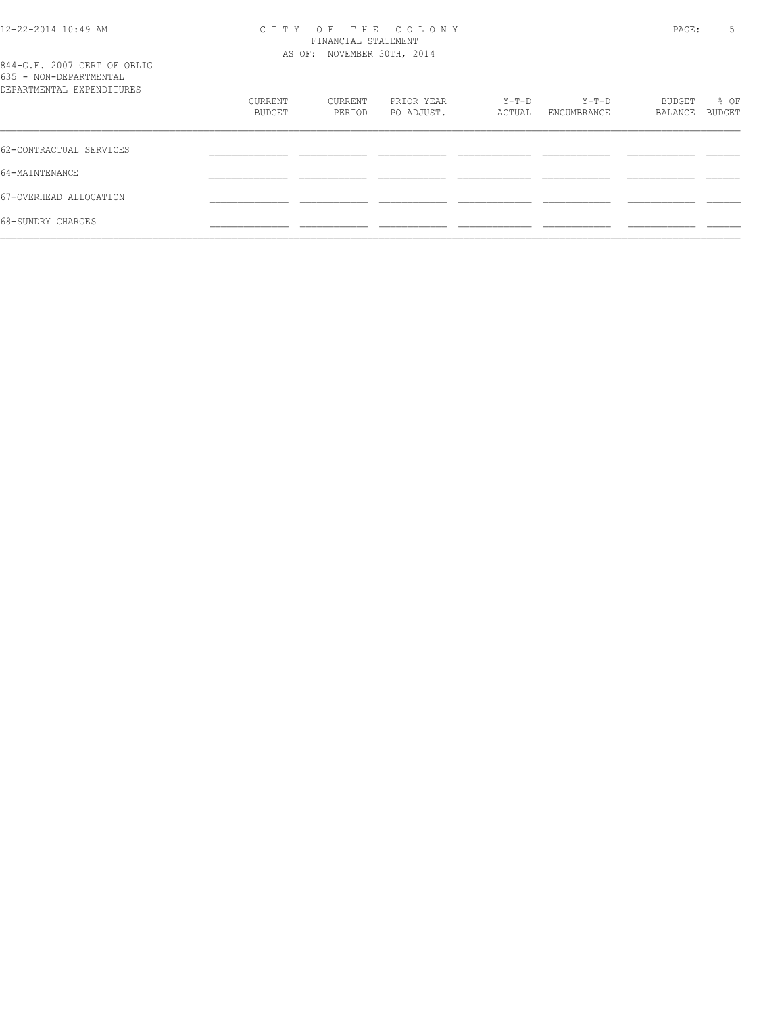#### 12-22-2014 10:49 AM C I T Y O F T H E C O L O N Y PAGE: 5 FINANCIAL STATEMENT AS OF: NOVEMBER 30TH, 2014

| 844-G.F. 2007 CERT OF OBLIG<br>635 - NON-DEPARTMENTAL<br>DEPARTMENTAL EXPENDITURES |         |         |            |        |             |         |        |
|------------------------------------------------------------------------------------|---------|---------|------------|--------|-------------|---------|--------|
|                                                                                    | CURRENT | CURRENT | PRIOR YEAR | Y-T-D  | Y-T-D       | BUDGET  | % OF   |
|                                                                                    | BUDGET  | PERIOD  | PO ADJUST. | ACTUAL | ENCUMBRANCE | BALANCE | BUDGET |
|                                                                                    |         |         |            |        |             |         |        |
| 62-CONTRACTUAL SERVICES                                                            |         |         |            |        |             |         |        |
| 64-MAINTENANCE                                                                     |         |         |            |        |             |         |        |
| 67-OVERHEAD ALLOCATION                                                             |         |         |            |        |             |         |        |
| 68-SUNDRY CHARGES                                                                  |         |         |            |        |             |         |        |
|                                                                                    |         |         |            |        |             |         |        |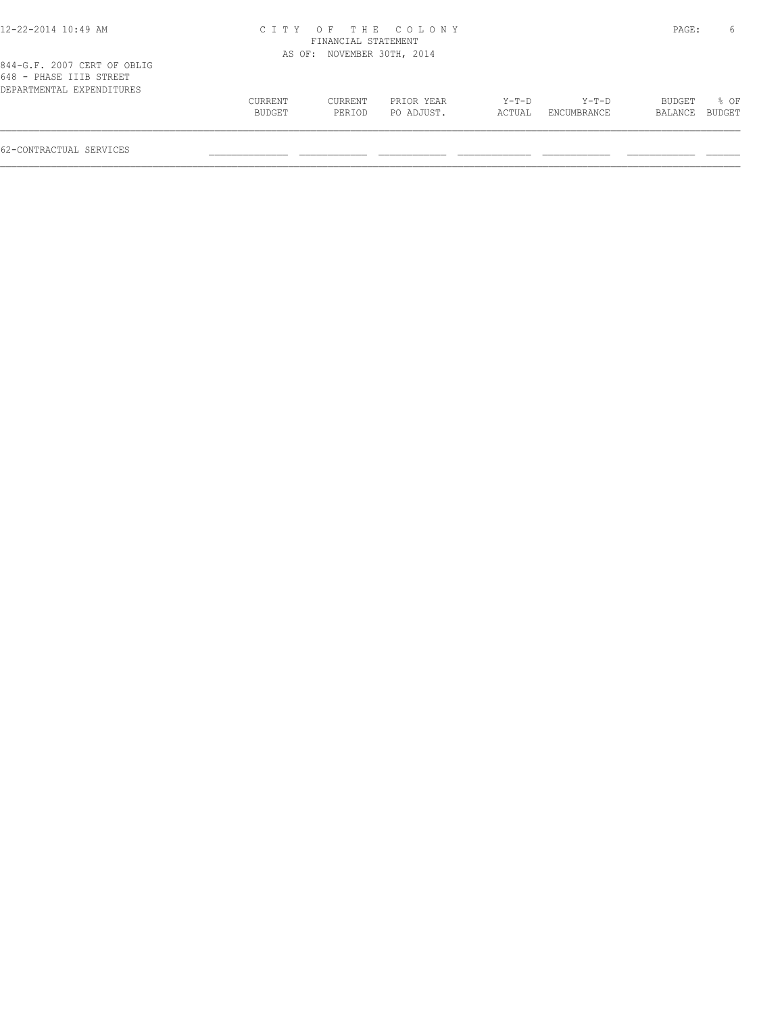| 12-22-2014 10:49 AM                                                                 |                   | FINANCIAL STATEMENT        | CITY OF THE COLONY       |                 |                      | PAGE:             | 6              |
|-------------------------------------------------------------------------------------|-------------------|----------------------------|--------------------------|-----------------|----------------------|-------------------|----------------|
|                                                                                     |                   | AS OF: NOVEMBER 30TH, 2014 |                          |                 |                      |                   |                |
| 844-G.F. 2007 CERT OF OBLIG<br>648 - PHASE IIIB STREET<br>DEPARTMENTAL EXPENDITURES |                   |                            |                          |                 |                      |                   |                |
|                                                                                     | CURRENT<br>BUDGET | CURRENT<br>PERIOD          | PRIOR YEAR<br>PO ADJUST. | Y-T-D<br>ACTUAL | Y-T-D<br>ENCUMBRANCE | BUDGET<br>BALANCE | % OF<br>BUDGET |
|                                                                                     |                   |                            |                          |                 |                      |                   |                |

62-CONTRACTUAL SERVICES \_\_\_\_\_\_\_\_\_\_\_\_\_\_ \_\_\_\_\_\_\_\_\_\_\_\_ \_\_\_\_\_\_\_\_\_\_\_\_ \_\_\_\_\_\_\_\_\_\_\_\_\_ \_\_\_\_\_\_\_\_\_\_\_\_ \_\_\_\_\_\_\_\_\_\_\_\_ \_\_\_\_\_\_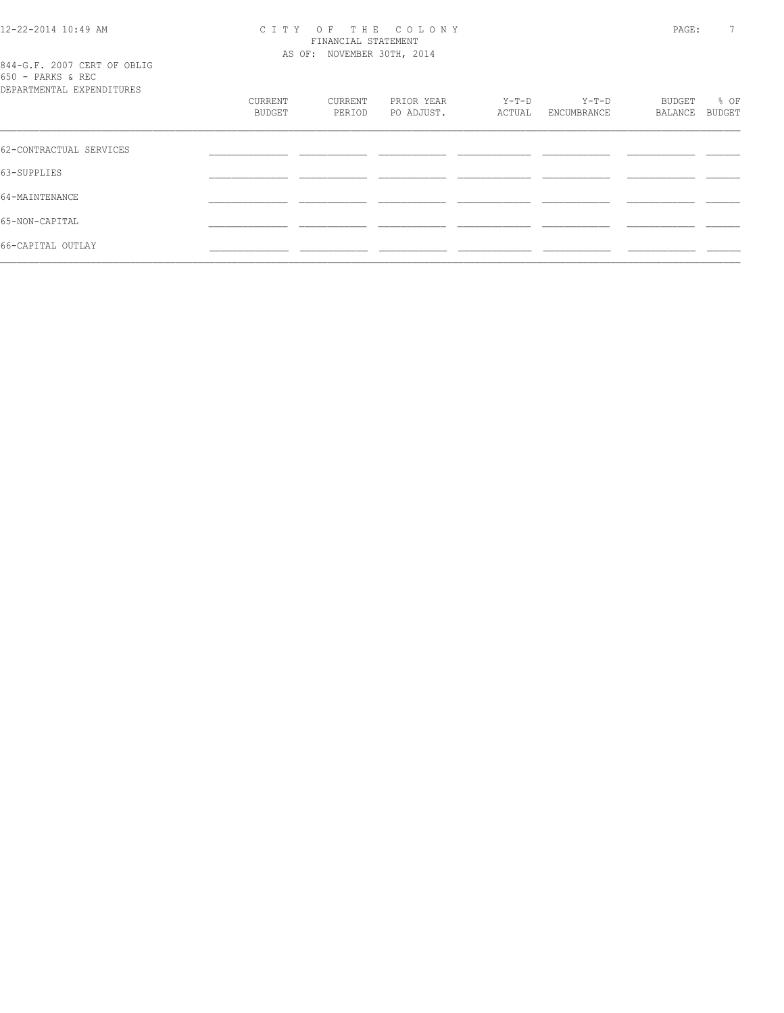# 12-22-2014 10:49 AM CITY OF THE COLONY<br>FINANCIAL STATEMENT<br>2014 C.E. 2007 CERT OF OPLIC

844-G.F. 2007 CERT OF OBLIG<br>650 - PARKS & REC<br>PRELEMINI

| DEPARTMENTAL EXPENDITURES |                   |                   |                          |                 |                      |                   |                |
|---------------------------|-------------------|-------------------|--------------------------|-----------------|----------------------|-------------------|----------------|
|                           | CURRENT<br>BUDGET | CURRENT<br>PERIOD | PRIOR YEAR<br>PO ADJUST. | Y-T-D<br>ACTUAL | Y-T-D<br>ENCUMBRANCE | BUDGET<br>BALANCE | % OF<br>BUDGET |
| 62-CONTRACTUAL SERVICES   |                   |                   |                          |                 |                      |                   |                |
|                           |                   |                   |                          |                 |                      |                   |                |
| 63-SUPPLIES               |                   |                   |                          |                 |                      |                   |                |
| 64-MAINTENANCE            |                   |                   |                          |                 |                      |                   |                |
| 65-NON-CAPITAL            |                   |                   |                          |                 |                      |                   |                |
| 66-CAPITAL OUTLAY         |                   |                   |                          |                 |                      |                   |                |
|                           |                   |                   |                          |                 |                      |                   |                |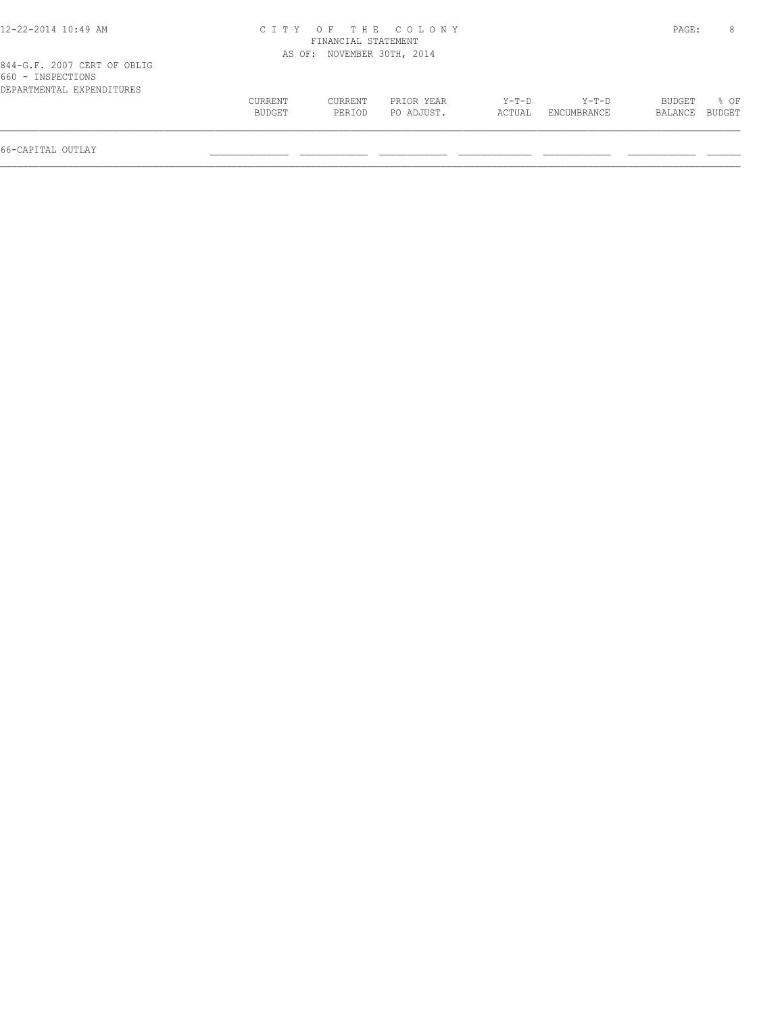| CURRENT<br>BUDGET | CURRENT<br>PERIOD | PRIOR YEAR<br>PO ADJUST. | $Y-T-D$<br>ACTUAL                                                       | Y-T-D<br>ENCUMBRANCE | BUDGET<br>BALANCE | 8 OF<br>BUDGET |
|-------------------|-------------------|--------------------------|-------------------------------------------------------------------------|----------------------|-------------------|----------------|
|                   |                   |                          | CITY OF THE COLONY<br>FINANCIAL STATEMENT<br>AS OF: NOVEMBER 30TH, 2014 |                      |                   | PAGE:          |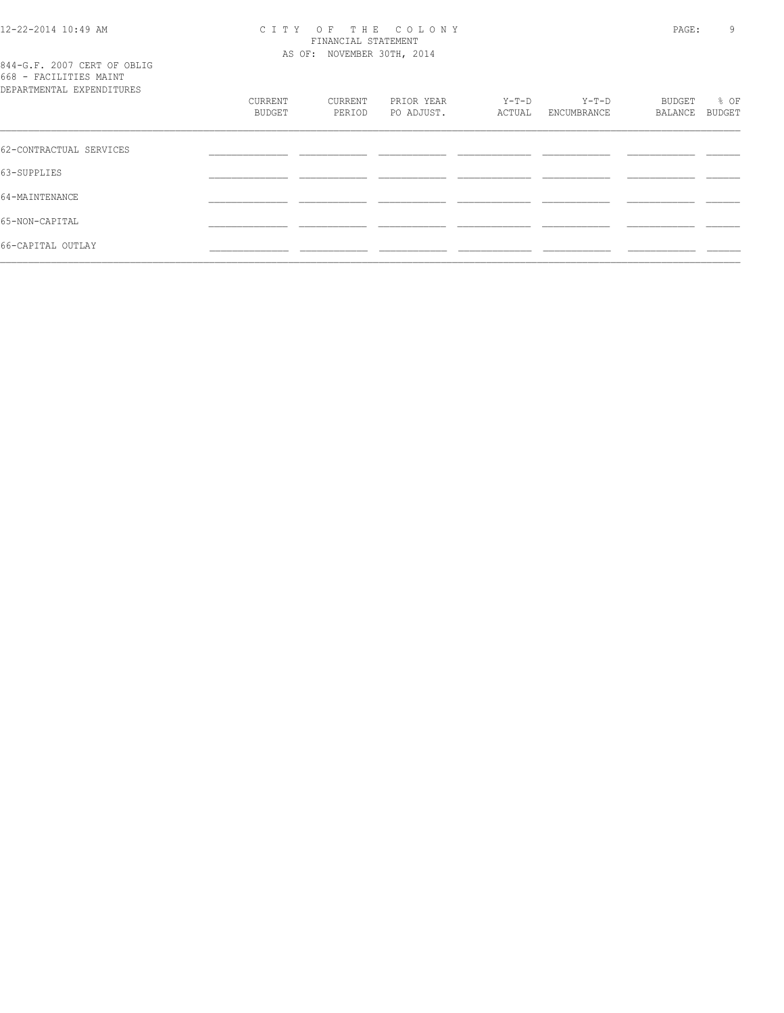# 12-22-2014 10:49 AM CITY OF THE COLONY<br>FINANCIAL STATEMENT<br>2014 C.E. 2007 CERT OF ORLEC

844-G.F. 2007 CERT OF OBLIG<br>668 - FACILITIES MAINT

| DEPARTMENTAL EXPENDITURES |                   |                   |                          |                 |                        |                   |                       |
|---------------------------|-------------------|-------------------|--------------------------|-----------------|------------------------|-------------------|-----------------------|
|                           | CURRENT<br>BUDGET | CURRENT<br>PERIOD | PRIOR YEAR<br>PO ADJUST. | Y-T-D<br>ACTUAL | $Y-T-D$<br>ENCUMBRANCE | BUDGET<br>BALANCE | % OF<br><b>BUDGET</b> |
| 62-CONTRACTUAL SERVICES   |                   |                   |                          |                 |                        |                   |                       |
| 63-SUPPLIES               |                   |                   |                          |                 |                        |                   |                       |
| 64-MAINTENANCE            |                   |                   |                          |                 |                        |                   |                       |
| 65-NON-CAPITAL            |                   |                   |                          |                 |                        |                   |                       |
| 66-CAPITAL OUTLAY         |                   |                   |                          |                 |                        |                   |                       |
|                           |                   |                   |                          |                 |                        |                   |                       |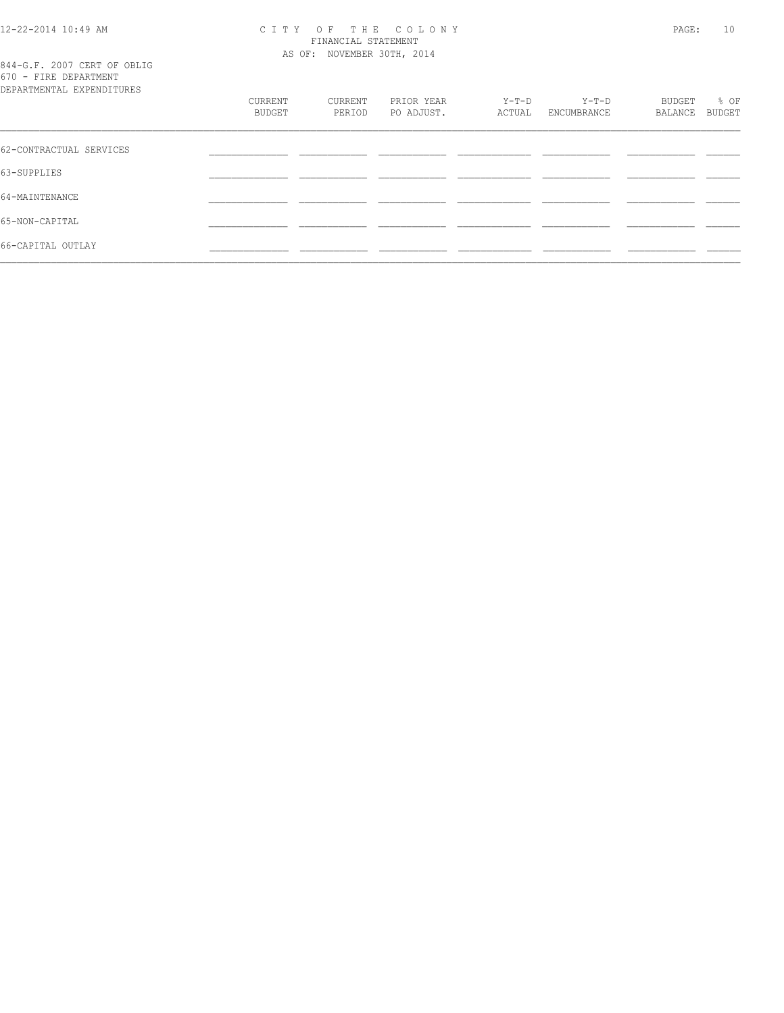## CITY OF THE COLONY<br>
FINANCIAL STATEMENT<br>
AS OF: NOVEMBER 30TH, 2014

|  |  |                                            | 844-G.F. 2007 CERT OF OBLIG |
|--|--|--------------------------------------------|-----------------------------|
|  |  | 670 - FIRE DEPARTMENT                      |                             |
|  |  | ר בקווידר הוא העיקות המידים בים החדש בים ה |                             |

| DEPARTMENTAL EXPENDITURES |                   |                   |                          |                 |                        |                   |                |
|---------------------------|-------------------|-------------------|--------------------------|-----------------|------------------------|-------------------|----------------|
|                           | CURRENT<br>BUDGET | CURRENT<br>PERIOD | PRIOR YEAR<br>PO ADJUST. | Y-T-D<br>ACTUAL | $Y-T-D$<br>ENCUMBRANCE | BUDGET<br>BALANCE | % OF<br>BUDGET |
|                           |                   |                   |                          |                 |                        |                   |                |
| 62-CONTRACTUAL SERVICES   |                   |                   |                          |                 |                        |                   |                |
| 63-SUPPLIES               |                   |                   |                          |                 |                        |                   |                |
| 64-MAINTENANCE            |                   |                   |                          |                 |                        |                   |                |
| 65-NON-CAPITAL            |                   |                   |                          |                 |                        |                   |                |
| 66-CAPITAL OUTLAY         |                   |                   |                          |                 |                        |                   |                |
|                           |                   |                   |                          |                 |                        |                   |                |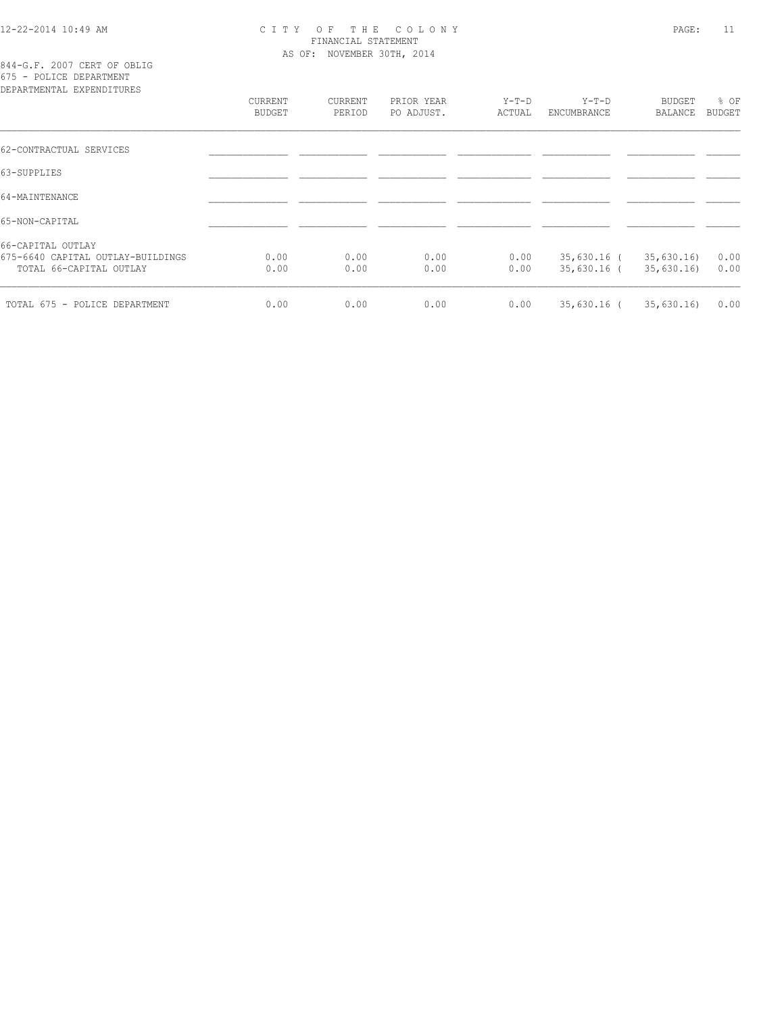#### 12-22-2014 10:49 AM C I T Y O F T H E C O L O N Y PAGE: 11 FINANCIAL STATEMENT AS OF: NOVEMBER 30TH, 2014

844-G.F. 2007 CERT OF OBLIG 675 - POLICE DEPARTMENT

| DEPARTMENTAL EXPENDITURES         |         |         |            |         |             |               |               |
|-----------------------------------|---------|---------|------------|---------|-------------|---------------|---------------|
|                                   | CURRENT | CURRENT | PRIOR YEAR | $Y-T-D$ | $Y-T-D$     | <b>BUDGET</b> | % OF          |
|                                   | BUDGET  | PERIOD  | PO ADJUST. | ACTUAL  | ENCUMBRANCE | BALANCE       | <b>BUDGET</b> |
| 62-CONTRACTUAL SERVICES           |         |         |            |         |             |               |               |
| 63-SUPPLIES                       |         |         |            |         |             |               |               |
| 64-MAINTENANCE                    |         |         |            |         |             |               |               |
| 65-NON-CAPITAL                    |         |         |            |         |             |               |               |
| 66-CAPITAL OUTLAY                 |         |         |            |         |             |               |               |
| 675-6640 CAPITAL OUTLAY-BUILDINGS | 0.00    | 0.00    | 0.00       | 0.00    | 35,630.16 ( | 35,630.16     | 0.00          |
| TOTAL 66-CAPITAL OUTLAY           | 0.00    | 0.00    | 0.00       | 0.00    | 35,630.16 ( | 35,630.16     | 0.00          |
| TOTAL 675 - POLICE DEPARTMENT     | 0.00    | 0.00    | 0.00       | 0.00    | 35,630.16 ( | 35,630.16     | 0.00          |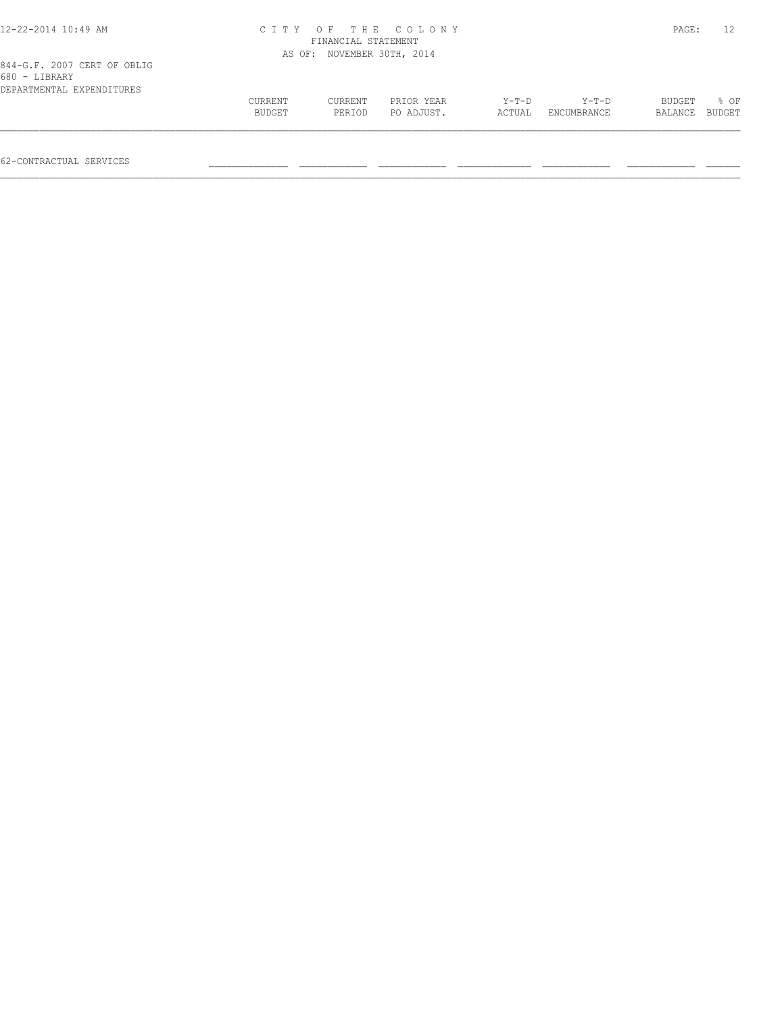| 12-22-2014 10:49 AM                                                       | CITY OF THE COLONY<br>FINANCIAL STATEMENT |                            |                          |                   |                        |                   |                |
|---------------------------------------------------------------------------|-------------------------------------------|----------------------------|--------------------------|-------------------|------------------------|-------------------|----------------|
|                                                                           |                                           | AS OF: NOVEMBER 30TH, 2014 |                          |                   |                        |                   |                |
| 844-G.F. 2007 CERT OF OBLIG<br>680 - LIBRARY<br>DEPARTMENTAL EXPENDITURES |                                           |                            |                          |                   |                        |                   |                |
|                                                                           | CURRENT<br>BUDGET                         | CURRENT<br>PERIOD          | PRIOR YEAR<br>PO ADJUST. | $Y-T-D$<br>ACTUAL | $Y-T-D$<br>ENCUMBRANCE | BUDGET<br>BALANCE | 8 OF<br>BUDGET |
|                                                                           |                                           |                            |                          |                   |                        |                   |                |

62-CONTRACTUAL SERVICES \_\_\_\_\_\_\_\_\_\_\_\_\_\_ \_\_\_\_\_\_\_\_\_\_\_\_ \_\_\_\_\_\_\_\_\_\_\_\_ \_\_\_\_\_\_\_\_\_\_\_\_\_ \_\_\_\_\_\_\_\_\_\_\_\_ \_\_\_\_\_\_\_\_\_\_\_\_ \_\_\_\_\_\_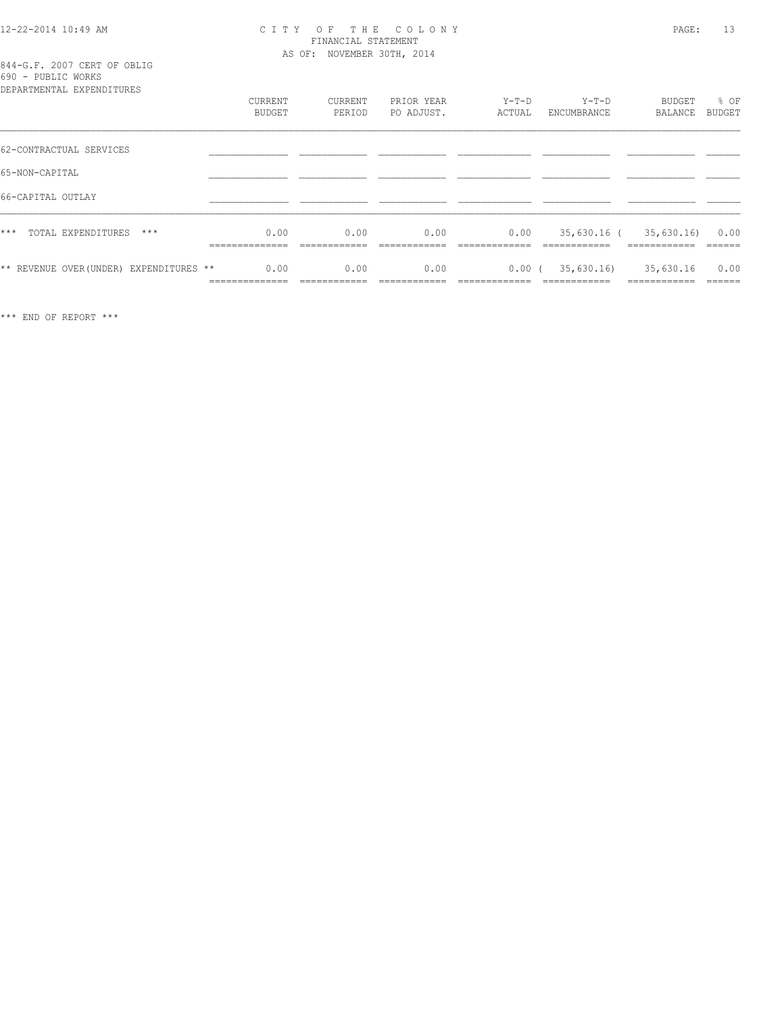#### 12-22-2014 10:49 AM C I T Y O F T H E C O L O N Y PAGE: 13 FINANCIAL STATEMENT AS OF: NOVEMBER 30TH, 2014

| 844-G.F. 2007 CERT OF OBLIG |  |  |
|-----------------------------|--|--|
| 690 - PUBLIC WORKS          |  |  |
|                             |  |  |

| DEPARTMENTAL EXPENDITURES               |                                          |                      |                          |                       |                           |                                                         |                       |
|-----------------------------------------|------------------------------------------|----------------------|--------------------------|-----------------------|---------------------------|---------------------------------------------------------|-----------------------|
|                                         | CURRENT<br>BUDGET                        | CURRENT<br>PERIOD    | PRIOR YEAR<br>PO ADJUST. | $Y-T-D$<br>ACTUAL     | $Y-T-D$<br>ENCUMBRANCE    | BUDGET<br>BALANCE                                       | % OF<br><b>BUDGET</b> |
|                                         |                                          |                      |                          |                       |                           |                                                         |                       |
| 62-CONTRACTUAL SERVICES                 |                                          |                      |                          |                       |                           |                                                         |                       |
| 65-NON-CAPITAL                          |                                          |                      |                          |                       |                           |                                                         |                       |
| 66-CAPITAL OUTLAY                       |                                          |                      |                          |                       |                           |                                                         |                       |
| $***$<br>TOTAL EXPENDITURES<br>$***$    | 0.00<br>______________<br>-------------- | 0.00<br>____________ | 0.00<br>____________     | 0.00<br>_____________ | ____________              | 35,630.16 ( 35,630.16)<br>____________<br>------------- | 0.00<br>______        |
| ** REVENUE OVER (UNDER) EXPENDITURES ** | 0.00<br>______________                   | 0.00<br>____________ | 0.00<br>------------     | 0.00(<br>____________ | 35,630.16<br>------------ | 35,630.16<br>------------                               | 0.00<br>-------       |

\*\*\* END OF REPORT \*\*\*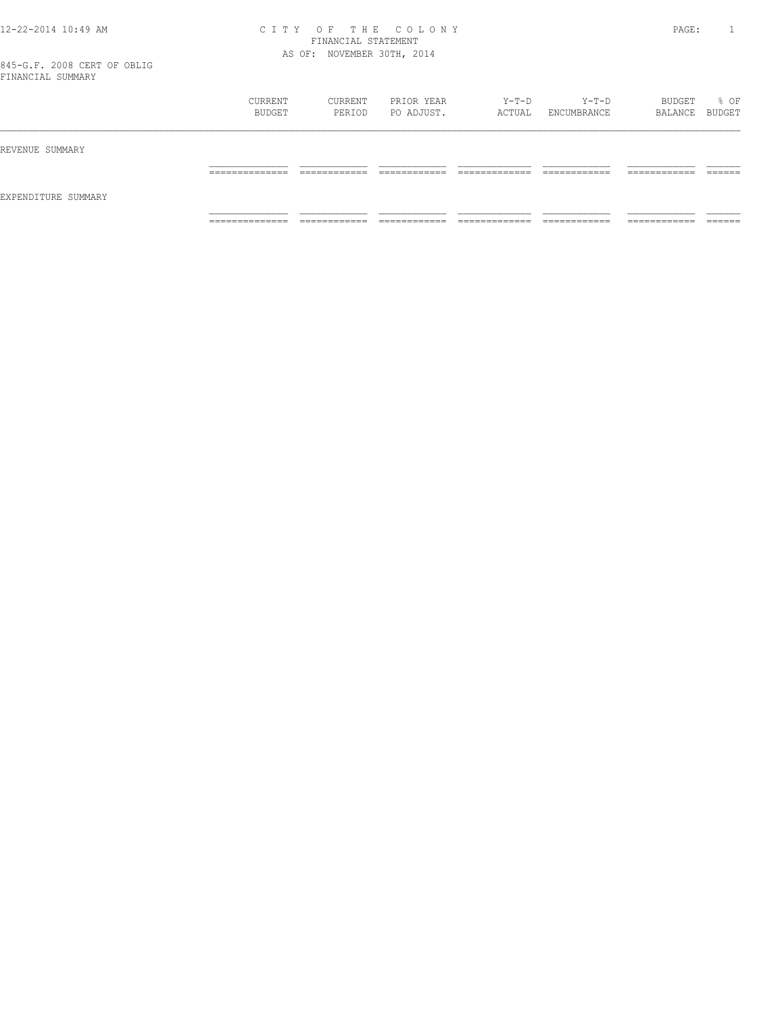#### 12-22-2014 10:49 AM C I T Y O F T H E C O L O N Y PAGE: 1 FINANCIAL STATEMENT AS OF: NOVEMBER 30TH, 2014

845-G.F. 2008 CERT OF OBLIG FINANCIAL SUMMARY

| BUDGET         | PERIOD                       | PO ADJUST.                    | Y-T-D<br>ACTUAL               | $Y-T-D$<br>ENCUMBRANCE        | BUDGET<br>BALANCE BUDGET        | % OF               |
|----------------|------------------------------|-------------------------------|-------------------------------|-------------------------------|---------------------------------|--------------------|
|                |                              |                               |                               |                               |                                 |                    |
| ______________ | ____________<br>____________ | -------------<br>____________ | ____________<br>_____________ | -------------<br>____________ | -------------<br>______________ | -------<br>_______ |
|                |                              |                               |                               |                               |                                 | -------            |
|                | ______________<br>.          | ____________<br>____________  | -------------<br>____________ | ____________<br>_____________ | ------------<br>____________    | -------------<br>. |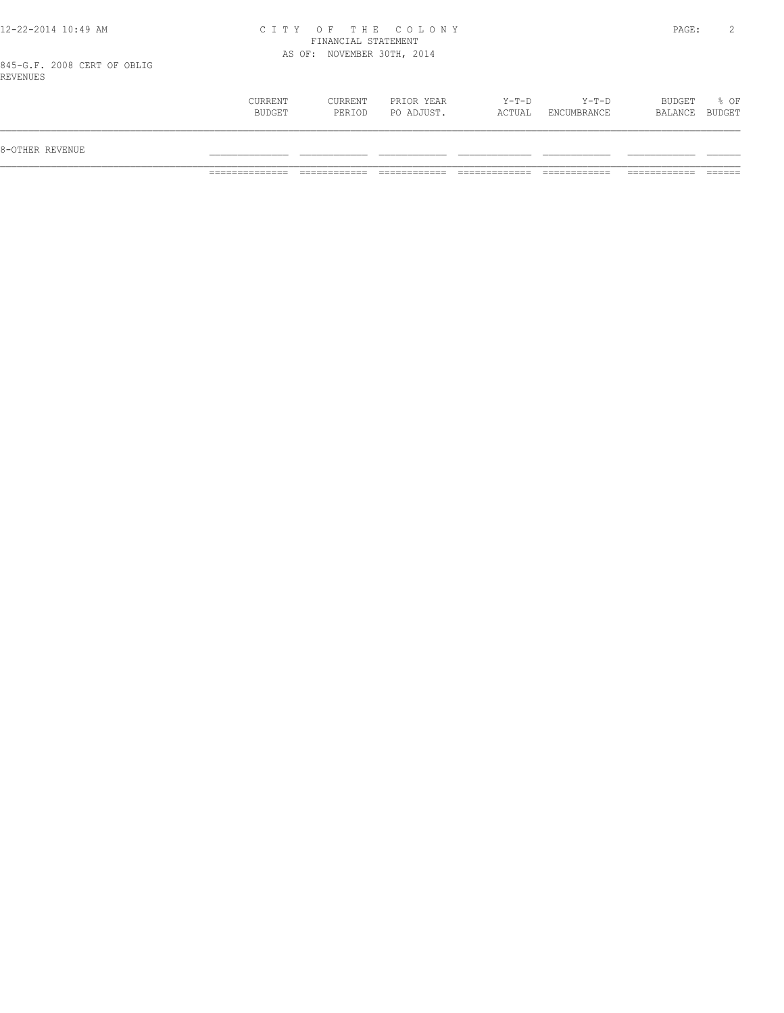#### 12-22-2014 10:49 AM C I T Y O F T H E C O L O N Y PAGE: 2 FINANCIAL STATEMENT AS OF: NOVEMBER 30TH, 2014

845-G.F. 2008 CERT OF OBLIG REVENUES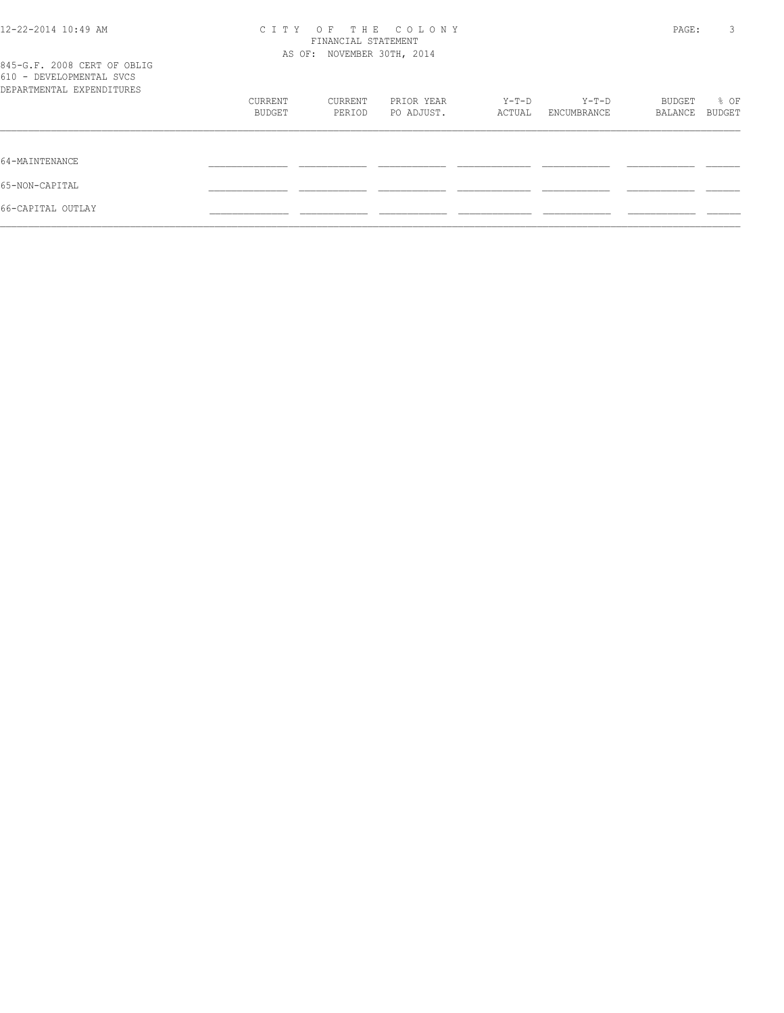|  | % OF<br>BUDGET    |
|--|-------------------|
|  |                   |
|  |                   |
|  |                   |
|  |                   |
|  | BUDGET<br>BALANCE |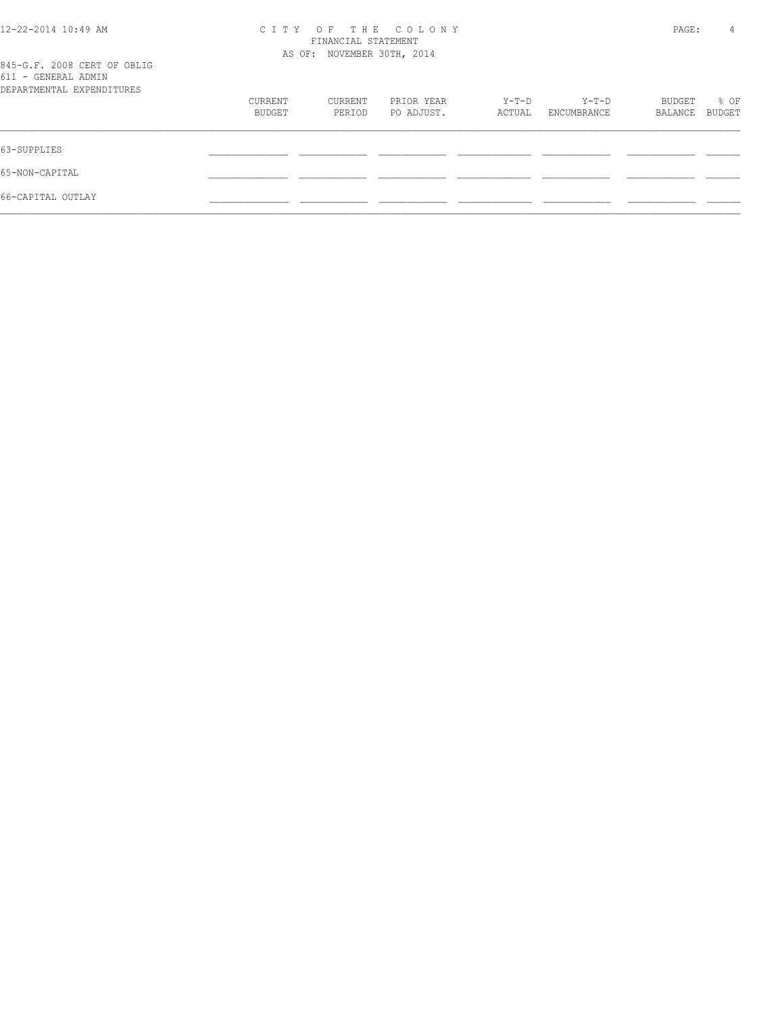| 12-22-2014 10:49 AM                                                             | THE COLONY<br>C T T Y<br>OF<br>FINANCIAL STATEMENT<br>AS OF: NOVEMBER 30TH, 2014 |                   |                          |                 |                      | PAGE:             | 4              |
|---------------------------------------------------------------------------------|----------------------------------------------------------------------------------|-------------------|--------------------------|-----------------|----------------------|-------------------|----------------|
| 845-G.F. 2008 CERT OF OBLIG<br>611 - GENERAL ADMIN<br>DEPARTMENTAL EXPENDITURES |                                                                                  |                   |                          |                 |                      |                   |                |
|                                                                                 | CURRENT<br><b>BUDGET</b>                                                         | CURRENT<br>PERIOD | PRIOR YEAR<br>PO ADJUST. | Y-T-D<br>ACTUAL | Y-T-D<br>ENCUMBRANCE | BUDGET<br>BALANCE | % OF<br>BUDGET |
|                                                                                 |                                                                                  |                   |                          |                 |                      |                   |                |
| 65-NON-CAPITAL                                                                  |                                                                                  |                   |                          |                 |                      |                   |                |
| 66-CAPITAL OUTLAY                                                               |                                                                                  |                   |                          |                 |                      |                   |                |
|                                                                                 |                                                                                  |                   |                          |                 |                      |                   |                |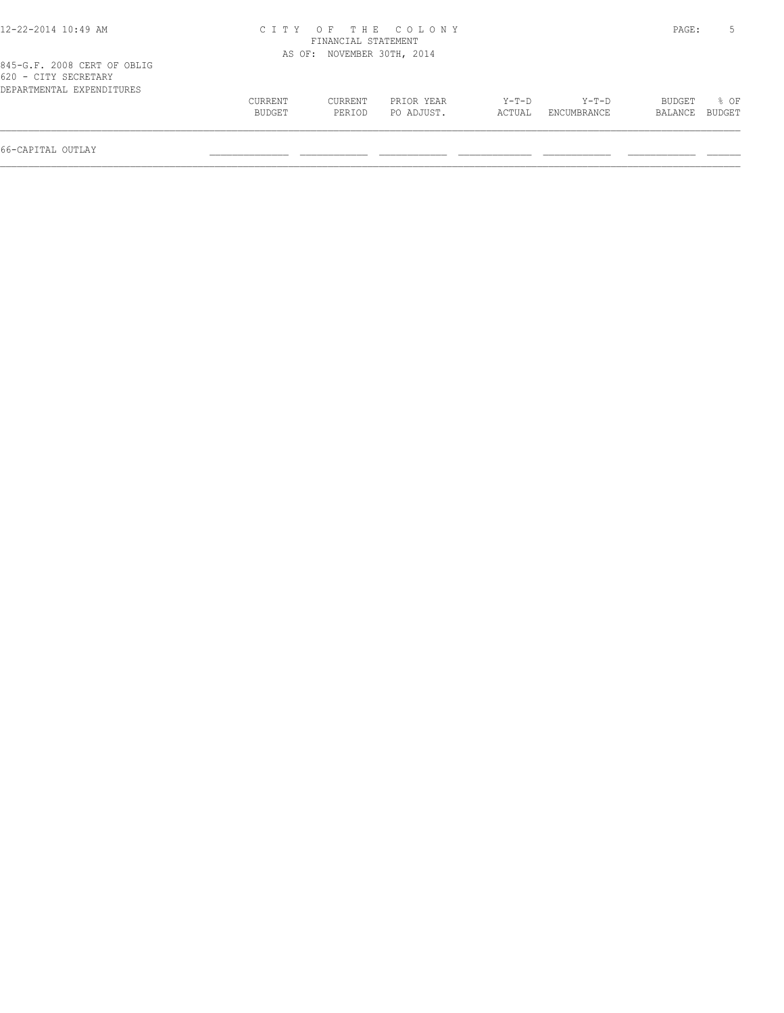| 12-22-2014 10:49 AM                                                              |                   |                            | CITY OF THE COLONY       |                 |                        | PAGE:             |                |
|----------------------------------------------------------------------------------|-------------------|----------------------------|--------------------------|-----------------|------------------------|-------------------|----------------|
|                                                                                  |                   | FINANCIAL STATEMENT        |                          |                 |                        |                   |                |
|                                                                                  |                   | AS OF: NOVEMBER 30TH, 2014 |                          |                 |                        |                   |                |
| 845-G.F. 2008 CERT OF OBLIG<br>620 - CITY SECRETARY<br>DEPARTMENTAL EXPENDITURES |                   |                            |                          |                 |                        |                   |                |
|                                                                                  | CURRENT<br>BUDGET | CURRENT<br>PERIOD          | PRIOR YEAR<br>PO ADJUST. | Y-T-D<br>ACTUAL | $Y-T-D$<br>ENCUMBRANCE | BUDGET<br>BALANCE | % OF<br>BUDGET |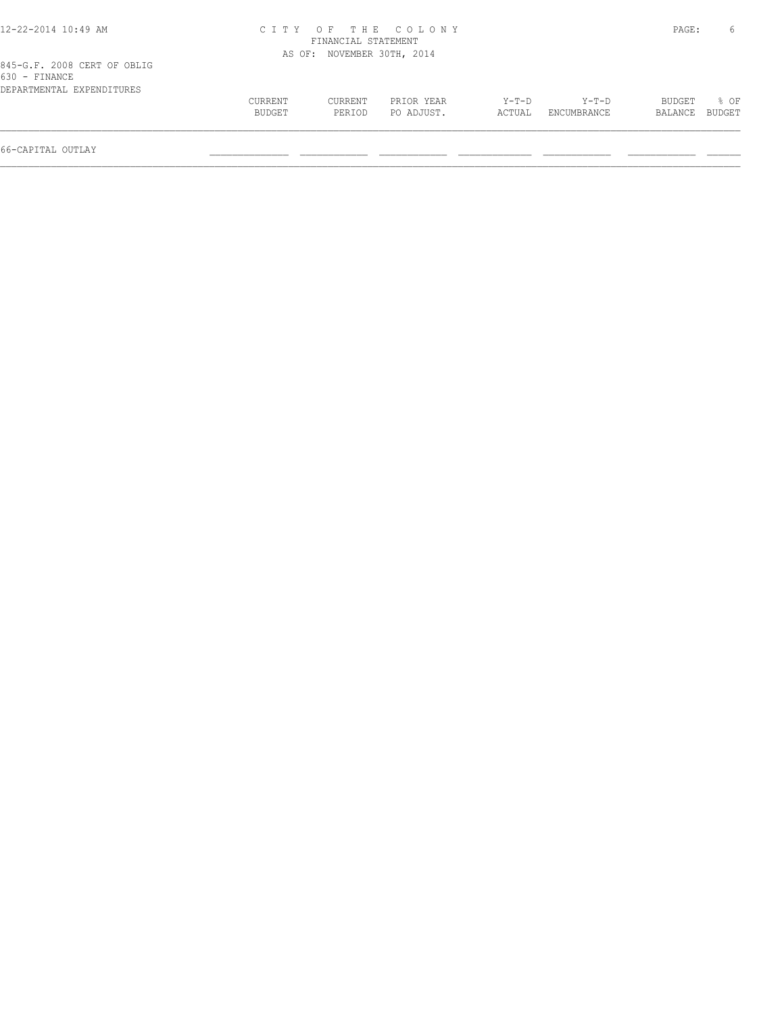| 12-22-2014 10:49 AM                                                       |                   |                            | CITY OF THE COLONY       |                   |                        | PAGE:             |                |
|---------------------------------------------------------------------------|-------------------|----------------------------|--------------------------|-------------------|------------------------|-------------------|----------------|
|                                                                           |                   | FINANCIAL STATEMENT        |                          |                   |                        |                   |                |
|                                                                           |                   | AS OF: NOVEMBER 30TH, 2014 |                          |                   |                        |                   |                |
| 845-G.F. 2008 CERT OF OBLIG<br>630 - FINANCE<br>DEPARTMENTAL EXPENDITURES |                   |                            |                          |                   |                        |                   |                |
|                                                                           | CURRENT<br>BUDGET | CURRENT<br>PERIOD          | PRIOR YEAR<br>PO ADJUST. | $Y-T-D$<br>ACTUAL | $Y-T-D$<br>ENCUMBRANCE | BUDGET<br>BALANCE | 8 OF<br>BUDGET |

66-CAPITAL OUTLAY \_\_\_\_\_\_\_\_\_\_\_\_\_\_ \_\_\_\_\_\_\_\_\_\_\_\_ \_\_\_\_\_\_\_\_\_\_\_\_ \_\_\_\_\_\_\_\_\_\_\_\_\_ \_\_\_\_\_\_\_\_\_\_\_\_ \_\_\_\_\_\_\_\_\_\_\_\_ \_\_\_\_\_\_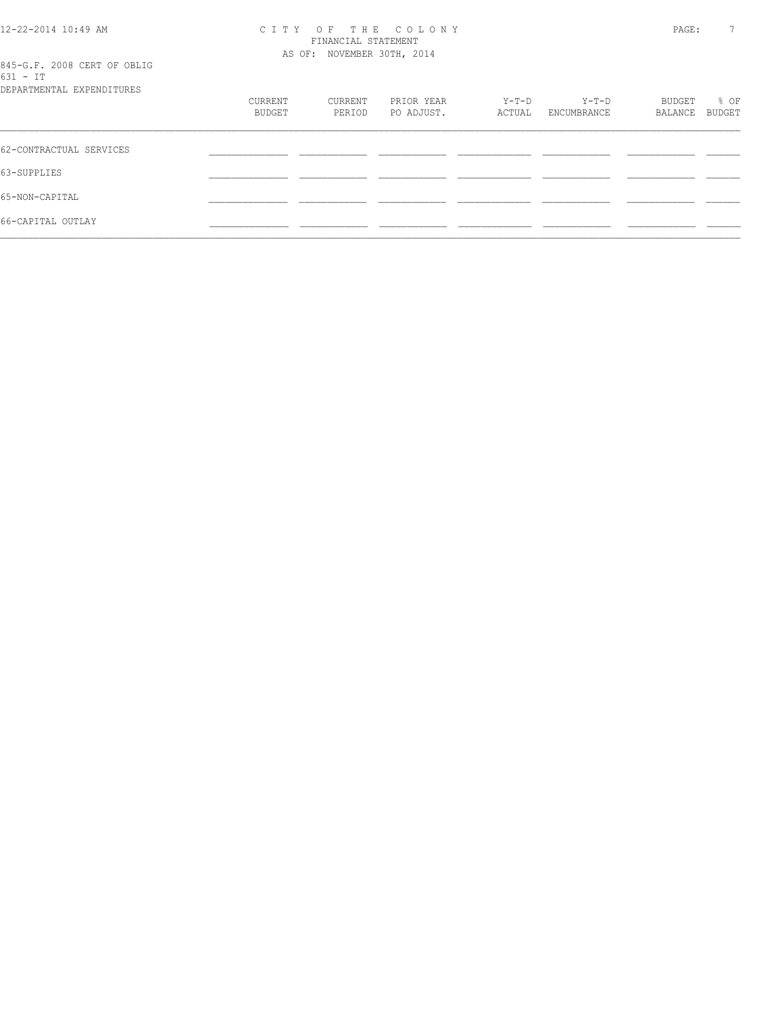| 12-22-2014 10:49 AM |  |
|---------------------|--|
|---------------------|--|

#### 12-22-2014 10:49 AM C I T Y O F T H E C O L O N Y PAGE: 7 FINANCIAL STATEMENT AS OF: NOVEMBER 30TH, 2014

| 845-G.F. 2008 CERT OF OBLIG |  |  |
|-----------------------------|--|--|
| $631 - TT$                  |  |  |

| DEPARTMENTAL EXPENDITURES |                   |                   |                          |                 |                        |                   |                |
|---------------------------|-------------------|-------------------|--------------------------|-----------------|------------------------|-------------------|----------------|
|                           | CURRENT<br>BUDGET | CURRENT<br>PERIOD | PRIOR YEAR<br>PO ADJUST. | Y-T-D<br>ACTUAL | $Y-T-D$<br>ENCUMBRANCE | BUDGET<br>BALANCE | % OF<br>BUDGET |
| 62-CONTRACTUAL SERVICES   |                   |                   |                          |                 |                        |                   |                |
| 63-SUPPLIES               |                   |                   |                          |                 |                        |                   |                |
| 65-NON-CAPITAL            |                   |                   |                          |                 |                        |                   |                |
| 66-CAPITAL OUTLAY         |                   |                   |                          |                 |                        |                   |                |
|                           |                   |                   |                          |                 |                        |                   |                |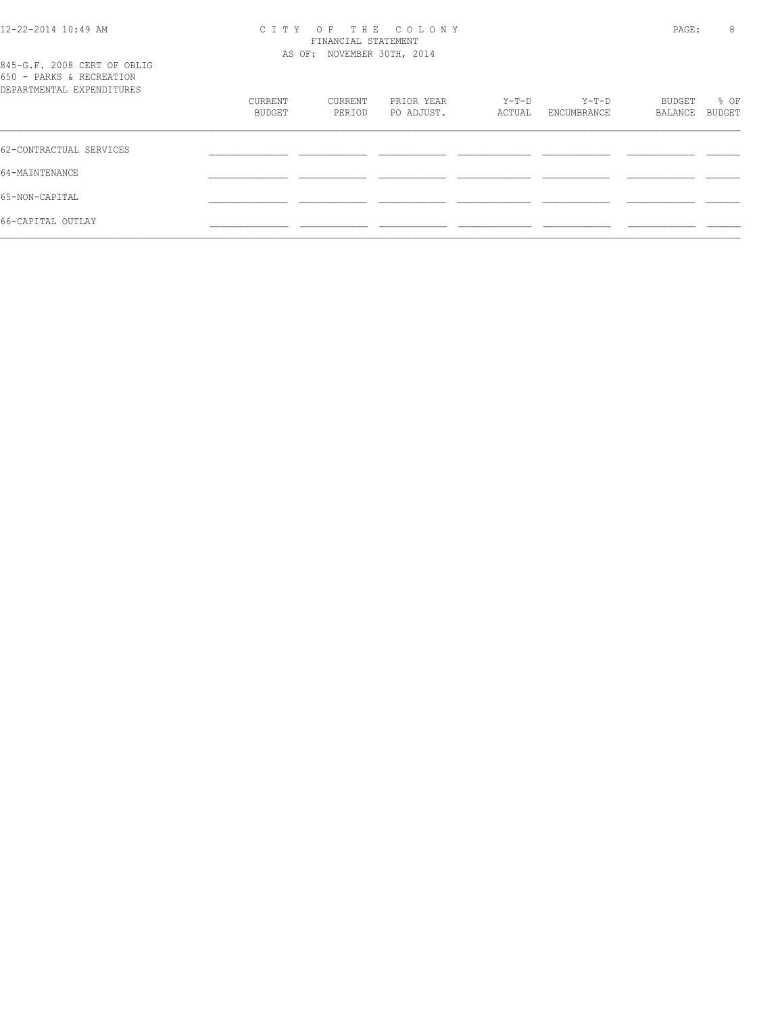#### 12-22-2014 10:49 AM C I T Y O F T H E C O L O N Y PAGE: 8 FINANCIAL STATEMENT AS OF: NOVEMBER 30TH, 2014

| 845-G.F. 2008 CERT OF OBLIG<br>650 - PARKS & RECREATION<br>DEPARTMENTAL EXPENDITURES |                   |                   |                          |                 |                      |                   |                |
|--------------------------------------------------------------------------------------|-------------------|-------------------|--------------------------|-----------------|----------------------|-------------------|----------------|
|                                                                                      | CURRENT<br>BUDGET | CURRENT<br>PERIOD | PRIOR YEAR<br>PO ADJUST. | Y-T-D<br>ACTUAL | Y-T-D<br>ENCUMBRANCE | BUDGET<br>BALANCE | % OF<br>BUDGET |
| 62-CONTRACTUAL SERVICES                                                              |                   |                   |                          |                 |                      |                   |                |
| 64-MAINTENANCE                                                                       |                   |                   |                          |                 |                      |                   |                |
| 65-NON-CAPITAL                                                                       |                   |                   |                          |                 |                      |                   |                |
| 66-CAPITAL OUTLAY                                                                    |                   |                   |                          |                 |                      |                   |                |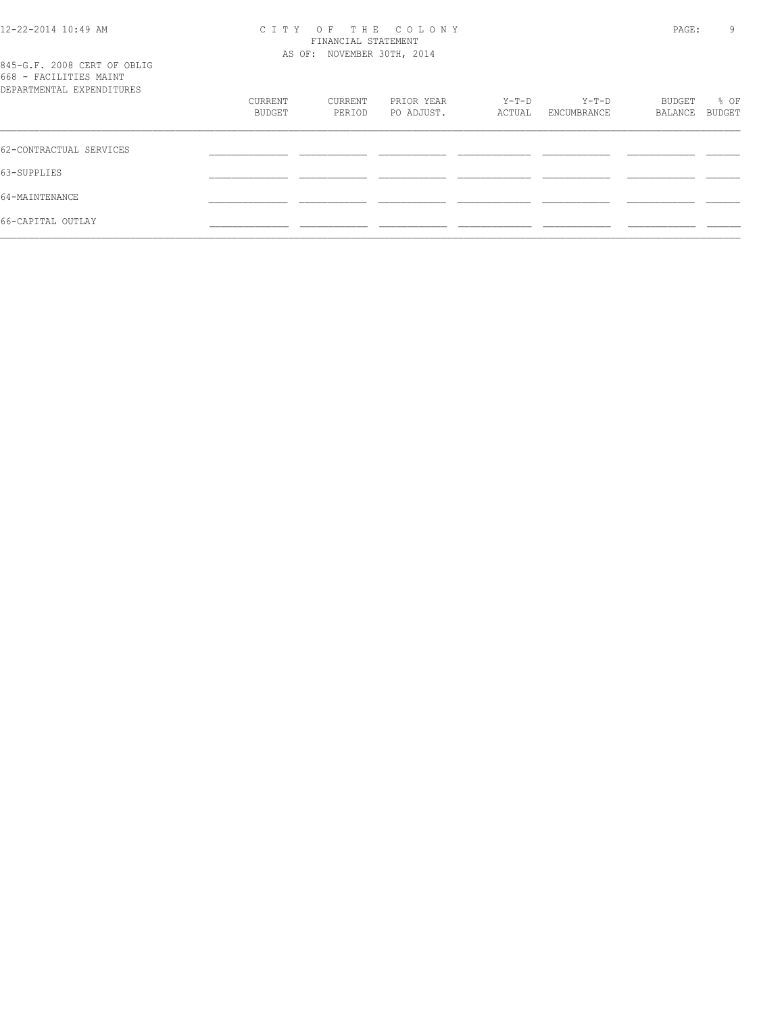#### 12-22-2014 10:49 AM C I T Y O F T H E C O L O N Y PAGE: 9 FINANCIAL STATEMENT AS OF: NOVEMBER 30TH, 2014

|  |                           |  | 845-G.F. 2008 CERT OF OBLIG |  |
|--|---------------------------|--|-----------------------------|--|
|  | 668 - FACILITIES MAINT    |  |                             |  |
|  | DEPARTMENTAL EXPENDITURES |  |                             |  |

| 000 LIQLELLED IMILINE<br>DEPARTMENTAL EXPENDITURES |                   |                   |                          |                 |                        |                   |                |
|----------------------------------------------------|-------------------|-------------------|--------------------------|-----------------|------------------------|-------------------|----------------|
|                                                    | CURRENT<br>BUDGET | CURRENT<br>PERIOD | PRIOR YEAR<br>PO ADJUST. | Y-T-D<br>ACTUAL | $Y-T-D$<br>ENCUMBRANCE | BUDGET<br>BALANCE | % OF<br>BUDGET |
| 62-CONTRACTUAL SERVICES                            |                   |                   |                          |                 |                        |                   |                |
| 63-SUPPLIES                                        |                   |                   |                          |                 |                        |                   |                |
| 64-MAINTENANCE                                     |                   |                   |                          |                 |                        |                   |                |
| 66-CAPITAL OUTLAY                                  |                   |                   |                          |                 |                        |                   |                |
|                                                    |                   |                   |                          |                 |                        |                   |                |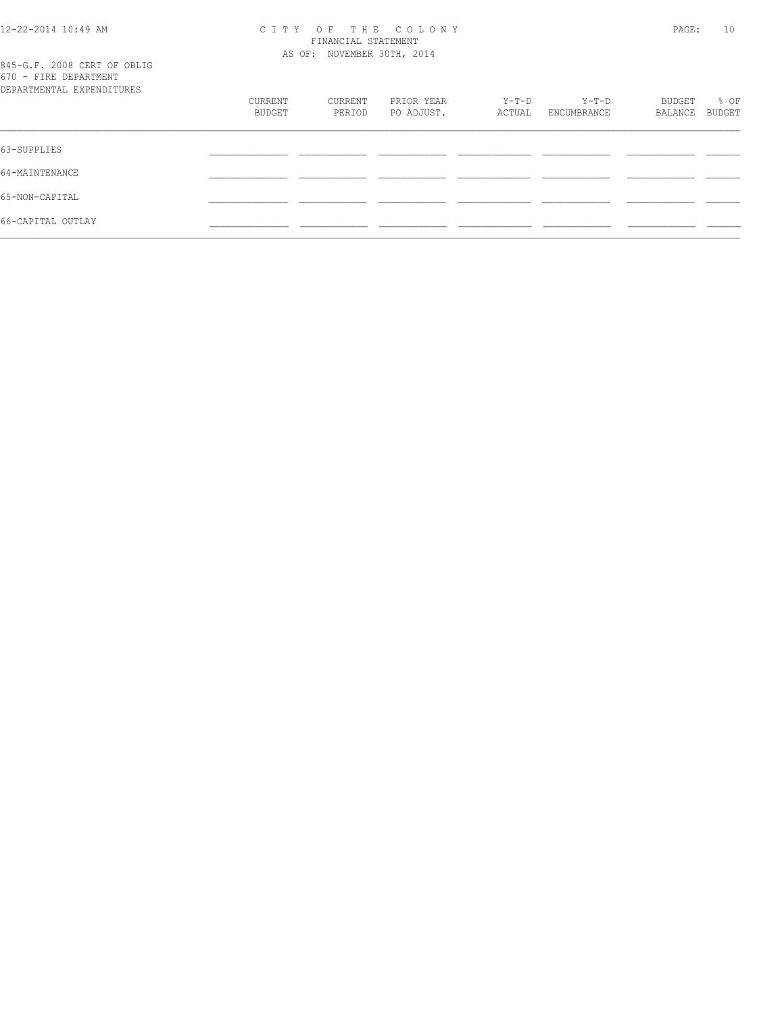#### 12-22-2014 10:49 AM C I T Y O F T H E C O L O N Y PAGE: 10 FINANCIAL STATEMENT AS OF: NOVEMBER 30TH, 2014

|  |  |                                   |  | 845-G.F. 2008 CERT OF OBLIG |
|--|--|-----------------------------------|--|-----------------------------|
|  |  | 670 - FIRE DEPARTMENT             |  |                             |
|  |  | סתסווייד הואת סעת זגייואת אייסגסת |  |                             |

| DEPARTMENTAL EXPENDITURES |                   |                   |                          |                   |                        |                   |                |
|---------------------------|-------------------|-------------------|--------------------------|-------------------|------------------------|-------------------|----------------|
|                           | CURRENT<br>BUDGET | CURRENT<br>PERIOD | PRIOR YEAR<br>PO ADJUST. | $Y-T-D$<br>ACTUAL | $Y-T-D$<br>ENCUMBRANCE | BUDGET<br>BALANCE | % OF<br>BUDGET |
|                           |                   |                   |                          |                   |                        |                   |                |
| 63-SUPPLIES               |                   |                   |                          |                   |                        |                   |                |
| 64-MAINTENANCE            |                   |                   |                          |                   |                        |                   |                |
| 65-NON-CAPITAL            |                   |                   |                          |                   |                        |                   |                |
| 66-CAPITAL OUTLAY         |                   |                   |                          |                   |                        |                   |                |
|                           |                   |                   |                          |                   |                        |                   |                |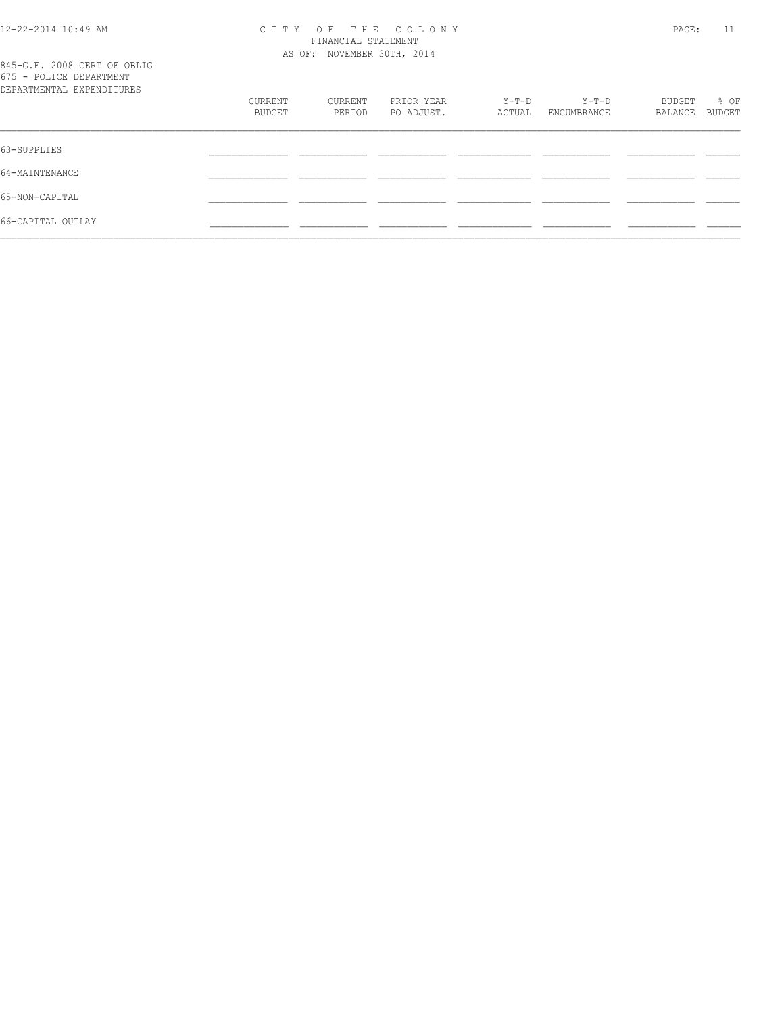#### 12-22-2014 10:49 AM C I T Y O F T H E C O L O N Y PAGE: 11 FINANCIAL STATEMENT AS OF: NOVEMBER 30TH, 2014

|  |  |                           | 845-G.F. 2008 CERT OF OBLIG |
|--|--|---------------------------|-----------------------------|
|  |  | 675 - POLICE DEPARTMENT   |                             |
|  |  | DEPARTMENTAL EXPENDITHERS |                             |

| DEPARTMENTAL EXPENDITURES |         |         |            |        |             |         |        |
|---------------------------|---------|---------|------------|--------|-------------|---------|--------|
|                           | CURRENT | CURRENT | PRIOR YEAR | Y-T-D  | Y-T-D       | BUDGET  | % OF   |
|                           | BUDGET  | PERIOD  | PO ADJUST. | ACTUAL | ENCUMBRANCE | BALANCE | BUDGET |
|                           |         |         |            |        |             |         |        |
| 63-SUPPLIES               |         |         |            |        |             |         |        |
| 64-MAINTENANCE            |         |         |            |        |             |         |        |
|                           |         |         |            |        |             |         |        |
| 65-NON-CAPITAL            |         |         |            |        |             |         |        |
| 66-CAPITAL OUTLAY         |         |         |            |        |             |         |        |
|                           |         |         |            |        |             |         |        |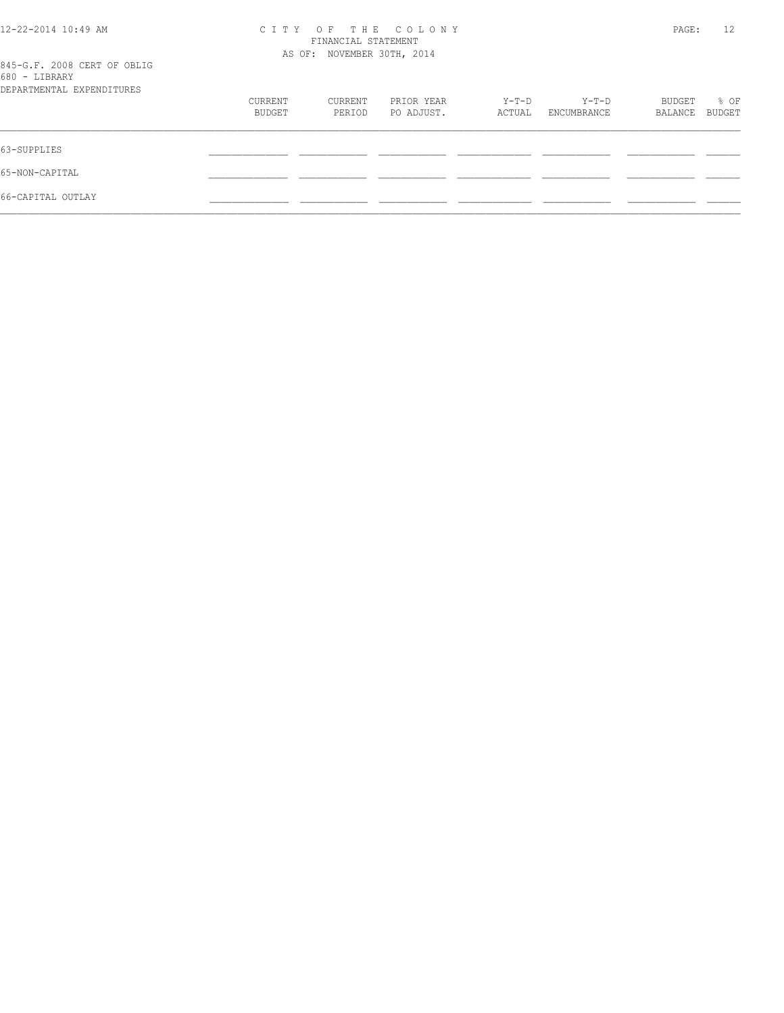| 12-22-2014 10:49 AM                          | C I T Y                    | PAGE:   | 12         |        |             |         |        |
|----------------------------------------------|----------------------------|---------|------------|--------|-------------|---------|--------|
|                                              | AS OF: NOVEMBER 30TH, 2014 |         |            |        |             |         |        |
| 845-G.F. 2008 CERT OF OBLIG<br>680 - LIBRARY |                            |         |            |        |             |         |        |
| DEPARTMENTAL EXPENDITURES                    |                            |         |            |        |             |         |        |
|                                              | CURRENT                    | CURRENT | PRIOR YEAR | Y-T-D  | Y-T-D       | BUDGET  | % OF   |
|                                              | BUDGET                     | PERIOD  | PO ADJUST. | ACTUAL | ENCUMBRANCE | BALANCE | BUDGET |
| 63-SUPPLIES                                  |                            |         |            |        |             |         |        |
| 65-NON-CAPITAL                               |                            |         |            |        |             |         |        |
| 66-CAPITAL OUTLAY                            |                            |         |            |        |             |         |        |
|                                              |                            |         |            |        |             |         |        |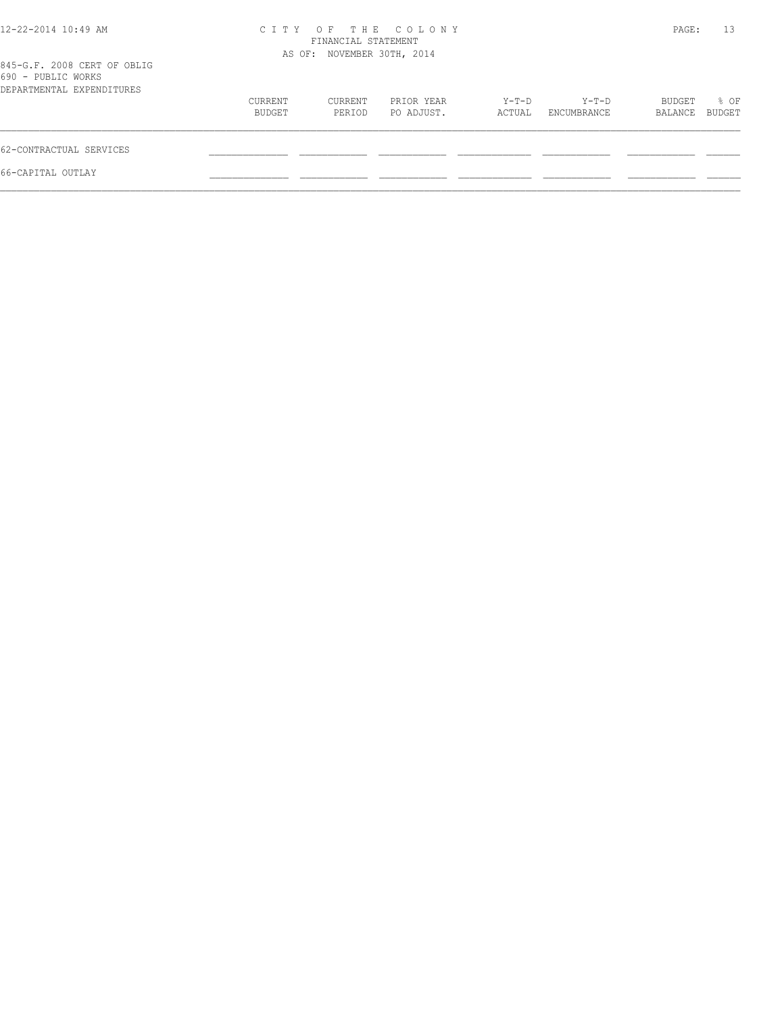| 12-22-2014 10:49 AM                                                            |                   | FINANCIAL STATEMENT<br>AS OF: NOVEMBER 30TH, 2014 | CITY OF THE COLONY       |                 |                      | PAGE:             | 13             |
|--------------------------------------------------------------------------------|-------------------|---------------------------------------------------|--------------------------|-----------------|----------------------|-------------------|----------------|
| 845-G.F. 2008 CERT OF OBLIG<br>690 - PUBLIC WORKS<br>DEPARTMENTAL EXPENDITURES |                   |                                                   |                          |                 |                      |                   |                |
|                                                                                | CURRENT<br>BUDGET | CURRENT<br>PERIOD                                 | PRIOR YEAR<br>PO ADJUST. | Y-T-D<br>ACTUAL | Y-T-D<br>ENCUMBRANCE | BUDGET<br>BALANCE | % OF<br>BUDGET |
| 62-CONTRACTUAL SERVICES                                                        |                   |                                                   |                          |                 |                      |                   |                |
| 66-CAPITAL OUTLAY                                                              |                   |                                                   |                          |                 |                      |                   |                |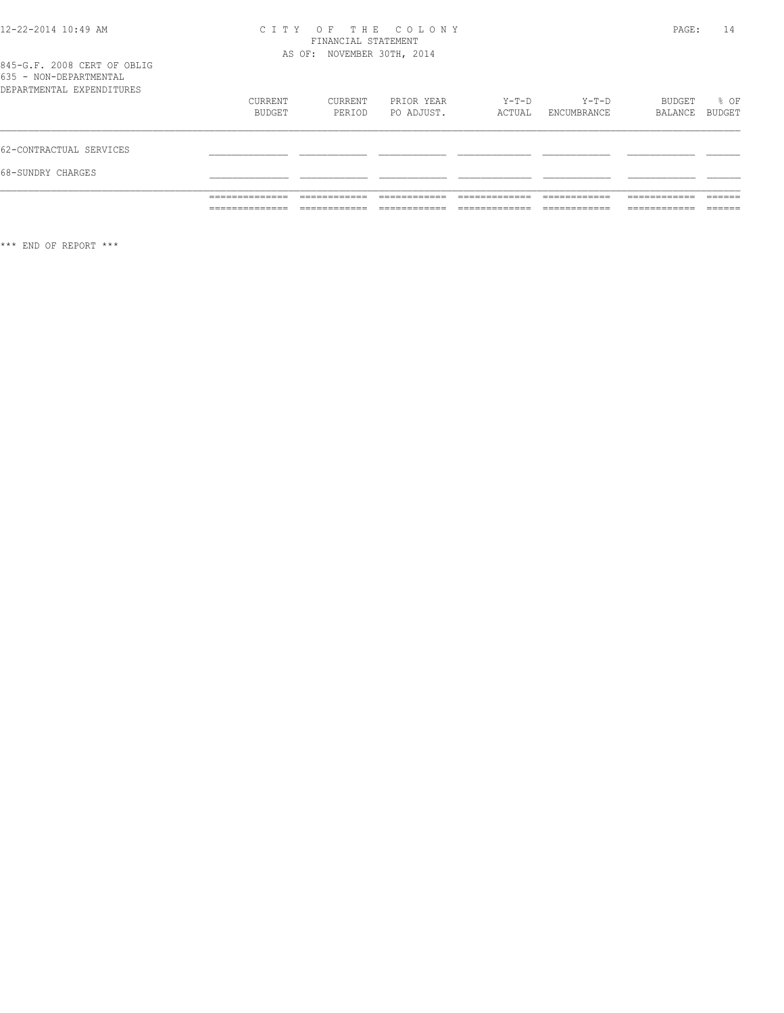#### 12-22-2014 10:49 AM C I T Y O F T H E C O L O N Y PAGE: 14 FINANCIAL STATEMENT AS OF: NOVEMBER 30TH, 2014

845-G.F. 2008 CERT OF OBLIG 635 - NON-DEPARTMENTAL

|                           | ______________<br>______________ | ____________      |                          |                 | ____________           | -------------     | _____<br>______ |
|---------------------------|----------------------------------|-------------------|--------------------------|-----------------|------------------------|-------------------|-----------------|
|                           | ______________                   |                   |                          |                 |                        | .                 |                 |
| 68-SUNDRY CHARGES         |                                  |                   |                          |                 |                        |                   |                 |
| 62-CONTRACTUAL SERVICES   |                                  |                   |                          |                 |                        |                   |                 |
| DEPARTMENTAL EXPENDITURES | CURRENT<br>BUDGET                | CURRENT<br>PERIOD | PRIOR YEAR<br>PO ADJUST. | Y-T-D<br>ACTUAL | $Y-T-D$<br>ENCUMBRANCE | BUDGET<br>BALANCE | % OF<br>BUDGET  |
| 033 - NON-DEFAKTMENTAL    |                                  |                   |                          |                 |                        |                   |                 |

\*\*\* END OF REPORT \*\*\*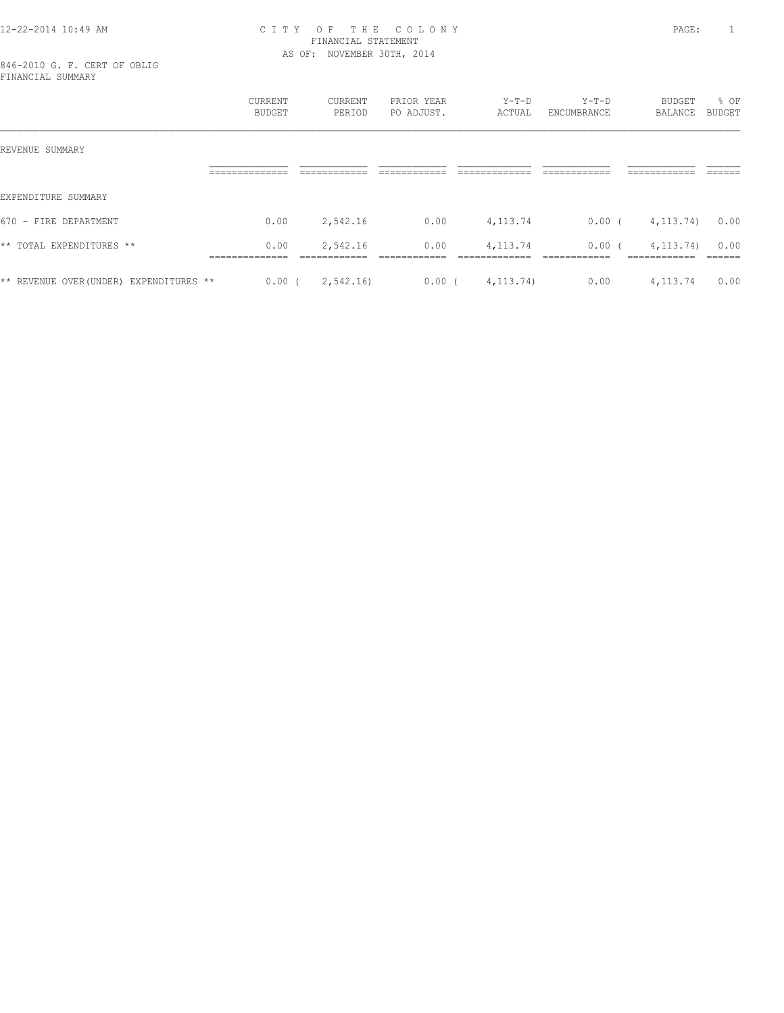#### 12-22-2014 10:49 AM C I T Y O F T H E C O L O N Y PAGE: 1 FINANCIAL STATEMENT AS OF: NOVEMBER 30TH, 2014

846-2010 G. F. CERT OF OBLIG FINANCIAL SUMMARY

|                                         | <b>CURRENT</b><br><b>BUDGET</b> | CURRENT<br>PERIOD                        | PRIOR YEAR<br>PO ADJUST. | $Y-T-D$<br>ACTUAL           | $Y-T-D$<br>ENCUMBRANCE              | BUDGET<br>BALANCE           | % OF<br><b>BUDGET</b>    |
|-----------------------------------------|---------------------------------|------------------------------------------|--------------------------|-----------------------------|-------------------------------------|-----------------------------|--------------------------|
| REVENUE SUMMARY                         |                                 |                                          |                          |                             |                                     |                             |                          |
|                                         | ==============                  | ------------<br>-------------            | ------------             | -------------               | ------------<br>-------------       | ============                | -------<br>______        |
| EXPENDITURE SUMMARY                     |                                 |                                          |                          |                             |                                     |                             |                          |
| $670 -$ FIRE<br>DEPARTMENT              | 0.00                            | 2,542.16                                 | 0.00                     | 4, 113.74                   | 0.00(                               | 4, 113, 74)                 | 0.00                     |
| ** TOTAL EXPENDITURES **                | 0.00<br>==============          | 2,542.16<br>-------------<br>----------- | 0.00<br>____________     | 4, 113. 74<br>_____________ | 0.00(<br>------------<br>---------- | 4, 113, 74)<br>============ | 0.00<br>-------<br>_____ |
| ** REVENUE OVER (UNDER) EXPENDITURES ** | $0.00$ (                        | 2,542.16)                                | $0.00$ (                 | 4, 113, 74)                 | 0.00                                | 4,113.74                    | 0.00                     |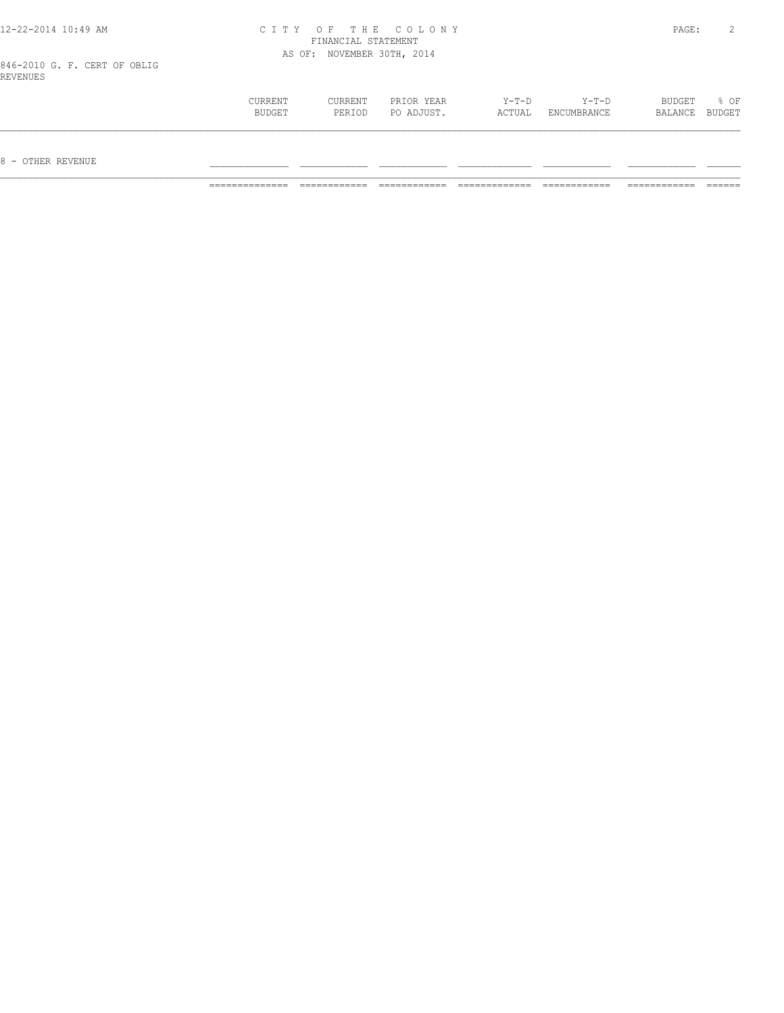| 12-22-2014 10:49 AM                      | CITY OF THE COLONY         | PAGE: |  |
|------------------------------------------|----------------------------|-------|--|
|                                          | FINANCIAL STATEMENT        |       |  |
|                                          | AS OF: NOVEMBER 30TH, 2014 |       |  |
| 846-2010 G. F. CERT OF OBLIG<br>REVENUES |                            |       |  |
|                                          |                            |       |  |

 $12 - 22 - 2014$   $10:49$  AM

| 8 - OTHER REVENUE |                          |                   |                          |                   |                      |                          |      |
|-------------------|--------------------------|-------------------|--------------------------|-------------------|----------------------|--------------------------|------|
|                   | <b>CURRENT</b><br>BUDGET | CURRENT<br>PERIOD | PRIOR YEAR<br>PO ADJUST. | $Y-T-D$<br>ACTUAL | Y-T-D<br>ENCUMBRANCE | BUDGET<br>BALANCE BUDGET | % OF |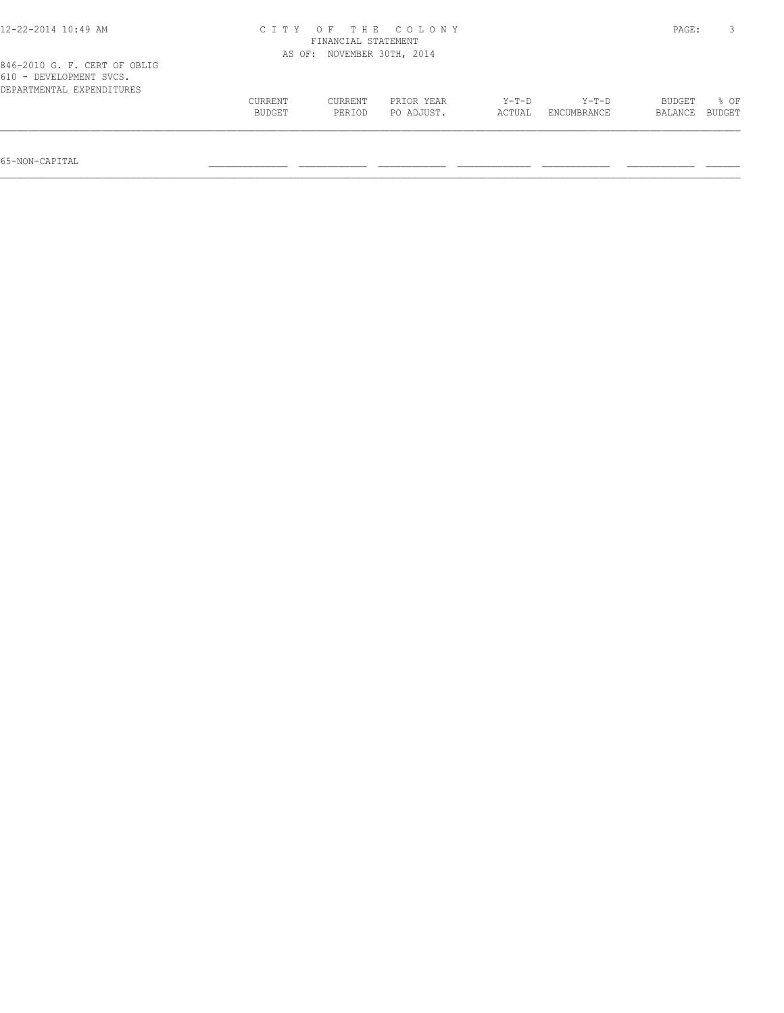| $12 - 22 - 2014$ 10:49 AM                                                            |         | FINANCIAL STATEMENT | CITY OF THE COLONY  |         |             | PAGE:   |        |
|--------------------------------------------------------------------------------------|---------|---------------------|---------------------|---------|-------------|---------|--------|
|                                                                                      | AS OF:  |                     | NOVEMBER 30TH, 2014 |         |             |         |        |
| 846-2010 G. F. CERT OF OBLIG<br>610 - DEVELOPMENT SVCS.<br>DEPARTMENTAL EXPENDITURES |         |                     |                     |         |             |         |        |
|                                                                                      | CURRENT | CURRENT             | PRIOR YEAR          | $Y-T-D$ | $Y-T-D$     | BUDGET  | 8 OF   |
|                                                                                      | BUDGET  | PERIOD              | PO ADJUST.          | ACTUAL  | ENCUMBRANCE | BALANCE | BUDGET |
|                                                                                      |         |                     |                     |         |             |         |        |

65-NON-CAPITAL \_\_\_\_\_\_\_\_\_\_\_\_\_\_ \_\_\_\_\_\_\_\_\_\_\_\_ \_\_\_\_\_\_\_\_\_\_\_\_ \_\_\_\_\_\_\_\_\_\_\_\_\_ \_\_\_\_\_\_\_\_\_\_\_\_ \_\_\_\_\_\_\_\_\_\_\_\_ \_\_\_\_\_\_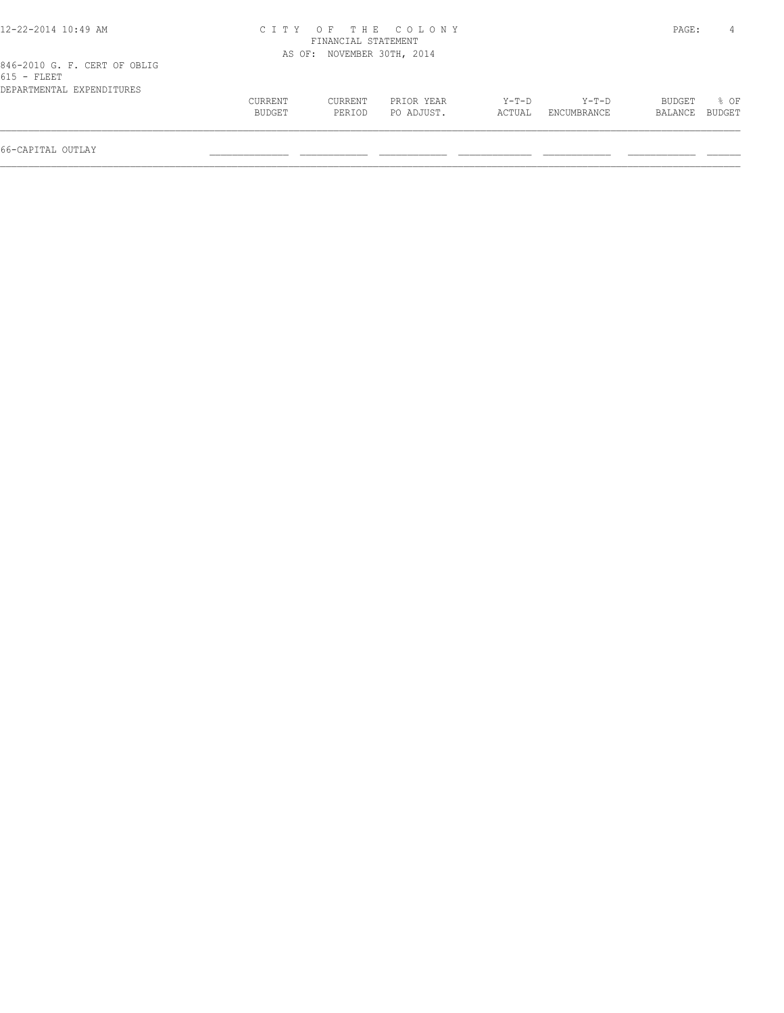| 12-22-2014 10:49 AM          |         |                            | CITY OF THE COLONY |        |             | PAGE:   |        |
|------------------------------|---------|----------------------------|--------------------|--------|-------------|---------|--------|
|                              |         | FINANCIAL STATEMENT        |                    |        |             |         |        |
|                              |         | AS OF: NOVEMBER 30TH, 2014 |                    |        |             |         |        |
| 846-2010 G. F. CERT OF OBLIG |         |                            |                    |        |             |         |        |
| $615$ - FLEET                |         |                            |                    |        |             |         |        |
| DEPARTMENTAL EXPENDITURES    |         |                            |                    |        |             |         |        |
|                              | CURRENT | CURRENT                    | PRIOR YEAR         | Y-T-D  | Y-T-D       | BUDGET  | 8 OF   |
|                              | BUDGET  | PERTOD                     | PO ADJUST.         | ACTUAL | ENCUMBRANCE | BALANCE | BUDGET |
|                              |         |                            |                    |        |             |         |        |
|                              |         |                            |                    |        |             |         |        |

66-CAPITAL OUTLAY \_\_\_\_\_\_\_\_\_\_\_\_\_\_ \_\_\_\_\_\_\_\_\_\_\_\_ \_\_\_\_\_\_\_\_\_\_\_\_ \_\_\_\_\_\_\_\_\_\_\_\_\_ \_\_\_\_\_\_\_\_\_\_\_\_ \_\_\_\_\_\_\_\_\_\_\_\_ \_\_\_\_\_\_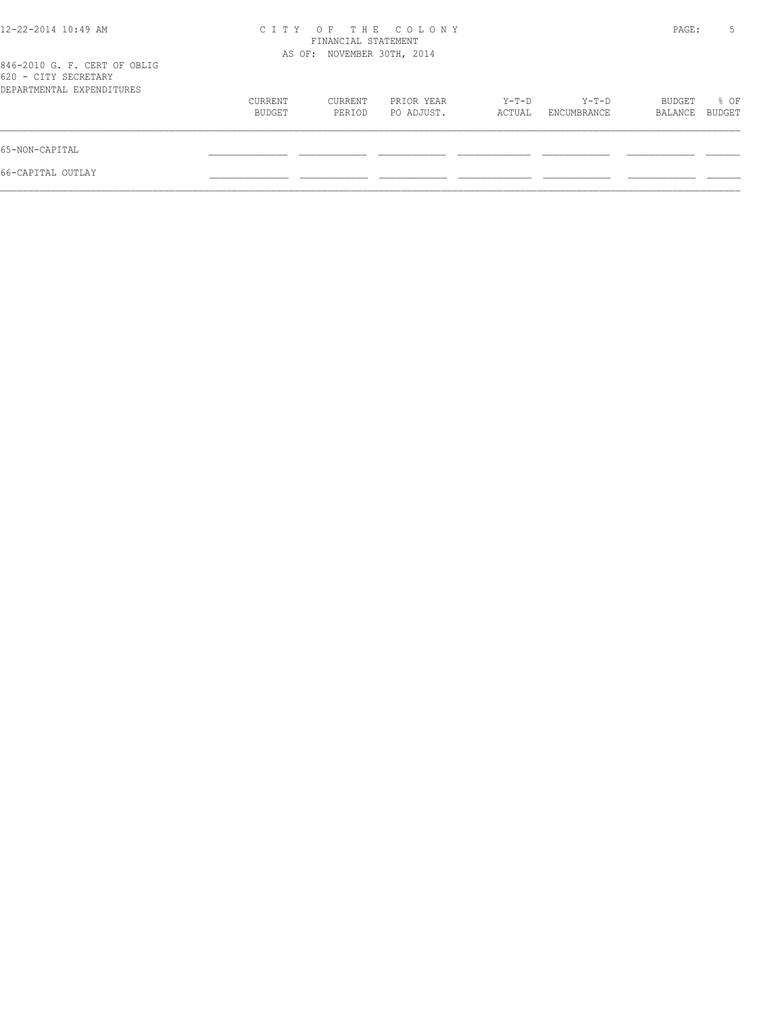| CITY OF THE COLONY<br>FINANCIAL STATEMENT |                   |                          |                            |                      |                   | 5              |
|-------------------------------------------|-------------------|--------------------------|----------------------------|----------------------|-------------------|----------------|
|                                           |                   |                          |                            |                      |                   |                |
| CURRENT<br>BUDGET                         | CURRENT<br>PERIOD | PRIOR YEAR<br>PO ADJUST. | $Y-T-D$<br>ACTUAL          | Y-T-D<br>ENCUMBRANCE | BUDGET<br>BALANCE | % OF<br>BUDGET |
|                                           |                   |                          |                            |                      |                   |                |
|                                           |                   |                          |                            |                      |                   |                |
|                                           |                   |                          | AS OF: NOVEMBER 30TH, 2014 |                      |                   | PAGE:          |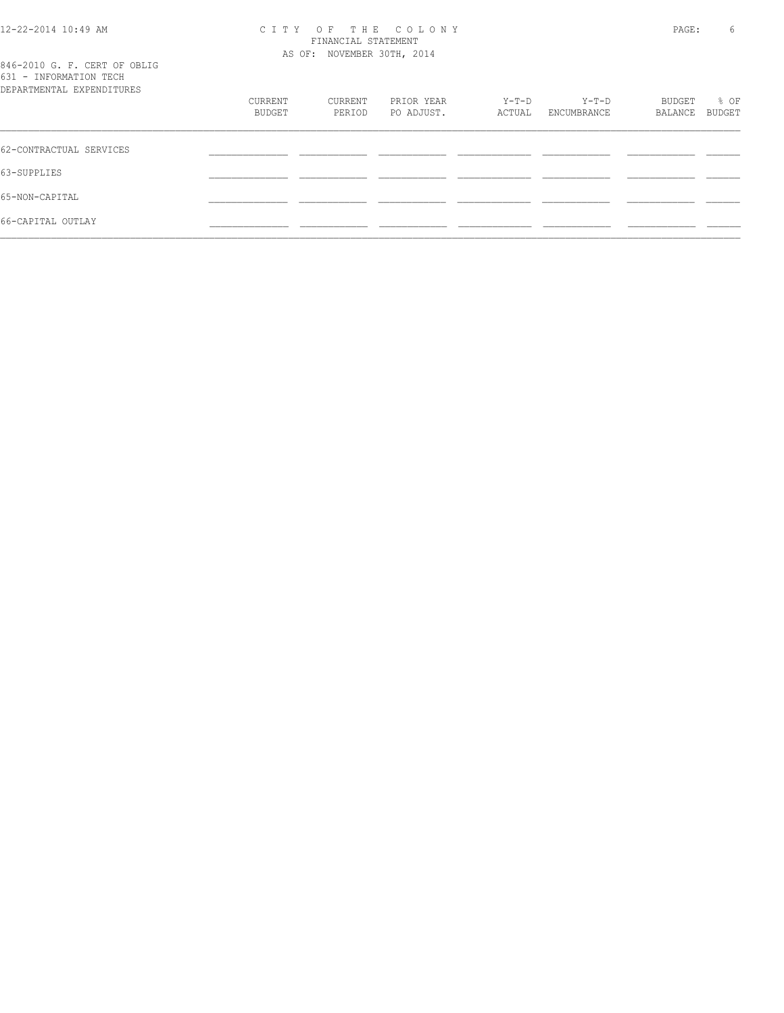#### 12-22-2014 10:49 AM C I T Y O F T H E C O L O N Y PAGE: 6 FINANCIAL STATEMENT AS OF: NOVEMBER 30TH, 2014

|                                   |  |  |  | 846-2010 G. F. CERT OF OBLIG |
|-----------------------------------|--|--|--|------------------------------|
| 631 - INFORMATION TECH            |  |  |  |                              |
| סתסווייד הואת סעת זגייואת אייסגסת |  |  |  |                              |

| DEPARTMENTAL EXPENDITURES |         |         |            |        |             |         |        |
|---------------------------|---------|---------|------------|--------|-------------|---------|--------|
|                           | CURRENT | CURRENT | PRIOR YEAR | Y-T-D  | $Y-T-D$     | BUDGET  | % OF   |
|                           | BUDGET  | PERIOD  | PO ADJUST. | ACTUAL | ENCUMBRANCE | BALANCE | BUDGET |
| 62-CONTRACTUAL SERVICES   |         |         |            |        |             |         |        |
| 63-SUPPLIES               |         |         |            |        |             |         |        |
| 65-NON-CAPITAL            |         |         |            |        |             |         |        |
| 66-CAPITAL OUTLAY         |         |         |            |        |             |         |        |
|                           |         |         |            |        |             |         |        |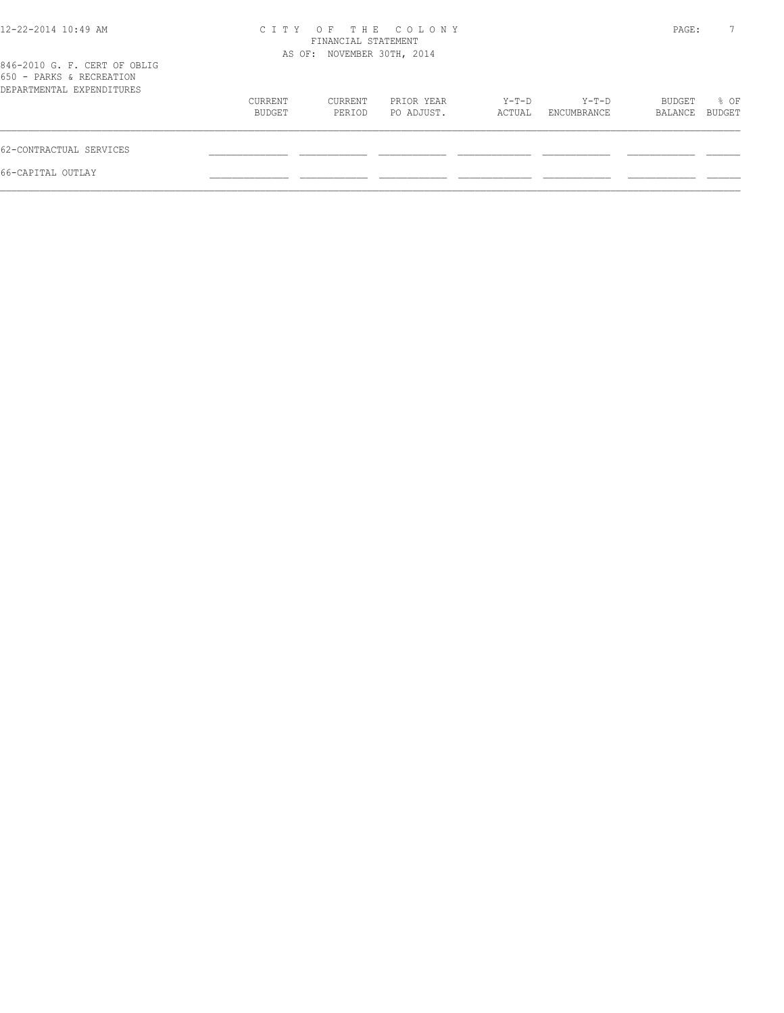| 12-22-2014 10:49 AM                                                                   |                   | FINANCIAL STATEMENT        | CITY OF THE COLONY       |                 |                      | PAGE:             |                |
|---------------------------------------------------------------------------------------|-------------------|----------------------------|--------------------------|-----------------|----------------------|-------------------|----------------|
| 846-2010 G. F. CERT OF OBLIG<br>650 - PARKS & RECREATION<br>DEPARTMENTAL EXPENDITURES |                   | AS OF: NOVEMBER 30TH, 2014 |                          |                 |                      |                   |                |
|                                                                                       | CURRENT<br>BUDGET | CURRENT<br>PERIOD          | PRIOR YEAR<br>PO ADJUST. | Y-T-D<br>ACTUAL | Y-T-D<br>ENCUMBRANCE | BUDGET<br>BALANCE | % OF<br>BUDGET |
| 62-CONTRACTUAL SERVICES                                                               |                   |                            |                          |                 |                      |                   |                |
| 66-CAPITAL OUTLAY                                                                     |                   |                            |                          |                 |                      |                   |                |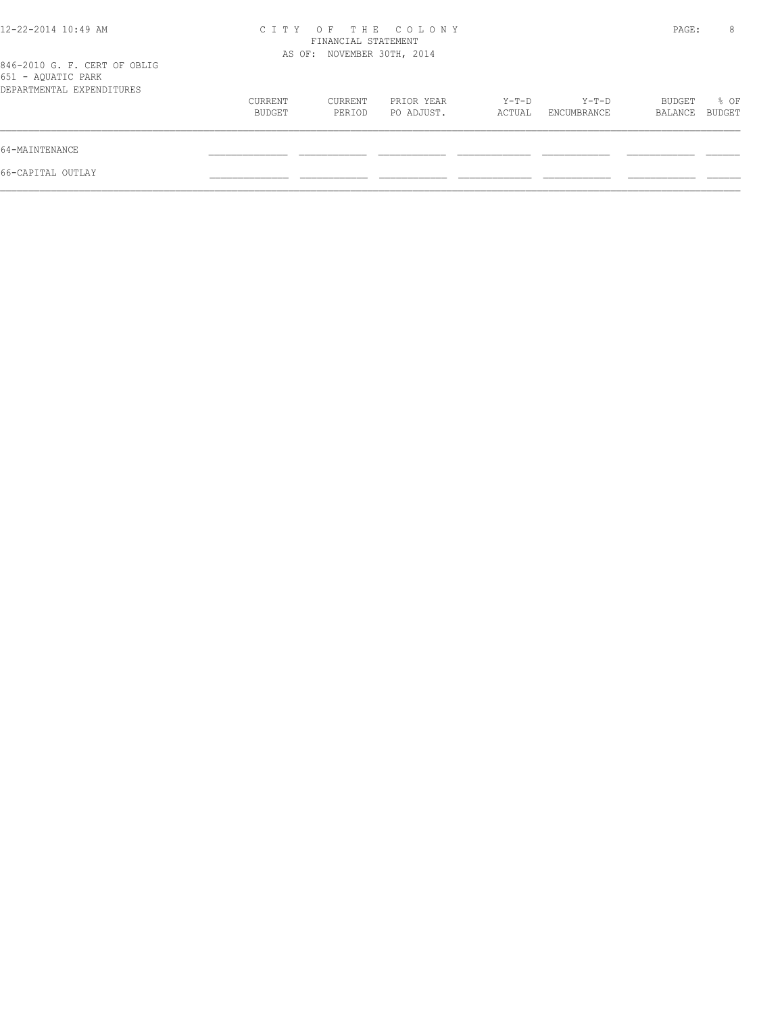| 12-22-2014 10:49 AM                                                             | CITY OF THE COLONY<br>FINANCIAL STATEMENT<br>AS OF: NOVEMBER 30TH, 2014 |                   |                          |                   |                      |                   | 8              |
|---------------------------------------------------------------------------------|-------------------------------------------------------------------------|-------------------|--------------------------|-------------------|----------------------|-------------------|----------------|
| 846-2010 G. F. CERT OF OBLIG<br>651 - AQUATIC PARK<br>DEPARTMENTAL EXPENDITURES |                                                                         |                   |                          |                   |                      |                   |                |
|                                                                                 | CURRENT<br>BUDGET                                                       | CURRENT<br>PERIOD | PRIOR YEAR<br>PO ADJUST. | $Y-T-D$<br>ACTUAL | Y-T-D<br>ENCUMBRANCE | BUDGET<br>BALANCE | % OF<br>BUDGET |
| 64-MAINTENANCE                                                                  |                                                                         |                   |                          |                   |                      |                   |                |
| 66-CAPITAL OUTLAY                                                               |                                                                         |                   |                          |                   |                      |                   |                |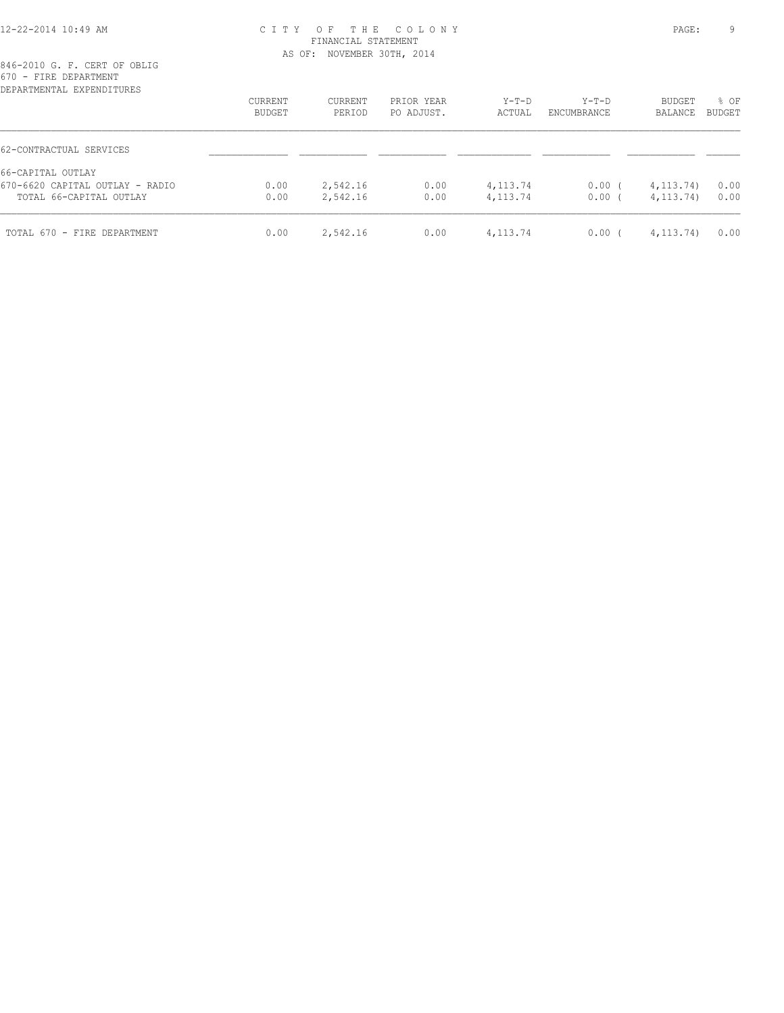#### 12-22-2014 10:49 AM C I T Y O F T H E C O L O N Y PAGE: 9 FINANCIAL STATEMENT AS OF: NOVEMBER 30TH, 2014

| DEPARTMENTAL EXPENDITURES       | <b>CURRENT</b> | <b>CURRENT</b> | PRIOR YEAR | $Y-T-D$    | Y-T-D       | BUDGET      | % OF          |
|---------------------------------|----------------|----------------|------------|------------|-------------|-------------|---------------|
|                                 | BUDGET         | PERIOD         | PO ADJUST. | ACTUAL     | ENCUMBRANCE | BALANCE     | <b>BUDGET</b> |
| 62-CONTRACTUAL SERVICES         |                |                |            |            |             |             |               |
| 66-CAPITAL OUTLAY               |                |                |            |            |             |             |               |
| 670-6620 CAPITAL OUTLAY - RADIO | 0.00           | 2,542.16       | 0.00       | 4, 113.74  | $0.00$ (    | 4, 113, 74) | 0.00          |
| TOTAL 66-CAPITAL OUTLAY         | 0.00           | 2,542.16       | 0.00       | 4,113.74   | 0.00(       | 4, 113, 74) | 0.00          |
| TOTAL 670 - FIRE DEPARTMENT     | 0.00           | 2,542.16       | 0.00       | 4, 113. 74 | $0.00$ (    | 4, 113, 74) | 0.00          |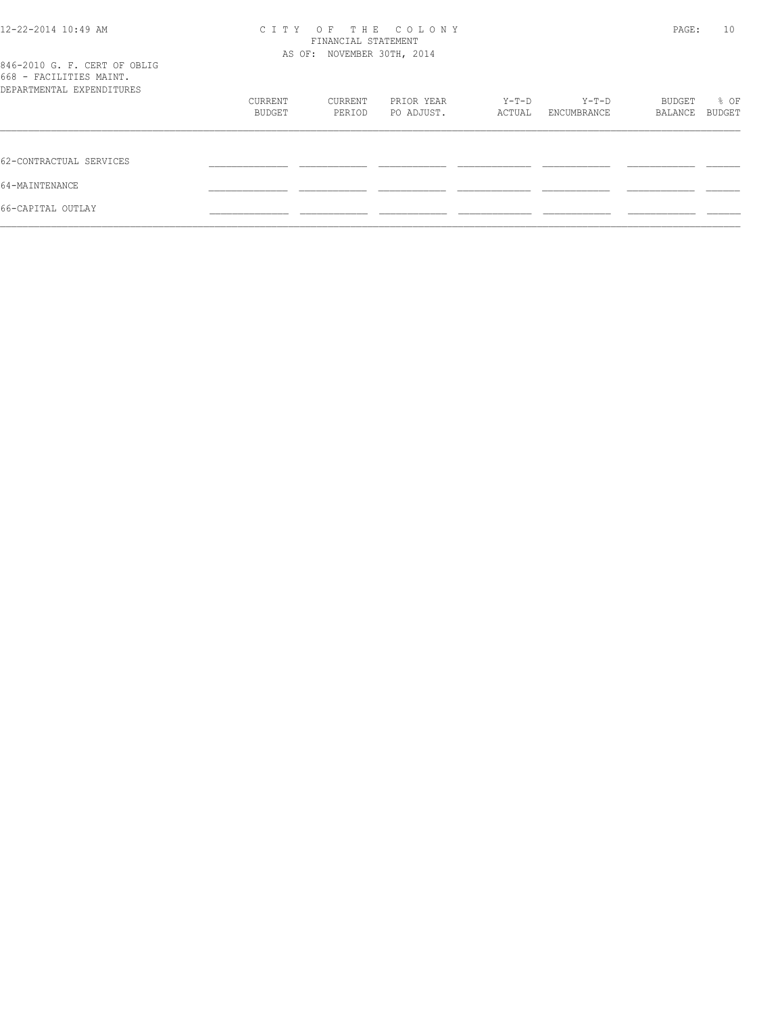| 12-22-2014 10:49 AM                                                                  | OF THE COLONY<br>C T T Y<br>FINANCIAL STATEMENT<br>AS OF: NOVEMBER 30TH, 2014 |         |            |        |             | PAGE:   |        |  |
|--------------------------------------------------------------------------------------|-------------------------------------------------------------------------------|---------|------------|--------|-------------|---------|--------|--|
| 846-2010 G. F. CERT OF OBLIG<br>668 - FACILITIES MAINT.<br>DEPARTMENTAL EXPENDITURES |                                                                               |         |            |        |             |         |        |  |
|                                                                                      | CURRENT                                                                       | CURRENT | PRIOR YEAR | Y-T-D  | Y-T-D       | BUDGET  | % OF   |  |
|                                                                                      | BUDGET                                                                        | PERIOD  | PO ADJUST. | ACTUAL | ENCUMBRANCE | BALANCE | BUDGET |  |
| 62-CONTRACTUAL SERVICES                                                              |                                                                               |         |            |        |             |         |        |  |
| 64-MAINTENANCE                                                                       |                                                                               |         |            |        |             |         |        |  |
| 66-CAPITAL OUTLAY                                                                    |                                                                               |         |            |        |             |         |        |  |
|                                                                                      |                                                                               |         |            |        |             |         |        |  |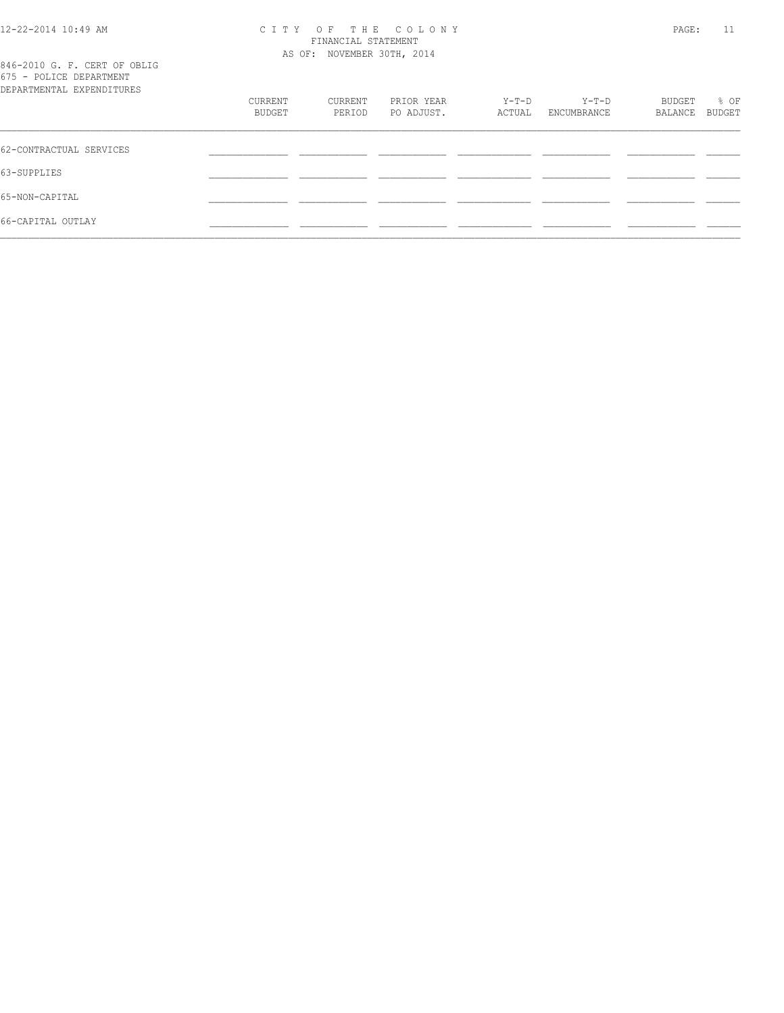#### 12-22-2014 10:49 AM C I T Y O F T H E C O L O N Y PAGE: 11 FINANCIAL STATEMENT AS OF: NOVEMBER 30TH, 2014

846-2010 G. F. CERT OF OBLIG 675 - POLICE DEPARTMENT

| o o romion phimesing.<br>DEPARTMENTAL EXPENDITURES |                   |                   |                          |                   |                        |                   |                |
|----------------------------------------------------|-------------------|-------------------|--------------------------|-------------------|------------------------|-------------------|----------------|
|                                                    | CURRENT<br>BUDGET | CURRENT<br>PERIOD | PRIOR YEAR<br>PO ADJUST. | $Y-T-D$<br>ACTUAL | $Y-T-D$<br>ENCUMBRANCE | BUDGET<br>BALANCE | % OF<br>BUDGET |
| 62-CONTRACTUAL SERVICES                            |                   |                   |                          |                   |                        |                   |                |
| 63-SUPPLIES                                        |                   |                   |                          |                   |                        |                   |                |
| 65-NON-CAPITAL                                     |                   |                   |                          |                   |                        |                   |                |
| 66-CAPITAL OUTLAY                                  |                   |                   |                          |                   |                        |                   |                |
|                                                    |                   |                   |                          |                   |                        |                   |                |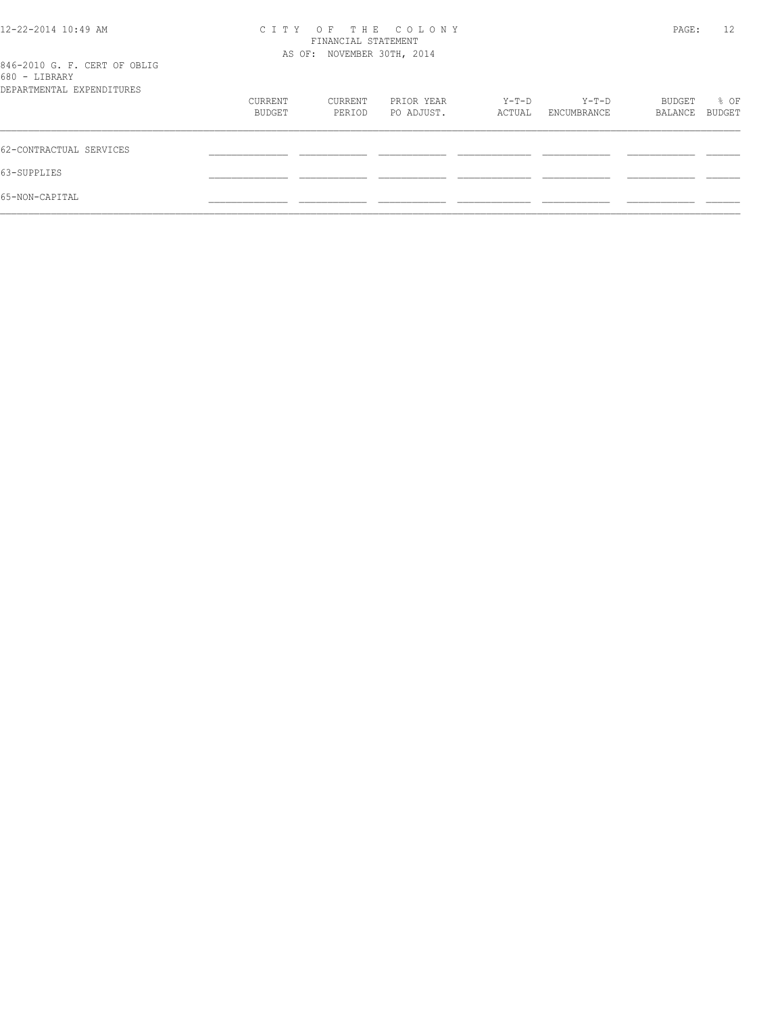| 12-22-2014 10:49 AM                           | CITY OF THE COLONY | PAGE:                      | 12         |        |             |         |               |
|-----------------------------------------------|--------------------|----------------------------|------------|--------|-------------|---------|---------------|
|                                               |                    | AS OF: NOVEMBER 30TH, 2014 |            |        |             |         |               |
| 846-2010 G. F. CERT OF OBLIG<br>680 - LIBRARY |                    |                            |            |        |             |         |               |
| DEPARTMENTAL EXPENDITURES                     |                    |                            |            |        |             |         |               |
|                                               | CURRENT            | CURRENT                    | PRIOR YEAR | Y-T-D  | Y-T-D       | BUDGET  | % OF          |
|                                               | BUDGET             | PERIOD                     | PO ADJUST. | ACTUAL | ENCUMBRANCE | BALANCE | <b>BUDGET</b> |
| 62-CONTRACTUAL SERVICES                       |                    |                            |            |        |             |         |               |
| 63-SUPPLIES                                   |                    |                            |            |        |             |         |               |
| 65-NON-CAPITAL                                |                    |                            |            |        |             |         |               |
|                                               |                    |                            |            |        |             |         |               |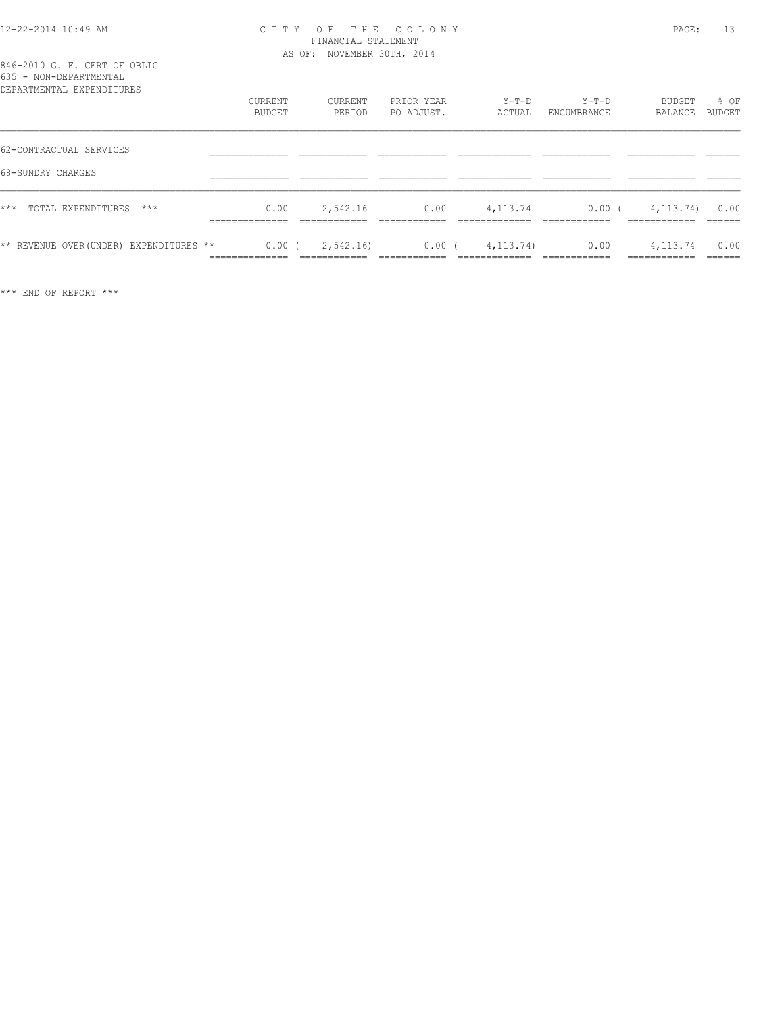#### 12-22-2014 10:49 AM C I T Y O F T H E C O L O N Y PAGE: 13 FINANCIAL STATEMENT AS OF: NOVEMBER 30TH, 2014

### 846-2010 G. F. CERT OF OBLIG 635 - NON-DEPARTMENTAL

| DEPARTMENTAL EXPENDITURES               | CURRENT<br>BUDGET                       | CURRENT<br>PERIOD | PRIOR YEAR<br>PO ADJUST. | $Y-T-D$<br>ACTUAL | $Y-T-D$<br>ENCUMBRANCE | BUDGET<br>BALANCE       | % OF<br>BUDGET |
|-----------------------------------------|-----------------------------------------|-------------------|--------------------------|-------------------|------------------------|-------------------------|----------------|
| 62-CONTRACTUAL SERVICES                 |                                         |                   |                          |                   |                        |                         |                |
| 68-SUNDRY CHARGES                       |                                         |                   |                          |                   |                        |                         |                |
| $***$<br>TOTAL EXPENDITURES<br>$***$    | 0.00<br>_____________<br>______________ | 2,542.16          | 0.00                     | 4, 113.74         | 0.00(                  | 4, 113, 74)             | 0.00           |
| ** REVENUE OVER (UNDER) EXPENDITURES ** | 0.00(<br>__________<br>.                | 2,542.16)         | 0.00(                    | 4, 113, 74)       | 0.00                   | 4, 113.74<br>__________ | 0.00<br>______ |

\*\*\* END OF REPORT \*\*\*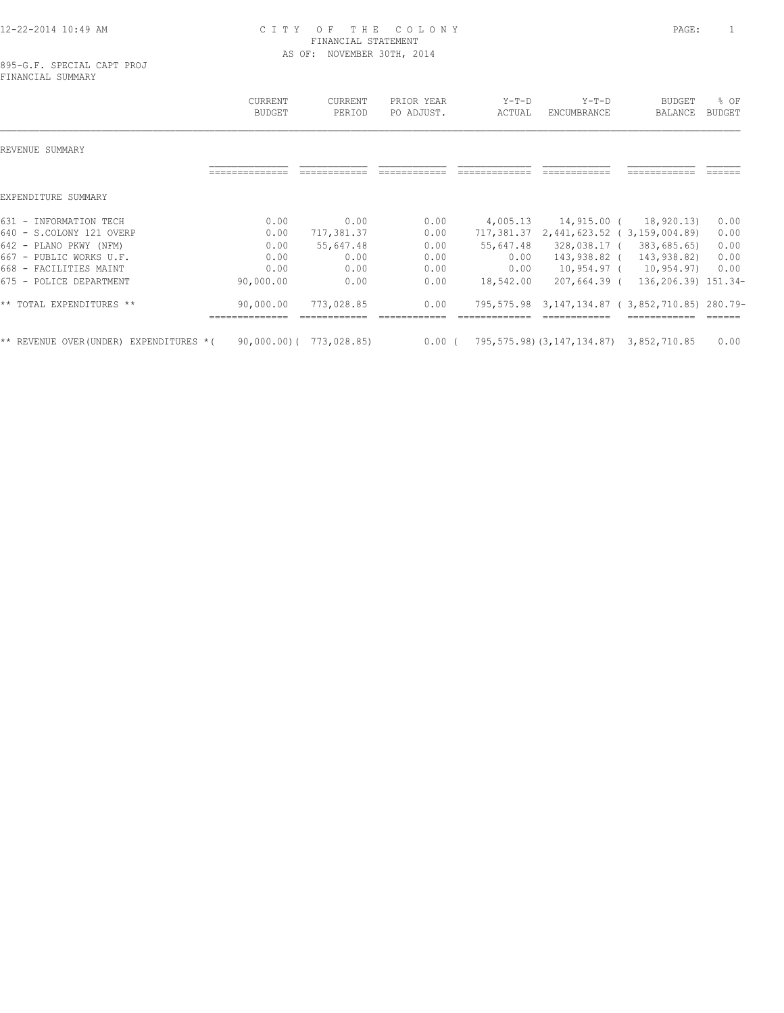#### 12-22-2014 10:49 AM C I T Y O F T H E C O L O N Y PAGE: 1 FINANCIAL STATEMENT AS OF: NOVEMBER 30TH, 2014

|                                            | <b>CURRENT</b><br><b>BUDGET</b> | CURRENT<br>PERIOD             | PRIOR YEAR<br>PO ADJUST. | $Y-T-D$<br>ACTUAL | $Y-T-D$<br><b>ENCUMBRANCE</b>                | <b>BUDGET</b><br><b>BALANCE</b>     | % OF<br><b>BUDGET</b> |
|--------------------------------------------|---------------------------------|-------------------------------|--------------------------|-------------------|----------------------------------------------|-------------------------------------|-----------------------|
| REVENUE SUMMARY                            |                                 |                               |                          |                   |                                              |                                     |                       |
|                                            |                                 |                               |                          |                   |                                              |                                     |                       |
| EXPENDITURE SUMMARY                        |                                 |                               |                          |                   |                                              |                                     |                       |
| 631 - INFORMATION TECH                     | 0.00                            | 0.00                          | 0.00                     | 4,005.13          | 14,915.00 (                                  | 18,920.13)                          | 0.00                  |
| 640 - S.COLONY 121 OVERP                   | 0.00                            | 717,381.37                    | 0.00                     | 717,381.37        |                                              | 2,441,623.52 (3,159,004.89)         | 0.00                  |
| $642 -$<br>PLANO PKWY (NFM)                | 0.00                            | 55,647.48                     | 0.00                     | 55,647.48         | 328,038.17 (                                 | 383,685.65)                         | 0.00                  |
| $667 -$<br>PUBLIC WORKS U.F.               | 0.00                            | 0.00                          | 0.00                     | 0.00              | 143,938.82 (                                 | 143,938.82)                         | 0.00                  |
| $668 -$<br>FACILITIES MAINT                | 0.00                            | 0.00                          | 0.00                     | 0.00              | 10,954.97 (                                  | 10,954.97)                          | 0.00                  |
| 675 - POLICE DEPARTMENT                    | 90,000.00                       | 0.00                          | 0.00                     | 18,542.00         | $207,664.39$ (                               | 136,206.39) 151.34-                 |                       |
| ** TOTAL EXPENDITURES **                   | 90,000.00                       | 773,028.85                    | 0.00                     | 795,575.98        |                                              | 3,147,134.87 (3,852,710.85) 280.79- |                       |
| ** REVENUE OVER (UNDER)<br>EXPENDITURES *( |                                 | $90,000,000$ ( $773,028.85$ ) | $0.00$ (                 |                   | 795, 575.98) (3, 147, 134.87) 3, 852, 710.85 |                                     | 0.00                  |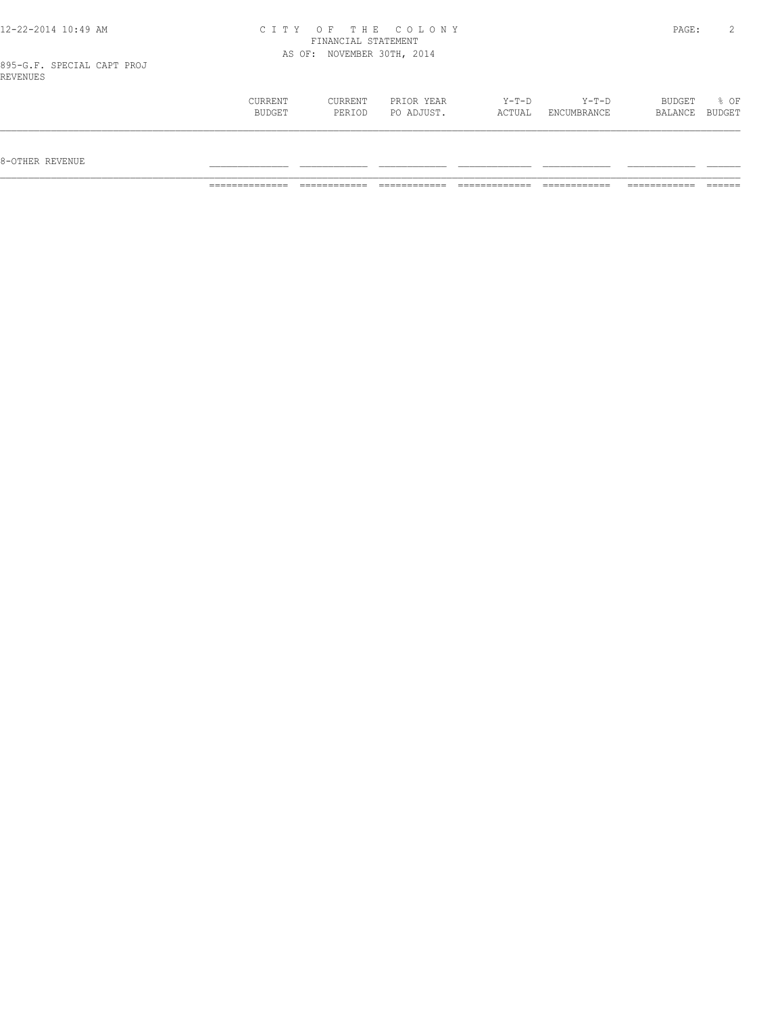| 12-22-2014 10:49 AM                    |                |                            | CITY OF THE COLONY |        |             | PAGE:   |        |
|----------------------------------------|----------------|----------------------------|--------------------|--------|-------------|---------|--------|
|                                        |                | FINANCIAL STATEMENT        |                    |        |             |         |        |
|                                        |                | AS OF: NOVEMBER 30TH, 2014 |                    |        |             |         |        |
| 895-G.F. SPECIAL CAPT PROJ<br>REVENUES |                |                            |                    |        |             |         |        |
|                                        | <b>CURRENT</b> | CURRENT                    | PRIOR YEAR         | Y-T-D  | Y-T-D       | BUDGET  | 8 OF   |
|                                        | BUDGET         | PERIOD                     | PO ADJUST.         | ACTUAL | ENCUMBRANCE | BALANCE | BUDGET |

 $\mathcal{L} = \{ \mathcal{L} = \{ \mathcal{L} = \{ \mathcal{L} = \{ \mathcal{L} = \{ \mathcal{L} = \{ \mathcal{L} = \{ \mathcal{L} = \{ \mathcal{L} = \{ \mathcal{L} = \{ \mathcal{L} = \{ \mathcal{L} = \{ \mathcal{L} = \{ \mathcal{L} = \{ \mathcal{L} = \{ \mathcal{L} = \{ \mathcal{L} = \{ \mathcal{L} = \{ \mathcal{L} = \{ \mathcal{L} = \{ \mathcal{L} = \{ \mathcal{L} = \{ \mathcal{L} = \{ \mathcal{L} = \{ \mathcal{$ 

 $8-{\rm OFF}$  revenue  $\_$ 

============== ============ ============ ============= ============ ============ ======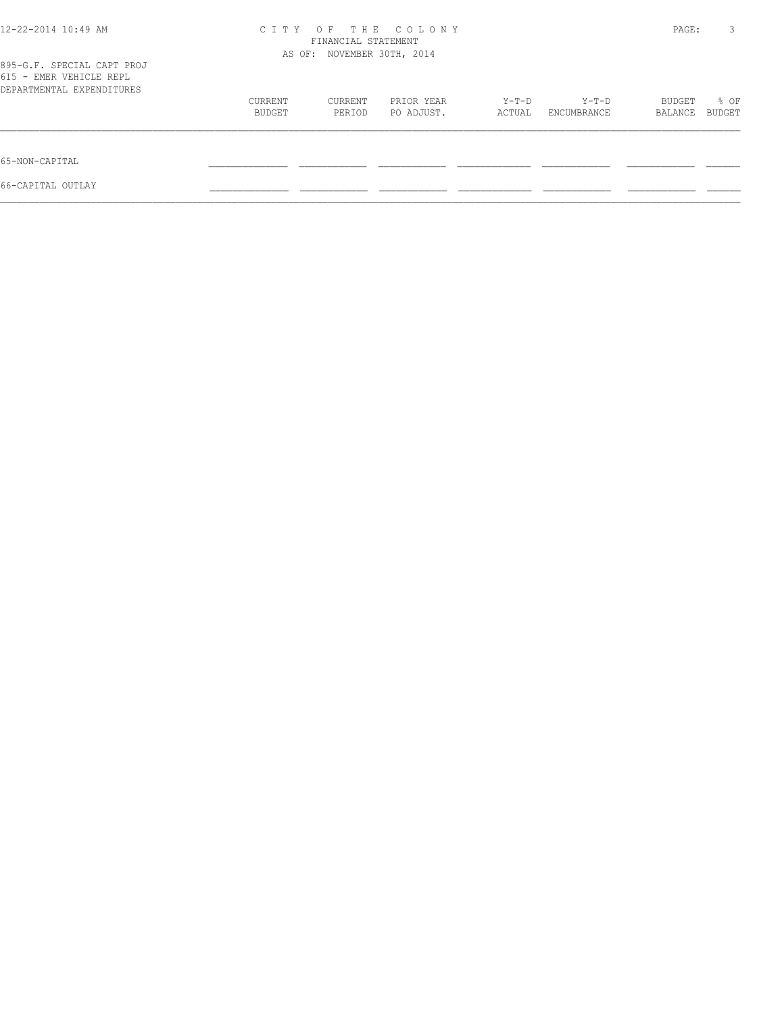| 12-22-2014 10:49 AM                                                                | OF THE COLONY<br>C T T Y<br>FINANCIAL STATEMENT |         |            |        |             |         | 3<br>PAGE: |
|------------------------------------------------------------------------------------|-------------------------------------------------|---------|------------|--------|-------------|---------|------------|
|                                                                                    | AS OF: NOVEMBER 30TH, 2014                      |         |            |        |             |         |            |
| 895-G.F. SPECIAL CAPT PROJ<br>615 - EMER VEHICLE REPL<br>DEPARTMENTAL EXPENDITURES |                                                 |         |            |        |             |         |            |
|                                                                                    | CURRENT                                         | CURRENT | PRIOR YEAR | Y-T-D  | Y-T-D       | BUDGET  | % OF       |
|                                                                                    | BUDGET                                          | PERIOD  | PO ADJUST. | ACTUAL | ENCUMBRANCE | BALANCE | BUDGET     |
| 65-NON-CAPITAL                                                                     |                                                 |         |            |        |             |         |            |
| 66-CAPITAL OUTLAY                                                                  |                                                 |         |            |        |             |         |            |
|                                                                                    |                                                 |         |            |        |             |         |            |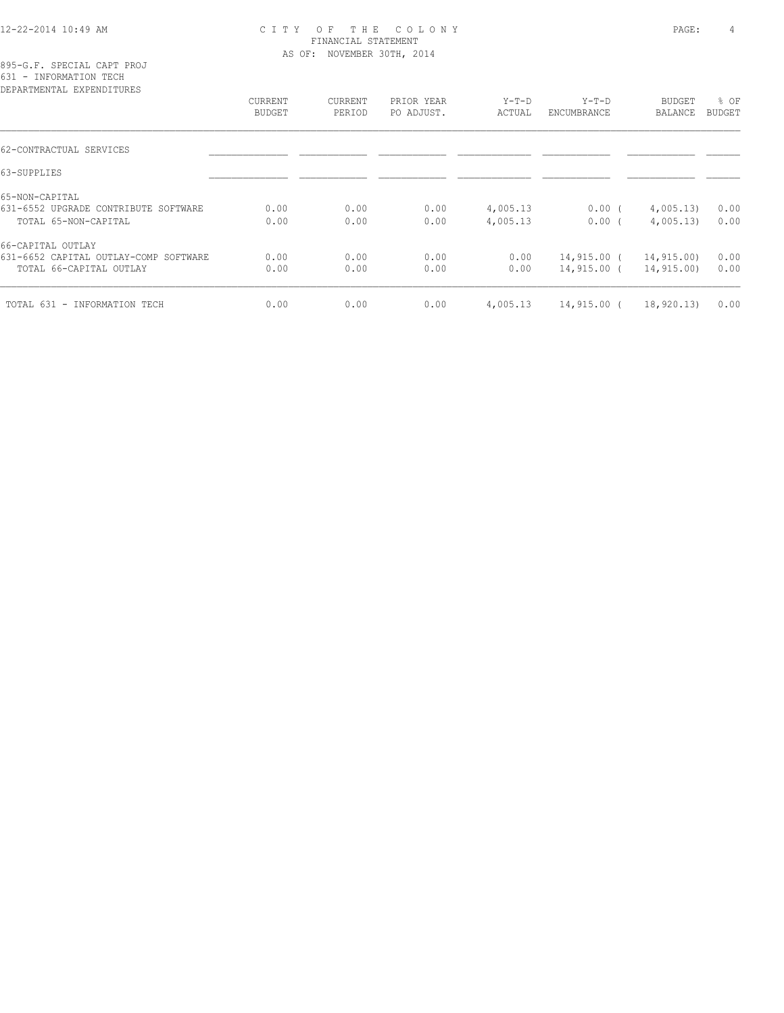#### 12-22-2014 10:49 AM C I T Y O F T H E C O L O N Y PAGE: 4 FINANCIAL STATEMENT AS OF: NOVEMBER 30TH, 2014

895-G.F. SPECIAL CAPT PROJ 631 - INFORMATION TECH

| CURRENT       | CURRENT | PRIOR YEAR | $Y-T-D$  | $Y-T-D$       | BUDGET     | % OF   |
|---------------|---------|------------|----------|---------------|------------|--------|
| <b>BUDGET</b> | PERIOD  | PO ADJUST. | ACTUAL   | ENCUMBRANCE   | BALANCE    | BUDGET |
|               |         |            |          |               |            |        |
|               |         |            |          |               |            |        |
|               |         |            |          |               |            |        |
| 0.00          | 0.00    | 0.00       | 4,005.13 | $0.00$ (      | 4,005.13)  | 0.00   |
| 0.00          | 0.00    | 0.00       | 4,005.13 | 0.00(         | 4,005.13   | 0.00   |
|               |         |            |          |               |            |        |
| 0.00          | 0.00    | 0.00       | 0.00     | 14,915.00 (   | 14,915.00) | 0.00   |
| 0.00          | 0.00    | 0.00       | 0.00     | 14,915.00 (   | 14,915.00) | 0.00   |
| 0.00          | 0.00    | 0.00       | 4,005.13 | $14,915.00$ ( | 18,920.13  | 0.00   |
|               |         |            |          |               |            |        |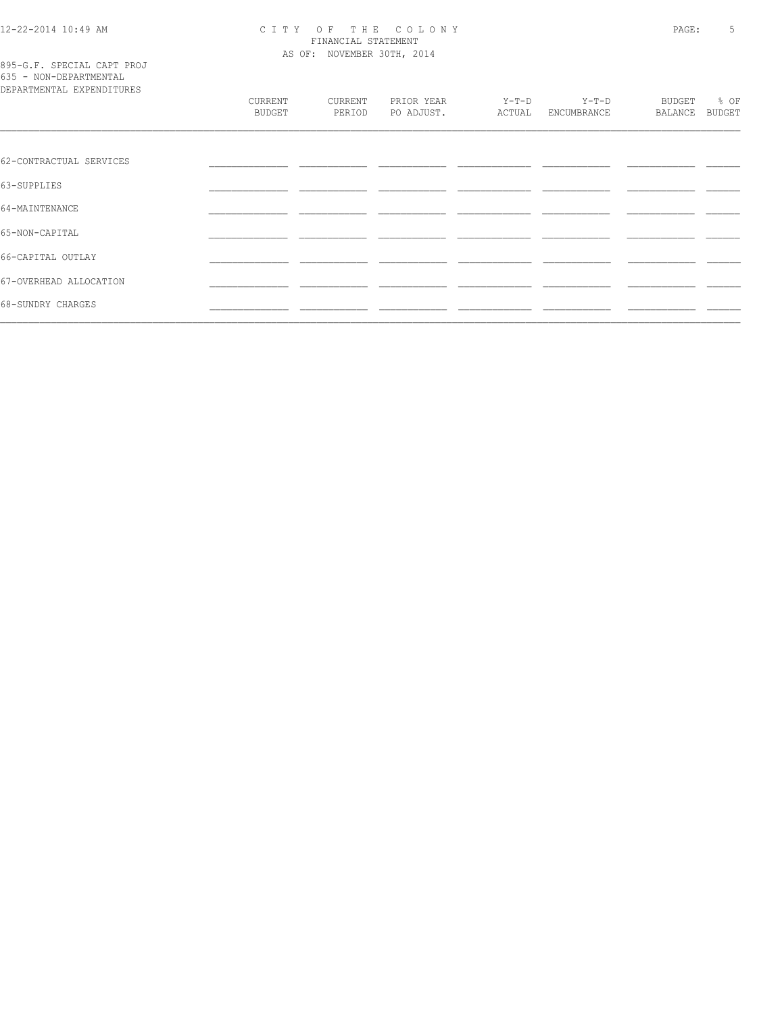# CITY OF THE COLONY<br>
FINANCIAL STATEMENT<br>
AS OF: NOVEMBER 30TH, 2014

| 895-G.F. SPECIAL CAPT PROJ |  |  |
|----------------------------|--|--|
| 635 - NON-DEPARTMENTAL     |  |  |
| DEPARTMENTAL EXPENDITURES  |  |  |

| DEPARTMENTAL EXPENDITURES |                   |                   |                          |                 |                      |                   |                |
|---------------------------|-------------------|-------------------|--------------------------|-----------------|----------------------|-------------------|----------------|
|                           | CURRENT<br>BUDGET | CURRENT<br>PERIOD | PRIOR YEAR<br>PO ADJUST. | Y-T-D<br>ACTUAL | Y-T-D<br>ENCUMBRANCE | BUDGET<br>BALANCE | % OF<br>BUDGET |
|                           |                   |                   |                          |                 |                      |                   |                |
| 62-CONTRACTUAL SERVICES   |                   |                   |                          |                 |                      |                   |                |
| 63-SUPPLIES               |                   |                   |                          |                 |                      |                   |                |
| 64-MAINTENANCE            |                   |                   |                          |                 |                      |                   |                |
| 65-NON-CAPITAL            |                   |                   |                          |                 |                      |                   |                |
| 66-CAPITAL OUTLAY         |                   |                   |                          |                 |                      |                   |                |
| 67-OVERHEAD ALLOCATION    |                   |                   |                          |                 |                      |                   |                |
| 68-SUNDRY CHARGES         |                   |                   |                          |                 |                      |                   |                |
|                           |                   |                   |                          |                 |                      |                   |                |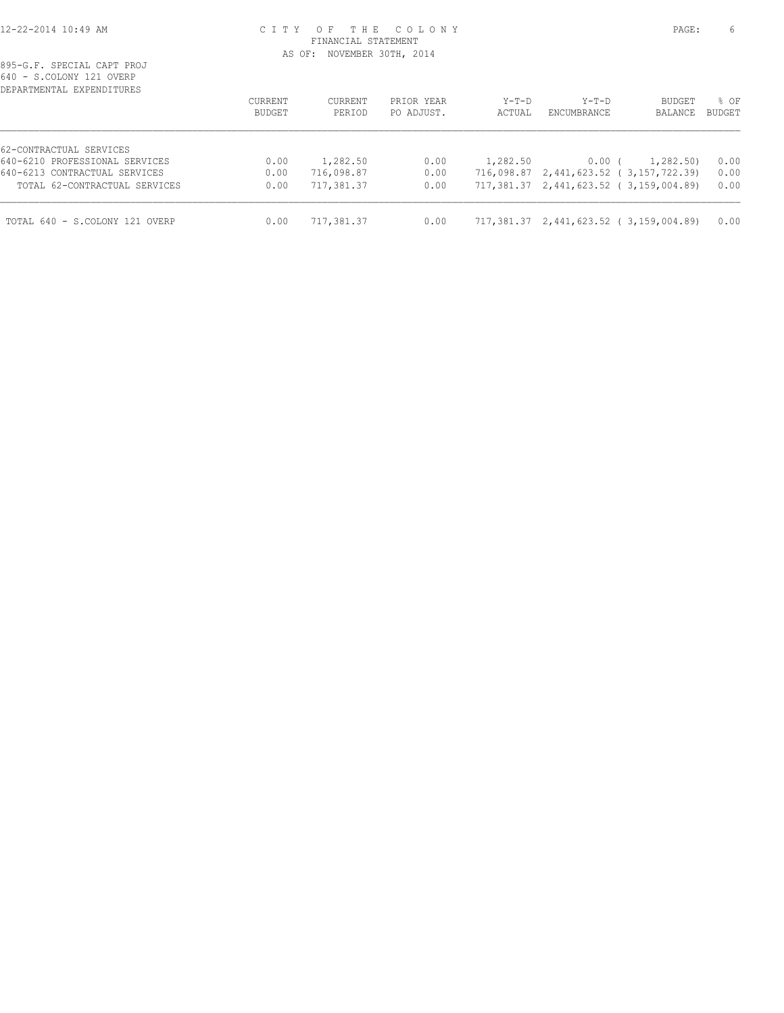#### 12-22-2014 10:49 AM C I T Y O F T H E C O L O N Y PAGE: 6 FINANCIAL STATEMENT AS OF: NOVEMBER 30TH, 2014

| U. COLONI ILI OVLIN<br>DEPARTMENTAL EXPENDITURES | <b>CURRENT</b> | CURRENT    | PRIOR YEAR | $Y-T-D$    | $Y-T-D$            | <b>BUDGET</b>                          | % OF          |
|--------------------------------------------------|----------------|------------|------------|------------|--------------------|----------------------------------------|---------------|
|                                                  | BUDGET         | PERIOD     | PO ADJUST. | ACTUAL     | <b>ENCUMBRANCE</b> | BALANCE                                | <b>BUDGET</b> |
| 62-CONTRACTUAL SERVICES                          |                |            |            |            |                    |                                        |               |
| 640-6210 PROFESSIONAL SERVICES                   | 0.00           | 1,282.50   | 0.00       | 1,282.50   | $0.00$ (           | 1,282.50)                              | 0.00          |
| 640-6213 CONTRACTUAL SERVICES                    | 0.00           | 716,098.87 | 0.00       | 716,098.87 |                    | 2,441,623.52 (3,157,722.39)            | 0.00          |
| TOTAL 62-CONTRACTUAL SERVICES                    | 0.00           | 717,381.37 | 0.00       |            |                    | 717,381.37 2,441,623.52 (3,159,004.89) | 0.00          |
| TOTAL 640 - S.COLONY 121 OVERP                   | 0.00           | 717,381.37 | 0.00       |            |                    | 717,381.37 2,441,623.52 (3,159,004.89) | 0.00          |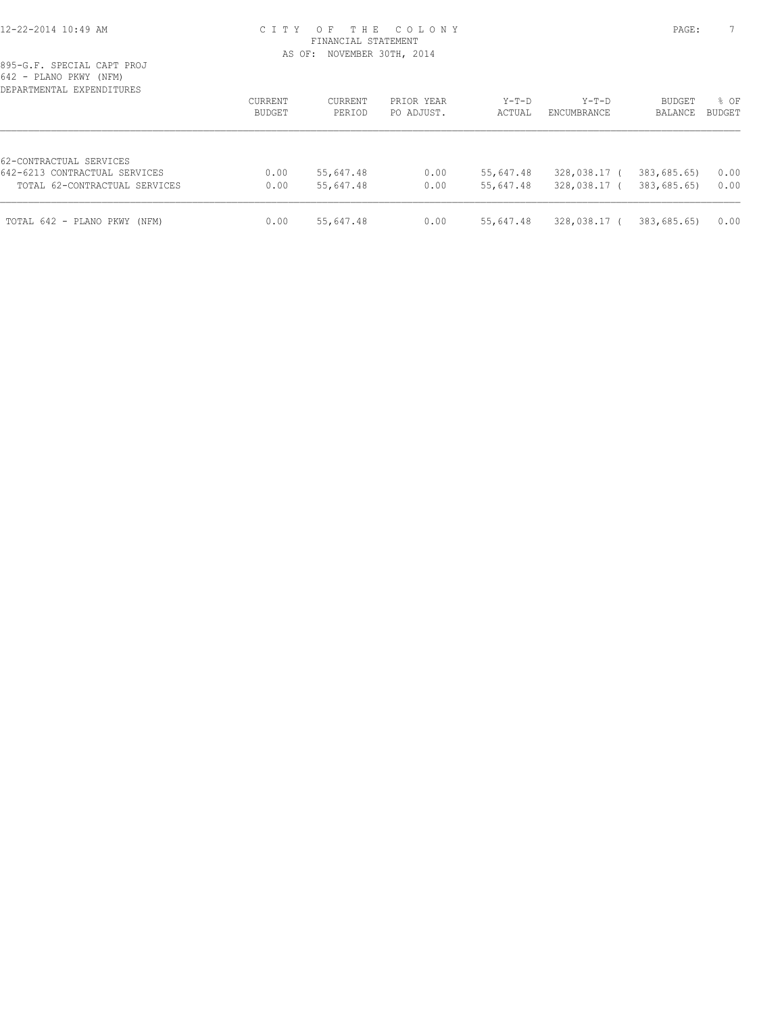#### 12-22-2014 10:49 AM C I T Y O F T H E C O L O N Y PAGE: 7 FINANCIAL STATEMENT AS OF: NOVEMBER 30TH, 2014

| DEPARTMENTAL EXPENDITURES                                |                          |                   |                          |                   |                        |                          |                       |
|----------------------------------------------------------|--------------------------|-------------------|--------------------------|-------------------|------------------------|--------------------------|-----------------------|
|                                                          | <b>CURRENT</b><br>BUDGET | CURRENT<br>PERIOD | PRIOR YEAR<br>PO ADJUST. | $Y-T-D$<br>ACTUAL | $Y-T-D$<br>ENCUMBRANCE | <b>BUDGET</b><br>BALANCE | % OF<br><b>BUDGET</b> |
| 62-CONTRACTUAL SERVICES<br>642-6213 CONTRACTUAL SERVICES | 0.00                     | 55,647.48         | 0.00                     | 55,647.48         | 328,038.17 (           | 383,685.65)              | 0.00                  |
| TOTAL 62-CONTRACTUAL SERVICES                            | 0.00                     | 55,647.48         | 0.00                     | 55,647.48         | 328,038.17 (           | 383,685.65)              | 0.00                  |
| TOTAL 642 - PLANO PKWY (NFM)                             | 0.00                     | 55,647.48         | 0.00                     | 55,647.48         | 328,038.17 (           | 383,685.65)              | 0.00                  |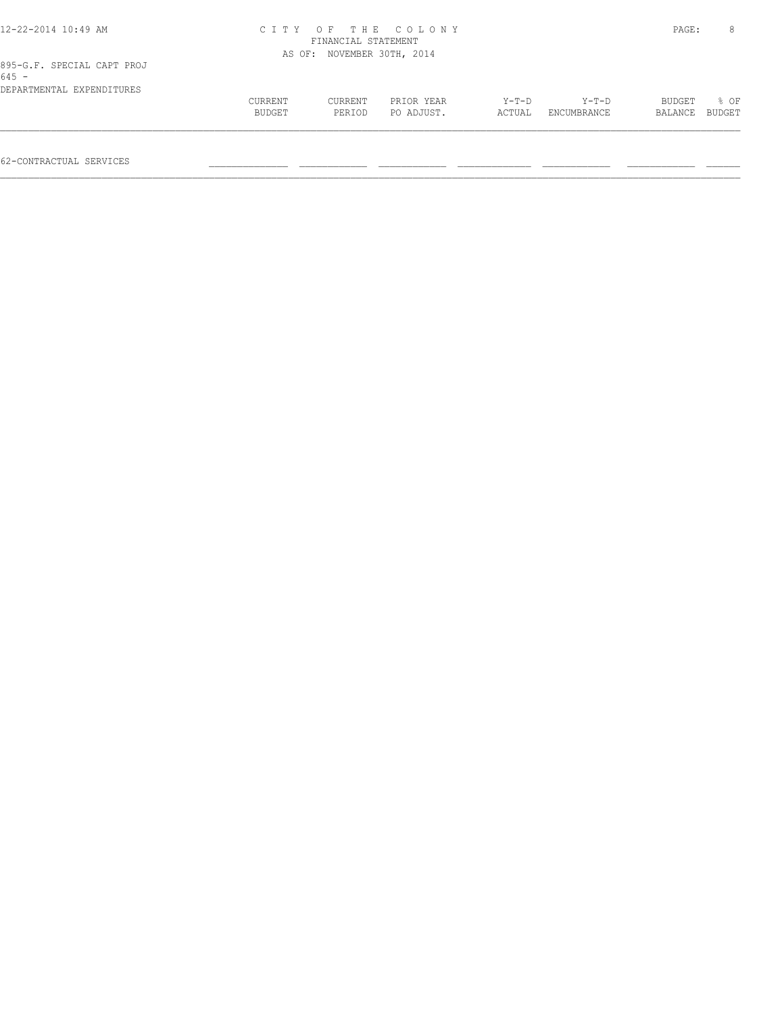| 12-22-2014 10:49 AM                   |                   | CITY OF THE COLONY<br>FINANCIAL STATEMENT<br>AS OF: NOVEMBER 30TH, 2014 |                          |                 |                        |                   |                |
|---------------------------------------|-------------------|-------------------------------------------------------------------------|--------------------------|-----------------|------------------------|-------------------|----------------|
| 895-G.F. SPECIAL CAPT PROJ<br>$645 -$ |                   |                                                                         |                          |                 |                        |                   |                |
| DEPARTMENTAL EXPENDITURES             | CURRENT<br>BUDGET | CURRENT<br>PERIOD                                                       | PRIOR YEAR<br>PO ADJUST. | Y-T-D<br>ACTUAL | $Y-T-D$<br>ENCUMBRANCE | BUDGET<br>BALANCE | 8 OF<br>BUDGET |
| 62-CONTRACTUAL SERVICES               |                   |                                                                         |                          |                 |                        |                   |                |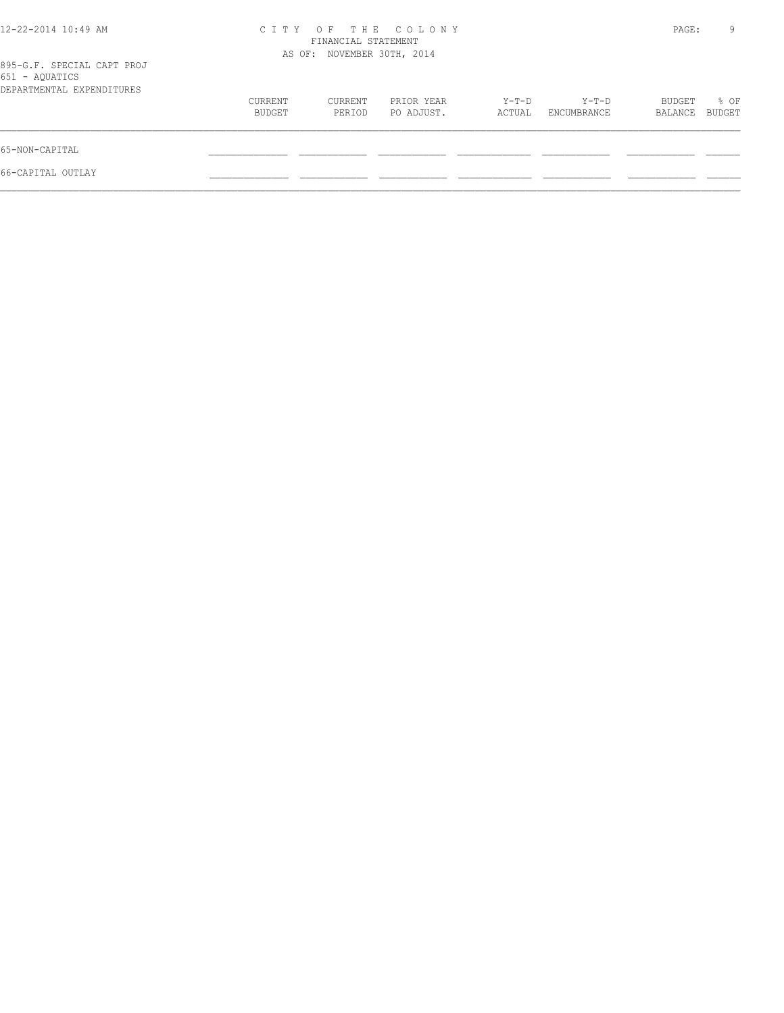| 12-22-2014 10:49 AM                                                       | CITY OF THE COLONY<br>FINANCIAL STATEMENT<br>AS OF: NOVEMBER 30TH, 2014 |                   |                          |                 |                      | PAGE:             | 9              |
|---------------------------------------------------------------------------|-------------------------------------------------------------------------|-------------------|--------------------------|-----------------|----------------------|-------------------|----------------|
| 895-G.F. SPECIAL CAPT PROJ<br>651 - AQUATICS<br>DEPARTMENTAL EXPENDITURES |                                                                         |                   |                          |                 |                      |                   |                |
|                                                                           | CURRENT<br>BUDGET                                                       | CURRENT<br>PERIOD | PRIOR YEAR<br>PO ADJUST. | Y-T-D<br>ACTUAL | Y-T-D<br>ENCUMBRANCE | BUDGET<br>BALANCE | % OF<br>BUDGET |
| 65-NON-CAPITAL                                                            |                                                                         |                   |                          |                 |                      |                   |                |
| 66-CAPITAL OUTLAY                                                         |                                                                         |                   |                          |                 |                      |                   |                |
|                                                                           |                                                                         |                   |                          |                 |                      |                   |                |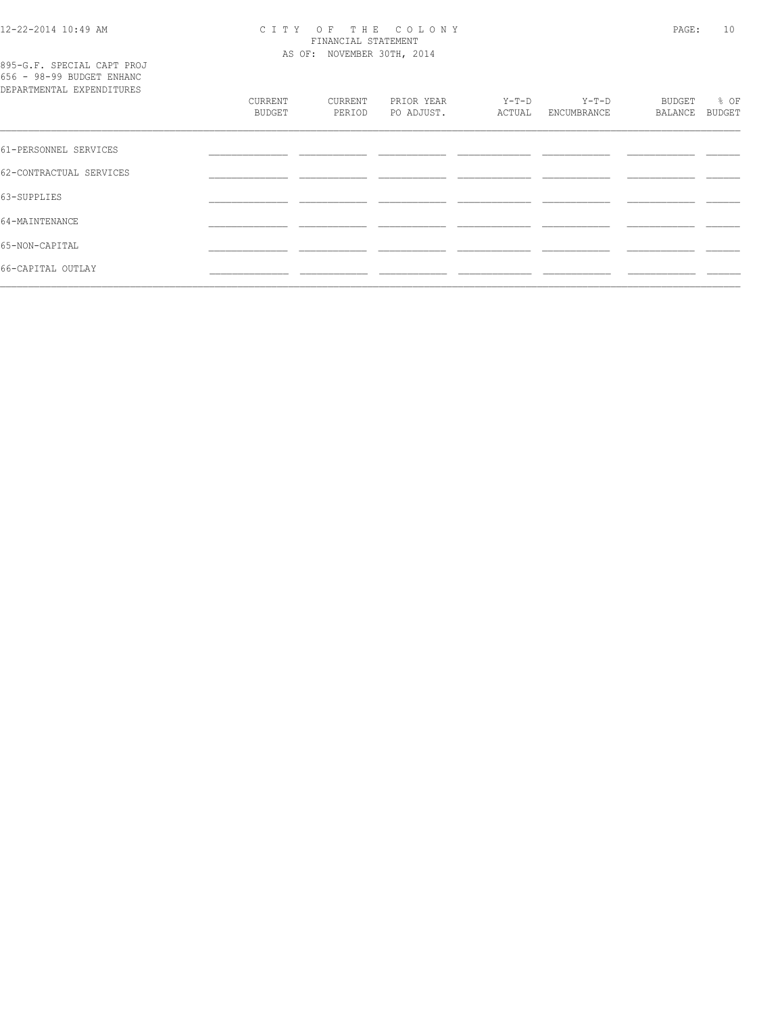# CITY OF THE COLONY<br>
FINANCIAL STATEMENT<br>
AS OF: NOVEMBER 30TH, 2014

895-G.F. SPECIAL CAPT PROJ<br>656 - 98-99 BUDGET ENHANC

| DEPARTMENTAL EXPENDITURES |                   |                   |                          |                 |                        |                   |                       |
|---------------------------|-------------------|-------------------|--------------------------|-----------------|------------------------|-------------------|-----------------------|
|                           | CURRENT<br>BUDGET | CURRENT<br>PERIOD | PRIOR YEAR<br>PO ADJUST. | Y-T-D<br>ACTUAL | $Y-T-D$<br>ENCUMBRANCE | BUDGET<br>BALANCE | % OF<br><b>BUDGET</b> |
| 61-PERSONNEL SERVICES     |                   |                   |                          |                 |                        |                   |                       |
| 62-CONTRACTUAL SERVICES   |                   |                   |                          |                 |                        |                   |                       |
| 63-SUPPLIES               |                   |                   |                          |                 |                        |                   |                       |
| 64-MAINTENANCE            |                   |                   |                          |                 |                        |                   |                       |
| 65-NON-CAPITAL            |                   |                   |                          |                 |                        |                   |                       |
| 66-CAPITAL OUTLAY         |                   |                   |                          |                 |                        |                   |                       |
|                           |                   |                   |                          |                 |                        |                   |                       |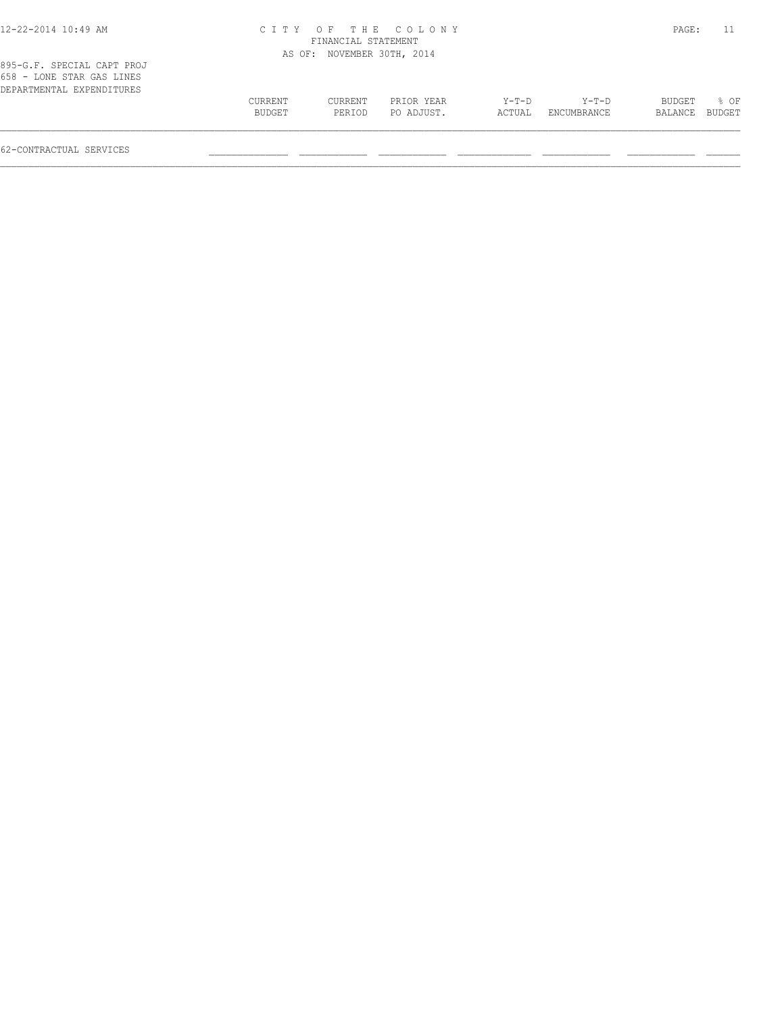| 12-22-2014 10:49 AM |  |
|---------------------|--|
|---------------------|--|

### 12-22-2014 10:49 AM C I T Y O F T H E C O L O N Y PAGE: 11 FINANCIAL STATEMENT

|                                                                                      |                   |                   | AS OF: NOVEMBER 30TH, 2014 |                 |                        |                   |                |
|--------------------------------------------------------------------------------------|-------------------|-------------------|----------------------------|-----------------|------------------------|-------------------|----------------|
| 895-G.F. SPECIAL CAPT PROJ<br>658 - LONE STAR GAS LINES<br>DEPARTMENTAL EXPENDITURES |                   |                   |                            |                 |                        |                   |                |
|                                                                                      | CURRENT<br>BUDGET | CURRENT<br>PERIOD | PRIOR YEAR<br>PO ADJUST.   | Y-T-D<br>ACTUAL | $Y-T-D$<br>ENCUMBRANCE | BUDGET<br>BALANCE | * 0⊧<br>BUDGET |
|                                                                                      |                   |                   |                            |                 |                        |                   |                |

62-CONTRACTUAL SERVICES \_\_\_\_\_\_\_\_\_\_\_\_\_\_ \_\_\_\_\_\_\_\_\_\_\_\_ \_\_\_\_\_\_\_\_\_\_\_\_ \_\_\_\_\_\_\_\_\_\_\_\_\_ \_\_\_\_\_\_\_\_\_\_\_\_ \_\_\_\_\_\_\_\_\_\_\_\_ \_\_\_\_\_\_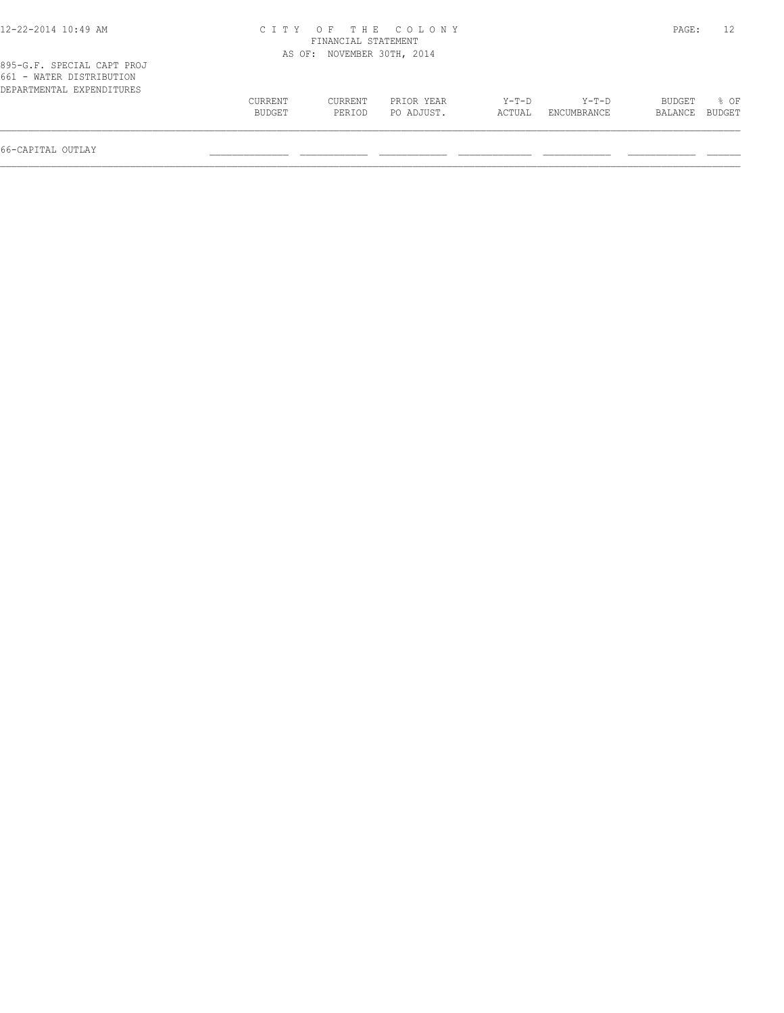| 12-22-2014 10:49 AM                                                                 |         |                            | CITY OF THE COLONY |        |             | PAGE:          | 12   |
|-------------------------------------------------------------------------------------|---------|----------------------------|--------------------|--------|-------------|----------------|------|
|                                                                                     |         | FINANCIAL STATEMENT        |                    |        |             |                |      |
|                                                                                     |         | AS OF: NOVEMBER 30TH, 2014 |                    |        |             |                |      |
| 895-G.F. SPECIAL CAPT PROJ<br>661 - WATER DISTRIBUTION<br>DEPARTMENTAL EXPENDITURES |         |                            |                    |        |             |                |      |
|                                                                                     | CURRENT | CURRENT                    | PRIOR YEAR         | Y-T-D  | Y-T-D       | BUDGET         | 8 OF |
|                                                                                     | BUDGET  | PERIOD                     | PO ADJUST.         | ACTUAL | ENCUMBRANCE | BALANCE BUDGET |      |
|                                                                                     |         |                            |                    |        |             |                |      |

66-CAPITAL OUTLAY \_\_\_\_\_\_\_\_\_\_\_\_\_\_ \_\_\_\_\_\_\_\_\_\_\_\_ \_\_\_\_\_\_\_\_\_\_\_\_ \_\_\_\_\_\_\_\_\_\_\_\_\_ \_\_\_\_\_\_\_\_\_\_\_\_ \_\_\_\_\_\_\_\_\_\_\_\_ \_\_\_\_\_\_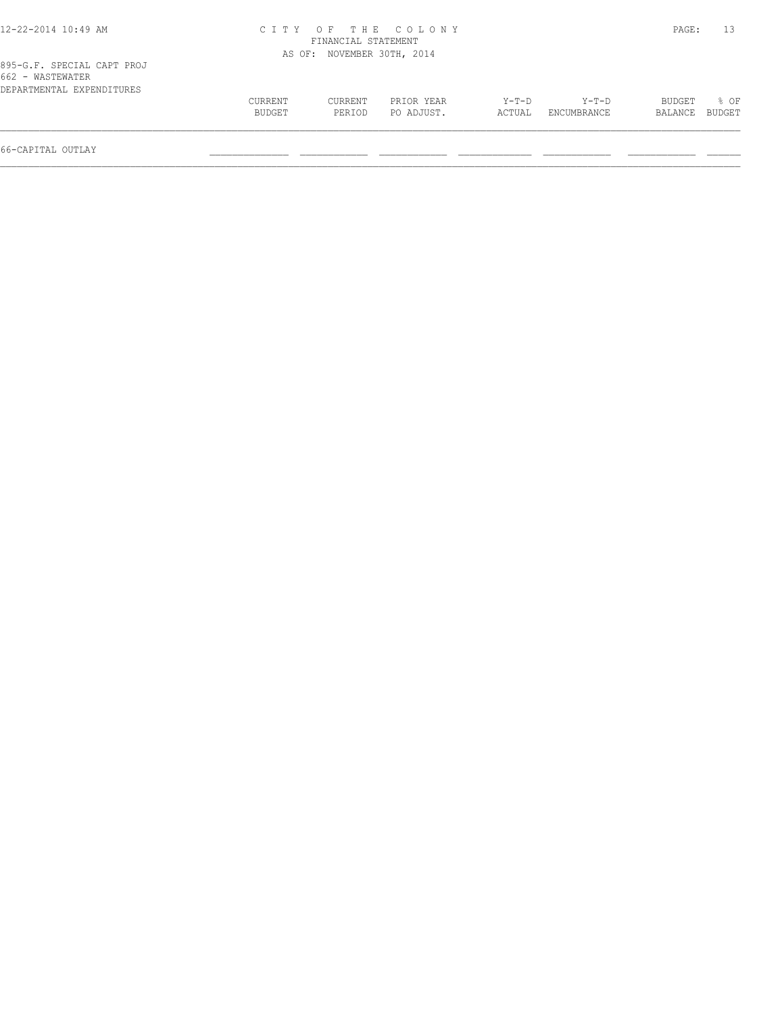| 12-22-2014 10:49 AM                                                         |                   | FINANCIAL STATEMENT        | CITY OF THE COLONY       |                 |                      | PAGE:                    | 13               |
|-----------------------------------------------------------------------------|-------------------|----------------------------|--------------------------|-----------------|----------------------|--------------------------|------------------|
|                                                                             |                   | AS OF: NOVEMBER 30TH, 2014 |                          |                 |                      |                          |                  |
| 895-G.F. SPECIAL CAPT PROJ<br>662 - WASTEWATER<br>DEPARTMENTAL EXPENDITURES |                   |                            |                          |                 |                      |                          |                  |
|                                                                             | CURRENT<br>BUDGET | <b>CURRENT</b><br>PERIOD   | PRIOR YEAR<br>PO ADJUST. | Y-T-D<br>ACTUAL | Y-T-D<br>ENCUMBRANCE | <b>BUDGET</b><br>BALANCE | $8$ OF<br>BUDGET |

66-CAPITAL OUTLAY \_\_\_\_\_\_\_\_\_\_\_\_\_\_ \_\_\_\_\_\_\_\_\_\_\_\_ \_\_\_\_\_\_\_\_\_\_\_\_ \_\_\_\_\_\_\_\_\_\_\_\_\_ \_\_\_\_\_\_\_\_\_\_\_\_ \_\_\_\_\_\_\_\_\_\_\_\_ \_\_\_\_\_\_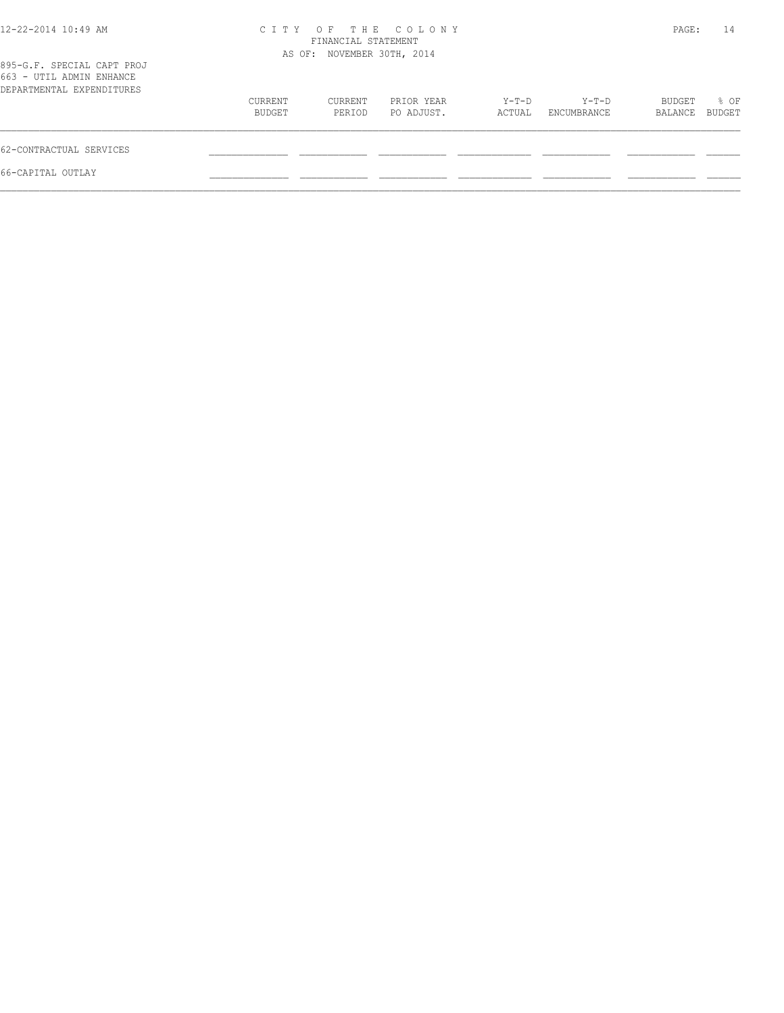| 12-22-2014 10:49 AM                                                                 | OF THE COLONY<br>C T T Y<br>FINANCIAL STATEMENT<br>AS OF: NOVEMBER 30TH, 2014 |                   |                          |                 |                      | PAGE:             | 14             |
|-------------------------------------------------------------------------------------|-------------------------------------------------------------------------------|-------------------|--------------------------|-----------------|----------------------|-------------------|----------------|
| 895-G.F. SPECIAL CAPT PROJ<br>663 - UTIL ADMIN ENHANCE<br>DEPARTMENTAL EXPENDITURES |                                                                               |                   |                          |                 |                      |                   |                |
|                                                                                     | CURRENT<br>BUDGET                                                             | CURRENT<br>PERIOD | PRIOR YEAR<br>PO ADJUST. | Y-T-D<br>ACTUAL | Y-T-D<br>ENCUMBRANCE | BUDGET<br>BALANCE | % OF<br>BUDGET |
| 62-CONTRACTUAL SERVICES                                                             |                                                                               |                   |                          |                 |                      |                   |                |
| 66-CAPITAL OUTLAY                                                                   |                                                                               |                   |                          |                 |                      |                   |                |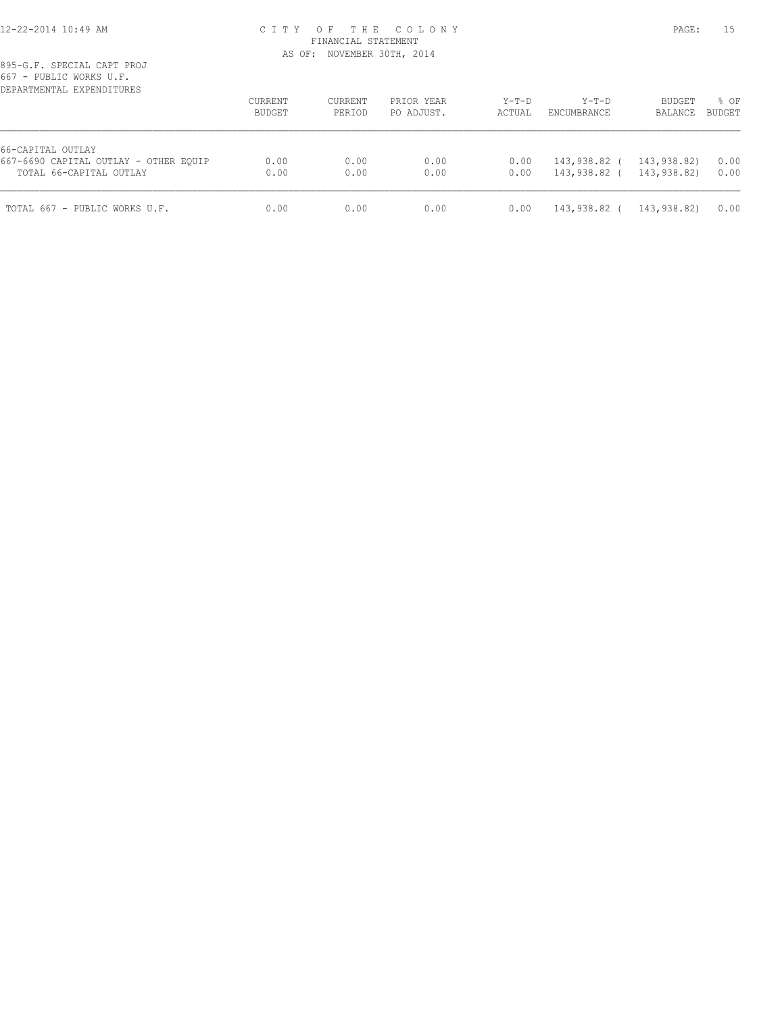#### 12-22-2014 10:49 AM C I T Y O F T H E C O L O N Y PAGE: 15 FINANCIAL STATEMENT AS OF: NOVEMBER 30TH, 2014

895-G.F. SPECIAL CAPT PROJ 667 - PUBLIC WORKS U.F.

| DEPARTMENTAL EXPENDITURES             | CURRENT<br>BUDGET | <b>CURRENT</b><br>PERIOD | PRIOR YEAR<br>PO ADJUST. | $Y-T-D$<br>ACTUAL | $Y-T-D$<br>ENCUMBRANCE | BUDGET<br>BALANCE | % OF<br><b>BUDGET</b> |
|---------------------------------------|-------------------|--------------------------|--------------------------|-------------------|------------------------|-------------------|-----------------------|
| 66-CAPITAL OUTLAY                     |                   |                          |                          |                   |                        |                   |                       |
| 667-6690 CAPITAL OUTLAY - OTHER EQUIP | 0.00              | 0.00                     | 0.00                     | 0.00              | 143,938.82 (           | 143,938.82)       | 0.00                  |
| TOTAL 66-CAPITAL OUTLAY               | 0.00              | 0.00                     | 0.00                     | 0.00              | 143,938.82 (           | 143,938.82)       | 0.00                  |
| TOTAL 667 - PUBLIC WORKS U.F.         | 0.00              | 0.00                     | 0.00                     | 0.00              | 143,938.82 (           | 143,938.82)       | 0.00                  |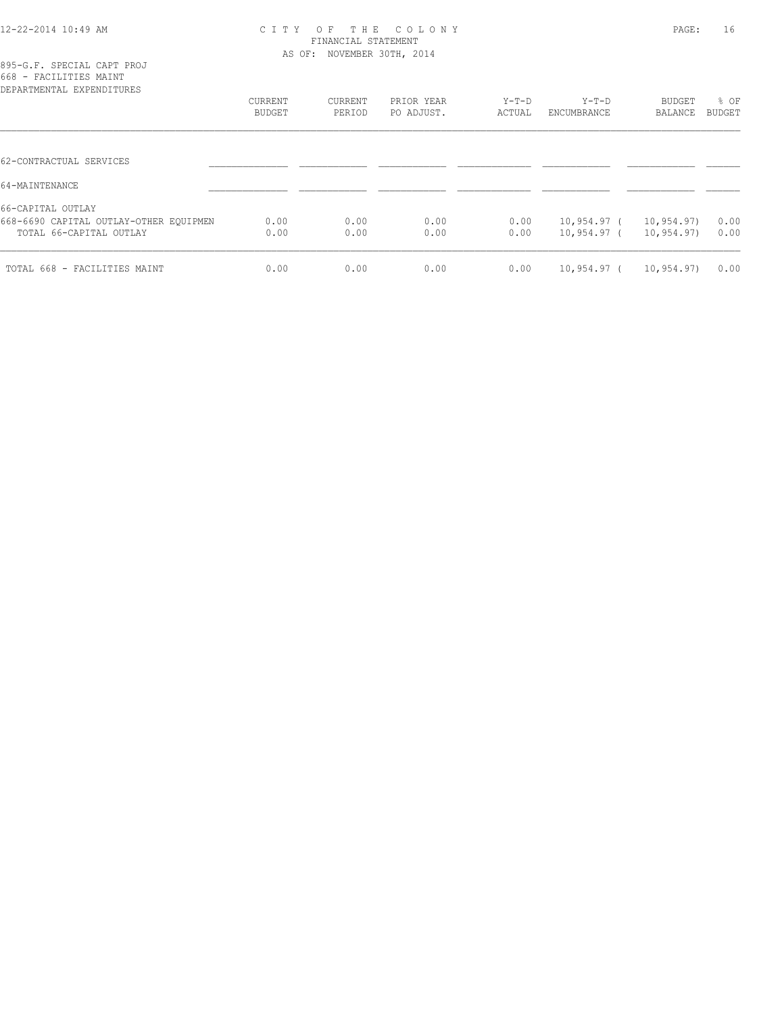#### 12-22-2014 10:49 AM C I T Y O F T H E C O L O N Y PAGE: 16 FINANCIAL STATEMENT AS OF: NOVEMBER 30TH, 2014

| 895-G.F. SPECIAL CAPT PROJ |  |  |
|----------------------------|--|--|
| 668 - FACILITIES MAINT     |  |  |
| DEPARTMENTAL EXPENDITURES  |  |  |

| DEPARTMENTAL EXPENDITURES                                                     |                   |                   |                          |                   |                        |                   |                |
|-------------------------------------------------------------------------------|-------------------|-------------------|--------------------------|-------------------|------------------------|-------------------|----------------|
|                                                                               | CURRENT<br>BUDGET | CURRENT<br>PERIOD | PRIOR YEAR<br>PO ADJUST. | $Y-T-D$<br>ACTUAL | $Y-T-D$<br>ENCUMBRANCE | BUDGET<br>BALANCE | % OF<br>BUDGET |
|                                                                               |                   |                   |                          |                   |                        |                   |                |
| 62-CONTRACTUAL SERVICES                                                       |                   |                   |                          |                   |                        |                   |                |
|                                                                               |                   |                   |                          |                   |                        |                   |                |
|                                                                               |                   |                   |                          |                   |                        |                   |                |
|                                                                               | 0.00              | 0.00              | 0.00                     | 0.00              | 10,954.97 ( 10,954.97) |                   | 0.00           |
| TOTAL 66-CAPITAL OUTLAY                                                       | 0.00              | 0.00              | 0.00                     | 0.00              | 10,954.97 (            | 10,954.97)        | 0.00           |
| TOTAL 668 - FACILITIES MAINT                                                  | 0.00              | 0.00              | 0.00                     | 0.00              | 10,954.97 (            | 10,954.97)        | 0.00           |
| 64-MAINTENANCE<br>66-CAPITAL OUTLAY<br>668-6690 CAPITAL OUTLAY-OTHER EQUIPMEN |                   |                   |                          |                   |                        |                   |                |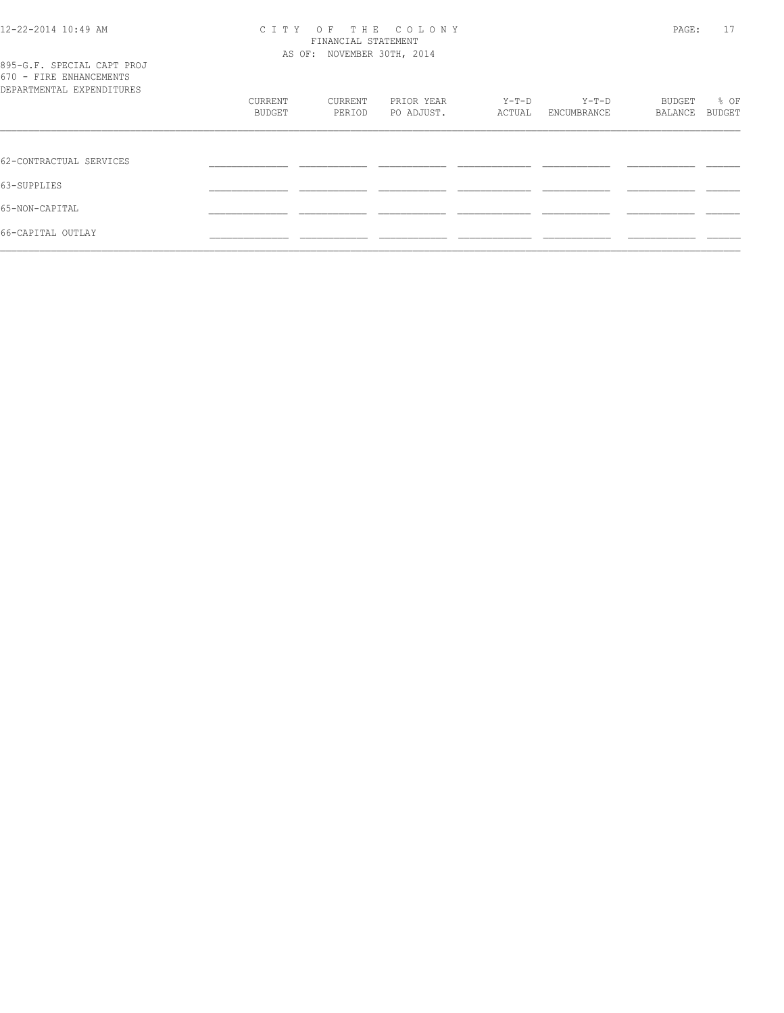#### 12-22-2014 10:49 AM C I T Y O F T H E C O L O N Y PAGE: 17 FINANCIAL STATEMENT AS OF: NOVEMBER 30TH, 2014

|  |  |  |                           | 895-G.F. SPECIAL CAPT PROJ |  |
|--|--|--|---------------------------|----------------------------|--|
|  |  |  | 670 - FIRE ENHANCEMENTS   |                            |  |
|  |  |  | DEPARTMENTAL EXPENDITURES |                            |  |

| 000 - 1011 - 1011 - 1011 - 1011 - 1011 - 1011 - 1011 - 1011 - 1011 - 1011 - 1011 - 1011 - 1011 - 10<br>DEPARTMENTAL EXPENDITURES |         |         |            |         |             |         |        |
|----------------------------------------------------------------------------------------------------------------------------------|---------|---------|------------|---------|-------------|---------|--------|
|                                                                                                                                  | CURRENT | CURRENT | PRIOR YEAR | $Y-T-D$ | $Y-T-D$     | BUDGET  | % OF   |
|                                                                                                                                  | BUDGET  | PERIOD  | PO ADJUST. | ACTUAL  | ENCUMBRANCE | BALANCE | BUDGET |
|                                                                                                                                  |         |         |            |         |             |         |        |
| 62-CONTRACTUAL SERVICES                                                                                                          |         |         |            |         |             |         |        |
| 63-SUPPLIES                                                                                                                      |         |         |            |         |             |         |        |
| 65-NON-CAPITAL                                                                                                                   |         |         |            |         |             |         |        |
| 66-CAPITAL OUTLAY                                                                                                                |         |         |            |         |             |         |        |
|                                                                                                                                  |         |         |            |         |             |         |        |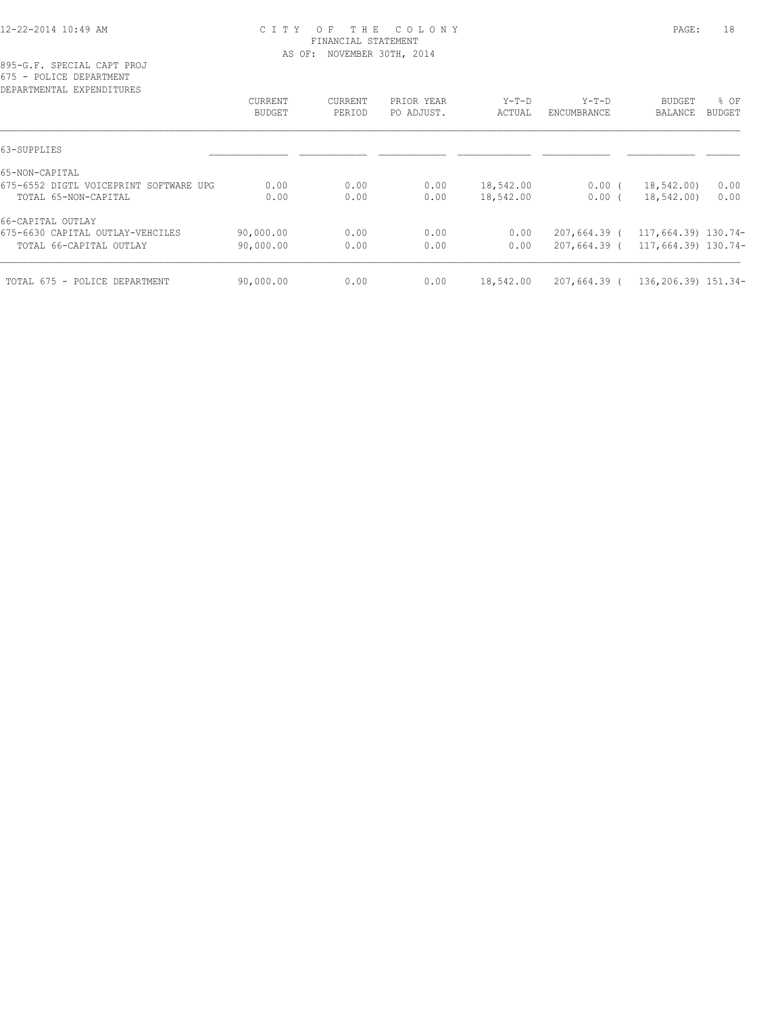#### 12-22-2014 10:49 AM C I T Y O F T H E C O L O N Y PAGE: 18 FINANCIAL STATEMENT AS OF: NOVEMBER 30TH, 2014

895-G.F. SPECIAL CAPT PROJ 675 - POLICE DEPARTMENT

| DEPARTMENTAL EXPENDITURES              |                          |                   |                          |                   |                        |                          |                |
|----------------------------------------|--------------------------|-------------------|--------------------------|-------------------|------------------------|--------------------------|----------------|
|                                        | CURRENT<br><b>BUDGET</b> | CURRENT<br>PERIOD | PRIOR YEAR<br>PO ADJUST. | $Y-T-D$<br>ACTUAL | $Y-T-D$<br>ENCUMBRANCE | <b>BUDGET</b><br>BALANCE | % OF<br>BUDGET |
|                                        |                          |                   |                          |                   |                        |                          |                |
| 63-SUPPLIES                            |                          |                   |                          |                   |                        |                          |                |
| 65-NON-CAPITAL                         |                          |                   |                          |                   |                        |                          |                |
| 675-6552 DIGTL VOICEPRINT SOFTWARE UPG | 0.00                     | 0.00              | 0.00                     | 18,542.00         | $0.00$ (               | 18,542.00)               | 0.00           |
| TOTAL 65-NON-CAPITAL                   | 0.00                     | 0.00              | 0.00                     | 18,542.00         | $0.00$ (               | 18,542.00)               | 0.00           |
| 66-CAPITAL OUTLAY                      |                          |                   |                          |                   |                        |                          |                |
| 675-6630 CAPITAL OUTLAY-VEHCILES       | 90,000.00                | 0.00              | 0.00                     | 0.00              | $207,664.39$ (         | 117,664.39) 130.74-      |                |
| TOTAL 66-CAPITAL OUTLAY                | 90,000.00                | 0.00              | 0.00                     | 0.00              | $207,664.39$ (         | 117,664.39) 130.74-      |                |
| TOTAL 675 - POLICE DEPARTMENT          | 90,000.00                | 0.00              | 0.00                     | 18,542.00         | 207,664.39 (           | 136,206.39) 151.34-      |                |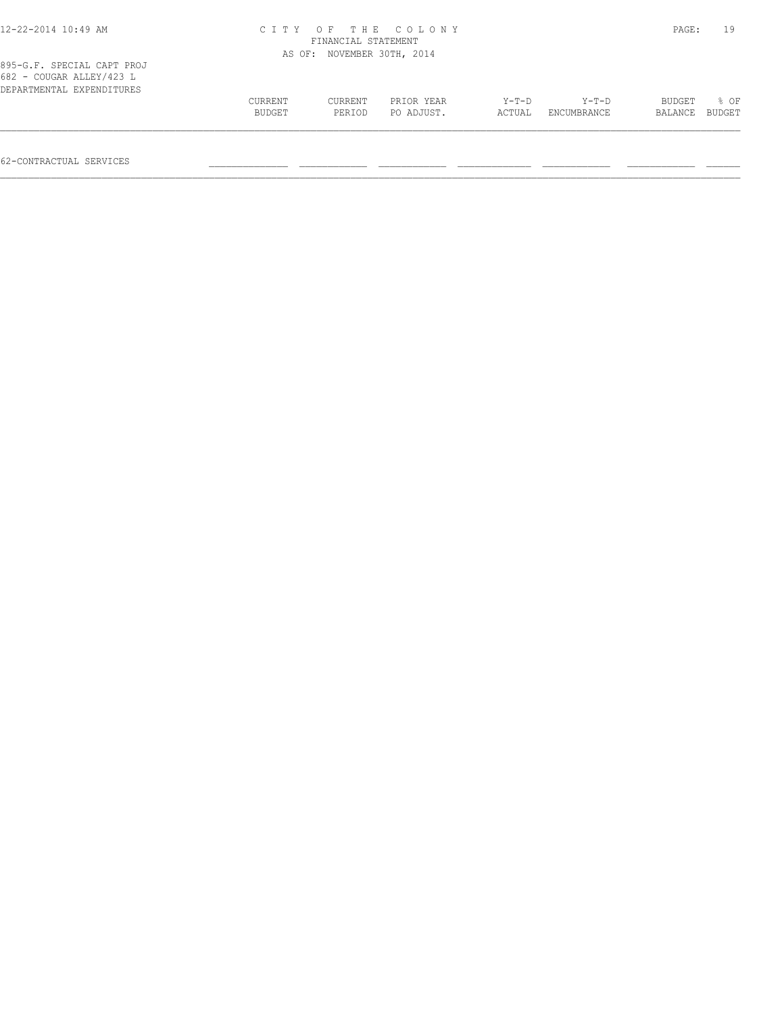| 12-22-2014 10:49 AM                                                                 |                   | FINANCIAL STATEMENT | CITY OF THE COLONY       |                   |                        | PAGE:             | 19             |
|-------------------------------------------------------------------------------------|-------------------|---------------------|--------------------------|-------------------|------------------------|-------------------|----------------|
|                                                                                     | AS OF:            |                     | NOVEMBER 30TH, 2014      |                   |                        |                   |                |
| 895-G.F. SPECIAL CAPT PROJ<br>682 - COUGAR ALLEY/423 L<br>DEPARTMENTAL EXPENDITURES | CURRENT<br>BUDGET | CURRENT<br>PERIOD   | PRIOR YEAR<br>PO ADJUST. | $Y-T-D$<br>ACTUAL | $Y-T-D$<br>ENCUMBRANCE | BUDGET<br>BALANCE | 8 OF<br>BUDGET |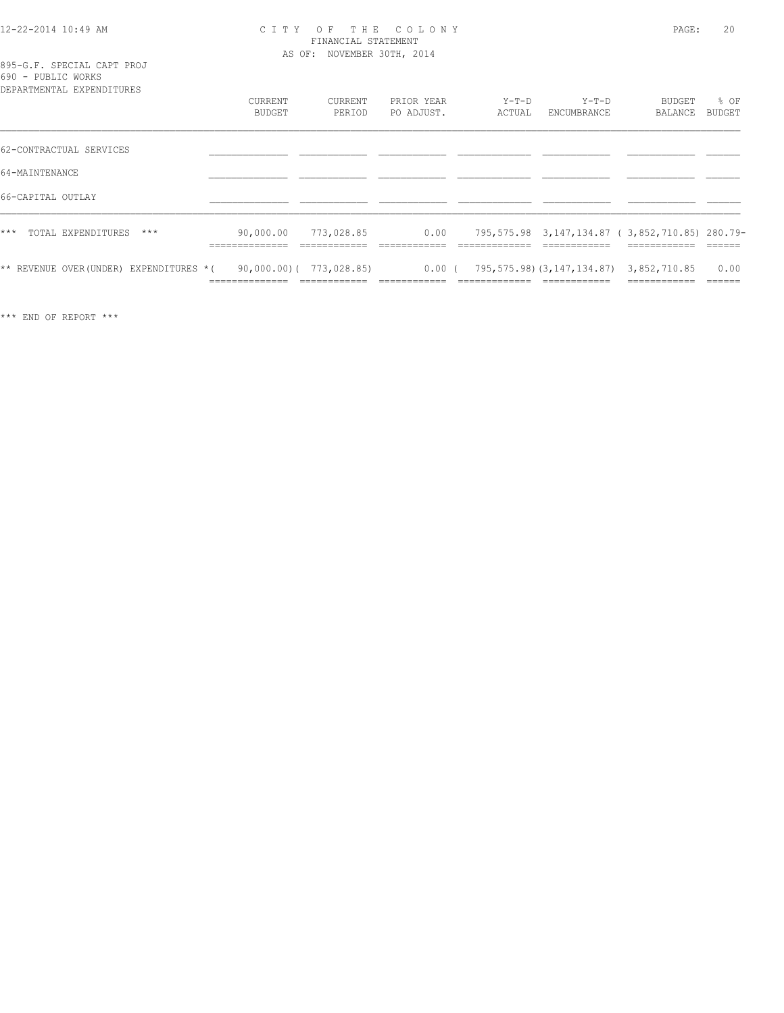#### 12-22-2014 10:49 AM C I T Y O F T H E C O L O N Y PAGE: 20 FINANCIAL STATEMENT AS OF: NOVEMBER 30TH, 2014

|  |  |                    |                                    | 895-G.F. SPECIAL CAPT PROJ |
|--|--|--------------------|------------------------------------|----------------------------|
|  |  | 690 - PUBLIC WORKS |                                    |                            |
|  |  |                    | pops povember the product to the c |                            |

| ----------<br>DEPARTMENTAL EXPENDITURES | <b>CURRENT</b><br>BUDGET                       | CURRENT<br>PERIOD                              | PRIOR YEAR<br>PO ADJUST. | $Y-T-D$<br>ACTUAL | $Y-T-D$<br>ENCUMBRANCE                                        | BUDGET<br>BALANCE                                                              | % OF<br>BUDGET           |
|-----------------------------------------|------------------------------------------------|------------------------------------------------|--------------------------|-------------------|---------------------------------------------------------------|--------------------------------------------------------------------------------|--------------------------|
| 62-CONTRACTUAL SERVICES                 |                                                |                                                |                          |                   |                                                               |                                                                                |                          |
| 64-MAINTENANCE                          |                                                |                                                |                          |                   |                                                               |                                                                                |                          |
| 66-CAPITAL OUTLAY                       |                                                |                                                |                          |                   |                                                               |                                                                                |                          |
| $***$<br>TOTAL EXPENDITURES<br>$***$    | 90,000.00<br>______________<br>--------------- | 773,028.85<br>____________                     | 0.00                     | ---------------   | ____________                                                  | 795,575.98 3,147,134.87 (3,852,710.85) 280.79-<br>____________<br>____________ | ______                   |
| ** REVENUE OVER (UNDER) EXPENDITURES *( | ______________<br>-----------                  | $90,000.00)$ ( $773,028.85$ )<br>------------- | $0.00$ (                 | -------------     | 795, 575.98) (3, 147, 134.87) 3, 852, 710.85<br>------------- | ------------                                                                   | 0.00<br>-------<br>----- |

\*\*\* END OF REPORT \*\*\*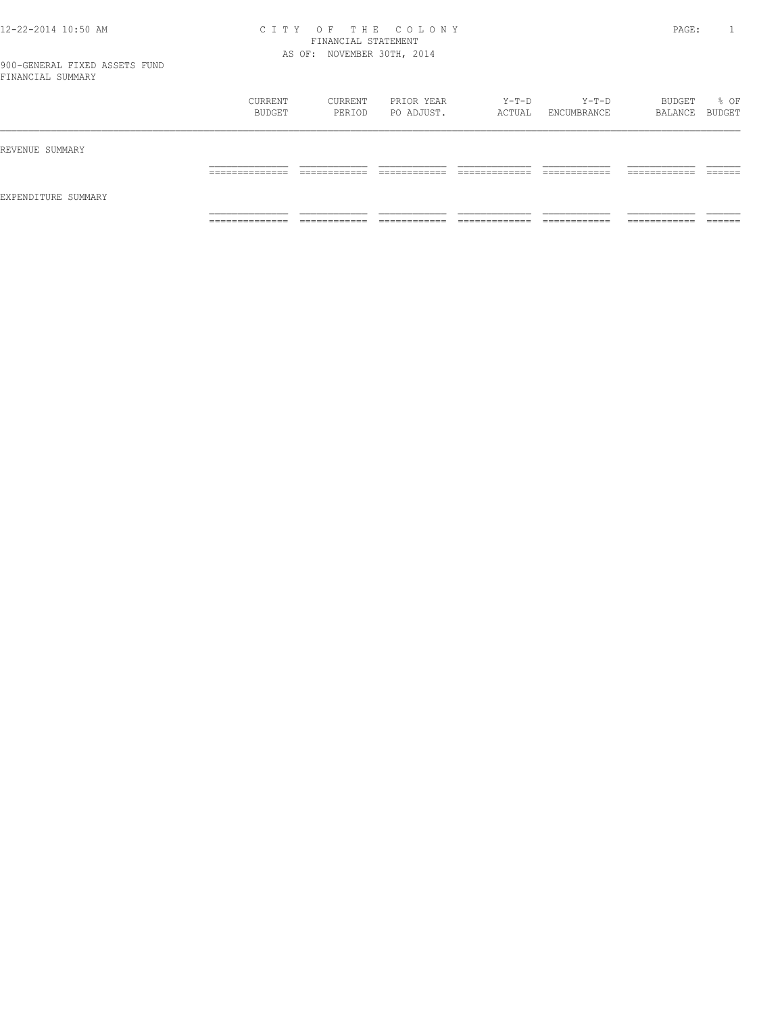#### 12-22-2014 10:50 AM C I T Y O F T H E C O L O N Y PAGE: 1 FINANCIAL STATEMENT AS OF: NOVEMBER 30TH, 2014

|                     | CURRENT<br>BUDGET                 | CURRENT<br>PERIOD            | PRIOR YEAR<br>PO ADJUST.   | Y-T-D<br>ACTUAL                | Y-T-D<br>ENCUMBRANCE         | BUDGET<br>BALANCE BUDGET      | % OF               |
|---------------------|-----------------------------------|------------------------------|----------------------------|--------------------------------|------------------------------|-------------------------------|--------------------|
| REVENUE SUMMARY     |                                   |                              |                            |                                |                              |                               |                    |
|                     | ______________<br>_______________ | ____________<br>____________ | -------------<br>_________ | _____________<br>_____________ | ____________<br>____________ | -------------<br>____________ | -------<br>_______ |
| EXPENDITURE SUMMARY |                                   |                              |                            |                                |                              |                               |                    |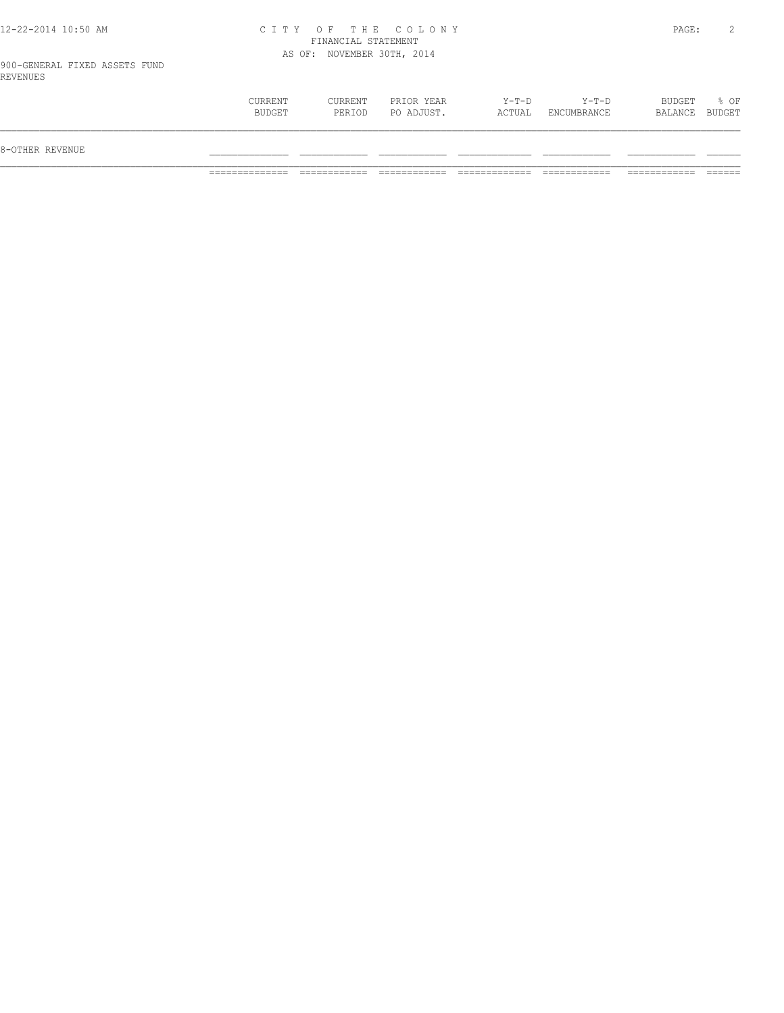#### 12-22-2014 10:50 AM C I T Y O F T H E C O L O N Y PAGE: 2 FINANCIAL STATEMENT AS OF: NOVEMBER 30TH, 2014

| % OF<br>Y-T-D<br>$Y-T-D$<br>BUDGET<br>CURRENT<br>CURRENT<br>PRIOR YEAR<br>BALANCE BUDGET<br>BUDGET<br>PO ADJUST.<br>PERIOD<br>ACTUAL<br>ENCUMBRANCE |                 |  |  |  |  |
|-----------------------------------------------------------------------------------------------------------------------------------------------------|-----------------|--|--|--|--|
|                                                                                                                                                     | 8-OTHER REVENUE |  |  |  |  |
|                                                                                                                                                     |                 |  |  |  |  |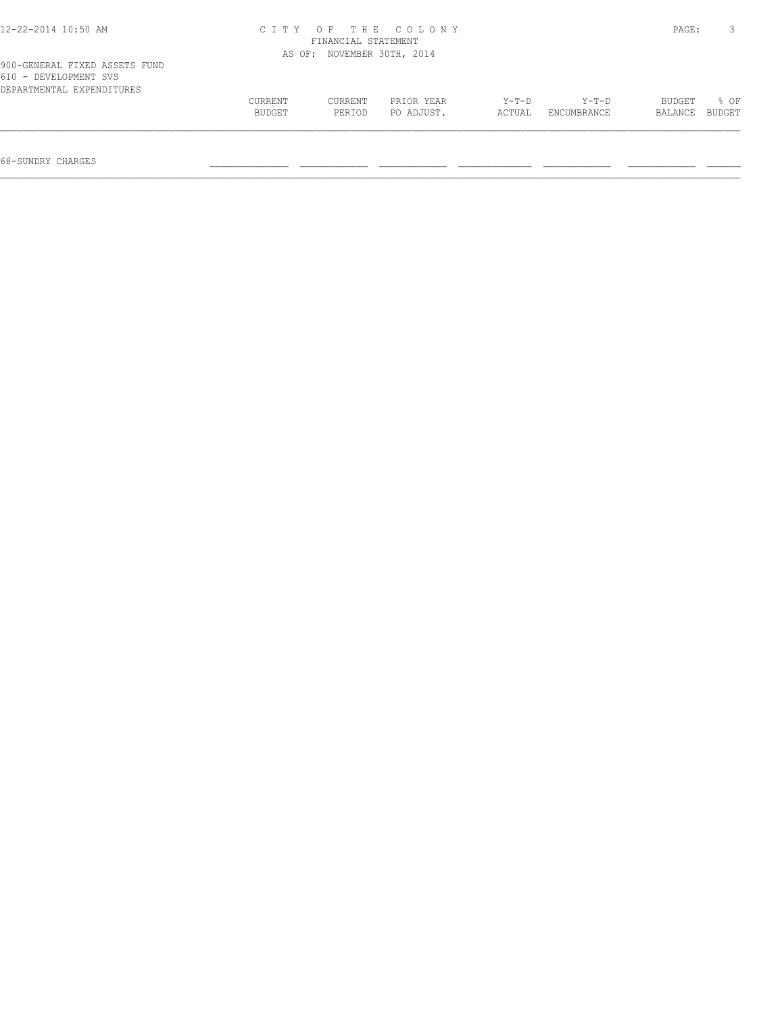| 12-22-2014 10:50 AM                                                                 |                   | CITY OF THE COLONY<br>FINANCIAL STATEMENT<br>AS OF: NOVEMBER 30TH, 2014 |                          |                   |                        |                   |                |  |  |
|-------------------------------------------------------------------------------------|-------------------|-------------------------------------------------------------------------|--------------------------|-------------------|------------------------|-------------------|----------------|--|--|
|                                                                                     |                   |                                                                         |                          |                   |                        |                   |                |  |  |
| 900-GENERAL FIXED ASSETS FUND<br>610 - DEVELOPMENT SVS<br>DEPARTMENTAL EXPENDITURES |                   |                                                                         |                          |                   |                        |                   |                |  |  |
|                                                                                     | CURRENT<br>BUDGET | CURRENT<br>PERIOD                                                       | PRIOR YEAR<br>PO ADJUST. | $Y-T-D$<br>ACTUAL | $Y-T-D$<br>ENCUMBRANCE | BUDGET<br>BALANCE | 8 OF<br>BUDGET |  |  |
|                                                                                     |                   |                                                                         |                          |                   |                        |                   |                |  |  |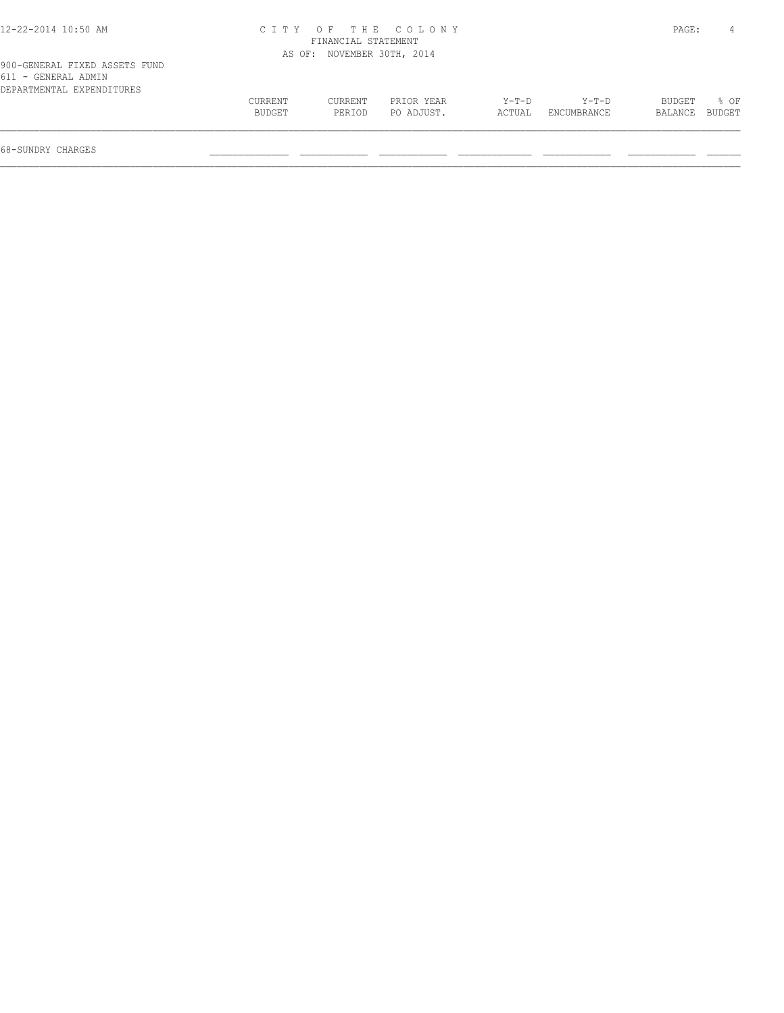| 12-22-2014 10:50 AM |  |
|---------------------|--|
|---------------------|--|

## 12-22-2014 10:50 AM C I T Y O F T H E C O L O N Y PAGE: 4 FINANCIAL STATEMENT AS OF: NOVEMBER 30TH, 2014

| 900-GENERAL FIXED ASSETS FUND |         |         |            |         |             |                |  |
|-------------------------------|---------|---------|------------|---------|-------------|----------------|--|
| 611 - GENERAL ADMIN           |         |         |            |         |             |                |  |
| DEPARTMENTAL EXPENDITURES     |         |         |            |         |             |                |  |
|                               | CURRENT | CURRENT | PRIOR YEAR | $Y-T-D$ | Y-T-D       | BUDGET % OF    |  |
|                               | BUDGET  | PERTOD  | PO ADJUST. | ACTUAL  | ENCUMBRANCE | BALANCE BUDGET |  |
|                               |         |         |            |         |             |                |  |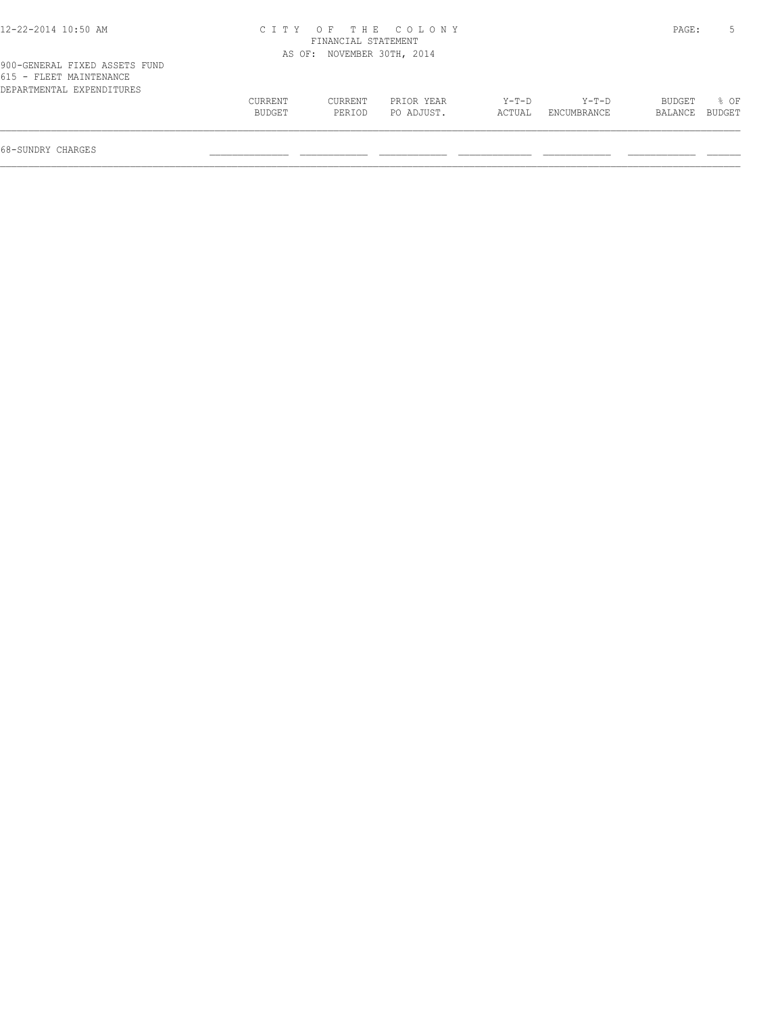## 12-22-2014 10:50 AM C I T Y O F T H E C O L O N Y PAGE: 5 FINANCIAL STATEMENT AS OF: NOVEMBER 30TH, 2014

| 615 - FLEET MAINTENANCE   |         |         |            |         |             |                |             |
|---------------------------|---------|---------|------------|---------|-------------|----------------|-------------|
| DEPARTMENTAL EXPENDITURES |         |         |            |         |             |                |             |
|                           | CURRENT | CURRENT | PRIOR YEAR | $Y-T-D$ | $Y-T-D$     |                | BUDGET % OF |
|                           | BUDGET  | PERIOD  | PO ADJUST. | ACTUAL  | ENCUMBRANCE | BALANCE BUDGET |             |
|                           |         |         |            |         |             |                |             |
|                           |         |         |            |         |             |                |             |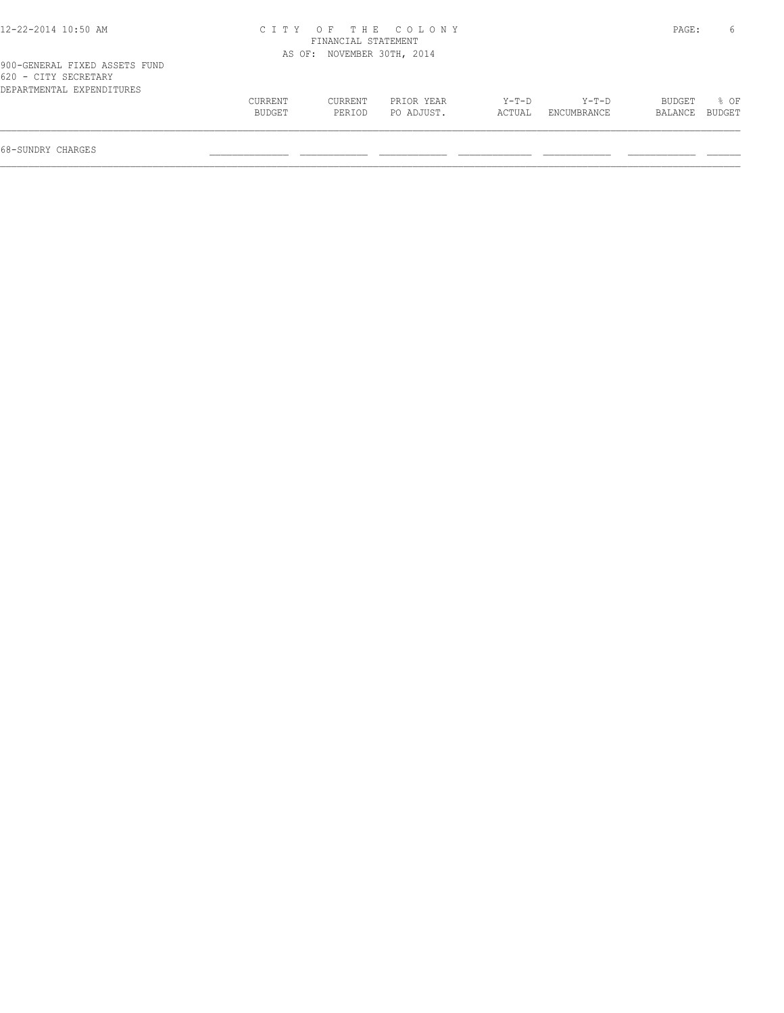| 12-22-2014 10:50 AM |  |
|---------------------|--|
|---------------------|--|

## 12-22-2014 10:50 AM C I T Y O F T H E C O L O N Y PAGE: 6 FINANCIAL STATEMENT AS OF: NOVEMBER 30TH, 2014

| 620 - CITY SECRETARY      |         |         |            |        |                    |                |       |
|---------------------------|---------|---------|------------|--------|--------------------|----------------|-------|
| DEPARTMENTAL EXPENDITURES |         |         |            |        |                    |                |       |
|                           | CURRENT | CURRENT | PRIOR YEAR | Y-T-D  | Y-T-D              | BUDGET         | ୍ବ OF |
|                           | BUDGET  | PERIOD  | PO ADJUST. | ACTUAL | <b>ENCUMBRANCE</b> | BALANCE BUDGET |       |
|                           |         |         |            |        |                    |                |       |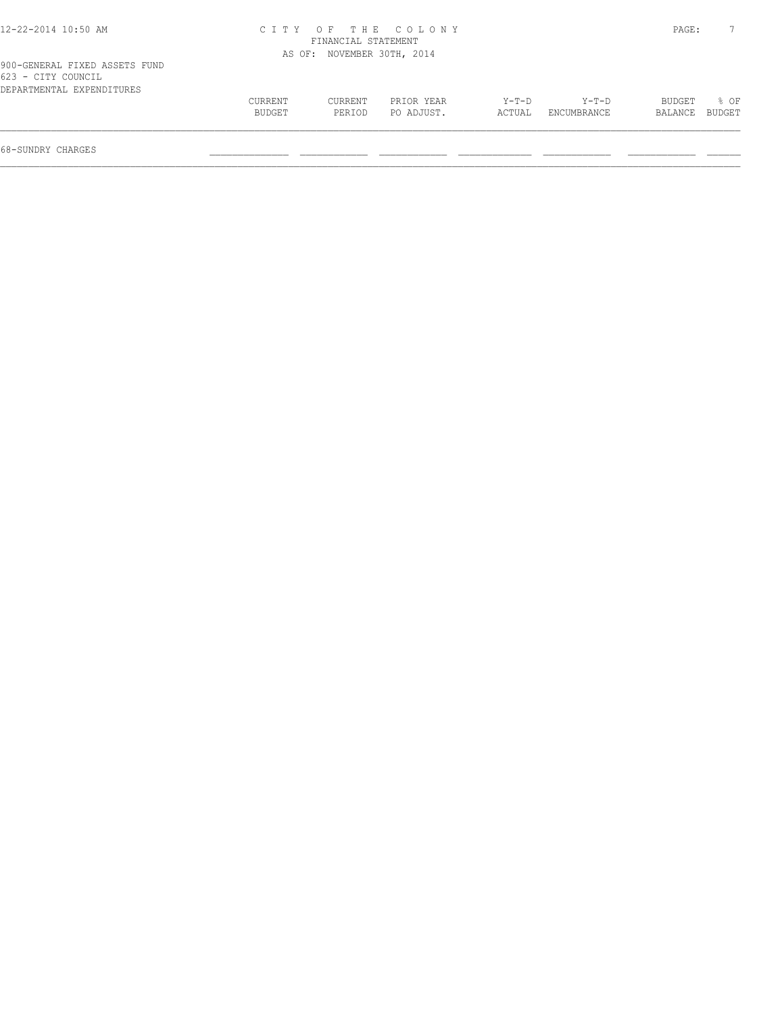## 12-22-2014 10:50 AM C I T Y O F T H E C O L O N Y PAGE: 7 FINANCIAL STATEMENT AS OF: NOVEMBER 30TH, 2014

| Yuu-Genekal Fiaed assets Fund |         |         |            |         |             |                |                  |  |
|-------------------------------|---------|---------|------------|---------|-------------|----------------|------------------|--|
| 623 - CITY COUNCIL            |         |         |            |         |             |                |                  |  |
| DEPARTMENTAL EXPENDITURES     |         |         |            |         |             |                |                  |  |
|                               | CURRENT | CURRENT | PRIOR YEAR | $Y-T-D$ | $Y-T-D$     | BUDGET         | $\frac{1}{2}$ OF |  |
|                               | BUDGET  | PERIOD  | PO ADJUST. | ACTUAL  | ENCUMBRANCE | BALANCE BUDGET |                  |  |
|                               |         |         |            |         |             |                |                  |  |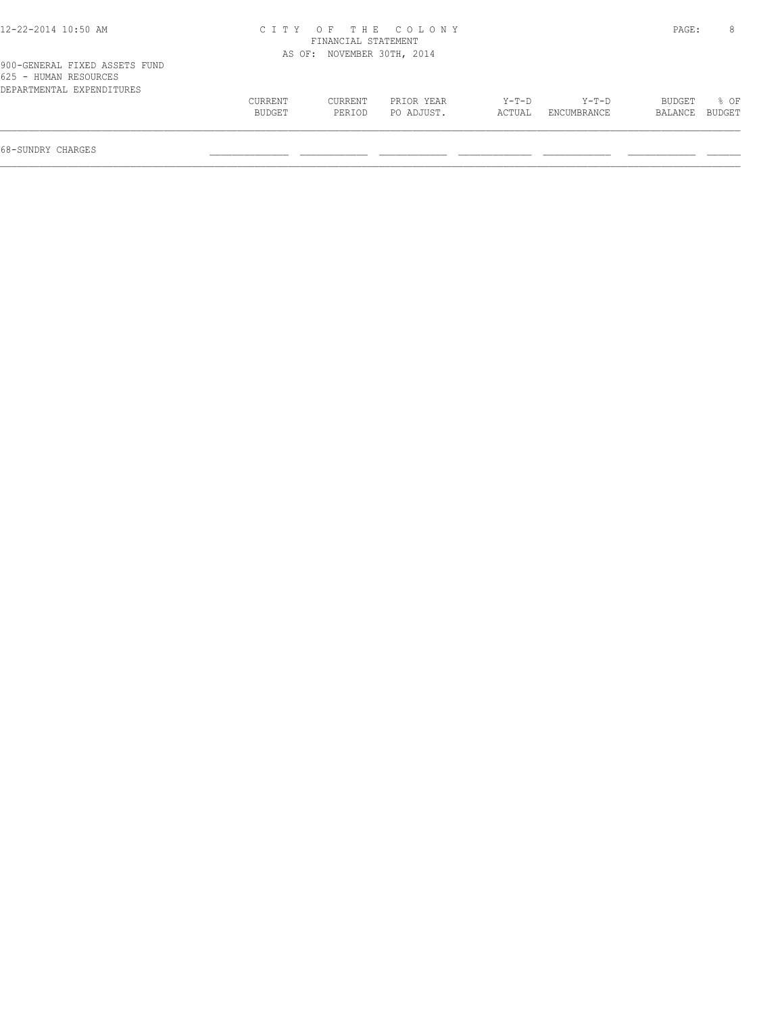| 12-22-2014 10:50 AM |  |
|---------------------|--|
|---------------------|--|

## 12-22-2014 10:50 AM C I T Y O F T H E C O L O N Y PAGE: 8 FINANCIAL STATEMENT AS OF: NOVEMBER 30TH, 2014

| BUDGET % OF    |  |
|----------------|--|
| BALANCE BUDGET |  |
|                |  |
|                |  |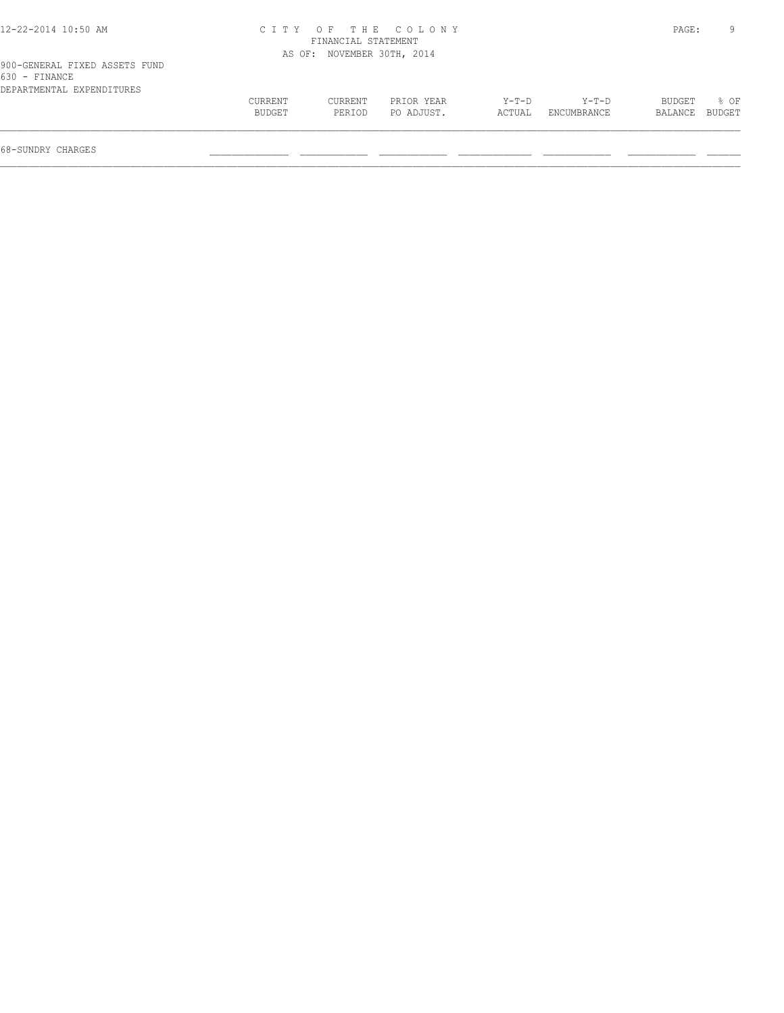#### 12-22-2014 10:50 AM C I T Y O F T H E C O L O N Y PAGE: 9 FINANCIAL STATEMENT AS OF: NOVEMBER 30TH, 2014

| 900-GENERAL FIXED ASSETS FUND |  |  |
|-------------------------------|--|--|
| 630 - FINANCE                 |  |  |
| DEPARTMENTAL EXPENDITURES     |  |  |

| 900-GENERAL FIXED ASSETS FUND<br>630 - FINANCE |         |         |            |        |             |                |  |
|------------------------------------------------|---------|---------|------------|--------|-------------|----------------|--|
| DEPARTMENTAL EXPENDITURES                      |         |         |            |        |             |                |  |
|                                                | CURRENT | CURRENT | PRIOR YEAR | Y-T-D  | Y-T-D       | BUDGET % OF    |  |
|                                                | BUDGET  | PERIOD  | PO ADJUST. | ACTUAL | ENCUMBRANCE | BALANCE BUDGET |  |
|                                                |         |         |            |        |             |                |  |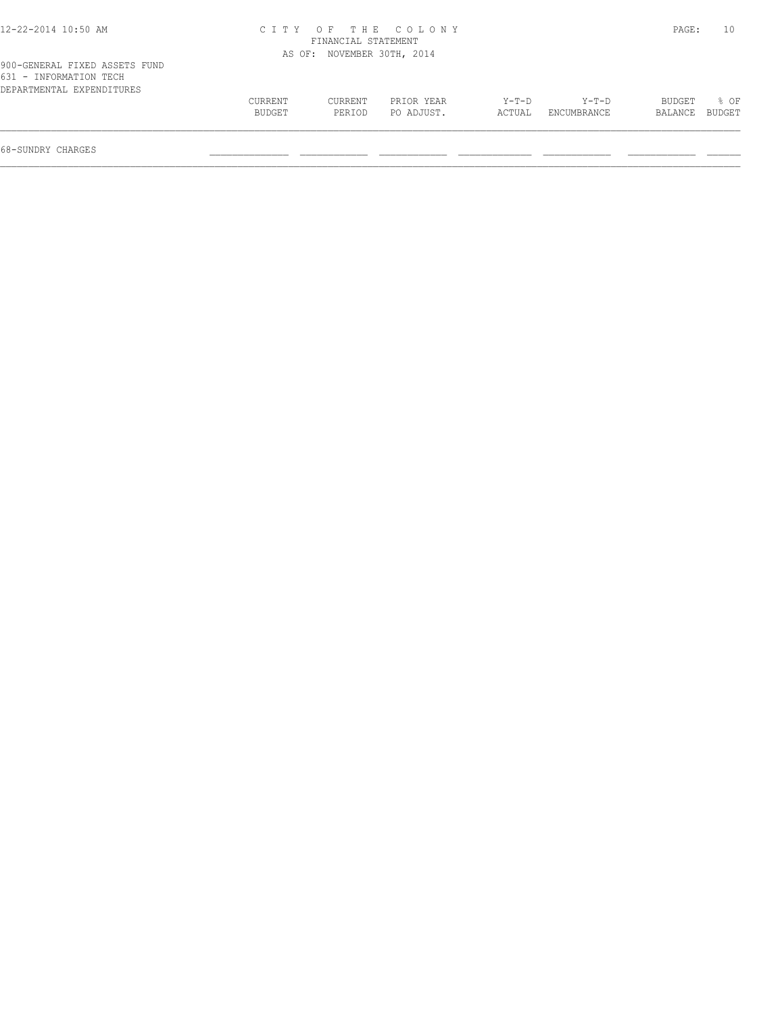| 12-22-2014 10:50 AM |  |
|---------------------|--|
|---------------------|--|

## 12-22-2014 10:50 AM C I T Y O F T H E C O L O N Y PAGE: 10 FINANCIAL STATEMENT AS OF: NOVEMBER 30TH, 2014

| 900-GENERAL FIXED ASSETS FUND |  |  |
|-------------------------------|--|--|
| 631 - INFORMATION TECH        |  |  |
| DEPARTMENTAL EXPENDITURES     |  |  |

| ---<br>--------------------- |               |         |            |         |                    |         |        |
|------------------------------|---------------|---------|------------|---------|--------------------|---------|--------|
| DEPARTMENTAL EXPENDITURES    |               |         |            |         |                    |         |        |
|                              | CURRENT       | CURRENT | PRIOR YEAR | $Y-T-D$ | $Y-T-D$            | BUDGET  | % OF   |
|                              | <b>BUDGET</b> | PERTOD  | PO ADJUST. | ACTUAL  | <b>ENCUMBRANCE</b> | BALANCE | BUDGET |
|                              |               |         |            |         |                    |         |        |
|                              |               |         |            |         |                    |         |        |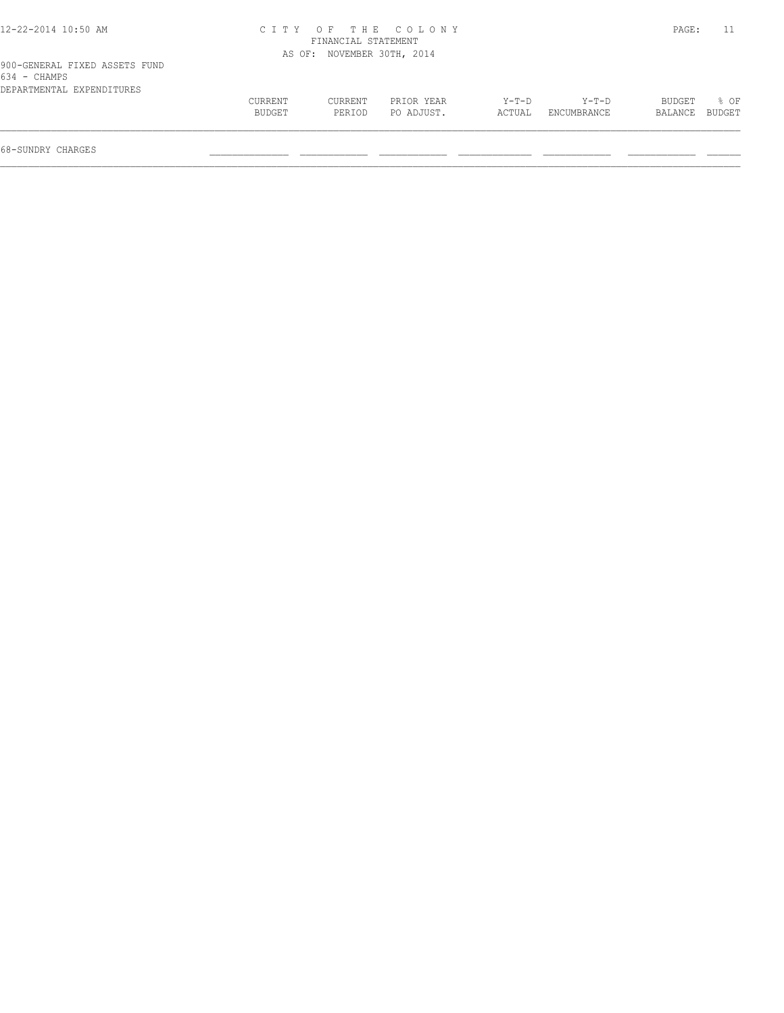| 12-22-2014 10:50 AM |  |
|---------------------|--|
|---------------------|--|

# 12-22-2014 10:50 AM C I T Y O F T H E C O L O N Y PAGE: 11 FINANCIAL STATEMENT

|                                               |         |         | AS OF: NOVEMBER 30TH, 2014 |         |             |         |          |  |  |  |
|-----------------------------------------------|---------|---------|----------------------------|---------|-------------|---------|----------|--|--|--|
| 900-GENERAL FIXED ASSETS FUND<br>634 - CHAMPS |         |         |                            |         |             |         |          |  |  |  |
| DEPARTMENTAL EXPENDITURES                     |         |         |                            |         |             |         |          |  |  |  |
|                                               | CURRENT | CURRENT | PRIOR YEAR                 | $Y-T-D$ | $Y-T-D$     | BUDGET  | ା ନ<br>କ |  |  |  |
|                                               | BUDGET  | PERIOD  | PO ADJUST.                 | ACTUAL  | ENCUMBRANCE | BALANCE | BUDGET   |  |  |  |
| 68-SUNDRY CHARGES                             |         |         |                            |         |             |         |          |  |  |  |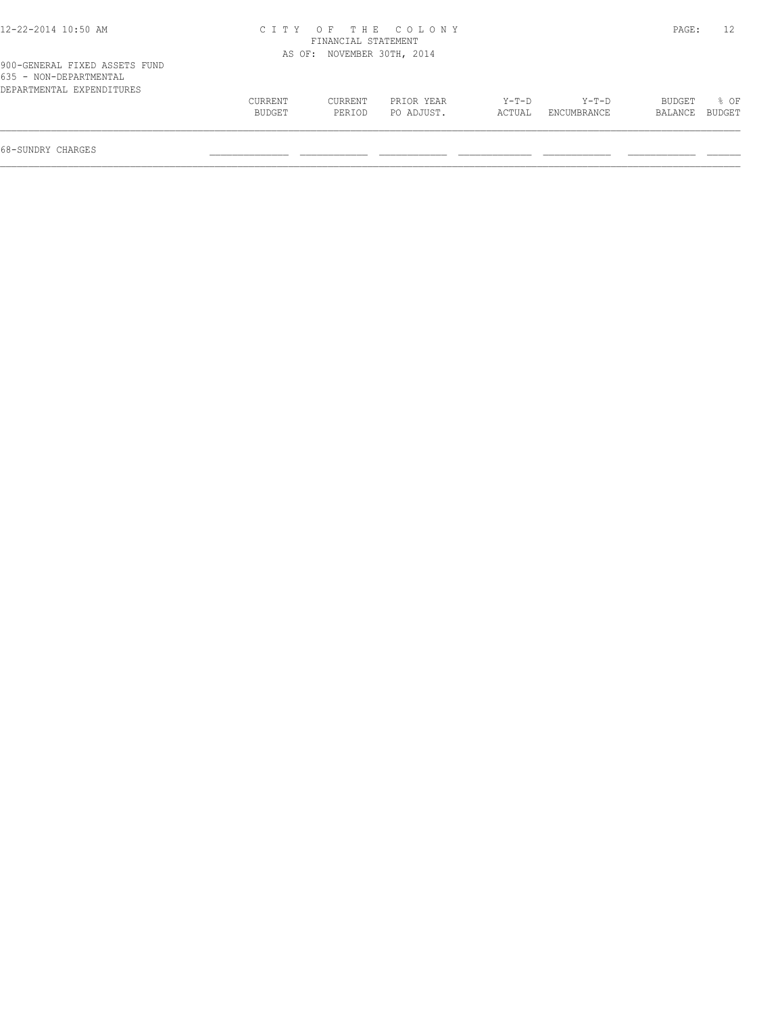| 12-22-2014 10:50 AM |  |  |
|---------------------|--|--|
|---------------------|--|--|

## 12-22-2014 10:50 AM C I T Y O F T H E C O L O N Y PAGE: 12 FINANCIAL STATEMENT

|                                                         |                | AS OF: NOVEMBER 30TH, 2014 |            |         |             |                |      |
|---------------------------------------------------------|----------------|----------------------------|------------|---------|-------------|----------------|------|
| 900-GENERAL FIXED ASSETS FUND<br>635 - NON-DEPARTMENTAL |                |                            |            |         |             |                |      |
| DEPARTMENTAL EXPENDITURES                               |                |                            |            |         |             |                |      |
|                                                         | <b>CURRENT</b> | CURRENT                    | PRIOR YEAR | $Y-T-D$ | $Y-T-D$     | BUDGET         | ዱ OF |
|                                                         | BUDGET         | PERTOD                     | PO ADJUST. | ACTUAL  | ENCUMBRANCE | BALANCE BUDGET |      |
|                                                         |                |                            |            |         |             |                |      |
|                                                         |                |                            |            |         |             |                |      |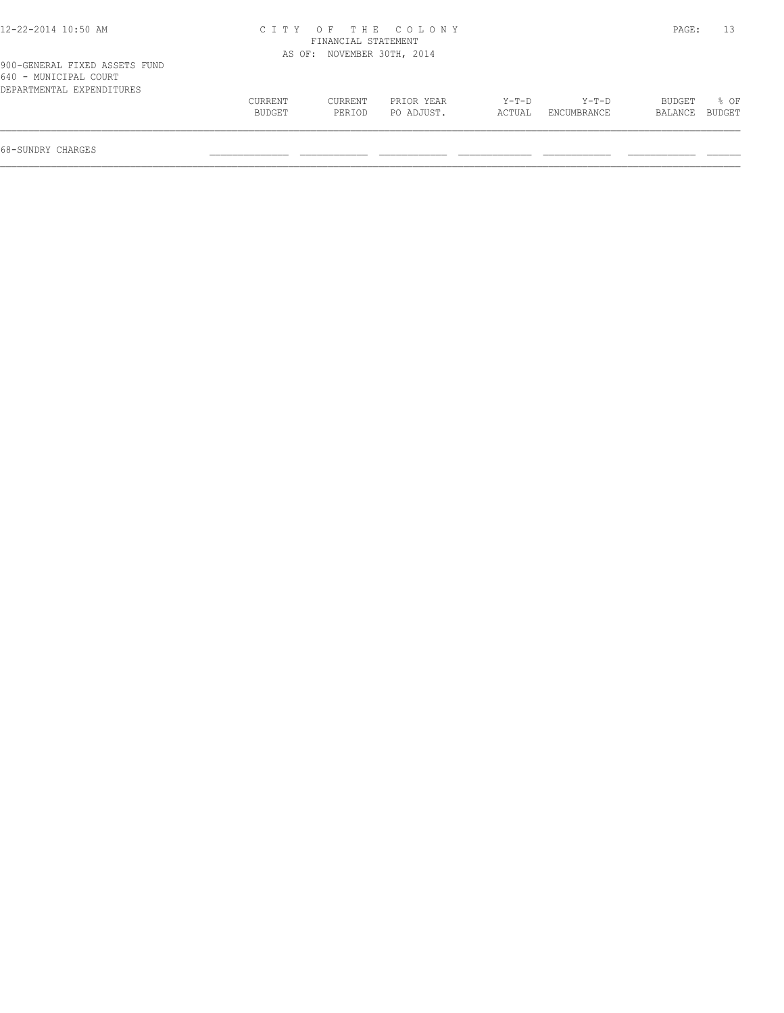| 12-22-2014 10:50 AM |  |
|---------------------|--|
|---------------------|--|

## 12-22-2014 10:50 AM C I T Y O F T H E C O L O N Y PAGE: 13 FINANCIAL STATEMENT AS OF: NOVEMBER 30TH, 2014

| 640 - MUNICIPAL COURT     |         |         |            |         |             |                |      |
|---------------------------|---------|---------|------------|---------|-------------|----------------|------|
| DEPARTMENTAL EXPENDITURES |         |         |            |         |             |                |      |
|                           | CURRENT | CURRENT | PRIOR YEAR | $Y-T-D$ | $Y-T-D$     | BUDGET         | Զ ∩ஈ |
|                           | BUDGET  | PERIOD  | PO ADJUST. | ACTUAL  | ENCUMBRANCE | BALANCE BUDGET |      |
|                           |         |         |            |         |             |                |      |
|                           |         |         |            |         |             |                |      |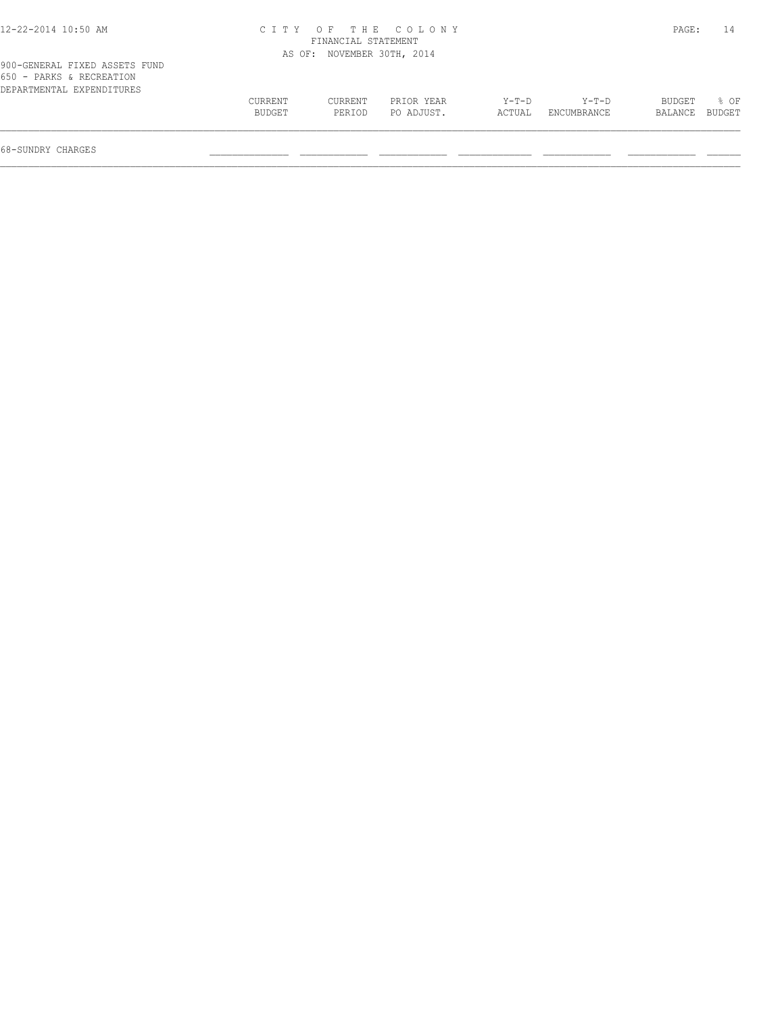| 12-22-2014 10:50 AM |  |  |
|---------------------|--|--|
|---------------------|--|--|

## 12-22-2014 10:50 AM C I T Y O F T H E C O L O N Y PAGE: 14 FINANCIAL STATEMENT AS OF: NOVEMBER 30TH, 2014

| - - - -<br>---------------------------- |         |         |            |         |             |         |        |
|-----------------------------------------|---------|---------|------------|---------|-------------|---------|--------|
| EXPENDITURES<br>DEPARTMENTAL            |         |         |            |         |             |         |        |
|                                         | CURRENT | CURRENT | PRIOR YEAR | $Y-T-D$ | $Y - T - D$ | BUDGET  | % OF   |
|                                         | BUDGET  | PERIOD  | PO ADJUST. | ACTUAL  | ENCUMBRANCE | BALANCE | BUDGET |
|                                         |         |         |            |         |             |         |        |
|                                         |         |         |            |         |             |         |        |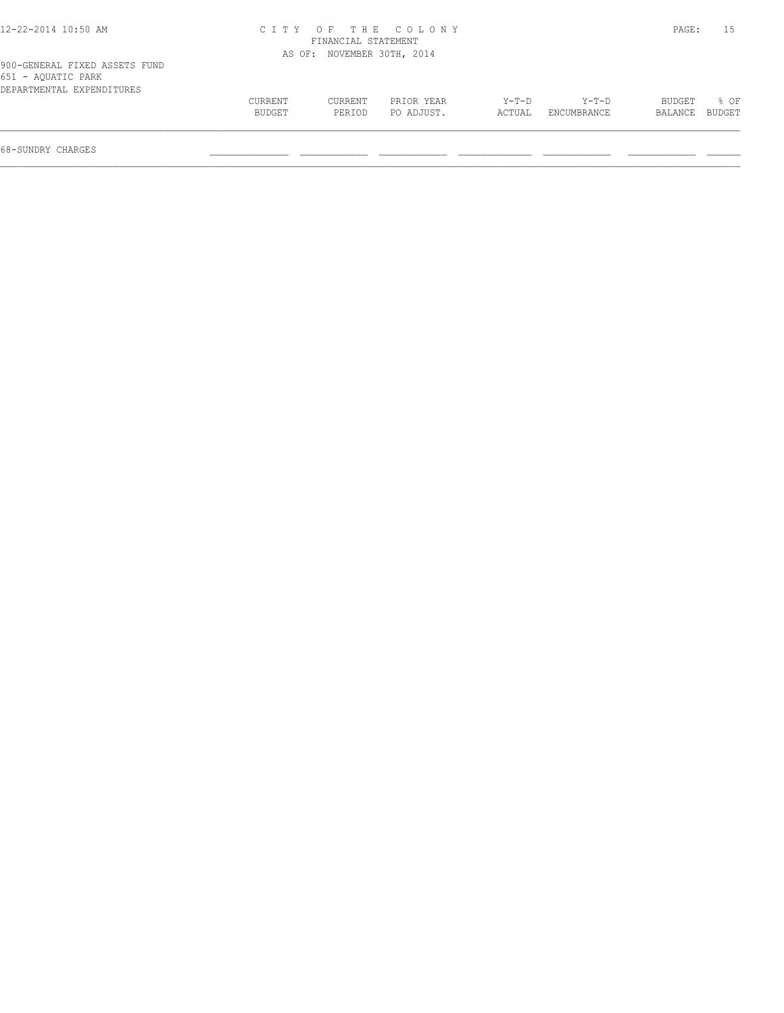| 12-22-2014 10:50 AM |  |  |
|---------------------|--|--|
|---------------------|--|--|

## 12-22-2014 10:50 AM C I T Y O F T H E C O L O N Y PAGE: 15 FINANCIAL STATEMENT AS OF: NOVEMBER 30TH, 2014

| 900-GENERAL FIXED ASSETS FUND |  |  |
|-------------------------------|--|--|
| 651 - AQUATIC PARK            |  |  |
| DEPARTMENTAL EXPENDITURES     |  |  |

| $00 + 1200 + 1200 + 1200$ |               |         |            |         |             |         |        |
|---------------------------|---------------|---------|------------|---------|-------------|---------|--------|
| DEPARTMENTAL EXPENDITURES |               |         |            |         |             |         |        |
|                           | CURRENT       | CURRENT | PRIOR YEAR | $Y-T-D$ | $Y-T-D$     | BUDGET  | OF     |
|                           | <b>BUDGET</b> | PERIOD  | PO ADJUST. | ACTUAL  | ENCUMBRANCE | BALANCE | BUDGET |
|                           |               |         |            |         |             |         |        |
|                           |               |         |            |         |             |         |        |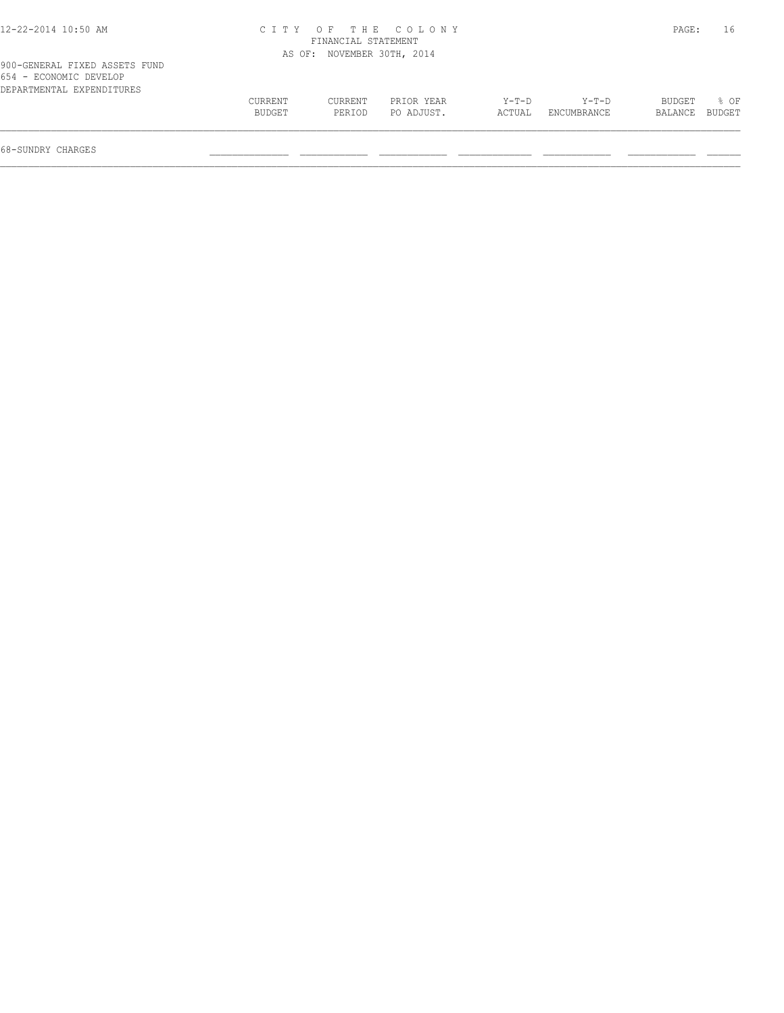| 12-22-2014 10:50 AM |  |  |
|---------------------|--|--|
|---------------------|--|--|

## 12-22-2014 10:50 AM C I T Y O F T H E C O L O N Y PAGE: 16 FINANCIAL STATEMENT AS OF: NOVEMBER 30TH, 2014

| 900-GENERAL FIXED ASSETS FUND |  |  |
|-------------------------------|--|--|
| 654 - ECONOMIC DEVELOP        |  |  |
| DEPARTMENTAL EXPENDITURES     |  |  |

| 034 - Roomomic drartof    |         |         |            |             |             |               |        |
|---------------------------|---------|---------|------------|-------------|-------------|---------------|--------|
| DEPARTMENTAL EXPENDITURES |         |         |            |             |             |               |        |
|                           | CURRENT | CURRENT | PRIOR YEAR | $Y - T - D$ | $Y - T - D$ | <b>BUDGET</b> | % OF   |
|                           | BUDGET  | PERIOD  | PO ADJUST. | ACTUAL      | ENCUMBRANCE | BALANCE       | BUDGET |
|                           |         |         |            |             |             |               |        |
|                           |         |         |            |             |             |               |        |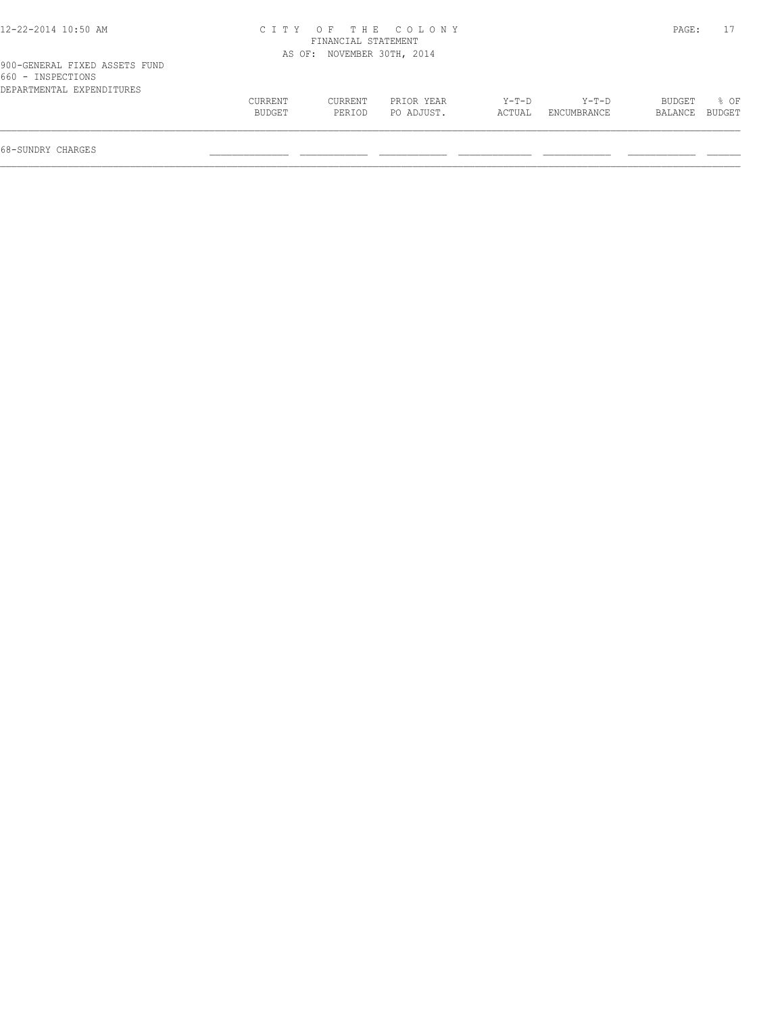| 12-22-2014 10:50 AM |  |
|---------------------|--|
|---------------------|--|

## 12-22-2014 10:50 AM C I T Y O F T H E C O L O N Y PAGE: 17 FINANCIAL STATEMENT AS OF: NOVEMBER 30TH, 2014

| 900-GENERAL FIXED ASSETS FUND |  |  |
|-------------------------------|--|--|
| 660 - INSPECTIONS             |  |  |
| DEPARTMENTAL EXPENDITURES     |  |  |

| DEPARTMENTAL EXPENDITURES |         |         |            |         |             |         |        |
|---------------------------|---------|---------|------------|---------|-------------|---------|--------|
|                           | CURRENT | CURRENT | PRIOR YEAR | $Y-T-D$ | $Y - T - D$ | BUDGET  | OF     |
|                           | BUDGET  | PERIOD  | PO ADJUST. | ACTUAL  | ENCUMBRANCE | BALANCE | BUDGET |
|                           |         |         |            |         |             |         |        |
|                           |         |         |            |         |             |         |        |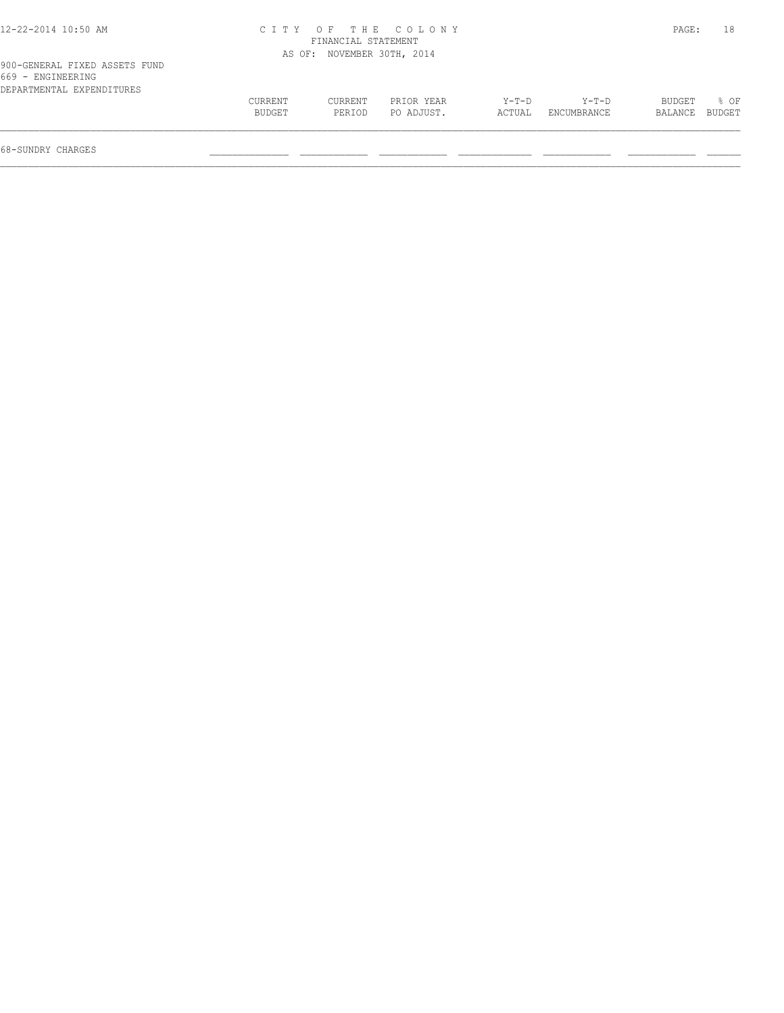| 12-22-2014 10:50 AM |  |
|---------------------|--|
|---------------------|--|

# 12-22-2014 10:50 AM C I T Y O F T H E C O L O N Y PAGE: 18 FINANCIAL STATEMENT

| 900-GENERAL FIXED ASSETS FUND<br>669 - ENGINEERING |                   |                   | AS OF: NOVEMBER 30TH, 2014 |                   |                        |                   |                |  |
|----------------------------------------------------|-------------------|-------------------|----------------------------|-------------------|------------------------|-------------------|----------------|--|
| DEPARTMENTAL EXPENDITURES                          | CURRENT<br>BUDGET | CURRENT<br>PERIOD | PRIOR YEAR<br>PO ADJUST.   | $Y-T-D$<br>ACTUAL | $Y-T-D$<br>ENCUMBRANCE | BUDGET<br>BALANCE | 8 OF<br>BUDGET |  |
| 68-SUNDRY CHARGES                                  |                   |                   |                            |                   |                        |                   |                |  |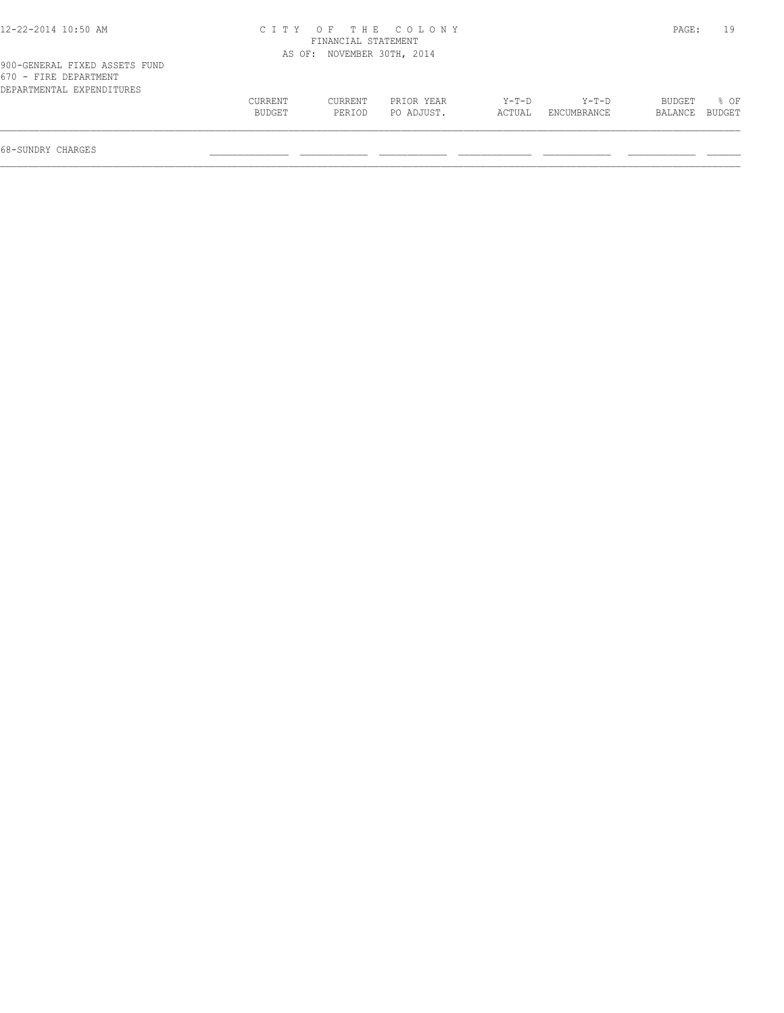| 12-22-2014 10:50 AM |  |  |
|---------------------|--|--|
|---------------------|--|--|

# 12-22-2014 10:50 AM C I T Y O F T H E C O L O N Y PAGE: 19 FINANCIAL STATEMENT

|                                                                                     |                   |                   | AS OF: NOVEMBER 30TH, 2014 |                   |                        |                   |                |
|-------------------------------------------------------------------------------------|-------------------|-------------------|----------------------------|-------------------|------------------------|-------------------|----------------|
| 900-GENERAL FIXED ASSETS FUND<br>670 - FIRE DEPARTMENT<br>DEPARTMENTAL EXPENDITURES |                   |                   |                            |                   |                        |                   |                |
|                                                                                     | CURRENT<br>BUDGET | CURRENT<br>PERIOD | PRIOR YEAR<br>PO ADJUST.   | $Y-T-D$<br>ACTUAL | $Y-T-D$<br>ENCUMBRANCE | BUDGET<br>BALANCE | % OF<br>BUDGET |
|                                                                                     |                   |                   |                            |                   |                        |                   |                |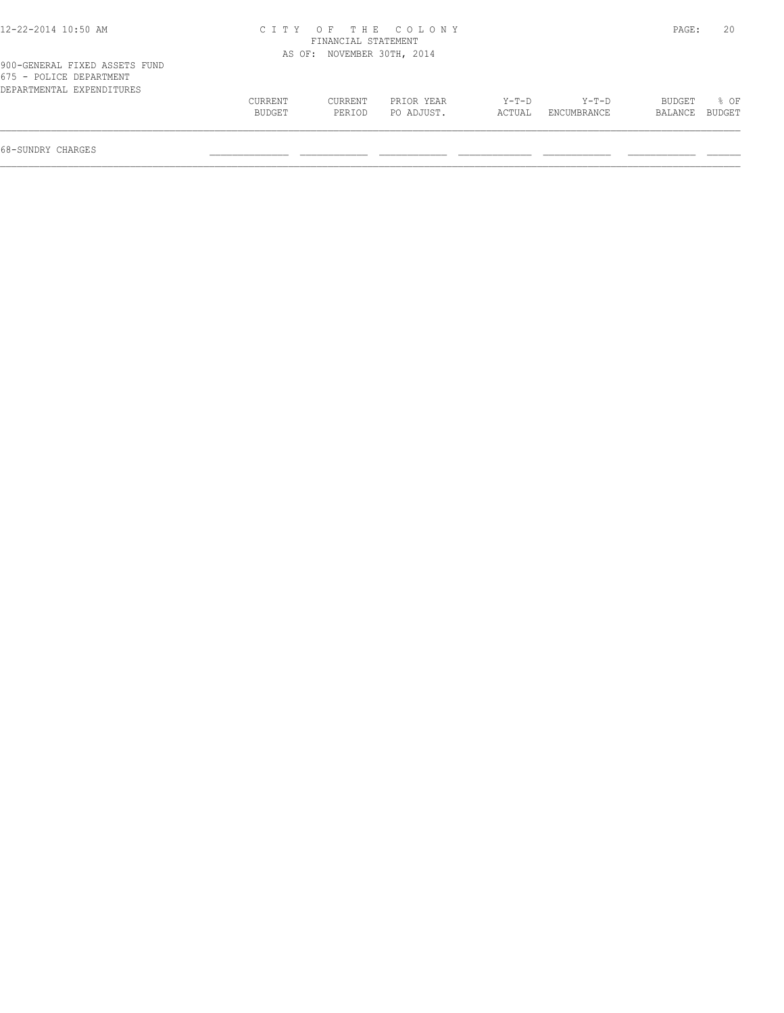## 12-22-2014 10:50 AM C I T Y O F T H E C O L O N Y PAGE: 20 FINANCIAL STATEMENT

|                                                          |         | AS OF: NOVEMBER 30TH, 2014 |            |        |             |         |        |
|----------------------------------------------------------|---------|----------------------------|------------|--------|-------------|---------|--------|
| 900-GENERAL FIXED ASSETS FUND<br>675 - POLICE DEPARTMENT |         |                            |            |        |             |         |        |
| DEPARTMENTAL EXPENDITURES                                |         |                            |            |        |             |         |        |
|                                                          | CURRENT | CURRENT                    | PRIOR YEAR | Y-T-D  | $Y-T-D$     | BUDGET  | 8 OF   |
|                                                          | BUDGET  | PERIOD                     | PO ADJUST. | ACTUAL | ENCUMBRANCE | BALANCE | BUDGET |
| 68-SUNDRY CHARGES                                        |         |                            |            |        |             |         |        |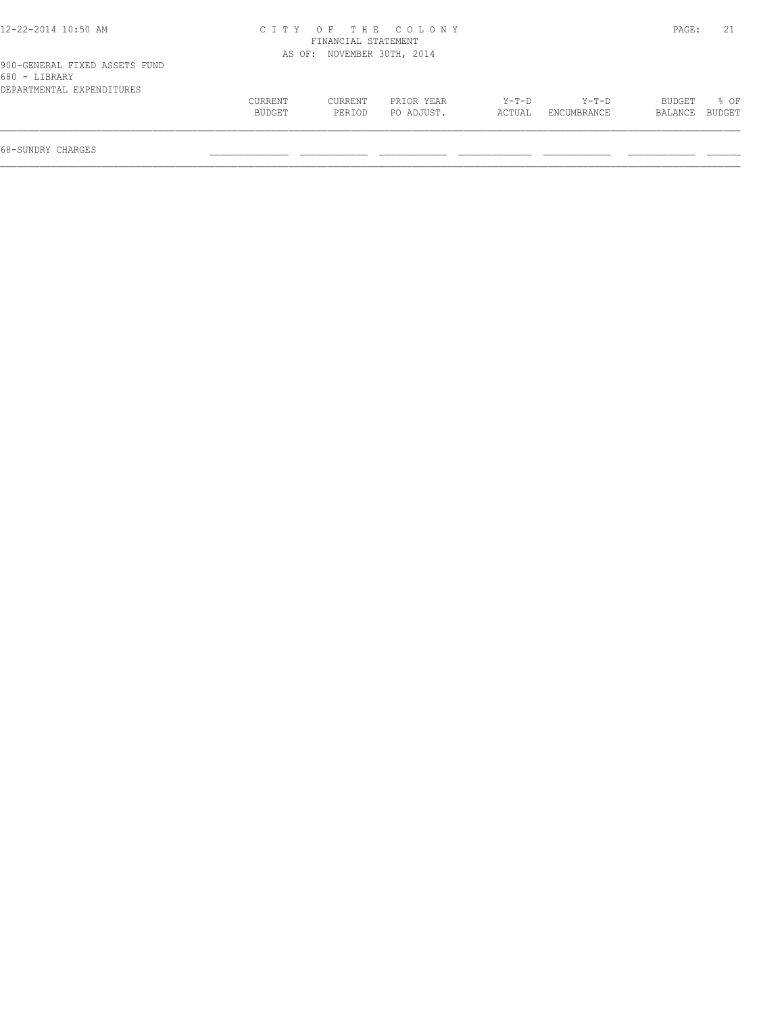|  | 12-22-2014 10:50 AM |  |
|--|---------------------|--|
|--|---------------------|--|

# 12-22-2014 10:50 AM C I T Y O F T H E C O L O N Y PAGE: 21 FINANCIAL STATEMENT

| 900-GENERAL FIXED ASSETS FUND<br>680 - LIBRARY |                   |                   | AS OF: NOVEMBER 30TH, 2014 |                 |                        |                   |                |  |  |
|------------------------------------------------|-------------------|-------------------|----------------------------|-----------------|------------------------|-------------------|----------------|--|--|
| DEPARTMENTAL EXPENDITURES                      | CURRENT<br>BUDGET | CURRENT<br>PERTOD | PRIOR YEAR<br>PO ADJUST.   | Y-T-D<br>ACTUAL | $Y-T-D$<br>ENCUMBRANCE | BUDGET<br>BALANCE | 8 OF<br>BUDGET |  |  |
| 68-SUNDRY CHARGES                              |                   |                   |                            |                 |                        |                   |                |  |  |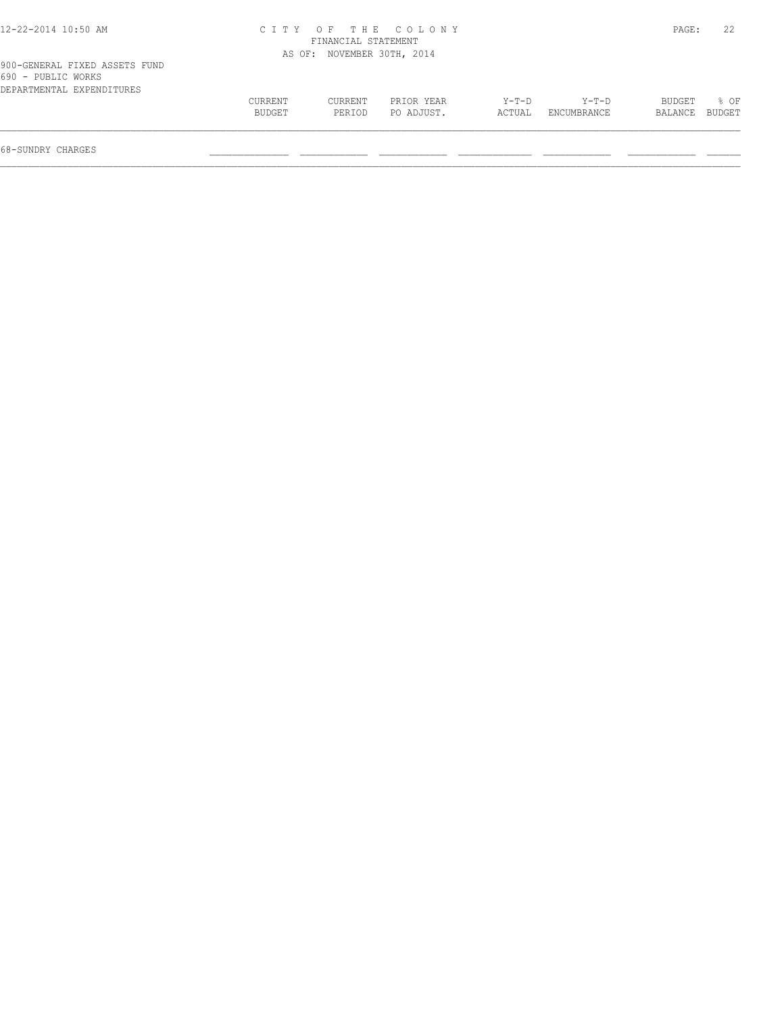| 12-22-2014 10:50 AM |  |  |
|---------------------|--|--|
|---------------------|--|--|

# 12-22-2014 10:50 AM C I T Y O F T H E C O L O N Y PAGE: 22 FINANCIAL STATEMENT

|                                                     |         | AS OF: NOVEMBER 30TH, 2014 |            |         |             |         |               |
|-----------------------------------------------------|---------|----------------------------|------------|---------|-------------|---------|---------------|
| 900-GENERAL FIXED ASSETS FUND<br>690 - PUBLIC WORKS |         |                            |            |         |             |         |               |
| DEPARTMENTAL EXPENDITURES                           |         |                            |            |         |             |         |               |
|                                                     | CURRENT | CURRENT                    | PRIOR YEAR | $Y-T-D$ | $Y-T-D$     | BUDGET  | % OF          |
|                                                     | BUDGET  | PERIOD                     | PO ADJUST. | ACTUAL  | ENCUMBRANCE | BALANCE | <b>BUDGET</b> |
|                                                     |         |                            |            |         |             |         |               |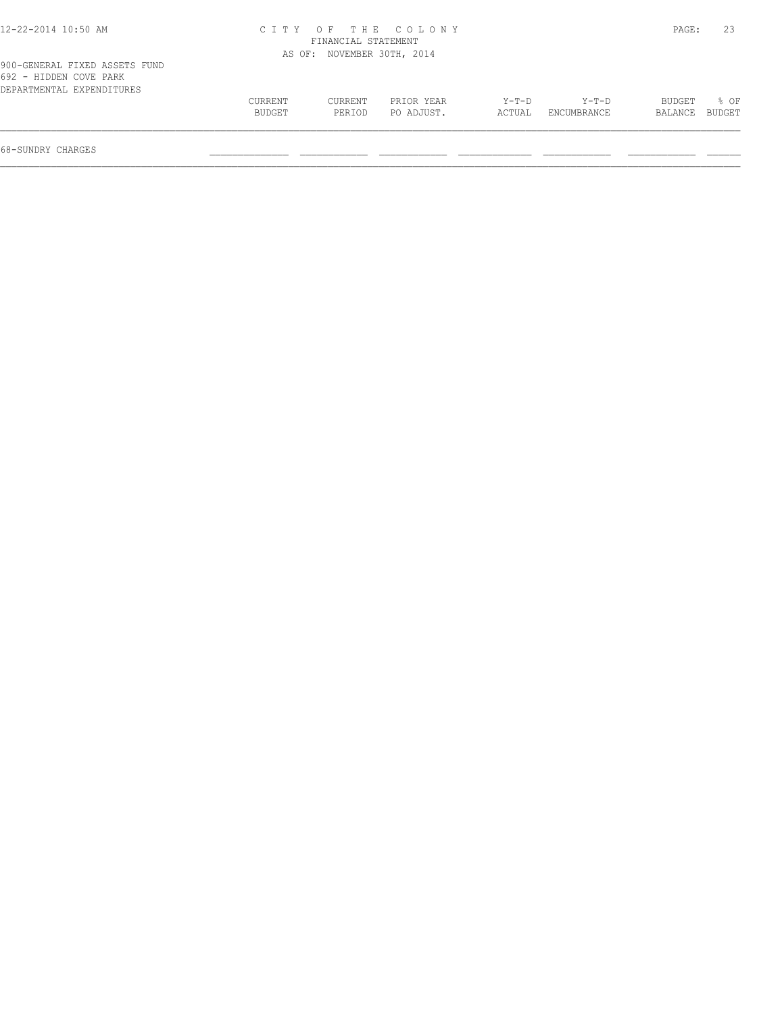| 12-22-2014 10:50 AM |  |
|---------------------|--|
|---------------------|--|

## 12-22-2014 10:50 AM C I T Y O F T H E C O L O N Y PAGE: 23 FINANCIAL STATEMENT AS OF: NOVEMBER 30TH, 2014

| 692 - HIDDEN COVE PARK    |               |         |            |       |                    |                |      |
|---------------------------|---------------|---------|------------|-------|--------------------|----------------|------|
| DEPARTMENTAL EXPENDITURES |               |         |            |       |                    |                |      |
|                           | CURRENT       | CURRENT | PRIOR YEAR | Y-T-D | $Y-T-D$            | BUDGET         | 8 OF |
|                           | <b>BUDGET</b> | PERTOD  | PO ADJUST. |       | ACTUAL ENCUMBRANCE | BALANCE BUDGET |      |
|                           |               |         |            |       |                    |                |      |
|                           |               |         |            |       |                    |                |      |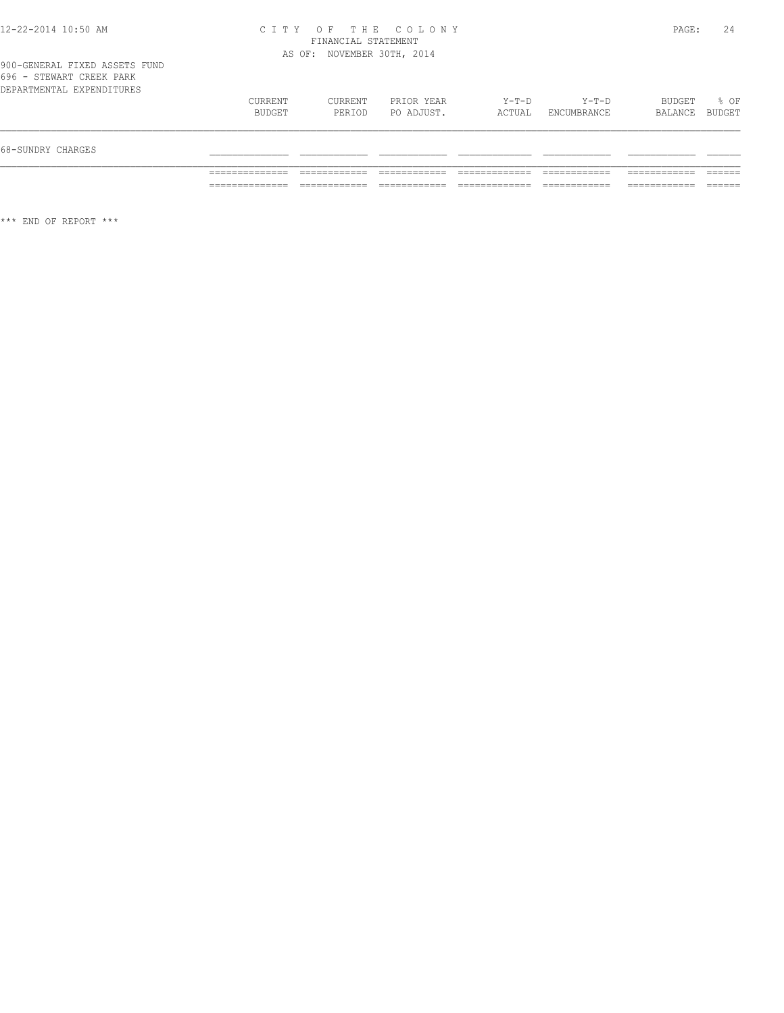#### 12-22-2014 10:50 AM C I T Y O F T H E C O L O N Y PAGE: 24 FINANCIAL STATEMENT AS OF: NOVEMBER 30TH, 2014

| 68-SUNDRY CHARGES         |                   |                   |                          |                 |                      |                          |      |
|---------------------------|-------------------|-------------------|--------------------------|-----------------|----------------------|--------------------------|------|
| DEPARTMENTAL EXPENDITURES | CURRENT<br>BUDGET | CURRENT<br>PERIOD | PRIOR YEAR<br>PO ADJUST. | Y-T-D<br>ACTUAL | Y-T-D<br>ENCUMBRANCE | BUDGET<br>BALANCE BUDGET | % OF |
| 696 - STEWART CREEK PARK  |                   |                   |                          |                 |                      |                          |      |

\*\*\* END OF REPORT \*\*\*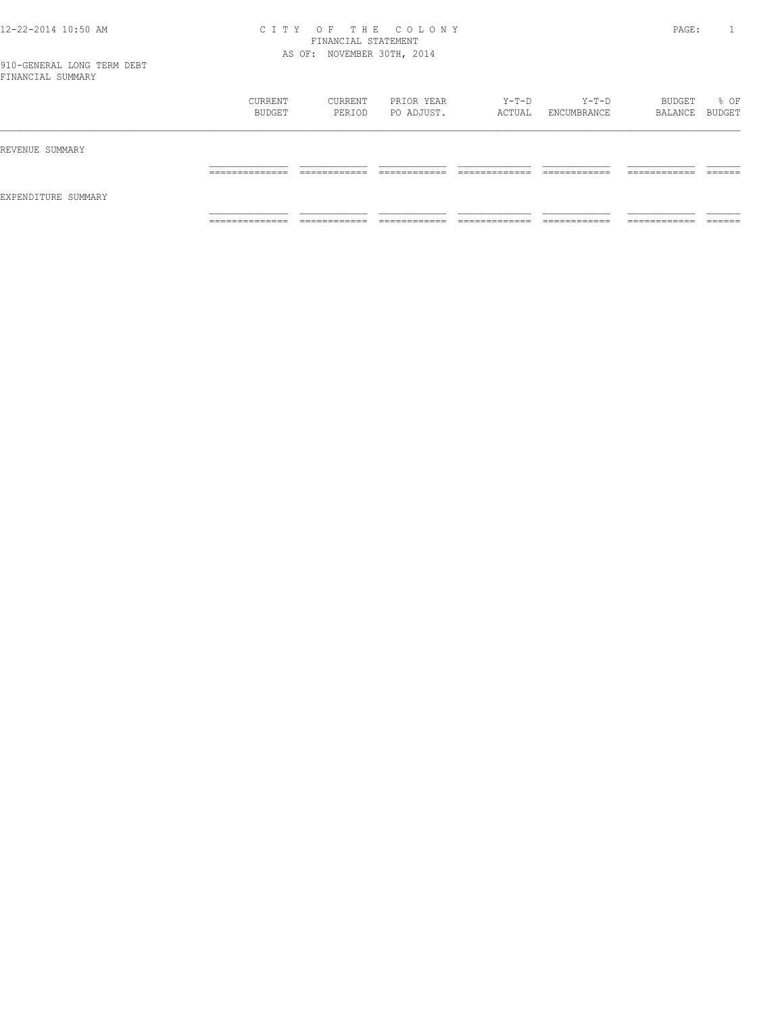#### 12-22-2014 10:50 AM C I T Y O F T H E C O L O N Y PAGE: 1 FINANCIAL STATEMENT AS OF: NOVEMBER 30TH, 2014

| __                  |                                           |                   |                          |                 |                        |                             |        |
|---------------------|-------------------------------------------|-------------------|--------------------------|-----------------|------------------------|-----------------------------|--------|
|                     | CURRENT<br>BUDGET                         | CURRENT<br>PERIOD | PRIOR YEAR<br>PO ADJUST. | Y-T-D<br>ACTUAL | $Y-T-D$<br>ENCUMBRANCE | BUDGET<br>BALANCE BUDGET    | % OF   |
| REVENUE SUMMARY     |                                           |                   |                          |                 |                        |                             |        |
|                     | ----------<br>__________                  |                   |                          |                 |                        | _______                     | ______ |
| EXPENDITURE SUMMARY |                                           |                   |                          |                 |                        |                             |        |
|                     | . _ _ _ _ _ _ _ _ _ _ _<br>______________ | ____________      | ____________             | _____________   | ____________           | -----------<br>____________ |        |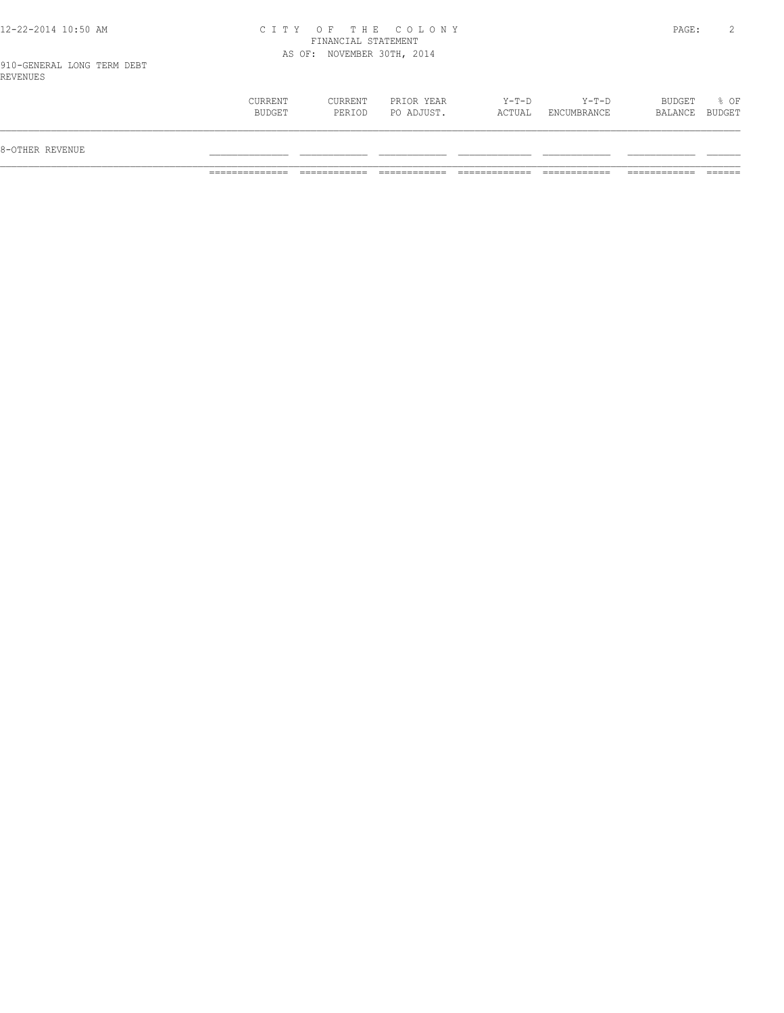#### 12-22-2014 10:50 AM C I T Y O F T H E C O L O N Y PAGE: 2 FINANCIAL STATEMENT AS OF: NOVEMBER 30TH, 2014

910-GENERAL LONG TERM DEBT REVENUES

| $Y-T-D$<br>BUDGET<br>% OF<br>CURRENT<br>CURRENT<br>PRIOR YEAR<br>Y-T-D<br>PO ADJUST.<br>BUDGET<br>ACTUAL<br>BUDGET<br>ENCUMBRANCE<br>PERIOD<br>BALANCE<br>8-OTHER REVENUE |  |  |  |  |
|---------------------------------------------------------------------------------------------------------------------------------------------------------------------------|--|--|--|--|
|                                                                                                                                                                           |  |  |  |  |
|                                                                                                                                                                           |  |  |  |  |